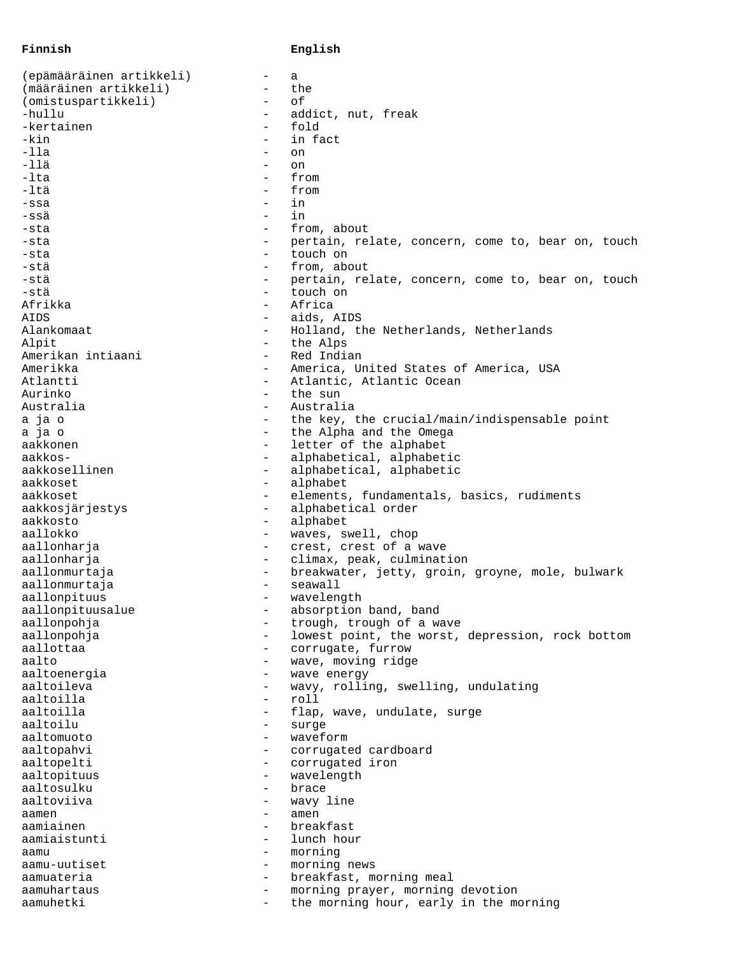## **Finnish English**

(epämääräinen artikkeli) - a (määräinen artikkeli) - the (omistuspartikkeli) - of -hullu - addict, nut, freak<br>-kertainen - - - - - - fold -kertainen -kin - in fact -lla - on -llä - on -lta - from -ltä - from -ssa - in -ssä - in -sta  $-$  from, about -sta - pertain, relate, concern, come to, bear on, touch -sta extensive touch on -stä i international variante en man variante en man variante en man variante en man variante en man variante e -stä en matter of the pertain, relate, concern, come to, bear on, touch -stä - touch on Afrikka - Africa AIDS - aids, AIDS - Holland, the Netherlands, Netherlands<br>- the Alps Alpit - the Alps Amerikan intiaani Amerikka - America, United States of America, USA Atlantti - Atlantic, Atlantic Ocean Aurinko - the sun Australia - Australia a ja o  $\sim$   $\frac{1}{2}$  the key, the crucial/main/indispensable point a ja o - the Alpha and the Omega aakkonen aakkonen aakkonen met die beskrywer of the alphabet aakkos- - - alphabetical, alphabetic<br>aakkosellinen - - alphabetical, alphabetic alphabetical, alphabetic aakkoset - alphabet<br>aakkoset - elements aakkoset - elements, fundamentals, basics, rudiments<br>aakkosjärjestys - alphabetical order alphabetical order aakkosto - alphabet aallokko - waves, swell, chop aallonharja - crest, crest of a wave aallonharja - climax, peak, culmination aallonmurtaja - 1992 - breakwater, jetty, groin, groyne, mole, bulwark aallonmurtaja - seawall aallonpituus - wavelength aallonpituusalue - absorption band, band aallonpohja - trough, trough of a wave aallonpohja - lowest point, the worst, depression, rock bottom aallottaa - corrugate, furrow<br>aalto - corrugate, furrow - corrugate, furrow - wave, moving ridge<br>- wave energy aaltoenergia aaltoileva - wavy, rolling, swelling, undulating aaltoilla - roll aaltoilla - flap, wave, undulate, surge aaltoilu - surge aaltomuoto - waveform aaltopahvi - corrugated cardboard aaltopelti - corrugated iron aaltopituus - wavelength aaltosulku - brace wavy line aamen - amen aamiainen 1988 - breakfast aamiaistunti - lunch hour aamu - morning aamu-uutiset - morning news aamuateria  $\qquad \qquad -$  breakfast, morning meal aamuhartaus - morning prayer, morning devotion aamuhetki - the morning hour, early in the morning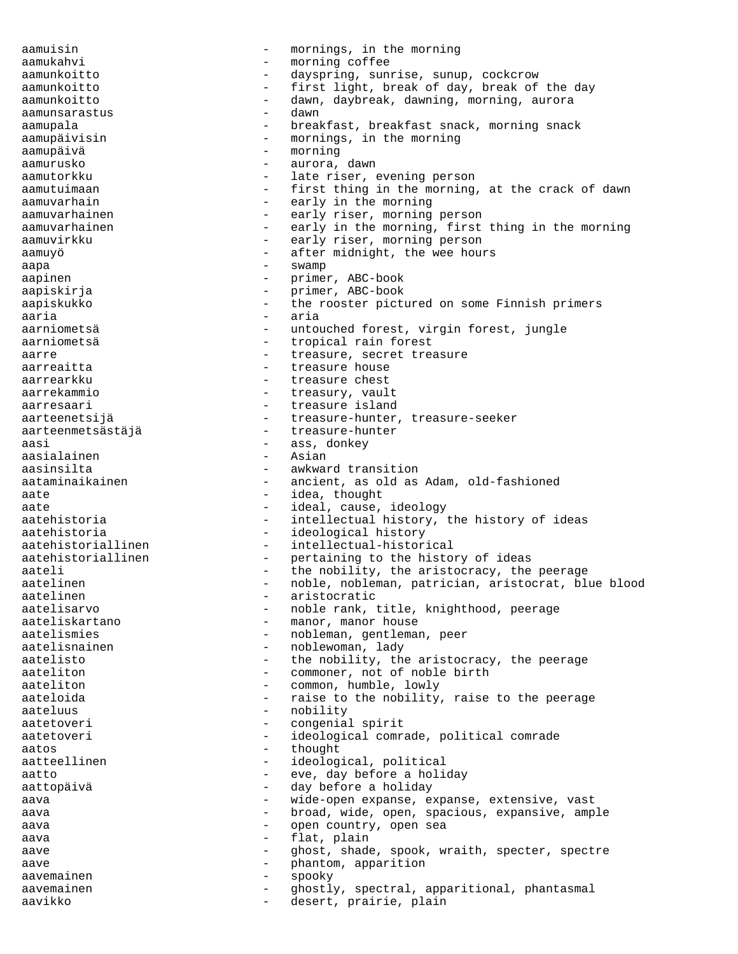aamuisin - mornings, in the morning aamukahvi - morning coffee aamunkoitto - dayspring, sunrise, sunup, cockcrow aamunkoitto - first light, break of day, break of the day aamunkoitto - dawn, daybreak, dawning, morning, aurora aamunsarastus - dawn aamupala - breakfast, breakfast snack, morning snack aamupäivisin - mornings, in the morning aamupäivä - morning aamurusko - aurora, dawn aamutorkku - late riser, evening person aamutuimaan - first thing in the morning, at the crack of dawn aamuvarhain aamuvarhain - early in the morning aamuvarhainen - early riser, morning person aamuvarhainen - early in the morning, first thing in the morning aamuvirkku - early riser, morning person aamuyö - after midnight, the wee hours aapa - swamp - swamp - swamp - swamp - swamp - swamp - swamp - swamp - swamp - swamp - swamp - swamp - swamp aapinen - primer, ABC-book<br>aapiskiria - primer, ABC-book aapiskirja - primer, ABC-book aapiskukko - the rooster pictured on some Finnish primers aaria - aria aarniometsä en metallisuur – untouched forest, virgin forest, jungle aarniometsä - tropical rain forest aarre en treasure, secret treasure aarreaitta - treasure house aarrearkku - treasure chest aarrekammio  $-$  treasury, vault aarresaari 1980 - treasure island aarteenetsijä - treasure-hunter, treasure-seeker aarteenmetsästäjä - treasure-hunter aasi - ass, donkey<br>aasialainen - Asian - Asian aasialainen<br>aasinsilta - awkward transition aataminaikainen - ancient, as old as Adam, old-fashioned aate - idea, thought aate - ideal, cause, ideology aatehistoria - intellectual history, the history of ideas aatehistoria - ideological history aatehistoriallinen - intellectual-historical<br>aatehistoriallinen - pertaining to the histo aatehistoriallinen - pertaining to the history of ideas aateli - the nobility, the aristocracy, the peerage  $\overline{\phantom{a}}$ aatelinen - noble, nobleman, patrician, aristocrat, blue blood<br>aatelinen - aristocratic aatelinen - aristocratic - aristocratic - aristocratic - aristocratic - aristocratic - aristocratic - aristocratic - aristocratic - aristocratic - aristocratic - aristocratic - aristocratic - aristocratic - aristocratic aatelisarvo - - noble rank, title, knighthood, peerage<br>aateliskartano - - manor, manor house aateliskartano - manor, manor house<br>aatelismies - hobleman, gentleman - nobleman, gentleman, peer aatelisnainen 1988 - noblewoman, lady aatelisto  $-$  the nobility, the aristocracy, the peerage aateliton - commoner, not of noble birth aateliton - common, humble, lowly aateloida - raise to the nobility, raise to the peerage aateluus - nobility aatetoveri - congenial spirit aatetoveri entry and the ideological comrade, political comrade aatos - thought<br>aatteellinen - thought<br>- ideolog aatteellinen - ideological, political aatto  $-$  eve, day before a holiday aattopäivä  $-$  day before a holiday aava en expanse, expanse, expanse, extensive, vast aava - broad, wide, open, spacious, expansive, ample aava - open country, open sea aava - flat, plain aave end and the settle state of the shade, spook, wraith, specter, spectre aave extended and the phantom, apparition aavemainen - spooky aavemainen - ghostly, spectral, apparitional, phantasmal aavikko - en - desert, prairie, plain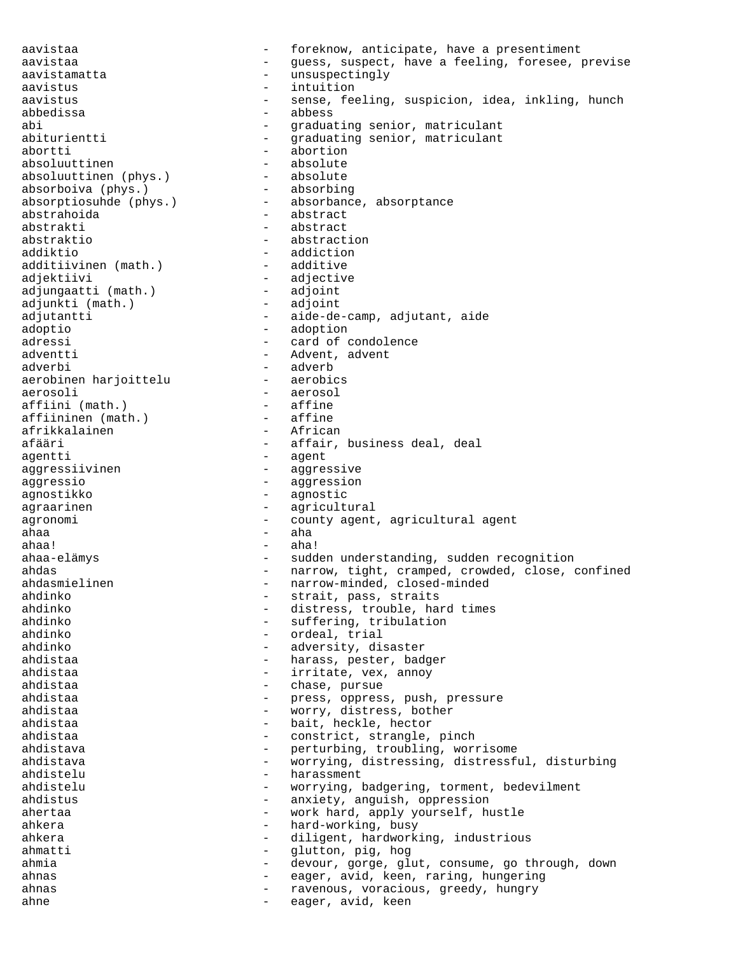aavistaa - foreknow, anticipate, have a presentiment aavistaa - guess, suspect, have a feeling, foresee, previse aavistamatta - unsuspectingly aavistus - intuition aavistus external on the sense, feeling, suspicion, idea, inkling, hunch abbedissa - abbess abi - graduating senior, matriculant<br>abiturientti - eraduating senior, matriculant abiturientti - graduating senior, matriculant<br>abortti - abortion - abortion<br>- absolute absoluuttinen - absolute absoluuttinen (phys.) - absolute absorboiva (phys.) - absorbing absorptiosuhde (phys.) - absorbance, absorptance abstrahoida - abstract abstrakti - abstract abstraktio - abstraction addiktio - addiction<br>additiivinen (math.) - additive additiivinen (math.) adjektiivi - adjective<br>adiunqaatti (math.) - adjoint adjungaatti (math.) - adjoint adjunkti (math.)<br>adjutantti - adjunte<br>- aide-de-camp, adjutant, aide adoptio - adoption adressi - card of condolence adventti - Advent, advent adverbi - adverb aerobinen harjoittelu aerosoli - aerosoli - aerosoli - aerosoli - aerosol affiini (math.) - affine affiininen (math.) - affine afrikkalainen<br>afääri - affair, business deal, deal agentti - agent<br>aggressiivinen - aggre - aggressive aggressio - aggression agnostikko - agnostic agraarinen - agricultural agronomi - county agent, agricultural agent ahaa  $-$  aha ahaa! - aha! ahaa-elämys - sudden understanding, sudden recognition ahdas - narrow, tight, cramped, crowded, close, confined ahdasmielinen - narrow-minded, closed-minded ahdasmielinen - narrow-minded, closed-minded<br>ahdinko - strait pass straits ahdinko - strait, pass, straits<br>ahdinko - distress trouble has ahdinko - distress, trouble, hard times<br>ahdinko - suffering, tribulation ahdinko - suffering, tribulation<br>ahdinko - ordeal, trial - ordeal, trial ahdinko - adversity, disaster ahdistaa - harass, pester, badger ahdistaa - irritate, vex, annoy ahdistaa - chase, pursue ahdistaa - press, oppress, push, pressure<br>ahdistaa - worry distress, bother ahdistaa - worry, distress, bother ahdistaa - bait, heckle, hector - constrict, strangle, pinch ahdistava - perturbing, troubling, worrisome ahdistava - worrying, distressing, distressful, disturbing ahdistelu - harassment<br>ahdistelu - harassment - harassment - worrying, badgering, torment, bedevilment ahdistus - anxiety, anguish, oppression ahertaa - work hard, apply yourself, hustle ahkera - hard-working, busy ahkera - diligent, hardworking, industrious ahmatti - glutton, pig, hog ahmia  $-$  devour, gorge, glut, consume, go through, down ahnas - eager, avid, keen, raring, hungering ahnas - ravenous, voracious, greedy, hungry ahne and the eager, avid, keen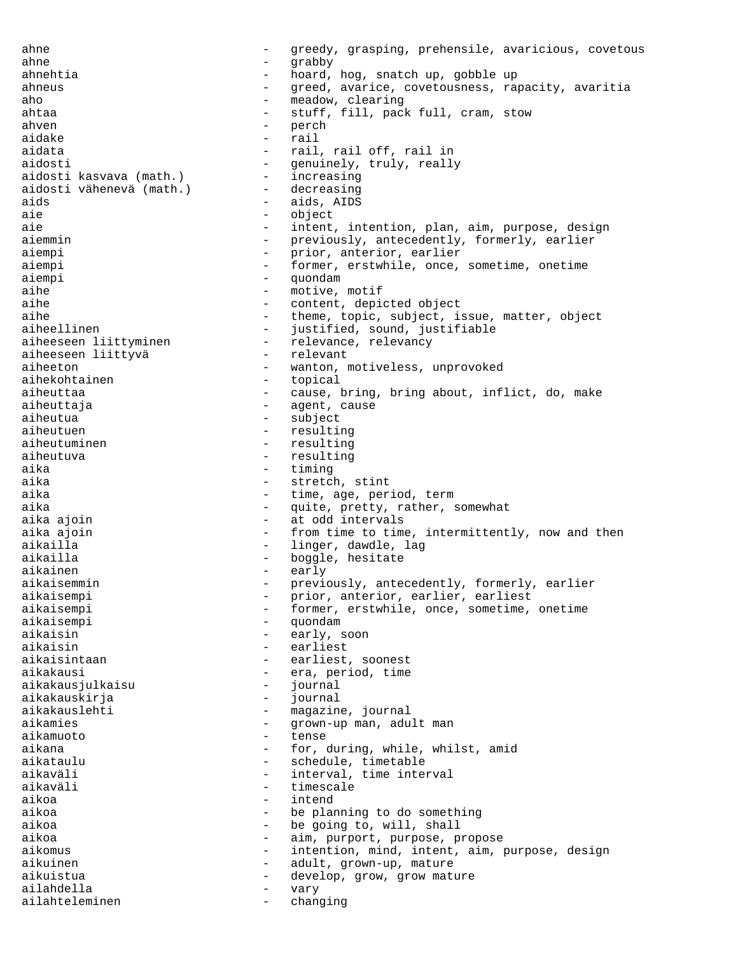ahne and the state of the state of the state of the state of the state of the state of the state of the state of the state of the state of the state of the state of the state of the state of the state of the state of the s ahne - grabby<br>ahnehtia - board ahnehtia - hoard, hog, snatch up, gobble up ahneus external contracts to the greed, avarice, covetousness, rapacity, avaritial aho  $-$  meadow, clearing ahtaa - stuff, fill, pack full, cram, stow ahven - perch aidake - rail aidata - rail, rail off, rail in aidosti<br>aidosti - rail - rail in aidosti - genuinely, truly, really<br>- increasing aidosti kasvava (math.) - increasing<br>aidosti vähenevä (math.) - decreasing aidosti vähenevä (math.) aids - aids, AIDS aie - object aie aie and the state of the state of the intent, intention, plan, aim, purpose, design aiemmin - previously, antecedently, formerly, earlier<br>aiempi - prior, anterior, earlier aiempi - prior, anterior, earlier aiempi - former, erstwhile, once, sometime, onetime aiempi - quondam aihe - motive, motif<br>aihe - content depi aihe - content, depicted object<br>aihe - theme topic subject is - theme, topic, subject, issue, matter, object aiheellinen - justified, sound, justifiable<br>aiheeseen liittyminen - relevance, relevancy - relevance, relevancy<br>- relevant aiheeseen liittyvä aiheeton - wanton, motiveless, unprovoked aihekohtainen - topical aiheuttaa - cause, bring, bring about, inflict, do, make aiheuttaja - cause, cause - agent, cause aiheutua - subject aiheutuen - resulting aiheutuminen – resulting<br>aiheutuva – resulting aiheutuva - resulting<br>aika - riming aika - timing aika - stretch, stint<br>aika - stretch, stint - time, age, period, term aika  $-$  quite, pretty, rather, somewhat aika ajoin aika ajoin aika ajoin aika ajoin aika ajoin arrannya arrannya atau ah ama any amin'ny fivondronanaika ajoin **1988** - from time to time, intermittently, now and then aikailla - linger, dawdle, lag<br>aikailla - logale, hesitate aikailla - boggle, hesitate aikainen - early - early - early - early - early - early - early - early - early - early - early - early - early - early - early - early - early - early - early - early - early - early - early - early - early - early - ear aikaisemmin - previously, antecedently, formerly, earlier<br>aikaisempi aikaisempi - prior, anterior, earlier, earliest<br>aikaisempi - former erstwhile once sometime. aikaisempi - former, erstwhile, once, sometime, onetime<br>aikaisempi aikaisempi - quondam - early, soon aikaisin - earliest aikaisintaan - earliest, soonest aikakausi - era, period, time aikakausjulkaisu - journal aikakauskirja - journal aikakauslehti - magazine, journal<br>aikamies - crown-up man adu aikamies - grown-up man, adult man aikamuoto - tense aikana - for, during, while, whilst, amid<br>aikataulu - schedule, timetable aikataulu - schedule, timetable<br>aikaväli - schedule, time interval, time interval aikaväli - interval, time interval - timescale<br>- intend aikoa - intend aikoa - be planning to do something aikoa - be going to, will, shall aikoa - aim, purport, purpose, propose aikomus - intention, mind, intent, aim, purpose, design aikuinen 1988 - adult, grown-up, mature aikuistua - develop, grow, grow mature ailahdella - vary ailahteleminen - changing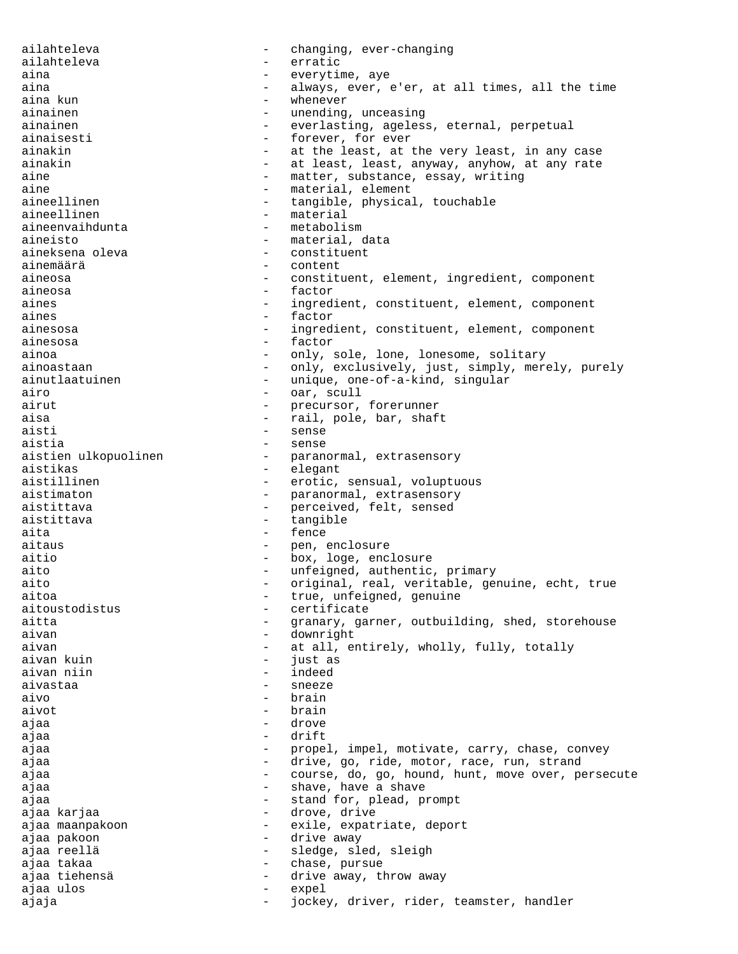ailahteleva - changing, ever-changing ailahteleva - erratic aina  $-$  everytime, aye aina  $-$  always, ever, e'er, at all times, all the time aina kun  $\overline{\phantom{a}}$  - whenever ainainen 1980 - unending, unceasing ainainen - everlasting, ageless, eternal, perpetual ainaisesti  $-$  forever, for ever ainakin - at the least, at the very least, in any case ainakin - at least, least, anyway, anyhow, at any rate aine  $-$  matter, substance, essay, writing aine - material, element<br>aineellinen - material, element<br>- tangible, physical aineellinen - tangible, physical, touchable aineellinen - material aineenvaihdunta - metabolism aineisto - material, data aineksena oleva - constituent ainemäärä - content aineosa - constituent, element, ingredient, component aineosa - factor aines and the settlement of the settlement of the settlement of the settlement of the settlement of the settlement of the settlement of the settlement of the settlement of the settlement of the settlement of the settlement aines - factor ainesosa - ingredient, constituent, element, component ainesosa - factor ainoa - only, sole, lone, lonesome, solitary ainoastaan - only, exclusively, just, simply, merely, purely ainutlaatuinen - unique, one-of-a-kind, singular airo - oar, scull airut - precursor, forerunner aisa - rail, pole, bar, shaft aisti - sense aistia - sense - paranormal, extrasensory<br>- elegant aistikas - elegant aistillinen - erotic, sensual, voluptuous aistimaton - paranormal, extrasensory aistittava  $-$  perceived, felt, sensed aistittava - tangible aita  $-$  fence aitaus aithe - pen, enclosure aitio  $-$  box, loge, enclosure aito  $-$  unfeigned, authentic, primary aito - original, real, veritable, genuine, echt, true<br>
- true unfeigned genuine aitoa - true, unfeigned, genuine<br>aitoustodistus - certificate aitoustodistus - certificate<br>aitta aitta - granary, garner, outbuilding, shed, storehouse<br>aivan - downright downright aivan - at all, entirely, wholly, fully, totally<br>aivan kuin - iust as aivan kuin - just as aivan niin aivan niin aivan niin aivan niin aivan niin aivan niin aivan niin aivan niin aivan niin aivan niin aivastaa - sneeze aivo - brain aivot - brain ajaa - drove ajaa - drift - drift - drift - drift - drift - drift - drift - drift - drift - drift - drift - drift - drift ajaa - propel, impel, motivate, carry, chase, convey<br>ajaa - - drive go ride motor race run strand ajaa - drive, go, ride, motor, race, run, strand ajaa - course, do, go, hound, hunt, move over, persecute ajaa - shave, have a shave a shave ajaa - stand for, plead, prompt ajaa karjaa - 1999 - 1999 - 1999 - 1999 - 1999 akarjaa ajaa maanpakoon een meessa ka maanpakoon ajaa maanpakoon arrameessa meessa ka maanpakoon arrameessa meessa me ajaa pakoon - drive away ajaa reellä - sledge, sled, sleigh ajaa takaa - chase, pursue ajaa tiehensä - drive away, throw away ajaa ulos - expel ajaja - indexter, driver, rider, teamster, handler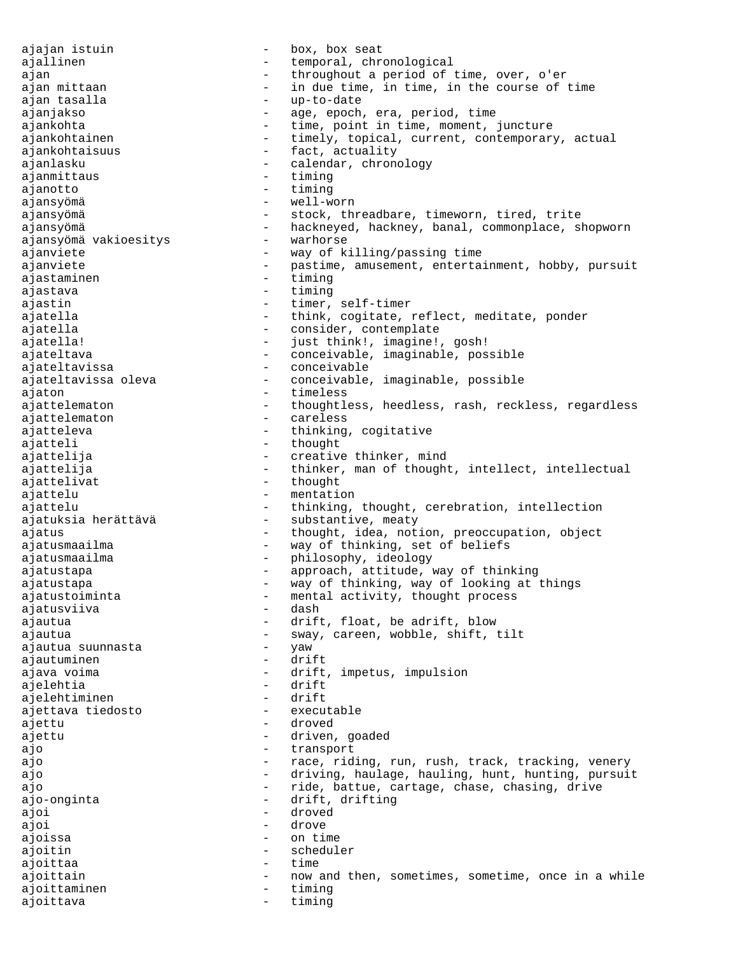ajajan istuin  $-$  box, box seat ajallinen - temporal, chronological<br>ajan - throughout a period of ajan  $-$  throughout a period of time, over, o'er ajan mittaan  $\qquad \qquad -$  in due time, in time, in the course of time ajan tasalla - up-to-date ajanjakso - age, epoch, era, period, time time, point in time, moment, juncture ajankohtainen 1988 - timely, topical, current, contemporary, actual ajankohtaisuus - fact, actuality ajanlasku - calendar, chronology<br>ajanmittaus - timing ajanmittaus - timing and the set of the set of the set of the set of the set of the set of the set of the set o ajanotto - timing ajansyömä - well-worn ajansyömä - stock, threadbare, timeworn, tired, trite ajansyömä - hackneyed, hackney, banal, commonplace, shopworn ajansyömä vakioesitys - warhorse ajanviete - way of killing/passing time ajanviete - pastime, amusement, entertainment, hobby, pursuit<br>aiastaminen - timing ajastaminen - timing ajastava - timing ajastin - timer, self-timer ajatella  $-$  think, cogitate, reflect, meditate, ponder ajatella - consider, contemplate ajatella! - iust think!, imagine!, gosh! ajateltava - conceivable, imaginable, possible ajateltavissa - conceivable ajateltavissa oleva - conceivable, imaginable, possible<br>ajaton - timeless ajaton - timeless ajattelematon - thoughtless, heedless, rash, reckless, regardless ajattelematon - careless<br>ajatteleva - thinking ajatteleva - thinking, cogitative ajatteli - thought ajattelija - creative thinker, mind ajattelija - thinker, man of thought, intellect, intellectual ajattelivat - thought ajattelu - mentation ajattelu - thinking, thought, cerebration, intellection ajatuksia herättävä - substantive, meaty ajatus - thought, idea, notion, preoccupation, object ajatusmaailma - way of thinking, set of beliefs ajatusmaailma - philosophy, ideology ajatustapa - approach, attitude, way of thinking ajatustapa - way of thinking, way of looking at things<br>ajatustoiminta - mental activity thought process ajatustoiminta - mental activity, thought process<br>ajatusviiva - dash - dash ajatusviiva - dash ajautua - drift, float, be adrift, blow ajautua - sway, careen, wobble, shift, tilt<br>ajautua suunnasta - yaw - yaw ajautua suunnasta - yaw ajautuminen ajava voima - drift, impetus, impulsion ajelehtia - drift - drift - drift - drift - drift - drift - drift - drift - drift - drift - drift - drift - dr ajelehtiminen - drift ajettava tiedosto ajettu - droved ajettu - driven, goaded<br>aio - driven, goaded ajo  $-$  transport ajo enterprise of the race, riding, run, rush, track, tracking, venery ajo - driving, haulage, hauling, hunt, hunting, pursuit ajo  $-$  ride, battue, cartage, chase, chasing, drive ajo-onginta - drift, drifting ajoi - droved ajoi - drove ajoissa - on time ajoitin - scheduler ajoittaa - time ajoittain Theorem Communist Communist Communist Communist Communist Communist Communist Communist Communist Co ajoittaminen - timing ajoittava - timing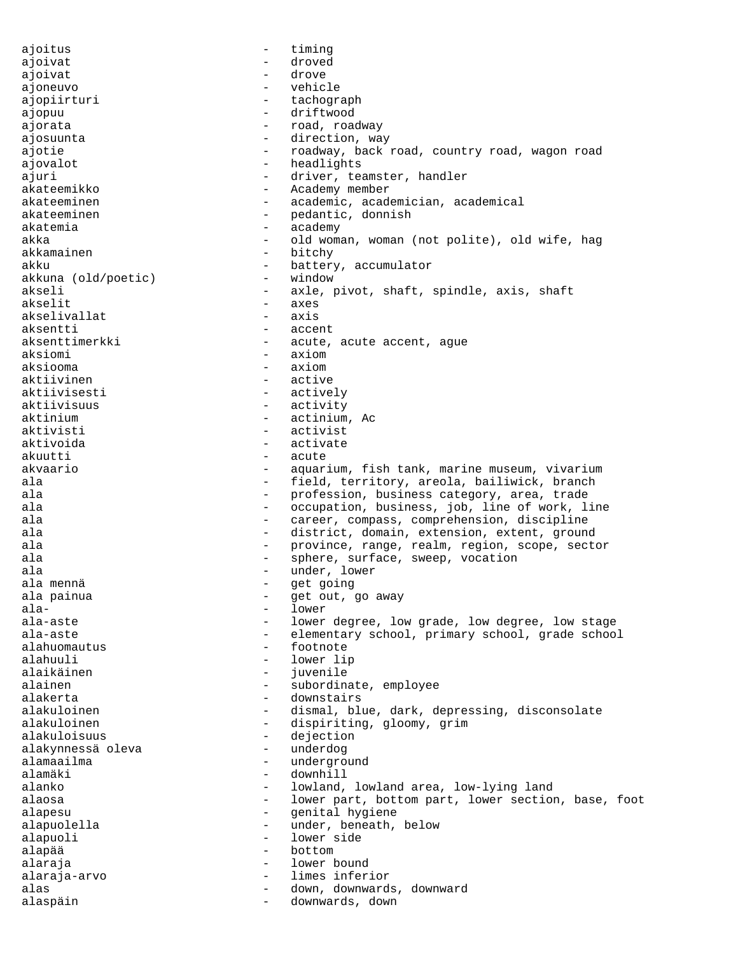ajoitus - timing ajoivat - droved ajoivat the contract of the contract of  $\sim$ ajoneuvo - vehicle ajopiirturi - tachograph ajopuu - driftwood<br>ajorata - computer - computer - computer - computer - computer - computer - computer - computer - computer - c ajorata  $\qquad \qquad -$  road, roadway ajosuunta - direction, way ajotie - roadway, back road, country road, wagon road ajovalot - headlights ajuri - driver, teamster, handler akateemikko - Academy member akateeminen en academic, academician, academical akateeminen - pedantic, donnish akatemia  $-$  academy akka - old woman, woman (not polite), old wife, hag<br>akkamainen - bitchy - bitchy akkamainen - bitchyte bitchyte bitchyte bitchyte bitchyte bitchyte bitchyte bitchyte bitchyte bitchyte bitchyt akku - battery, accumulator<br>akkuna (old/poetic) - window - window akkuna (old/poetic) - window akseli - axle, pivot, shaft, spindle, axis, shaft<br>akselit - axes - axes<br>- axis akselivallat<br>aksentti - accent aksenttimerkki - acute, acute accent, ague aksiomi - axiom aksiooma - axiom aktiivinen - active aktiivisesti - actively aktiivisuus - activity<br>aktinium - actinium - actinium - actinium, Ac<br>- activist aktivisti - activist aktivoida - activate akuutti - acute akvaario - aquarium, fish tank, marine museum, vivarium ala  $-$  field, territory, areola, bailiwick, branch ala e contracted and the profession, business category, area, trade ala e correction, business, job, line of work, line ala  $-$  career, compass, comprehension, discipline ala  $-$  district, domain, extension, extent, ground ala  $-$  province, range, realm, region, scope, sector ala  $-$  sphere, surface, sweep, vocation ala  $-$  under, lower ala mennä<br>ala painua ala painua - get out, go away ala- - lower ala-aste - lower degree, low grade, low degree, low stage<br>ala-aste - elementary school, primary school, grade school elementary school, primary school, grade school alahuomautus - footnote alahuuli - lower lip<br>alaikäinen - luvenile alaikäinen - juvenile alainen 1980 - Subordinate, employee alakerta - downstairs alakuloinen - dismal, blue, dark, depressing, disconsolate alakuloinen 1980 - dispiriting, gloomy, grim<br>alakuloisuus - dejection alakuloisuus - dejection<br>alakynnessäoleva - underdog alakynnessä oleva - underdog alamaailma - underground<br>alamäki - downhill alamäki - downhill<br>alanko - lowland lowland, lowland area, low-lying land alaosa alaosa - lower part, bottom part, lower section, base, foot alapesu - genital hygiene<br>alapuolella - under beneath alapuolella - under, beneath, below<br>alapuoli - lower side alapuoli - lower side alapää - bottom alaraja - lower bound<br>alaraja-arvo - limes infer alaraja-arvo - limes inferior alas - down, downwards, downward<br>alasnäin - downwards down alaspäin - downwards, down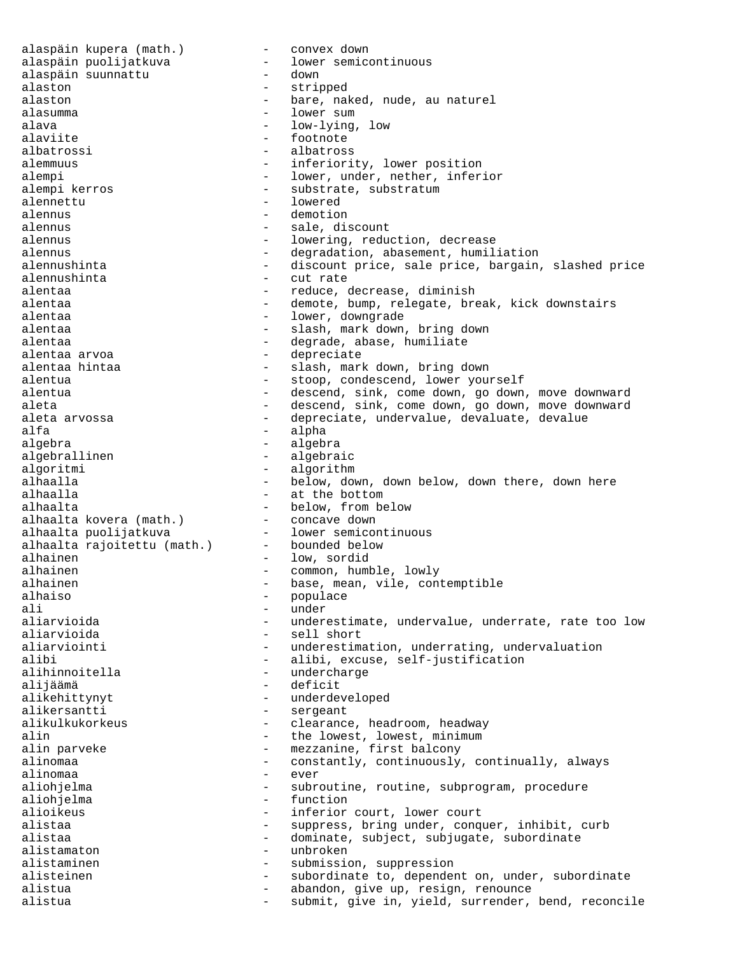alaspäin kupera (math.) - convex down alaspäin puolijatkuva - lower semicontinuous alaspäin suunnattu - down alaston - stripped alaston - bare, naked, nude, au naturel alasumma - lower sum alava - low-lying, low<br>alaviite - cothote - footnote alaviite - footnote - footnote - footnote - footnote - footnote - footnote - footnote - footnote - footnote - - albatross alemmuus - inferiority, lower position alempi - lower, under, nether, inferior<br>alempi kerros - substrate, substratum - substrate, substratum alennettu - lowered alennus - demotion alennus - sale, discount alennus - lowering, reduction, decrease alennus - degradation, abasement, humiliation alennushinta - discount price, sale price, bargain, slashed price alennushinta - cut rate alentaa - reduce, decrease, diminish<br>alentaa - reduce, bump, relegate, bre alentaa - demote, bump, relegate, break, kick downstairs<br>alentaa - - lower, downgrade - lower, downgrade alentaa - slash, mark down, bring down alentaa - degrade, abase, humiliate<br>alentaa arvoa - debreciate alentaa arvoa - depreciate - slash, mark down, bring down alentua - stoop, condescend, lower yourself alentua - descend, sink, come down, go down, move downward aleta - descend, sink, come down, go down, move downward<br>aleta arvossa - depreciate undervalue devaluate devalue aleta arvossa - depreciate, undervalue, devaluate, devalue<br>alfa alfa - alpha algebra - algebra algebrallinen - algebraic<br>algoritmi - algorithm algoritmi - algorithm alhaalla - below, down, down below, down there, down here<br>alhaalla - at the bottom - at the bottom<br>- below, from below alhaalta - below, from below alhaalta kovera (math.) - concave down alhaalta puolijatkuva - lower semicontinuous alhaalta rajoitettu (math.) - bounded below alhainen - low, sordid alhainen  $\sim$  - common, humble, lowly alhainen - base, mean, vile, contemptible<br>alhaiso - populace alhaiso - populace ali - under aliarvioida - underestimate, undervalue, underrate, rate too low aliarvioida - sell short<br>aliarviointi - underestima - underestimation, underrating, undervaluation alibi - alibi, excuse, self-justification alihinnoitella - undercharge alijäämä - deficit alikehittynyt - underdeveloped<br>alikersantti - sergeant alikersantti - sergeant alikulkukorkeus - clearance, headroom, headway alin  $\begin{array}{ccc}\n & - & \text{the lowest, lowest, minimum} \\
\text{alin parveke} & - & \text{mezzanine, first balcony}\n\end{array}$ alin parveke - mezzanine, first balcony<br>alinomaa - mezzanine, first balcony<br>- constantly, continuously - constantly, continuously, continually, always<br>- ever alinomaa - even - even - even - even - even - even - even - even - even - even - even - even - even - even - e subroutine, routine, subprogram, procedure aliohjelma - function<br>alioikeus - inferior - inferior court, lower court alistaa - suppress, bring under, conquer, inhibit, curb alistaa - dominate, subject, subjugate, subordinate alistamaton - unbroken alistaminen - submission, suppression<br>alisteinen - subordinate to dependen alisteinen - subordinate to, dependent on, under, subordinate abandon, give up, resign, renounce alistua - submit, give in, yield, surrender, bend, reconcile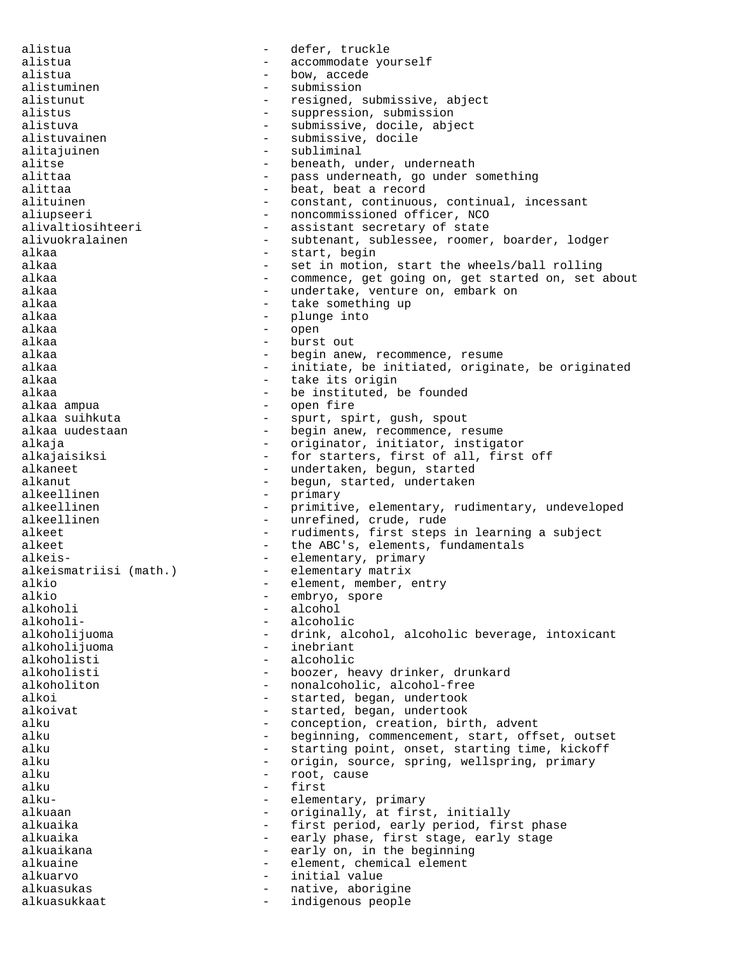alistua  $-\qquad -\qquad$ defer, truckle alistua - accommodate yourself<br>alistua - bow, accede - bow, accede alistuminen en andre submission alistunut - resigned, submissive, abject alistus - suppression, submission<br>alistuva - submissive, docile, abj alistuva - submissive, docile, abject<br>alistuvainen - submissive, docile - submissive, docile alitajuinen 1988 - Subliminal alitse  $-$  beneath, under, underneath alittaa - pass underneath, go under something alittaa - beat, beat a record alituinen 1989 - constant, continuous, continual, incessant aliupseeri - noncommissioned officer, NCO alivaltiosihteeri - assistant secretary of state alivuokralainen 1988 - subtenant, sublessee, roomer, boarder, lodger alkaa - start, begin<br>alkaa - set in motion alkaa - set in motion, start the wheels/ball rolling<br>alkaa - commence get going on get started on set - commence, get going on, get started on, set about alkaa - undertake, venture on, embark on alkaa - undertake venture on, embark on alkaa alkaa - take something up<br>alkaa - take something up - plunge into alkaa - open - open - open - open - open - open - open - open - open - open - open - open - open - open - open alkaa - burst out - burst out alkaa - begin anew, recommence, resume alkaa - initiate, be initiated, originate, be originated alkaa - take its origin alkaa - be instituted, be founded<br>alkaa ampua alkaa ampua  $\qquad \qquad$  - open fire alkaa suihkuta - spurt, spirt, gush, spout alkaa uudestaan - - begin anew, recommence, resume alkaja - originator, initiator, instigator<br>alkajaisiksi - for starters, first of all, first alkajaisiksi - for starters, first of all, first off alkaneet - undertaken, begun, started<br>alkanut - begun, started, undertaken alkanut - begun, started, undertaken alkeellinen - primary - primary<br>alkeellinen - primitiv - primitive, elementary, rudimentary, undeveloped alkeellinen en andere van de monderned, crude, rude alkeet - rudiments, first steps in learning a subject alkeet - the ABC's, elements, fundamentals alkeis-<br>alkeismatriisi (math.) - elementary matrix<br>- elementary matrix - elementary matrix alkio  $\qquad \qquad -$  element, member, entry alkio  $\qquad \qquad -$  embryo, spore alkio - embryo, spore<br>alkoholi - alcohol alkoholi - alcohol alkoholi- - alcoholic - drink, alcohol, alcoholic beverage, intoxicant alkoholijuoma - inebriant - alcoholic alkoholisti - boozer, heavy drinker, drunkard alkoholiton - nonalcoholic, alcohol-free alkoi  $-$  started, began, undertook alkoivat - started, began, undertook<br>alku - concention creation bir alku - conception, creation, birth, advent alku entertained - beginning, commencement, start, offset, outset alku - starting point, onset, starting time, kickoff alku - origin, source, spring, wellspring, primary<br>alku - root, cause alku - root, cause alku - first - first - first - first - first - first - first - first - first - first - first - first - first - first - first - first - first - first - first - first - first - first - first - first - first - first - first -- elementary, primary alkuaan - originally, at first, initially alkuaika - first period, early period, first phase alkuaika - early phase, first stage, early stage alkuaikana - early on, in the beginning alkuaine - element, chemical element<br>alkuarvo - element - initial value alkuarvo - initial value alkuasukas - native, aborigine<br>alkuasukkaat - native, aborigine alkuasukkaat  $\qquad \qquad -$  indigenous people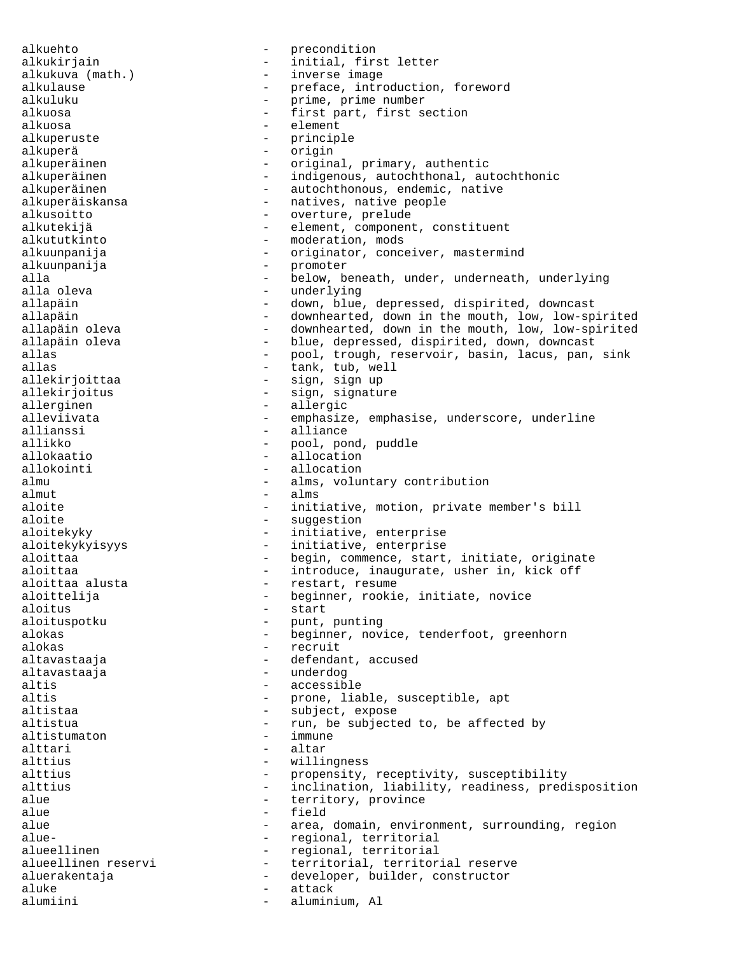alkuehto - precondition alkukirjain - initial, first letter<br>alkukuva (math.) - inverse image - inverse image alkulause extending the setting of the preface, introduction, foreword alkuluku - prime, prime number<br>alkuosa - - - - - first part, first s alkuosa - first part, first section<br>alkuosa - element - element alkuperuste - principle alkuperä alkuperäinen - original, primary, authentic alkuperäinen - indigenous, autochthonal, autochthonic<br>alkuperäinen - autochthonous, endemic, native - autochthonous, endemic, native alkuperäiskansa - natives, native people alkusoitto - overture, prelude alkutekijä  $-$  element, component, constituent alkututkinto - moderation, mods alkuunpanija - originator, conceiver, mastermind<br>alkuunpanija - promoter alkuunpanija<br>alla - promoteriale - promoteriale alla - below, beneath, under, underneath, underlying<br>alla oleva - underlying alla oleva - underlying allapäin - down, blue, depressed, dispirited, downcast - downhearted, down in the mouth, low, low-spirited allapäin oleva - downhearted, down in the mouth, low, low-spirited allapäin oleva - blue, depressed, dispirited, down, downcast allas - pool, trough, reservoir, basin, lacus, pan, sink - tank, tub, well allekirjoittaa <br />
- sign, sign up allekirjoitus - sign, signature allerginen - allergic alleviivata - emphasize, emphasise, underscore, underline allianssi - alliance allikko - pool, pond, puddle<br>allokaatio - allocation - allocation allokaatio - allocation - allocation almu - alms, voluntary contribution  $\begin{array}{cccc}\n & - & \text{alms}\n\end{array}$ aloite - initiative, motion, private member's bill aloite - suggestion aloitekyky enterprise - initiative, enterprise aloitekykyisyys - initiative, enterprise aloittaa - begin, commence, start, initiate, originate - introduce, inaugurate, usher in, kick off aloittaa alusta  $\qquad \qquad \qquad -$  restart, resume aloittelija - beginner, rookie, initiate, novice aloitus - start aloituspotku - punt, punting<br>alokas - beginner, nov - beginner, novice, tenderfoot, greenhorn alokas - recruit altavastaaja - defendant, accused altavastaaja - underdog altis - accessible altis - prone, liable, susceptible, apt<br>altistaa - subject. expose altistaa - subject, expose altistua - run, be subjected to, be affected by altistumaton - immune altistumaton alttari - altar alttius - willingness alttius  $-$  propensity, receptivity, susceptibility alttius - inclination, liability, readiness, predisposition alue  $-$  territory, province alue - field alue  $\qquad \qquad -$  area, domain, environment, surrounding, region alue- - regional, territorial alueellinen - regional, territorial<br>alueellinen reservi - territorial, territor - territorial, territorial reserve aluerakentaja - developer, builder, constructor aluke - attack - attack<br>alumiini - alumini alumiini - aluminium, Al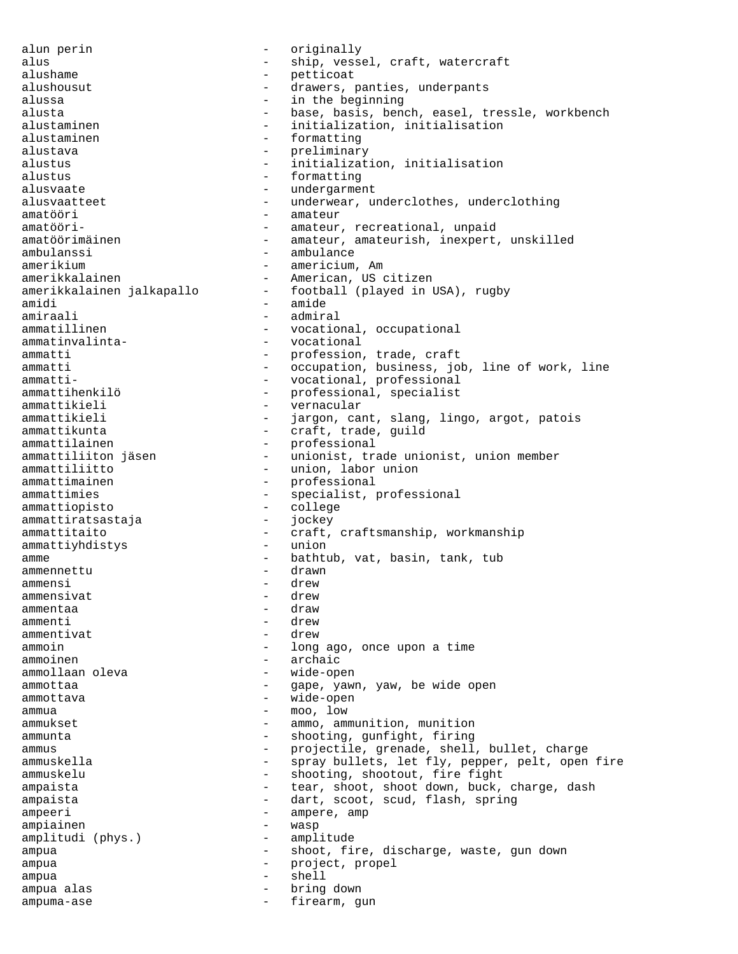alun perin alun - originally alus - ship, vessel, craft, watercraft<br>alushame - petticoat alushame - petticoat alushousut - drawers, panties, underpants alussa - in the beginning alusta - base, basis, bench, easel, tressle, workbench alustaminen - initialization, initialisation<br>alustaminen - formatting alustaminen - formatting<br>alustava - preliminary - preliminary alustus - initialization, initialisation alustus - formatting alusvaate - undergarment alusvaatteet - underwear, underclothes, underclothing amatööri - amateur amatööri-  $\qquad \qquad -$  amateur, recreational, unpaid amatöörimäinen 1988 - amateur, amateurish, inexpert, unskilled ambulanssi - ambulance amerikium - americium, Am<br>amerikkalainen - American, US amerikkalainen - American, US citizen<br>amerikkalainen jalkapallo - football (played in U - football (played in USA), rugby amidi - amide<br>amiraali - admiri amiraali - admiral - vocational, occupational<br>- vocational ammatinvalintaammatti - profession, trade, craft ammatti - occupation, business, job, line of work, line ammatti-  $\sim$  - vocational, professional ammattihenkilö - professional, specialist ammattikieli - vernaculari - vernaculari - vernaculari - vernaculari - vernaculari - vernaculari - vernaculari - vernaculari - vernaculari - vernaculari - vernaculari - vernaculari - vernaculari - vernaculari - vernaculari jargon, cant, slang, lingo, argot, patois ammattikunta - craft, trade, guild ammattilainen - professional<br>ammattiliiton jäsen - unionist, tra ammattiliiton jäsen - unionist, trade unionist, union member - union, labor union ammattimainen - professional ammattimies - specialist, professional<br>ammattiopisto - college ammattiopisto - college - college - college - college - college - college - college - college - college - college - college - college - college - college - college - college - college - college - college - college - colleg ammattiratsastaja - jockey ammattitaito - craft, craftsmanship, workmanship ammattiyhdistys - union - union - union - union - union - union - union - union - union - union - union - unio amme - bathtub, vat, basin, tank, tub ammennettu - drawn ammensi<br>ammensiyat - drew<br>ammensiyat - drew ammensivat ammentaa - draw - draw ammenti - drew ammentivat ammoin  $\qquad \qquad -$  long ago, once upon a time ammoinen - archaic ammollaan oleva - wide-open ammottaa - sammottaa - gape, yawn, yaw, be wide open ammottava - wide-open ammua - moo, low ammukset - ammo, ammunition, munition<br>ammunta - shooting gunfight firing ammunta - shooting, gunfight, firing ammus<br>- projectile, grenade, shell, bullet, charge<br>- spray bullets, let fly penner pelt, open ammuskella - spray bullets, let fly, pepper, pelt, open fire ammuskelu - shooting, shootout, fire fight ampaista - tear, shoot, shoot down, buck, charge, dash ampaista - dart, scoot, scud, flash, spring ampeeri - ampere, amp<br>ampiainen - wasp ampiainen - wasp amplitudi (phys.) ampua  $-$  shoot, fire, discharge, waste, gun down ampua - project, propel ampua - shell ampua alas - bring down ampuma-ase - firearm, gun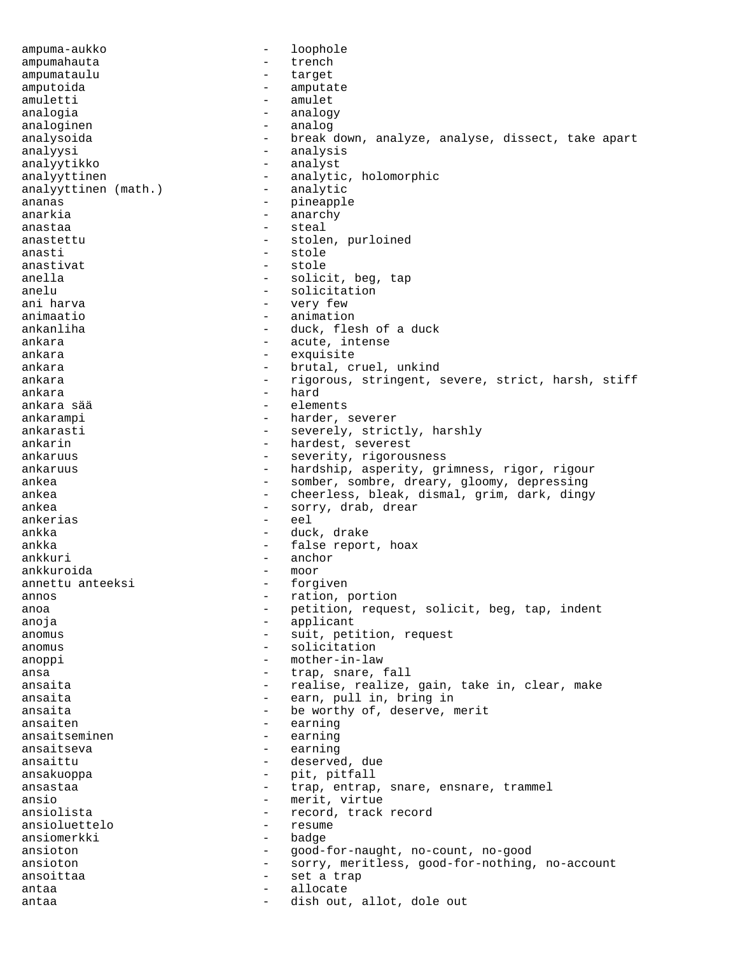ampuma-aukko - loophole ampumahauta - trench ampumataulu - target amputoida - amputate amuletti - amulet analogia - analogy analoginen - analog analysoida - break down, analyze, analyse, dissect, take apart analyysi - analysis analyytikko - analyst analyyttinen - analytic, holomorphic<br>analyyttinen (math.) - analytic analyyttinen (math.) ananas - pineapple anarkia - anarchy anastaa - steal - steal anastettu - stolen, purloined anasti - stole anastivat - stole anella - solicit, beg, tap anelu - solicitation ani harva - very few - animation ankanliha - duck, flesh of a duck ankara  $\qquad \qquad -$  acute, intense ankara - exquisite ankara  $-$  brutal, cruel, unkind ankara - rigorous, stringent, severe, strict, harsh, stiff ankara  $\qquad \qquad$  - hard ankara sää - elements ankarampi  $-$  harder, severer ankarasti - severely, strictly, harshly<br>ankarin - hardest, severest ankarin - hardest, severest ankaruus - severity, rigorousness<br>ankaruus - hardship, asperity, qr ankaruus - hardship, asperity, grimness, rigor, rigour<br>ankea - somber, sombre, dreary, gloomy, depressing ankea - cheerless, bleak, dismal, grim, dark, dingy ankea - sorry, drab, drear<br>ankerias - eel ankerias ankka - duck, drake ankka - false report, hoax ankkuri - anchor - anchor - anchor - anchor - anchor - moor - moor - moor - moor - moor - moor - moor - moor ankkuroida - moor<br>annettu anteeksi - forgiven annettu anteeksi annos - ration, portion anoa anoa - petition, request, solicit, beg, tap, indent anoja - applicant anomus - suit, petition, request anomus - solicitation anoppi - mother-in-law ansa  $-$  trap, snare, fall ansaita  $-$  realise, realize, gain, take in, clear, make ansaita - earn, pull in, bring in ansaita - be worthy of, deserve, merit ansaiten - earning ansaitseminen - earning<br>ansaitseva - earning ansaitseva - earning ansaittu - deserved, due - pit, pitfall ansastaa - trap, entrap, snare, ensnare, trammel ansio - merit, virtue ansiolista - record, track record ansioluettelo - resume ansioluettelo ansiomerkki - badge ansioton - good-for-naught, no-count, no-good ansioton - sorry, meritless, good-for-nothing, no-account ansoittaa - set a trap antaa - allocate antaa - dish out, allot, dole out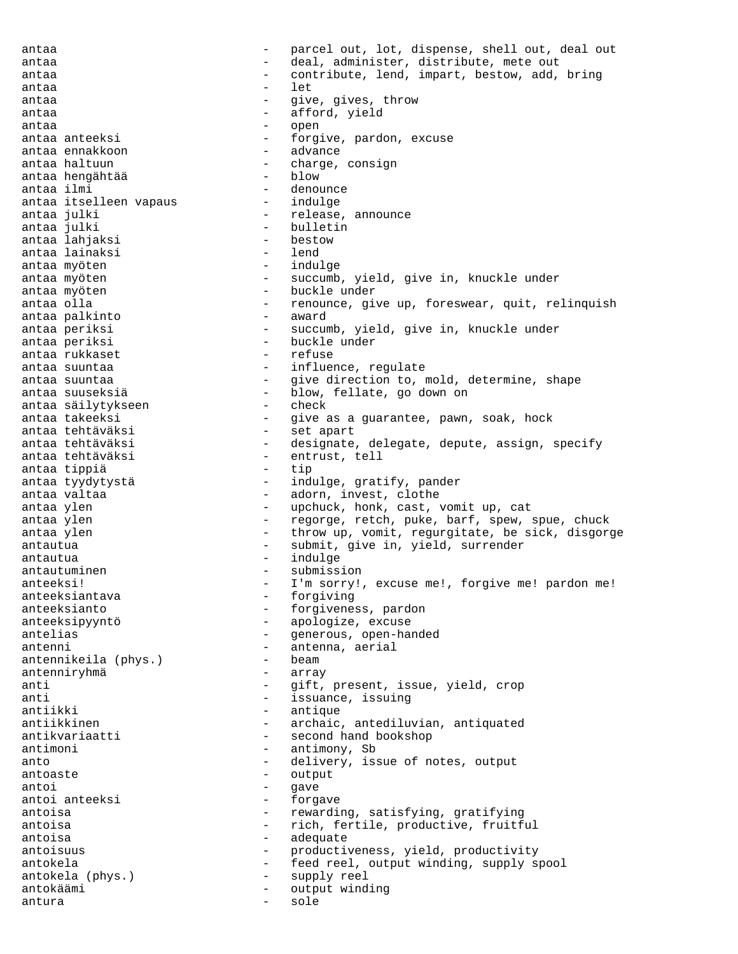antaa - parcel out, lot, dispense, shell out, deal out antaa - deal, administer, distribute, mete out antaa - contribute, lend, impart, bestow, add, bring<br>antaa - let antaa - let antaa - give, gives, throw antaa - afford, yield antaa - open - open - open - open - open - open - open - open - open - open - open - open - open - open - open antaa anteeksi - forgive, pardon, excuse antaa ennakkoon - - forgive, pardon, excuse antaa ennakkoon antaa haltuun - charge, consign<br>antaa hengähtää - - - - - - blow antaa hengähtää antaa ilmi - denounce antaa itselleen vapaus antaa julki - release, announce - bulletin<br>- bestow antaa lahjaksi - bestow antaa lainaksi - lend antaa myöten antaa myöten esimestelle varitselle varitselle under succumb, yield, give in, knuckle under antaa myöten  $\qquad \qquad$  - buckle under antaa olla - renounce, give up, foreswear, quit, relinquish antaa palkinto - award antaa palkinto antaa periksi - succumb, yield, give in, knuckle under antaa periksi - buckle under<br>
antaa rukkaset - - - - - - - - - refuse antaa rukkaset antaa suuntaa - influence, regulate antaa suuntaa - give direction to, mold, determine, shape antaa suuseksiä - blow, fellate, go down on antaa säilytykseen - check antaa takeeksi  $-$  give as a guarantee, pawn, soak, hock antaa tehtäväksi - set apart antaa tehtäväksi - designate, delegate, depute, assign, specify antaa tehtäväksi - entrust, tell antaa tippiä - tip antaa tyydytystä - indulge, gratify, pander antaa valtaa - - - - - - - - - adorn, invest, clothe antaa ylen - upchuck, honk, cast, vomit up, cat antaa ylen - regorge, retch, puke, barf, spew, spue, chuck antaa ylen - throw up, vomit, regurgitate, be sick, disgorge antautua - submit, give in, yield, surrender antautua - indulge antautuminen - submission anteeksi! - I'm sorry!, excuse me!, forgive me! pardon me! anteeksiantava - forgiving anteeksianto - forgiveness, pardon anteeksipyyntö - apologize, excuse antelias - generous, open-handed antenni<br>
antennikeila (phys.) (antenna, aerial<br>
- beam antennikeila (phys.) - beam<br>antennirvhmä - array antenniryhmä anti - gift, present, issue, yield, crop anti  $-$  issuance, issuing antiikki - antique antiikkinen - archaic, antediluvian, antiquated antikvariaatti - second hand bookshop - second hand bookshop antimoni - antimony, Sb<br>anto - delivery is anto - delivery, issue of notes, output<br>
- output antoaste - output - output - output - output - output - output - output - output - output - output - output - o antoi - gave antoi anteeksi antoisa - rewarding, satisfying, gratifying antoisa - rich, fertile, productive, fruitful antoisa - adequate antoisuus - productiveness, yield, productivity antokela - feed reel, output winding, supply spool antokela (phys.) - supply reel antokäämi - output winding antura - sole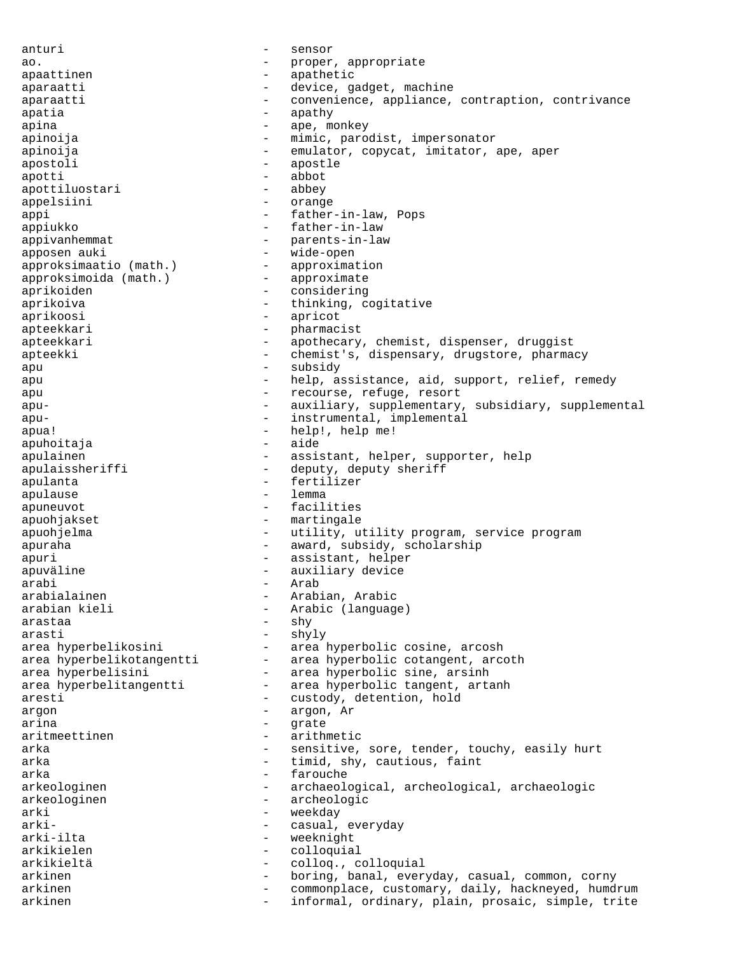anturi - sensor ao.  $\qquad \qquad -$  proper, appropriate apaattinen - apathetic aparaatti - device, gadget, machine aparaatti - convenience, appliance, contraption, contrivance apatia  $-$  apathy apina  $-$  ape, monkey apinoija - mimic, parodist, impersonator apinoija - emulator, copycat, imitator, ape, aper apostoli - apostle apotti<br>
abbot<br>
abbey - abbey<br>
abbey apottiluostari appelsiini - orange appi - father-in-law, Pops appiukko - father-in-law appivanhemmat - parents-in-law<br>apposen\_auki - wide-open apposen auki - wide-open<br>approksimaatio (math.) - approximation approksimaatio (math.) - approximation<br>approksimoida (math.) - approximate approksimoida (math.) aprikoiden - considering aprikoiva  $-$  thinking, cogitative aprikoosi - apricot apteekkari - pharmacist apteekkari - apothecary, chemist, dispenser, druggist apteekki - chemist's, dispensary, drugstore, pharmacy apu - subsidy - subsidy apu - help, assistance, aid, support, relief, remedy apu - recourse, refuge, resort<br>apu- - recourse, refuge, resort apu- - auxiliary, supplementary, subsidiary, supplemental apu- - instrumental, implemental apua! - help!, help me! apuhoitaja - aide apulainen 1988 - assistant, helper, supporter, help apulaissheriffi - deputy, deputy sheriff apulanta - fertilizer apulause apuneuvot - facilities apuohjakset - martingale apuohjelma - utility, utility program, service program apuraha - award, subsidy, scholarship apuri - assistant, helper apuväline - auxiliary device arabi - Arab<br>arabialainen - Arab arabialainen - Arabian, Arabic arabian kieli  $-$  Arabic (language) arastaa - shy arasti - shyly area hyperbelikosini - area hyperbolic cosine, arcosh area hyperbelikotangentti - area hyperbolic cotangent, arcoth area hyperbelisini - area hyperbolic sine, arsinh area hyperbelitangentti - area hyperbolic tangent, artanh aresti - custody, detention, hold<br>argon - argon, Ar argon - argon, Ar arina - grate - grate<br>aritmeettinen - - arithm aritmeettinen - arithmetic<br>arka - sensitive arka - sensitive, sore, tender, touchy, easily hurt<br>arka - timid shy cautious faint arka  $-$  timid, shy, cautious, faint arka - farouche - farouche arkeologinen - archaeological, archeological, archaeologic arkeologinen - archeologic arki - weekday arki- - casual, everyday arki-ilta - weeknight arkikielen - colloquial arkikieltä - colloq., colloquial arkinen - boring, banal, everyday, casual, common, corny arkinen - commonplace, customary, daily, hackneyed, humdrum arkinen - informal, ordinary, plain, prosaic, simple, trite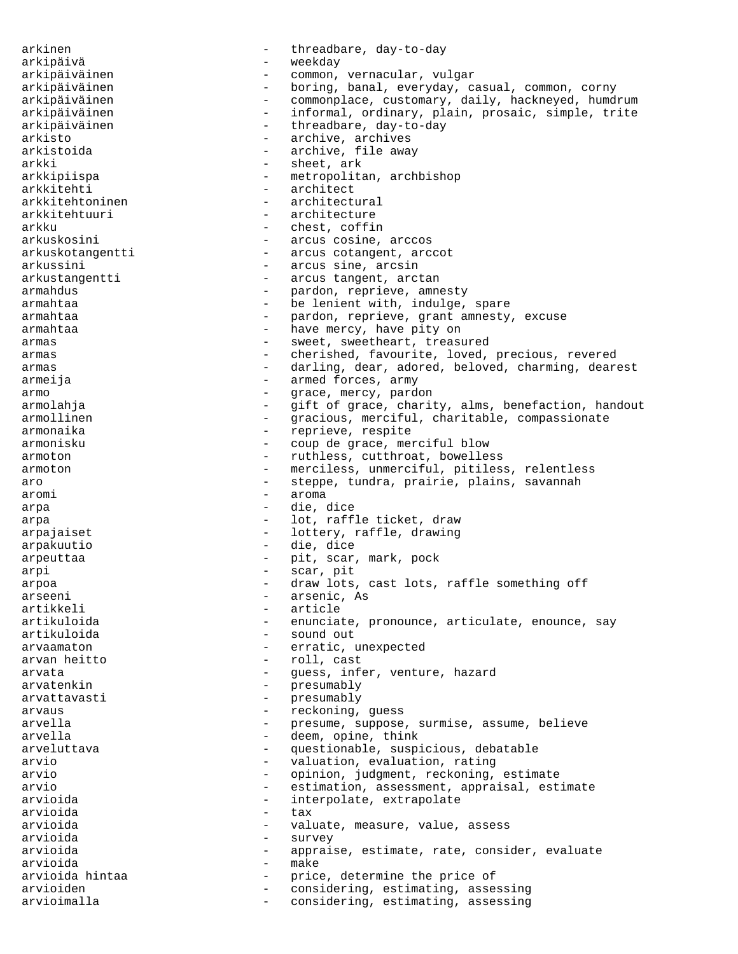arkinen - threadbare, day-to-day arkipäivä - weekday arkipäiväinen - common, vernacular, vulgar arkipäiväinen 1988 - boring, banal, everyday, casual, common, corny arkipäiväinen 1988 - commonplace, customary, daily, hackneyed, humdrum arkipäiväinen 1988 - informal, ordinary, plain, prosaic, simple, trite arkipäiväinen - threadbare, day-to-day<br>arkisto arkisto - archive, archives<br>arkistoida - archive, file awa - archive, file away arkki - sheet, ark arkkipiispa - metropolitan, archbishop arkkitehti - architect arkkitehtoninen eta erreferentzailaren architectural arkkitehtuuri - architecture arkku - chest, coffin arkuskosini - arcus cosine, arccos arkuskotangentti - arcus cotangent, arccot arkussini - arcus sine, arcsin arkustangentti - arcus tangent, arctan<br>armahdus - arcus tangent, arctan armahdus - pardon, reprieve, amnesty armahtaa - be lenient with, indulge, spare armahtaa - pardon, reprieve, grant amnesty, excuse armahtaa - have mercy, have pity on armas - sweet, sweetheart, treasured armas - cherished, favourite, loved, precious, revered armas armas - darling, dear, adored, beloved, charming, dearest armeija - armed forces, army armo - grace, mercy, pardon<br>armolahja - gift of grace, chari - gift of grace, charity, alms, benefaction, handout armollinen - gracious, merciful, charitable, compassionate armonaika  $-$  reprieve, respite armonisku - coup de grace, merciful blow armoton - ruthless, cutthroat, bowelless armoton - merciless, unmerciful, pitiless, relentless aro  $-$  steppe, tundra, prairie, plains, savannah<br>
- aroma aromi - aroma - aroma - aroma - aroma - aroma - aroma - aroma - aroma - aroma - aroma - aroma - aroma - aroma - aroma - aroma - aroma - aroma - aroma - aroma - aroma - aroma - aroma - aroma - aroma - aroma - aroma - aroma arpa - die, dice arpa  $\qquad \qquad -$  lot, raffle ticket, draw arpajaiset <a>>
->
->
lottery, raffle, drawing</a>
reset <a>
d</a>
reset <a>
d</a>
reset <a>
d</a>
reset <a>
d</a>
reset <a>
d</a>
reset <a>
d<br/>
reset <a>
d<br/>
reset <a>
d<br/>
reset <a>
d<br/>
reset <a>
d<br/>
reset arpakuutio - die, dice arpeuttaa - pit, scar, mark, pock<br>arpi - scar, nit arpi - scar, pit arpoa - draw lots, cast lots, raffle something off<br>
- arsenic As arseeni - arsenic, As<br>artikkeli - article - article artikkeli - article artikuloida enunciate, pronounce, articulate, enounce, say<br>
 sound out - sound out arvaamaton - erratic, unexpected arvan heitto  $-$  roll, cast arvata - guess, infer, venture, hazard arvatenkin - presumably arvattavasti - presumably<br>arvaus - reckoning arvaus - reckoning, guess arvella - presume, suppose, surmise, assume, believe arvella - deem, opine, think arveluttava - questionable, suspicious, debatable arvio - valuation, evaluation, rating arvio - opinion, judgment, reckoning, estimate arvio - estimation, assessment, appraisal, estimate arvioida - interpolate, extrapolate<br>
- tax<br>
- tax arvioida - tax arvioida - valuate, measure, value, assess arvioida - survey arvioida - appraise, estimate, rate, consider, evaluate arvioida - make arvioida hintaa - en - price, determine the price of<br>arvioiden - en - considering, estimating, asse arvioiden entry and the considering, estimating, assessing arvioimalla  $\sim$  - considering, estimating, assessing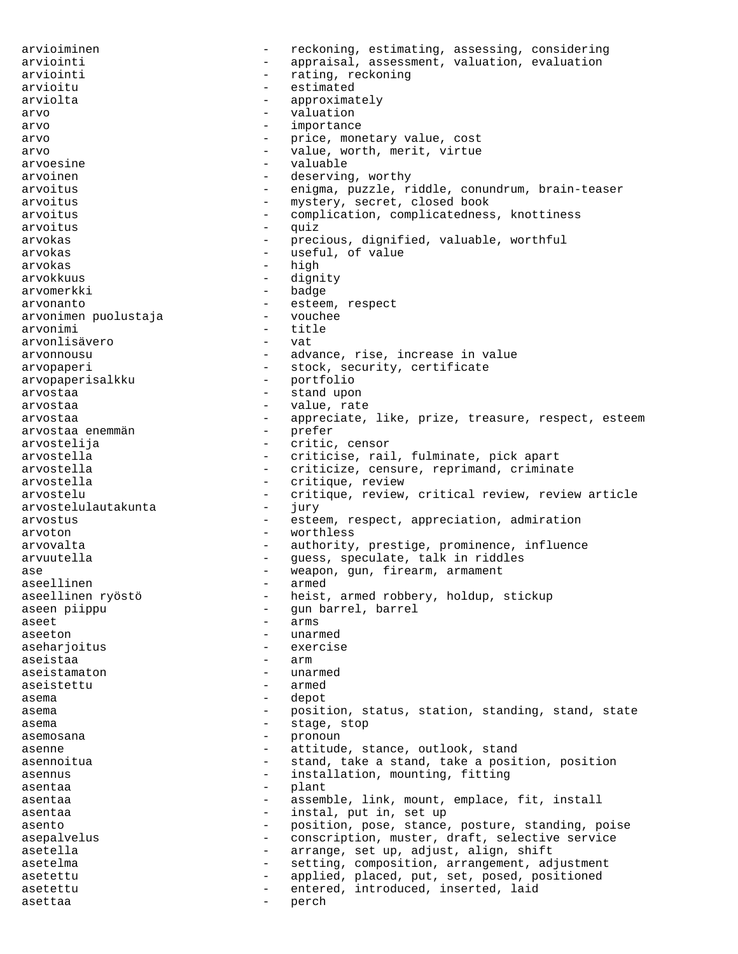arvioiminen and the reckoning, estimating, assessing, considering arviointi - appraisal, assessment, valuation, evaluation arviointi  $\qquad \qquad -$  rating, reckoning arvioitu - estimated arviolta - approximately arvo - valuation arvo - importance arvo - price, monetary value, cost<br>arvo - value worth merit virtue arvo - value, worth, merit, virtue<br>arvoesine - valuable arvoesine - valuable arvoinen - deserving, worthy<br>arvoitus - enigma.puzzle.r - enigma, puzzle, riddle, conundrum, brain-teaser arvoitus - mystery, secret, closed book arvoitus - complication, complicatedness, knottiness arvoitus - quiz arvokas - precious, dignified, valuable, worthful<br>arvokas arvokas - useful, of value high arvokkuus - dignity arvomerkki - badge arvonanto<br>
arvonimen puolustaja<br>
 - vouchee<br>
vouchee arvonimen puolustaja arvonimi - title<br>arvonlisävero - vat arvonlisävero<br>arvonnousu - advance, rise, increase in value arvopaperi - stock, security, certificate - stock, security, certificate arvopaperisalkku arvostaa - stand upon arvostaa - value, rate arvostaa - appreciate, like, prize, treasure, respect, esteem<br>arvostaa enemmän - prefer arvostaa enemmän - prefer arvostelija - critic, censor - critic, censor - criticise, rai arvostella - criticise, rail, fulminate, pick apart<br>arvostella - criticize, censure, reprimand, crimina - criticize, censure, reprimand, criminate arvostella  $-$  critique, review arvostelu - critique, review, critical review, review article<br>arvostelulautakunta - jury arvostelulautakunta arvostus - esteem, respect, appreciation, admiration arvoton - worthless arvovalta - authority, prestige, prominence, influence arvuutella - Guess, speculate, talk in riddles ase example are the set of the weapon, gun, firearm, armament aseellinen - armed aseellinen ryöstö  $-$  heist, armed robbery, holdup, stickup aseen piippu - qun barrel, barrel  $\alpha$ seet  $\alpha$  -  $\alpha$  -  $\alpha$  -  $\alpha$  arms aseeton - unarmed aseharjoitus - exercise<br>aseistaa - arm aseistaa aseistamaton - unarmed aseistettu - armed asema - depot asema  $-$  position, status, station, standing, stand, state asema - stage, stop asemosana  $\qquad \qquad \qquad -$  pronoun asenne - attitude, stance, outlook, stand asennoitua - stand, take a stand, take a position, position asennus - installation, mounting, fitting asentaa - plant - plant - plant - plant - plant - plant - plant - plant - plant - plant - plant - plant - plant - plant - plant - plant - plant - plant - plant - plant - plant - plant - plant - plant - plant - plant - plan asentaa - assemble, link, mount, emplace, fit, install asentaa - instal, put in, set up asento  $-$  position, pose, stance, posture, standing, poise asepalvelus - conscription, muster, draft, selective service asetella - arrange, set up, adjust, align, shift asetelma - setting, composition, arrangement, adjustment asetettu - applied, placed, put, set, posed, positioned asetettu - entered, introduced, inserted, laid asettaa - perch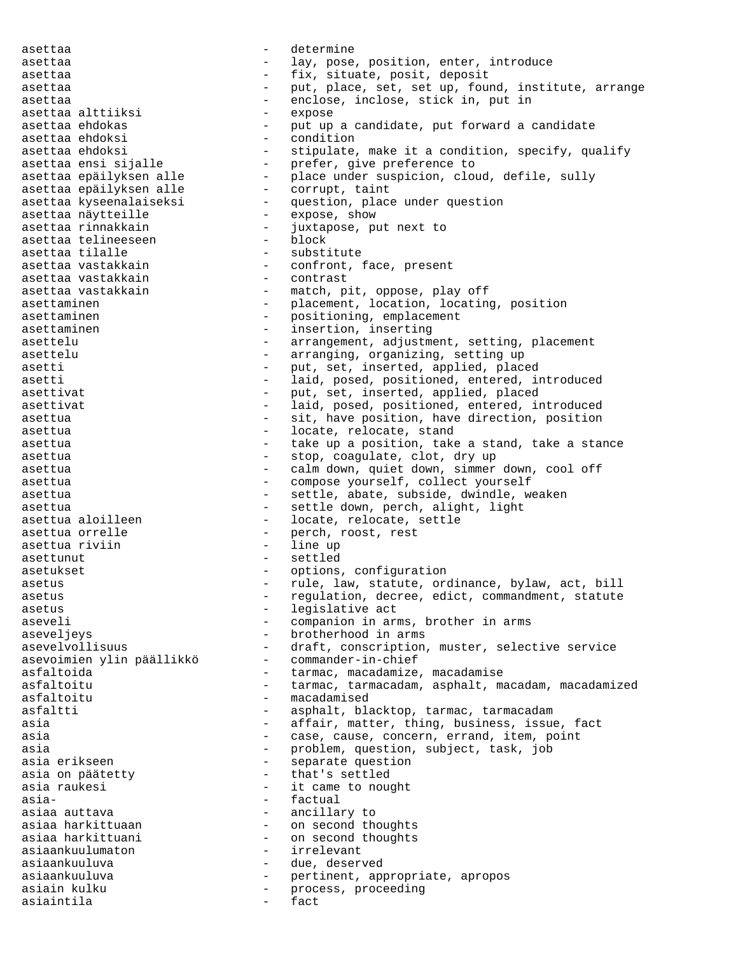asettaa - determine asettaa - lay, pose, position, enter, introduce asettaa - fix, situate, posit, deposit asettaa - put, place, set, set up, found, institute, arrange asettaa - enclose, inclose, stick in, put in asettaa alttiiksi - expose asettaa ehdokas - put up a candidate, put forward a candidate asettaa ehdoksi - condition asettaa ehdoksi - condition asettaa ehdoksi stipulate, make it a condition, specify, qualify asettaa ensi sijalle prefer, give preference to asettaa epäilyksen alle place under suspicion, cloud, defile, sully asettaa epäilyksen alle - corrupt, taint asettaa kyseenalaiseksi - question, place under question asettaa näytteille - expose, show asettaa rinnakkain - juxtapose, put next to asettaa telineeseen - block asettaa tilalle - substitute asettaa vastakkain - confront, face, present asettaa vastakkain - contrast asettaa vastakkain - match, pit, oppose, play off asettaminen - placement, location, locating, position<br>asettaminen - positioning, emplacement asettaminen - positioning, emplacement asettaminen - insertion, inserting asettelu - arrangement, adjustment, setting, placement asettelu - arranging, organizing, setting up asetti - put, set, inserted, applied, placed asetti - laid, posed, positioned, entered, introduced<br>asettivat - put set inserted applied placed asettivat - put, set, inserted, applied, placed asettivat - laid, posed, positioned, entered, introduced asettua - sit, have position, have direction, position asettua - locate, relocate, stand asettua - take up a position, take a stand, take a stance asettua - stop, coagulate, clot, dry up asettua - calm down, quiet down, simmer down, cool off asettua - compose yourself, collect yourself asettua - settle, abate, subside, dwindle, weaken asettua - settle down, perch, alight, light asettua aloilleen - locate, relocate, settle asettua orrelle  $-$  perch, roost, rest asettua riviin - line up asettunut - settled asetukset - options, configuration asetus - rule, law, statute, ordinance, bylaw, act, bill asetus - regulation, decree, edict, commandment, statute asetus - legislative act aseveli - companion in arms, brother in arms<br>aseveljeys - brotherhood in arms - brotherhood in arms asevelvollisuus - draft, conscription, muster, selective service asevoimien ylin päällikkö - commander-in-chief asfaltoida - tarmac, macadamize, macadamise asfaltoitu eta este este armac, tarmacadam, asphalt, macadam, macadamized asfaltoitu - macadamised asfaltti - asphalt, blacktop, tarmac, tarmacadam asia  $-$  affair, matter, thing, business, issue, fact asia entry case, cause, concern, errand, item, point asia - problem, question, subject, task, job asia erikseen  $\hspace{1.6cm}$  - separate question asia on päätetty  $-$  that's settled asia raukesi  $-$  it came to nought asia- extended to the factual state of  $\sim$  factual asiaa auttava - ancillary to asiaa harkittuaan  $\qquad \qquad$  - on second thoughts asiaa harkittuani - on second thoughts asiaankuulumaton - irrelevant asiaankuuluva - due, deserved asiaankuuluva - pertinent, appropriate, apropos<br>asiain kulku - process, proceeding asiain kulku - - - - - - - - - - - - process, proceeding<br>
- - - - - - - fact asiaintila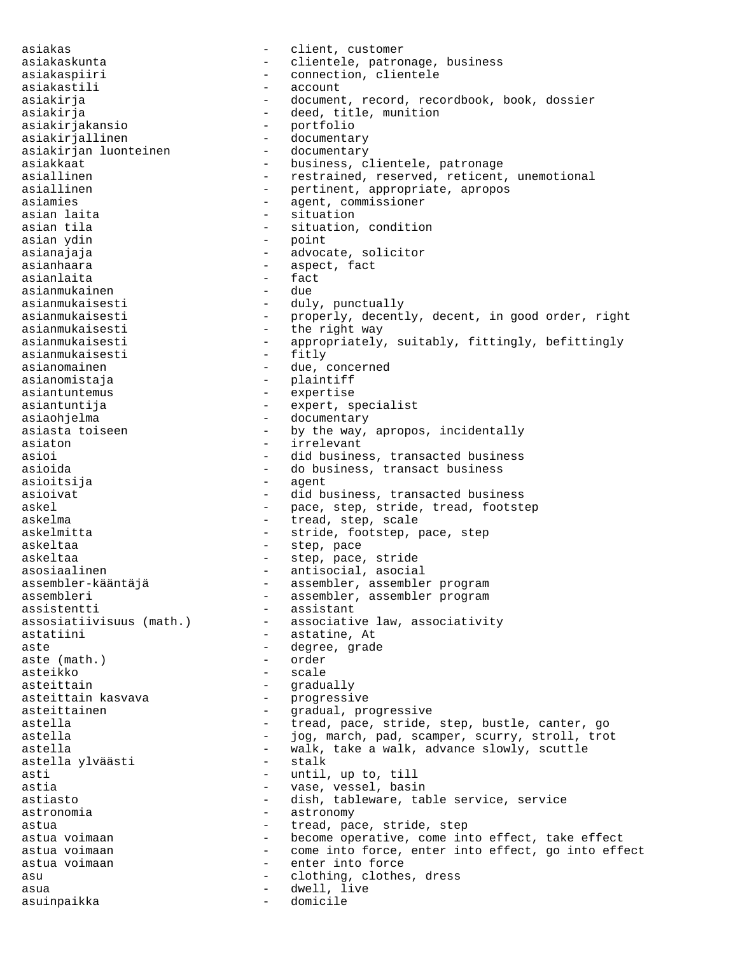asiakas - client, customer asiakaskunta - clientele, patronage, business asiakaspiiri - connection, clientele asiakastili - connection, clientele asiakastili asiakirja - document, record, recordbook, book, dossier asiakirja - deed, title, munition asiakirjakansio - portfolio asiakirjallinen - documentary<br>asiakirjan luonteinen - documentary asiakirjan luonteinen asiakkaat - business, clientele, patronage asiallinen en extrained, reserved, reticent, unemotional asiallinen en andre and the pertinent, appropriate, apropos asiamies - agent, commissioner asian laita  $-$  situation asian tila  $\begin{array}{ccc} - & \text{situation, condition} \\ - & \text{point} \end{array}$ asian ydin asianajaja - advocate, solicitor asianhaara - aspect, fact asianlaita - fact asianmukainen - due asianmukaisesti - duly, punctually<br>asianmukaisesti - - properly, decent - properly, decently, decent, in good order, right asianmukaisesti - the right way<br>asianmukaisesti - appropriately - appropriately, suitably, fittingly, befittingly<br>- fitlv asianmukaisesti asianomainen - due, concerned asianomistaja - plaintiff asiantuntemus - expertise asiantuntija - expert, specialist asiaohjelma - documentary asiasta toiseen - by the way, apropos, incidentally<br>asiaton - irrelevant - irrelevant asioi - did business, transacted business<br>asioida - - do business, transact business - do business, transact business asioitsija - agent asioivat - did business, transacted business askel - pace, step, stride, tread, footstep askelma - tread, step, scale askelmitta - stride, footstep, pace, step askeltaa - step, pace askeltaa - step, pace, stride asosiaalinen - antisocial, asocial assembler-kääntäjä - assembler, assembler program assembleri - assembler, assembler program assistentti - assistant - associative law, associativity astatiini  $-$  astatine, At aste  $\begin{array}{ccc} - & \text{degree, grade} \\ - & \text{order} \end{array}$ aste (math.)<br>asteikko - scale asteittain - gradually asteittain kasvava - progressive asteittainen - gradual, progressive astella - tread, pace, stride, step, bustle, canter, go<br>astella - iog. march. pad. scamper. scurry stroll tro astella - iog, march, pad, scamper, scurry, stroll, trot astella - walk, take a walk, advance slowly, scuttle astella vlväästi - stalk astella ylväästi asti - until, up to, till<br>astia - vase vessel basi - vase, vessel, basin astiasto  $-$  dish, tableware, table service, service astronomia extraordination astronomy astronomy astua - tread, pace, stride, step astua voimaan - become operative, come into effect, take effect astua voimaan and the come into force, enter into effect, go into effect astua voimaan enter into force asu external clothing, clothes, dress asua - dwell, live asuinpaikka - domicile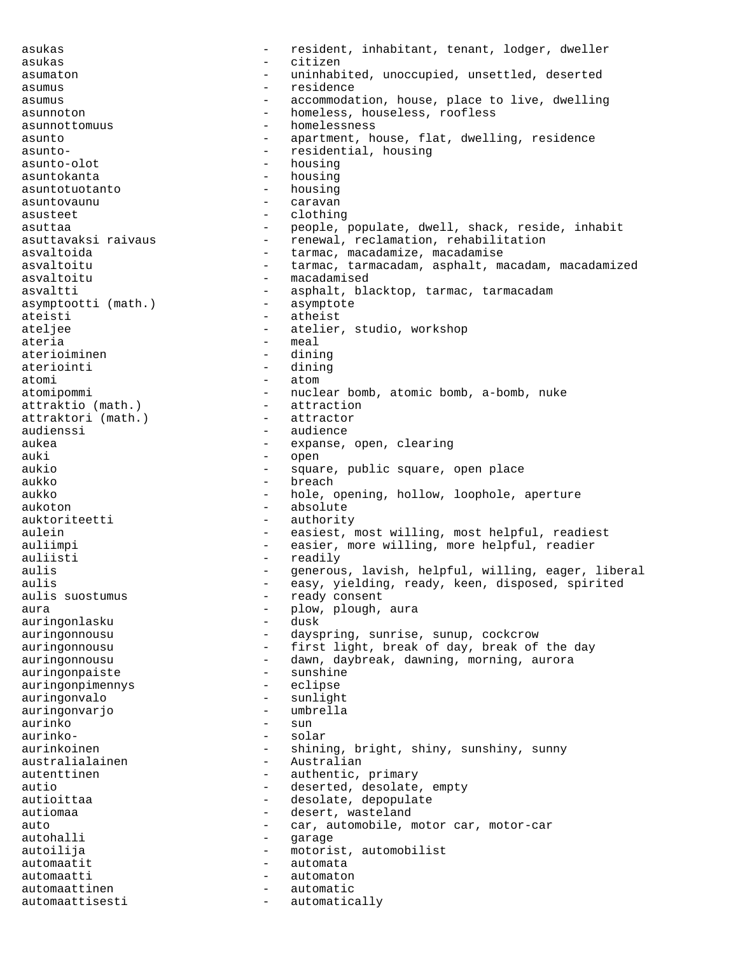asukas and the resident, inhabitant, tenant, lodger, dweller asukas - citizen asumaton - uninhabited, unoccupied, unsettled, deserted asumus - residence asumus - accommodation, house, place to live, dwelling asunnoton - homeless, houseless, roofless asunnottomuus - homelessness asunto - apartment, house, flat, dwelling, residence asunto-  $-$  residential, housing asunto-olot - housing asuntokanta - housing asuntotuotanto - housing asuntovaunu - caravan asusteet - clothing asuttaa - people, populate, dwell, shack, reside, inhabit asuttavaksi raivaus  $\qquad \qquad -$  renewal, reclamation, rehabilitation asvaltoida - tarmac, macadamize, macadamise asvaltoitu en macadam - tarmac, tarmacadam, asphalt, macadam, macadamized asvaltoitu - macadamised asvaltti - asphalt, blacktop, tarmac, tarmacadam<br> asymptootti (math.) - asymptote asymptootti (math.) ateisti - atheist ateljee - atelier, studio, workshop - meal aterioiminen - dining<br>ateriointi - dining ateriointi - dining atomi - atom atomipommi - nuclear bomb, atomic bomb, a-bomb, nuke<br>attraktio (math.) - attraction attraktio (math.) - attraction attraktori (math.) -<br>audienssi audienssi - audience<br>aukea - australianus - australianus aukea - expanse, open, clearing<br>auki - open auki - open aukio - square, public square, open place aukko - breach aukko - hole, opening, hollow, loophole, aperture aukoton - absolute auktoriteetti - authority aulein and the easiest, most willing, most helpful, readiest auliimpi - easier, more willing, more helpful, readier auliisti - readily aulis - generous, lavish, helpful, willing, eager, liberal aulis<br>aulis suostumus – easy, yielding, ready, keen, disposed, spirited<br>aulis suostumus aulis suostumus - ready consent aura - plow, plough, aura<br>auringonlasku - dusk - dusk auringonlasku auringonnousu - dayspring, sunrise, sunup, cockcrow auringonnousu - first light, break of day, break of the day<br>auringonnousu - dawn, daybreak, dawning, morning, aurora - dawn, daybreak, dawning, morning, aurora<br>- sunshine auringonpaiste auringonpimennys - eclipse auringonvalo - sunlight auringonvarjo - umbrella aurinko - sun - sun - sun - sun - solar aurinko- - solar aurinkoinen - shining, bright, shiny, sunshiny, sunny<br>australialainen - Australian australialainen 1988 - Australian autenttinen 1988 - Australian authentic, - authentic, primary autio - deserted, desolate, empty<br>autioittaa - desolate, depopulate autioittaa - desolate, depopulate<br>autiomaa - desert, wasteland - desert, wasteland auto - car, automobile, motor car, motor-car<br>autohalli - qaraqe - qaraqe - garage autoilija - motorist, automobilist automaatit - automata automata - automata - automata - automata - automata - automata - automata - automata automaatti - automaton automaattinen - automatic automaattisesti - automatically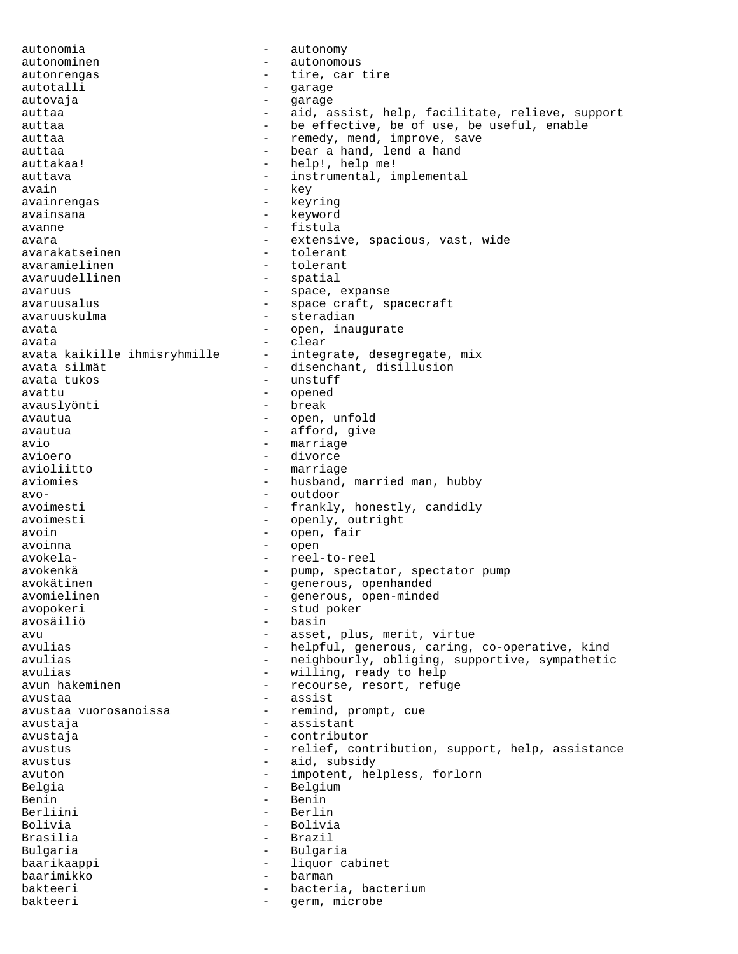autonomia - autonomy autonominen - autonomous autonrengas - tire, car tire autotalli - garage autovaja - garage auttaa - aid, assist, help, facilitate, relieve, support auttaa - - - - - - - - be effective, be of use, be useful, enable auttaa - remedy, mend, improve, save auttaa - bear a hand, lend a hand auttakaa! - help!, help me! auttava - instrumental, implemental avain<br>avain<br/>rengas <br/>
- key <br/>
- key <br/>
- key <br/>
- key <br/> - keyring avainsana - keyword avanne - fistula avara - extensive, spacious, vast, wide<br>
avarakatseinen tolerant avarakatseinen 1980 - tolerant avaramielinen 1980 - tolerant avaramielinen 1980 - tolerant avaramielinen avara avaramielinen - tolerant avaruudellinen avaruus - space, expanse<br>avaruusalus - space craft, space space space space space space space space space space space space space space avaruusalus - space craft, spacecraft<br>avaruuskulma - steradian - steradian avata  $\qquad \qquad -$  open, inaugurate avata - clear<br>avata kaikille ihmisryhmille - integr avata kaikille ihmisryhmille - integrate, desegregate, mix<br>avata silmät - disenchant, disillusion - disenchant, disillusion avata tukos - unstuff avattu - opened avauslyönti avautua - open, unfold avautua  $\qquad \qquad -$  afford, give avio - marriage avioero - divorce - divorce - divorce - divorce - divorce - divorce - divorce - divorce - divorce - divorce - - marriage aviomies - husband, married man, hubby avo- - outdoor - frankly, honestly, candidly avoimesti - openly, outright avoin - open, fair avoinna - open avokela- - reel-to-reel - pump, spectator, spectator pump avokätinen en metalliset van die verschieden van die generous, openhanded avonatinen<br>avomielinen - generous, open-minded avopokeri - stud poker - basin avu - asset, plus, merit, virtue avulias - helpful, generous, caring, co-operative, kind<br>avulias - heighbourly obliging supportive sympathetic - neighbourly, obliging, supportive, sympathetic avulias - willing, ready to help avun hakeminen - recourse, resort, refuge avustaa - assist avustaa vuorosanoissa - remind, prompt, cue avustaja - assistant avustaja - contributor avustus - relief, contribution, support, help, assistance avustus - aid, subsidy avuton - impotent, helpless, forlorn Belgia - Belgium - Belgium Benin - Benin Berliini - Berlin Bolivia - Bolivia Brasilia - Brazil Bulgaria  $-$  Bulgaria baarikaappi - liquor cabinet baarimikko - barman bakteeri - bacteria, bacterium<br>hakteeri - cerm microbe bakteeri - germ, microbe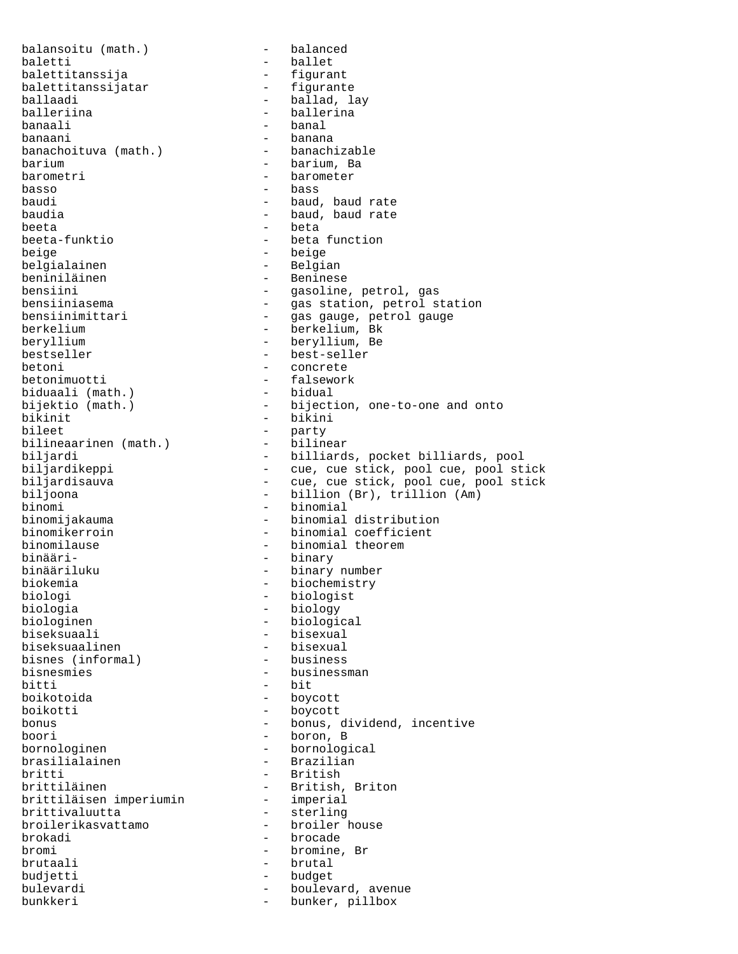balansoitu (math.) - balanced baletti - ballet - ballet - ballet - ballet - ballet - ballet - ballet - ballet - ballet - ballet - ballet - b balettitanssija - figurant balettitanssijatar<br>ballaadi ballaadi <sup>-</sup> ballaadi - ballad, lay<br>balleriina - ballerina - ballerina balleriina - ballerina<br>banaali - banal banaali - banal - banal - banal - banana - banana - banana - banana - banana - banana - banana - banana - banan - banana<br>- banachizable banachoituva (math.) barium - barium, Ba barometri - barometer  $basso$  -  $bass$ baudi - baud, baud rate baudia  $-$  baud, baud rate beeta - beta - beta function beige - beige - beige - beige - beige - beige - beige - beige - beige - beige - beige - beige - beige - beige <br>
- Belgian belgialainen<br>beniniläinen beniniläinen – Beninese<br>bensiini – Gasoline bensiini - gasoline, petrol, gas bensiiniasema - gas station, petrol station bensiinimittari - gas gauge, petrol gauge berkelium - berkelium, Bk beryllium - beryllium, Bestseller - beryllium, Bestseller bestseller - best-seller<br>betoni - concrete betoni - concrete betonimuotti - falsework<br>biduaali (math.) - bidual biduaali (math.)<br>bijektio (math.) bijektio (math.) - bijection, one-to-one and onto<br>bikinit - bikini bikinit - bikini - bikini<br>bileet - party - party<br>- bilinear bilineaarinen (math.)<br>biljardi biljardi - billiards, pocket billiards, pool<br>biljardikeppi - cue, cue stick, pool cue, pool st biljardikeppi - cue, cue stick, pool cue, pool stick<br>biljardisauva - cue, cue stick, pool cue, pool stick biljardisauva - cue, cue stick, pool cue, pool stick - billion (Br), trillion (Am) binomi - binomial<br>binomijakauma - - binomial - binomial distribution binomikerroin - binomial coefficient binomilause - binomial theorem binääri- - binary - binary number biokemia - biochemistry biologi - biologist<br>biologia - biology - biology biologia - biology<br>biologinen - biologi biologinen - biological - bisexual<br>- bisexual biseksuaalinen - bisexual bisnes (informal)<br>bisnesmies - businessman bitti - bit boikotoida - boycott boikotti - boycott bonus - bonus, dividend, incentive boori - boron, B bornologinen - bornological<br>brasilialainen - Brazilian brasilialainen - Brazilian<br>britti - Britti britti - British - British - British - British - British - British - British - British - British - British - British - British - British - British - British - British - British - British - British - British - British - Bri - British, Briton sisti<br>brittiläisen imperiumin<br>brittivaluutta brittiläisen imperiumin – imperial<br>brittivaluutta – imperial<br>brittivaluutta – sterling<br>broilerikasvattamo – broiler l broilerikasvattamo - broiler house<br>brokadi - brocade - brocade bromi - bromine, Br brutaali - brutal budjetti - budget bulevardi - boulevard, avenue bunkkeri - bunker, pillbox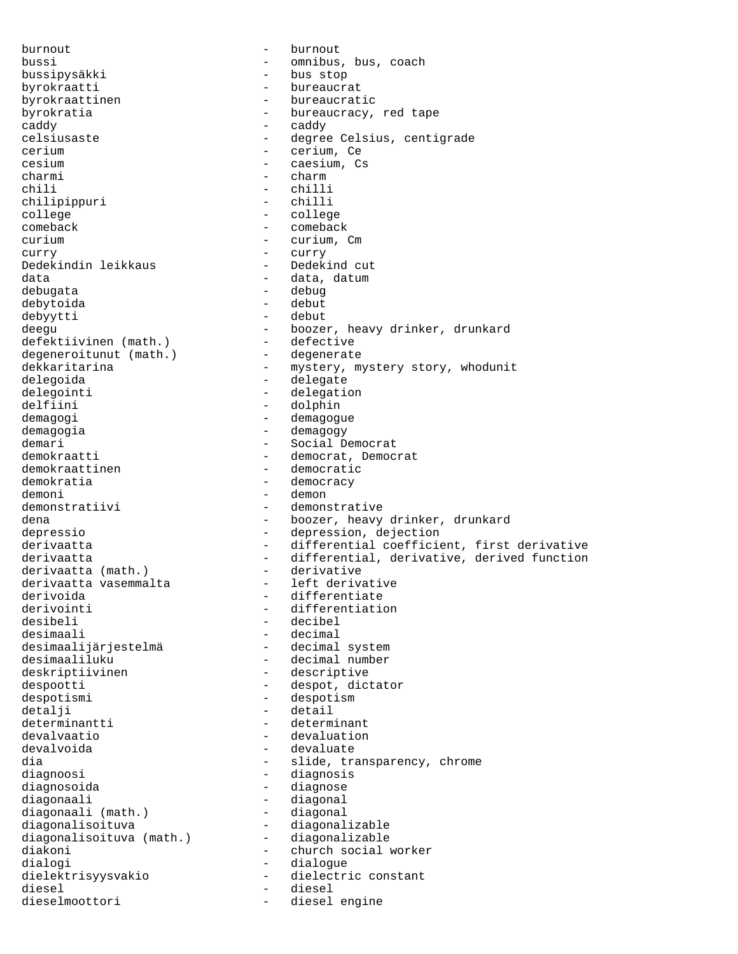burnout - burnout bussi - omnibus, bus, coach bussipysäkki - bus stop<br>byrokraatti - bureaucra byrokraatti - bureaucrat<br>byrokraattinen - bureaucrat - bureaucratic byrokratia  $-$  bureaucracy, red tape caddy - caddy celsiusaste - degree Celsius, centigrade<br>
- cerium, Ce cerium - cerium, Ce cesium - caesium, Cs charmi - charmi - charmi - charmi - charmi - charmi - charmi - charmi - charmi - charmi - charmi - charmi - ch chili - chilli chilipippuri - chilli college  $\qquad \qquad -$  college comeback - comeback curium - curium, Cm curry - curry Dedekindin leikkaus data  $\qquad \qquad -$  data, datum debugata - debug debytoida - debut - debut deegu - boozer, heavy drinker, drunkard<br>defektiivinen (math.) - defective defektiivinen (math.) - defective degeneroitunut (math.) - degenerate defektifyinen (math.)<br>degeneroitunut (math.) - degenerate<br>dekkaritarina - mystery, mystery story, whodunit delegoida - delegate delegointi - delegation delfiini - dolphin demagogi - demagogue demagogia - demagogy demari<br>demokraatti - Social Democrat<br>demokraatti - democrat, Democ demokraatti - democrat, Democrat<br>demokraattinen - - democratic demokraattinen 1988 - democratic<br>demokratia 1988 - democracy - democracy demoni - demon<br>demonstratiivi - demons - demonstrative dena - boozer, heavy drinker, drunkard depressio - depression, dejection derivaatta - differential coefficient, first derivative derivaatta - differential, derivative, derived function<br>derivaatta (math.) - derivative derivaatta (math.) derivative<br>derivaatta vasemmalta left derivative derivaatta vasemmalta<br>derivoida derivoida - differentiate derivointi - differentiation desibeli - decibel<br>desimaali - decimal desimaali - decimal desimaalijärjestelmä - decimal system desimaaliluku - decimal number<br>deskriptiivinen - descriptive - descriptive despootti - despot, dictator despotismi - despotism detalji - detail<br>determinantti - determ: - determinant devalvaatio - devaluation devalvoida - devaluate dia  $-$  slide, transparency, chrome<br>diagnoosi  $-$  diagnosis diagnoosi - diagnosis - diagnose diagonaali - diagonali - diagonal<br>diagonaali (math.) - diagonal diagonaali (math.) - diagonal diagonalisoituva - diagonalizable diagonalisoituva (math.) - diagonalizable diakoni - church social worker dialogi - dialogue dielektrisyysvakio - dielectric constant diesel - diesel dieselmoottori - diesel engine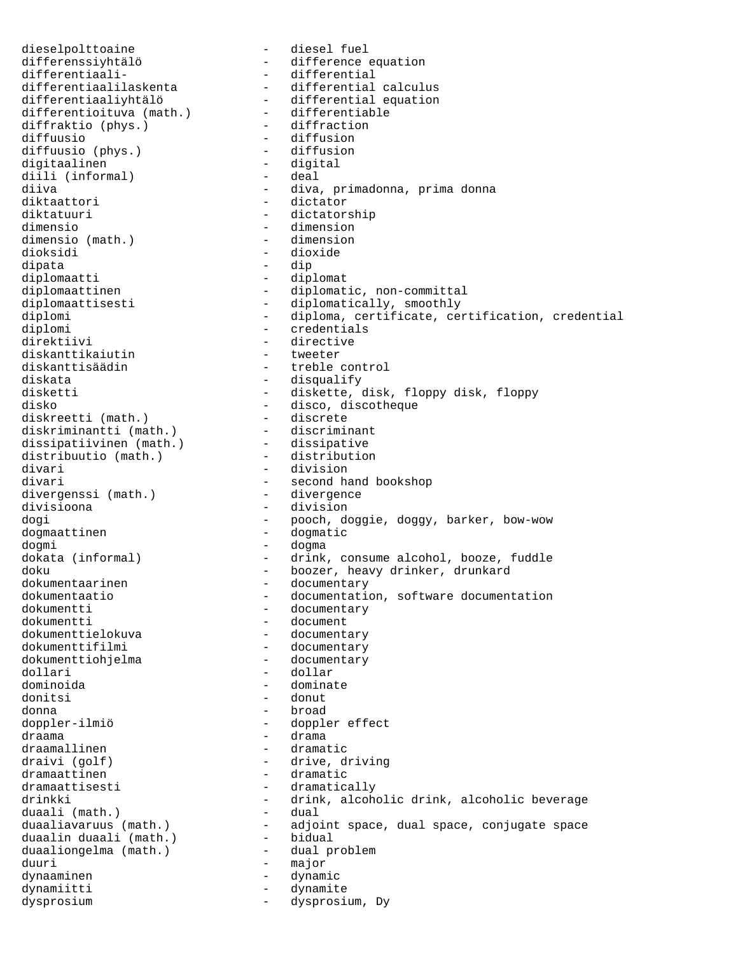dieselpolttoaine - diesel fuel differenssiyhtälö difference equation<br>differentiaali- differential differentiaali- - differential differentiaalilaskenta - differential calculus differentiaaliyhtälö - differential equation differentioituva (math.) - differentiable diffraktio (phys.) - diffraction diffuusio - diffusion diffuusio (phys.) - diffusion digitaalinen - digital<br>diili (informal) - deal diili (informal)<br>diiva diiva - diva, primadonna, prima donna - dictator diktatuuri - dictatorship dimensio - dimension - dimension - dimension - dimension - dimension - dimension dimensio (math.) dioksidi - dioxide dipata - dip diplomaatti - diplomat<br>diplomaattinen - diplomat - diplomatic, non-committal diplomaattisesti - diplomatically, smoothly<br>diplomi - diploma, certificate, ce: diplomationis, included in the contraction of the diploma, certificate, certification, credential diplomi - credentials direktiivi - directive<br>diskanttikaiutin - tweeter diskanttikaiutin<br>diskanttisäädin - treble control diskata  $-$  disqualify disketti - diskette, disk, floppy disk, floppy disko - disco, discotheque diskreetti (math.) - discrete diskriminantti (math.) - discriminant dissipatiivinen (math.) - dissipative distribuutio (math.) - distribution divari - division divari - second hand bookshop<br>divergenssi (math.) - divergence divergenssi (math.) divisioona - division dogi - pooch, doggie, doggy, barker, bow-wow dogmaattinen - dogmatic dogmi - dogma dokata (informal) - drink, consume alcohol, booze, fuddle doku - boozer, heavy drinker, drunkard<br>dokumentaarinen - boozer, heavy drinker, drunkard<br>dokumentaarinen - documentary dokumentaarinen - documentary<br>dokumentaatio - documentatio dokumentaatio  $-$  documentation, software documentation dokumentation dokumentti - documentary<br>dokumentti - document dokumentti - document dokumenttielokuva - documentary<br>dokumenttifilmi - documentary - documentary dokumenttiohjelma - documentary dollari - dollar dominoida - dominate donitsi - donut donna - broad doppler-ilmiö - doppler effect draama - drama - drama - drama - drama - drama - drama - drama - drama - drama - drama - drama - drama - drama draamallinen - dramatic<br>draivi (golf) - drive, dr draivi (golf) - drive, driving<br>dramaattinen - dramatic dramaattinen - dramatic<br>dramaattisesti - dramatica - dramatically<br>- drink, alcoholic drink, alcoholic beverage drinkki - drink, alcoholic drink, alcoholic beverage duaali (math.) - dual duaaliavaruus (math.) - adjoint space, dual space, conjugate space duaalin duaali (math.) - bidual duaaliongelma (math.) - dual problem duuri - major - major<br>dynaaminen - dynamic dynaaminen dynamiitti - dynamiitti - dynamiitti - dynamiite dysprosium - dysprosium, Dy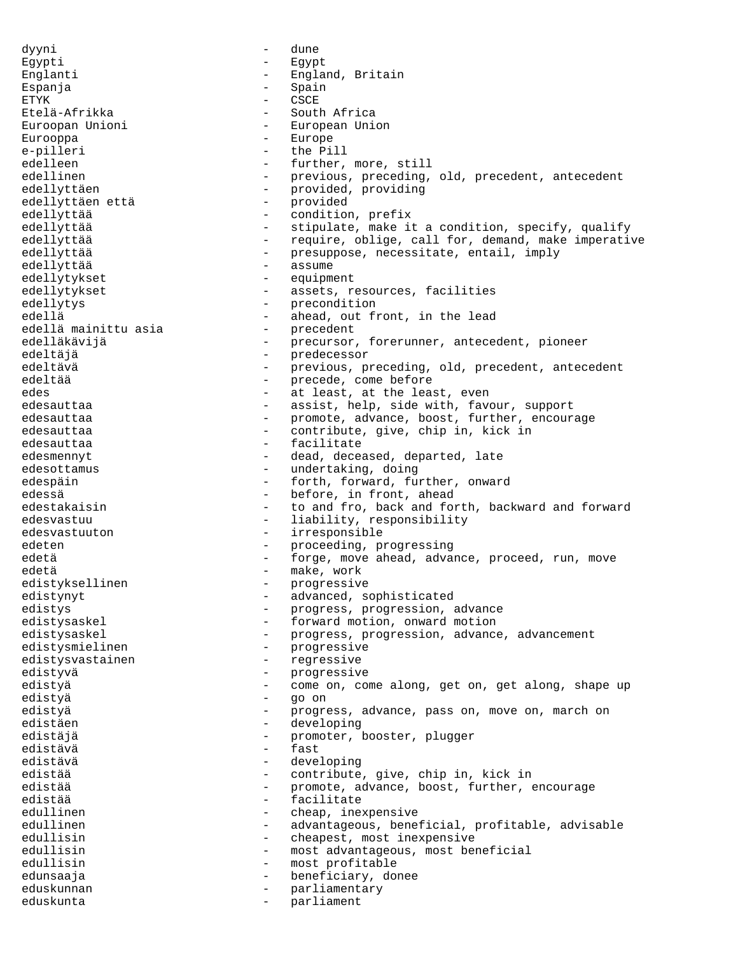dyyni - dune Egypti - Egypt<br>Englanti - Egypti - Engla Englanti - England, Britain Espanja - Spain ETYK - CSCE Etelä-Afrikka - South Africa Euroopan Unioni - European Union Eurooppa - Europe e-pilleri - the Pill edelleen - further, more, still edellinen - previous, preceding, old, precedent, antecedent edellyttäen - provided, providing<br>edellyttäen että - provided - provided edellyttäen että edellyttää  $\qquad \qquad -$  condition, prefix edellyttää  $-$  stipulate, make it a condition, specify, qualify edellyttää  $-$  require, oblige, call for, demand, make imperative edellyttää - presuppose, necessitate, entail, imply<br>edellyttää edellyttää - assume edellytykset - equipment edellytykset - assets, resources, facilities edellytys - precondition edellä  $\qquad \qquad -$  ahead, out front, in the lead edellä mainittu asia  $\qquad \qquad -$  precedent edellä mainittu asia edelläkävijä - precursor, forerunner, antecedent, pioneer edeltäjä - predecessor - predecessor edeltävä - previous, preceding, old, precedent, antecedent edeltää  $-$  precede, come before edes - at least, at the least, even edesauttaa - assist, help, side with, favour, support edesauttaa - promote, advance, boost, further, encourage<br>edesauttaa - contribute give chip in kick in edesauttaa - contribute, give, chip in, kick in edesauttaa edesauttaa - facilitate edesmennyt - dead, deceased, departed, late edesottamus - undertaking, doing edespäin  $-$  forth, forward, further, onward edessä  $-$  before, in front, ahead edestakaisin - to and fro, back and forth, backward and forward edesvastuu - liability, responsibility edesvastuuton - irresponsible edeten - proceeding, progressing edetä entergeden variantele - forge, move ahead, advance, proceed, run, move edetä - make, work edistyksellinen - progressive edistynyt - advanced, sophisticated edistys - progress, progression, advance edistysaskel - forward motion, onward motion edistysaskel - progress, progression, advance, advancement edistysmielinen - progressive edistysvastainen 1988 - regressive edistyvä - progressive edistyä enter endeling om en de come on, come along, get on, get along, shape up edistyä - go on edistyä - progress, advance, pass on, move on, march on edistäen - developing edistäjä - promoter, booster, plugger<br>edistävä - fast - fast edistävä - fast edistävä - developing edistää - contribute, give, chip in, kick in promote, advance, boost, further, encourage edistää – facilitate edullinen - cheap, inexpensive<br>edullinen - advantageous bene edullinen - advantageous, beneficial, profitable, advisable - cheapest, most inexpensive edullisin  $-$  most advantageous, most beneficial edullisin - most profitable edunsaaja - beneficiary, donee<br>eduskunnan - - barliamentary eduskunnan - parliamentary - parliamentary eduskunta - parliament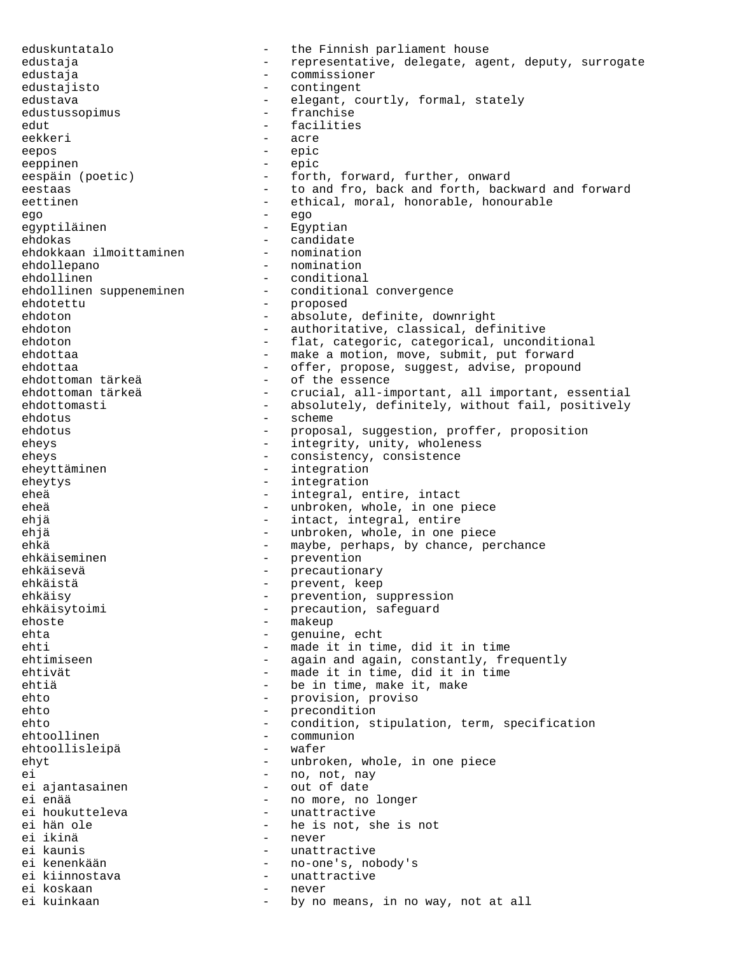eduskuntatalo - the Finnish parliament house edustaja - representative, delegate, agent, deputy, surrogate edustaja - commissioner edustajisto - contingent edustava - elegant, courtly, formal, stately<br>edustussopimus - franchise edustussopimus edut - facilities - acre eepos - epic eeppinen - epic eespäin (poetic) - forth, forward, further, onward eestaas <sup>-</sup> to and fro, back and forth, backward and forward eettinen - ethical, moral, honorable, honourable ego - ego egyptiläinen egyptian ehdokas - candidate<br>ehdokkaan ilmoittaminen - nomination ehdokkaan ilmoittaminen ehdollepano - nomination ehdollinen - conditional ehdollinen suppeneminen - conditional convergence ehdotettu – proposed<br>ehdoton – absolute - absolute, definite, downright ehdoton - authoritative, classical, definitive ehdoton - flat, categoric, categorical, unconditional ehdottaa - make a motion, move, submit, put forward ehdottaa - offer, propose, suggest, advise, propound ehdottoman tärkeä  $-$  of the essence ehdottoman tärkeä  $-$  crucial, all-important, all important, essential ehdottomasti - absolutely, definitely, without fail, positively<br>ehdotus - scheme ehdotus - scheme ehdotus - proposal, suggestion, proffer, proposition eheys - integrity, unity, wholeness eheys - consistency, consistence eheyttäminen en anderstäminen auch eine eintegration eheytys - integration eheä - integral, entire, intact eheä - unbroken, whole, in one piece ehjä - intact, integral, entire ehjä  $-$  unbroken, whole, in one piece ehkä - maybe, perhaps, by chance, perchance<br>ehkäiseminen - prevention ehvention<br>ehkäiseminen ehkäisevä - precautionary ehkäistä - prevent, keep ehkäisy - prevention, suppression<br>
ehkäisytoimi - precaution, safeguard - precaution, safeguard<br>- makaup ehoste - makeup<br>ehta - makeup<br>ehta - genuine genuine, echt ehti  $-$  made it in time, did it in time ehtimiseen - again and again, constantly, frequently ehtivät - made it in time, did it in time ehtiä is alle van die van die van die het is make it, make ehto - provision, proviso<br>ehto - precondition ehto - precondition ehto - condition, stipulation, term, specification ehtoollinen - communion<br>ehtoollisleinä - wafer ehtoollisleipä - wafer ehyt  $-$  unbroken, whole, in one piece ei - no, not, nay - out of date ei enää<br>
ei houkutteleva<br>
- unattractive<br>
- unattractive ei houkutteleva - unattractive ei hän ole - he is not, she is not ei ikinä - never - unattractive ei kenenkään - no-one's, nobody's ei kiinnostava - unattractive ei koskaan - never by no means, in no way, not at all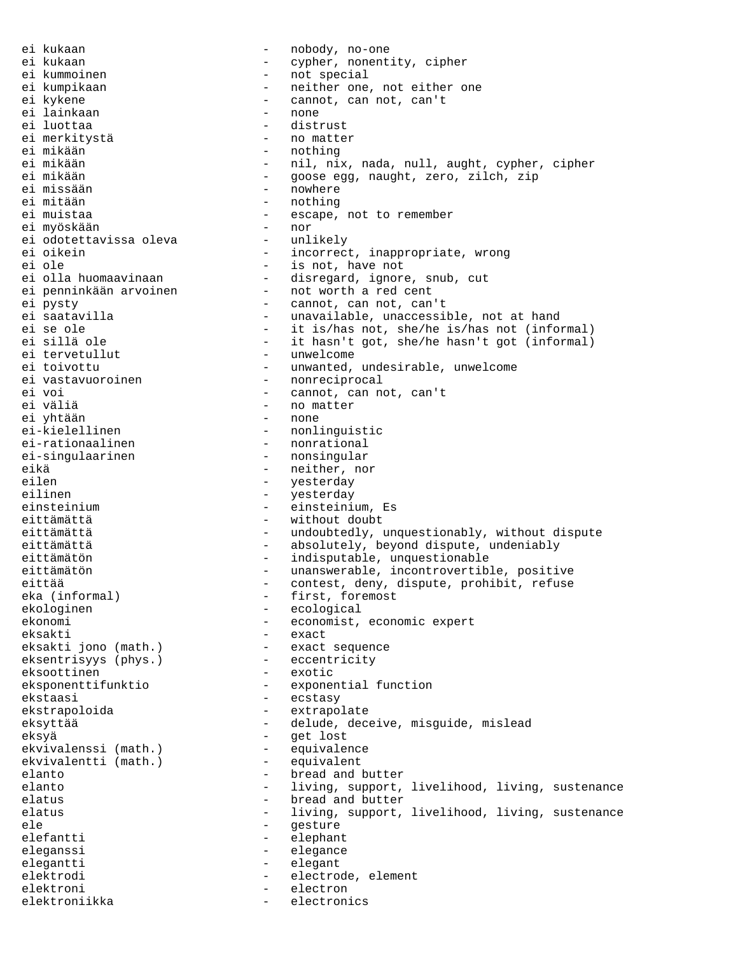ei kukaan  $-$  nobody, no-one ei kukaan - cypher, nonentity, cipher<br>
ei kummoinen - - - - - - - not special - not special ei kumpikaan - neither one, not either one ei kykene - cannot, can not, can't - cannot, can not, can't<br>- none ei lainkaan<br>ei luottaa ei luottaa - distrust ei merkitystä - no matter ei mikään - nothing ei mikään - nil, nix, nada, null, aught, cypher, cipher ei mikään - goose egg, naught, zero, zilch, zip ei missään  $\qquad \qquad -$  nowhere<br>ei mitään  $\qquad \qquad -$  nothing - nothing ei muistaa - escape, not to remember ei myöskään - - escape, not to remember - nor ei myöskään<br>ei odotettavissa oleva unlikely ei odotettavissa oleva ei oikein  $\begin{array}{ccc}\n - & incorrect, inappropriate, wrong \\
\end{array}$ ei ole - is not, have not ei olla huomaavinaan - disregard, ignore, snub, cut<br>ei penninkään arvoinen - not worth a red cent ei penninkään arvoinen - not worth a red cent ei pysty - cannot, can not, can't ei saatavilla  $-$  unavailable, unaccessible, not at hand ei se ole - it is/has not, she/he is/has not (informal)<br>ei sillä ole - it hasn't got, she/he hasn't got (informal) ei sillä ole - it hasn't got, she/he hasn't got (informal)<br>ei tervetullut - unwelcome ei tervetullut  $\qquad \qquad -$  unwelcome<br>ei toivottu - unwanted, undesirable, unwelcome ei vastavuoroinen - nonreciprocal ei voi - cannot, can not, can't ein no matter<br>- none ei yhtään<br>ei-kielellinen ei-kielellinen - nonlinguistic<br>ei-rationaalinen - nonrational ei-rationaalinen - nonrational<br>ei-singulaarinen - nonsingular ei-singulaarinen - nonsingular - neither, nor eilen - yesterday<br>eilinen - yesterday - yesterday einsteinium - einsteinium, Es - without doubt eittämättä  $-$  undoubtedly, unquestionably, without dispute eittämättä  $-$  absolutely, beyond dispute, undeniably eittämätön  $-$  indisputable, unquestionable eittämätön - unanswerable, incontrovertible, positive eittää - contest, deny, dispute, prohibit, refuse eka (informal) - first, foremost ekologinen - ecological ekonomi - economist, economic expert<br>eksakti - exact - exact eksakti <br>eksakti jono (math.) - exact - exact - exact sequence<br>- eccentricity eksentrisyys (phys.) eksoottinen - exotic eksponenttifunktio - exponential function ekstaasi - ecstasy ekstrapoloida - extrapolate eksyttää  $-$  delude, deceive, misguide, mislead eksyä<br>eksyä – get lost<br>ekvivalenssi (math.) – equivalence ekvivalenssi (math.) - equivalence ekvivalentti (math.) elanto - bread and butter<br>elanto - living support - living, support, livelihood, living, sustenance elatus - bread and butter elatus - living, support, livelihood, living, sustenance ele - gesture elefantti - elephant eleganssi - elegance elegantti - elegant elektrodi - electrode, element elektroni - electron elektroniikka - electronics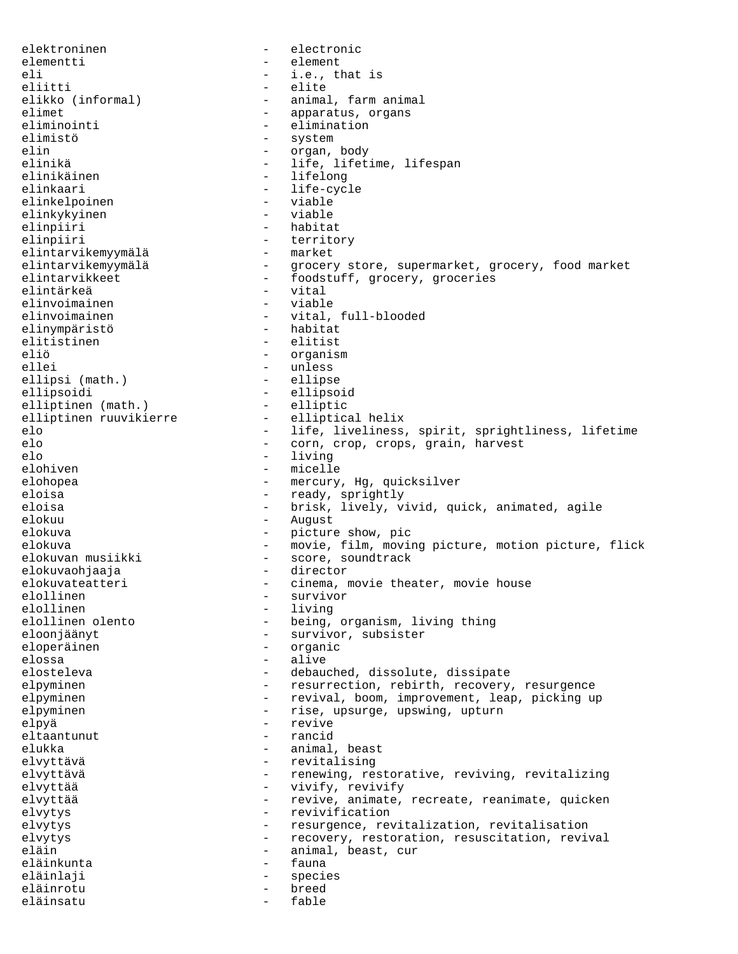elektroninen - electronic elementti - element eli - i.e., that is<br>eliitti - elite - elite eliitti - elite<br>elikko (informal) - anima: elikko (informal) - animal, farm animal<br>elimet - apparatus, organs elimet - apparatus, organs eliminointi - elimination elimistö - system elin - organ, body elinikä - life, lifetime, lifespan<br>elinikäinen - lifelong - lifelong - lifelong elinkaari - life-cycle<br>elinkelpoinen - viable - viable elinkelpoinen elinkykyinen - viable elinpiiri - habitat<br>elinpiiri - territo elinpiiri - territory<br>elintarvikemyymälä – market elintarvikemyymälä elintarvikemyymälä - grocery store, supermarket, grocery, food market<br>elintarvikkeet - foodstuff, grocery, groceries elintarvikkeet - foodstuff, grocery, groceries<br>elintarvikkeet - foodstuff, grocery, groceries<br>elintärkeä - vital<br>- viable elinvoimainen<br>elinvoimainen - vital, full-blooded<br>- habitat elinympäristö - habitat elitistinen<br>eliö eliö - organism - unless<br>- ellipse ellipsi (math.) ellipsoidi - ellipsoid<br>elliptinen (math.) - elliptic elliptinen (math.) - elliptic<br>elliptinen ruuvikierre - elliptical helix elliptinen ruuvikierre elo <sup>-</sup> life, liveliness, spirit, sprightliness, lifetime<br>elo - corn, crop, crops, grain, harvest elo - corn, crop, crops, grain, harvest elo - living - micelle elohopea - mercury, Hg, quicksilver eloisa - ready, sprightly eloisa - brisk, lively, vivid, quick, animated, agile elokuu - August elokuva - picture show, pic elokuva - movie, film, moving picture, motion picture, flick elokuvan musiikki - score, soundtrack elokuvaohjaaja - director elokuvateatteri - cinema, movie theater, movie house<br>elollinen - survivor elollinen - survivor - survivor elollinen - survivor - survivor - survivor - survivor - survivor - survivor elollinen - living<br>elollinen olento - being, - being, organism, living thing eloonjäänyt <br />
- survivor, subsister<br />
- survivor, subsister<br />
- survivor, subsister<br />
- survivor, subsister<br />
- survivor, subsister<br />
- survivor, subsister<br />
- survivor, subsister<br />
- survi eloperäinen 1988 - Sammen von Schwarzen von Schwarzen von Schwarzen von Schwarzen von Schwarzen von Schwarzen v<br>Seine von Schwarzen von Schwarzen von Schwarzen von Schwarzen von Schwarzen von Schwarzen von Schwarzen von Sc elossa - alive elosteleva - debauched, dissolute, dissipate elpyminen - resurrection, rebirth, recovery, resurgence elpyminen - revival, boom, improvement, leap, picking up elpyminen - rise, upsurge, upswing, upturn elpyä - revive eltaantunut - rancid - rancid - rancid - rancid - rancid - rancid - rancid - rancid - rancid - rancid - rancid - rancid - rancid - rancid - rancid - rancid - rancid - rancid - rancid - rancid - rancid - rancid - rancid - r - animal, beast elvyttävä - revitalising elvyttävä - renewing, restorative, reviving, revitalizing - vivify, revivify elvyttää - revive, animate, recreate, reanimate, quicken elvytys - revivification elvytys - resurgence, revitalization, revitalisation elvytys - recovery, restoration, resuscitation, revival eläin - animal, beast, cur eläinkunta – fauna – fauna – fauna – fauna – fauna – fauna – fauna – fauna – fauna – fauna – fauna – fauna – fauna – fauna – fauna – fauna – fauna – fauna – fauna – fauna – fauna – fauna – fauna – fauna – fauna – fauna – f eläinlaji - species eläinrotu eläinsatu - fable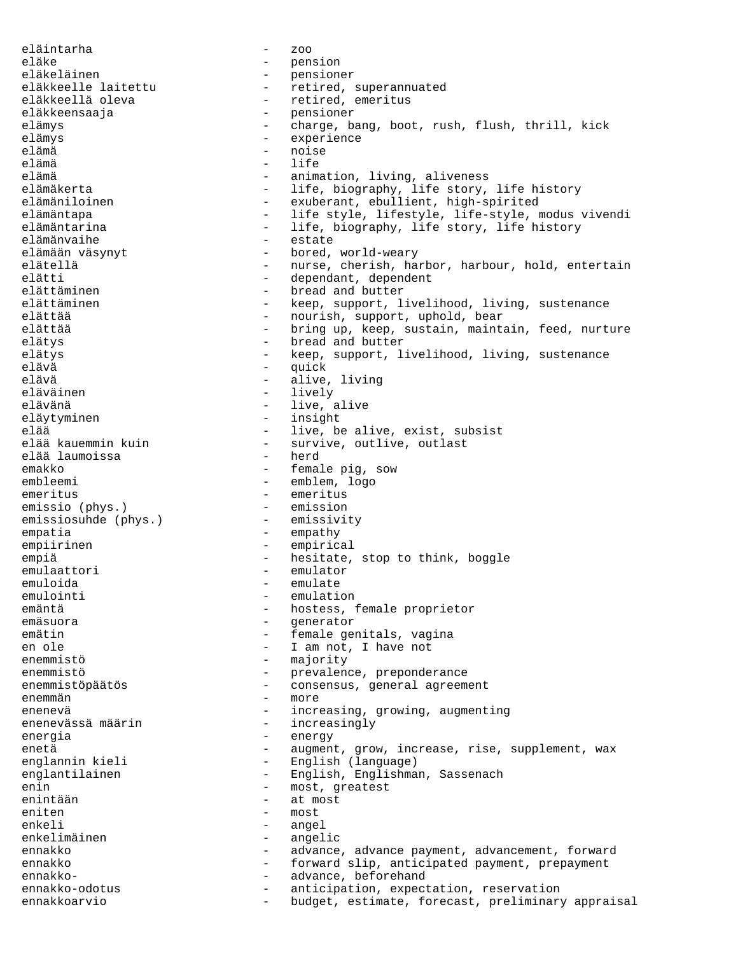eläintarha - zoo eläke - pension eläkeläinen - pensioner eläkkeelle laitettu - retired, superannuated eläkkeellä oleva - retired, emeritus<br>eläkkeensaaja - - - - - - - - pensioner eläkkeensaaja - pensioner<br>elämys - charge, ba elämys - charge, bang, boot, rush, flush, thrill, kick elämys - experience elämä - noise elämä - life elämä - animation, living, aliveness - life, biography, life story, life history elämäniloinen - exuberant, ebullient, high-spirited elämäntapa - 11fe style, lifestyle, life-style, modus vivendi elämäntarina  $-$  life, biography, life story, life history elämänvaihe - estate elämään väsynyt - bored, world-weary elätellä - nurse, cherish, harbor, harbour, hold, entertain<br>elätti - dependant, dependent elätti - dependant, dependent<br>elättäminen - - bread and butter elättäminen - bread and butter elättäminen - keep, support, livelihood, living, sustenance<br>elättää - nourish, support, uphold, bear elättää - bring up, keep, sustain, maintain, feed, nurture elätys elätys - bread and butter elätys - keep, support, livelihood, living, sustenance elävä - quick elävä - alive, living eläväinen - lively elävänä - live, alive eläytyminen - insight elää - live, be alive, exist, subsist elää kauvive, outlive, outlast<br>- herd elää laumoissa<br>emakko - female pig, sow embleemi - emblem, logo emeritus - emeritus - emeritus - emeritus - emeritus - emission emissio (phys.) - emission<br>emissiosuhde (phys.) - emissivity emissiosuhde (phys.) empatia  $-$  empathy empiirinen - empirical<br>empiä - hesitate, empiä - hesitate, stop to think, boggle<br>emulaattori - emulator - emulator emuloida emulate emulate emulointi - emulation emäntä - hostess, female proprietor emäsuora - generator - female genitals, vagina en ole  $\qquad \qquad -$  I am not, I have not enemmistö - majority enemmistö - prevalence, preponderance<br>
enemmistöpäätös - consensus, general agreem enemmistöpäätös - consensus, general agreement enemmän - more enenevä enenevä - increasing, growing, augmenting enenevässä määrin  $-$  increasingly energia  $-$  energy enetä - augment, grow, increase, rise, supplement, wax<br>englannin kieli - English (language) - English (language) englantilainen - English, Englishman, Sassenach enin - most, greatest enintään - at most eniten - most enkeli - angel - angelic ennakko - advance, advance payment, advancement, forward ennakko  $-$  forward slip, anticipated payment, prepayment ennakko- - advance, beforehand ennakko-odotus - anticipation, expectation, reservation<br>ennakkoarvio - hudget estimate forecast preliminary ennakkoarvio - budget, estimate, forecast, preliminary appraisal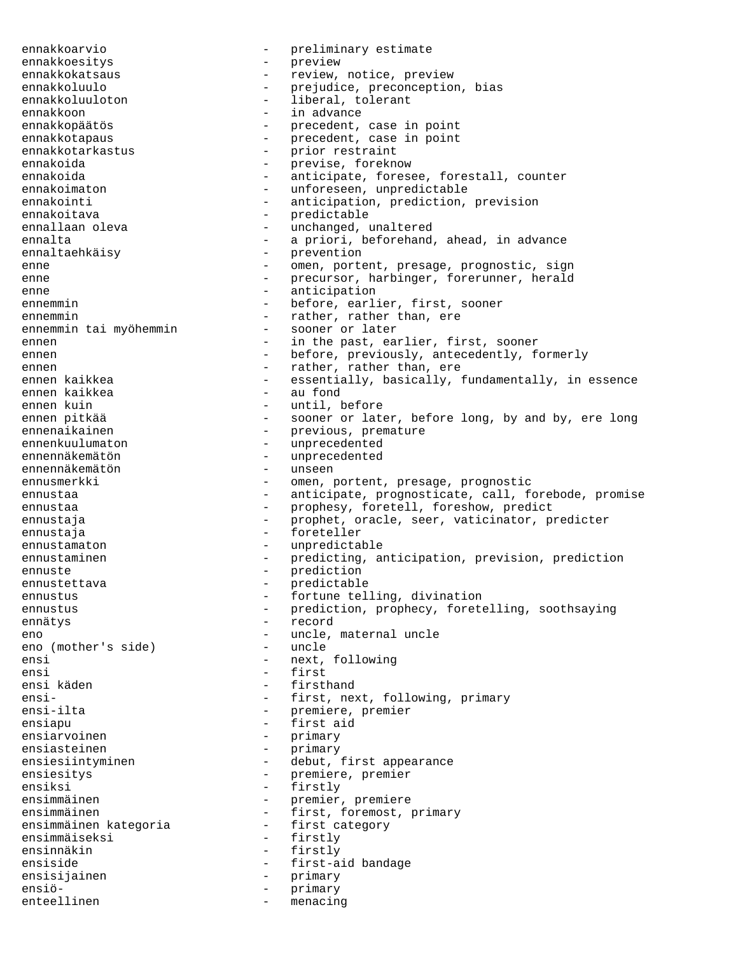ennakkoarvio - preliminary estimate ennakkoesitys - preview ennakkokatsaus ennakkokatsaus - review, notice, preview ennakkoluulo - prejudice, preconception, bias ennakkoluuloton - liberal, tolerant ennakkoon - in advance ennakkopäätös - precedent, case in point ennakkotapaus - precedent, case in point ennakkotarkastus - prior restraint<br>ennakoida ennakoida - previse, foreknow ennakoida - anticipate, foresee, forestall, counter ennakoimaton - unforeseen, unpredictable ennakointi - anticipation, prediction, prevision ennakoitava - predictable ennallaan oleva - - unchanged, unaltered ennalta - a priori, beforehand, ahead, in advance ennaltaehkäisy - prevention enne - omen, portent, presage, prognostic, sign<br>
- precursor harbinger forerunner herald enne - precursor, harbinger, forerunner, herald enne - anticipation - anticipation - anticipation - anticipation - anticipation - anticipation - before. ennemmin - before, earlier, first, sooner<br>ennemmin - rather, rather than, ere - rather, rather than, ere<br>- sooner or later ennemmin tai myöhemmin ennen - in the past, earlier, first, sooner ennen - before, previously, antecedently, formerly ennen - rather, rather than, ere ennen kaikkea - essentially, basically, fundamentally, in essence<br>ennen kaikkea - au fond ennen kaikkea ennen kuin  $-$  until, before ennen pitkää  $-$  sooner or later, before long, by and by, ere long ennenaikainen - previous, premature<br>ennenkuulumaton - unprecedented ennenkuulumaton - unprecedented ennennäkemätön - unprecedented<br>ennennäkemätön - - unseen ennennäkemätön ennusmerkki - omen, portent, presage, prognostic ennustaa - anticipate, prognosticate, call, forebode, promise ennustaa - prophesy, foretell, foreshow, predict ennustaja - prophet, oracle, seer, vaticinator, predicter ennustaja - foreteller ennustamaton - unpredictable ennustaminen - predicting, anticipation, prevision, prediction<br>ennuste - prediction ennuste - prediction<br>ennustettava - predictable ennustettava - predictable ennustus - fortune telling, divination ennustus - prediction, prophecy, foretelling, soothsaying<br>
- record ennätys - record eno  $(mother's side)$  - uncle, maternal uncle<br>
- uncle eno (mother's side) ensi  $-$  next, following ensi - first ensi käden  $-$  firsthand ensi-  $-$  first, next, following, primary ensi-ilta - premiere, premier ensiapu - first aid ensiarvoinen - primary<br>ensiasteinen - primary ensiasteinen 1988 - primary ensiesiintyminen - debut, first appearance ensiesitys - premiere, premiere, premiere, premiere, premiere, premiere, premiere, premiere, premiere, premier ensiksi - firstly<br>ensimmäinen - memier - premier - premier, premiere ensimmäinen 1988 - first, foremost, primary ensimmäinen kategoria - first category ensimmäiseksi - firstly ensinnäkin - firstly ensiside - first-aid bandage<br>ensisijainen - mimarv ensisijainen - primary ensiö- - primary enteellinen - menacing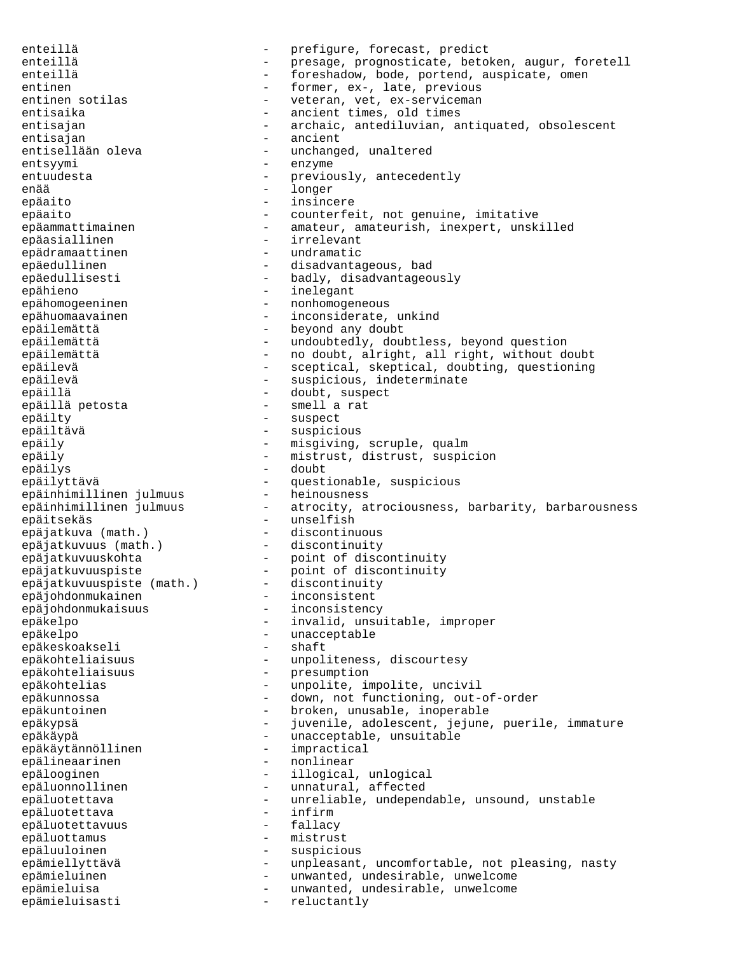enteillä - prefigure, forecast, predict<br>enteillä - pressae prognosticate beto enteillä - presage, prognosticate, betoken, augur, foretell enteillä  $-$  foreshadow, bode, portend, auspicate, omen entinen - former, ex-, late, previous<br>entinen sotilas - veteran, vet, ex-serviceman - veteran, vet, ex-serviceman entisaika  $-$  ancient times, old times entisajan - archaic, antediluvian, antiquated, obsolescent<br>entisajan - ancient - ancient - ancient entisellään oleva  $\qquad \qquad -$  unchanged, unaltered entsyymi - enzyme entuudesta - previously, antecedently enää - longer epäaito - insincere epäaito - counterfeit, not genuine, imitative epäammattimainen 1988 - amateur, amateurish, inexpert, unskilled epäasiallinen - irrelevant epädramaattinen epäedullinen ein voorbronden van disadvantageous, bad epäedullisesti - badly, disadvantageously epähieno - inelegant epähomogeeninen - nonhomogeneous epähuomaavainen 1988 - inconsiderate, unkind epäilemättä - beyond any doubt epäilemättä - undoubtedly, doubtless, beyond question epäilemättä  $-$  no doubt, alright, all right, without doubt epäilevä - sceptical, skeptical, doubting, questioning epäilevä - suspicious, indeterminate epäillä - doubt, suspect epäillä petosta - smell a rat epäilty - suspect epäiltävä - suspicious epäily - misgiving, scruple, qualm epäily - mistrust, distrust, suspicion epäilys - doubt epäilyttävä - questionable, suspicious epäinhimillinen julmuus - heinousness epäinhimillinen julmuus - atrocity, atrociousness, barbarity, barbarousness epäitsekäs - unselfish epäjatkuva (math.) - discontinuous epäjatkuvuus (math.) - discontinuity epäjatkuvuuskohta - point of discontinuity epäjatkuvuuspiste - point of discontinuity epäjatkuvuuspiste (math.) - discontinuity epäjohdonmukainen - inconsistent epäjohdonmukaisuus - inconsistency epäkelpo - invalid, unsuitable, improper epäkelpo<br>epäkelpo - unacceptable<br>epäkeskoakseli - shaft - shaft epäkeskoakseli epäkohteliaisuus - unpoliteness, discourtesy epäkohteliaisuus - presumption epäkohtelias - unpolite, impolite, uncivil epäkunnossa - down, not functioning, out-of-order<br>epäkunnossa epäkuntoinen en musulle broken, unusable, inoperable epäkypsä - juvenile, adolescent, jejune, puerile, immature epäkäypä - unacceptable, unsuitable<br>epäkäytännöllinen - - impractical epäkäytännöllinen - impractical epälineaarinen epälooginen - illogical, unlogical epäluonnollinen - unnatural, affected epäluotettava - unreliable, undependable, unsound, unstable epäluotettava - infirm epäluotettavuus - fallacy epäluottamus epäluuloinen - suspicious epämiellyttävä - unpleasant, uncomfortable, not pleasing, nasty epämieluinen ein allemannen von den anderen unwanted, undesirable, unwelcome epämieluisa - unwanted, undesirable, unwelcome epämieluisasti - reluctantly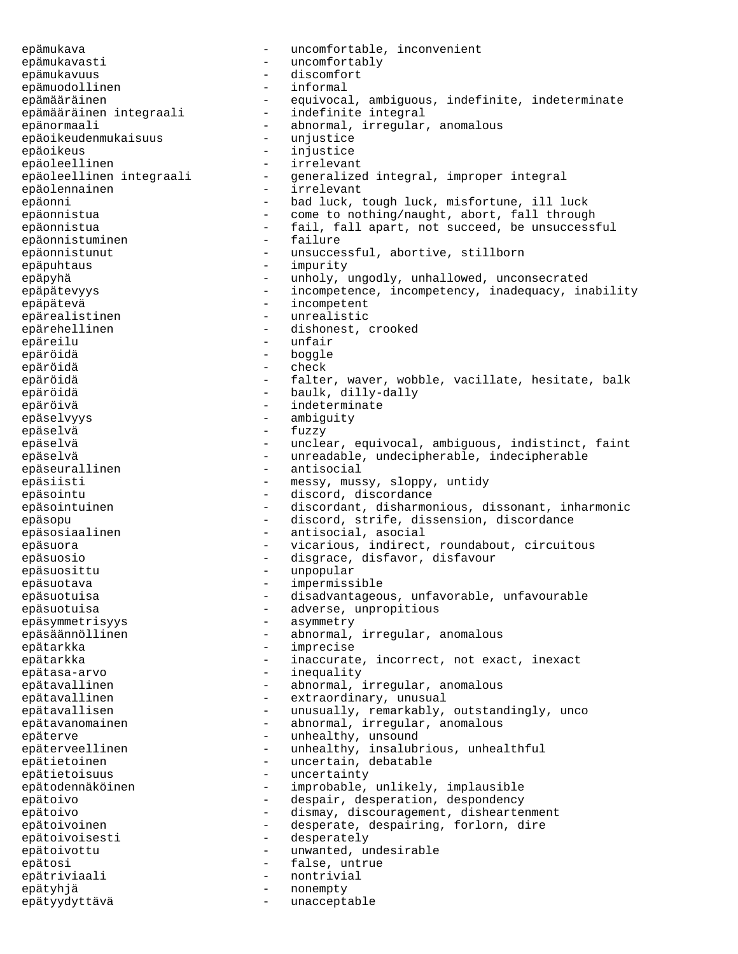epämukava - uncomfortable, inconvenient epämukavasti - uncomfortably epämukavuus - discomfort<br>epämuodollinen - - informal epämuodollinen epämääräinen - equivocal, ambiguous, indefinite, indeterminate<br>epämääräinen integraali - indefinite integral epämääräinen integraali -<br>epänormaali - abnormal, irregular, anomalous<br>epäoikeudenmukaisuus - unjustice epäoikeudenmukaisuus<br>epäoikeus - injustice epäoleellinen - irrelevant<br>epäoleellinen integraali - generalize - generalized integral, improper integral epäolennainen – irrelevant epäonni - bad luck, tough luck, misfortune, ill luck epäonnistua - come to nothing/naught, abort, fall through epäonnistua - fail, fall apart, not succeed, be unsuccessful<br>epäonnistuminen - failure epäonnistuminen - failure epäonnistunut - unsuccessful, abortive, stillborn epäpuhtaus - impurity epäpyhä - unholy, ungodly, unhallowed, unconsecrated epäpätevyys - incompetence, incompetency, inadequacy, inability epäpätevä<br>
epäpätevä<br>
+ incompetent epärealistinen - unrealistic epärehellinen en musikaatsistellinen musikaatsistellinen musikaatsistellinen musikaatsistellinen musikaatsiste epäreilu - unfair epäröidä - boggle epäröidä - check epäröidä - falter, waver, wobble, vacillate, hesitate, balk epäröidä - baulk, dilly-dally epäröivä - indeterminate epäselvyys - ambiguity epäselvä epäselvä - unclear, equivocal, ambiguous, indistinct, faint epäselvä - unreadable, undecipherable, indecipherable<br>epäseurallinen - antisocial epäseurallinen epäsiisti - messy, mussy, sloppy, untidy epäsointu - discord, discordance epäsointuinen - discordant, disharmonious, dissonant, inharmonic epäsopu - discord, strife, dissension, discordance epäsosiaalinen - - antisocial, asocial epäsuora - vicarious, indirect, roundabout, circuitous epäsuosio - disgrace, disfavor, disfavour epäsuosittu - unpopular epäsuotava - impermissible epäsuotuisa - disadvantageous, unfavorable, unfavourable epäsuotuisa - adverse, unpropitious epäsymmetrisyys - asymmetry epäsäännöllinen 1988 - abnormal, irregular, anomalous epätarkka - imprecise<br>epätarkka - inaccurate epätarkka - inaccurate, incorrect, not exact, inexact epätasa-arvo - inequality epätavallinen en museon vartastusen valmistusen abnormal, irregular, anomalous epätavallinen extraordinary, unusual epätavallisen en musually, remarkably, outstandingly, unco epätavanomainen 1988 - abnormal, irregular, anomalous epäterve eilisterve - unhealthy, unsound epäterveellinen - unhealthy, insalubrious, unhealthful epätietoinen 1988 - uncertain, debatable epätietoisuus - uncertainty epätodennäköinen 1988 - improbable, unlikely, implausible epätoivo - despair, desperation, despondency epätoivo - dismay, discouragement, disheartenment epätoivoinen - desperate, despairing, forlorn, dire epätoivoisesti - desperately epätoivottu ensummanted, undesirable epätosi - false, untrue epätriviaali - nontrivial<br>epätyhjä - nonemoty - nonemoty epätyhjä - nonempty epätyydyttävä - unacceptable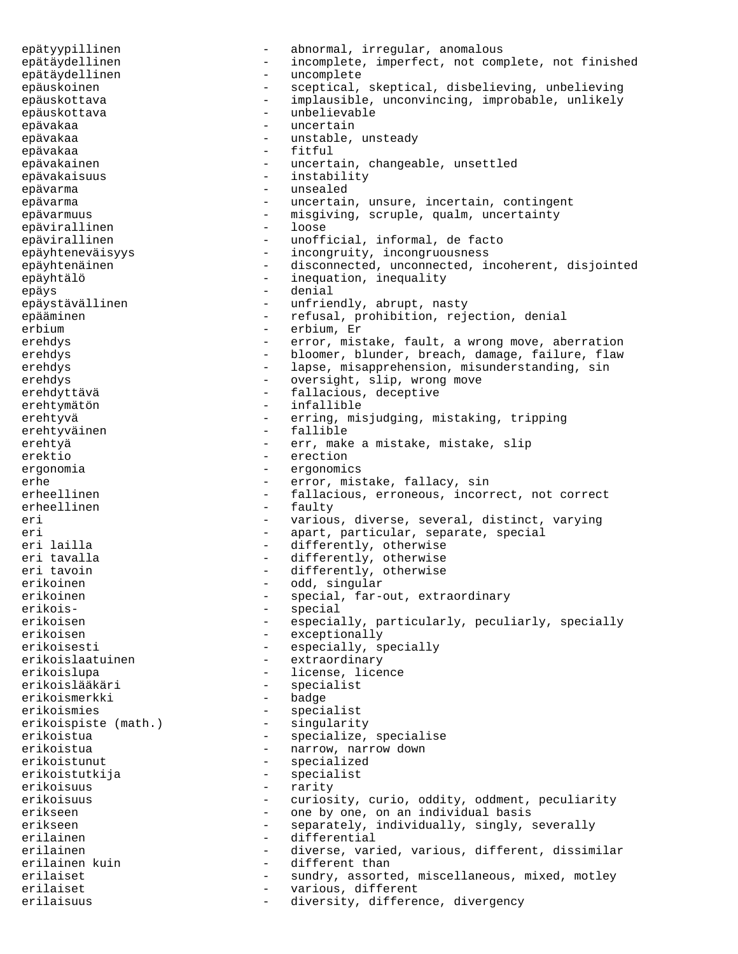epätyypillinen en musikaalaan valmaan valmaan valmaan valmaan valmaan valmaan valmaan valmaan valmaan valmaan v epätäydellinen incomplete, imperfect, not complete, not finished<br>epätäydellinen uncomplete epätäydellinen epäuskoinen - sceptical, skeptical, disbelieving, unbelieving epäuskottava - implausible, unconvincing, improbable, unlikely epäuskottava epävakaa - uncertain epävakaa - unstable, unsteady epävakaa - fitful epävakainen 1988 - uncertain, changeable, unsettled epävakaisuus - instability epävarma - unsealed epävarma - uncertain, unsure, incertain, contingent epävarmuus ensimmaa - misgiving, scruple, qualm, uncertainty epävirallinen - loose epävirallinen - unofficial, informal, de facto epäyhteneväisyys - incongruity, incongruousness epäyhtenäinen - disconnected, unconnected, incoherent, disjointed<br>epäyhtälö epäyhtälö - inequation, inequality epäys - denial - unfriendly, abrupt, nasty epääminen - refusal, prohibition, rejection, denial erbium - erbium, Er erehdys erehdys and the error, mistake, fault, a wrong move, aberration erehdys erehdys - bloomer, blunder, breach, damage, failure, flaw erehdys erehdys and the state of the lapse, misapprehension, misunderstanding, sin erehdys - oversight, slip, wrong move erehdyttävä  $-$  fallacious, deceptive erehtymätön - infallible erehtyvä - erring, misjudging, mistaking, tripping<br>erehtyväinen - fallible<br>fallible erehtyväinen erehtyä - err, make a mistake, mistake, slip - erection ergonomia - ergonomics erhe  $-$  error, mistake, fallacy, sin erheellinen - fallacious, erroneous, incorrect, not correct erheellinen - faulty eri - various, diverse, several, distinct, varying eri entertain-separat, particular, separate, special eri lailla - differently, otherwise eri tavalla  $\begin{array}{ccc}\n - & \text{differently, otherwise} \\
 - & \text{differently, otherwise}\n\end{array}$ - differently, otherwise<br>- odd singular erikoinen 1988 - odd, singular<br>erikoinen 1988 - special far-d erikoinen 1988 - special, far-out, extraordinary erikois- - special erikoisen - especially, particularly, peculiarly, specially<br>erikoisen - exceptionally - exceptionally erikoisesti - especially, specially erikoislaatuinen 1988 - extraordinary erikoislupa - license, licence erikoislääkäri - specialist<br>erikoismerkki - badge erikoismerkki erikoismies - specialist<br>erikoispiste (math.) - singularity erikoispiste (math.) erikoistua  $\overline{\phantom{a}}$  - specialize, specialise erikoistua  $-$  narrow, narrow down erikoistunut - specialized erikoistutkija - specialist erikoisuus - rarity erikoisuus - curiosity, curio, oddity, oddment, peculiarity erikseen - one by one, on an individual basis erikseen - separately, individually, singly, severally erilainen 1988 - differential erilainen - diverse, varied, various, different, dissimilar<br>erilainen kuin - different than erilainen kuin - different than<br>- sundry, assorte erilaiset - sundry, assorted, miscellaneous, mixed, motley erilaiset  $-$  various, different erilaisuus - diversity, difference, divergency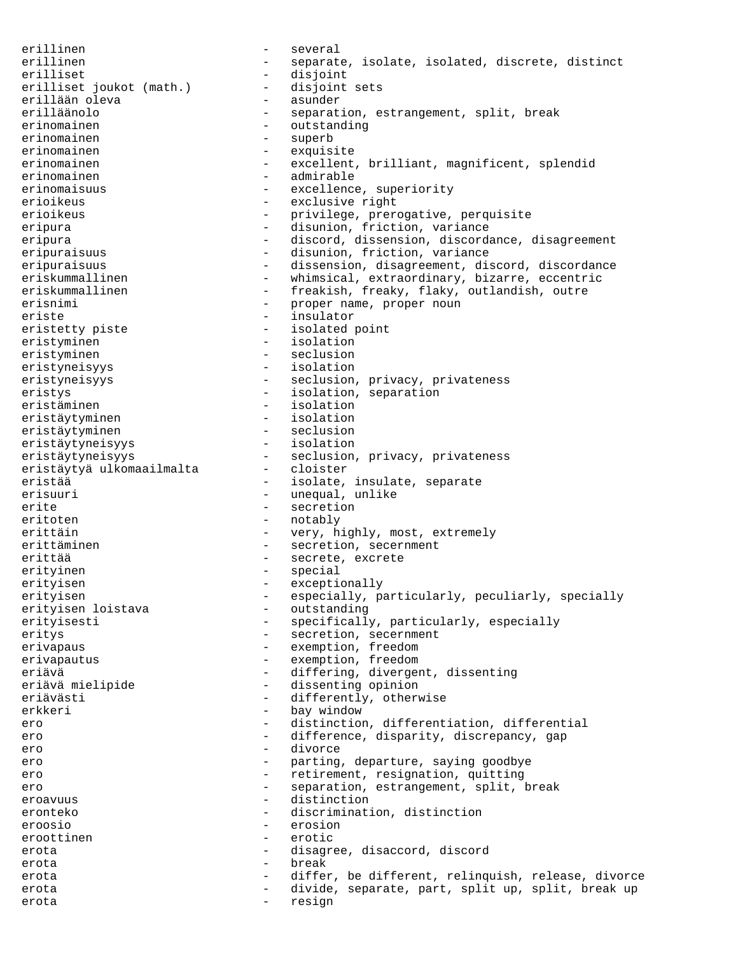erillinen - several erillinen and the separate, isolate, isolated, discrete, distinct erilliset<br>erilliset joukot (math.) - disjoint sets erilliset joukot (math.) - disjoint - disjoint setsillään oleva erillään oleva<br>erilläänolo erilläänolo - separation, estrangement, split, break erinomainen - outstanding erinomainen 1988 - Superberinomainen 1988 - Superberinomainen 1988 - Superberinomainen 1988 - Superberinomaine<br>1988 - Superberinomainen 1988 - Superberinomainen 1988 - Superberinomainen 1988 - Superberinomainen 1988 - Supe - exquisite erinomainen 1988 - excellent, brilliant, magnificent, splendid erinomainen 1988 ble erinomainen admirable erinomaisuus - excellence, superiority erioikeus - exclusive right erioikeus en annum - privilege, prerogative, perquisite eripura - disunion, friction, variance eripura - discord, dissension, discordance, disagreement eripuraisuus - disunion, friction, variance eripuraisuus - dissension, disagreement, discord, discordance<br>eriskummallinen - whimsical, extraordinary, bizarre, eccentric eriskummallinen - whimsical, extraordinary, bizarre, eccentric<br>eriskummallinen - freakish, freaky, flaky, outlandish, outre eriskummallinen - freakish, freaky, flaky, outlandish, outre<br>erisnimi - proper name, proper noun erisnimi - proper name, proper noun<br>eriste - insulator eristetty piste  $-$  isolated point eristyminen - isolation eristyminen - seclusion<br>eristyneisvys - isolation eristyneisyys eristyneisyys eristyneisyys and the seclusion, privacy, privateness eristys - isolation, separation eristäminen - isolation eristäytyminen - isolation eristäytyminen - seclusion eristäytyneisyys<br>eristäytyneisyys eristäksyys - seclusion, privacy, privateness<br>- cloister eristäytyntiisia<br>eristäytyä ulkomaailmalta eristää  $-$  isolate, insulate, separate erisuuri - unequal, unlike erite  $-$  secretion eritoten - notably - notably erittäin  $-$  very, highly, most, extremely erittäminen - secretion, secernment erittää  $-$  secrete, excrete erityinen - special erityisen - exceptionally<br>erityisen - especially, pa - especially, particularly, peculiarly, specially<br>- outstanding erityisen loistava erityisesti  $-$  specifically, particularly, especially eritys - secretion, secernment erivapaus - exemption, freedom erivapautus - exemption, freedom - differing, divergent, dissenting eriävä mielipide  $-$  dissenting opinion eriävästi  $-$  differently, otherwise erkkeri - bay window ero - distinction, differentiation, differential ero  $-$  difference, disparity, discrepancy, gap ero - divorce ero  $-$  parting, departure, saying goodbye ero  $-$  retirement, resignation, quitting ero  $-$  separation, estrangement, split, break eroavuus - distinction eronteko - discrimination, distinction eroosio - erosion eroottinen - erotic erota - disagree, disaccord, discord erota - break erota - differ, be different, relinquish, release, divorce erota - divide, separate, part, split up, split, break up erota - resign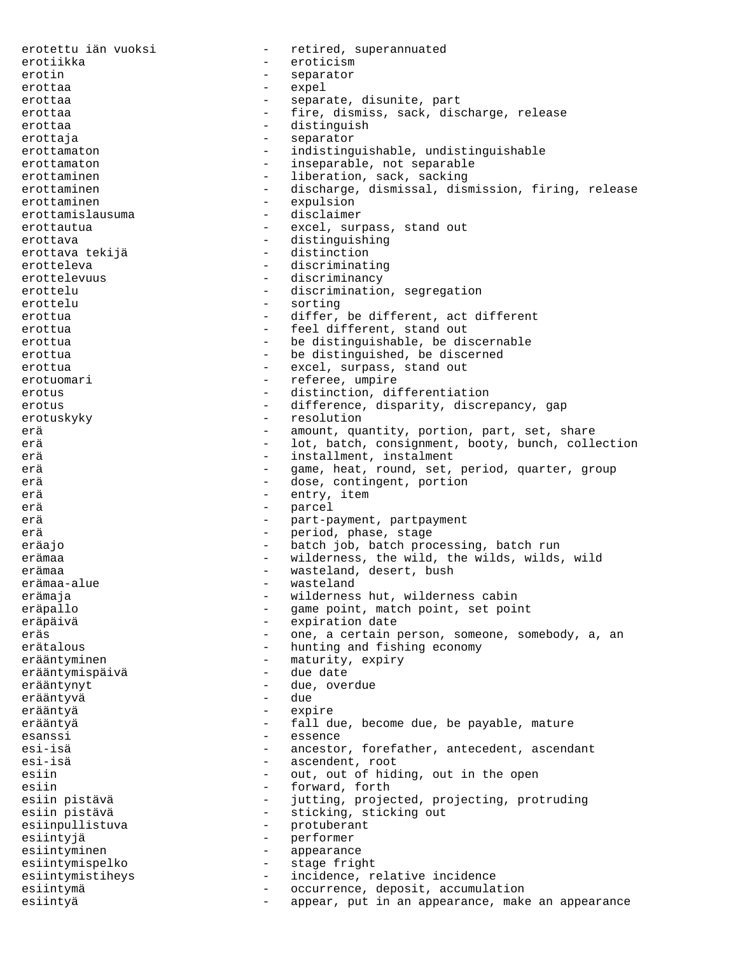erotettu iän vuoksi - - retired, superannuated erotiikka - eroticism - eroticism<br>erotin - separator erotin - separator erottaa - expel erottaa - separate, disunite, part erottaa - fire, dismiss, sack, discharge, release erottaa - distinguish erottaja - separator - indistinguishable, undistinguishable erottamaton - inseparable, not separable<br>erottaminen - liberation, sack, sacking - liberation, sack, sacking erottaminen - discharge, dismissal, dismission, firing, release erottaminen expulsion erottamislausuma - disclaimer erottautua - excel, surpass, stand out erottava - distinguishing<br>erottava tekijä - - distinction - distinction erotteleva - discriminating erottelevuus - discriminancy erottelu - discrimination, segregation erottelu - sorting erottua - differ, be different, act different erottua - feel different, stand out erottua - be distinguishable, be discernable erottua - be distinguished, be discerned erottua - excel, surpass, stand out erotuomari  $-$  referee, umpire erotus - distinction, differentiation erotus - difference, disparity, discrepancy, gap erotuskyky erotuskyky and the erotuskyky of the erotusing  $-$  resolution erä erä amount, quantity, portion, part, set, share erä erä erätteilist von 10t, batch, consignment, booty, bunch, collection erä erättellment, installment, instalment erä erä entergebreitet von den einer game, heat, round, set, period, quarter, group erä erättelliche von dose, contingent, portion erä entry, item erä - parcel erä erä erättelettette med antalyment, part-payment, partpayment erä erä erättelliche von den stagen erättelliche period, phase, stagen eräajo - batch job, batch processing, batch run erämaa - vilderness, the wild, the wilds, wilds, wild erämaa - wasteland, desert, bush erämaa-alue - wasteland erämaja - wilderness hut, wilderness cabin eräpallo  $-$  game point, match point, set point eräpäivä - expiration date eräs - one, a certain person, someone, somebody, a, an erätalous erätalous - hunting and fishing economy erääntyminen - maturity, expiry<br>erääntymispäivä - - due date erääntymispäivä erääntynyt <br />  $\qquad \qquad -$ due, overdue erääntyvä - due erääntyä - expire erääntyä - fall due, become due, be payable, mature esanssi - essence esi-isä - ancestor, forefather, antecedent, ascendant - ascendent, root esiin - out, out of hiding, out in the open<br>esiin - forward, forth - forward, forth esiin pistävä - 1990 - jutting, projected, projecting, protruding esiin pistävä  $-$  sticking, sticking out esiinpullistuva - protuberant esiintyjä - performer esiintyminen - appearance esiintymispelko - stage fright esiintymistiheys - incidence, relative incidence esiintymä - occurrence, deposit, accumulation esiintyä - appear, put in an appearance, make an appearance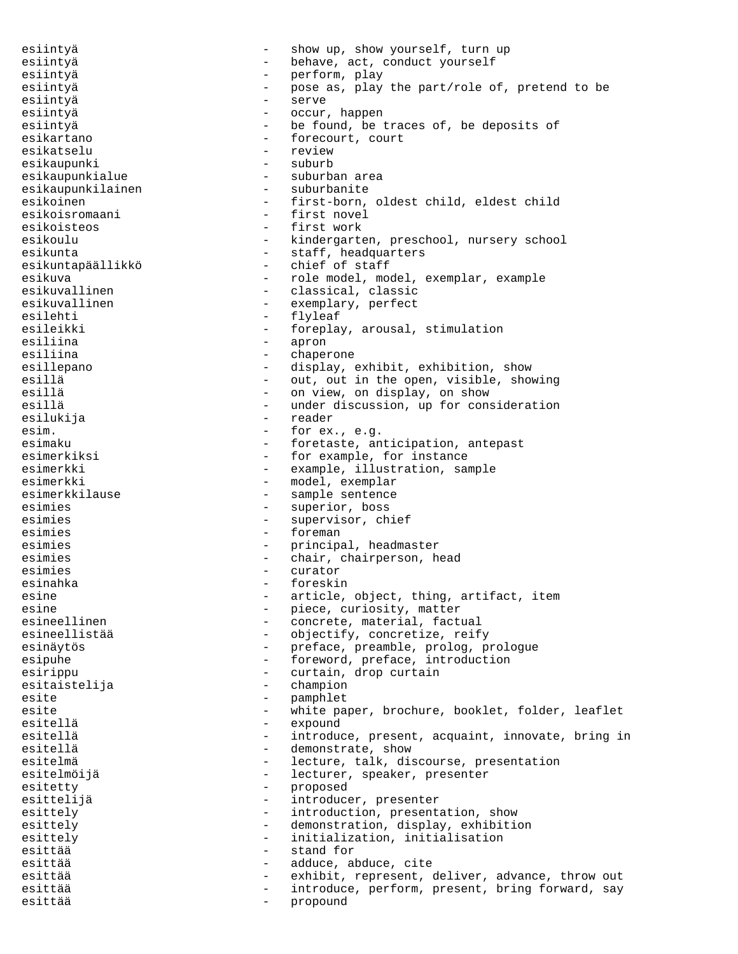esiintyä - show up, show yourself, turn up esiintyä  $-$  behave, act, conduct yourself esiintyä - perform, play esiintyä - pose as, play the part/role of, pretend to be esiintyä - serve esiintyä - occur, happen esiintyä - be found, be traces of, be deposits of esikartano  $-$  forecourt, court esikatselu - review - review - review - review - review - review - review - review - review - review - review <br>- suburb - suburb - suburb - review - review - review - review - review - review - review - review - review esikaupunki esikaupunkialue - suburban area<br>esikaupunkilainen - suburbanite esikaupunkilainen esikoinen - first-born, oldest child, eldest child esikoisromaani - first novel esikoisteos - first work esikoulu - kindergarten, preschool, nursery school esikunta - staff, headquarters - chief of staff esikuva - role model, model, exemplar, example<br>esikuvallinen - classical, classic esikuvallinen - classical, classic<br>esikuvallinen - exemplary, perfect esikuvallinen - exemplary, perfect<br>esilehti - flyleaf - flyleaf esileikki - foreplay, arousal, stimulation esiliina - apron esiliina - chaperone esillepano - display, exhibit, exhibition, show esillä  $-$  out, out in the open, visible, showing esillä - on view, on display, on show esillä  $-$  under discussion, up for consideration esilukija - reader esim.  $-$  for ex., e.g. esimaku - foretaste, anticipation, antepast<br>esimerkiksi - forexample, for instance esimerkiksi - for example, for instance - example, illustration, sample esimerkki - model, exemplar esimerkkilause - sample sentence esimies - superior, boss esimies - supervisor, chief esimies - foreman esimies - principal, headmaster esimies - chair, chairperson, head esimies - curator esinahka - foreskin esine  $\qquad \qquad -$  article, object, thing, artifact, item esine - piece, curiosity, matter<br>esineellinen - concrete, material, fact esineellinen - concrete, material, factual<br>esineellistää - - objectify, concretize, reif - objectify, concretize, reify esinäytös - preface, preamble, prolog, prologue esipuhe  $-$  foreword, preface, introduction esirippu - curtain, drop curtain esitaistelija - champion esite - pamphlet<br>esite - white pay esite  $-$  white paper, brochure, booklet, folder, leaflet esitellä - expound esitellä - introduce, present, acquaint, innovate, bring in esitellä  $-$  demonstrate, show esitelmä  $-$  lecture, talk, discourse, presentation esitelmöijä  $-$  lecturer, speaker, presenter esitetty - proposed esittelijä  $-$  introducer, presenter esittely - introduction, presentation, show<br>esittely - demonstration, display, exhibiti - demonstration, display, exhibition esittely **-** initialization, initialisation esittää - stand for esittää - adduce, abduce, cite esittää  $-$  exhibit, represent, deliver, advance, throw out esittää - introduce, perform, present, bring forward, say esittää - propound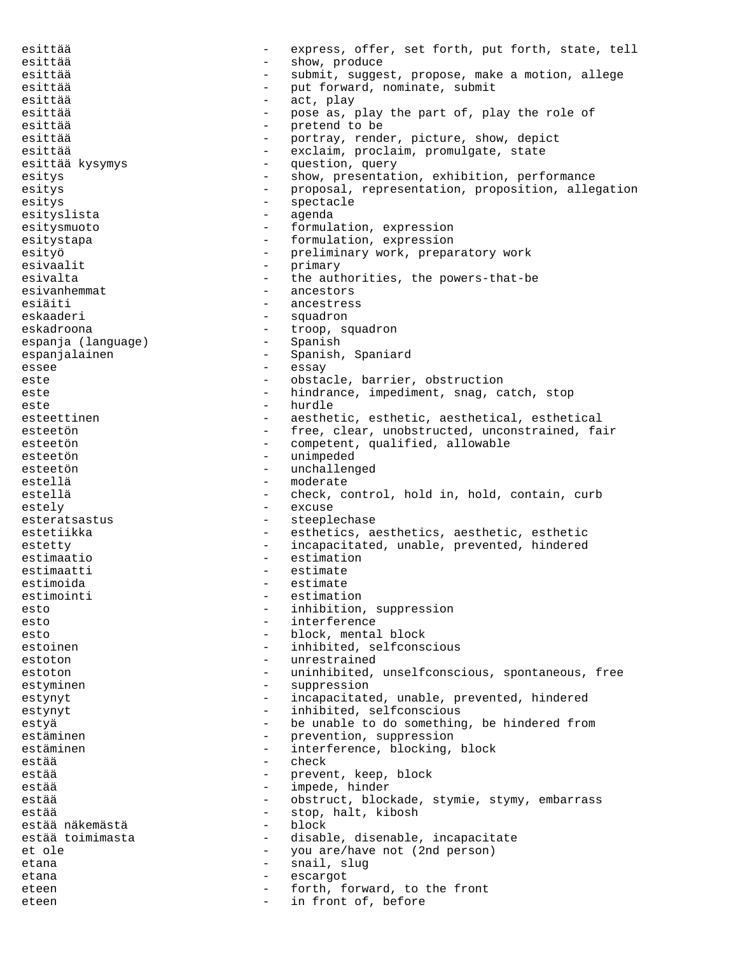esittää - express, offer, set forth, put forth, state, tell esittää - show, produce esittää - submit, suggest, propose, make a motion, allege esittää - put forward, nominate, submit esittää - act, play esittää - pose as, play the part of, play the role of esittää - pretend to be esittää - portray, render, picture, show, depict<br>esittää - exalaim proclaim promulate state esittää - exclaim, proclaim, promulgate, state - question, query esitys - show, presentation, exhibition, performance esitys - proposal, representation, proposition, allegation esitys - spectacle esityslista - agenda esitysmuoto - formulation, expression esitystapa - formulation, expression esityö - preliminary work, preparatory work esivaalit - primary - primary<br>esivalta - the author esivalta - the authorities, the powers-that-be<br>esivanhemmat - ancestors - ancestors esiäiti - ancestress - squadron eskadroona - troop, squadron espanja (language) espanjalainen - Spanish, Spaniard<br>essee essee - essay este - obstacle, barrier, obstruction<br>este - hindrance impediment space. este este and the state of the contract of the hindrance, impediment, snag, catch, stop este - hurdle esteettinen - aesthetic, esthetic, aesthetical, esthetical<br>esteetön esteetön - free, clear, unobstructed, unconstrained, fair esteetön - competent, qualified, allowable<br>esteetön - unimpeded esteetön - unimpeded esteetön - unchallenged estellä - moderate - check, control, hold in, hold, contain, curb estely - excuse esteratsastus - steeplechase estetiikka - esthetics, aesthetics, aesthetic, esthetic estetty - incapacitated, unable, prevented, hindered<br>estimactio estimaatio - estimation estimaatti – estimaatti – estimaida – estimaida – estimaida – estimaida – estimaida – estimaida – estimaida – e estimoida - estimate estimointi - estimation<br>este - inhibition esto  $-$  inhibition, suppression esto  $-$  interference esto - block, mental block - inhibited, selfconscious estoton estoton - unrestrained estoton - uninhibited, unselfconscious, spontaneous, free estyminen - suppression estynyt entertainment of the incapacitated, unable, prevented, hindered estynyt - inhibited, selfconscious estyä - be unable to do something, be hindered from estäminen - prevention, suppression<br>estäminen - interference blocking estäminen - interference, blocking, block<br>estää estää - check<br>estää - check estää - prevent, keep, block<br>estää - prevent, keep, block estää - impede, hinder estää - obstruct, blockade, stymie, stymy, embarrass<br>estää estää - stop, halt, kibosh<br>estää näkemästä - - - - - - block estää näkemästä<br>estää toimimasta - disable, disenable, incapacitate et ole - you are/have not (2nd person) etana - snail, slug etana - escargot eteen - forth, forward, to the front eteen - in front of, before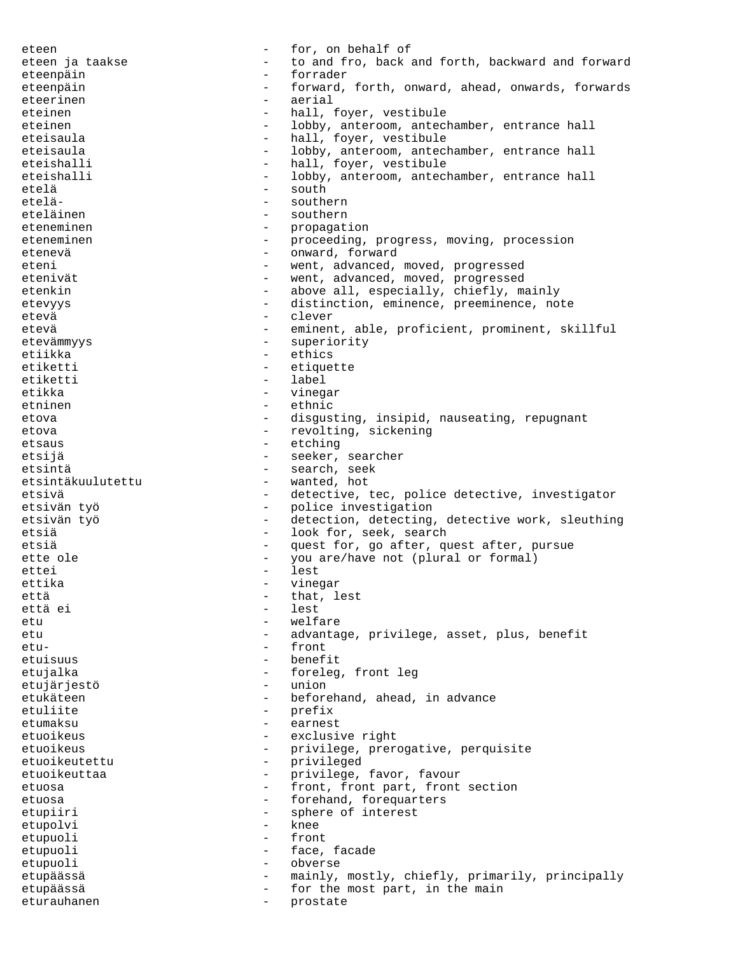eteen  $\qquad \qquad -$  for, on behalf of eteen ja taakse  $\begin{array}{cccc} - &$  to and fro, back and forth, backward and forward<br>eteenpäin  $\begin{array}{cccc} - &$  forrader - forrader eteenpäin - forward, forth, onward, ahead, onwards, forwards eteerinen - aerial eteinen and all, foyer, vestibule eteinen - lobby, anteroom, antechamber, entrance hall eteisaula - hall, foyer, vestibule eteisaula - lobby, anteroom, antechamber, entrance hall eteishalli - hall, foyer, vestibule eteishalli  $-$  lobby, anteroom, antechamber, entrance hall etelä - south etelä- - southern eteläinen - southern eteneminen - propagation<br>eteneminen - propagation eteneminen - proceeding, progress, moving, procession etenevä - onward, forward eteni eteni eteni eteni advanced, moved, progressed etenivät - went, advanced, moved, progressed etenkin - above all, especially, chiefly, mainly etevyys etercy - distinction, eminence, preeminence, note<br>etercy - clever etevä - clever etevä - eminent, able, proficient, prominent, skillful etevämmyys - superiority etiikka - ethics etiketti - etiquette etiketti - label etikka - vinegar etninen - ethnic etova - disgusting, insipid, nauseating, repugnant etova - revolting, sickening<br>etsaus - etching etsaus - etching etsijä - seeker, searcher<br>etsintä - search, seek - search, seek<br>- wanted, hot etsintäkuulutettu etsivä - detective, tec, police detective, investigator etsivän työ - police investigation etsivän työ - detection, detecting, detective work, sleuthing etsiä - look for, seek, search etsiä - quest for, go after, quest after, pursue ette ole - you are/have not (plural or formal) ettei - lest ettika - vinegar että - that, lest että ei etu - welfare etu - advantage, privilege, asset, plus, benefit etu- - front etuisuus - benefit etujalka - foreleg, front leg etujärjestö - union etukäteen - - beforehand, ahead, in advance etuliite - prefix etumaksu - earnest etuoikeus - exclusive right etuoikeus - privilege, prerogative, perquisite<br>etuoikeutettu - privileged etuoikeutettu – privileged<br>etuoikeuttaa – privilege etuoikeuttaa - privilege, favor, favour<br>etuosa - front front part front etuosa - front, front part, front section etuosa  $-$  forehand, forequarters etupiiri - sphere of interest<br>etupolyi - knee etupolvi etupuoli - front etupuoli - face, facade etupuoli - obverse etupäässä  $-$  mainly, mostly, chiefly, primarily, principally etupäässä  $-$  for the most part, in the main eturauhanen 1988 - Prostate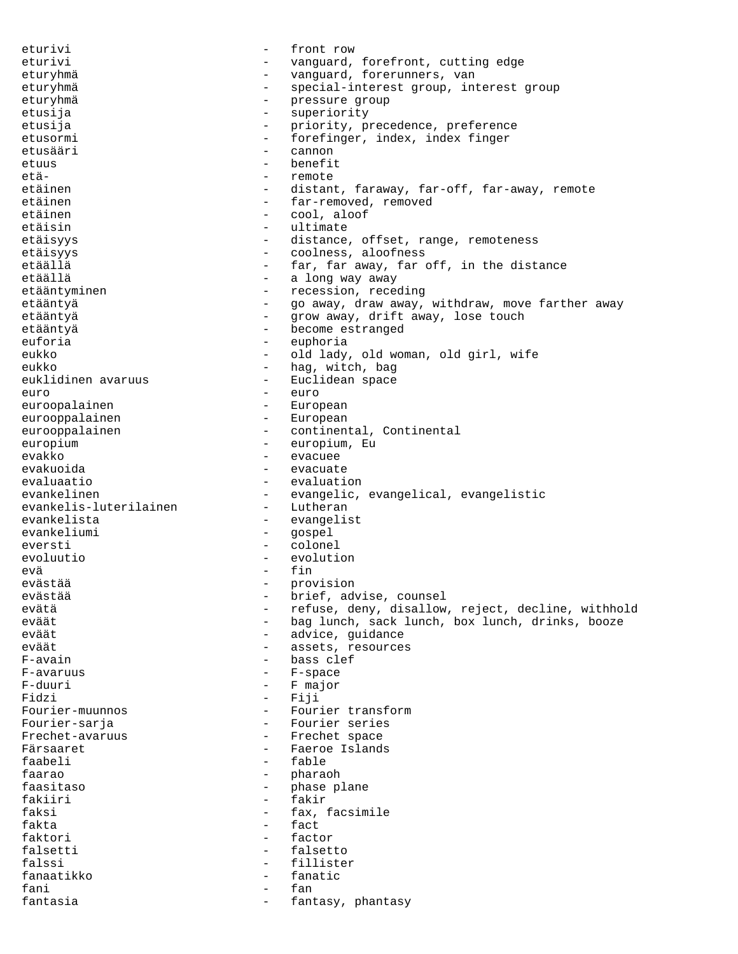eturivi - front row eturivi - vanguard, forefront, cutting edge<br>
- vanguard, forerunners, van eturyhmä - vanguard, forerunners, van eturyhmä - special-interest group, interest group eturyhmä <br/> - pressure group etusija - superiority etusija - priority, precedence, preference<br>etusormi - forefinger, index, index finger - forefinger, index, index finger etusääri - cannon - cannon - cannon - cannon - cannon - cannon - cannon - cannon - cannon - cannon - cannon - cannon - cannon - cannon - cannon - cannon - cannon - cannon - cannon - cannon - cannon - cannon - cannon - cann etuus - benefit etä- - remote - distant, faraway, far-off, far-away, remote etäinen 1988 - far-removed, removed etäinen  $\sim$  - cool, aloof etäisin - ultimate etäisyys - distance, offset, range, remoteness etäisyys - coolness, aloofness etäällä - far, far away, far off, in the distance<br>etäällä - far, far away, far off, in the distance etäällä - a long way away - recession, receding etääntyä - go away, draw away, withdraw, move farther away - grow away, drift away, lose touch etääntyä - become estranged euforia  $-$  euphoria eukko - old lady, old woman, old girl, wife eukko - hag, witch, bag euklidinen avaruus - Euclidean space<br>euro - euro - euro euro - euro - euro euroopalainen - European euroopalainen - European - European - European - European - European - European - European - European - European - European - European - European - European - European - European - European - Europ eurooppalainen eurooppalainen - continental, Continental europium - europium, Eu evakko - evacuee - evacuee - evacuee - evacuation - evacuation - evacuation - evacuation - evacuation - evacuation - evacuation - evacuation - evacuation - evacuation - evacuation - evacuation - evacuation - evacuation - e - evacuate evaluaatio - evaluation evangelic, evangelical, evangelistic<br>- Lutheran evankelis-luterilainen<br>evankelista - evangelist evankeliumi - gospel eversti - colonel evoluutio - evolution evä - fin evästää - provision evästää - brief, advise, counsel evätä - refuse, deny, disallow, reject, decline, withhold<br>eväät - bag lunch, sack lunch, box lunch, drinks, booze eväät - bag lunch, sack lunch, box lunch, drinks, booze<br>eväät - advice quidance - advice, guidance eväät - assets, resources - bass clef F-avaruus - F-space - F-space - F-space - F-space - F-space - F-space - F-space - F-space - F-space - F-space - F-space - F-space - F-space - F-space - F-space - F-space - F-space - F-space - F-space - F-space - F-space - - F major Fidzi - Fiji<br>Fourier-muunnos - Four - Fourier transform Fourier-sarja - Fourier series Frechet-avaruus - Frechet space<br>Färsaaret - Faeroe Islands - Faeroe Islands faabeli - fable - fable<br>faarao - fable - phara - pharaoh faasitaso - phase plane fakiiri - fakir faksi - fax, facsimile  $fakta$  -  $fact$ faktori - factor falsetti - falsetto falssi - fillister<br>fanaatikko - fanatic - fanatic fanaatikko - fanatikko - fanatikko - fanatikko - fanatikko - fanatikko - fanatikko - fanatikko - fanatikko - fanatikko - fanatikko - fanatikko - fanatikko - fanatikko - fanatikko - fanatikko - fanatikko - fanatikko - fanat fani - fan fantasia - fantasy, phantasy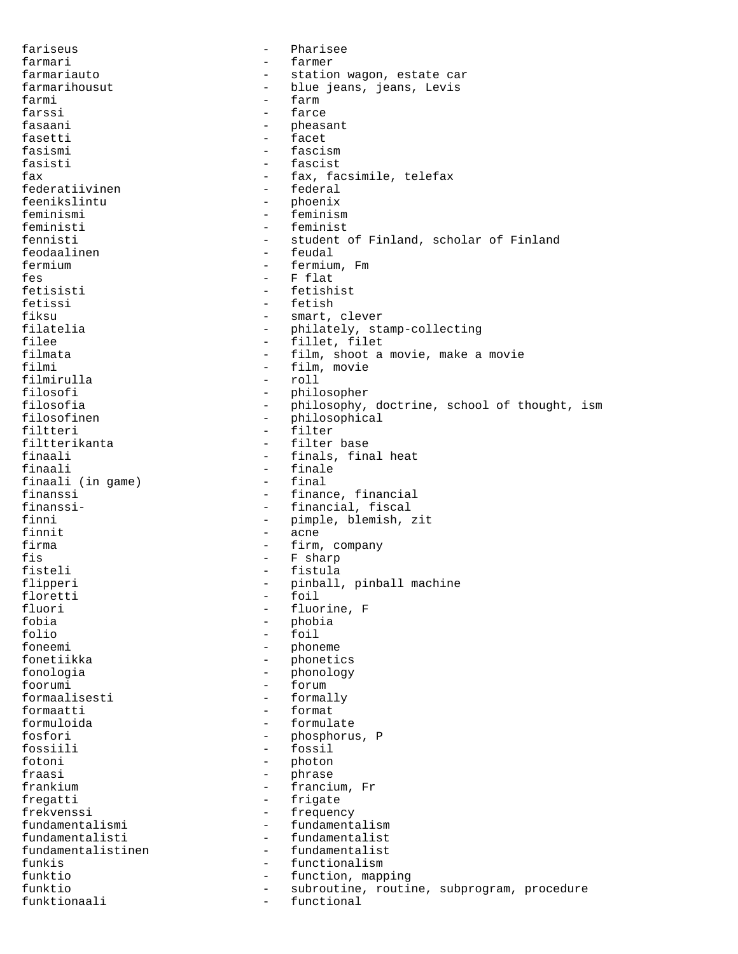fariseus - Pharisee farmari - farmer farmariauto - station wagon, estate car farmarihousut - blue jeans, jeans, Levis farmi - farm<br>farssi - farce farssi - farce fasaani - pheasant - pheasant - pheasant - pheasant - pheasant - pheasant - pheasant - pheasant - facet - pheasant - facet - pheasant - facet - facet - facet - facet - facet - facet - facet - facet - facet - facet - facet fasetti - facet<br>fasismi - fasci: - fascism fasisti - fascist fax  $-$  fax, facsimile, telefax  $-$  fax, facsimile, telefax federatiivinen<br>feenikslintu - phoenix feminismi - feminism feministi - feminist fennisti - student of Finland, scholar of Finland feodaalinen - feudal - feudal - feudal - feudal - feudal - feudal - feudal - feudal - feudal - feudal - feudal - feudal - feudal - feudal - feudal - feudal - feudal - feuda feodaalinen - feodaalinen - feudalinen - feudalinen - feudalinen - feudalinen - feudalinen - feudalinen - feudalinen - feudalinen - feudalinen - feudalinen - feudalinen - feudalinen - feudalinen - feudalinen - feudalinen fermium - fermium, Fm fes - F flat fetisisti - fetishist fetissi - fetish fiksu - smart, clever<br>filatelia - chilately, st. filatelia - philately, stamp-collecting<br>filee - fillet filet filee - fillet, filet<br>filmata - film, shoot a filmata - film, shoot a movie, make a movie<br>filmi - film, movie - film, movie filmirulla - roll filosofi - philosopher filosofia - philosophy, doctrine, school of thought, ism<br>filosofinen - philosophical filosofinen - philosophical filtteri - filter filtterikanta - filter base finaali - finals, final heat<br>finaali - finale - finale - finale<br>- final finaali (in game)<br>finanssi finanssi - finance, financial<br>finanssi-<br>- financial fiscal finanssi- - financial, fiscal - pimple, blemish, zit finnit - acne firma  $-$  firm, company fis - F sharp fisteli - fistula<br>flipperi - fistula<br>pinball - pinball flipperi - pinball, pinball machine<br>floretti - foil<br>- foil floretti - foil<br>fluori - fluori - fluori fluori - fluorine, F<br>fobia - chobia - chobia fobia - phobia folio - foil foneemi - phoneme fonetiikka - phonetics fonologia - phonology foorumi - forum formaalisesti - formally formaatti - format formuloida - formulate fosfori - phosphorus, P fossiili - fossil fotoni - photon fraasi - phrase - phrase - phrase - phrase - phrase - phrase - phrase - phrase - phrase - phrase - phrase - phrase - phrase - phrase - phrase - phrase - phrase - phrase - phrase - phrase - phrase - phrase - phrase - phrase - francium, Fr fregatti - frigate frekvenssi - frequency fundamentalismi - fundamentalism - fundamentalist fundamentalistinen fundamentalist<br>funkis functionalism - functionalism funktio  $-$  function, mapping funktio - subroutine, routine, subprogram, procedure funktionaali - functional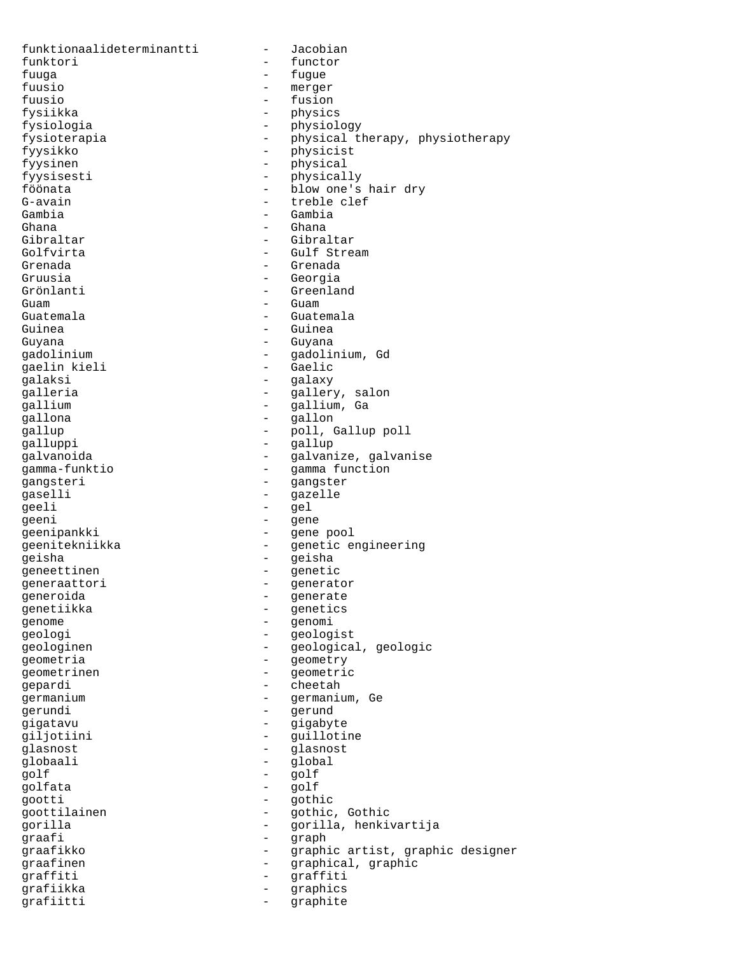funktionaalideterminantti - Jacobian funktori - functor - fugue fuusio - merger fuusio - fusion fysiikka - physics fysiologia - physiology fysioterapia - physical therapy, physiotherapy<br>fyysikko - physicist - physicist fyysinen - physical fyysisesti - physically<br>föönata - blow one's föönata - blow one's hair dry<br>G-avain - treble clef - treble clef Gambia - Gambia Ghana - Ghana - Ghana Gibraltar - Gibraltar Golfvirta - Gulf Stream Grenada - Grenada Gruusia - Georgia<br>Grönlanti - Greenla - Greenland Guam - Guam Guatemala - Guatemala Guinea - Guinea Guyana - Guyana gadolinium - gadolinium, Gd<br>qaelin kieli - Gaelic gaelin kieli galaksi - galaxy galleria  $-$  gallery, salon gallium - gallium, Ga gallona - gallon gallup - poll, Gallup poll galluppi - gallup galvanoida<br>galvanoida - galvanize, galvanise<br>gamma-funktio - gamma function gamma-funktio - gamma function - gangster qaselli - gazelle qeeli - gel qeeni - gene geenipankki - gene pool geenitekniikka - genetic engineering geisha - geisha geneettinen - genetic generaattori - generator eneroida entre en la componente de la generate de la componente de la componente de la componente de la componente de la componente de la componente de la componente de la componente de la componente de la componente de la genetiikka - genetics enome - genomi - genomi - genomi - genomi - genomi - genomi - genomi - genomi - genomi - genomi - genomi - genomi - genomi - genomi - genomi - genomi - genomi - genomi - genomi - genomi - genomi - genomi - genomi - genomi geologi - geologist<br>geologinen - geologica - geological, geologic qeometria - geometry geometrinen - geometric gepardi - cheetah germanium - germanium, Ge gerundi - gerund gigatavu - gigabyte giljotiini - guillotine glasnost - glasnost globaali - global<br>golf - golf - golf golf - golf golfata - golf gootti - gothic goottilainen - gothic, Gothic gorilla - gorilla, henkivartija qraafi - graph graafikko - graphic artist, graphic designer<br>graafinen - graphical graphic graafinen - graphical, graphic graffiti - graffiti grafiikka - graphics grafiitti - graphite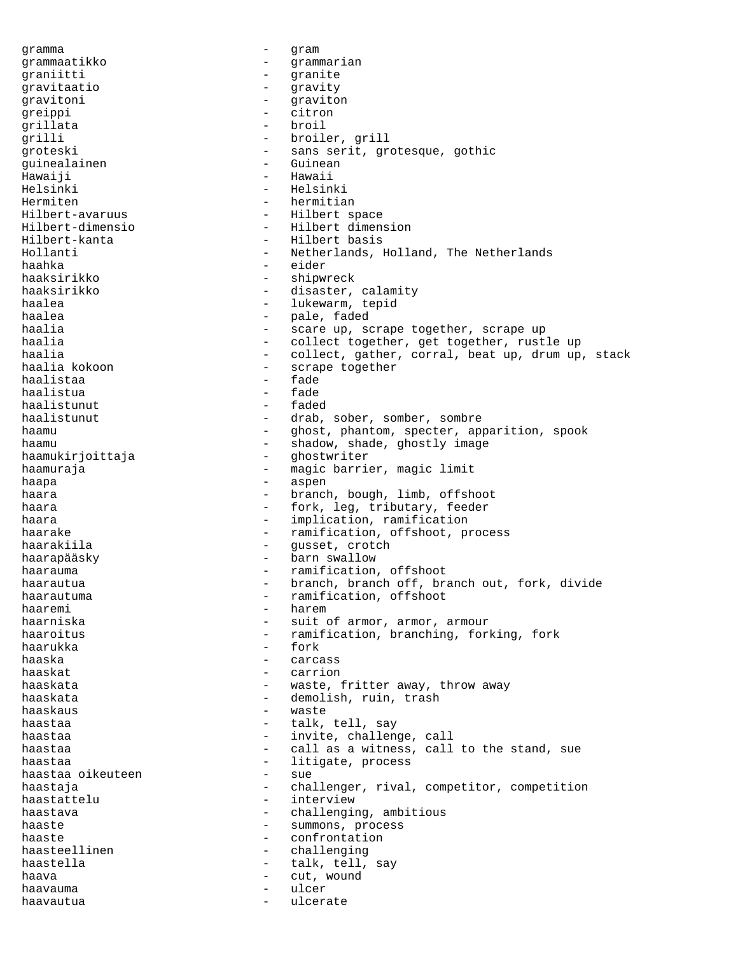qramma - qram grammaatikko - grammarian<br>graniitti - granite graniitti - granite gravitaatio - gravity gravitoni - graviton greippi - citron grillata grilli - broiler, grill<br>qroteski - sans serit, gr - sans serit, grotesque, gothic<br>- Guinean guinealainen<br>Hawaiji Hawaiji - Hawaii Helsinki - Helsinki Hermiten - hermitian Hilbert-avaruus - Hilbert space Hilbert-dimensio - Hilbert dimension Hilbert-kanta - Hilbert basis Hollanti - Netherlands, Holland, The Netherlands haahka - eider<br>haaksirikko - - eider - eider shipwreck haaksirikko - disaster, calamity<br>haalea - lukewarm tepid haalea - lukewarm, tepid - pale, faded haalia - scare up, scrape together, scrape up haalia - collect together, get together, rustle up haalia - collect, gather, corral, beat up, drum up, stack<br>haalia kokoon - scrape together - scrape together<br>- fade haalistaa - fade haalistua - fade haalistunut - faded - faded - faded - faded - faded - faded - faded - faded - faded - faded - faded - faded - faded - faded - faded - faded - faded - faded - faded - faded - faded - faded - faded - faded - faded - faded haalistunut - drab, sober, somber, sombre haamu - ghost, phantom, specter, apparition, spook haamu - shadow, shade, ghostly image haamukirjoittaja - ghostwriter haamuraja - magic barrier, magic limit<br>haana - aspen haapa - aspen haara - branch, bough, limb, offshoot haara - fork, leg, tributary, feeder haara - implication, ramification haarake - ramification, offshoot, process haarakiila - gusset, crotch haarapääsky - barn swallow haarauma - ramification, offshoot haarautua - branch, branch off, branch out, fork, divide<br>haarautuma - ramification offshoot haarautuma - ramification, offshoot<br>haarami - haram - haram haaremi - harem haarniska - suit of armor, armor, armour haaroitus **-** ramification, branching, forking, fork haarukka - fork haaska - carcass haaskat - carrion haaskata - waste, fritter away, throw away haaskata - demolish, ruin, trash haaskaus - waste haastaa  $-$  talk, tell, say haastaa - invite, challenge, call haastaa - call as a witness, call to the stand, sue haastaa - litigate, process<br>haastaa oikeuteen - - sue - sue haastaa oikeuteen suuri suuri suuri suuri suuri suuri suuri suuri suuri suuri suuri suuri suuri suuri suuri su<br>Turista suuri suuri suuri suuri suuri suuri suuri suuri suuri suuri suuri suuri suuri suuri suuri suuri suuri haastaja - challenger, rival, competitor, competition haastattelu - interview haastava - challenging, ambitious haaste - summons, process<br>haaste - confrontation haaste - confrontation haasteellinen - challenging haastella - talk, tell, say haava - cut, wound haavauma  $\qquad \qquad \qquad$   $\qquad \qquad$   $\qquad \qquad$   $\qquad \qquad$   $\qquad$   $\qquad$   $\qquad$   $\qquad$   $\qquad$   $\qquad$   $\qquad$   $\qquad$   $\qquad$   $\qquad$   $\qquad$   $\qquad$   $\qquad$   $\qquad$   $\qquad$   $\qquad$   $\qquad$   $\qquad$   $\qquad$   $\qquad$   $\qquad$   $\qquad$   $\qquad$   $\qquad$   $\qquad$   $\qquad$   $\qquad$   $\qquad$   $\qquad$ haavautua - ulcerate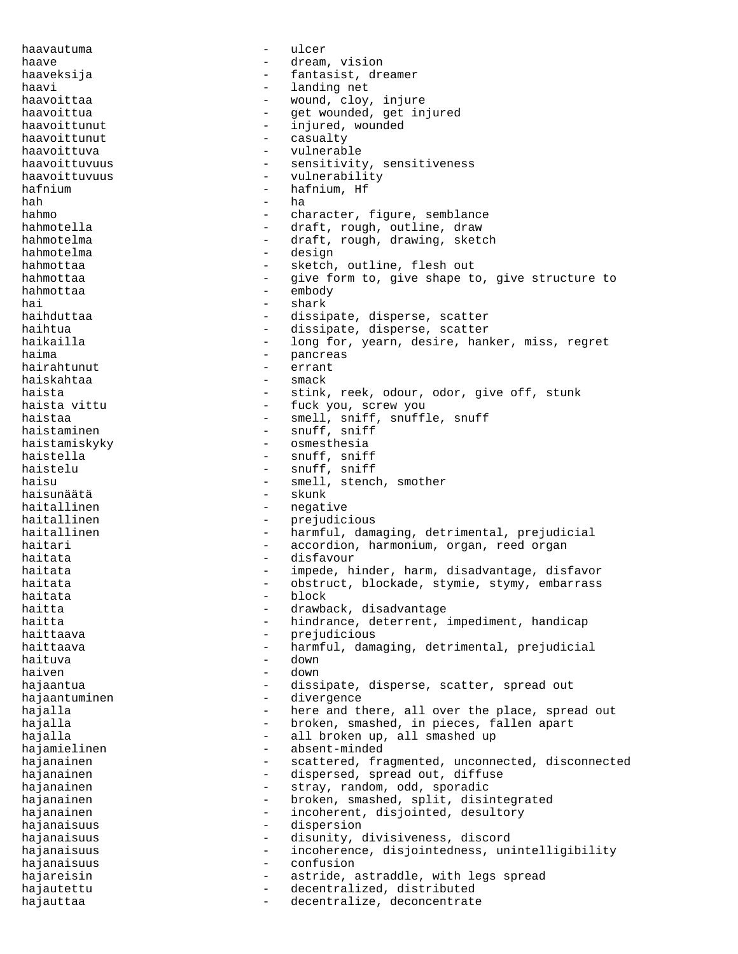haavautuma - ulcer haave  $\qquad \qquad -$  dream, vision haaveksija - fantasist, dreamer haavi - landing net haavoittaa - wound, cloy, injure haavoittua - get wounded, get injured<br>haavoittunut - injured wounded haavoittunut - injured, wounded<br>haavoittunut - casualty haavoittunut - casualtinum - casualtinum - casualtinum - casualtinum - casualtinum - casualtinum - c haavoittuva - vulnerable haavoittuvuus - sensitivity, sensitiveness<br>haavoittuvuus - vulnerability haavoittuvuus - vulnerability<br>hafnium - hafnium Hf hafnium - hafnium, Hf<br>hab - ha hah - ha hahmo - character, figure, semblance hahmotella - draft, rough, outline, draw<br>hahmotelma - draft, rough, drawing, sket - draft, rough, drawing, sketch hahmotelma - design hahmottaa - sketch, outline, flesh out hahmottaa - contracted by the structure to give form to, give shape to, give structure to hahmottaa - embody hai - shark haihduttaa - dissipate, disperse, scatter haihtua - dissipate, disperse, scatter haikailla - long for, yearn, desire, hanker, miss, regret haima - pancreas<br>hairahtunut - errant hairahtunut - errant haiskahtaa - smack haista - stink, reek, odour, odor, give off, stunk<br>haista vittu - fuck you, screw you - fuck you, screw you haistaa - smell, sniff, snuffle, snuff haistaminen - snuff, sniff haistamiskyky - osmesthesia haistella - snuff, sniff - snuff, sniff haisu - smell, stench, smother<br>haisunäätä - skunk - skunk - skunk haitallinen 1988 - negative haitallinen 1988 - negative haitallinen 1988 - negative handelsen von de mondo<br>Antallinen 1988 - negative haitallinen 1988 - negative handelsen von de mondo de mondo de mondo de mondo de mo - prejudicious haitallinen - harmful, damaging, detrimental, prejudicial haitari  $-$  accordion, harmonium, organ, reed organ haitata  $-$  disfavour haitata - impede, hinder, harm, disadvantage, disfavor haitata - obstruct, blockade, stymie, stymy, embarrass haitata - block haitta - drawback, disadvantage haitta - hindrance, deterrent, impediment, handicap<br>haittaava - haittaava - preiudicious haittaava - prejudicious haittaava - harmful, damaging, detrimental, prejudicial haituva - down haiven and the contract of the contract of the contract of the contract of the contract of the contract of the hajaantua - dissipate, disperse, scatter, spread out hajaantuminen 1988 beste om divergence hajalla - here and there, all over the place, spread out hajalla - broken, smashed, in pieces, fallen apart hajalla - all broken up, all smashed up hajamielinen 1988 blanden absent-minded hajanainen en en scattered, fragmented, unconnected, disconnected hajanainen 1980 - dispersed, spread out, diffuse hajanainen 1988 - Stray, random, odd, sporadic hajanainen 1988 - broken, smashed, split, disintegrated hajanainen - incoherent, disjointed, desultory<br>hajanaisuus - dispersion hajanaisuus - dispersion<br>hajanaisuus - disunity hajanaisuus - disunity, divisiveness, discord hajanaisuus - incoherence, disjointedness, unintelligibility hajanaisuus - confusion hajareisin **1986** - astride, astraddle, with legs spread hajautettu - decentralized, distributed hajauttaa - decentralize, deconcentrate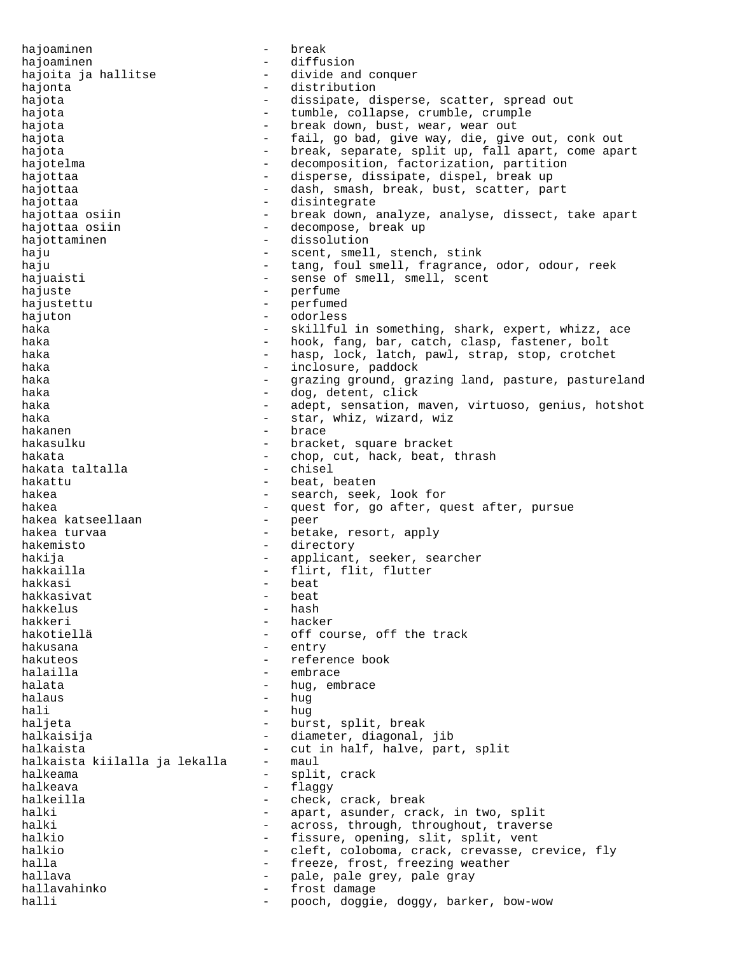hajoaminen - break hajoaminen 1988 - diffusion hajoita ja hallitse  $-$  divide and conquer hajonta - distribution hajota and the settle of the dissipate, disperse, scatter, spread out hajota  $-$  tumble, collapse, crumble, crumple hajota - break down, bust, wear, wear out hajota - fail, go bad, give way, die, give out, conk out hajota **1988** - break, separate, split up, fall apart, come apart hajotelma - decomposition, factorization, partition<br>hajottaa - disperse dissipate dispel break up hajottaa - disperse, dissipate, dispel, break up<br>hajottaa - dash smash break bust scatter pa hajottaa - dash, smash, break, bust, scatter, part hajottaa - disintegrate hajottaa osiin  $-$  break down, analyze, analyse, dissect, take apart hajottaa osiin  $\qquad \qquad -$  decompose, break up hajottaminen - dissolution haju  $-$  scent, smell, stench, stink haju  $-$  tang, foul smell, fragrance, odor, odour, reek hajuaisti - sense of smell, smell, scent<br>hajuste hajuste - perfume - perfume - perfume - perfume - perfume - perfume - perfume - perfume - perfume - perfume hajustettu – perfumed variation – perfumed variation – perfumed variation – perfumed variation – per hajuton - odorless haka - skillful in something, shark, expert, whizz, ace haka  $-$  hook, fang, bar, catch, clasp, fastener, bolt haka - hasp, lock, latch, pawl, strap, stop, crotchet haka  $-$  inclosure, paddock haka haka - grazing ground, grazing land, pasture, pastureland haka  $-$  dog, detent, click haka - adept, sensation, maven, virtuoso, genius, hotshot haka  $\qquad \qquad -$  star, whiz, wizard, wiz hakanen - brace - brace - brace - bracket - bracket - bracket - bracket - bracket - bracket - bracket - bracke hakasulku - bracket, square bracket<br>hakata hakata - chop, cut, hack, beat, thrash<br>hakata taltalla - chisel - chisel hakata taltalla<br>hakattu - beat, beaten hakea - search, seek, look for hakea - quest for, go after, quest after, pursue<br>hakea katseellaan - peer hakea katseellaan hakea turvaa  $\qquad \qquad -$  betake, resort, apply hakemisto - directory hakija  $-$  applicant, seeker, searcher hakkailla - flirt, flit, flutter hakkasi - beat hakkasivat - beat hakkelus<br>hakkeri hakkeri - hacker - off course, off the track hakusana  $-$  entry hakuteos - reference book<br>halailla - reference book halailla - embrace halata  $-$  hug, embrace halaus - hug hali - hug haljeta  $-$  burst, split, break halkaisija - diameter, diagonal, jib halkaista<br>halkaista kiilalla ja lekalla - maul<br>maul<br>maul halkaista kiilalla ja lekalla - maul halkeama - split, crack<br>halkeava - split, crack halkeava - flaggy check, crack, break halki - apart, asunder, crack, in two, split halki - across, through, throughout, traverse halkio  $-$  fissure, opening, slit, split, vent halkio  $-$  cleft, coloboma, crack, crevasse, crevice, fly halla  $\qquad \qquad -$  freeze, frost, freezing weather hallava - pale, pale grey, pale gray<br>hallavahinko - frost damage hallavahinko - frost damage halli - pooch, doggie, doggy, barker, bow-wow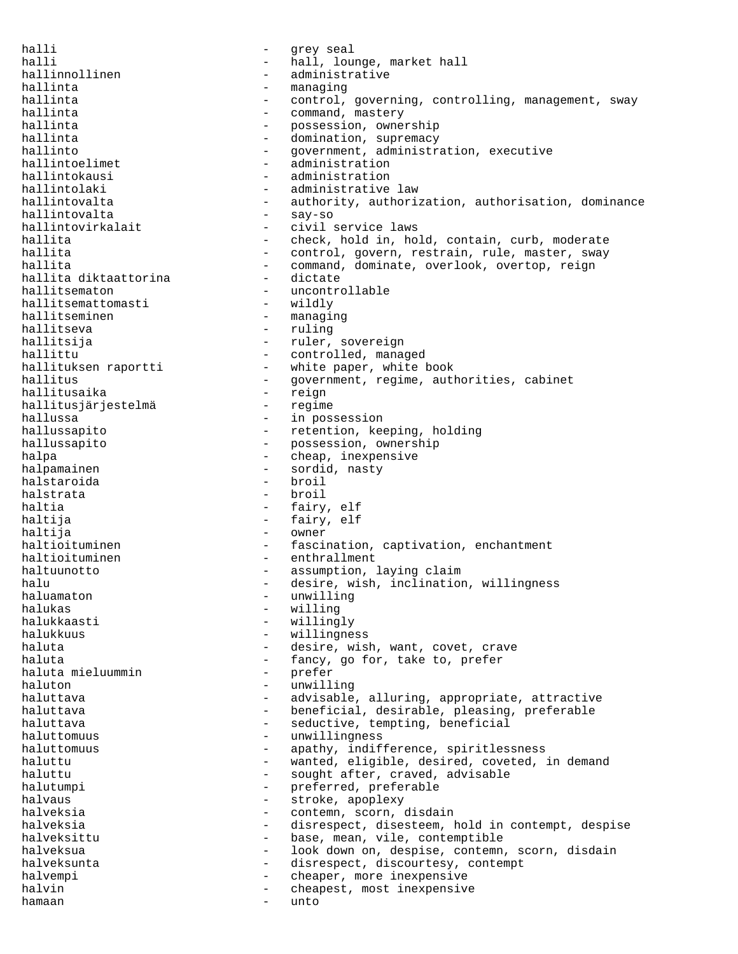halli - grey seal - hall, lounge, market hall hallinnollinen - administrative hallinta - managing<br>hallinta - control. hallinta - control, governing, controlling, management, sway hallinta  $\begin{array}{ccc}\n & - & \text{command, mastery}\n\end{array}$ hallinta  $\begin{array}{ccc}\n & - & \text{beginon} \text{mean}\n\end{array}$ hallinta - possession, ownership hallinta - domination, supremacy hallinto - government, administration, executive - administration hallintokausi - administration<br>hallintolaki - administrative hallintolaki - administrative law<br>hallintovalta - authority, authorit - authority, authorization, authorisation, dominance hallintovalta - say-so hallintovirkalait - civil service laws hallita - check, hold in, hold, contain, curb, moderate<br>hallita - control, govern, restrain, rule, master, sway hallita - control, govern, restrain, rule, master, sway<br>hallita - command, dominate, overlook, overtop, reign - command, dominate, overlook, overtop, reign<br>- dictate hallita diktaattorina<br>hallitsematon - uncontrollable<br>- wildly hallitsemattomasti<br>hallitseminen - managing hallitseva - ruling hallitsija - ruler, sovereign hallittu - controlled, managed hallituksen raportti - white paper, white book hallitus - government, regime, authorities, cabinet<br>hallitusaika - reign hallitusaika - reign hallitusjärjestelmä hallussa - in possession hallussapito - retention, keeping, holding hallussapito - possession, ownership halpa - cheap, inexpensive halpamainen - sordid, nasty<br>halstaroida - broil - broil halstaroida halstrata - broil haltia  $-$  fairy, elf haltija  $-$  fairy, elf haltija - owner haltioituminen - fascination, captivation, enchantment haltioituminen - enthrallment haltuunotto - assumption, laying claim halu - desire, wish, inclination, willingness<br>haluamaton - unwilling - unwilling halukas - willing<br>halukkaasti - willing - willing halukkaasti - willingly<br>halukkuus - - willingne - willingness haluta - desire, wish, want, covet, crave haluta - fancy, go for, take to, prefer haluta mieluummin - prefer haluton - unwilling haluttava - advisable, alluring, appropriate, attractive haluttava - beneficial, desirable, pleasing, preferable haluttava  $-$  seductive, tempting, beneficial haluttomuus - unwillingness haluttomuus - apathy, indifference, spiritlessness haluttu - wanted, eligible, desired, coveted, in demand haluttu - sought after, craved, advisable halutumpi - preferred, preferable halvaus - stroke, apoplexy halveksia  $-$  contemn, scorn, disdain halveksia  $-$  disrespect, disesteem, hold in contempt, despise halveksittu - base, mean, vile, contemptible halveksua - look down on, despise, contemn, scorn, disdain halveksunta - disrespect, discourtesy, contempt<br>halvempi<br>- cheaper more inexpensive halvempi - cheaper, more inexpensive halvin  $\qquad \qquad -$  cheapest, most inexpensive hamaan - unto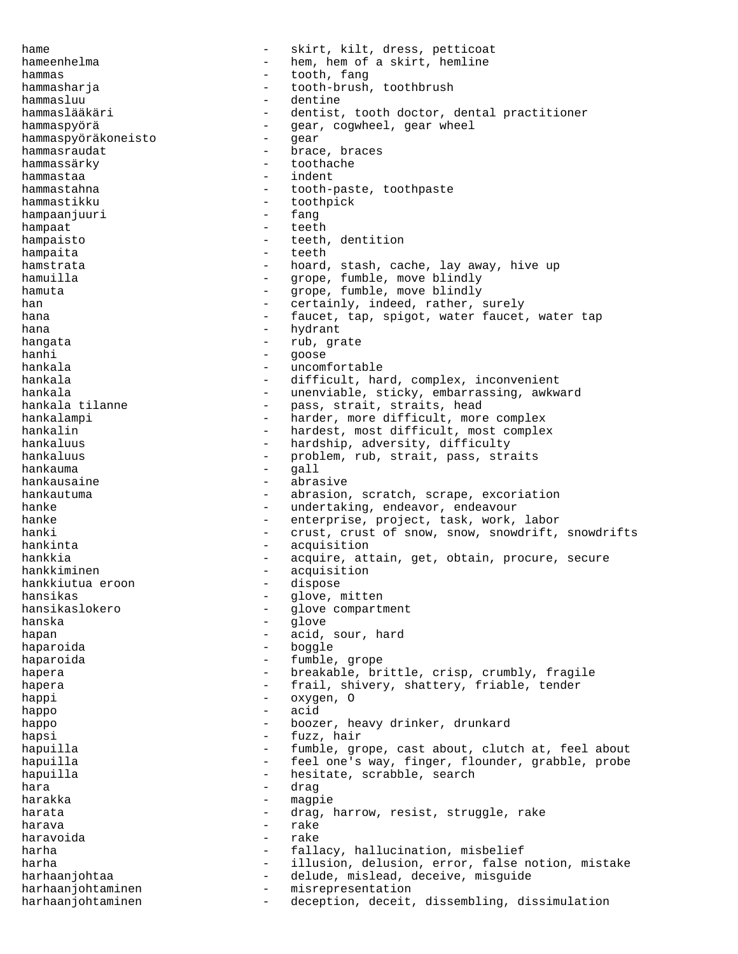hame  $-$  skirt, kilt, dress, petticoat hameenhelma - hem, hem of a skirt, hemline<br>hammas - tooth, fang hammas - tooth, fang hammasharja - tooth-brush, toothbrush hammasluu - dentine<br>hammaslääkäri - dentist, - dentist, tooth doctor, dental practitioner hammaspyörä - gear, cogwheel, gear wheel hammaspyöräkoneisto hammasraudat - brace, braces hammassärky  $-$  toothache hammastaa - indent - tooth-paste, toothpaste hammastikku - toothpick hampaanjuuri - fang hampaat - teeth<br>hampaisto - teeth<br>- teeth hampaisto  $-$  teeth, dentition hampaita - teeth hamstrata - hoard, stash, cache, lay away, hive up hamuilla  $-$  grope, fumble, move blindly hamuta  $\qquad \qquad -$  grope, fumble, move blindly han - certainly, indeed, rather, surely<br>hana - faucet tan spigot water faucet - faucet, tap, spigot, water faucet, water tap hana - hydrant hangata  $-$  rub, grate hanhi - goose - uncomfortable hankala  $-$  difficult, hard, complex, inconvenient hankala - unenviable, sticky, embarrassing, awkward<br>hankala tilanne - pass, strait, straits, head pass, strait, straits, head hankalampi - harder, more difficult, more complex hankalin - hardest, most difficult, most complex hankaluus - hardship, adversity, difficulty hankaluus - problem, rub, strait, pass, straits<br>hankauma hankauma - gall - abrasive hankautuma - abrasion, scratch, scrape, excoriation hanke - undertaking, endeavor, endeavour hanke  $-$  enterprise, project, task, work, labor hanki  $-$  crust, crust of snow, snow, snowdrift, snowdrifts hankinta  $\qquad \qquad -$  acquisition hankkia - acquire, attain, get, obtain, procure, secure<br>hankkiminen - acquisition - acquisition<br>- dispose hankkiutua eroon - dispose hansikas - glove, mitten<br>hansikaslokero - alove compartu hansikaslokero - glove compartment<br>hanska - glove compartment hanska - glove hapan - acid, sour, hard<br>haparoida - - - - - - - - - - boggle - boggle haparoida - fumble, grope hapera **-** breakable, brittle, crisp, crumbly, fragile hapera - frail, shivery, shattery, friable, tender happi - oxygen, 0<br>happo - acid happo - acid happo - boozer, heavy drinker, drunkard hapsi  $-$  fuzz, hair hapuilla - fumble, grope, cast about, clutch at, feel about hapuilla  $-$  feel one's way, finger, flounder, grabble, probe hapuilla - hesitate, scrabble, search<br>hara - drag - drag - drag - drag - drag - drag - drag - drag - drag - drag - drag - drag - drag - drag - drag - drag - drag - drag - drag - drag - drag - drag - drag - drag - drag - dr hara - drag - drag - drag - drag - drag - drag - drag - drag - drag - drag - drag - drag - drag - drag - drag - drag - drag - drag - drag - drag - drag - drag - drag - drag - drag - drag - drag - drag - drag - drag - drag harakka - magpie harata - drag, harrow, resist, struggle, rake harava - rake haravoida - rake harha - fallacy, hallucination, misbelief harha - illusion, delusion, error, false notion, mistake harhaanjohtaa - delude, mislead, deceive, misguide harhaanjohtaminen - misrepresentation<br>harhaanjohtaminen - decention deceit harhaanjohtaminen - deception, deceit, dissembling, dissimulation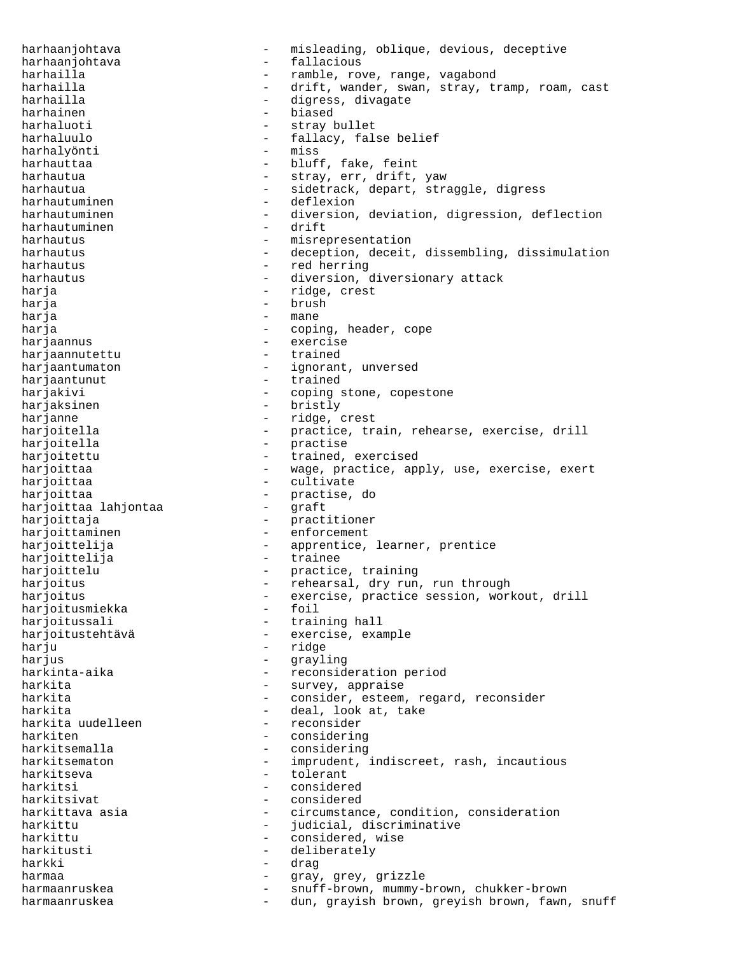harhaanjohtava - misleading, oblique, devious, deceptive harhaanjohtava - fallacious harhailla - ramble, rove, range, vagabond harhailla  $-$  drift, wander, swan, stray, tramp, roam, cast harhailla - digress, divagate harhainen harhaluoti - stray bullet harhaluulo - fallacy, false belief harhalyönti harhauttaa - bluff, fake, feint harhautua  $-$  stray, err, drift, yaw harhautua  $-$  sidetrack, depart, straggle, digress harhautuminen en en andere deflexion harhautuminen - diversion, deviation, digression, deflection harhautuminen harhautus - misrepresentation harhautus ettis - deception, deceit, dissembling, dissimulation harhautus - red herring harhautus - diversion, diversionary attack harja  $-$  ridge, crest harja - brush harja - mane harja  $-$  coping, header, cope harjaannus - exercise<br>harjaannutettu - - trained harjaannutettu harjaantumaton - ignorant, unversed harjaantunut - trained<br>hariakivi - coping s harjakivi - coping stone, copestone harjaksinen - bristly harjanne - ridge, crest - practice, train, rehearse, exercise, drill<br>- practise harjoitella - practise harjoitettu - trained, exercised harjoittaa - wage, practice, apply, use, exercise, exert harjoittaa - cultivate harjoittaa - practise, do harjoittaa lahjontaa harjoittaja - practitioner harjoittaminen - enforcement harjoittelija - apprentice, learner, prentice<br>harjoittelija - trainee - trainee harjoittelija harjoittelu - practice, training harjoitus - rehearsal, dry run, run through harjoitus - exercise, practice session, workout, drill<br>harioitusmiekka - foil harjoitusmiekka harjoitussali - training hall harjoitustehtävä - exercise, example<br>harju - ridge - ridge - ridge harjus - grayling harkinta-aika - reconsideration period harkita  $-$  survey, appraise harkita - consider, esteem, regard, reconsider harkita - deal, look at, take harkita uudelleen harkiten  $-$  considering harkitsemalla - considering harkitsematon - imprudent, indiscreet, rash, incautious harkitseva - tolerant harkitsi - considered harkitsivat - considered<br>harkittava asia - circumstano - circumstance, condition, consideration harkittu - judicial, discriminative harkittu - considered, wise harkitusti - deliberately harkki - drag harmaa - gray, grey, grizzle harmaanruskea - snuff-brown, mummy-brown, chukker-brown harmaanruskea - dun, grayish brown, greyish brown, fawn, snuff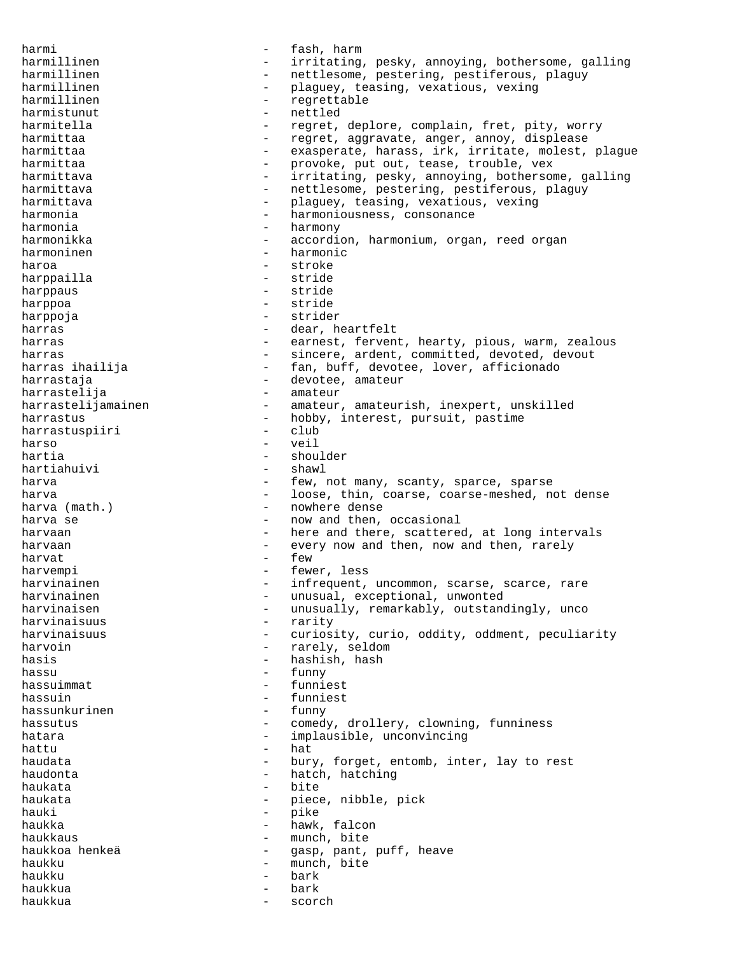harmi - fash, harm harmillinen - irritating, pesky, annoying, bothersome, galling<br>harmillinen - hettlesome, pestering, pestiferous, plaquy harmillinen - nettlesome, pestering, pestiferous, plaguy harmillinen - - plaguey, teasing, vexatious, vexing<br>harmillinen - - - - - regrettable regrettable harmistunut - nettled<br>harmitella - regret, harmitella - regret, deplore, complain, fret, pity, worry<br>harmittaa - regret, aggravate, anger, annoy, displease harmittaa - regret, aggravate, anger, annoy, displease<br>harmittaa - - exasperate, harass, irk, irritate, molest, harmittaa - exasperate, harass, irk, irritate, molest, plague - provoke, put out, tease, trouble, vex harmittava - irritating, pesky, annoying, bothersome, galling harmittava - nettlesome, pestering, pestiferous, plaguy<br>harmittava - naguey teasing vexatious vering harmittava - plaguey, teasing, vexatious, vexing harmonia  $\qquad \qquad \qquad -$  harmoniousness, consonance harmonia - harmony<br>harmonikka - accordi harmonikka - accordion, harmonium, organ, reed organ, mediately harmoninen 1989 - harmonic haroa - stroke harppailla harppaus - stride harppoa - stride harppoja - strider harras  $\qquad \qquad -$  dear, heartfelt harras and the earnest, fervent, hearty, pious, warm, zealous harras ihailija (1999) - sincere, ardent, committed, devoted, devout harras ihailija (1999) - fan, buff, devotee, lover, afficionado - fan, buff, devotee, lover, afficionado harrastaja  $\qquad \qquad -$  devotee, amateur harrastelija - amateur harrastelijamainen - amateur, amateurish, inexpert, unskilled<br>harrastus - hobby, interest, pursuit, pastime - hobby, interest, pursuit, pastime<br>- club harrastuspiiri - club<br>harso - veil harso - veil hartia - shoulder - shoulder - shoulder - shoulder - shoulder - shoulder - shoulder - shoulder - shawl hartiahuivi harva harva - few, not many, scanty, sparce, sparse harva - loose, thin, coarse, coarse-meshed, not dense - nowhere dense harva se  $\sim$  - now and then, occasional harvaan and there and there, scattered, at long intervals harvaan **-** every now and then, now and then, rarely harvat - few harvempi - fewer, less harvinainen 1980 - infrequent, uncommon, scarse, scarce, rare<br>harvinainen 1980 - unusual, exceptional, unwonted harvinainen - unusual, exceptional, unwonted<br>harvinaisen - - unusually, remarkably, outstan harvinaisen - unusually, remarkably, outstandingly, unco<br>harvinaisuus - rarity harvinaisuus - rarity<br>harvinaisuus - curios - curiosity, curio, oddity, oddment, peculiarity harvoin - rarely, seldom hasis  $-$  hashish, hash hassu - funny hassuimmat - funniest hassuin - funniest hassunkurinen - funny hassutus - comedy, drollery, clowning, funniness hatara - implausible, unconvincing<br>hattu - hat hattu - hat haudata - bury, forget, entomb, inter, lay to rest haudonta - hatch, hatching haukata - bite haukata - piece, nibble, pick<br>hauki - pike hauki - pike haukka - hawk, falcon haukkaus - munch, bite haukkoa henkeä  $-$  gasp, pant, puff, heave haukku - munch, bite haukku - bark haukkua - bark haukkua - scorch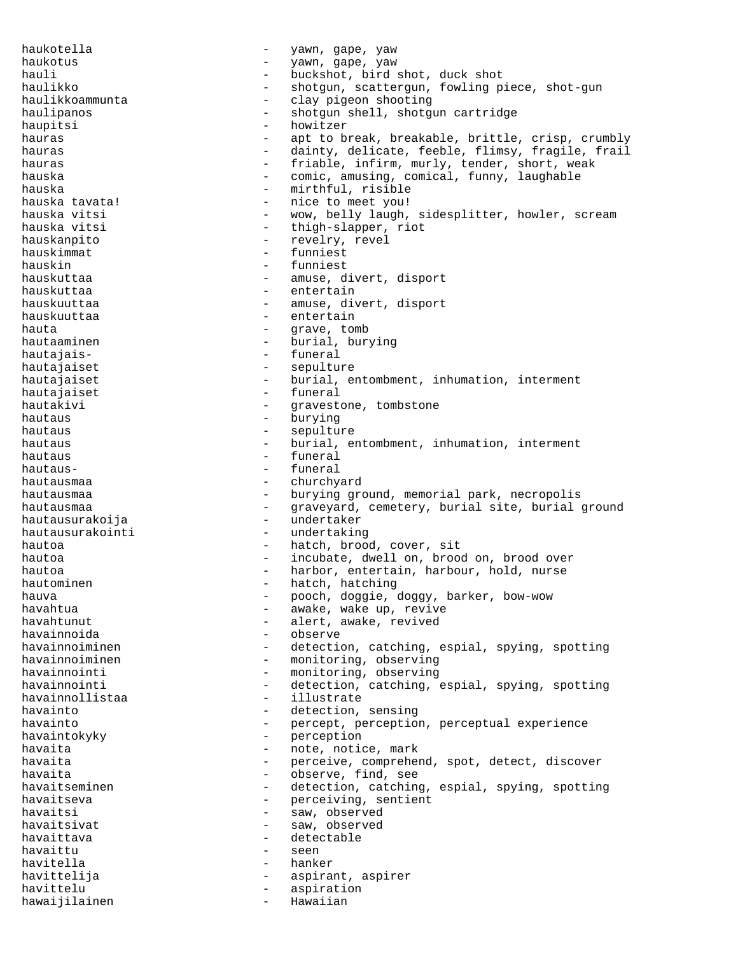haukotella  $-$  yawn, gape, yaw haukotus - yawn, gape, yaw hauli - buckshot, bird shot, duck shot haulikko - shotgun, scattergun, fowling piece, shot-gun haulikkoammunta - clay pigeon shooting haulipanos - shotgun shell, shotgun cartridge haupitsi - howitzer hauras and to break, breakable, brittle, crisp, crumbly hauras and the setting of the dainty, delicate, feeble, flimsy, fragile, frail hauras and the setting of the state of the friable, infirm, murly, tender, short, weak hauska - comic, amusing, comical, funny, laughable hauska - mirthful, risible<br>hauska tavata! - - nice to meet you! - nice to meet you! hauska vitsi  $-$  wow, belly laugh, sidesplitter, howler, scream hauska vitsi - thigh-slapper, riot hauskanpito - revelry, revel hauskimmat - funniest - funniest - funniest - funniest - funniest - funniest - funniest - funniest - funniest hauskin - funniest hauskuttaa  $\qquad \qquad \qquad -$  amuse, divert, disport hauskuttaa - entertain hauskuuttaa - - - - - - - - - - - - amuse, divert, disport hauskuuttaa - entertain<br>hauta - entertain hauta  $-$  grave, tomb hautaaminen - burial, burying<br>hautaiais- - - - funeral hautajaishautajaiset - sepulture hautajaiset  $-$  burial, entombment, inhumation, interment hautajaiset - funeral hautakivi - gravestone, tombstone hautaus - burying hautaus - sepulture - sepulture - sepulture - sepulture - sepulture - sepulture - sepulture - sepulture - sepulture - sepulture - sepulture - sepulture - sepulture - sepulture - sepulture - sepulture - sepulture - sepultur hautaus and the settle of the burial, entombment, inhumation, interment hautaus - funeral hautaus- - funeral hautausmaa - churchyard hautausmaa - burying ground, memorial park, necropolis hautausmaa - graveyard, cemetery, burial site, burial ground<br>hautausurakoija - undertaker hautausurakoija hautausurakointi - undertaking hautoa  $-$  hatch, brood, cover, sit hautoa - incubate, dwell on, brood on, brood over hautoa  $-$  harbor, entertain, harbour, hold, nurse hautominen  $-$  hatch, hatching hauva - pooch, doggie, doggy, barker, bow-wow<br>havahtua - awake, wake up, revive havahtua - awake, wake up, revive havahtunut - awake. awake. revived - alert, awake, revived<br>- observe havainnoida havainnoiminen - detection, catching, espial, spying, spotting havainnoiminen - monitoring, observing havainnointi - monitoring, observing havainnointi - detection, catching, espial, spying, spotting havainnollistaa - illustrate havainto  $-$  detection, sensing havainto - percept, perception, perceptual experience havaintokyky - perception havaita  $\begin{array}{ccc} - & \text{note, notice, mark} \\ - & \text{perceive, complete} \end{array}$ havaita - perceive, comprehend, spot, detect, discover<br>havaita havaita - observe, find, see<br>havaitseminen - - detection, catchine - detection, catching, espial, spying, spotting havaitseva entry and the perceiving, sentient havaitsi  $-$  saw, observed havaitsivat  $-$  saw, observed havaittava - detectable havaittu - seen havitella - hanker havittelija - aspirant, aspirer havittelu  $-$  aspiration hawaijilainen - Hawaiian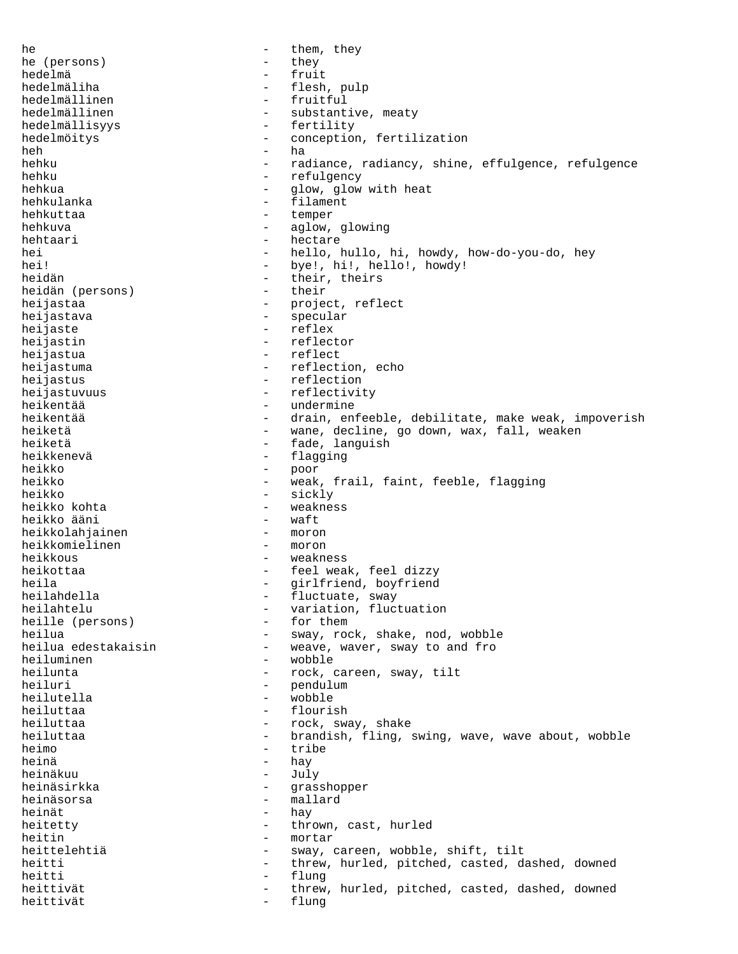he  $-$  them, they he (persons) - they hedelmä - fruit - flesh, pulp hedelmällinen - fruitful hedelmällinen - substantive, meaty<br>hedelmällisyys - - fertility hedelmällisyys – fertilityys – fertilityys – fertilityys – fertilityys – fertilityys – fertilityys – fertilityys – fertilityys – fertilityys – fertilityys – fertilityys – fertilityys – fertilityys – fertilityys – fertility hedelmöitys - conception, fertilization heh  $\overline{\phantom{a}}$  hah  $\overline{\phantom{a}}$  hah  $\overline{\phantom{a}}$  hah  $\overline{\phantom{a}}$  hah  $\overline{\phantom{a}}$  hah  $\overline{\phantom{a}}$  hah  $\overline{\phantom{a}}$  hah  $\overline{\phantom{a}}$  hah  $\overline{\phantom{a}}$  hah  $\overline{\phantom{a}}$  hah  $\overline{\phantom{a}}$  hah  $\overline{\phantom{a}}$  hah  $\overline{\phantom{a}}$  hah  $\overline{\phantom{a$ hehku - radiance, radiancy, shine, effulgence, refulgence hehku - refulgency<br>hehkua - refulgency<br>- refulgency hehkua - glow, glow with heat hehkulanka - filament hehkuttaa - temper hehkuva - aglow, glowing hehtaari - hectare - hectare hei - hello, hullo, hi, howdy, how-do-you-do, hey hei! - bye!, hi!, hello!, howdy!<br>heidän - their, theirs - their, theirs<br>- their heidän (persons) - their heijastaa - project, reflect heijastava - project, reflect heijastava - specular - specular heijaste - reflex heijastin - reflector heijastua - reflect heijastuma - reflection, echo heijastus - reflection heijastuvuus - reflectivity undermine heikentää - drain, enfeeble, debilitate, make weak, impoverish heiketä - wane, decline, go down, wax, fall, weaken<br>heiketä - fade languish heiketä - fade, languish heikkenevä<br>heikko - flagging<br>- poor - poor<br>- weak heikko - weak, frail, faint, feeble, flagging heikko - sickly - weakness<br>- waft heikko ääni - waft heikkolahjainen - moron heikkomielinen - moron heikkous - weakness heikottaa  $-$  feel weak, feel dizzy heila - girlfriend, boyfriend<br>heilahdella - fluctuate, sway - fluctuate, sway heilahtelu - variation, fluctuation<br>heille (persons) - for them heille (persons)<br>heilua heilua - sway, rock, shake, nod, wobble - weave, waver, sway to and fro heiluminen - wobble heilunta  $-$  rock, careen, sway, tilt heiluri - pendulum - pendulum heilutella - wobble heiluttaa - flourish heiluttaa - rock, sway, shake heiluttaa - brandish, fling, swing, wave, wave about, wobble heimo - tribe<br>heinä - have heinä - hay heinäkuu – July – July – July – July – July – July – July – July – July – July – July – July – July – July – Ju heinäsirkka - grasshopper heinäsorsa - mallard<br>heinät - hav heinät - hay heitetty - thrown, cast, hurled heitin - mortar heittelehtiä  $-$  sway, careen, wobble, shift, tilt heitti - threw, hurled, pitched, casted, dashed, downed heitti - flung heittivät - threw, hurled, pitched, casted, dashed, downed heittivät - flung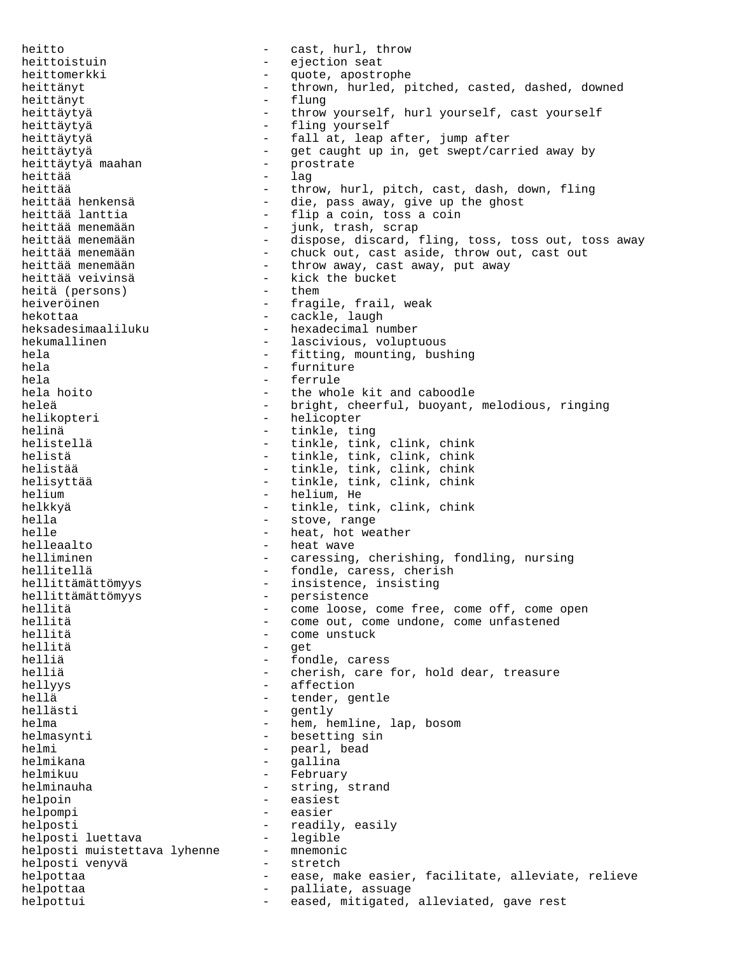heitto  $\qquad \qquad -$  cast, hurl, throw heittoistuin - ejection seat heittomerkki - quote, apostrophe heittänyt - thrown, hurled, pitched, casted, dashed, downed heittänyt - flung heittäytyä  $-$  throw yourself, hurl yourself, cast yourself heittäytyä - fling yourself heittäytyä  $-$  fall at, leap after, jump after heittäytyä - get caught up in, get swept/carried away by heittäytyä maahan heittää - lag heittää - throw, hurl, pitch, cast, dash, down, fling<br>heittää henkensä - die, pass away, give up the ghost heittää henkensä  $-$  die, pass away, give up the ghost heittää lanttia  $-$  flip a coin, toss a coin - flip a coin, toss a coin heittää menemään  $-$  junk, trash, scrap heittää menemään  $-$  dispose, discard, i heittää menemään - dispose, discard, fling, toss, toss out, toss away heittää menemään - chuck out, cast aside, throw out, cast out<br>heittää menemään - throw away, cast away, put away heittää menemään - throw away, cast away, put away - kick the bucket<br>- them heitä (persons) heiveröinen 1988 - fragile, frail, weak<br>hekottaa 1988 - cackle, laugh - cackle, laugh heksadesimaaliluku - hexadecimal number hekumallinen - lascivious, voluptuous hela - fitting, mounting, bushing<br>hela - furniture - furniture - furniture hela - ferrule the whole kit and caboodle heleä  $-$  bright, cheerful, buoyant, melodious, ringing helikopteri - helicopter helinä - tinkle, ting helistellä - tinkle, tink, clink, chink<br>helistä - tinkle, tink, clink, chink helistä - tinkle, tink, clink, chink<br>helistää - tinkle, tink, clink, chink helistää - tinkle, tink, clink, chink<br>helisyttää - tinkle, tink, clink, chink - tinkle, tink, clink, chink helium - helium, He helkkyä - tinkle, tink, clink, chink hella - stove, range helle  $-$  heat, hot weather helleaalto - heat wave helliminen - caressing, cherishing, fondling, nursing hellitellä  $-$  fondle, caress, cherish hellittämättömyys - insistence, insisting hellittämättömyys<br>hellitä hellitä  $\overline{\phantom{a}}$  - come loose, come free, come off, come open hellitä hellitä - come out, come undone, come unfastened hellitä - come unstuck hellitä - get helliä - fondle, caress helliä  $-$  cherish, care for, hold dear, treasure hellyys - affection hellä - tender, gentle<br>hellästi - tender, gentle hellästi - gently helma - hem, hemline, lap, bosom helmasynti - besetting sin helmi - pearl, bead<br>helmikana - callina helmikana  $-$  gallina helmikuu - February helminauha  $-$  string, strand helpoin - easiest helpompi - easier helposti<br>
helbosti<br>
luettava<br>
- legible<br>
- legible helposti luettava helposti muistettava lyhenne - mnemonic<br>helposti venyvä helposti venyvä belen astretch helpottaa - ease, make easier, facilitate, alleviate, relieve helpottaa - palliate, assuage<br>helpottui - eased mitigated helpottui - eased, mitigated, alleviated, gave rest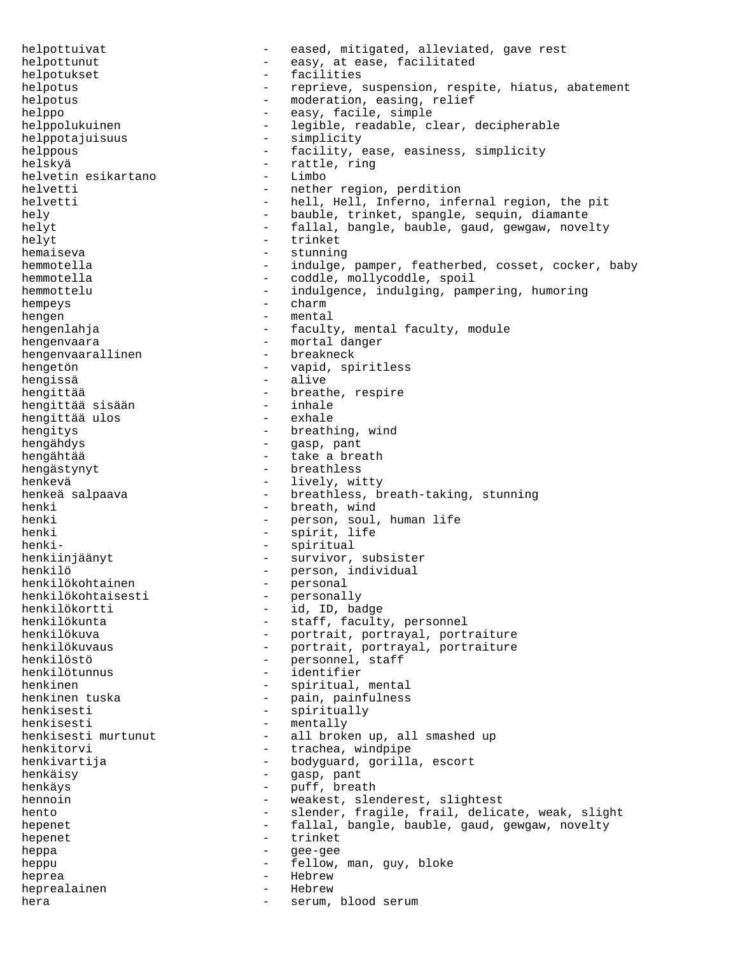helpottuivat - eased, mitigated, alleviated, gave rest helpottunut - easy, at ease, facilitated helpotukset - facilities<br>helpotus - facilities<br>- reprieve, and - reprieve, suspension, respite, hiatus, abatement helpotus - moderation, easing, relief helppo - easy, facile, simple helppolukuinen - legible, readable, clear, decipherable helppotajuisuus - simplicity helppous **-** facility, ease, easiness, simplicity helskyä – rattle, ring<br>helvetin esikartano – Limbo – Limbo helvetin esikartano helvetti - nether region, perdition helvetti - hell, Hell, Inferno, infernal region, the pit hely - bauble, trinket, spangle, sequin, diamante helyt - fallal, bangle, bauble, gaud, gewgaw, novelty trinket hemaiseva - stunning hemmotella - indulge, pamper, featherbed, cosset, cocker, baby hemmotella - coddle, mollycoddle, spoil hemmottelu - indulgence, indulging, pampering, humoring hempeys - charm hengen - mental hengenlahja - faculty, mental faculty, module hengenvaara - mortal danger<br>hengenvaarallinen - breakneck hengenvaarallinen hengetön - vapid, spiritless hengissä - alive hengittää - breathe, respire<br>hengittää sisään - inhale - inhale hengittää sisään - inhale hengittää ulos hengitys  $-$  breathing, wind hengähdys - gasp, pant hengähtää  $-$  take a breath hengästynyt - breathless henkevä - lively, witty - breathless, breath-taking, stunning henki - breath, wind<br>henki - berson, soul<br>- person, soul - person, soul, human life henki - spirit, life henki- - spiritual - survivor, subsister henkilö<br>henkilö - person, individual<br>henkilökohtainen - personal henkilökohtainen<br>henkilökohtaisesti henkilökohtaisesti - personally nenkilökortti - allah - id, ID, badge<br>henkilökortti - id, ID, badge<br>henkilökunta - staff, faculty henkilökunta - staff, faculty, personnel<br>henkilökuva - - portrait, portraval, port henkilökuva - portrait, portrayal, portraiture<br>henkilökuvaus - portrait, portrayal, portraiture henkilökuvaus - portrait, portrayal, portraiture<br>henkilöstö henkilöstö<br>
henkilötunnus<br>
- identifier<br>
- identifier - identifier henkinen  $-$  spiritual, mental henkinen tuska - pain, painfulness henkisesti - spiritually henkisesti murtunut - mentally henkisesti murtunut - all broke - all broken up, all smashed up henkitorvi - trachea, windpipe henkivartija  $-$  bodyguard, gorilla, escort henkäisy - gasp, pant henkäys - puff, breath hennoin - weakest, slenderest, slightest hento **1988** - slender, fragile, frail, delicate, weak, slight hepenet - fallal, bangle, bauble, gaud, gewgaw, novelty hepenet  $-$  trinket heppa - gee-gee heppu - fellow, man, guy, bloke heprea - Hebrew heprealainen hera  $-$  serum, blood serum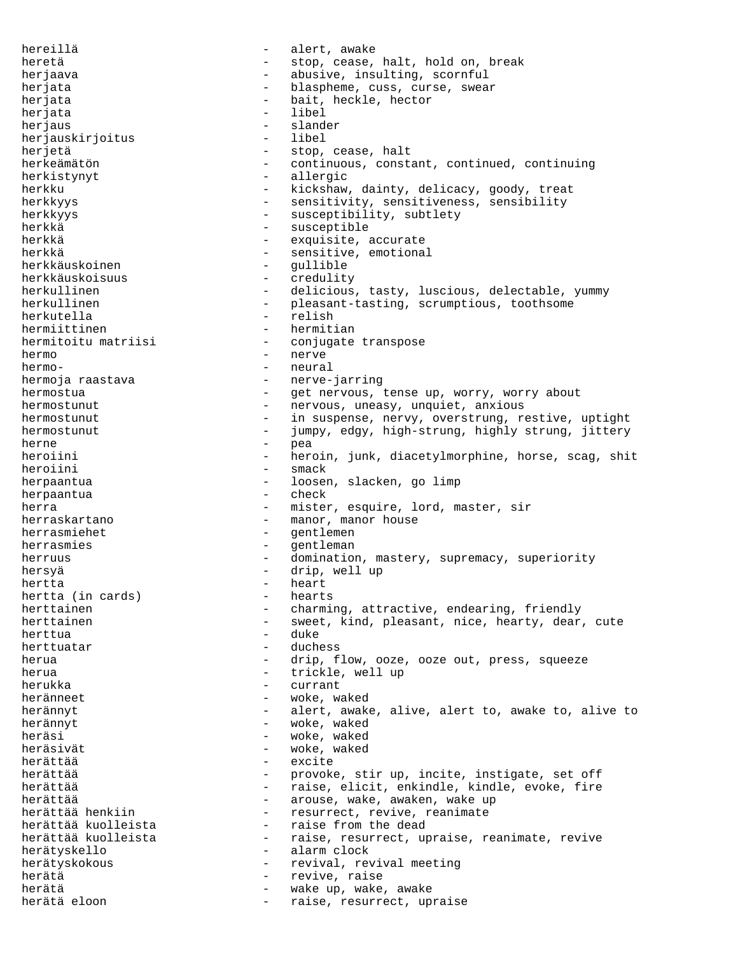hereillä  $-$  alert, awake heretä - stop, cease, halt, hold on, break herjaava - abusive, insulting, scornful herjata  $-$  blaspheme, cuss, curse, swear herjata - bait, heckle, hector<br>heriata - libel - libel herjata herjaus - slander<br>herjauskirjoitus - libel - libel herjauskirjoitus herjetä  $-$  stop, cease, halt herkeämätön - continuous, constant, continued, continuing herkistynyt - allergic herkku - kickshaw, dainty, delicacy, goody, treat herkkyys **at a sensitivity**, sensitiveness, sensibility herkkyys - susceptibility, subtlety herkkä - susceptible herkkä - exquisite, accurate herkkä - sensitive, emotional<br>herkkäuskoinen - sensitive, emotional herkkäuskoinen - gullible herkkäuskoisuus - credulity herkullinen - delicious, tasty, luscious, delectable, yummy<br>herkullinen - pleasant-tasting, scrumptious, toothsome herkullinen - pleasant-tasting, scrumptious, toothsome<br>herkutella - relish<br>- relish - relish hermiittinen 1988 - hermitian hermitoitu matriisi - conjugate transpose hermo - nerve hermo- - neural hermoja raastava - 1 - nerve-jarring hermostua - get nervous, tense up, worry, worry about hermostunut - nervous, uneasy, unquiet, anxious hermostunut - in suspense, nervy, overstrung, restive, uptight<br>hermostunut - iumpy edgy high-strung highly strung iittery hermostunut - jumpy, edgy, high-strung, highly strung, jittery<br>hermostunut - pea herne - pea heroiini - heroin, junk, diacetylmorphine, horse, scag, shit - smack herpaantua - loosen, slacken, go limp<br>herpaantua - - - - - - - - - - - check herpaantua herra  $-$  mister, esquire, lord, master, sir herraskartano  $-$  manor, manor house herrasmiehet - gentlemen herrasmies - gentleman herruus - domination, mastery, supremacy, superiority hersyä - drip, well up hertta - heart hertta (in cards) herttainen - charming, attractive, endearing, friendly herttainen auch eine verschieden von der einer sweet, kind, pleasant, nice, hearty, dear, cute herttua - duke herttuatar - duchess herua - drip, flow, ooze, ooze out, press, squeeze herua  $-$  trickle, well up herukka - currant heränneet - woke, waked herännyt and the same of the same of the alert, awake, alive, alert to, awake to, alive to herännyt - woke, waked heräsi - woke, waked<br>heräsivät - woke waked heräsivät - woke, waked herättää - excite herättää - provoke, stir up, incite, instigate, set off<br>herättää - - - - - - - raise, elicit, enkindle, kindle, evoke, fire - raise, elicit, enkindle, kindle, evoke, fire herättää - arouse, wake, awaken, wake up<br>herättää henkiin - - resurrect, revive, reanimate herättää henkiin - resurrect, revive, reanimate herättää kuolleista - raise from the dead - raise, resurrect, upraise, reanimate, revive herätyskello - alarm clock herätyskokous - revival, revival meeting herätä - revive, raise herätä - wake up, wake, awake - raise, resurrect, upraise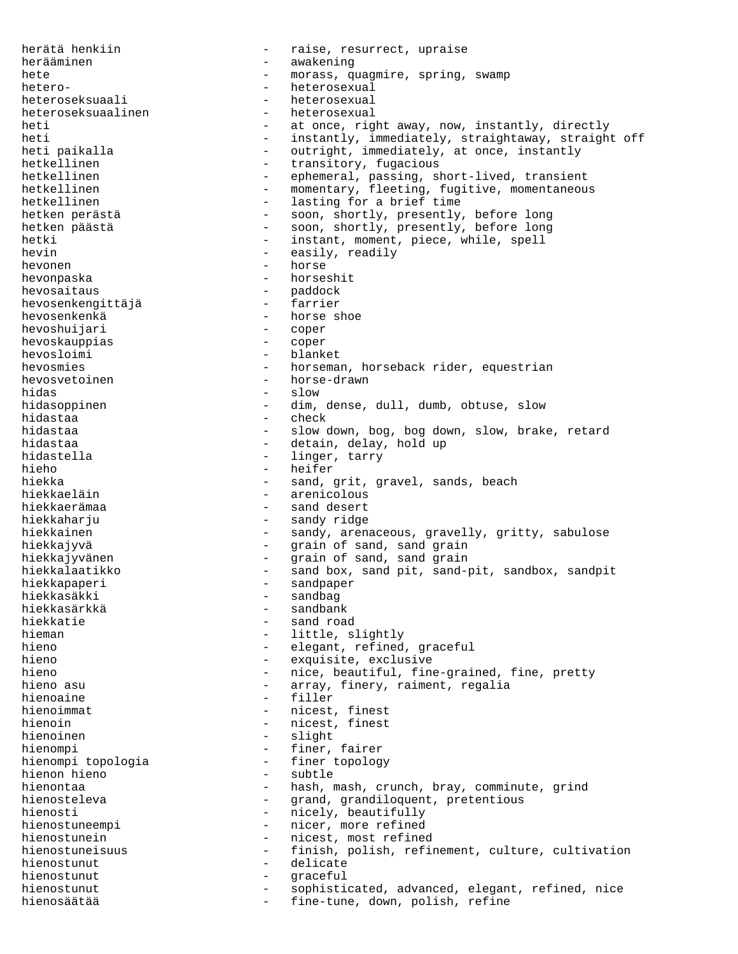herätä henkiin aluttuses - raise, resurrect, upraise herääminen - awakening hete - morass, quagmire, spring, swamp hetero- - heterosexual heteroseksuaali - heterosexual<br>heteroseksuaalinen - heterosexual heteroseksuaalinen heti - at once, right away, now, instantly, directly<br>heti - instantly immediately straightaway straigh heti - instantly, immediately, straightaway, straight off<br>heti paikalla - outright, immediately, at once, instantly - outright, immediately, at once, instantly hetkellinen - transitory, fugacious<br>hetkellinen - ephemeral passing s hetkellinen - ephemeral, passing, short-lived, transient<br>hetkellinen - momentary fleeting fugitive momentaneou hetkellinen - momentary, fleeting, fugitive, momentaneous<br>hetkellinen - lasting for a brief time - lasting for a brief time hetken perästä - soon, shortly, presently, before long hetken päästä  $-$  soon, shortly, presently, before long hetki - instant, moment, piece, while, spell<br>hevin - easily readily - easily, readily hevonen - horse hevonpaska - horseshit hevosaitaus - paddock<br>hevosenkengittäjä - farrier hevosenkengittäjä<br>hevosenkenkä - horse shoe<br>- coper hevoshuijari - coper<br>hevoskauppias - coper hevoskauppias hevosloimi - blanket hevosmies - horseman, horseback rider, equestrian hevosvetoinen en morse-drawn - horse-drawn hidas - slow hidasoppinen - dim, dense, dull, dumb, obtuse, slow hidastaa - check hidastaa - slow down, bog, bog down, slow, brake, retard<br>hidastaa - - detain, delay, hold up hidastaa - detain, delay, hold up hidastella - linger, tarry<br>hieho - heifer - heifer hiekka - sand, grit, gravel, sands, beach hiekkaeläin - arenicolous hiekkaerämaa - sand desert hiekkaharju - sandy ridge hiekkainen - sandy, arenaceous, gravelly, gritty, sabulose hiekkajyvä - grain of sand, sand grain hiekkajyvänen en metalliset valmaatud valmaatud valmaatud valmaatud valmaatud valmaatud valmaatud valmaatud va hiekkalaatikko - sand box, sand pit, sand-pit, sandbox, sandpit hiekkapaperi - sandpaper hiekkasäkki - sandbag hiekkasärkkä - sandbag - sandban<br>hiekkasärkkä - - sandban hiekkasärkkä - sandbank hiekkatie - sand road<br>hieman - little s - little, slightly hieno - elegant, refined, graceful<br>hieno - exquisite exclusive - exquisite, exclusive hieno **1988** - nice, beautiful, fine-grained, fine, pretty hieno asu  $-$  array, finery, raiment, regalia hienoaine - filler hienoimmat - nicest, finest hienoin - nicest, finest hienoinen - slight hienompi - finer, fairer<br>hienompi topologia - finer topolog hienompi topologia - finer topology hienon hieno<br>hienontaa - subtle - subtle - hash r - hash, mash, crunch, bray, comminute, grind hienosteleva - grand, grandiloquent, pretentious hienosti - nicely, beautifully hienostuneempi - nicer, more refined hienostunein - nicest, most refined hienostuneisuus - finish, polish, refinement, culture, cultivation hienostunut - delicate hienostunut - graceful hienostunut - sophisticated, advanced, elegant, refined, nice hienosäätää - fine-tune, down, polish, refine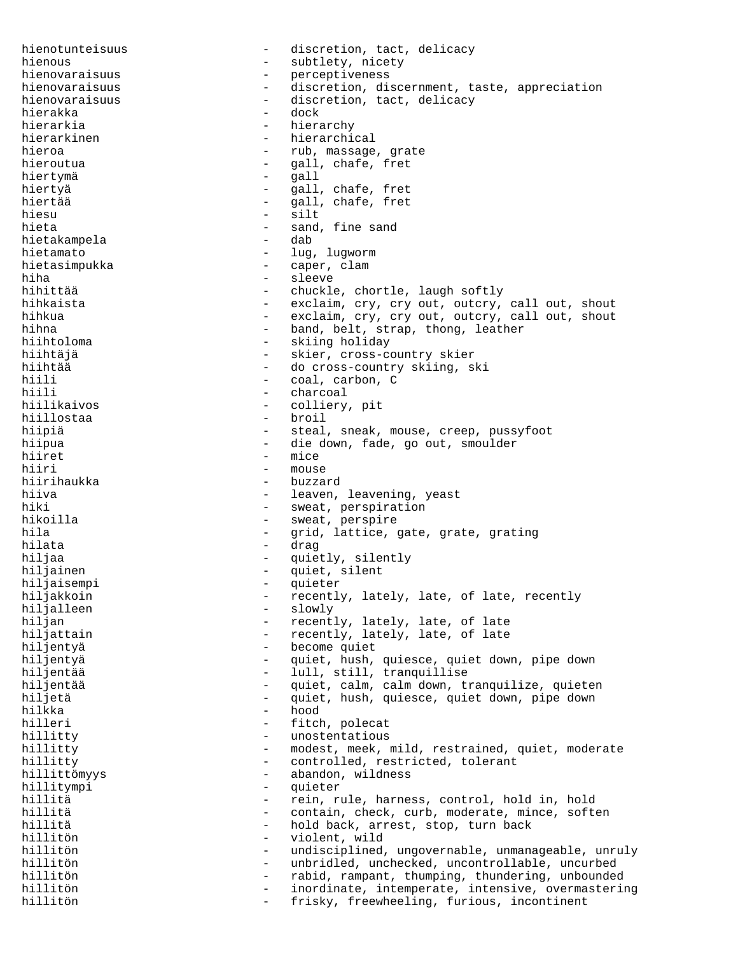hienotunteisuus - discretion, tact, delicacy hienous - subtlety, nicety hienovaraisuus - perceptiveness hienovaraisuus - discretion, discernment, taste, appreciation hienovaraisuus - discretion, tact, delicacy hierakka - dock hierarkia - hierarchy<br>hierarkinen - hierarchi hierarkinen - hierarchical<br>hieroa - rub massage - rub, massage, grate hieroutua - gall, chafe, fret hiertymä hiertyä  $-$  gall, chafe, fret hiertää  $-$  gall, chafe, fret hiesu - silt hieta - sand, fine sand<br>hietakampela - dab hietakampela - dabbi - dabbi hietamato - lug, lugworm hietasimpukka - caper, clam hiha - sleeve hihittää - chuckle, chortle, laugh softly<br>hihkaista - chuckle, cry, cry out, outcry, hihkaista - exclaim, cry, cry out, outcry, call out, shout<br>hihkua - exclaim cry cry out outcry call out shout - exclaim, cry, cry out, outcry, call out, shout hihna - band, belt, strap, thong, leather<br>hiihtoloma - skiing holiday - skiing holiday hiihtäjä - skier, cross-country skier<br>hiihtää - skier, cross-country skiing, si - do cross-country skiing, ski hiili - coal, carbon, C - charcoal hiilikaivos - colliery, pit hiillostaa - bronne bronne bronne bronne bronne bronne bronne bronne bronne bronne bronne bronne bronne bronne hiipiä  $-$  steal, sneak, mouse, creep, pussyfoot hiipua - die down, fade, go out, smoulder<br>hiiret - mice hiiret – mice<br>hiiri – mouse hiiri - mouse hiirihaukka - buzzard hiiva  $-$  leaven, leavening, yeast hiki - sweat, perspiration hikoilla - sweat, perspire hila  $-$  grid, lattice, gate, grate, grating hilata - drag hiljaa - quietly, silently<br>hiljainen - - quiet, silent - quiet, silent<br>- quieter hiljaisempi - talentsisemaalisest kuulusta kuulusta kuulusta kuulusta kuulusta kuulusta kuulusta kuulusta kuul<br>Talentsisemaalisest kuulusta kuulusta kuulusta kuulusta kuulusta kuulusta kuulusta kuulusta kuulusta kuulusta recently, lately, late, of late, recently<br>slowly hiljalleen<br>hiljan hiljan - recently, lately, late, of late<br>hiljattain - recently, lately, late, of late recently, lately, late, of late hiljentyä – become quiet<br>hiljentyä – muiet husb hiljentyä - quiet, hush, quiesce, quiet down, pipe down hiljentää - lull, still, tranquillise hiljentää - - quiet, calm, calm down, tranquilize, quieten hiljetä - quiet, hush, quiesce, quiet down, pipe down hilkka - hood hilleri - fitch, polecat hillitty - unostentatious hillitty  $-$  modest, meek, mild, restrained, quiet, moderate<br>hillitty  $-$  controlled restricted tolerant hillitty - controlled, restricted, tolerant - abandon, wildness<br>- *c*uieter hillitympi - quieter hillitä - rein, rule, harness, control, hold in, hold<br>hillitä - contain check curb moderate mince soft hillitä - contain, check, curb, moderate, mince, soften hillitä - hold back, arrest, stop, turn back hillitön - violent, wild hillitön  $-$  undisciplined, ungovernable, unmanageable, unruly hillitön - unbridled, unchecked, uncontrollable, uncurbed hillitön - rabid, rampant, thumping, thundering, unbounded inordinate, intemperate, intensive, overmastering hillitön - frisky, freewheeling, furious, incontinent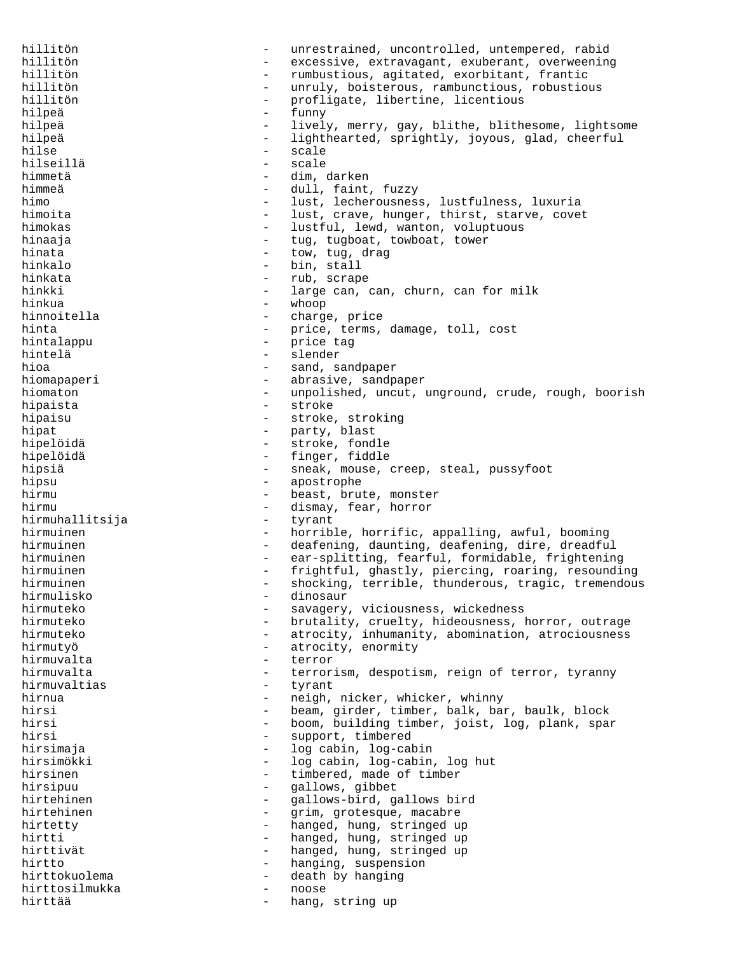hillitön - unrestrained, uncontrolled, untempered, rabid hillitön - excessive, extravagant, exuberant, overweening<br>hillitön - exumbustious agitated exorbitant frantic hillitön - rumbustious, agitated, exorbitant, frantic hillitön - unruly, boisterous, rambunctious, robustious hillitön - profligate, libertine, licentious hilpeä - funny hilpeä - lively, merry, gay, blithe, blithesome, lightsome hilpeä - lighthearted, sprightly, joyous, glad, cheerful<br>hilse - scale<br>- scale - scale hilseillä - scale himmetä - dim, darken himmeä - dull, faint, fuzzy himo - lust, lecherousness, lustfulness, luxuria himoita - lust, crave, hunger, thirst, starve, covet himokas and the lustful, lewd, wanton, voluptuous hinaaja - tug, tugboat, towboat, tower hinata  $-$  tow, tug, drag hinkalo - bin, stall<br>hinkata - rub scrap hinkata  $-$  rub, scrape hinkki - large can, can, churn, can for milk<br>hinkua - whoop - whoop whoop hinnoitella  $-$  charge, price hinta - price, terms, damage, toll, cost<br>hintalappu - price tag - price tag hintelä - slender - sand, sandpaper hiomapaperi  $-$  abrasive, sandpaper hiomaton - unpolished, uncut, unground, crude, rough, boorish hipaista - stroke hipaisu - stroke, stroking hipat - party, blast<br>hipelöidä - - - - - - - - - - - - - stroke, fond stroke, fondle hipelöidä - finger, fiddle hipsiä  $-$  sneak, mouse, creep, steal, pussyfoot hipsu - apostrophe hirmu - beast, brute, monster hirmu - dismay, fear, horror<br>hirmuhallitsija - tyrant - tyrant hirmuhallitsija hirmuinen 1988 - horrible, horrific, appalling, awful, booming hirmuinen 1988 - deafening, daunting, deafening, dire, dreadful hirmuinen - ear-splitting, fearful, formidable, frightening hirmuinen en en anderes and the frightful, ghastly, piercing, roaring, resounding hirmuinen and the shocking, terrible, thunderous, tragic, tremendous hirmulisko - dinosaur hirmuteko - savagery, viciousness, wickedness<br>hirmuteko - - brutality, cruelty, hideousness, l - brutality, cruelty, hideousness, horror, outrage hirmuteko - atrocity, inhumanity, abomination, atrociousness hirmutyö – atrocity, enormity<br>hirmuvalta – terror – terror hirmuvalta - terror<br>hirmuvalta - terror hirmuvalta - terrorism, despotism, reign of terror, tyranny hirmuvaltias - tyrant hirnua - neigh, nicker, whicker, whinny<br>hirsi - heam dirder timber balk ba hirsi - beam, girder, timber, balk, bar, baulk, block hirsi  $-$  boom, building timber, joist, log, plank, spar hirsi  $-$  support, timbered hirsimaja - log cabin, log-cabin hirsimökki - log cabin, log-cabin, log hut<br>hirsinen - timbered, made of timber hirsinen - timbered, made of timber<br>hirsipuu - qallows, qibbet hirs - gallows, gibbet<br>- gallows-bird ga hirtehinen - gallows-bird, gallows bird<br>hirtehinen - grim grotesque magabre hirtehinen - Grim, grotesque, macabre hirtetty **-** hanged, hung, stringed up hirtti - hanged, hung, stringed up hirttivät - hanged, hung, stringed up hirtto - hanging, suspension<br>hirttokuolema - death by hanging hirttokuolema - death by hanging hirttosilmukka - noose hirttää  $-$  hang, string up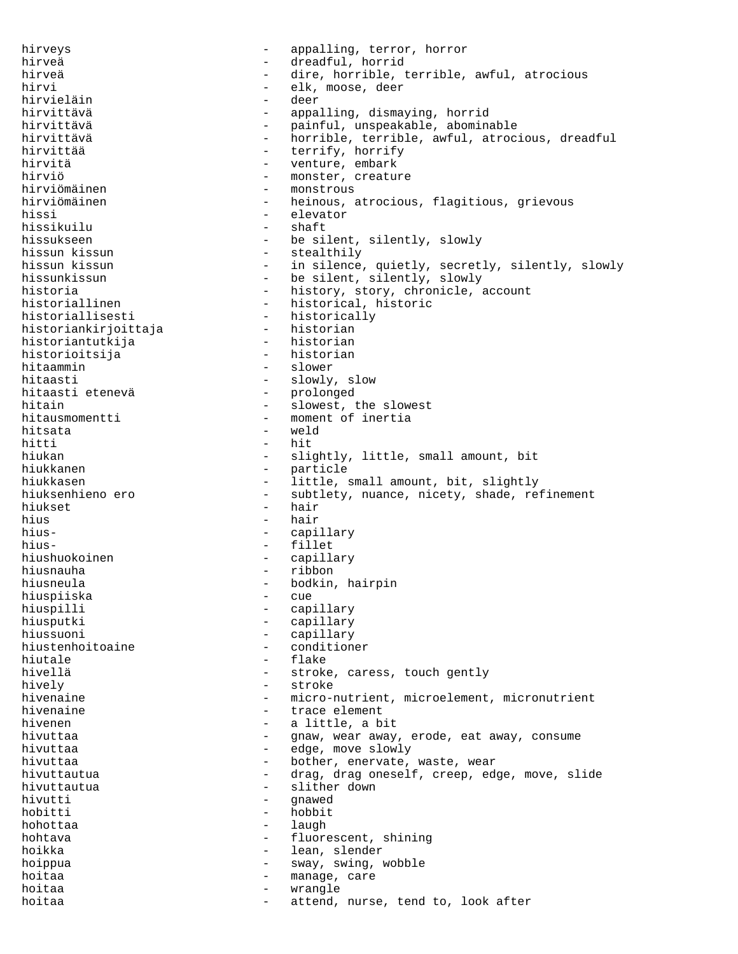hirveys **a** appalling, terror, horror hirveä - dreadful, horrid hirveä - dire, horrible, terrible, awful, atrocious<br>hirvi - elk. moose. deer elk, moose, deer hirvieläin - deer hirvittävä - appalling, dismaying, horrid hirvittävä - painful, unspeakable, abominable hirvittävä - horrible, terrible, awful, atrocious, dreadful<br>hirvittää - - terrify, horrify - terrify, horrify hirvitä - venture, embark hirviö - monster, creature<br>hirviömäinen - monstrous - monstrous hirviömäinen - monstrous - heinous, atrocious, flagitious, grievous hissi - elevator hissikuilu - shaft hissukseen - be silent, silently, slowly<br>hissun kissun - stealthily hissun kissun - stealthily<br>hissun kissun - in silence hissun kissun - in silence, quietly, secretly, silently, slowly<br>hissunkissun - be silent, silently, slowly hissunkissun - be silent, silently, slowly<br>historia - history, story, chronicle, historia - history, story, chronicle, account<br>historiallinen - historical, historic historiallinen - historical, historic<br>historiallisesti - historically - historically<br>- historian historiankirjoittaja historian<br>historiantutkija historian historiantutkija historian<br>historioitsija historian historioitsija<br>hitaammin - slower hitaasti - slowly, slow<br>hitaasti etenevä - prolonged - prolonged hitaasti etenevä hitain  $-$  slowest, the slowest hitausmomentti - moment of inertia<br>hitsata hitsata - weld hitti - hit<br>hiukan - slie hiukan - slightly, little, small amount, bit<br>hiukkanen - - - - - - - - particle - particle hiukkasen - little, small amount, bit, slightly hiuksenhieno ero - subtlety, nuance, nicety, shade, refinement hiukset - hair<br>hius - hair - hair hius- - capillary hius- - fillet hiushuokoinen - capillary<br>hiusnauha - ribbon - ribbon hiusnauha - ribbon - bodkin, hairpin<br>- cue hiuspiiska<br>hiuspilli hiuspilli - capillary<br>hiusputki - capillary<br>- capillary hiusputki - capillary<br>hiussuoni - capillary<br>- capillary - capillary<br>- conditioner hiustenhoitoaine hiutale **-** flake hivellä - stroke, caress, touch gently hively - stroke hivenaine - micro-nutrient, microelement, micronutrient<br>hivenaine - trace element hivenaine  $\qquad \qquad$  - trace element hivenen - a little, a bit hivuttaa - gnaw, wear away, erode, eat away, consume<br>hivuttaa - edge move slowly hivuttaa  $\qquad \qquad -$  edge, move slowly hivuttaa  $-$  bother, enervate, waste, wear hivuttautua - drag, drag oneself, creep, edge, move, slide - slither down<br>- gnawed hivutti - gnawed hobitti - hobbit hohottaa - laugh - laugh hohtava - fluorescent, shining hoikka - lean, slender hoippua - sway, swing, wobble hoitaa - manage, care hoitaa - wrangle hoitaa - attend, nurse, tend to, look after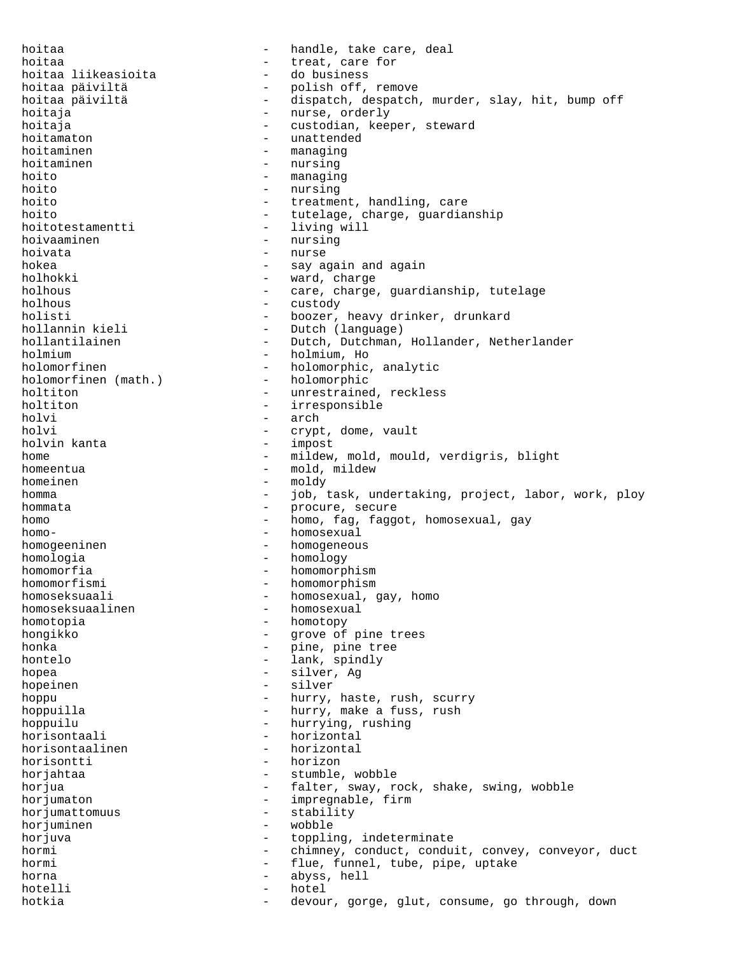hoitaa - handle, take care, deal hoitaa - treat, care for hoitaa liikeasioita hoitaa päiviltä  $-$  polish off, remove hoitaa päiviltä - dispatch, despatch, murder, slay, hit, bump off hoitaja - nurse, orderly hoitaja - custodian, keeper, steward hoitamaton - unattended - managing hoitaminen - nursing hoito  $-$  managing hoito - nursing hoito  $-$  treatment, handling, care hoito - tutelage, charge, guardianship hoitotestamentti - living will<br>hoivaaminen - nursing hoivaaminen - nursing hoivata - nurse hokea - say again and again and again holhokki - ward, charge holhous - care, charge, guardianship, tutelage<br>holhous - custody holhous - custody<br>holisti - boozer holisti - boozer, heavy drinker, drunkard<br>hollannin kieli - Dutch (language) hollannin kieli - Dutch (language)<br>hollantilainen - Dutch Dutchman. - Dutch, Dutchman, Hollander, Netherlander holmium - holmium, Ho<br>holomorfinen - holomorphic - holomorphic, analytic<br>- holomorphic holomorfinen (math.) holtiton - unrestrained, reckless holtiton - irresponsible holvi - arch<br>holvi - crypt holvi - crypt, dome, vault - impost home  $-$  mildew, mold, mould, verdigris, blight homeentua - mold, mildew homeinen – moldy<br>homma – iob homma - job, task, undertaking, project, labor, work, ploy<br>hommata - produce secure hommata  $-$  procure, secure homo  $-$  homo, fag, faggot, homosexual, gay homo- - homosexual homogeeninen - homogeneous homologia - homology homomorfia<br>
homomorfismi<br>
- homomorphism homomorfismi - homomorphism<br>homoseksuaali - homosexual. - homosexual, gay, homo<br>- homosexual homoseksuaalinen homotopia - homotopy hongikko - grove of pine trees honka - pine, pine tree hontelo - lank, spindly hopea - silver, Ag hopeinen - silver hoppu - hurry, haste, rush, scurry hoppuilla - hurry, make a fuss, rush hoppuilu - hurrying, rushing horisontaali - horizontal<br>horisontaalinen - horizontal horisontaalinen horisontti - horizon horjahtaa - stumble, wobble<br>horjua - stumble, woby, respectively horjua - falter, sway, rock, shake, swing, wobble<br>horjumaton - impregnable, firm - impregnable, firm<br>- stability horjumattomuus - stabilityheityista - stabilityheityista - stabilityheityista - stabilityista - stabilityista - stabilityista - stabilityista - stabilityista - stabilityista - stabilityista - stabilityista - stabilityista horjuminen – wobblessen – wordt van die voorbeeld van die voorbeeld van die voorbeeld van die voorbeeld van die v<br>Die voorbeeld van die voorbeeld van die voorbeeld van die voorbeeld van die voorbeeld van die voorbeeld van horjuva - toppling, indeterminate hormi  $-$  chimney, conduct, conduit, convey, conveyor, duct hormi - flue, funnel, tube, pipe, uptake horna - abyss, hell hotelli - hotel hotkia - devour, gorge, glut, consume, go through, down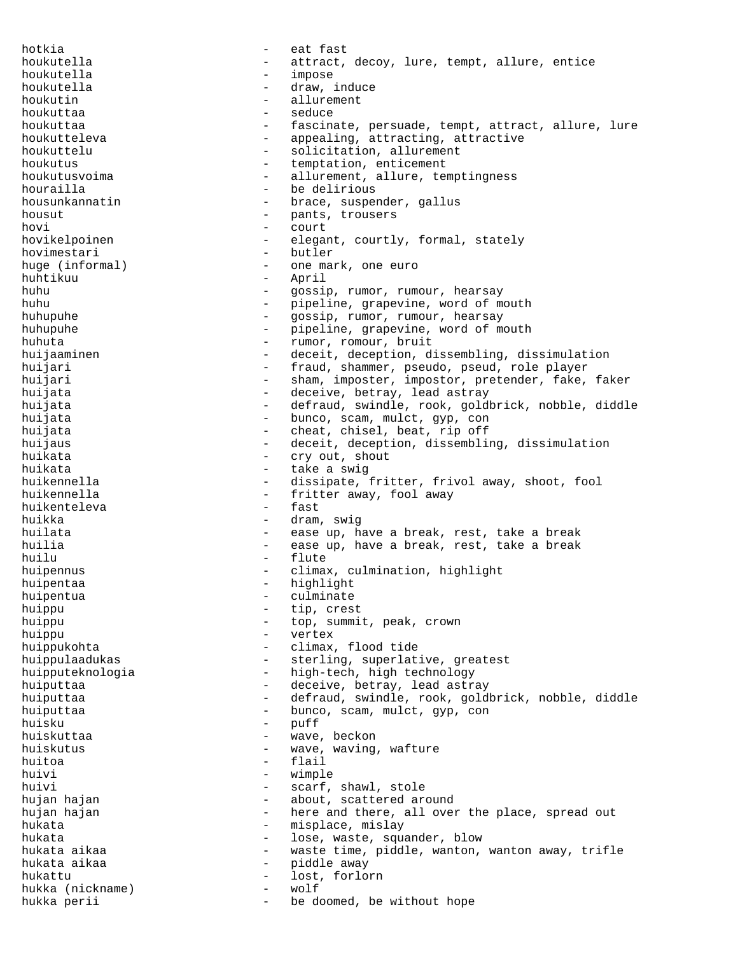hotkia - eat fast houkutella - attract, decoy, lure, tempt, allure, entice houkutella - impose houkutella  $\qquad \qquad -$  draw, induce houkutin - allurement houkuttaa<br>houkuttaa - fascinate, persuade, tempt, attract, allure, lure houkutteleva - appealing, attracting, attractive houkuttelu - solicitation, allurement<br>houkutus - temptation, enticement - temptation, enticement houkutusvoima - allurement, allure, temptingness hourailla - be delirious housunkannatin - brace, suspender, gallus housut - pants, trousers hovi - court hovikelpoinen - elegant, courtly, formal, stately hovimestari - butler<br>huge (informal) - one may huge (informal) - one mark, one euro huhtikuu - April - April<br>huhu - aossi huhu - gossip, rumor, rumour, hearsay<br>huhu - bipeline, grapevine, word of m - pipeline, grapevine, word of mouth<br>- gossip rumor rumour hearsay huhupuhe - gossip, rumor, rumour, hearsay huhupuhe - pipeline, grapevine, word of mouth huhuta  $-$  rumor, romour, bruit huijaaminen - deceit, deception, dissembling, dissimulation huijari - fraud, shammer, pseudo, pseud, role player huijari  $-$  sham, imposter, impostor, pretender, fake, faker huijata - deceive, betray, lead astray huijata - defraud, swindle, rook, goldbrick, nobble, diddle huijata  $-$  bunco, scam, mulct, gyp, con huijata - cheat, chisel, beat, rip off<br>huijaus - cheat, deception, dissembli - deceit, deception, dissembling, dissimulation huikata  $-$  cry out, shout huikata  $-$  take a swig huikennella - dissipate, fritter, frivol away, shoot, fool huikennella - fritter away, fool away<br>huikenteleva - fast - fast huikenteleva huikka - dram, swiq huilata  $-$  ease up, have a break, rest, take a break huilia  $-$  ease up, have a break, rest, take a break huilu - flute<br>huipennus - climax huipennus - climax, culmination, highlight huipentaa - highlight<br>huipentua - culminate huipentua  $-$  culminate huippu - tip, crest huippu - top, summit, peak, crown<br>
huippu - vertex - vertex huippukohta - climax, flood tide huippulaadukas - sterling, superlative, greatest huipputeknologia - high-tech, high technology huiputtaa  $-$  deceive, betray, lead astray huiputtaa - defraud, swindle, rook, goldbrick, nobble, diddle huiputtaa - bunco, scam, mulct, gyp, con<br>huisku - puff huisku - puff - puff - puff - puff - puff - puff - puff - puff - puff - puff - puff - puff - puff - puff - puf huiskuttaa - wave, beckon huiskutus - wave, waving, wafture<br>huitoa - flail - flail huitoa - flail huivi - wimple huivi - scarf, shawl, stole hujan hajan  $-$  about, scattered around hujan hajan - here and there, all over the place, spread out hukata  $-$  misplace, mislay hukata  $-$  lose, waste, squander, blow hukata aikaa - waste time, piddle, wanton, wanton away, trifle<br>hukata aikaa - - piddle away hukata aikaa - piddle away hukattu - piddle away - piddle away - piddle away - piddle away - piddle away - piddle away - piddle away - piddle away - piddle away - piddle away - piddle away - piddle away - piddle away - pid hukattu - lost, forlorn hukka (nickname) - wolf hukka perii  $-$  be doomed, be without hope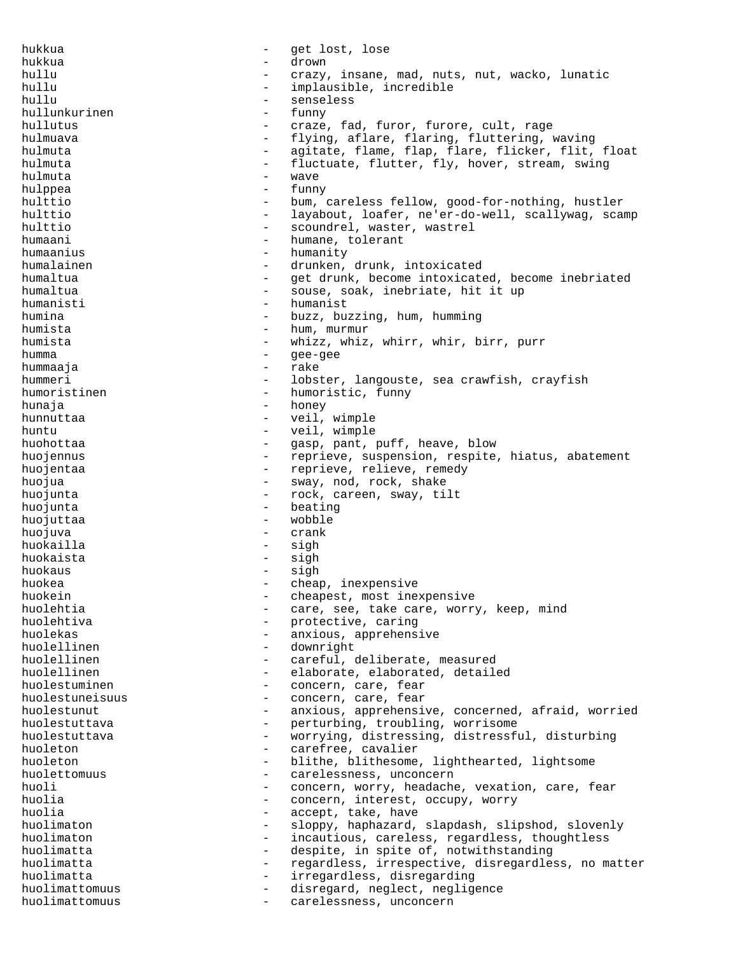hukkua  $-$  qet lost, lose hukkua - drown hullu  $-$  crazy, insane, mad, nuts, nut, wacko, lunatic hullu - implausible, incredible hullu - senseless<br>hullunkurinen - - funny - funny hullunkurinen hullutus - craze, fad, furor, furore, cult, rage hulmuava - flying, aflare, flaring, fluttering, waving hulmuta - agitate, flame, flap, flare, flicker, flit, float hulmuta  $\begin{array}{ccc} - & \text{fluctuate, flutter, fly, hover, stream, swing} \\ - & \text{wave} \end{array}$ hulmuta - wave hulppea - funny - funny - funny - funny - funny - funny - funny - funny - funny - funny - funny - funny - funny - funny - funny - funny - funny - funny - funny - funny - funny - funny - funny - funny - funny - funny - funn hulttio  $-$  bum, careless fellow, good-for-nothing, hustler hulttio  $-$  layabout, loafer, ne'er-do-well, scallywag, scamp hulttio  $-$  scoundrel, waster, wastrel humaani  $-$  humane, tolerant humaanius - humanity humalainen - drunken, drunk, intoxicated<br>humaltua humaltua - get drunk, become intoxicated, become inebriated<br>humaltua humaltua - souse, soak, inebriate, hit it up humanisti - humanisti - humanist<br>humina - huzz hu buzz, buzzing, hum, humming humista - hum, murmur<br>humista - whizz whiz humista  $\begin{array}{ccc}\n\text{hunka} & - & \text{whizz, whiz, whir, whir, birr, purr}\n\end{array}$ humma - gee-gee<br>hummaaja - saad - gee-gee hummaaja - rake hummeri - lobster, langouste, sea crawfish, crayfish<br>humoristinen - humoristic funny humoristinen - humoristic, funny hunaja - honey hunnuttaa - veil, wimple<br>huntu - veil wimple huntu - veil, wimple huohottaa - gasp, pant, puff, heave, blow<br>huojennus huojennus en external reprieve, suspension, respite, hiatus, abatement huojentaa - reprieve, relieve, remedy huojua - sway, nod, rock, shake huojunta  $-$  rock, careen, sway, tilt huojunta - beating<br>huojuttaa - wobble huojuttaa - wobble huojuva - crank huokailla - sigh huokaista - sigh huokaus - sigh huokea - cheap, inexpensive<br>huokein - cheapest most inex huokein - cheapest, most inexpensive huolehtia - care, see, take care, worry, keep, mind huolehtiva - protective, caring<br>huolekas - anxious apprehens huolekas - anxious, apprehensive huolellinen - downright huolellinen - careful, deliberate, measured huolellinen - elaborate, elaborated, detailed huolestuminen and a concern, care, fear huolestuneisuus - concern, care, fear huolestunut - anxious, apprehensive, concerned, afraid, worried<br>huolestuttava - perturbing troubling worrisome huolestuttava - perturbing, troubling, worrisome huolestuttava - worrying, distressing, distressful, disturbing<br>huoleton - carefree cavalier huoleton - carefree, cavalier<br>huoleton - hithe hithesome huoleton - blithe, blithesome, lighthearted, lightsome<br>huolettomuus - carelessness unconcern huolettomuus - carelessness, unconcern<br>huoli - concern worry headache huoli - concern, worry, headache, vexation, care, fear<br>huolia - concern interest occupy worry huolia  $\sim$  - concern, interest, occupy, worry huolia - accept, take, have<br>huolimaton - sloppy haphazard huolimaton - sloppy, haphazard, slapdash, slipshod, slovenly huolimaton **-** incautious, careless, regardless, thoughtless huolimatta - despite, in spite of, notwithstanding huolimatta - regardless, irrespective, disregardless, no matter huolimatta - irregardless, disregarding huolimattomuus - disregard, neglect, negligence huolimattomuus - carelessness, unconcern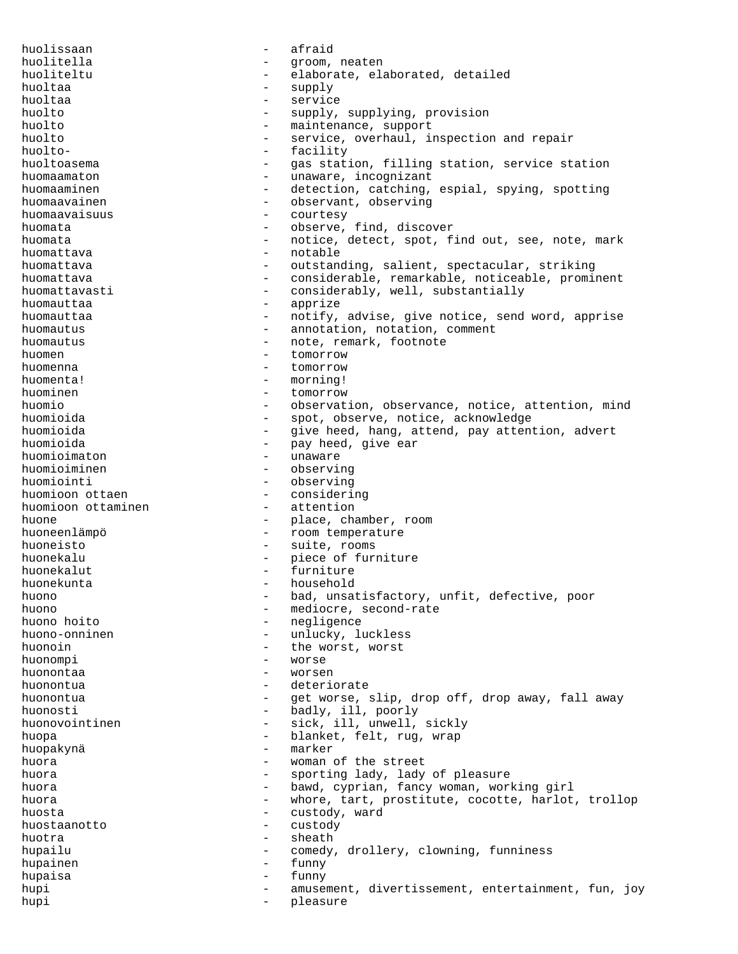huolissaan - afraid huolitella - groom, neaten huoliteltu - elaborate, elaborated, detailed huoltaa - supply huoltaa - service huolto - supply, supplying, provision huolto - maintenance, support<br>huolto - service overhaul in huolto - service, overhaul, inspection and repair<br>huolto- - - facility - facility<br>- gas stat huoltoasema - gas station, filling station, service station - unaware, incognizant huomaaminen - detection, catching, espial, spying, spotting<br>huomaavainen - observant, observing - observant, observing huomaavaisuus - courtesy huomata  $\qquad \qquad - \qquad$  observe, find, discover huomata - notice, detect, spot, find out, see, note, mark huomattava - notable huomattava - outstanding, salient, spectacular, striking<br>huomattava - considerable remarkable noticeable promi huomattava - considerable, remarkable, noticeable, prominent huomattavasti - considerably, well, substantially huomauttaa - apprize huomauttaa - 100 - notify, advise, give notice, send word, apprise huomautus - annotation, notation, comment huomautus - note, remark, footnote huomen - tomorrow huomenna - tomorrow huomenta! - morning! huominen - tomorrow huomio - observation, observance, notice, attention, mind huomioida - spot, observe, notice, acknowledge huomioida - give heed, hang, attend, pay attention, advert - pay heed, give ear<br>- unaware huomioimaton - unaware - observing huomiointi - observing huomioon ottaen - considering<br>huomioon ottaminen - attention huomioon ottaminen huone  $\qquad \qquad -$  place, chamber, room huoneenlämpö - room temperature huoneisto - suite, rooms huonekalu - piece of furniture huonekalut - furniture huonekunta - household<br>huono - had unsai huono - bad, unsatisfactory, unfit, defective, poor huono  $\begin{array}{cccc}\n-\n\end{array}$  mediocre, second-rate<br>
huono hoito  $\begin{array}{cccc}\n-\n\end{array}$  megligence huono hoito - negligence huono-onninen - unlucky, luckless<br>huonoin - the worst, worst - the worst, worst huonompi - worse huonontaa - worsen huonontua - deteriorate huonontua - get worse, slip, drop off, drop away, fall away huonosti - badly, ill, poorly<br>huonovointinen - sick ill unwell huonovointinen - sick, ill, unwell, sickly huopa - blanket, felt, rug, wrap huopakynä - marker huora - woman of the street huora - sporting lady, lady of pleasure huora - bawd, cyprian, fancy woman, working girl huora - whore, tart, prostitute, cocotte, harlot, trollop<br>huosta huosta<br>huostaanotto - custody, ward<br>abuostaanotto - custody huostaanotto - custody huotra - sheath hupailu - comedy, drollery, clowning, funniness hupainen - funny hupaisa - funny hupi - amusement, divertissement, entertainment, fun, joy hupi - pleasure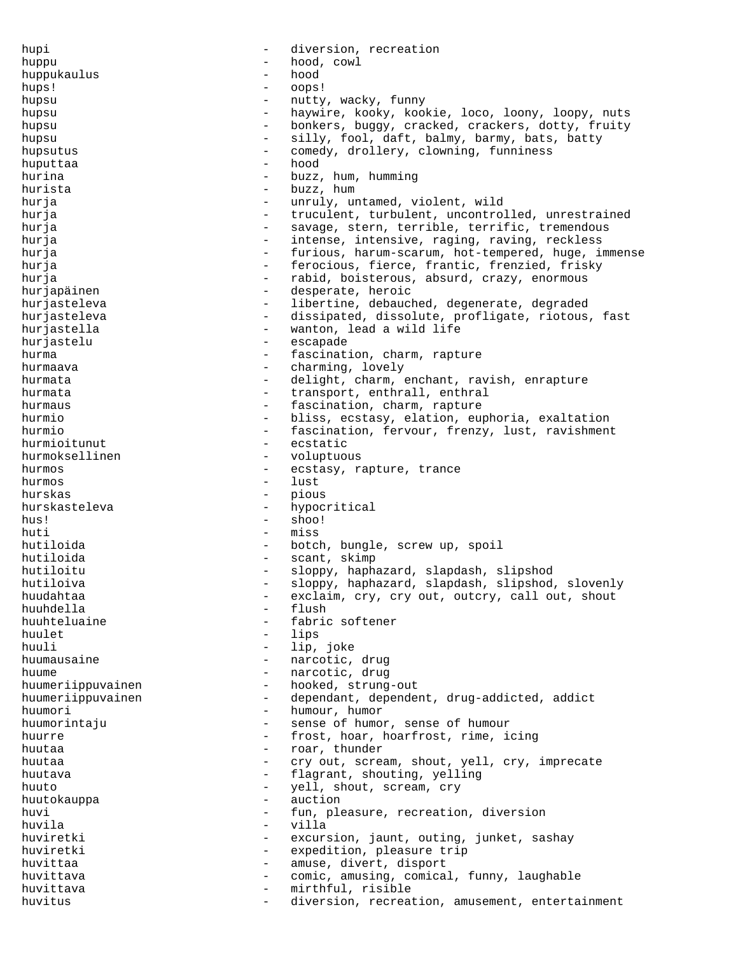hupi  $-$  diversion, recreation huppu - hood, cowl<br>huppukaulus - hood - hood huppukaulus - hood hups! - oops! hupsu - nutty, wacky, funny hupsu - haywire, kooky, kookie, loco, loony, loopy, nuts hupsu - bonkers, buggy, cracked, crackers, dotty, fruity hupsu - silly, fool, daft, balmy, barmy, bats, batty<br>hupsutus - comedy drollery clowning funningss hupsutus - comedy, drollery, clowning, funniness<br>huputtaa - hood - hood huputtaa - hood hurina - buzz, hum, humming hurista - buzz, hum hurja - unruly, untamed, violent, wild hurja - truculent, turbulent, uncontrolled, unrestrained<br>hurja - savage stern, terrible, terrific tremendous hurja  $-$  savage, stern, terrible, terrific, tremendous hurja - intense, intensive, raging, raving, reckless hurja - furious, harum-scarum, hot-tempered, huge, immense hurja - ferocious, fierce, frantic, frenzied, frisky hurja - rabid, boisterous, absurd, crazy, enormous hurjapäinen 1988 - desperate, heroic hurjasteleva - libertine, debauched, degenerate, degraded<br>hurjasteleva - dissipated, dissolute, profligate, riotous - dissipated, dissolute, profligate, riotous, fast hurjastella - wanton, lead a wild life<br>huriastelu - escanade hurjastelu - escapade hurma - fascination, charm, rapture<br>
- charming lovely hurmaava  $\qquad \qquad -$  charming, lovely hurmata - delight, charm, enchant, ravish, enrapture hurmata - transport, enthrall, enthral hurmaus - fascination, charm, rapture hurmio - bliss, ecstasy, elation, euphoria, exaltation hurmio - fascination, fervour, frenzy, lust, ravishment<br>hurmioitunut - ecstatic hurmioitunut - ecstatic<br>hurmoksellinen - voluntuo hurmoksellinen - voluptuous<br>hurmos - ecstasy r hurmos - ecstasy, rapture, trance hurmos - lust hurskas - pious hurskasteleva - hypocritical hus! - shoo! huti - miss hutiloida - botch, bungle, screw up, spoil hutiloida - scant, skimp - sloppy, haphazard, slapdash, slipshod<br>- sloppy, haphazard, slapdash, slipshod hutiloiva - sloppy, haphazard, slapdash, slipshod, slovenly huudahtaa - exclaim, cry, cry out, outcry, call out, shout<br>huubdalla - flush - flush huuhdella - flush - flush<br>huuhteluaine - fabri huuhteluaine - fabric softener<br>huulet - lins - lips huuli - lip, joke huumausaine - narcotic, drug huume - narcotic, drug huumeriippuvainen - hooked, strung-out<br>huumeriippuvainen - dependant.dependen huumeriippuvainen - dependant, dependent, drug-addicted, addict huumori - humour, humor huumorintaju - sense of humor, sense of humour<br>huurre - frost hoar hoarfrost rime i huurre - frost, hoar, hoarfrost, rime, icing<br>huutaa - frost, hoar, hoarfrost, rime, icing huutaa - roar, thunder huutaa - cry out, scream, shout, yell, cry, imprecate<br>huutava - flagrant shouting yelling huutava - flagrant, shouting, yelling huuto - yell, shout, scream, cry<br>huutokauppa - auction - auction huutokauppa - auction huvi - fun, pleasure, recreation, diversion<br>
- villa huvila - villa huviretki - excursion, jaunt, outing, junket, sashay huviretki - expedition, pleasure trip huvittaa - amuse, divert, disport<br>huvittava - amusing comic amusing comica huvittava - comic, amusing, comical, funny, laughable huvittava - mirthful, risible huvitus - diversion, recreation, amusement, entertainment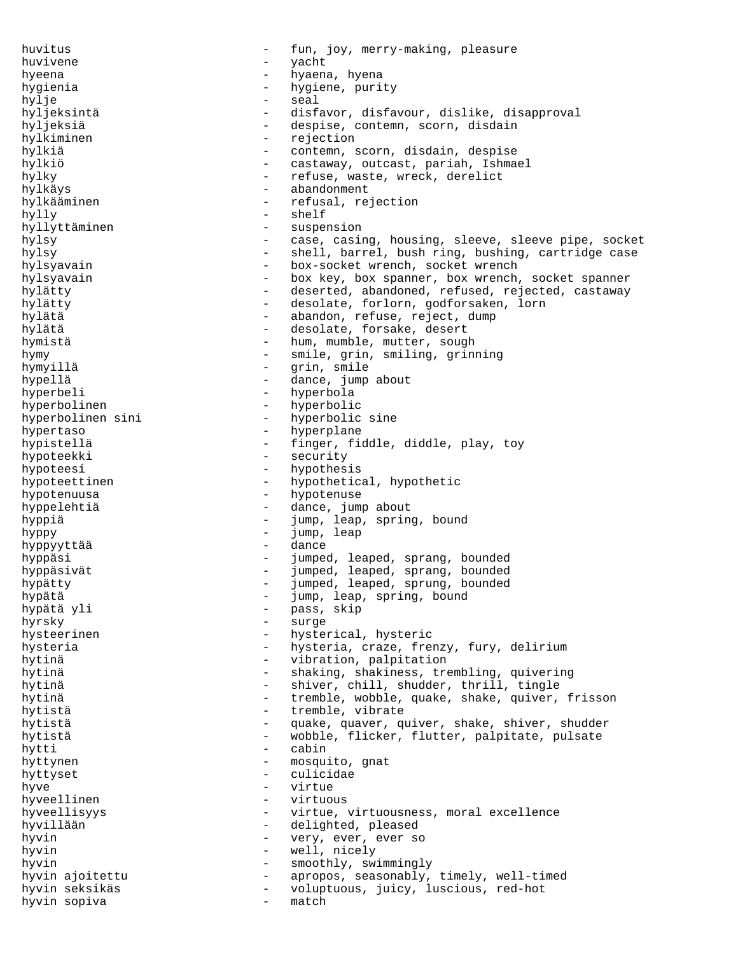huvitus - fun, joy, merry-making, pleasure huvivene - yacht hyeena - hyaena, hyena hygienia - hygiene, purity hylje - seal hyljeksintä - disfavor, disfavour, dislike, disapproval - despise, contemn, scorn, disdain hylkiminen en andere andere andere rejection hylkiä - contemn, scorn, disdain, despise hylkiö - castaway, outcast, pariah, Ishmael hylky  $-$  refuse, waste, wreck, derelict hylkäys - abandonment hylkääminen 1988 - refusal, rejection hylly - shelf hyllyttäminen - suspension hylsy - case, casing, housing, sleeve, sleeve pipe, socket hylsy **-** shell, barrel, bush ring, bushing, cartridge case hylsyavain - box-socket wrench, socket wrench hylsyavain - box key, box spanner, box wrench, socket spanner hylätty **-** deserted, abandoned, refused, rejected, castaway hylätty - desolate, forlorn, godforsaken, lorn hylätä - abandon, refuse, reject, dump n<br>hylätä - desolate, forsake, desert hymistä  $-$  hum, mumble, mutter, sough hymy - smile, grin, smiling, grinning hymyillä - grin, smile hypellä - dance, jump about hyperbeli - hyperbola hyperbolinen - hyperbolic hyperbolinen sini - hyperbolic sine hypertaso  $\overline{a}$  - hyperplane hypistellä  $-$  finger, fiddle, diddle, play, toy hypoteekki - security hypoteesi - hypothesis hypoteettinen - hypothetical, hypothetic hypotenuusa - hypotenuse hyppelehtiä  $\qquad \qquad -$  dance, jump about hyppiä - jump, leap, spring, bound hyppy - jump, leap hyppyyttää - dance hyppäsi - jumped, leaped, sprang, bounded<br>hyppäsivät - jumped leaped sprang, bounded hyppäsivät - jumped, leaped, sprang, bounded<br>hypätty - jumped leaped sprung bounded hypätty - jumped, leaped, sprung, bounded hypätä - jump, leap, spring, bound hypätä yli - pass, skip hyrsky - surge hysteerinen - hysterical, hysteric hysteria - hysteria, craze, frenzy, fury, delirium hytinä  $-$  vibration, palpitation hytinä - shaking, shakiness, trembling, quivering hytinä - shiver, chill, shudder, thrill, tingle hytinä 1988 - tremble, wobble, quake, shake, quiver, frisson hytistä - tremble, vibrate hytistä - quake, quaver, quiver, shake, shiver, shudder hytistä - wobble, flicker, flutter, palpitate, pulsate<br>hytti - cabin hytti - cabin hyttynen - mosquito, gnat<br>hyttyset - mulicidae hyttyset - culicidae<br>hyve - virtue hyve - virtue hyveellinen - virtuous hyveellisyys - virtue, virtuousness, moral excellence hyvillään - delighted, pleased<br>hyvin - very, ever, ever so very, ever, ever so hyvin - well, nicely hyvin - smoothly, swimmingly hyvin ajoitettu - apropos, seasonably, timely, well-timed hyvin seksikäs - voluptuous, juicy, luscious, red-hot hyvin sopiva - match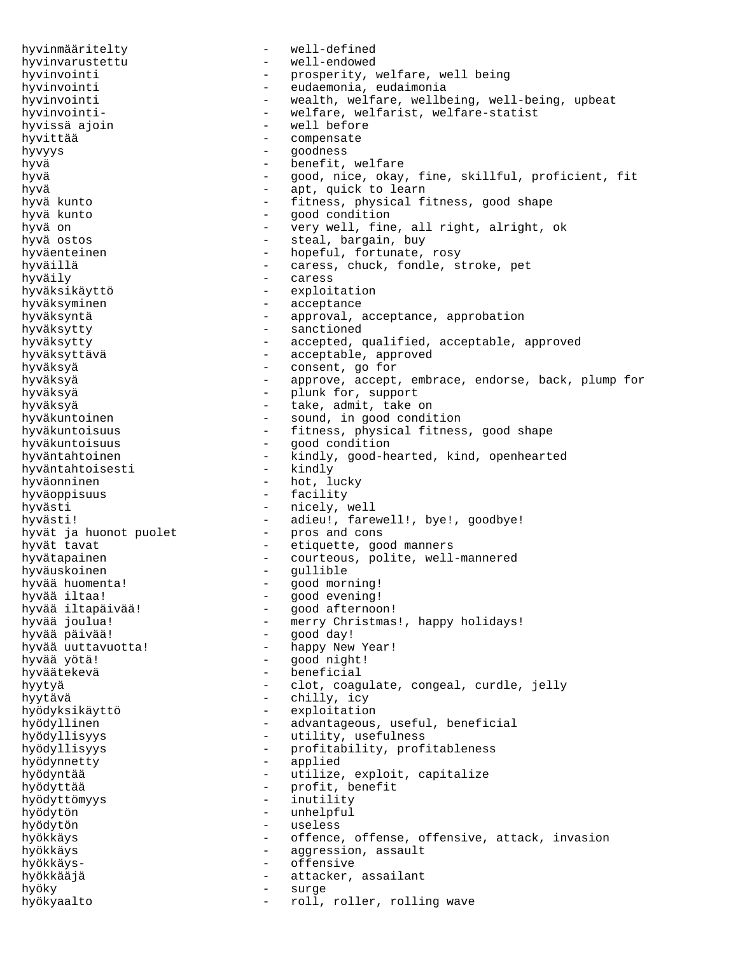hyvinmääritelty - well-defined hyvinvarustettu - well-endowed hyvinvointi - prosperity, welfare, well being hyvinvointi - eudaemonia, eudaimonia hyvinvointi - wealth, welfare, wellbeing, well-being, upbeat hyvinvointi-<br>
- welfare, welfarist, welfare-statist hyvissä ajoin alueelle kuulussa ajoin alueelle kuulussa valtaa valtaa valtaa valtaa valtaa valtaa valtaa valta<br>Alueelle kuulussa valtaa valtaa valtaa valtaa valtaa valtaa valtaa valtaa valtaa valtaa valtaa valtaa valtaa v hyvittää  $-$  compensate hyvyys - goodness hyvä - benefit, welfare hyvä - good, nice, okay, fine, skillful, proficient, fit hyvä - apt, quick to learn hyvä kunto  $-$  fitness, physical fitness, good shape hyvä kunto  $-$  good condition hyvä on - very well, fine, all right, alright, ok hyvä ostos - steal, bargain, buy hyväenteinen - hopeful, fortunate, rosy hyväillä  $-$  caress, chuck, fondle, stroke, pet hyväily - caress hyväksikäyttö - exploitation hyväksyminen - acceptance hyväksyntä - approval, acceptance, approbation - sanctioned hyväksytty - accepted, qualified, acceptable, approved hyväksyttävä - acceptable, approved<br>hyväksyä - consent, go for - consent, go for hyväksyä - approve, accept, embrace, endorse, back, plump for hyväksyä - plunk for, support hyväksyä - take, admit, take on hyväkuntoinen - sound, in good condition hyväkuntoisuus - fitness, physical fitness, good shape hyväkuntoisuus - good condition hyväntahtoinen - kindly, good-hearted, kind, openhearted<br>hvväntahtoisesti - kindly hyväntahtoisesti hyväonninen 1988 – hot, lucky hyväoppisuus - facility hyvästi - nicely, well hyvästi! - adieu!, farewell!, bye!, goodbye! hyvät ja huonot puolet pros and cons hyvät tavat - etiquette, good manners hyvätapainen - courteous, polite, well-mannered hyväuskoinen 1988 – gullible hyvää huomenta! - good morning!<br>hyvää iltaa! - - good evening! hyvää iltaa! - good evening! hyvää iltapäivää! - good afternoon! hyvää joulua! - merry Christmas!, happy holidays! hyvää päivää! - good day! - happy New Year! hyvää yötä! - good night! - beneficial hyytyä - clot, coagulate, congeal, curdle, jelly hyytävä - chilly, icy hyödyksikäyttö - exploitation hyödyllinen - advantageous, useful, beneficial hyödyllisyys - utility, usefulness hyödyllisyys - profitability, profitableness hyödynnetty - applied hyödyntää - utilize, exploit, capitalize hyödyttää  $-$  profit, benefit hyödyttömyys - inutility hyödytön - unhelpful hyödytön - useless hyökkäys - offence, offense, offensive, attack, invasion hyökkäys - aggression, assault hyökkäys- - offensive hyökkääjä - attacker, assailant hyöky - surge hyökyaalto - roll, roller, rolling wave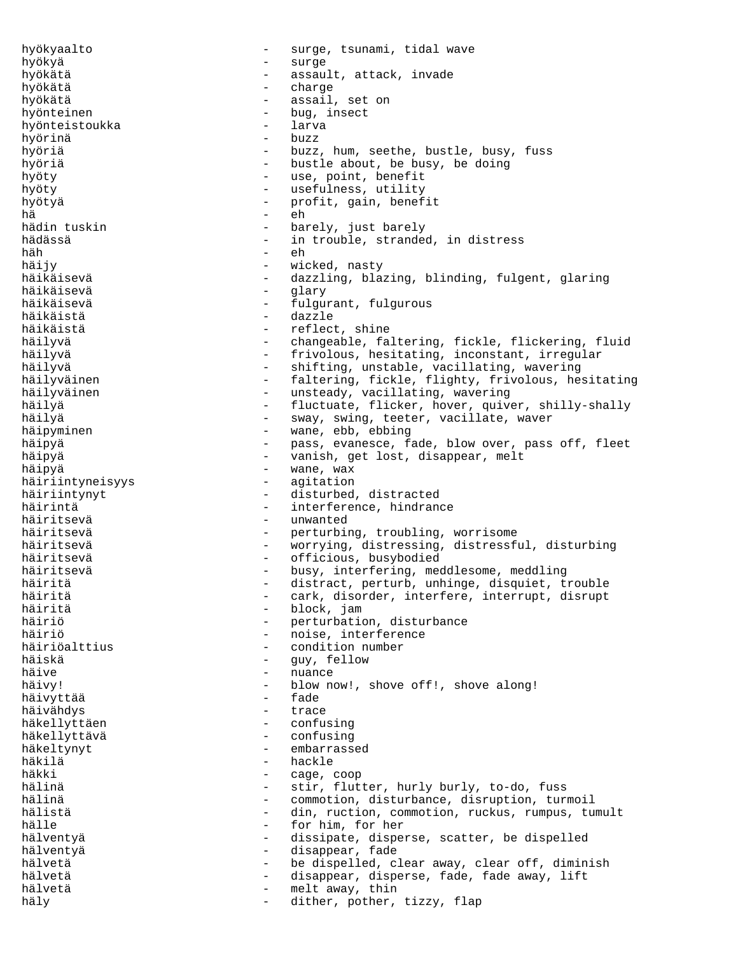hyökyaalto - surge, tsunami, tidal wave hyökyä - surge hyökätä  $-$  assault, attack, invade hyökätä - charge hyökätä - assail, set on hyönteinen - bug, insect<br>hvönteistoukka - - larva - larva hyönteistoukka - larva hyörinä hyöriä - buzz, hum, seethe, bustle, busy, fuss hyöriä  $-$  bustle about, be busy, be doing<br>hyöty  $-$  use, point, benefit - use, point, benefit hyöty - usefulness, utility hyötyä - profit, gain, benefit hä - eh hädin tuskin  $-$  barely, just barely hädässä  $-$  in trouble, stranded, in distress häh - eh häijy - wicked, nasty - dazzling, blazing, blinding, fulgent, glaring<br>- glary häikäisevä - glary häikäisevä - fulgurant, fulgurous - dazzle häikäistä  $-$  reflect, shine häilyvä **-** changeable, faltering, fickle, flickering, fluid häilyvä  $-$  frivolous, hesitating, inconstant, irregular häilyvä - shifting, unstable, vacillating, wavering häilyväinen 1988 - faltering, fickle, flighty, frivolous, hesitating häilyväinen  $-$  unsteady, vacillating, wavering häilyä  $-$  fluctuate, flicker, hover, quiver, shilly-shally häilyä  $-$  sway, swing, teeter, vacillate, waver häipyminen 1988 van en wane, ebb, ebbing häipyä - pass, evanesce, fade, blow over, pass off, fleet häipyä  $-$  vanish, get lost, disappear, melt häipyä - wane, wax häiriintyneisyys häiriintynyt - disturbed, distracted häirintä  $-$  interference, hindrance häiritsevä - unwanted häiritsevä  $-$  perturbing, troubling, worrisome häiritsevä - worrying, distressing, distressful, disturbing häiritsevä - officious, busybodied häiritsevä  $-$  busy, interfering, meddlesome, meddling häiritä - distract, perturb, unhinge, disquiet, trouble<br>häiritä - cark disorder interfere interrupt disrupt häiritä - cark, disorder, interfere, interrupt, disrupt häiritä - block, jam häiriö - perturbation, disturbance häiriö - noise, interference<br>häiriöalttius - - condition number - condition number häiskä - guy, fellow häive - nuance häivy! - blow now!, shove off!, shove along! häivyttää - fade häivähdys - trace häkellyttäen - confusing häkellyttävä - confusing häkeltynyt - embarrassed häkilä - hackle häkki - cage, coop - stir, flutter, hurly burly, to-do, fuss hälinä - commotion, disturbance, disruption, turmoil hälistä - din, ruction, commotion, ruckus, rumpus, tumult hälle  $-$  for him, for her hälventyä - dissipate, disperse, scatter, be dispelled hälventyä  $-$  disappear, fade hälvetä - be dispelled, clear away, clear off, diminish disappear, disperse, fade, fade away, lift hälvetä  $-$  melt away, thin häly - dither, pother, tizzy, flap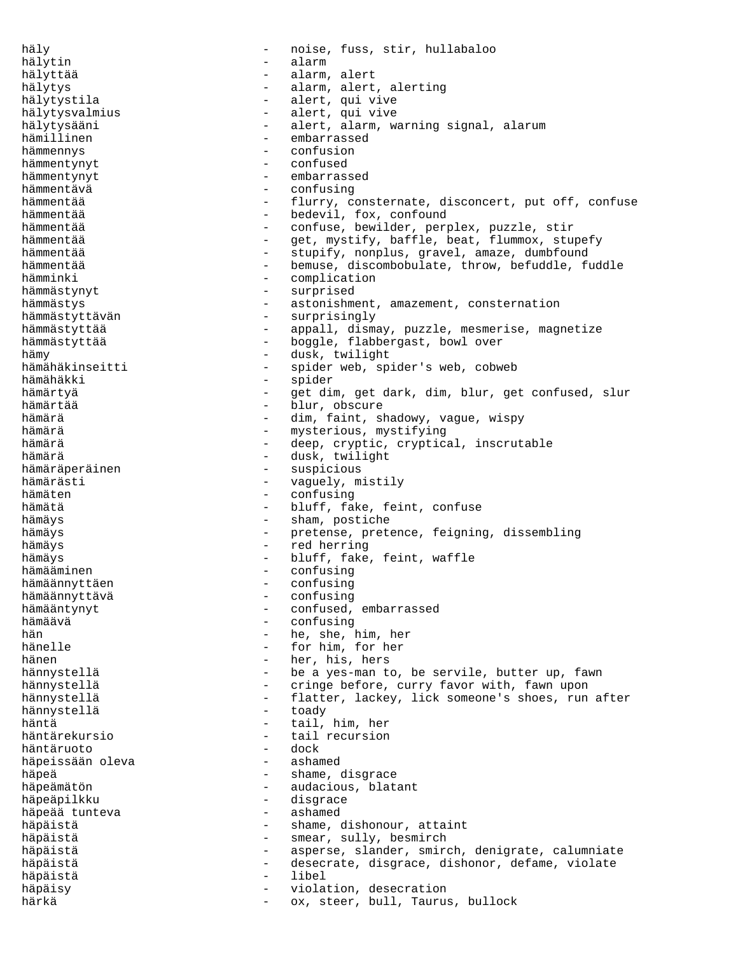häly **1988** - noise, fuss, stir, hullabaloo hälytin - alarm hälyttää  $-$  alarm, alert hälytys  $-$  alarm, alert, alerting hälytystila  $-$  alert, qui vive hälytysvalmius - alert, qui vive hälytysääni - alert, alarm, warning signal, alarum<br>hämillinen hämillinen - embarrassed hämmennys - confusion hämmentynyt - confused hämmentynyt - embarrassed hämmentävä - confusing hämmentää  $-$  flurry, consternate, disconcert, put off, confuse hämmentää  $\qquad \qquad - \qquad$  bedevil, fox, confound hämmentää  $-$  confuse, bewilder, perplex, puzzle, stir hämmentää - mystify, baffle, beat, flummox, stupefy<br>hämmentää - - stupify, nonplus, gravel, amaze, dumbfound hämmentää - stupify, nonplus, gravel, amaze, dumbfound<br>hämmentää - - - - - - hemuse discombobulate throw befuddle fi hämmentää - bemuse, discombobulate, throw, befuddle, fuddle<br>hämminki - complication hämminki - complication hämmästynyt - surprised hämmästys - astonishment, amazement, consternation<br>hämmästyttävän - surprisingly - surprisingly hämmästyttää  $-$  appall, dismay, puzzle, mesmerise, magnetize hämmästyttää  $-$  boggle, flabbergast, bowl over hämy - dusk, twilight hämähäkinseitti - spider web, spider's web, cobweb hämähäkki - spider hämärtyä  $-$  get dim, get dark, dim, blur, get confused, slur hämärtää - blur, obscure hämärä - dim, faint, shadowy, vague, wispy hämärä - mysterious, mystifying hämärä - deep, cryptic, cryptical, inscrutable hämärä - dusk, twilight<br>hämäräperäinen - - - - - suspicious hämäräperäinen - suspicious - vaguely, mistily<br>- confusing hämäten - confusing hämätä - bluff, fake, feint, confuse - sham, postiche hämäys - pretense, pretence, feigning, dissembling hämäys - red herring - bluff, fake, feint, waffle hämääminen - confusing hämäännyttäen - confusing hämäännyttävä - confusing hämääntynyt - confused, embarrassed hämäävä - confusing<br>hän - confusing - confusing - he she l hän  $-$  he, she, him, her<br>hänelle  $-$  for him, for her - for him, for her hänen  $-$  her, his, hers hännystellä - be a yes-man to, be servile, butter up, fawn hännystellä - cringe before, curry favor with, fawn upon hännystellä  $-$  flatter, lackey, lick someone's shoes, run after hännystellä - toady häntä  $-$  tail, him, her häntärekursio - tail recursion häntäruoto - dock häpeissään oleva häpeä - shame, disgrace<br>häpeämätön - shame, disgrace - audacious, blatant häpeäpilkku - disgrace häpeää tunteva häpäistä  $-$  shame, dishonour, attaint häpäistä  $-$  smear, sully, besmirch häpäistä  $-$  asperse, slander, smirch, denigrate, calumniate häpäistä - desecrate, disgrace, dishonor, defame, violate häpäistä - libel häpäisy - violation, desecration härkä - ox, steer, bull, Taurus, bullock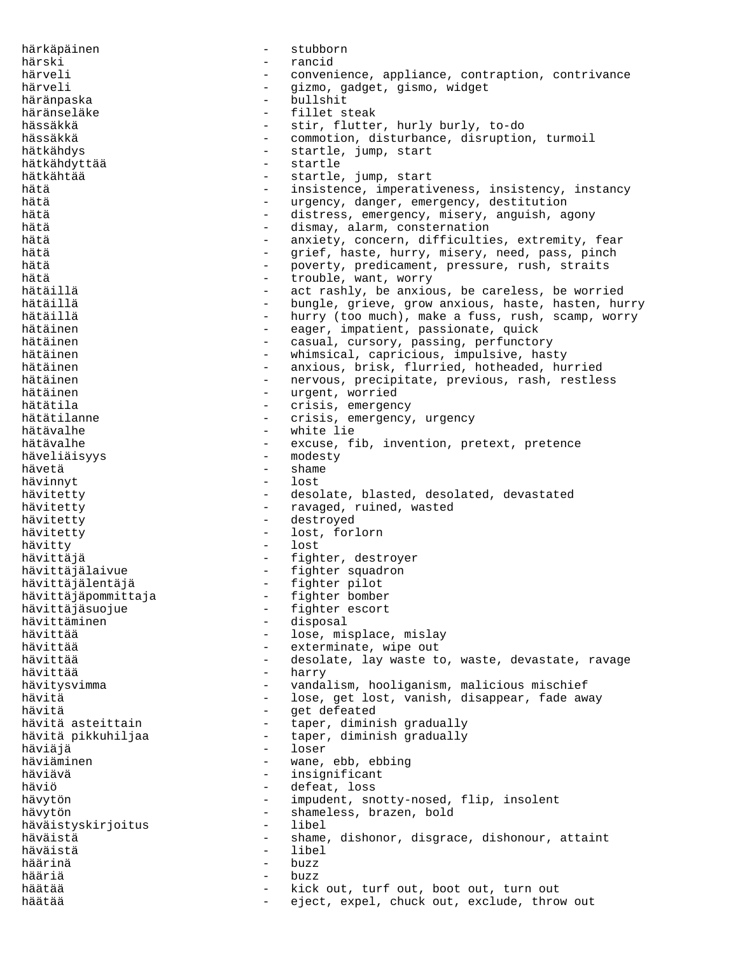härkäpäinen 1988 von 1988 million von 1988 million von 1988 million von 1988 million von 1988 million von 1988 härski - rancid - convenience, appliance, contraption, contrivance härveli - gizmo, gadget, gismo, widget häränpaska - bullshit häränseläke - fillet steak hässäkkä - stir, flutter, hurly burly, to-do<br>hässäkkä - stir, flutter, hurly burly, to-do hässäkkä - commotion, disturbance, disruption, turmoil<br>hätkähdys - startle, jump, start - startle, jump, start<br>- startle hätkähdyttää hätkähtää - startle, jump, start hätä 1988 – insistence, imperativeness, insistency, instancy hätä - urgency, danger, emergency, destitution hätä 1988 - distress, emergency, misery, anguish, agony hätä  $-$  dismay, alarm, consternation hätä 1988 - anxiety, concern, difficulties, extremity, fear hätä 1988 – grief, haste, hurry, misery, need, pass, pinch hätä - poverty, predicament, pressure, rush, straits hätä - trouble, want, worry hätäillä - act rashly, be anxious, be careless, be worried<br>hätäillä - - bungle, grieve, grow anxious, haste, hasten, hu hätäillä - bungle, grieve, grow anxious, haste, hasten, hurry<br>hätäillä - - hurry (too much), make a fuss, rush, scamp, worry - hurry (too much), make a fuss, rush, scamp, worry hätäinen 1988 - eager, impatient, passionate, quick hätäinen - casual, cursory, passing, perfunctory hätäinen - whimsical, capricious, impulsive, hasty hätäinen - anxious, brisk, flurried, hotheaded, hurried hätäinen - nervous, precipitate, previous, rash, restless<br>hätäinen - urgent worried hätäinen 1988 - urgent, worried hätätila - crisis, emergency hätätilanne - crisis, emergency, urgency hätävalhe - white lie hätävalhe - excuse, fib, invention, pretext, pretence<br>häveliäisyys - modesty - modesty<br>- shame hävetä hävinnyt - lost hävitetty - desolate, blasted, desolated, devastated hävitetty - ravaged, ruined, wasted - destroyed hävitetty  $-$  lost, forlorn hävitty - lost hävittäjä  $-$  fighter, destroyer hävittäjälaivue entimestelle - fighter squadron hävittäjälentäjä - fighter pilot hävittäjäpommittaja hävittäjäsuojue fighter escort<br>hävittäminen disposal hävittäminen – disposal<br>hävittää - lose, misplace, mislay hävittää  $-$  exterminate, wipe out hävittää - desolate, lay waste to, waste, devastate, ravage hävittää - harry hävitysvimma - vandalism, hooliganism, malicious mischief hävitä 1988 - lose, get lost, vanish, disappear, fade away hävitä - get defeated hävitä asteittain  $\qquad \qquad -$  taper, diminish gradually hävitä pikkuhiljaa  $-$  taper, diminish gradually häviäjä - loser häviäminen - wane, ebb, ebbing<br>häviävä - insignificant häviävä - insignificant - defeat, loss hävytön - impudent, snotty-nosed, flip, insolent hävytön - shameless, brazen, bold<br>häväistyskirioitus - libel - libel häväistyskirjoitus häväistä - shame, dishonor, disgrace, dishonour, attaint häväistä - libel häärinä hääriä - buzz häätää  $-$  kick out, turf out, boot out, turn out häätää - eject, expel, chuck out, exclude, throw out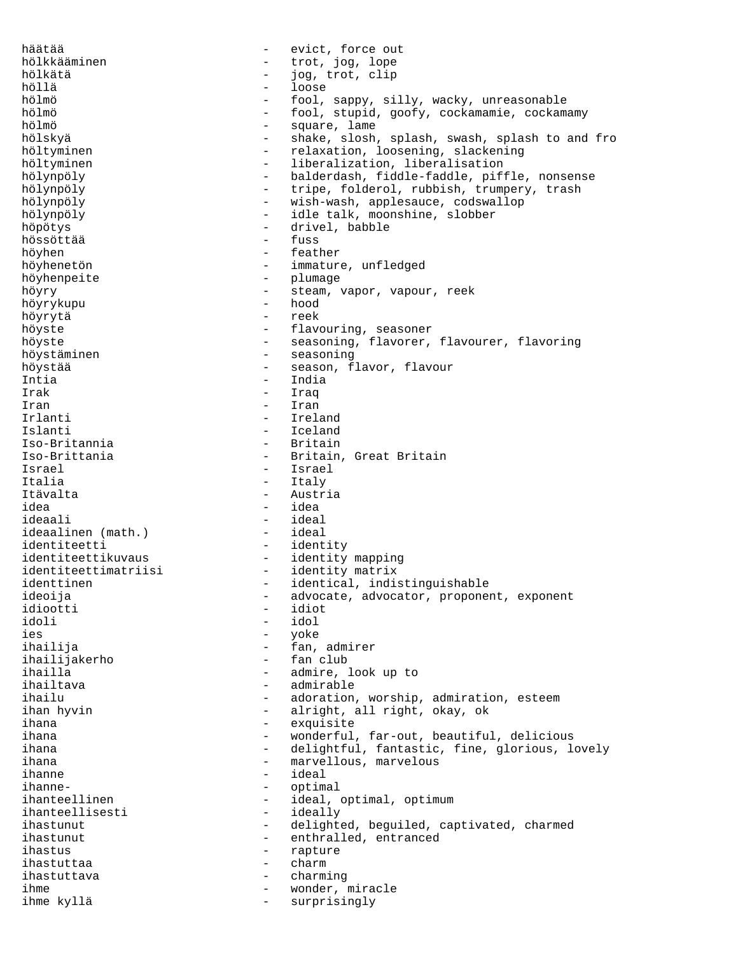häätää  $-$  evict, force out hölkkääminen - trot, jog, lope<br>hölkätä hölkätä  $-$  jog, trot, clip höllä - loose hölmö - fool, sappy, silly, wacky, unreasonable hölmö - fool, stupid, goofy, cockamamie, cockamamy hölmö - square, lame hölskyä - shake, slosh, splash, swash, splash to and fro<br>höltyminen - relaxation, loosening, slackening - relaxation, loosening, slackening höltyminen - liberalization, liberalisation hölynpöly - balderdash, fiddle-faddle, piffle, nonsense hölynpöly - tripe, folderol, rubbish, trumpery, trash hölynpöly - wish-wash, applesauce, codswallop hölynpöly - idle talk, moonshine, slobber höpötys - drivel, babble hössöttää höyhen - feather höyhenetön - immature, unfledged höyhenpeite - plumage höyry - steam, vapor, vapour, reek höyrykupu - hood<br>höyrytä - reek höyrytä - reek höyste  $-$  flavouring, seasoner höyste - seasoning, flavorer, flavourer, flavoring höystäminen  $-$  seasoning höystää  $-$  season, flavor, flavour Intia - India Irak - Iraq Iran - Iran - Iran - Iran - Iran - Iran - Iran - Iran - Iran - Iran - Iran - Iran - Iran - Iran - Iran - Iran - Iran - Iran - Iran - Iran - Iran - Iran - Iran - Iran - Iran - Iran - Iran - Iran - Iran - Iran - Iran - Iran Irlanti - Ireland Islanti - Iceland<br>Iso-Britannia - Britain - Britain Iso-Britannia<br>Iso-Brittania Iso-Brittania - Britain, Great Britain<br>Israel - Israel Israel - Israel Italia - Italy Itävalta - Austria<br>
idea - Austria<br>
- idea idea - idea - idea - idea<br>ideaali - idea - ideal<br>- ideal ideaalinen (math.) identiteetti - identity - identity mapping<br>- identity matrix identiteettimatriisi identtinen - identical, indistinguishable ideoija - advocate, advocator, proponent, exponent idiootti - idiot idoli - idol - yoke ihailija - fan, admirer<br>ihailijakerho - fan club - fan club - fan club ihailla  $-$  admire, look up to ihailtava - admirable ihailu  $-$  adoration, worship, admiration, esteem ihan hyvin  $-$  alright, all right, okay, ok ihana - exquisite ihana  $-$  wonderful, far-out, beautiful, delicious ihana - delightful, fantastic, fine, glorious, lovely<br>ihana - marvellous, marvelous - marvellous, marvelous<br>- ideal ihanne<br>ihanne-- optimal ihanteellinen - ideal, optimal, optimum<br>ihanteellisesti - ideally ihanteellisesti ihastunut extending the delighted, beguiled, captivated, charmed ihastunut enthralled, entranced ihastus - rapture<br>ihastuttaa - rapture - charm ihastuttaa - charm ihastuttava - charming ihme  ${1 \nvert \nvert}$  and  ${1 \nvert \nvert}$  and  ${1 \nvert \nvert}$  and  ${1 \nvert \nvert}$  are surprisingly surprisingly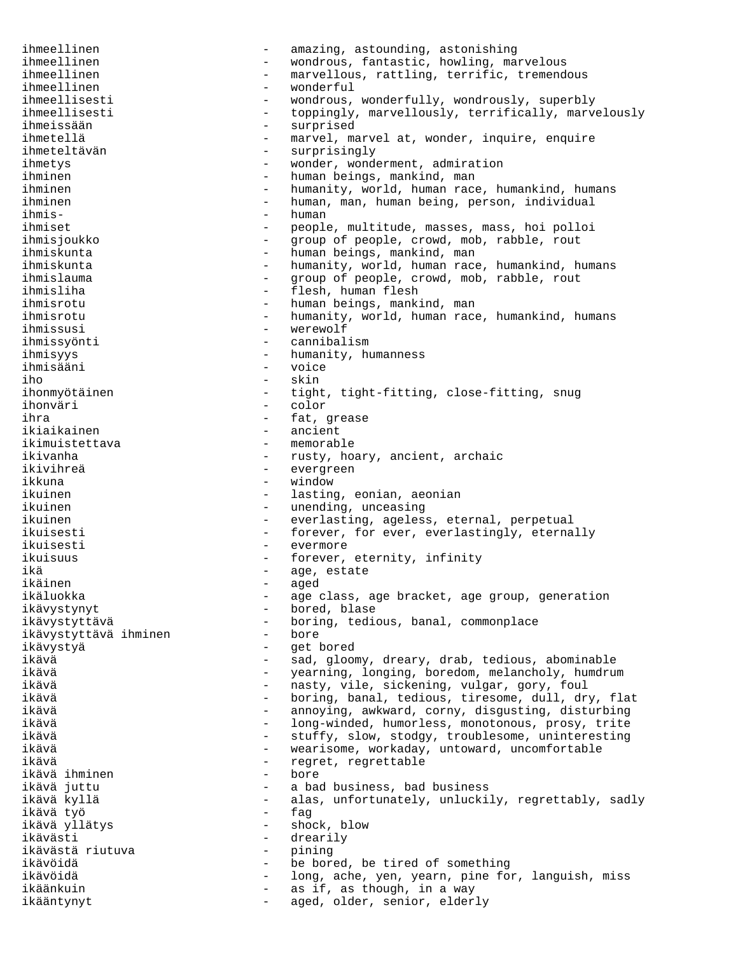ihmeellinen - amazing, astounding, astonishing ihmeellinen - wondrous, fantastic, howling, marvelous<br>ihmeellinen - marvellous, rattling, terrific, tremender marvellous, rattling, terrific, tremendous ihmeellinen - wonderful<br>ihmeellisesti - wondrous, ihmeellisesti - wondrous, wonderfully, wondrously, superbly ihmeellisesti - toppingly, marvellously, terrifically, marvelously<br>ihmeissään - surprised ihmeissään - surprised ihmetellä - marvel, marvel at, wonder, inquire, enquire<br>ihmeteltävän - surprisingly ihmeteltävän - surprisingly<br>ihmetys - wonder, wonder - wonder, wonderment, admiration<br>- human beings mankind man ihminen - human beings, mankind, man<br>ihminen - humanity world human race ihminen - humanity, world, human race, humankind, humans ihminen - human, man, human being, person, individual ihmis- - human ihmiset - people, multitude, masses, mass, hoi polloi ihmisjoukko - group of people, crowd, mob, rabble, rout ihmiskunta - human beings, mankind, man ihmiskunta - humanity, world, human race, humankind, humans ihmislauma - group of people, crowd, mob, rabble, rout ihmisliha - flesh, human flesh<br>ihmisrotu - human beings, mank ihmisrotu - human beings, mankind, man - humanity, world, human race, humankind, humans ihmissusi - werewolf ihmissyönti - cannibalism ihmisyys - humanity, humanness<br>
ihmisääni - voice - voice - voice iho - skin ihonmyötäinen - tight, tight-fitting, close-fitting, snug ihonväri - color ihra - fat, grease<br>ikiaikainen 1980 - ancient ikiaikainen<br>ikimuistettava ikimuistettava - memorable<br>ikiyanha - rusty ho ikivanha - rusty, hoary, ancient, archaic<br>ikivihreä - evergreen ikkuna - window ikuinen 1988 - Lasting, eonian, aeonian ikuinen 1988 - unending, unceasing ikuinen - everlasting, ageless, eternal, perpetual ikuisesti <a>>
- forever, for ever, everlastingly, eternally<br/>
refore that is not the set of the set of the set of the set of the set of<br/>
refore the set of the set of the set of the set of the set of the<br/>
refore ikuisesti - evermore ikuisuus - forever, eternity, infinity ikä - age, estate ikäinen - aged - age class, age bracket, age group, generation ikävystynyt - bored, blase ikävystyttävä - boring, tedious, banal, commonplace<br>ikävystyttävä ihminen - bore ikävystyttävä ihminen ikävystyä - get bored ikävä - sad, gloomy, dreary, drab, tedious, abominable - yearning, longing, boredom, melancholy, humdrum<br>- nasty, vile, sickening, vulgar, gory, foul ikävä - nasty, vile, sickening, vulgar, gory, foul ikävä - boring, banal, tedious, tiresome, dull, dry, flat ikävä  $-$  annoying, awkward, corny, disgusting, disturbing ikävä - long-winded, humorless, monotonous, prosy, trite ikävä - stuffy, slow, stodgy, troublesome, uninteresting ikävä - wearisome, workaday, untoward, uncomfortable - regret, regrettable<br>- bore ikävä ihminen<br>ikävä juttu ikävä juttu - a bad business, bad business - alas, unfortunately, unluckily, regrettably, sadly<br>- fac ikävä työ<br>ikävä yllätys - shock, blow ikävästi - drearily ikävästä riutuva - pining be bored, be tired of something ikävöidä - long, ache, yen, yearn, pine for, languish, miss ikäänkuin - as if, as though, in a way ikääntynyt en metallise van de van de van de van de van de van de van de van de van de van de van de van de va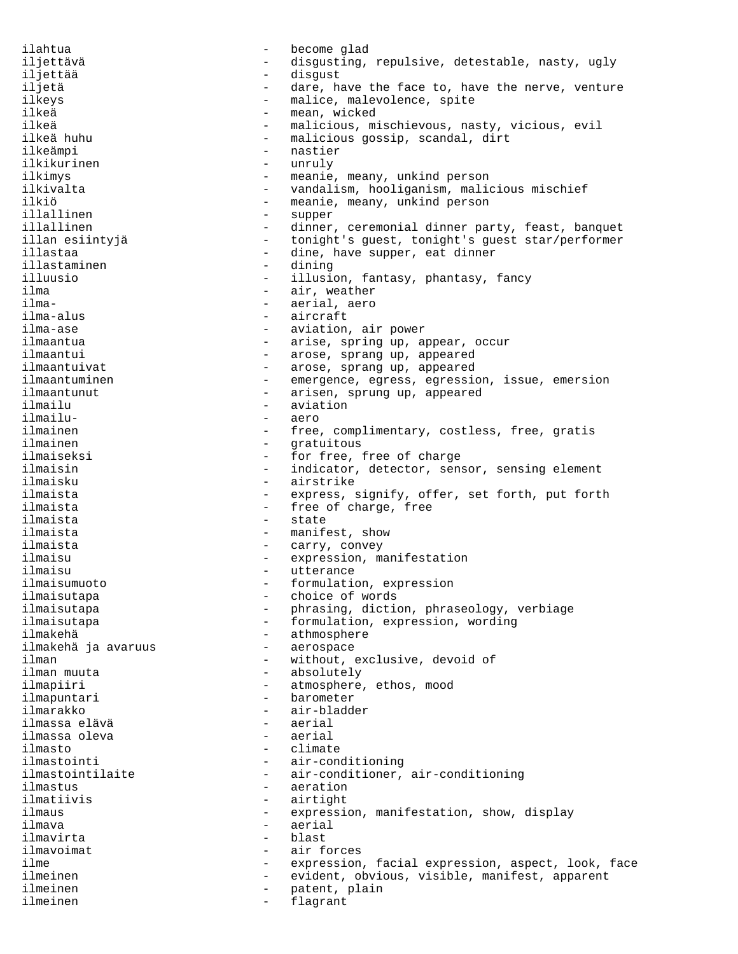ilahtua - become glad iljettävä - disgusting, repulsive, detestable, nasty, ugly iljettää - disgust - dare, have the face to, have the nerve, venture ilkeys - malice, malevolence, spite ilkeä - mean, wicked ilkeä - malicious, mischievous, nasty, vicious, evil<br>ilkeä huhu - malicious gossip, scandal, dirt - malicious gossip, scandal, dirt<br>- nastier ilkeämpi - nastier ilkikurinen ilkimys - meanie, meany, unkind person ilkivalta - vandalism, hooliganism, malicious mischief<br>ilkiö - meanie.meanv.unkind person - meanie, meany, unkind person illallinen - supper illallinen en en sommer, ceremonial dinner party, feast, banquet illan esiintyjä  $-$  tonight's guest, tonight's guest star/performer illastaa - dine, have supper, eat dinner illastaminen - dining illuusio - illusion, fantasy, phantasy, fancy ilma - air, weather<br>ilma- - aerial aero ilma- - aerial, aero - aircraft ilma-ase  $\qquad \qquad$  - aviation, air power ilmaantua - arise, spring up, appear, occur ilmaantui - arose, sprang up, appeared ilmaantuivat - arose, sprang up, appeared ilmaantuminen 1988 - emergence, egress, egression, issue, emersion<br>ilmaantunut - arisen, sprung up, appeared - arisen, sprung up, appeared ilmailu - aviation ilmailu- - aero ilmainen - free, complimentary, costless, free, gratis ilmainen - gratuitous ilmaiseksi - for free, free of charge - indicator, detector, sensor, sensing element ilmaisku - airstrike ilmaista - express, signify, offer, set forth, put forth ilmaista  $-$  free of charge, free ilmaista - state ilmaista  $-$  manifest, show ilmaista - carry, convey ilmaisu - expression, manifestation ilmaisu - utterance ilmaisumuoto - formulation, expression ilmaisutapa - choice of words ilmaisutapa - phrasing, diction, phraseology, verbiage<br>ilmaisutapa - formulation, expression, wording ilmaisutapa - formulation, expression, wording<br>ilmakehä - athmosphere<br>- aerospace ilmakehä ja avaruus ilman  $\frac{1}{1}$  - without, exclusive, devoid of - absolutely ilmapiiri - atmosphere, ethos, mood ilmapuntari - barometer - air-bladder<br>- aerial ilmassa elävä - aerial ilmassa oleva - aerial ilmasto - climate ilmastointi - air-conditioning<br>ilmastointilaite - air-conditioner, ilmastointilaite - air-conditioner, air-conditioning<br>ilmastus ilmastus - aeration<br>ilmatiivis - airtight - airtight ilmaus - expression, manifestation, show, display ilmava - aerial ilmavirta ilmavoimat - air forces - expression, facial expression, aspect, look, face ilmeinen - evident, obvious, visible, manifest, apparent ilmeinen 1988 - Patent, plain ilmeinen 10 metal 10 metal 10 metal 10 metal 10 metal 10 metal 10 metal 10 metal 10 metal 10 metal 10 metal 10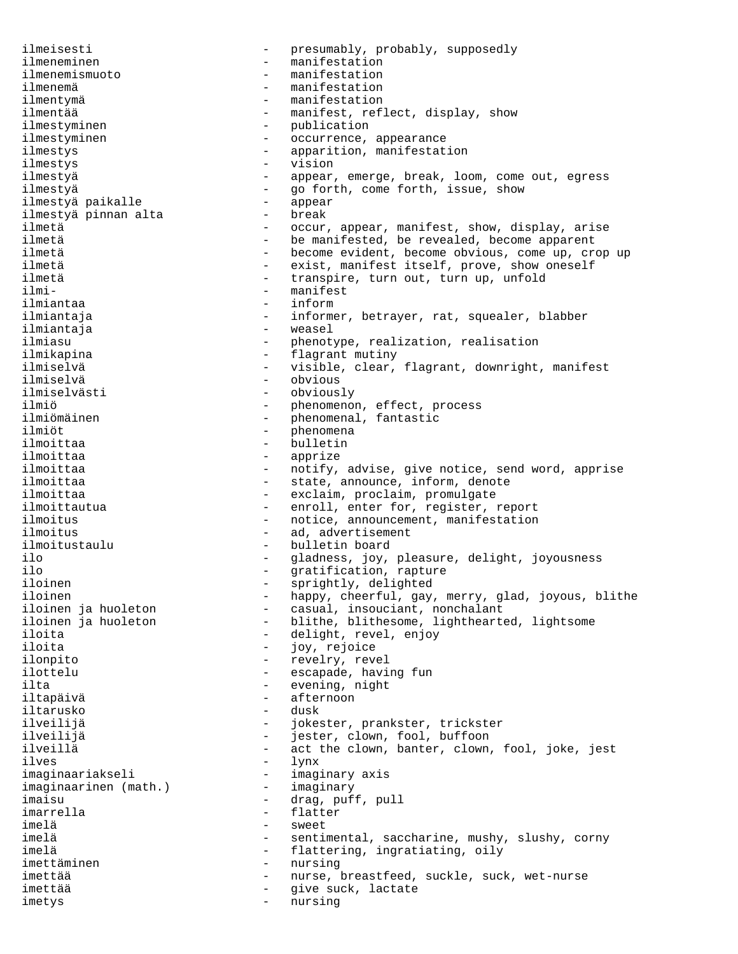ilmeisesti - presumably, probably, supposedly ilmeneminen en andere manifestation ilmenemismuoto - manifestation ilmenemä - manifestation ilmentymä - manifestation ilmentää - manifest, reflect, display, show ilmestyminen - publication<br>ilmestyminen - occurrence, ilmestyminen - occurrence, appearance<br>ilmestys - apparition, manifestat - apparition, manifestation ilmestys - vision ilmestyä - appear, emerge, break, loom, come out, egress ilmestyä - go forth, come forth, issue, show ilmestyä paikalle - appear ilmestyä pinnan alta ilmetä - occur, appear, manifest, show, display, arise ilmetä - be manifested, be revealed, become apparent - become evident, become obvious, come up, crop up ilmetä - exist, manifest itself, prove, show oneself ilmetä - transpire, turn out, turn up, unfold - manifest<br>- inform ilmiantaa<br>ilmiantaja - informer, betrayer, rat, squealer, blabber ilmiantaja - weasel ilmiasu - phenotype, realization, realisation<br>ilmikapina - - flagrant mutiny - flagrant mutiny ilmiselvä - visible, clear, flagrant, downright, manifest ilmiselvä - obvious ilmiselvästi - obviously ilmiö - phenomenon, effect, process - phenomenal, fantastic<br>- phenomena ilmiöt - phenomena ilmoittaa - bulletin ilmoittaa - apprize - notify, advise, give notice, send word, apprise ilmoittaa - state, announce, inform, denote - exclaim, proclaim, promulgate ilmoittautua - enroll, enter for, register, report ilmoitus - notice, announcement, manifestation ilmoitus - ad, advertisement ilmoitustaulu - bulletin board ilo - gladness, joy, pleasure, delight, joyousness ilo - gratification, rapture iloinen - sprightly, delighted<br>iloinen - happy, cheerful, gay iloinen<br>iloinen ja huoleton casual, insouciant, nonchalant iloinen ja huoleton casual, insouciant, nonchalant<br>iloinen ja huoleton blithe, blithesome, lightheart iloinen ja huoleton - blithe, blithesome, lighthearted, lightsome<br>iloita - delight revel eniov - delight, revel, enjoy iloita - joy, rejoice ilonpito - revelry, revel - escapade, having fun ilta  $-$  evening, night iltapäivä - afternoon iltarusko – dusko – dusko – dusko – dusko – dusko – dusko – dusko – dusko – dusko – dusko – dusko – dusko – du<br>Dusko – dusko – dusko – dusko – dusko – dusko – dusko – dusko – dusko – dusko – dusko – dusko – dusko – dusko ilveilijä - jokester, prankster, trickster ilveilijä - jester, clown, fool, buffoon ilveillä - act the clown, banter, clown, fool, joke, jest<br>ilves - lvnx - lvnx lynx imaginaariakseli - imaginary axis<br>imaginaarinen (math.) - imaginary imaginaarinen (math.) imaisu  $-$  drag, puff, pull imarrella en el estatente de la flatter imelä - sweet imelä - sentimental, saccharine, mushy, slushy, corny imelä  $-$  flattering, ingratiating, oily imettäminen  $-$  nursing imettää  $-$  nurse, breastfeed, suckle, suck, wet-nurse imettää - give suck, lactate<br>imetys imetys - nursing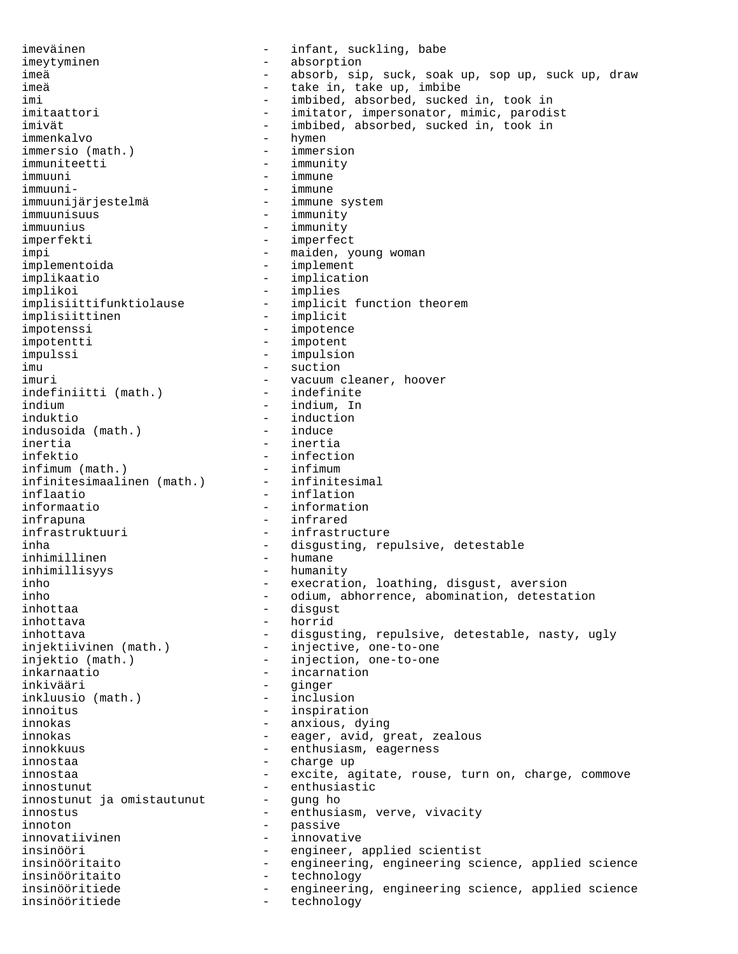imeväinen 1988 – infant, suckling, babe imeytyminen - absorption imeä - absorb, sip, suck, soak up, sop up, suck up, draw imeä - take in, take up, imbibe imi - imbibed, absorbed, sucked in, took in imitaattori - imitator, impersonator, mimic, parodist imivät - imbibed, absorbed, sucked in, took in - hymen<br>- immersion immersio (math.) immuniteetti - immunity immuuni - immune immuuni- - immune - immune system immuunisuus - immunity immuunius - immunity<br>imperfekti - imperfec - imperfect impi - maiden, young woman<br>implementoida - - - - - - - - - - - - - implement implementoida - implement implikaatio - implication implikoi - implies<br>implisiittifunktiolause - implicit implisiittifunktiolause - implicit function theorem<br>implisiittinen - implicit - implicit impotenssi - impotence impotentti - impotent impulssi - impulsion imu - suction<br>imuri - vacuum - vacuum imuri - vacuum cleaner, hoover indefiniitti (math.) indium - indium, In induktio - induction indusoida (math.) inertia - inertia - infection<br>- infimum infimum (math.) infinitesimaalinen (math.) - infinitesimal inflaatio - inflation informaatio - information infrapuna - infrared infrastruktuuri - infrastructure inha  $-$  disgusting, repulsive, detestable inhimillinen 1988 blumane bumane inhimillisyys - humanity inho  $\begin{array}{ccc}\n\text{inhom} & - & \text{execution, loading, disgust, aversion} \\
\text{inhom} & - & \text{column} & \text{abharrence} & \text{abomination} & \text{deteratation}\n\end{array}$ - odium, abhorrence, abomination, detestation inhottaa - disgust inhottava - horrid inhottava - disgusting, repulsive, detestable, nasty, ugly injektiivinen (math.) - injective, one-to-one injektio (math.) - injection, one-to-one inkarnaatio - incarnation inkivääri - ginger inkluusio (math.) innoitus - inspiration innokas - anxious, dying innokas - eager, avid, great, zealous<br>innokkuus - enthusiasm eagerness innokkuus - enthusiasm, eagerness<br>innostaa innostaa - charge up<br>innostaa - charge up innostaa - excite, agitate, rouse, turn on, charge, commove innostunut<br>innostunut ia omistautunut - enthusiastic innostunut ja omistautunut - gung ho<br>innostus - enthusia innostus - enthusiasm, verve, vivacity innoton - passive innovatiivinen - innovative insinööri - engineer, applied scientist insinööritaito - engineering, engineering science, applied science insinööritaito - technology insinööritiede - - engineering, engineering science, applied science insinööritiede - technology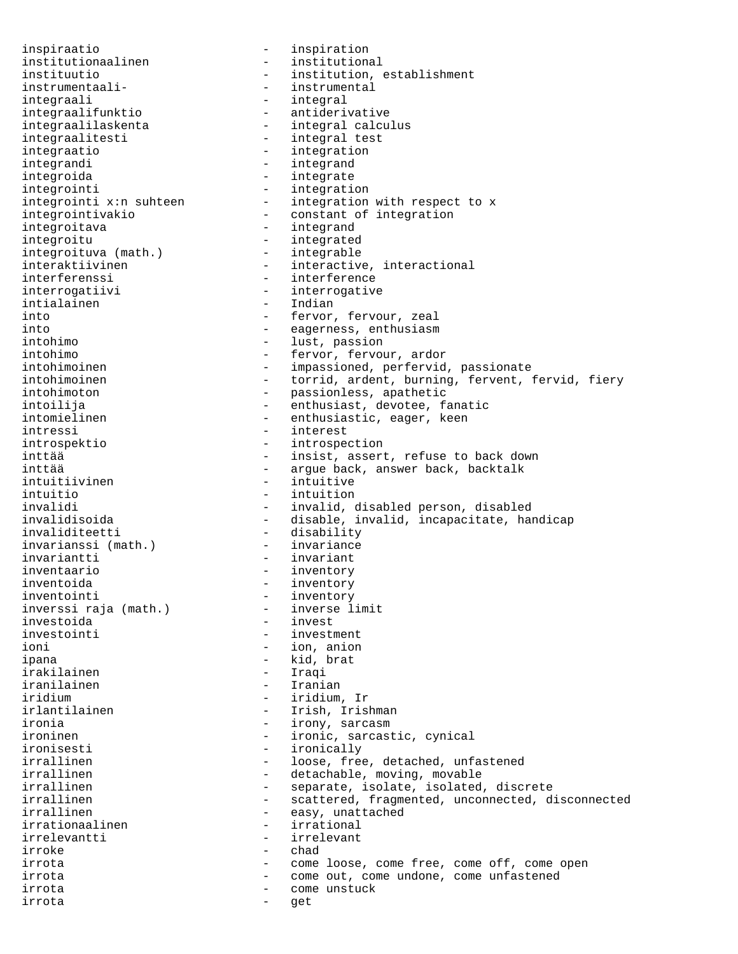inspiraatio - inspiration<br>institutionaalinen - institutional institutionaalinen instituutio - institution, establishment<br>instrumentaali- - instrumental - instrumental<br>- integral integraali - integral integraalifunktio - antiderivative integraalilaskenta - integral calculus integraalitesti - integral test integraatio - integration integrandi - integrandi<br>integroida - integrate - integrate<br>- integration integrointi - integration integrointi x:n suhteen - integration with respect to x integrointivakio - constant of integration integroitava - integrand integroitu - integrated integroituva (math.) integroituva (math.) integrable<br>interaktiivinen interactive, interactional interferenssi - interference interrogatiivi - interrogative intialainen - Indian<br>into - fervor - fervor, fervour, zeal into  $-$  eagerness, enthusiasm intohimo - lust, passion intohimo - fervor, fervour, ardor<br>intohimoinen - impassioned perfervid - impassioned, perfervid, passionate intohimoinen 1988 - torrid, ardent, burning, fervent, fervid, fiery intohimoton - passionless, apathetic intoilija - enthusiast, devotee, fanatic intomielinen  $-$  enthusiastic, eager, keen intressi - interest introspektio - introspection inttää - insist, assert, refuse to back down<br>inttää - insist, answer back, backtalk - argue back, answer back, backtalk intuitiivinen - intuitive intuitio - intuition invalidi - invalid, disabled person, disabled - disable, invalid, incapacitate, handicap invaliditeetti - disability<br>invaliditeetti - disability<br>invarianssi (math.) - invariance invarianssi (math.) invariantti - invariant inventaario - inventory inventoida - inventory inventointi<br>
inverssi raja (math.) - inverse l inversoinci<br>inverssi raja (math.) - inverse limit<br>investoida - invest investoida - invest - investment ioni - ion, anion ipana - kid, brat<br>irakilainen - kid, brat irakilainen iranilainen - Iranian iridium - iridium, Ir irlantilainen - Irish, Irishman ironia - irony, sarcasm ironinen - ironic, sarcastic, cynical<br>ironisesti - ironically ironisesti - ironically irrallinen - loose, free, detached, unfastened<br>irrallinen - detachable, moving, movable irrallinen - detachable, moving, movable<br>irrallinen - separate, isolate, isolated irrallinen - separate, isolate, isolated, discrete<br>irrallinen - scattered, fragmented, unconnected, di irrallinen - scattered, fragmented, unconnected, disconnected<br>irrallinen - easy, unattached - easy, unattached irrationaalinen 1988 - irrational<br>1988 - irrelevantti - irrelevant - irrelevant irroke - chad irrota - come loose, come free, come off, come open irrota - come out, come undone, come unfastened irrota - come unstuck irrota - get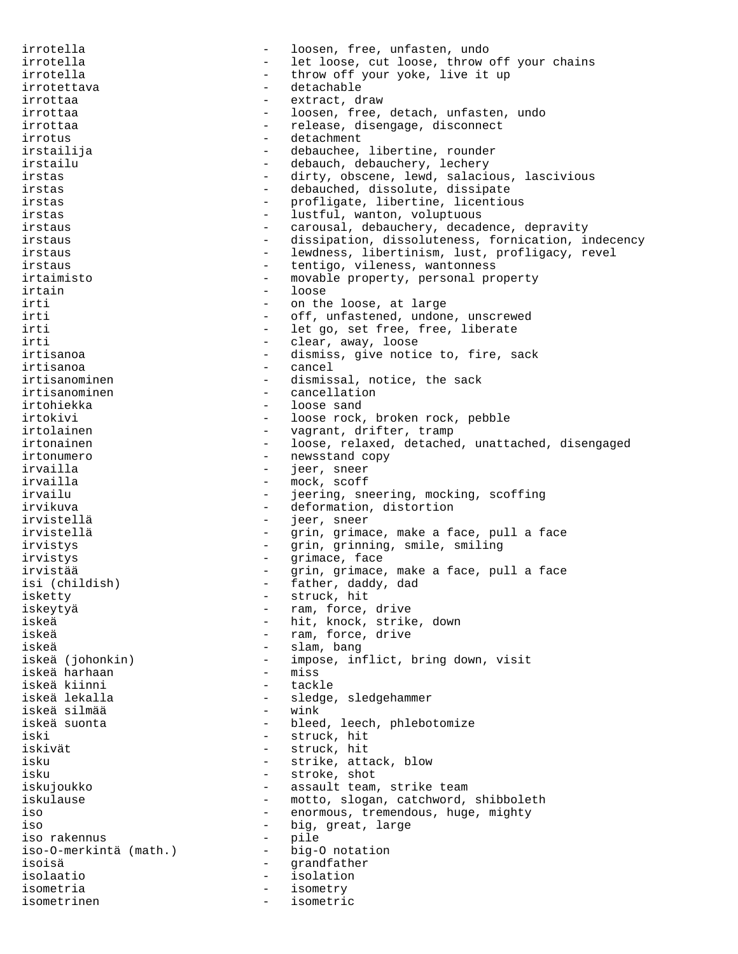irrotella - loosen, free, unfasten, undo irrotella - let loose, cut loose, throw off your chains irrotella - throw off your yoke, live it up irrotettava - detachable irrottaa - extract, draw irrottaa - loosen, free, detach, unfasten, undo irrottaa - release, disengage, disconnect irrotus - detachment irstailija - debauchee, libertine, rounder irstailu - debauch, debauchery, lechery irstas - dirty, obscene, lewd, salacious, lascivious irstas - debauched, dissolute, dissipate irstas - profligate, libertine, licentious irstas - lustful, wanton, voluptuous irstaus and the carousal, debauchery, decadence, depravity irstaus - dissipation, dissoluteness, fornication, indecency irstaus - lewdness, libertinism, lust, profligacy, revel irstaus - tentigo, vileness, wantonness irtaimisto - movable property, personal property irtain - loose irti - on the loose, at large<br>irti - off unfastened undone off, unfastened, undone, unscrewed irti - let go, set free, free, liberate irti  $\qquad \qquad -$  clear, away, loose irtisanoa - - dismiss, give notice to, fire, sack irtisanoa - cancel irtisanominen - dismissal, notice, the sack irtisanominen irtohiekka - loose sand irtokivi - loose rock, broken rock, pebble irtolainen 1988 - Vagrant, drifter, tramp irtonainen en en een van de loose, relaxed, detached, unattached, disengaged irtonumero - newsstand copy jeer, sneer irvailla - mock, scoff irvailu - jeering, sneering, mocking, scoffing irvikuva - deformation, distortion<br>irvistellä irvistellä - jeer, sneer irvistellä  $-$  grin, grimace, make a face, pull a face irvistys - grin, grinning, smile, smiling irvistys - grimace, face irvistää  $-$  grin, grimace, make a face, pull a face isi (childish) - father, daddy, dad isketty - struck, hit iskeytyä - ram, force, drive iskeä - hit, knock, strike, down<br>iskeä - hit, knock, strike, down - ram, force, drive iskeä - slam, bang - impose, inflict, bring down, visit<br>- miss iskeä harhaan iskeä kiinni - tackle iskeä lekalla - sledge, sledgehammer iskeä silmää - wink iskeä suonta <br />  $\qquad \qquad -$ bleed, leech, phlebotomize iski - struck, hit<br>iskivät - struck hit iskivät - struck, hit isku  $-$  strike, attack, blow isku - stroke, shot iskujoukko - assault team, strike team iskulause - motto, slogan, catchword, shibboleth iso - enormous, tremendous, huge, mighty iso  $\begin{array}{ccc} - & big, \text{ great}, \text{ large} \\ \text{iso rakennus} & - & \text{pile} \end{array}$ iso rakennus iso-O-merkintä (math.) - big-O notation<br>isoisä - arandfather isoisä - grandfather isolaatio - isolation isometria - isometry isometrinen - isometric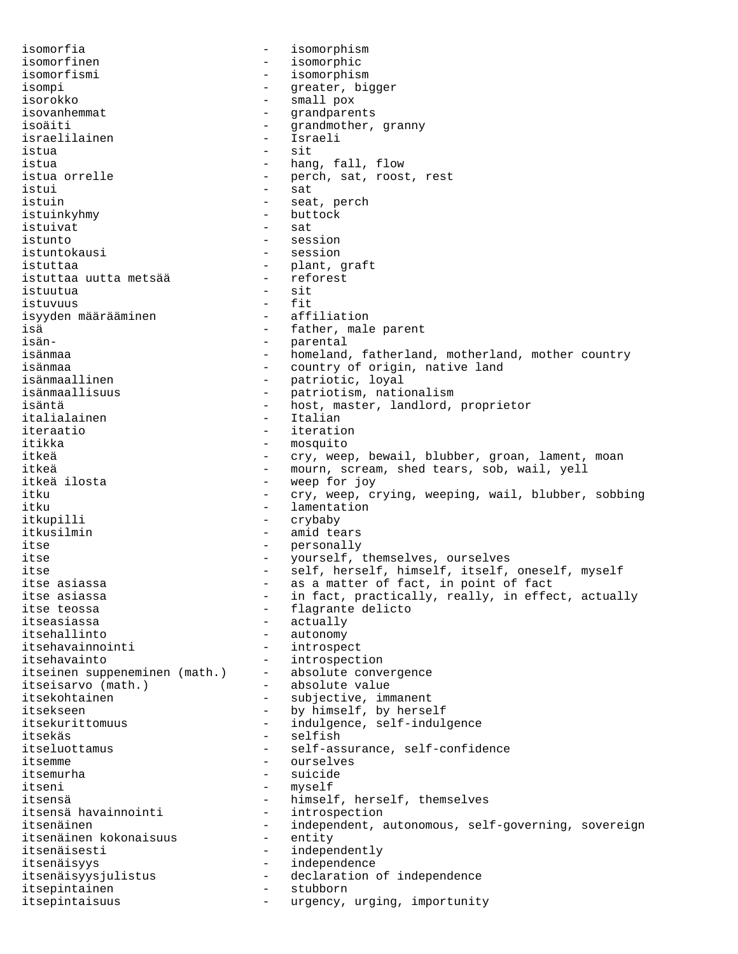isomorfia - isomorphism isomorfinen - isomorphic isomorfismi - isomorphism isompi - greater, bigger isorokko - small pox isovanhemmat - grandparents isoäiti - grandmother, granny<br>israelilainen - - - - - - Israeli israelilainen istua - sit - hang, fall, flow istua orrelle  $\qquad \qquad$  - perch, sat, roost, rest istui - sat istuin  $-$  seat, perch istuinkyhmy - buttock istuivat - sat istunto - session istuntokausi - session istuttaa - plant, graft istuttaa uutta metsää istuutua - sit istuvuus - fit isyyden määrääminen isä - father, male parent<br>isän- - father, male parent isän- - parental - homeland, fatherland, motherland, mother country isänmaa - country of origin, native land isänmaallinen - country of origi:<br>isänmaallisuus - patriotic, loyal<br>isänmaallisuus isänmaallisuus - patriotism, nationalism isäntä - host, master, landlord, proprietor italialainen - Italian iteraatio - iteration itikka - mosquito itkeä - cry, weep, bewail, blubber, groan, lament, moan<br>itkeä - cry, weep, bewail, blubber, groan, lament, moan itkeä - mourn, scream, shed tears, sob, wail, yell<br>itkeä ilosta - weep for joy - weep for joy itku  $-$  cry, weep, crying, weeping, wail, blubber, sobbing itku  $\qquad \qquad -$  lamentation itkupilli - crybaby itkusilmin - amid tears itse <br/> - personally itse - yourself, themselves, ourselves itse - self, herself, himself, itself, oneself, myself itse asiassa - as a matter of fact, in point of fact - in fact, practically, really, in effect, actually itse teossa  $\qquad \qquad -$  flagrante delicto itseasiassa - actually - autonomy<br>- introspect itsehavainnointi itsehavainto - introspection itseinen suppeneminen (math.) - absolute convergence itseisarvo (math.) - absolute value itsekohtainen 1988 - Subjective, immanent itsekseen - by himself, by herself itsekurittomuus - indulgence, self-indulgence itsekäs - selfish itseluottamus - self-assurance, self-confidence itsemme - ourselves itsemurha - suicide itseni - myself itsensä - himself, herself, themselves itsensä havainnointi itsenäinen - independent, autonomous, self-governing, sovereign<br>itsenäinen kokonaisuus - entity itsenäinen kokonaisuus itsenäisesti - independently itsenäisyys - independence itsenäisyysjulistus - declaration of independence itsepintainen - stubborn itsepintaisuus - urgency, urging, importunity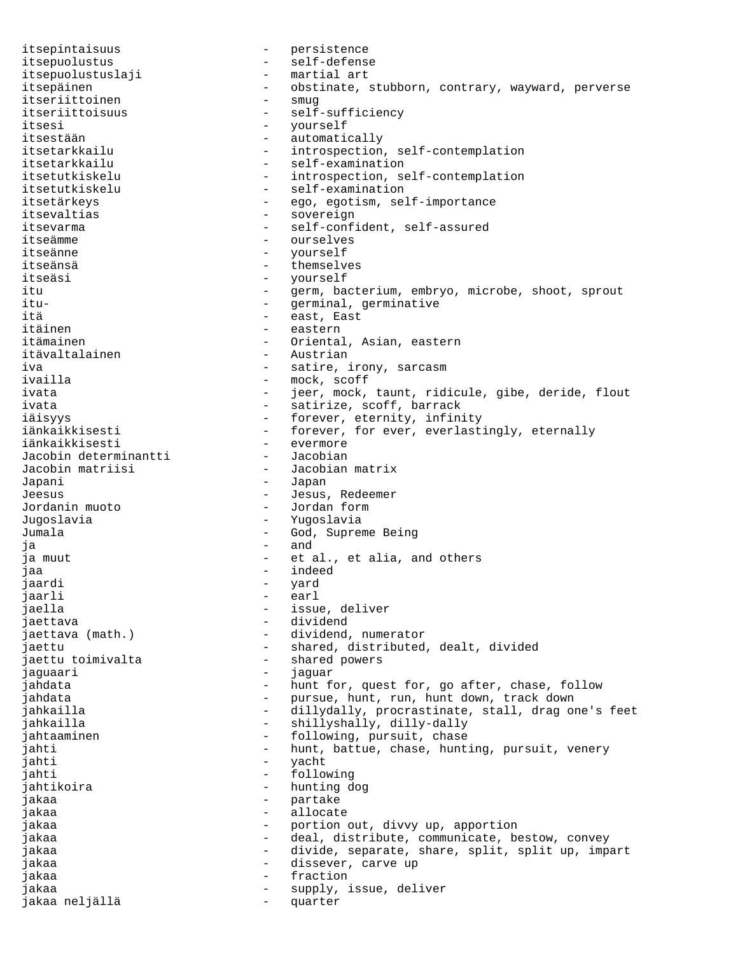itsepintaisuus - persistence itsepuolustus - self-defense itsepuolustuslaji - martial art itsepäinen - obstinate, stubborn, contrary, wayward, perverse<br>itseriittoinen - smug itseriittoinen<br>itseriittoisuus - self-sufficiency itsesi - yourself itsestään - automatically<br>itsetarkkailu - introspection itsetarkkailu - introspection, self-contemplation<br>itsetarkkailu - self-examination itsetarkkailu - self-examination<br>itsetutkiskelu - introspection.se - introspection, self-contemplation itsetutkiskelu - self-examination itsetärkeys - ego, egotism, self-importance itsevaltias - sovereign itsevarma - self-confident, self-assured itseämme - ourselves itseänne - yourself itseänsä - themselves itseäsi - yourself itu - germ, bacterium, embryo, microbe, shoot, sprout itu- - germinal, germinative - east, East itäinen - eastern itämainen - Oriental, Asian, eastern<br>itävaltalainen - - Austrian itävaltalainen iva - satire, irony, sarcasm ivailla - mock, scoff ivata - jeer, mock, taunt, ridicule, gibe, deride, flout ivata  $-$  satirize, scoff, barrack iäisyys - forever, eternity, infinity<br>iänkaikkisesti - forever, forever, everlast - forever, for ever, everlastingly, eternally<br>- evermore iänkaikkisesti - evermore Jacobin determinantti<br>Jacobin matriisi - Jacobian matrix Japani - Japan Jeesus - Jesus, Redeemer<br>Jordanin muoto - Jordan form Jordanin muoto Jugoslavia - Yugoslavia Jumala  $J$ umala - God, Supreme Being  $j$ a - and - and - and - and - and - and - and - and - and - and - and - and - and - and - and - and - and - and - and - and - and - and - and - and - and - and - and - and - and - and - and - and - and - and - and - and ja muut - et al., et alia, and others jaa - indeed - indeed - indeed - indeed - indeed - indeed - indeed - indeed - indeed - indeed - indeed - indeed - indeed - indeed - indeed - indeed - indeed - indeed - indeed - indeed - indeed - indeed - indeed - indeed jaardi - yard jaarli - earl jaella - issue, deliver jaettava - dividend - dividend, numerator jaettu - shared, distributed, dealt, divided<br>jaettu toimivalta - shared powers jaettu toimivalta - shared powers - shared powers - shared powers - shared powers - shared powers - shared powers - shared powers - shared powers are shared powers and the shared powers of the shared powers are shared powe jaguaari - jaguar jahdata - hunt for, quest for, go after, chase, follow jahdata - pursue, hunt, run, hunt down, track down jahkailla - dillydally, procrastinate, stall, drag one's feet jahkailla - shillyshally, dilly-dally jahtaaminen 1988 - following, pursuit, chase jahti - hunt, battue, chase, hunting, pursuit, venery jahti - yacht - yacht<br>jahti - follow jahti - following<br>jahtikoira - hunting d jahtikoira - hunting dog jakaa - partake - partake - partake - partake - partake - partake - partake - partake - partake - partake - partake - partake - partake - partake - partake - partake - partake - partake - partake - partake - partake - part jakaa - allocate - allocate - allocate - allocate - allocate - allocate - allocate - allocate - allocate - allo<br>Takaa - allocate - allocate - allocate - allocate - allocate - allocate - allocate - allocate - allocate - all - portion out, divvy up, apportion jakaa  $\qquad \qquad \qquad -$  deal, distribute, communicate, bestow, convey jakaa - divide, separate, share, split, split up, impart jakaa - dissever, carve up jakaa - fraction jakaa - supply, issue, deliver jakaa neljällä - quarter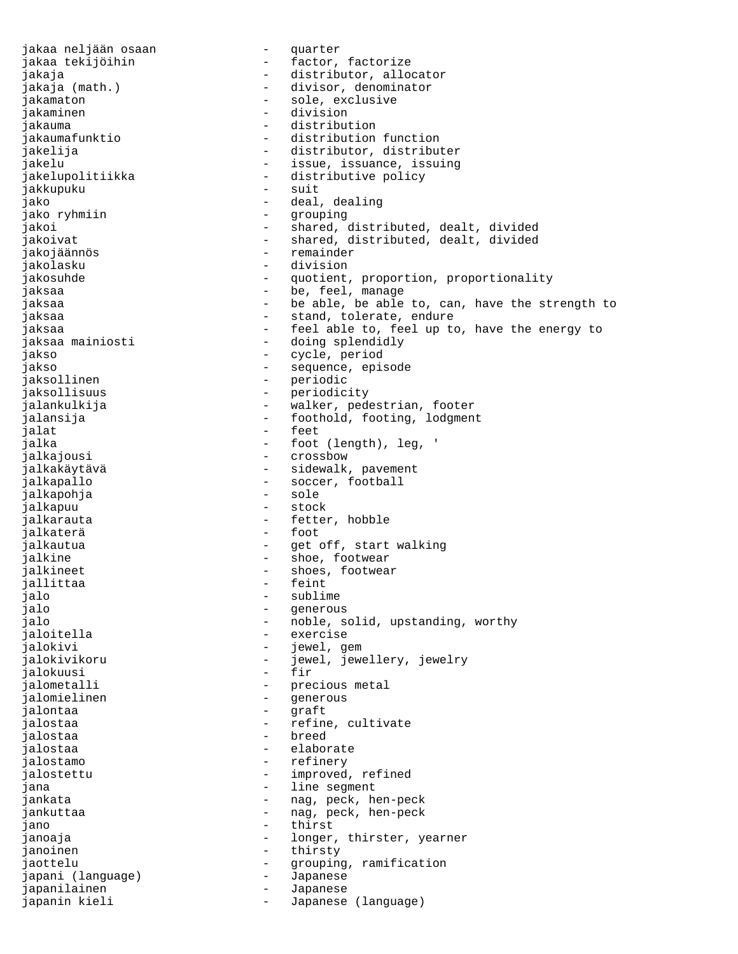jakaa neljään osaan  $\overline{\phantom{a}}$  - quarter jakamaton - sole, exclusive jakaminen - division<br>iakauma - distribut jakauma - distribution - distribution<br>jakaumafunktio - - distribution jakkupuku jako - deal, dealing jako ryhmiin  $-$  grouping jakojäännös - remainder jakolasku jaksaa mainiosti  $\begin{array}{ccc} - & \text{doing splendidly} \\ \text{iakso} & - & \text{cycle, period} \end{array}$ jaksollinen - periodic jaksollisuus - periodicity jalat - feet jalkapohja - sole jalkapuu jalkarauta - fetter, hobble jalkaterä jalkine - shoe, footwear jalkineet - shoes, footwear<br>iallittaa - - - - feint jallittaa<br>jalo jalo - sublime jalo - generous jaloitella - exercise jalokuusi jalometalli - precious metal jalomielinen - generous jalontaa - graft jalostaa - breedwaard - breedwaard - breedwaard - breedwaard - breedwaard - breedwaard - breedwaard - breedwaa jalostaa - elaborate jalostamo - refinery jana  $\qquad \qquad -$  line segment jano - thirst janoinen - thirsty japani (language) Japanese<br>japanilainen Japanese japanilainen - Japanese japanin kieli - Japanese (language)

jakaa tekijöihin  $-$  factor, factorize jakaja - distributor, allocator<br>jakaja (math.) - divisor, denominator jakaja (math.) - divisor, denominator jakaumafunktio - distribution function - distributor, distributer jakelu - issue, issuance, issuing jakelupolitiikka - distributive policy<br>iakkupuku - suit jakoi  $-$  shared, distributed, dealt, divided jakoivat - shared, distributed, dealt, divided jakosuhde - quotient, proportion, proportionality jaksaa - be, feel, manage jaksaa - be able, be able to, can, have the strength to jaksaa - - stand, tolerate, endure jaksaa - stand, tolerate, endure<br>jaksaa - stand, tolerate, endure - feel able to, feel up to, have the energy to - cycle, period jakso  $-$  sequence, episode jalankulkija - walker, pedestrian, footer jalansija - foothold, footing, lodgment jalka - foot (length), leg, '<br>jalkajousi - crossbow - ' - crossbow jalkakäytävä - sidewalk, pavement - soccer, football<br>- sole jalkautua  $-$  get off, start walking - noble, solid, upstanding, worthy - jewel, gem<br>- jewel jew jalokivikoru - jewel, jewellery, jewelry<br>ialokuusi - fir jalostaa - refine, cultivate jalostettu - improved, refined jankata  $-$  nag, peck, hen-peck jankuttaa - 1990 - 1990 - 1990 - 1990 - 1991 - 1991 - 1992 - 1992 - 1992 - 1992 - 1993 - 1992 - 1993 - 1993 - 1 janoaja - longer, thirster, yearner jaottelu - grouping, ramification<br>japani (language) - - Japanese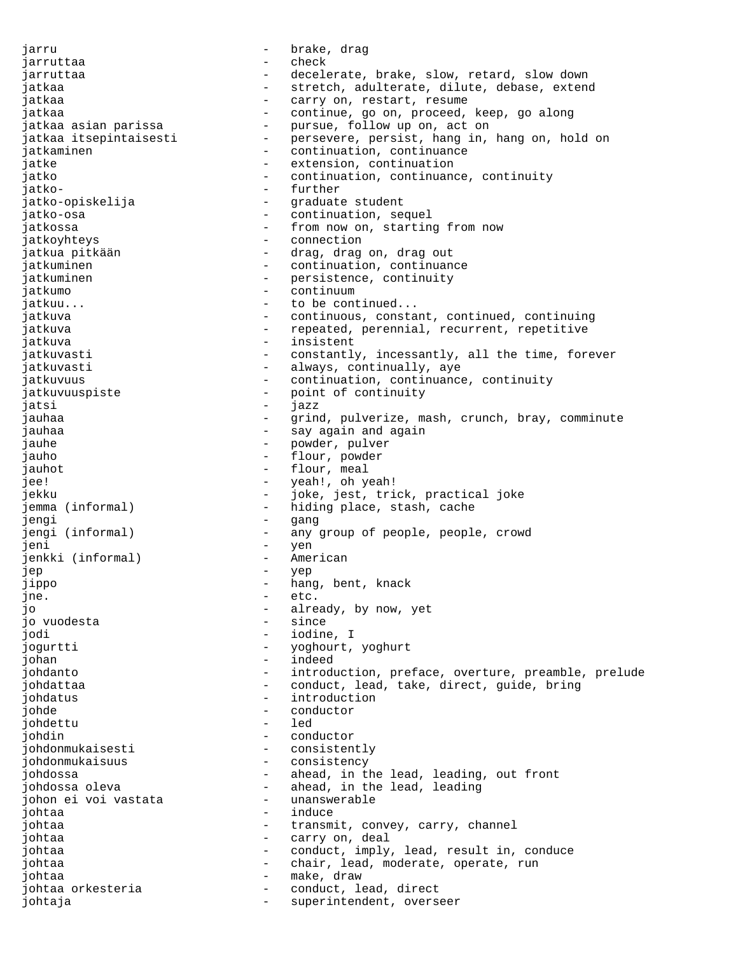jarru - brake, drag jarruttaa - check jarruttaa - - decelerate, brake, slow, retard, slow down jatkaa - stretch, adulterate, dilute, debase, extend jatkaa - carry on, restart, resume jatkaa - continue, go on, proceed, keep, go along jatkaa asian parissa  $\qquad \qquad$  - pursue, follow up on, act on jatkaa itsepintaisesti - persevere, persist, hang in, hang on, hold on jatkaminen 1988 - Continuation, continuance jatke  $-$  extension, continuation jatko  $-$  continuation, continuance, continuity jatko- - further - graduate student jatko-osa  $\qquad \qquad \qquad -$  continuation, sequel jatkossa <br />
- from now on, starting from now jatkoyhteys - connection jatkua pitkään  $-$  drag, drag on, drag out jatkuminen - continuation, continuance<br>iatkuminen - continuation, continuity jatkuminen en metallistence, continuity jatkumo - continuum jatkuu... https://www.fatkuu... html - to be continued... jatkuva e continuous, constant, continued, continuing jatkuva e contracted, perennial, recurrent, repetitive jatkuva - insistent jatkuvasti **1988** - constantly, incessantly, all the time, forever jatkuvasti - always, continually, aye jatkuvuus esimest valmistus - continuation, continuance, continuity jatkuvuuspiste - point of continuity jatsi - jazz jauhaa - grind, pulverize, mash, crunch, bray, comminute jauhaa - say again and again jauhe - powder, pulver<br>iauho - flour powder jauho - flour, powder jauhot - flour, meal<br>jee! - yeah!, oh y - yeah!, oh yeah!<br>- ioke jest tri jekku - joke, jest, trick, practical joke jemma (informal) - hiding place, stash, cache<br>
iengi jengi - gang jengi (informal) - any group of people, people, crowd jeni - yen jenkki (informal) - American jep - yep jippo - hang, bent, knack jne. - etc. jo  $-$  already, by now, yet  $-$  already, by now, yet jo vuodesta - since jodi - iodine, I jogurtti - yoghourt, yoghurt<br>iohan johan - indeed johdanto **-** introduction, preface, overture, preamble, prelude johdattaa - conduct, lead, take, direct, guide, bring johdatus - introduction johde - conductor<br>iohdettu - led johdettu johdin - conductor<br>johdonmukaisesti - consisten johdonmukaisesti - consistently johdonmukaisuus - consistency johdossa and the lead, in the lead, leading, out front johdossa oleva - ahead, in the lead, leading johon ei voi vastata johtaa - induce johtaa - transmit, convey, carry, channel johtaa - carry on, deal johtaa - conduct, imply, lead, result in, conduce johtaa - chair, lead, moderate, operate, run johtaa - make, draw - make, draw - make, draw - make, draw - make, draw - make, draw - conduct. johtaa orkesteria - conduct, lead, direct<br>iohtaia - superintendent overs johtaja - superintendent, overseer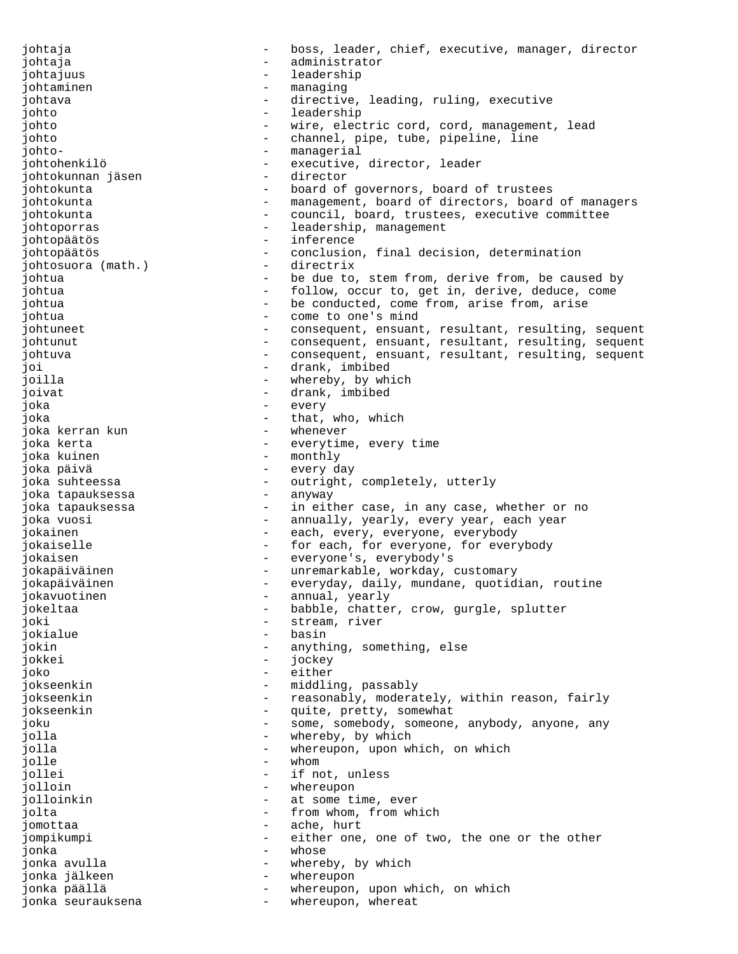johtaja  $-$  boss, leader, chief, executive, manager, director johtaja - administrator johtajuus - leadership johtaminen 1988 bland andere managing johtava - directive, leading, ruling, executive johto - leadership johto - wire, electric cord, cord, management, lead<br>johto - channel, pipe, tube, pipeline, line johto - channel, pipe, tube, pipeline, line - managerial<br>- executive johtohenkilö - executive, director, leader johtokunnan jäsen johtokunta - board of governors, board of trustees johtokunta - management, board of directors, board of managers johtokunta <br />
- council, board, trustees, executive committee<br />  $\sim$  - council, board, trustees, executive committee johtoporras - leadership, management johtopäätös - inference johtopäätös - conclusion, final decision, determination johtosuora (math.) - directrix johtua - be due to, stem from, derive from, be caused by johtua  $-$  follow, occur to, get in, derive, deduce, come johtua - be conducted, come from, arise from, arise<br>iohtua - come to one's mind johtua - come to one's mind<br>johtuneet - consequent, ensuant - consequent, ensuant, resultant, resulting, sequent johtunut ensuant, ensuant, resultant, resulting, sequent johtuva ensuant, ensuant, resultant, resulting, sequent joi - drank, imbibed joilla - whereby, by which joivat - drank, imbibed joka - every joka - that, who, which joka kerran kun - whenever joka kerta - everytime, every time - monthly<br>- every day joka päivä<br>joka suhteessa - outright, completely, utterly<br>- anyway joka tapauksessa joka tapauksessa  $\sim$  - in either case, in any case, whether or no joka vuosi annually, yearly, every year, each year jokainen 1988 - each, every, everyone, everybody jokaiselle  $-$  for each, for everyone, for everybody jokaisen <br/> - everyone's, everybody's jokapäiväinen 1988 - unremarkable, workday, customary jokapäiväinen 1988 - everyday, daily, mundane, quotidian, routine jokavuotinen 1988 - Sannual, yearly jokeltaa - babble, chatter, crow, gurgle, splutter<br>joki joki - stream, river<br>jokialue - - - - - - - - basin - basin jokin - anything, something, else<br>iokkei jokkei - jockey joko - either jokseenkin - middling, passably jokseenkin - reasonably, moderately, within reason, fairly<br>jokseenkin - quite pretty somewhat jokseenkin - quite, pretty, somewhat joku - some, somebody, someone, anybody, anyone, any jolla  $-$  whereby, by which jolla - whereupon, upon which, on which jolle - whom jollei  $-$  if not, unless jolloin - whereupon jolloinkin <a>>
->
->
->
at some time,<br/>
ever<br/>
jolta  $-$  from whom, from which jomottaa - ache, hurt jompikumpi - either one, one of two, the one or the other jonka - whose jonka avulla  $\qquad \qquad$  - whereby, by which jonka jälkeen - whereupon jonka päällä - whereupon, upon which, on which<br>ionka seurauksena - - whereupon, whereat jonka seurauksena - The - whereupon, whereat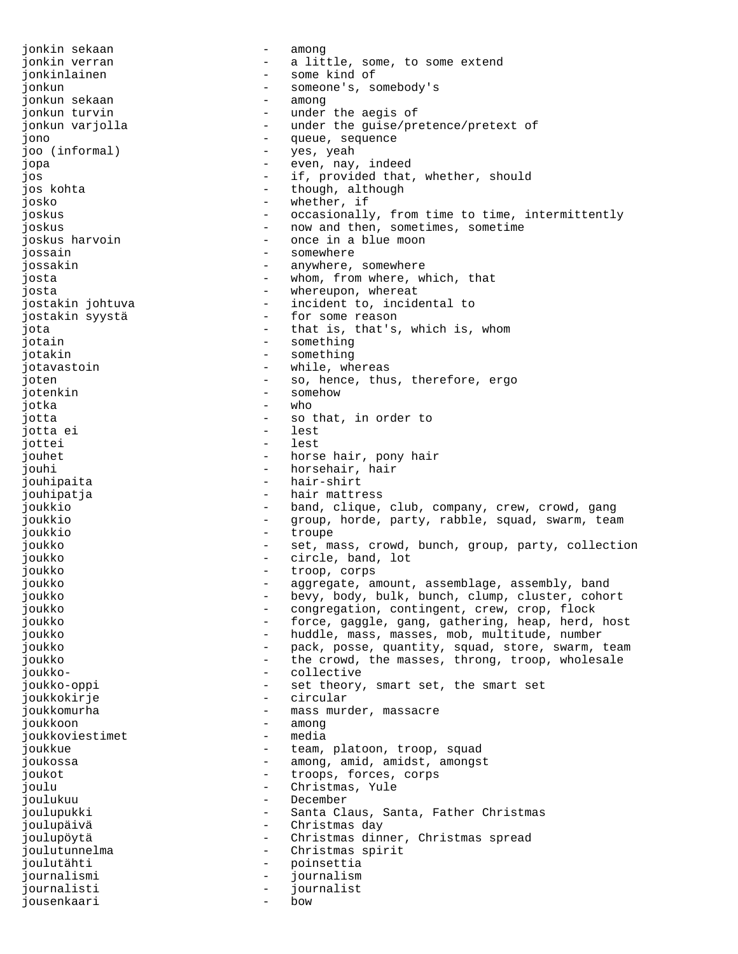jonkin sekaan di sekaan di sebagai sebagai sebagai seka jonkin verran a metal of the some extend of the some extend  $-$  a little, some, to some extend jonkinlainen 1988 - Some kind of jonkun - someone's, somebody's jonkun sekaan among - among jonkun turvin extended the aegis of jonkun varjolla  $\overline{a}$  - under the guise/pretence/pretext of jono - queue, sequence - yes, yeah<br>- eyen nav jopa - even, nay, indeed jos - if, provided that, whether, should jos kohta - though, although josko - whether, if joskus **-** occasionally, from time to time, intermittently joskus - now and then, sometimes, sometime<br>ioskus harvoin - once in a blue moon joskus harvoin - once in a blue moon jossain - somewhere jossakin - anywhere, somewhere<br>iosta josta - whom, from where, which, that<br>iosta - whereupon whereat josta  $-$  whereupon, whereat jostakin johtuva - incident to, incidental to jostakin syystä - for some reason jota - that is, that's, which is, whom jotain - something jotakin - something iotavastoin extended to the value of the value of the value of the value of the value of the value of the value of the value of the value of the value of the value of the value of the value of the value of the value of the joten - so, hence, thus, therefore, ergo jotenkin - somehow - somehow jotka - who jotta - so that, in order to jotta ei - lest jottei jouhet - horse hair, pony hair jouhi - horsehair, hair jouhipaita - hair-shirt jouhipatja - hair mattress joukkio - band, clique, club, company, crew, crowd, gang joukkio - group, horde, party, rabble, squad, swarm, team joukkio - troupe joukko - set, mass, crowd, bunch, group, party, collection joukko - circle, band, lot joukko - troop, corps joukko - aggregate, amount, assemblage, assembly, band joukko - bevy, body, bulk, bunch, clump, cluster, cohort joukko <a>>
- congregation, contingent, crew, crop, flock</a> joukko - force, gaggle, gang, gathering, heap, herd, host joukko - huddle, mass, masses, mob, multitude, number joukko - pack, posse, quantity, squad, store, swarm, team<br>ioukko - the crowd the masses throng troop wholesale joukko - the crowd, the masses, throng, troop, wholesale<br>ioukko- - collective joukko- - collective joukko-oppi - set theory, smart set, the smart set joukkokirje - circular joukkomurha - mass murder, massacre joukkoon - among joukkoviestimet - media joukkue - team, platoon, troop, squad joukossa - among, amid, amidst, amongst<br>ioukot joukot - troops, forces, corps<br>
- christmas Vule joulu - Christmas, Yule<br>ioulukuu - December joulukuu - December joulupukki - Santa Claus, Santa, Father Christmas joulupäivä - Christmas day joulupöytä - Christmas dinner, Christmas spread joulutunnelma - Christmas spirit joulutähti - poinsettia journalismi - journalism journalisti - journalist jousenkaari - bow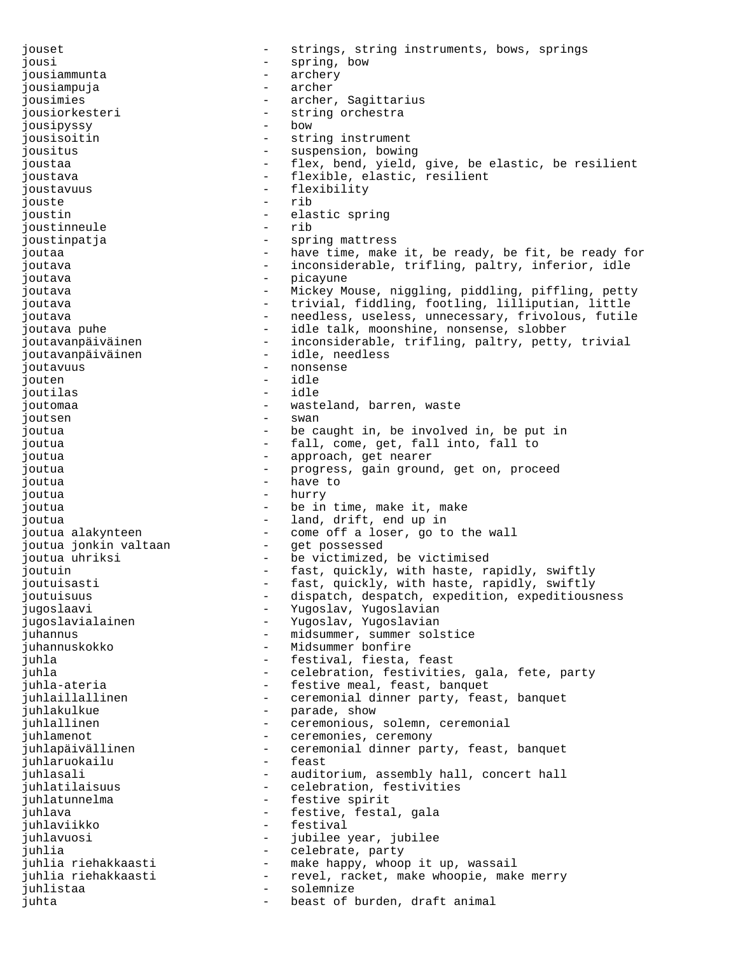jouset **-** strings, string instruments, bows, springs jousi - spring, bow jousiammunta - archery jousiampuja jousimies - archer, Sagittarius jousiorkesteri - string orchestra<br>iousipvssv - bow - bow jousipyssy jousisoitin - string instrument jousitus - suspension, bowing joustaa - flex, bend, yield, give, be elastic, be resilient joustava - flexible, elastic, resilient joustavuus - flexibility<br>iouste - rib jouste - rib joustin - elastic spring joustinneule - rib joustinpatja - spring mattress joutaa have time, make it, be ready, be fit, be ready for joutava - inconsiderable, trifling, paltry, inferior, idle joutava - picayune joutava - Mickey Mouse, niggling, piddling, piffling, petty joutava  $\qquad \qquad -$  trivial, fiddling, footling, lilliputian, little joutava entimates of the needless, useless, unnecessary, frivolous, futile joutava puhe  $\qquad \qquad - \qquad \text{idle talk, moon shine, nonsense, slobber}$ joutavanpäiväinen - inconsiderable, trifling, paltry, petty, trivial joutavanpäiväinen 1988 - idle, needless joutavuus - nonsense jouten - idle joutilas joutomaa - wasteland, barren, waste joutsen - swan joutua - be caught in, be involved in, be put in joutua - fall, come, get, fall into, fall to joutua - approach, get nearer joutua and the progress, gain ground, get on, proceed joutua - have to joutua - hurry joutua - be in time, make it, make joutua  $\qquad \qquad -$  land, drift, end up in joutua alakynteen - come off a loser, go to the wall<br>joutua jonkin valtaan - get possessed joutua jonkin valtaan joutua uhriksi  $-$  be victimized, be victimised joutuin  $-$  fast, quickly, with haste, rapidly, swiftly joutuisasti - fast, quickly, with haste, rapidly, swiftly joutuisuus expedition, expedition, expeditiousness jugoslaavi - Yugoslav, Yugoslavian jugoslavialainen - Yugoslav, Yugoslavian juhannus - midsummer, summer solstice juhannuskokko - Midsummer bonfire juhla - festival, fiesta, feast juhla  $-$  celebration, festivities, gala, fete, party juhla-ateria - festive meal, feast, banquet juhlaillallinen - ceremonial dinner party, feast, banquet juhlakulkue - parade, show juhlallinen - ceremonious, solemn, ceremonial juhlamenot - ceremonies, ceremony juhlapäivällinen - ceremonial dinner party, feast, banquet juhlaruokailu juhlasali - auditorium, assembly hall, concert hall juhlatilaisuus - celebration, festivities juhlatunnelma - festive spirit juhlava  $\qquad \qquad -$  festive, festal, gala juhlaviikko - festival juhlavuosi - jubilee year, jubilee juhlia  $-$  celebrate, party juhlia riehakkaasti - make happy, whoop it up, wassail juhlia riehakkaasti revel, racket, make whoopie, make merry juhlistaa - solemnize juhta - beast of burden, draft animal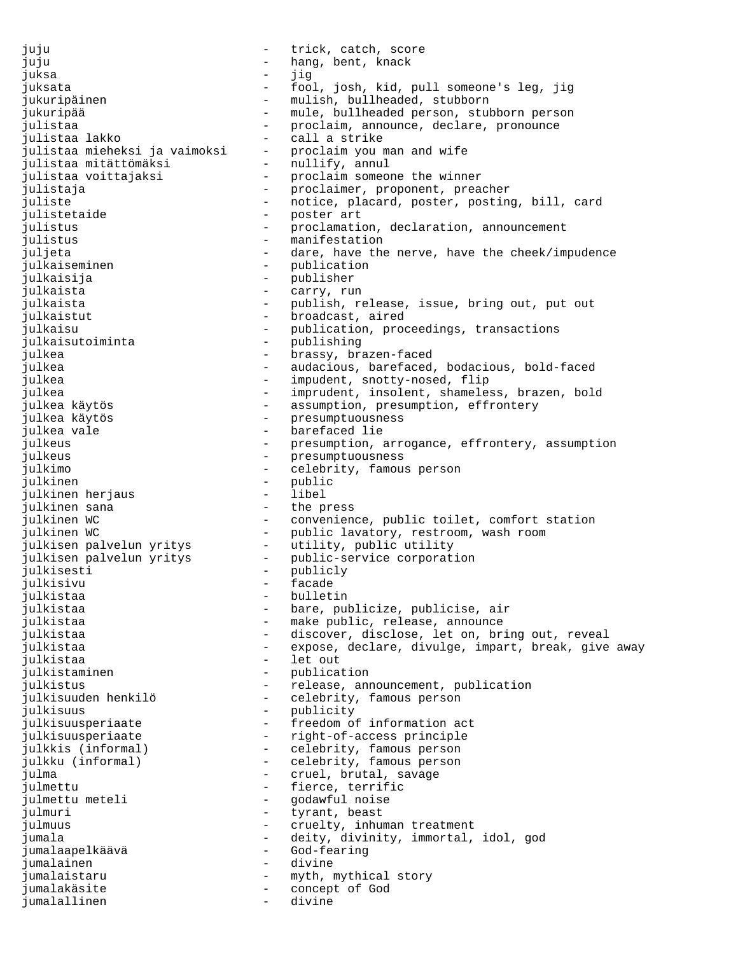juju  $-$  trick, catch, score juju - hang, bent, knack juksa - jig juksata - fool, josh, kid, pull someone's leg, jig jukuripäinen - mulish, bullheaded, stubborn jukuripää - mule, bullheaded person, stubborn person julistaa - proclaim, announce, declare, pronounce<br>julistaa lakko - call a strike - call a strike<br>- proclaim you man and wife julistaa mieheksi ja vaimoksi - proclaim you man and wife julistaa mitättömäksi - nullify, annul julistaa voittajaksi - proclaim someone the winner julistaja - proclaimer, proponent, preacher juliste - notice, placard, poster, posting, bill, card julistetaide - poster art julistus - proclamation, declaration, announcement julistus - manifestation<br>iulieta - dare have the juljeta - dare, have the nerve, have the cheek/impudence<br>julkaiseminen - publication julkaiseminen - publication - publication - publication - publication - publication - publication - publicatio<br>The publication - publication - publication - publication - publication - publication - publication - publicat julkaisija - publisher julkaista - carry, run julkaista - publish, release, issue, bring out, put out julkaistut - broadcast, aired julkaisu - publication, proceedings, transactions<br>iulkaisutoiminta - sublishing julkaisutoiminta - publishing julkea - brassy, brazen-faced julkea - audacious, barefaced, bodacious, bold-faced julkea - impudent, snotty-nosed, flip julkea - imprudent, insolent, shameless, brazen, bold julkea käytös - assumption, presumption, effrontery julkea käytös - presumptuousness julkea vale  $\qquad \qquad$  - barefaced lie julkeus - presumption, arrogance, effrontery, assumption<br>iulkeus - presumptuousness julkeus - presumptuousness<br>iulkimo - celebrity famou julkimo - celebrity, famous person julkinen - public julkinen herjaus<br>julkinen sana julkinen sana  $\frac{1}{100}$  - the press julkinen WC - convenience, public toilet, comfort station - public lavatory, restroom, wash room<br>- utility, public utility julkisen palvelun yritys automoniatiky, public utility - public-service corporation<br>- publicly julkisesti - publicly julkisivu - facade julkistaa - bulletin julkistaa - bare, publicize, publicise, air julkistaa - make public, release, announce julkistaa - discover, disclose, let on, bring out, reveal julkistaa - expose, declare, divulge, impart, break, give away julkistaa - let out julkistaminen - publication julkistus external release, announcement, publication julkisuuden henkilö - celebrity, famous person julkisuus - publicity julkisuusperiaate - freedom of information act julkisuusperiaate - right-of-access principle julkkis (informal) - celebrity, famous person julkku (informal) - celebrity, famous person julma - cruel, brutal, savage julmettu - fierce, terrific<br>iulmettu meteli - qodawful noise julmettu meteli - godawful noise<br>iulmuri - tyrant heast julmuri - tyrant, beast julmuus - cruelty, inhuman treatment jumala - deity, divinity, immortal, idol, god jumalaapelkäävä - God-fearing jumalainen - divine jumalaistaru - myth, mythical story jumalakäsite - concept of God jumalallinen - divine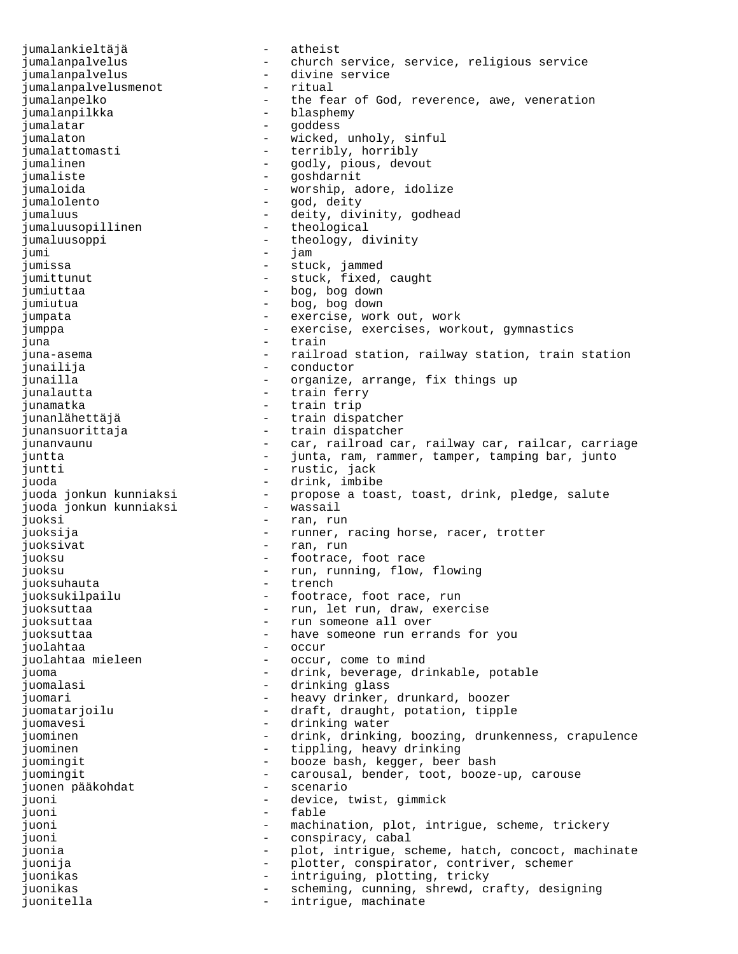jumalankieltäjä - atheist jumalanpalvelus - church service, service, religious service jumalanpalvelus - divine service<br>iumalanpalvelusmenot - ritual jumalanpalvelusmenot jumalanpelko  $-$  the fear of God, reverence, awe, veneration jumalanpilkka - blasphemy jumalatar - goddess jumalaton - wicked, unholy, sinful<br>jumalattomasti - terribly, horribly - terribly, horribly jumalinen 1988 - godly, pious, devout jumaliste - goshdarnit jumaloida - worship, adore, idolize jumalolento - god, deity jumaluus - deity, divinity, godhead jumaluusopillinen - theological<br>iumaluusoppi jumaluusoppi - theology, divinity jumi - jam jumissa - stuck, jammed jumittunut - stuck, fixed, caught jumiuttaa  $\qquad \qquad -$  bog, bog down jumiutua - bog, bog down jumpata - exercise, work out, work jumppa - exercise, exercises, workout, gymnastics juna - train juna-asema - railroad station, railway station, train station junailija - conductor junailla - organize, arrange, fix things up junalautta - train ferry junamatka - train trip junanlähettäjä - train dispatcher junansuorittaja - train dispatcher junanvaunu - car, railroad car, railway car, railcar, carriage juntta  $-$  junta, ram, rammer, tamper, tamping bar, junto juntti  $-$  rustic, jack juoda<br>juoda jonkun kunniaksi propose a toa: - propose a toast, toast, drink, pledge, salute<br>- wassail juoda jonkun kunniaksi juoksi - ran, run juoksija <br />  $\begin{array}{ccc} - &$  runner, racing horse, racer, trotter juoksivat - ran, run juoksu - footrace, foot race juoksu - run, running, flow, flowing<br>iuoksuhauta - rench - trench juoksuhauta juoksukilpailu - footrace, foot race, run juoksuttaa - run, let run, draw, exercise juoksuttaa  $\qquad \qquad -$  run someone all over juoksuttaa - have someone run errands for you juolahtaa - occur juolahtaa mieleen - - occur, come to mind juoma - drink, beverage, drinkable, potable juomalasi - drinking glass juomari **1988** - heavy drinker, drunkard, boozer juomatarjoilu  $-$  draft, draught, potation, tipple juomavesi  $-$  drinking water juominen - drink, drinking, boozing, drunkenness, crapulence juominen - tippling, heavy drinking juomingit <a>>
->
booze bash, kegger, beer bash</a> juomingit - carousal, bender, toot, booze-up, carouse<br>iuonen pääkohdat - scenario juonen pääkohdat<br>juoni juoni - device, twist, gimmick - fable juoni - machination, plot, intrigue, scheme, trickery juoni - conspiracy, cabal juonia - plot, intrigue, scheme, hatch, concoct, machinate juonija - plotter, conspirator, contriver, schemer juonikas - intriguing, plotting, tricky juonikas - scheming, cunning, shrewd, crafty, designing juonitella - intrigue, machinate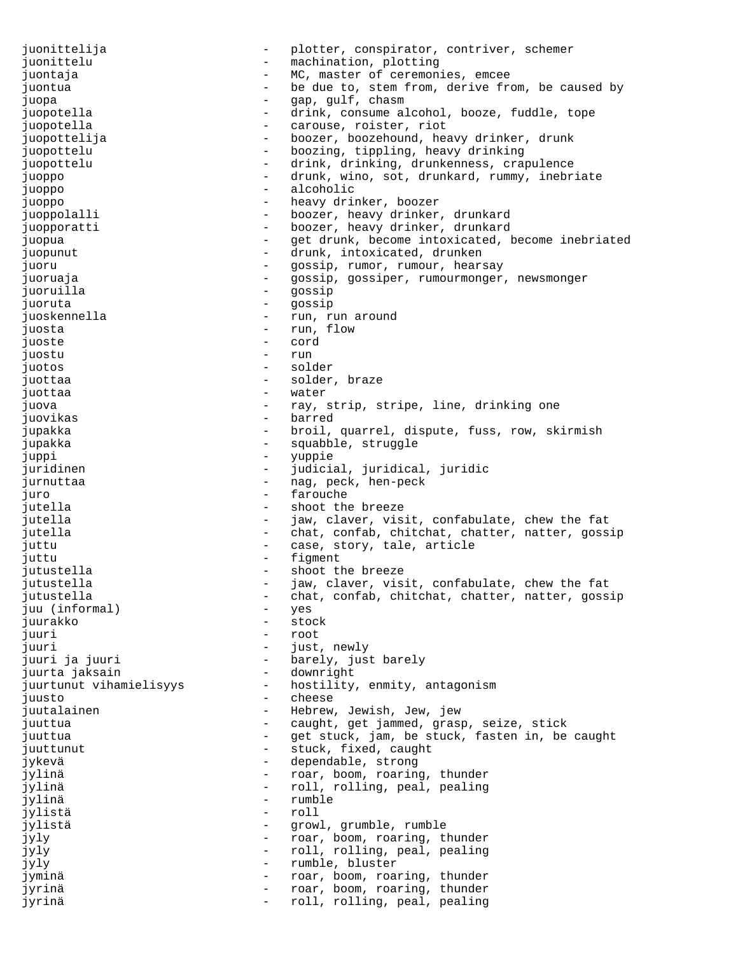juonittelija - plotter, conspirator, contriver, schemer juonittelu  $-$  machination, plotting juontaja - MC, master of ceremonies, emcee juontua  $-$  be due to, stem from, derive from, be caused by juopa - gap, gulf, chasm juopotella - chomos - drink, consume alcohol, booze, fuddle, tope juopotella - carouse, roister, riot juopottelija - boozer, boozehound, heavy drinker, drunk juopottelu - boozing, tippling, heavy drinking juopottelu - drink, drinking, drunkenness, crapulence juoppo - drunk, wino, sot, drunkard, rummy, inebriate juoppo - alcoholic juoppo - heavy drinker, boozer juoppolalli - boozer, heavy drinker, drunkard juopporatti - boozer, heavy drinker, drunkard<br>iuopua juopua - get drunk, become intoxicated, become inebriated juopunut - drunk, intoxicated, drunken juoru - gossip, rumor, rumour, hearsay juoruaja - gossip, gossiper, rumourmonger, newsmonger juoruilla - gossip juoruta - gossip juoskennella - run, run around juosta - run, flow juoste - cord juostu - run juotos - solder juottaa - solder, braze juottaa - water juova **1988** - ray, strip, stripe, line, drinking one juovikas - barred jupakka - broil, quarrel, dispute, fuss, row, skirmish jupakka - squabble, struggle juppi - yuppie juridinen 1988 - judicial, juridical, juridic jurnuttaa - 1000 - 1000 - 1000 - 1000 - 1000 - 1000 - 1000 - 1000 - 1000 - 1000 - 1000 - 1000 - 1000 - 1000 - 1 juro - farouche jutella - shoot the breeze jutella  $-$  jaw, claver, visit, confabulate, chew the fat jutella  $-$  chat, confab, chitchat, chatter, natter, gossip juttu  $\qquad \qquad -$  case, story, tale, article juttu - figment jutustella - shoot the breeze<br>jutustella - shoot the breeze jaw, claver, visit, confabulate, chew the fat jutustella - chat, confab, chitchat, chatter, natter, gossip<br>iuu (informal) - yes juu (informal) juurakko - stock juuri - root<br>juuri - just juuri - just, newly - barely, just barely<br>- downright juurta jaksain juurtunut vihamielisyys and the hostility, enmity, antagonism juusto - cheese juutalainen - Hebrew, Jewish, Jew, jew juuttua - caught, get jammed, grasp, seize, stick juuttua - get stuck, jam, be stuck, fasten in, be caught juuttunut - stuck, fixed, caught<br>
ivkevä jykevä - dependable, strong jylinä  $-$  roar, boom, roaring, thunder jylinä  $-$  roll, rolling, peal, pealing jylinä - rumble jylistä - roll jylistä - growl, grumble, rumble jyly - roar, boom, roaring, thunder jyly  $-$  roll, rolling, peal, pealing jyly - rumble, bluster jyminä - roar, boom, roaring, thunder jyrinä  $-$  roar, boom, roaring, thunder jyrinä  $-$  roll, rolling, peal, pealing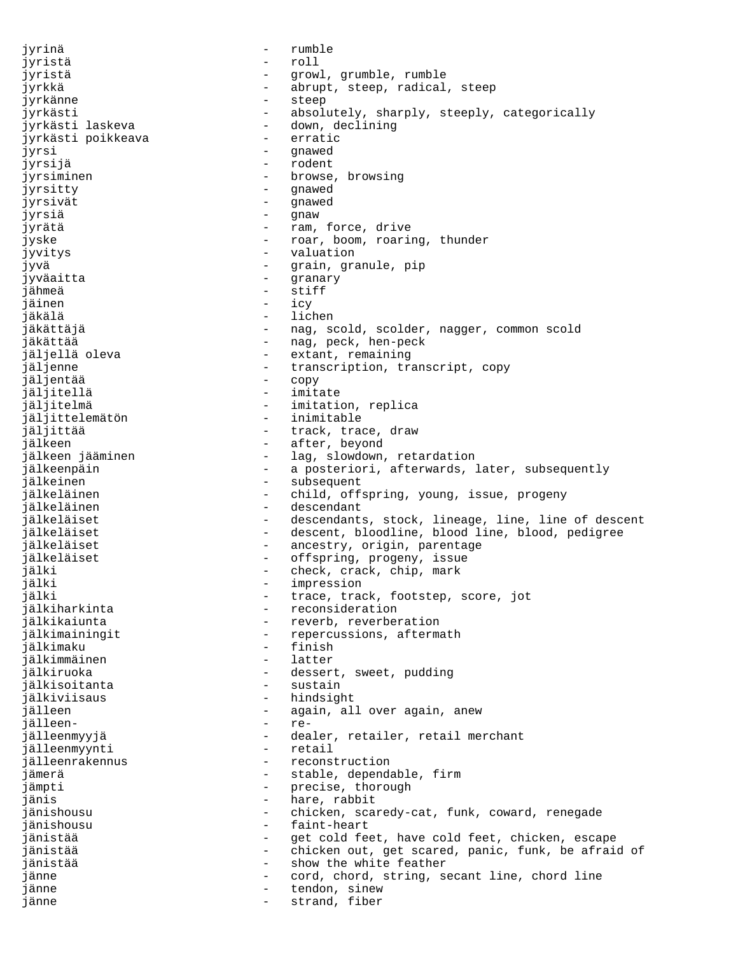jyrinä - rumble jyristä - roll jyristä - growl, grumble, rumble jyrkkä - abrupt, steep, radical, steep jyrkänne<br>jyrkästi jyrkästi - absolutely, sharply, steeply, categorically<br>jyrkästi laskeva - down, declining - down, declining<br>- erratic jyrkästi poikkeava - erraticiensi - erraticiensi - erraticiensi - erraticiensi - erraticiensi - erraticiensi -<br>erraticiensis jyrsi - gnawed jyrsijä - rodent jyrsiminen en andere browse, browsing -<br>jyrsitty - gnawed<br>jyrsivät - gnawed - gnawed jyrsiä - gnaw jyrätä - ram, force, drive jyske  $-$  roar, boom, roaring, thunder jyvitys - valuation jyvä - grain, granule, pip jyväaitta - granary jähmeä - stiffen - stiffen - stiffen - stiffen - stiffen - stiffen - stiffen - stiffen - stiffen - stiffen - s<br>jäännen jäinen - icy - lichen jäkättäjä  $-$  nag, scold, scolder, nagger, common scold jäkättää - nag, peck, hen-peck jäljellä oleva  $\qquad \qquad -$  extant, remaining jäljenne - transcription, transcript, copy jäljentää - copy jäljitellä imitatellä internettiin teolloisia valtalainen valtalainen valtalainen valtalainen valtalainen valt jäljitelmä - imitation, replica jäljittelemätön - inimitable track, trace, draw jälkeen is after, beyond<br>jälkeen jääminen 1988 – lag, slowdown jälkeen jääminen  $\begin{array}{ccc} - & \text{lag, slowdown, retardation} \\ \text{jälkeenpäin & - & \text{a posteriori, afterwards,}\end{array}$ jälkeenpäin - a posteriori, afterwards, later, subsequently - subsequent jälkeläinen 1988 - child, offspring, young, issue, progeny jälkeläinen 1988 – descendant jälkeläiset - descendants, stock, lineage, line, line of descent jälkeläiset - descent, bloodline, blood line, blood, pedigree jälkeläiset - ancestry, origin, parentage jälkeläiset - offspring, progeny, issue jälki - check, crack, chip, mark jälki - impression jälki - trace, track, footstep, score, jot jälkiharkinta - reconsideration jälkikaiunta - reverb, reverberation jälkimainingit - repercussions, aftermath<br>jälkimaku - finish - finish<br>- latter jälkimmäinen jälkiruoka - - dessert, sweet, pudding jälkisoitanta - sustain jälkiviisaus **-** hindsight jälleen - again, all over again, anew jälleen- - rejälleenmyyjä dealer, retailer, retail merchant<br>iälleenmyynti retail jälleenmyynti - retail jälleenrakennus - reconstruction jämerä - stable, dependable, firm - precise, thorough jänis - hare, rabbit<br>
iänishousu - hare, rabbit jänishousu - chicken, scaredy-cat, funk, coward, renegade jänishousu - faint-heart - get cold feet, have cold feet, chicken, escape jänistää  $-$  chicken out, get scared, panic, funk, be afraid of jänistää - show the white feather jänne and the cord, chord, string, secant line, chord line jänne  $-$  tendon, sinew jänne - strand, fiber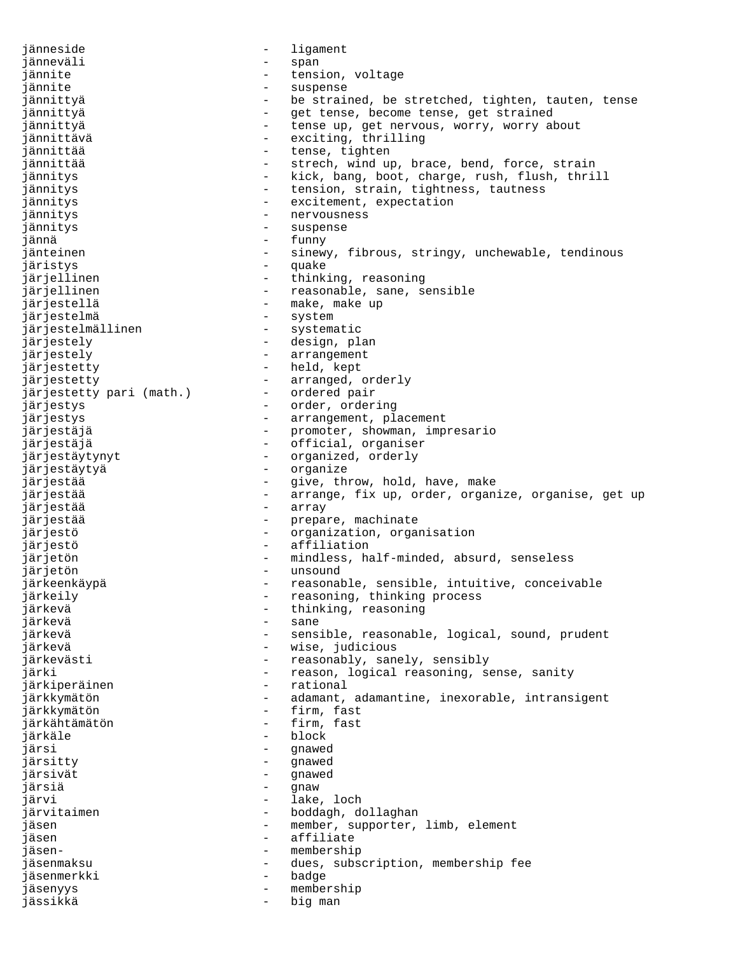jänneside - ligament jänneväli - span jännite - tension, voltage<br>jännite - tension, voltage suspense jännittyä  $-$  be strained, be stretched, tighten, tauten, tense jännittyä  $-$  get tense, become tense, get strained jännittyä - tense up, get nervous, worry, worry about jännittävä - exciting, thrilling<br>jännittää - - - - - - - - - - - - - tense, tighten jännittää - tense, tighten - strech, wind up, brace, bend, force, strain jännitys - kick, bang, boot, charge, rush, flush, thrill jännitys - tension, strain, tightness, tautness jännitys - excitement, expectation jännitys - nervousness jännitys - suspense jännä - funny jänteinen automaar - sinewy, fibrous, stringy, unchewable, tendinous järistys - quake järjellinen 1988 - thinking, reasoning järjellinen en mensuaren aller en measonable, sane, sensible järjestellä  $-$  make, make up järjestelmä - system järjestelmällinen järjestely - design, plan järjestely - arrangement järjestetty - held, kept järjestetty - arranged, orderly järjestetty pari (math.) järjestys <br />
- order, ordering<br />
- order<br />
- order<br />
- order<br />
- order<br />
- order<br />
- order<br />
- order<br /><br />
- order<br /><br />
- order<br /><br /><br /><br /><br /><br /><br /><br /><b järjestys en metalliset van de van de van de van de van de van de van de van de van de van de van de van de va järjestäjä - promoter, showman, impresario<br>järjestäjä - - official organiser järjestäjä  $-$  official, organiser järjestäytynyt - organized, orderly järjestäytyä - organize järjestää - give, throw, hold, have, make järjestää - arrange, fix up, order, organize, organise, get up järjestää - array järjestää  $-$  prepare, machinate järjestö - organization, organisation järjestö - affiliation järjetön - mindless, half-minded, absurd, senseless järjetön - unsound järkeenkäypä - reasonable, sensible, intuitive, conceivable järkeily **-** reasoning, thinking process järkevä - thinking, reasoning järkevä - sane järkevä - sensible, reasonable, logical, sound, prudent - wise, judicious järkevästi - reasonably, sanely, sensibly järki - reason, logical reasoning, sense, sanity järkiperäinen 1980 - Tational järkkymätön - adamant, adamantine, inexorable, intransigent järkkymätön - firm, fast järkähtämätön järkäle - block järsi - gnawed järsitty - gnawed järsivät - gnawed järsiä - gnaw - lake, loch järvitaimen 1988 - boddagh, dollaghan<br>jäsen 1988 - member, supporter, - member, supporter, limb, element jäsen - affiliate jäsen- - membership jäsenmaksu - dues, subscription, membership fee<br>jäsenmerkki - badge - badge jäsenmerkki jäsenyys - membership jässikkä - big man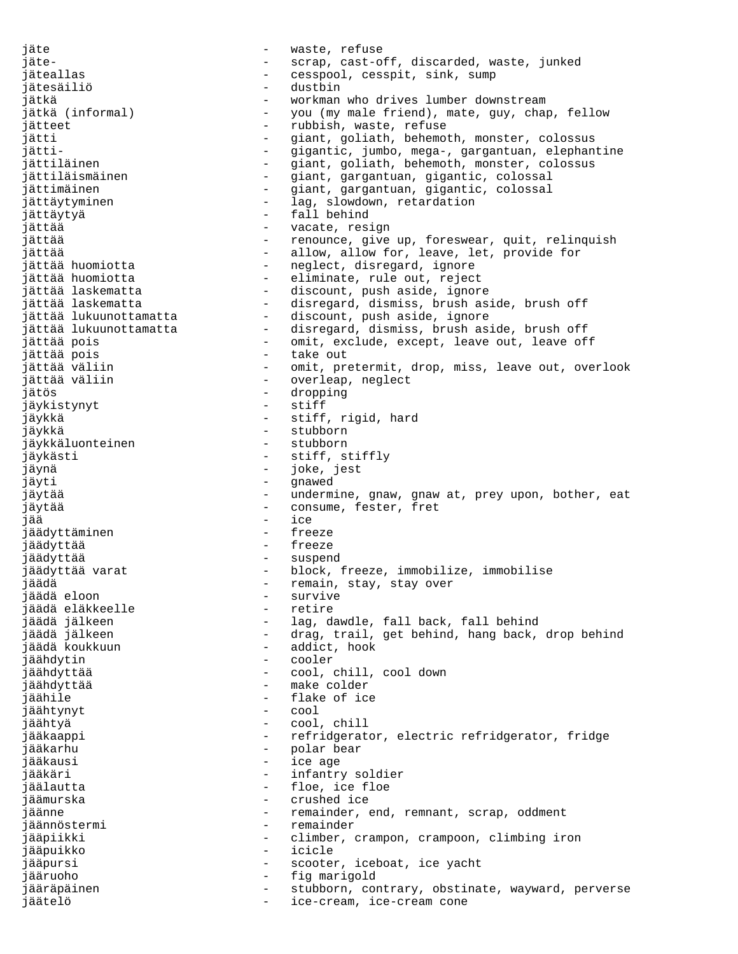jäte - waste, refuse jäte- - scrap, cast-off, discarded, waste, junked jäteallas - cesspool, cesspit, sink, sump jätesäiliö - dustbin jätkä - workman who drives lumber downstream - you (my male friend), mate, guy, chap, fellow jätteet - rubbish, waste, refuse<br>jätti - rubbish, waste, refuse jätti - giant, goliath, behemoth, monster, colossus<br>jätti- - sigantic, jumbo, mega-, gargantuan, elephan gigantic, jumbo, mega-, gargantuan, elephantine jättiläinen 1988 - giant, goliath, behemoth, monster, colossus jättiläismäinen 1988 - giant, gargantuan, gigantic, colossal jättimäinen 1988 - giant, gargantuan, gigantic, colossal jättäytyminen ettellisteen vallag, slowdown, retardation jättäytyä - fall behind jättää - vacate, resign jättää  $-$  renounce, give up, foreswear, quit, relinquish jättää - allow, allow for, leave, let, provide for jättää huomiotta - neglect, disregard, ignore jättää huomiotta - eliminate, rule out, reject jättää laskematta - discount, push aside, ignore jättää laskematta disregard, dismiss, brush aside, brush off<br>jättää lukuunottamatta discount, push aside, ignore jättää lukuunottamatta - discount, push aside, ignore jättää lukuunottamatta - disregard, dismiss, brush aside, brush off jättää pois - omit, exclude, except, leave out, leave off jättää pois - take out - omit, pretermit, drop, miss, leave out, overlook jättää väliin  $\qquad \qquad$  - overleap, neglect jätös - dropping jäykistynyt - stiff jäykkä - stiff, rigid, hard jäykkä - stubborn jäykkäluonteinen jäykästi - stiff, stiffly<br>jäynä jäynä - joke, jest jäyti - gnawed jäytää - undermine, gnaw, gnaw at, prey upon, bother, eat - consume, fester, fret jää - ice<br>iäädvttäminen - ice<br>iäädvttäminen - freeze jäädyttäminen jäädyttää - freeze jäädyttää - suspend - block, freeze, immobilize, immobilise jäädä - remain, stay, stay over jäädä eloon - survive jäädä eläkkeelle<br>jäädä jälkeen jäädä jälkeen - lag, dawdle, fall back, fall behind jäädä jälkeen - drag, trail, get behind, hang back, drop behind - addict, hook jäähdytin - cooler jäähdyttää - cool, chill, cool down jäähdyttää - make colder jäähile - flake of ice jäähtynyt - cool jäähtyä - cool, chill jääkaappi - refridgerator, electric refridgerator, fridge jääkarhu - polar bear<br>jääkausi - polar bear - joe age jääkausi - ice age jääkäri - infantry soldier jäälautta - floe, ice floe jäämurska - crushed ice jäänne 1988 - remainder, end, remnant, scrap, oddment jäännöstermi - remainder jääpiikki - climber, crampon, crampoon, climbing iron jääpuikko - icicle jääpursi - scooter, iceboat, ice yacht jääruoho - fig marigold jääräpäinen 1988 - stubborn, contrary, obstinate, wayward, perverse jäätelö - ice-cream, ice-cream cone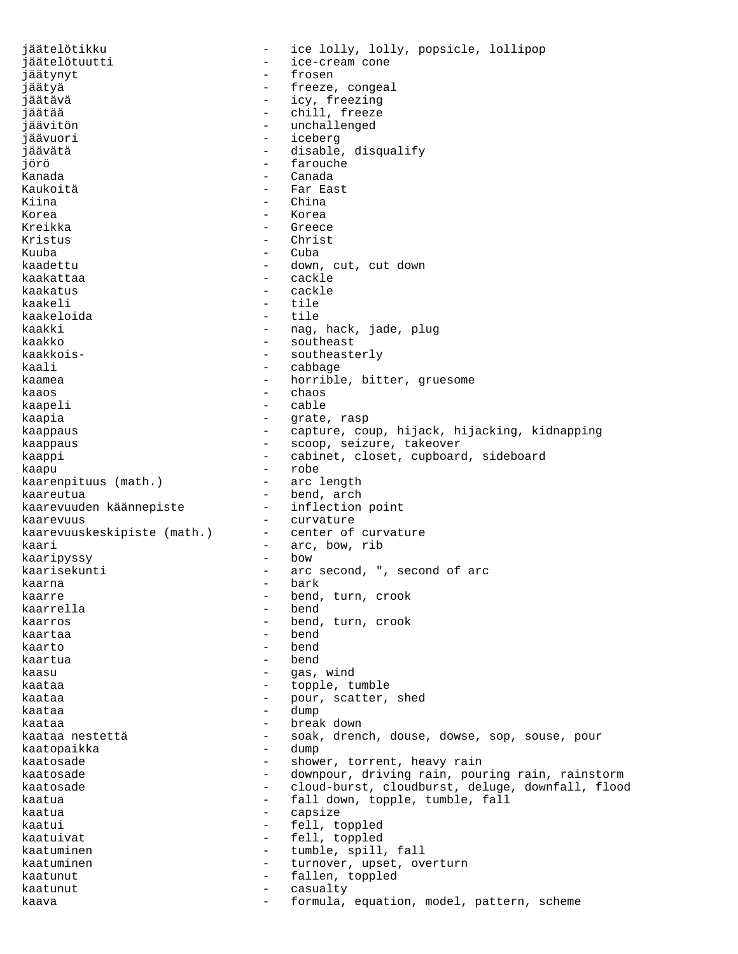jäätelötikku - ice lolly, lolly, popsicle, lollipop jäätelötuutti - ice-cream cone jäätynyt - frosen jäätyä - freeze, congeal jäätävä - icy, freezing jäätää - chill, freeze jäävitön - unchallenged jäävuori - iceberg - disable, disqualify jörö - farouche Kanada - Canada Kaukoitä - Far East - China Korea - Korea Kreikka - Greece - Greece Kristus - Christ Kuuba - Cuba - Cuba - Cuba - Cuba - Cuba - Cuba - Cuba - Cuba - Cuba - Cuba - Cuba - Cuba - Cuba - Cuba - Cuba kaadettu - down, cut, cut down kaakattaa - cackle kaakatus<br>kaakeli - tile<br>- tile kaakeloida kaakki - nag, hack, jade, plug kaakko - southeast kaakkois-<br>
- southeasterly kaali - cabbage - cabbage kaamea - horrible, bitter, gruesome<br>kaaos - chaos - chaos kaaos - chaos - chaos kaapeli - cable - grate, rasp kaappaus - capture, coup, hijack, hijacking, kidnapping kaappaus - scoop, seizure, takeover kaappi - cabinet, closet, cupboard, sideboard kaapu - robe kaarenpituus (math.) kaareutua<br>kaarevuuden käännepiste inflection point kaarevuuden käännepiste kaarevuus - curvature kaarevuuskeskipiste (math.) - center of curvature kaari - arc, bow, rib - arc, bow, rib - arc, bow, rib - bow kaaripyssy kaarisekunti - arc second, ", second of arc kaarna - bark kaarre - bend, turn, crook<br>kaarrella - bend - bend kaarrella kaarros - bend, turn, crook kaartaa - bend kaarto - bend kaartua - bend kaasu - gas, wind kaataa  $\qquad \qquad - \qquad \text{topple, tumble}$ kaataa - pour, scatter, shed kaataa - dump kaataa  $-$  break down kaataa nestettä - soak, drench, douse, dowse, sop, souse, pour<br>kaatopaikka kaatopaikka - dump<br>kaatosade - kabuu kaatosade - shower, torrent, heavy rain kaatosade - - downpour, driving rain, pouring rain, rainstorm kaatosade - cloud-burst, cloudburst, deluge, downfall, flood kaatua - fall down, topple, tumble, fall kaatua - capsize kaatui - fell, toppled kaatuivat - fell, toppled kaatuminen 1988 - Kumble, spill, fall kaatuminen 1988 - turnover, upset, overturn kaatunut - fallen, toppled kaatunut - casualty kaava  $-$  formula, equation, model, pattern, scheme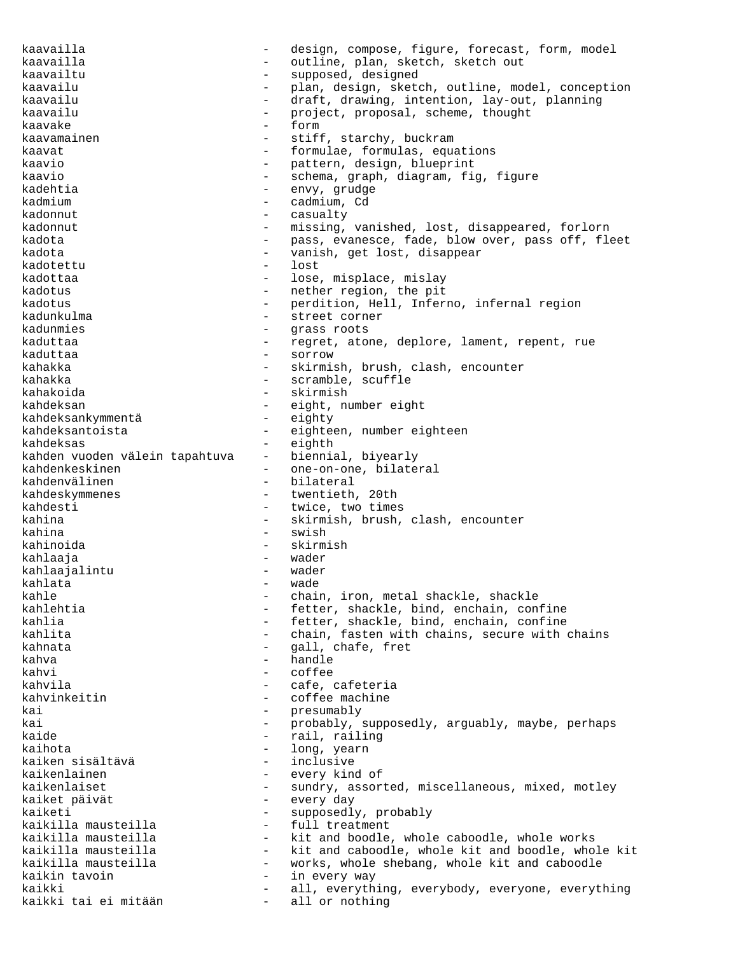kaavailla - design, compose, figure, forecast, form, model kaavailla - outline, plan, sketch, sketch out<br>
kaavailtu - supposed designed kaavailtu - supposed, designed kaavailu - plan, design, sketch, outline, model, conception kaavailu - draft, drawing, intention, lay-out, planning kaavailu - project, proposal, scheme, thought kaavake - form kaavamainen 1988 - Stiff, starchy, buckram kaavat  $-$  formulae, formulas, equations kaavio - pattern, design, blueprint kaavio  $-$  schema, graph, diagram, fig, figure kadehtia  $-$  envy, grudge kadmium - cadmium, Cd kadonnut - casualty kadonnut - missing, vanished, lost, disappeared, forlorn kadota - pass, evanesce, fade, blow over, pass off, fleet<br>kadota - vanish get lost disannear kadota - vanish, get lost, disappear kadotettu kadottaa  $\qquad \qquad -$  lose, misplace, mislay kadotus - nether region, the pit<br>kadotus - nerdition, Hell, Infer - perdition, Hell, Inferno, infernal region kadunkulma - street corner - grass roots kaduttaa - regret, atone, deplore, lament, repent, rue kaduttaa - sorrow kahakka - skirmish, brush, clash, encounter kahakka - scramble, scuffle kahakoida - skirmish kahdeksan - eight, number eight<br>kahdeksan kymmentä - eighty - eighty kahdeksankymmentä kahdeksantoista - eighteen, number eighteen kahdeksas - eighth kahden vuoden välein tapahtuva - biennial, biyearly kahdenkeskinen - one-on-one, bilateral kahdenvälinen - bilateral kahdeskymmenes - twentieth, 20th kahdesti - twice, two times<br>kahina - skirmish, brush, - skirmish, brush, clash, encounter kahina  $-$  swish kahinoida - skirmish kahlaaja - wader - wader<br>kahlaajalintu - - wader kahlaajalintu - wader kahlata - wade kahle - chain, iron, metal shackle, shackle<br>kahlehtia - chain, iron, metal shackle, shackle, shackin, con kahlehtia - fetter, shackle, bind, enchain, confine<br>kahlia - fetter, shackle, bind, enchain, confine kahlia - fetter, shackle, bind, enchain, confine<br>kahlita - chain fasten with chains secure with - chain, fasten with chains, secure with chains kahnata  $-$  gall, chafe, fret kahva - handle kahvi - coffee kahvila  $\qquad \qquad -$  cafe, cafeteria kahvinkeitin - coffee machine kai - presumably - presumably<br>kai - probably - probably kai  $-$  probably, supposedly, arguably, maybe, perhaps kaide - rail, railing kaihota - long, yearn<br>kaiken sisältävä - inclusive kaiken sisältävä<br>kaikenlainen kaikenlainen 1988 - every kind of<br>
kaikenlaiset 1988 - every kind of - sundry, assorted, miscellaneous, mixed, motley kaiket päivät  $-$  every day kaiketi - supposedly, probably<br>kaikilla mausteilla - full treatment kaikilla mausteilla - full treatment kaikilla mausteilla kit and boodle, whole caboodle, whole works kaikilla mausteilla kit and caboodle, whole kit and boodle, whole kit kaikilla mausteilla works, whole shebang, whole kit and caboodle kaikin tavoin  $-$  in every way kaikki - all, everything, everybody, everyone, everything<br>kaikki tai ei mitään - all or nothing - all or nothing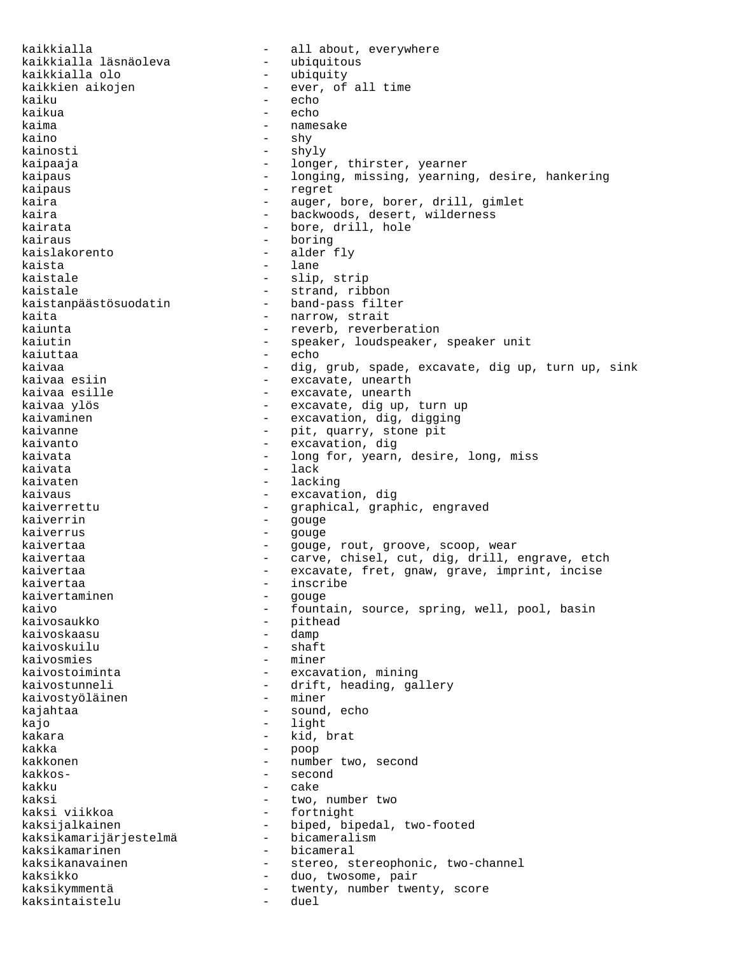kaikkialla - all about, everywhere kaikkialla läsnäoleva ubiquitous<br>kaikkialla olo ubiquity kaikkialla olo kaikkien aikojen  $-$  ever, of all time kaiku - echo - echo - echo - echo - echo - echo - echo - echo - echo - echo - echo - echo - echo - echo - echo kaikua<br>kaima kaima - namesake - namesake - namesake - namesake - namesake - namesake - namesake - namesake - namesake - namesake - namesake - namesake - namesake - namesake - namesake - namesake - namesake - namesake - namesake - names - shy kainosti - shyly kaipaaja - longer, thirster, yearner kaipaus - longing, missing, yearning, desire, hankering<br>kaipaus - reqret - regret kaira - auger, bore, borer, drill, gimlet kaira  $-$  backwoods, desert, wilderness kairata  $-$  bore, drill, hole kairaus - boring<br>kaislakorento - alder fly kaislakorento - alder flywol - alder flywol kaista  $-$  lane kaistale - slip, strip kaistale - strand, ribbon<br>kaistanpäästösuodatin - - - - band-pass filt - band-pass filter kaita  $-$  narrow, strait kaiunta - reverb, reverberation kaiutin - speaker, loudspeaker, speaker unit kaiuttaa - echo kaivaa - dig, grub, spade, excavate, dig up, turn up, sink kaivaa esiin  $\sim$  - excavate, unearth kaivaa esille  $\qquad \qquad$  - excavate, unearth kaivaa ylös - excavate, dig up, turn up kaivaminen excavation, dig, digging kaivanne - pit, quarry, stone pit<br>
kaivanto kaivanto  $-$  excavation, dig kaivata - long for, yearn, desire, long, miss kaivata - lack kaivaten  $\qquad \qquad -$  lacking kaivaus - excavation, dig kaiverrettu - graphical, graphic, engraved<br>
kaiverrin - gouge kaiverrin - qouqe kaiverrus - gouge kaivertaa - gouge, rout, groove, scoop, wear kaivertaa - carve, chisel, cut, dig, drill, engrave, etch kaivertaa - excavate, fret, gnaw, grave, imprint, incise kaivertaa - inscribe<br>kaivertaminen - souge kaivertaminen en andere en andere gouge kaivo - fountain, source, spring, well, pool, basin - pithead<br>- damp kaivoskaasu - damp - damp - damp - damp - damp - damp - damp - damp - damp - damp - damp - damp - damp - damp - damp - damp - damp - damp - damp - damp - damp - damp - damp - damp - damp - damp - damp - damp - damp - damp kaivoskuilu kaivosmies - miner kaivostoiminta - excavation, mining kaivostunneli - drift, heading, gallery<br>kaivostvöläinen - miner - miner kaivostyöläinen - miner kajahtaa  $\qquad \qquad -$  sound, echo kajo - light kakara  $-$  kid, brat kakka - poop kakkonen 1988 - Kakkonen 1989 - Kakkonen 1989 - Kakkonen 1989 - Kakkonen 1989 - Kakkonen 1989 - Kakasas 1989 kakkos- - second - cake kaksi  $\alpha$  is two, number two kaksi viikkoa - fortnight kaksijalkainen - biped, bipedal, two-footed<br>kaksikamarijärjestelmä - bicameralism kaksikamarijärjestelmä kaksikamarinen 1988 - bicameral kaksikanavainen en en metallistereo, stereophonic, two-channel kaksikko  $-$  duo, twosome, pair kaksikymmentä - twenty, number twenty, score kaksintaistelu - duel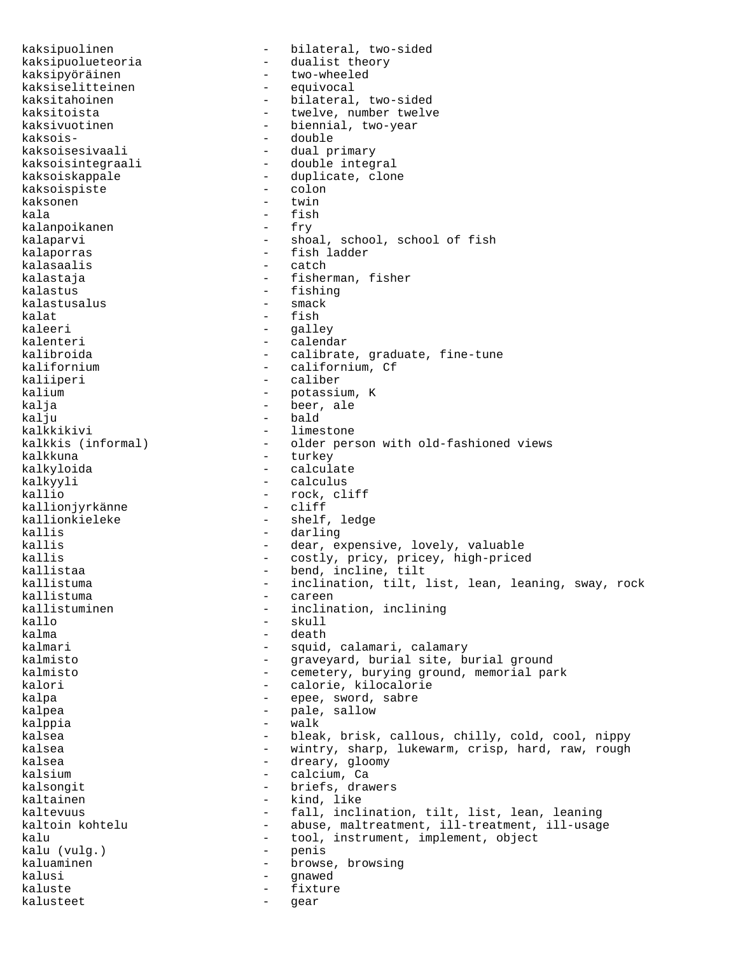kaksipuolinen - bilateral, two-sided kaksipuolueteoria - dualist theory kaksipyöräinen - two-wheeled<br>kaksiselitteinen - equivocal kaksiselitteinen kaksitahoinen - bilateral, two-sided kaksitoista - twelve, number twelve<br>kaksivuotinen - biennial, two-year kaksivuotinen - biennial, two-year<br>kaksois- - double - double kaksois- - double - dual primary kaksoisintegraali - double integral kaksoiskappale - duplicate, clone<br>kaksoispiste - colon kaksoispiste kaksonen  $-$  twin kala - fish - fish - fish - fish - fish - fish - fish - fish - fish - fish - fish - fish - fish - fish - fish - fish - fish - fish - fish - fish - fish - fish - fish - fish - fish - fish - fish - fish - fish - fish - fish kalanpoikanen kalaparvi - shoal, school, school of fish kalaporras - fish ladder kalasaalis kalastaja - fisherman, fisher kalastus - fishing<br>kalastusalus - mack - mack kalastusalus<br>kalat kalat - fish<br>kaleeri - aall kaleeri - galley<br>kalenteri - calend kalenteri - calendar kalibroida - calibrate, graduate, fine-tune<br>
kalifornium - californium Cf - californium, Cf kaliiperi - caliber kalium - potassium, K kalja - beer, ale kalju - bald<br>kalkkikivi - limes kalkkikivi - limestone<br>kalkkis (informal) - older per kalkkis (informal) - older person with old-fashioned views<br>kalkkuna - turkey kalkkuna - turkey - calculate kalkyyli - calculus kallio - rock, cliff kallionjyrkänne<br>kallionkieleke - shelf, ledge kallis - darling kallis  $\qquad \qquad -$  dear, expensive, lovely, valuable kallis - costly, pricy, pricey, high-priced kallistaa - bend, incline, tilt<br>kallistuma - - - - - - - - - inclination, tilt, : kallistuma - inclination, tilt, list, lean, leaning, sway, rock kallistuma - careen kallistuminen - inclination, inclining<br>kallo - skull kallo - skull - death kalmari - squid, calamari, calamary kalmisto - graveyard, burial site, burial ground kalmisto - cemetery, burying ground, memorial park kalori - calorie, kilocalorie kalpa  $-$  epee, sword, sabre kalpea  $-$  pale, sallow kalppia - walk kalsea - bleak, brisk, callous, chilly, cold, cool, nippy kalsea - wintry, sharp, lukewarm, crisp, hard, raw, rough kalsea - dreary, gloomy kalsium - calcium, Ca kalsongit - briefs, drawers kaltainen - kind, like kaltevuus - fall, inclination, tilt, list, lean, leaning kaltoin kohtelu - abuse, maltreatment, ill-treatment, ill-usage kalu  $\qquad \qquad -$  tool, instrument, implement, object kalu (vulg.) kalu (vulg.) kaluaminen 1988 browse, browsing kalusi - gnawed kaluste  $-$  fixture kalusteet - gear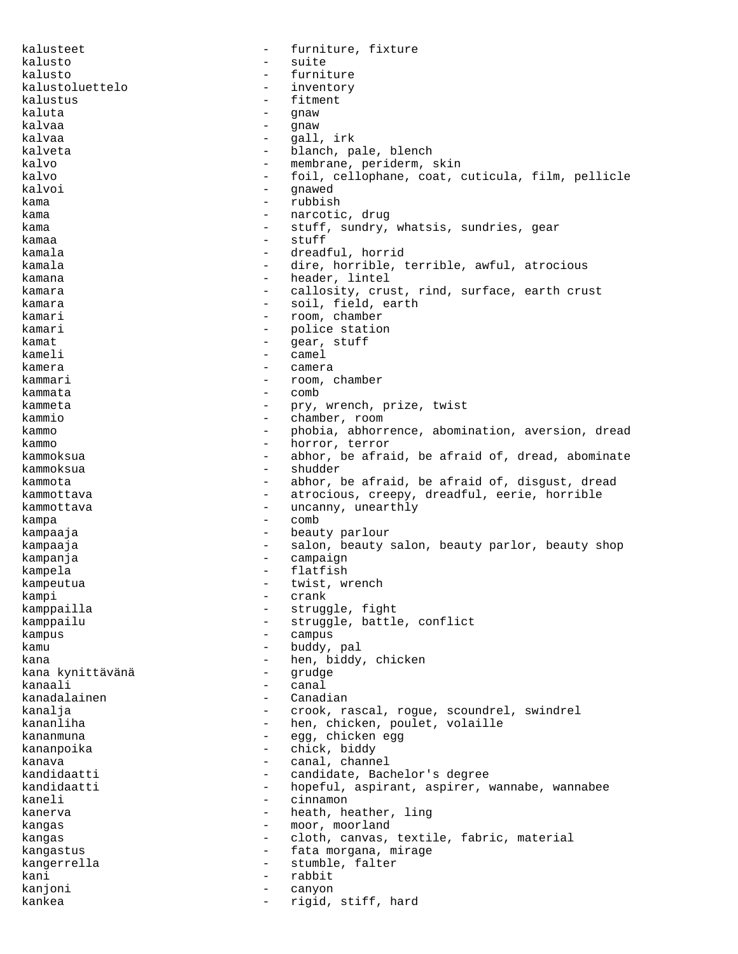kalusteet - furniture, fixture kalusto - suite kalusto - furniture kalustoluettelo - inventory kalustus - fitment kaluta - gnaw kalvaa - gnaw kalvaa - gall, irk kalveta  $\qquad \qquad -$  blanch, pale, blench kalvo  $-$  membrane, periderm, skin kalvo  $\qquad \qquad -$  foil, cellophane, coat, cuticula, film, pellicle kalvoi - gnawed kama - rubbish kama  $-$  narcotic, drug kama  $-$  stuff, sundry, whatsis, sundries, gear kamaa - stuff kamala  $\qquad \qquad -$  dreadful, horrid kamala - dire, horrible, terrible, awful, atrocious<br>kamana - header lintel kamana  $-$  header, lintel kamara - callosity, crust, rind, surface, earth crust<br>  $\begin{array}{ccc}\n & - & \text{call field} & \text{earth} \\
\end{array}$ kamara - soil, field, earth kamari - room, chamber kamari - police station kamat - gear, stuff kameli - camel kamera - camera - camera kammari - room, chamber kammata - comb kammeta - pry, wrench, prize, twist kammio - chamber, room kammo  $-$  phobia, abhorrence, abomination, aversion, dread kammo - horror, terror kammoksua  $-$  abhor, be afraid, be afraid of, dread, abominate kammoksua - shudder kammota **-** abhor, be afraid, be afraid of, disgust, dread kammottava - atrocious, creepy, dreadful, eerie, horrible kammottava - uncanny, unearthly<br>kampa kampa - comb kampaaja - beauty parlour kampaaja  $\qquad \qquad -$  salon, beauty salon, beauty parlor, beauty shop kampanja - campaign kampela - flatfish kampeutua - twist, wrench<br>kampi - crank kampi - crank kamppailla  $\qquad \qquad$  - struggle, fight kamppailu - struggle, battle, conflict<br>
kampus kampus - campus - campus kamu - buddy, pal kana  $k$ vnittävänä  $k$ nen, biddy, chicken kana kynittävänä  $k$ kana kynittävänä kanaali - canal kanadalainen 1980 - Canadian kanalja  $-$  crook, rascal, rogue, scoundrel, swindrel kananliha - hen, chicken, poulet, volaille kananmuna - egg, chicken egg kananpoika - chick, biddy<br>kanava - canal channe kanava - canal, channel<br>kandidaatti - candidate, Bac kandidaatti - candidate, Bachelor's degree<br>kandidaatti - - - - - - - hopeful, aspirant, aspirer, w - hopeful, aspirant, aspirer, wannabe, wannabee<br>- cinnamon kaneli - cinnamon - cinnamon kanerva - heath, heather, ling kangas - moor, moorland kangas and the cloth, canvas, textile, fabric, material kangastus  $-$  fata morgana, mirage kangerrella  $-$  stumble, falter kani - rabbit kanjoni - canyon kankea  $-$  rigid, stiff, hard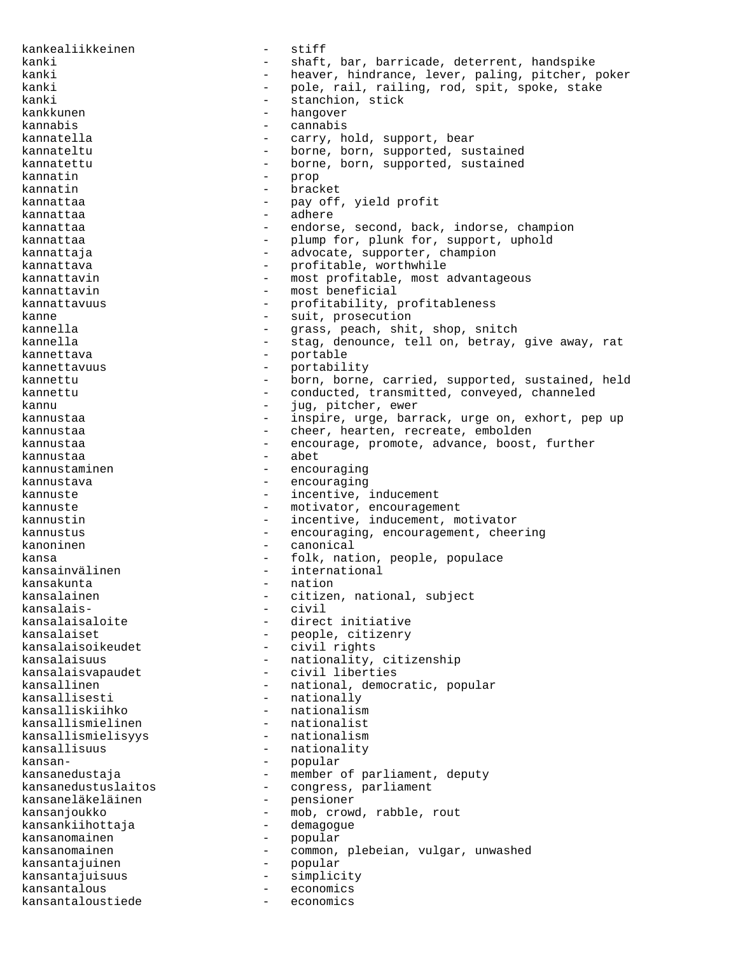kankealiikkeinen - stiff kanki - shaft, bar, barricade, deterrent, handspike kanki  $-$  heaver, hindrance, lever, paling, pitcher, poker kanki  $-$  pole, rail, railing, rod, spit, spoke, stake kanki - stanchion, stick<br>kankkunen - standard - hangover hangover kannabis - cannabis kannatella - carry, hold, support, bear<br>
kannateltu - carry, hold, supported, su - borne, born, supported, sustained kannatettu - borne, born, supported, sustained kannatin - prop kannatin - bracket kannattaa  $-$  pay off, yield profit kannattaa - adhere kannattaa - endorse, second, back, indorse, champion kannattaa - - plump for, plunk for, support, uphold kannattaja  $-$  advocate, supporter, champion kannattava - profitable, worthwhile kannattavin endomine - most profitable, most advantageous kannattavin endomination of the most beneficial kannattavuus - profitability, profitableness kanne  $-$  suit, prosecution kannella - grass, peach, shit, shop, snitch kannella - stag, denounce, tell on, betray, give away, rat kannettava - portable kannettavuus - portability kannettu - born, borne, carried, supported, sustained, held kannettu - conducted, transmitted, conveyed, channeled kannu - iug, pitcher, ewer kannustaa - inspire, urge, barrack, urge on, exhort, pep up kannustaa - cheer, hearten, recreate, embolden<br>kannustaa - encourage promote advance boost kannustaa - encourage, promote, advance, boost, further kannustaa - abet kannustaminen encouraging kannustava  $\qquad \qquad -$  encouraging kannuste  $\qquad \qquad - \quad \text{incentive, inducerment}$ kannuste  $-$  motivator, encouragement kannustin - incentive, inducement, motivator kannustus encouraging, encouragement, cheering kanoninen - canonical kansa  $-$  folk, nation, people, populace kansainvälinen - international kansakunta - nation - citizen, national, subject kansalais- - civil kansalaisaloite - direct initiative - people, citizenry kansalaisoikeudet - civil rights kansalaisuus - nationality, citizenship kansalaisvapaudet - civil liberties kansallinen  $-$  national, democratic, popular kansallisesti - nationally kansalliskiihko - nationalism<br>kansallismielinen - nationalist kansallismielinen - nationalist<br>kansallismielisyys - nationalism kansallismielisyys<br>kansallisuus kansallisuus - nationality<br>kansan- - popular - popular kansan- - popular kansanedustaja - member of parliament, deputy<br>kansanedustuslaitos - congress, parliament kansanedustuslaitos - congress, parliament kansaneläkeläinen - pensioner kansanjoukko - mob, crowd, rabble, rout - demagogue kansanomainen - popular kansanomainen 1988 - Common, plebeian, vulgar, unwashed kansantajuinen - popular kansantajuisuus - simplicity kansantalous - economics kansantaloustiede - economics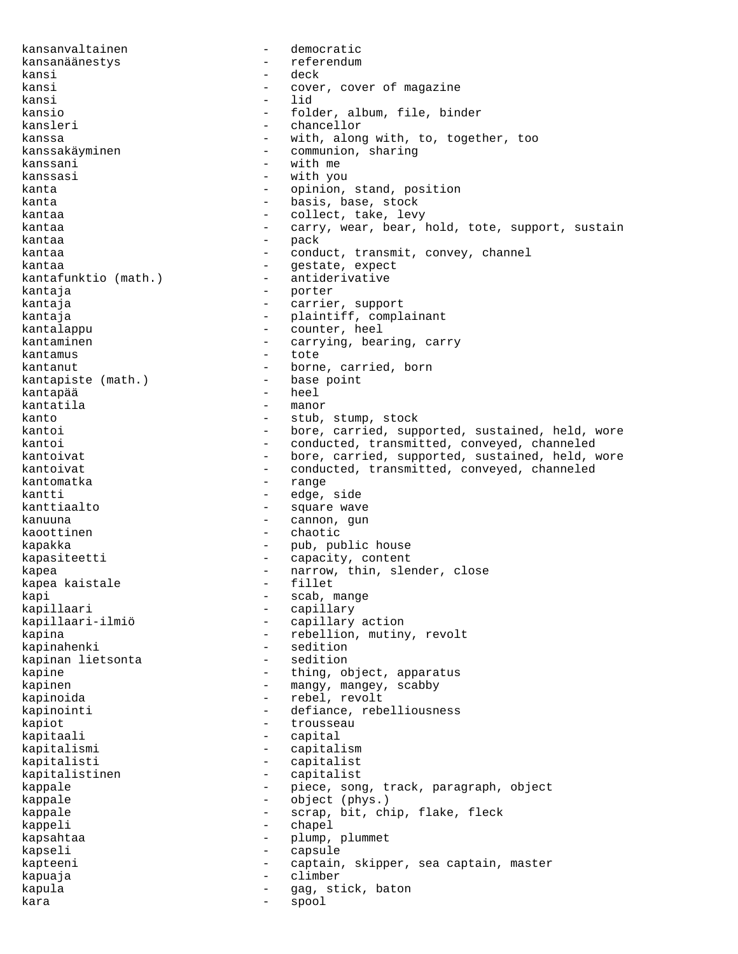kansanvaltainen - democratic kansanäänestys - referendum kansi - deck kansi - cover, cover of magazine kansi - lid kansio - folder, album, file, binder kansleri - chancellor kanssa - with, along with, to, together, too - communion, sharing<br>- with me kanssani kanssasi - with you kanta  $\qquad \qquad -$  opinion, stand, position kanta  $-$  basis, base, stock kantaa  $\qquad \qquad - \qquad \text{collect, take, levy}$ kantaa - carry, wear, bear, hold, tote, support, sustain kantaa - pack kantaa - conduct, transmit, convey, channel kantaa - gestate, expect - antiderivative kantaja - porter kantaja  $-$  carrier, support kantaja  $-$  plaintiff, complainant kantalappu - counter, heel kantaminen - carrying, bearing, carry kantamus - tote kantanut - borne, carried, born<br>kantapiste (math.) - base point kantapiste (math.) kantapää - heel kantatila - manor kanto - stub, stump, stock kantoi **1988** - bore, carried, supported, sustained, held, wore kantoi - conducted, transmitted, conveyed, channeled<br>kantoivat - bore, carried, supported, sustained, held, w kantoivat - bore, carried, supported, sustained, held, wore - conducted, transmitted, conveyed, channeled kantomatka - range kantti - edge, side kanttiaalto - square wave kanuuna - cannon, gun kaoottinen - chaotic kapakka - pub, public house kapasiteetti - capacity, content kapea - narrow, thin, slender, close<br>kapea kaistale - fillet kapea kaistale kapi - scab, mange<br>kapillaari - capillary - capillary kapillaari - capillary - capillary action kapina  $-$  rebellion, mutiny, revolt kapinahenki - sedition<br>kapinan lietsonta - sedition kapinan lietsonta kapine  $\qquad \qquad$  - thing, object, apparatus kapinen - mangy, mangey, scabby kapinoida  $-$  rebel, revolt kapinointi  $-$  defiance, rebelliousness kapiot  $-$  trousseau kapitaali - capital kapitalismi - capitalism<br>kapitalisti - capitalist kapitalisti - capitalist kapitalistinen - capitalist kappale - piece, song, track, paragraph, object<br>kappale - chiect (phys.) kappale  $\qquad \qquad -$  object (phys.) kappale - scrap, bit, chip, flake, fleck kappeli - chapel kapsahtaa  $\qquad \qquad -$  plump, plummet kapseli - capsule kapteeni - captain, skipper, sea captain, master kapuaja - climber kapula  $-$  gag, stick, baton kara - spool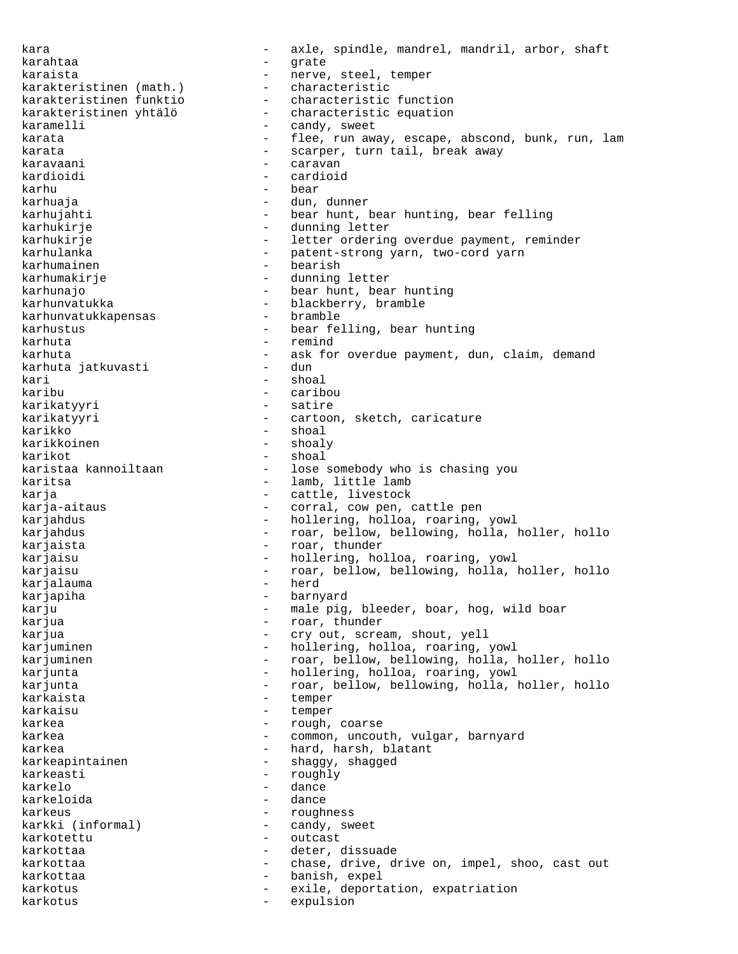kara  $-$  axle, spindle, mandrel, mandril, arbor, shaft karahtaa - grate karaista - nerve, steel, temper karakteristinen (math.) karakteristinen funktio - characteristic function karakteristinen yhtälö - characteristic equation karamelli  $-$  candy, sweet karata - flee, run away, escape, abscond, bunk, run, lam karata  $-$  scarper, turn tail, break away karavaani - caravan kardioidi - cardioid karhu - bear - bear - bear - bear - bear - bear - bear - bear - bear - bear - bear - bear - bear - bear - bear - dun, dunner karhujahti - bear hunt, bear hunting, bear felling karhukirje  $\qquad \qquad -$  dunning letter karhukirje  $-$  letter ordering overdue payment, reminder karhulanka - patent-strong yarn, two-cord yarn<br>karhumainen - bearish - bearish karhumainen karhumakirje - dunning letter karhunajo  $-$  bear hunt, bear hunting karhunvatukka - blackberry, bramble<br>karhunvatukkapensas - - bramble karhunvatukkapensas karhustus - bear felling, bear hunting karhuta - remind karhuta - ask for overdue payment, dun, claim, demand<br>karhuta jatkuvasti - dun karhuta jatkuvasti kari - shoal karibu - caribou karikatyyri - satire karikatyyri - cartoon, sketch, caricature karikko - shoal - shoal - shoal - shoal - shoal - shoal - shoal - shoal - shoal - shoal - shoal - shoal - shoa - shoaly karikot - shoal<br>karistaa kannoiltaan - lose - lose somebody who is chasing you karitsa - lamb, little lamb karja - cattle, livestock karja-aitaus - corral, cow pen, cattle pen karjahdus - hollering, holloa, roaring, yowl karjahdus **-** roar, bellow, bellowing, holla, holler, hollo karjaista  $-$  roar, thunder karjaisu - hollering, holloa, roaring, yowl karjaisu - roar, bellow, bellowing, holla, holler, hollo<br>karialauma - herd - herd karjalauma - herd karjapiha karju  $-$  male pig, bleeder, boar, hog, wild boar karjua  $-$  roar, thunder karjua  $-$  cry out, scream, shout, yell karjuminen - hollering, holloa, roaring, yowl karjuminen - roar, bellow, bellowing, holla, holler, hollo karjunta - hollering, holloa, roaring, yowl karjunta  $-$  roar, bellow, bellowing, holla, holler, hollo karkaista - temper karkaisu - temper karkea - rough, coarse<br>karkea - rough, coarse karkea - common, uncouth, vulgar, barnyard karkea  $-$  hard, harsh, blatant karkeapintainen en mannet en shaggy, shagged karkeasti - roughly karkelo - dance karkeloida - dance karkeus - roughness karkki (informal) - candy, sweet karkotettu - outcast karkottaa - deter, dissuade karkottaa - chase, drive, drive on, impel, shoo, cast out karkottaa - banish, expel<br>karkotus - banish, expel karkotus - exile, deportation, expatriation karkotus - expulsion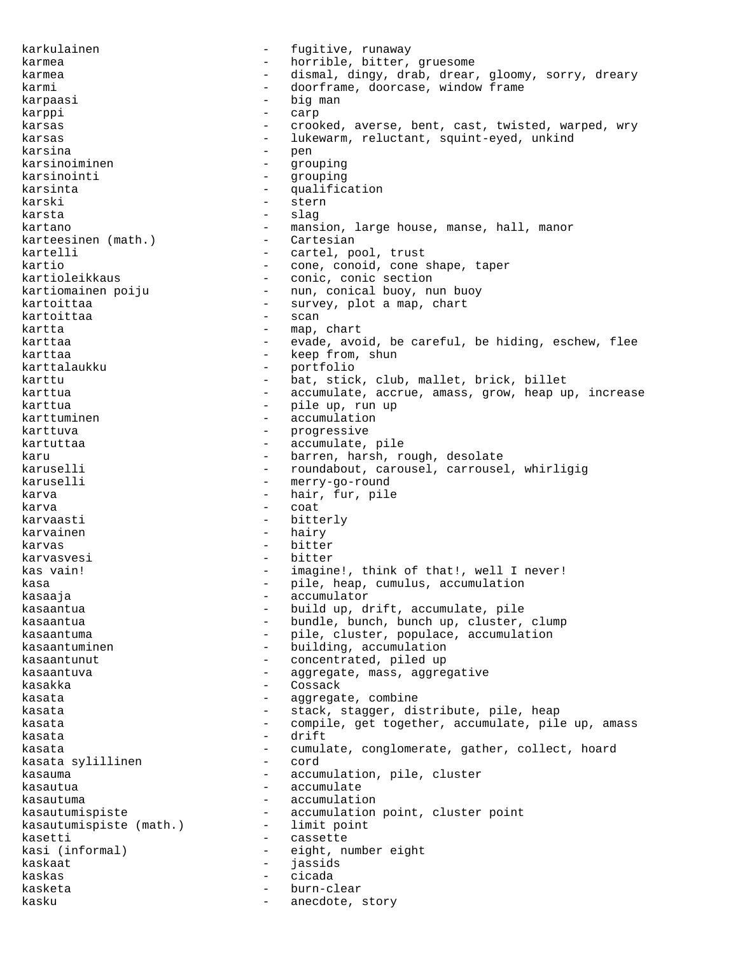karkulainen - fugitive, runaway karmea - horrible, bitter, gruesome karmea - dismal, dingy, drab, drear, gloomy, sorry, dreary karmi  $\sim$  - doorframe, doorcase, window frame karpaasi  $-$  big man karppi - carp karsas extending the crooked, averse, bent, cast, twisted, warped, wry karsas and the set of the lukewarm, reluctant, squint-eyed, unkind karsina - pen<br>karsingininen - argu karsinoiminen 1988 - grouping karsinointi - grouping karsinta  $-$  qualification karski - stern karsta - slag kartano - mansion, large house, manse, hall, manor<br>karteesinen (math.) - Cartesian karteesinen (math.) - Cartesian kartelli - cartel, pool, trust kartio - cone, conoid, cone shape, taper<br>kartioleikkaus - conic, conic section - conic, conic section kartiomainen poiju - nun, conical buoy, nun buoy kartoittaa - survey, plot a map, chart kartoittaa - scan kartta - map, chart karttaa - evade, avoid, be careful, be hiding, eschew, flee karttaa - keep from, shun karttalaukku - portfolio karttu  $-$  bat, stick, club, mallet, brick, billet karttua enterriera - accumulate, accrue, amass, grow, heap up, increase karttua - pile up, run up<br>karttuminen - accumulation karttuminen - accumulation<br>karttuva - progressive karttuva - progressive kartuttaa  $\qquad \qquad -$  accumulate, pile karu - barren, harsh, rough, desolate karuselli - roundabout, carousel, carrousel, whirligig karuselli - merry-go-round karva - hair, fur, pile<br>karva - coat karva - coat karvaasti - bitterly karvainen 1988 - Hairy Barvainen 1988 - Hairy Barvainen 1988 - Hairy Barvainen 1988 - Hairy Barvainen 1988 - H karvas - bitter karvasvesi - bitter kas vain!  $-$  imagine!, think of that!, well I never! kasa - pile, heap, cumulus, accumulation<br>kasaaja - pile, heap, cumulus, accumulation kasaaja - accumulator kasaantua - build up, drift, accumulate, pile kasaantua - bundle, bunch, bunch up, cluster, clump kasaantuma - pile, cluster, populace, accumulation kasaantuminen en metallise van die building, accumulation kasaantunut - concentrated, piled up kasaantuva - aggregate, mass, aggregative kasakka - Cossack kasata  $-$  aggregate, combine kasata  $-$  stack, stagger, distribute, pile, heap kasata  $\sim$  - compile, get together, accumulate, pile up, amass kasata - drift kasata - cumulate, conglomerate, gather, collect, hoard kasata sylillinen - cord kasauma - accumulation, pile, cluster kasautua - accumulate kasautuma - accumulation kasautumispiste - accumulation point, cluster point<br>kasautumispiste (math.) - limit point kasautumispiste (math.) kasetti - cassette kasi (informal) - eight, number eight<br>kaskaat - iassids kaskaat - jassids kaskas - cicada kasketa - burn-clear kasku - anecdote, story - anecdote, story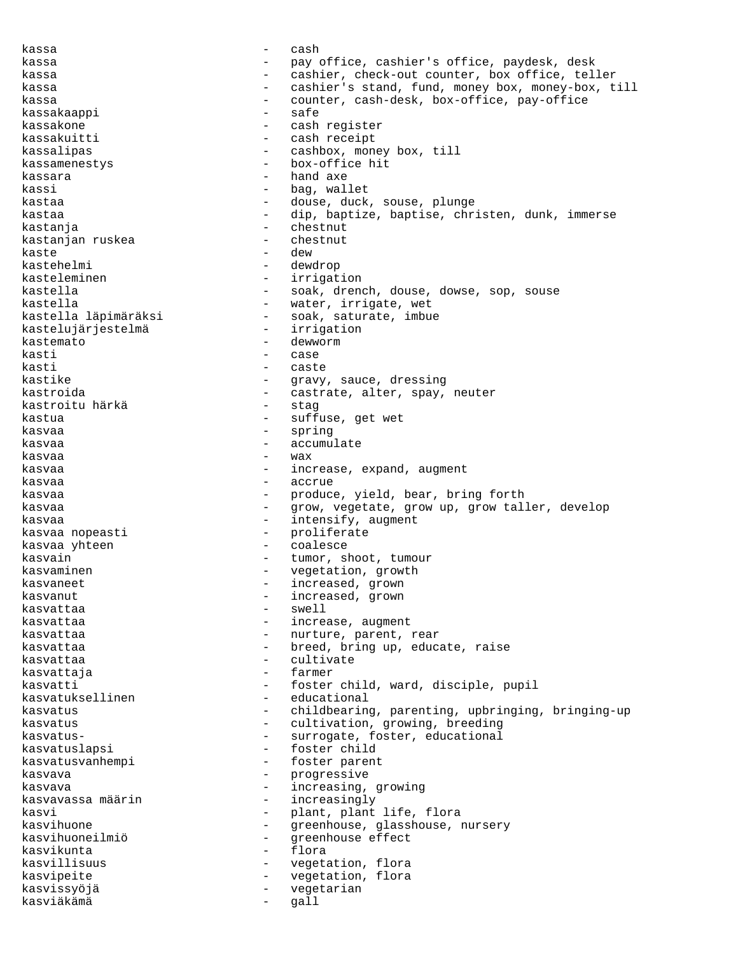kassa - cash kassa  $-$  pay office, cashier's office, paydesk, desk kassa en en en eashier, check-out counter, box office, teller kassa entirely cashier's stand, fund, money box, money-box, till kassa - counter, cash-desk, box-office, pay-office<br>kassakaappi - safe kassakaappi – safeeliku – safeeliku – safeeliku – safeeliku – safeeliku – safeeliku – safeeliku – safeeliku – <br>Taasaakona kassakone - cash register<br>kassakuitti - cash receipt - cash receipt kassalipas - cashbox, money box, till kassamenestys - box-office hit kassara - hand axe kassi  $-$  bag, wallet kastaa - douse, duck, souse, plunge kastaa - dip, baptize, baptise, christen, dunk, immerse kastanja - chestnut kastanjan ruskea - chestnut kaste - dew kastehelmi - dewdrop kasteleminen - irrigation kastella - soak, drench, douse, dowse, sop, souse kastella - water, irrigate, wet<br>kastella läpimäräksi - soak, saturate, imbu - soak, saturate, imbue<br>- irrigation kastelujärjestelmä kastemato - dewworm kasti - case kasti - caste kastike - gravy, sauce, dressing kastroida - castrate, alter, spay, neuter<br>kastroitu härkä - - stag kastroitu härkä kastua - suffuse, get wet kasvaa - spring - spring - spring - spring - spring - spring - spring - spring - spring - spring - spring - spring - spring - spring - spring - spring - spring - spring - spring - spring - spring - spring - spring - spring kasvaa - accumulate<br>kasvaa - accumulate kasvaa - wax kasvaa  $-$  increase, expand, augment kasvaa - accrue kasvaa - produce, yield, bear, bring forth<br>kasvaa - - stow vegetate grow up grow tall kasvaa - grow, vegetate, grow up, grow taller, develop kasvaa  $-$  intensify, augment kasvaa nopeasti - proliferate kasvaa yhteen - coalesce kasvain - tumor, shoot, tumour<br>kasvaminen - tumor, shoot, tumour kasvaminen en vegetation, growth kasvaneet - increased, grown<br>kasvanut - increased grown kasvanut - increased, grown kasvattaa kasvattaa  $-$  increase, augment kasvattaa  $-$  nurture, parent, rear kasvattaa  $-$  breed, bring up, educate, raise kasvattaa  $\overline{\phantom{a}}$  - cultivate kasvattaja - farmer kasvatti - foster child, ward, disciple, pupil kasvatuksellinen - educational kasvatus external control to the childbearing, parenting, upbringing, bringing-up kasvatus - cultivation, growing, breeding kasvatus-  $\qquad \qquad \qquad -$  surrogate, foster, educational kasvatuslapsi - foster child kasvatusvanhempi - foster parent kasvava - progressive kasvava - increasing, growing kasvavassa määrin 1988 – increasingly kasvi - plant, plant life, flora greenhouse, glasshouse, nursery kasvihuoneilmiö - greenhouse effect kasvikunta - flora kasvillisuus - vegetation, flora<br>kasvipeite - vegetation flora kasvipeite - vegetation, flora<br>kasvissvöjä - vegetation, flora kasvissyöjä - vegetarian kasviäkämä - gall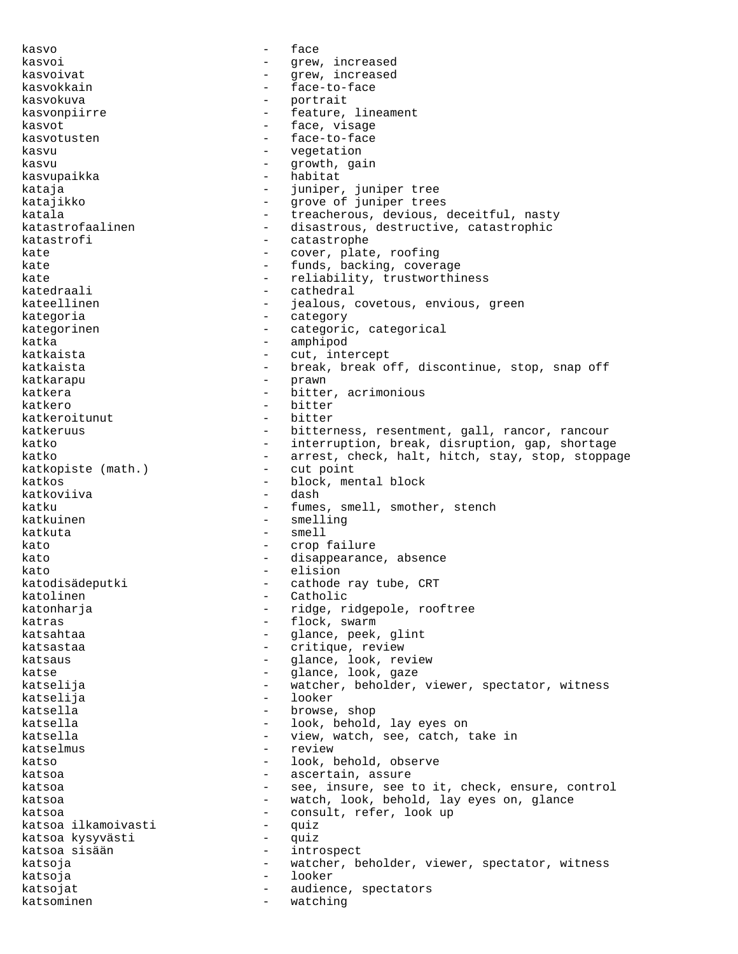kasvo - face kasvoi - grew, increased<br>
kasvoivat - grew increased kasvoivat - grew, increased kasvokkain en metal en metal en metal en metal en metal en metal en metal en metal en metal en metal en metal kasvokuva - portrait kasvonpiirre en eeu voor de steedstelling in de steedsmaak van de steedsmaak van de steedsmaak van de steedsma<br>Geboortes kasvot - face, visage<br>kasvotusten - face-to-face kasvotusten - face-to-face<br>kasvu kasvu - vegetation kasvu - growth, gain kasvupaikka - habitat<br>kataja - iuniper kataja  $-$  juniper, juniper tree katajikko  $-$  grove of juniper trees katala  $-$  treacherous, devious, deceitful, nasty katastrofaalinen - disastrous, destructive, catastrophic katastrofi - catastrophe kate  $-$  cover, plate, roofing kate - funds, backing, coverage<br>
- funds, backing, coverage<br>
- reliability trustworthi kate - reliability, trustworthiness<br>katedraali - reliability, trustworthiness - cathedral<br>- iealous kateellinen - iealous, covetous, envious, green kategoria  $-$  category kategorinen - categoric, categorical katka - amphipod katkaista - cut, intercept katkaista - break, break off, discontinue, stop, snap off katkarapu - prawn katkera  $-$  bitter, acrimonious katkero - bitter katkeroitunut - bitter katkeruus entimelises, resentment, gall, rancor, rancour katko  $-$  interruption, break, disruption, gap, shortage katko - arrest, check, halt, hitch, stay, stop, stoppage katkopiste (math.) - cut point katkopiste (math.) katkos - block, mental block katkoviiva katku - fumes, smell, smother, stench katkuinen 1988 ble smelling andet andet smelling katkuta - smell kato  $-$  crop failure kato  $\begin{array}{ccc} - & \text{disappearance, absence} \\ - & \text{disappearance, absence} \end{array}$ kato  $-$  elision katodisädeputki - cathode ray tube, CRT katolinen - Catholic - ridge, ridgepole, rooftree katras  $-$  flock, swarm katsahtaa - - - - - - - - - glance, peek, glint katsastaa - critique, review katsaus - glance, look, review katse  $-$  glance, look, gaze katselija - watcher, beholder, viewer, spectator, witness katselija - looker katsella - browse, shop katsella - look, behold, lay eyes on katsella - view, watch, see, catch, take in katselmus - review<br>
katse katso  $-$  look, behold, observe katsoa  $-$  ascertain, assure katsoa e see, insure, see to it, check, ensure, control katsoa - watch, look, behold, lay eyes on, glance katsoa - consult, refer, look up<br>katsoa ilkamoivasti - cuiz katsoa ilkamoivasti - quiz katsoa kysyvästi katsoa sisään  $\overline{a}$  - introspect<br>katsoja - watcher b katsoja - watcher, beholder, viewer, spectator, witness katsoja - looker katsojat  $-$  audience, spectators katsominen - watching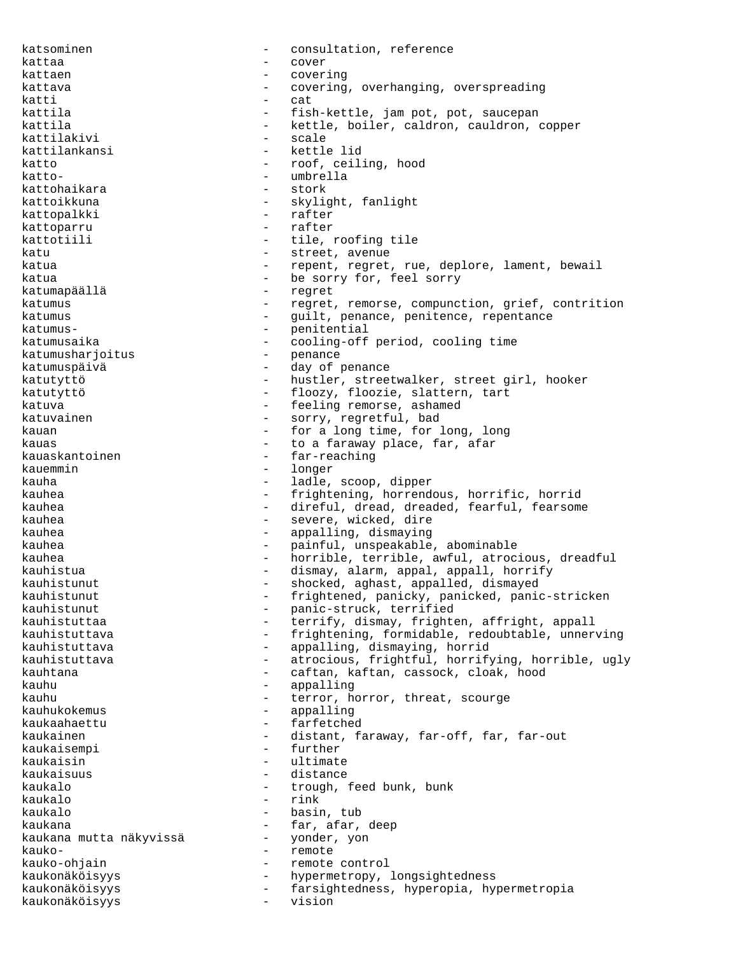katsominen - consultation, reference kattaa - cover kattaen - covering kattava  $-$  covering, overhanging, overspreading katti - cat kattila - fish-kettle, jam pot, pot, saucepan<br>
kattila - kettle boiler galdron gauldron kattila - kettle, boiler, caldron, cauldron, copper kattilakivi - scale - kettle lid katto  $-$  roof, ceiling, hood katto- - umbrella kattohaikara kattoikkuna - skylight, fanlight kattopalkki - rafter kattoparru - rafter<br>kattotiili - tile kattotiili  $-$  tile, roofing tile katu  $-$  street, avenue katua - repent, regret, rue, deplore, lament, bewail katua - be sorry for, feel sorry<br>katumanäällä - regret katumapäällä - regret katumus external regret, remorse, compunction, grief, contrition katumus - guilt, penance, penitence, repentance katumus- - penitential katumusaika - cooling-off period, cooling time<br>katumusharjoitus - penance katumusharjoitus katumuspäivä - day of penance katutyttö  $-$  hustler, streetwalker, street girl, hooker katutyttö - floozy, floozie, slattern, tart katuva  $-$  feeling remorse, ashamed katuvainen en material eta erreful, bad eta erreful, bad kauan - for a long time, for long, long<br>kauas - to a faraway place, far, afar to a faraway place, far, afar kauaskantoinen - far-reaching<br>kauemmin kauemmin - longer kauha  $-$  ladle, scoop, dipper kauhea - frightening, horrendous, horrific, horrid kauhea - direful, dread, dreaded, fearful, fearsome kauhea - severe, wicked, dire kauhea - appalling, dismaying kauhea - painful, unspeakable, abominable<br>kauhea - - - - - - - - horrible, terrible, awful, atroc - horrible, terrible, awful, atrocious, dreadful kauhistua - dismay, alarm, appal, appall, horrify kauhistunut - shocked, aghast, appalled, dismayed kauhistunut - frightened, panicky, panicked, panic-stricken kauhistunut - panic-struck, terrified kauhistuttaa - terrify, dismay, frighten, affright, appall kauhistuttava - frightening, formidable, redoubtable, unnerving kauhistuttava - appalling, dismaying, horrid<br>kauhistuttava - - atrocious, frightful, horrif - atrocious, frightful, horrifying, horrible, ugly kauhtana - caftan, kaftan, cassock, cloak, hood kauhu - appalling kauhu - terror, horror, threat, scourge kauhukokemus - appalling kaukaahaettu - farfetched kaukainen 1980 - distant, faraway, far-off, far, far-out<br>kaukaisempi 1980 - further kaukaisempi - further kaukaisin kaukaisuus - distance kaukalo  $-$  trough, feed bunk, bunk kaukalo - rink kaukalo - basin, tub kaukana - far, afar, deep kaukana mutta näkyvissä kauko- - remote kauko-ohjain - remote control kaukonäköisyys - hypermetropy, longsightedness kaukonäköisyys - farsightedness, hyperopia, hypermetropia kaukonäköisyys - vision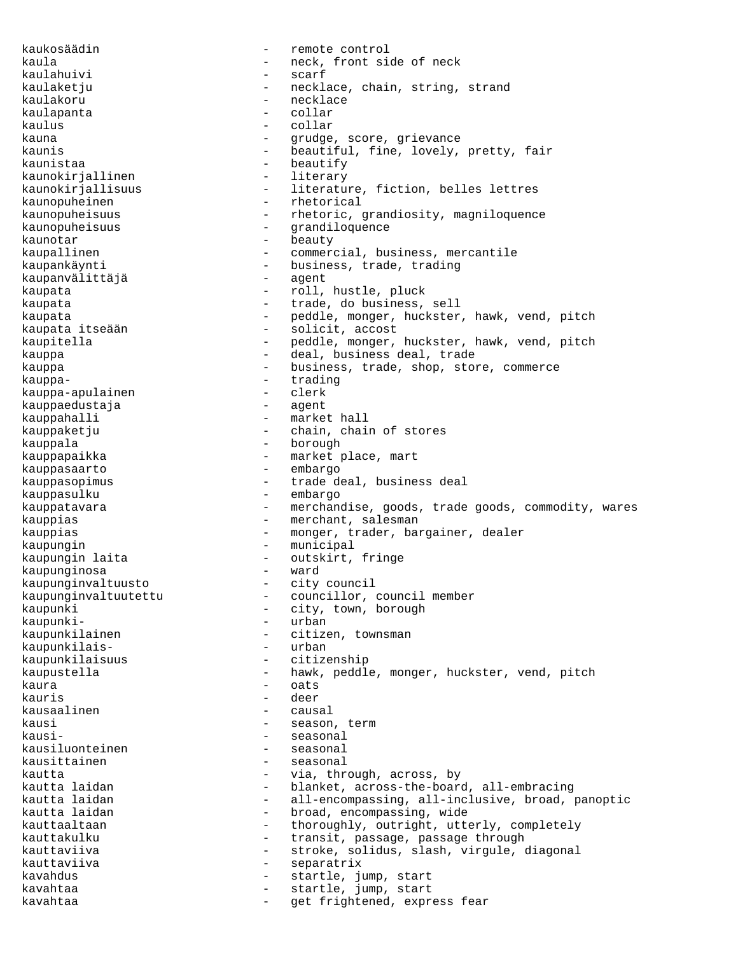kaulahuivi - scarf kaulakoru - necklace kaulapanta kaulus - collar kaunistaa - beautify<br>kaunokiriallinen - - literary kaunokirjallinen kaunopuheinen - rhetorical kaunotar - beauty kaupanvälittäjä kauppa- - trading kauppa-apulainen - clerk kauppaedustaja kauppahalli - market hall<br>kauppaketiu - chain chai kauppala - borough - borough kauppasaarto - embargo kauppasulku - embargo kaupungin - municipal kaupunginvaltuusto kaupunki- - urban kaupunkilaiskaura - oats kauris - deer kausaalinen - causal kausiluonteinen kausittainen - seasonal kauttaviiva - separatrix kavahtaa - get frightened, express fear

kaukosäädin - remote control kaula  $\qquad \qquad -$  neck, front side of neck kaulaketju - necklace, chain, string, strand kauna  $\sim$  - grudge, score, grievance kaunis **1988** - beautiful, fine, lovely, pretty, fair kaunokirjallisuus - literature, fiction, belles lettres kaunopuheisuus - rhetoric, grandiosity, magniloquence kaunopuheisuus - grandiloquence kaupallinen - commercial, business, mercantile kaupankäynti - business, trade, trading<br>kaupanvälittäjä - - - - agent kaupata - roll, hustle, pluck kaupata - trade, do business, sell kaupata - peddle, monger, huckster, hawk, vend, pitch kaupata itseään - solicit, accost kaupitella - peddle, monger, huckster, hawk, vend, pitch kauppa - deal, business deal, trade kauppa - business, trade, shop, store, commerce kauppaketju - chain, chain of stores kauppapaikka  $-$  market place, mart kauppasopimus - trade deal, business deal kauppatavara - merchandise, goods, trade goods, commodity, wares kauppias  $-$  merchant, salesman kauppias - monger, trader, bargainer, dealer outskirt, fringe kaupunginosa - ward kaupunginvaltuutettu - councillor, council member kaupunki - city, town, borough kaupunkilainen townsman<br>1988 - Antoinen Indonesia<br>1988 - Constant kaupunkilaisuus - citizenship kaupustella - hawk, peddle, monger, huckster, vend, pitch kausi - season, term<br>kausi- - seasonal - seasonal - seasonal<br>- seasonal kautta - via, through, across, by<br>kautta laidan - - - - - - - - - - - blanket, across-the-board kautta laidan - - blanket, across-the-board, all-embracing<br>kautta laidan - - - - - - all-encompassing, all-inclusive, broad, n kautta laidan - all-encompassing, all-inclusive, broad, panoptic - broad, encompassing, wide kauttaaltaan - thoroughly, outright, utterly, completely kauttakulku - transit, passage, passage through kauttaviiva - stroke, solidus, slash, virgule, diagonal kavahdus - startle, jump, start kavahtaa  $-$  startle, jump, start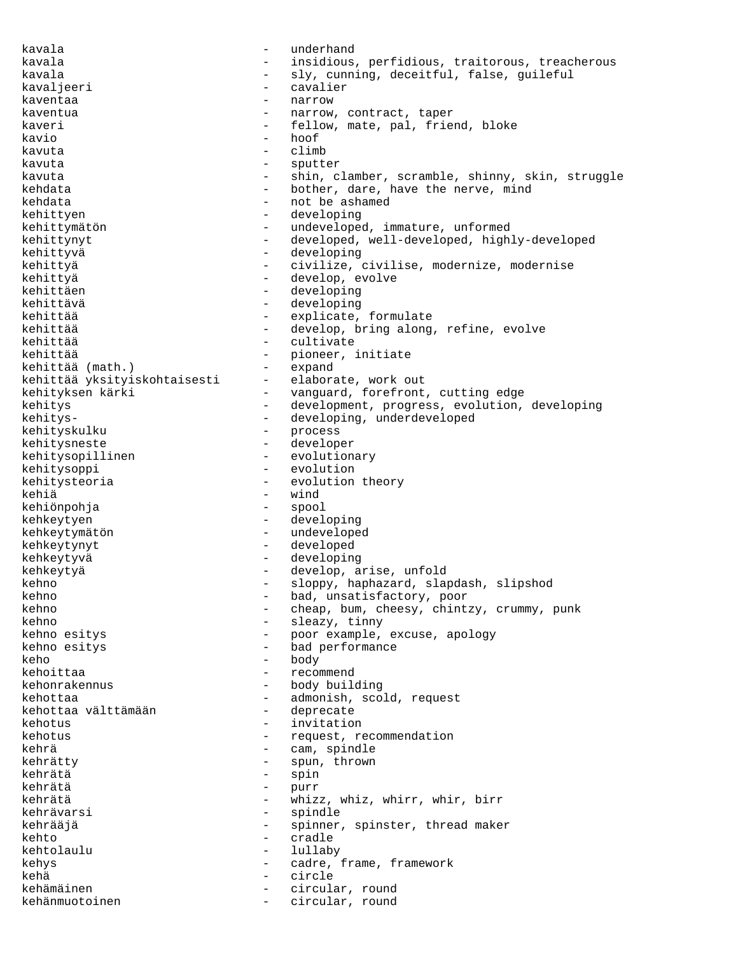kavala - underhand kavala - insidious, perfidious, traitorous, treacherous kavala  $-$  sly, cunning, deceitful, false, guileful kavaljeeri - cavalier kaventaa - narrow - narrow kaventua  $-$  narrow, contract, taper kaveri **1988** - fellow, mate, pal, friend, bloke kavio - hoof kavuta - climb kavuta - sputter kavuta - shin, clamber, scramble, shinny, skin, struggle kehdata - bother, dare, have the nerve, mind kehdata - not be ashamed kehittyen - developing kehittymätön - undeveloped, immature, unformed kehittynyt - developed, well-developed, highly-developed kehittyvä - developing kehittyä - civilize, civilise, modernize, modernise kehittyä - develop, evolve kehittäen - developing kehittävä - developing - explicate, formulate kehittää  $-$  develop, bring along, refine, evolve kehittää  $-$  cultivate kehittää  $-$  pioneer, initiate kehittää (math.) - expand kehittää yksityiskohtaisesti - elaborate, work out kehityksen kärki  $-$  vanguard, forefront, cutting edge kehitys - development, progress, evolution, developing kehitys-<br>
- developing, underdeveloped kehityskulku - process kehitysneste  $\overline{\phantom{a}}$  - developer kehitysopillinen - evolutionary kehitysoppi - evolution kehitysteoria - evolution theory kehiä - wind kehiönpohja - spool kehkeytyen - developing kehkeytymätön - undeveloped kehkeytynyt - developed kehkeytyvä - developing kehkeytyä - develop, arise, unfold kehno - sloppy, haphazard, slapdash, slipshod kehno  $-$  bad, unsatisfactory, poor kehno  $-$  cheap, bum, cheesy, chintzy, crummy, punk kehno  $-$  sleazy, tinny kehno esitys and the settle of the poor example, excuse, apology kehno esitys  $\qquad \qquad -$  bad performance keho - body - body kehoittaa  $-$  recommend kehonrakennus - body building kehottaa - admonish, scold, request<br>kehottaa välttämään - - deprecate kehottaa välttämään kehotus - invitation kehotus - request, recommendation kehrä  $-$  cam, spindle kehrätty - spun, thrown kehrätä - spin kehrätä - purr kehrätä - whizz, whiz, whirr, whirr, birr kehrävarsi - spindle kehrääjä - spinner, spinster, thread maker kehto - cradle kehtolaulu - lullaby - lullaby kehys - cadre, frame, framework kehä - circle kehämäinen 1988 - Kehämäinen 1988 - Kehämäinen 1988 - Circular, round kehänmuotoinen 1988 - Circular, round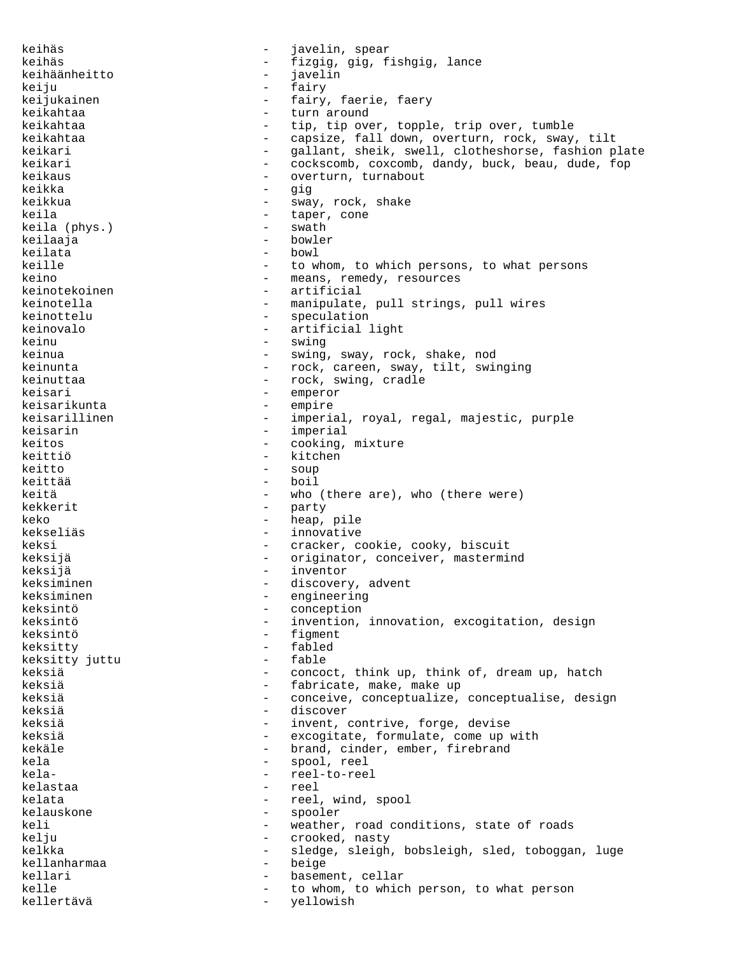keihäs  $-$  javelin, spear keihäs - fizgig, gig, fishgig, lance<br>keihäänheitto - tavelin keihäänheitto - javelin keiju - fairy keijukainen 1988 - Fairy, faerie, faery keikahtaa - turn around keikahtaa - tip, tip over, topple, trip over, tumble keikahtaa - capsize, fall down, overturn, rock, sway, tilt keikari - gallant, sheik, swell, clotheshorse, fashion plate keikari - cockscomb, coxcomb, dandy, buck, beau, dude, fop keikaus - overturn, turnabout<br>
keikka keikka - gig keikkua - sway, rock, shake keila  $-$  taper, cone keila (phys.) - swath keilaaja - bowler keilata - bowl - bowl - bowl - bowl - bowl - bowl - bowl - bowl - bowl - bowl - bowl - bowl - bowl - bowl - bowl - bowl - bowl - bowl - bowl - bowl - bowl - bowl - bowl - bowl - bowl - bowl - bowl - bowl - bowl - bowl - bo keille  $-$  to whom, to which persons, to what persons keino - means, remedy, resources<br>keinotekoinen - - artificial keinotekoinen 1988 - artificial<br>keinotella 1988 - manipulate keinotella - manipulate, pull strings, pull wires<br>
keinottelu - speculation keinottelu - speculation<br>
keinovalo - artificial - artificial light keinu - swing - swing keinua - swing, sway, rock, shake, nod keinunta - rock, careen, sway, tilt, swinging keinuttaa  $\qquad \qquad -$  rock, swing, cradle keisari - emperor - emperor - emperor - emperor - empire - empire - empire - empire - empire - empire - empire keisarikunta - empire - empire - empire - empire - empire - empire - empire - empire - empire - empire - empire - empire - empire - empire - empire - empire - empire - empire - empire - empire - empire - empire - empire keisarillinen - imperial, royal, regal, majestic, purple<br>keisarin keisarin - imperial<br>keitos - cooking keitos - cooking, mixture keittiö - kitchen keitto - soup keittää - boil keitä  $-$  who (there are), who (there were)<br>kekkerit kekkerit - party<br>keko - party - party keko - heap, pile kekseliäs - innovative keksi - cracker, cookie, cooky, biscuit keksijä - originator, conceiver, mastermind keksijä - inventor keksiminen - discovery, advent<br>keksiminen - engineering keksiminen - engineering<br>keksintö keksintö - conception keksintö - invention, innovation, excogitation, design keksintö - figment keksitty - fabled keksitty juttu keksiä - concoct, think up, think of, dream up, hatch keksiä  $-$  fabricate, make, make up keksiä  $-$  conceive, conceptualize, conceptualise, design keksiä - discover keksiä - invent, contrive, forge, devise keksiä - excogitate, formulate, come up with kekäle - brand, cinder, ember, firebrand<br>kela kela - spool, reel<br>kela- - spool, reel-to-ree kela- - reel-to-reel kelastaa - reel kelata - reel, wind, spool - spooler keli - weather, road conditions, state of roads kelju - crooked, nasty kelkka - sledge, sleigh, bobsleigh, sled, toboggan, luge kellanharmaa - beige - beige - beige - beige - beige - beige - beige - beige - beige - beige - beige - beige -- basement, cellar kelle  $\sim$  to whom, to which person, to what person kellertävä - yellowish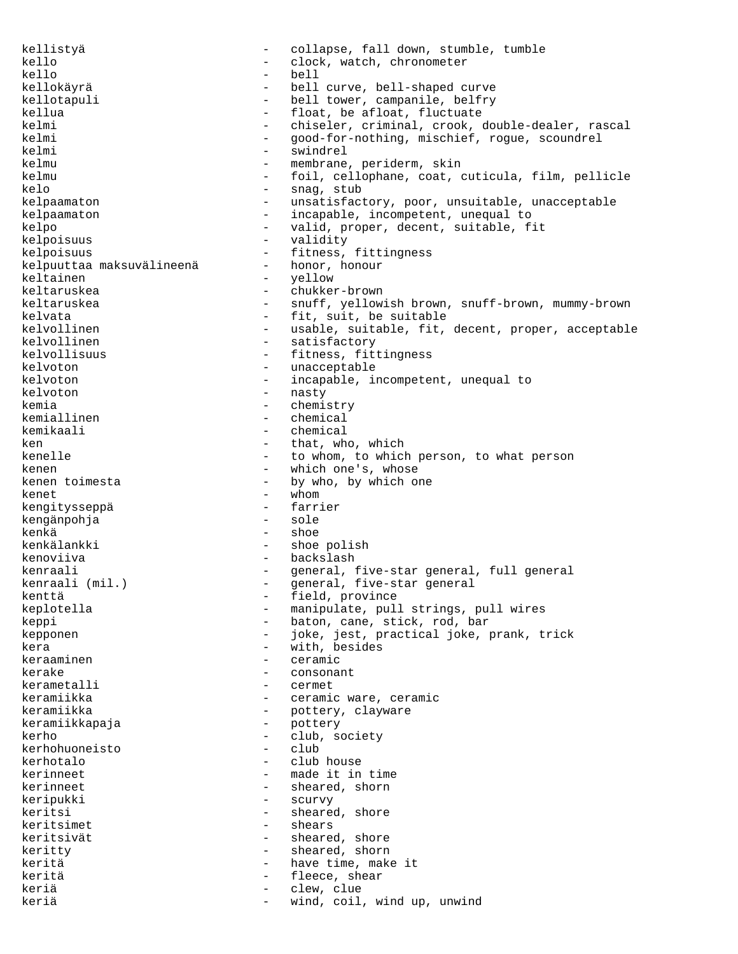kellistyä - collapse, fall down, stumble, tumble kello - clock, watch, chronometer kello - bell kellokäyrä - bell curve, bell-shaped curve kellotapuli - bell tower, campanile, belfry kellua - float, be afloat, fluctuate<br>kelmi - float, criminal, crook, kelmi - chiseler, criminal, crook, double-dealer, rascal<br>
- good-for-nothing mischief roque scoundrel kelmi - good-for-nothing, mischief, rogue, scoundrel<br>kelmi - swindrel - swindrel kelmu - membrane, periderm, skin kelmu - foil, cellophane, coat, cuticula, film, pellicle kelo - snag, stub kelpaamaton - unsatisfactory, poor, unsuitable, unacceptable kelpaamaton - incapable, incompetent, unequal to kelpo  $-$  valid, proper, decent, suitable, fit kelpoisuus - validity kelpoisuus - fitness, fittingness<br>kelpuuttaa maksuvälineenä - honor, honour kelpuuttaa maksuvälineenä keltainen – yellow – yellow – yellow – yellow – yellow – yellow – yellow – yellow – yellow – yellow – yellow – yellow – yellow – yellow – yellow – yellow – yellow – yellow – yellow – yellow – yellow – yellow – yellow – yel keltaruskea - chukker-brown keltaruskea - snuff, yellowish brown, snuff-brown, mummy-brown<br>kelvata - fit, suit, be suitable - fit, suit, be suitable kelvollinen and the usable, suitable, fit, decent, proper, acceptable kelvollinen - satisfactory<br>kelvollisuus - fitness fit - fitness, fittingness kelvoton - unacceptable kelvoton - incapable, incompetent, unequal to kelvoton - nasty - nasty<br>kemia - nasty - chemi kemia - chemistry kemiallinen - chemical kemikaali - chemical ken  $\begin{array}{cccc} \text{ken} & - & \text{that, who, which} \\ \text{kenelle} & - & \text{to whom, to which} \end{array}$ - to whom, to which person, to what person kenen - which one's, whose kenen toimesta - by who, by which one<br>
kenet - whom<br>
- whom - whom<br>- farrier kengitysseppä - farrier kengänpohja kenkä - shoe kenkälankki - shoe polish kenoviiva - backslash kenraali - general, five-star general, full general<br>kenraali (mil.) - general, five-star general - general, five-star general kenttä  $-$  field, province keplotella - manipulate, pull strings, pull wires keppi - baton, cane, stick, rod, bar kepponen - joke, jest, practical joke, prank, trick kera - with, besides keraaminen - ceramic kerake - consonant kerametalli - cermet keramiikka - ceramic ware, ceramic keramiikka - pottery, clayware<br>keramiikkapaja - pottery - pottery keramiikkapaja - pottery kerho - club, society kerhohuoneisto kerhotalo - club house kerinneet - made it in time kerinneet - sheared, shorn keripukki - scurvy keritsi - sheared, shore keritsimet - shears keritsivät - sheared, shore keritty - sheared, shorn keritä  $-$  have time, make it keritä - fleece, shear keriä  $\qquad \qquad -$  clew, clue keriä - wind, coil, wind up, unwind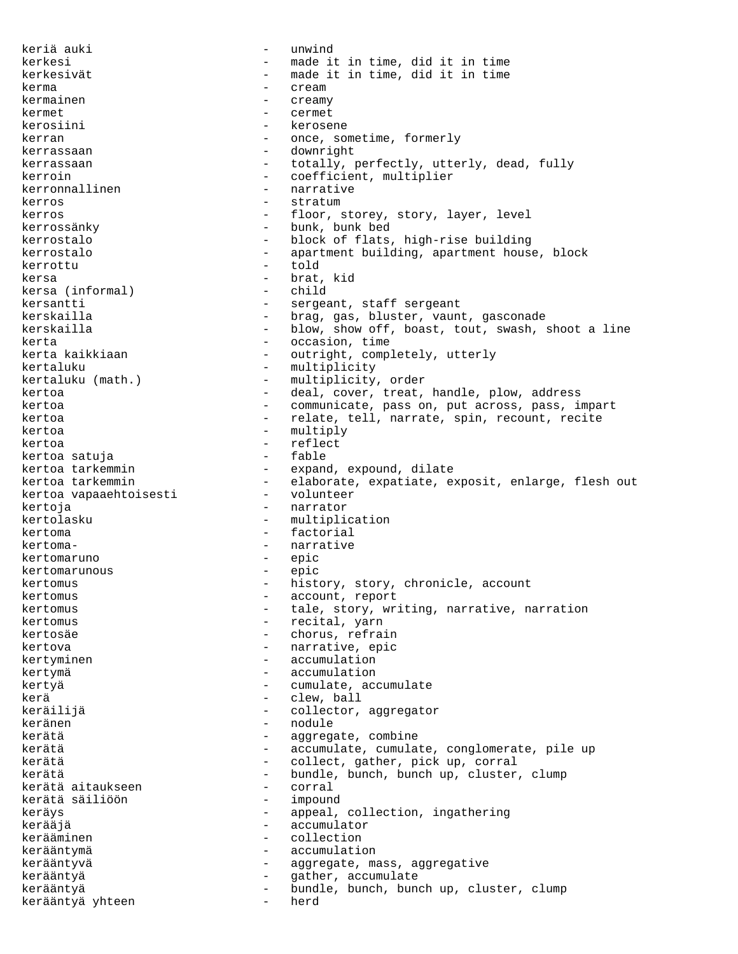keriä auki - unwind kerkesi - made it in time, did it in time kerkesivät - made it in time, did it in time kerma - cream kermainen 1988 between 1988 between 1988 between 1988 between 1988 between 1988 between 1988 between 1988 betwe kermet - cermet kerosiini - kerosene kerran  $\qquad \qquad - \qquad \text{once, something, formerly}$ kerrassaan - downright kerrassaan and the totally, perfectly, utterly, dead, fully kerroin - coefficient, multiplier kerronnallinen en aarrative kerros - stratum kerros **a floom** - floor, storey, story, layer, level kerrossänky - bunk, bunk bed kerrostalo  $-$  block of flats, high-rise building kerrostalo - apartment building, apartment house, block kerrottu - told kersa (informal) - brat, kid<br>kersa (informal) - child kersa (informal) kersantti - sergeant, staff sergeant<br>kerskailla - - - - - - - - brag, gas, bluster, yaun - brag, gas, bluster, vaunt, gasconade kerskailla - blow, show off, boast, tout, swash, shoot a line kerta - occasion, time - outright, completely, utterly kertaluku - multiplicity kertaluku (math.) - multiplicity, order kertoa  $-$  deal, cover, treat, handle, plow, address kertoa en el este en communicate, pass on, put across, pass, impart kertoa - relate, tell, narrate, spin, recount, recite<br>kertoa - multiply kertoa - multiply<br>kertoa - reflect kertoa - reflect kertoa satuja<br>kertoa tarkemmin - expand, expound, dilate kertoa tarkemmin - elaborate, expatiate, exposit, enlarge, flesh out<br>kertoa vanaaehtoisesti - volunteer kertoa vapaaehtoisesti kertoja - narrator kertolasku - multiplication kertoma - factorial kertoma- - narrative kertomaruno - epic kertomarunous - epic kertomus - history, story, chronicle, account kertomus - account, report kertomus - tale, story, writing, narrative, narration kertomus - recital, yarn kertosäe - chorus, refrain kertova - narrative, epic kertyminen en accumulation kertymä - accumulation kertyä  $-$  cumulate, accumulate kerä  $-\text{clew}$ , ball keräilijä  $-$  collector, aggregator keränen 1988 – nodule kerätä - aggregate, combine<br>kerätä - accumulate cumulat kerätä - accumulate, cumulate, conglomerate, pile up<br>kerätä - - collect, gather, pick up, corral kerätä - collect, gather, pick up, corral kerätä<br>
kerätä aitaukseen – bundle, bunch, bunch up, cluster, clump<br>
corral kerätä aitaukseen - corral kerätä säiliöön keräys - appeal, collection, ingathering kerääjä - accumulator kerääminen - collection kerääntymä - accumulation kerääntyvä - aggregate, mass, aggregative kerääntyä - gather, accumulate kerääntyä - bundle, bunch, bunch up, cluster, clump<br>kerääntyä yhteen - herd kerääntyä yhteen - herd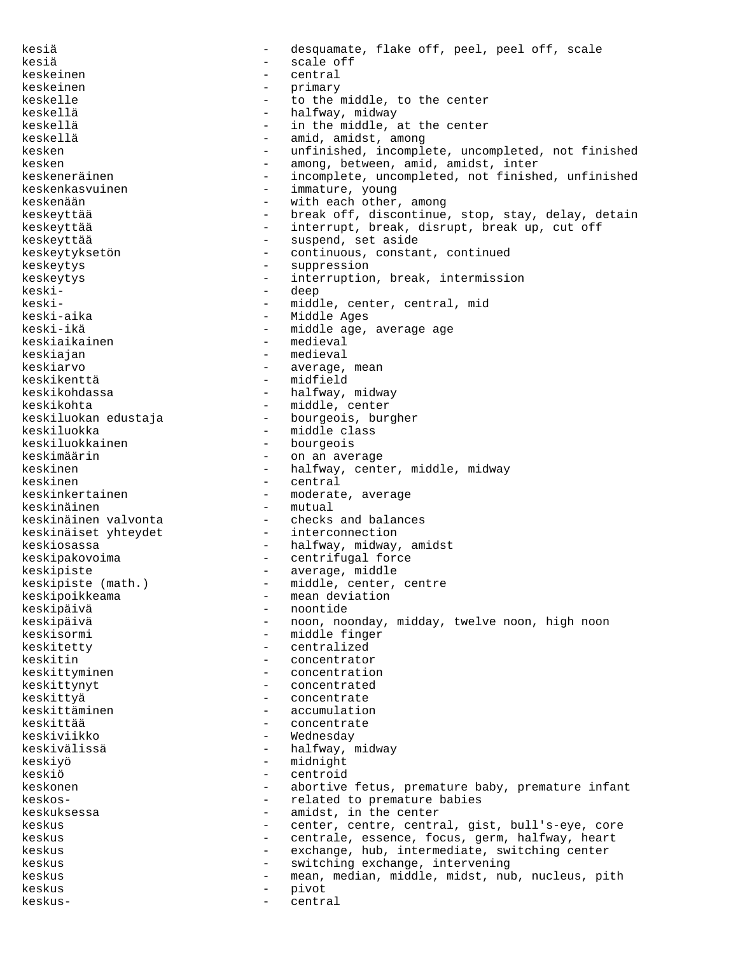kesiä  $-$  desquamate, flake off, peel, peel off, scale kesiä - scale off keskeinen - central keskeinen  $-$  primary keskelle  $-$  to the middle, to the center keskellä  $-$  halfway, midway keskellä  $-$  in the middle, at the center keskellä  $-$  amid, amidst, among kesken - unfinished, incomplete, uncompleted, not finished kesken - among, between, amid, amidst, inter keskeneräinen - incomplete, uncompleted, not finished, unfinished keskenkasvuinen en metalliste voung keskenään - with each other, among keskeyttää  $-$  break off, discontinue, stop, stay, delay, detain keskeyttää  $-$  interrupt, break, disrupt, break up, cut off keskeyttää  $-$  suspend, set aside keskeytyksetön - continuous, constant, continued keskeytys - suppression keskeytys - interruption, break, intermission keski- - deep keski- - middle, center, central, mid keski-aika - Middle Ages<br>keski-ikä - Middle age - middle age, average age keskiaikainen 1988 - medieval keskiajan - medieval keskiarvo  $-$  average, mean keskikenttä - midfield keskikohdassa  $-$  halfway, midway keskikohta - middle, center keskiluokan edustaja - bourgeois, burgher keskiluokka <sup>-</sup> middle class<br>keskiluokkainen - hourgeois keskiluokkainen - bourgeois keskimäärin - on an average - halfway, center, middle, midway keskinen - central keskinkertainen en moderate, average keskinäinen 1988 – mutual keskinäinen valvonta - checks and balances keskinäiset yhteydet - interconnection keskiosassa - halfway, midway, amidst keskipakovoima - centrifugal force keskipiste  $-$  average, middle keskipiste (math.) - middle, center, centre keskipoikkeama - mean deviation keskipäivä - noontide keskipäivä  $-$  noon, noonday, midday, twelve noon, high noon keskisormi - middle finger keskitetty - centralized keskitin - concentrator keskittyminen - concentration keskittynyt - concentrated keskittyä - concentrate keskittäminen - accumulation keskittää  $\qquad \qquad -$  concentrate keskiviikko - Wednesday keskivälissä - halfway, midway<br>keskivä keskiyö - midnight<br>keskiö - midnight keskiö - centroid keskonen - abortive fetus, premature baby, premature infant keskos-<br>
- related to premature babies keskuksessa <br/> - amidst, in the center keskus - center, centre, central, gist, bull's-eye, core keskus extended to centrale, essence, focus, germ, halfway, heart keskus **- exchange, hub, intermediate, switching center** keskus - switching exchange, intervening keskus **1988** - mean, median, middle, midst, nub, nucleus, pith keskus - pivot keskus- - central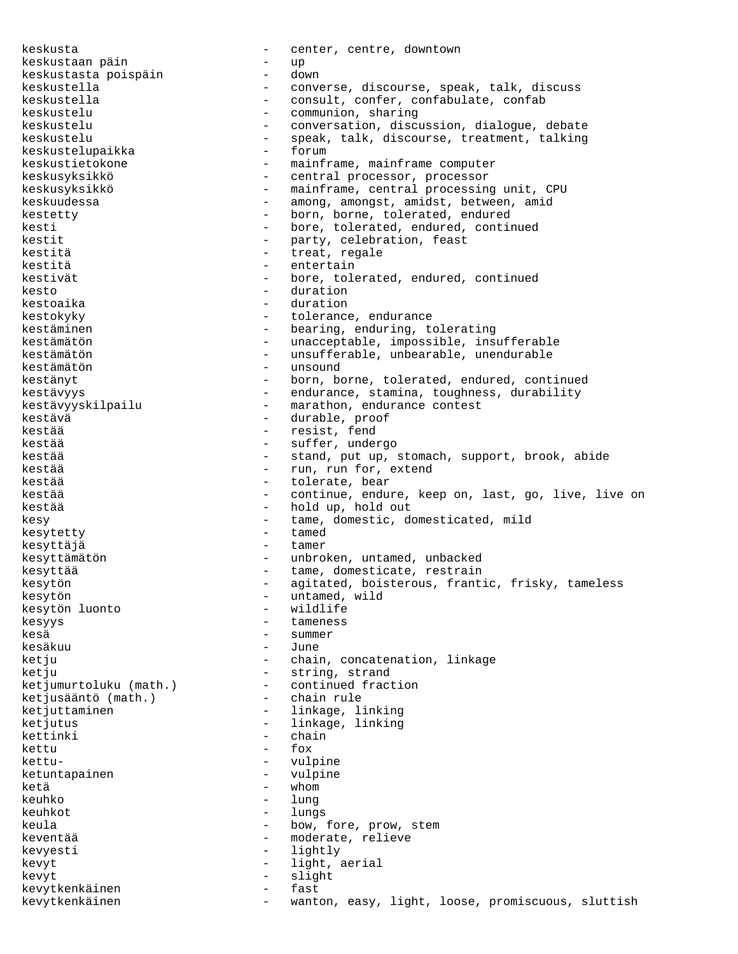keskusta - center, centre, downtown keskustaan päin - up keskustasta poispäin keskustella - converse, discourse, speak, talk, discuss<br>keskustella - consult, confer, confabulate, confab keskustella - consult, confer, confabulate, confabulate, confabulate, confabulate, confabulate, confabulate, confabulate, confabulate, confabulate, confabulate, confabulate, confabulate, confabulate, confabulate, confined keskustelu - communion, sharing<br>keskustelu - conversation, disc keskustelu - conversation, discussion, dialogue, debate<br>keskustelu - speak, talk, discourse, treatment, talking - speak, talk, discourse, treatment, talking<br>- forum keskustelupaikka keskustietokone en mainframe, mainframe computer keskusyksikkö - central processor, processor keskusyksikkö - mainframe, central processing unit, CPU keskuudessa - among, amongst, amidst, between, amid kestetty - born, borne, tolerated, endured kesti  $-$  bore, tolerated, endured, continued kestit  $-$  party, celebration, feast kestitä  $-$  treat, regale kestitä - entertain kestivät - bore, tolerated, endured, continued<br>kesto kesto - duration - duration - duration - duration - duration - duration - duration - duration - duration - dura kestoaika - duration - duration - duration - duration - duration - duration - duration - duration - duration kestokyky  $\qquad \qquad -$  tolerance, endurance kestäminen - bearing, enduring, tolerating kestämätön - unacceptable, impossible, insufferable kestämätön - unsufferable, unbearable, unendurable kestämätön - unsound kestänyt endured, endured, endured, endured, endured, endured, endured, endured, endured, endured, endured, en kestävyys endurance, stamina, toughness, durability kestävyyskilpailu  $-$  marathon, endurance contest kestävä - durable, proof kestää - resist, fend<br>kestää - resist, fend kestää - suffer, undergo - suffer, undergo - suffer, undergo - suffer, undergo - stand, put up, kestää - stand, put up, stomach, support, brook, abide<br>kestää - sun run for extend - run, run for, extend kestää  $-$  tolerate, bear kestää - continue, endure, keep on, last, go, live, live on kestää  $-$  hold up, hold out kesy - tame, domestic, domesticated, mild kesytetty - tamed kesyttäjä - tamer kesyttämätön - unbroken, untamed, unbacked kesyttää  $-$  tame, domesticate, restrain kesytön - agitated, boisterous, frantic, frisky, tameless kesytön - untamed, wild kesytön luonto - wildlife kesyys - tameness kesä - summer kesäkuu - June ketju - chain, concatenation, linkage ketju - string, strand ketjumurtoluku (math.) - continued fraction<br>ketjusääntö (math.) - chain rule ketjusääntö (math.) ketjuttaminen  $-$  linkage, linking ketjutus - linkage, linking<br>
kettinki - chain<br>
- chain kettinki - chain<br>kettu - fox - fox kettu - fox kettu- - vulpine ketuntapainen i vulpinen vulpinen vulpinen vulpinen vulpinen vulpinen vulpinen vulpinen vulpinen vulpinen vulpinen vulpinen vulpinen vulpinen vulpinen vulpinen vulpinen vulpinen vulpinen vulpinen vulpinen vulpinen vulpinen ketä - whom keuhko - lung keuhkot - lungs keula  $-$  bow, fore, prow, stem keventää  $-$  moderate, relieve kevyesti - lightly - lightly<br>kevyt - light kevyt - light, aerial kevyt - slight kevytkenkäinen - fast kevytkenkäinen - wanton, easy, light, loose, promiscuous, sluttish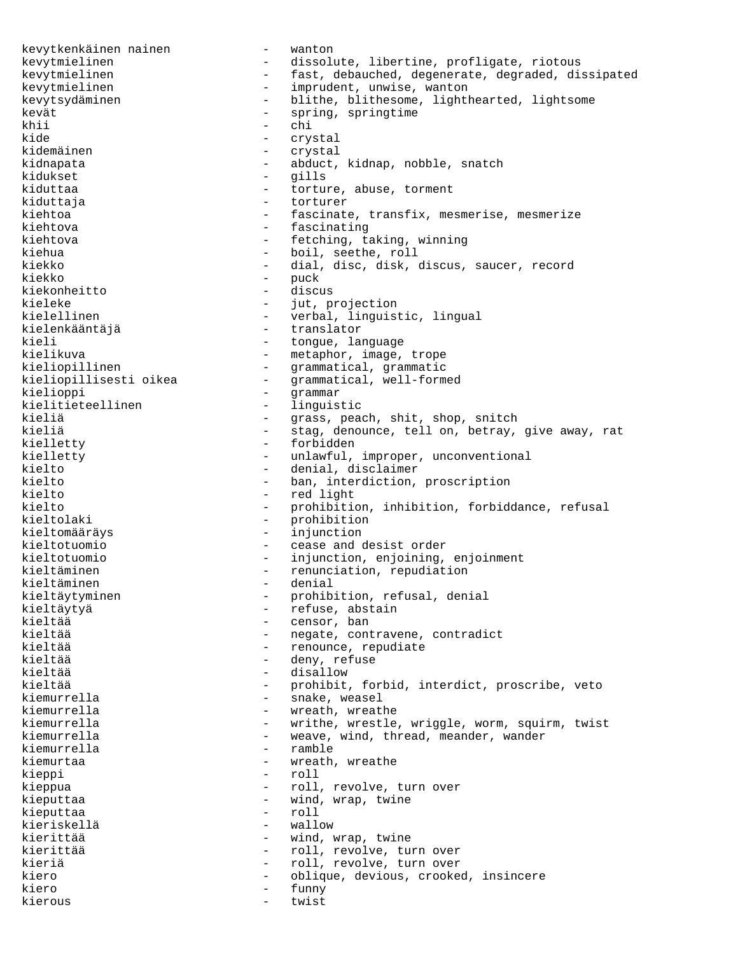kevytkenkäinen nainen - wanton kevytmielinen - dissolute, libertine, profligate, riotous kevytmielinen - fast, debauched, degenerate, degraded, dissipated kevytmielinen - imprudent, unwise, wanton kevytsydäminen - blithe, blithesome, lighthearted, lightsome kevät - spring, springtime khii - chi<br>kide - chi kide - crystal - crystal<br>kidemäinen - crystal - crystal - crystal kidnapata - abduct, kidnap, nobble, snatch kidukset - gills kiduttaa  $-$  torture, abuse, torment kiduttaja - torturer kiehtoa - fascinate, transfix, mesmerise, mesmerize kiehtova - fascinating - fascinating kiehtova - fetching, taking, winning kiehua - boil, seethe, roll kiekko - dial, disc, disk, discus, saucer, record kiekko – puck – puck – puck – puck – puck – puck – puck – puck – puck – puck – puck – puck – puck – puck – puck – puck – puck – puck – puck – puck – puck – puck – puck – puck – puck – puck – puck – puck – puck – puck – puc kiekonheitto kieleke - jut, projection<br>kielellinen - - verbal, linguist - verbal, linguistic, lingual kielenkääntäjä - translator kieli - tongue, language kielikuva - metaphor, image, trope<br>kieliopillinen - grammatical, grammatic kieliopillinen - grammatical, grammatic kieliopillisesti oikea - grammatical, well-formed kielioppi - grammar<br>kielitieteellinen - linguistic kielitieteellinen<br>kieliä kieliä - grass, peach, shit, shop, snitch<br>kieliä - - stag, denounce, tell on, betray, kieliä - stag, denounce, tell on, betray, give away, rat<br>kielletty - forbidden - forbidden kielletty - unlawful, improper, unconventional kielto <sup>-</sup> denial, disclaimer kielto  $-$  ban, interdiction, proscription kielto - red light kielto - prohibition, inhibition, forbiddance, refusal<br>kieltolaki - prohibition - prohibition kieltomääräys - injunction kieltotuomio - cease and desist order kieltotuomio - injunction, enjoining, enjoinment kieltäminen - renunciation, repudiation<br>kieltäminen - denial - denial kieltäminen kieltäytyminen en maaristellisuuta - prohibition, refusal, denial kieltäytyä - refuse, abstain kieltää – censor, ban<br>kieltää – censor, ban - negate, contravene, contradict kieltää  $-$  renounce, repudiate kieltää - deny, refuse kieltää - disallow kieltää - prohibit, forbid, interdict, proscribe, veto<br>kiemurrella - snake, weasel kiemurrella - snake, weasel kiemurrella - wreath, wreathe kiemurrella - writhe, wrestle, wriggle, worm, squirm, twist kiemurrella - weave, wind, thread, meander, wander kiemurrella - ramble kiemurtaa - wreath, wreathe kieppi - roll kieppua - roll, revolve, turn over kieputtaa - wind, wrap, twine kieputtaa - roll kieriskellä kierittää  $-$  wind, wrap, twine kierittää  $\qquad \qquad -$  roll, revolve, turn over kieriä - roll, revolve, turn over<br>kiero - chlime devious crooke kiero - oblique, devious, crooked, insincere kiero - funny kierous - twist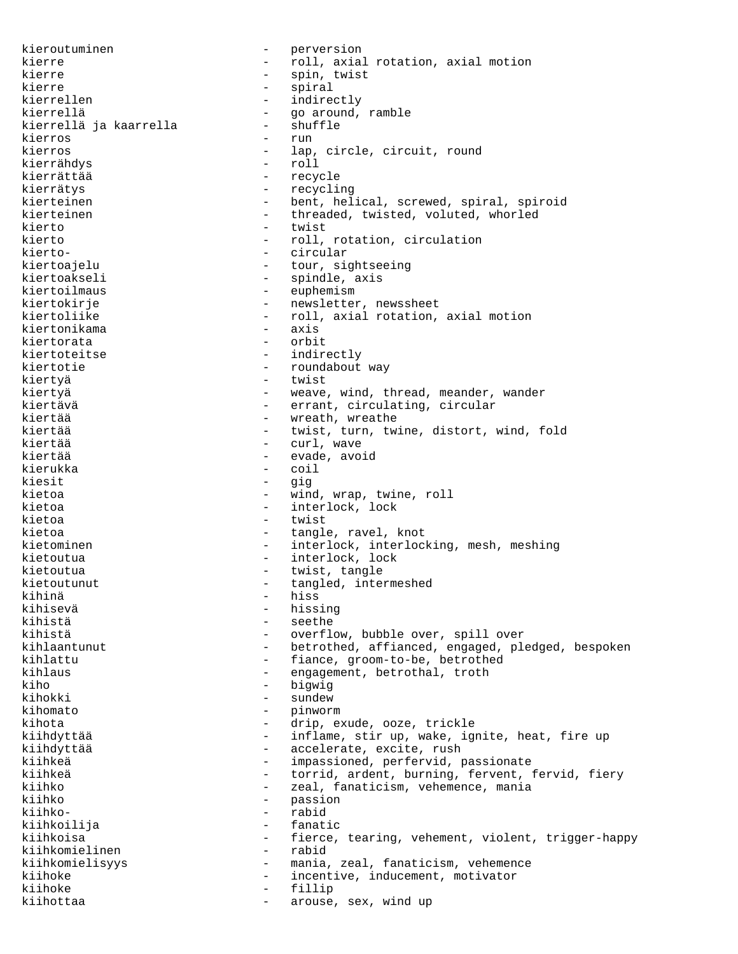kieroutuminen - perversion kierre  $\qquad \qquad -$  roll, axial rotation, axial motion kierre - spin, twist kierre - spiral kierrellen 1988 - indirectly kierrellä - go around, ramble kierrellä ja kaarrella<br>kierros kierros - run - lap, circle, circuit, round<br>- roll kierrähdys kierrättää - recycle kierrätys - recycling kierteinen 1988 - bent, helical, screwed, spiral, spiroid kierteinen 1980 - threaded, twisted, voluted, whorled kierto - twist kierto  $-$  roll, rotation, circulation kierto- - circular - tour, sightseeing kiertoakseli - spindle, axis<br>kiertoilmaus - euphemism kiertoilmaus - euphemism<br>kiertokirje - enewsletter kiertokirje - newsletter, newssheet<br>kiertoliike - - - - - - - - roll, axial rotation, - roll, axial rotation, axial motion<br>- axis kiertonikama - axis<br>kiertorata - crbit kiertorata kiertoteitse - indirectly kiertotie  $-$  roundabout way kiertyä - twist kiertyä - weave, wind, thread, meander, wander kiertävä - errant, circulating, circular kiertää - wreath, wreathe kiertää - twist, turn, twine, distort, wind, fold kiertää - curl, wave kiertää - evade, avoid - coil kiesit - gig kietoa - wind, wrap, twine, roll kietoa - interlock, lock kietoa - twist kietoa - tangle, ravel, knot kietominen - interlock, interlocking, mesh, meshing kietoutua - interlock, lock kietoutua - twist, tangle kietoutunut - tangled, intermeshed kihinä - hiss kihisevä - hissing kihistä - seethe - overflow, bubble over, spill over kihlaantunut - betrothed, affianced, engaged, pledged, bespoken kihlattu - fiance, groom-to-be, betrothed kihlaus - engagement, betrothal, troth kiho - bigwig kihokki - sundew<br>kihomato - pinworu kihomato - pinworm kihota - drip, exude, ooze, trickle kiihdyttää  $-$  inflame, stir up, wake, ignite, heat, fire up kiihdyttää - accelerate, excite, rush<br>kiihkeä - - - - - - - impassioned, perfervid, r kiihkeä - impassioned, perfervid, passionate<br>kiihkeä - inpassioned, perfervid, passionate<br>torrid, ardent, burning, fervent, j kiihkeä - torrid, ardent, burning, fervent, fervid, fiery<br>kiihko - zeal fanaticism vehemence mania - zeal, fanaticism, vehemence, mania kiihko - passion kiihko- - rabid kiihkoilija - fanatic kiihkoisa - fierce, tearing, vehement, violent, trigger-happy<br>kiihkomielinen - rabid kiihkomielinen kiihkomielisyys - mania, zeal, fanaticism, vehemence kiihoke - incentive, inducement, motivator kiihoke - fillip kiihottaa  $\qquad \qquad -$  arouse, sex, wind up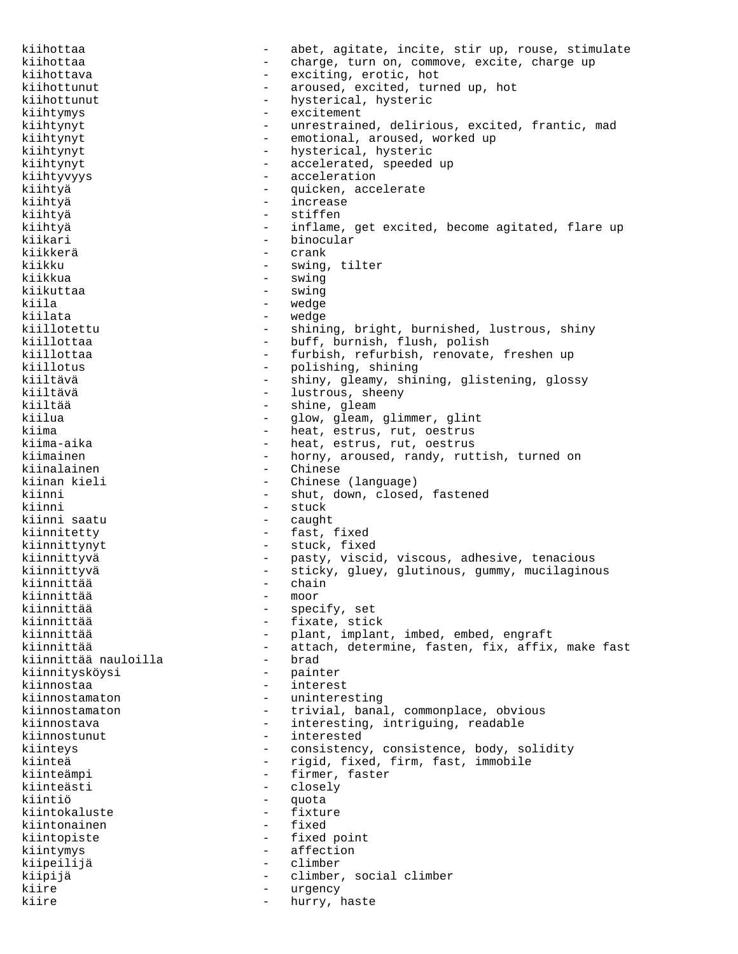kiihottaa - abet, agitate, incite, stir up, rouse, stimulate kiihottaa - charge, turn on, commove, excite, charge up kiihottava - exciting, erotic, hot kiihottunut - aroused, excited, turned up, hot kiihottunut - hysterical, hysteric kiihtymys - excitement kiihtynyt - unrestrained, delirious, excited, frantic, mad kiihtynyt en aangeste van die emotional, aroused, worked up kiihtynyt - hysterical, hysteric kiihtynyt - accelerated, speeded up kiihtyvyys - acceleration kiihtyä  $-$  quicken, accelerate kiihtyä - increase kiihtyä - stiffen kiihtyä - inflame, get excited, become agitated, flare up kiikari - binocular<br>kiikkerä kiikkerä - crank kiikku - swing, tilter<br>kiikkua - swing - swing - swing kiikuttaa - swing kiila - wedge - wedge - wedge - wedge - wedge - wedge - wedge - wedge - wedge - wedge - wedge - wedge - wedge - wedge - wedge - wedge - wedge - wedge - wedge - wedge - wedge - wedge - wedge - wedge - wedge - wedge - wedge - wedge kiillotettu - shining, bright, burnished, lustrous, shiny kiillottaa - buff, burnish, flush, polish kiillottaa - furbish, refurbish, renovate, freshen up kiillotus - polishing, shining kiiltävä - shiny, gleamy, shining, glistening, glossy kiiltävä - lustrous, sheeny kiiltää - shine, gleam kiilua - glow, gleam, glimmer, glint<br>kiima - - - - - - - - heat, estrus, rut, oestrus kiima - heat, estrus, rut, oestrus kiima-aika - heat, estrus, rut, oestrus<br>kiimainen - horny, aroused, randy, rut kiimainen - horny, aroused, randy, ruttish, turned on kiinalainen - Chinese - Chinese kiinan kieli  $-$  Chinese (language) kiinni - shut, down, closed, fastened<br>kiinni - stuck - stuck - stuck kiinni saatu - caught kiinnitetty - fast, fixed kiinnittynyt - stuck, fixed kiinnittyvä - pasty, viscid, viscous, adhesive, tenacious kiinnittyvä - sticky, gluey, glutinous, gummy, mucilaginous kiinnittää - chain kiinnittää<br>kiinnittää kiinnittää - specify, set kiinnittää - fixate, stick - plant, implant, imbed, embed, engraft kiinnittää<br>kiinnittää nauloilla - attach, determine, fasten, fix, affix, make fast kiinnittää nauloilla - brad kiinnitysköysi kiinnostaa - interest kiinnostamaton - uninteresting kiinnostamaton - trivial, banal, commonplace, obvious kiinnostava  $-$  interesting, intriguing, readable kiinnostunut - interested kiinteys - consistency, consistence, body, solidity kiinteä  $-$  rigid, fixed, firm, fast, immobile kiinteämpi - firmer, faster<br>kiinteästi - closelv - closely kiintiö - quota kiintokaluste - fixtu:<br>kiintonainen - fixed kiintonainen kiintopiste - fixed point kiintymys - affection kiipeilijä - climber kiipijä - climber, social climber<br>kiire - climber - urgency kiire - urgency - hurry, haste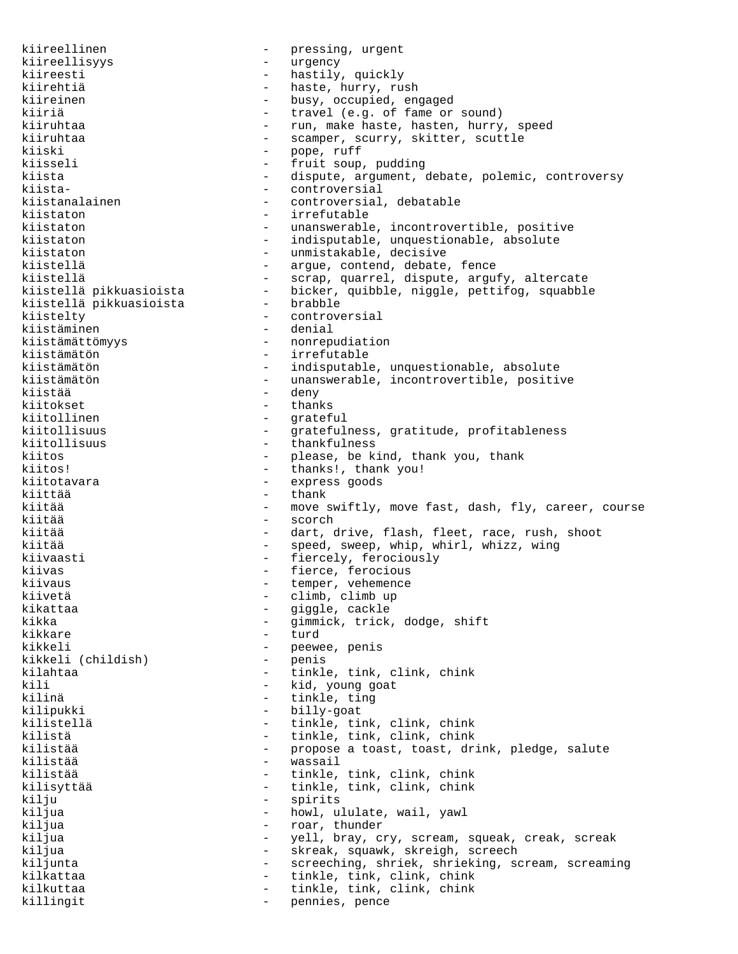kiireellinen - pressing, urgent kiireellisyys - urgency kiireesti - hastily, quickly kiirehtiä - haste, hurry, rush kiireinen - busy, occupied, engaged kiiriä - travel (e.g. of fame or sound)<br>kiiruhtaa - travel (e.g. of fame or sound) kiiruhtaa - run, make haste, hasten, hurry, speed<br>kiiruhtaa - - - - - - - - - - - - scamper, scurry, skitter, scuttle kiiruhtaa - scamper, scurry, skitter, scuttle<br>kiiski - none ruff - pope, ruff kiisseli - fruit soup, pudding kiista - dispute, argument, debate, polemic, controversy kiista- - controversial kiistanalainen 1988 - controversial, debatable kiistaton - irrefutable kiistaton - unanswerable, incontrovertible, positive kiistaton - indisputable, unquestionable, absolute kiistaton - unmistakable, decisive kiistellä - argue, contend, debate, fence<br>kiistellä - - scrap, quarrel, dispute, argu - scrap, quarrel, dispute, argufy, altercate - bicker, quibble, niggle, pettifog, squabble kiistellä pikkuasioista - brabble kiistelty - controversial kiistäminen - denial kiistämättömyys - nonrepudiation kiistämätön - irrefutable - indisputable, unquestionable, absolute kiistämätön - unanswerable, incontrovertible, positive kiistää kiitokset - thanks kiitollinen - grateful<br>kiitollisuus - grateful kiitollisuus - gratefulness, gratitude, profitableness<br>kiitollisuus - thankfulness kiitollisuus - thankfulness<br>kiitos - please bek kiitos - please, be kind, thank you, thank kiitos! - thanks!, thank you! kiitotavara express goods kiittää - thank kiitää - move swiftly, move fast, dash, fly, career, course kiitää - scorch kiitää - dart, drive, flash, fleet, race, rush, shoot kiitää - speed, sweep, whip, whirl, whizz, wing kiivaasti - fiercely, ferociously kiivas - fierce, ferocious<br>kiivaus - fierce, ferocious - temper, vehemence kiivetä - climb, climb up kikattaa - giggle, cackle<br>kikka - giggle, cackle kikka - gimmick, trick, dodge, shift<br>kikkare - turd - turd kikkeli - peewee, penis<br>kikkeli (childish) - penis kikkeli (childish) kilahtaa - tinkle, tink, clink, chink kili - kid, young goat kilinä - tinkle, ting kilipukki - billy-goat kilistellä - tinkle, tink, clink, chink<br>kilistä - tinkle, tink, clink, chink kilistä - tinkle, tink, clink, chink<br>kilistää - tinkle, tink, chink<br>- propose a toast, toast, dr kilistää - propose a toast, toast, drink, pledge, salute kilistää - wassail kilistää - tinkle, tink, clink, chink<br>kilisyttää - tinkle, tink, clink, chink - tinkle, tink, clink, chink kilju - spirits - spirits - spirits - spirits - spirits - spirits - spirits - spirits - spirits - spirits - spirits - spirits - spirits - spirits - spirits - spirits - spirits - spirits - spirits - spirits - spirits - spir - howl, ululate, wail, yawl kiljua - roar, thunder - yell, bray, cry, scream, squeak, creak, screak kiljua - skreak, squawk, skreigh, screech kiljunta - screeching, shriek, shrieking, scream, screaming kilkattaa - tinkle, tink, clink, chink<br>kilkuttaa - tinkle, tink, clink, chink - tinkle, tink, clink, chink<br>- pennies pence killingit - pennies, pence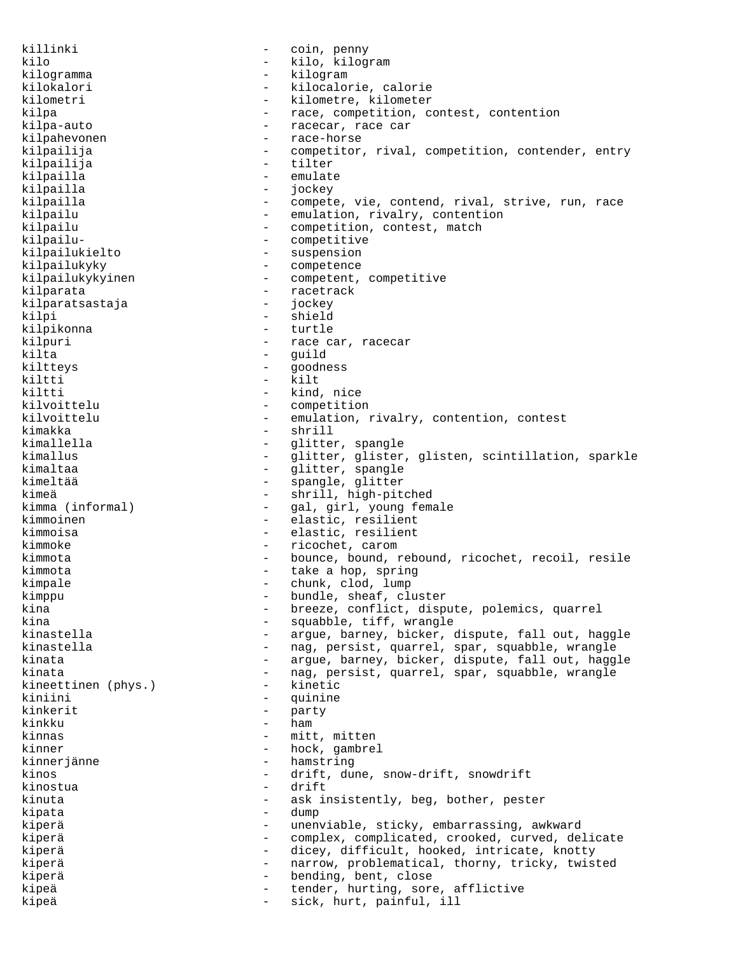killinki - coin, penny kilo - kilo, kilogram kilogramma - kilogram - kilocalorie, calorie kilometri - kilometre, kilometer kilpa - race, competition, contest, contention<br>kilpa-auto - racecar, race car kilpa-auto - racecar, race car<br>kilpahevonen - - race-horse - race-horse kilpailija - competitor, rival, competition, contender, entry kilpailija - tilter kilpailla - emulate<br>kilpailla - emulate kilpailla - jockey kilpailla - compete, vie, contend, rival, strive, run, race kilpailu - emulation, rivalry, contention kilpailu - competition, contest, match kilpailu- - competitive kilpailukielto - suspension kilpailukyky - competence kilpailukykyinen - competent, competitive kilparata - racetrack<br>kilparatsastaja - racetrack kilparatsastaja kilpi - shield kilpikonna - turtle kilpuri - race car, racecar kilta - guild<br>kilttevs - - goodne - goodness kiltti - kilt kiltti - kind, nice kilvoittelu - competition kilvoittelu - emulation, rivalry, contention, contest kimakka - shrill<br>kimallella - shrill - shrill kimallella - glitter, spangle kimallus - glitter, glister, glisten, scintillation, sparkle - glitter, spangle kimeltää  $-$  spangle, glitter kimeä - shrill, high-pitched<br>kimma (informal) - aal, qirl, young fem - gal, girl, young female kimmoinen - elastic, resilient kimmoisa - elastic, resilient kimmoke - ricochet, carom kimmota - bounce, bound, rebound, ricochet, recoil, resile kimmota  $-$  take a hop, spring kimpale  $\qquad \qquad -$  chunk, clod, lump kimppu - bundle, sheaf, cluster kina  $-$  breeze, conflict, dispute, polemics, quarrel<br>kina  $-$  squabble tiff wrangle kina - squabble, tiff, wrangle<br>kinastella - - - - - - - - arque, barney, bicker, e - argue, barney, bicker, dispute, fall out, haggle kinastella - nag, persist, quarrel, spar, squabble, wrangle kinata - argue, barney, bicker, dispute, fall out, haggle<br>kinata - aag, persist, quarrel, spar, squabble, wrangle - nag, persist, quarrel, spar, squabble, wrangle<br>- kinetic kineettinen (phys.) kiniini - quinine<br>kinkerit - party - party kinkerit - party kinkku kinnas - mitt, mitten<br>kinner - hock gambre kinner - hock, gambrel kinnerjänne - hamstring<br>kinos - drift du kinos - drift, dune, snow-drift, snowdrift<br>kinostus - drift kinostua - drift<br>kinuta - ask il kinuta - ask insistently, beg, bother, pester<br>kinata kipata - dump kiperä - unenviable, sticky, embarrassing, awkward kiperä - complex, complicated, crooked, curved, delicate kiperä - dicey, difficult, hooked, intricate, knotty kiperä - narrow, problematical, thorny, tricky, twisted kiperä  $-$  bending, bent, close kipeä - tender, hurting, sore, afflictive kipeä - sick, hurt, painful, ill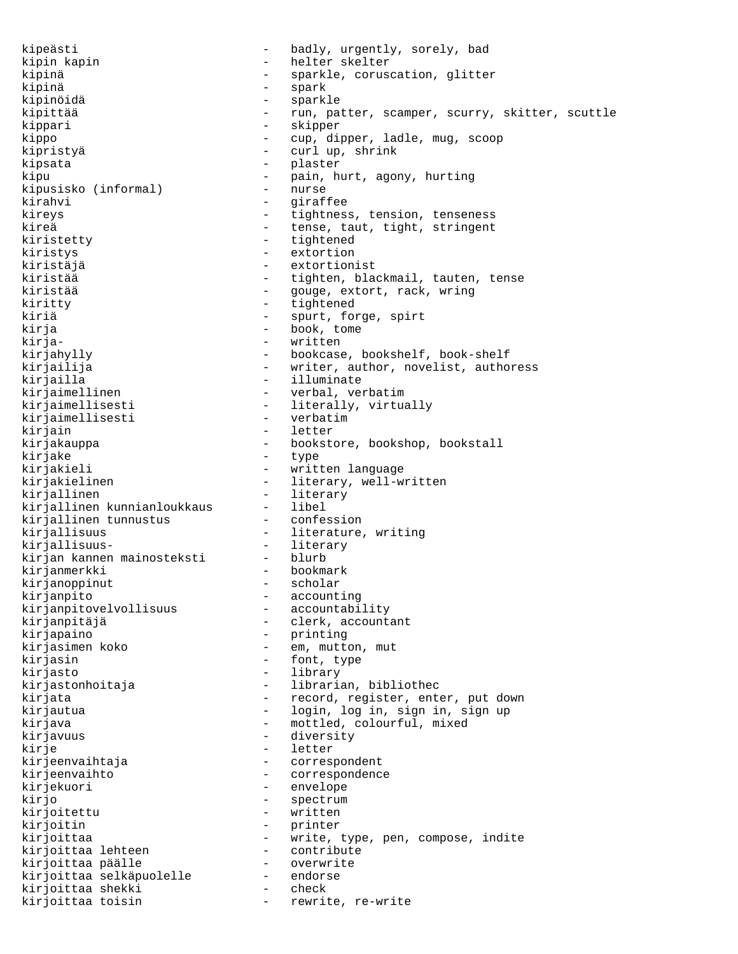kipeästi - badly, urgently, sorely, bad kipin kapin  $-$  helter skelter kipinä - spark kipinöidä - sparkle kippari - skipper kipristyä - curl up, shrink kipsata - plaster kipusisko (informal) kirahvi - giraffee kiristetty - tightened kiristys - extortion<br>kiristäjä - extortion kiritty - tightened kiriä - spurt, forge, spirt kirja  $-$  book, tome kirja- - written kirjailla - illuminate<br>kirjaimellinen - - - - - - verbal ver kirjaimellinen - verbal, verbatim kirjaimellisesti - literally, virtually<br>kirjaimellisesti - verbatim kirjaimellisesti kirjain - letter kirjake - type kirjallinen - literary<br>kirjallinen kunnianloukkaus - libel kirjallinen kunnianloukkaus - libel<br>kirjallinen tunnustus - confession kirjallinen tunnustus kirjallisuus - literature, writing kirjallisuus- - literary kirjan kannen mainosteksti - blurb kirjanmerkki - bookmark<br>kirjanoppinut - scholar kirjanoppinut kirjanpito<br>kirjanpitovelvollisuus - accountability<br>- accountability kirjanpitovelvollisuus kirjanpitäjä  $-$  clerk, accountant kirjapaino - printing kirjasimen koko - em, mutton, mut kirjasin - font, type kirjasto - library kirjastonhoitaja - librarian, bibliothec kirjavuus - diversity kirje - letter kirjeenvaihtaja - correspondent kirjeenvaihto - correspondence<br>kirjekuori - envelope - envelope kirjo - spectrum - spectrum - spectrum - spectrum - spectrum - spectrum - spectrum - spectrum - spectrum - spectrum - spectrum - spectrum - spectrum - spectrum - spectrum - spectrum - spectrum - spectrum - spectrum - spect kirjoitettu kirjoitin - printer kirjoittaa lehteen - contribute kirjoittaa päälle overwrite kirjoittaa selkäpuolelle - endorse kirjoittaa shekki - check kirjoittaa toisin - rewrite, re-write

kipinä - sparkle, coruscation, glitter run, patter, scamper, scurry, skitter, scuttle kippo - cup, dipper, ladle, mug, scoop kipu - pain, hurt, agony, hurting<br>kipusisko (informal) - hurse kireys - tightness, tension, tenseness kireä  $-$  tense, taut, tight, stringent - extortionist kiristää - tighten, blackmail, tauten, tense kiristää  $-$  gouge, extort, rack, wring kirjahylly - bookcase, bookshelf, book-shelf - writer, author, novelist, authoress kirjakauppa - bookstore, bookshop, bookstall - written language kirjakielinen - 1iterary, well-written kirjata  $-$  record, register, enter, put down kirjautua - login, log<sup>i</sup>in, sign in, sign up kirjava - mottled, colourful, mixed<br>kirjavuus - diversity - diversity - envelope kirjoittaa - write, type, pen, compose, indite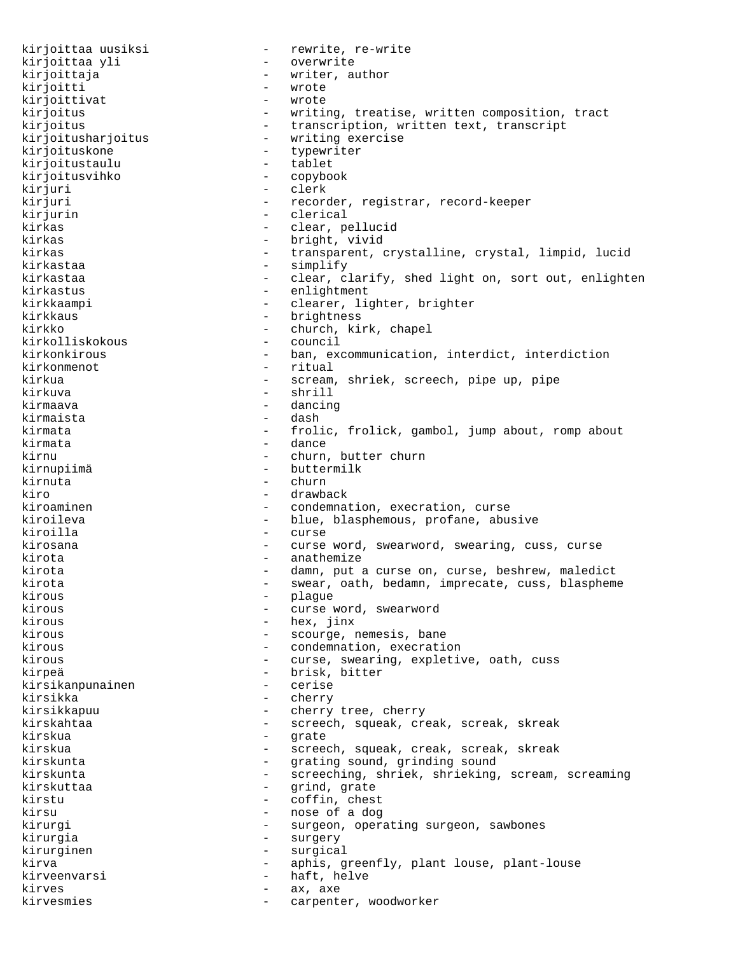kirjoittaa uusiksi - rewrite, re-write kirjoittaa yli - overwrite kirjoittaja - writer, author kirjoitti - wrote kirjoittivat - wrote<br>kirjoitus - writii kirjoitus - writing, treatise, written composition, tract<br> kirjoitus - transcription, written text, transcript - transcription, written text, transcript kirjoitusharjoitus - writing exercise<br>kirjoituskone - typewriter kirjoituskone - typewr<br>kirioitustaulu - tablet kirjoitustaulu - tablet<br>kirjoitusvihko - copybook kirjoitusvihko<br>kirjuri - clerk kirjuri - recorder, registrar, record-keeper kirjurin - clerical kirkas  $\qquad \qquad -$  clear, pellucid kirkas - bright, vivid kirkas - transparent, crystalline, crystal, limpid, lucid kirkastaa - simplify - simplify<br>kirkastaa - simplify - clear c kirkastaa - clear, clarify, shed light on, sort out, enlighten kirkastus - enlightment<br>kirkkaampi - enlightment kirkkaampi - clearer, lighter, brighter kirkkaus - brightness<br>kirkko - church ki - church, kirk, chapel<br>- council kirkolliskokous kirkonkirous - ban, excommunication, interdict, interdiction kirkonmenot - ritual kirkua - scream, shriek, screech, pipe up, pipe - shrill kirmaava - dancing kirmaista - dashin - dashin - dashin - dashin - dashin - dashin - dashin - dashin - dashin - dashin - dashin kirmata  $\begin{array}{ccc} - & \text{frolic, frolick, gambol, jump about, romp about} \\ - & \text{dense} \end{array}$ kirmata - dance<br>kirmu - churn kirnu - churn, butter churn kirnupiimä - buttermilk kirnuta - churn kiro  $\qquad \qquad -$  drawback kiroaminen en en een alleen van de condemnation, execration, curse kiroileva - blue, blasphemous, profane, abusive<br>kiroilla kiroilla - curse kirosana - curse word, swearword, swearing, cuss, curse kirota - anathemize kirota - damn, put a curse on, curse, beshrew, maledict kirota - swear, oath, bedamn, imprecate, cuss, blaspheme kirous - plague - plague - plague - plague - plague - plague - plague - plague - plague - plague - plague - plague - plague - plague - plague - plague - plague - plague - plague - plague - plague - plague - plague - plague kirous - curse word, swearword kirous - hex, jinx kirous - scourge, nemesis, bane kirous execration - condemnation, execration kirous explored that the curse, swearing, expletive, oath, cuss kirpeä - brisk, bitter kirsikanpunainen - cerise kirsikka - cherry kirsikkapuu - cherry tree, cherry kirskahtaa - screech, squeak, creak, screak, skreak kirskua - grate kirskua - screech, squeak, creak, screak, skreak kirskunta - Grating sound, grinding sound kirskunta - screeching, shriek, shrieking, scream, screaming kirskuttaa - grind, grate<br>kirstu - grind, grate kirstu - coffin, chest kirsu - nose of a dog kirurgi - surgeon, operating surgeon, sawbones kirurgia - surgery kirurginen - surgical kirva - aphis, greenfly, plant louse, plant-louse kirveenvarsi - haft, helve kirves - ax, axe kirvesmies en andere voor de sterre voor de sterre voor de voor de voor de voor de voor de voor de voor de voor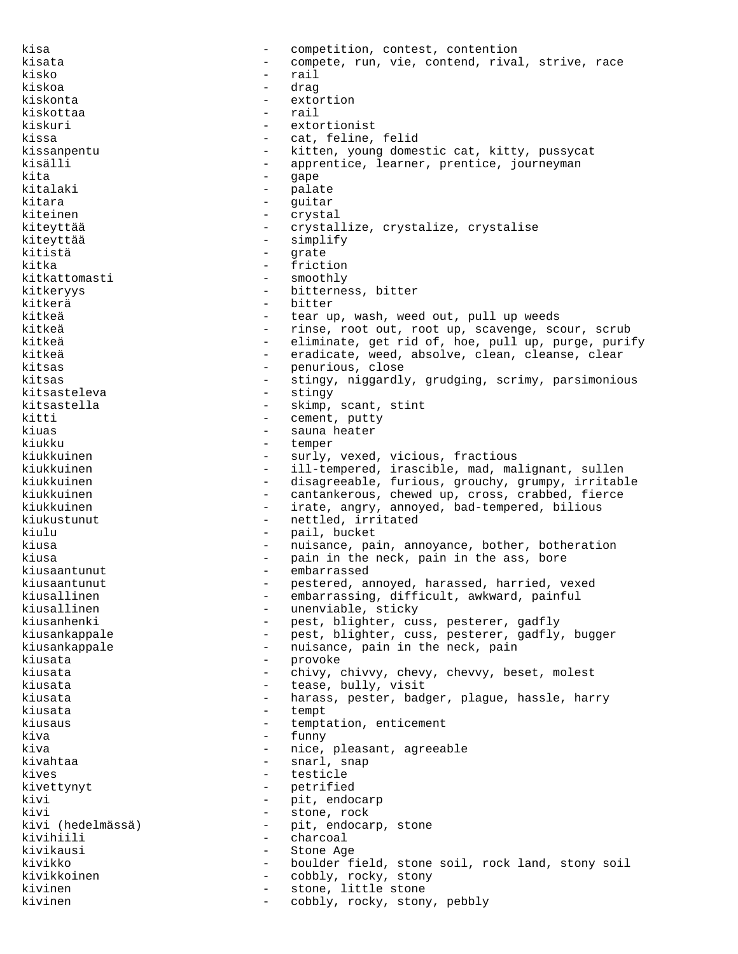kisa - competition, contest, contention kisata  $-$  compete, run, vie, contend, rival, strive, race kisko - rail kiskoa - drag kiskonta - extortion kiskottaa - rail kiskuri - extortionist<br>kissa - extortionist<br>- cat. feline. cat, feline, felid kissanpentu - kitten, young domestic cat, kitty, pussycat kisälli - apprentice, learner, prentice, journeyman kita - gape kitalaki - palate<br>kitara - palate kitara  $-$  quitar kiteinen  $-$  crystal kiteyttää - crystallize, crystalize, crystalise kiteyttää - simplify kitistä – grate kitka - friction kitkattomasti - smoothly - smoothly - smoothly - smoothly - smoothly - smoothly -- bitterness, bitter<br>- bitter kitkerä - bitter tear up, wash, weed out, pull up weeds kitkeä  $-$  rinse, root out, root up, scavenge, scour, scrub kitkeä - eliminate, get rid of, hoe, pull up, purge, purify kitkeä - eradicate, weed, absolve, clean, cleanse, clear kitsas - penurious, close kitsas  $-$  stingy, niggardly, grudging, scrimy, parsimonious kitsasteleva - stingy kitsastella - skimp, scant, stint<br>kitti - cement putty kitti - cement, putty kiuas - sauna heater<br>kiukku - sauna heater<br>- temper kiukku - temper - temper - temper - temper - temper - temper - temper - temper - temper - temper - temper - temper - temper - temper - temper - temper - temper - temper - temper - temper - temper - temper - temper - temper kiukkuinen - surly, vexed, vicious, fractious<br>kiukkuinen - - ill-tempered, irascible, mad, ma kiukkuinen - ill-tempered, irascible, mad, malignant, sullen - disagreeable, furious, grouchy, grumpy, irritable kiukkuinen - cantankerous, chewed up, cross, crabbed, fierce kiukkuinen - irate, angry, annoyed, bad-tempered, bilious<br>kiukustunut - nettled irritated kiukustunut - nettled, irritated kiulu - pail, bucket kiusa  $-$  nuisance, pain, annoyance, bother, botheration kiusa - pain in the neck, pain in the ass, bore kiusaantunut - embarrassed kiusaantunut - pestered, annoyed, harassed, harried, vexed<br>kiusallinen - embarrassing, difficult, awkward, painful kiusallinen - embarrassing, difficult, awkward, painful<br>kiusallinen - unenviable, sticky kiusallinen - unenviable, sticky<br>kiusanhenki - best, blighter, cu kimen - pest, blighter, cuss, pesterer, gadfly<br>- pest, blighter, cuss, pesterer, gadfly kiusankappale - pest, blighter, cuss, pesterer, gadfly, bugger kiusankappale - - nuisance, pain in the neck, pain kiusata - provoke - provoke - provoke - provoke - provoke - provoke - provoke - provoke - provoke - provoke - provoke - provoke - provoke - provoke - provoke - provoke - provoke - provoke - provoke - provoke - provoke - pr kiusata - chivy, chivvy, chevy, chevvy, beset, molest kiusata  $\qquad \qquad -$  tease, bully, visit kiusata - harass, pester, badger, plague, hassle, harry kiusata  $-$  tempt kiusaus - temptation, enticement kiva - funny - nice, pleasant, agreeable<br>- snarl snap kivahtaa  $-$  snarl, snap kives - testicle - petrified kivi - pit, endocarp kivi - stone, rock - pit, endocarp, stone<br>- charcoal kivihiili - charcoal kivikausi - Stone Age kivikko - boulder field, stone soil, rock land, stony soil<br>kivikkoinen - cobbly rocky stony kivikkoinen - cobbly, rocky, stony<br>kivinen - stone little stone kivinen 1988 - Stone, little stone kivinen - cobbly, rocky, stony, pebbly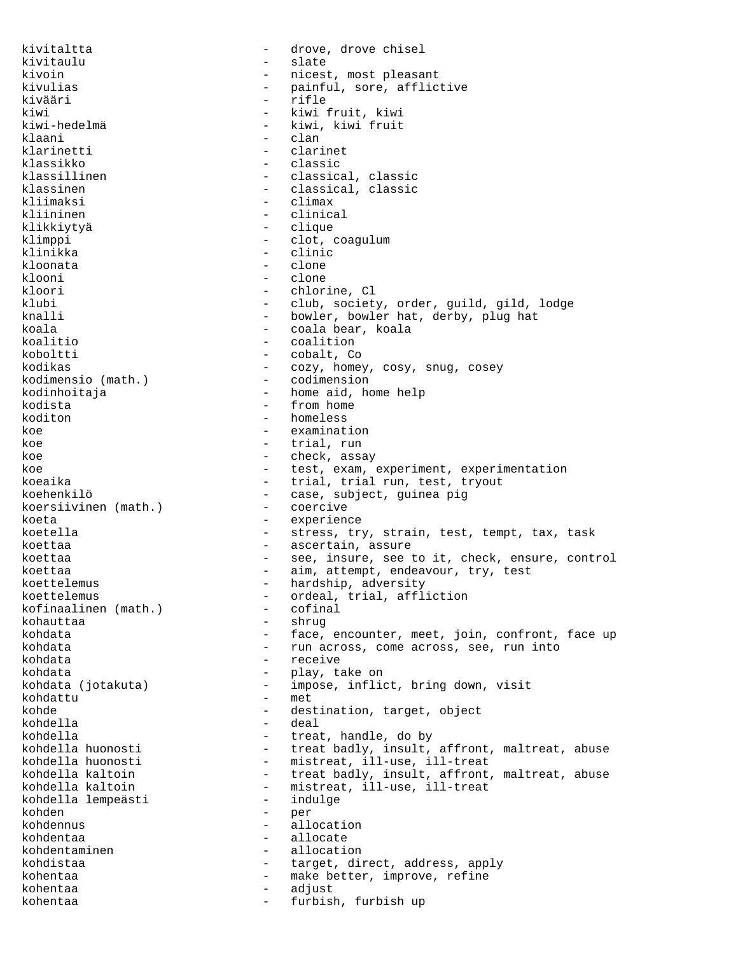kivitaltta - drove, drove chisel kivitaulu - slate kivoin - nicest, most pleasant kivulias - painful, sore, afflictive kivääri - rifle kiwi - kiwi fruit, kiwi kiwi-hedelmä - kiwi, kiwi fruit<br>klaani - clan klaani - clan<br>klarinetti - clan - clarinet klassikko - classic<br>klassillinen - classic klassillinen - classical, classic<br>klassinen - classical, classic klassinen - classical, classic<br>kliimaksi - climax - climax - climax kliininen - clinical klikkiytyä - clique - clot, coagulum klinikka - clinic<br>kloonata - clone kloonata - clone klooni<br>kloori kloori - chlorine, Cl<br>klubi - club societi klubi - club, society, order, guild, gild, lodge - bowler, bowler hat, derby, plug hat koala  $\sim$  - coala bear, koala koalitio - coalition koboltti - cobalt, Co kodikas - cozy, homey, cosy, snug, cosey kodimensio (math.) - codimension kodinhoitaja - home aid, home help kodista  $-$  from home koditon - homeless koe - examination koe - trial, run koe - check, assay koe - test, exam, experiment, experimentation<br>koeaika - trial, trial run, test, tryout - trial, trial run, test, tryout koehenkilö<br>
koersiivinen (math.) – case, subject, guinea pig<br>
- coercive koersiivinen (math.) koeta  $-$  experience koetella - stress, try, strain, test, tempt, tax, task koettaa - ascertain, assure koettaa - see, insure, see to it, check, ensure, control koettaa - aim, attempt, endeavour, try, test<br>koettelemus - hardship, adversity - hardship, adversity koettelemus<br>kofinaalinen (math.) - ordeal, trial, affliction<br>cofinaalinen (math.) - cofinal kofinaalinen (math.) kohauttaa - shrug - shrug - shrug - shrug - shrug - shrug - shrug - shrug - shrug - shrug - shrug - shrug - shrug - shrug - shrug - shrug - shrug - shrug - shrug - shrug - shrug - shrug - shrug - shrug - shrug - shrug - sh - face, encounter, meet, join, confront, face up kohdata - run across, come across, see, run into kohdata - receive kohdata  $-$  play, take on kohdata (jotakuta) - impose, inflict, bring down, visit kohdattu – met<br>kohde – des kohde  $-$  destination, target, object kohdella - deal kohdella  $-$  treat, handle, do by kohdella huonosti  $-$  treat badly, insult, kohdella huonosti treat badly, insult, affront, maltreat, abuse kohdella huonosti mistreat, ill-use, ill-treat kohdella huonosti - mistreat, ill-use, ill-treat kohdella kaltoin treat badly, insult, affront, maltreat, abuse kohdella kaltoin mistreat, ill-use, ill-treat - mistreat, ill-use, ill-treat<br>- indulge kohdella lempeästi kohden - per kohdennus - allocation kohdentaa - allocate - allocate kohdentaminen - allocation kohdistaa - target, direct, address, apply kohentaa - make better, improve, refine kohentaa - adjust kohentaa - furbish, furbish up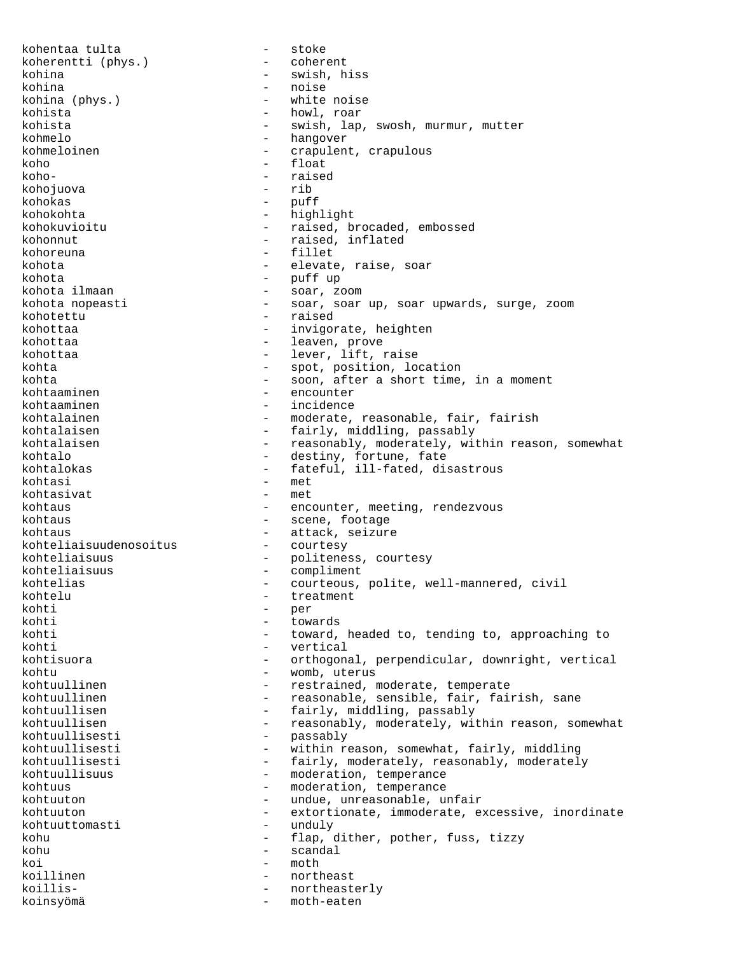kohentaa tulta - stoke koherentti (phys.) kohina - swish, hiss kohina - noise kohina (phys.) kohista - howl, roar kohista - swish, lap, swosh, murmur, mutter kohmelo - hangover kohmeloinen  $\qquad \qquad -$  crapulent, crapulous koho - float koho- - raised kohojuova<br>kohokas - puff kohokohta - highlight kohokuvioitu - raised, brocaded, embossed kohonnut - raised, inflated kohoreuna - fillet<br>kohota - fillet<br>elevate - elevate, raise, soar kohota - puff up - soar, zoom kohota nopeasti - soar, soar up, soar upwards, surge, zoom kohotettu - raised kohottaa - invigorate, heighten kohottaa  $\qquad \qquad -$  leaven, prove kohottaa - lever, lift, raise kohta  $-$  spot, position, location kohta  $-$  soon, after a short time, in a moment kohtaaminen - encounter kohtaaminen - incidence kohtalainen  $-$  moderate, reasonable, fair, fairish kohtalaisen  $-$  fairly, middling, passably kohtalaisen - reasonably, moderately, within reason, somewhat<br>kohtalo - destiny, fortune, fate - destiny, fortune, fate kohtalokas - fateful, ill-fated, disastrous kohtasi - met<br>kohtasivat - met kohtasivat kohtaus - encounter, meeting, rendezvous kohtaus - scene, footage kohtaus - attack, seizure<br>kohteliaisuudenosoitus - courtesy kohteliaisuudenosoitus kohteliaisuus - politeness, courtesy<br>
kohteliaisuus - compliment kohteliaisuus - compliment kohtelias  $\begin{array}{ccc}\n\text{counteous, police, well-maned, civil} \\
\text{shortelu} & \text{treatment}\n\end{array}$ kohtelu - treatment kohti - per kohti - towards - towards - towards - towards - towards - towards - towards - towards - towards - towards - towards - towards - towards - towards - towards - towards - towards - towards - towards - towards - towards - towa - toward, headed to, tending to, approaching to kohti - vertical kohtisuora - orthogonal, perpendicular, downright, vertical kohtu - womb, uterus kohtuullinen en metallinen alle en metallinen alle en metallinen metallinen alle en metallinen alle en metall kohtuullinen - reasonable, sensible, fair, fairish, sane kohtuullisen - fairly, middling, passably kohtuullisen - reasonably, moderately, within reason, somewhat kohtuullisesti - passably kohtuullisesti - within reason, somewhat, fairly, middling kohtuullisesti - fairly, moderately, reasonably, moderately<br>kohtuullisuus - moderation, temperance - moderation, temperance kohtuus - moderation, temperance kohtuuton - undue, unreasonable, unfair kohtuuton - extortionate, immoderate, excessive, inordinate<br>kohtuuttomasti - unduly kohtuuttomasti kohu  $-$  flap, dither, pother, fuss, tizzy kohu - scandal koi - moth koillinen - northeast<br>koillis- - northeast koillis-  $-$  northeasterly koinsyömä - moth-eaten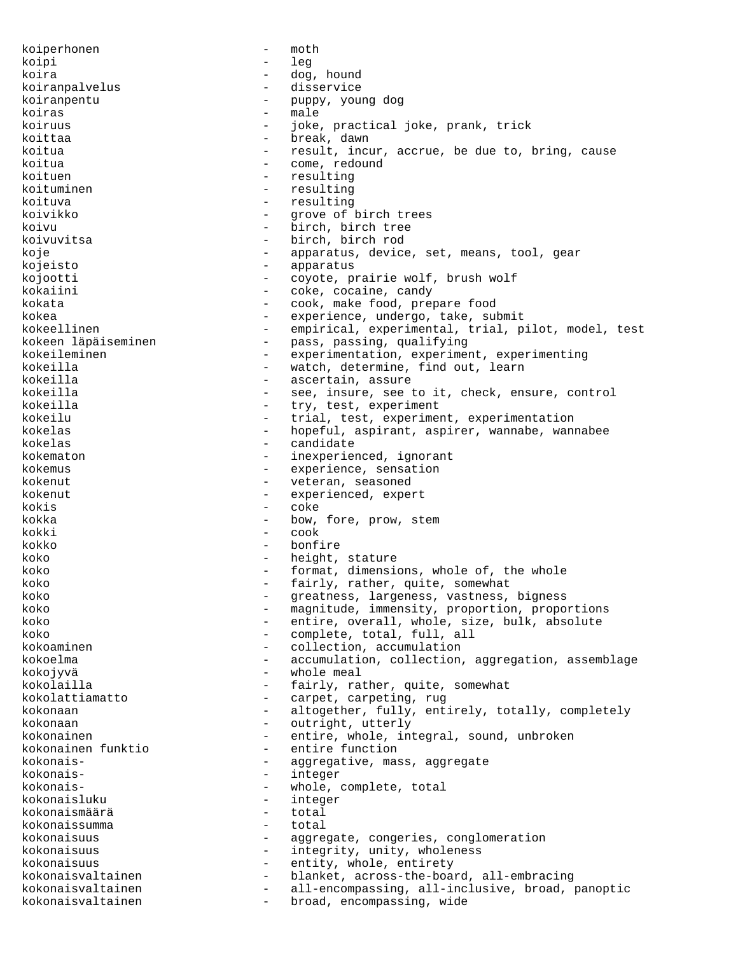koiperhonen - moth koipi - leg koira - dog, hound koiranpalvelus - disservice koiranpentu - puppy, young dog koiras - male koiruus - joke, practical joke, prank, trick koittaa  $-$  break, dawn koitua - result, incur, accrue, be due to, bring, cause koitua - come, redound<br>koituen - resulting - resulting koituminen en metalling en metalling van de metalling van de metalling van de metalling van de metalling van de koituva - resulting koivikko - grove of birch trees koivu - birch, birch tree koivuvitsa - birch, birch rod koje - apparatus, device, set, means, tool, gear<br>kojeisto - apparatus kojeisto - apparatus kojootti - coyote, prairie wolf, brush wolf kokaiini  $\qquad \qquad - \qquad \text{coke, cocaine, candy}$ kokata - cook, make food, prepare food<br>kokea - experience undergo take sui kokea - experience, undergo, take, submit<br>kokeellinen - empirical, experimental, trial, p. - empirical, experimental, trial, pilot, model, test kokeen läpäiseminen  $-$  pass, passing, qualifying kokeileminen - experimentation, experiment, experimenting kokeilla - watch, determine, find out, learn kokeilla - ascertain, assure kokeilla - see, insure, see to it, check, ensure, control kokeilla - try, test, experiment kokeilu - trial, test, experiment, experimentation<br>kokelas - hopeful aspirant aspirer wannabe wan kokelas - hopeful, aspirant, aspirer, wannabe, wannabee<br>kokelas kokelas - candidate<br>kokemator - inexperier kokematon - inexperienced, ignorant kokemus - experience, sensation<br>kokemut - veteran seasoned kokenut - veteran, seasoned kokenut - experienced, expert<br>kokis kokis - coke kokka - bow, fore, prow, stem kokki - cook kokko - bonfire koko  $-$  height, stature koko  $-$  format, dimensions, whole of, the whole koko - fairly, rather, quite, somewhat<br>koko - fairly, rather, quite, somewhat koko  $-$  greatness, largeness, vastness, bigness koko - magnitude, immensity, proportion, proportions koko - entire, overall, whole, size, bulk, absolute koko - complete, total, full, all kokoaminen - collection, accumulation kokoelma - accumulation, collection, aggregation, assemblage kokojyvä - whole meal kokolailla - fairly, rather, quite, somewhat kokolattiamatto - carpet, carpeting, rug kokonaan - altogether, fully, entirely, totally, completely kokonaan - outright, utterly kokonainen - entire, whole, integral, sound, unbroken<br>kokonainen funktio - entire function kokonainen function<br>Kokonainen martia - entire function entire function - entire function de la de la de la de la de la de la déca kokonais- - aggregative, mass, aggregate kokonais-<br>
kokonais-<br>
kokonais-<br>
integer<br>
and the set of the set of the set of the set of the set of the set of the set of the set of the set of the set of the set of the set of the set of the set of the set of the set of whole, complete, total kokonaisluku - integer<br>kokonaismäärä - total kokonaismäärä - total kokonaissumma kokonaisuus - aggregate, congeries, conglomeration kokonaisuus - integrity, unity, wholeness<br>
kokonaisuus - entity, whole. entirety kokonaisuus - entity, whole, entirety<br>kokonaisvaltainen - - blanket, across-the-boa - blanket, across-the-board, all-embracing kokonaisvaltainen - all-encompassing, all-inclusive, broad, panoptic kokonaisvaltainen en metallisuur - broad, encompassing, wide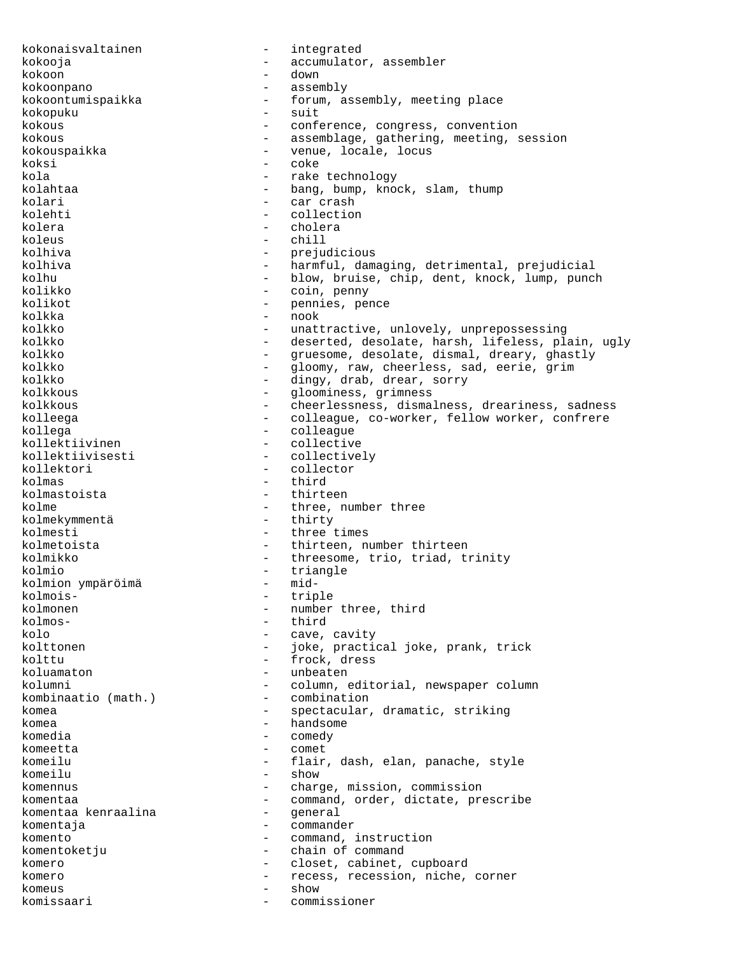kokonaisvaltainen - integrated kokooja - accumulator, assembler kokoon - down kokoonpano - assembly kokoontumispaikka - forum, assembly, meeting place kokopuku - suit kokous - conference, congress, convention<br>kokous - assemblage gathering meeting kokous - assemblage, gathering, meeting, session<br>kokouspaikka - - venue, locale, locus - venue, locale, locus koksi - coke kola - rake technology<br>kolahtaa - rake technology<br>- hang, hump, know - bang, bump, knock, slam, thump kolari - car crash kolehti - collection kolera - cholera koleus - chill kolhiva - prejudicious kolhiva - harmful, damaging, detrimental, prejudicial kolhu - blow, bruise, chip, dent, knock, lump, punch<br>kolikko - coin, penny kolikko - coin, penny - pennies, pence<br>- nook kolkka kolkko - unattractive, unlovely, unprepossessing kolkko - deserted, desolate, harsh, lifeless, plain, ugly kolkko - gruesome, desolate, dismal, dreary, ghastly kolkko - gloomy, raw, cheerless, sad, eerie, grim kolkko - dingy, drab, drear, sorry <sup>-</sup> gloominess, grimness<br>- cheerlessness, disma kolkkous **-** cheerlessness, dismalness, dreariness, sadness kolleega - colleague, co-worker, fellow worker, confrere kollega - colleague<br>kollektiivinen - collective kollektiivinen - collective kollektiivisesti - collectively - collector kolmas - third kolmastoista - thirteen kolme - three, number three<br>kolmekvmmentä - thirty - thirty kolmekymmentä kolmesti - three times kolmetoista - thirteen, number thirteen kolmikko - threesome, trio, triad, trinity kolmio - triangle kolmion ympäröimä - midkolmois- - triple kolmonen - number three, third<br>kolmos- - third kolmos- - third kolo - cave, cavity<br>
kolttonen - cave, cavity<br>
- joke, practic - joke, practical joke, prank, trick kolttu - frock, dress koluamaton - unbeaten kolumni - column, editorial, newspaper column<br>kombinaatio (math.) - combination kombinaatio (math.) komea - spectacular, dramatic, striking komea - handsome<br>komedia - comedy komedia - comedy komeetta - comet komeilu - flair, dash, elan, panache, style komeilu - show komennus - charge, mission, commission komentaa - command, order, dictate, prescribe<br>komentaa kenraalina - qeneral komentaa kenraalina komentaja - commander komento - command, instruction komentoketju - chain of command komero - closet, cabinet, cupboard komero - recess, recession, niche, corner komeus - show - show komissaari - commissioner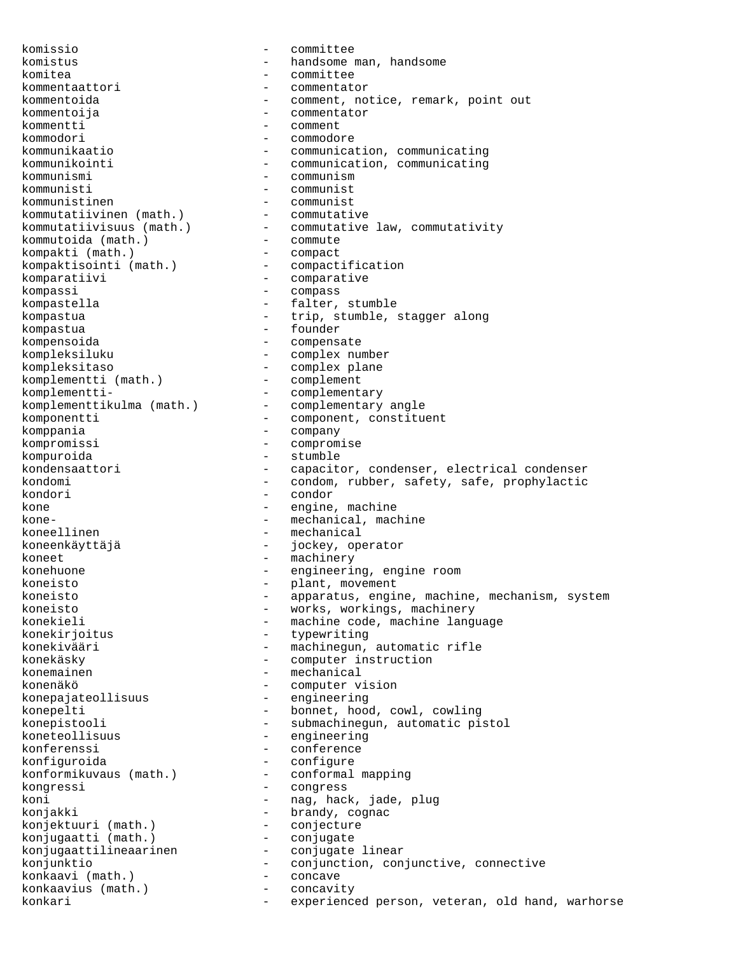komissio - committee komistus - handsome man, handsome komitea - committee kommentaattori - commentator kommentoida - comment, notice, remark, point out kommentoija - commentator kommentti - comment kommodori - commodore<br>kommunikaatio - - communicat - communication, communicating kommunikointi - communication, communicating<br>kommunismi - communism kommunismi - communism kommunisti - communist kommunistinen - communist kommutatiivinen (math.) - commutative kommutatiivisuus (math.) - commutative law, commutativity kommutoida (math.) - commute kompakti (math.) - compact kompaktisointi (math.) - compactification Komparativi (mach.) - compactification<br>
komparatiivi - comparative<br>
- comparative - comparative kompassi - compass kompastella  $-$  falter, stumble kompastua  $-$  trip, stumble, stagger along kompastua - founder kompensoida - compensate kompleksiluku - complex number kompleksitaso - complex plane<br>komplementti (math.) - complement komplementti (math.) komplementti-<br>
- complementary<br>
komplementtikulma (math.) komplementtikulma (math.) - complementary angle<br>komponentti - component, constituent komppania - company kompromissi - compromise kompuroida - stumble - capacitor, condenser, electrical condenser kondomi - condom, rubber, safety, safe, prophylactic kondori - condor kone  $-$  engine, machine kone-  $\qquad \qquad -$  mechanical, machine koneellinen - mechanical<br>koneenkäyttäjä - mechanical - mechanical koneenkäyttäjä - jockey, operator koneet - machinery<br>konehuone - machinery<br>engineerine konehuone - engineering, engine room koneisto - plant, movement koneisto - apparatus, engine, machine, mechanism, system koneisto - works, workings, machinery konekieli - machine code, machine language<br>konekirjoitus - typewriting - typewriting konekivääri - machinegun, automatic rifle konekäsky - computer instruction konemainen  $\qquad \qquad -$  mechanical konenäkö - computer vision konepajateollisuus - engineering konepelti - bonnet, hood, cowl, cowling konepistooli - submachinegun, automatic pistol<br>koneteollisuus - engineering - engineering konferenssi - conference konfiguroida - configure - conformal mapping kongressi - congress koni  $-$  nag, hack, jade, plug konjakki - brandy, cognac<br>konjektuuri (math.) - conjecture konjektuuri (math.) - conjecture<br>konjugaatti (math.) - conjugate konjugaatti (math.) Konjugaattilineaarinen konjunktio - conjunction, conjunctive, connective konkaavi (math.) - concave konkaavius (math.) - concavity<br>konkari - experienc konkari - experienced person, veteran, old hand, warhorse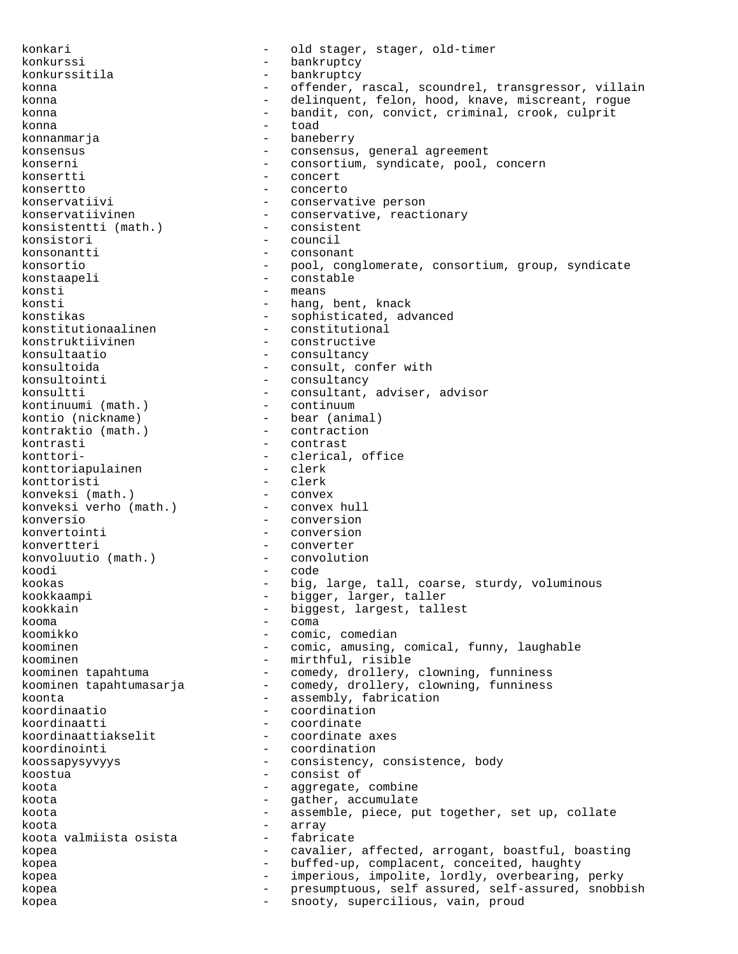konkari - old stager, stager, old-timer konkurssi - bankruptcy konkurssitila - bankruptcy konna en en sommer van de steeder, rascal, scoundrel, transgressor, villain konna e se se se se delinquent, felon, hood, knave, miscreant, rogue konna e state of the bandit, con, convict, criminal, crook, culprit konna - toad konnanmarja - baneberry - consensus, general agreement konserni - consortium, syndicate, pool, concern konsertti - concert konsertto - concerto konservatiivi - conservative person konservatiivinen - conservative, reactionary<br>konsistentti (math.) - consistent konsistentti (math.) konsistori - council konsonantti - consonant konsortio - pool, conglomerate, consortium, group, syndicate konstaapeli - constable konsti<br>konsti - means<br>hang - hang konsti<br>
konstikas<br>
konstikas<br>
- sophisticated adv - sophisticated, advanced<br>- constitutional konstitutionaalinen - constitution<br>konstruktiivinen - constructive konstruktiivinen<br>konsultaatio konsultaatio - consultancy - consult, confer with konsultointi - consultancy konsultti - consultant, adviser, advisor<br>kontinuumi (math.) - continuum - continuum kontinuumi (math.) - continuum kontio (nickname) - bear (animal) kontraktio (math.) - contraction kontrasti - contrasti - contrasti - contrasti - contrasti - contrasti - contrasti - contrasti - contrasti - contrasti - contrasti - contrasti - contrasti - contrasti - contrasti - contrasti - contrasti - contrasti - contra - clerical, office<br>- clerk konttoriapulainen 1988 - clerk<br>
konttoristi - clerk konttoristi - clerk konveksi (math.) - convex konveksi verho (math.) - convex hull konversio - conversion konvertointi - conversion konvertteri - converter<br>konvoluutio (math.) - convolution konvoluutio (math.) koodi - code kookas - big, large, tall, coarse, sturdy, voluminous<br>kookkaampi - bigger, larger, taller - bigger, larger, taller kookkain - biggest, largest, tallest kooma - coma - coma - coma - coma - coma - coma - coma - coma - coma - coma - coma - coma - coma - coma - coma - coma - coma - coma - coma - coma - coma - coma - coma - coma - coma - coma - coma - coma - coma - coma - coma - comic, comedian koominen - comic, amusing, comical, funny, laughable<br>koominen - mirthful. risible - mirthful, risible<br>- comedy, drollery, clowning, funniness koominen tapahtuma - comedy, drollery, clowning, funniness koominen tapahtumasarja - comedy, drollery, clowning, funniness koonta<br>
koordinaatio<br>
- coordination<br>
- coordination koordinaatio - coordination - coordinate<br>- coordinate axes koordinaattiakselit<br>koordinointi - coordination koossapysyvyys - consistency, consistence, body koostua - consist of koota  $-$  aggregate, combine koota  $-$  gather, accumulate koota - assemble, piece, put together, set up, collate koota - array koota valmiista osista kopea - cavalier, affected, arrogant, boastful, boasting kopea - buffed-up, complacent, conceited, haughty kopea - imperious, impolite, lordly, overbearing, perky kopea - presumptuous, self assured, self-assured, snobbish kopea - snooty, supercilious, vain, proud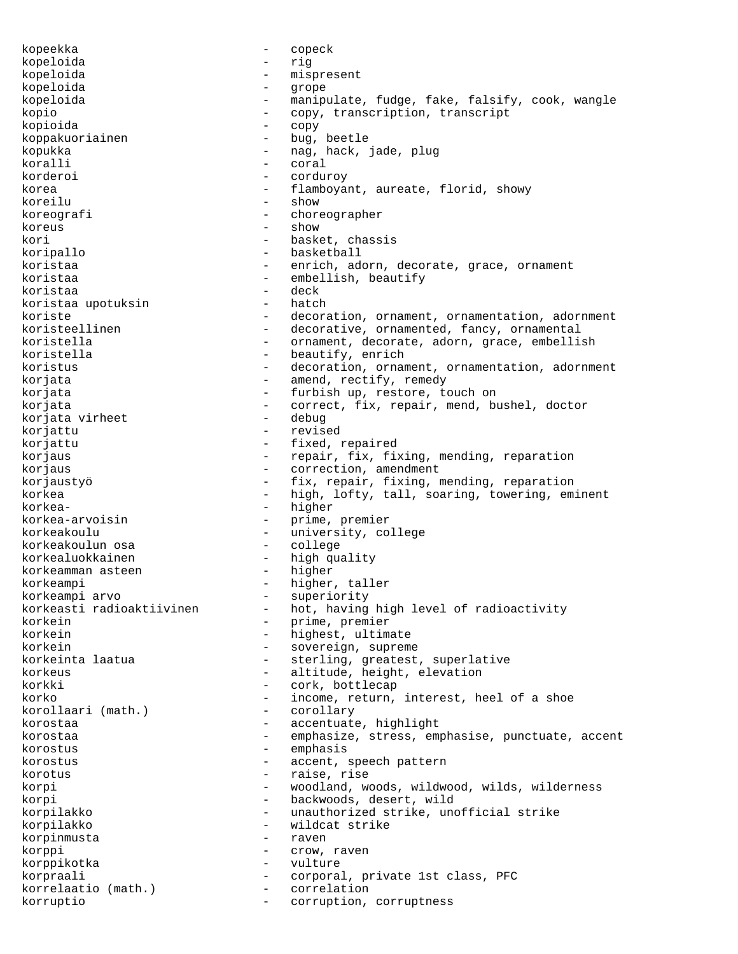kopeekka - copeck kopeloida - rig kopeloida - mispresent kopeloida - grope kopeloida - manipulate, fudge, fake, falsify, cook, wangle kopio - copy, transcription, transcript kopioida - copy koppakuoriainen - bug, beetle kopukka - nag, hack, jade, plug koralli - coral - coral - coral - coral - coral - coral - coral - coral - coral - coral - coral - coral - coral - coral - coral - coral - coral - coral - coral - coral - coral - coral - coral - coral - coral - coral - cora korderoi - corduroy korea - flamboyant, aureate, florid, showy<br>koreilu - show - show - show koreografi - choreographer koreus - show - show kori - basket, chassis koripallo - basketball koristaa - enrich, adorn, decorate, grace, ornament koristaa - embellish, beautify<br>koristaa - embellish, beautify koristaa 1990-luutaristaa 1990-luutaristaa 1990-luutaristaa 1991-luutaristaa 1991-luutaristaa 1992-luutarista<br>1992-luutaristaa 1992-luutaristaa 1992-luutaristaa 1992-luutaristaa 1992-luutaristaa 1992-luutaristaa 1992-luu koristaa upotuksin koriste - decoration, ornament, ornamentation, adornment koristeellinen - decorative, ornamented, fancy, ornamental koristella - ornament, decorate, adorn, grace, embellish koristella - beautify, enrich koristus - decoration, ornament, ornamentation, adornment korjata  $-$  amend, rectify, remedy korjata - furbish up, restore, touch on korjata - correct, fix, repair, mend, bushel, doctor<br>korjata virheet - debug korjata virheet - debug korjattu - revised korjattu  $-$  fixed, repaired korjaus - repair, fix, fixing, mending, reparation korjaus - correction, amendment<br>korjaustyö - fix, repair, fixing, 1 korjaustyö - fix, repair, fixing, mending, reparation - high, lofty, tall, soaring, towering, eminent korkea- - higher korkea-arvoisin - prime, premier korkeakoulu - university, college<br>korkeakoulun osa - - college - college korkeakoulun osa - college korkealuokkainen - high quality<br>korkeamman asteen - higher korkeamman asteen korkeampi - higher, taller korkeampi arvo superiority<br>korkeasti radioaktiivinen hot, having - hot, having high level of radioactivity korkein - prime, premier korkein - highest, ultimate korkein - sovereign, supreme korkeinta laatua - sterling, greatest, superlative korkeus - altitude, height, elevation korkki - cork, bottlecap korko - income, return, interest, heel of a shoe<br>korollaari (math.) - corollary korollaari (math.) korostaa - accentuate, highlight<br>korostaa - amphasize stress emi korostaa - emphasize, stress, emphasise, punctuate, accent<br>korostus korostus - emphasis korostus - accent, speech pattern korotus - raise, rise<br>
korni - raise, rise<br>
- woodland w korpi - woodland, woods, wildwood, wilds, wilderness korpi  $-$  backwoods, desert, wild korpilakko - unauthorized strike, unofficial strike korpilakko - wildcat strike - wildcat strike - wildcat strike - wildcat strike - wildcat strike - wildcat strike - wildcat strike - wildcat strike - wildcat strike - wildcat strike - wildcat strike - wildcat strike - wildc korpinmusta korppi - crow, raven<br>korppikotka - indiana - indiana - indiana - indiana - indiana - indiana - indiana - indiana - indiana - indian korppikotka - vulture korpraali - corporal, private 1st class, PFC korrelaatio (math.) - corporal, pi<br>korrelation - correlation korruptio - corruption, corruptness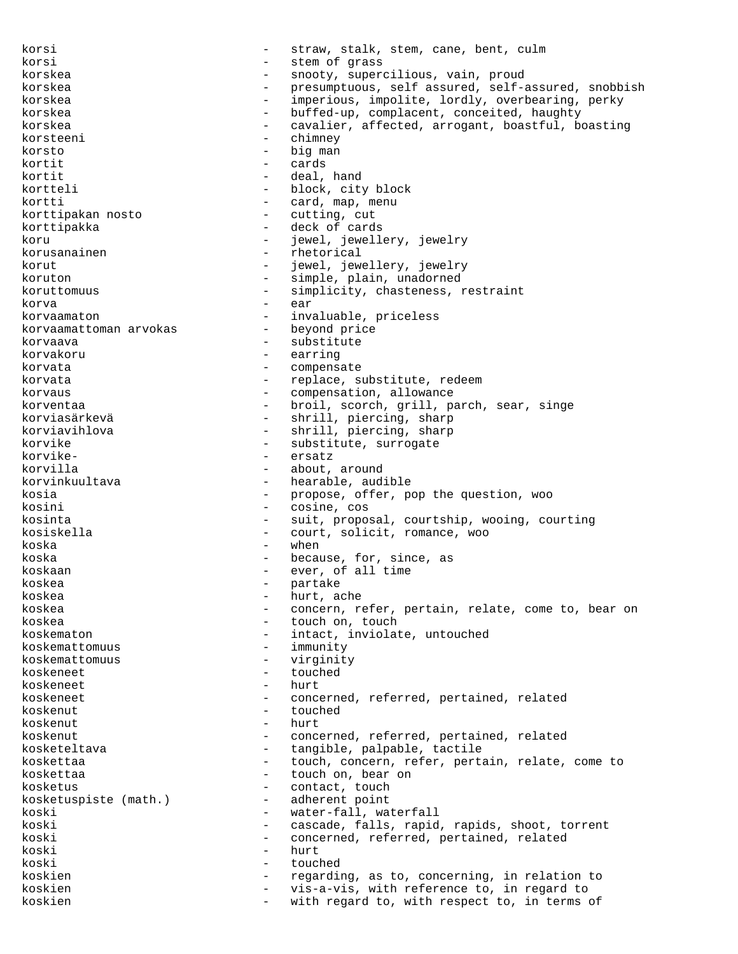korsi - straw, stalk, stem, cane, bent, culm korsi  $-$  stem of grass korskea - snooty, supercilious, vain, proud korskea - presumptuous, self assured, self-assured, snobbish korskea - imperious, impolite, lordly, overbearing, perky korskea - buffed-up, complacent, conceited, haughty korskea - cavalier, affected, arrogant, boastful, boasting korsteeni - chimney<br>korste korsto - big man <br>kortit - cards kortit - cards kortit - deal, hand kortteli - block, city block kortti  $\qquad \qquad -$  card, map, menu korttipakan nosto - cutting, cut korttipakka - deck of cards<br>koru - jewel jewell koru  $-$  jewel, jewellery, jewelry korusanainen 1980 - Fretorical korut - jewel, jewellery, jewelry<br>
koruton - simple plain unadorned koruton - simple, plain, unadorned<br>koruttomuus - simplicity chasteness koruttomuus - simplicity, chasteness, restraint<br>
korva - ear korva - ear korvaamaton - invaluable, priceless<br>korvaamattoman arvokas - beyond price korvaamattoman arvokas korvaava - substitute korvakoru - earring - earring korvata - compensate korvata  $-$  replace, substitute, redeem korvaus entry the compensation, allowance korventaa  $-$  broil, scorch, grill, parch, sear, singe korviasärkevä - shrill, piercing, sharp<br>korviavihlova - shrill niercing sharp korviavihlova - shrill, piercing, sharp<br>korvike - substitute surrogate korvike - substitute, surrogate<br>korvike korvike- - ersatz about, around korvinkuultava - hearable, audible kosia - propose, offer, pop the question, woo<br>kosini - cosine cos kosini - cosine, cos kosinta - suit, proposal, courtship, wooing, courting kosiskella  $-$  court, solicit, romance, woo koska - when - when - when koska  $-$  because, for, since, as koskaan - ever, of all time koskea - partake - partake - partake - partake - partake - partake - partake - partake - partake - partake - partake - partake - partake - partake - partake - partake - partake - partake - partake - partake - partake - par koskea - hurt, ache<br>koskea - hurt, ache koskea - concern, refer, pertain, relate, come to, bear on<br>koskea - tough on tough in tough koskea - touch on, touch <br/> touch on, touch <br/> touch touch touch touch touch touch touch touch touch touch touch touch touch touch touch touch touch touch touch touch touch touch touch touch touch touch touch touch t koskematon - intact, inviolate, untouched koskemattomuus - immunity koskemattomuus - virginity<br>koskeneet - touched koskeneet - touched koskeneet - hurt koskeneet - concerned, referred, pertained, related koskenut - touched koskenut - touched koskenut - touched - touched - touched - touched - touched - touched - touched - touched - touched - touched - touched - touched - touched - touched - touched - touched - touched - tou koskenut - hurtu - hurtu - hurtu - hurtu - hurtu - hurtu - hurtu - hurtu - hurtu - hurtu - hurtu - hurtu - hurtu koskenut - concerned, referred, pertained, related<br>kosketeltava - tangible palpable tactile kosketeltava - tangible, palpable, tactile<br>koskettaa koskettaa - touch, concern, refer, pertain, relate, come to<br>koskettaa koskettaa - touch on, bear on koskettaa - touch on, bear on kosketus kosketus - contact, touch<br>kosketuspiste (math.) - adherent point kosketuspiste (math.) koski - water-fall, waterfall koski - cascade, falls, rapid, rapids, shoot, torrent koski - concerned, referred, pertained, related koski - hurt<br>koski - touc koski - touched koskien - regarding, as to, concerning, in relation to koskien - vis-a-vis, with reference to, in regard to koskien - with regard to, with respect to, in terms of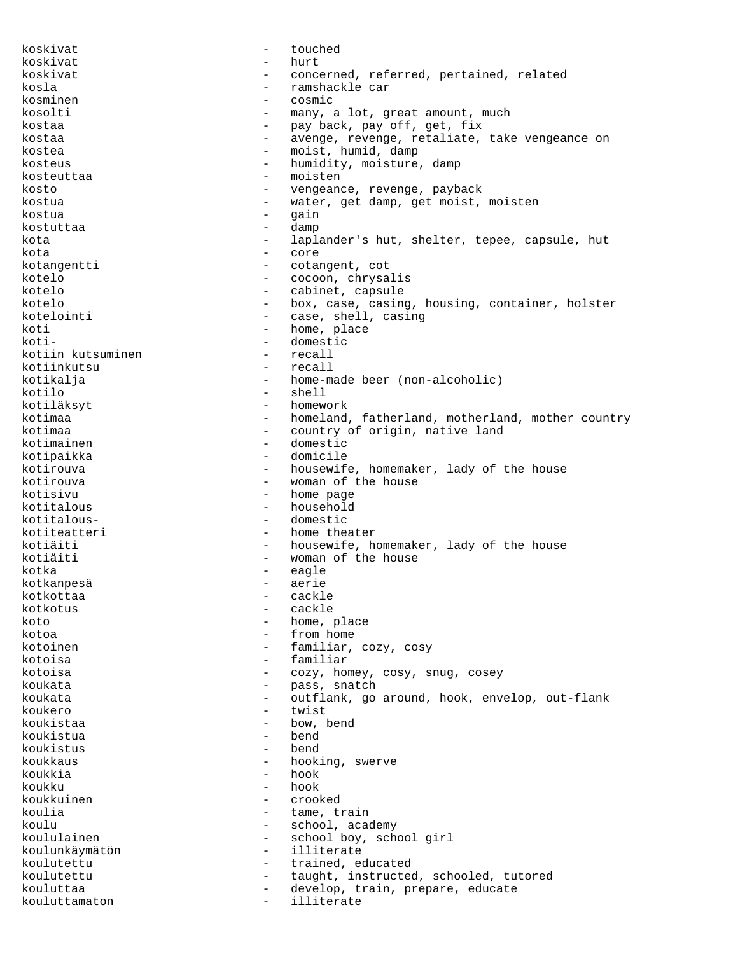koskivat - touched koskivat - hurt koskivat - concerned, referred, pertained, related kosla - ramshackle car kosminen - cosmic kosolti  $-$  many, a lot, great amount, much kostaa - pay back, pay off, get, fix kostaa - avenge, revenge, retaliate, take vengeance on kostea  $-$  moist, humid, damp kosteus - humidity, moisture, damp<br>kosteuttaa kosteuttaa - moisten<br>koste kosto - vengeance, revenge, payback<br>kostua - vengeance, revenge, payback kostua - water, get damp, get moist, moisten kostua - gain kostuttaa - damp kota - laplander's hut, shelter, tepee, capsule, hut kota - core kotangentti - cotangent, cot<br>kotelo - cocoon chrysa kotelo - cocoon, chrysalis<br>kotelo - cocoon, chrysalis kotelo - cabinet, capsule kotelo - box, case, casing, housing, container, holster<br>kotelointi - case, shell, casing - case, shell, casing koti - home, place koti- - domestic kotiin kutsuminen - recall kotiinkutsu kotikalja - home-made beer (non-alcoholic)<br>kotilo - shell - shell kotilo - shell kotiläksyt - homework kotimaa - homeland, fatherland, motherland, mother country<br>kotimaa - country of origin native land kotimaa - country of origin, native land<br>kotimainen kotimainen - domestic kotipaikka - domicile kotirouva - housewife, homemaker, lady of the house<br>kotirouva - woman of the house woman of the house kotisivu - home page kotitalous - household kotitalous- - domestic kotiteatteri - home theater kotiäiti - housewife, homemaker, lady of the house kotiäiti - woman of the house kotka - eagle kotkanpesä - aerie kotkottaa - cacharana - cacharana - cacharana - cacharana - cacharana - cacharana - cacharana - cacharana - ca kotkotus - cackle<br>koto - cackle koto  $-$  home, place kotoa  $-$  from home kotoinen  $-$  familiar, cozy, cosy kotoisa - familiar kotoisa - cozy, homey, cosy, snug, cosey koukata  $-$  pass, snatch koukata - outflank, go around, hook, envelop, out-flank koukero - twist koukistaa - bow, bend koukistua - bend koukistus – bende koukkaus – bende koukkaus – bende koukkaus – bende koukkaus – bende koukkaus – bende koukkau<br>Die voorbeeld van die volgens van die voorbeeld van die volgens van die volgens van die volgens van die volgen koukkaus - hooking, swerve koukkia - hook koukku - hook koukkuinen - crooked koulia  $-$  tame, train koulu  $\qquad \qquad -$  school, academy<br>koululainen  $\qquad \qquad -$  school boy, scho koululainen  $\qquad \qquad -$  school boy, school girl koulunkäymätön - illiterate koulutettu - trained, educated koulutettu - taught, instructed, schooled, tutored kouluttaa - develop, train, prepare, educate kouluttamaton - illiterate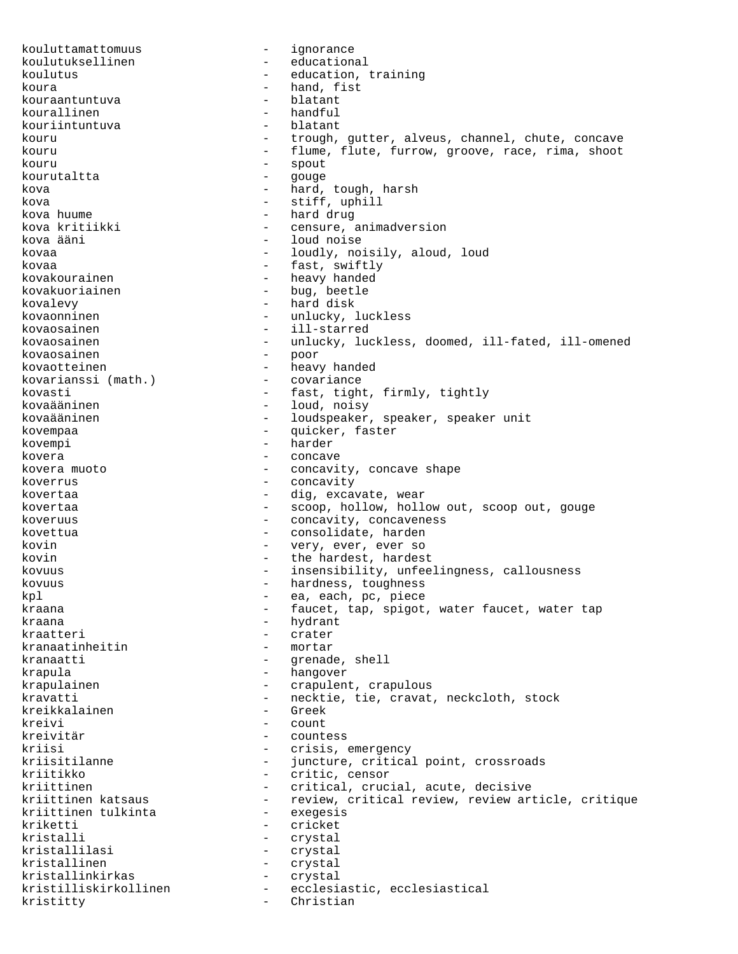kouluttamattomuus - ignorance koulutuksellinen - educational koulutus - education, training koura<br>
kouraantuntuva<br>
kouraantuntuva<br>
+ blatant kouraantuntuva - blatant kourallinen - handful - handful kouriintuntuva - handful - handful - handful - handful - handful - handful - h kouriintuntuva<br>kouru - trough, gutter, alveus, channel, chute, concave kouru e mata - flume, flute, furrow, groove, race, rima, shoot kouru - spout kourutaltta - gouge kova  $-$  hard, tough, harsh kova - stiff, uphill kova huume - hard drug kova kritiikki  $-$  censure, animadversion kova ääni - loud noise kovaa - loudly, noisily, aloud, loud kovaa - fast, swiftly kovakourainen 1988 - heavy handed<br>kovakuoriainen 1988 - heavy handed - bug, beetle kovalevy - hard disk - unlucky, luckless kovaosainen 111-starred kovaosainen 1988 - unlucky, luckless, doomed, ill-fated, ill-omened kovaosainen - poor kovaotteinen - heavy handed<br>kovarianssi (math.) - covariance kovarianssi (math.) kovasti - fast, tight, firmly, tightly kovaääninen - loud, noisy kovaääninen - loudspeaker, speaker, speaker unit<br>kovempaa kovempaa - quicker, faster<br>kovempi - harder kovempi - harder kovera - concave kovera muoto  $-$  concavity, concave shape koverrus - concavity kovertaa  $-$  dig, excavate, wear kovertaa - scoop, hollow, hollow out, scoop out, gouge koveruus - concavity, concaveness kovettua - consolidate, harden<br>
kovin - verv ever ever so kovin - very, ever, ever so kovin  $\qquad \qquad -$  the hardest, hardest kovuus - insensibility, unfeelingness, callousness kovuus - hardness, toughness<br>kol kpl  $-$  ea, each, pc, piece kraana - faucet, tap, spigot, water faucet, water tap<br>kraana - hydrant - hydrant kraana - hydrant - hydrant - hydrant - hydrant - hydrant - hydrant - hydrant - hydrant - hydrant - h - crater<br>- mortar kranaatinheitin kranaatti - grenade, shell krapula - hangover krapulainen 1980 - Crapulent, crapulous kravatti - necktie, tie, cravat, neckcloth, stock<br>
kreikkalainen Greek kreikkalainen kreivi - count kreivitär  $-$  countess kriisi - crisis, emergency<br>kriisitilanne - crisis, emergency<br>- juncture, critica kriisitilanne - juncture, critical point, crossroads kriitikko - critic, censor<br>kriittinen - critical, cruc - critical, crucial, acute, decisive kriittinen katsaus - review, critical review, review article, critique<br>
kriittinen tulkinta - exeqesis kriittinen tulkinta kriketti - cricket kristalli - crystal<br>
kristallilasi - crystal kristallilasi - crystal kristallinen - crystal kristallinkirkas - crystal kristilliskirkollinen - ecclesiastic, ecclesiastical kristitty - Christian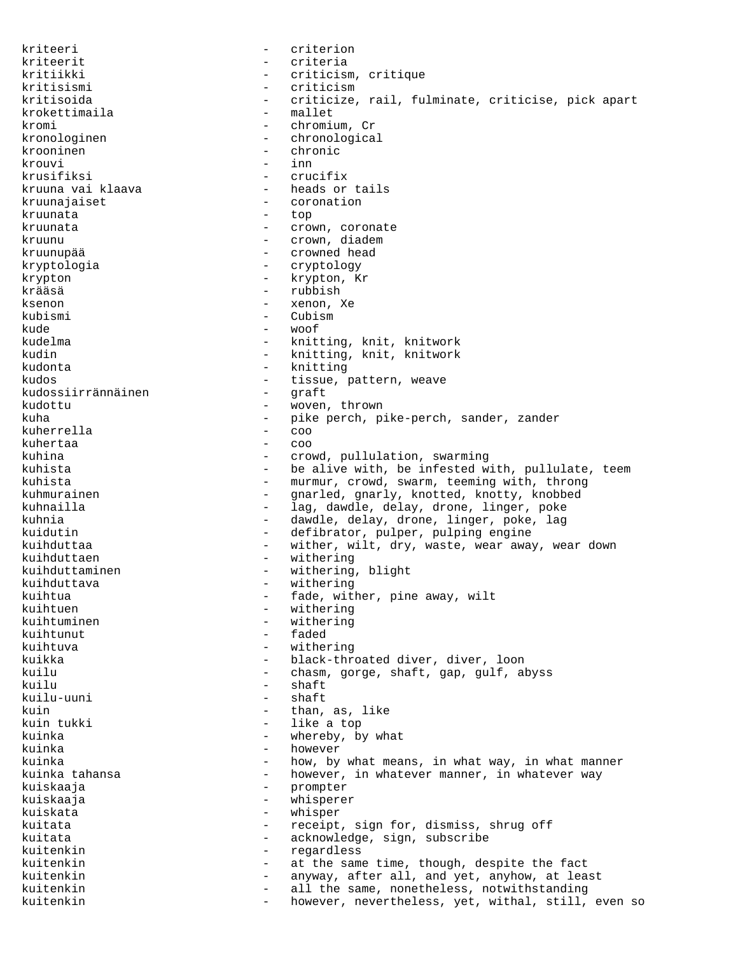kriteeri - criterion kriteerit - criteria kritiikki - criticism, critique kritisismi - criticism kritisoida - criticize, rail, fulminate, criticise, pick apart - mallet kromi - chromium, Cr kronologinen - chronological<br>krooninen - chronic - chronic krouvi - inn<br>krusifiksi - crue krusifiksi - crucifix - heads or tails kruunajaiset - coronation kruunata - top kruunata - crown, coronate kruunu - crown, diadem kruunupää - crowned head kryptologia - cryptology krypton - krypton, Kr<br>krääsä - krypton, Kr - rubbish ksenon - xenon, Xe<br>kubismi - Cubism kubismi - Cubism kude - woof kudelma - knitting, knit, knitwork kudin - knitting, knit, knitwork kudonta - knitting kudos - tissue, pattern, weave kudossiirrännäinen - graft kudottu - woven, thrown kuha - pike perch, pike-perch, sander, zander<br>kuherrella kuherrella - coo kuhertaa<br><sup>kuhina</sup> kuhina - crowd, pullulation, swarming<br>
- he alive with he infested with the infested with the infested with the infested with the infested with the infested with the infested with the infested with the infested with the in - be alive with, be infested with, pullulate, teem kuhista - murmur, crowd, swarm, teeming with, throng kuhmurainen - gnarled, gnarly, knotted, knotty, knobbed kuhnailla - lag, dawdle, delay, drone, linger, poke kuhnia - dawdle, delay, drone, linger, poke, lag kuidutin - defibrator, pulper, pulping engine kuihduttaa - wither, wilt, dry, waste, wear away, wear down kuihduttaen - withering kuihduttaminen - withering, blight kuihduttava - withering<br>kuihtua - fade with kuihtua - fade, wither, pine away, wilt<br>kuihtuen - withering - withering<br>- withering kuihtuminen<br>kuihtunut - faded kuihtuva - withering kuikka - black-throated diver, diver, loon kuilu - chasm, gorge, shaft, gap, gulf, abyss kuilu - shaft kuilu-uuni - shaft<br>kuin - than kuin  $-$  than, as, like kuin tukki  $-$  than, as, like - like a top kuinka - whereby, by what<br>kuinka - however kuinka - however kuinka - how, by what means, in what way, in what manner<br>kuinka tahansa - however, in whatever manner, in whatever way - however, in whatever manner, in whatever way kuiskaaja - prompter kuiskaaja - whisperer kuiskata - whisper kuitata - receipt, sign for, dismiss, shrug off kuitata - acknowledge, sign, subscribe kuitenkin - regardless<br>kuitenkin - at the same kuitenkin - at the same time, though, despite the fact kuitenkin - anyway, after all, and yet, anyhow, at least kuitenkin - all the same, nonetheless, notwithstanding kuitenkin - however, nevertheless, yet, withal, still, even so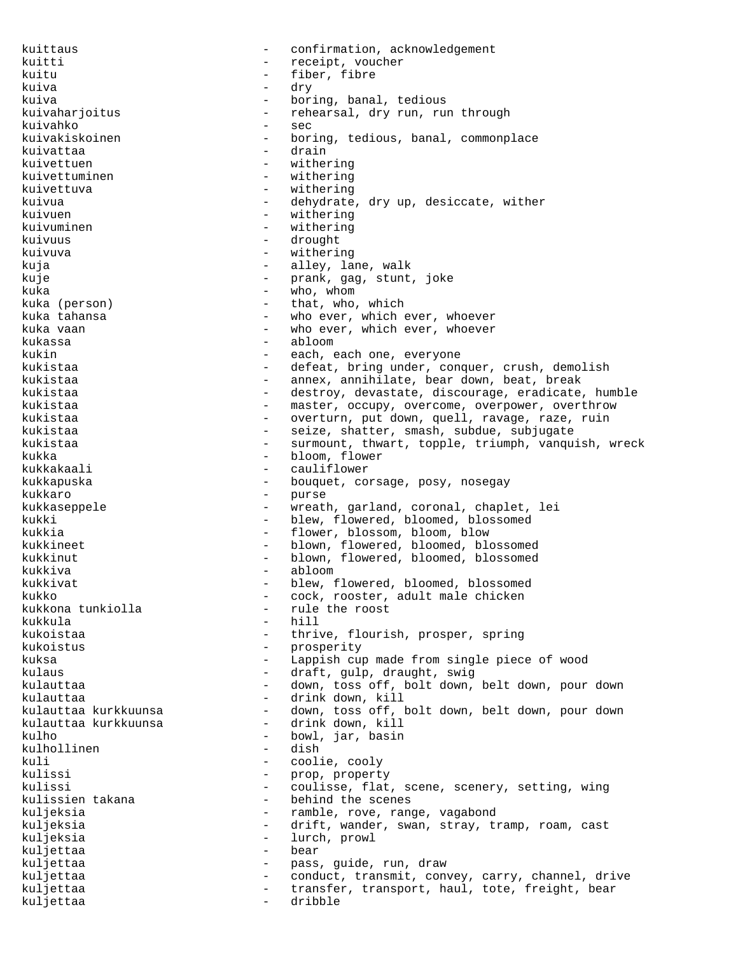kuittaus enter a confirmation, acknowledgement kuitti - receipt, voucher kuitu - fiber, fibre kuiva - dry kuiva  $-$  boring, banal, tedious kuivaharjoitus - rehearsal, dry run, run through kuivahko - sec - boring, tedious, banal, commonplace kuivattaa - drain - drain kuivettuen - withering<br>
kuivettuminen - withering<br>
- withering kuivettuminen - withering<br>
kuivettuva - withering<br>
- withering - withering kuivua - dehydrate, dry up, desiccate, wither kuivuen - withering kuivuminen - withering<br>
kuivuus - drought<br>
- drought kuivuus - drought kuivuva - withering kuja  $-$  alley, lane, walk kuje - prank, gag, stunt, joke kuka - who, whom kuka (person) - that, who, which - who ever, which ever, whoever kuka vaan  $\sim$  - who ever, which ever, whoever kukassa - abloom kukin - each, each one, everyone<br>kukistaa - each, bring under, cone - defeat, bring under, conquer, crush, demolish kukistaa - annex, annihilate, bear down, beat, break kukistaa - destroy, devastate, discourage, eradicate, humble kukistaa - master, occupy, overcome, overpower, overthrow kukistaa - overturn, put down, quell, ravage, raze, ruin kukistaa - seize, shatter, smash, subdue, subjugate kukistaa - surmount, thwart, topple, triumph, vanquish, wreck kukka - bloom, flower cauliflower kukkapuska - bouquet, corsage, posy, nosegay kukkaro - purse<br>kukkasennele - wreatl kukkaseppele - - wreath, garland, coronal, chaplet, lei kukki - blew, flowered, bloomed, blossomed kukkia  $-$  flower, blossom, bloom, blow kukkineet - blown, flowered, bloomed, blossomed kukkinut - blown, flowered, bloomed, blossomed kukkiva - abloom kukkivat - blew, flowered, bloomed, blossomed kukko - cock, rooster, adult male chicken<br>kukkona tunkiolla - - rule the roost - rule the roost kukkula - hill - thrive, flourish, prosper, spring kukoistus - prosperity kuksa  $-$  Lappish cup made from single piece of wood kulaus - draft, gulp, draught, swig kulauttaa  $-$  down, toss off, bolt down, belt down, pour down kulauttaa<br>kulauttaa kurkkuunsa down, toss off, l - down, toss off, bolt down, belt down, pour down kulauttaa kurkkuunsa - drink down, kill kulho - bowl, jar, basin kulhollinen - dished - dished - dished - dished - dished - dished - dished - dished - dished - dished - dished - dished - dished - dished - dished - dished - dished - dished - dished - dished - dished - dished - dished - d kuli - coolie, cooly<br>kulissi - coolie, cooly kulissi - prop, property<br>kulissi - coulisse, flat coulisse, flat, scene, scenery, setting, wing kulissien takana  $-$  behind the scenes kuljeksia - ramble, rove, range, vagabond kuljeksia - drift, wander, swan, stray, tramp, roam, cast kuljeksia - lurch, prowl kuljettaa - bear kuljettaa - pass, guide, run, draw kuljettaa - conduct, transmit, convey, carry, channel, drive kuljettaa - transfer, transport, haul, tote, freight, bear kuljettaa - dribble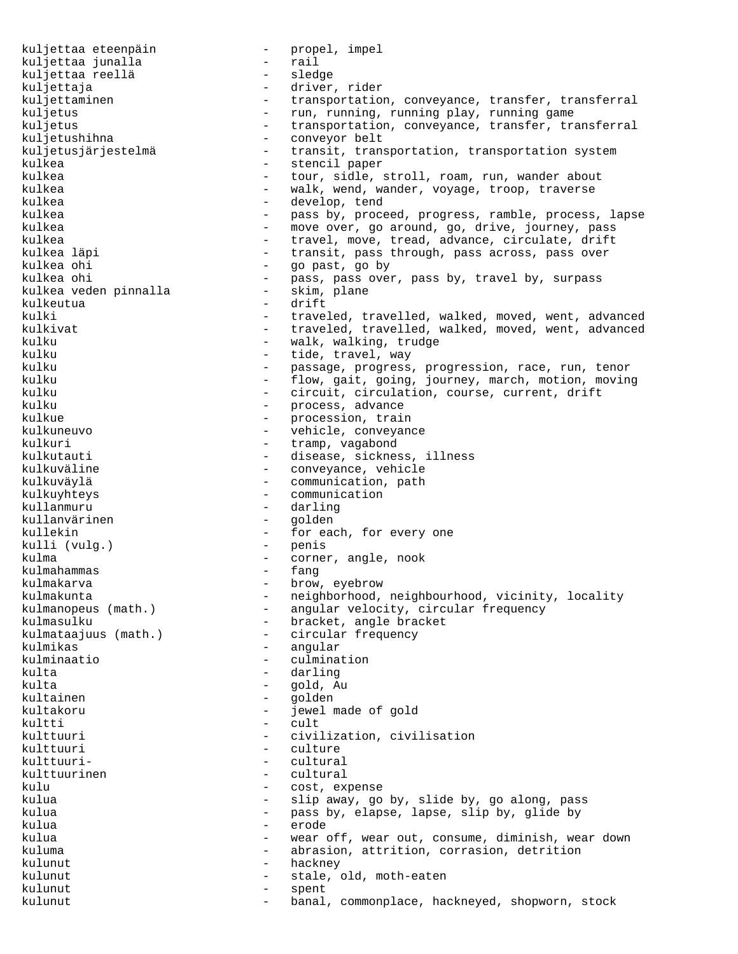kuljettaa eteenpäin - propel, impel kuljettaa junalla - rail kuljettaa reellä<br>kuljettaja kuljettaja - driver, rider<br>kuljettaminen - - transportatio kuljettaminen - transportation, conveyance, transfer, transferral<br>kuljetus - run, running, running play, running game kuljetus - run, running, running play, running game<br>kuljetus - transportation, conveyance, transfer, tra kuljetus - transportation, conveyance, transfer, transferral<br>kuljetushihna - conveyor belt kuljetushihna - conveyor belt<br>kuljetusjärjestelmä - transit, tran - transit, transportation, transportation system kulkea  $-$  stencil paper kulkea - tour, sidle, stroll, roam, run, wander about kulkea - walk, wend, wander, voyage, troop, traverse kulkea - develop, tend<br>kulkea - ass hy noor kulkea - pass by, proceed, progress, ramble, process, lapse<br>kulkea - move over, go around, go, drive, journey pass kulkea - move over, go around, go, drive, journey, pass kulkea - travel, move, tread, advance, circulate, drift<br>kulkea läpi - transit, pass through, pass across, pass over kulkea läpi - transit, pass through, pass across, pass over kulkea ohi - go past, go by - pass, pass over, pass by, travel by, surpass<br>- skim, plane kulkea veden pinnalla kulkeutua - drift traveled, travelled, walked, moved, went, advanced kulkivat - traveled, travelled, walked, moved, went, advanced kulku - walk, walking, trudge kulku  $-$  tide, travel, way kulku - passage, progress, progression, race, run, tenor kulku  $-$  flow, gait, going, journey, march, motion, moving kulku - circuit, circulation, course, current, drift kulku - process, advance<br>kulkue - procession trait kulkue - procession, train kulkuneuvo - vehicle, conveyance kulkuri - tramp, vagabond kulkutauti - disease, sickness, illness - conveyance, vehicle kulkuväylä - communication, path kulkuyhteys - communication kullanmuru - darling kullanvärinen kullekin - for each, for every one kulli (vulg.) - for each, for every one kulli (vulg.) kulma - corner, angle, nook kulmahammas - fangas - fangas - fangas - fangas - fangas - fangas - fangas - fangas - fangas - fangas - fangas kulmakarva - brow, eyebrow kulmakunta - 1998 - neighborhood, neighbourhood, vicinity, locality kulmanopeus (math.) - angular velocity, circular frequency kulmasulku - bracket, angle bracket<br>kulmataajuus (math.) - circular frequency - circular frequency kulmikas - angular kulminaatio - culmination kulta - darling - darling kulta - gold, Au kultainen 1988 – golden kultakoru aller eta allerdiaren allerdiaren allerdiaren allerdiaren allerdiaren aller<br>Ekonomia eta allerdiaren allerdiaren allerdiaren allerdiaren allerdiaren alderdiaren alderdiaren alderdiaren a kultakoru - jewel made of gold kultti – cult kulttuuri - civilization, civilisation kulttuuri - culture - culture - culture - cultural kulttuurikulttuurinen - cultural kulu  $\sim$  - cost, expense kulua  $-$  slip away, go by, slide by, go along, pass kulua  $-$  pass by, elapse, lapse, slip by, glide by<br>
- erode kulua - erode kulua - wear off, wear out, consume, diminish, wear down kuluma - abrasion, attrition, corrasion, detrition kulunut - hackney kulunut - stale, old, moth-eaten kulunut - spent kulunut - banal, commonplace, hackneyed, shopworn, stock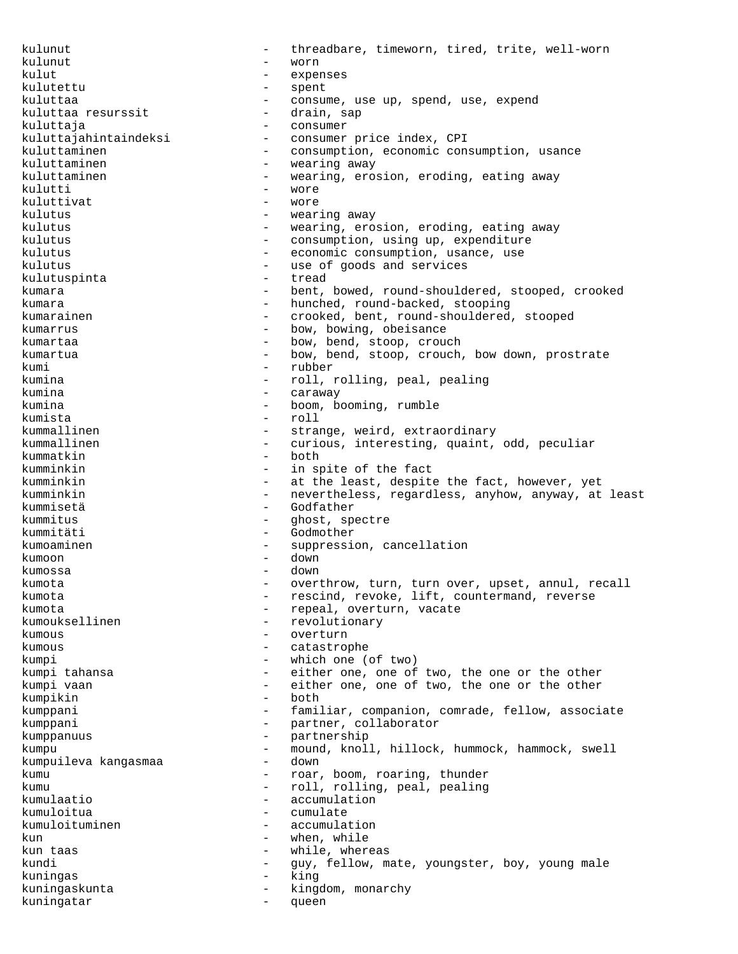kulunut external threadbare, timeworn, tired, trite, well-worn kulunut - worn kulut - expenses kulutettu - spent kuluttaa - consume, use up, spend, use, expend<br>kuluttaa resurssit - drain, sap kuluttaa resurssit  $-$  drain, sap kuluttaja - consumer kuluttajahintaindeksi - consumer price index, CPI - consumption, economic consumption, usance kuluttaminen en mearing away kuluttaminen - wearing, erosion, eroding, eating away<br>kulutti kulutti - wore kuluttivat - wore kulutus - wearing away kulutus - wearing, erosion, eroding, eating away kulutus - consumption, using up, expenditure<br>
- economic consumption, usance use kulutus - economic consumption, usance, use<br>kulutus - use of goods and services kulutus - use of goods and services<br>
kulutusninta kulutuspinta - tread<br>kumara - hent kumara e bent, bowed, round-shouldered, stooped, crooked kumara - hunched, round-backed, stooping kumarainen - crooked, bent, round-shouldered, stooped kumarrus - bow, bowing, obeisance kumartaa  $-$  bow, bend, stoop, crouch kumartua - bow, bend, stoop, crouch, bow down, prostrate<br>
- rubber kumi - rubber kumina  $\qquad \qquad - \qquad \text{roll}, \text{ rolling}, \text{peal}, \text{pealing}$ kumina  $-$  caraway kumina - boom, booming, rumble kumista - roll kummallinen - strange, weird, extraordinary<br>kummallinen - curious, interesting, quaint, curious, interesting, quaint, odd, peculiar<br>both kummatkin<br>kumminkin - in spite of the fact kumminkin - at the least, despite the fact, however, yet kumminkin - nevertheless, regardless, anyhow, anyway, at least kummisetä - Godfather kummitus - ghost, spectre kummitäti - Godmother kumoaminen - suppression, cancellation kumoon - down kumossa - down kumota - overthrow, turn, turn over, upset, annul, recall kumota - rescind, revoke, lift, countermand, reverse kumota  $-$  repeal, overturn, vacate kumouksellinen - revolutionary<br>kumous - overturn kumous - overturn - catastrophe kumpi - which one (of two) kumpi tahansa - either one, one of two, the one or the other kumpi vaan  $\qquad \qquad -$  either one, one of two, the one or the other kumpikin - both kumppani - familiar, companion, comrade, fellow, associate kumppani - partner, collaborator<br>kumppanuus - partnership kumppanuus - partnership<br>kumpu kumpu - mound, knoll, hillock, hummock, hammock, swell<br>kumpuileya kangasmaa - down kumpuileva kangasmaa - down kumu - roar, boom, roaring, thunder kumu  $-$  roll, rolling, peal, pealing kumulaatio - accumulation - cumulate kumuloituminen - accumulation kun - when, while kun taas  $-$  while, whereas kundi - guy, fellow, mate, youngster, boy, young male kuningas - king kuningaskunta - kingdom, monarchy kuningatar - queen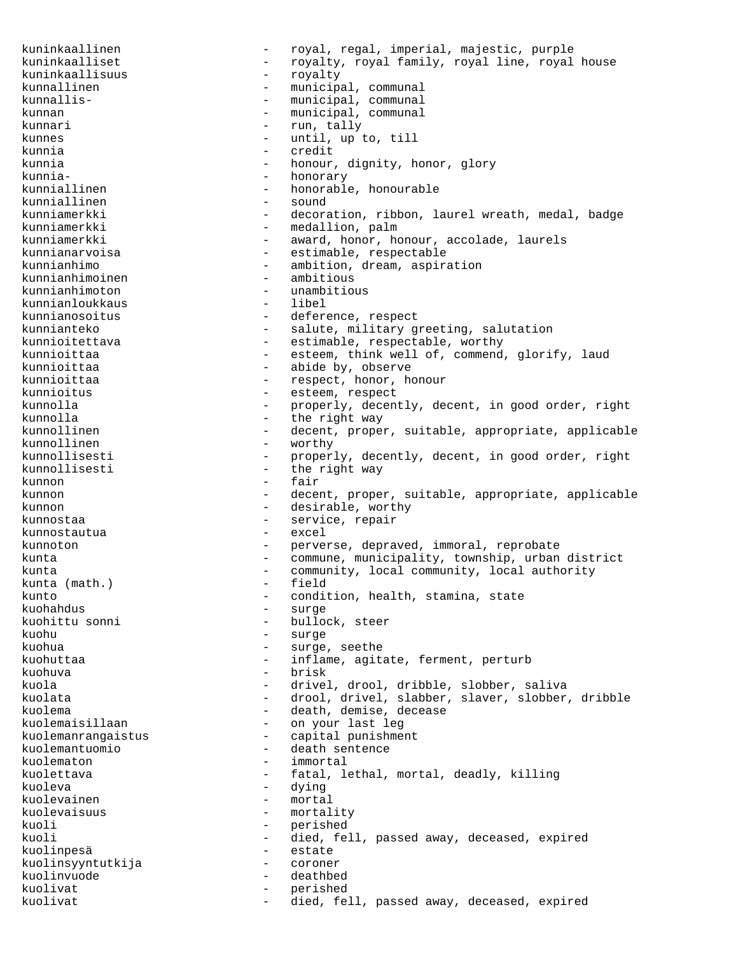kuninkaallinen - royal, regal, imperial, majestic, purple kuninkaalliset - royalty, royal family, royal line, royal house kuninkaallisuus - royalty kunnallinen - municipal, communal kunnallis-<br>
- municipal, communal kunnan - municipal, communal kunnari - run, tally kunnes - until, up to, till kunnia - credit kunnia - honour, dignity, honor, glory<br>
kunnia- - honorarv - honorarv kunnia- - honorary - honorable, honourable<br>- sound kunniallinen kunniamerkki - decoration, ribbon, laurel wreath, medal, badge kunniamerkki - medallion, palm kunniamerkki - award, honor, honour, accolade, laurels kunnianarvoisa - estimable, respectable<br>kunnianhimo - - ambition, dream, aspira - ambition, dream, aspiration<br>- ambitious kunnianhimoinen - ambitious kunnianhimoton - unambitious kunnianloukkaus<br>kunnianosoitus kunnianosoitus - deference, respect<br>kunnianteko - - - - - salute, military q kunnianteko - salute, military greeting, salutation<br>kunnioitettava - estimable, respectable, worthy - estimable, respectable, worthy kunnioittaa - esteem, think well of, commend, glorify, laud kunnioittaa  $-$  abide by, observe kunnioittaa - respect, honor, honour kunnioitus - esteem, respect kunnolla - properly, decently, decent, in good order, right kunnolla - the right way<br>kunnollinen - the right way decent, proper, suitable, appropriate, applicable kunnollinen - worthy<br>
kunnollisesti - proper kunnollisesti - properly, decently, decent, in good order, right<br>
kunnollisesti - the right way the right way kunnon - fair kunnon and the section of the decent, proper, suitable, appropriate, applicable kunnon - desirable, worthy kunnostaa - service, repair kunnostautua - excel kunnoton and the set of the perverse, depraved, immoral, reprobate kunta - commune, municipality, township, urban district kunta - community, local community, local authority<br>
kunta (math.) - field kunta  $(math.)$  kunto  $\sim$  - condition, health, stamina, state kuohahdus - surge kuohittu sonni  $-$  bullock, steer kuohu - surge kuohua - surge, seethe kuohuttaa - inflame, agitate, ferment, perturb kuohuva - brisk kuola - drivel, drool, dribble, slobber, saliva kuolata - drool, drivel, slabber, slaver, slobber, dribble kuolema - death, demise, decease kuolemaisillaan - on your last leg kuolemanrangaistus - capital punishment kuolemantuomio - death sentence kuolematon - immortal kuolettava - fatal, lethal, mortal, deadly, killing kuoleva - dying kuolevainen - mortal kuolevaisuus - mortality kuoli - perished kuoli - died, fell, passed away, deceased, expired kuolinpesä - estate kuolinsyyntutkija - coroner kuolinvuode - deathbed kuolivat - perished kuolivat - died, fell, passed away, deceased, expired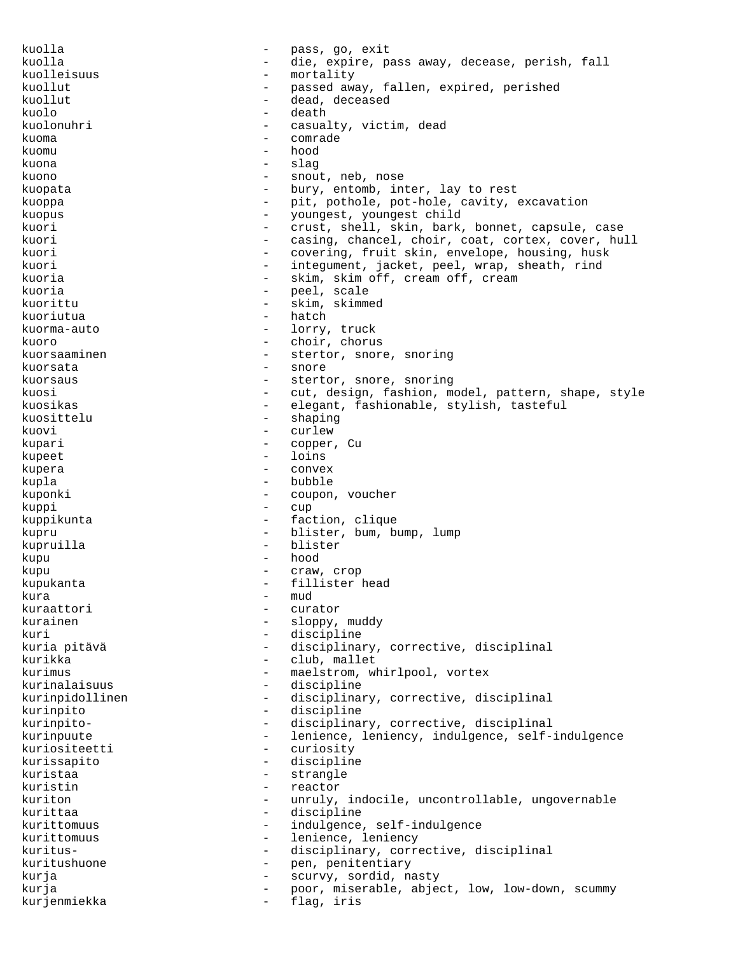kuolla - pass, go, exit kuolla - die, expire, pass away, decease, perish, fall kuolleisuus - mortality kuollut - passed away, fallen, expired, perished - dead, deceased kuolo - death kuolonuhri - casualty, victim, dead kuoma - comrade kuomu - hood kuona - slag kuono - snout, neb, nose kuopata - bury, entomb, inter, lay to rest kuoppa - pit, pothole, pot-hole, cavity, excavation kuopus - youngest, youngest child kuori - crust, shell, skin, bark, bonnet, capsule, case kuori esteemines and the casing, chancel, choir, coat, cortex, cover, hull kuori - covering, fruit skin, envelope, housing, husk kuori - integument, jacket, peel, wrap, sheath, rind<br>kuoria - skim skim off cream off cream kuoria - skim, skim off, cream off, cream kuoria - peel, scale kuorittu - skim, skimmed - hatch kuorma-auto - lorry, truck kuoro - choir, chorus kuorsaaminen - stertor, snore, snoring kuorsata - snore kuorsaus - stertor, snore, snoring kuosi - cut, design, fashion, model, pattern, shape, style kuosikas - elegant, fashionable, stylish, tasteful kuosittelu - shaping - shaping - shaping - shaping - shaping - shaping - shaping - shaping - shaping - shaping - shaping - shaping - shaping - shaping - shaping - shaping - shaping - shaping - shaping - shaping - shaping kuovi – curlew – curlew – curlew – curlew – curlew – curlew – curlew – curlew – curlew – curlew – curlew – curlew – curlew – curlew – curlew – curlew – curlew – curlew – curlew – curlew – curlew – curlew – curlew – curlew kupari - copper, Cu kupeet - loins<br>kupera - conver kupera  $-$  convex kupla - bubble kuponki - coupon, voucher kuppi - cup kuppikunta - faction, clique kupru - blister, bum, bump, lump kupruilla - blister kupu - hood kupu - craw, crop kupukanta  $-$  fillister head  $kura$  – mud<br>  $kura$  – mud kuraattori - curator kurainen 1988 - Sloppy, muddy kuri - discipline kuria pitävä - disciplinary, corrective, disciplinal kurikka  $\qquad \qquad - \qquad$  club, mallet kurimus - maelstrom, whirlpool, vortex kurinalaisuus - discipline kurinpidollinen - disciplinary, corrective, disciplinal kurinpito - discipline kurinpito-  $-$  disciplinary, corrective, disciplinal kurinpuute - lenience, leniency, indulgence, self-indulgence<br>kuriositeetti - curiosity kuriositeetti – curiositeetti – curiositeetti – curiositeetti – curiositeetti – curiositeetti – curiositeetti – curiositeetti – curiositeetti – curiositeetti – curiositeetti – curiositeetti – curiositeetti – curiositeetti kurissapito - discipline kuristaa - strangle kuristin - reactor<br>kuriton - unruly kuriton - unruly, indocile, uncontrollable, ungovernable<br>
kurittaa kurittaa - discipline kurittomuus - indulgence, self-indulgence kurittomuus - lenience, leniency kuritus- - - - disciplinary, corrective, disciplinal kuritushuone - pen, penitentiary kurja - scurvy, sordid, nasty kurja - poor, miserable, abject, low, low-down, scummy kurjenmiekka - flag, iris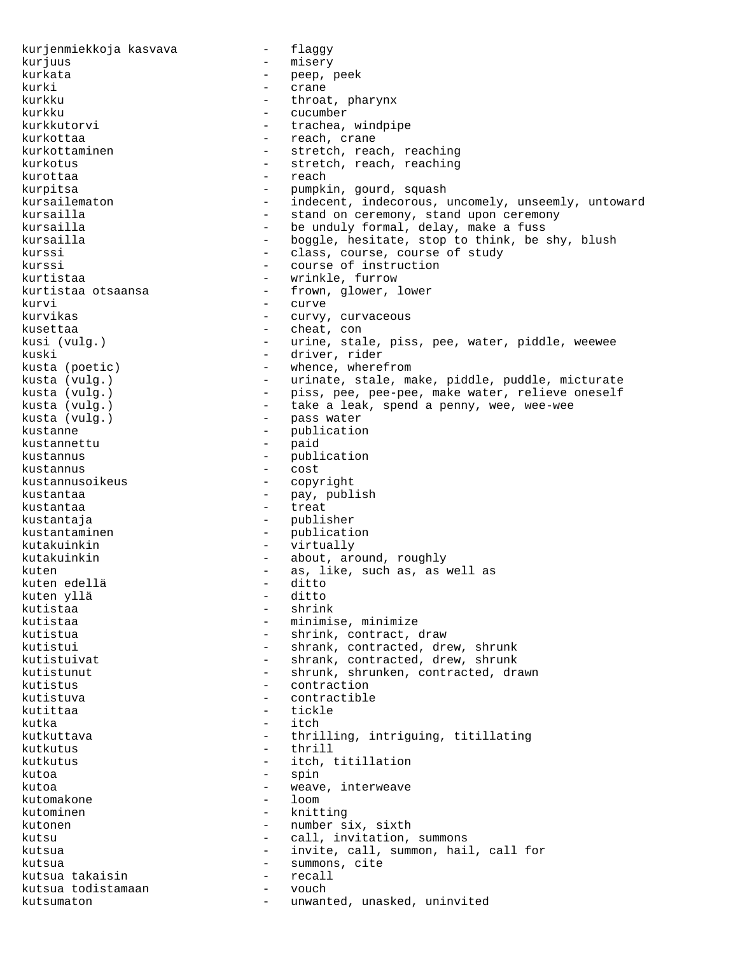kurjenmiekkoja kasvava - flaggy kurjuus - misery kurkata - peep, peek kurki - crane kurkku - throat, pharynx kurkku - cucumber<br>kurkkutorvi - cucumber - cucumber - trachea, windpipe kurkottaa - reach, crane<br>kurkottaminen - reach, reach, reach kurkottaminen - stretch, reach, reaching<br>kurkotus - stretch, reach, reaching - stretch, reach, reaching kurottaa - reach - reach kurpitsa  $-$  pumpkin, gourd, squash kursailematon - indecent, indecorous, uncomely, unseemly, untoward kursailla  $-$  stand on ceremony, stand upon ceremony kursailla  $-$  be unduly formal, delay, make a fuss kursailla - boggle, hesitate, stop to think, be shy, blush kurssi <br/> - class, course, course of study kurssi - course of instruction kurtistaa - wrinkle, furrow kurtistaa otsaansa  $-$  frown, glower, lower kurvi - curve - curve - curve - curve - curve - curve - curve - curve - curve - curve - curve - curve - curve - curve - curve - curve - curve - curve - curve - curve - curve - curve - curve - curve - curve - curve - curve - curvy, curvaceous kusettaa - cheat, con kusi (vulg.) - urine, stale, piss, pee, water, piddle, weewee kuski - driver, rider kusta (poetic) - whence, wherefrom kusta (vulg.) - urinate, stale, make, piddle, puddle, micturate kusta (vulg.) - piss, pee, pee-pee, make water, relieve oneself kusta (vulg.) - take a leak, spend a penny, wee, wee-wee kusta (vulg.) - pass water kustanne - publication<br>kustannettu - paid kustannettu kustannus - publication kustannus - cost kustannusoikeus - copyright kustantaa  $-$  pay, publish kustantaa - treat kustantaja - publisher kustantaminen - publication<br>kutakuinkin - virtually kutakuinkin - virtually kutakuinkin - about, around, roughly kuten - as, like, such as, as well as<br>kuten edellä - ditto - ditto kuten edellä - ditto kuten yllä<br>kutistaa kutistaa - shrink - shrink<br>kutistaa - shrink - minimi kutistaa - minimise, minimize kutistua - minimize kutistua - minimize kutistua - minimize kutistua - minimize <br>- minimize kutistua - minimize kutistua - minimize kutistua - minimize kutistua - minimize kutistua - minimize - shrink, contract, draw kutistui - shrank, contracted, drew, shrunk kutistuivat - shrank, contracted, drew, shrunk kutistunut - shrunk, shrunken, contracted, drawn kutistus - contraction kutistuva - contractible kutittaa - tickle kutka - itch kutkuttava - thrilling, intriguing, titillating kutkutus - thrill kutkutus - itch, titillation kutoa  $-$  spin kutoa - weave, interweave kutomakone kutominen - knitting kutonen - number six, sixth kutsu  $-$  call, invitation, summons kutsua  $-$  invite, call, summon, hail, call for kutsua - summons, cite kutsua takaisin - recall kutsua todistamaan - vouch kutsumaton - unwanted, unasked, uninvited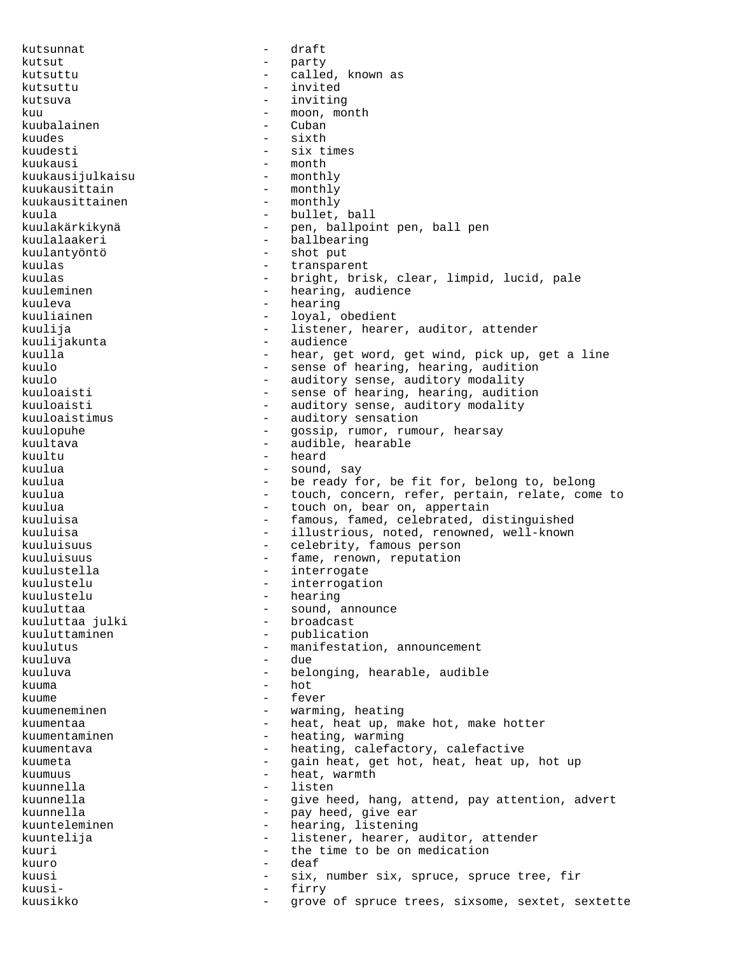kutsunnat - draft kutsut - party<br>kutsuttu - alle kutsuttu - called, known as kutsuttu - invited kutsuva - inviting kuu  $-$  moon, month  $-$  moon, month  $-$  Cuban kuubalainen kuudes – sixth – sixth – sixth – sixth – sixth – sixth – sixth – sixth – sixth – sixth – sixth – sixth – sixth – sixth – sixth – sixth – sixth – sixth – sixth – sixth – sixth – sixth – sixth – sixth – sixth – sixth – sixt - six times kuukausi - month<br>kuukausijulkaisu - - monthly kuukausijulkaisu kuukausittain - monthly<br>kuukausittainen - monthly kuukausittainen kuula - bullet, ball kuulakärkikynä - pen, ballpoint pen, ball pen kuulalaakeri - ballbearing kuulantyöntö - shot put kuulas - transparent kuulas - bright, brisk, clear, limpid, lucid, pale<br>kuuleminen - hearing, audience - hearing, audience kuuleva - hearing - hearing - hearing - hearing - hearing - hearing - hearing - hearing - hearing - hearing - h<br>https://www.math.com/distributed/watch?news/distributed/watch?news/distributed/watch?news/distributed/watch?ne - loyal, obedient kuulija - listener, hearer, auditor, attender kuulijakunta - audience kuulla - hear, get word, get wind, pick up, get a line<br>kuulo - sense of hearing, hearing, audition - sense of hearing, hearing, audition kuulo - auditory sense, auditory modality<br>kuuloaisti - sense of hearing, hearing, auditi - sense of hearing, hearing, audition kuuloaisti  $-$  auditory sense, auditory modality kuuloaistimus - auditory sensation kuulopuhe - Gossip, rumor, rumour, hearsay kuultava - audible, hearable kuultu - heard<br>kuulua - sound - sound - sound, say kuulua - be ready for, be fit for, belong to, belong kuulua - touch, concern, refer, pertain, relate, come to kuulua - touch on, bear on, appertain kuuluisa - famous, famed, celebrated, distinguished kuuluisa - illustrious, noted, renowned, well-known kuuluisuus - celebrity, famous person kuuluisuus - fame, renown, reputation kuulustella - interrogate kuulustelu - interrogation kuulustelu - hearing kuuluttaa - sound, announce<br>kuuluttaa julki - - broadcast kuuluttaa julki<br>kuuluttaminen - publication kuulutus - manifestation, announcement kuuluva - due kuuluva - belonging, hearable, audible kuuma - hot kuume - fever kuumeneminen - warming, heating kuumentaa  $-$  heat, heat up, make hot, make hotter kuumentaminen - heating, warming kuumentava - heating, calefactory, calefactive<br>
- a sain heat get hot heat heat up kuumeta - gain heat, get hot, heat, heat up, hot up<br>kuumuus kuumuus - heat, warmth kuunnella - listen valmaan valmaan valmaan valmaan valmaan valmaan valmaan valmaan valmaan valmaan valmaan val<br>Tartootti kuunnella - give heed, hang, attend, pay attention, advert<br>- pay heed, give ear kuunnella - pay heed, give ear kuunteleminen - hearing, listening kuuntelija - listener, hearer, auditor, attender kuuri - the time to be on medication kuuro - deaf kuusi - six, number six, spruce, spruce tree, fir kuusi- - firry kuusikko - Grove of spruce trees, sixsome, sextet, sextette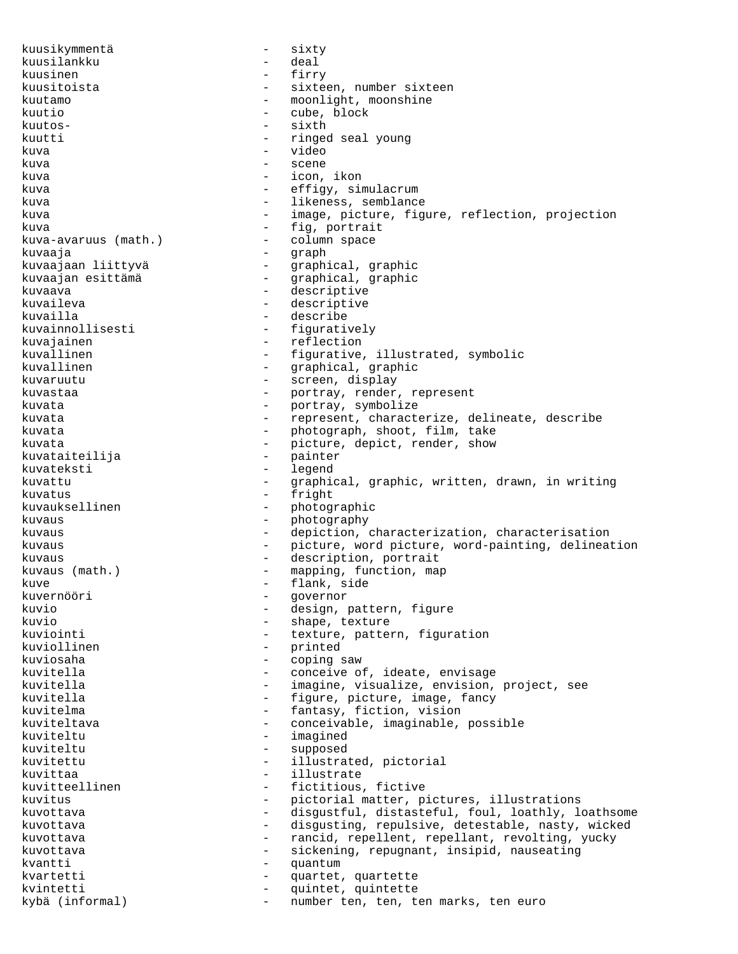kuusikymmentä - sixty kuusilankku kuusinen - firry kuusitoista - sixteen, number sixteen kuutamo - moonlight, moonshine kuutio - cube, block kuutos- - sixth - sixth - sixth - sixth - sixth - sixth - sixth - sixth - sixth - sixth - sixth - sixth - sixth - sixth - sixth - sixth - sixth - sixth - sixth - sixth - sixth - sixth - sixth - sixth - sixth - sixth - sixt kuutti - ringed seal young kuva - video kuva - scene kuva - icon, ikon kuva  $-$  effigy, simulacrum kuva - likeness, semblance kuva enterprise of the setterm of the setterm image, picture, figure, reflection, projection kuva  $-$  fig, portrait kuva-avaruus (math.) - column space kuvaaja - graph - graphical, graphic kuvaajan esittämä  $-$  graphical, graphic kuvaava - descriptive<br>kuvaileva - descriptive kuvaileva - descriptive<br>kuvailla - describe - describe kuvainnollisesti - figuratively kuvajainen 1988 - Kuvajainen 1988 - Kuvajainen 1988 - Kuvajainen 1988 - Kuvajainen 1988 - Kuvajainen 1988 - Ku kuvallinen - figurative, illustrated, symbolic - graphical, graphic kuvaruutu - screen, display kuvastaa - portray, render, represent<br>kuvata - portray, symbolize kuvata  $-$  portray, symbolize kuvata - represent, characterize, delineate, describe kuvata - photograph, shoot, film, take kuvata - picture, depict, render, show<br>kuvataiteilija - painter kuvataiteilija kuvateksti - legend kuvattu - graphical, graphic, written, drawn, in writing kuvatus - fright kuvauksellinen - photographic kuvaus - photography - photography kuvaus - depiction, characterization, characterisation kuvaus external represents to the picture, word picture, word-painting, delineation kuvaus - description, portrait kuvaus (math.) - mapping, function, map kuve - flank, side<br>
kuvernööri - flank, side kuvernööri - governor kuvio - design, pattern, figure kuvio - shape, texture<br>kuviointi - shape, texture, patte kuviointi - texture, pattern, figuration - printed<br>- coping kuviosaha - coping saw kuvitella - conceive of, ideate, envisage kuvitella - imagine, visualize, envision, project, see kuvitella  $-$  figure, picture, image, fancy kuvitelma - fantasy, fiction, vision kuviteltava - conceivable, imaginable, possible kuviteltu - imagined kuviteltu - supposed kuvitettu - illustrated, pictorial kuvittaa - illustrate<br>kuvitteellinen - - fictitious - fictitious, fictive kuvitus - pictorial matter, pictures, illustrations kuvottava - disgustful, distasteful, foul, loathly, loathsome kuvottava - disgusting, repulsive, detestable, nasty, wicked kuvottava - rancid, repellent, repellant, revolting, yucky kuvottava  $-$  sickening, repugnant, insipid, nauseating kvantti - quantum kvartetti - quartet, quartette kvintetti - quintet, quintette kybä (informal) - mumber ten, ten, ten marks, ten euro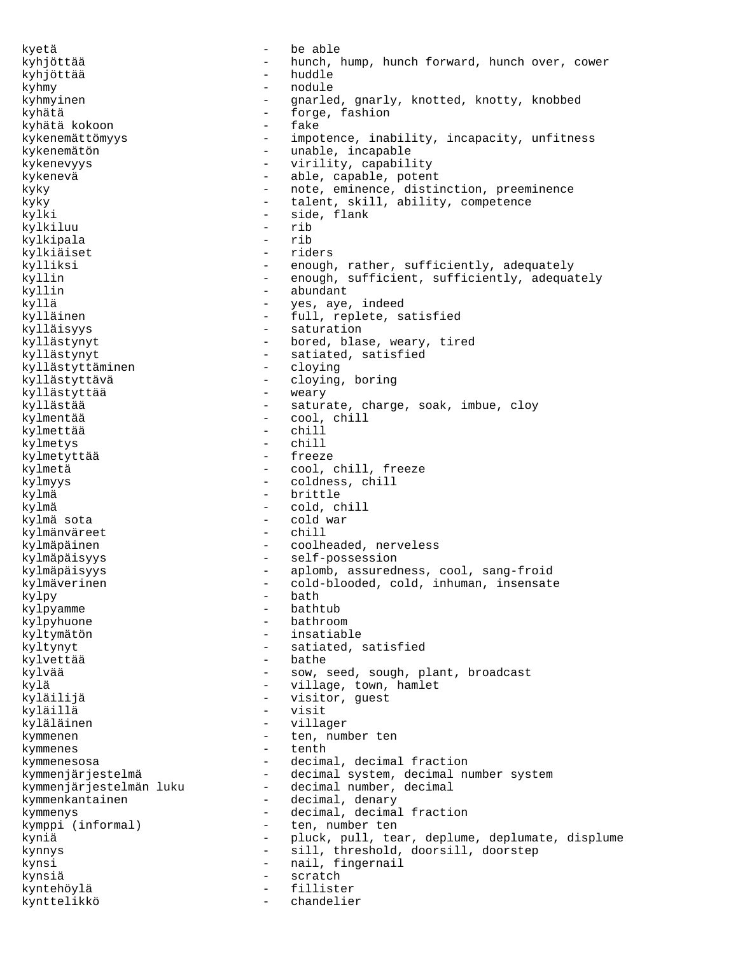kyetä - be able kyhjöttää - hunch, hump, hunch forward, hunch over, cower kyhjöttää - huddle kyhmy - nodule kyhmyinen - gnarled, gnarly, knotted, knotty, knobbed kyhätä - forge, fashion<br>kyhätä kokoon - - fake - fake kyhätä kokoon kykenemättömyys - impotence, inability, incapacity, unfitness kykenemätön - unable, incapable kykenevyys - virility, capability kykenevä - able, capable, potent kyky - note, eminence, distinction, preeminence kyky - talent, skill, ability, competence kylki - side, flank<br>kvlkiluu - rib - rib kylkiluu - ribbitista - ribbitista - ribbitista - ribbitista - ribbitista - ribbitista - ribbitista - ribbitis kylkipala - rib kylkiäiset - riders kylliksi - enough, rather, sufficiently, adequately kyllin - enough, sufficient, sufficiently, adequately kyllin - abundant - abundant - abundant - ses, aye, - yes, aye, indeed kylläinen 1988 - full, replete, satisfied kylläisyys - saturation kyllästynyt - bored, blase, weary, tired kyllästynyt - satiated, satisfied<br>kyllästyttäminen - - cloying kyllästyttäminen kyllästyttävä - cloying, boring kyllästyttää kyllästää  $-$  saturate, charge, soak, imbue, cloy kylmentää - cool, chill kylmettää - chill kylmetys - chill kylmetyttää kylmetä - cool, chill, freeze kylmyys - coldness, chill - brittle kylmä - cold, chill kylmä sota - cold war kylmänväreet kylmäpäinen - coolheaded, nerveless kylmäpäisyys - self-possession kylmäpäisyys  $-$  aplomb, assuredness, cool, sang-froid kylmäverinen - cold-blooded, cold, inhuman, insensate kylpy - bath kylpyamme kylpyhuone - bathroom kyltymätön - insatiable kyltynyt <a>>
->
satiated, satisfied</a>
->
satiated, satisfied</a>
satisfied</a>
satisfied</a>
satisfied</a>
satisfied</a>
satisfied</a>
satisfied</a>
satisfied</a>
satisfied</a>
satisfied</a>
satisfied</a>
satisfied</a> kylvettää - bathe kylvää - sow, seed, sough, plant, broadcast kylä - village, town, hamlet kyläilijä - visitor, guest kyläillä - visit kyläläinen  $-$  villager kymmenen - ten, number ten kymmenes - tenth kymmenesosa - compared - decimal, decimal fraction kymmenjärjestelmä – decimal system, decimal number system<br>kymmenjärjestelmän luku – decimal number, decimal - decimal number, decimal kymmenkantainen - decimal, denary kymmenys<br>
kymppi (informal) - decimal, decimal fraction<br>
- ten, number ten - ten, number ten kyniä - pluck, pull, tear, deplume, deplumate, displume kynnys - sill, threshold, doorsill, doorstep kynsi - nail, fingernail<br>kynsiä - scratch - scratch kynsiä - scratch kyntehöylä - fillister kynttelikkö - chandelier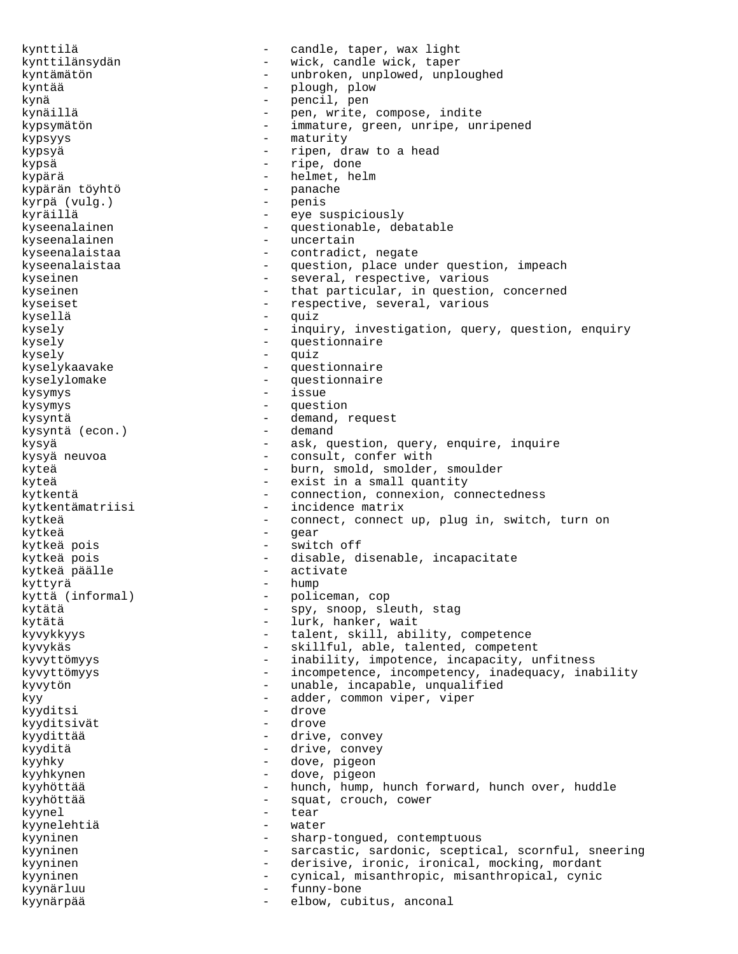kynttilä  $-$  candle, taper, wax light kynttilänsydän - wick, candle wick, taper kyntämätön - unbroken, unplowed, unploughed kyntää  $-$  plough, plow kynä - pencil, pen kynäillä - pen, write, compose, indite kypsymätön - immature, green, unripe, unripened kypsyys - maturity kypsyä  $-$  ripen, draw to a head kypsä - ripe, done kypärä - helmet, helm kypärän töyhtö - panache kyrpä (vulg.) - penis kyräillä - eye suspiciously kyseenalainen - questionable, debatable<br>kyseenalainen - uncertain kyseenalainen - uncertain kyseenalaistaa - contradict, negate kyseenalaistaa - question, place under question, impeach kyseinen - several, respective, various kyseinen - that particular, in question, concerned kyseiset - respective, several, various<br>kysellä kysellä - quiz kysely extending the inquiry, investigation, query, question, enquiry kysely - questionnaire kysely - quiz kyselykaavake - questionnaire kyselylomake - questionnaire kysymys - issue kysymys - question kysyntä - demand, request kysyntä (econ.) kysyä - ask, question, query, enquire, inquire kysyä neuvoa allantiin valtaa - consult, confer with kyteä - burn, smold, smolder, smoulder kyteä  $-$  exist in a small quantity kytkentä - connection, connexion, connectedness kytkentämatriisi - incidence matrix kytkeä - connect, connect up, plug in, switch, turn on kytkeä - gear kytkeä pois - switch off kytkeä pois  $-$  disable, disenable, incapacitate kytkeä päälle  $-$  activate kyttyrä - hump kyttä (informal) - policeman, cop<br>kytätä - spylsnooplali kytätä - spy, snoop, sleuth, stag kytätä  $-$  lurk, hanker, wait kyvykkyys - talent, skill, ability, competence kyvykäs - skillful, able, talented, competent kyvyttömyys - inability, impotence, incapacity, unfitness kyvyttömyys entitle incompetence, incompetency, inadequacy, inability kyvytön - unable, incapable, unqualified kyy - adder, common viper, viper kyyditsi - drove - drove - drove - drove - drove - drove - drove - drove - drove - drove - drove - drove - dro kyyditsivät - drove kyydittää - drive, convey<br>kyyditä kyyditä - drive, convey kyyhky - dove, pigeon kyyhkynen - dove, pigeon - hunch, hump, hunch forward, hunch over, huddle kyyhöttää  $-$  squat, crouch, cower kyynel - tear kyynelehtiä - water kyyninen - sharp-tongued, contemptuous kyyninen - sarcastic, sardonic, sceptical, scornful, sneering kyyninen - derisive, ironic, ironical, mocking, mordant<br>
kyyninen - cynical, misanthropic, misanthropical cynic kyyninen - cynical, misanthropic, misanthropical, cynic kyynärluu - funny-bone kyynärpää - elbow, cubitus, anconal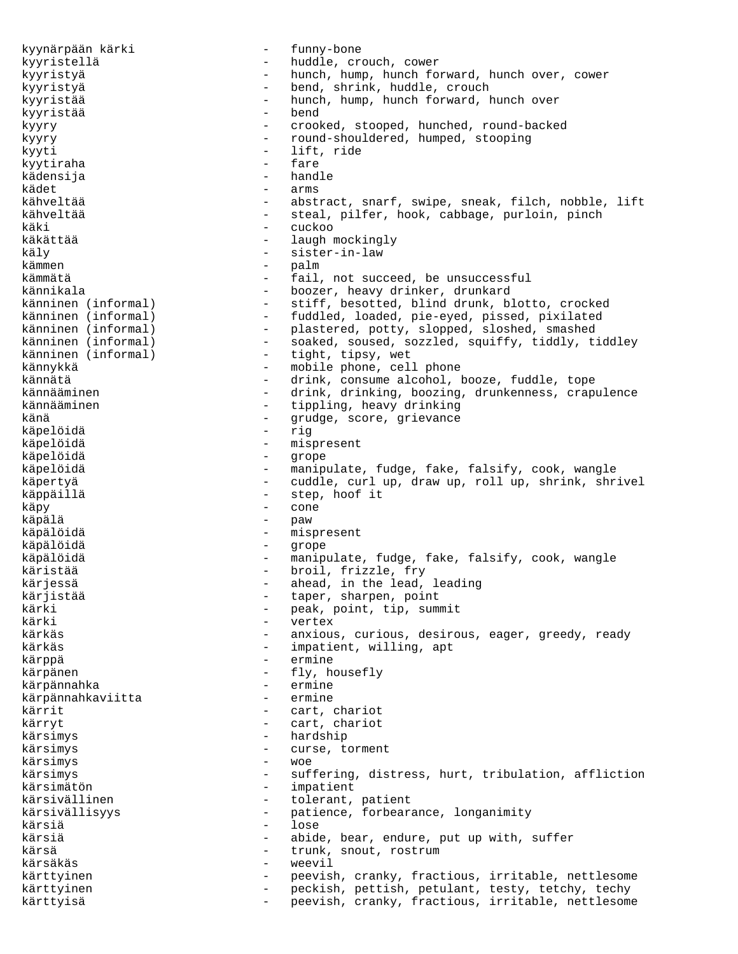kyynärpään kärki funny-bone<br>kyyristellä kyyristellä - huddle, crouch, cower kyyristyä - hunch, hump, hunch forward, hunch over, cower kyyristyä - bend, shrink, huddle, crouch kyyristää - hunch, hump, hunch forward, hunch over kyyristää kyyry extended to the crooked, stooped, hunched, round-backed kyyry - round-shouldered, humped, stooping kyyti - lift, ride<br>kyytiraha - lift, ride kyytiraha - fare kädensija - handle kädet - arms kähveltää  $-$  abstract, snarf, swipe, sneak, filch, nobble, lift kähveltää  $-$  steal, pilfer, hook, cabbage, purloin, pinch käki - cuckoo käkättää  $-$  laugh mockingly käly - sister-in-law kämmen – palm kämmätä - fail, not succeed, be unsuccessful<br>kännikala - - - - - - - - boozer, heavy drinker, drunkard kännikala - boozer, heavy drinker, drunkard<br>känninen (informal) - stiff, besotted, blind drunk, b känninen (informal) - stiff, besotted, blind drunk, blotto, crocked<br>känninen (informal) - fuddled, loaded, pie-eyed, pissed, pixilated känninen (informal) - fuddled, loaded, pie-eyed, pissed, pixilated<br>känninen (informal) - plastered, potty, slopped, sloshed, smashed känninen (informal) - plastered, potty, slopped, sloshed, smashed<br>känninen (informal) - soaked, soused, sozzled, squiffy, tiddly, t: känninen (informal) - soaked, soused, sozzled, squiffy, tiddly, tiddley<br>känninen (informal) - tight, tipsy, wet - tight, tipsy, wet kännykkä  $-$  mobile phone, cell phone kännätä - drink, consume alcohol, booze, fuddle, tope kännääminen 1988 - drink, drinking, boozing, drunkenness, crapulence kännääminen - tippling, heavy drinking<br>känä - tippling, heavy drinking <sup>-</sup> grudge, score, grievance<br>- rig käpelöidä - rig - mispresent<br>- grope käpelöidä - grope käpelöidä - manipulate, fudge, fake, falsify, cook, wangle käpertyä - cuddle, curl up, draw up, roll up, shrink, shrivel - step, hoof it käpy - cone käpälä - paw käpälöidä - mispresent käpälöidä - grope käpälöidä - manipulate, fudge, fake, falsify, cook, wangle käristää  $-$  broil, frizzle, fry kärjessä - ahead, in the lead, leading<br>kärjistää - - - - - - - - taper, sharpen, point kärjistää - taper, sharpen, point<br>kärki - taper, sharpen, point, tip. sum kärki - peak, point, tip, summit<br>kärki - vertex kärki - vertex - anxious, curious, desirous, eager, greedy, ready kärkäs  $-$  impatient, willing, apt kärppä - ermine kärpänen  $\qquad \qquad -1$  fly, housefly kärpännahka - ermine kärpännahkaviitta kärrit - cart, chariot - cart, chariot kärsimys - hardship<br>kärsimys - curse to kärsimys - curse, torment kärsimys – woe<br>kärsimys – woe kärsimys - suffering, distress, hurt, tribulation, affliction - impatient kärsivällinen - tolerant, patient - patience, forbearance, longanimity kärsiä - lose kärsiä 1980 - abide, bear, endure, put up with, suffer kärsä  $-$  trunk, snout, rostrum kärsäkäs - weevil kärttyinen - peevish, cranky, fractious, irritable, nettlesome kärttyinen - peckish, pettish, petulant, testy, tetchy, techy kärttyisä  $-$  peevish, cranky, fractious, irritable, nettlesome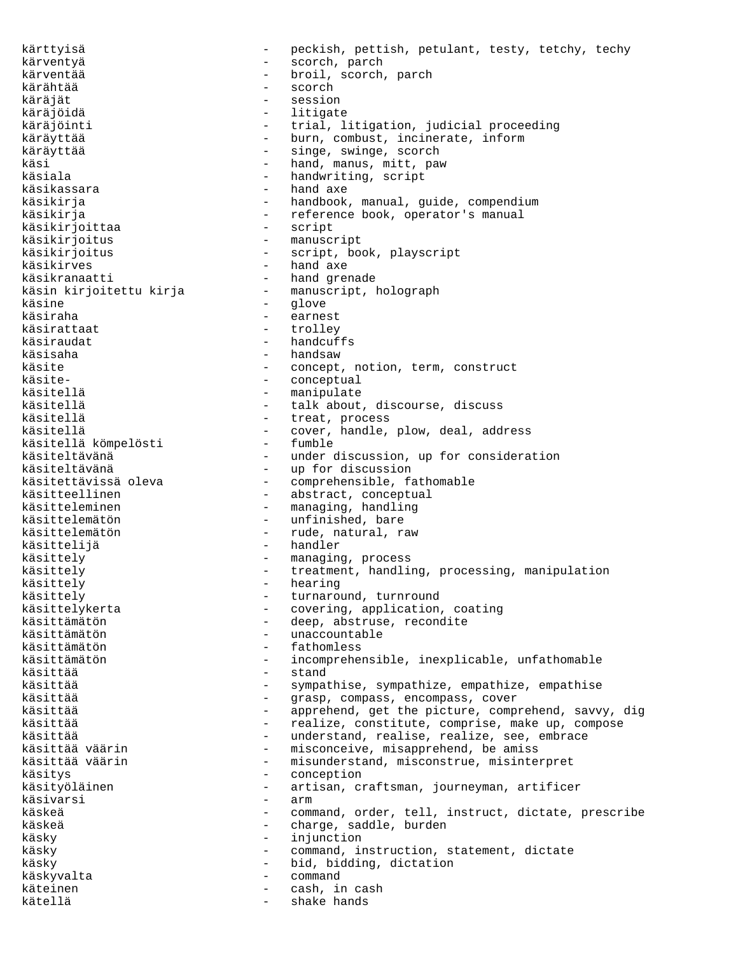kärttyisä - peckish, pettish, petulant, testy, tetchy, techy kärventyä - scorch, parch kärventää  $\qquad \qquad - \quad \text{broid}, \text{score}, \text{parent}$ kärähtää - scorch käräjät - session käräjöidä<br>käräjöinti - trial, litigation, judicial proceeding käräyttää - burn, combust, incinerate, inform<br>käräyttää - - - - - - - - singe, swinge, scorch - singe, swinge, scorch käsi käsi kuulus, manus, mitt, paw käsiala - handwriting, script<br>
käsikassara - hand axe - hand axe käsikassara käsikirja - handbook, manual, guide, compendium käsikirja - reference book, operator's manual<br>käsikirjoittaa - - script - script käsikirjoittaa käsikirjoitus - manuscript käsikirjoitus - script, book, playscript<br>käsikirves - - - - - - - hand axe - hand axe käsikranaatti - hand grenade<br>käsin kirjoitettu kirja - manuscript, h käsin kirjoitettu kirja - manuscript, holograph käsine – glove<br>käsinaha – glove – glove - earnest käsirattaat  $-$  trolley käsiraudat - handcuffs käsisaha - handsaw - handsaw<br>käsite - concept - concept, notion, term, construct käsite-  $\qquad \qquad -$  conceptual käsitellä  $-$  manipulate käsitellä - talk about, discourse, discuss käsitellä - treat, process - cover, handle, plow, deal, address<br>- fumble käsitellä kömpelösti<br>käsiteltävänä käsiteltävänä - under discussion, up for consideration<br>käsiteltävänä - - up for discussion käsiteltävänä - up for discussion - comprehensible, fathomable käsitteellinen - abstract, conceptual käsitteleminen - managing, handling käsittelemätön - unfinished, bare käsittelemätön - rude, natural, raw käsittelijä - handler - managing, process käsittely - treatment, handling, processing, manipulation käsittely - hearing käsittely - turnaround, turnround<br>käsittelykerta - - covering, application käsittelykerta - covering, application, coating<br>käsittämätön - - deep, abstruse, recondite käsittämätön - deep, abstruse, recondite - unaccountable käsittämätön - fathomless käsittämätön - incomprehensible, inexplicable, unfathomable käsittää - stand käsittää - sympathise, sympathize, empathize, empathise<br>käsittää - sanas - sympathise, sympathize, empathize, empathise käsittää - grasp, compass, encompass, cover<br>käsittää - sapprehend, get the picture, compo käsittää - - apprehend, get the picture, comprehend, savvy, dig käsittää  $-$  realize, constitute, comprise, make up, compose käsittää - understand, realise, realize, see, embrace<br>käsittää väärin - - - misconceive, misapprehend, be amiss - misconceive, misapprehend, be amiss käsittää väärin - misunderstand, misconstrue, misinterpret käsitys - conception - artisan, craftsman, journeyman, artificer käsivarsi - arm käskeä - command, order, tell, instruct, dictate, prescribe käskeä - charge, saddle, burden käsky - injunction käsky - command, instruction, statement, dictate - bid, bidding, dictation<br>- command käskyvalta - command käteinen  $-$  cash, in cash kätellä - shake hands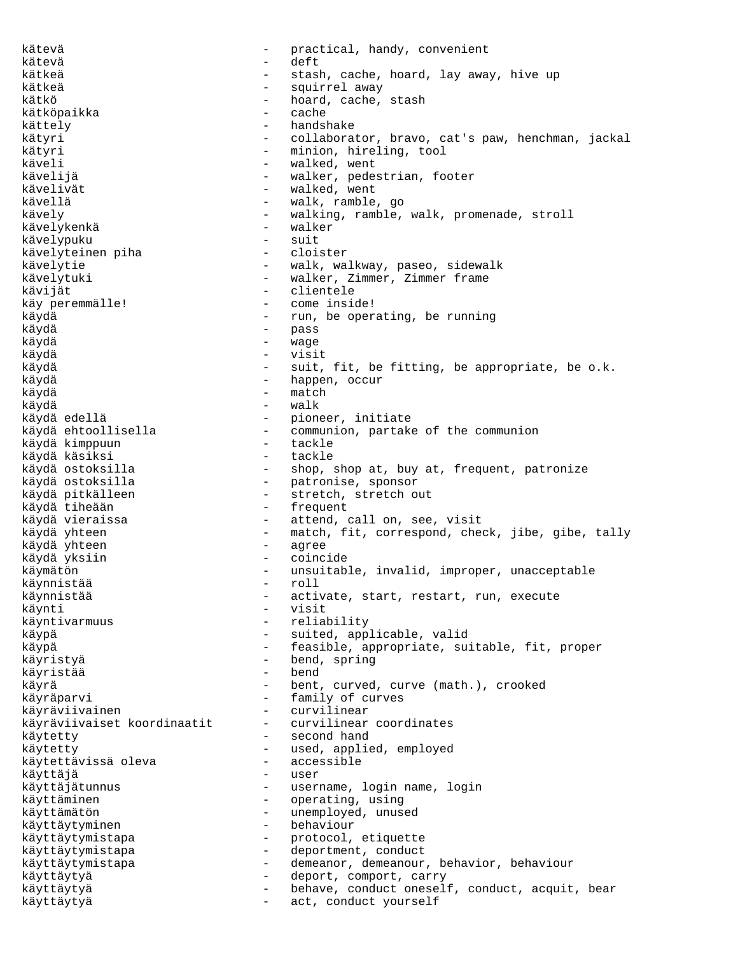kätevä - practical, handy, convenient kätevä - deft kätkeä  $-$  stash, cache, hoard, lay away, hive up kätkeä  $-$  squirrel away kätkö  $-$  hoard, cache, stash kätköpaikka - cache kättely - handshake kätyri en metalog - collaborator, bravo, cat's paw, henchman, jackal kätyri  $-$  minion, hireling, tool käveli  $-$  walked, went kävelijä  $-$  walker, pedestrian, footer kävelivät  $-$  walked, went kävellä  $-$  walk, ramble, go kävely - walking, ramble, walk, promenade, stroll kävelykenkä - walker kävelypuku - suit kävelyteinen piha - cloister kävelytie  $-$  walk, walkway, paseo, sidewalk kävelytuki - walker, Zimmer, Zimmer frame kävijät - clientele<br>käy peremmälle! - - come insi käy peremmälle! - come inside!<br>käydä - run, be oper - run, be operating, be running  $k$ äydä - pass - pass - pass - pass - pass - pass - pass - pass - pass - pass - pass - pass - pass - pass - pass - pass - pass - pass - pass - pass - pass - pass - pass - pass - pass - pass - pass - pass - pass - pass - p käydä - wage käydä - visit käydä  $-$  suit, fit, be fitting, be appropriate, be o.k. käydä - happen, occur käydä - match käydä - walk käydä edellä<br>käydä ehtoollisella - pioneer, initiate käydä ehtoollisella - communion, partake of the communion<br>kävdä kimppuun - tackle käydä kimppuun - tackle käydä käsiksi<br>käydä ostoksilla käydä ostoksilla - shop, shop at, buy at, frequent, patronize<br> käydä ostoksilla - patronise, sponsor käydä ostoksilla - patronise, sponsor<br>käydä pitkälleen - - stretch, stretch o käydä pitkälleen - stretch, stretch out - frequent käydä vieraissa  $-$  attend, call on, see, visit käydä yhteen - match, fit, correspond, check, jibe, gibe, tally käydä yhteen - agree käydä yksiin - coincide käymätön - unsuitable, invalid, improper, unacceptable käynnistää - roll käynnistää - - activate, start, restart, run, execute<br>käynti käynti - visit käyntivarmuus - reliability käypä - suited, applicable, valid käypä - feasible, appropriate, suitable, fit, proper käyristyä - bend, spring käyristää käyrä - bent, curved, curve (math.), crooked käyräparvi - family of curves käyräviivainen - curvilinear käyräviivaiset koordinaatit käytetty - second hand käytetty - used, applied, employed käytettävissä oleva käyttäjä - user käyttäjätunnus esimest vallanus - username, login name, login käyttäminen  $-$  operating, using käyttämätön - unemployed, unused käyttäytyminen - behaviour käyttäytymistapa - protocol, etiquette käyttäytymistapa - deportment, conduct käyttäytymistapa - demeanor, demeanour, behavior, behaviour käyttäytyä - deport, comport, carry käyttäytyä - behave, conduct oneself, conduct, acquit, bear<br>käyttäytyä - act, conduct yourself käyttäytyä - act, conduct yourself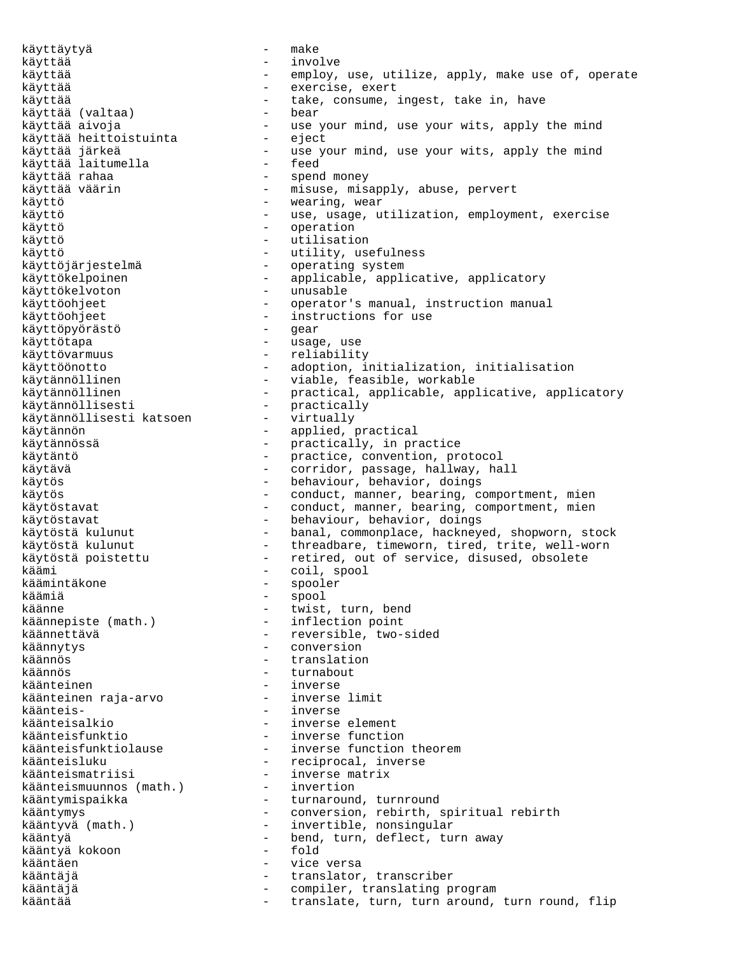käyttäytyä - make käyttää - involve käyttää  $-$  employ, use, utilize, apply, make use of, operate käyttää  $-$  exercise, exert käyttää - take, consume, ingest, take in, have käyttää (valtaa)<br>käyttää aivoja - use your mind, use your wits, apply the mind<br>- eiect käyttää heittoistuinta<br>käyttää heittoistuinta<br>käyttää järkeä - use your mind, use your wits, apply the mind<br>- feed .<br>käyttää laitumella<br>käyttää rahaa käyttää rahaa - spend money - misuse, misapply, abuse, pervert käyttö  $-$  wearing, wear käyttö - use, usage, utilization, employment, exercise käyttö - operation käyttö - utilisation käyttö - utility, usefulness käyttöjärjestelmä - operating system käyttökelpoinen - applicable, applicative, applicatory käyttökelvoton - unusable käyttöohjeet - operator's manual, instruction manual käyttöohjeet - instructions for use<br>käyttöovörästö - gear - gear käyttöpyörästö käyttötapa - usage, use käyttövarmuus - reliability käyttöönotto - adoption, initialization, initialisation käytännöllinen - viable, feasible, workable käytännöllinen - practical, applicable, applicative, applicatory käytännöllisesti - practically käytännöllisesti katsoen - virtually käytännön - applied, practical käytännössä  $-$  practically, in practice käytäntö - practice, convention, protocol - corridor, passage, hallway, hall käytös - behaviour, behavior, doings - conduct, manner, bearing, comportment, mien käytöstavat  $-$  conduct, manner, bearing, comportment, mien käytöstavat - behaviour, behavior, doings käytöstä kulunut banal, commonplace, hackneyed, shopworn, stock käytöstä kulunut threadbare, timeworn, tired, trite, well-worn käytöstä poistettu retired, out of service, disused, obsolete käämi - coil, spool käämintäkone - spooler käämiä - spool käänne - twist, turn, bend<br>käännepiste (math.) - inflection point - inflection point käännettävä - reversible, two-sided<br>käännytys - - conversion - conversion käännös - translation käännös - turnabout käänteinen<br>käänteinen raja-arvo inverse limit käänteinen raja-arvo käänteis- - inverse käänteisalkio - inverse element käänteisfunktio - inverse function käänteisfunktiolause - inverse function theorem käänteisluku - reciprocal, inverse käänteismatriisi - inverse matrix käänteismuunnos (math.) - invertion kääntymispaikka - turnaround, turnround kääntymys - conversion, rebirth, spiritual rebirth kääntyvä (math.) - invertible, nonsingular kääntyä - bend, turn, deflect, turn away<br>kääntvä kokoon - - - - - fold kääntyä kokoon - fold kääntäen - vice versa kääntäjä  $-$  translator, transcriber kääntäjä - compiler, translating program kääntää - translate, turn, turn around, turn round, flip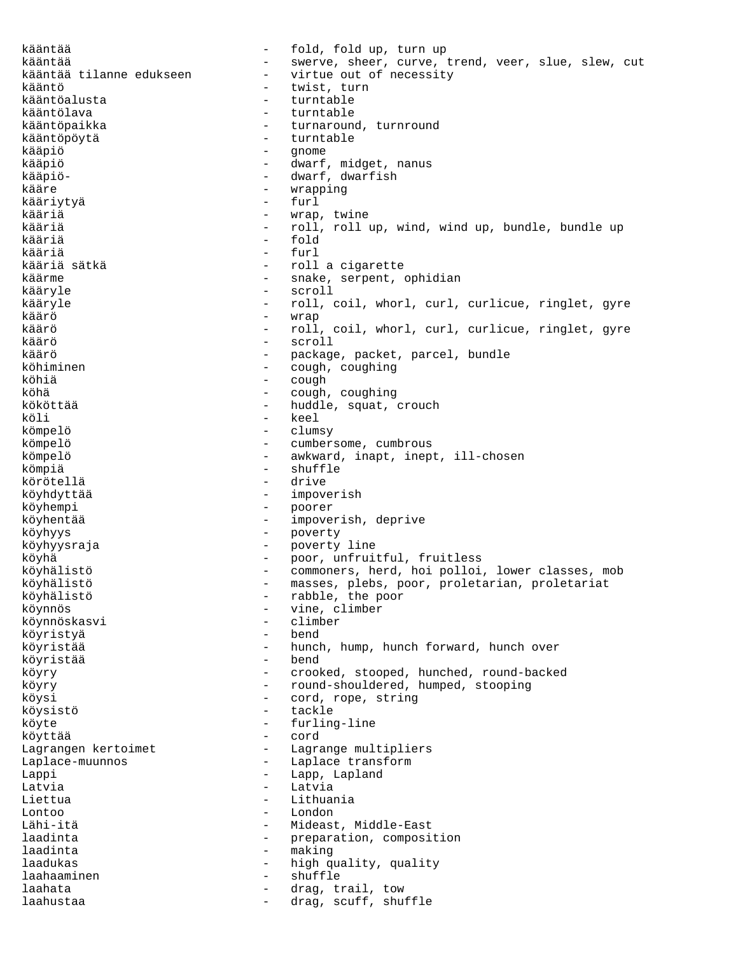kääntää - fold, fold up, turn up kääntää - swerve, sheer, curve, trend, veer, slue, slew, cut kääntää tilanne edukseen kääntö - twist, turn - turntable kääntölava - turntable<br>kääntöpaikka - turnaroun kääntöpaikka - turnaround, turnround kääntöpöytä - turntable - gnome kääpiö - dwarf, midget, nanus - dwarf, dwarfish kääre - wrapping<br>käärivtvä - + furl - etul kääriytyä kääriä  $-$  wrap, twine kääriä 1988 – roll, roll up, wind, wind up, bundle, bundle up kääriä - fold kääriä - furl - roll a cigarette käärme - snake, serpent, ophidian kääryle - scroll kääryle - roll, coil, whorl, curl, curlicue, ringlet, gyre wrap käärö  $-$  roll, coil, whorl, curl, curlicue, ringlet, gyre käärö - scroll käärö - package, packet, parcel, bundle köhiminen 1988 bestecknaar ook also een van die verschieden van die verschieden van die verschieden van die ve köhiä - cough köhä  $-$  cough, coughing kököttää  $-$  huddle, squat, crouch köli - keel kömpelö - clumsy kömpelö  $-$  cumbersome, cumbrous kömpelö  $-$  awkward, inapt, inept, ill-chosen kömpiä - shuffle körötellä köyhdyttää - impoverish köyhempi - poorer köyhentää - impoverish, deprive köyhyys - poverty köyhyysraja - poverty line köyhä - poor, unfruitful, fruitless köyhälistö - commoners, herd, hoi polloi, lower classes, mob köyhälistö - masses, plebs, poor, proletarian, proletariat köyhälistö - rabble, the poor<br>
köynnös köynnös - vine, climber köynnöskasvi - climber köyristyä köyristää - hunch, hump, hunch forward, hunch over köyristää - bend köyry - crooked, stooped, hunched, round-backed köyry - round-shouldered, humped, stooping köysi - cord, rope, string köysistö - tackle köyte - furling-line köyttää - cord Lagrangen kertoimet - Lagrange multipliers Laplace-muunnos - Laplace transform Lappi - Lapp, Lapland Latvia - Latvia Liettua - Lithuania Lontoo - London - Mideast, Middle-East laadinta - preparation, composition laadinta - making laadukas - high quality, quality laahaaminen - shuffle laahata  $\qquad \qquad -$  drag, trail, tow laahustaa - drag, scuff, shuffle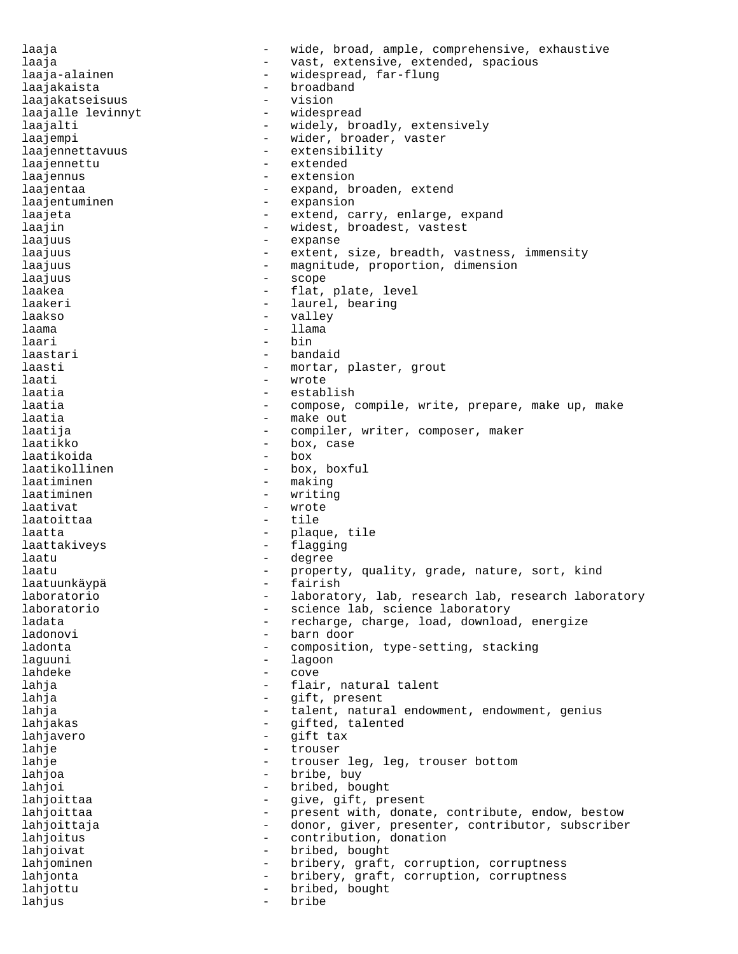laaja - wide, broad, ample, comprehensive, exhaustive laaja - vast, extensive, extended, spacious laaja-alainen 1980 - widespread, far-flung laajakaista - broadband laajakatseisuus - vision laajalle levinnyt - widespread laajalti - widely, broadly, extensively laajempi - wider, broader, vaster laajennettavuus - extensibility<br>laajennettu - extended laajennettu laajennus - extension laajentaa - expand, broaden, extend laajentuminen expansion - expansion laajeta - extend, carry, enlarge, expand laajin - widest, broadest, vastest laajuus - expanse laajuus - extent, size, breadth, vastness, immensity<br>laajuus - magnitude proportion dimension laajuus - magnitude, proportion, dimension<br>laajuus - scope laajuus – scope<br>laakea – scope – scope laakea - flat, plate, level laakeri - laurel, bearing<br>laakso - valley laakso - valley laama - llama laari - bin laastari - bandaid laasti - mortar, plaster, grout<br>laati - wrote laati - wrote laatia - establish laatia  $\sim$  - compose, compile, write, prepare, make up, make laatia - make out laatija - compiler, writer, composer, maker<br>laatikko - box.case laatikko - box, case<br>laatikoida - box - box laatikoida<br>laatikollinen laatikollinen - box, boxful<br>laatiminen - making - making<br>- writing laatiminen - writing laativat - wrote laatoittaa laatta - plaque, tile laattakiveys en metal van die soloom van die stadium van die soloom van die soloom van die soloom van die solo laatu - degree laatu - property, quality, grade, nature, sort, kind<br>laatuunkäypä - fairish - fairish laatuunkäypä - fairish laboratorio  $-$  laboratory, lab, research lab, research laboratory laboratorio - science lab, science laboratory ladata - recharge, charge, load, download, energize<br>ladonovi - barn door - barn door<br>- compositie ladonta - composition, type-setting, stacking laguuni - lagoon - lagoon - lagoon - lagoon - lagoon - lagoon - lagoon - lagoon - lagoon - lagoon - lagoon - lagoon - lagoon - lagoon - lagoon - lagoon - lagoon - lagoon - lagoon - lagoon - lagoon - lagoon - lagoon - lagoo lahdeke - cove lahja - flair, natural talent lahja - gift, present lahja - talent, natural endowment, endowment, genius lahjakas - gifted, talented lahjavero - gift tax lahje - trouser<br>lahje - trouser - trouser lahje  $-$  trouser leg, leg, trouser bottom lahjoa - bribe, buy lahjoi - bribed, bought lahjoittaa  $-$  give, gift, present lahjoittaa  $-$  present with, donate, contribute, endow, bestow lahjoittaja  $-$  donor, giver, presenter, contributor, subscriber lahjoitus - contribution, donation lahjoivat - bribed, bought lahjominen - bribery, graft, corruption, corruptness lahjonta - bribery, graft, corruption, corruptness lahjottu - bribed, bought lahjus - bribe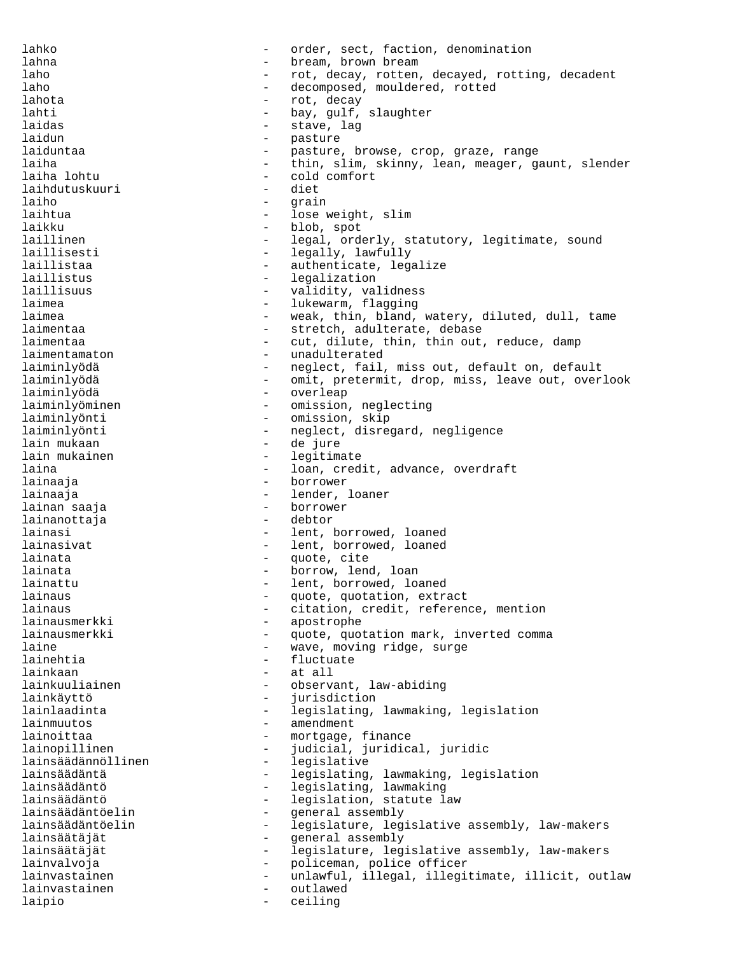lahko - order, sect, faction, denomination lahna  $\qquad \qquad -$  bream, brown bream laho  $-$  rot, decay, rotten, decayed, rotting, decadent laho  $\qquad \qquad -$  decomposed, mouldered, rotted lahota - rot, decay lahti  $-$  bay, gulf, slaughter laidas - stave, lag laidun - pasture - pasture - pasture - pasture - pasture - pasture - pasture - pasture - pasture - pasture - pasture - pasture - pasture - pasture - pasture - pasture - pasture - pasture - pasture - pasture - pasture - pas laiduntaa - pasture, browse, crop, graze, range laiha - thin, slim, skinny, lean, meager, gaunt, slender<br>laiha lohtu - cold comfort - cold comfort<br>- diet laihdutuskuuri - dieteessa kuningas kuningas kuningas kuningas kuningas kuningas kuningas kuningas kuningas ku<br>Laiho laiho  $-$  qrain laihtua - lose weight, slim laikku - blob, spot laillinen - legal, orderly, statutory, legitimate, sound laillisesti - legally, lawfully laillistaa - authenticate, legalize<br>laillistus - legalization laillistus - legalization<br>laillisuus - validity va laillisuus - validity, validness laimea - lukewarm, flagging - weak, thin, bland, watery, diluted, dull, tame laimentaa - stretch, adulterate, debase laimentaa - cut, dilute, thin, thin out, reduce, damp laimentamaton - unadulterated laiminlyödä  $-$  neglect, fail, miss out, default on, default laiminlyödä  $-$  omit, pretermit, drop, miss, leave out, overlook laiminlyödä - overleap laiminlyöminen - omission, neglecting laiminlyönti - omission, skip<br>laiminlyönti - neglect disre laiminlyönti - neglect, disregard, negligence<br>lain mukaan - de jure lain mukaan lain mukainen 1988 - legitimate<br>laina 1988 - loan, credi - loan, credit, advance, overdraft lainaaja - borrower lainaaja - lender, loaner lainan saaja<br>lainanottaja - borrower - borrower lainanottaja lainasi  $-$  lent, borrowed, loaned lainasivat - lent, borrowed, loaned<br>lainata lainata  $\qquad \qquad -$  quote, cite lainata  $\qquad \qquad -$  borrow, lend, loan lainattu - lent, borrowed, loaned<br>lainaus - cuote quotation extr lainaus - quote, quotation, extract<br>lainaus - citation credit referen lainaus - citation, credit, reference, mention<br>lainausmerkki lainausmerkki - apostrophe lainausmerkki - quote, quotation mark, inverted comma laine  $-$  wave, moving ridge, surge lainehtia  $-$  fluctuate lainkaan - at all lainkuuliainen - observant, law-abiding<br>lainkäyttö - iurisdiction lainkäyttö - jurisdiction lainlaadinta - legislating, lawmaking, legislation lainmuutos - amendment lainoittaa - mortgage, finance lainopilinen judicial, juridical, juridic<br>- legislative lainsäädännöllinen legislative<br>lainsäädäntä lainsäädäntä - legislating, lawmaking, legislation legislating, lawmaking lainsäädäntö - legislation, statute law lainsäädäntöelin - general assembly lainsäädäntöelin - legislature, legislative assembly, law-makers - general assembly lainsäätäjät legislature, legislative assembly, law-makers<br>lainvalvoja policeman, police officer lainvalvoja - policeman, police officer lainvastainen - unlawful, illegal, illegitimate, illicit, outlaw lainvastainen - outlawed laipio - ceiling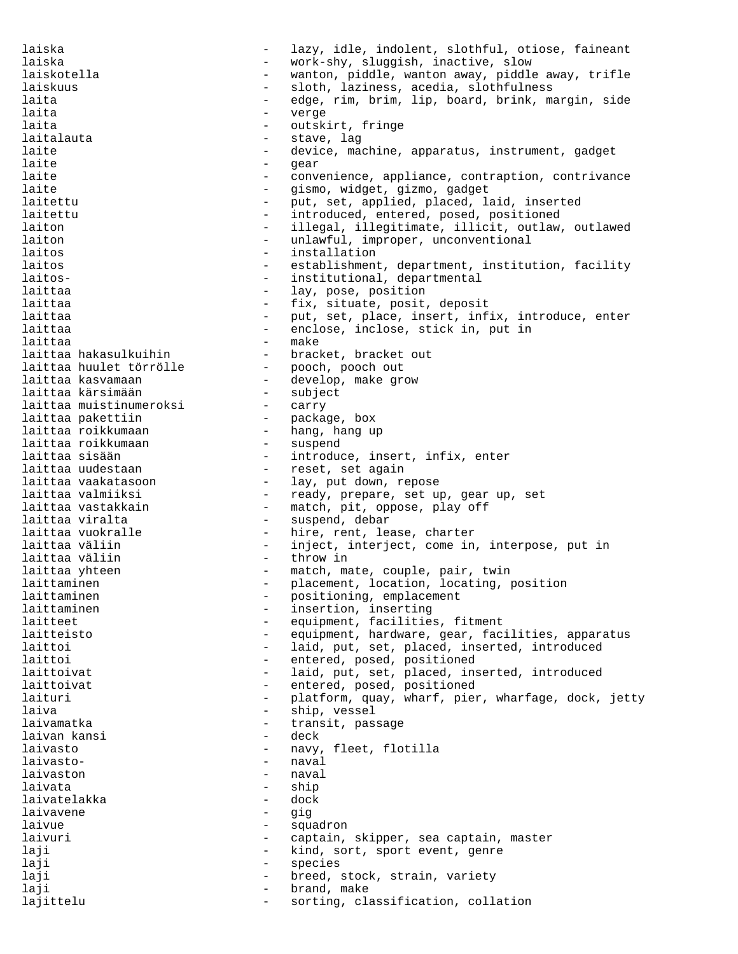laiska - lazy, idle, indolent, slothful, otiose, faineant laiska - work-shy, sluggish, inactive, slow laiskotella - wanton, piddle, wanton away, piddle away, trifle laiskuus - sloth, laziness, acedia, slothfulness laita - edge, rim, brim, lip, board, brink, margin, side laita - verge laita  $-$  outskirt, fringe laitalauta  $-$  stave, lag laite - device, machine, apparatus, instrument, gadget laite - gear laite - convenience, appliance, contraption, contrivance laite - gismo, widget, gizmo, gadget laitettu - put, set, applied, placed, laid, inserted laitettu - introduced, entered, posed, positioned laiton - illegal, illegitimate, illicit, outlaw, outlawed laiton - unlawful, improper, unconventional laitos - installation laitos **1988** - establishment, department, institution, facility laitos- - institutional, departmental laittaa  $-$  lay, pose, position laittaa - fix, situate, posit, deposit laittaa - put, set, place, insert, infix, introduce, enter laittaa - enclose, inclose, stick in, put in laittaa - make - bracket, bracket out laittaa huulet törrölle - pooch, pooch out laittaa kasvamaan - develop, make grow laittaa kärsimään - subject laittaa muistinumeroksi - carry laittaa pakettiin - package, box laittaa roikkumaan hang, hang up laittaa roikkumaan suspend laittaa sisään - introduce, insert, infix, enter laittaa uudestaan<br>laittaa vaakatasoon laittaa vaakatasoon - lay, put down, repose<br>laittaa valmiiksi - ready, prepare, set up<br>laittaa vastakkain - match, pit, oppose, pl - ready, prepare, set up, gear up, set - match, pit, oppose, play off laittaa viralta  $-$  suspend, debar laittaa vuokralle  $-$  hire, rent, lease, charter laittaa väliin - inject, interject, come in, interpose, put in laittaa väliin laittaa yhteen  $-$  match, mate, couple, pair, twin laittaminen - placement, location, locating, position laittaminen en maar van die positioning, emplacement laittaminen en mattaminen aus eine einsertion, inserting laitteet - equipment, facilities, fitment laitteisto - equipment, hardware, gear, facilities, apparatus laittoi - laid, put, set, placed, inserted, introduced laittoi - entered, posed, positioned laittoivat  $-$  laid, put, set, placed, inserted, introduced laittoivat  $-$  entered, posed, positioned laituri - platform, quay, wharf, pier, wharfage, dock, jetty laiva  $\qquad \qquad -$  ship, vessel laivamatka - transit, passage laivan kansi - deck laivasto - navy, fleet, flotilla laivasto- - naval laivaston - naval laivata - ship laivatelakka – dock – dock – dock – dock – dock – dock – dock – dock – dock – dock – dock – dock – dock – dock<br>Dock – dock – dock – dock – dock – dock – dock – dock – dock – dock – dock – dock – dock – dock – dock – dock laivavene - gig laivue - squadron - squadron laivuri - captain, skipper, sea captain, master laji - kind, sort, sport event, genre<br>laji - species laji - species laji  $-$  breed, stock, strain, variety laji  $-$  brand, make lajittelu - sorting, classification, collation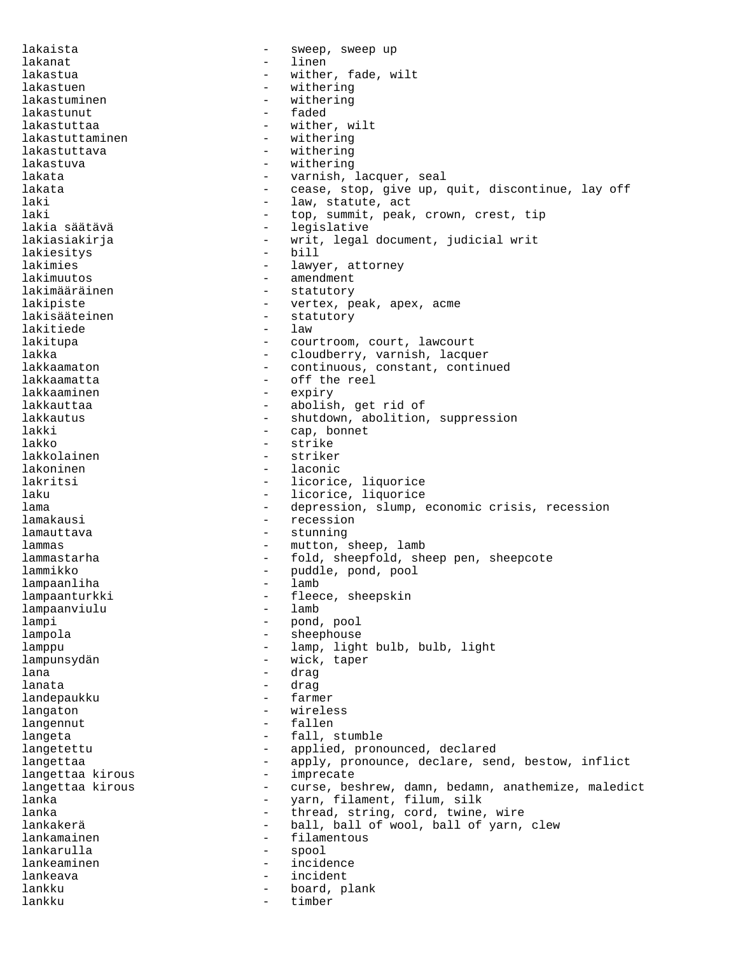lakaista  $-$  sweep, sweep up lakanat - linen lakastua  $-$  wither, fade, wilt lakastuen - withering lakastuminen - withering lakastunut - faded - faded - faded - faded - faded - faded - faded - faded - faded - faded - faded - faded - fa lakastuttaa - wither, wilt<br>lakastuttaminen - withering lakastuttaminen lakastuttava - withering<br>lakastuva - withering - withering lakata - varnish, lacquer, seal lakata - cease, stop, give up, quit, discontinue, lay off laki  $-$  law, statute, act laki  $-$  top, summit, peak, crown, crest, tip lakia säätävä - legislative lakiasiakirja - writ, legal document, judicial writ<br>lakiesitys - bill - bill lakiesitys and a bill and bill and bill and bill and bill and bill and bill and bill and bill and bill and bill lakimies  $-$  lawyer, attorney lakimuutos - amendment lakimääräinen - statutorymen - statutorymen - statutorymen - statutorymen - statutorymen - statutorymen - stat<br>Lakiniste lakipiste - vertex, peak, apex, acme<br>lakisääteinen - statutory lakisääteinen - statutory<br>lakitiede - law - law lakitiede – lander – lander – lander – lander – lander – lander – lander – lander – lander – lander – lander –<br>La visit – lander – lander – lander – lander – lander – lander – lander – lander – lander – lander – lander – lakitupa - courtroom, court, lawcourt lakka - cloudberry, varnish, lacquer lakkaamaton - continuous, constant, continued lakkaamatta - off the reel lakkaaminen - expiry lakkauttaa  $\qquad \qquad -$  abolish, get rid of lakkautus - shutdown, abolition, suppression<br>lakki - can bonnet lakki - cap, bonnet strike<br>striker lakkolainen 1988 - Striker Lakoninen 1988 - Striker Lakoning (Striker 1988)<br>1988 - Laconinen III - Laconing (Striker 1988) lakoninen lakritsi - licorice, liquorice laku - licorice, liquorice lama - depression, slump, economic crisis, recession<br>lamakausi - recession lamakausi - recession lamauttava - stunning lammas - mutton, sheep, lamb lammastarha - fold, sheepfold, sheep pen, sheepcote lammikko - puddle, pond, pool lampaanliha - lamb<br>lampaanturkki - flee lampaanturkki - fleece, sheepskin<br>lampaanviulu - lamb - lamb lampaanviulu lampi - pond, pool<br>lampola - sheephouse lampola - sheephouse lamppu - lamp, light bulb, bulb, light lampunsydän - wick, taper lana - drag - drag - drag - drag - drag - drag - drag - drag - drag - drag - drag - drag - drag - drag - drag lanata - drag landepaukku - farmer langaton - wireless langennut - fallen langeta - fall, stumble langetettu - applied, pronounced, declared<br>langettaa - - - - - - - - - apply, pronounce, declare, ser langettaa - apply, pronounce, declare, send, bestow, inflict<br>langettaa kirous - imprecate langettaa kirous - imprecate langettaa kirous - curse, beshrew, damn, bedamn, anathemize, maledict lanka - yarn, filament, filum, silk lanka - thread, string, cord, twine, wire lankakerä - ball, ball of wool, ball of yarn, clew<br>lankamainen - filamentous lankamainen 1888 - filamentous lankarulla - spool lankeaminen - incidence lankeava - incident lankku - board, plank lankku - timber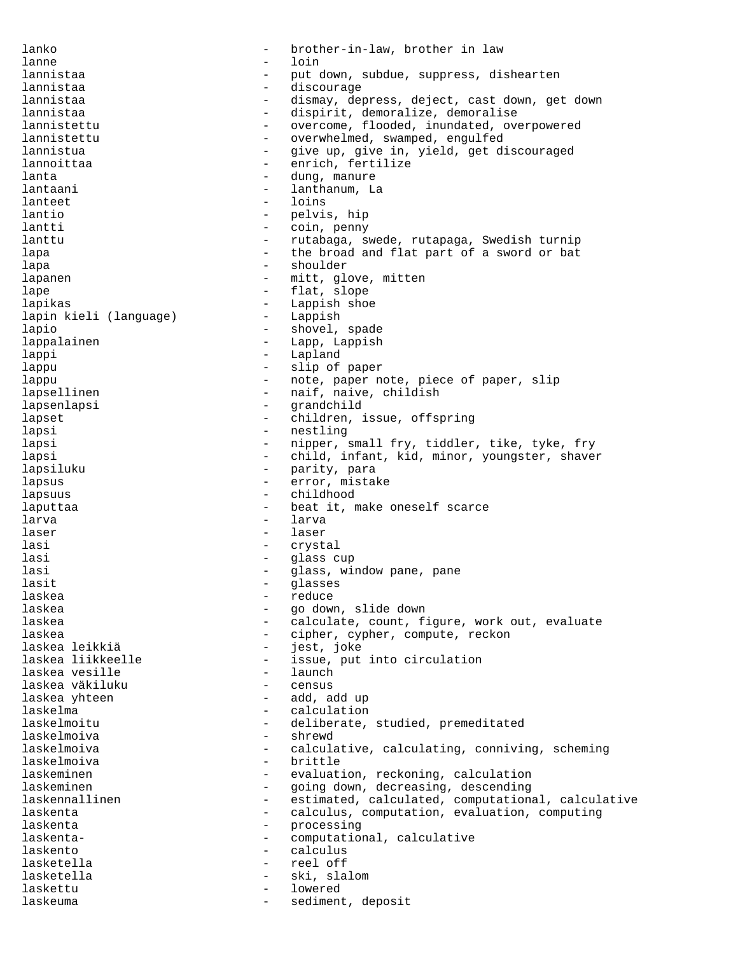lanko - brother-in-law, brother in law lanne - loin lannistaa - put down, subdue, suppress, dishearten lannistaa - discourage dismay, depress, deject, cast down, get down lannistaa - dispirit, demoralize, demoralise lannistettu - overcome, flooded, inundated, overpowered lannistettu - overwhelmed, swamped, engulfed lannistua - give up, give in, yield, get discouraged lannoittaa - enrich, fertilize<br>lanta lanta - dung, manure<br>lantaani - dung, manure lantaani - lanthanum, La lanteet - loins lantio - pelvis, hip lantti - coin, penny lanttu - rutabaga, swede, rutapaga, Swedish turnip lapa  $\qquad \qquad \qquad$  - the broad and flat part of a sword or bat lapa - shoulder - shoulder lapanen - mitt, glove, mitten<br>lape lape  $-$  flat, slope lapikas - Lappish shoe lapin kieli (language) lapio - shovel, spade lappalainen - Lapp, Lappish lappi - Lapland - Lapland lappu - slip of paper lappu - note, paper note, piece of paper, slip lapsellinen - naif, naive, childish lapsenlapsi - grandchild lapset - children, issue, offspring lapsi - nestling<br>lapsi - ninper s lapsi - nipper, small fry, tiddler, tike, tyke, fry lapsi - child, infant, kid, minor, youngster, shaver lapsiluku - parity, para<br>lapsus - parity, para lapsus - error, mistake lapsuus - childhood laputtaa - - - - - - - - - - beat it, make oneself scarce larva - larva laser - laser lasi - crystal lasi  $-$  glass cup lasi  $\qquad \qquad -$  glass, window pane, pane lasit - glasses laskea - reduce<br>laskea - reduce laskea - go down, slide down<br>laskea - go down, slide down laskea - calculate, count, figure, work out, evaluate laskea<br>laskea leikkiä (kompute, compute, reckon<br>laskea leikkiä (kompute, reckon) laskea leikkiä - jest, joke laskea liikkeelle - issue, put into circulation<br>laskea vesille - - launch laskea vesille - launch laskea väkiluku laskea yhteen  $-$  add, add up laskelma - calculation laskelmoitu - deliberate, studied, premeditated laskelmoiva - shrewd laskelmoiva - calculative, calculating, conniving, scheming laskelmoiva laskeminen en evaluation, reckoning, calculation laskeminen en andere van de volgens op de van de van de van de van de van de van de van de van de van de van d laskennallinen and - estimated, calculated, computational, calculative laskenta - calculus, computation, evaluation, computing laskenta - processing laskenta- - computational, calculative laskento - calculus lasketella - reel off lasketella - ski, slalom laskettu - lowered laskeuma - sediment, deposit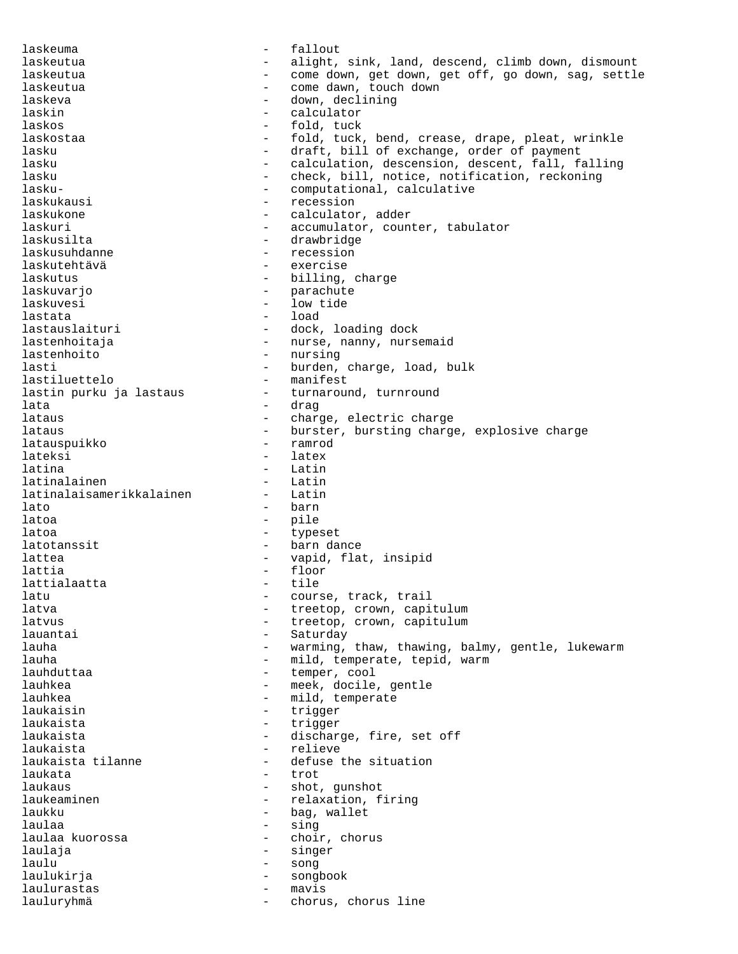laskeuma - fallout laskeutua - alight, sink, land, descend, climb down, dismount laskeutua - come down, get down, get off, go down, sag, settle laskeutua - come dawn, touch down laskeva - down, declining laskin - calculator laskos - fold, tuck laskostaa - fold, tuck, bend, crease, drape, pleat, wrinkle lasku - draft, bill of exchange, order of payment lasku - calculation, descension, descent, fall, falling lasku - check, bill, notice, notification, reckoning lasku- - computational, calculative laskukausi - recession laskukone - calculator, adder laskuri - accumulator, counter, tabulator laskusilta - drawbridge laskusuhdanne - recession laskutehtävä - exercise laskutus - billing, charge laskuvarjo - parachute laskuvesi - low tide lastata - load - dock, loading dock lastenhoitaja - murse, nanny, nursemaid lastenhoito - nursing lasti - burden, charge, load, bulk lastiluettelo - manifest - turnaround, turnround lata - drag lataus - charge, electric charge lataus - burster, bursting charge, explosive charge<br>lataus - ramrod - ramrod latauspuikko lateksi - latex - Latin<br>- Latin latinalainen - Latin<br>latinalaisamerikkalainen - Latin latinalaisamerikkalainen lato - barn latoa - pile latoa - typeset latotanssit - barn dance lattea  $-$  vapid, flat, insipid lattia - floor lattialaatta latu  $\qquad \qquad -$  course, track, trail latva  $-$  treetop, crown, capitulum latvus  $-$  treetop, crown, capitulum lauantai - Saturday lauha - warming, thaw, thawing, balmy, gentle, lukewarm lauha - mild, temperate, tepid, warm lauhduttaa  $-$  temper, cool lauhkea - meek, docile, gentle lauhkea - mild, temperate<br>laukaisin - trigger laukaisin - trigger laukaista  $-$  trigger laukaista  $-$  discharge, fire, set off laukaista - relieve laukaista tilanne  $\qquad \qquad$ - defuse the situation laukata - trot laukaus - shot, gunshot laukeaminen - relaxation, firing<br>laukku - baq, wallet laukku - bag, wallet - sing laulaa kuorossa - choir, chorus laulaja - singer laulu - song laulukirja - songbook laulurastas lauluryhmä  $-$  chorus, chorus line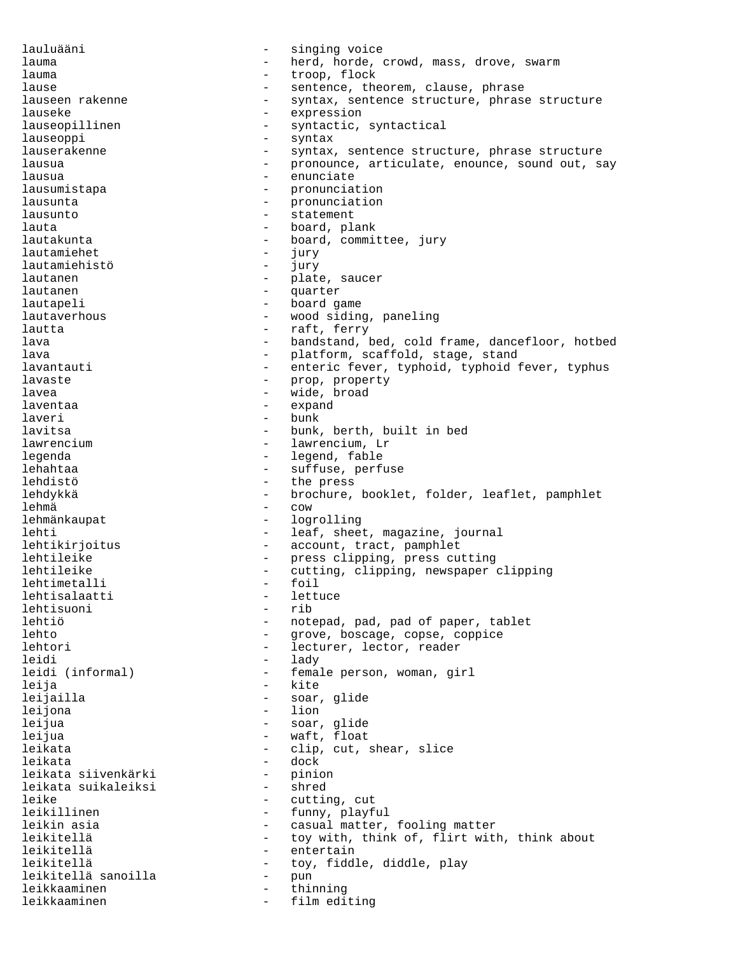lauluääni - singing voice lauma - herd, horde, crowd, mass, drove, swarm<br>lauma - troop, flock lauma - troop, flock lause  $\qquad \qquad -$  sentence, theorem, clause, phrase lauseen rakenne - syntax, sentence structure, phrase structure lauseke - expression<br>lauseopillinen - expression<br>- syntactic, - syntactic, syntactical<br>- syntax lauseoppi - syntax lauserakenne - syntax, sentence structure, phrase structure lausua entry the pronounce, articulate, enounce, sound out, say lausua - enunciate lausumistapa - pronunciation lausunta  $-$  pronunciation lausunto - statement lauta  $\qquad \qquad -$  board, plank lautakunta  $-$  board, committee, jury lautamiehet - jury lautamiehistö - jury lautanen - plate, saucer<br>lautanen - marter lautanen 1000 - quarter lautapeli - board game lautaverhous - wood siding, paneling lautta - raft, ferry lava - bandstand, bed, cold frame, dancefloor, hotbed lava  $\qquad \qquad -$  platform, scaffold, stage, stand lavantauti - enteric fever, typhoid, typhoid fever, typhus lavaste - prop, property lavea - wide, broad laventaa - expand laveri - bunk lavitsa - bunk, berth, built in bed lawrencium - lawrencium, Lr legenda - legend, fable lehahtaa - suffuse, perfuse lehdistö - the press lehdykkä - brochure, booklet, folder, leaflet, pamphlet<br>lehmä lehmä - cow lehmänkaupat - logrolling lehti - leaf, sheet, magazine, journal lehtikirjoitus - account, tract, pamphlet lehtileike - press clipping, press cutting<br>
lehtileike - cutting clipping newspaper lehtileike - cutting, clipping, newspaper clipping<br>
1ehtimetalli - foil lehtimetalli - foil lehtisalaatti - lettuceedisti - lettuceedisti - lettuceedisti - lettuceedisti - lettuceedisti - lettuceedisti - let lehtisuoni<br>lehtiö lehtiö - notepad, pad, pad of paper, tablet<br>lehto - - grove, boscage, copse, coppice grove, boscage, copse, coppice lehtori - lecturer, lector, reader leidi - lady leidi (informal) - female person, woman, girl leija - kite leijailla - soar, glide leijona - lion leijua - soar, glide - waft, float leikata - clip, cut, shear, slice leikata - dock leikata siivenkärki - pinion leikata suikaleiksi leike  $-$  cutting, cut leikillinen  $-$  funny, playful leikin asia  $-$  casual matter, fooling matter leikitellä - toy with, think of, flirt with, think about leikitellä - entertain leikitellä - toy, fiddle, diddle, play leikitellä sanoilla - pun leikkaaminen - thinning<br>leikkaaminen - film edi leikkaaminen 1988 - film editing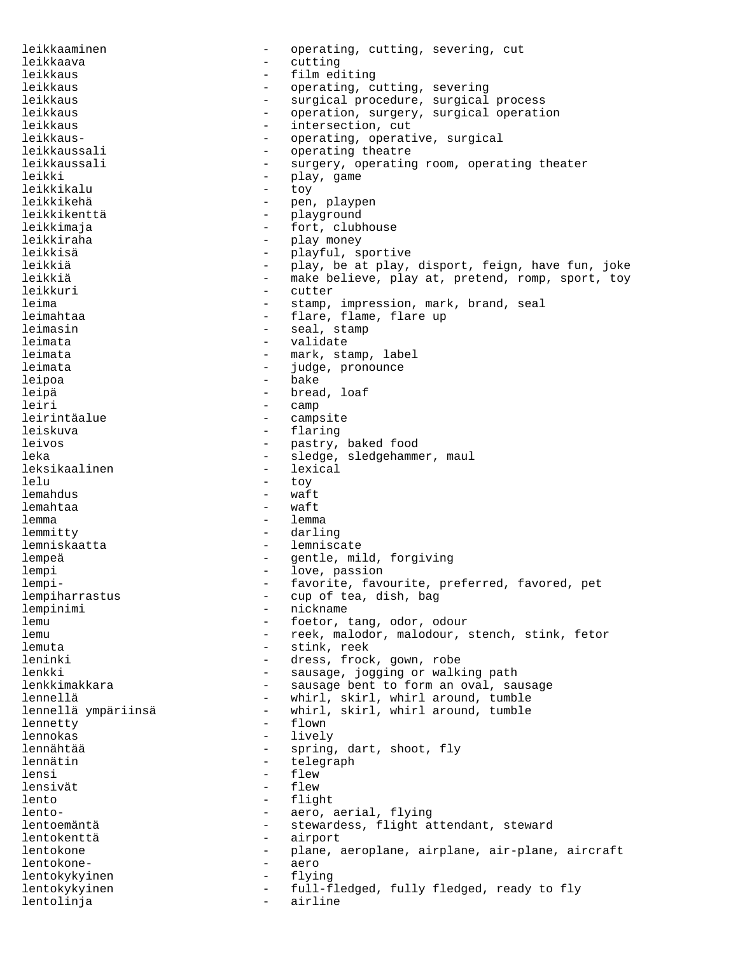leikkaaminen - operating, cutting, severing, cut leikkaava - cutting leikkaus - film editing leikkaus - operating, cutting, severing leikkaus - surgical procedure, surgical process leikkaus en andere von de later operation, surgery, surgical operation leikkaus - intersection, cut leikkaus-<br>
leikkaussali<br>
- operating theatre<br>
- operating theatre operating theatre leikkaussali - surgery, operating room, operating theater leikki - play, game<br>leikkikalu - tov - tov leikkikalu - toy leikkikehä - pen, playpen leikkikenttä - playground leikkimaja - fort, clubhouse leikkiraha - play money leikkisä - playful, sportive leikkiä - play, be at play, disport, feign, have fun, joke leikkiä  $-$  make believe, play at, pretend, romp, sport, toy leikkuri - cutter leima - stamp, impression, mark, brand, seal<br>leimahtaa - - flare, flame, flare up - flare, flame, flare up leimasin - seal, stamp leimata  $-$  validate leimata  $-$  mark, stamp, label leimata  $-$  judge, pronounce leipoa - bake leipä - bread, loaf leiri - camp leirintäalue - campsite leiskuva - flaring leivos - pastry, baked food leka - sledge, sledgehammer, maul leksikaalinen lelu - toy lemahdus - waft lemahtaa lemma - lemma lemmitty - darling lemniskaatta - lemniscate<br>lempeä - centle mi lempeä - gentle, mild, forgiving lempi - love, passion lempi-<br>
- favorite, favourite, preferred, favored, pet<br>
lempiharrastus<br>
- cup of tea dish haq lempiharrastus - cup of tea, dish, bag lempinimi - nickname lemu - foetor, tang, odor, odour<br>lemu - reek malodor malodour - reek, malodor, malodour, stench, stink, fetor lemuta - stink, reek leninki - dress, frock, gown, robe lenkki - sausage, jogging or walking path lenkkimakkara - sausage bent to form an oval, sausage lennellä<br>
- whirl.skirl.whirl around.tumble lennellä<br>1991 - Whirl, skirl, whirl around, tumble<br>1991 - Whirl, skirl, whirl around, tumble - whirl, skirl, whirl around, tumble lennetty - flown lennokas - lively lennähtää - spring, dart, shoot, fly<br>lennätin lennätin - telegraph lensi - flew lensivät - flew lento - flight<br>lento- - aero - aero -- aero, aerial, flying lentoemäntä - stewardess, flight attendant, steward lentokenttä - airport lentokone  $\qquad \qquad -$  plane, aeroplane, airplane, air-plane, aircraft lentokone- - aero lentokykyinen - flying lentokykyinen - full-fledged, fully fledged, ready to fly lentolinja - airline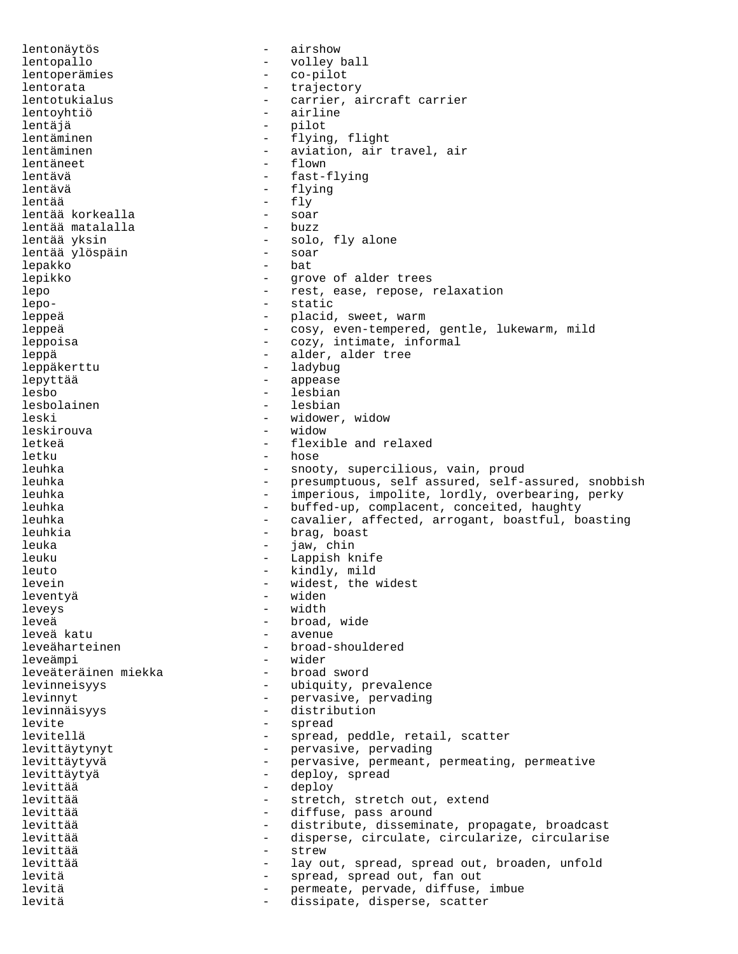lentonäytös - airshow lentopallo - volley ball lentoperämies - co-pilot intorata in the carrier of the trajectory<br>1entotukialus - carrier, a - carrier, aircraft carrier<br>- airline lentoyhtiö<br>lentäjä lentäjä - pilot lentäminen 1988 – flying, flight<br>1988 – aviation, air - aviation, air travel, air lentäneet - flown lentävä - fast-flying lentävä - flying lentää - fly lentää korkealla - soar lentää matalalla<br>lentää yksin - solo, fly alone<br>- soar lentää ylöspäin - soar lepakko lepikko - grove of alder trees lepo - rest, ease, repose, relaxation lepo- - static leppeä - placid, sweet, warm leppeä - cosy, even-tempered, gentle, lukewarm, mild leppoisa - cozy, intimate, informal leppä - alder, alder tree leppäkerttu - ladybug lepyttää - appease lesbo - lesbian lesbolainen leski - widower, widow<br>leskirouva - widow - widow leskirouva letkeä - flexible and relaxed<br>letku - hose - hose letku - hose leuhka - snooty, supercilious, vain, proud<br>leuhka - snooty, supercilious, vain, proud<br>euhka - presumptuous, self assured, self-a - presumptuous, self assured, self-assured, snobbish leuhka - imperious, impolite, lordly, overbearing, perky leuhka - buffed-up, complacent, conceited, haughty leuhka - cavalier, affected, arrogant, boastful, boasting leuhkia - brag, boast leuka - jaw, chin - Lappish knife leuto - kindly, mild levein - widest, the widest leventyä<br>leveys leveys - width leveä - broad, wide<br>leveä katu - broad, wide leveä katu - avenue - broad-shouldered leveämpi<br>leveäteräinen miekka broad sword leveäteräinen miekka levinneisyys - ubiquity, prevalence levinnyt - pervasive, pervading levinnäisyys - distribution levite - spread levitellä  $-$  spread, peddle, retail, scatter levittäytynyt - pervasive, pervading levittäytyvä - pervasive, permeant, permeating, permeative levittäytyä - deploy, spread - deploy levittää - stretch, stretch out, extend levittää  $-$  diffuse, pass around levittää - distribute, disseminate, propagate, broadcast levittää - disperse, circulate, circularize, circularise levittää - strew levittää - lay out, spread, spread out, broaden, unfold levitä levitä  $-$  spread, spread out, fan out levitä - permeate, pervade, diffuse, imbue levitä - dissipate, disperse, scatter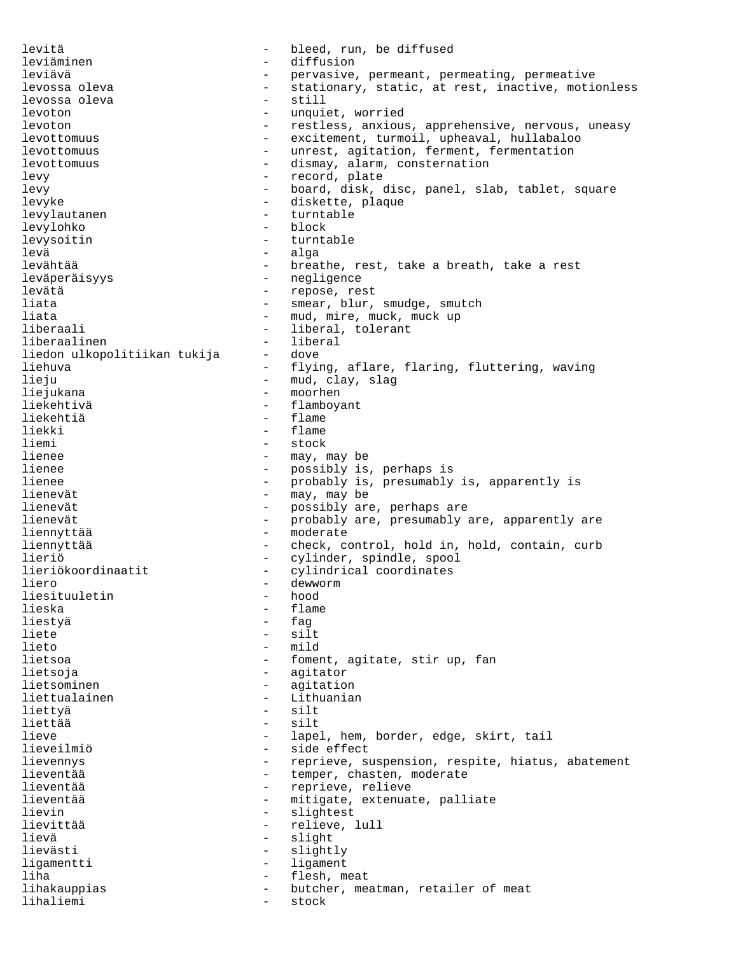levitä - bleed, run, be diffused leviäminen - diffusion leviävä - pervasive, permeant, permeating, permeative levossa oleva - stationary, static, at rest, inactive, motionless levossa oleva levoton - unquiet, worried levoton - restless, anxious, apprehensive, nervous, uneasy levottomuus - excitement, turmoil, upheaval, hullabaloo levottomuus - unrest, agitation, ferment, fermentation levottomuus - dismay, alarm, consternation levy - record, plate levy extending the state of the board, disk, disc, panel, slab, tablet, square levyke - diskette, plaque levylautanen 1000 - turntable levylohko - block levysoitin - turntable levä - alga levähtää - breathe, rest, take a breath, take a rest leväperäisyys - negligence levätä - repose, rest liata  $-$  smear, blur, smudge, smutch<br>liata  $-$  mud mire muck muck up - mud, mire, muck, muck up liberaali - liberal, tolerant<br>liberaalinen - liberal - liberal liberaalinen - libe:<br>liedon ulkopolitiikan tukija - dove liedon ulkopolitiikan tukija liehuva - flying, aflare, flaring, fluttering, waving lieju - mud, clay, slag liejukana  $-$  moorhen liekehtivä - flamboyant liekehtiä – flamentiekehtiä – flamentiekehtiä – flamentiekehtiä – flamentiekehtiä – flamentiekehtiä – flamentie<br>Tallinna – flamentiekehtiä – flamentiekehtiä – flamentiekehtiä – flamentiekehtiä – flamentiekehtiä – flamentie liekki – flame<br>liemi – flame<br>– stock – stock liemi - stock lienee - may, may be lienee - may, may be lienee - possibly is, perhaps is lienee  $\qquad \qquad -$  probably is, presumably is, apparently is lienevät  $-$  may, may be lienevät - possibly are, perhaps are lienevät - probably are, presumably are, apparently are liennyttää  $-$  moderate liennyttää - check, control, hold in, hold, contain, curb lieriö - cylinder, spindle, spool lieriökoordinaatit - cylindrical coordinates liero - dewworm - dewworm<br>liesituuletin - hood liesituuletin lieska - flame liestyä - fag - silt lieto - mild lietsoa - foment, agitate, stir up, fan lietsoja - agitator lietsominen en agitation - agitation liettualainen - Lithuanian - silt liettää - silt lieve - lapel, hem, border, edge, skirt, tail<br>lieveilmiö - side effect - side effect lievennys - reprieve, suspension, respite, hiatus, abatement lieventää - temper, chasten, moderate<br>lieventää - teorieve, relieve - reprieve, relieve lieventää  $-$  mitigate, extenuate, palliate lievin - slightest lievittää  $-$  relieve, lull lievä - slight lievästi - slightly ligamentti - ligament liha  $-$  flesh, meat lihakauppias  $-$  butcher, meatman, retailer of meat lihaliemi - stock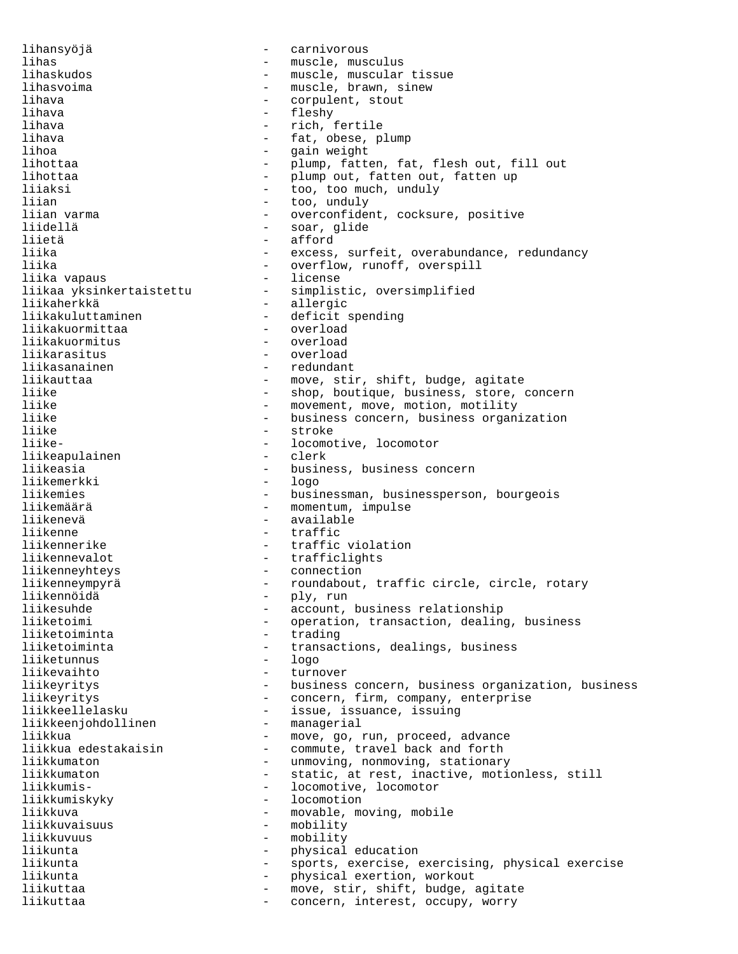lihansyöjä - carnivorous - muscle, musculus lihaskudos - muscle, muscular tissue lihasvoima  $-$  muscle, brawn, sinew lihava - corpulent, stout lihava - fleshy lihava - rich, fertile lihava - fat, obese, plump lihoa - gain weight - plump, fatten, fat, flesh out, fill out lihottaa - plump out, fatten out, fatten up<br>lijaksi - too, too much, unduly liiaksi - too, too much, unduly<br>liian - too, unduly - too, unduly liian varma  $-$  overconfident, cocksure, positive liidellä - soar, glide liietä - afford liika - excess, surfeit, overabundance, redundancy<br>liika - - overflow, runoff, overspill - overflow, runoff, overspill<br>- license liika vapaus<br>liikaa yksinkertaistettu liikaa yksinkertaistettu simplistic, oversimplified<br>liikaherkkä liikaherkkä - allergic - deficit spending<br>- overload liikakuormittaa - overload liikakuormitus<br>liikarasitus - overload liikasanainen 11 - redundant<br>liikauttaa 11 - move, sti - move, stir, shift, budge, agitate liike  $\qquad \qquad -$  shop, boutique, business, store, concern<br>liike  $\qquad \qquad -$  movement, move, motion, motility liike - movement, move, motion, motility<br>liike - husiness concern, business organ liike - business concern, business organization<br>liike - stroke - stroke liike - stroke - stroke - stroke - stroke - stroke - stroke - stroke - stroke - stroke - stroke - stroke - str - locomotive, locomotor<br>- clerk liikeapulainen<br>liikeasia - business, business concern liikemerkki - logo<br>liikemies - busil liikemies - businessman, businessperson, bourgeois<br>liikemäärä - momentum impulse liikemäärä - momentum, impulse - available liikenne - traffic liikennerike - traffic violation liikennevalot - trafficlights liikenneyhteys - connection liikenneympyrä - roundabout, traffic circle, circle, rotary liikennöidä - ply, run liikesuhde - account, business relationship<br>liiketoimi - operation transaction dealing liiketoimi - operation, transaction, dealing, business - trading liiketoiminta - transactions, dealings, business liiketunnus - logo liikevaihto - turnover liikeyritys - business concern, business organization, business liikeyritys - concern, firm, company, enterprise liikkeellelasku - issue, issuance, issuing liikkeenjohdollinen liikkua - move, go, run, proceed, advance liikkua edestakaisin - commute, travel back and forth liikkumaton - unmoving, nonmoving, stationary<br>liikkumaton - static, at rest, inactive, motiliikkumaton - static, at rest, inactive, motionless, still liikkumis- - locomotive, locomotor - locomotion liikkuva - movable, moving, mobile liikkuvaisuus - mobility liikkuvuus - mobility liikunta - physical education liikunta - sports, exercise, exercising, physical exercise - physical exertion, workout liikuttaa  $-$  move, stir, shift, budge, agitate liikuttaa - concern, interest, occupy, worry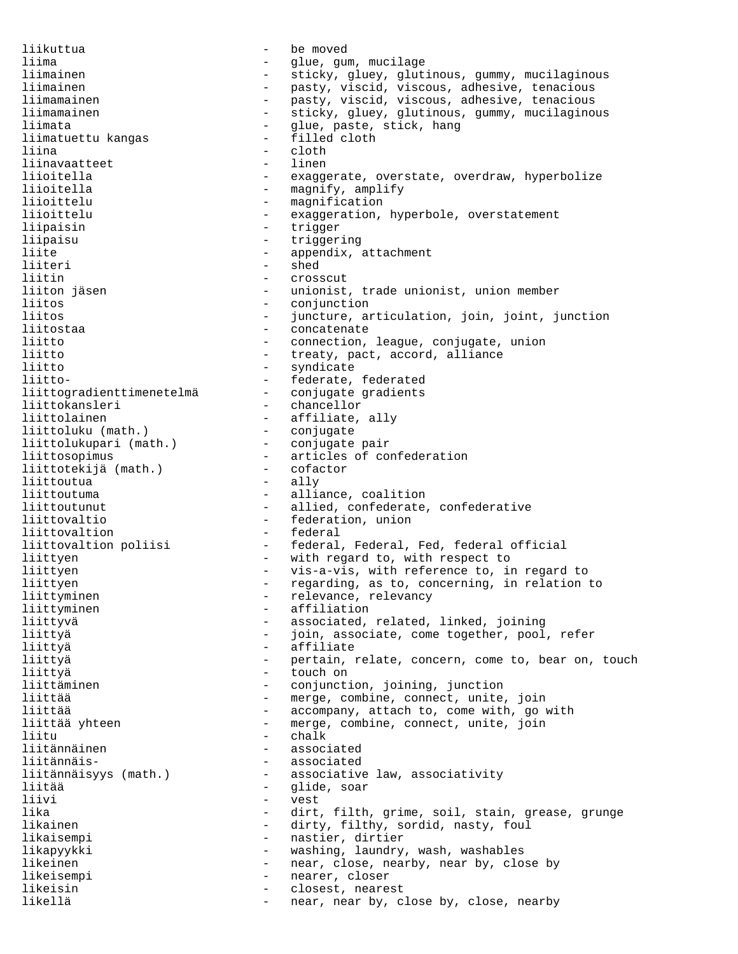liikuttua - be moved liima  $\qquad \qquad -$  glue, gum, mucilage liimainen - sticky, gluey, glutinous, gummy, mucilaginous liimainen - pasty, viscid, viscous, adhesive, tenacious liimamainen - pasty, viscid, viscous, adhesive, tenacious liimamainen - sticky, gluey, glutinous, gummy, mucilaginous liimata - glue, paste, stick, hang<br>liimatuettu kangas - filled cloth liimatuettu kangas - filled cloth - cloth<br>- linen liinavaatteet<br>liioitella liioitella - exaggerate, overstate, overdraw, hyperbolize - magnify, amplify liioittelu - magnification liioittelu - exaggeration, hyperbole, overstatement liipaisin - trigger liipaisu - triggering liite - appendix, attachment<br>liiteri - shed liiteri - shed<br>liitin - cros liitin - crosscut liiton jäsen - unionist, trade unionist, union member liitos - conjunction<br>liitos - iuncture a juncture, articulation, join, joint, junction liitostaa - concatenate liitto - connection, league, conjugate, union liitto - treaty, pact, accord, alliance - syndicate<br>- federate, federated liitto- - federate, federated liittogradienttimenetelmä - conjugate gradients liittokansleri - chancellor liittolainen - affiliate, ally liittoluku (math.) - conjugate liittolukupari (math.) - conjugate pair liittosopimus - articles of confederation liittotekijä (math.) - cofactor liittotekijä (math.) – cofachiittoutua – ally liittoutuma este est est est est alliance, coalition liittoutunut - allied, confederate, confederative liittovaltio - federation, union 1iittovaltion - federal<br>1iittovaltion poliisi - federal - federal, Federal, Fed, federal official liittyen - with regard to, with respect to liittyen - vis-a-vis, with reference to, in regard to liittyen - regarding, as to, concerning, in relation to liittyminen en aangeste van die verschieden van die verschieden van die van die van die van die verschieden va liittyminen en metallistische von der affiliation liittyvä - associated, related, linked, joining - join, associate, come together, pool, refer liittyä – affiliate liittyä - pertain, relate, concern, come to, bear on, touch liittyä - touch on liittäminen 1000 - conjunction, joining, junction liittää  $-$  merge, combine, connect, unite, join liittää - accompany, attach to, come with, go with liittää yhteen en merge, combine, connect, unite, join liitu - chalk - associated liitännäis- - associated liitännäisyys (math.) - associative law, associativity - glide, soar<br>- yest liivi - vest lika - dirt, filth, grime, soil, stain, grease, grunge<br>likainen - dirty, filthy, sordid, nasty, foul - dirty, filthy, sordid, nasty, foul likaisempi - nastier, dirtier likapyykki - washing, laundry, wash, washables likeinen  $-$  near, close, nearby, near by, close by likeisempi - nearer, closer likeisin - closest, nearest likellä - near, near by, close by, close, nearby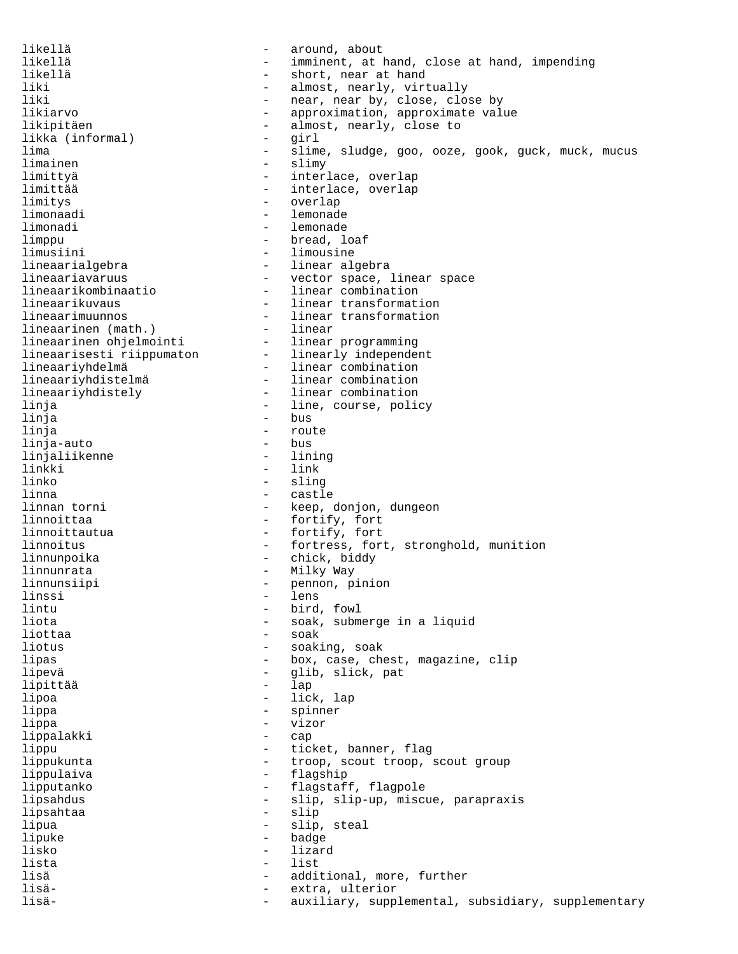likellä - around, about likellä  $-$  imminent, at hand, close at hand, impending likellä  $-$  short, near at hand liki  $-$  almost, nearly, virtually liki - near, near by, close, close by<br>likiarvo - expression - approximation, approximate value - approximation, approximate value likipitäen - almost, nearly, close to<br>likka (informal) - airl likka (informal) - girl lima  $-$  slime, sludge, goo, ooze, gook, guck, muck, mucus limainen - slimy limittyä - interlace, overlap limittää  $-$  interlace, overlap limitys - overlap limonaadi - lemonade limonadi - lemonade limppu - bread, loaf<br>
limusiini - limousine - limousine lineaarialgebra - linear algebra lineaariavaruus - vector space, linear space<br>lineaarikombinaatio - linear combination lineaarikombinaatio - linear combination lineaarikuvaus - linear transformation lineaarimuunnos - linear transformation lineaarinen (math.) - linear lineaarinen ohjelmointi - linear programming lineaarisesti riippumaton - linearly independent lineaariyhdelmä - linear combination lineaariyhdistelmä - linear combination lineaariyhdistely - linear combination linja - line, course, policy linja - bus linja - route linja-auto - bus linjaliikenne<br>linkki linkki - link - sling linna - castle - keep, donjon, dungeon linnoittaa  $-$  fortify, fort linnoittautua - fortify, fort linnoitus - fortress, fort, stronghold, munition linnunpoika - chick, biddy - Milky Way linnunsiipi - pennon, pinion linssi - lens lintu - bird, fowl liota - soak, submerge in a liquid - soak liotus - soaking, soak lipas - box, case, chest, magazine, clip lipevä - glib, slick, pat lipittää - lap lipoa - lick, lap lippa - spinner lippa - vizor lippalakki - cap lippu - ticket, banner, flag lippukunta  $-$  troop, scout troop, scout group lippulaiva - flagship lipputanko - flagstaff, flagpole lipsahdus - slip, slip-up, miscue, parapraxis lipsahtaa - slip lipua - slip, steal lipuke - badge lisko - lizard lista - list lisä  $-$  additional, more, further lisä- - extra, ulterior lisä- - auxiliary, supplemental, subsidiary, supplementary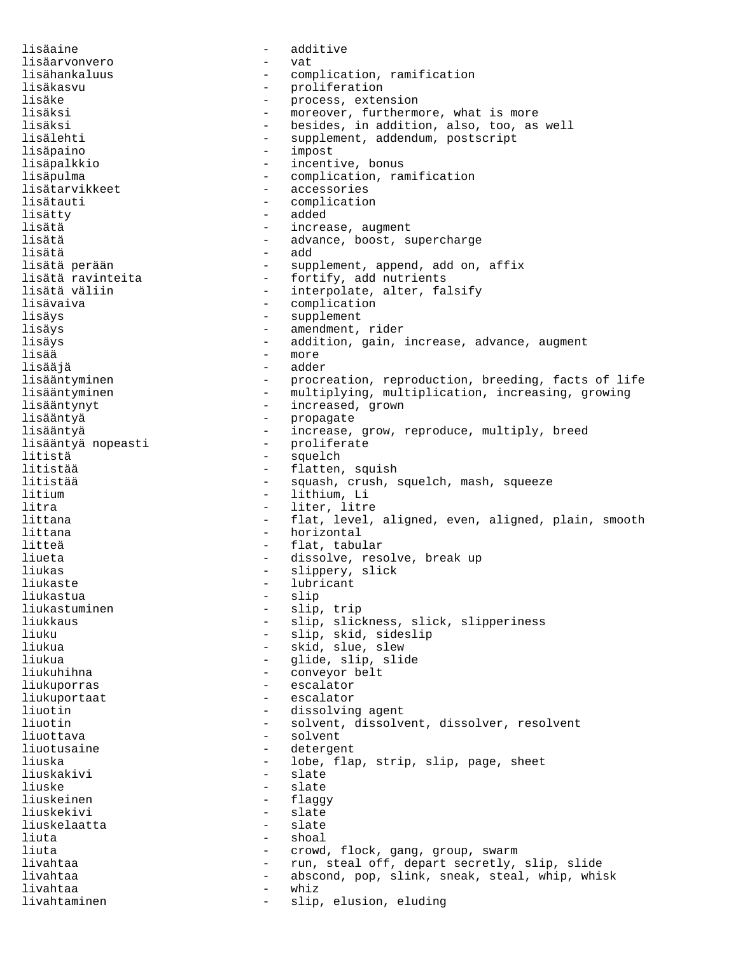lisäaine - additive lisäarvonvero - vat lisähankaluus - complication, ramification lisäkasvu - proliferation lisäke - process, extension lisäksi - moreover, furthermore, what is more<br>lisäksi - - - - - - - - besides, in addition, also, too, as lisäksi - besides, in addition, also, too, as well supplement, addendum, postscript lisäpaino - impost lisäpalkkio - incentive, bonus - complication, ramification lisätarvikkeet - accessories lisätauti - complication lisätty - added lisätä - increase, augment lisätä - advance, boost, supercharge<br>lisätä lisätä - add lisätä perään - supplement, append, add on, affix<br>lisätä ravinteita - fortify, add nutrients lisätä ravinteita - fortify, add nutrients<br>lisätä väliin - interpolate, alter, fa lisätä väliin - interpolate, alter, falsify<br>lisävaiva - complication lisävaiva - complication - complication - complication - complication - complication - complication - complication - complication - complication - complication - complication - complication - complication - complication - - supplement lisäys - amendment, rider - addition, gain, increase, advance, augment lisää - more lisääjä lisääntyminen - procreation, reproduction, breeding, facts of life lisääntyminen - multiplying, multiplication, increasing, growing lisääntynyt - increased, grown lisääntyä - propagate lisääntyä - increase, grow, reproduce, multiply, breed lisääntyä nopeasti - proliferate litistä - squelch - flatten, squish litistää  $-$  squash, crush, squelch, mash, squeeze litium - lithium, Li litra  $-$  liter, litre littana - flat, level, aligned, even, aligned, plain, smooth littana  $\qquad \qquad -$  horizontal litteä  $-$  flat, tabular liueta - dissolve, resolve, break up liukas - slippery, slick liukaste - lubricant<br>liukastua - slin liukastua - slip liukastuminen - slip, trip liukkaus - slip, slickness, slick, slipperiness - slip, skid, sideslip liukua - skid, slue, slew liukua - glide, slip, slide liukuhihna - conveyor belt liukuporras - escalator liukuportaat - escalator liuotin - dissolving agent liuotin - solvent, dissolvent, dissolver, resolvent liuottava - solvent liuotusaine - detergent<br>liuska - lobe fla liuska - lobe, flap, strip, slip, page, sheet liuskakivi - slate<br>liuske - slate - slate - slate liuskeinen 1000 - flaggy liuskekivi - slate liuskelaatta – slater – slater – slater – slater – slater – slater – slater – slater – slater – slater – slate liuta - shoal liuta - crowd, flock, gang, group, swarm livahtaa - run, steal off, depart secretly, slip, slide livahtaa - abscond, pop, slink, sneak, steal, whip, whisk livahtaa - whiz livahtaminen - slip, elusion, eluding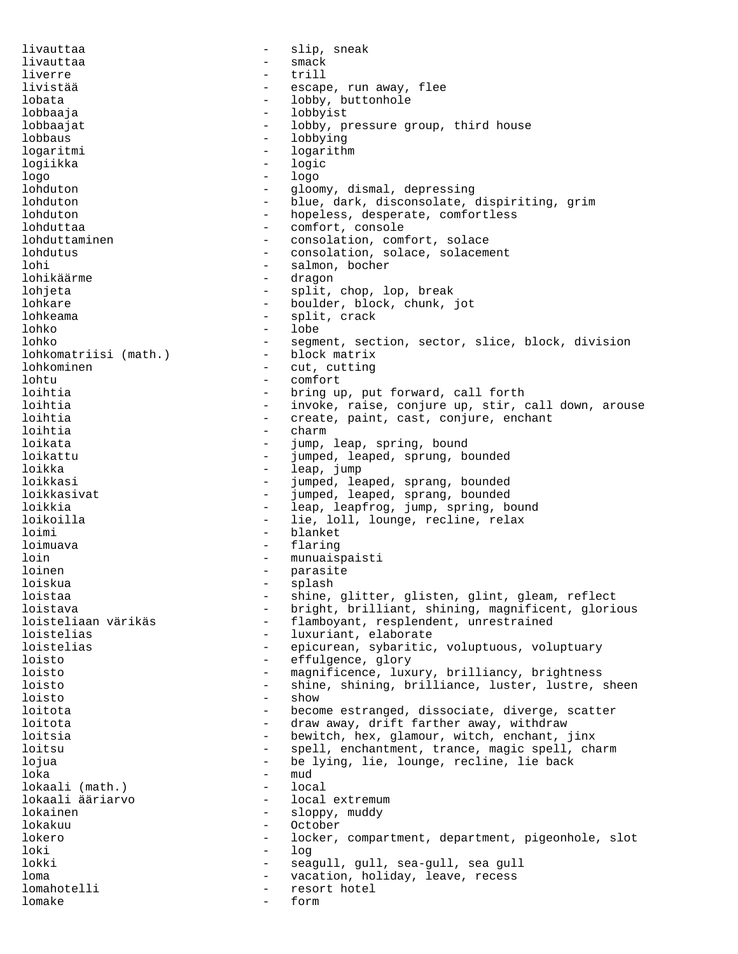livauttaa  $-$  slip, sneak livauttaa - smack liverre - trill livistää - escape, run away, flee lobata - lobby, buttonhole lobbaaja - lobbyist lobbaajat  $-$  lobby, pressure group, third house lobbaus - lobbying<br>logaritmi - logarith logaritmi - logarithm logiikka - logic<br>logo - logo - logo logo - logo lohduton - gloomy, dismal, depressing lohduton - blue, dark, disconsolate, dispiriting, grim lohduton - hopeless, desperate, comfortless lohduttaa - comfort, console lohduttaminen - consolation, comfort, solace lohdutus - consolation, solace, solacement lohi - salmon, bocher lohikäärme - dragon lohjeta - split, chop, lop, break<br>lohkare - - - - - - - - - - - - boulder, block, chunk, lohkare - boulder, block, chunk, jot split, crack lohko - lobe lohko - segment, section, sector, slice, block, division<br>lohkomatriisi (math.) - block matrix lohkomatriisi (math.) lohkominen - cut, cutting lohtu - comfort loihtia - bring up, put forward, call forth loihtia - invoke, raise, conjure up, stir, call down, arouse loihtia - create, paint, cast, conjure, enchant loihtia - charm loikata - jump, leap, spring, bound loikattu - jumped, leaped, sprung, bounded loikka - leap, jump loikkasi - jumped, leaped, sprang, bounded loikkasivat - jumped, leaped, sprang, bounded loikkia - leap, leapfrog, jump, spring, bound loikoilla - lie, loll, lounge, recline, relax loimi - blanket loimuava - flaring loin - munuaispaisti<br>loinen - marasite loinen - parasite loiskua - splash loistaa - shine, glitter, glisten, glint, gleam, reflect loistava - bright, brilliant, shining, magnificent, glorious<br>loisteliaan värikäs - flamboyant, resplendent, unrestrained loisteliaan värikäs - flamboyant, resplendent, unrestrained<br>loistelias loistelias - luxuriant, elaborate - epicurean, sybaritic, voluptuous, voluptuary loisto - effulgence, glory loisto - magnificence, luxury, brilliancy, brightness loisto **1986** - shine, shining, brilliance, luster, lustre, sheen loisto - show loitota - become estranged, dissociate, diverge, scatter loitota - draw away, drift farther away, withdraw loitsia - bewitch, hex, glamour, witch, enchant, jinx loitsu - spell, enchantment, trance, magic spell, charm lojua - be lying, lie, lounge, recline, lie back loka - mud lokaali (math.) - local - local extremum lokainen - sloppy, muddy lokakuu - October lokero - locker, compartment, department, pigeonhole, slot loki - log lokki - seagull, gull, sea-gull, sea gull loma - vacation, holiday, leave, recess<br>lomahotelli - resort hotel lomahotelli - resort hotel lomake the set of  $\sim$  form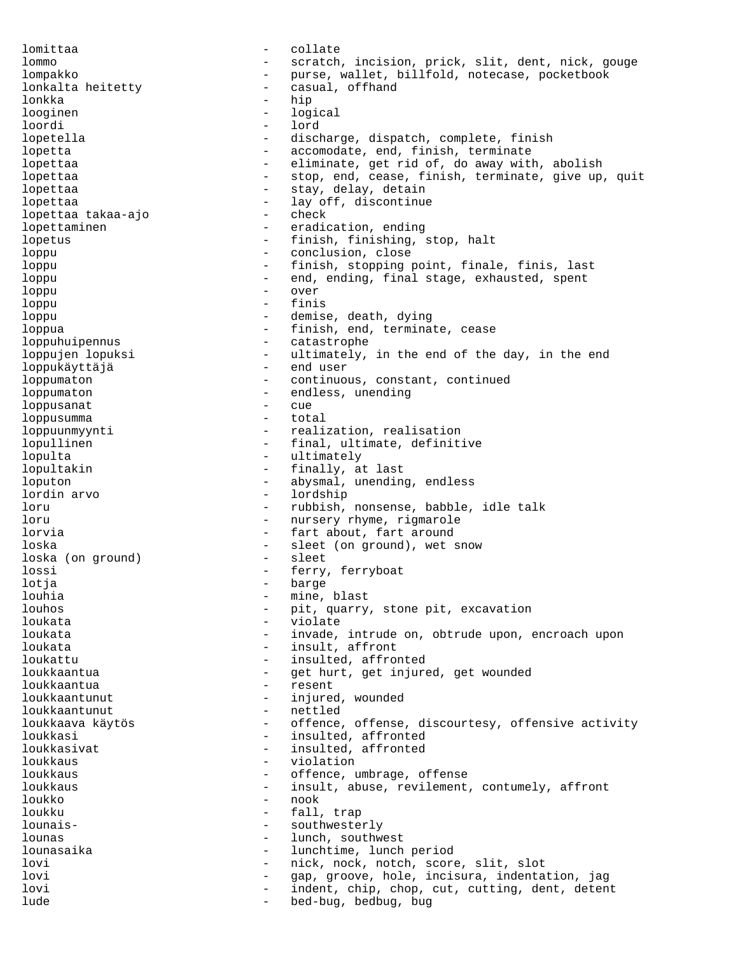lomittaa - collate lommo - scratch, incision, prick, slit, dent, nick, gouge lompakko - purse, wallet, billfold, notecase, pocketbook lonkalta heitetty - casual, offhand lonkka - hip looginen - logical loordi - lord lopetella - discharge, dispatch, complete, finish lopetta - accomodate, end, finish, terminate lopettaa - eliminate, get rid of, do away with, abolish lopettaa - stop, end, cease, finish, terminate, give up, quit lopettaa - stay, delay, detain lopettaa  $\begin{array}{ccc} \text{lopettaa} & - & \text{lay off, discontinue} \\ \text{lopettaa takaa-ajo} & - & \text{check} \end{array}$ lopettaa takaa-ajo lopettaminen - eradication, ending lopetus - finish, finishing, stop, halt loppu - conclusion, close loppu - finish, stopping point, finale, finis, last loppu - end, ending, final stage, exhausted, spent loppu - over loppu - finis loppu - demise, death, dying loppua - finish, end, terminate, cease loppuhuipennus - catastrophe loppujen lopuksi - ultimately, in the end of the day, in the end loppukäyttäjä loppukäyttäjä loppumaton - continuous, constant, continued loppumaton - endless, unending<br>loppusanat - cue loppusanat - cuentral cuentral cuentral cuentral cuentral cuentral cuentral cuentral cuentral cuentral cuentral cuentral cuentral cuentral cuentral cuentral cuentral cuentral cuentral cuentral cuentral cuentral cuentral cu loppusumma - total loppuunmyynti - realization, realisation lopullinen 1000 - final, ultimate, definitive lopulta - ultimately lopultakin  $-$  finally, at last loputon - abysmal, unending, endless lordin arvo - lordship loru - rubbish, nonsense, babble, idle talk loru - nursery rhyme, rigmarole lorvia  $-$  fart about, fart around loska - sleet (on ground), wet snow loska (on ground) lossi - ferry, ferryboat lotja - barge louhia - mine, blast louhos - pit, quarry, stone pit, excavation<br>loukata loukata - violate loukata - invade, intrude on, obtrude upon, encroach upon loukata  $-$  insult, affront loukattu - insulted, affronted loukkaantua - get hurt, get injured, get wounded loukkaantua - resent loukkaantunut - injured, wounded loukkaantunut - nettled<br>loukkaava käytös - offence loukkaava käytös - offence, offense, discourtesy, offensive activity loukkasi - insulted, affronted loukkasivat - insulted, affronted loukkaus - violation<br>loukkaus - violation loukkaus - offence, umbrage, offense loukkaus - insult, abuse, revilement, contumely, affront loukko - nook loukku - fall, trap lounais- - southwesterly lounas - lunch, southwest lounasaika - lunchtime, lunch period lovi - nick, nock, notch, score, slit, slot lovi - gap, groove, hole, incisura, indentation, jag lovi **-** indent, chip, chop, cut, cutting, dent, detent lude - bed-bug, bedbug, bug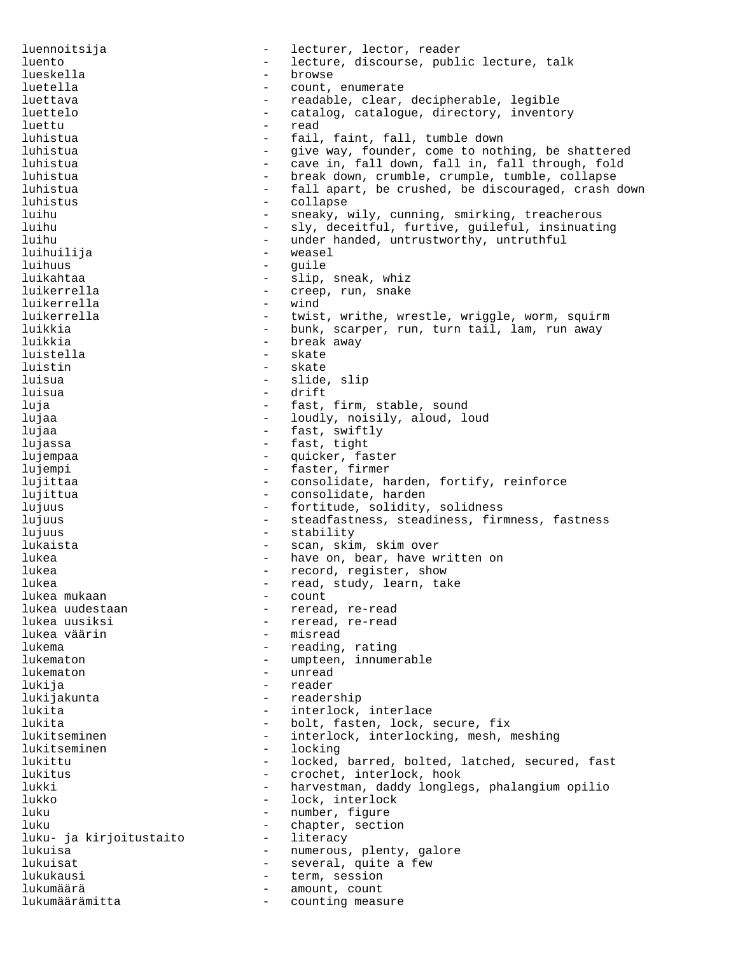luennoitsija - lecturer, lector, reader luento - lecture, discourse, public lecture, talk lueskella - browse luetella  $\qquad \qquad -$  count, enumerate luettava - readable, clear, decipherable, legible luettelo  $-$  catalog, catalogue, directory, inventory luettu - read luhistua - fail, faint, fall, tumble down luhistua - give way, founder, come to nothing, be shattered luhistua - cave in, fall down, fall in, fall through, fold luhistua - break down, crumble, crumple, tumble, collapse luhistua - fall apart, be crushed, be discouraged, crash down luhistus - collapse luihu - sneaky, wily, cunning, smirking, treacherous luihu - sly, deceitful, furtive, guileful, insinuating luihu - under handed, untrustworthy, untruthful luihuilija luihuus - guile - guile - guile - guile - guile - guile - guile - guile - guile - guile - guile - guile - guile - guile - guile - guile - guile - guile - guile - guile - guile - guile - guile - guile - guile - guile - guil - slip, sneak, whiz<br>- creep, run, snake luikerrella - creep, run, snake luikerrella<br>luikerrella - twist, writhe, wrestle, wriggle, worm, squirm luikkia - bunk, scarper, run, turn tail, lam, run away luikkia - break away luistella - skate luistin - skate luisua - slide, slip luisua - drift luja - fast, firm, stable, sound lujaa - loudly, noisily, aloud, loud lujaa - fast, swiftly lujassa  $-$  fast, tight lujempaa - quicker, faster lujempi - faster, firmer lujittaa - consolidate, harden, fortify, reinforce lujittua - consolidate, harden lujuus - fortitude, solidity, solidness lujuus - steadfastness, steadiness, firmness, fastness lujuus - stability<br>lukaista - scan skir lukaista - scan, skim, skim over lukea - have on, bear, have written on lukea - record, register, show lukea  $\begin{array}{ccc}\n\text{lukea} & - & \text{read, study, learn, take} \\
\text{lukea mukaan} & - & \text{count}\n\end{array}$ lukea mukaan lukea uudestaan - reread, re-read lukea uusiksi - reread, re-read - misread lukema  $-$  reading, rating lukematon - umpteen, innumerable lukematon - unread lukija - reader lukijakunta - readership lukita  $-$  interlock, interlace lukita - bolt, fasten, lock, secure, fix lukitseminen - interlock, interlocking, mesh, meshing lukitseminen lukittu - locked, barred, bolted, latched, secured, fast lukitus - crochet, interlock, hook lukki - harvestman, daddy longlegs, phalangium opilio lukko - lock, interlock luku - number, figure<br>
luku - chapter secti luku - chapter, section luku- ja kirjoitustaito lukuisa  $-$  numerous, plenty, galore lukuisat  $-$  several, quite a few lukukausi - term, session lukumäärä - amount, count lukumäärämitta - counting measure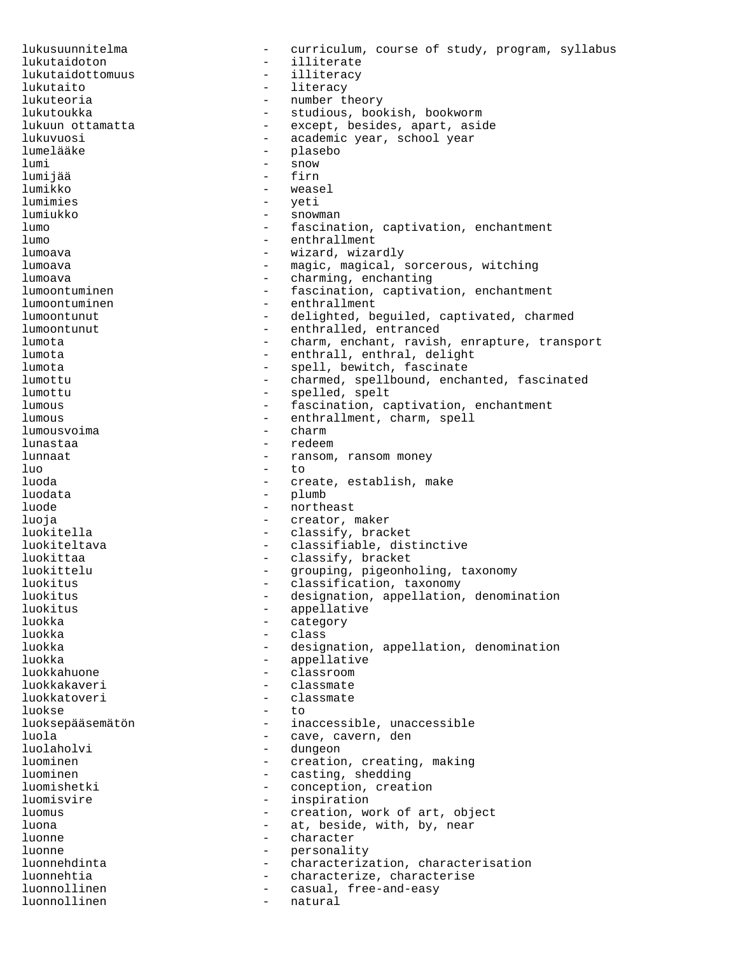lukusuunnitelma - curriculum, course of study, program, syllabus lukutaidoton - illiterate lukutaidottomuus lukutaito - literacy lukuteoria - number theory lukutoukka - studious, bookish, bookworm lukuun ottamatta - except, besides, apart, aside lukuvuosi - academic year, school year - plasebo lumi - snow lumijää - firn - weasel lumimies - yeti lumiukko - snowman lumo  $-$  fascination, captivation, enchantment lumo - enthrallment lumoava - wizard, wizardly lumoava - magic, magical, sorcerous, witching<br>
- charming enchanting lumoava - charming, enchanting<br>lumoontuminen - fascination, captiva - fascination, captivation, enchantment lumoontuminen - enthrallment<br>lumoontunut - delighted, be lumoontunut - delighted, beguiled, captivated, charmed<br>lumoontunut - enthralled, entranced lumoontunut - enthralled, entranced<br>lumota - charm, enchant, ravisl - charm, enchant, ravish, enrapture, transport lumota - enthrall, enthral, delight lumota - spell, bewitch, fascinate lumottu - charmed, spellbound, enchanted, fascinated lumottu - spelled, spelt lumous and the settle of the fascination, captivation, enchantment lumous - enthrallment, charm, spell lumousvoima - charm lunastaa - redeem lunnaat - ransom, ransom money<br>
luo - to - to luo - to luoda - create, establish, make luodata - plumb luode - northeast luoja - creator, maker luokitella - classify, bracket luokiteltava - classifiable, distinctive luokittaa - classify, bracket luokittelu - grouping, pigeonholing, taxonomy luokitus - classification, taxonomy luokitus - designation, appellation, denomination luokitus - appellative luokka - category luokka - class - designation, appellation, denomination luokka - appellative luokkahuone - classroom luokkakaveri - classmate luokkatoveri - classmate<br>luokse - to luokse - to luoksepääsemätön - inaccessible, unaccessible luola - cave, cavern, den <br>luolaholvi - cave, cavern, den <br>- dunqeon - dungeon luominen 1000 - creation, creating, making<br>
1000 - casting, shedding luominen - casting, shedding<br>luomishetki - conception, creat - conception, creation luomisvire - inspiration luomus - creation, work of art, object luona and the state of the state of the state of the state of the state of the state of the state of the state of the state of the state of the state of the state of the state of the state of the state of the state of the luonne - character luonne - personality luonnehdinta - characterization, characterisation luonnehtia - characterize, characterise<br>1uonnollinen - casual, free-and-easy - casual, free-and-easy<br>- natural luonnollinen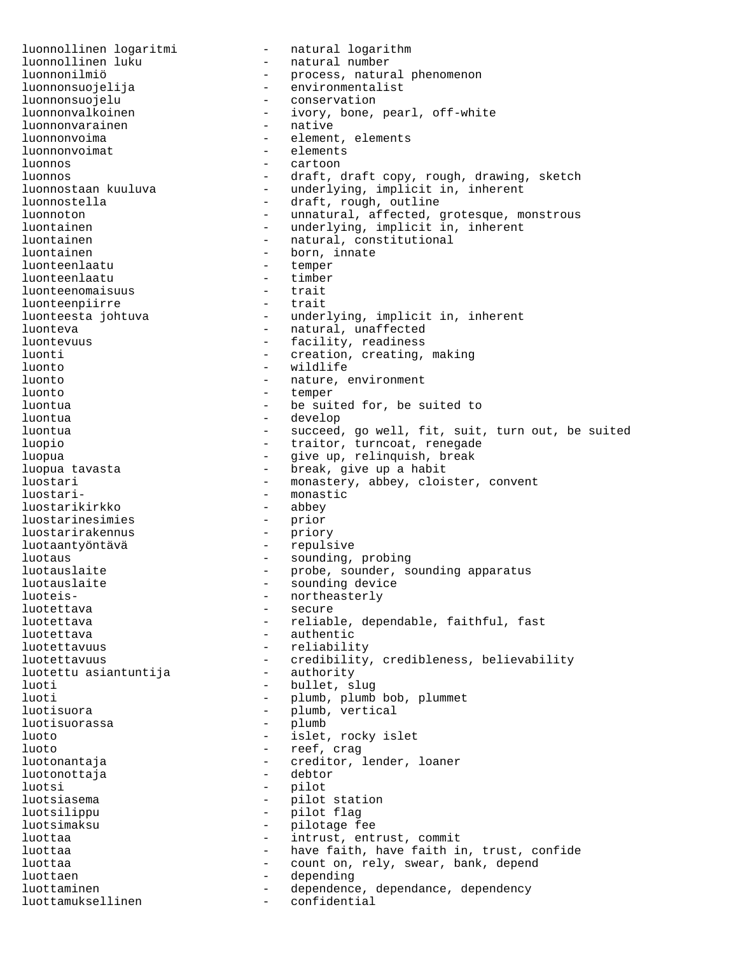luonnollinen logaritmi - natural logarithm luonnollinen luku - natural number luonnonilmiö - process, natural phenomenon luonnonsuojelija - environmentalist luonnonsuojelu - conservation<br>luonnonvalkoinen - ivory, bone, luonnong, pearl, off-white<br>- native luonnonvarainen luonnonvoima - element, elements luonnonvoimat - elements<br>luonnos - cartoon - cartoon luonnos - cartoon - draft, draft copy, rough, drawing, sketch luonnostaan kuuluva - underlying, implicit in, inherent luonnostella - draft, rough, outline luonnoton entity and the unnatural, affected, grotesque, monstrous luontainen 1000 - underlying, implicit in, inherent luontainen  $\qquad \qquad \qquad -$  natural, constitutional luontainen 1000 - born, innate<br>1000 - born, innate<br>1000 - temper luonteenlaatu - temper<br>luonteenlaatu - timber luonteenlaatu - timber - timber - timber - timber - timber - timber - timber - timber - timber - timber - timb<br>1980 - trait - timber - timber - timber - timber - timber - timber - timber - timber - timber - timber - timbe luonteenomaisuus - trait luonteenpiirre luonteesta johtuva - underlying, implicit in, inherent luonteva<br>
- natural, unaffected luontevuus - facility, readiness luonti - creation, creating, making luonto - wildlife luonto - nature, environment luonto - temper luontua - be suited for, be suited to luontua - develop luontua - succeed, go well, fit, suit, turn out, be suited luopio - traitor, turncoat, renegade luopua - give up, relinquish, break - break, give up a habit luostari  $-$  monastery, abbey, cloister, convent luostari- - monastic luostarikirkko - abbey luostarinesimies luostarirakennus -wariantyöntävä - priory<br>luotaantyöntävä - repulsive luotaus - sounding, probing luotauslaite - probe, sounder, sounding apparatus luotauslaite - sounding device luoteis- - northeasterly luotettava - secure luotettava - reliable, dependable, faithful, fast luotettava - authentic luotettavuus - reliability luotettavuus - credibility, credibleness, believability<br>luotettu asiantuntija - authority luotettu asiantuntija luoti - bullet, slug luoti - plumb, plumb bob, plummet luotisuora - plumb, vertical luotisuorassa luoto - islet, rocky islet<br>
- islet, rocky islet luoto  $-$  reef, crag luotonantaja - creditor, lender, loaner luotonottaja<br>luotsi - pilot luotsiasema  $-$  pilot station luotsilippu - pilot flag luotsimaksu - pilotage fee luottaa  $-$  intrust, entrust, commit luottaa - have faith, have faith in, trust, confide<br>luottaa - count on rely swear bank depend luottaa - count on, rely, swear, bank, depend<br>luottaen - count on, rely, swear, bank, depend luottaen en anno 1988 - depending luottaminen auch eine versuchten dependence, dependance, dependency luottamuksellinen - confidential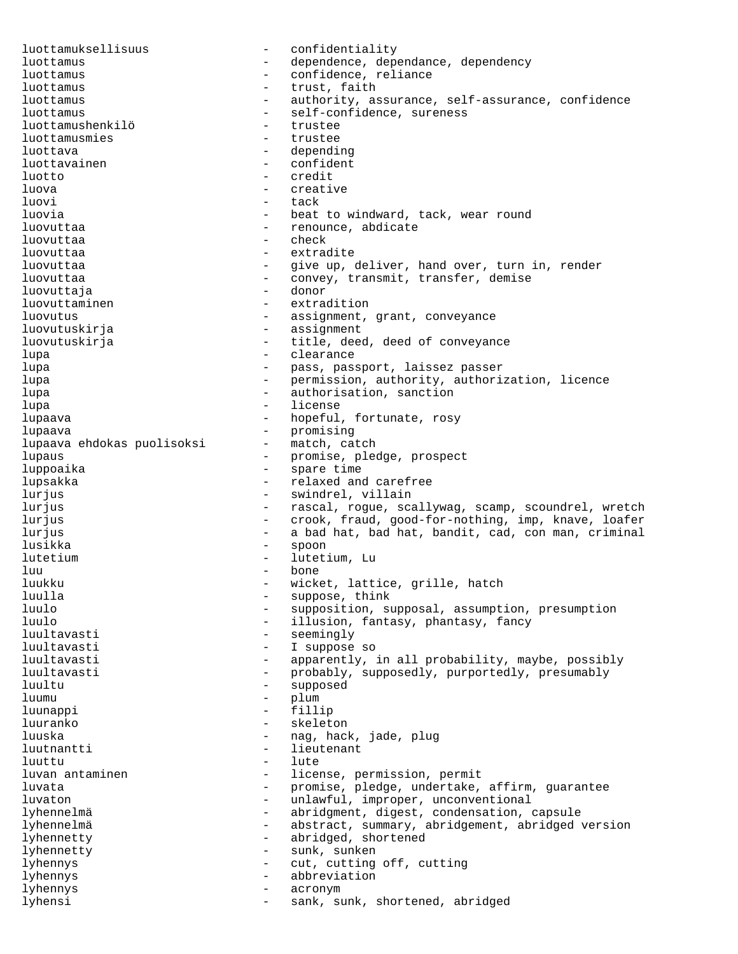luottamuksellisuus - confidentiality luottamus entity of the contract of the dependence, dependance, dependency luottamus - confidence, reliance luottamus - trust, faith luottamus - authority, assurance, self-assurance, confidence luottamus - self-confidence, sureness luottamushenkilö - trustee luottamusmies - trustee luottava - depending - depending luottavainen 1000 - confident luotto - credit luova - creative luovi - tack luovia - beat to windward, tack, wear round luovuttaa - renounce, abdicate luovuttaa - checkele - checkele - checkele - checkele - checkele - checkele - checkele - checkele luovuttaa - extradite luovuttaa - - give up, deliver, hand over, turn in, render<br>luovuttaa - - convey transmit transfer demise luovuttaa - convey, transmit, transfer, demise<br>luovuttaja - donor - donor luovuttaja - donor luovuttaminen - extradition luovutus - assignment, grant, conveyance luovutuskirja - assignment luovutuskirja - title, deed, deed of conveyance lupa - clearance lupa - pass, passport, laissez passer lupa - permission, authority, authorization, licence<br>lupa - authorisation, sanction lupa - authorisation, sanction lupa - license lupaava - hopeful, fortunate, rosy lupaava - promising lupaava ehdokas puolisoksi lupaus - promise, pledge, prospect<br>lupposite luppoaika - spare time lupsakka - relaxed and carefree lurjus - swindrel, villain - rascal, rogue, scallywag, scamp, scoundrel, wretch lurjus - crook, fraud, good-for-nothing, imp, knave, loafer lurjus - a bad hat, bad hat, bandit, cad, con man, criminal lusikka - spoon lutetium - lutetium, Lu luu - bone luukku - wicket, lattice, grille, hatch luulla - suppose, think luulo - supposition, supposal, assumption, presumption luulo - illusion, fantasy, phantasy, fancy - seemingly luultavasti - I suppose so luultavasti - apparently, in all probability, maybe, possibly luultavasti - probably, supposedly, purportedly, presumably luultu - supposed luumu - plum<br>luunappi - filli luunappi - fillip luuranko - skeleton luuska - nag, hack, jade, plug<br>luutnantti - lieutenant luutnantti - lieutenant<br>luuttu - lute - lute luuttu - lute luvan antaminen - license, permission, permit luvata - promise, pledge, undertake, affirm, guarantee luvaton - unlawful, improper, unconventional lyhennelmä - abridgment, digest, condensation, capsule lyhennelmä - abstract, summary, abridgement, abridged version lyhennetty - abridged, shortened lyhennetty - sunk, sunken lyhennys - cut, cutting off, cutting lyhennys - abbreviation lyhennys - acronym lyhensi - sank, sunk, shortened, abridged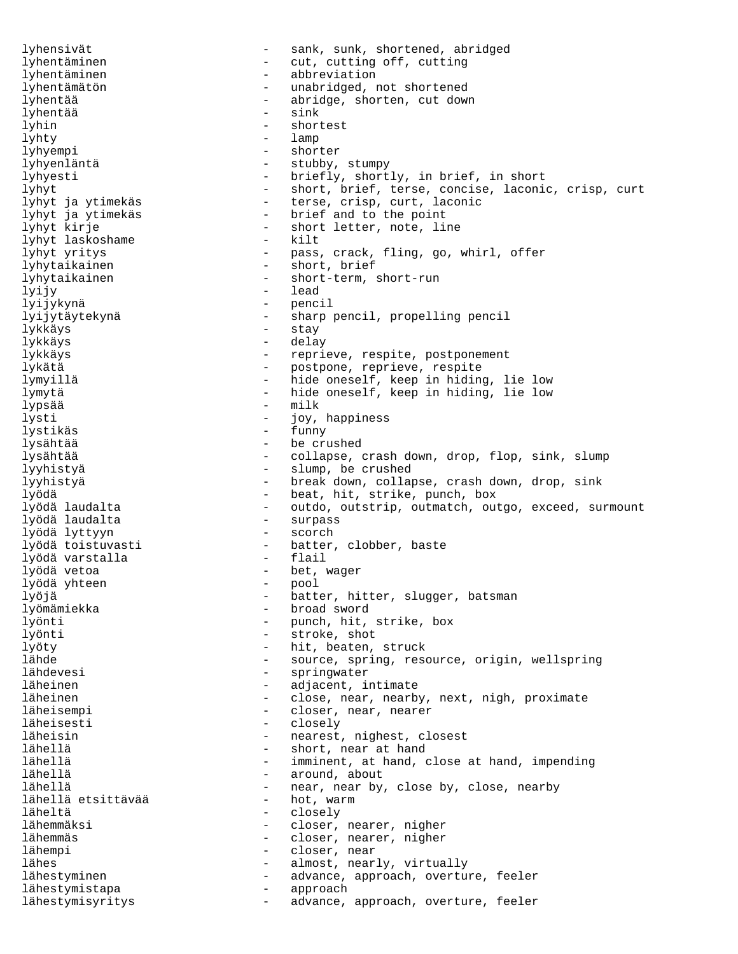lyhensivät - sank, sunk, shortened, abridged lyhentäminen - cut, cutting off, cutting lyhentäminen etter som abbreviation lyhentämätön - unabridged, not shortened lyhentää - abridge, shorten, cut down lyhentää lyhin - shortest lyhty - lamp lyhyempi - shorter lyhyenläntä - stubby, stumpy lyhyesti - briefly, shortly, in brief, in short lyhyt<br>lyhyt ja ytimekäs – short, brief, terse, concise, laconic, crisp, curt<br>lyhyt ja ytimekäs – terse, crisp, curt, laconic lyhyt ja ytimekäs  $l$  - terse, crisp, curt, laconic lyhyt ja ytimekäs  $l$  - brief and to the point - brief and to the point lyhyt kirje - short letter, note, line<br>lvhvt laskoshame - kilt lyhyt laskoshame lyhyt yritys - pass, crack, fling, go, whirl, offer lyhytaikainen - short, brief lyhytaikainen - short-term, short-run lyijy - lead lyijykynä - pencil lyijytäytekynä - sharp pencil, propelling pencil lykkäys - stay lykkäys - delay lykkäys - reprieve, respite, postponement lykätä  $-$  postpone, reprieve, respite lymyillä  $-$  hide oneself, keep in hiding, lie low lymytä - hide oneself, keep in hiding, lie low lypsää - milk lysti - joy, happiness lystikäs - funny lysähtää - be crushed lysähtää  $-$  collapse, crash down, drop, flop, sink, slump lyyhistyä - slump, be crushed lyyhistyä - break down, collapse, crash down, drop, sink lyödä - beat, hit, strike, punch, box - outdo, outstrip, outmatch, outgo, exceed, surmount<br>- surpass lyödä laudalta - surpass lyödä lyttyyn<br>lyödä toistuvasti - Doorter, clobber, baste<br>- flail lyödä varstalla<br>lyödä vetoa - bet, wager<br>- pool lyödä yhteen lyöjä<sup>-</sup> katter, hitter, slugger, batsman lyömämiekka - broad sword lyönti  $-$  punch, hit, strike, box lyönti - stroke, shot lyöty - hit, beaten, struck lähde - source, spring, resource, origin, wellspring lähdevesi - springwater läheinen 1988 besonder adjacent, intimate läheinen 1988 - close, near, nearby, next, nigh, proximate läheisempi  $\qquad \qquad -$  closer, near, nearer läheisesti - closely läheisin  $-$  nearest, nighest, closest lähellä - short, near at hand lähellä - imminent, at hand, close at hand, impending lähellä - around, about - near, near by, close by, close, nearby<br>- hot, warm lähellä etsittävää läheltä - closely lähemmäksi - closer, nearer, nigher lähemmäs - closer, nearer, nigher lähempi  $-$  closer, near lähes  $-$  almost, nearly, virtually lähestyminen - advance, approach, overture, feeler lähestymistapa - approach - advance, approach, overture, feeler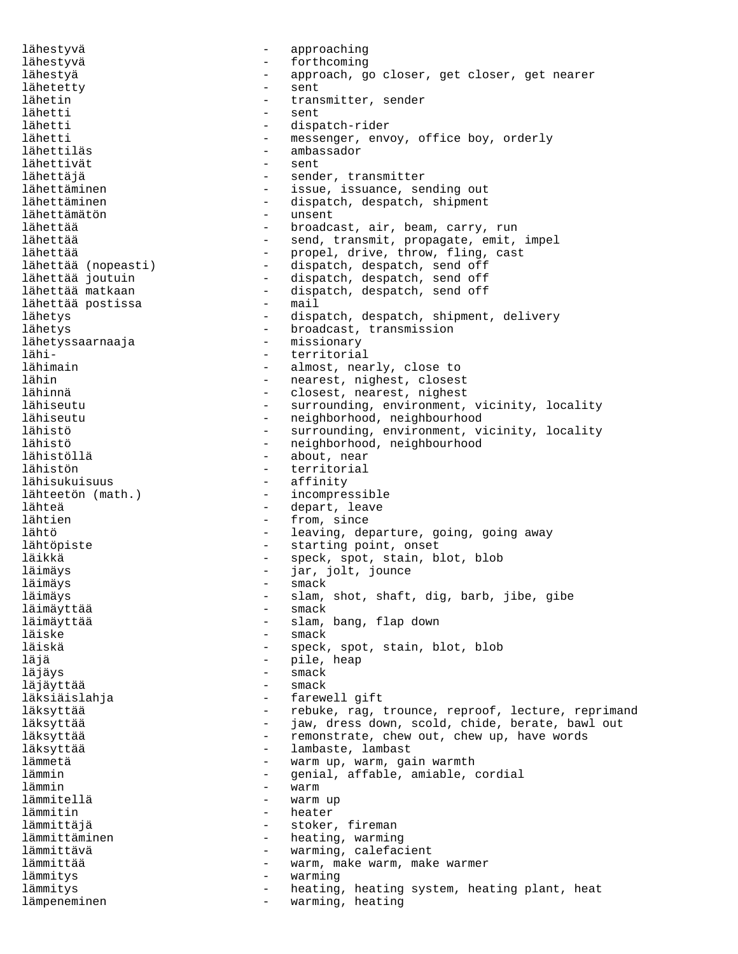lähestyvä - approaching lähestyvä - forthcoming approach, go closer, get closer, get nearer<br>sent lähetetty lähetin - transmitter, sender lähetti - sent lähetti - dispatch-rider lähetti - messenger, envoy, office boy, orderly<br>lähettiläs - - - - - - - - ambassador - ambassador<br>- sent lähettivät lähettäjä  $-$  sender, transmitter lähettäminen 1988 - issue, issuance, sending out lähettäminen - dispatch, despatch, shipment lähettämätön - unsent lähettää - broadcast, air, beam, carry, run lähettää  $-$  send, transmit, propagate, emit, impel lähettää  $\begin{array}{ccc} 1 & - & \text{propel}, \text{drive}, \text{throw}, \text{ filing}, \text{cast} \\ 1 & - & \text{dispatch}, \text{despatch}, \text{send off} \end{array}$ lähettää (nopeasti) - dispatch, despatch, send off<br>lähettää joutuin - dispatch, despatch, send off lähettää joutuin - dispatch, despatch, send off - dispatch, despatch, send off<br>- mail lähettää postissa<br>lähetys - dispatch, despatch, shipment, delivery lähetys - broadcast, transmission lähetyssaarnaaja<br>lähilähi- - territorial - almost, nearly, close to lähin 16. mearest, nighest, closest lähinnä  $\qquad \qquad - \qquad \text{closest}, \text{ nearest}, \text{ highest}$ lähiseutu - surrounding, environment, vicinity, locality lähiseutu - neighborhood, neighbourhood lähistö - surrounding, environment, vicinity, locality<br>
- neighborhood, neighbourhood lähistö - neighborhood, neighbourhood lähistöllä - about, near lähistön - territorial - affinity lähteetön (math.) – incompressible<br>lähteä – depart leave lähteä - depart, leave - from, since lähtö  $-$  leaving, departure, going, going away lähtöpiste  $-$  starting point, onset läikkä - speck, spot, stain, blot, blob<br>läimäys - speck, spot, stain, blot, blob läimäys - jar, jolt, jounce läimäys - smack läimäys - slam, shot, shaft, dig, barb, jibe, gibe läimäyttää  $-$  smack läimäyttää - slam, bang, flap down - smack läiskä - speck, spot, stain, blot, blob läjä - pile, heap läjäys - smack läjäyttää - smack läksiäislahja - farewell gift läksyttää - rebuke, rag, trounce, reproof, lecture, reprimand läksyttää - jaw, dress down, scold, chide, berate, bawl out läksyttää - remonstrate, chew out, chew up, have words läksyttää  $-$  lambaste, lambast lämmetä - warm up, warm, gain warmth lämmin - genial, affable, amiable, cordial lämmin - warm lämmitellä - warm up - heater lämmittäjä - stoker, fireman lämmittäminen en muodostaan varming varming lämmittävä - warming, calefacient lämmittää - warm, make warm, make warmer lämmitys - warming lämmitys - heating, heating system, heating plant, heat<br>lämpeneminen - warming heating lämpeneminen 1000 varming, heating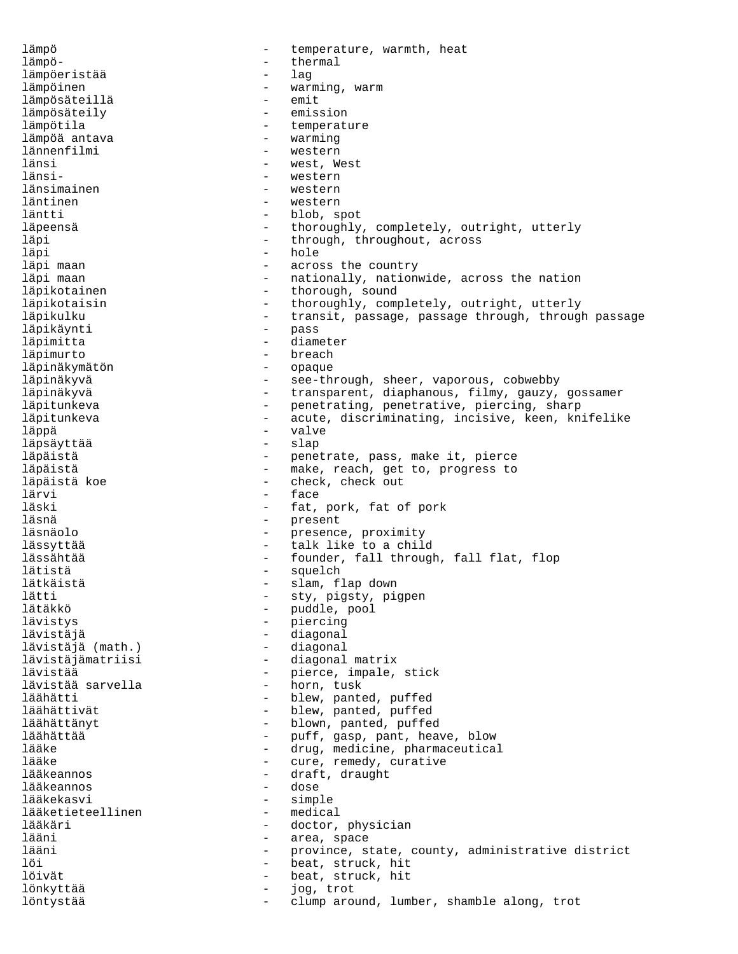lämpö - temperature, warmth, heat lämpö- - thermal lämpöeristää - lag - warming, warm lämpösäteillä - emit lämpösäteily lämpötila - temperature lämpöä antava<br>lännenfilmi - western länsi - west, West<br>länsi- - western - western - western<br>- western länsimainen - western läntinen  $-$  western läntti - blob, spot läpeensä  $-$  thoroughly, completely, outright, utterly läpi - through, throughout, across läpi - hole läpi maan - across the country läpi maan - nationally, nationwide, across the nation thorough, sound läpikotaisin - thoroughly, completely, outright, utterly<br>läpikulku - transit, passage, passage through, through - transit, passage, passage through, through passage läpikäynti - pass läpimitta - diameter läpimurto - breach läpinäkymätön läpinäkyvä - see-through, sheer, vaporous, cobwebby läpinäkyvä  $-$  transparent, diaphanous, filmy, gauzy, gossamer läpitunkeva penetrating, penetrative, piercing, sharp<br>läpitunkeva acute, discriminating, incisive, keen, kn läpitunkeva - acute, discriminating, incisive, keen, knifelike<br>läppä läppä - valve läpsäyttää - slap läpäistä - penetrate, pass, make it, pierce - make, reach, get to, progress to läpäistä koe  $-$  check, check out lärvi – face<br>läski – fat läski - fat, pork, fat of pork<br>läsnä - bresent - present läsnäolo - presence, proximity lässyttää  $-$  talk like to a child lässähtää  $-$  founder, fall through, fall flat, flop lätistä - squelch lätkäistä - slam, flap down lätti - sty, pigsty, pigpen - puddle, pool lävistys - piercing - diagonal<br>- diagonal lävistäjä (math.)<br>lävistäjämatriisi - diagonal matrix lävistää - pierce, impale, stick lävistää sarvella läähätti  $-$  blew, panted, puffed läähättivät  $-$  blew, panted, puffed läähättänyt  $-$  blown, panted, puffed läähättää - puff, gasp, pant, heave, blow lääke - drug, medicine, pharmaceutical<br>lääke - drug, medicine, pharmaceutical<br>- cure, remedy, curative lääke - cure, remedy, curative<br>lääkeannos - cure, remedy, curative - draft, draught<br>- dose lääkeannos lääkekasvi - simple lääketieteellinen lääkäri - doctor, physician lääni 100 mm - area, space lääni 15 mm - province, state, county, administrative district löi - beat, struck, hit - beat, struck, hit<br>- jog, trot lönkyttää - jog, trot löntystää - clump around, lumber, shamble along, trot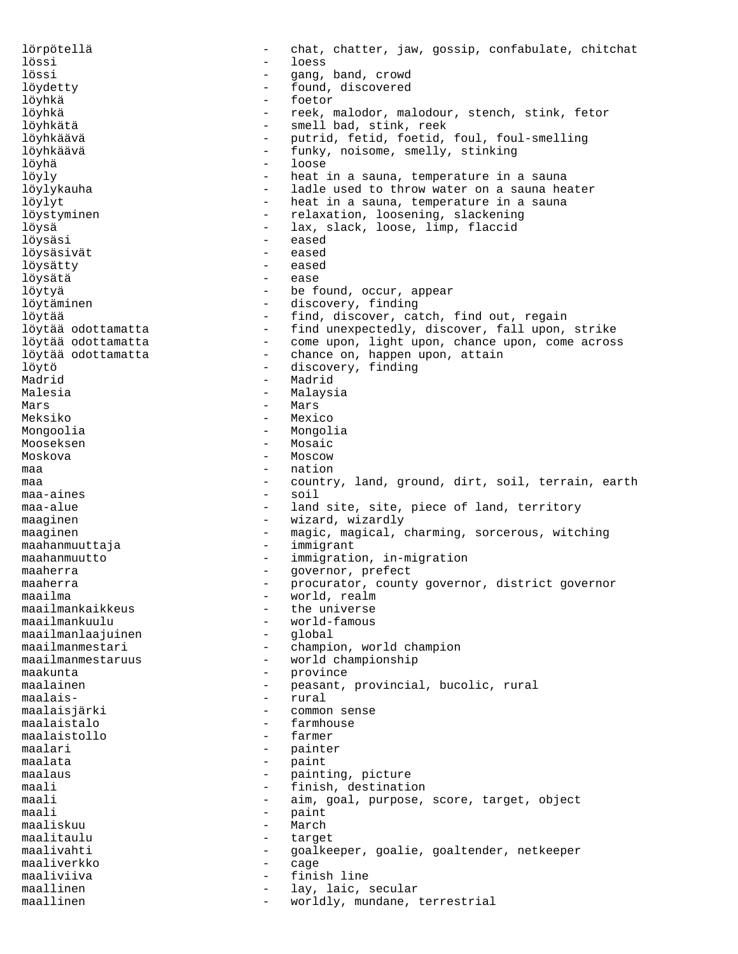lörpötellä - chat, chatter, jaw, gossip, confabulate, chitchat lössi - loess - gang, band, crowd löydetty - found, discovered löyhkä - foetor löyhkä - reek, malodor, malodour, stench, stink, fetor löyhkätä - smell bad, stink, reek löyhkäävä - putrid, fetid, foetid, foul, foul-smelling - funky, noisome, smelly, stinking löyhä - loose löyly - heat in a sauna, temperature in a sauna löylykauha - ladle used to throw water on a sauna heater löylyt  $-$  heat in a sauna, temperature in a sauna löystyminen - relaxation, loosening, slackening löysä - lax, slack, loose, limp, flaccid löysäsi - eased löysäsivät - eased löysätty – eased – eased – eased – eased – eased – eased – eased – eased – eased – eased – eased – eased – eas löysätä - ease löytyä - be found, occur, appear löytäminen - discovery, finding - find, discover, catch, find out, regain löytää odottamatta - find unexpectedly, discover, fall upon, strike löytää odottamatta - come upon, light upon, chance upon, come across<br>löytää odottamatta - - chance on, happen upon, attain - chance on, happen upon, attain löytö - discovery, finding Madrid - Madrid Malesia  $-$  Malaysia Mars - Mars Meksiko - Mexico Mongoolia - Mongolia Mooseksen - Mosaic Moskova - Moscow maa - nation maa  $-$  country, land, ground, dirt, soil, terrain, earth maa-aines - soil maa-alue - land site, site, piece of land, territory maaginen - wizard, wizardly maaginen - magic, magical, charming, sorcerous, witching maahanmuuttaja - immigrant maahanmuutto - immigration, in-migration maaherra - governor, prefect maaherra - procurator, county governor, district governor<br>maailma - world, realm maailma - world, realm maailmankaikkeus - the universe<br>maailmankuulu - world-famous - world-famous<br>- global maailmanlaajuinen maailmanmestari - champion, world champion maailmanmestaruus - world championship maakunta - province maalainen 1988 - Peasant, provincial, bucolic, rural maalais-<br>maalaisiärki - rural<br>- common maalaisjärki - common sense<br>maalaistalo - farmhouse maalaistalo - farmhouse - farmhouse - farmhouse - farmer - farmer - farmer - farmer - farmer - farmer - farmer - farmer - farmer - farmer - farmer - farmer - farmer - farmer - farmer - farmer - farmer - farmer - farmer - f maalaistollo - farmer maalari - painter maalata - paint<br>maalaus - paint maalaus - painting, picture<br>maali - finish destinati - finish, destination maali - aim, goal, purpose, score, target, object maali - paint maaliskuu - March<br>maalitaulu - target maalitaulu - target maalivahti - goalkeeper, goalie, goaltender, netkeeper maaliverkko - cage maaliviiva - finish line maallinen - lay, laic, secular maallinen - worldly, mundane, terrestrial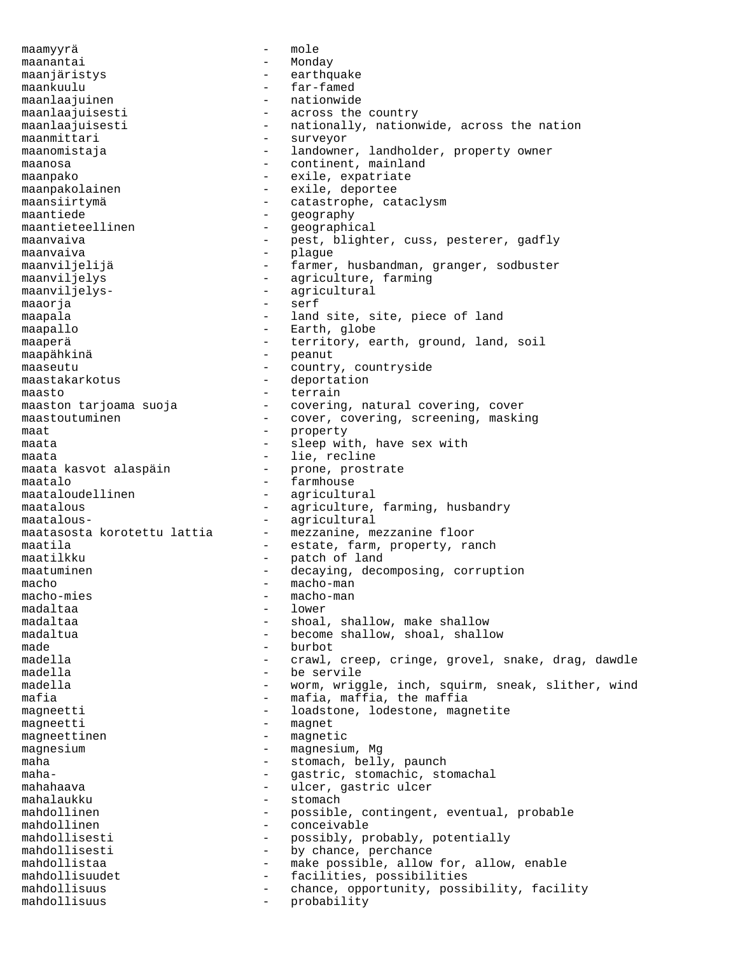maamyyrä - mole maanantai - Monday<br>maaniäristys - eartho maanjäristys - earthquake maankuulu - far-famed<br>maanlaajuinen - - hationwide maanlaajuinen maanlaajuisesti - across the country maanlaajuisesti - nationally, nationwide, across the nation<br>maanmittari - surveyor maanmittari - surveyor maanomistaja - landowner, landholder, property owner maanosa  $\qquad \qquad -$  continent, mainland maanpako - exile, expatriate maanpakolainen - exile, deportee maansiirtymä esimeste valuella valuella valuella valuella valuella valuella valuella valuella valuella valuell maantiede en aantiede en aantiede maantiede en aantiede behandeling van die geography maantieteellinen - geographical maanvaiva - pest, blighter, cuss, pesterer, gadfly maanvaiva - plague maanviljelijä  $-$  farmer, husbandman, granger, sodbuster maanviljelys - agriculture, farming maanviljelys-<br>
- agricultural maaorja - serf maapala - land site, site, piece of land maapallo - Earth, globe maaperä enterritory, earth, ground, land, soil maapähkinä  $-$  peanut maaseutu - country, countryside maastakarkotus - deportation maasto - terrain maaston tarjoama suoja - covering, natural covering, cover maastoutuminen - cover, covering, screening, masking maat  $\begin{array}{ccc} \text{m} & - & \text{property} \\ \text{m} & - & \text{s} \\ \end{array}$ maata - sleep with, have sex with maata<br>maata kasvot alaspäin - - - - - - - - - - - - prone, prost - prone, prostrate maatalo - farmhouse<br>maataloudellinen - aqricultu: - agricultural maatalous extending the manufacture, farming, husbandry maatalous- - - - - - - - - - - - - agricultural maatasosta korotettu lattia - mezzanine, mezzanine floor maatila - estate, farm, property, ranch maatilkku - patch of land<br>maatuminen - decaying dec maatuminen - decaying, decomposing, corruption macho  $\frac{1}{2}$  macho-man macho-mies macho-mies - macho-mies - macho-man<br>madaltaa - 10wer madaltaa<br>madaltaa madaltaa - shoal, shallow, make shallow<br>madaltua - shoal, shallow, shoal, shall - become shallow, shoal, shallow made burbot - burbot - burbot - crawl madella - crawl, creep, cringe, grovel, snake, drag, dawdle madella - be servile madella - worm, wriggle, inch, squirm, sneak, slither, wind mafia  $-$  mafia, maffia, the maffia magneetti - loadstone, lodestone, magnetite magneetti – magnet magneettinen - magnetic magnesium - magnesium, Mg maha - stomach, belly, paunch<br>maha- - stomachig stomachig stomachig maha-  $\qquad \qquad \qquad$  - gastric, stomachic, stomachal mahahaava - ulcer, gastric ulcer mahalaukku - stomach<br>mahdollinen - possible - possible, contingent, eventual, probable<br>- conceivable mahdollinen - conceivable mahdollisesti  $-$  possibly, probably, potentially mahdollisesti - by chance, perchance mahdollistaa - make possible, allow for, allow, enable mahdollisuudet - facilities, possibilities mahdollisuus - chance, opportunity, possibility, facility mahdollisuus - probability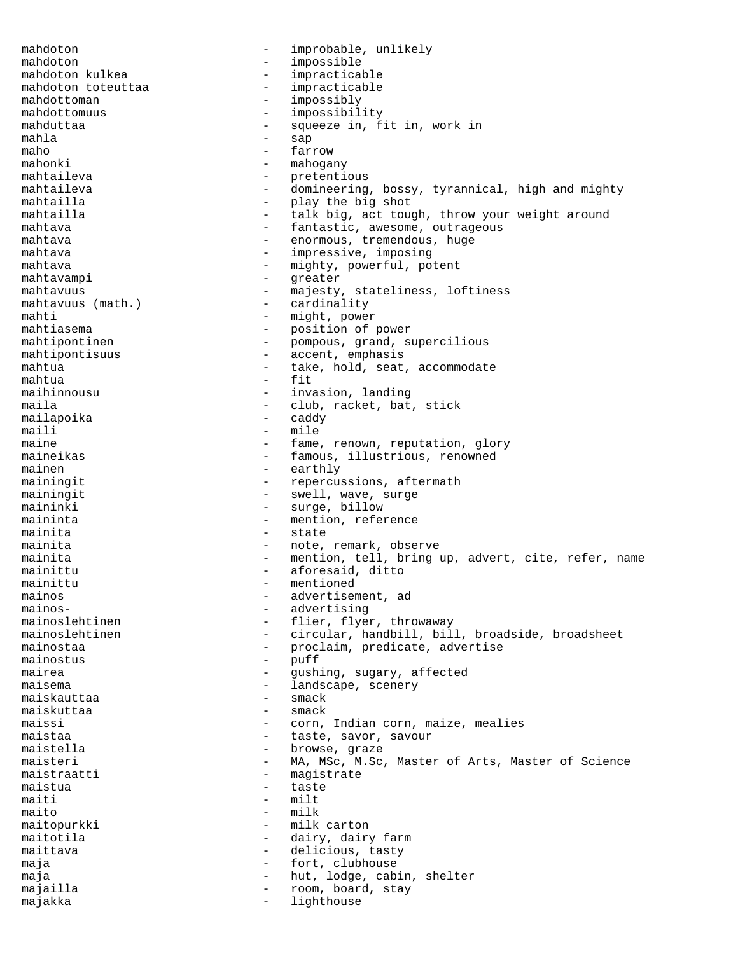mahdoton - improbable, unlikely mahdoton  $-$  impossible mahdoton kulkea  $-$  impracticable mahdoton kulkea - impracticable - improvement - improvement - improvement - improvement - improvement - improvement - improvement - improvement - improvement - improvement - improvement - improvement - improvement - improv mahdoton toteuttaa - impracticable mahdottoman - impossibly mahdottomuus - impossibility mahduttaa - squeeze in, fit in, work in mahla mahla - sap maho - farrow mahonki - farrow - farrow - farrow - farrow - farrow - farrow - farrow - farrow - farrow - farrow - farrow - farrow - farrow - farrow - farrow - farrow - farrow - farrow - farrow - farrow - farrow - farrow - - mahogany mahtaileva - pretentious<br>mahtaileva - domineering mahtaileva - domineering, bossy, tyrannical, high and mighty<br>mahtailla - play the big shot - play the big shot mahtailla - talk big, act tough, throw your weight around mahtava - fantastic, awesome, outrageous mahtava - enormous, tremendous, huge mahtava  $-$  impressive, imposing mahtava - mighty, powerful, potent<br>mahtavampi - greater mahtavampi mahtavuus (math.) - majesty, stateliness, loftiness mahtavuus (math.) - cardinality mahtavuus (math.)<br>mahti - might, power mahtiasema  $-$  position of power mahtipontinen - pompous, grand, supercilious mahtipontisuus - accent, emphasis mahtua - take, hold, seat, accommodate mahtua - fit maihinnousu - invasion, landing maila  $\qquad \qquad - \qquad \text{club, racket, bat, stick}$ mailapoika - caddy<br>maili - mile maili - mile<br>maine - fame maine - fame, renown, reputation, glory<br>maineikas - famous, illustrious, renowned maineikas  $\begin{array}{ccc}\n-\text{ famous, illustrates} \\
-\text{early} \\
-\text{early}\n\end{array}$ - earthly mainingit - repercussions, aftermath<br>mainingit - swell, wave, surge - swell, wave, surge maininki - surge, billow maininta  $-$  mention, reference mainita - state mainita  $\qquad \qquad -$  note, remark, observe mainita  $-$  mention, tell, bring up, advert, cite, refer, name mainittu  $-$  aforesaid, ditto mainittu - mentioned<br>mainos - advertisem mainos - advertisement, ad mainos- - advertising<br>mainoslehtinen - flier, flyer mainoslehtinen - flier, flyer, throwaway<br>mainoslehtinen - circular, handbill, bil - circular, handbill, bill, broadside, broadsheet mainostaa - proclaim, predicate, advertise mainostus - puff<br>mairea - quah mairea  $\qquad \qquad -$  gushing, sugary, affected maisema  $-$  landscape, scenery maiskauttaa - smack maiskuttaa - smack maissi - corn, Indian corn, maize, mealies maistaa - taste, savor, savour maistella  $-$  browse, graze maisteri **1888** - MA, MSc, M.Sc, Master of Arts, Master of Science maistraatti - magistrate maistua este estate en la contradictiva en la contradictiva en la contradictiva en la contradictiva en la contra maiti - milt maito  $-$  milk maitopurkki - milk carton maitotila  $-$  dairy, dairy farm maittava - delicious, tasty maja  $-$  fort, clubhouse maja  $-$  hut, lodge, cabin, shelter majailla - room, board, stay<br>majakka - room, board, stay majakka - lighthouse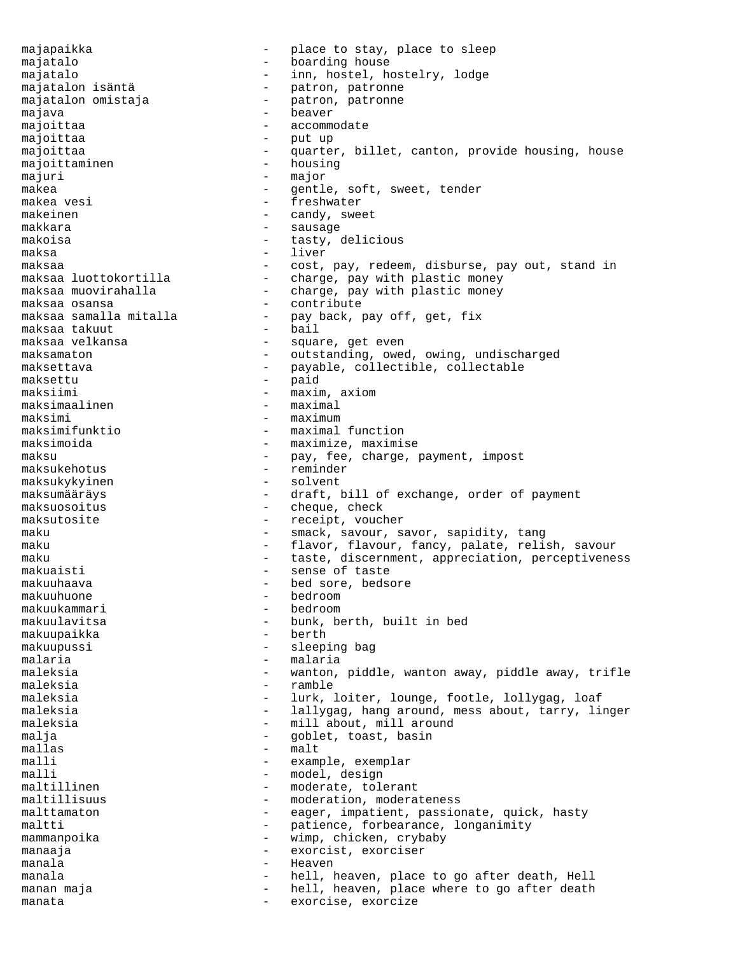majapaikka - place to stay, place to sleep majatalo  $-$  boarding house majatalo - inn, hostel, hostelry, lodge<br>majatalon isäntä - patron, patronne majatalon isäntä - patron, patronne majatalon omistaja - patron, patronne majava - beaver<br>majoittaa - accommunic majoittaa - accommodate<br>majoittaa - autum majoittaa - put up majoittaa - - quarter, billet, canton, provide housing, house majoittaminen - housing majuri - major - major - major - major - major - major - major - major - major - major - major - major - major - major - major - major - major - major - major - major - major - major - major - major - major - major - majo makea - compared the soft, sweet, tender makea vesi  $-$  freshwater makeinen  $\qquad \qquad - \qquad \text{candy, sweet}$ makkara - sausage makoisa - tasty, delicious maksa - liver maksaa - cost, pay, redeem, disburse, pay out, stand in<br>maksaa luottokortilla - charge, pay with plastic money maksaa luottokortilla - charge, pay with plastic money<br>maksaa muovirahalla - - charge, pay with plastic money maksaa muovirahalla - charge, pay with plastic money<br>maksaa osansa - contribute maksaa osansa - contribute - pay back, pay off, get, fix<br>- bail maksaa takuut<br>maksaa velkansa - square, get even maksamaton - outstanding, owed, owing, undischarged maksettava - payable, collectible, collectable<br>maksettu - paid maksettu - paid maksiimi - maxim, axiom maksimaalinen maksimi - maximum<br>maksimifunktio - maximal - maximal function maksimoida - maximize, maximise maksu - pay, fee, charge, payment, impost<br>maksukehotus - reminder maksukehotus - reminder maksukykyinen maksumääräys - draft, bill of exchange, order of payment maksuosoitus - cheque, check maksutosite - receipt, voucher maku  $-$  smack, savour, savor, sapidity, tang maku  $-$  flavor, flavour, fancy, palate, relish, savour maku maku - taste, discernment, appreciation, perceptiveness makuaisti  $-$  sense of taste makuuhaava - bed sore, bedsore makuuhuone makuukammari - bedroom - bunk, berth, built in bed<br>- berth makuupaikka makuupussi - sleeping bag malaria - malaria<br>maleksia - wanton - wanton maleksia  $-$  wanton, piddle, wanton away, piddle away, trifle maleksia - ramble<br>maleksia - lurk maleksia - lurk, loiter, lounge, footle, lollygag, loaf maleksia  $-$  lallygag, hang around, mess about, tarry, linger maleksia  $-$  mill about, mill around malja - goblet, toast, basin<br>mallas - malt - malt mallas - malt malli - example, exemplar malli - model, design<br>maltillinen - moderate, tole - moderate, tolerant maltillisuus - moderation, moderateness<br>malttamaton - eager impatient passiol malttamaton - eager, impatient, passionate, quick, hasty maltti - patience, forbearance, longanimity<br>
mammanpoika - wimp, chicken, crybaby mammanpoika - wimp, chicken, crybaby manaaja - exorcist, exorciser manala - Heaven manala - hell, heaven, place to go after death, Hell manan maja  $\qquad \qquad \qquad -$  hell, heaven, place where to go after death manata  $-$  exorcise, exorcize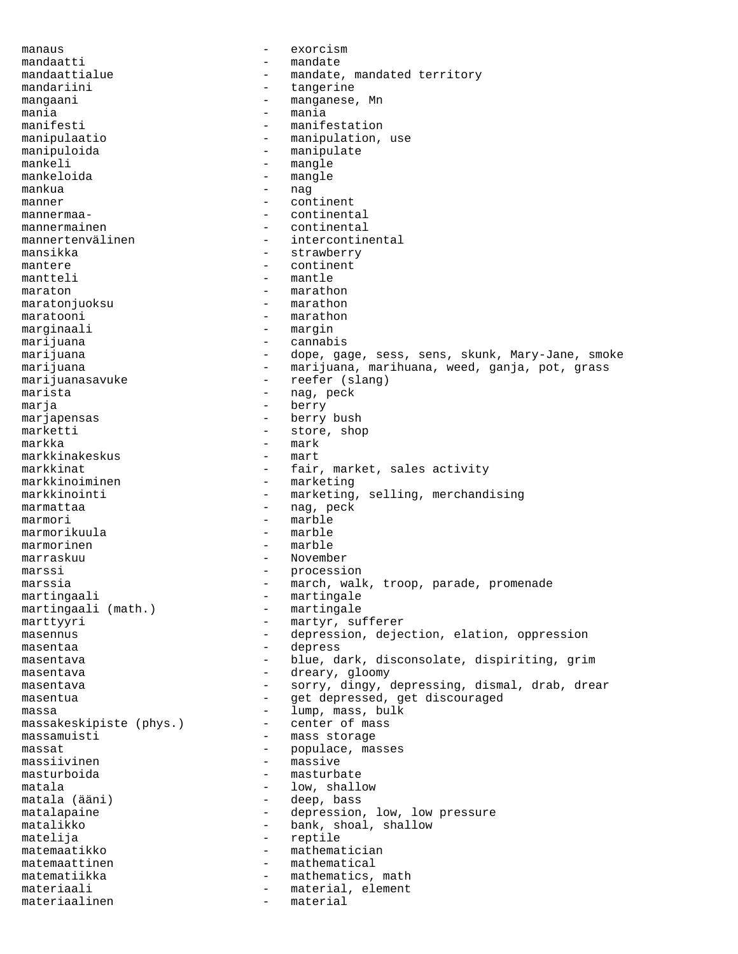manaus - exorcism mandaatti - mandate mandaattialue - mandate, mandated territory<br>mandariini - tangerine mandariini - tangerine mangaani - manganese, Mn<br>manja - manja - manja mania - mania - manifestation manipulaatio - manipulation, use manipuloida - manipulate mankeli - mangle mankeloida - mangle mankua - nag manner - continent mannermaa- - continental mannermainen - continental mannertenvälinen - intercontinental mansikka - strawberry<br>mantere - strawberry<br>- continent mantere  $\begin{array}{ccc} \text{mantere} & - & \text{continent} \\ \text{mantteli} & - & \text{mantle} \end{array}$ mantteli - mantle maraton - marathon<br>maratonjuoksu - marathon - marathon maratooni - marathon marginaali - margin marijuana - cannabis marijuana - dope, gage, sess, sens, skunk, Mary-Jane, smoke marijuana  $-$  marijuana, marihuana, weed, ganja, pot, grass marijuanasavuke - reefer (slang) marista  $-$  nag, peck marja - berry marjapensas - berry bush<br>marketti - store sho marketti - store, shop<br>markka - mark markka - mark markkinakeskus<br>markkinat - fair, market, sales activity markkinoiminen en marketing markkinointi - marketing, selling, merchandising marmattaa  $-$  nag, peck marmori - marble marmorikuula marmorinen - marble marraskuu - November marssi - procession marssia - march, walk, troop, parade, promenade martingaali - martingale<br>martingaali (math.) - martingale martingaali (math.) marttyyri - martyr, sufferer<br>masennus - depression deje masennus - depression, dejection, elation, oppression<br>masentaa masentaa - depress masentava - blue, dark, disconsolate, dispiriting, grim masentava  $\overline{\phantom{a}}$  - dreary, gloomy masentava - sorry, dingy, depressing, dismal, drab, drear masentua - get depressed, get discouraged massa<br>
massakeskipiste (phys.) - lump, mass, bulk<br>
- center of mass massakeskipiste (phys.) massamuisti - mass storage massat - populace, masses - massive masturboida - masturbate matala  $\qquad \qquad -$  low, shallow matala (ääni) - deep, bass matalapaine - depression, low, low pressure<br>matalikko - bank, shoal, shallow - bank, shoal, shallow matelija - reptile matemaatikko - mathematician<br>matemaattinen - mathematical matemaattinen - mathematical matematiikka - mathematics, math<br>materiaali - material element materiaali - material, element materiaalinen - material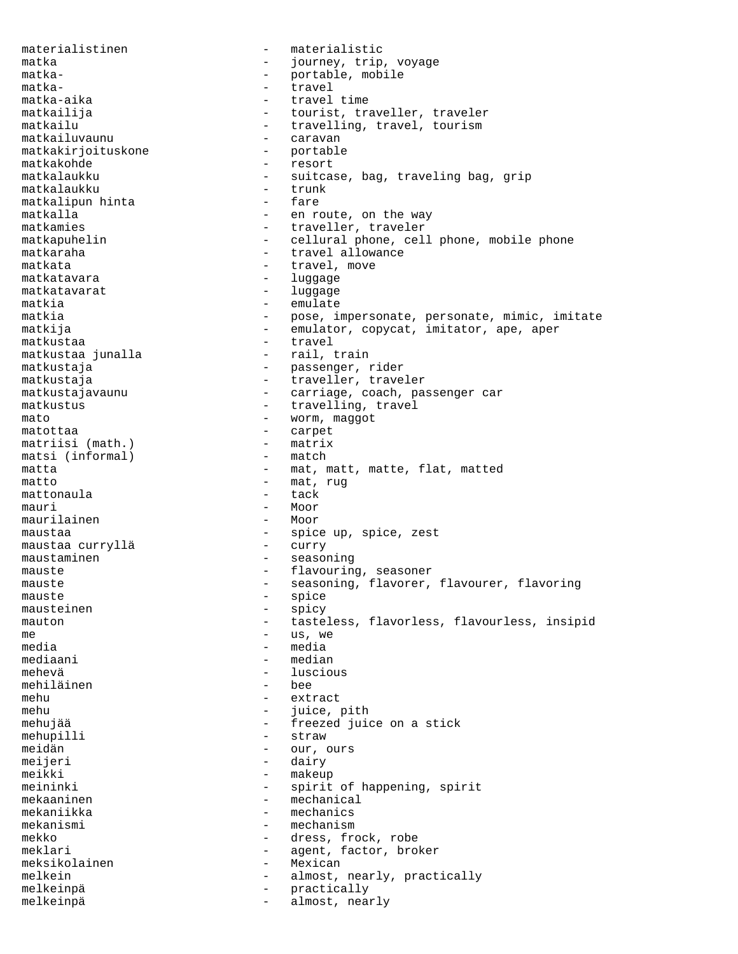materialistinen - materialistic matka - iourney, trip, voyage matka - iourney, trip, voyage matka - iourney - iourney, trip, voyage matka-  $-$  portable, mobile matka- - travel - travel time matkailija - tourist, traveller, traveler<br>matkailu - travelling, travel, tourism matkailu - travelling, travel, tourism<br>matkailuvaunu - caravan - caravan - caravan<br>- portable matkakirjoituskone matkakohde - resort matkalaukku - suitcase, bag, traveling bag, grip matkalaukku - trunk<br>matkalipun hinta - fare matkalipun hinta matkalla  $-$  en route, on the way matkamies extended that the matkamies of the matkamies of the traveller, traveler matkapuhelin - cellural phone, cell phone, mobile phone matkaraha  $-$  travel allowance matkata - travel, move<br>matkatayara - travel, move matkatavara luggage<br>matkatavarat luggage matkatavarat - luggage<br>matkia - emulate matkia - emulate - pose, impersonate, personate, mimic, imitate matkija - emulator, copycat, imitator, ape, aper - travel<br>- rail, train matkustaa junalla matkustaja - passenger, rider matkustaja  $-$  traveller, traveler matkustajavaunu - carriage, coach, passenger car matkustus - travelling, travel mato - worm, maggot matottaa - carpet matriisi (math.) - matriisi (math.) - matriisi (informal) - match matsi (informal) matta - mat, matt, matte, flat, matted matto - mat, rug mattonaula mauri - Moor<br>maurilainen - Moor - Moor maurilainen maustaa - spice up, spice, zest maustaa curryllä maustaminen en mannen aller seasoning mauste - flavouring, seasoner<br>mauste - seasoning flavorer mauste - seasoning, flavorer, flavourer, flavoring<br>mauste - spice mauste - spice - spice<br>mausteinen - spicy - spicy mausteinen mauton **-** tasteless, flavorless, flavourless, insipid me  $-$  us, we media - media mediaani - median mehevä - luscious mehiläinen mehu  $\begin{array}{ccc} \text{mehu} & - & \text{extract} \\ \text{mehu} & - & \text{inice} \\ \end{array}$ mehu  $-$  juice, pith mehujää - freezed juice on a stick mehupilli - strawa - strawa - strawa - strawa - strawa - strawa - strawa - strawa - strawa - strawa - strawa meidän - our, ours<br>meijeri - dairy - dairy meijeri - dairy - dairy - dairy - dairy - dairy - dairy - dairy - dairy - dairy - dairy - dairy - dairy - dairy - dairy - dairy - dairy - dairy - dairy - dairy - dairy - dairy - dairy - dairy - dairy - dairy - dairy - dair meikki - makeup - spirit of happening, spirit mekaaninen - mechanical<br>mekaniikka - mechanics - mechanics mekanismi - mechanism mekko - dress, frock, robe meklari - agent, factor, broker<br>meksikolainen - Mexican - Mexican meksikolainen – Mexican – Mexican – Mexican – Mexican – Mexican – Mexican – Mexican – Mexican – Mexican – Mexican – Mexican – Mexican – Mexican – Mexican – Mexican – Mexican – Mexican – Mexican – Mexican – Mexican – Mexica melkein - almost, nearly, practically<br>melkeinpä melkeinpä - practically melkeinpä - almost, nearly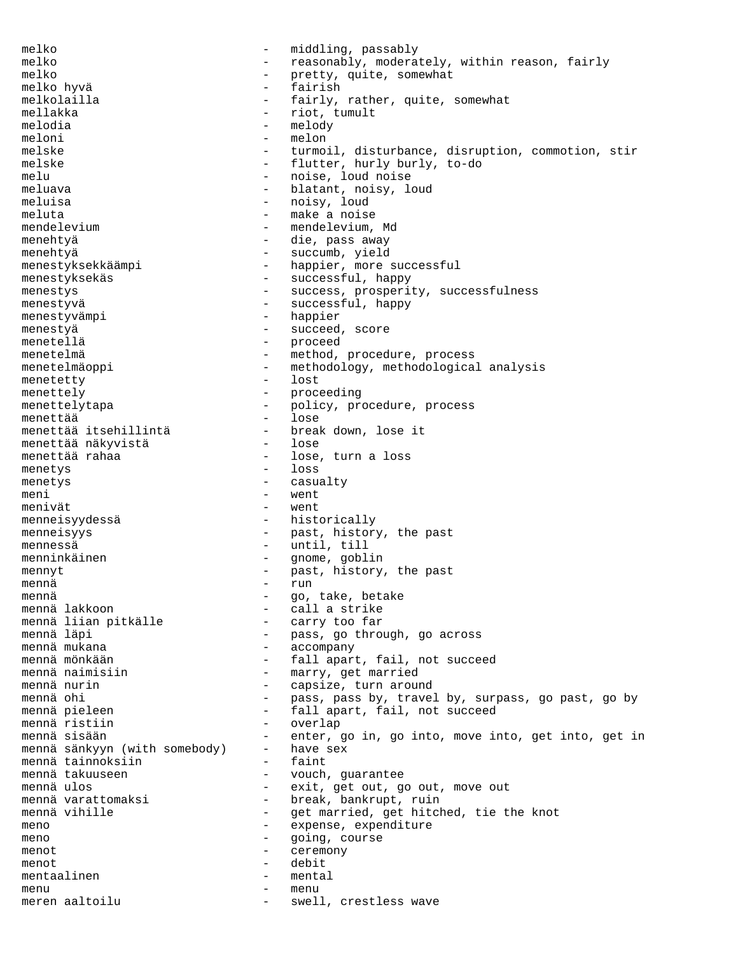melko - middling, passably melko - reasonably, moderately, within reason, fairly<br>melko - pretty quite somewhat melko  $-$  pretty, quite, somewhat melko hyvä - fairish melkolailla - fairly, rather, quite, somewhat<br>mellakka - riot, tumult mellakka - riot, tumult<br>melodia - riot, tumult melodia - melody<br>meloni - meloni - melon meloni - melon melske  $-$  turmoil, disturbance, disruption, commotion, stir melske  $-$  flutter, hurly burly, to-do melu - noise, loud noise meluava - blatant, noisy, loud meluisa - noisy, loud meluta  $-$  make a noise mendelevium - mendelevium, Md menehtyä  $-$  die, pass away menehtyä - succumb, yield menestyksekkäämpi - happier, more successful menestyksekäs - successful, happy menestys - success, prosperity, successfulness menestyvä - successful, happy menestyvämpi - happier menestyä  $-$  succeed, score menetellä - proceed menetelmä - method, procedure, process menetelmäoppi - methodology, methodological analysis menetetty - lost menettely  $-$  proceeding<br>menettelytapa  $-$  policy pr menettelytapa - policy, procedure, process menettää - lose - break down, lose it<br>- lose menettää näkyvistä menettää rahaa  $\qquad \qquad -$  lose, turn a loss menetys - loss menetys - casualty meni - went menivät - went menneisyydessä - historically menneisyys - past, history, the past mennessä - until, till menninkäinen 1988 von 1988 menninkäinen menninkäinen menninkäinen menninkäinen menninkäinen menninkäinen menni mennyt - past, history, the past mennä – run mennä - go, take, betake - call a strike<br>- carry too far mennä liian pitkälle<br>mennä läpi - pass, go through, go across mennä mukana - accompany mennä mönkään - fall apart, fail, not succeed - marry, get married mennä nurin - capsize, turn around mennä ohi - pass, pass by, travel by, surpass, go past, go by mennä pieleen - fall apart, fail, not succeed<br>mennä ristiin - overlap mennä ristiin mennä sisään - enter, go in, go into, move into, get into, get in mennä sisaan<br>mennä sänkyyn (with somebody) – have s<br>mennä tainnoksiin – faint mennä tainnoksiin<br>mennä takuuseen mennä takuuseen - vouch, guarantee mennä ulos - exit, get out, go out, move out mennä varattomaksi  $-$  break, bankrupt, ruin<br>mennä vihille  $-$  qet married, get hitch - get married, get hitched, tie the knot meno  $-$  expense, expenditure meno  $-$  going, course menot - ceremony menot - debit mentaalinen - mental menu - menu - menu - menu meren aaltoilu  $\qquad \qquad -$  swell, crestless wave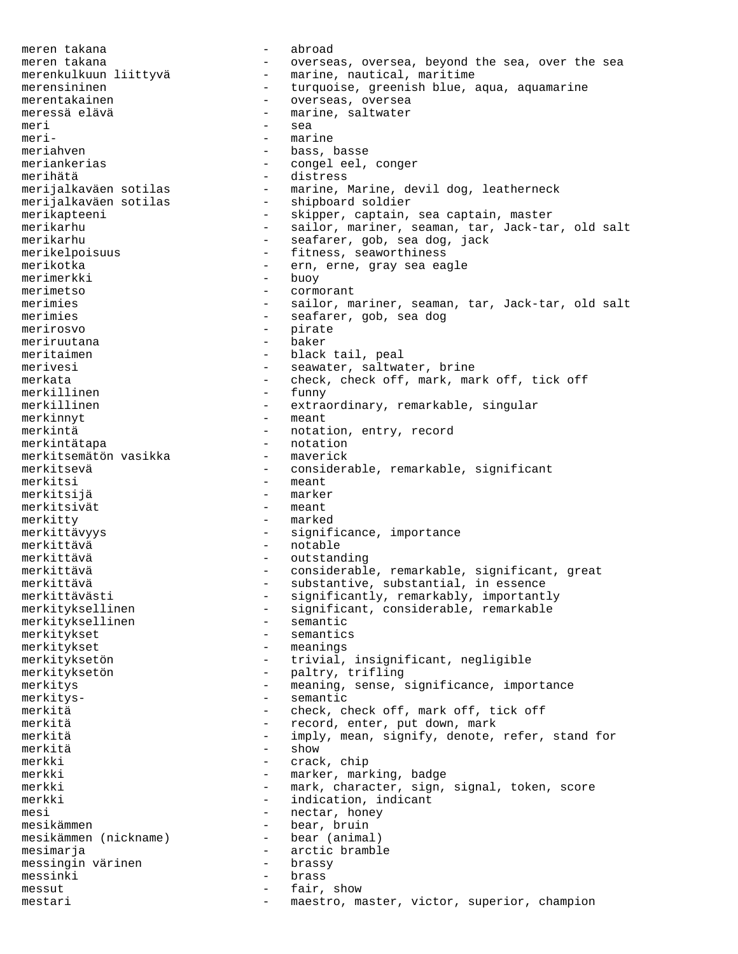meren takana  $\overline{\phantom{a}}$  - abroad meren takana - overseas, oversea, beyond the sea, over the sea<br>merenkulkuun liittyvä - marine, nautical, maritime - marine, nautical, maritime merensininen 1988 - turquoise, greenish blue, aqua, aquamarine merentakainen - overseas, oversea - marine, saltwater meri - sea<br>meri- - mar meri- - marine - bass, basse meriankerias - congel eel, conger<br>merihätä - distress merihätä - distress - marine, Marine, devil dog, leatherneck merijalkaväen sotilas - shipboard soldier merikapteeni - skipper, captain, sea captain, master merikarhu - sailor, mariner, seaman, tar, Jack-tar, old salt merikarhu - seafarer, gob, sea dog, jack merikelpoisuus - fitness, seaworthiness merikotka - ern, erne, gray sea eagle merimerkki - buoy<br>merimetso - cormo merimetso - cormorant merimies - sailor, mariner, seaman, tar, Jack-tar, old salt merimies - seafarer, gob, sea dog<br>merirosyo - pirate - pirate meriruutana - baker meritaimen  $-$  black tail, peal merivesi - seawater, saltwater, brine merkata - check, check off, mark, mark off, tick off<br>merkillinen - funny merkillinen merkillinen - extraordinary, remarkable, singular merkinnyt – meant merkintä - notation, entry, record<br>merkintätapa - - notation - notation - notation merkitsemätön vasikka<br>merkitsevä merkitsemätön vasikka - maverick<br>merkitsevä - considerable, remarkable, significant<br>merkitsi - meant - meant merkitsi - meant<br>merkitsijä - marke: - marker merkitsivät - meant merkitty - marked merkittävyys - significance, importance merkittävä<sup>1</sup> - notable - notable merkittävä - outstanding merkittävä - considerable, remarkable, significant, great merkittävä - substantive, substantial, in essence merkittävästi - significantly, remarkably, importantly<br>merkityksellinen - significant, considerable, remarkable - significant, considerable, remarkable<br>- semantic merkityksellinen<br>merkitykset - semantics merkitykset - meanings merkityksetön - trivial, insignificant, negligible merkityksetön - paltry, trifling merkitys ense, significance, importance merkitys- - semantic - semantic - semantic - semantic - semantic - semantic - semantic - semantic - semantic merkitä - check, check off, mark off, tick off merkitä  $-$  record, enter, put down, mark merkitä - imply, mean, signify, denote, refer, stand for merkitä – show<br>merkki – cracl merkki - crack, chip merkki - marker, marking, badge merkki  $-$  mark, character, sign, signal, token, score merkki - indication, indicant mesi  $-$  nectar, honey mesikämmen  $-$  bear, bruin<br>mesikämmen (nickname) – bear (animal) mesikämmen (nickname) mesimarja - arctic bramble messingin värinen messinki - brass messut - fair, show mestari - maestro, master, victor, superior, champion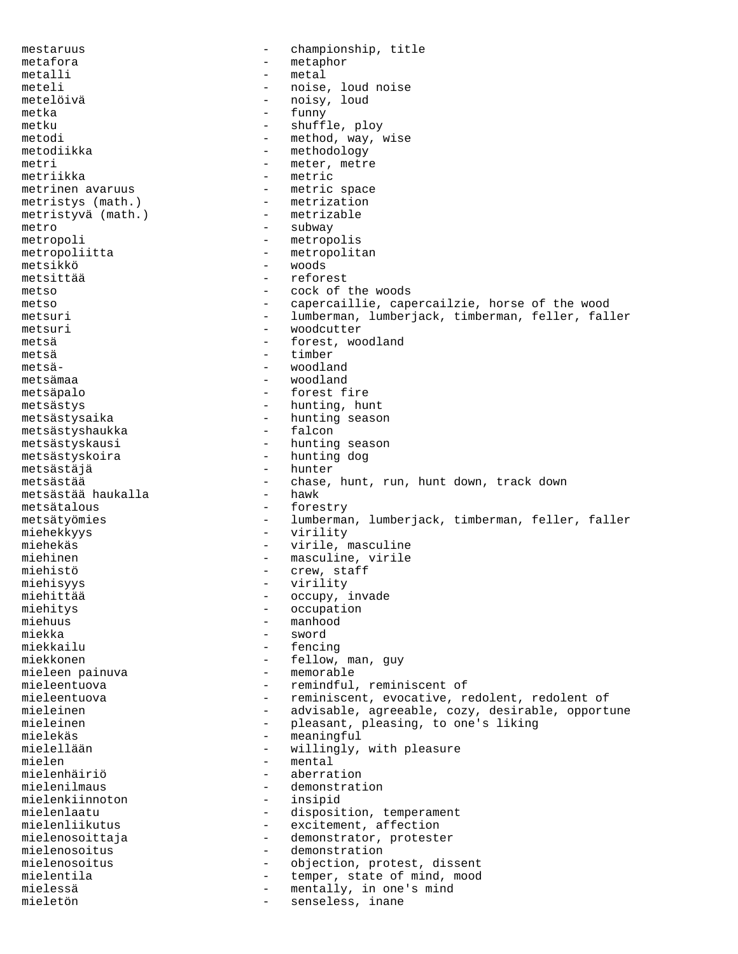mestaruus - championship, title metafora - metaphor<br>metalli - metal metalli - metal meteli - noise, loud noise<br>metelöivä - noisv, loud - noisy, loud metka - funny metku - shuffle, ploy<br>metodi - method.wav. metodi - method, way, wise - methodology metri - meter, metre metriikka - metric metrinen avaruus - metric space<br>metristys (math.) - metrization metristys (math.) - metrization<br>metristyvä (math.) - metrizable metristyvä (math.) metro - subway - subway metropoli - metropolis metropoliitta - metropolitan<br>metsikkö - woods metsikkö - woods metsittää - reforest metso - cock of the woods metso - capercaillie, capercailzie, horse of the wood metsuri - lumberman, lumberjack, timberman, feller, faller<br>metsuri - woodcutter - woodcutter metsä  $-$  forest, woodland metsä - timber metsä- - woodland metsämaa - woodland metsäpalo - forest fire metsästys - hunting, hunt metsästysaika - hunting season metsästvshaukka - hunting season - hunting season - hunting season - hunting season - hunting season - hunting season - hunting season - hunting season - hunting season - hunting season - hun metsästyshaukka metsästyskausi - hunting season metsästyskoira - hunting dog - hunter metsästää - chase, hunt, run, hunt down, track down<br>metsästää haukalla - hawk - hawk metsästää haukalla metsätalous - forestry metsätyömies - lumberman, lumberjack, timberman, feller, faller miehekkyys - virility miehekäs - virile, masculine miehinen - masculine, virile miehistö - crew, staff miehisyys - virility miehittää  $-$  occupy, invade miehitys - occupation<br>miehuus - manhood - manhood miehuus - manhood<br>miekka - manhood - sword - sword miekkailu - fencing miekkonen - fellow, man, guy<br>mieleen painuva - memorable - memorable mieleen painuva mieleentuova <br />
- remindful, reminiscent of mieleentuova - reminiscent, evocative, redolent, redolent of - advisable, agreeable, cozy, desirable, opportune<br>- pleasant, pleasing, to one's liking mieleinen - pleasant, pleasing, to one's liking mielekäs - meaningful mielellään - willingly, with pleasure<br>mielen - mental - mental - mental<br>- aberration mielenhäiriö<br>mielenilmaus - demonstration<br>- insipid mielenkiinnoton mielenlaatu - disposition, temperament mielenliikutus - excitement, affection mielenosoittaja - demonstrator, protester mielenosoitus - demonstration<br>mielenosoitus - objection pro mielenosoitus - objection, protest, dissent mielentila - temper, state of mind, mood<br>mielessä mielessä  $-$  mentally, in one's mind mieletön - senseless, inane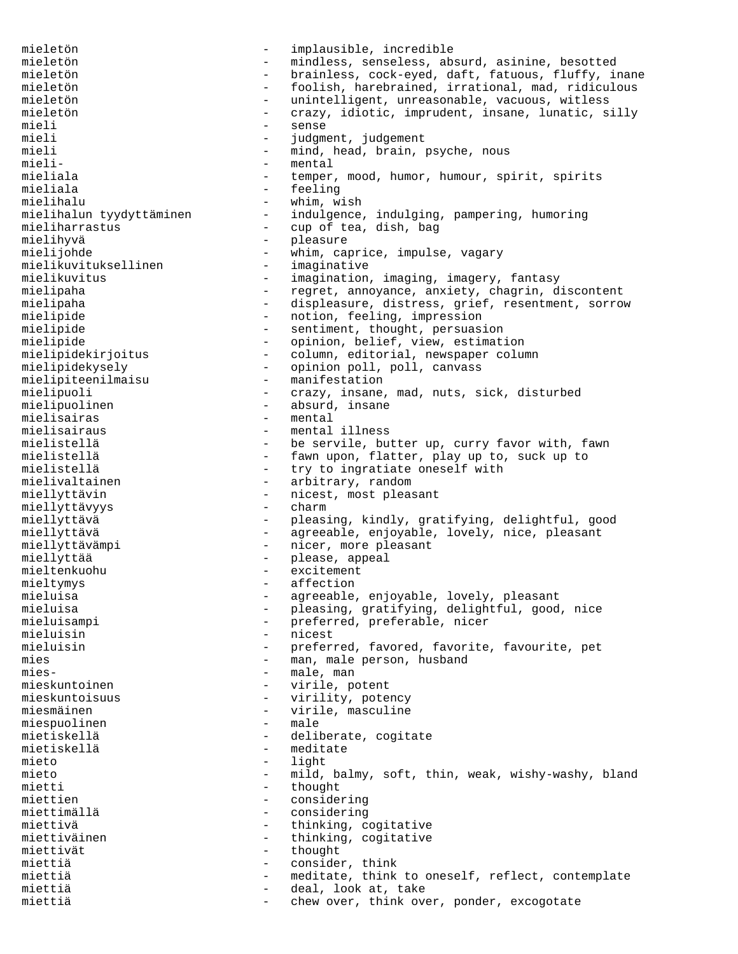mieletön - implausible, incredible mieletön - mindless, senseless, absurd, asinine, besotted mieletön - brainless, cock-eyed, daft, fatuous, fluffy, inane mieletön - foolish, harebrained, irrational, mad, ridiculous mieletön - unintelligent, unreasonable, vacuous, witless mieletön - crazy, idiotic, imprudent, insane, lunatic, silly mieli - sense<br>mieli - sense - sense mieli - judgment, judgement<br>mieli - mind, head, brain, - mind, head, brain, psyche, nous mieli- - mental temper, mood, humor, humour, spirit, spirits mieliala - feeling mielihalu - whim, wish mielihalun tyydyttäminen - indulgence, indulging, pampering, humoring mieliharrastus - cup of tea, dish, bag mielihyvä - pleasure mielijohde - whim, caprice, impulse, vagary<br>mielikuvituksellinen - imaginative mielikuvituksellinen mielikuvitus - imagination, imaging, imagery, fantasy mielipaha - regret, annoyance, anxiety, chagrin, discontent mielipaha - displeasure, distress, grief, resentment, sorrow mielipide - notion, feeling, impression mielipide - sentiment, thought, persuasion mielipide - opinion, belief, view, estimation mielipidekirjoitus - column, editorial, newspaper column mielipidekysely - opinion poll, poll, canvass mielipiteenilmaisu - manifestation mielipuoli - crazy, insane, mad, nuts, sick, disturbed mielipuolinen 1988 - absurd, insane mielisairas - mental mielisairaus - mental illness<br>mielistellä - - - - - - - be servile, but mielistellä - be servile, butter up, curry favor with, fawn<br>mielistellä - fawn upon, flatter, play up to, suck up to mielistellä - fawn upon, flatter, play up to, suck up to<br>mielistellä - try to ingratiate oneself with - try to ingratiate oneself with mielivaltainen - arbitrary, random<br>miellyttävin - nicest, most pleas - nicest, most pleasant<br>- charm miellyttävyys miellyttävä - pleasing, kindly, gratifying, delightful, good miellyttävä - agreeable, enjoyable, lovely, nice, pleasant miellyttävämpi - nicer, more pleasant miellyttää <sup>-</sup> please, appeal<br>mieltenkuohu - excitement mieltenkuohu - excitement mieltymys - affection mieluisa - agreeable, enjoyable, lovely, pleasant mieluisa - pleasing, gratifying, delightful, good, nice<br>mieluisampi mieluisampi - preferred, preferable, nicer mieluisin - nicest mieluisin - preferred, favored, favorite, favourite, pet mies - man, male person, husband mies-<br>
male, man mieskuntoinen - virile, potent mieskuntoisuus - virility, potency<br>miesmäinen - virile masculine miesmäinen - virile, masculine miespuolinen mietiskellä - deliberate, cogitate mietiskellä – mieto – mieto – mieto – mieto – mieto – mieto – mieto – mieto – mieto – mieto – mieto – mieto – m mieto - light<br>mieto - light<br>- mild, mieto - mild, balmy, soft, thin, weak, wishy-washy, bland<br>mietti - thought - thought thought miettien - considering miettimällä - considering<br>miettivä - thinking c - thinking, cogitative miettiväinen 1988 - Thinking, cogitative miettivät - thought<br>miettiä - consider miettiä - consider, think miettiä  $-$  meditate, think to oneself, reflect, contemplate miettiä - deal, look at, take miettiä  $-$  chew over, think over, ponder, excogotate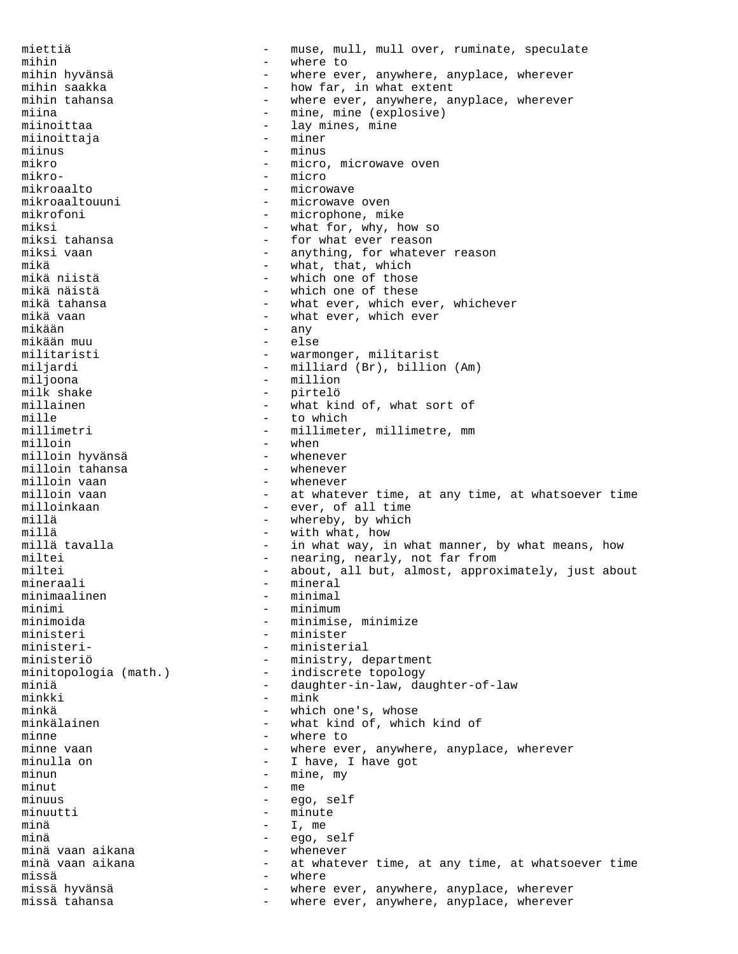miettiä  $-$  muse, mull, mull over, ruminate, speculate mihin  $-$  where to mihin hyvänsä - where ever, anywhere, anyplace, wherever mihin saakka  $-$  how far, in what extent mihin tahansa - where ever, anywhere, anyplace, wherever<br>miina - mine, mine (explosive) miina - mine, mine (explosive)<br>miinoittaa - 1ay mines, mine - lay mines, mine<br>- miner miinoittaja<br>miinus - minus mikro  $-$  micro, microwave oven mikro- - micro mikroaalto - microwave mikroaaltouuni - microwave oven mikrofoni - microphone, mike<br>miksi - what for why h miksi  $\begin{array}{ccc}\n\text{miksi} & - & \text{what for, why, how so} \\
\text{miksi tahansa} & - & \text{for what ever reason}\n\end{array}$ miksi tahansa  $\begin{array}{ccc}\n- & 0 \\
- & 0\n\end{array}$  for what ever reason miksi vaan - anything, for whatever reason mikä - what, that, which mikä niistä - which one of those mikä näistä - which one of these mikä tahansa - what ever, which ever, whichever<br>mikä vaan - what ever, which ever - what ever, which ever mikään - any mikään muu militaristi - warmonger, militarist miljardi - milliard (Br), billion (Am) miljoona - million<br>milk shake - pirtelö milk shake - pirtels and pirture of the pirture of the pirture of the pirture of the pirture of the pirture of<br>
pirture of the pirture of the pirture of the pirture of the pirture of the pirture of the pirture of the pirtu millainen - what kind of, what sort of mille - to which - millimeter, millimetre, mm milloin - when milloin hyvänsä - whenever milloin tahansa<br>milloin vaan milloin vaan - whenever milloin vaan as and the set whatever time, at any time, at whatsoever time milloinkaan as a set of all time milloinkaan - ever, of all time<br>millä - whereby, by which - whereby, by which millä - with what, how - in what way, in what manner, by what means, how miltei - nearing, nearly, not far from<br>miltei - about, all but, almost, approx - about, all but, almost, approximately, just about mineraali - mineral<br>minimaalinen - minimal minimaalinen minimi - minimum minimoida - minimise, minimize<br>ministeri - minister - minister ministeri-<br>
ministeriö<br>
- ministeriö<br>
- ministrv.d - ministry, department minitopologia (math.) - indiscrete topology miniä - daughter-in-law, daughter-of-law minkki – mink<br>minkä – which<br>– which minkä  $-$  which one's, whose minkälainen - what kind of, which kind of minne - where to<br>- where eve minne vaan - where ever, anywhere, anyplace, wherever - I have, I have got minun  $-$  mine, my minut  $-$  me minut - me minuus - ego, self<br>minuutti - minute - minute - minute minä - I, me minä ego, self minä vaan aikana - whenever - at whatever time, at any time, at whatsoever time<br>- where missä - where missä hyvänsä - where ever, anywhere, anyplace, wherever missä tahansa - where ever, anywhere, anyplace, wherever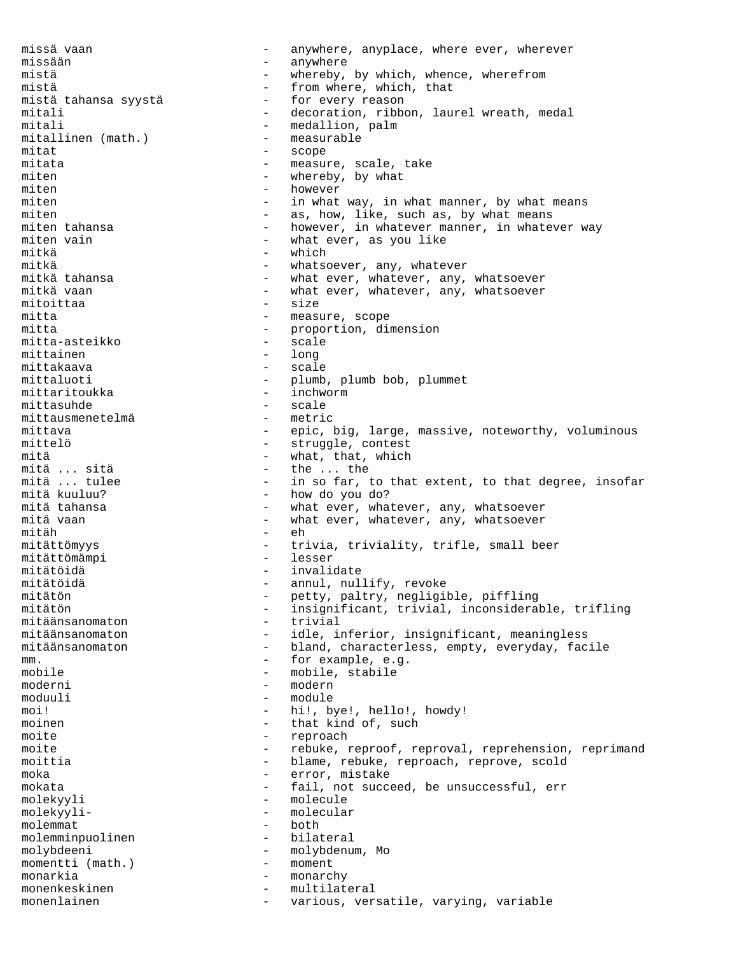missä vaan aan aan aan - anywhere, anyplace, where ever, wherever missään - anywhere<br>mistä - whereby mistä - whereby, by which, whence, wherefrom mistä<br>
mistä tahansa syystä<br>
- for every reason<br>
mistä tahansa syystä mitali - decoration, ribbon, laurel wreath, medal<br>mitali - medallion, palm - medallion, palm<br>- measurable mitallinen (math.) - measurable<br>mitat - scope scope mitata  $\overline{\phantom{a}}$  - measure, scale, take miten - whereby, by what miten  $-$  however miten - in what way, in what manner, by what means miten - as, how, like, such as, by what means miten tahansa  $-$  however, in whatever manner, in whatever way miten vain  $\qquad \qquad -$  what ever, as you like mitkä - which mitkä - whatsoever, any, whatever<br>mitkä tahansa - - what ever, whatever, any, mitkä tahansa - what ever, whatever, any, whatsoever mitkä vaan - what ever, whatever, any, whatsoever mitoittaa - size - measure, scope mitta<br>
mitta-asteikko<br>
- scale<br>
- scale<br>
- scale mitta-asteikko - scale<br>mittainen - long mittainen mittakaava - scale mittaluoti - plumb, plumb bob, plummet mittaritoukka - inchworm mittasuhde mittausmenetelmä – metric<br>mittava – enic mittava - epic, big, large, massive, noteworthy, voluminous mittelö - struggle, contest mitä - what, that, which  $-$  the ... the mitä ... tulee - in so far, to that extent, to that degree, insofar<br>mitä kuuluu? - how do you do? mitä kuuluu? - how do you do? mitä tahansa - what ever, whatever, any, whatsoever - what ever, whatever, any, whatsoever mitäh - eh mitättömyys - trivia, triviality, trifle, small beer mitättömämpi – lesser varantaan varantaan varantaan varantaan varantaan varantaan varantaan varantaan varantaa mitätöidä - invalidate mitätöidä - annul, nullify, revoke - petty, paltry, negligible, piffling<br>- insignificant trivial inconsideral mitätön - insignificant, trivial, inconsiderable, trifling<br>mitäänsanomaton - trivial mitäänsanomaton - trivial mitäänsanomaton - idle, inferior, insignificant, meaningless mitäänsanomaton - bland, characterless, empty, everyday, facile mm.  $-$  for example, e.g. mobile  $\qquad \qquad -$  mobile, stabile moderni - modern moduuli - module moi! - hi!, bye!, hello!, howdy! moinen - that kind of, such moite - reproach moite - rebuke, reproof, reproval, reprehension, reprimand<br>moittia - hlame rebuke reproach reprove scold moittia  $\begin{array}{ccc}\n-\text{blame, rebucket, reproach, reprove, scold} \\
-\text{error} & \text{mistabe}\n\end{array}$ moka - error, mistake mokata  $-$  fail, not succeed, be unsuccessful, err molekyyli - molecule molekyyli- - molecular molemmat - both<br>molemminpuolinen - bilateral molemminpuolinen molybdeeni - molybdenum, Mo momentti (math.) -<br>monarkia monarkia - monarchy<br>monenkeskinen - - multilat monenkeskinen - multilateral monenlainen - various, versatile, varying, variable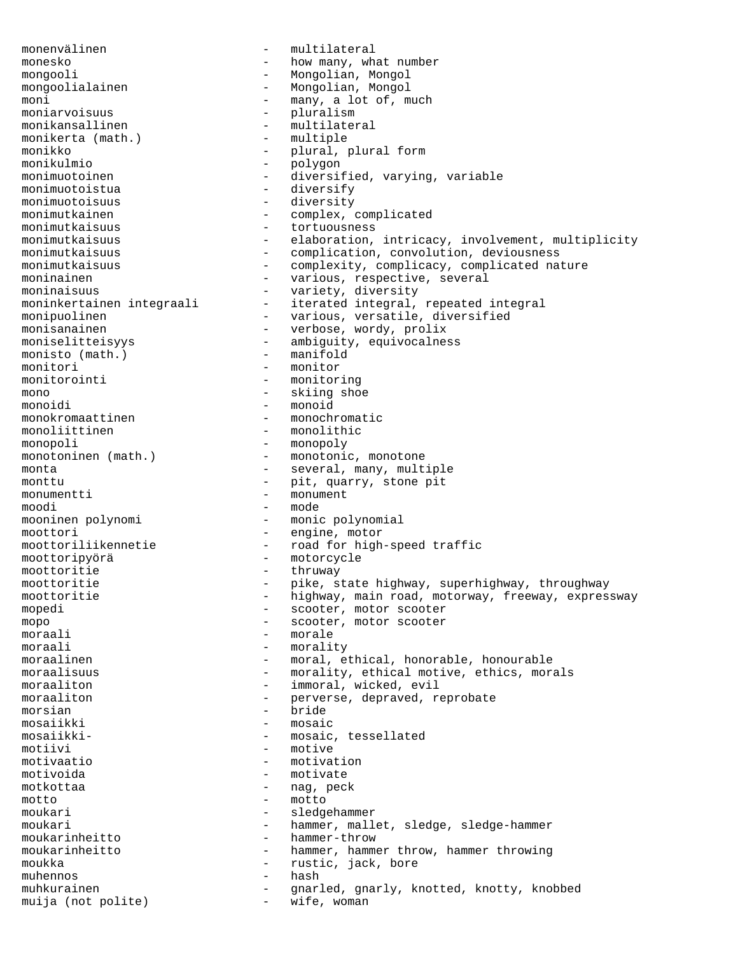monenvälinen - multilateral<br>monesko - how many wh monesko  $-$  how many, what number mongooli - Mongolian, Mongol mongoolialainen - Mongolian, Mongol moni - many, a lot of, much<br>moniarvoisuus - pluralism moniarvoisuus - pluralism<br>monikansallinen - multilate: - multilateral<br>- multiple monikerta (math.)<br>monikko monikko - plural, plural form<br>monikulmio - polygon - polygon monikulmio - polygon - diversified, varying, variable monimuotoistua - diversify monimuotoisuus - diversity monimutkainen 1988 - Complex, complicated monimutkaisuus - tortuousness monimutkaisuus - elaboration, intricacy, involvement, multiplicity monimutkaisuus - complication, convolution, deviousness monimutkaisuus - complexity, complicacy, complicated nature moninainen - various, respective, several<br>moninaisuus - variety, diversity moninaisuus - variety, diversity<br>moninkertainen integraali - iterated integral, - iterated integral, repeated integral monipuolinen - various, versatile, diversified<br>monisanainen - verbose, wordy, prolix - verbose, wordy, prolix moniselitteisyys - ambiguity, equivocalness monisto (math.)<br>monitori - monitor monitorointi - monitoring mono - skiing shoe<br>monoidi - monoidi - monoid - monoid monokromaattinen - monochromatic monoliittinen - monolithic monopoli - monopoly<br>monotoninen (math.) - monotonio - monotonic, monotone monta  $-$  several, many, multiple monttu  $-$  pit, quarry, stone pit monumentti - monument moodi - mode mooninen polynomi - monic polynomial moottori - engine, motor moottoriliikennetie - road for high-speed traffic moottoripyörä - motorcycle moottoritie - thruway moottoritie - pike, state highway, superhighway, throughway moottoritie - highway, main road, motorway, freeway, expressway mopedi - scooter, motor scooter mopo  $\sim$  - scooter, motor scooter moraali - morale moraali - morality moraalinen - moral, ethical, honorable, honourable<br>moraalisuus - morality, ethical motive, ethics, morality - morality, ethical motive, ethics, morals moraaliton - immoral, wicked, evil<br>moraaliton - erverse depraved r moraaliton - perverse, depraved, reprobate morsian - bride mosaiikki - mosaic mosaiikki-  $-$  mosaic, tessellated motiivi - motive<br>motivaatio - motivatio - motivatio - motivation motivoida - motivate motkottaa - nag, peck motto - motto moukari - sledgehammer moukari - hammer, mallet, sledge, sledge-hammer moukarinheitto - hammer-throw moukarinheitto - hammer, hammer throw, hammer throwing moukka - rustic, jack, bore muhennos - hash gnarled, gnarly, knotted, knotty, knobbed muija (not polite) - wife, woman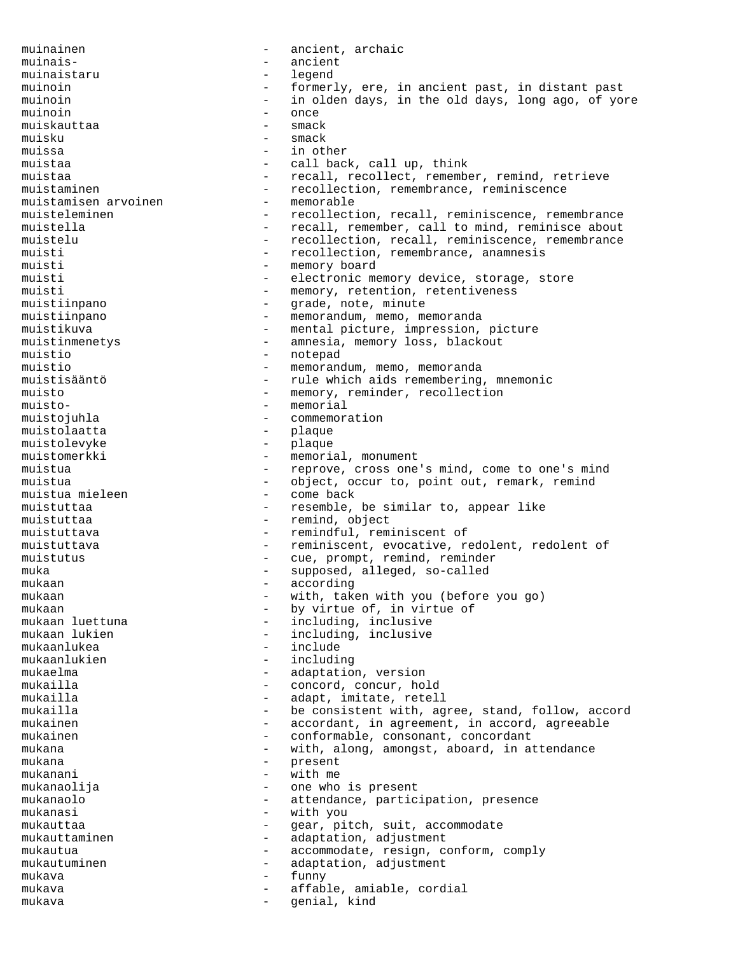muinainen - ancient, archaic muinais- - ancient muinaistaru - legend muinoin **1988** - formerly, ere, in ancient past, in distant past muinoin **1988** - in olden days, in the old days, long ago, of yore muinoin - once muiskauttaa - smack muisku – smack<br>muissa – in ot - in other muistaa - call back, call up, think<br>muistaa - call recollect remember - recall, recollect, remember, remind, retrieve muistaminen - recollection, remembrance, reminiscence<br>muistamisen arvoinen - memorable muistamisen arvoinen muisteleminen - recollection, recall, reminiscence, remembrance muistella  $-$  recall, remember, call to mind, reminisce about muistelu - recollection, recall, reminiscence, remembrance muisti - recollection, remembrance, anamnesis muisti - memory board<br>muisti - electronic me muisti  $-$  electronic memory device, storage, store muisti  $-$  memory, retention, retentiveness muistiinpano - grade, note, minute muistiinpano - memorandum, memo, memoranda muistikuva - mental picture, impression, picture muistinmenetys - amnesia, memory loss, blackout muistio  $-$  notepad muistio - memorandum, memo, memoranda muistisääntö - rule which aids remembering, mnemonic muisto - memory, reminder, recollection muisto-<br>
- memorial muistojuhla - commemoration muistolaatta - plaque muistolevyke - plaque muistomerkki - memorial, monument<br>muistua - reprove, cross one - reprove, cross one's mind, come to one's mind muistua - object, occur to, point out, remark, remind<br>muistua mieleen - come back - come back muistuttaa - resemble, be similar to, appear like muistuttaa  $-$  remind, object muistuttava - remindful, reminiscent of muistuttava - reminiscent of reminiscent of muistuttava - reminiscent of muistuttava - reminiscent, evocative, redolent, redolent of muistutus - cue, prompt, remind, reminder muka - supposed, alleged, so-called mukaan - according<br>mukaan - with take mukaan - with, taken with you (before you go) mukaan  $\begin{array}{ccc}\n\text{mukaan} & - & \text{by virtue of, in virtue of} \\
\text{mukaan luettuna} & - & \text{including, inclusive}\n\end{array}$ mukaan luettuna - including, inclusive<br>mukaan lukien - - including, inclusive - including, inclusive mukaanlukea - include mukaanlukien - including mukaelma - adaptation, version mukailla  $-$  concord, concur, hold mukailla - adapt, imitate, retell mukailla - be consistent with, agree, stand, follow, accord<br>mukainen - accordant, in agreement, in accord, agreeable - accordant, in agreement, in accord, agreeable<br>- conformable consonant concordant mukainen - conformable, consonant, concordant<br>mukana - with along amongst aboard in a mukana  $-$  with, along, amongst, aboard, in attendance mukana mukana - present with me mukanaolija - one who is present mukanaolo - attendance, participation, presence mukanasi - with you<br>mukauttaa - aear pil mukauttaa - gear, pitch, suit, accommodate mukauttaminen en mukauttaminen mukauttaminen mukauttaminen mukauttaminen mukauttaminen mukauttaminen mukauttam mukautua - accommodate, resign, conform, comply<br>mukautuminen - adaptation adjustment mukautuminen - adaptation, adjustment mukava - funny mukava - affable, amiable, cordial mukava  $-$  genial, kind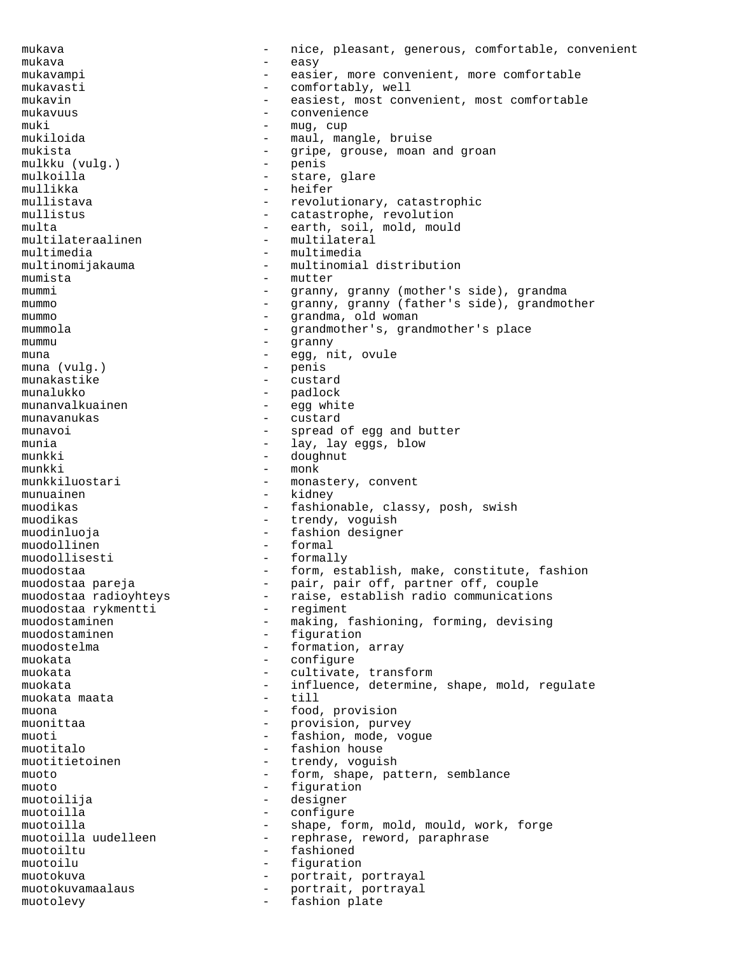mukava - nice, pleasant, generous, comfortable, convenient mukava - easy mukavampi - easier, more convenient, more comfortable mukavasti - comfortably, well mukavin easiest, most convenient, most comfortable mukavuus - convenience muki - mug, cup mukiloida - maul, mangle, bruise<br>mukista - maul, mangle, bruise - gripe, grouse, moan and groan<br>- penis mulkku (vulg.) mulkoilla  $-$  stare, glare mullikka - heifer mullistava - revolutionary, catastrophic mullistus - catastrophe, revolution multa - earth, soil, mold, mould<br>multilateraalinen - multilateral multilateraalinen - multilatera<br>multimedia - multimedia multimedia - multimedia multinomijakauma - multinomial distribution mumista – mutter<br>mummi – mutter<br>- manny mummi - granny, granny (mother's side), grandma mummo - granny, granny (father's side), grandmother mummo - grandma, old woman mummola - grandmother's, grandmother's place mummu - granny muna  $\begin{array}{ccc} \text{mu} & - & \text{egg, nit, ovule} \\ \text{mu} & \text{vula.} \end{array}$  $muna (vula.)$ munakastike - custard munalukko - padlock<br>munanyalkuainen - egg whi munanvalkuainen - egg white munavanukas - custard munavoi - spread of egg and butter munia - lay, lay eggs, blow munkki - doughnut - monk munkkiluostari - monastery, convent munuainen - kidney muodikas - fashionable, classy, posh, swish muodikas  $-$  trendy, voguish muodinluoja - fashion designer muodollinen - formal muodollisesti - formally muodostaa - form, establish, make, constitute, fashion muodostaa pareja - pair, pair off, partner off, couple muodostaa radioyhteys - raise, establish radio communications muodostaa rykmentti - regiment<br>muodostaminen - making, muodostaminen - making, fashioning, forming, devising<br>muodostaminen - figuration - figuration muodostelma - formation, array muokata - configure muokata  $-$  cultivate, transform muokata  $\qquad \qquad - \quad \text{influence, determine, shape, mold, regulate}$ muokata maata  $-$  till muona  $\qquad \qquad -$  food, provision muonittaa  $-$  provision, purvey muoti - fashion, mode, vogue<br>muotitalo - fashion house - fashion house<br>- trendy, yoguis muotitietoinen - trendy, voguish muoto  $-$  form, shape, pattern, semblance muoto - figuration muotoilija - designer muotoilla - configure - shape, form, mold, mould, work, forge muotoilla uudelleen - - rephrase, reword, paraphrase muotoiltu - fashioned muotoilu - figuration muotokuva - portrait, portrayal<br>muotokuvamaalaus - - portrait, portraval muotokuvamaalaus - portrait, portrayal<br>muotolevy muotolevy extended to the fashion plate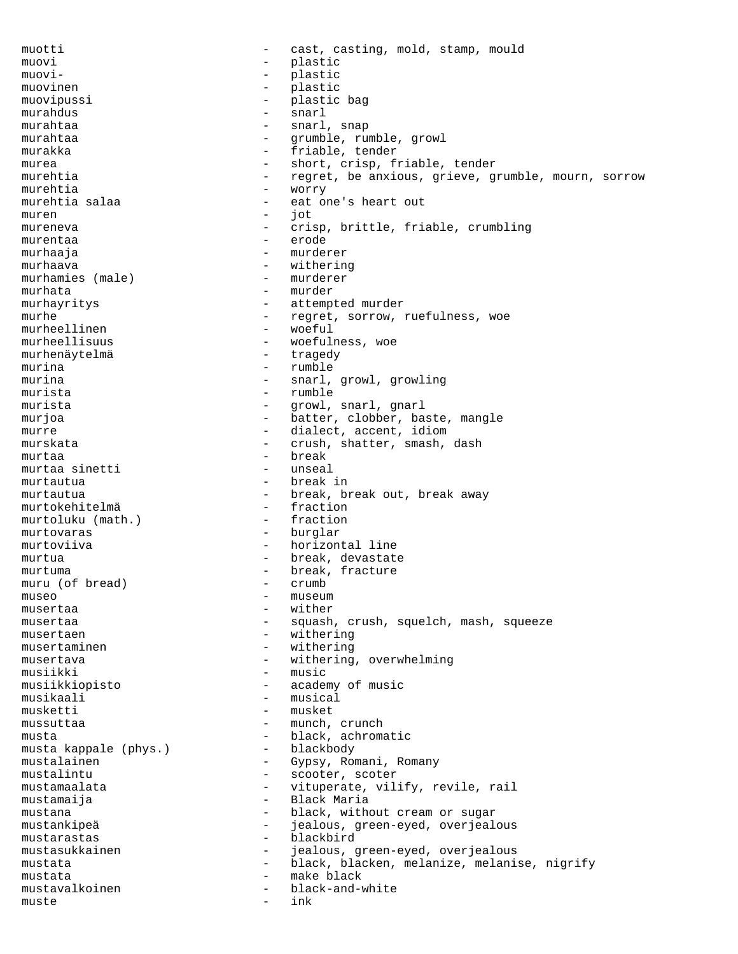muotti - cast, casting, mold, stamp, mould muovi - plastic muovi- - plastic muovinen – plastic<br>muovipussi – plastic muovipussi - plastic bag murahdus - snarl<br>murahtaa - snarl murahtaa  $-$  snarl, snap murahtaa  $\qquad \qquad -$  grumble, rumble, growl murakka - friable, tender murea - short, crisp, friable, tender murehtia - regret, be anxious, grieve, grumble, mourn, sorrow<br>- worry murehtia - worry murehtia salaa - eat one's heart out muren - jot mureneva - crisp, brittle, friable, crumbling murentaa - erode murhaaja - murderer - murderer - murderer - murderer - murderer - murderer - murderer - murderer - murderer murhaava - withering<br>murhamies (male) - murderer murhamies (male) murhata - murder murhayritys  $-$  attempted murder murhe - regret, sorrow, ruefulness, woe murheellinen - woeful - woefulness, woe<br>- traqedy murhenäytelmä murina  $-$  rumble murina  $-$  snarl, growl, growling murista - rumble<br>murista - arowl murista  $-$  growl, snarl, gnarl murjoa - batter, clobber, baste, mangle murre  $\qquad \qquad -$  dialect, accent, idiom murskata - crush, shatter, smash, dash murtaa - break murtaa sinetti murtautua - break in murtautua - break, break out, break away<br>murtokehitelmä - fraction murtokehitelmä - fraction murtoluku (math.) murtovaras - burglar murtoviiva - horizontal line murtua  $-$  break, devastate murtuma - break, fracture<br>muru (of bread) - - crumb muru (of bread)  $\overline{\phantom{a}}$ museo – museum<br>museotaa musertaa - wither musertaa - squash, crush, squelch, mash, squeeze musertaen - withering musertaminen en andere vithering musertava - withering, overwhelming musiikki - music musiikkiopisto - academy of music musikaali - musical musketti – musket mussuttaa - munch, crunch musta  $-$  black, achromatic musta kappale (phys.) - blackbody musta kappale (phys.) mustalainen 1988 - Gypsy, Romani, Romany mustalintu - scooter, scoter<br>mustamaalata - vituperate vil mustamaalata - vituperate, vilify, revile, rail mustamaija - Black Maria mustana - black, without cream or sugar<br>mustankipeä - iealous green-eved overieal mustankipeä - jealous, green-eyed, overjealous mustarastas - blackbird mustasukkainen 1988 - jealous, green-eyed, overjealous mustata  $-$  black, blacken, melanize, melanise, nigrify mustata  $-$  make black mustavalkoinen - black-and-white muste - ink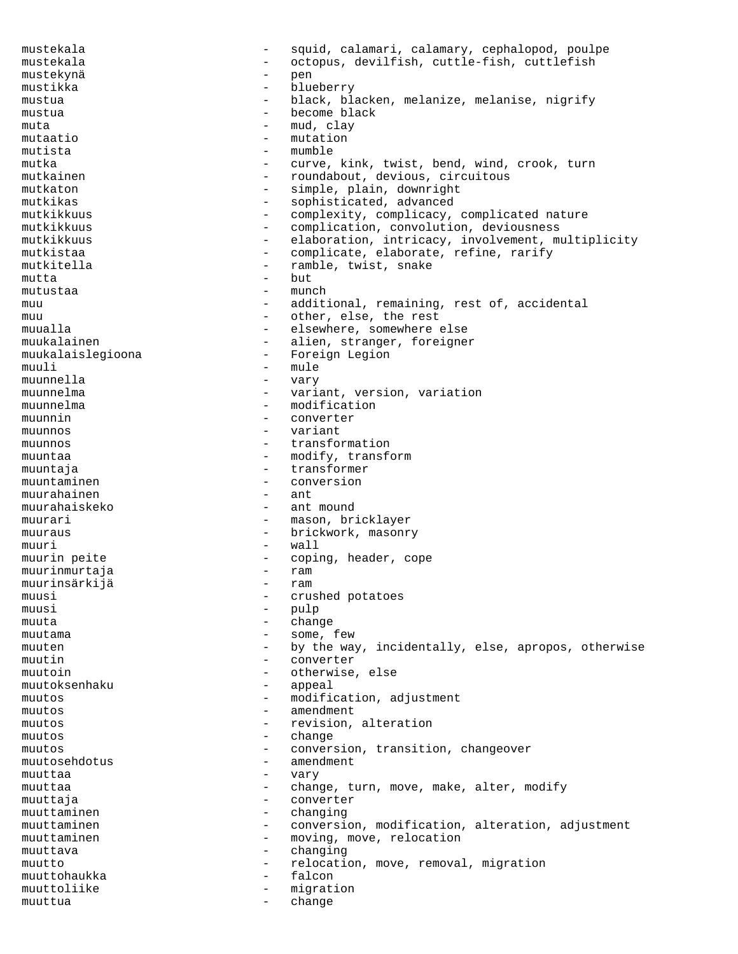mustekala - squid, calamari, calamary, cephalopod, poulpe mustekala - octopus, devilfish, cuttle-fish, cuttlefish mustekynä - pen mustikka - blueberry mustua  $-$  black, blacken, melanize, melanise, nigrify mustua  $-$  become black muta  $-$  mud, clay mutaatio - mutation<br>mutista - mumble mutista – mumble<br>mutka – mumble<br>curve mutka - curve, kink, twist, bend, wind, crook, turn mutkainen - roundabout, devious, circuitous mutkaton - simple, plain, downright mutkikas  $-$  sophisticated, advanced mutkikkuus - complexity, complicacy, complicated nature mutkikkuus - complication, convolution, deviousness mutkikkuus - elaboration, intricacy, involvement, multiplicity mutkistaa - complicate, elaborate, refine, rarify<br>mutkitella - ramble twist snake mutkitella - ramble, twist, snake<br>mutta - but<br>- but mutta - but mutustaa - munch muu  $-$  additional, remaining, rest of, accidental muu  $-$  other, else, the rest muualla - elsewhere, somewhere else muukalainen 1988 - 1988 - alien, stranger, foreigner muukalaislegioona - Foreign Legion<br>muuli - mule muuli - mule muunnella - vary muunnelma - variant, version, variation muunnelma - modification muunnin - converter muunnos - variant - variant - variant - variant - variant - variant - variant - variant - variant - variant - variant - variant - variant - variant - variant - variant - variant - variant - variant - variant - variant - va muunnos est est est est en extransformation muuntaa - modify, transform<br>muuntaia - transformar muuntaja - transformer muuntaminen - conversion<br>muurahainen - ant muurahainen muurahaiskeko - ant mound muurari - mason, bricklayer muuraus - brickwork, masonry muuri - wall muurin peite - coping, header, cope muurinmurtaia - coping, header, cope muurinmurtaja  $-$  rammurtaja  $$ muurinsärkijä - ram muusi - crushed potatoes muusi - pulp<br>muuta - chan muuta - change muutama - some, few muuten - by the way, incidentally, else, apropos, otherwise muutin - converter<br>muutoin - cherwise muutoin - otherwise, else muutoksenhaku - appeal muutos - modification, adjustment<br>
- amendment<br>
- amendment muutos - amendment muutos - revision, alteration muutos - change muutos - conversion, transition, changeover muutosehdotus - amendment muuttaa - vary muuttaa - change, turn, move, make, alter, modify<br>
- converter muuttaja este entre entre termine entre entre entre entre entre entre entre entre entre entre entre entre entre e muuttaminen esimessä suurimaan valtaminen valtaminen valtaminen valtaminen valtaminen valtaminen valtaminen va muuttaminen - conversion, modification, alteration, adjustment<br>muuttaminen - moving move relocation muuttaminen - moving, move, relocation muuttava - changing muutto  $-$  relocation, move, removal, migration muuttohaukka - falcon muuttoliike - migration muuttua - change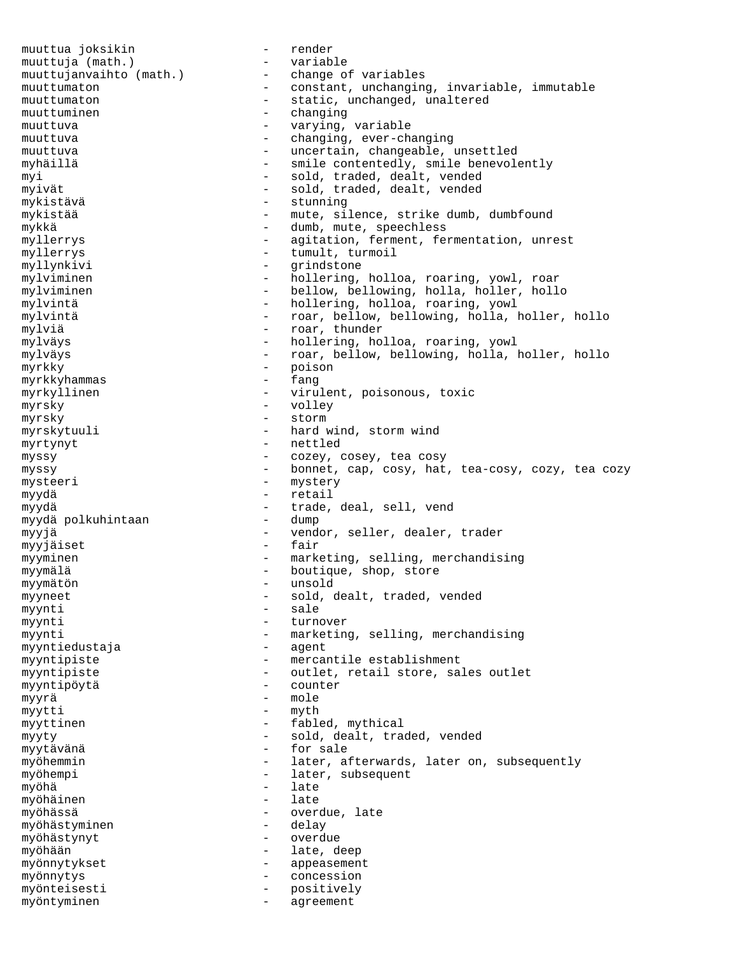muuttua joksikin - render muuttuja (math.) - variable  $mu$ uttujanvaihto (math.) muuttumaton - constant, unchanging, invariable, immutable muuttumaton - static, unchanged, unaltered muuttuminen - changing muuttuva - varying, variable muuttuva - changing, ever-changing muuttuva - uncertain, changeable, unsettled myhäillä - smile contentedly, smile benevolently myi - sold, traded, dealt, vended myivät - sold, traded, dealt, vended mykistävä - stunning mykistää - mute, silence, strike dumb, dumbfound mykkä - dumb, mute, speechless myllerrys - agitation, ferment, fermentation, unrest myllerrys - tumult, turmoil myllynkivi - grindstone mylviminen - hollering, holloa, roaring, yowl, roar mylviminen - bellow, bellowing, holla, holler, hollo mylvintä - hollering, holloa, roaring, yowl mylvintä - roar, bellow, bellowing, holla, holler, hollo mylviä - roar, thunder mylväys - hollering, holloa, roaring, yowl mylväys - roar, bellow, bellowing, holla, holler, hollo myrkky - poison myrkkyhammas - fang<br>myrkvllinen - viru myrkyllinen - virulent, poisonous, toxic myrsky - volley myrsky - storm myrskytuuli - hard wind, storm wind myrtynyt - nettled myssy - cozey, cosey, tea cosy myssy - bonnet, cap, cosy, hat, tea-cosy, cozy, tea cozy mysteeri - mystery myydä - retail myydä - trade, deal, sell, vend<br>mvvdä polkuhintaan - dump - dump myydä polkuhintaan myyjä - vendor, seller, dealer, trader myyjäiset – fair myyminen - marketing, selling, merchandising myymälä  $-$  boutique, shop, store myymätön - unsold myyneet - sold, dealt, traded, vended myynti - sale myynti - turnover myynti - marketing, selling, merchandising<br>mvvntiedustaia - agent - agent myyntiedustaja myyntipiste - mercantile establishment myyntipiste  $-$  outlet, retail store, sales outlet myyntipöytä - counter myyrä - mole myytti - myth myyttinen - fabled, mythical myyty - sold, dealt, traded, vended myytävänä - for sale myöhemmin - later, afterwards, later on, subsequently myöhempi - later, subsequent myöhä - later, subsequent - later - later - later - later - later - later - later - later - later - later - later - later - later - later - later - later - later - later - later - later - later - late<br>- late myöhäinen myöhässä - overdue, late myöhästyminen myöhästynyt - overdue myöhään - late, deep myönnytykset - appeasement myönnytys - concession myönteisesti - positively<br>myöntyminen - agreement myöntyminen - agreement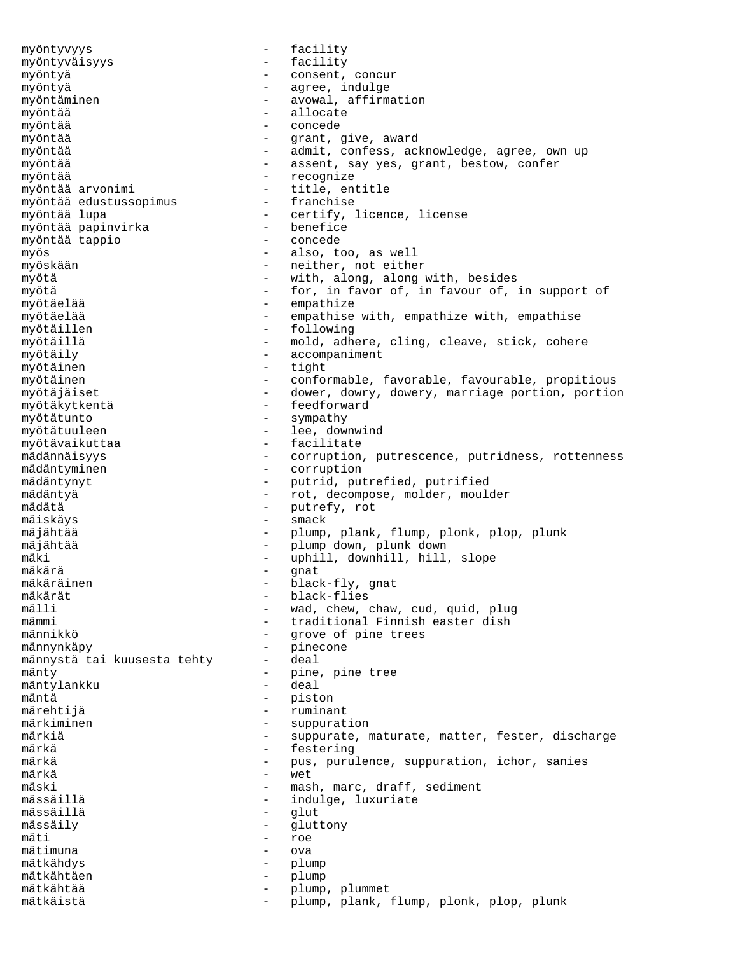myöntyvyys - facility myöntyväisyys - facility myöntyä - consent, concur myöntyä  $-$  agree, indulge myöntäminen  $-$  avowal, affirmation myöntää  $-$  allocate myöntää - concede myöntää - grant, give, award myöntää  $-$  admit, confess, acknowledge, agree, own up myöntää  $-$  assent, say yes, grant, bestow, confer myöntää - recognize myöntää arvonimi title, entitles arvonimus franchise myöntää edustussopimus myöntää lupa - certify, licence, license<br>mvöntää papinvirka - - benefice myöntää papinvirka - benefice myöntää tappio myös - also, too, as well myöskään - neither, not either myötä  $-$  with, along, along with, besides myötä - for, in favor of, in favour of, in support of myötäelää - empathize<br>myötäelää - empathise myötäelää - empathise with, empathize with, empathise myötäillen - following myötäillä - mold, adhere, cling, cleave, stick, cohere myötäily - accompaniment myötäinen myötäinen - conformable, favorable, favourable, propitious myötäjäiset  $-$  dower, dowry, dowery, marriage portion, portion myötäkytkentä<br>myötäkytkentä - feedforward<br>- sympathy myötätunto - sympathy myötätuuleen - lee, downwind myötävaikuttaa - facilitate mädännäisyys - corruption, putrescence, putridness, rottenness mädäntyminen - corruption mädäntynyt - putrid, putrefied, putrified mädäntyä - rot, decompose, molder, moulder mädätä  $-$  putrefy, rot mäiskäys - smack mäjähtää - plump, plank, flump, plonk, plop, plunk mäjähtää - plump down, plunk down mäki - uphill, downhill, hill, slope mäkärä - gnat mäkäräinen 1988 - black-fly, gnat mäkärät - black-flies mälli - wad, chew, chaw, cud, quid, plug<br>- traditional Finnish easter dish mämmi - traditional Finnish easter dish<br>männikkö - 9 - 9rove of pine trees - grove of pine trees männynkäpy - pinecone männystä tai kuusesta tehty mänty  $-$  pine, pine tree mäntylankku - deal mäntä - piston märehtijä - ruminant märkiminen - suppuration märkiä - suppurate, maturate, matter, fester, discharge - suppurate, maturate, matter, fester, discharge märkä - festering märkä - pus, purulence, suppuration, ichor, sanies<br>märkä - wet - wet märkä - wet mäski - mash, marc, draff, sediment mässäillä - indulge, luxuriate mässäillä<br>mässäily - gluttony<br>- roe mäti - roe mätimuna - ova mätkähdys - plump mätkähtäen - plump mätkähtää  $-$  plump, plummet mätkäistä - plump, plank, flump, plonk, plop, plunk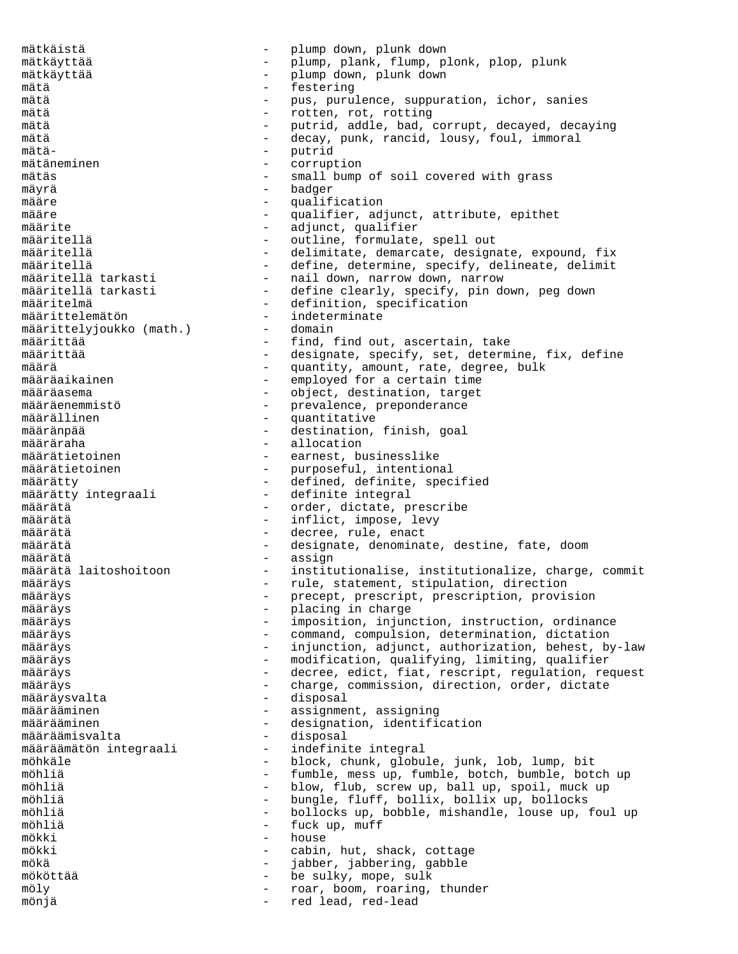mätkäistä - plump down, plunk down mätkäyttää - plump, plank, flump, plonk, plop, plunk<br>mätkäyttää - - plump down, plunk down mätkäyttää  $\qquad \qquad -$  plump down, plunk down mätä estering - festering mätä - pus, purulence, suppuration, ichor, sanies mätä - rotten, rot, rotting mätä - putrid, addle, bad, corrupt, decayed, decaying<br>mätä - - - - - - - decay, punk, rancid, lousy, foul, immoral mätä - decay, punk, rancid, lousy, foul, immoral<br>mätä- - - - - - - - - - - - - putrid - putrid mätäneminen - corruption mätäs - small bump of soil covered with grass mäyrä - badger - qualification<br>- qualifier, ad<sup>-</sup> määre 1988 – qualifier, adjunct, attribute, epithet määrite - adjunct, qualifier määritellä  $-$  outline, formulate, spell out määritellä - delimitate, demarcate, designate, expound, fix<br>- define, determine, specify, delineate, delimit määritellä - define, determine, specify, delineate, delimit<br>määritellä tarkasti - nail down, narrow down, narrow määritellä tarkasti - nail down, narrow down, narrow määritellä tarkasti - define clearly, specify, pin down, peg down määritelmä - definition, specification<br>määrittelemätön - indeterminate - indeterminate<br>- domain määrittelyjoukko (math.) määrittää - find, find out, ascertain, take määrittää - designate, specify, set, determine, fix, define - quantity, amount, rate, degree, bulk määräaikainen - employed for a certain time määräasema - object, destination, target määräenemmistö - prevalence, preponderance määrällinen - quantitative määränpää - destination, finish, goal määräraha - allocation määrätietoinen - earnest, businesslike<br>määrätietoinen - - purposeful, intention - purposeful, intentional määrätty<br>määrätty integraali - defined, definite, specified<br>- definite integral - definite integral määrätä  $\qquad \qquad - \qquad \text{order, dictate, prescribe}$ määrätä  $-$  inflict, impose, levy määrätä - decree, rule, enact määrätä - designate, denominate, destine, fate, doom määrätä - assign - institutionalise, institutionalize, charge, commit määräys - rule, statement, stipulation, direction määräys - precept, prescript, prescription, provision määräys - placing in charge määräys - imposition, injunction, instruction, ordinance määräys - command, compulsion, determination, dictation määräys - injunction, adjunct, authorization, behest, by-law määräys - modification, qualifying, limiting, qualifier määräys - decree, edict, fiat, rescript, regulation, request määräys - charge, commission, direction, order, dictate määräysvalta - disposal määrääminen 1988 voittaa vallanut valmaa valmaa valmaa valmaa valmaa valmaa valmaa valmaa valmaa valmaa valmaa määrääminen - designation, identification<br>määräämisvalta - - disposal määräämisvalta<br>määräämätön integraali indefinite integral määräämätön integraali möhkäle - block, chunk, globule, junk, lob, lump, bit möhliä - fumble, mess up, fumble, botch, bumble, botch up<br>möhliä - - blow, flub, screw up, ball up, spoil, muck up möhliä - blow, flub, screw up, ball up, spoil, muck up möhliä - bungle, fluff, bollix, bollix up, bollocks - bollocks up, bobble, mishandle, louse up, foul up möhliä  $\overline{\phantom{a}}$  - fuck up, muff  $\overline{\phantom{a}}$  - fuck up, muff  $\overline{\phantom{a}}$ mökki - house mökki - cabin, hut, shack, cottage mökä - jabber, jabbering, gabble mököttää - be sulky, mope, sulk möly - roar, boom, roaring, thunder mönjä - red lead, red-lead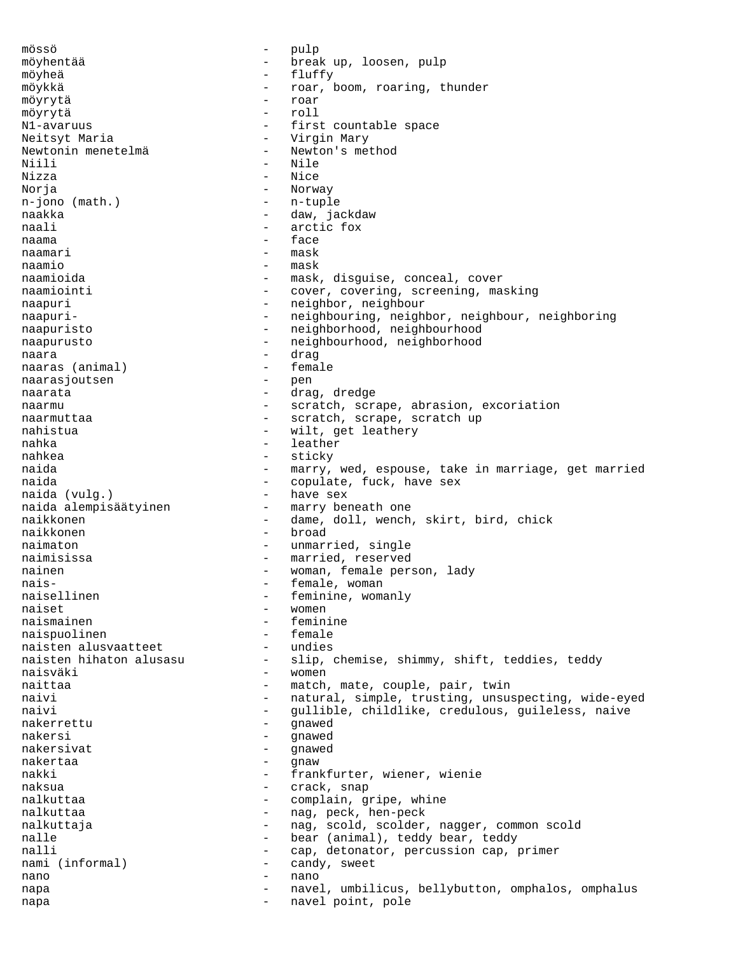mössö - pulp möyhentää  $\qquad \qquad - \qquad$  break up, loosen, pulp möyheä - fluffy möykkä  $-$  roar, boom, roaring, thunder möyrytä - roar möyrytä N1-avaruus - first countable space Neitsyt Maria - Virgin Mary Newtonin menetelmä - Newton's method Niili - Nile<br>Nizza - Nice Nizza - Nice Norja - Norway  $n$ -jono (math.) naakka - daw, jackdaw naali - arctic fox naama - face<br>naamari - mask naamari naamio - mask naamioida - mask, disguise, conceal, cover naamiointi - cover, covering, screening, masking naapuri - neighbor, neighbour<br>naapuri- - - - - - - - - - - - - - neighbouring, neighl - neighbouring, neighbor, neighbour, neighboring naapuristo - neighborhood, neighbourhood naapurusto - neighbourhood, neighborhood naara - drag naaras (animal) - femantas (animal) - femantas (animal) - femantas (animal) - femantas (animal) - femantas (animal) - femantas (animal) - femantas (animal) - femantas (animal) - femantas (animal) - femantas (animal) - fema naarasjoutsen - pensionale pensionale pensionale pensionale pensionale pensionale pensionale per substitution <br>Pensionale pensionale per substitution de la pensionale per substitution de la per substitution de la per subst naarata - drag, dredge naarmu - scratch, scrape, abrasion, excoriation<br>
- scratch, scrape, scratch up - scratch, scrape, scratch up<br>- wilt get leathery nahistua - wilt, get leathery<br>
nahka nahka - leather<br>nahkea - leather<br>- sticky nahkea - sticky<br>naida - marry - marry, wed, espouse, take in marriage, get married naida - copulate, fuck, have sex - have sex<br>- marry beneath one naida alempisäätyinen naikkonen 1988 - dame, doll, wench, skirt, bird, chick naikkonen 1988 – broad naimaton  $-$  unmarried, single naimisissa  $-$  married, reserved nainen 1980 - Woman, female person, lady nais- - female, woman - feminine, womanly naiset - women - feminine<br>- female naispuolinen - female naisten alusvaatteet<br>naisten hihaton alusasu naisten hihaton alusasu - slip, chemise, shimmy, shift, teddies, teddy<br>naisväki<br>- women - women naittaa - match, mate, couple, pair, twin naivi - natural, simple, trusting, unsuspecting, wide-eyed<br>
- qullible childlike credulous quileless naive naivi - gullible, childlike, credulous, guileless, naive<br>
- gnawed nakerrettu - gnawed<br>nakersi - gnawed nakersi - gnawed nakersivat - gnawed<br>nakertaa nakertaa - gnaw nakki - frankfurter, wiener, wienie<br>
- crack snap<br>
- crack snap - crack, snap nalkuttaa  $-$  complain, gripe, whine nalkuttaa - nag, peck, hen-peck<br>nalkuttaja - nag, scold, scolder - nag, scold, scolder, nagger, common scold nalle  $-$  bear (animal), teddy bear, teddy nalli  $\qquad \qquad -$  cap, detonator, percussion cap, primer nami (informal)  $-$  candy, sweet nano - nano napa - navel, umbilicus, bellybutton, omphalos, omphalus napa - navel point, pole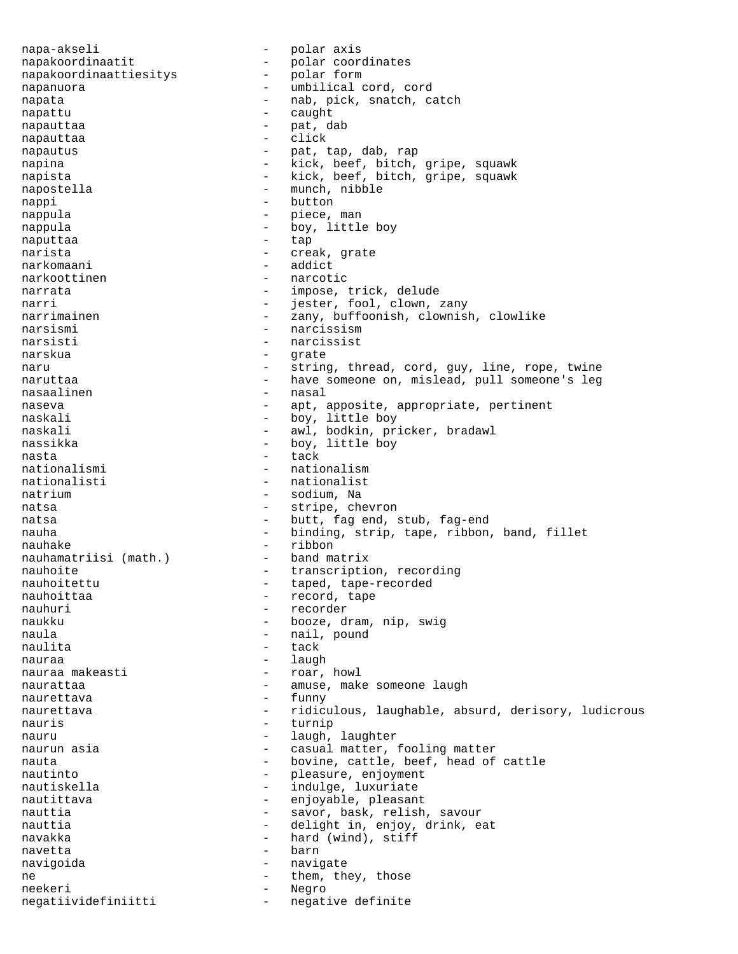napa-akseli - polar axis napakoordinaatit - polar coordinates napakoordinaattiesitys napakoordinaattiesitys - polar form<br>napanuora - umbilical cord, cord napata - nab, pick, snatch, catch napattu - caught - pat, dab napauttaa - click napautus - pat, tap, dab, rap napina - kick, beef, bitch, gripe, squawk napista - kick, beef, bitch, gripe, squawk napostella - munch, nibble nappi - button<br>nappula - hiere - hiere nappula  $-$  piece, man nappula - boy, little boy naputtaa - tap narista  $-$  creak, grate narkomaani - addict narkoottinen - narcotic narrata - impose, trick, delude narri - jester, fool, clown, zany<br>
narrimainen - zany, buffoonish, clownisl - zany, buffoonish, clownish, clowlike narsismi - narcissism narsisti - narcissist narskua - grate naru - string, thread, cord, guy, line, rope, twine naruttaa - have someone on, mislead, pull someone's leg nasaalinen - nasal - nasal - nasal - nasal - nasal - nasal - nasal - nasal - nasal - nasal - nasal - nasal - na naseva - apt, apposite, appropriate, pertinent naskali - boy, little boy naskali  $-$  awl, bodkin, pricker, bradawl nassikka - boy, little boy nasta - tack nationalismi<br>
nationalisti<br>
- nationalisti<br>
- nationalist - nationalist natrium - sodium, Na natsa  $-$  stripe, chevron natsa  $-$  butt, fag end, stub, fag-end nauha - binding, strip, tape, ribbon, band, fillet nauhake - ribbon<br>nauhamatriisi (math.) - band matrix nauhamatriisi (math.) nauhoite - transcription, recording nauhoitettu  $-$  taped, tape-recorded nauhoittaa - record, tape nauhuri - recorder<br>naukku - hooze di naukku - booze, dram, nip, swig<br>naula naula - nail, pound - tack nauraa - laugh - laugh nauraa makeasti  $-$  roar, howl naurattaa - amuse, make someone laugh naurettava - funny naurettava - ridiculous, laughable, absurd, derisory, ludicrous nauris - turnip nauru - laugh, laughter naurun asia  $\overline{\phantom{a}}$  - casual matter, fooling matter nauta - bovine, cattle, beef, head of cattle nautinto - pleasure, enjoyment<br>nautiskella - - - - - - - - - indulge, luxuriate - indulge, luxuriate nautittava  $-$  enjoyable, pleasant nauttia  $-$  savor, bask, relish, savour nauttia  $-$  delight in, enjoy, drink, eat navakka - hard (wind), stiff navetta - barn navigoida - navigate ne and the state of them, they, those them, they, those neekeri - Negro negatiividefiniitti - negative definite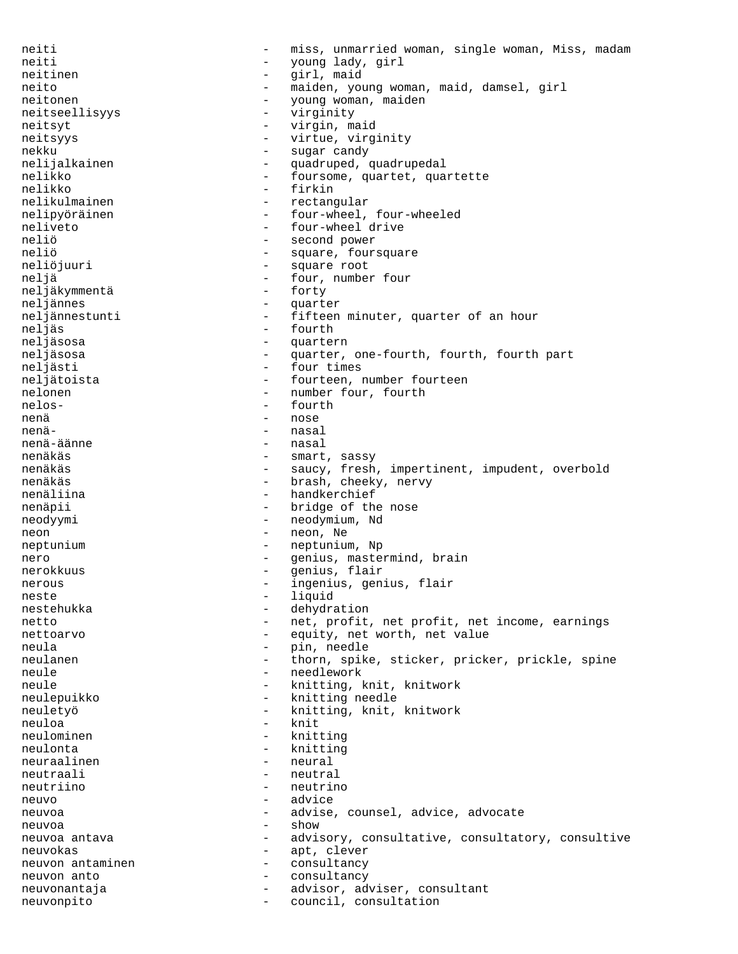neiti - miss, unmarried woman, single woman, Miss, madam neiti - young lady, girl<br>neitinen - airl maid neitinen 1988 - girl, maid neito - maiden, young woman, maid, damsel, girl neitonen - young woman, maiden neitseellisyys - virginity<br>neitsyt - virgin ma neitsyt - virgin, maid<br>neitsyks neitsyys extended to the virtue, virginity nekku - sugar candy nelijalkainen - quadruped, quadrupedal<br>nelikko - foursome quartet qua nelikko - foursome, quartet, quartette<br>
- firkin<br>
- firkin - firkin nelikulmainen eta erroria eta erroria eta erroria eta erroria eta erroria eta erroria eta erroria eta erroria nelipyöräinen - four-wheel, four-wheeled neliveto - four-wheel drive neliö  $-$  second power neliö  $-$  square, foursquare neliöjuuri - square root neljä - four, number four<br>neljäkymmentä - forty - forty neljäkymmentä - forty neljännes<br>neljännestunti - fifteen minuter, quarter of an hour neljäs - fourth - quartern neljäsosa - quarter, one-fourth, fourth, fourth part neljästi - four times neljätoista  $-$  fourteen, number fourteen nelonen - number four, fourth nelos- - fourth nenä - nose nenä- - nasal nenä-äänne nenäkäs - smart, sassy - saucy, fresh, impertinent, impudent, overbold nenäkäs - brash, cheeky, nervy nenäliina - handkerchief nenäpii - bridge of the nose neodyymi - neodymium, Nd neon - neon, Ne neptunium - neptunium, Np<br>
nero - qenius maste nero - genius, mastermind, brain<br>
- genius<br>
- genius<br>
flair nerokkuus - genius, flair nerous - ingenius, genius, flair<br>neste - liquid neste - liquid nestehukka - dehydration netto - net, profit, net profit, net income, earnings nettoarvo - equity, net worth, net value neula - pin, needle neulanen - thorn, spike, sticker, pricker, prickle, spine neule - needlework neule - knitting, knit, knitwork neulepuikko - knitting needle neuletyö - knitting, knit, knitwork neuloa - knit neulominen - knitting<br>neulonta - knitting neulonta - knitting neuraalinen neutraali - neutral neutriino - neutrino neuvo - advice neuvoa - advise, counsel, advice, advocate neuvoa - show neuvoa antava - advisory, consultative, consultatory, consultive neuvokas - apt, clever<br>neuvon antaminen - consultancy neuvon antaminen - consultancy neuvon anto  $\sim$  - consultancy neuvonantaja - advisor, adviser, consultant neuvonpito - council, consultation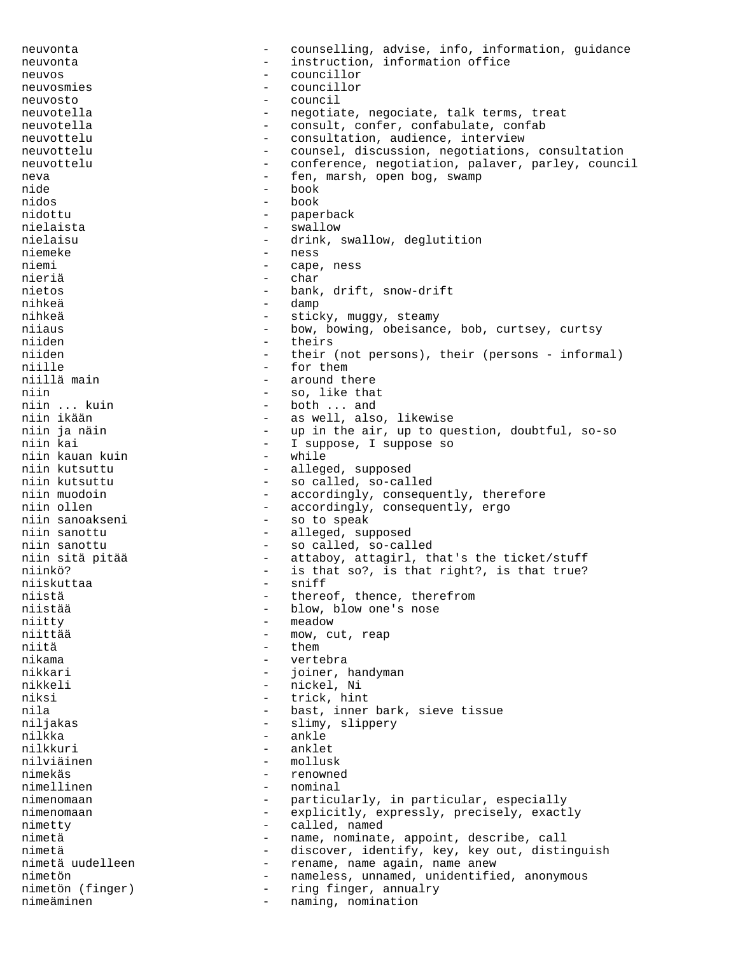neuvonta - counselling, advise, info, information, guidance neuvonta  $\begin{array}{ccc}\n-\text{instruction, information of} & \text{of} & \text{of} & \text{of} & \text{of} & \text{of} & \text{of} & \text{of} & \text{of} & \text{of} & \text{of} & \text{of} & \text{of} & \text{of} & \text{of} & \text{of} & \text{of} & \text{of} & \text{of} & \text{of} & \text{of} & \text{of} & \text{of} & \text{of} & \text{of} & \text{of} & \text{of} & \text{of} & \text{of} & \text{of} & \text{of} & \text{of} & \text{of} & \text$ neuvos - councillor neuvosmies - councillor neuvosto - council neuvotella - negotiate, negociate, talk terms, treat neuvotella - consult, confer, confabulate, confab neuvottelu - consultation, audience, interview neuvottelu - counsel, discussion, negotiations, consultation neuvottelu - conference, negotiation, palaver, parley, council neva - fen, marsh, open bog, swamp nide - book hook nidottu - paperback nielaista - swallow nielaisu - drink, swallow, deglutition niemeke – ness<br>niemi – cape niemi - cape, ness<br>nieriä - char - char nieriä - char nietos - bank, drift, snow-drift<br>
- damp<br>
- damp nihkeä – damp<br>nihkeä – tiol - sticky, muggy, steamy niiaus - bow, bowing, obeisance, bob, curtsey, curtsy<br>
- theirs niiden - theirs<br>niiden - their niiden - their (not persons), their (persons - informal)<br>niille - for them - for them niillä main annound there example the model of the main state of the main state of the main state of the main niin - so, like that niin ... kuin - both ... and niin ikään - as well, also, likewise<br>niin ja näin - - - - - - - up in the air, up to qu niin ja näin - up in the air, up to question, doubtful, so-so<br>niin kai - I suppose, I suppose so - I suppose, I suppose so<br>- while niin kauan kuin<br>niin kutsuttu niin kutsuttu - alleged, supposed niin kutsuttu - so called, so-called<br>niin muodoin - accordingly consequent niin muodoin  $\begin{array}{ccc}\n - & \text{accordingly, consequently, therefore} \\
 - & \text{accordingly, consequently, error}\n\end{array}$ niin ollen - accordingly, consequently, ergo<br>
niin sanoakseni - so to speak - so to speak niin sanottu alleged, supposed niin sanottu - so called, so-called niin sitä pitää - attaboy, attagirl, that's the ticket/stuff<br>niinkö? - is that so?, is that right?, is that true? niinkö? - is that so?, is that right?, is that true? niiskuttaa - sniff niistä - thereof, thence, therefrom<br>niistää - - - - - - - - - - - blow, blow one's nose niistää - blow, blow one's nose<br>niitty - meadow - meadow niitty - meadow - mow, cut, reap niitä - them nikama - vertebra nikkari  $-$  joiner, handyman nikkeli - nickel, Ni<br>niksi - nickel, Ni niksi - trick, hint nila - bast, inner bark, sieve tissue niljakas - slimy, slippery - ankle<br>- anklet nilkkuri - anklet nilviäinen<br>nimekäs nimekäs - renowned - nominal nimenomaan - particularly, in particular, especially nimenomaan - explicitly, expressly, precisely, exactly<br>nimetty - called, named - called, named nimetä - name, nominate, appoint, describe, call nimetä - discover, identify, key, key out, distinguish<br>nimetä uudelleen - rename, name again, name anew - rename, name again, name anew nimetön - nameless, unnamed, unidentified, anonymous<br>nimetön (finger) - ring finger, annualry - ring finger, annualry<br>- naming nomination nimeäminen - naming, nomination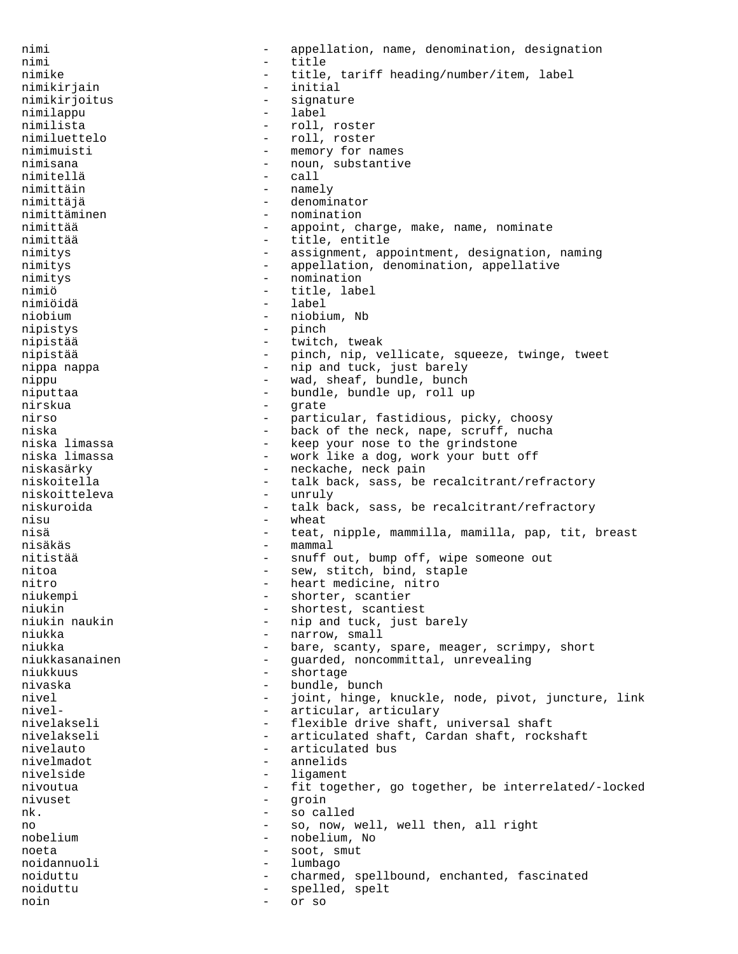nimi - appellation, name, denomination, designation nimi - title nimike  $-$  title, tariff heading/number/item, label nimikirjain - initial<br>nimikirjoitus - signature nimikirjoitus - signature - signature - signature - signature - signature - signature - signature - signature<br>Alabel - signature - signature - signature - signature - signature - signature - signature - signature - signa nimilappu - label - label - label - label - label - label - label - label - label - label - label - label - la nimilista - roll, roster nimiluettelo - roll, roster nimimuisti - memory for names<br>nimisana - noun, substantiv - noun, substantive nimitellä - call nimittäin - namely nimittäjä - denominator nimittäminen - nomination nimittää - appoint, charge, make, name, nominate nimittää  $-$  title, entitle nimitys - assignment, appointment, designation, naming nimitys appellation, denomination, appellative<br>  $\frac{1}{2}$  appellation, denomination, appellative nimitys - nomination<br>
nimiö - itle labe nimiö - title, label nimiöidä - label niobium - niobium, Nb nipistys - pinch nipistää  $-$  twitch, tweak nipistää - pinch, nip, vellicate, squeeze, twinge, tweet nippa nappa - nip and tuck, just barely<br>nippu nippu - wad, sheaf, bundle, bunch niputtaa - - - - - - - - - - - - bundle, bundle up, roll up nirskua - grate nirso  $-$  particular, fastidious, picky, choosy niska - back of the neck, nape, scruff, nucha niska limassa - keep your nose to the grindstone<br>niska limassa - - work like a dog, work your butt niska limassa - work like a dog, work your butt off<br>niskasärky - heckache, neck pain niskasärky - neckache, neck pain - talk back, sass, be recalcitrant/refractory<br>- unrulv niskoitteleva<br>niskuroida - talk back, sass, be recalcitrant/refractory nisu - wheat nisä - teat, nipple, mammilla, mamilla, pap, tit, breast nisäkäs - mammal nitistää - snuff out, bump off, wipe someone out<br>nitoa - sew stitch bind stanle nitoa - sew, stitch, bind, staple nitro - heart medicine, nitro niukempi - shorter, scantier<br>niukin - shortest scantie niukin - shortest, scantiest<br>niukin naukin - nip and tuck, just niukin naukin - nip and tuck, just barely - narrow, small niukka - bare, scanty, spare, meager, scrimpy, short niukkasanainen en miukkasanainen - guarded, noncommittal, unrevealing niukkuus - shortage nivaska - bundle, bunch nivel - joint, hinge, knuckle, node, pivot, juncture, link<br>
- articular articulary nivel-  $\qquad \qquad$  - articular, articulary nivelakseli - flexible drive shaft, universal shaft nivelakseli - articulated shaft, Cardan shaft, rockshaft<br>nivelauto nivelauto - articulated bus nivelmadot - annelids - annelids - annelids - annelids - annelids - annelids - annelids - annelids - annelids nivelside - ligament nivoutua - fit together, go together, be interrelated/-locked<br>nivuset - groin nivuset - groin nk. - so called no  $-$  so, now, well, well then, all right nobelium - nobelium, No noeta - soot, smut noidannuoli - lumbago noiduttu - charmed, spellbound, enchanted, fascinated noiduttu - spelled, spelt noin - or so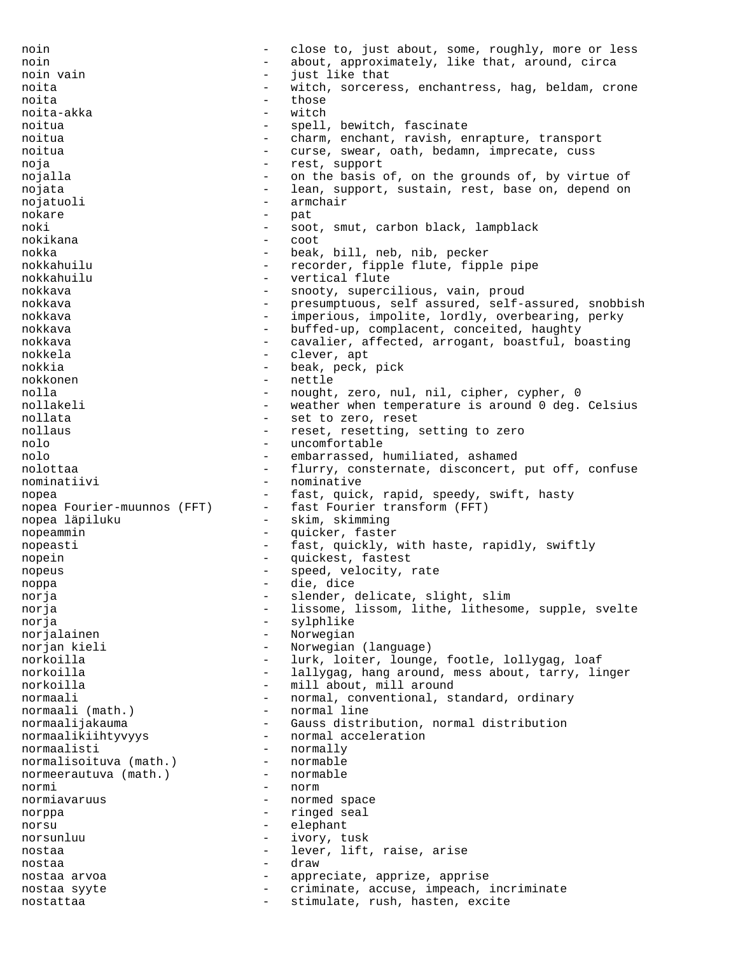noin and the close to, just about, some, roughly, more or less noin **1988** - about, approximately, like that, around, circa noin vain metal and the set of the set of the set of the set of the set of the set of the set of the set of th noita - witch, sorceress, enchantress, hag, beldam, crone noita - those noita-akka - witch noitua - spell, bewitch, fascinate<br>
- charm enchant ravish enchant noitua - charm, enchant, ravish, enrapture, transport<br>noitua - curse, swear, oath, bedamn, imprecate, cuss - curse, swear, oath, bedamn, imprecate, cuss noja - rest, support nojalla - on the basis of, on the grounds of, by virtue of noiata<br>- lean, support, sustain, rest, base on, depend on - lean, support, sustain, rest, base on, depend on nojatuoli - armchair nokare - pat noki - soot, smut, carbon black, lampblack nokikana - coot nokka - beak, bill, neb, nib, pecker<br>nokkahuilu - - recorder, fipple flute, fipp - recorder, fipple flute, fipple pipe nokkahuilu - vertical flute<br>nokkava - snootv, superc: nokkava - snooty, supercilious, vain, proud<br>nokkava - snooty, supercilious, vain, proud nokkava - presumptuous, self assured, self-assured, snobbish<br>nokkava - imperious impolite lordly overbearing perky imperious, impolite, lordly, overbearing, perky nokkava - buffed-up, complacent, conceited, haughty nokkava - cavalier, affected, arrogant, boastful, boasting nokkela - clever, apt nokkia - beak, peck, pick nokkonen - nettle nolla - nought, zero, nul, nil, cipher, cypher, 0 nollakeli - weather when temperature is around 0 deg. Celsius nollata  $\begin{array}{ccc}\n - & \text{set to zero, reset} \\
 - & \text{reset to zero, reset}\n\end{array}$ - reset, resetting, setting to zero nolo - uncomfortable<br>
- uncomfortable<br>
- embarrassed b nolo - embarrassed, humiliated, ashamed<br>nolottaa - embarrassed, humiliated, ashamed nolottaa flurry, consternate, disconcert, put off, confuse nominativi - nominative nopea - fast, quick, rapid, speedy, swift, hasty<br>nopea Fourier-muunnos (FFT) - fast Fourier transform (FFT) nopea Fourier-muunnos (FFT) nopea läpiluku - skim, skimming nopeammin - quicker, faster nopeasti **1988** - fast, quickly, with haste, rapidly, swiftly nopein - quickest, fastest<br>nopeus - speed velocity nopeus - speed, velocity, rate noppa - die, dice<br>noria - slender die, slender die slender die slender die slender die slender die slender die slender die slen<br>noria - slender die slender die slender die slender die slender die slender die slender die sl norja - slender, delicate, slight, slim<br>noria - lissome lissom lithe lithesom norja e state - lissome, lissom, lithe, lithesome, supple, svelte norja - sylphlike norjalainen 1980 - Norwegian norjan kieli  $-$  Norwegian (language) norkoilla - lurk, loiter, lounge, footle, lollygag, loaf norkoilla - lallygag, hang around, mess about, tarry, linger norkoilla - mill about, mill around normaali - normal, conventional, standard, ordinary normaali (math.) - normal line normaali (math.) - normal line normaalijakauma - Gauss distribution, normal distribution<br>normaalikiihtyvyys - normal acceleration - normal acceleration normaalisti - normally<br>normalisoituva (math.) - normable normalisoituva (math.) - normable<br>normeerautuva (math.) - normable normeerautuva (math.) normi - normi - norm<br>normiavaruus - norme - normed space norppa - ringed seal norsu - elephant norsunluu - ivory, tusk nostaa - lever, lift, raise, arise nostaa - draw nostaa arvoa ante este este este en la proprieciate, apprize, apprise nostaa syyte - criminate, accuse, impeach, incriminate<br>nostattaa nostattaa - stimulate, rush, hasten, excite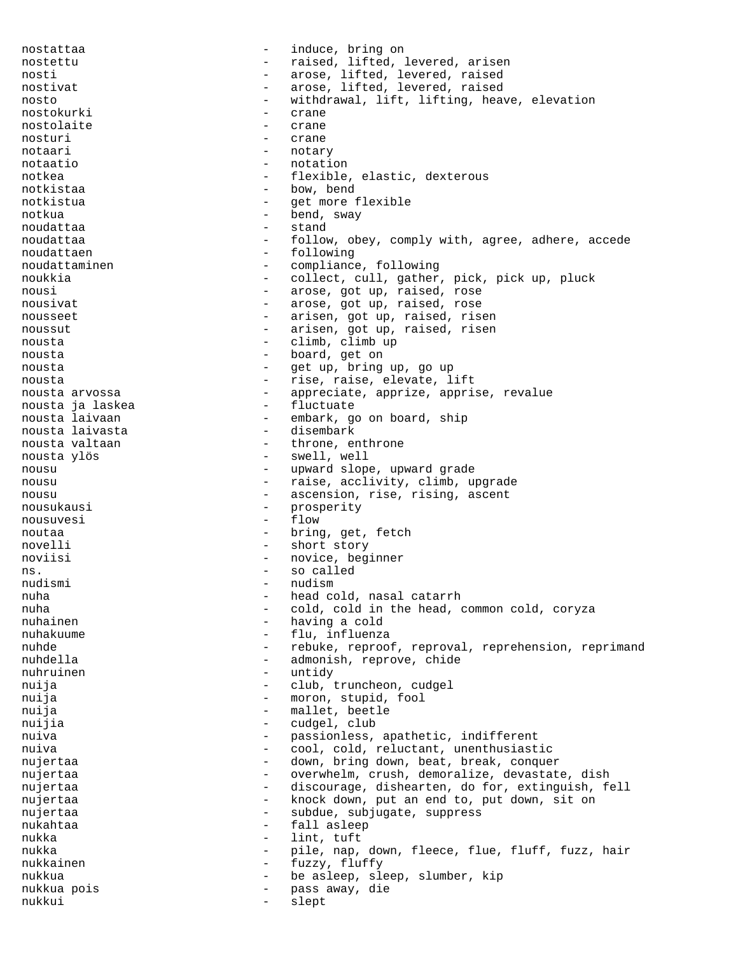nostattaa - induce, bring on<br>nostattu - raised lifted nostettu - raised, lifted, levered, arisen nosti - arose, lifted, levered, raised nostivat - arose, lifted, levered, raised nosto - withdrawal, lift, lifting, heave, elevation nostokurki - crane nostolaite - crane nosturi - crane notaari - notary notaatio - notation notkea - flexible, elastic, dexterous - bow, bend notkistua - get more flexible notkua - bend, sway noudattaa - stand noudattaa - follow, obey, comply with, agree, adhere, accede noudattaen - following<br>noudattaminen - compliance noudattaminen en en andere en andere rompliance, following noukkia - collect, cull, gather, pick, pick up, pluck nousi **-** arose, got up, raised, rose nousivat  $-$  arose, got up, raised, rose nousseet - arisen, got up, raised, risen noussut - arisen, got up, raised, risen nousta  $-$  climb, climb up nousta - board, get on nousta  $-$  get up, bring up, go up nousta  $-$  rise, raise, elevate, lift nousta arvossa - appreciate, apprize, apprise, revalue nousta ja laskea<br>nousta laivaan nousta laivaan - embark, go on board, ship - disembark nousta valtaan  $-$  throne, enthrone nousta ylös - swell, well nousu - upward slope, upward grade nousu - raise, acclivity, climb, upgrade nousu - ascension, rise, rising, ascent nousukausi - prosperity<br>
nousuvesi - flow<br>
- flow nousuvesi noutaa - bring, get, fetch novelli - short story noviisi - novice, beginner ns.  $-$  so called nudismi - nudism nuha - head cold, nasal catarrh<br>nuha - cold cold in the head of nuha - cold, cold in the head, common cold, coryza nuhainen - having a cold nuhainen - having a cold - flu, influenza nuhde - rebuke, reproof, reproval, reprehension, reprimand nuhdella - admonish, reprove, chide nuhruinen - untidy nuija - club, truncheon, cudgel nuija - moron, stupid, fool nuija  $-$  mallet, beetle nuijia - cudgel, club nuiva - passionless, apathetic, indifferent nuiva - cool, cold, reluctant, unenthusiastic nujertaa - down, bring down, beat, break, conquer nujertaa - overwhelm, crush, demoralize, devastate, dish nujertaa - discourage, dishearten, do for, extinguish, fell nujertaa - knock down, put an end to, put down, sit on nujertaa - subdue, subjugate, suppress nukahtaa - fall asleep nukka - lint, tuft nukka - pile, nap, down, fleece, flue, fluff, fuzz, hair nukkainen - fuzzy, fluffy nukkua - be asleep, sleep, slumber, kip pass away, die nukkui - slept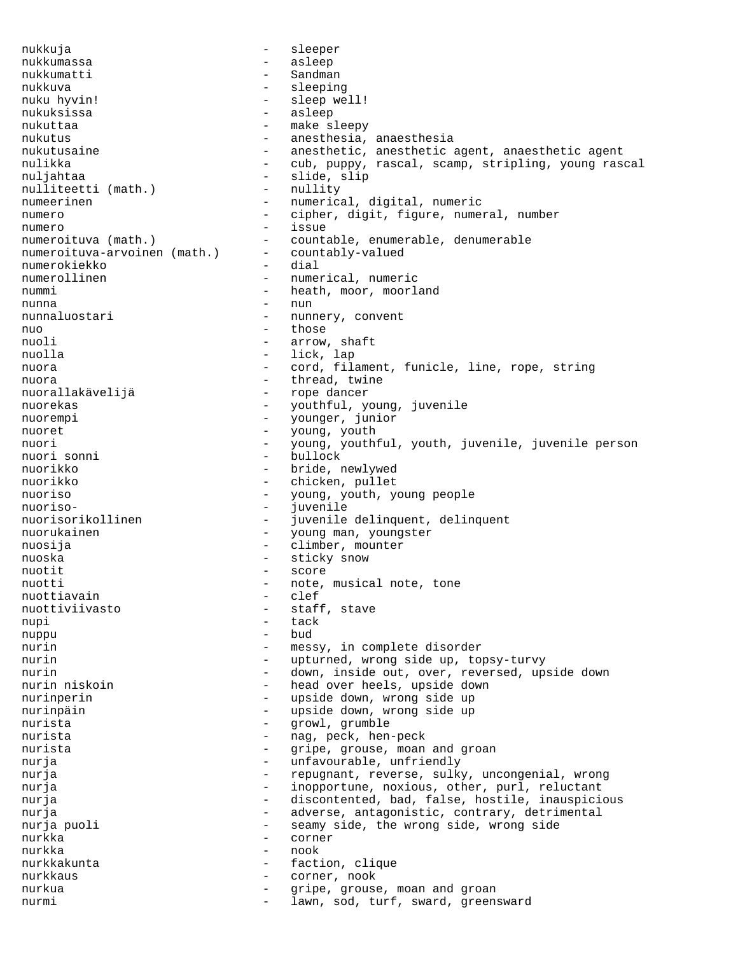nukkuja - sleeper nukkumassa - asleep nukkumatti - Sandman nukkuva - sleeping - sleeping nuku hyvin! - sleep well!<br>nukuksissa - asleep nukuksissa nukuttaa - make sleepy nukutus - anesthesia, anaesthesia<br>nukutusaine - anesthetic, anesthetic, - anesthetic, anesthetic agent, anaesthetic agent nulikka - cub, puppy, rascal, scamp, stripling, young rascal nuljahtaa - slide, slip<br>nulliteetti (math.) - nullity nulliteetti (math.)<br>numeerinen - numerical, digital, numeric numero **1988** - cipher, digit, figure, numeral, number numero - issue numeroituva (math.) - countable, enumerable, denumerable<br>numeroituva-arvoinen (math.) - countably-valued numeroituva-arvoinen (math.) - countinumerokiekko - dial numerokiekko numerollinen - numerical, numeric nummi - heath, moor, moorland nunna  $-$  nun nunnaluostari - nunnery, convent nuo - those nuoli - arrow, shaft nuolla  $-$  lick, lap nuora - cord, filament, funicle, line, rope, string nuora - thread, twine nuorallakävelijä - rope dancer nuorekas - youthful, young, juvenile nuorempi - younger, junior nuoret - young, youth nuori - young, youthful, youth, juvenile, juvenile person nuori sonni - bullock nuorikko - bride, newlywed - chicken, pullet nuoriso - young, youth, young people<br>
- invenile nuoriso- - juvenile nuorisorikollinen - juvenile delinquent, delinquent nuorukainen - young man, youngster<br>nuosija - climber mounter nuosija - climber, mounter nuoska - sticky snow nuotit - score nuotti - note, musical note, tone<br>
nuottiavain - clef nuottiavain nuottiviivasto - staff, stave nupi - tack nuppu - bud nurin - messy, in complete disorder nurin - upturned, wrong side up, topsy-turvy nurin murin - down, inside out, over, reversed, upside down nurin niskoin  $-$  head over heels, upside down nurinperin  $-$  upside down, wrong side up nurinpäin - upside down, wrong side up<br>
- arowl grumble nurista - growl, grumble<br>nurista - nag peck hen nurista - nag, peck, hen-peck<br>nurista - eripe, grouse, moan gripe, grouse, moan and groan nurja - unfavourable, unfriendly nurja enterprise of the repugnant, reverse, sulky, uncongenial, wrong nurja entry of the surface of the inopportune, noxious, other, purl, reluctant nurja entimelecim contented, bad, false, hostile, inauspicious nurja - adverse, antagonistic, contrary, detrimental<br>nurja puoli - seamy side, the wrong side, wrong side - seamy side, the wrong side, wrong side nurkka - corner nurkka - nook nurkkakunta - faction, clique nurkkaus - corner, nook nurkua - gripe, grouse, moan and groan nurmi - lawn, sod, turf, sward, greensward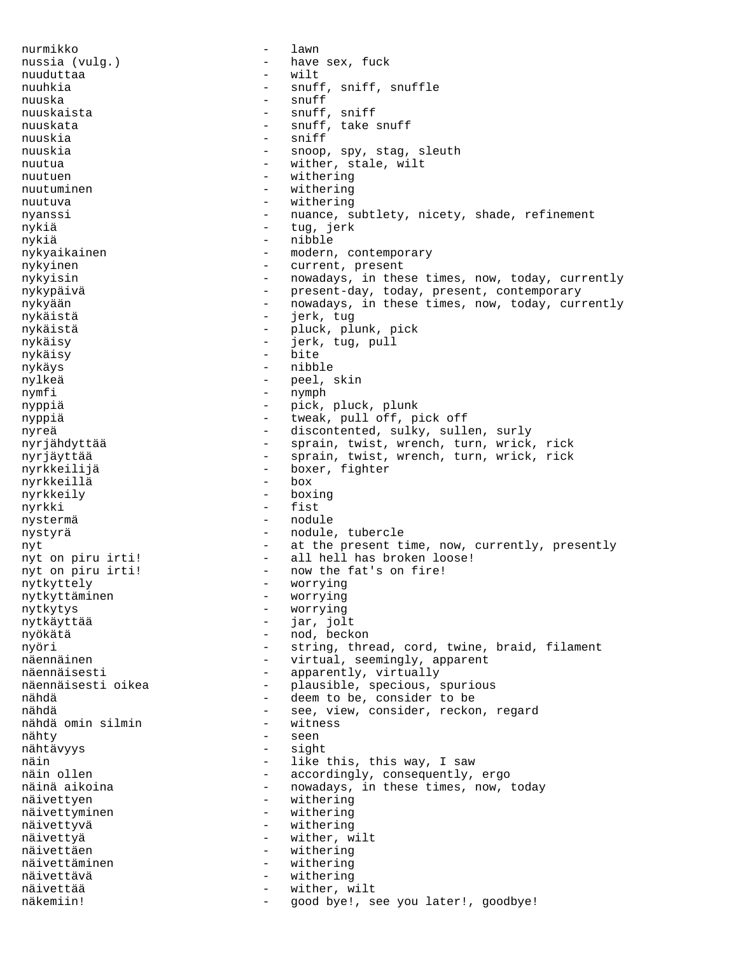nurmikko - lawn nussia (vulg.) - have sex, fuck nuuduttaa - wilt nuuhkia - snuff, sniff, snuffle nuuska - snuff nuuskaista - snuff, sniff nuuskata - snuff, take snuff nuuskia - sniff nuuskia - snoop, spy, stag, sleuth nuutua - wither, stale, wilt nuutuen - withering nuutuminen - withering nuutuva - withering nyanssi - nuance, subtlety, nicety, shade, refinement nykiä - tug, jerk nykiä - nibble nykyaikainen 1988 - Modern, contemporary nykyinen - current, present nykyisin - nowadays, in these times, now, today, currently nykypäivä - present-day, today, present, contemporary nykyään - nowadays, in these times, now, today, currently nykäistä - jerk, tug nykäistä – pluck, plunk, pick<br>nykäisy – jerk tug pull nykäisy - jerk, tug, pull nykäisy - bite nykäys - nibble nylkeä - peel, skin nymfi - nymph nyppiä - pick, pluck, plunk nyppiä - tweak, pull off, pick off nyreä - discontented, sulky, sullen, surly nyrjähdyttää - sprain, twist, wrench, turn, wrick, rick nyrjäyttää - sprain, twist, wrench, turn, wrick, rick nyrkkeilijä - boxer, fighter<br>nvrkkeillä - box - box nyrkkeillä nyrkkeily - boxing nyrkki - fist nystermä - nodule nystyrä - nodule, tubercle nyt  $-$  at the present time, now, currently, presently nyt on piru irti! - all hell has broken loose! nyt on piru irti! - now the fat's on fire! nytkyttely - worrying nytkyttäminen - worrying nytkytys - worrying nytkäyttää nyökätä - nod, beckon nyöri 1988 - string, thread, cord, twine, braid, filament näennäinen - virtual, seemingly, apparent<br>näennäisesti - - apparently virtually - apparently, virtually näennäisesti oikea - plausible, specious, spurious nähdä - deem to be, consider to be nähdä - see, view, consider, reckon, regard - see, view, consider, reckon, regard nähdä omin silmin nähty - seen nähtävyys - sight näin - like this, this way, I saw<br>näin ollen - - - - - - - - accordingly, consequently, näin ollen - accordingly, consequently, ergo<br>näinä aikoina - - - - - - - - nowadays, in these times, now, - nowadays, in these times, now, today näivettyen - withering näivettyminen en mithering näivettyvä - withering näivettyä - wither, wilt näivettäen - withering<br>
näivettäminen - withering näivettäminen - withering<br>näivettävä - withering näivettävä - withering näivettää  $-$  wither, wilt näkemiin! - good bye!, see you later!, goodbye!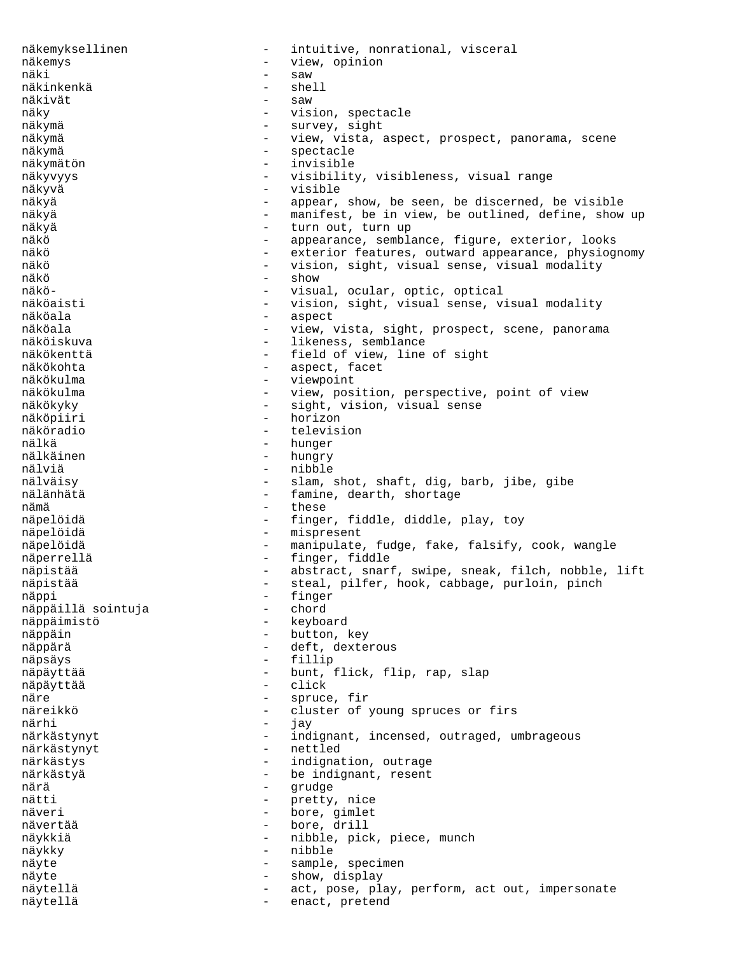näkemyksellinen - intuitive, nonrational, visceral näkemys - view, opinion näki - saw näkinkenkä - shell näkivät - saw näky - vision, spectacle näkymä - survey, sight näkymä - view, vista, aspect, prospect, panorama, scene - spectacle näkymätön - invisible näkyvyys ensimmäkyvyys – visibility, visibleness, visual range näkyvä - visible näkyä - appear, show, be seen, be discerned, be visible näkyä - manifest, be in view, be outlined, define, show up näkyä - turn out, turn up näkö - appearance, semblance, figure, exterior, looks näkö - exterior features, outward appearance, physiognomy näkö - vision, sight, visual sense, visual modality näkö - show näkö- - visual, ocular, optic, optical näköaisti - vision, sight, visual sense, visual modality  $-$  aspect<br> $\nu$ *iew* näköala - view, vista, sight, prospect, scene, panorama näköiskuva  $-$  likeness, semblance näkökenttä  $-$  field of view, line of sight näkökohta - aspect, facet näkökulma - viewpoint näkökulma - view, position, perspective, point of view näkökyky  $-$  sight, vision, visual sense näköpiiri - horizon näköradio - television nälkä - hunger - hungry nälviä - nibble nälväisy - slam, shot, shaft, dig, barb, jibe, gibe - famine, dearth, shortage nämä - these näpelöidä - finger, fiddle, diddle, play, toy näpelöidä - mispresent näpelöidä  $-$  manipulate, fudge, fake, falsify, cook, wangle näperrellä  $-$  finger, fiddle näpistää  $-$  abstract, snarf, swipe, sneak, filch, nobble, lift näpistää  $-$  steal, pilfer, hook, cabbage, purloin, pinch näppi - finger näppäillä sointuja - chord näppäimistö - keyboard näppäin - button, key näppärä - deft, dexterous näpsäys - fillip näpäyttää - bunt, flick, flip, rap, slap näpäyttää - click näre - spruce, fir näreikkö - cluster of young spruces or firs närhi - jay närkästynyt er metalliset varant, incensed, outraged, umbrageous närkästynyt - nettled närkästys - indignation, outrage närkästyä - be indignant, resent närä - grudge nätti - pretty, nice<br>
näveri - bore gimlet - bore, gimlet nävertää  $\qquad \qquad -$  bore, drill näykkiä - nibble, pick, piece, munch näykky - nibble näyte  $-$  sample, specimen näyte - show, display näytellä  $-$  act, pose, play, perform, act out, impersonate näytellä  $-$  enact, pretend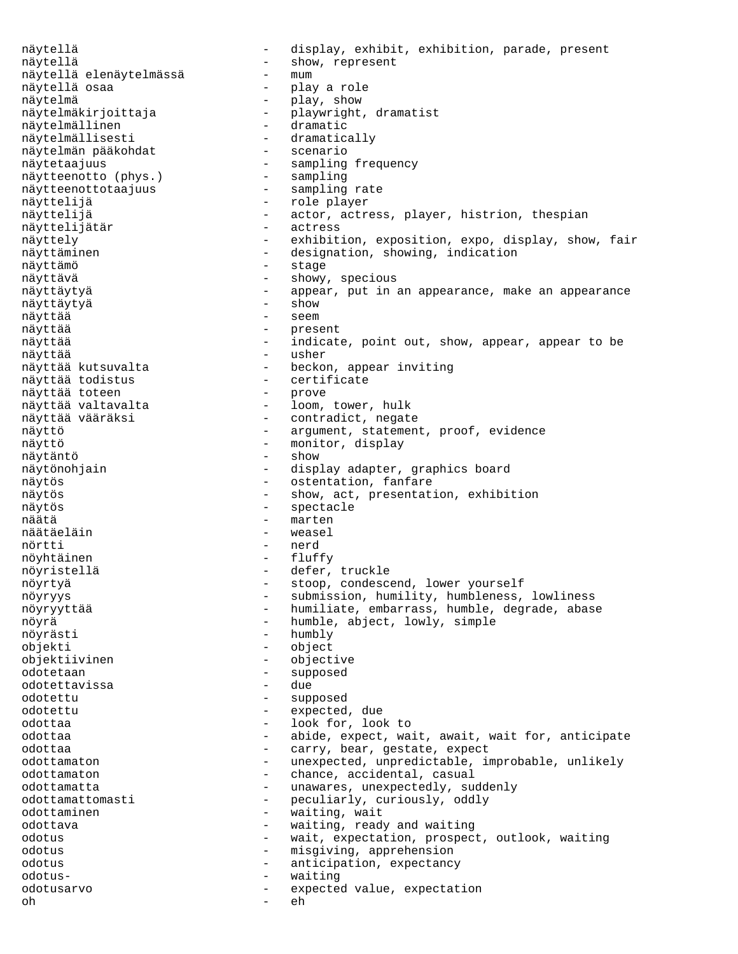näytellä - display, exhibit, exhibition, parade, present näytellä - show, represent näytellä elenäytelmässä näytellä osaa  $\qquad \qquad$  - play a role näytelmä - play, show näytelmäkirjoittaja - playwright, dramatist näytelmällinen - dramatic näytelmällisesti - dramatically näytelmän pääkohdat näytetaajuus<br>
näytetaajuus - sampling frequency<br>
näytteenotto (phys.) - sampling näytteenotto (phys.) näytteenottotaajuus - sampling rate - role player näyttelijä  $-$  actor, actress, player, histrion, thespian näyttelijätär - actress näyttely exhibition, exposition, expo, display, show, fair näyttäminen en muonnoista valmaan valmaan on valmaan valmaan valmaan valmaan valmaan valmaan valmaan valmaan v näyttämö - stage näyttävä - showy, specious näyttäytyä - appear, put in an appearance, make an appearance näyttäytyä<br>näyttää - seem näyttää - present näyttää - indicate, point out, show, appear, appear to be näyttää - usher näyttää kutsuvalta - beckon, appear inviting näyttää todistus - certificate näyttää toteen näyttää valtavalta loom, tower, hulk<br>näyttää vääräksi contradict, negat - contradict, negate näyttö - argument, statement, proof, evidence - monitor, display<br>- show näytäntö - show näytönohjain  $-$  display adapter, graphics board näytös - ostentation, fanfare näytös - show, act, presentation, exhibition näytös - spectacle näätä - marten näätäeläin - weasel nörtti - nerd nöyhtäinen - fluffy nöyristellä  $\qquad \qquad -$  defer, truckle nöyrtyä - stoop, condescend, lower yourself nöyryys - submission, humility, humbleness, lowliness nöyryyttää - humiliate, embarrass, humble, degrade, abase nöyrä - humble, abject, lowly, simple nöyrästi - humbly objekti - object objektiivinen - objective odotetaan - supposed<br>odotettavissa - due - due odotettavissa odotettu – supposed<br>
odotettu – supposed<br>
– expected odotettu - expected, due odottaa - look for, look to odottaa - abide, expect, wait, await, wait for, anticipate<br>
- carry bear gestate expect odottaa - carry, bear, gestate, expect odottamaton - unexpected, unpredictable, improbable, unlikely odottamaton entry chance, accidental, casual odottamatta - unawares, unexpectedly, suddenly odottamattomasti - peculiarly, curiously, oddly<br>
- waiting wait odottaminen en andre en andre vaiting, wait odottava - waiting, ready and waiting odotus - wait, expectation, prospect, outlook, waiting odotus - misgiving, apprehension odotus - anticipation, expectancy odotus- - waiting odotusarvo - expected value, expectation oh - eh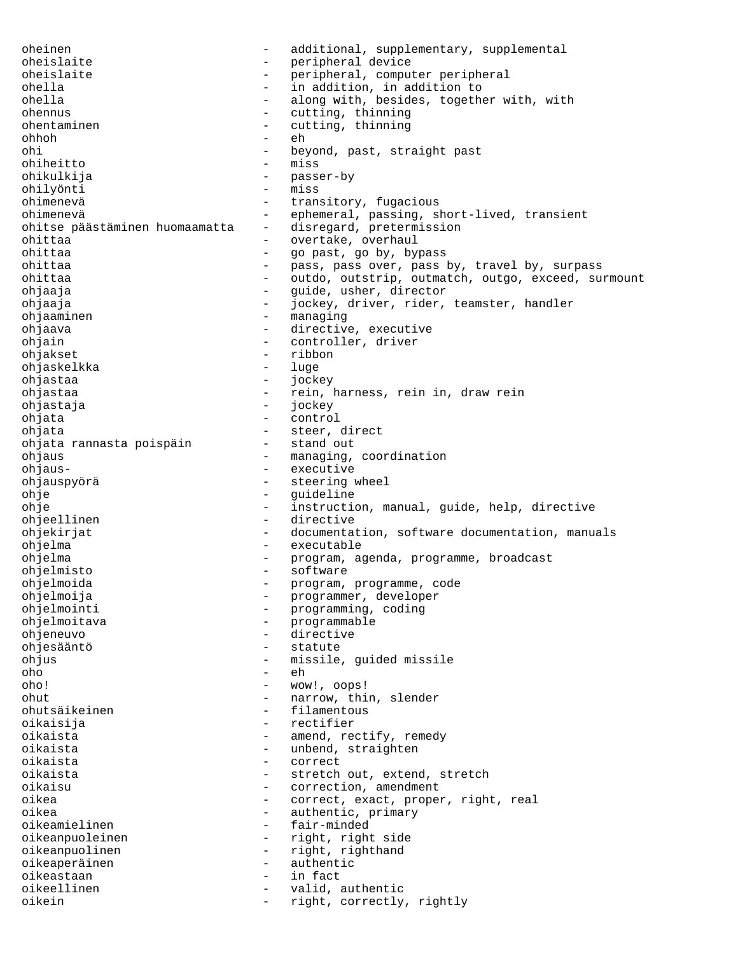oheinen - additional, supplementary, supplemental oheislaite - peripheral device<br>
oheislaite - peripheral computer oheislaite - peripheral, computer peripheral ohella - in addition, in addition to<br>
ohella - along with, besides, together - along with, besides, together with, with ohennus - cutting, thinning<br>
chantaminen<br>
- cutting thinning ohentaminen - cutting, thinning<br>
ohen ohhoh - eh ohi - beyond, past, straight past ohiheitto - miss ohikulkija - passer-by ohilyönti<br>ohimenevä - transitory, fugacious ohimenevä - ephemeral, passing, short-lived, transient ohitse päästäminen huomaamatta - disregard, pretermission ohittaa - overtake, overhaul ohittaa - go past, go by, bypass ohittaa - pass, pass over, pass by, travel by, surpass<br>ohittaa - - outdo outstrip outmatch outgo exceed su ohittaa - outdo, outstrip, outmatch, outgo, exceed, surmount ohjaaja - guide, usher, director<br>ohjaaja - jookey driver rider ohjaaja - jockey, driver, rider, teamster, handler ohjaaminen - managing ohjaava - directive, executive ohjain - controller, driver ohjakset - ribbon<br>
ohjaskelkka - - ribbon<br>
- luqe ohjaskelkka ohjastaa - jockey ohjastaa - rein, harness, rein in, draw rein ohjastaja<br>ohjastaja - rein, harness, rein in, draw rein ohjastaja - jockey ohjata - control ohjata - steer, direct ohjata rannasta poispäin ohjaus - managing, coordination<br>
ohjaus-<br>
- executive - executive ohjauspyörä - steering wheel ohje - guideline ohje - instruction, manual, guide, help, directive ohjeellinen - directive ohjekirjat  $-$  documentation, software documentation, manuals ohjelma - executable ohjelma - program, agenda, programme, broadcast<br>
- software<br>
- software ohjelmisto - software ohjelmoida - program, programme, code ohjelmoija - programmer, developer ohjelmointi - programming, coding ohjelmoitava - programmable ohjeneuvo - directive ohjesääntö - statute ohjus - missile, guided missile<br>oho - eh oho - eh oho! - wow!, oops! ohut - narrow, thin, slender ohutsäikeinen - filamentous oikaisija - rectifier oikaista - amend, rectify, remedy oikaista - unbend, straighten<br>oikaista - correct oikaista - correct oikaista - stretch out, extend, stretch oikaisu - correction, amendment oikea - correct, exact, proper, right, real oikea - authentic, primary oikeamielinen - fair-minded oikeanpuoleinen - right, right side oikeanpuolinen - right, righthand<br>oikeaneräinen - authentic oikeaperäinen - authentic oikeastaan - in fact oikeellinen - valid, authentic oikein - right, correctly, rightly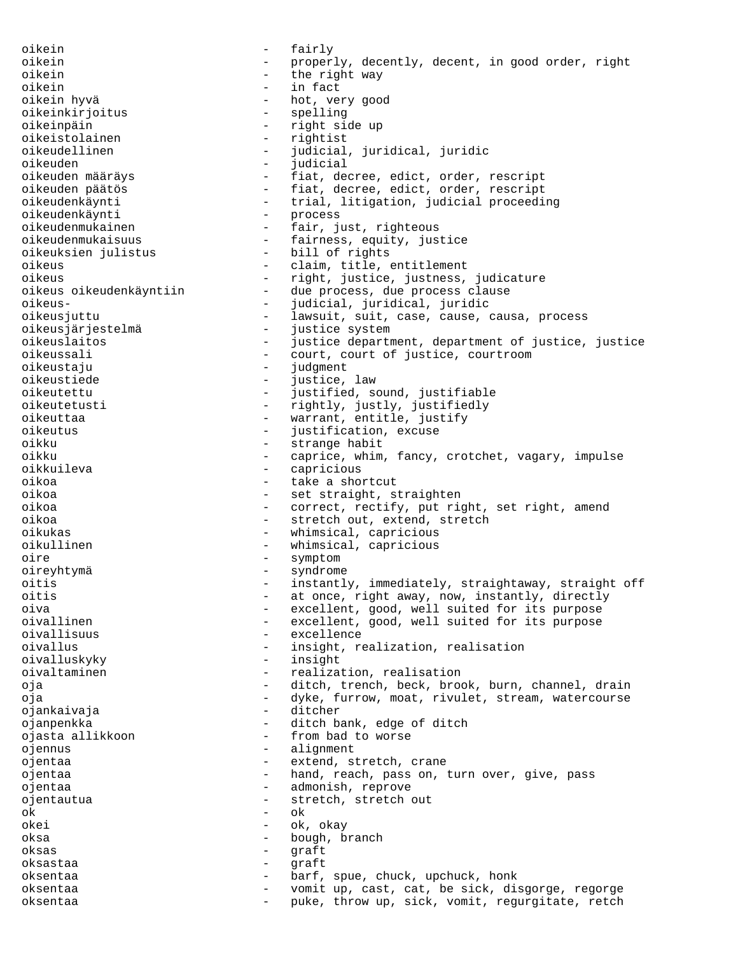oikein - fairly oikein - properly, decently, decent, in good order, right oikein  $\qquad \qquad$  - the right way oikein - in fact - hot, very good<br>- spelling oikeinkirjoitus oikeinpäin - right side up oikeistolainen - rightist - judicial, juridical, juridic<br>- judicial oikeuden - judicial - fiat, decree, edict, order, rescript oikeuden päätös - fiat, decree, edict, order, rescript oikeudenkäynti trial, litigation, judicial proceeding<br>oikeudenkäynti process oikeudenkäynti oikeudenmukainen 1988 - fair, just, righteous oikeudenmukaisuus - fairness, equity, justice<br>oikeuksien julistus - bill of rights oikeuksien julistus - -<br>oikeus oikeus - claim, title, entitlement oikeus - right, justice, justness, judicature<br>oikeus oikeudenkäyntiin - due process, due process clause - due process, due process clause oikeus- - judicial, juridical, juridic - lawsuit, suit, case, cause, causa, process oikeusjärjestelmä - justice system oikeuslaitos - justice department, department of justice, justice oikeussali - court, court of justice, courtroom<br>oikeustaiu - iudoment oikeustaju - judgment oikeustiede - justice, law oikeutettu - justified, sound, justifiable oikeutetusti - rightly, justly, justifiedly<br>oikeuttaa - - - - - - - warrant, entitle, justify - warrant, entitle, justify<br>- justification excuse oikeutus - justification, excuse oikku - strange habit oikku - caprice, whim, fancy, crotchet, vagary, impulse<br>oikkuileva - capricious capricious oikoa - take a shortcut oikoa - set straight, straighten oikoa - correct, rectify, put right, set right, amend oikoa - stretch out, extend, stretch oikukas - whimsical, capricious oikullinen - whimsical, capricious oire - symptom oireyhtymä - syndrome oitis - instantly, immediately, straightaway, straight off oitis  $-$  at once, right away, now, instantly, directly oiva - excellent, good, well suited for its purpose oivallinen - excellent, good, well suited for its purpose<br>oivallisuus - excellence excellence oivallus - insight, realization, realisation oivalluskyky - insight oivaltaminen - realization, realisation oja - ditch, trench, beck, brook, burn, channel, drain oja - dyke, furrow, moat, rivulet, stream, watercourse ojankaivaja - ditcher ojanpenkka - ditch bank, edge of ditch ojasta allikkoon - from bad to worse<br>ojennus ojennus - alignment<br>ojentaa - extend si ojentaa - extend, stretch, crane ojentaa - hand, reach, pass on, turn over, give, pass ojentaa - admonish, reprove ojentautua - stretch, stretch out<br>ok ok - ok okei - ok, okay oksa - bough, branch oksas - graft oksastaa - graft oksentaa - barf, spue, chuck, upchuck, honk oksentaa - vomit up, cast, cat, be sick, disgorge, regorge oksentaa - puke, throw up, sick, vomit, regurgitate, retch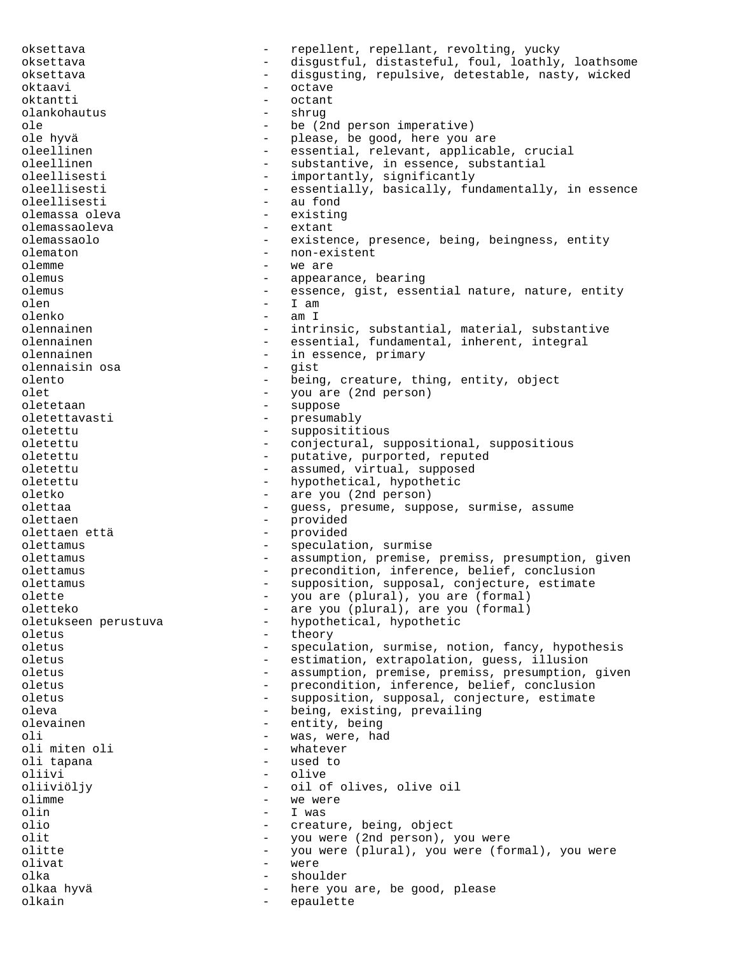oksettava - repellent, repellant, revolting, yucky oksettava - disgustful, distasteful, foul, loathly, loathsome oksettava - disgusting, repulsive, detestable, nasty, wicked oktaavi - octave oktantti - octant olankohautus ole - be (2nd person imperative)<br>ole hyvä - - - - - - - - - - - - please, be good, here you ole hyvä - please, be good, here you are oleellinen - essential, relevant, applicable, crucial oleellinen - substantive, in essence, substantial oleellisesti - importantly, significantly<br>
oleellisesti - essentially basically fu oleellisesti - essentially, basically, fundamentally, in essence<br>oleellisesti - au fond - au fond<br>- existing olemassa oleva - existing olemassaoleva olemassaolo - existence, presence, being, beingness, entity olematon - non-existent olemme - we are<br>olemns - appear: olemus - appearance, bearing olemus - essence, gist, essential nature, nature, entity olen - I am olenko - am I olennainen 1980 - intrinsic, substantial, material, substantive<br>
1988 - Essential fundamental inherent integral - essential, fundamental, inherent, integral olennainen - in essence, primary olennaisin osa - gist olento - being, creature, thing, entity, object olet - you are (2nd person)<br>oletetaan - suppose oletetaan - suppose oletettavasti - presumably<br>
oletettu - suppositit oletettu - supposititious oletettu - conjectural, suppositional, suppositious oletettu - putative, purported, reputed oletettu - assumed, virtual, supposed oletettu - hypothetical, hypothetic oletko - are you (2nd person) olettaa - guess, presume, suppose, surmise, assume olettaen - provided olettaen että - provided olettamus - speculation, surmise olettamus - assumption, premise, premiss, presumption, given olettamus - precondition, inference, belief, conclusion olettamus extending the supposition, supposal, conjecture, estimate olette - you are (plural), you are (formal)<br>oletteko - are you (plural), are you (formal) oletteko - are you (plural), are you (formal) oletukseen perustuva - hypothetical, hypothetic oletus - theory oletus - speculation, surmise, notion, fancy, hypothesis oletus - estimation, extrapolation, guess, illusion oletus - assumption, premise, premiss, presumption, given oletus - precondition, inference, belief, conclusion oletus - supposition, supposal, conjecture, estimate oleva - being, existing, prevailing olevainen - entity, being oli - was, were, had oli miten oli - whatever oli tapana - used to oliivi<br>oliiviöljy - oil of olives, olive oil olimme - we were olin - I was<br>olio - Creatu - creature, being, object olit - you were (2nd person), you were olitte - you were (plural), you were (formal), you were olivat - were olka - shoulder olkaa hyvä - here you are, be good, please olkain - epaulette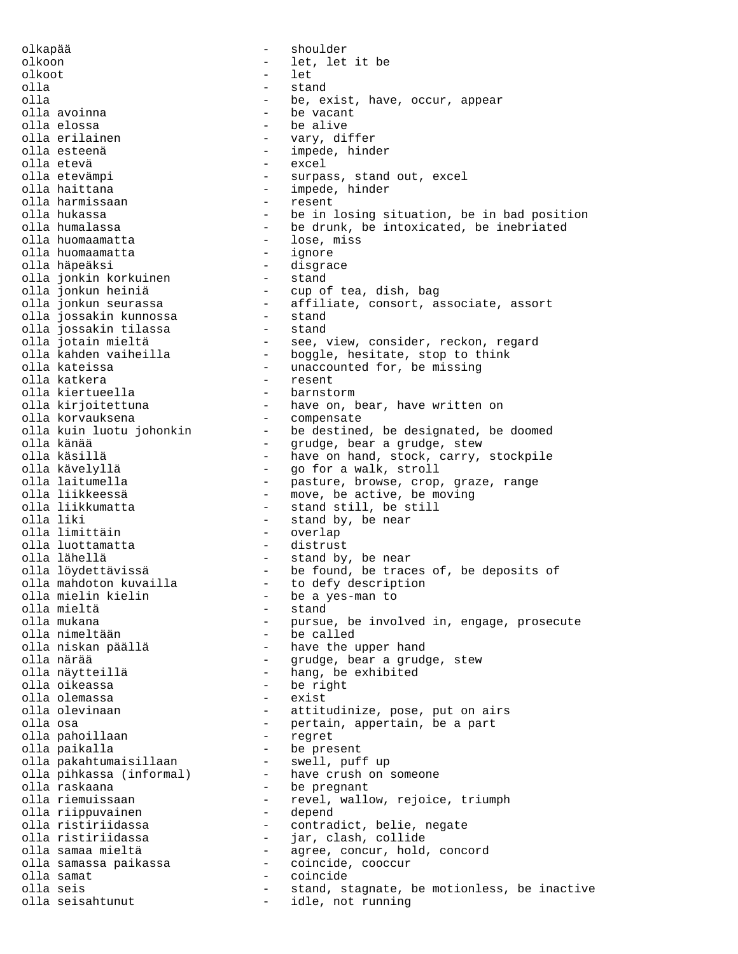olkapää - shoulder olkoon - let, let it be olkoot - let it be olkoot - let it be olkoot - let it be olkoot - let it be olkoot - let it be olkoot - let it be olkoot - let it be olkoot - let it be olkoot - let it be olkoot - let it be olkoot olkoot - let olla - stand olla avoinna - be vacant olla elossa - be alive olla erilainen - vary, differ olla esteenä - impede, hinder olla etevä - excel olla haittana - impede, hinder olla harmissaan - resent olla huomaamatta - lose, miss olla huomaamatta - ignore olla häpeäksi - disgrace olla jonkin korkuinen - stand olla jonkun heiniä - cup of tea, dish, bag olla jossakin kunnossa - stand olla jossakin tilassa - stand olla katkera - resent olla kiertueella - barnstorm olla korvauksena - compensate olla kävelyllä - go for a walk, stroll olla liikkumatta - stand still, be still olla liki - stand by, be near olla limittäin - overlap olla luottamatta - distrust olla lähellä - stand by, be near olla mahdoton kuvailla - to defy description olla mielin kielin - be a yes-man to olla mieltä - stand olla nimeltään - be called olla niskan päällä - have the upper hand olla näytteillä - hang, be exhibited olla oikeassa - be right olla olemassa - exist olla pahoillaan - regret olla paikalla - be present olla pakahtumaisillaan - swell, puff up olla pihkassa (informal) - have crush on someone olla raskaana - be pregnant olla riippuvainen - depend olla ristiriidassa - jar, clash, collide olla samassa paikassa - coincide, cooccur olla samat - coincide

olla - be, exist, have, occur, appear olla etevämpi - surpass, stand out, excel olla hukassa - be in losing situation, be in bad position olla humalassa be drunk, be intoxicated, be inebriated olla jonkun seurassa - affiliate, consort, associate, assort olla jotain mieltä - see, view, consider, reckon, regard olla kahden vaiheilla - boggle, hesitate, stop to think olla kateissa - unaccounted for, be missing olla kirjoitettuna have on, bear, have written on olla kuin luotu johonkin - be destined, be designated, be doomed olla känää - grudge, bear a grudge, stew olla käsillä - have on hand, stock, carry, stockpile olla laitumella pasture, browse, crop, graze, range olla liikkeessä - move, be active, be moving olla löydettävissä - be found, be traces of, be deposits of olla mukana - pursue, be involved in, engage, prosecute olla närää - grudge, bear a grudge, stew olla olevinaan - attitudinize, pose, put on airs olla osa - pertain, appertain, be a part olla riemuissaan - revel, wallow, rejoice, triumph olla ristiriidassa - contradict, belie, negate olla samaa mieltä - agree, concur, hold, concord olla seis - stand, stagnate, be motionless, be inactive olla seisahtunut - idle, not running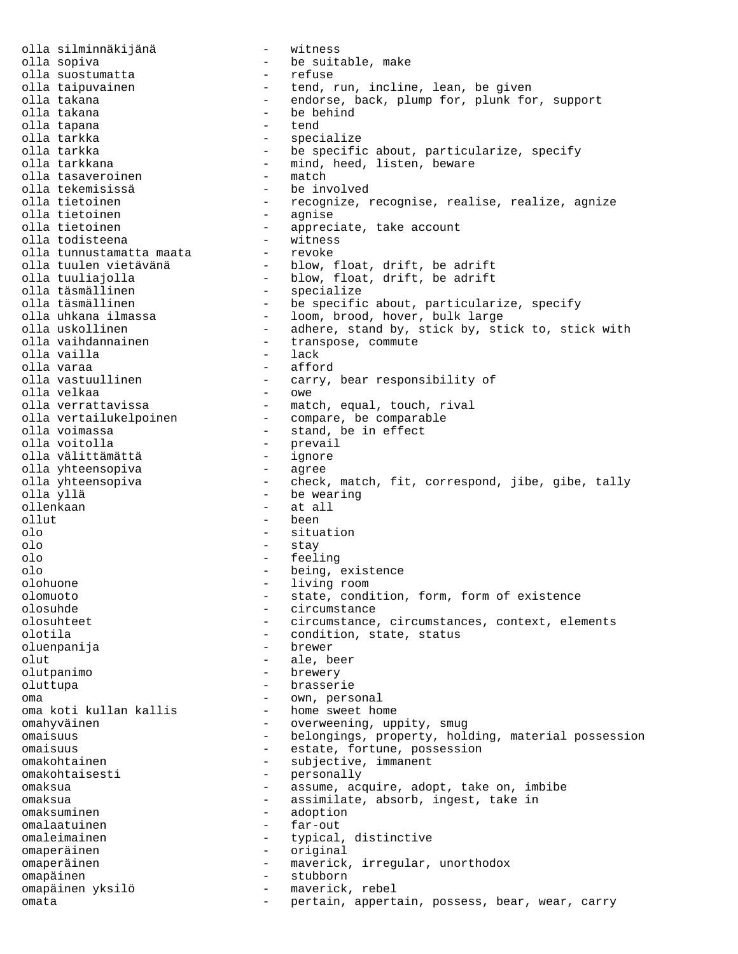olla silminnäkijänä - witness olla sopiva - be suitable, make olla suostumatta olla taipuvainen autonomia - tend, run, incline, lean, be given<br>olla takana - endorse, back, plump for, plunk fore - endorse, back, plump for, plunk for, support<br>- be behind olla takana - be behind olla tapana - tend olla tarkka - specialize olla tarkka - be specific about, particularize, specify<br>olla tarkkana - mind, heed, listen, beware - mind, heed, listen, beware<br>- match olla tasaveroinen - match olla tekemisissä<br>olla tietoinen - recognize, recognise, realise, realize, agnize<br>- aqnise olla tietoinen olla tietoinen - appreciate, take account olla todisteena - witness olla tunnustamatta maata - revoke olla tuulen vietävänä - blow, float, drift, be adrift olla tuuliajolla - blow, float, drift, be adrift olla täsmällinen - specialize olla täsmällinen be specific about, particularize, specify olla uhkana ilmassa loom, brood, hover, bulk large olla uskollinen - adhere, stand by, stick by, stick to, stick with olla vaihdannainen - transpose, commute olla vailla - lack - afford olla vastuullinen - carry, bear responsibility of olla velkaa - owe olla verrattavissa - match, equal, touch, rival olla vertailukelpoinen - compare, be comparable olla voimassa - stand, be in effect olla voitolla - prevail olla välittämättä - ignore olla yhteensopiva - agree olla yhteensopiva - check, match, fit, correspond, jibe, gibe, tally olla yllä - be wearing ollenkaan - at all ollut - been olo - situation olo - stay olo - feeling olo - being, existence olohuone - living room olomuoto - state, condition, form, form of existence - circumstance olosuhteet - circumstance, circumstances, context, elements olotila - condition, state, status oluenpanija - brewer olut - ale, beer olutpanimo - brewery oluttupa - brasserie<br>
oma - own pers oma - own, personal oma koti kullan kallis omahyväinen en metallisuudella valmeening, uppity, smug omaisuus - belongings, property, holding, material possession omaisuus - estate, fortune, possession omakohtainen 1988 - Subjective, immanent omakohtaisesti - personally omaksua e e constante de constante de constante de constante de constante de constante de constante de constant omaksua - assimilate, absorb, ingest, take in omaksuminen en adoption adoption omalaatuinen - far-out omaleimainen - typical, distinctive omaperäinen 1988 - Santiage von den staat van de original van de staat van de original van de original van de o omaperäinen - maverick, irregular, unorthodox<br>
omapäinen - stubborn<br>
- stubborn omapäinen - stubborn omapäinen yksilö - maverick, rebel omata - pertain, appertain, possess, bear, wear, carry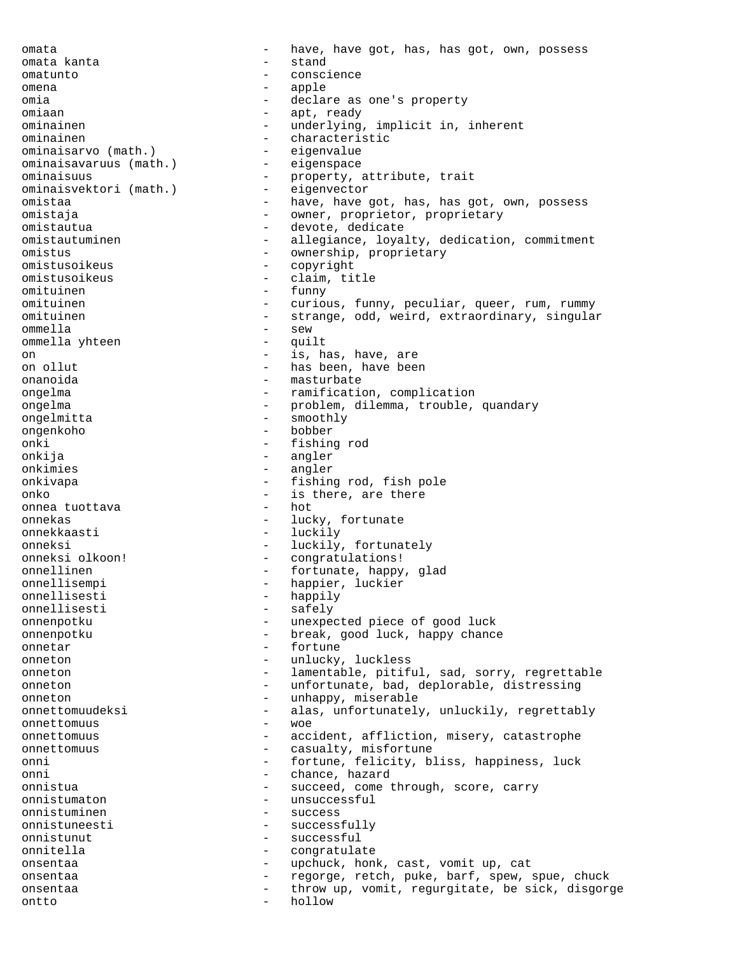omata - have, have got, has, has got, own, possess omata kanta  $-$  stand omatunto - conscience omena - apple omia  $\qquad \qquad -$  declare as one's property omiaan - apt, ready ominainen - underlying, implicit in, inherent ominainen - characteristic<br>
ominaisarvo (math.) - eigenvalue ominaisarvo (math.) - eigenvalue<br>ominaisavaruus (math.) - eigenspace ominaisavaruus (math.) ominaisuus - property, attribute, trait<br>
ominaisuektori (math) - eigenvector ominaisvektori (math.) - eigenvector omistaa - have, have got, has, has got, own, possess omistaja - owner, proprietor, proprietary omistautua este este este en la contradición en la devote, dedicate omistautuminen - allegiance, loyalty, dedication, commitment omistus - ownership, proprietary<br>
omistus oikeus<br>
- convright omistusoikeus - copyright<br>
omistusoikeus - claim ti omistusoikeus - claim, title<br>
omituinen - funny - funny omituinen omituinen 1988 - curious, funny, peculiar, queer, rum, rummy omituinen - strange, odd, weird, extraordinary, singular ommella - sew ommella yhteen on  $-$  is, has, have, are on ollut  $-$  has been, have been onanoida - masturbate ongelma - ramification, complication ongelma - problem, dilemma, trouble, quandary<br>ongelmitta - smoothly ongelmitta ongenkoho - bobber onki - fishing rod<br>
onkija - angler onkija - angler onkimies - angler - fishing rod, fish pole onko - is there, are there<br>
onnea tuottava - hot - hot onnea tuottava onnekas - lucky, fortunate onnekkaasti - luckily onneksi - luckily, fortunately<br>
onneksi olkoon! - congratulations! - congratulations! onnellinen - fortunate, happy, glad<br>
- happier luckier onnellisempi - happier, luckier - happier, luckier - happily onnellisesti - happily onnellisesti – safely – safely – safely – safely – safely – safely – safely – safely – safely – safely – safely – safely – safely – safely – safely – safely – safely – safely – safely – safely – safely – safely – safely – onnenpotku - unexpected piece of good luck onnenpotku - break, good luck, happy chance onnetar - fortune<br>
onneton - unlucky onneton - unlucky, luckless onneton - lamentable, pitiful, sad, sorry, regrettable onneton - unfortunate, bad, deplorable, distressing onneton - unhappy, miserable onnettomuudeksi - alas, unfortunately, unluckily, regrettably onnettomuus - woe onnettomuus - accident, affliction, misery, catastrophe onnettomuus - casualty, misfortune<br>
onni - fortune felicity b onni - fortune, felicity, bliss, happiness, luck onni - chance, hazard<br>
- chance, hazard<br>
- succeed come t onnistua - succeed, come through, score, carry onnistumaton - unsuccessful onnistuminen - success<br>
onnistuneesti<br>
- success - successfully onnistunut - successful onnitella - congratulate onsentaa - upchuck, honk, cast, vomit up, cat onsentaa - regorge, retch, puke, barf, spew, spue, chuck onsentaa - throw up, vomit, regurgitate, be sick, disgorge ontto - hollow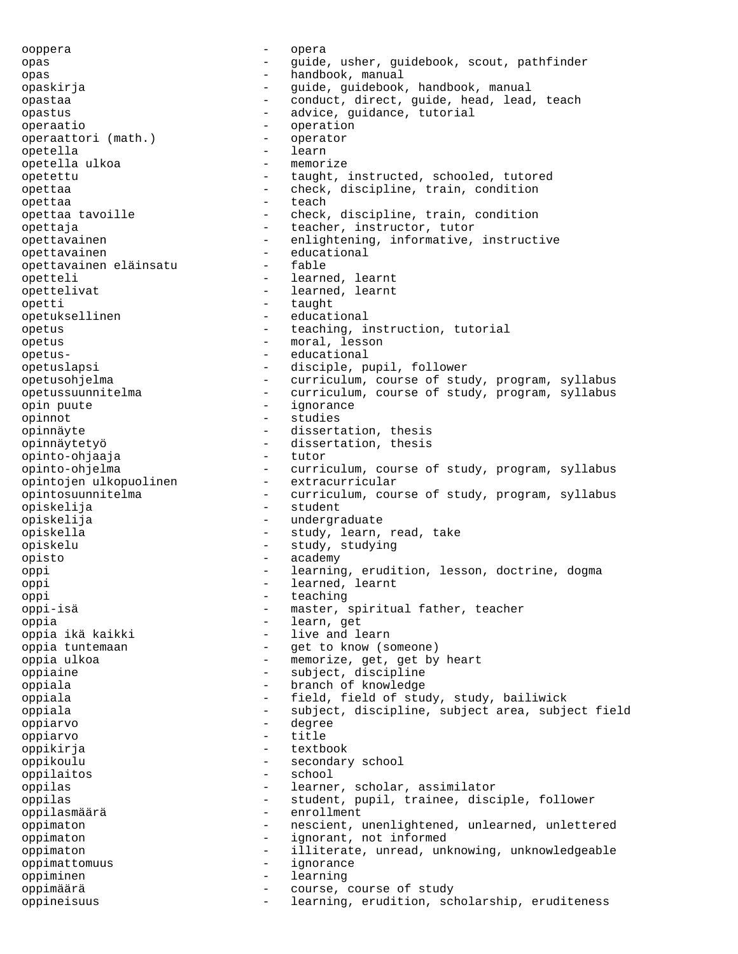ooppera - opera opas and the settle operator of the settle settle settle settle settle settle settle settle settle settle settl opas - handbook, manual opaskirja - guide, guidebook, handbook, manual opastaa - conduct, direct, guide, head, lead, teach<br>opastus - advice, guidance, tutorial - advice, guidance, tutorial<br>- operation operaatio<br>
operation (math) - operation<br>
- operation operaattori (math.) - operator opetella - learn opetella ulkoa opetettu - taught, instructed, schooled, tutored opettaa - check, discipline, train, condition opettaa - teach - teach opettaa tavoille - check, discipline, train, condition opettaja - teacher, instructor, tutor opettavainen - enlightening, informative, instructive opettavainen - educational opettavainen eläinsatu opetteli - learned, learnt opettelivat - learned, learnt opetti - taught opetuksellinen - educational opetus - teaching, instruction, tutorial opetus - moral, lesson opetus- - educational opetuslapsi - disciple, pupil, follower opetusohjelma - curriculum, course of study, program, syllabus opetussuunnitelma - curriculum, course of study, program, syllabus opin puute  $\overline{\phantom{a}}$  - ignorance opinnot opinnot - studies opinnäyte - dissertation, thesis opinnäytetyö - dissertation, thesis opinto-ohjaaja opinto-ohjelma - curriculum, course of study, program, syllabus opintojen ulkopuolinen - extracurricular opintosuunnitelma - curriculum, course of study, program, syllabus opiskelija - student opiskelija - undergraduate opiskella - study, learn, read, take opiskelu - study, studying opisto - academy oppi - learning, erudition, lesson, doctrine, dogma<br>
- learned learnt oppi - learned, learnt<br>
- learned, learnt<br>
- teaching oppi - teaching oppi-isä - master, spiritual father, teacher oppia - learn, get - live and learn oppia tuntemaan - get to know (someone) oppia ulkoa - memorize, get, get by heart oppiaine - subject, discipline oppiala - branch of knowledge oppiala - field, field of study, study, bailiwick<br>oppiala - subject discipline subject area subje oppiala - subject, discipline, subject area, subject field oppiarvo - degree oppiarvo - title oppikirja - textbook oppikoulu - secondary school<br>oppilaitos - school - school oppilaitos - school oppilas - learner, scholar, assimilator oppilas - student, pupil, trainee, disciple, follower oppilasmäärä - enrollment oppimaton - nescient, unenlightened, unlearned, unlettered oppimaton - ignorant, not informed oppimaton - illiterate, unread, unknowing, unknowledgeable<br>oppimattomuus - ignorance oppimattomuus - ignorance<br>oppiminen - learning oppiminen - learning oppimäärä - course, course of study oppineisuus - learning, erudition, scholarship, eruditeness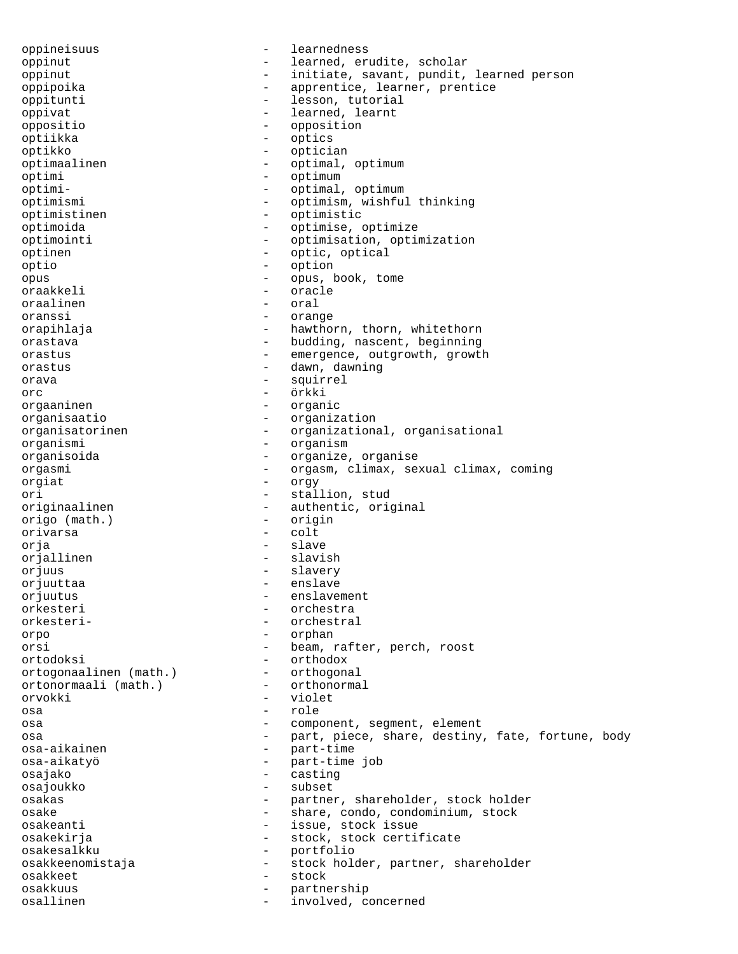oppineisuus - learnedness oppinut - learned, erudite, scholar oppinut - initiate, savant, pundit, learned person oppipoika - apprentice, learner, prentice oppitunti - lesson, tutorial oppivat - learned, learnt<br>
oppositio<br>
- oppositio oppositio - opposition optiikka – optiikka – optiikka – optiikka – optiikka – optiikka – optiikka – optiikka – optiikka – optiikka – optiikka – optiikka – optiikka – optiikka – optiikka – optiikka – optiikka – optiikka – optiikka – optiikka – op optikko - optician optimaalinen - optimal, optimum optimi - optimum<br>optimi- - optimal. - optimal, optimum optimismi - optimism, wishful thinking optimistinen - optimistic optimoida - optimise, optimize optimointi - optimisation, optimization<br>
- optic optical<br>
- optic optical optinen - optic, optical<br>
optio<br>
- option<br>
- option optio - option opus - opus, book, tome<br>
oraakkeli - oraale - oraale oraakkeli - oracle oraalinen – oralinen – oralinen – oralinen – oraliseitunen – oraliseitunen – oraliseitunen – oraliseitunen – o oranssi - orange orapihlaja - hawthorn, thorn, whitethorn orastava - budding, nascent, beginning orastus - emergence, outgrowth, growth orastus - dawn, dawning orava - squirrel orc - örkki orgaaninen - organic organisaatio - organization organisatorinen - organizational, organisational organismi - organism organisoida - organize, organise orgasmi - orgasm, climax, sexual climax, coming orgiat - orgy<br>ori - stal:<br>- stal: - stallion, stud originaalinen - authentic, original<br>
origo (math.) - origin origo (math.) orivarsa - colt orja - slave orjallinen - slavish orjuus - slavery orjuuttaa - enslave orjuutus - enslavement orkesteri - orchestra<br>orkesteri- - orchestra<br>orchestra - orchestral orpo - orphan orsi - beam, rafter, perch, roost ortodoksi - orthodox<br>ortogonaalinen (math.) - - orthogonal ortogonaalinen (math.) - orthogonal<br>ortonormaali (math.) - orthonormal ortonormaali (math.) orvokki – violet<br>osa – violet osa - role osa - component, segment, element osa e part, piece, share, destiny, fate, fortune, body osa-aikainen - part-time<br>osa-aikatvö - part-time osa-aikatyö - part-time job osajako - casting osajoukko - subset osakas - partner, shareholder, stock holder osake - share, condo, condominium, stock osakeanti - issue, stock issue osakekirja - stock, stock certificate osakesalkku - portfolio osakkeenomistaja - stock holder, partner, shareholder osakkeet - stock osakkuus - partnership osallinen - involved, concerned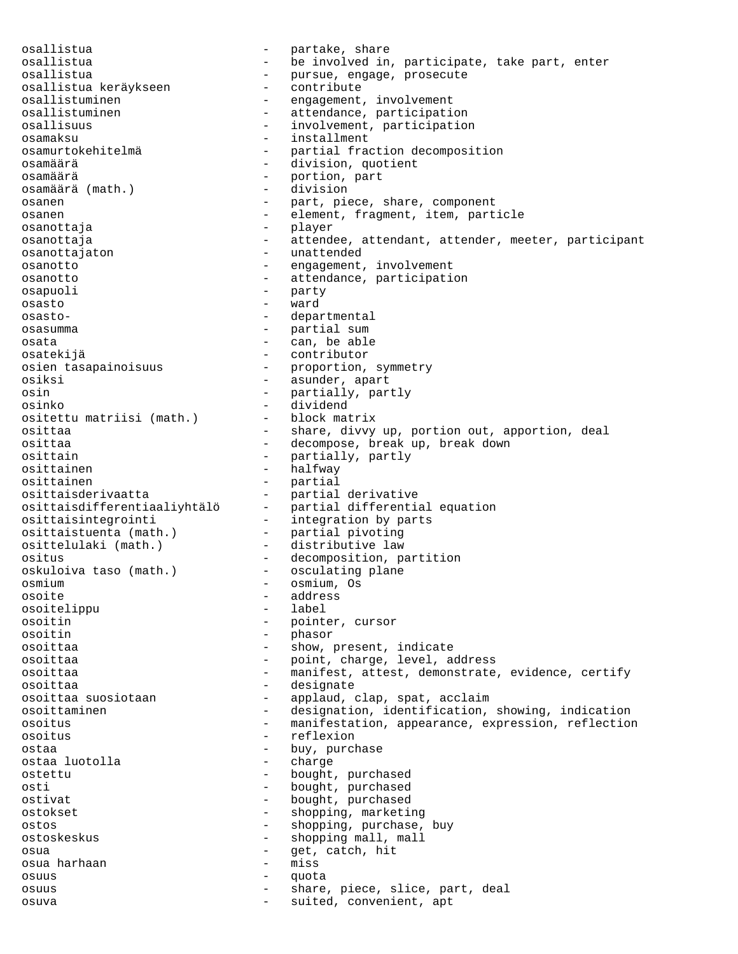osallistua - partake, share osallistua - be involved in, participate, take part, enter osallistua - pursue, engage, prosecute osallistua keräykseen osallistuminen 1980 - engagement, involvement<br>osallistuminen 1980 - engagement, involvement osallistuminen - attendance, participation<br>osallisuus - involvement, participation - involvement, participation osamaksu - installment - partial fraction decomposition osamäärä - division, quotient osamäärä - portion, part osamäärä (math.) osanen - part, piece, share, component osanen - element, fragment, item, particle osanottaja - player osanottaja  $-$  attendee, attendant, attender, meeter, participant osanottajaton - unattended osanotto - engagement, involvement osanotto - attendance, participation osapuoli - party - party - party - party - party - party - party - party - party - party - party - party - party - party - party - party - party - party - party - party - party - party - party - party - party - party - par osasto - ward osasto- - departmental osasumma - partial sum osata - can, be able - contributor osien tasapainoisuus - proportion, symmetry osiksi - asunder, apart osin - partially, partly<br>osinko - dividend - dividend osinko - dividend<br>ositettu matriisi (math.) - block matrix ositettu matriisi (math.) osittaa - share, divvy up, portion out, apportion, deal<br>osittaa - secompose, break up, break down osittaa - decompose, break up, break down osittain - partially, partly<br>
osittainen - halfway - halfway osittainen - partial osittaisderivaatta - partial derivative osittaisdifferentiaaliyhtälö - partial differential equation osittaisintegrointi - integration by parts osittaistuenta (math.) - partial pivoting osittelulaki (math.) - distributive law ositus - decomposition, partition<br>oskuloiva taso (math.) - osculating plane oskuloiva taso (math.) osmium - osmium, Os osoite - address<br>
osoitelippu - label - label osoitelippu osoitin - pointer, cursor<br>osoitin - phasor - phasor osoittaa - show, present, indicate<br>
- point, charge, level, a - point, charge, level, address osoittaa - manifest, attest, demonstrate, evidence, certify osoittaa - designate osoittaa suosiotaan - applaud, clap, spat, acclaim<br>osoittaminen - designation, identification, - designation, identification, showing, indication osoitus - manifestation, appearance, expression, reflection osoitus - reflexion ostaa - buy, purchase - buy, purchase - buy, purchase - charge ostaa luotolla - charge ostettu - bought, purchased osti - bought, purchased ostivat - bought, purchased ostokset - shopping, marketing ostos - shopping, purchase, buy ostoskeskus - shopping mall, mall osua - get, catch, hit osua harhaan - missan - missan - missan - missan - missan - missan - missan - missan - missan - missan - missa osuus - quota osuus - share, piece, slice, part, deal osuva - suited, convenient, apt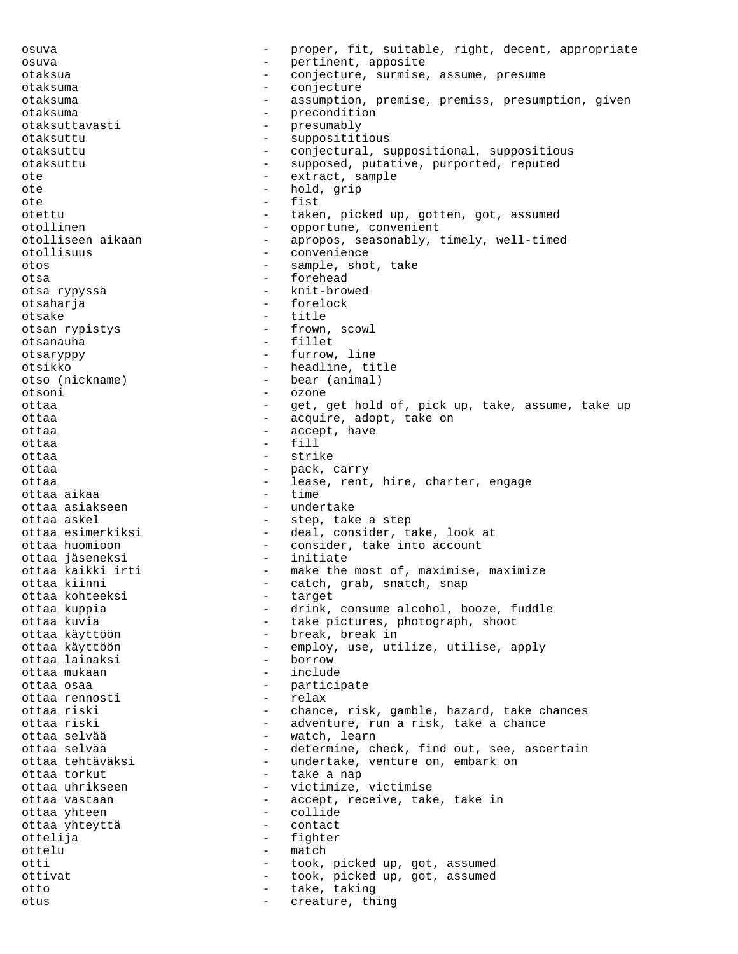osuva - proper, fit, suitable, right, decent, appropriate osuva - pertinent, apposite otaksua - conjecture, surmise, assume, presume otaksuma - conjecture otaksuma - assumption, premise, premiss, presumption, given otaksuma - precondition otaksuttavasti - presumably<br>otaksuttu - suppositit otaksuttu - supposititious otaksuttu - conjectural, suppositional, suppositious otaksuttu - supposed, putative, purported, reputed ote - extract, sample<br>
ote - hold grip ote - hold, grip<br>
ote - hold, grip ote - fist otettu - taken, picked up, gotten, got, assumed otollinen - opportune, convenient otolliseen aikaan - apropos, seasonably, timely, well-timed otollisuus - convenience otos - sample, shot, take<br>otsa - forehead otsa - forehead otsa rypyssä otsaharja - forelock<br>otsake - fitle otsake otsan rypistys - frown, scowl otsanauha - fillet - furrow, line otsikko - headline, title otso (nickname) - bear (animal) otsoni - ozone ottaa - get, get hold of, pick up, take, assume, take up ottaa - acquire, adopt, take on ottaa - accept, have ottaa - fill ottaa - strike ottaa - pack, carry<br>ottaa - pack, carry<br>- lease rent ottaa - lease, rent, hire, charter, engage<br>
- time<br>
- time ottaa aikaa ottaa asiakseen - undertake ottaa askel een meer van die step, take a step ottaa esimerkiksi - deal, consider, take, look at ottaa huomioon - consider, take into account ottaa jäseneksi<br>ottaa kaikki irti ottaa kaikki irti - make the most of, maximise, maximize<br>ottaa kiinni - catch, qrab, snatch, snap - catch, grab, snatch, snap<br>- target ottaa kohteeksi - target ottaa kuppia - drink, consume alcohol, booze, fuddle<br>ottaa kuvia - take pictures, photograph, shoot ottaa kuvia - take pictures, photograph, shoot<br>ottaa käyttöön - - break, break in - break, break in ottaa käyttöön - employ, use, utilize, utilise, apply ottaa lainaksi - borrow ottaa mukaan ottaa osaa  $-$  participate ottaa rennosti - relax ottaa riski - chance, risk, gamble, hazard, take chances ottaa riski - adventure, run a risk, take a chance ottaa selvää - watch, learn<br>ottaa selvää - - - - - - - - determine - cl ottaa selvää<br>ottaa tehtäväksi - determine, check, find out, see, ascertain<br>- undertake venture on embark on ottaa tehtäväksi  $\overline{\phantom{a}}$  - undertake, venture on, embark on ottaa torkut ottaa torkut - take a nap ottaa uhrikseen  $-$  victimize, victimise ottaa vastaan - accept, receive, take, take in ottaa yhteen - collide ottaa yhteyttä - contact ottelija - fighter ottelu - match otti - took, picked up, got, assumed ottivat - took, picked up, got, assumed otto - take, taking otus - creature, thing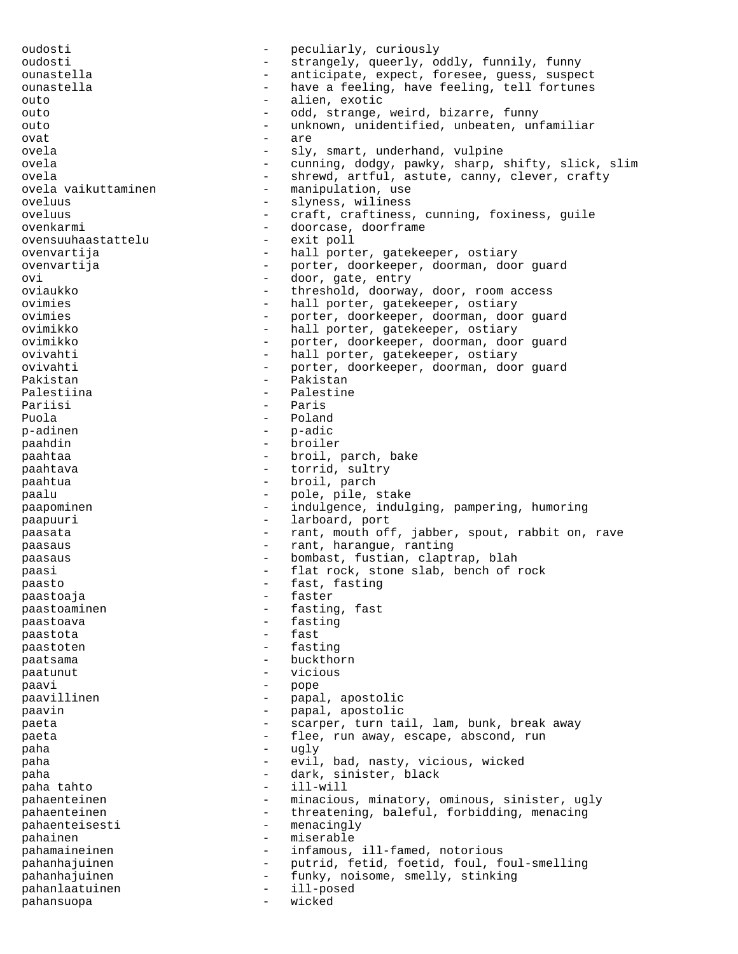oudosti - peculiarly, curiously oudosti - strangely, queerly, oddly, funnily, funny ounastella - anticipate, expect, foresee, guess, suspect ounastella - have a feeling, have feeling, tell fortunes outo  $-$  alien, exotic outo - odd, strange, weird, bizarre, funny outo - unknown, unidentified, unbeaten, unfamiliar ovat - are ovela - sly, smart, underhand, vulpine ovela - cunning, dodgy, pawky, sharp, shifty, slick, slim ovela - shrewd, artful, astute, canny, clever, crafty<br>ovela vaikuttaminen - manipulation, use - manipulation, use<br>- slyness wiliness oveluus - slyness, wiliness oveluus - craft, craftiness, cunning, foxiness, guile ovenkarmi - doorcase, doorframe ovensuuhaastattelu - exit poll ovenvartija - hall porter, gatekeeper, ostiary ovenvartija - porter, doorkeeper, doorman, door guard ovi - door, gate, entry threshold, doorway, door, room access ovimies - hall porter, gatekeeper, ostiary<br>ovimies - porter doorkeeper doorman door porter, doorkeeper, doorman, door guard ovimikko - hall porter, gatekeeper, ostiary ovimikko - porter, doorkeeper, doorman, door guard ovivahti - hall porter, gatekeeper, ostiary ovivahti - porter, doorkeeper, doorman, door guard Pakistan - Pakistan - Pakistan Palestiina - Palestine<br>Pariisi - Paris Pariisi - Paris Puola - Poland p-adinen paahdin - broiler paahtaa - broil, parch, bake paahtava - torrid, sultry paahtua - broil, parch paalu - pole, pile, stake<br>paanominen - indulgence indul paapominen - indulgence, indulging, pampering, humoring paapuuri - larboard, port paasata - rant, mouth off, jabber, spout, rabbit on, rave<br>
rant harangue ranting paasaus - rant, harangue, ranting paasaus - bombast, fustian, claptrap, blah paasi - flat rock, stone slab, bench of rock paasto - fast, fasting<br>
paastoaja - faster - faster paastoaja paastoaminen 1988 - Fasting, fast paastoava - fasting paastota - fast paastoten - fasting -<br>paatsama - buckthorn paatunut - vicious paavi – pope paavillinen - papal, apostolic paavin - papal, apostolic paeta - scarper, turn tail, lam, bunk, break away paeta - flee, run away, escape, abscond, run paha - ugly paha - evil, bad, nasty, vicious, wicked paha  $-$  dark, sinister, black paha tahto - ill-will pahaenteinen - minacious, minatory, ominous, sinister, ugly<br>
- threatening baleful forbidding menacing pahaenteinen - threatening, baleful, forbidding, menacing pahaenteisesti - menacingly pahainen - miserable pahamaineinen - infamous, ill-famed, notorious pahanhajuinen - putrid, fetid, foetid, foul, foul-smelling pahanhajuinen - funky, noisome, smelly, stinking<br>
pahanlaatuinen - ill-posed pahanlaatuinen - ill-posed<br>pahansuopa - wicked pahansuopa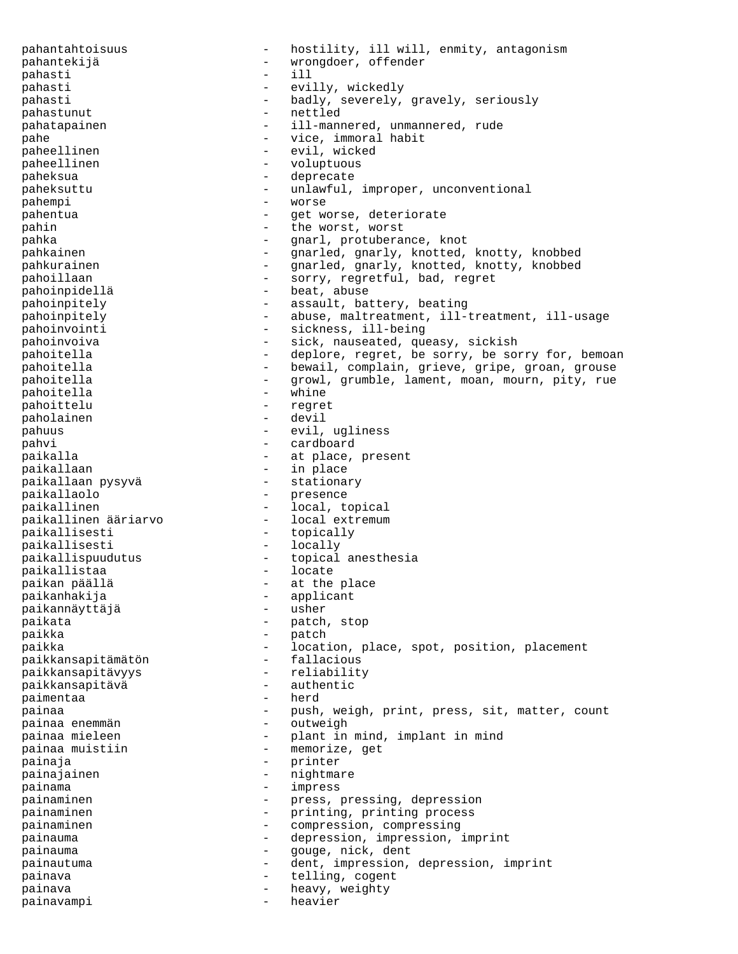pahantahtoisuus - hostility, ill will, enmity, antagonism pahantekijä - wrongdoer, offender<br>
pahasti - ill<br>
- ill pahasti - ill pahasti - evilly, wickedly pahasti - badly, severely, gravely, seriously<br>
pahastunut - nettled pahastunut pahatapainen - ill-mannered, unmannered, rude pahe  $-$  vice, immoral habit paheellinen - evil, wicked<br>
paheellinen - voluntuous paheellinen - voluptuous paheksua - deprecate paheksuttu - unlawful, improper, unconventional pahempi - worse pahentua  $\qquad \qquad -$  get worse, deteriorate pahin  $-$  the worst, worst pahka  $-$  gnarl, protuberance, knot pahkainen - gnarled, gnarly, knotted, knotty, knobbed - gnarled, gnarly, knotted, knotty, knobbed pahoillaan - sorry, regretful, bad, regret pahoinpidellä - beat, abuse pahoinpitely - assault, battery, beating pahoinpitely - abuse, maltreatment, ill-treatment, ill-usage - sickness, ill-being pahoinvoiva - sick, nauseated, queasy, sickish pahoitella - deplore, regret, be sorry, be sorry for, bemoan pahoitella - bewail, complain, grieve, gripe, groan, grouse pahoitella - growl, grumble, lament, moan, mourn, pity, rue pahoitella - whine pahoittelu - regret paholainen pahuus - evil, ugliness pahvi - cardboard paikalla  $-$  at place, present paikallaan - in place paikallaan pysyvä paikallaolo - presence n 1000 - Local, topical<br>
paikallinen ääriarvo - Local extremum - local extremum paikallisesti - topically -<br>paikallisesti - locally paikallispuudutus - topical anesthesia paikallistaa -<br>paikan päällä - - - - - - - - - at the place paikanhakija - applicant<br>naikannävttäjä - usher - usher paikannäyttäjä<br>paikata paikata - patch, stop - patch paikka - location, place, spot, position, placement<br>naikkansapitämätön - fallacious paikkansapitämätön - fallacious paikkansapitävyys - reliability paikkansapitävä - authentic paimentaa painaa - push, weigh, print, press, sit, matter, count painaa enemmän - outweigh -<br>painaa mieleen - - plant in mind, implant in mind painaa muistiin - memorize, get painaja - printer - printer painajainen - printer - printer - printer - printer - printer - printer - printer painajainen painama - impress painaminen - press, pressing, depression painaminen en anderes von de printing, printing process painaminen - compression, compressing painauma - depression, impression, imprint painauma - gouge, nick, dent painautuma - dent, impression, depression, imprint painava  $-$  telling, cogent painava  $-$  heavy, weighty painavampi - heavier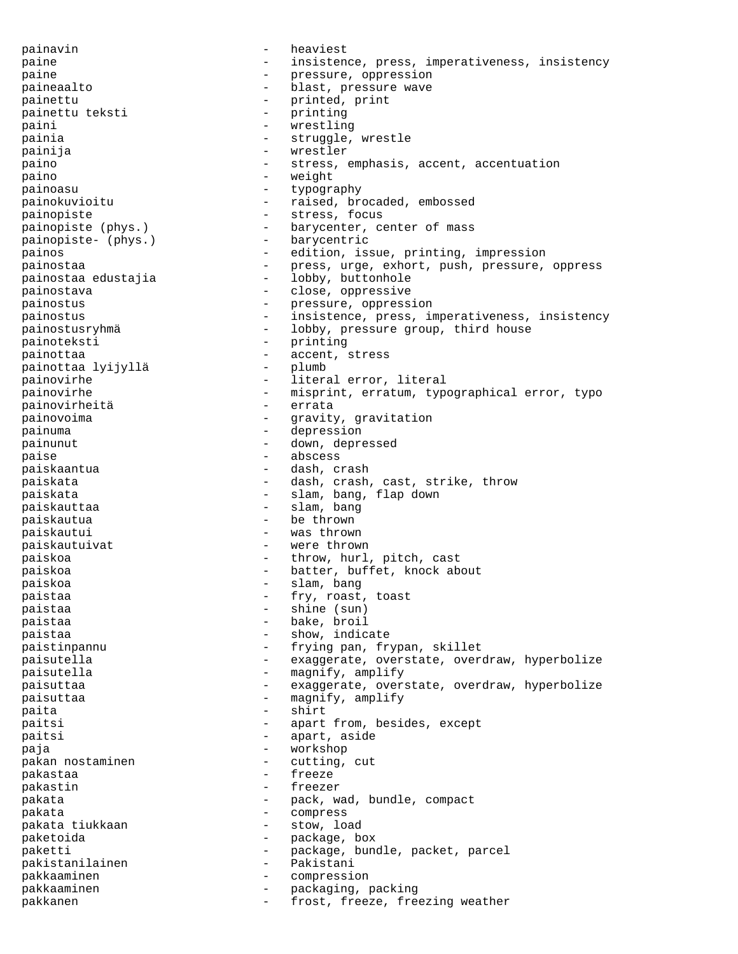painavin - heaviest paine  $\qquad \qquad \qquad -$  insistence, press, imperativeness, insistency paine  $\qquad \qquad -$  pressure, oppression paineaalto - blast, pressure wave painettu - printed, print painettu teksti - printing paini - wrestling painia  $-$  struggle, wrestle painija - wrestler paino  $-$  stress, emphasis, accent, accentuation paino - weight painoasu - typography painokuvioitu - raised, brocaded, embossed painopiste  $-$  stress, focus painopiste (phys.) - barycenter, center of mass<br>painopiste- (phys.) - barycentric painopiste-  $(phys.)$ painos - edition, issue, printing, impression painostaa - press, urge, exhort, push, pressure, oppress painostaa edustajia - lobby, buttonhole painostava  $\qquad \qquad \qquad -$  close, oppressive painostus - pressure, oppression painostus - insistence, press, imperativeness, insistency painostusryhmä - lobby, pressure group, third house painoteksti - printing painottaa - accent, stress painottaa lyijyllä painovirhe  $\qquad \qquad -$  literal error, literal painovirhe - misprint, erratum, typographical error, typo painovirheitä - errata painovoima external control of the gravity, gravitation painuma - depression<br>
painumut - down depre painunut - down, depressed paise - abscess paiskaantua - dash, crash paiskata - dash, crash, cast, strike, throw paiskata  $-$  slam, bang, flap down paiskauttaa - slam, bang paiskautua - be thrown paiskautui - was thrown paiskautuivat - were thrown paiskoa - throw, hurl, pitch, cast paiskoa - batter, buffet, knock about paiskoa - slam, bang paistaa - fry, roast, toast<br>paistaa - shine (sun) paistaa - shine (sun) paistaa - bake, broil paistaa - show, indicate paistinpannu - frying pan, frypan, skillet paisutella - exaggerate, overstate, overdraw, hyperbolize paisutella  $-$  magnify, amplify paisuttaa - exaggerate, overstate, overdraw, hyperbolize paisuttaa  $-$  magnify, amplify paita - shirt paitsi - apart from, besides, except paitsi  $-$  apart, aside paja - workshop pakan nostaminen - cutting, cut pakastaa pakastin - freezer pakata - pack, wad, bundle, compact<br>
- compress pakata  $-$  compress pakata tiukkaan  $-$  stow, load paketoida - package, box paketti  $\qquad \qquad -$  package, bundle, packet, parcel pakistanilainen - Pakistani pakkaaminen - compression pakkaaminen - packaging, packing pakkanen - frost, freeze, freezing weather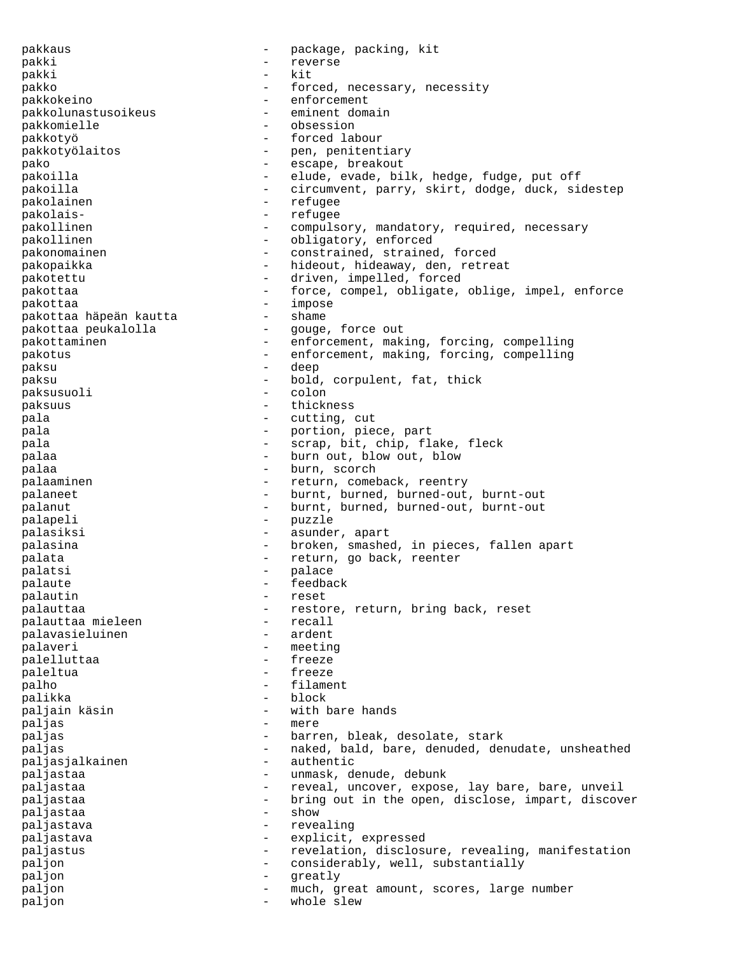pakkaus - package, packing, kit pakki - reverse pakki - kit pakko  $-$  forced, necessary, necessity pakkokeino - enforcement pakkolunastusoikeus - eminent domaineus<br>
pakkomielle - obsession pakkomielle pakkotyö - forced labour pakkotyölaitos - pen, penitentiary pako  $-$  escape, breakout pakoilla - elude, evade, bilk, hedge, fudge, put off pakoilla - circumvent, parry, skirt, dodge, duck, sidestep pakolainen - refugee pakolais- - refugee pakollinen - compulsory, mandatory, required, necessary pakollinen - obligatory, enforced pakonomainen - constrained, strained, forced pakopaikka - hideout, hideaway, den, retreat<br>nakotettu - driven impelled forced pakotettu - driven, impelled, forced pakottaa - force, compel, obligate, oblige, impel, enforce pakottaa - impose pakottaa häpeän kautta - shames - shames - shames - shames - shames - shames - shames - shames - shames - shames - shames - shames - shames - shames - shames - shames - shames - shames - shames - shames - shames - shames pakottaa peukalolla - gouge, force out pakottaminen - enforcement, making, forcing, compelling pakotus - enforcement, making, forcing, compelling paksu - deep paksu - bold, corpulent, fat, thick paksusuoli - colon paksuus - thickness pala  $-$  cutting, cut pala  $-$  portion, piece, part pala - scrap, bit, chip, flake, fleck palaa - burn out, blow out, blow palaa - burn, scorch palaaminen - return, comeback, reentry palaneet - burnt, burned, burned-out, burnt-out palanut - burnt, burned, burned-out, burnt-out palapeli - puzzle palasiksi - asunder, apart palasina - broken, smashed, in pieces, fallen apart palata  $-$  return, go back, reenter palatsi - palace palaute - feedback palautin - reset palauttaa  $-$  restore, return, bring back, reset palauttaa mieleen  $-$  recall palauttaa mieleen - recall palavasieluinen palaveri - meeting<br>
palelluttaa - freeze palelluttaa - freeze paleltua palho - filament palikka - block paljain käsin  $-$  with bare hands paljas - mere paljas - barren, bleak, desolate, stark<br>paljas - barren, bleak, desolate, stark paljas<br>
- naked, bald, bare, denuded, denudate, unsheathed<br>
- authentic paljasjalkainen - authentic paljastaa - unmask, denude, debunk - reveal, uncover, expose, lay bare, bare, unveil paljastaa - bring out in the open, disclose, impart, discover<br>
paljastaa - show<br>
- show paljastaa paljastava - revealing paljastava - explicit, expressed paljastus - revelation, disclosure, revealing, manifestation paljon  $-$  considerably, well, substantially paljon - greatly paljon - much, great amount, scores, large number paljon - whole slew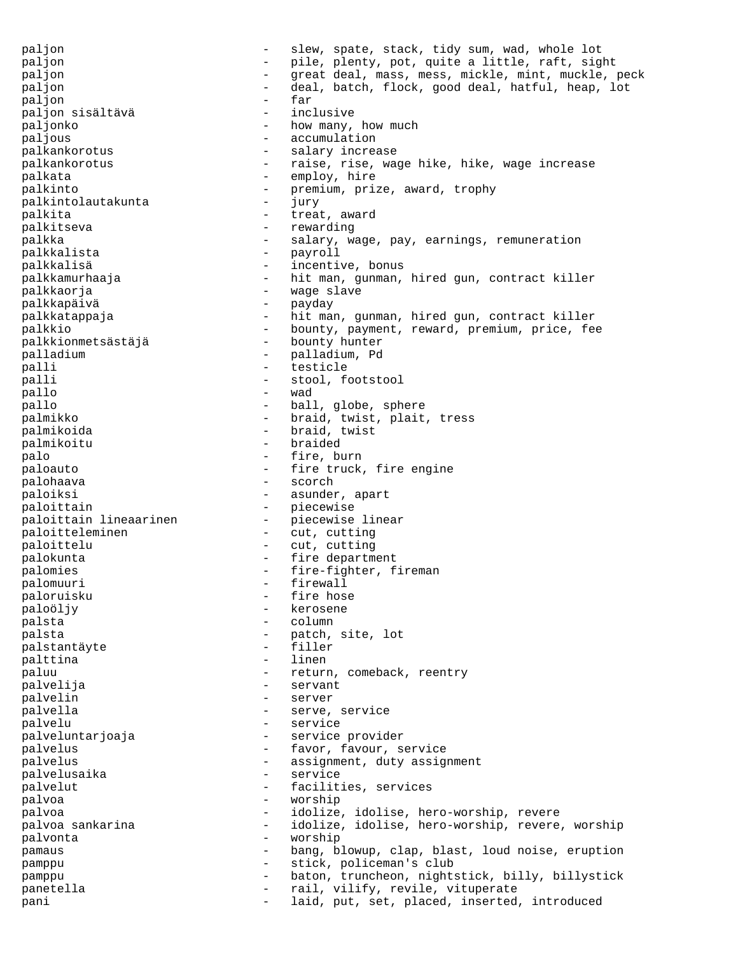paljon - slew, spate, stack, tidy sum, wad, whole lot paljon - pile, plenty, pot, quite a little, raft, sight paljon - great deal, mass, mess, mickle, mint, muckle, peck paljon - deal, batch, flock, good deal, hatful, heap, lot paljon - far paljon sisältävä paljonko - how many, how much - accumulation palkankorotus - salary increase palkankorotus - raise, rise, wage hike, hike, wage increase palkata  $-$  employ, hire palkinto - premium, prize, award, trophy palkintolautakunta - jury palkita  $-$  treat, award palkitseva - rewarding palkka  $-$  salary, wage, pay, earnings, remuneration palkkalista - payroll palkkalisä - incentive, bonus palkkamurhaaja - hit man, gunman, hired gun, contract killer palkkaorja - wage slave palkkapäivä - payday palkkatappaja - hit man, gunman, hired gun, contract killer palkkio - bounty, payment, reward, premium, price, fee .<br>palkkionmetsästäjä - - bounty hunter palladium - palladium, Pd palli  $-$  testicle palli - stool, footstool pallo - wad pallo  $-$  ball, globe, sphere palmikko - braid, twist, plait, tress -<br>palmikoida - braid, twist palmikoitu - braided palo  $-$  fire, burn paloauto  $\qquad \qquad -$  fire truck, fire engine palohaava - scorch paloiksi - asunder, apart<br>paloittain - - - - - - - - - - - - piecewise - piecewise<br>- piecewise linear paloittain lineaarinen - piecewise linearinen - piecewise linearinen - cut, cutting paloitteleminen paloittelu - cut, cutting palokunta  $-$  fire department palomies - fire-fighter, fireman palomuuri - firewall<br>
paloruisku - firehose paloruisku paloöljy - kerosene palsta - column palsta - patch, site, lot palstantäyte palttina - linen paluu - return, comeback, reentry palvelija - servant palvelin - server palvella  $\qquad \qquad$  - serve, service palvelu - service palveluntarjoaja - service provider palvelus - favor, favour, service palvelus - assignment, duty assignment<br>
palvelusaika - service - service palvelusaika palvelut - facilities, services palvoa - worship palvoa - idolize, idolise, hero-worship, revere palvoa sankarina - idolize, idolise, hero-worship, revere, worship palvonta - worship pamaus and the bang, blowup, clap, blast, loud noise, eruption pamppu - stick, policeman's club pamppu - baton, truncheon, nightstick, billy, billystick panetella - rail, vilify, revile, vituperate pani **1988** - laid, put, set, placed, inserted, introduced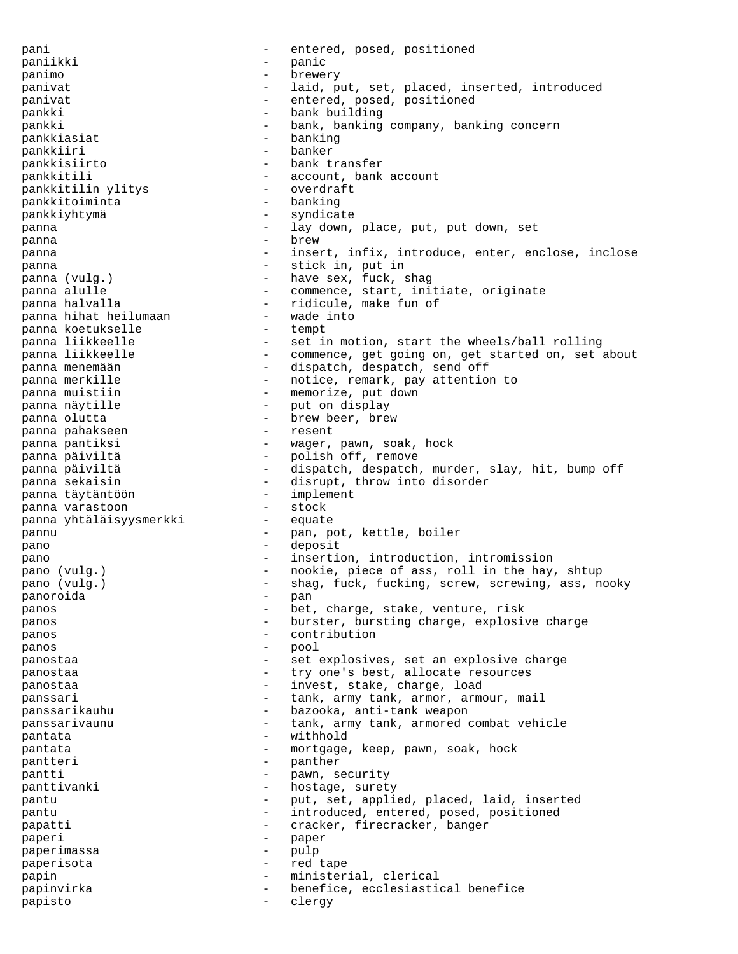pani  $-$  entered, posed, positioned paniikki - panic panimo - brewery panivat and the set, placed, inserted, introduced  $-$  laid, put, set, placed, inserted, introduced panivat - entered, posed, positioned pankki - bank building pankki - bank, banking company, banking concern pankkiasiat - banking pankkiiri - banker pankkisiirto - bank transfer pankkitili - account, bank account<br>
pankkitilin vlitys - overdraft pankkitilin ylitys overdra<br>pankkitoiminta banking pankkitoiminta pankkiyhtymä - syndicate panna  $\qquad \qquad -$  lay down, place, put, put down, set panna - brew panna and the set of the set of the set of the set of the set of the set of the set of the set of the set of the set of the set of the set of the set of the set of the set of the set of the set of the set of the set of the panna  $-$  stick in, put in panna (vulg.) - have sex, fuck, shag panna alulle - commence, start, initiate, originate<br>
panna halvalla - commence, start, initiate, originate - ridicule, make fun of<br>- wade into panna hihat heilumaan - wade into a vade into the value of the value of the value of the value of the value of the value of the value of the value of the value of the value of the value of the value of the value of the val panna koetukselle<br>panna liikkeelle - set in motion, start the wheels/ball rolling panna liikkeelle - commence, get going on, get started on, set about panna menemään - - dispatch, despatch, send off panna merkille  $-$  notice, remark, pay attention to panna muistiin  $\frac{1}{2}$  - memorize, put down<br>panna näytille  $\frac{1}{2}$  - put on display panna näytille - put on display panna olutta - brew beer, brew panna pahakseen - - - brew beer, brew panna pahakseen entityiseen oleman vantiksi kuulusta kuulusta muutti kuulusta muutti kuulusta kuulusta muutti <br>Tartoonna muutti kansaa kuulusta muutti kuulusta muutti kuulusta muutti kuulusta muutti kuulusta muutti kuulus panna pantiksi - wager, pawn, soak, hock panna päiviltä  $-$  polish off, remove panna päiviltä - dispatch, despatch, murder, slay, hit, bump off panna sekaisin - disrupt, throw into disorder<br>
panna täytäntöön - implement panna täytäntöön - implement panna varastoon - stock panna yhtäläisyysmerkki - equate pannu  $-$  pan, pot, kettle, boiler pano - deposit pano - insertion, introduction, intromission pano (vulg.) - nookie, piece of ass, roll in the hay, shtup pano (vulg.) - shag, fuck, fucking, screw, screwing, ass, nooky panoroida - pan panos **bet, charge, stake, venture, risk** panos - burster, bursting charge, explosive charge<br>
- contribution panos - contribution panos - pool panostaa - set explosives, set an explosive charge panostaa - try one's best, allocate resources panostaa - invest, stake, charge, load panssari - tank, army tank, armor, armour, mail panssarikauhu - bazooka, anti-tank weapon panssarivaunu - tank, army tank, armored combat vehicle pantata - withhold pantata - mortgage, keep, pawn, soak, hock pantteri - panther pantti  $-$  pawn, security panttivanki - hostage, surety pantu - put, set, applied, placed, laid, inserted pantu - introduced, entered, posed, positioned papatti - cracker, firecracker, banger paperi - paper paperimassa - pulp paperisota - red tape papin  $-$  ministerial, clerical papinvirka - benefice, ecclesiastical benefice papisto - clergy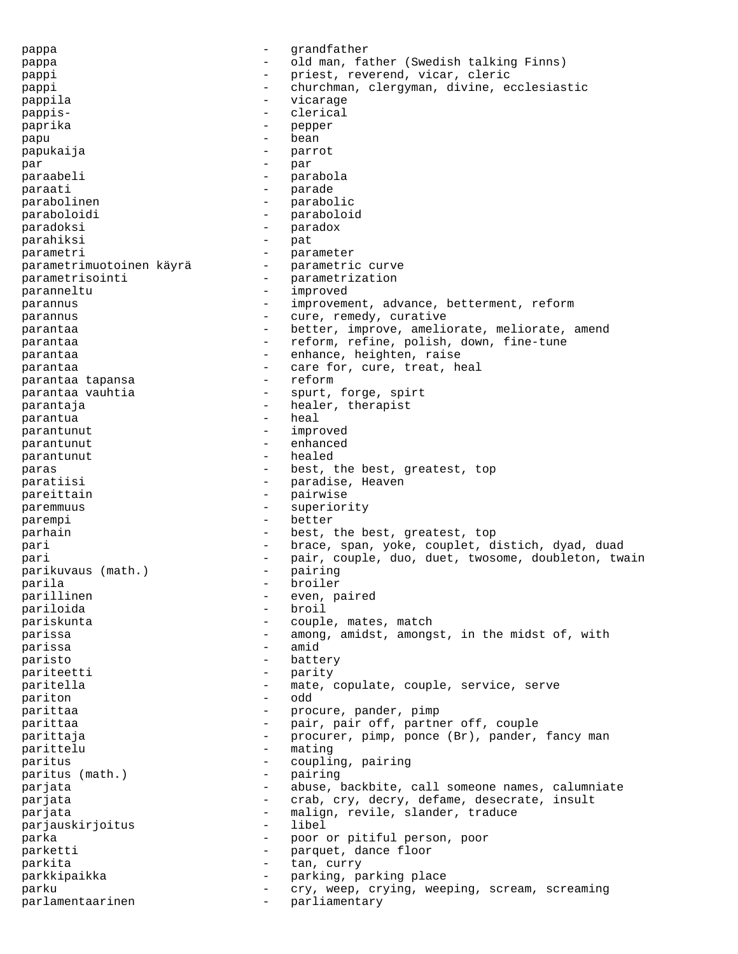pappa - grandfather pappa - old man, father (Swedish talking Finns) pappi - priest, reverend, vicar, cleric pappi - churchman, clergyman, divine, ecclesiastic pappila - vicarage pappis- - clerical paprika - pepper papu - bean papukaija - parrot par - par paraabeli - parabola paraati - parade parabolinen - parabolic paraboloidi - paraboloid paradoksi - paradox parahiksi - pat parametri - parameter parametrimuotoinen käyrä - parametric curve parametrisointi - parametrization<br>
- improved paranneltu - improved parannus and the improvement, advance, betterment, reform<br>
arannus and the cure remedy curative parannus and the cure, remedy, curative parantaa - better, improve, ameliorate, meliorate, amend parantaa - reform, refine, polish, down, fine-tune parantaa - enhance, heighten, raise parantaa - care for, cure, treat, heal parantaa tapansa  $\overline{a}$  - reform  $\overline{b}$  - reform  $\overline{b}$ parantaa vauhtia - spurt, forge, spirt parantaja - healer, therapist parantua - heal parantunut - improved parantunut parantunut - healed paras  $-$  best, the best, greatest, top paratiisi  $-$  paradise, Heaven pareittain  $\qquad \qquad -$  pairwise paremmuus - superiority parempi - better parhain  $-$  best, the best, greatest, top pari  $-$  brace, span, yoke, couplet, distich, dyad, duad pari e contracted the pair, couple, duo, duet, twosome, doubleton, twain parikuvaus (math.) - pairing parila - broiler<br>parillinen - even p parillinen - even, paired<br>
pariloida - broil - broil pariloida - broil pariskunta  $\qquad \qquad - \qquad \text{couple}, \text{mates}, \text{match}$ parissa  $-$  among, amidst, amongst, in the midst of, with parissa - amid .<br>paristo - battery pariteetti - parity paritella  $-$  mate, copulate, couple, service, serve pariton - odd<br>parittaa - pro parittaa - procure, pander, pimp<br>parittaa - pander, pander, pimp parittaa - pair, pair off, partner off, couple<br>
- procurer nimp popee (Br) pander parittaja - procurer, pimp, ponce (Br), pander, fancy man parittelu - mating<br>paritus - coupli paritus - coupling, pairing<br>
paritus (math.) - pairing - pairing paritus (math.) - pairing parjata  $-$  abuse, backbite, call someone names, calumniate parjata  $-$  crab, cry, decry, defame, desecrate, insult parjata - malign, revile, slander, traduce<br>
parjauskirjoitus - libel<br>
- libel parjauskirjoitus parka - poor or pitiful person, poor parketti - parquet, dance floor parkita - tan, curry parkkipaikka - parking, parking place<br>parku - crv. weep. crving. ween parku  $-$  cry, weep, crying, weeping, scream, screaming parlamentaarinen - parliamentary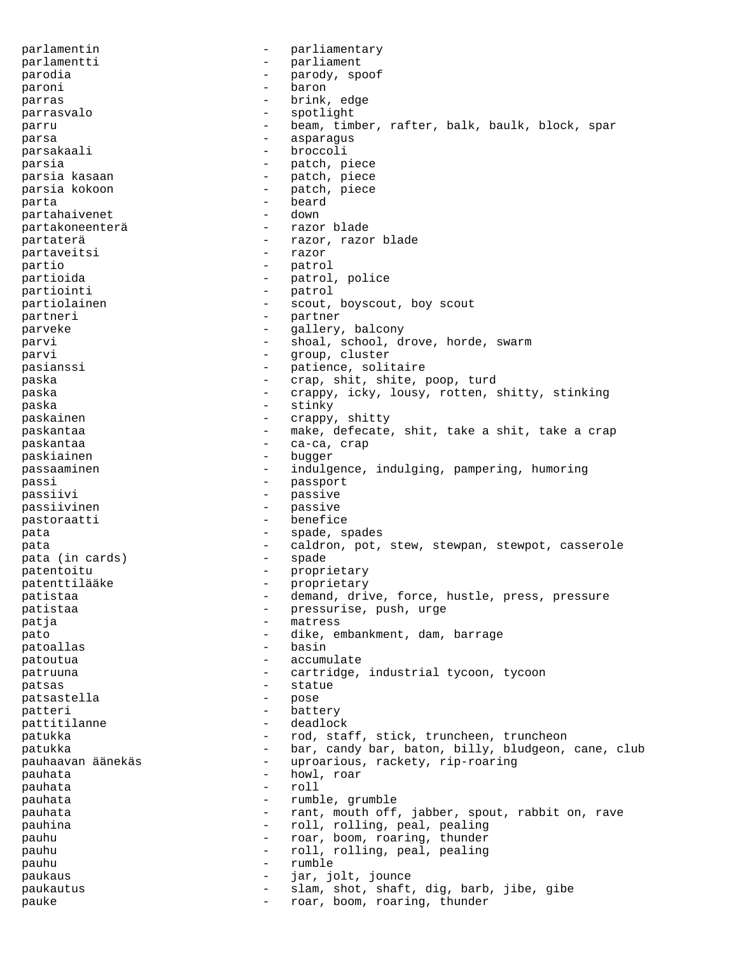parlamentin  $-$  parliamentary parlamentti - parliament parodia - parody, spoof paroni - baron parras  $-$  brink, edge parrasvalo - spotlight parru - beam, timber, rafter, balk, baulk, block, spar parsa  $-$  asparagus parsakaali - broccoli parsia - patch, piece - patch, piece<br>- patch piece parsia kokoon - patch, piece<br>
parta parta - beard partahaivenet - down partakoneenterä  $-$  razor blade partaterä - razor, razor blade partaveitsi razorat partaveitsi razorat vartaveitsi razorat vartaveitsi razorat razorat vartaveitsi r partio - patrol - patrol - patrol - patrol - patrol - patrol - patrol - patrol - patrol - patrol - patrol - patrol - patrol - patrol - patrol - patrol - patrol - patrol - patrol - patrol - patrol - patrol - patrol - patrol partioida - patrol, police<br>
partiointi - patrol partiointi - patrol partiolainen - scout, boyscout, boy scout partneri - partner<br>
partneri - partner<br>
- gallery parveke  $-$  gallery, balcony parvi **1988** - shoal, school, drove, horde, swarm parvi - group, cluster pasianssi - patience, solitaire paska - crap, shit, shite, poop, turd paska - crappy, icky, lousy, rotten, shitty, stinking paska - stinky paskainen - crappy, shitty paskantaa - make, defecate, shit, take a shit, take a crap paskantaa - ca-ca, crap paskiainen passaaminen - indulgence, indulging, pampering, humoring passi - passport passiivi - passive passiivinen - passive pastoraatti pata  $-$  spade, spades pata  $-$  caldron, pot, stew, stewpan, stewpot, casserole pata (in cards) - spade patentoitu - proprietary<br>
patenttilääke - proprietary patenttilääke - proprietary<br>
patistaa - demand dri patistaa - demand, drive, force, hustle, press, pressure patistaa - pressurise, push, urge patja - matress pato  $-$  dike, embankment, dam, barrage patoallas - basin patoutua  $\qquad \qquad -$  accumulate patruuna and the cartridge, industrial tycoon, tycoon patsas - statue patsastella - pose patteri - battery pattitilanne - deadlock patukka - rod, staff, stick, truncheen, truncheon patukka - bar, candy bar, baton, billy, bludgeon, cane, club<br>paubaayan äänekäs pauhaavan äänekäs - uproarious, rackety, rip-roaring pauhata - howl, roar pauhata pauhata  $-$  rumble, grumble pauhata - rant, mouth off, jabber, spout, rabbit on, rave pauhina  $\qquad \qquad - \qquad \text{roll, rolling, peak, pealing}$ pauhu - roar, boom, roaring, thunder pauhu  $-$  roll, rolling, peal, pealing pauhu - rumble - rumble paukaus - jar, jolt, jounce paukautus - slam, shot, shaft, dig, barb, jibe, gibe pauke  $-$  roar, boom, roaring, thunder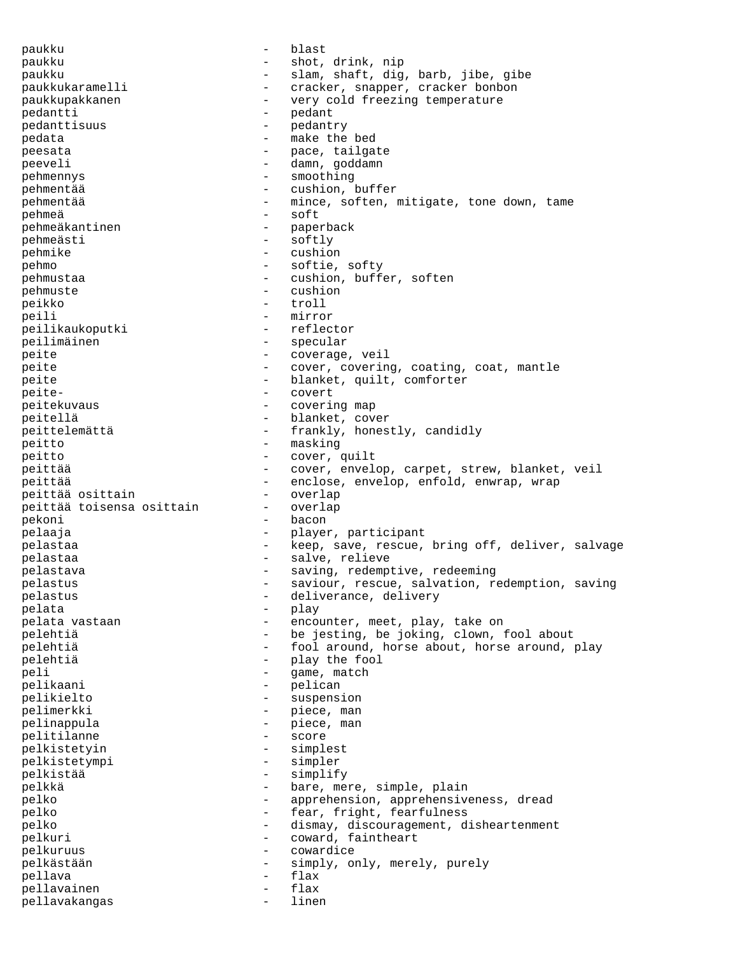paukku - blast paukku - shot, drink, nip paukku - slam, shaft, dig, barb, jibe, gibe paukkukaramelli - cracker, snapper, cracker bonbon paukkupakkanen - very cold freezing temperature pedantti - pedant pedanttisuus pedata - make the bed<br>neessta peesata - pace, tailgate<br>neeveli - damn goddamn peeveli - damn, goddamn pehmennys - smoothing pehmentää - cushion, buffer<br>nehmentää - mince soften u pehmentää - mince, soften, mitigate, tone down, tame pehmeä - soft pehmeäkantinen - paperback pehmeästi - softly pehmike - cushion pehmo - softie, softy pehmustaa - cushion, buffer, soften<br>nehmusta pehmuste - cushion<br>
peikko - troll<br>
- troll peikko - troll peili - mirror peilikaukoputki peilimäinen - specular peite - coverage, veil<br>peite - cover, covering - cover, covering, coating, coat, mantle peite  $\qquad \qquad -$  blanket, quilt, comforter peite- - covert peitekuvaus - covering map peitellä - blanket, cover<br>
peittelemättä - frankly hones peittelemättä - frankly, honestly, candidly<br>
- masking peitto - masking peitto - cover, quilt<br>
peitt<sup>55</sup> peittää - cover, envelop, carpet, strew, blanket, veil peittää - enclose, envelop, enfold, enwrap, wrap<br>
peittää osittain - overlap - enclose, envelop, enfold, enwrap, wrap peittää osittain - overlap peittää toisensa osittain - overlap<br>nekoni - bacon pekoni - bacon pelaaja - player, participant pelastaa - keep, save, rescue, bring off, deliver, salvage pelastaa - salve, relieve pelastava - saving, redemptive, redeeming pelastus - saviour, rescue, salvation, redemption, saving<br>
- deliverance delivery pelastus - deliverance, delivery<br>
- deliverance, delivery pelata - play encounter, meet, play, take on pelehtiä  $-$  be jesting, be joking, clown, fool about pelehtiä  $-$  fool around, horse about, horse around, play pelehtiä - play the fool<br>neli - came match peli - game, match pelikaani - pelican pelikielto - suspension pelimerkki - piece, man pelinappula - piece, man pelitilanne - score<br>
pelkistetyin - simple pelkistetyin - simplest pelkistetympi - simpler<br>
pelkistää - simplifi pelkistää - simplify pelkkä - bare, mere, simple, plain<br>
pelko - apprehension, apprehensive pelko - apprehension, apprehensiveness, dread<br>belko - fear, fright, fearfulness - fear, fright, fearfulness pelko - dismay, discouragement, disheartenment pelkuri - coward, faintheart pelkuruus - cowardice pelkästään - simply, only, merely, purely pellava - flax pellavainen - flax pellavakangas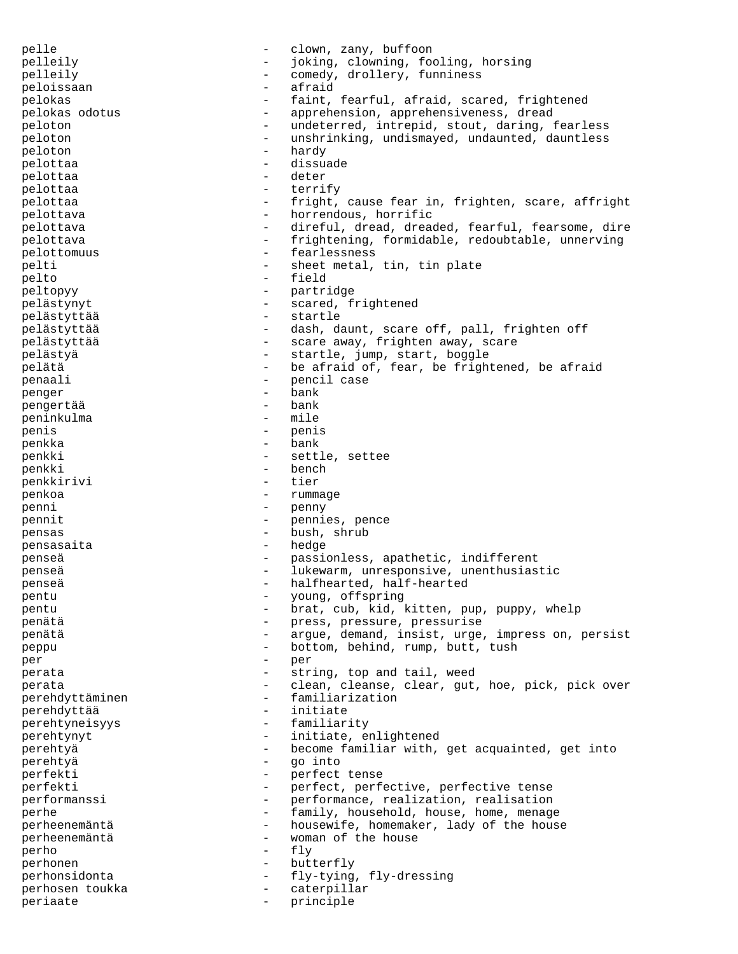pelle  $\qquad \qquad -$  clown, zany, buffoon pelleily  $-$  joking, clowning, fooling, horsing<br>  $-$  comedy drollery funniness pelleily - comedy, drollery, funniness peloissaan - afraid pelokas - faint, fearful, afraid, scared, frightened<br>pelokas odotus - apprehension, apprehensiveness, dread apprehension, apprehensiveness, dread peloton - undeterred, intrepid, stout, daring, fearless peloton - unshrinking, undismayed, undaunted, dauntless<br>
peloton - hardy peloton - hardware - hardware - hardware - hardware - hardware - hardware - hardware - hardware - hardware - h pelottaa - dissuade - dissuade - dissuade - dissuade - dissuade - dissuade - dissuade - dissuade - dissuade pelottaa - deter pelottaa - terrify pelottaa - fright, cause fear in, frighten, scare, affright pelottava - horrendous, horrific pelottava - direful, dread, dreaded, fearful, fearsome, dire pelottava  $-$  frightening, formidable, redoubtable, unnerving pelottomuus - fearlessness pelti - sheet metal, tin, tin plate<br>
- field pelto - field peltopyy - partridge - scared, frightened<br>- startle pelästyttää pelästyttää - dash, daunt, scare off, pall, frighten off pelästyttää  $-$  scare away, frighten away, scare pelästyä - startle, jump, start, boggle pelätä - be afraid of, fear, be frightened, be afraid penaali - pencil case penger - bank pengertää peninkulma - mile penis - penis penkka - bank penkki - settle, settee penkki - bench - bench - bench - bench - tier penkkirivi -<br>penkoa - rummage - rummage penni - penny pennit  $-$  pennies, pence pensas - bush, shrub - bush, shrub - bush, shrub - hedge pensasaita - hedge - hedge - hedge - hedge - hedge - hedge - hedge - hedge - hedge - hedge - hedge - hedge - h penseä - passionless, apathetic, indifferent penseä - lukewarm, unresponsive, unenthusiastic penseä - halfhearted, half-hearted pentu - young, offspring pentu enterprise of the brat, cub, kid, kitten, pup, puppy, whelp penätä - press, pressure, pressurise penätä - argue, demand, insist, urge, impress on, persist peppu - bottom, behind, rump, butt, tush per - per - per - per - per - per - per - per - per - per - per - per - per - per - per - per - per - per - per perata  $-$  string, top and tail, weed perata - clean, cleanse, clear, gut, hoe, pick, pick over perehdyttäminen - familiarization<br>
perehdyttää - initiate perehdyttää initiateen muuttavat valmista valmista valmista valmista valmista valmista valmista valmista valmi perehtyneisyys - familiarity perehtynyt - initiate, enlightened<br>
- herome familiar with perehtyä - become familiar with, get acquainted, get into<br>
- Co into perehtyä – go into<br>perfekti – go into perfekti - perfect tense<br>nerfekti - perfect nerfe perfekti - perfect, perfective, perfective tense performanssi - performance, realization, realisation perhe  $-$  family, household, house, home, menage perheenemäntä - housewife, homemaker, lady of the house<br>perheenemäntä perheenemäntä - woman of the house perho - fly perhonen - butterfly<br>
perhonsidonta - flv-tving perhonsidonta - fly-tying, fly-dressing<br>
perhosen toukka - caternillar perhosen toukka - caterpillar periaate - principle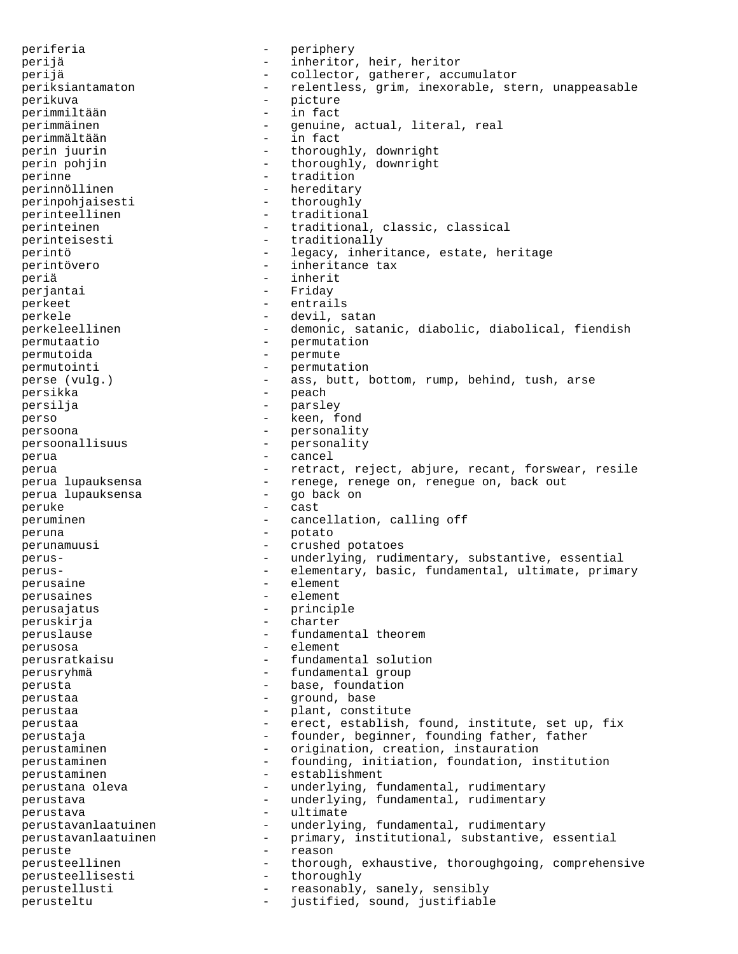periferia - periphery perijä - inheritor, heir, heritor perijä  $\qquad \qquad -$  collector, gatherer, accumulator periksiantamaton - relentless, grim, inexorable, stern, unappeasable perikuva - picture perimmiltään - in fact perimmäinen - genuine, actual, literal, real perimmältään - in fact perin juurin  $-$  thoroughly, downright perin pohjin  $-$  thoroughly, downright perinne - tradition<br>
perinnöllinen - hereditary - hereditary<br>- thoroughly perinpohjaisesti perinteellinen - traditional perinteinen - traditional, classic, classical<br>
perinteisesti - traditionally perinteisesti - traditionally perintö - legacy, inheritance, estate, heritage perintövero - inheritance tax periä - inherit perjantai - Friday perkeet - entrails perkele - devil, satan perkeleellinen - demonic, satanic, diabolic, diabolical, fiendish permutaatio en anno 1982. permutoida - permute permutointi - permutation perse (vulg.) - ass, butt, bottom, rump, behind, tush, arse persikka - peach persilja - parsley perso - keen, fond persoona - persoonality<br>
persoonallisuus - personality persoonallisuus - personality<br>nerus - cancel perua - cancel perua - retract, reject, abjure, recant, forswear, resile - renege, renege on, renegue on, back out<br>- qo back on perua lupauksensa peruke - cast peruminen - cancellation, calling off peruna - potato - potato perunamuusi - crushed potatoes perus- - underlying, rudimentary, substantive, essential perus- - elementary, basic, fundamental, ultimate, primary perusaine - element perusaines - element perusajatus - principle peruskirja - charter peruslause - fundamental theorem perusosa - element perusratkaisu - fundamental solution perusryhmä - fundamental group perusta  $-$  base, foundation perustaa - ground, base perustaa - plant, constitute perustaa - erect, establish, found, institute, set up, fix perustaja - founder, beginner, founding father, father perustaminen - origination, creation, instauration perustaminen - founding, initiation, foundation, institution perustaminen - establishment<br>nerustana oleva perustana oleva - underlying, fundamental, rudimentary perustava - underlying, fundamental, rudimentary<br>
- ultimate<br>
- ultimate perustava - ultimate<br>perustavanlaatuinen - underlyi - underlying, fundamental, rudimentary perustavanlaatuinen - primary, institutional, substantive, essential peruste extensive the contract of the reason perusteellinen - thorough, exhaustive, thoroughgoing, comprehensive perusteellisesti - thoroughly perustellusti - reasonably, sanely, sensibly perusteltu - justified, sound, justifiable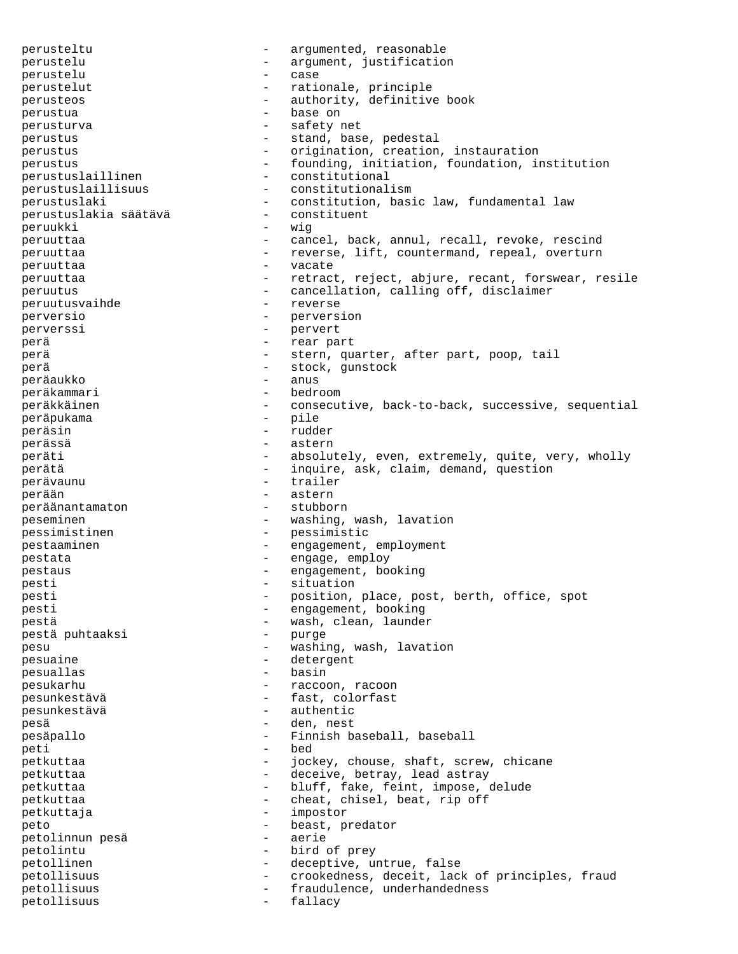perusteltu - argumented, reasonable perustelu - argument, justification perustelu - case perustelut - rationale, principle perusteos - authority, definitive book perustua - base on perusturva - safety net perustus - stand, base, pedestal<br>
perustus - crigination creation perustus - origination, creation, instauration perustus - founding, initiation, foundation, institution perustuslaillinen - constitutional perustuslaillisuus - constitutionalism<br>
perustuslaki - constitution, bas. - constitution, basic law, fundamental law perustuslakia säätävä - constituent peruukki - wig peruuttaa - cancel, back, annul, recall, revoke, rescind peruuttaa - reverse, lift, countermand, repeal, overturn peruuttaa - vacate peruuttaa - retract, reject, abjure, recant, forswear, resile<br>
- cancellation calling off disclaimer peruutus - cancellation, calling off, disclaimer<br>
peruutusvaihde - reverse peruutusvaihde perversio - perversion perverssi - pervert perä - rear part perä - stern, quarter, after part, poop, tail perä etter andre stock, gunstock peräaukko - anus peräkammari - bedroom - bedroom - bedroom - bedroom - bedroom - bedroom - bedroom - bedroom - bedroom - bedroom peräkkäinen - consecutive, back-to-back, successive, sequential peräpukama - pile peräsin - rudder perässä - astern peräti entimate - absolutely, even, extremely, quite, very, wholly perätä  $-$  inquire, ask, claim, demand, question perävaunu - trailer perään - astern peräänantamaton peseminen - washing, wash, lavation pessimistinen - pessimistic<br>pestaaminen - engagement, pestaaminen engagement, employment pestata  $-$  engage, employ pestaus - engagement, booking pesti - situation<br>
pesti - position<br>
- position pesti - position, place, post, berth, office, spot<br>
position, place, post, berth, office, spot<br>
position, place, post, berth, office, spot pesti - engagement, booking<br>nestä pestä - wash, clean, launder<br>
pestä puhtaaksi - purge - purge pestä puhtaaksi – purgestä puhtaaksi – purgesta – purgesta – purgesta – purgesta – purgesta – purgesta – purgesta – purgesta – purgesta – purgesta – purgesta – purgesta – purgesta – purgesta – purgesta – purgesta – purgest pesu - washing, wash, lavation pesuaine - detergent pesuallas pesukarhu - raccoon, racoon pesunkestävä - fast, colorfast pesunkestävä - authentic pesä - den, nest pesäpallo - Finnish baseball, baseball peti - bed petkuttaa - jockey, chouse, shaft, screw, chicane petkuttaa - deceive, betray, lead astray petkuttaa - bluff, fake, feint, impose, delude<br>- cheat chisel beat rin off petkuttaa - cheat, chisel, beat, rip off<br>
- impostor<br>
- impostor petkuttaja - impostor peto - beast, predator petolinnun pesä - aerie petolintu - bird of prey petollinen - deceptive, untrue, false petollisuus ettelisuus - crookedness, deceit, lack of principles, fraud petollisuus - fraudulence, underhandedness petollisuus - fallacy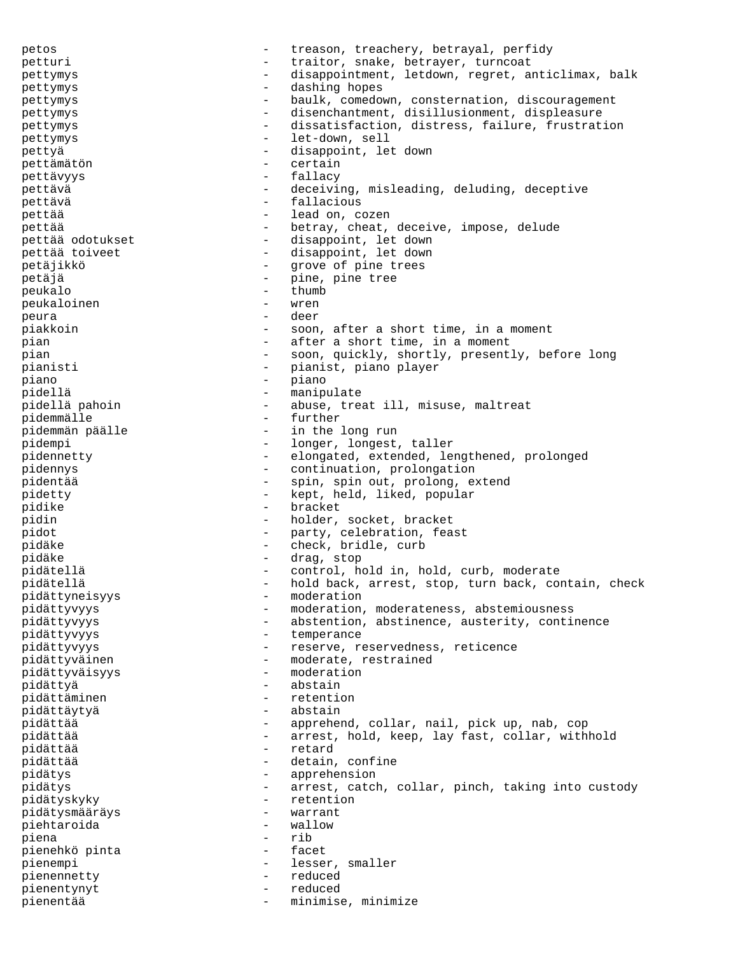petos - treason, treachery, betrayal, perfidy petturi - traitor, snake, betrayer, turncoat pettymys - disappointment, letdown, regret, anticlimax, balk pettymys - dashing hopes pettymys **-** baulk, comedown, consternation, discouragement pettymys - disenchantment, disillusionment, displeasure pettymys **and a set of the set of the set of the set of the set of the set of the set of the set of the set of the set of the set of the set of the set of the set of the set of the set of the set of the set of the set of t** pettymys - let-down, sell pettyä - disappoint, let down pettämätön - certain pettävyys - fallacy pettävä - deceiving, misleading, deluding, deceptive<br>
- fallacious<br>
- fallacious pettävä - fallacious pettää  $-$  lead on, cozen pettää - betray, cheat, deceive, impose, delude pettää odotukset  $-$  disappoint, let down pettää toiveet - disappoint, let down petäjikkö - grove of pine trees<br>netäjä petäjä - pine, pine tree<br>neukalo peukalo - thumb peukaloinen - wren peura - deer piakkoin  $-$  soon, after a short time, in a moment pian - after a short time, in a moment pian - soon, quickly, shortly, presently, before long pianisti - pianist, piano player piano - piano pidellä - manipulate pidellä pahoin - abuse, treat ill, misuse, maltreat pidemmälle - further<br>
pidemmän päälle - in the pidemmän päälle - in the long run<br>pidempi - longer, longest pidempi - longer, longest, taller pidennetty - elongated, extended, lengthened, prolonged pidennys - continuation, prolongation<br>
pidentää pidentää - spin, spin out, prolong, extend pidetty - kept, held, liked, popular pidike - bracket pidin - holder, socket, bracket pidot  $\qquad \qquad -$  party, celebration, feast pidäke - check, bridle, curb pidäke - drag, stop pidätellä - control, hold in, hold, curb, moderate pidätellä - hold back, arrest, stop, turn back, contain, check<br>nidättyneisyys - moderation pidättyneisyys - moderation pidättyvyys - moderation, moderateness, abstemiousness pidättyvyys - abstention, abstinence, austerity, continence pidättyvyys - temperance pidättyvyys - reserve, reservedness, reticence pidättyväinen - moderate, restrained<br>nidättyväisyys - moderation pidättyväisyys - moderation pidättyä - abstain pidättäminen - retention pidättäytyä - abstain pidättää - apprehend, collar, nail, pick up, nab, cop pidättää - - arrest, hold, keep, lay fast, collar, withhold<br>nidättää - - - - - - - retard pidättää - retard pidättää - detain, confine pidätys - apprehension pidätys - arrest, catch, collar, pinch, taking into custody pidätyskyky - retention pidätysmääräys - warrant piehtaroida piena - rib pienehkö pinta - facet pienempi - lesser, smaller<br>pienennetty - reduced pienennetty - reduced pienentynyt - reduced minimise, minimize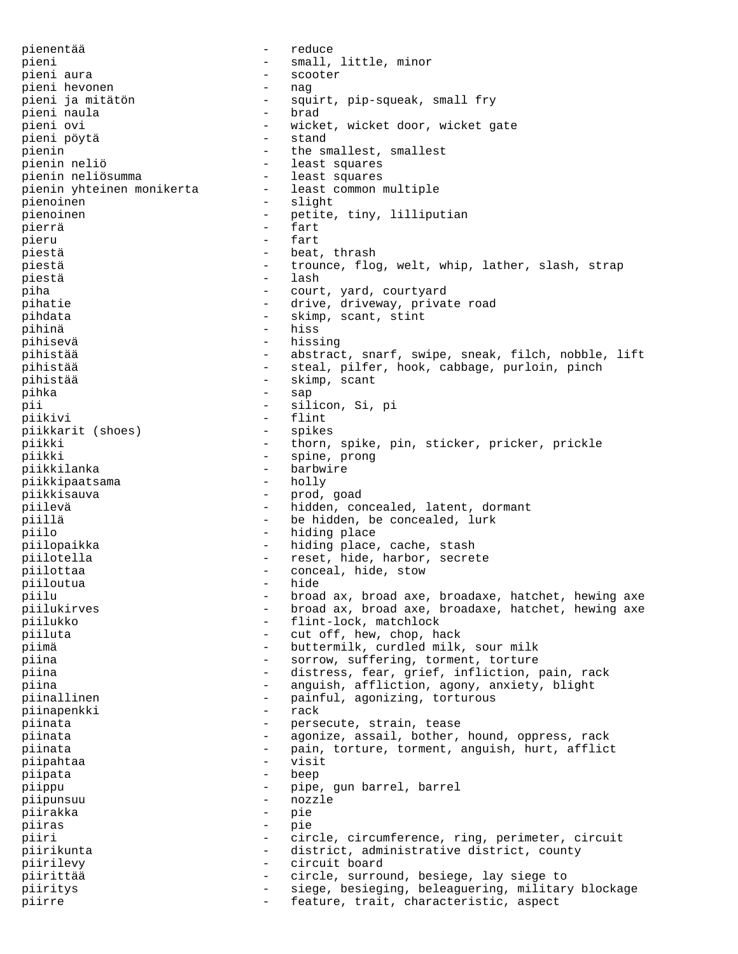pienentää - reduce pieni  $-$  small, little, minor pieni aura - scooter pieni hevonen<br>pieni ja mitätön pieni squirt, pip-squeak, small fry<br>- brad pieni naula<br>pieni ovi - wicket, wicket door, wicket gate<br>- stand pieni pöytä pienin  $-$  the smallest, smallest pienin neliö - least squares pienin neliösumma<br>
pienin yhteinen monikerta least common multiple pienin yhteinen monikerta pienoinen - slight pienoinen - petite, tiny, lilliputian pierrä - fart pieru - fart piestä - beat, thrash piestä - trounce, flog, welt, whip, lather, slash, strap piestä - lash piha - court, yard, courtyard<br>pihatie - courtyard - drive, driveway, priva - drive, driveway, private road pihdata - skimp, scant, stint pihinä - hiss pihisevä - hissing pihistää - abstract, snarf, swipe, sneak, filch, nobble, lift pihistää - steal, pilfer, hook, cabbage, purloin, pinch pihistää - skimp, scant pihka - sap pii - silicon, Si, pi piikivi - flint<br>piikkarit (shoes) - spikes piikkarit (shoes) piikki - thorn, spike, pin, sticker, pricker, prickle<br>piikki - spine, prong piikki - spine, prong<br>piikkilanka - - - - - - - - - barbwire - barbwire<br>- holly piikkipaatsama piikkisauva - prod, goad piilevä - hidden, concealed, latent, dormant piillä - be hidden, be concealed, lurk piilo - hiding place piilopaikka - hiding place, cache, stash piilotella - reset, hide, harbor, secrete<br> piilottaa - reset, hide, stow - conceal, hide, stow conceal, hide, stow<br>hide piiloutua piilu - broad ax, broad axe, broadaxe, hatchet, hewing axe piilukirves - broad ax, broad axe, broadaxe, hatchet, hewing axe piilukko - flint-lock, matchlock - cut off, hew, chop, hack piimä - buttermilk, curdled milk, sour milk piina  $-$  sorrow, suffering, torment, torture piina - distress, fear, grief, infliction, pain, rack piina - anguish, affliction, agony, anxiety, blight<br>
- painful agonizing torturous piinallinen - painful, agonizing, torturous piinapenkki - rack piinata  $-$  persecute, strain, tease piinata - agonize, assail, bother, hound, oppress, rack piinata - pain, torture, torment, anguish, hurt, afflict piipahtaa - visit piipata piippu - pipe, gun barrel, barrel - 1-1-<br>piipunsuu - nozzle<br>piirakka - pie piirakka piiras - pie piiri - circle, circumference, ring, perimeter, circuit piirikunta - district, administrative district, county piirilevy - circuit board piirittää - circle, surround, besiege, lay siege to piiritys - siege, besieging, beleaguering, military blockage piirre  $-$  feature, trait, characteristic, aspect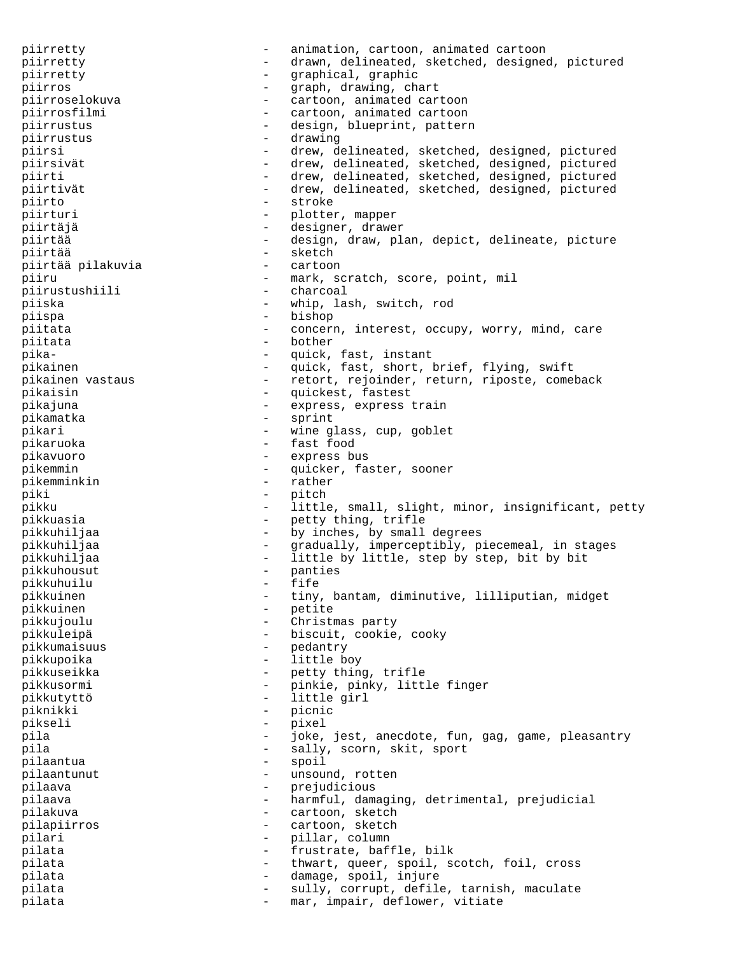piirretty - animation, cartoon, animated cartoon piirretty - drawn, delineated, sketched, designed, pictured piirretty  $-$  graphical, graphic piirros - graph, drawing, chart piirroselokuva - cartoon, animated cartoon piirrosfilmi - cartoon, animated cartoon piirrustus - design, blueprint, pattern piirrustus - drawing piirsi - drew, delineated, sketched, designed, pictured<br>piirsivät - drew, delineated, sketched, designed, pictured - drew, delineated, sketched, designed, pictured piirti - drew, delineated, sketched, designed, pictured piirtivät - drew, delineated, sketched, designed, pictured piirto - stroke piirturi - plotter, mapper piirtäjä - designer, drawer - design, draw, plan, depict, delineate, picture piirtää - sketch piirtää pilakuvia - cartoon piiru - mark, scratch, score, point, mil<br>
- charcoal piirustushiili - charcoal<br>piiska - whip la piiska - whip, lash, switch, rod piispa - bishop - bishop - bishop - concern piitata - concern, interest, occupy, worry, mind, care piitata - bother pika- - quick, fast, instant - quick, fast, short, brief, flying, swift pikainen vastaus - retort, rejoinder, return, riposte, comeback<br>nikaisin pikaisin - quickest, fastest pikajuna - express, express train pikamatka - sprinter - sprinter - sprinter - sprinter - sprinter - sprinter - sprinter - sprinter pikari - wine glass, cup, goblet<br>
- fast food pikaruoka - fast food pikavuoro - express bus pikemmin - quicker, faster, sooner<br>
rikemminkin - rather pikemminkin<br>piki - pitch pikku - little, small, slight, minor, insignificant, petty pikkuasia - petty thing, trifle pikkuhiljaa - by inches, by small degrees pikkuhiljaa - gradually, imperceptibly, piecemeal, in stages pikkuhiljaa - little by little, step by step, bit by bit pikkuhousut - panties pikkuhuilu - fife - fife - fife - fife - fife - fife - fife - fife - fife - fife - fife - fife - fife - fife - fife - fife - fife - fife - fife - fife - fife - fife - fife - fife - fife - fife - fife - fife - fife - fife pikkuinen - tiny, bantam, diminutive, lilliputian, midget pikkuinen - petite pikkujoulu - Christmas party pikkuleipä - biscuit, cookie, cooky pikkumaisuus - pedantry pikkupoika - little boy pikkuseikka - petty thing, trifle pikkusormi - pinkie, pinky, little finger pikkutyttö - little girl piknikki - picnic pikseli - pixel pila - joke, jest, anecdote, fun, gag, game, pleasantry pila - sally, scorn, skit, sport pilaantua pilaantunut - unsound, rotten pilaava - prejudicious pilaava - harmful, damaging, detrimental, prejudicial pilakuva - cartoon, sketch pilapiirros - cartoon, sketch pilari - pillar, column pilata - frustrate, baffle, bilk pilata  $-$  thwart, queer, spoil, scotch, foil, cross pilata - damage, spoil, injure pilata - sully, corrupt, defile, tarnish, maculate pilata - mar, impair, deflower, vitiate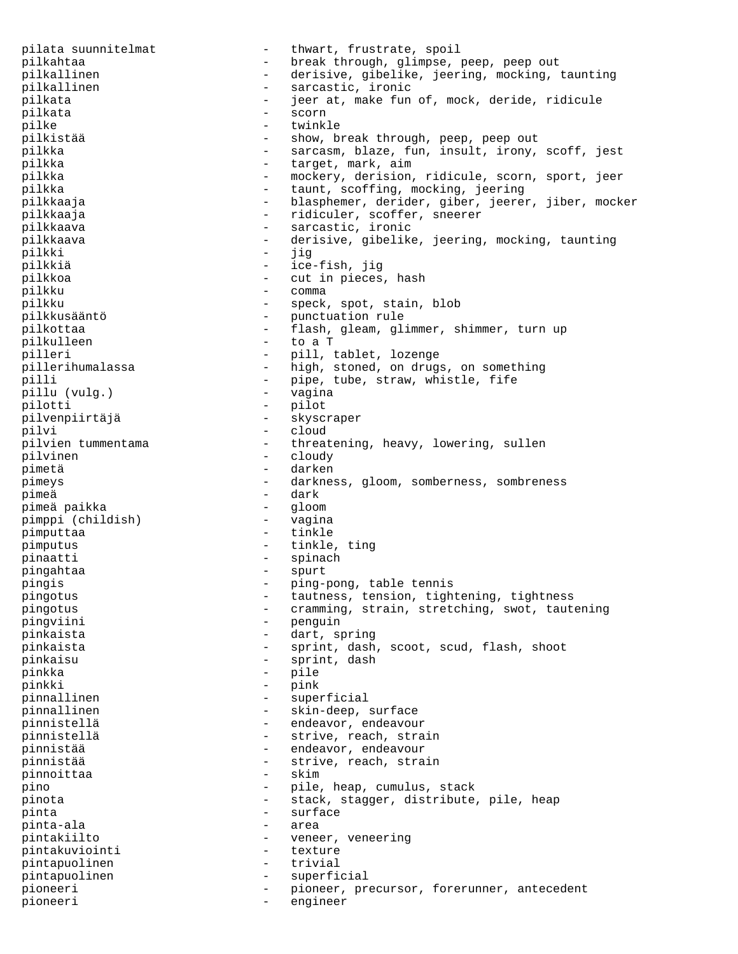pilata suunnitelmat - thwart, frustrate, spoil pilkahtaa - break through, glimpse, peep, peep out pilkallinen - derisive, gibelike, jeering, mocking, taunting pilkallinen - sarcastic, ironic pilkata - jeer at, make fun of, mock, deride, ridicule pilkata - scorn pilke - twinkle - twinkle - twinkle - twinkle - twinkle - twinkle - twinkle - twinkle - twinkle - twinkle - tw<br>- twinkle - twinkle - show, b: - show, break through, peep, peep out pilkka - sarcasm, blaze, fun, insult, irony, scoff, jest pilkka  $-$  target, mark, aim pilkka - mockery, derision, ridicule, scorn, sport, jeer pilkka - taunt, scoffing, mocking, jeering pilkkaaja - blasphemer, derider, giber, jeerer, jiber, mocker pilkkaaja - ridiculer, scoffer, sneerer pilkkaava - sarcastic, ironic pilkkaava - derisive, gibelike, jeering, mocking, taunting pilkki – jig<br>pilkkiä – joe pilkkiä - ice-fish, jig pilkkoa - cut in pieces, hash - cut in pieces, hash - cut in pieces, hash - cut in pieces, hash - command - cut in pieces, hash - cut in pieces, hash - cut in pieces, hash - cut in pieces, hash - cut in pieces, hash - cut pilkku - comma pilkku - speck, spot, stain, blob<br>pilkkusääntö - - - - - - - - - punctuation rule - punctuation rule pilkottaa - flash, gleam, glimmer, shimmer, turn up pilkulleen - to a T pilleri - pill, tablet, lozenge pillerihumalassa - high, stoned, on drugs, on something pilli  $\begin{array}{ccc} \text{pill} & - & \text{pipe, tube, straw, white, file} \\ \text{pill} & \text{(vula)} & - & \text{waqina} \end{array}$ pillu (vulg.) - vagina pilotti - pilot<br>nilvenniirtäjä - skysc pilvenpiirtäjä - skyscraper pilvi - cloud<br>pilvien tummentama - cloud - threa - threatening, heavy, lowering, sullen pilvinen - cloudy pimetä - darken pimeys - darkness, gloom, somberness, sombreness pimeä - dark pimeä paikka - gloom pimppi (childish) pimputtaa - tinkle pimputus - tinkle, ting pinaatti - spinach pingahtaa - spurte aan spurte aan spurte aan spurte aan spurte aan spurte aan spurte aan spurte aan spurte aan pingis - ping-pong, table tennis pingotus - tautness, tension, tightening, tightness pingotus - cramming, strain, stretching, swot, tautening pingviini - penguin pinkaista - dart, spring pinkaista - sprint, dash, scoot, scud, flash, shoot pinkaisu - sprint, dash pinkka - pile pinkki - pink pinnallinen - superficial pinnallinen - skin-deep, surface pinnistellä  $\qquad \qquad -$  endeavor, endeavour pinnistellä  $-$  strive, reach, strain pinnistää - endeavor, endeavour pinnistää - strive, reach, strain pinnoittaa - skim pino - pile, heap, cumulus, stack pinota - stack, stagger, distribute, pile, heap pinta - surface pinta-ala pintakiilto - veneer, veneering pintakuviointi - texture pintapuolinen - trivial<br>pintapuolinen - superfi pintapuolinen - superficial pioneeri - pioneer, precursor, forerunner, antecedent pioneeri - engineer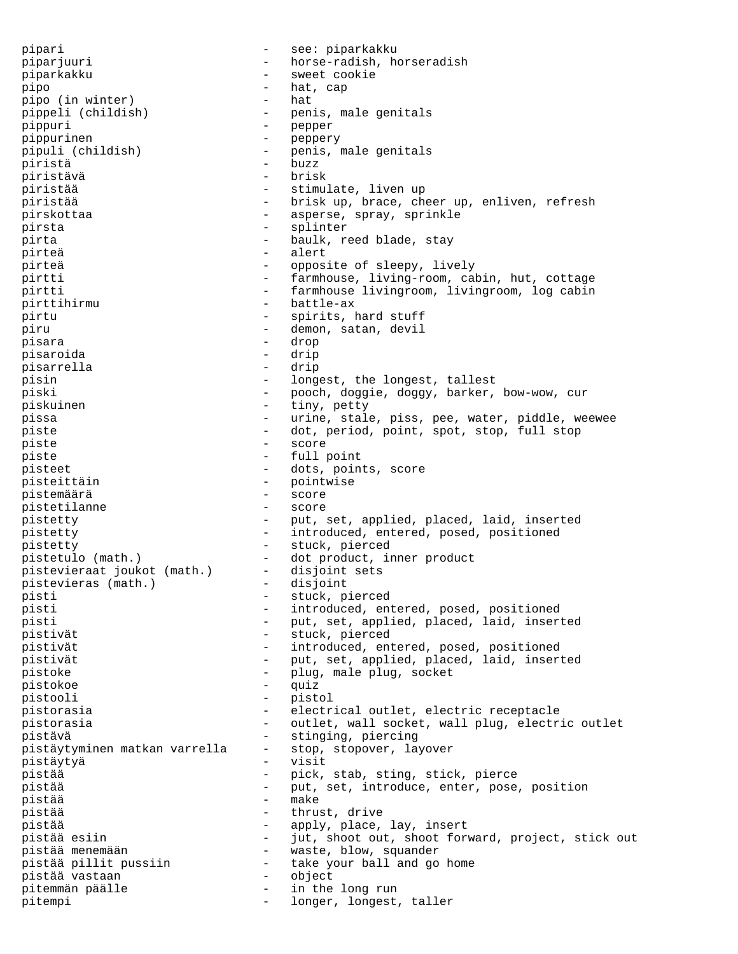pipari - see: piparkakku piparjuuri - horse-radish, horseradish piparkakku - sweet cookie pipo<br>pipo (in winter) - hat, cap<br>- hat pipo (in winter) pippeli (childish) - penis, male genitals - pepper pippurinen – peppery<br>pipuli (childish) – penis, p - penis, male genitals piristä - buzz piristävä piristää - stimulate, liven up piristää - brisk up, brace, cheer up, enliven, refresh pirskottaa - asperse, spray, sprinkle pirsta - splinter pirta  $-$  baulk, reed blade, stay pirteä - alert pirteä - opposite of sleepy, lively pirtti - farmhouse, living-room, cabin, hut, cottage pirtti - farmhouse livingroom, livingroom, log cabin pirttihirmu - battle-ax pirtu - spirits, hard stuff piru - demon, satan, devil pisara - drop - drop pisaroida - drip pisarrella pisin  $-$  longest, the longest, tallest<br>  $-$  pooch doggie doggy barker. piski - pooch, doggie, doggy, barker, bow-wow, cur piskuinen - tiny, petty pissa - urine, stale, piss, pee, water, piddle, weewee piste - dot, period, point, spot, stop, full stop piste - score piste - full point pisteet - dots, points, score - pointwise<br>- score pistemäärä - score pistetilanne pistetty - put, set, applied, placed, laid, inserted pistetty - introduced, entered, posed, positioned pistetty<br>
pistetulo (math.) - stuck, pierced<br>
- dot product, inner product pistetulo (math.) - dot product, inner product pistevieraat joukot (math.) - disjoint sets pistevieras (math.) - disjoint pisti - stuck, pierced<br>pisti - introduced, en pisti  $-$  introduced, entered, posed, positioned pisti  $-$  put, set, applied, placed, laid, insert - put, set, applied, placed, laid, inserted pistivät - stuck, pierced pistivät - introduced, entered, posed, positioned pistivät - put, set, applied, placed, laid, inserted pistoke  $\qquad \qquad -$  plug, male plug, socket pistokoe - quiz pistooli - pistol pistorasia - electrical outlet, electric receptacle pistorasia - outlet, wall socket, wall plug, electric outlet pistävä - stinging, piercing pistäytyminen matkan varrella - stop, stopover, layover pistäytyä - visit pistää - pick, stab, sting, stick, pierce pistää - put, set, introduce, enter, pose, position pistää - make pistää - thrust, drive<br>pistää - thrust, drive<br>- apply, place, - apply, place, lay, insert pistää esiin - jut, shoot out, shoot forward, project, stick out pistää menemään - waste, blow, squander pistää pillit pussiin - take your ball and go home pistää vastaan - object pitemmän päälle - in the long run pitempi - longer, longest, taller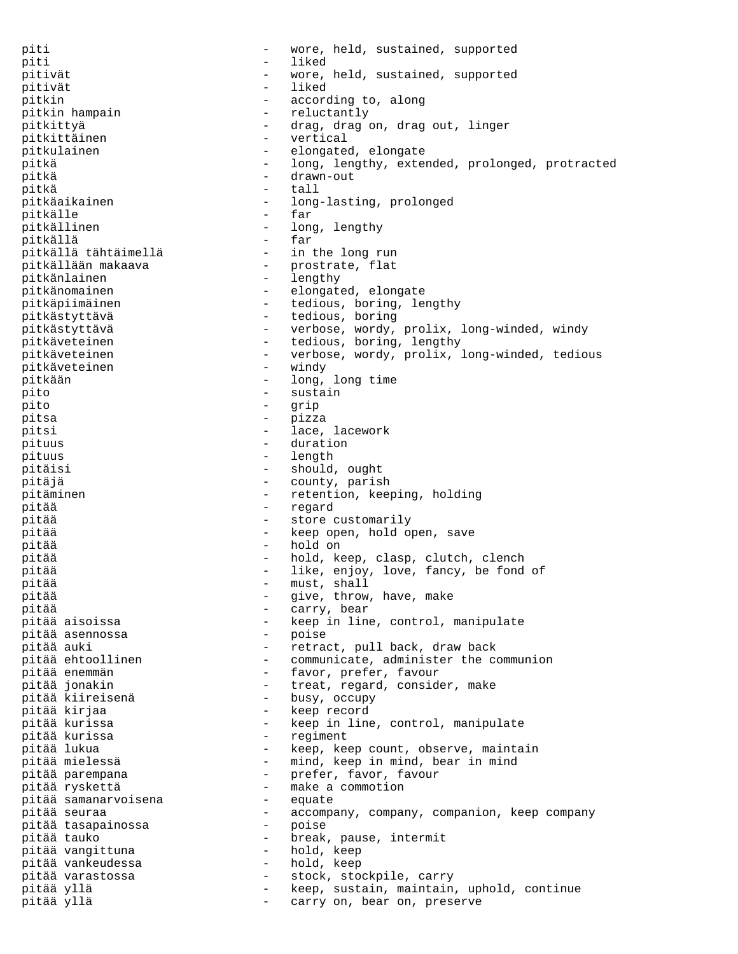piti - wore, held, sustained, supported piti - liked pitivät - wore, held, sustained, supported pitivät - liked pitkin  $\begin{array}{ccc} - & - & - \\ - & - & - \end{array}$  according to, along pitkin hampain  $\begin{array}{ccc} - & - & - \end{array}$  reluctantly - reluctantly pitkittyä - drag, drag on, drag out, linger pitkittäinen 1988 – vertical<br>
pitkulainen 1988 – elementer pitkulainen - elongated, elongate pitkä  $-$  long, lengthy, extended, prolonged, protracted pitkä – drawn-out<br>nitkä – tall – tall pitkä - tall pitkäaikainen - - long-lasting, prolonged pitkälle pitkälle pitkällinen - long, lengthy<br>pitkällä - far - far pitkällä - far - in the long run pitkällään makaava  $\qquad \qquad$  - prostrate, flat pitkänlainen - lengthy pitkänomainen - elongated, elongate pitkäpiimäinen - tedious, boring, lengthy pitkästyttävä - tedious, boring pitkästyttävä - verbose, wordy, prolix, long-winded, windy - tedious, boring, lengthy pitkäveteinen - verbose, wordy, prolix, long-winded, tedious pitkäveteinen pitkään - long, long time pito - sustain pito - grip pitsa - pizza pitsi - lace, lacework pituus - duration pituus - length pitäisi - should, ought pitäjä - county, parish pitäminen - retention, keeping, holding pitää - regard pitää - store customarily pitää - keep open, hold open, save pitää - hold on pitää - hold, keep, clasp, clutch, clench pitää  $-$  like, enjoy, love, fancy, be fond of pitää - must, shall pitää - give, throw, have, make<br>
- give, throw, have, make<br>
- carry bear pitää - carry, bear<br>pitää aisoissa - - - - - - - keep in line - keep in line, control, manipulate<br>- poise pitää asennossa pitää auki - retract, pull back, draw back pitää ehtoollinen - communicate, administer the communion<br>pitää enemmän - favor, prefer, favour - favor, prefer, favour pitää jonakin  $-$  treat, regard, consider, make pitää kiireisenä - busy, occupy pitää kirjaa - keep record pitää kurissa - keep in line, control, manipulate pitää kurissa - regiment pitää lukua - keep, keep count, observe, maintain<br>pitää mielessä - - - - - - - - mind, keep in mind, bear in mind - mind, keep in mind, bear in mind -<br>pitää parempana - - - - - - - - prefer, favor, favour<br>pitää ryskettä - - - - - - - - make a commotion - make a commotion<br>- equate pitää samanarvoisena pitää seuraa - accompany, company, companion, keep company<br>pitää tasapainossa - poise pitää tasapainossa pitää tauko - break, pause, intermit pitää vangittuna - hold, keep pitää vankeudessa<br>pitää varastossa - stock, stockpile, carry pitää yllä - keep, sustain, maintain, uphold, continue pitää yllä - carry on, bear on, preserve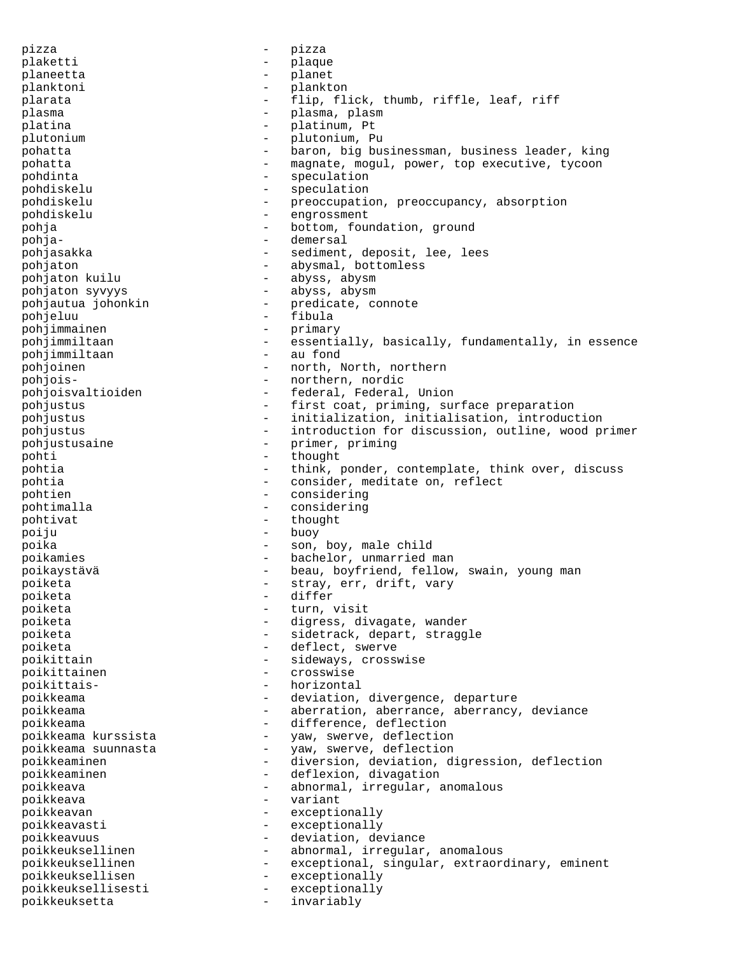pizza - pizza plaketti - plaque planeetta - planet planktoni - plankton plarata  $-$  flip, flick, thumb, riffle, leaf, riff plasma  $-$  plasma, plasm platina  $\qquad \qquad -$  platinum, Pt plutonium - plutonium, Pu pohatta - baron, big businessman, business leader, king pohatta - magnate, mogul, power, top executive, tycoon pohdinta - speculation pohdiskelu - speculation pohdiskelu - preoccupation, preoccupancy, absorption pohdiskelu - engrossment pohja - bottom, foundation, ground pohja- - demersal pohjasakka - sediment, deposit, lee, lees pohjaton - abysmal, bottomless pohjaton kuilu - abyss, abysm pohjaton syvyys - abyss, abysm pohjautua johonkin - predicate, connote pohjeluu - fibula pohjimmainen - primary pohjimmiltaan - essentially, basically, fundamentally, in essence<br>
pohjimmiltaan - au fond<br>
- au fond pohjimmiltaan pohjoinen - north, North, northern pohjois- - northern, nordic pohjoisvaltioiden - federal, Federal, Union pohjustus  $-$  first coat, priming, surface preparation pohjustus - initialization, initialisation, introduction pohjustus - introduction for discussion, outline, wood primer pohjustusaine - primer, priming<br>
- thought<br>
- thought pohti - thought pohtia - think, ponder, contemplate, think over, discuss pohtia  $-$  consider, meditate on, reflect pohtien - considering pohtimalla - considering<br>
pohtivat<br>
- thought pohtivat - thought poiju - buoy poika<br>
poikamies<br>
poikamies<br>
poikamies<br>
poikamies<br>
poikamies<br>
poikamies<br>
poikamies poikamies - bachelor, unmarried man poikaystävä - beau, boyfriend, fellow, swain, young man poiketa - stray, err, drift, vary poiketa - differ poiketa - turn, visit poiketa - digress, divagate, wander poiketa - sidetrack, depart, straggle poiketa - deflect, swerve poikittain - sideways, crosswise<br>
poikittainen - crosswise poikittainen - crosswise poikittais- - horizontal poikkeama - deviation, divergence, departure poikkeama - aberration, aberrance, aberrancy, deviance poikkeama  $-$  difference, deflection poikkeama kurssista - yaw, swerve, deflection<br>poikkeama suunnasta - vaw, swerve, deflection poikkeama suunnasta - yaw, swerve, deflection poikkeaminen - diversion, deviation, digression, deflection poikkeaminen - deflexion, divagation poikkeava - abnormal, irregular, anomalous poikkeava - variant poikkeavan exceptionally poikkeavasti - exceptionally poikkeavuus - deviation, deviance poikkeuksellinen - abnormal, irregular, anomalous poikkeuksellinen - exceptional, singular, extraordinary, eminent poikkeuksellisen - exceptionally poikkeuksellisesti - exceptionally poikkeuksetta - invariably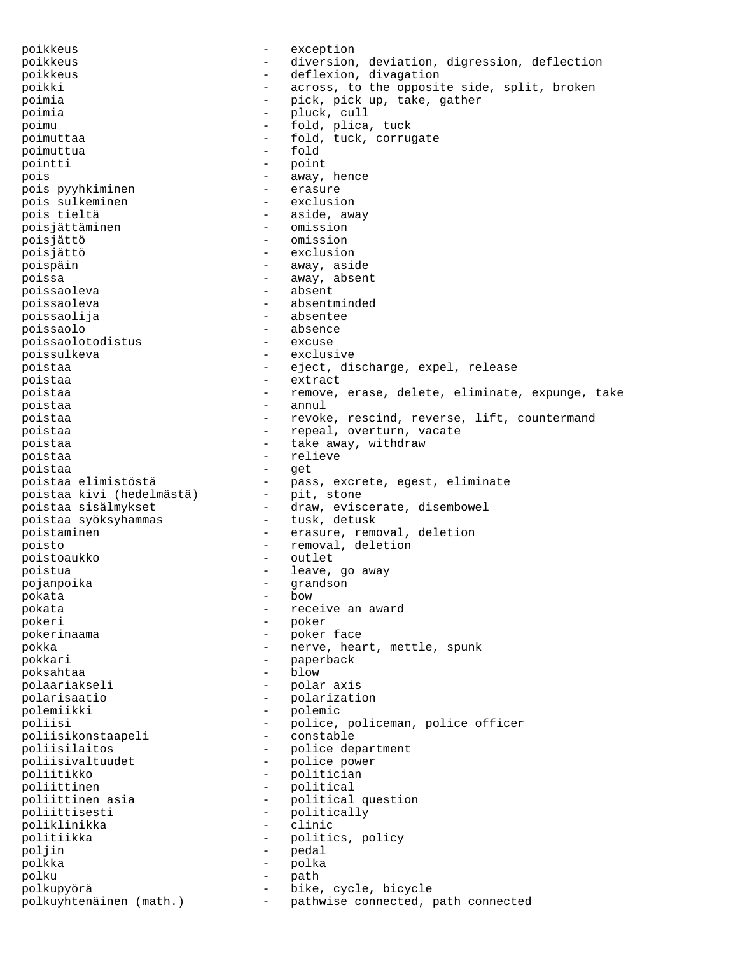poikkeus - exception poikkeus - diversion, deviation, digression, deflection poikkeus - deflexion, divagation poikki  $-$  across, to the opposite side, split, broken poimia - pick, pick up, take, gather poimia  $-\text{plus}, \text{call}$ poimu - fold, plica, tuck poimuttaa - fold, tuck, corrugate poimuttua pointti - point pois<br>
pois pyvhkiminen<br>
- erasure<br>
- erasure pois pyyhkiminen - erasure pois sulkeminen pois tieltä  $-$  aside, away poisjättäminen - omission poisjättö - omission poisjättö - exclusion poispäin - away, aside poissa - away, absent poissaoleva - absent poissaoleva - absentminded poissaolija - absentee poissaolo - absence poissaolotodistus poissulkeva - exclusive - eject, discharge, expel, release poistaa - extract poistaa - remove, erase, delete, eliminate, expunge, take poistaa - annul - annul poistaa - revoke, rescind, reverse, lift, countermand -<br>poistaa - repeal, overturn, vacate poistaa - take away, withdraw -<br>poistaa - relieve poistaa - get - pass, excrete, egest, eliminate<br>- pit, stone poistaa elimistosta<br>poistaa kivi (hedelmästä)<br>- poistaa sisälmykset poistaa sisälmykset - draw, eviscerate, disembowel<br>poistaa svöksyhammas - tusk, detusk poistaa syöksyhammas poistaminen - erasure, removal, deletion poisto  $-$  removal, deletion poistoaukko - outlet poistua  $-$  leave, go away -<br>pojanpoika - grandson pokata - bow pokata  $-$  receive an award pokeri - poker -<br>pokerinaama - boker face pokka - nerve, heart, mettle, spunk pokkari - paperback poksahtaa polaariakseli - polar axis polarisaatio - polarization polemiikki - polemic political - police, policeman, police officer<br>political - police, policeman, police officer<br>political - constable poliisikonstaapeli poliisilaitos - police department poliisivaltuudet - police power - politician poliittinen - political poliittinen asia  $-$  political question poliittisesti - politically poliklinikka - clinic politiikka - politics, policy poljin - pedal polkka - polka polku - path polkupyörä - bike, cycle, bicycle polkuyhtenäinen (math.) - pathwise connected, path connected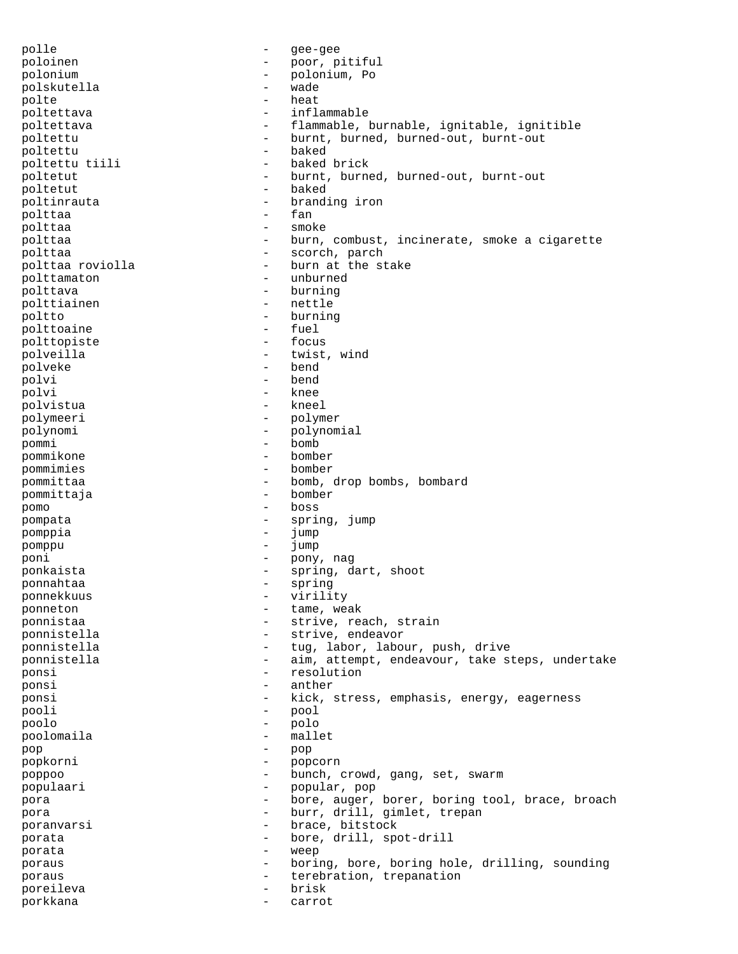polle - gee-gee poloinen - poor, pitiful polonium - polonium, Po polskutella - wade polte poltettava - inflammable poltettava - flammable, burnable, ignitable, ignitible poltettu - burnt, burned, burned-out, burnt-out poltettu - baked poltettu tiili - baked britannich - baked britannich - baked britannich - baked britannich - baked britannich poltetut - burnt, burned, burned-out, burnt-out - baked<br>- brandi poltinrauta - branding iron<br>polttaa - fan - fan polttaa - fan it wordt begin de steed begin de steed begin de steed begin de steed begin de steed begin de ste polttaa - smoke polttaa - burn, combust, incinerate, smoke a cigarette polttaa - scorch, parch polttaa roviolla - burn at the stake<br>polttamaton - unburned polttamaton - unburned<br>polttava - burning polttava - burning polttiainen poltto - burning<br>
polttoaine - fuel<br>
- fuel polttoaine - fuel<br>polttopiste - focus polttopiste polveilla - twist, wind polveke - bend polvi - bend polvi - knee polvistua - kneel polymeeri - polymer polynomi - polynomial pommi - bomb pommikone - bomber pommimies pommittaa - bomb, drop bombs, bombard pommittaja - bomber pomo - boss pompata - spring, jump pomppia - jump pomppu - jump poni - pony, nag ponkaista - spring, dart, shoot<br>ponnahtaa - spring - spring ponnahtaa - spring - spring - spring - spring - spring - spring - spring - spring - spring - spring - spring ponnekkuus - virility ponneton  $-$  tame, weak ponnistaa - strive, reach, strain ponnistella - strive, endeavor ponnistella - tug, labor, labour, push, drive ponnistella - aim, attempt, endeavour, take steps, undertake ponsi - resolution ponsi - anther ponsi - kick, stress, emphasis, energy, eagerness pooli - pool poolo - polo poolomaila - mallet pop - pop popkorni - popcorn poppoo - bunch, crowd, gang, set, swarm populaari - popular, pop pora entirely resolve to the bore, auger, borer, boring tool, brace, broach pora  $-$  burr, drill, gimlet, trepan noranyarsi poranvarsi - brace, bitstock<br>norata porata - bore, drill, spot-drill porata  $-$  weep poraus and the boring, bore, boring hole, drilling, sounding poraus extended the contract of the terebration, trepanation poreileva - brisk porkkana - carrot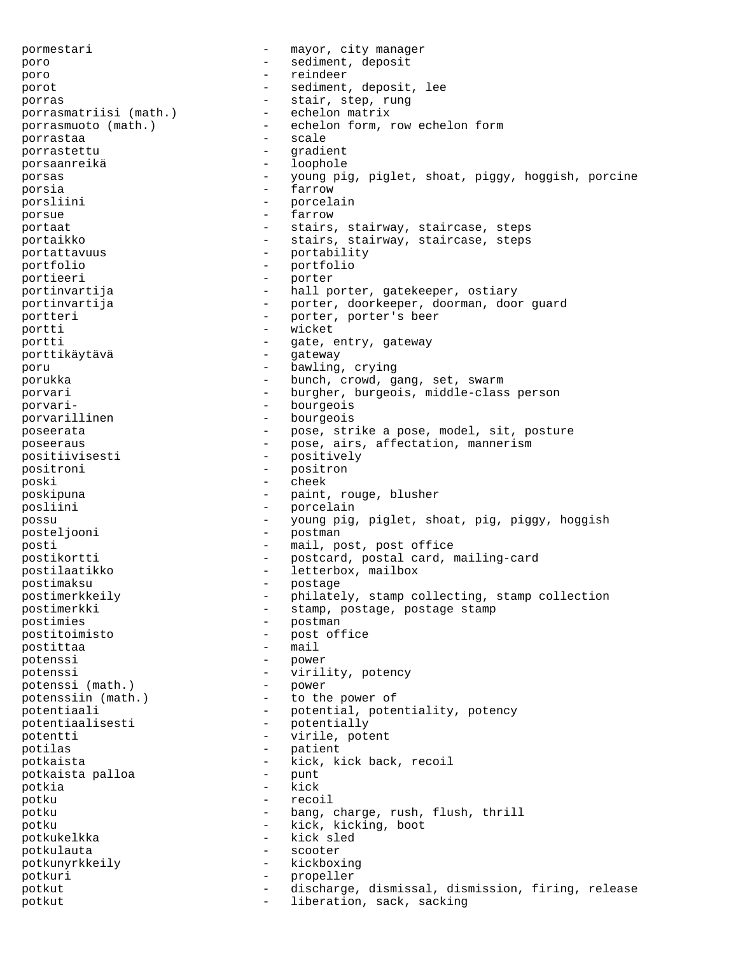pormestari - mayor, city manager poro - sediment, deposit poro - reindeer porot  $-$  sediment, deposit, lee porras - stair, step, rung<br>porrasmatriisi (math.) - echelon matrix porrasmatriisi (math.) porrasmuoto (math.) - echelon form, row echelon form porrastaa - scale porrastettu porsaanreikä - loophole porsas - young pig, piglet, shoat, piggy, hoggish, porcine porsia e farrow - farrow porsliini - porcelain porsue  $-$  farrow portaat - stairs, stairway, staircase, steps portaikko  $-$  stairs, stairway, staircase, steps portattavuus - portability portfolio - portfolio portieeri portinvartija  $-$  hall porter, gatekeeper, ostiary portinvartija - porter, doorkeeper, doorman, door guard portteri - porter, porter's beer portti - wicket portti<br>
porttikäytävä<br>
- gateway<br>
- gateway porttikäytävä - gateway poru - bawling, crying porukka - bunch, crowd, gang, set, swarm porvari - burgher, burgeois, middle-class person porvari- - bourgeois porvarillinen - bourgeois poseerata - pose, strike a pose, model, sit, posture poseeraus - pose, airs, affectation, mannerism positiivisesti - positively<br>positroni - positron positroni - positroni - positron<br>poski - cheek poski - cheek poskipuna - paint, rouge, blusher posliini - porcelain<br>
possu - voung pig. possu - young pig, piglet, shoat, pig, piggy, hoggish posteljooni - postman posti<br>
postikortti - mail, post, post office<br>
postikortti - nostcard, nostal card postikortti - postcard, postal card, mailing-card postilaatikko - letterbox, mailbox postimaksu - postage postimerkkeily - philately, stamp collecting, stamp collection postimerkki - stamp, postage, postage stamp postimies - postman postitoimisto - post office postittaa potenssi - power potenssi  $($ math.) - virility, potency<br>potenssi  $($ math.) - power potenssi (math.) potenssiin (math.) - to the power of<br>potentiaali - potential, potential - potential, potentiality, potency<br>- potentially potentiaalisesti - potentially potentti - virile, potent<br>
potilas - patient<br>
- patient potilas - patient potkaista<br>potkaista palloa - kick, kick back, recoil<br>punt - punt potkaista palloa - punt potkia potku - recoil potku - bang, charge, rush, flush, thrill potku - kick, kicking, boot<br>
potkukelkka - kick sled potkukelkka - kick sleder - kick sleder - kick sleder - kick sleder - kick sleder - kick sleder - kick sleder potkulauta - scooter potkunyrkkeily - kickboxing potkuri - propeller potkut - discharge, dismissal, dismission, firing, release potkut  $-$  liberation, sack, sacking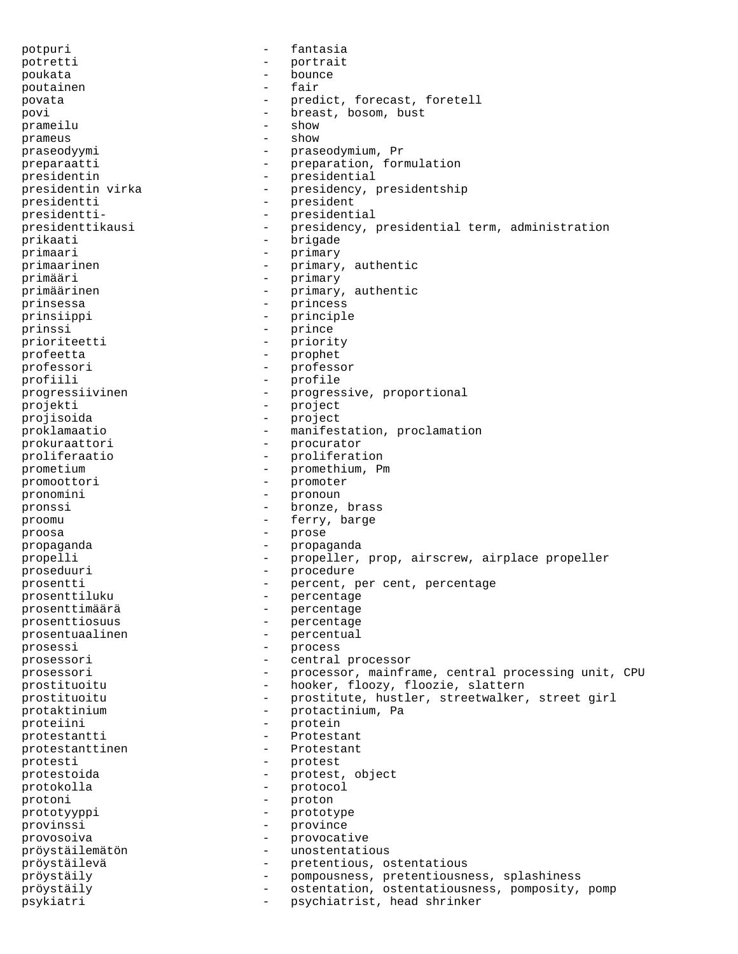potpuri - fantasia potretti - portrait poukata - bounce poutainen - fair povata  $-$  predict, forecast, foretell povi - breast, bosom, bust prameilu prameus - show praseodyymi - praseodymium, Pr preparaatti - preparation, formulation presidentin - presidential presidentin virka - presidency, presidentship presidentti - presidenti - presidenti - presidenti - president presidentti-<br>
- presidential<br>
presidenttikausi - presidency, presidential term, administration prikaati - brigade primaari - primary primaarinen - primary, authentic primääri - primary - primary - primary - primary - primary - primary - primary - primary - primary - primary - primary - primary - primary - primary - primary - primary - primary - primary - primary - primary - primary - p primäärinen - primary, authentic<br>primäärinen - primary, authentic prinsessa - princess prinsiippi - principle prinssi - prince prioriteetti - priority profeetta - prophet professori - professor profiili - profiile<br>progressiivinen - progressiivinen - progressiivinen - progressiivinen - progressi progressiivinen - progressive, proportional<br>projekti projekti - project projisoida - project proklamaatio - manifestation, proclamation prokuraattori - procurator proliferaatio - proliferation prometium - promethium, Pm promoottori - promoter - promoter - promoter - promoter - promoter - promoter - promoter - promoter - promoter pronomini - pronoun pronssi - bronze, brass proomu - ferry, barge proosa - prose propaganda - propaganda propelli - propeller, prop, airscrew, airplace propeller<br>proseduuri - procedure proseduuri - procedure prosentti - percent, per cent, percentage prosenttiluku - percentage prosenttimäärä - percentage prosenttiosuus - percentage prosentuaalinen - percentual prosessi - process prosessori - central processor prosessori - processor, mainframe, central processing unit, CPU prostituoitu - hooker, floozy, floozie, slattern prostituoitu - hooker, floozy, floozie, slattern prostituoitu - prostitute, hustler, streetwalker, street girl protaktinium - protactinium, Pa proteiini - protein -<br>
protestantti - Protestant<br>
protestanttinen<br>
- Protestant protestanttinen protesti - protest protestoida - protest, object protokolla - protocol protoni - proton prototyyppi - prototype provinssi - province provosoiva - provocative pröystäilemätön - unostentatious pröystäilevä - pretentious, ostentatious<br>
pröystäily - pompousness, pretentiousne pröystäily - pompousness, pretentiousness, splashiness pröystäily  $-$  ostentation, ostentatiousness, pomposity, pomp psykiatri - psychiatrist, head shrinker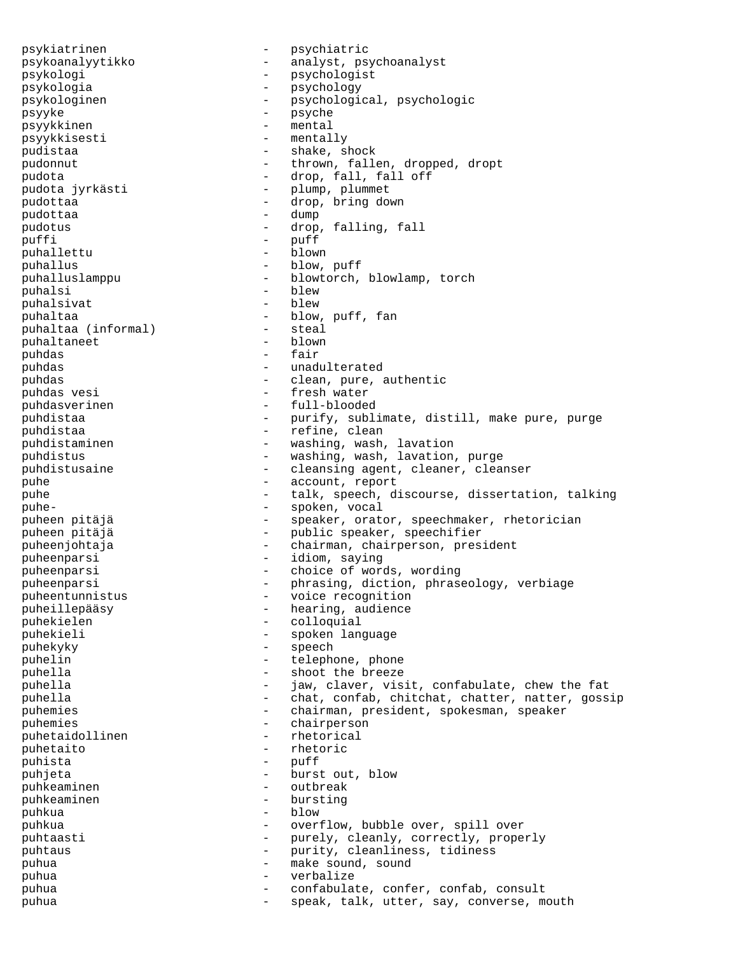psykiatrinen - psychiatric psykoanalyytikko - analyst, psychoanalyst psykologi - psychologist psykologia - psychology psykologinen - psychological, psychologic psyyke - psyche psyykkinen - mental psyykkisesti - mentally pudistaa - shake, shock<br>pudonnut - shake, shock<br>- thrown, falle - thrown, fallen, dropped, dropt pudota - drop, fall, fall off - plump, plummet pudottaa - drop, bring down pudottaa - dump pudotus - drop, falling, fall puffi - puff puhallettu puhallus - blow, puff puhalluslamppu - blowtorch, blowlamp, torch puhalsi - blew puhalsivat puhaltaa  $\qquad \qquad -$  blow, puff, fan puhaltaa (informal) - steal<br>puhaltaneet - hlown puhaltaneet puhdas - fair puhdas - unadulterated puhdas - clean, pure, authentic puhdas vesi  $-$  fresh water puhdasverinen - full-blooded puhdistaa - purify, sublimate, distill, make pure, purge puhdistaa - refine, clean - washing, wash, lavation puhdistus - washing, wash, lavation, purge puhdistusaine ette - cleansing agent, cleaner, cleanser puhe  $\qquad \qquad -$  account, report puhe  $-$  talk, speech, discourse, dissertation, talking puhe-  $\qquad \qquad -$  spoken, vocal puheen pitäjä - speaker, orator, speechmaker, rhetorician puheen pitäjä - public speaker, orator, speechmaker, puheen pitäjä - public speaker, speechifier<br>
puheen ohta ia puheenjohtaja - chairman, chairperson, president puheenparsi - idiom, saying puheenparsi - choice of words, wording puheenparsi - phrasing, diction, phraseology, verbiage puheentunnistus - voice recognition puheillepääsy - hearing, audience puhekielen - colloquial puhekieli - spoken language puhekyky - speech puhelin - telephone, phone puhella - shoot the breeze puhella - jaw, claver, visit, confabulate, chew the fat puhella - chat, confab, chitchat, chatter, natter, gossip puhemies - chairman, president, spokesman, speaker puhemies - chairperson puhetaidollinen - rhetoricale - rhetoricale - rhetoricale - rhetoricale - rhetoric puhetaito puhista - puff puhjeta - burst out, blow puhkeaminen - outbreak puhkeaminen - bursting puhkua - blow puhkua - overflow, bubble over, spill over puhtaasti - purely, cleanly, correctly, properly<br>
puhtaus - purity, cleanliness, tidiness puhtaus - purity, cleanliness, tidiness puhua  $-$  make sound, sound puhua  $-$  verbalize puhua - confabulate, confer, confab, consult puhua  $-$  speak, talk, utter, say, converse, mouth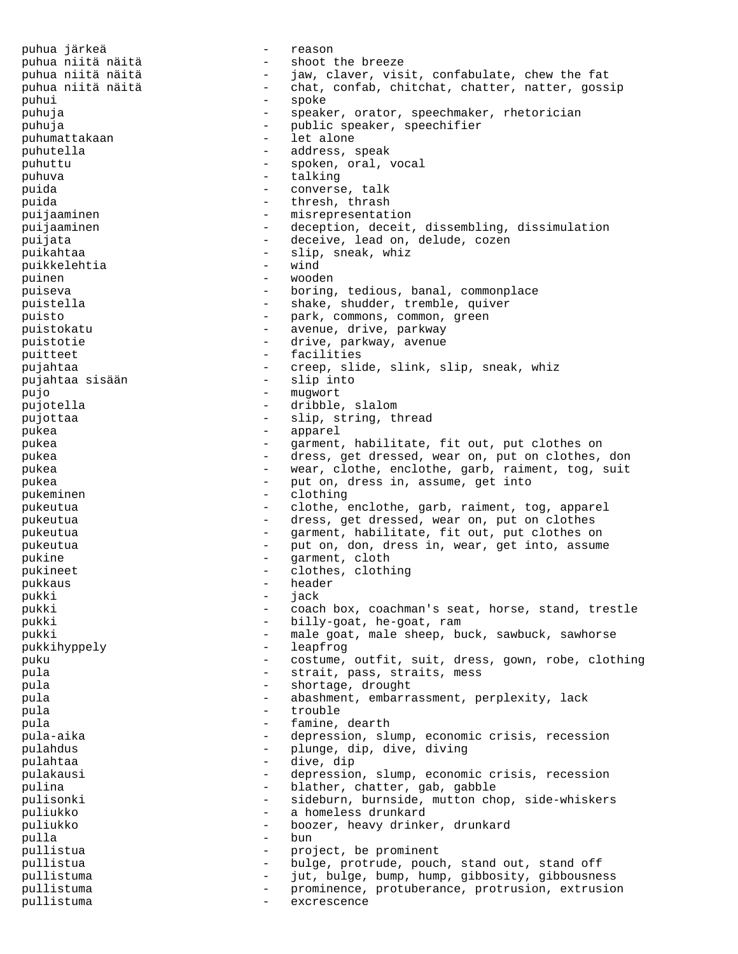puhua järkeä - reason puhua niitä näitä - shoot the breeze<br>puhua niitä näitä - - jaw, claver, vis jaw, claver, visit, confabulate, chew the fat puhua niitä näitä  $-$  chat, confab, chitchat, chatter, natter, gossip puhui - spoke puhuja - speaker, orator, speechmaker, rhetorician puhuja - public speaker, speechifier<br>puhumattakaan - let alone puhumattakaan puhutella  $-$  address, speak puhuttu - spoken, oral, vocal puhuva - talking puida - converse, talk puida - thresh, thrash puijaaminen - misrepresentation puijaaminen - deception, deceit, dissembling, dissimulation puijata - deceive, lead on, delude, cozen puikahtaa - slip, sneak, whiz puikkelehtia puinen - wooden puiseva - boring, tedious, banal, commonplace puistella - shake, shudder, tremble, quiver puisto - park, commons, common, green puistokatu - avenue, drive, parkway puistotie  $\qquad \qquad -$  drive, parkway, avenue puitteet - facilities pujahtaa - creep, slide, slink, slip, sneak, whiz pujahtaa sisään - slip into pujo - mugwort pujotella - dribble, slalom pujottaa - slip, string, thread<br>nukea - spokes pukea - apparel pukea - garment, habilitate, fit out, put clothes on pukea - dress, get dressed, wear on, put on clothes, don pukea - wear, clothe, enclothe, garb, raiment, tog, suit pukea  $-$  put on, dress in, assume, get into pukeminen - clothing pukeutua - clothe, enclothe, garb, raiment, tog, apparel pukeutua - dress, get dressed, wear on, put on clothes pukeutua - garment, habilitate, fit out, put clothes on pukeutua  $-$  put on, don, dress in, wear, get into, assume pukine  $\qquad \qquad -$  garment, cloth pukineet - clothes, clothing pukkaus - header pukki - jack pukki - coach box, coachman's seat, horse, stand, trestle pukki - billy-goat, he-goat, ram<br>mukki - male goat male sheep by pukki - male goat, male sheep, buck, sawbuck, sawhorse pukkihyppely - leapfrog puku - costume, outfit, suit, dress, gown, robe, clothing pula - strait, pass, straits, mess pula  $\qquad \qquad -$  shortage, drought pula  $-$  abashment, embarrassment, perplexity, lack pula  $-$  trouble pula - famine, dearth pula-aika - depression, slump, economic crisis, recession pulahdus - plunge, dip, dive, diving pulahtaa - dive, dip pulakausi - depression, slump, economic crisis, recession pulina  $-$  blather, chatter, gab, gabble pulisonki - sideburn, burnside, mutton chop, side-whiskers puliukko - a homeless drunkard puliukko - boozer, heavy drinker, drunkard pulla - bun pullistua  $\qquad \qquad -$  project, be prominent pullistua - bulge, protrude, pouch, stand out, stand off pullistuma - jut, bulge, bump, hump, gibbosity, gibbousness pullistuma - prominence, protuberance, protrusion, extrusion pullistuma - excrescence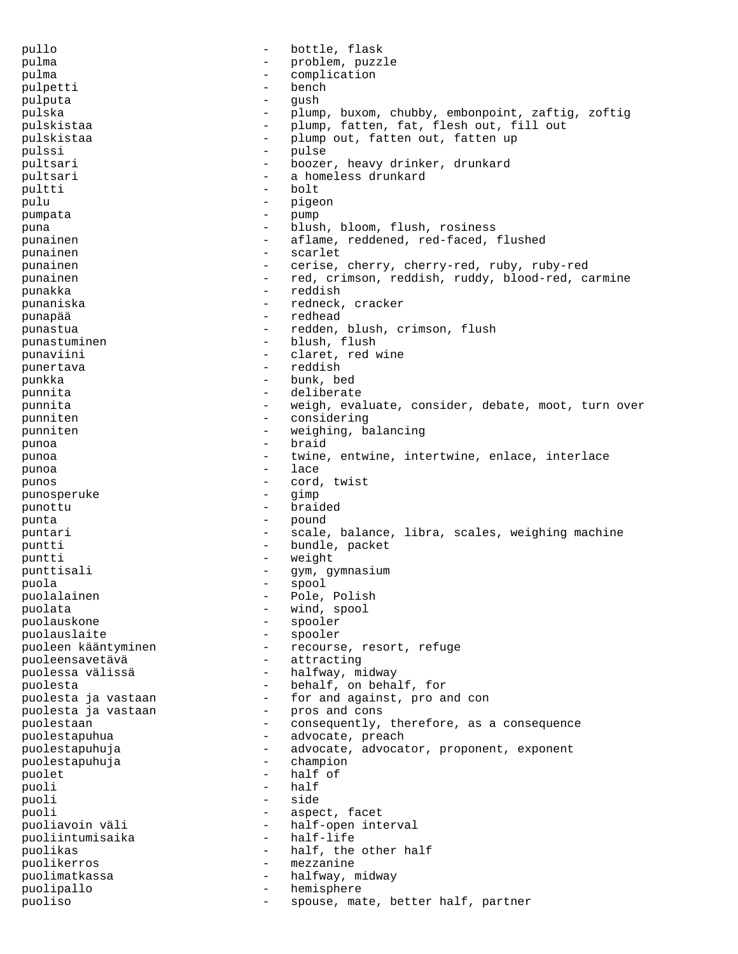pullo - bottle, flask pulma - problem, puzzle pulma - complication<br>pulpetti - bench - bench pulpetti pulputa - gush plump, buxom, chubby, embonpoint, zaftig, zoftig pulskistaa - plump, fatten, fat, flesh out, fill out pulskistaa - plump out, fatten out, fatten up pulssi - pulse pultsari - boozer, heavy drinker, drunkard pultsari - a homeless drunkard<br>
- holt<br>
- holt<br>
- holt pultti – bolt i strategi se svetovanja s svetovanja s svetovanja s svetovanja s svetovanja s svetovanja s svetov<br>Dogodki pulu - pigeon pumpata - pump puna - blush, bloom, flush, rosiness punainen - aflame, reddened, red-faced, flushed punainen - scarlet cerise, cherry, cherry-red, ruby, ruby-red punainen - red, crimson, reddish, ruddy, blood-red, carmine punakka - reddish punaniska - redneck, cracker punapää - redhead punastua - redden, blush, crimson, flush punastuminen - blush, flush punaviini  $\qquad \qquad -$  claret, red wine punertava - reddish punkka - bunk, bed punnita - deliberate punnita - weigh, evaluate, consider, debate, moot, turn over punniten - considering punniten - weighing, balancing<br>
- hraid<br>
- hraid punoa - braid punoa - twine, entwine, intertwine, enlace, interlace punoa - lace punos - cord, twist punosperuke - gimp punottu - braided punta - pound puntari - scale, balance, libra, scales, weighing machine puntti - bundle, packet puntti - weight punttisali - gym, gymnasium puola - spool puolalainen - Pole, Polish puolata  $-$  wind, spool puolauskone - spooler puolauslaite - spooler puoleen kääntyminen - recourse, resort, refuge puoleensavetävä - attracting puolessa välissä  $-$  halfway, midway puolesta - behalf, on behalf, for puolesta ja vastaan  $-$  for and against, pro and con puolesta ja vastaan  $-$  pros and cons pros and cons<br>- consequently puolestaan - consequently, therefore, as a consequence puolestapuhua - advocate, preach<br>puolestapuhuia - advocate advocate puolestapuhuja - advocate, advocator, proponent, exponent puolestapuhuja - champion puolet - half of puoli - half puoli - side puoli - aspect, facet - half-open interval<br>- half-life puoliintumisaika puolikas  $\qquad \qquad -$  half, the other half puolikerros - mezzanine puolimatkassa - halfway, midway puolipallo - hemisphere puoliso - spouse, mate, better half, partner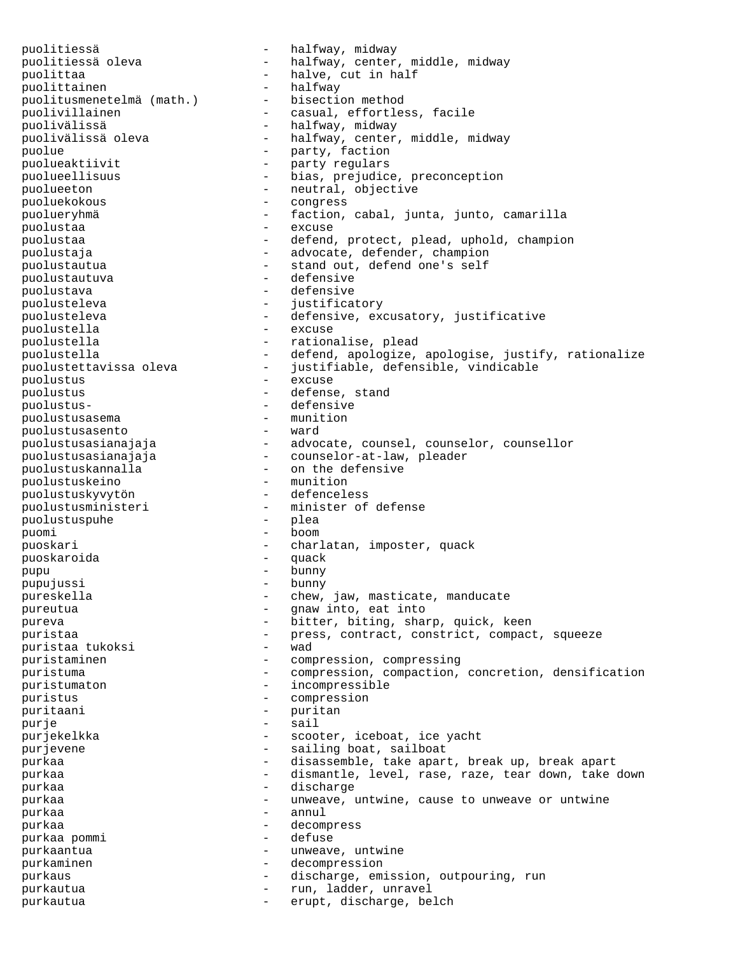puolitiessä - halfway, midway puolitiessä oleva - halfway, center, middle, midway<br>puolittaa - halve, cut in half - halve, cut in half<br>- halfway puolittainen<br>puolitusmenetelmä (math.) – bisection method puolitusmenetelmä (math.) puolivillainen - casual, effortless, facile puolivälissä - halfway, midway - halfway, center, middle, midway puolue - party, faction puolueaktiivit - party regulars puolueellisuus - bias, prejudice, preconception puolueeton - neutral, objective puoluekokous - congress puolueryhmä - faction, cabal, junta, junto, camarilla puolustaa - excuse puolustaa - defend, protect, plead, uphold, champion puolustaja - advocate, defender, champion puolustautua - stand out, defend one's self puolustautuva - defensive puolustava puolusteleva - justificatory puolusteleva - defensive, excusatory, justificative puolustella - excuse puolustella - rationalise, plead puolustella - defend, apologize, apologise, justify, rationalize<br>
puolustettavissa oleva - justifiable, defensible, vindicable - justifiable, defensible, vindicable puolustus - excuse puolustus - defense, stand puolustus- - defensive puolustusasema - munition puolustusasento - ward puolustusasianajaja - advocate, counsel, counselor, counsellor puolustusasianajaja - counselor-at-law, pleader puolustuskannalla - on the defensive<br>
puolustuskeino - munition puolustuskeino - munition puolustuskyvytön - defenceless puolustusministeri - minis<br>puolustuspuhe - plea puolustuspuhe puomi - boom puoskari - charlatan, imposter, quack<br>puoskaroida - charlatan, imposter, quack puoskaroida - quack pupu - bunny pupujussi - bunny pureskella - chew, jaw, masticate, manducate pureutua - gnaw into, eat into pureva - bitter, biting, sharp, quick, keen puristaa - press, contract, constrict, compact, squeeze puristaa tukoksi - wad puristaminen - compression, compressing puristuma - compression, compaction, concretion, densification puristumaton - incompressible puristus - compression<br>
puritaani - puritan puritaani - puritan purje - sail purjekelkka - scooter, iceboat, ice yacht purjevene  $\qquad \qquad \qquad -$  sailing boat, sailboat purkaa - disassemble, take apart, break up, break apart purkaa - dismantle, level, rase, raze, tear down, take down purkaa - discharge - discharge - discharge - discharge - discharge - discharge - discharge - discharge - discharge - discharge - discharge - discharge - discharge - discharge - discharge - discharge - discharge - discharge purkaa - unweave, untwine, cause to unweave or untwine purkaa - annul purkaa - decompress purkaa pommi - defuse purkaantua - unweave, untwine purkaminen - decompression purkaus - discharge, emission, outpouring, run purkautua  $\qquad \qquad -$  run, ladder, unravel purkautua - erupt, discharge, belch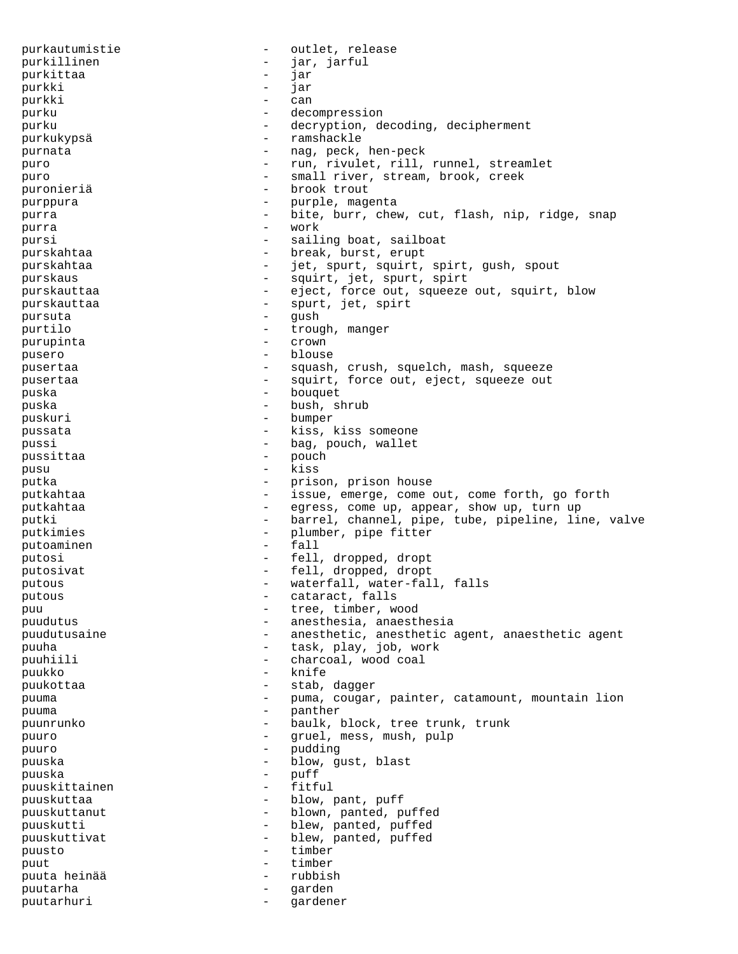purkautumistie - outlet, release purkillinen - jar, jarful<br>purkittaa - - jar purkittaa - jar purkki - jar purkki - can purku - decompression purku - decryption, decoding, decipherment purkukypsä - ramshackle purnata  $-$  nag, peck, hen-peck puro - run, rivulet, rill, runnel, streamlet puro - small river, stream, brook, creek puronieriä - brook trout purppura  $-$  purple, magenta purra e contraction of the bite, burr, chew, cut, flash, nip, ridge, snap purra - work pursi  $-$  sailing boat, sailboat purskahtaa - break, burst, erupt purskahtaa - jet, spurt, squirt, spirt, gush, spout purskaus - squirt, jet, spurt, spirt<br>purskauttaa purskauttaa - eject, force out, squeeze out, squirt, blow<br>purskauttaa purskauttaa - spurt, jet, spirt<br>nursuta pursuta - gush purtilo - trough, manger<br>purupinta purupinta - crown pusero - blouse pusertaa - squash, crush, squelch, mash, squeeze pusertaa - squirt, force out, eject, squeeze out puska - bouquet puska - bush, shrub puskuri - bumper pussata  $-$  kiss, kiss someone pussi  $-$  bag, pouch, wallet pussittaa - pouch pusu - kiss putka  $-$  prison, prison house putkahtaa - issue, emerge, come out, come forth, go forth putkahtaa - egress, come up, appear, show up, turn up putki - barrel, channel, pipe, tube, pipeline, line, valve putkimies - plumber, pipe fitter putoaminen - fall putosi - fell, dropped, dropt putosivat  $-$  fell, dropped, dropt putous - waterfall, water-fall, falls<br>
- cataract falls<br>
- cataract falls putous  $\begin{array}{ccc}\n\text{putous} & - & \text{cataract, falls} \\
\text{putous} & - & \text{tree, timber, W}\n\end{array}$ puu - tree, timber, wood puudutus - anesthesia, anaesthesia puudutusaine - anesthetic, anesthetic agent, anaesthetic agent puuha - task, play, job, work - charcoal, wood coal<br>- knife puukko - knife puukottaa - stab, dagger puuma  $-$  puma, cougar, painter, catamount, mountain lion puuma - panther puunrunko - baulk, block, tree trunk, trunk puuro - gruel, mess, mush, pulp puuro – pudding – pudding – pudding – pudding – pudding – pudding – pudding – pudding – punch – pudding – punch – pudding – punch – pudding – punch – pudding – punch – punch – punch – punch – punch – punch – punch – punch puuska - blow, gust, blast<br>nuuska - puff puuska - puff puuskittainen puuskuttaa  $\qquad \qquad -$  blow, pant, puff puuskuttanut - blown, panted, puffed puuskutti - blew, panted, puffed puuskuttivat - blew, panted, puffed puusto - timber puut - timber puuta heinää - rubbish puutarha - garden puutarhuri - gardener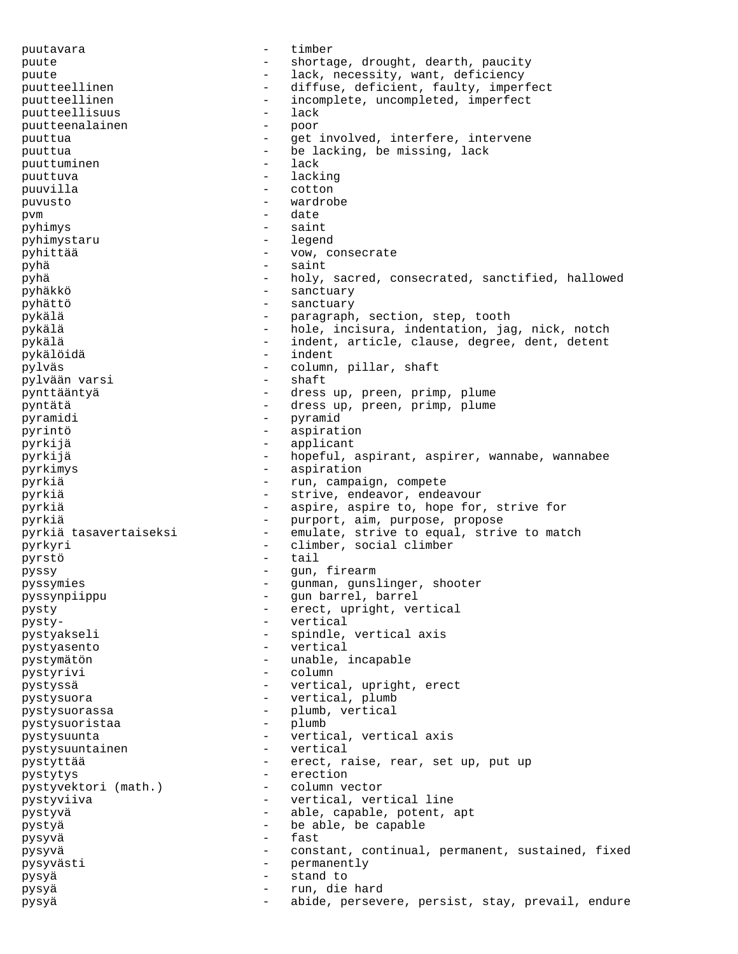puutavara - timber puute - shortage, drought, dearth, paucity puute - lack, necessity, want, deficiency puutteellinen - diffuse, deficient, faulty, imperfect puutteellinen - incomplete, uncompleted, imperfect<br>
- lack<br>
- lack puutteellisuus puutteenalainen - poor puuttua - get involved, interfere, intervene puuttua - be lacking, be missing, lack<br>
puuttuminen - lack<br>
- lack puuttuminen puuttuva - lacking puuvilla - cotton puvusto - wardrobe pvm - date pyhimys - saint<br>pyhimystaru - legend pyhimystaru - legendaru - legendaru - legendaru - legendaru - legendaru - legendaru - legendaru - legendaru pyhittää  $-$  vow, consecrate pyhä - saint pyhä - holy, sacred, consecrated, sanctified, hallowed pyhäkkö - sanctuary pyhättö - sanctuary pykälä - paragraph, section, step, tooth pykälä - hole, incisura, indentation, jag, nick, notch pykälä - indent, article, clause, degree, dent, detent pykälöidä - indent pylväs - column, pillar, shaft pylvään varsi - shaft pynttääntyä - dress up, preen, primp, plume pyntätä - dress up, preen, primp, plume pyramidi - pyramidi - pyramidi - pyramidi - pyramidi - pyramidi - pyramidi - pyramidi - pyramidi - pyramidi - pyramidi - pyramidi - pyramidi - pyramidi - pyramidi - pyramidi - pyramidi - pyramidi - pyramidi - pyramidi - py pyrintö - aspiration pyrkijä - applicant pyrkijä - hopeful, aspirant, aspirer, wannabe, wannabee pyrkimys - aspiration pyrkiä - run, campaign, compete pyrkiä - strive, endeavor, endeavour pyrkiä - aspire, aspire to, hope for, strive for pyrkiä - purport, aim, purpose, propose pyrkiä tasavertaiseksi - emulate, strive to equal, strive to match pyrkyri - climber, social climber pyrstö - tail pyssy - gun, firearm pyssymies - gunman, gunslinger, shooter pyssynpiippu - gun barrel, barrel pysty - erect, upright, vertical pysty- - vertical pystyakseli - spindle, vertical axis pystyasento - vertical pystymätön - unable, incapable pystyrivi - column pystyssä - vertical, upright, erect pystysuora - vertical, plumb pystysuorassa - plumb, vertical pystysuoristaa - plumb pystysuunta - vertical, vertical axis<br>pystysuuntainen - vertical - vertical pystysuuntainen pystyttää - erect, raise, rear, set up, put up pystytys - erection<br>pystyvektori (math.) - column vector pystyvektori (math.) pystyviiva - vertical, vertical line pystyvä - able, capable, potent, apt pystyä - be able, be capable<br>nysyvä - fast pysyvä - fast pysyvä - constant, continual, permanent, sustained, fixed pysyvästi - permanently pysyä - stand to pysyä - run, die hard pysyä - abide, persevere, persist, stay, prevail, endure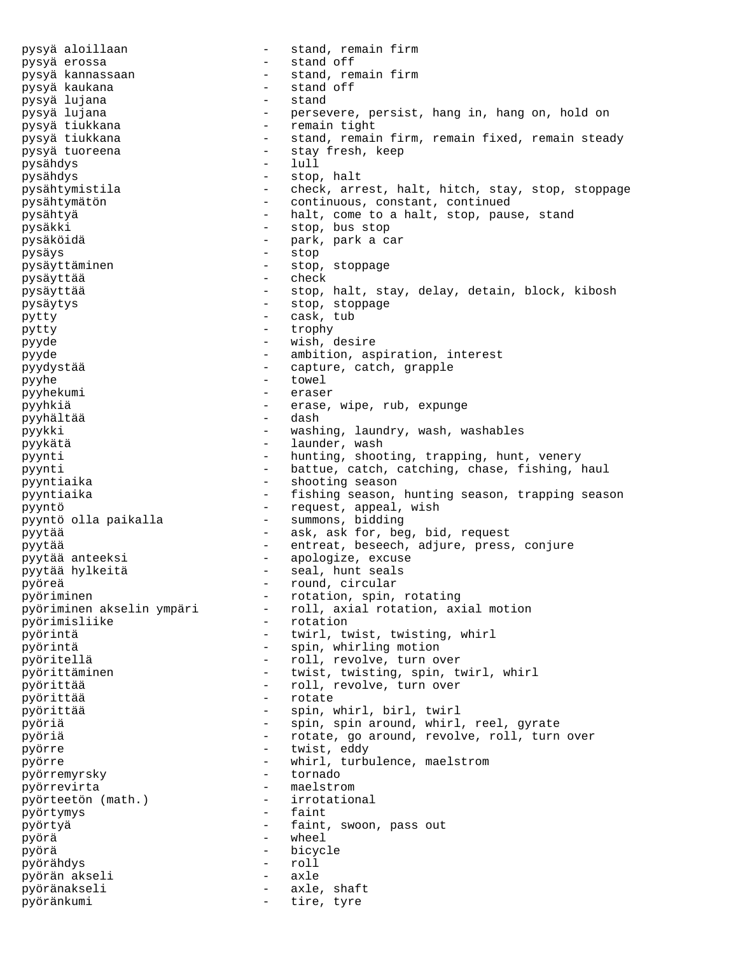pysyä aloillaan - stand, remain firm pysyä erossa - stand off pustand, remain firm<br>pystand off pysyä kaukana - stand off pysyä lujana<br>pysyä lujana - persevere, persist, hang in, hang on, hold on pysyä tiukkana - remain tight pysyä tiukkana - stand, remain firm, remain fixed, remain steady - stay fresh, keep<br>- lull pysähdys pysähdys - stop, halt - check, arrest, halt, hitch, stay, stop, stoppage pysähtymätön - continuous, constant, continued pysähtyä - halt, come to a halt, stop, pause, stand pysäkki - stop, bus stop pysäköidä - park, park a car pysäys - stop pysäyttäminen - stop, stoppage pysäyttää - check pysäyttää - stop, halt, stay, delay, detain, block, kibosh pysäytys - stop, stoppage pytty - cask, tub pytty - trophy pyyde - wish, desire pyyde  $-$  ambition, aspiration, interest pyydystää - capture, catch, grapple pyyhe - towel pyyhekumi - eraser pyyhkiä - erase, wipe, rub, expunge pyyhältää - dash pyykki - washing, laundry, wash, washables pyykätä - launder, wash pyynti - hunting, shooting, trapping, hunt, venery pyynti - battue, catch, catching, chase, fishing, haul<br>pyyntiaika - shooting season - shooting season pyyntiaika - fishing season, hunting season, trapping season pyyntö - request, appeal, wish pyyntö olla paikalla - summons, bidding pyytää - ask, ask for, beg, bid, request pyytää - entreat, beseech, adjure, press, conjure pyytää anteeksi - apologize, excuse pyytää hylkeitä - seal, hunt seals pyöreä <sup>-</sup> round, circular pyöriminen  $\frac{1}{2}$  - rotation, spin, rotating<br>pyöriminen akselin ympäri - roll, axial rotation, ax phytol axial rotation, axial motion<br>- rotation pyörimisliike pyörintä - twirl, twist, twisting, whirl pyörintä - spin, whirling motion pyöritellä  $\qquad \qquad -$  roll, revolve, turn over pyörittäminen - twist, twisting, spin, twirl, whirl pyörittää - roll, revolve, turn over pyörittää - rotate pyörittää - spin, whirl, birl, twirl pyöriä - spin, spin around, whirl, reel, gyrate pyöriä - rotate, go around, revolve, roll, turn over pyörre - twist, eddy pyörre - whirl, turbulence, maelstrom<br>
pvörremvrskv - tornado pyörremyrsky pyörrevirta - maelstrom<br>
pyörteetön (math.) - irrotational pyörteetön (math.) pyörtymys - faint pyörtyä - faint, swoon, pass out pyörä - wheel pyörä - bicycle pyörähdys - roll pyörän akseli pyöränakseli - axle, shaft pyöränkumi - tire, tyre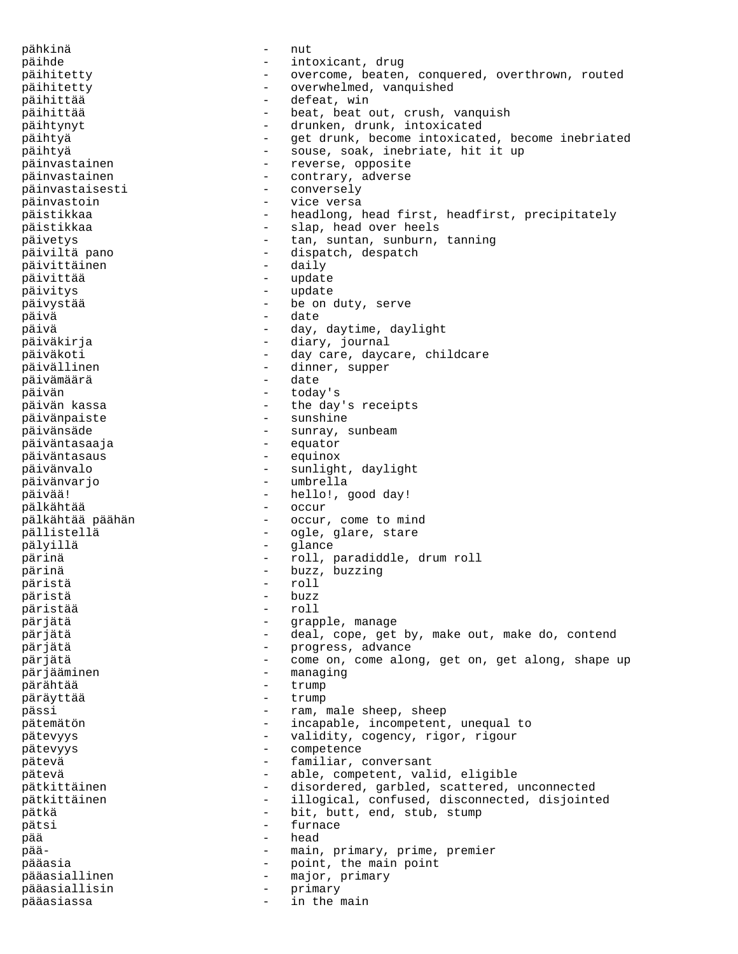pähkinä - nut päihde - intoxicant, drug päihitetty **-** overcome, beaten, conquered, overthrown, routed päihitetty - overwhelmed, vanquished -<br>päihittää - defeat, win päihittää  $-$  beat, beat out, crush, vanquish päihtynyt - drunken, drunk, intoxicated päihtyä - get drunk, become intoxicated, become inebriated päihtyä  $-$  souse, soak, inebriate, hit it up päinvastainen en motorikonista varianteeri valmen varianteeri varianteeri varianteeri varianteeri varianteeri päinvastainen - contrary, adverse päinvastaisesti - conversely päinvastoin - vice versa päistikkaa - headlong, head first, headfirst, precipitately päistikkaa - slap, head over heels päivetys - tan, suntan, sunburn, tanning päiviltä pano - dispatch, despatch päivittäinen – dailyittään – dailyittää – dailyittää – dailyittää – dailyittää – dailyittää – dailyittää – dai<br>Lailyittää – dailyittää – dailyittää – dailyittää – dailyittää – dailyittää – dailyittää – dailyittää – dailyi päivittää - update päivitys - update päivystää - be on duty, serve päivä - date päivä - day, daytime, daylight päiväkirja - diary, journal päiväkoti - day care, daycare, childcare päivällinen - dinner, supper päivämäärä<br>päivän - today's päivän kassa  $\qquad \qquad$  - the day's receipts päivänpaiste - sunshine päivänsäde - sunray, sunbeam päiväntasaaja päiväntasaus - equinox päivänvalo - sunlight, daylight päivänvarjo - umbrella päivää! - hello!, good day! pälkähtää - occur pälkähtää päähän - occur, come to mind pällistellä  $\qquad \qquad -$  ogle, glare, stare pälyillä - glance pärinä - roll, paradiddle, drum roll pärinä - buzz, buzzing päristä - roll päristä päristää - roll pärjätä - grapple, manage pärjätä - deal, cope, get by, make out, make do, contend pärjätä  $-$  progress, advance pärjätä - come on, come along, get on, get along, shape up pärjääminen - managing pärähtää - trump päräyttää - trump pässi  $-$  ram, male sheep, sheep pätemätön - incapable, incompetent, unequal to pätevyys - validity, cogency, rigor, rigour pätevyys - competence pätevä  $-$  familiar, conversant pätevä - able, competent, valid, eligible pätkittäinen - disordered, garbled, scattered, unconnected pätkittäinen - illogical, confused, disconnected, disjointed pätkä - bit, butt, end, stub, stump furnace pää - head pää- - main, primary, prime, premier pääasia - point, the main point pääasiallinen - major, primary pääasiallisin - primary pääasiassa - in the main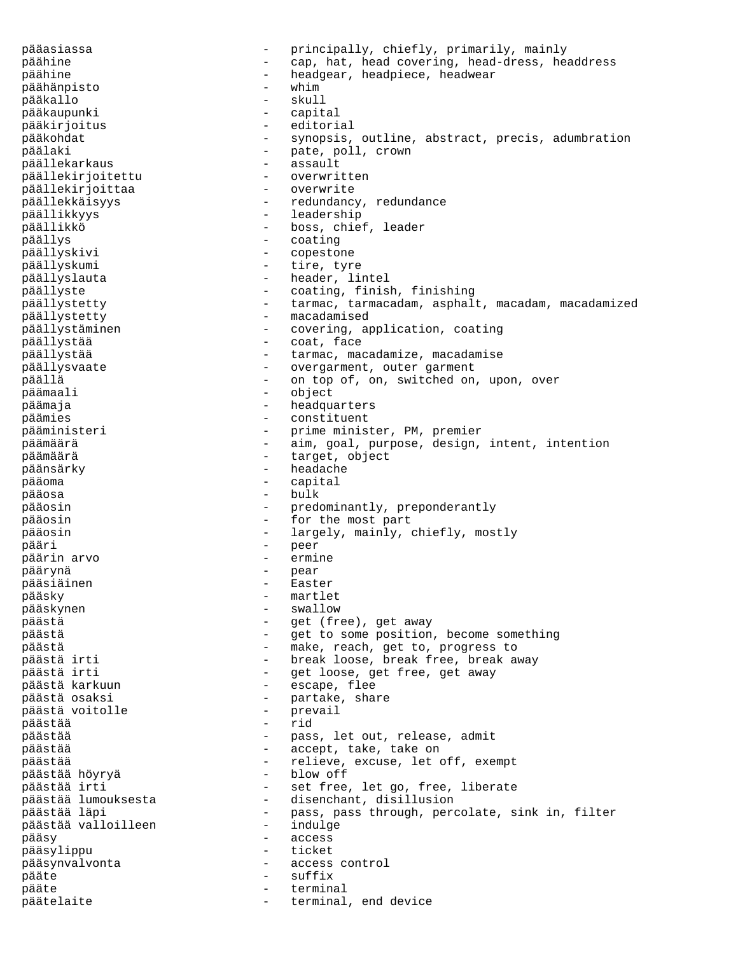pääasiassa - principally, chiefly, primarily, mainly<br>päähine - cap hat head covering head-dress he päähine - cap, hat, head covering, head-dress, headdress päähine - headgear, headpiece, headwear päähänpisto - whim pääkallo - skull pääkaupunki pääkirjoitus - editorial pääkohdat - synopsis, outline, abstract, precis, adumbration päälaki - pate, poll, crown päällekarkaus - assault päällekirjoitettu overwritte<br>päällekirjoittaa overwrite päällekirjoittaa päällekkäisyys - redundancy, redundance päällikkyys - leadership päällikkö - boss, chief, leader päällys - coating päällyskivi - copestone päällyskumi - tire, tyre päällyslauta - header, lintel päällyste - coating, finish, finishing päällystetty  $-$  tarmac, tarmacadam, asphalt, macadam, macadamized päällystetty - macadamised päällystäminen - covering, application, coating<br>päällystää - - coat, face - coat, face päällystää  $-$  tarmac, macadamize, macadamise päällysvaate - - - - overgarment, outer garment päällä - on top of, on, switched on, upon, over päämaali - object päämaja - headquarters päämies - constituent pääministeri - prime minister, PM, premier päämäärä - aim, goal, purpose, design, intent, intention päämäärä  $-$  target, object päänsärky - headache pääoma - capital pääosa - bulk - predominantly, preponderantly pääosin - for the most part pääosin - largely, mainly, chiefly, mostly pääri - peer päärin arvo - ermine päärynä - pear pääsiäinen pääsky - martlet pääskynen - swallow päästä - get (free), get away - get to some position, become something -<br>päästä - make, reach, get to, progress to päästä irti  $-$  break loose, break free, break away päästä irti  $-$  get loose, get free, get away päästä karkuun aluttuun - escape, flee päästä osaksi - partake, share päästä voitolle - prevail päästää - rideologia - rideologia - rideologia - rideologia - rideologia - rideologia - rideologia - rideologi päästää - pass, let out, release, admit päästää - accept, take, take on päästää - relieve, excuse, let off, exempt<br>päästää höyryä - blow off päästää höyryä<br>päästää irti päästää irti - set free, let go, free, liberate päästää lumouksesta - disenchant, disillusion - pass, pass through, percolate, sink in, filter<br>- indulge päästää valloilleen pääsy - access pääsylippu - ticket pääsynvalvonta - access control pääte - suffix pääte - terminal päätelaite - terminal, end device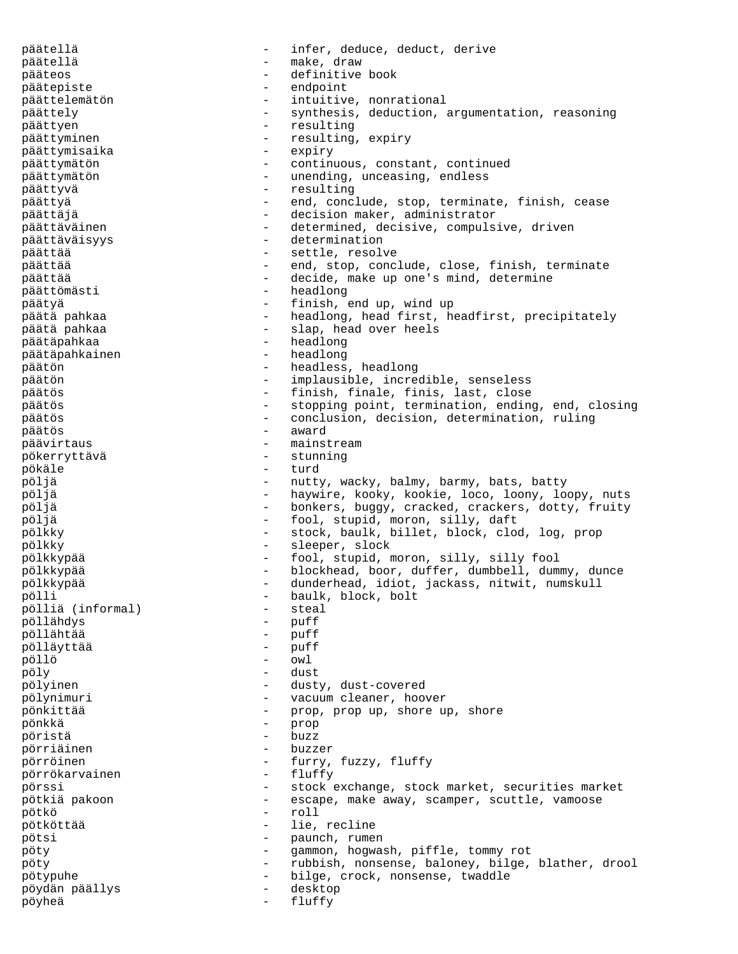päätellä - infer, deduce, deduct, derive päätellä  $-$  make, draw pääteos - definitive book päätepiste - endpoint päättelemätön - intuitive, nonrational päättely - synthesis, deduction, argumentation, reasoning päättyen - resulting pawaking, expiry<br>passes päättymisaika - expiry päättymätön - continuous, constant, continued päättymätön - unending, unceasing, endless päättyvä - resulting - end, conclude, stop, terminate, finish, cease päättäjä - decision maker, administrator päättäväinen - determined, decisive, compulsive, driven päättäväisyys - determination päättää  $-$  settle, resolve päättää - end, stop, conclude, close, finish, terminate<br>näättää - end, stop, conclude, close, finish, terminate päättää - decide, make up one's mind, determine<br>päättömästi - headlong päättömästi päätyä - finish, end up, wind up - headlong, head first, headfirst, precipitately päätä pahkaa - slap, head over heels päätäpahkaa - headlong<br>päätäpahkainen - - headlong päätäpahkainen päätön - headless, headlong päätön - implausible, incredible, senseless päätös - finish, finale, finis, last, close päätös - stopping point, termination, ending, end, closing<br>
- conclusion decision determination ruling päätös - conclusion, decision, determination, ruling päätös - award päävirtaus - mainstream pökerryttävä - stunning pökäle - turd - nutty, wacky, balmy, barmy, bats, batty pöljä - haywire, kooky, kookie, loco, loony, loopy, nuts pöljä - bonkers, buggy, cracked, crackers, dotty, fruity pöljä - fool, stupid, moron, silly, daft pölkky - stock, baulk, billet, block, clod, log, prop pölkky - sleeper, slock pölkkypää - fool, stupid, moron, silly, silly fool pölkkypää - blockhead, boor, duffer, dumbbell, dummy, dunce pölkkypää - dunderhead, idiot, jackass, nitwit, numskull<br>pölli - baulk, block, bolt pölli - baulk, block, bolt pölliä (informal) - steal pöllähdys - puff pöllähtää - puff pölläyttää – puissa – puissa – puissa – puissa – puissa – puissa – puissa – puissa – puissa – puissa – puissa <br>Puolista – puissa – puissa – puissa – puissa – puissa – puissa – puissa – puissa – puissa – puissa – puissa – pöllö - owl pöly - dust pölyinen - dusty, dust-covered pölynimuri  $-$  vacuum cleaner, hoover pönkittää - prop, prop up, shore up, shore nähkkä pönkkä - prop pöristä - buzz pörriäinen pörröinen - furry, fuzzy, fluffy<br>
pörrökarvainen - fluffy - fluffy pörrökarvainen pörssi - stock exchange, stock market, securities market pötkiä pakoon assossal – escape, make away, scamper, scuttle, vamoose pötkö - roll pötköttää - lie, recline pötsi - paunch, rumen pöty - gammon, hogwash, piffle, tommy rot pöty - rubbish, nonsense, baloney, bilge, blather, drool pötypuhe - bilge, crock, nonsense, twaddle pöydän päällys - desktop pöyheä - fluffy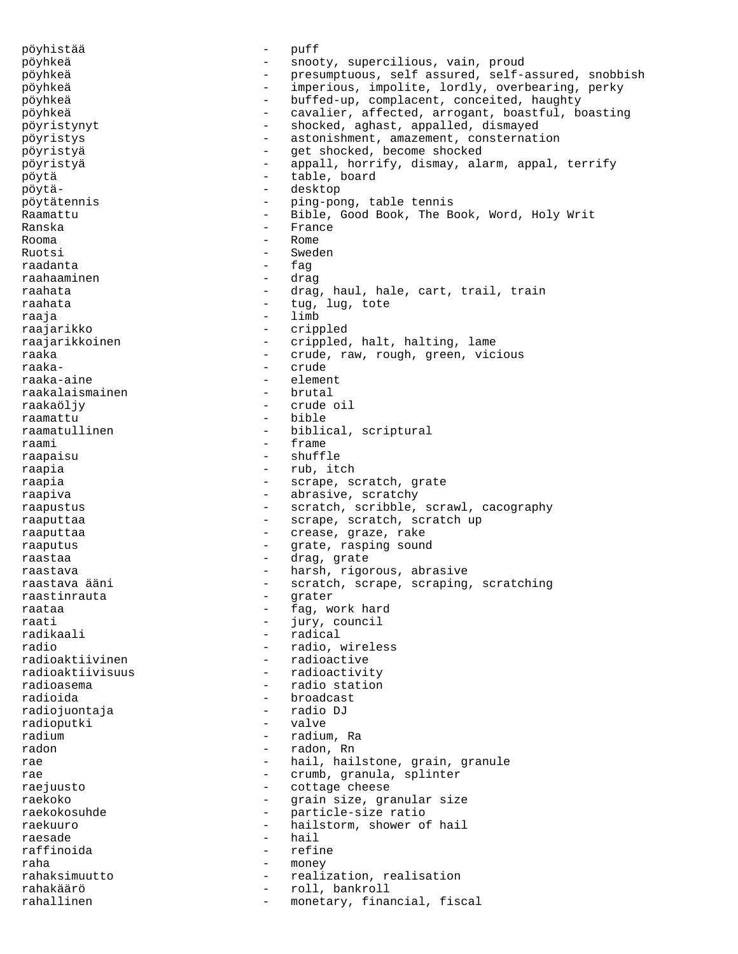pöyhistää - puff pöyhkeä - snooty, supercilious, vain, proud<br>
- presumptuous, self assured, selfpöyhkeä - presumptuous, self assured, self-assured, snobbish pöyhkeä - imperious, impolite, lordly, overbearing, perky pöyhkeä - buffed-up, complacent, conceited, haughty pöyhkeä - cavalier, affected, arrogant, boastful, boasting pöyristynyt - shocked, aghast, appalled, dismayed<br>pöyristys - astonishment, amazement, consternat: pöyristys - astonishment, amazement, consternation pöyristyä - get shocked, become shocked - appall, horrify, dismay, alarm, appal, terrify pöytä - table, board pöytä- - desktop pöytätennis - ping-pong, table tennis Raamattu - Bible, Good Book, The Book, Word, Holy Writ Ranska - France Rooma - Rome Ruotsi - Sweden<br>
raadanta - faq raadanta - fag raahaaminen raahata - drag, haul, hale, cart, trail, train raahata - tug, lug, tote raaja - limb raajarikko - crippled raajarikkoinen - crippled, halt, halting, lame raaka - crude, raw, rough, green, vicious<br>raaka- - crude - crude - crude raaka-aine - element<br>raakalaismainen - - brutal raakalaismainen raakaöljy - crude oil raamattu - bible raamatullinen - biblical, scriptural raami - frame raapaisu - shuffle raapia - rub, itch raapia - scrape, scratch, grate raapiva - abrasive, scratchy raapustus - scratch, scribble, scrawl, cacography raaputtaa - scrape, scratch, scratch up raaputtaa - crease, graze, rake raaputus - grate, rasping sound raastaa - drag, grate raastava - harsh, rigorous, abrasive<br>raastava ääni - - scratch, scrape, scraping - scratch, scrape, scraping, scratching<br>- grater raastinrauta raataa - fag, work hard raati - jury, council - radical radio - radio, wireless - radioactive radioaktiivisuus - radioactivity radioasema - radio station radioida - broadcast radiojuontaja - radio DJ radioputki radium  $-$  radium, Ra radon - radon, Rn rae  $\qquad \qquad$  - hail, hailstone, grain, granule rae  $-$  crumb, granula, splinter raejuusto - cottage cheese - grain size, granular size raekokosuhde - particle-size ratio raekuuro - hailstorm, shower of hail raesade - hail raffinoida - refine raha  $-$  money rahaksimuutto - realization, realisation rahakäärö - roll, bankroll rahallinen - monetary, financial, fiscal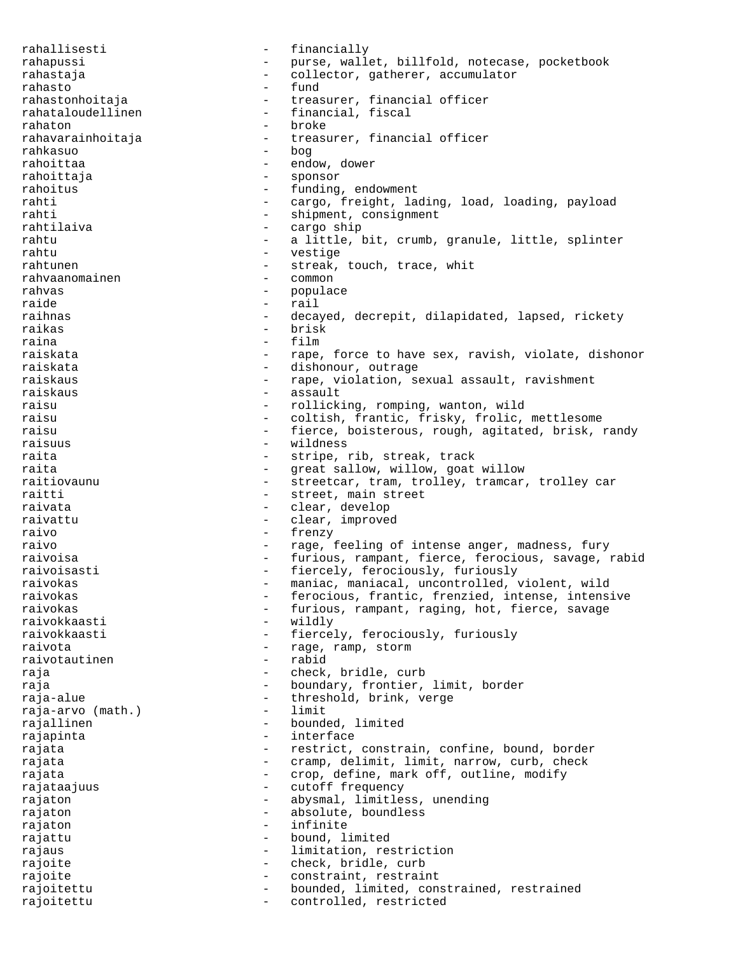rahallisesti - financially rahapussi - purse, wallet, billfold, notecase, pocketbook rahastaja - collector, gatherer, accumulator rahasto - fund rahastonhoitaja - treasurer, financial officer rahataloudellinen - financial, fiscal rahaton - broke<br>rahavarainhoitaja - broke - treasu - treasurer, financial officer rahkasuo - bog rahoittaa  $\qquad \qquad \qquad -$  endow, dower rahoittaja - sponsor rahoitus - funding, endowment rahti - cargo, freight, lading, load, loading, payload rahti - shipment, consignment rahtilaiva - cargo ship rahtu - a little, bit, crumb, granule, little, splinter rahtu - vestige rahtunen - streak, touch, trace, whit<br>rahvaanomainen - common<br>common rahvaanomainen - common rahvas - populace - populace raide - rail<br>raihnas - rail - deca - decayed, decrepit, dilapidated, lapsed, rickety raikas - brisk raina e componente de la componente de la film raiskata - rape, force to have sex, ravish, violate, dishonor raiskata  $-$  dishonour, outrage raiskaus - rape, violation, sexual assault, ravishment raiskaus - assault raisu - rollicking, romping, wanton, wild raisu - coltish, frantic, frisky, frolic, mettlesome raisu - fierce, boisterous, rough, agitated, brisk, randy<br>raisuus raisuus - wildness raita - stripe, rib, streak, track raita - Great sallow, willow, goat willow raitiovaunu - streetcar, tram, trolley, tramcar, trolley car raitti  $-$  street, main street raivata  $\qquad \qquad -$  clear, develop raivattu  $\qquad \qquad -$  clear, improved raivo - frenzy raivo and the rage, feeling of intense anger, madness, fury raivoisa - furious, rampant, fierce, ferocious, savage, rabid raivoisasti <a>>
->
->
fiercely, ferociously, furiously<br/>
->
fiercely, ferociously, furiously raivokas - maniac, maniacal, uncontrolled, violent, wild raivokas - ferocious, frantic, frenzied, intense, intensive raivokas - furious, rampant, raging, hot, fierce, savage raivokkaasti raivokkaasti <br />
- fiercely, ferociously, furiously<br />
- fiercely, ferociously, furiously raivota - rage, ramp, storm<br>
raivotautinen - rabid - rabid raivotautinen raja - check, bridle, curb raja - boundary, frontier, limit, border raja-alue - threshold, brink, verge<br>raja-arvo (math.) - limit - limit raja-arvo (math.) rajallinen - bounded, limited rajapinta - interface rajata - restrict, constrain, confine, bound, border rajata  $-$  cramp, delimit, limit, narrow, curb, check rajata  $-$  crop, define, mark off, outline, modify rajataajuus - cutoff frequency rajaton - abysmal, limitless, unending rajaton - absolute, boundless rajaton - infinite rajattu - bound, limited rajaus - limitation, restriction rajoite - check, bridle, curb<br>rajoite - constraint restrain rajoite  $-$  constraint, restraint rajoitettu - bounded, limited, constrained, restrained rajoitettu - controlled, restricted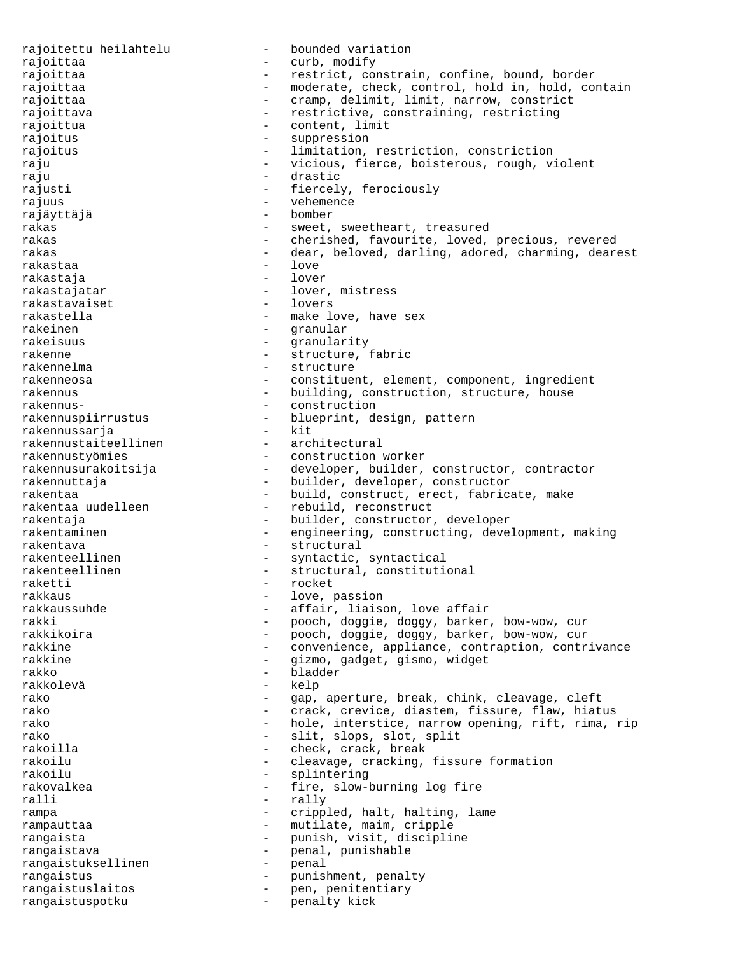rajoitettu heilahtelu - bounded variation rajoittaa  $\qquad \qquad \qquad -\qquad \textrm{curb, modify}$ rajoittaa - restrict, constrain, confine, bound, border rajoittaa - moderate, check, control, hold in, hold, contain rajoittaa - cramp, delimit, limit, narrow, constrict rajoittava - restrictive, constraining, restricting rajoittua - content, limit rajoitus - suppression rajoitus - limitation, restriction, constriction raju - vicious, fierce, boisterous, rough, violent raju - drastic rajusti - fiercely, ferociously<br>rajuus - vehemence rajuus - vehemence rajäyttäjä - bomber rakas - sweet, sweetheart, treasured rakas extending the cherished, favourite, loved, precious, revered rakas - dear, beloved, darling, adored, charming, dearest<br>rakastaa - love - love rakastaa - love rakastaja rakastajatar - lover, mistress rakastavaiset<br>rakastella rakastella - make love, have sex - granular rakeisuus - granularity rakenne  $\qquad \qquad -$  structure, fabric rakennelma - structure rakenneosa - constituent, element, component, ingredient rakennus - building, construction, structure, house rakennus- - construction rakennuspiirrustus - blueprint, design, pattern<br>rakennussaria - kit rakennussarja - kit rakennustaiteellinen rakennustyömies - construction worker rakennusurakoitsija - developer, builder, constructor, contractor<br>rakennuttaja - builder, developer, constructor - builder, developer, constructor rakentaa - build, construct, erect, fabricate, make rakentaa uudelleen - - rebuild, reconstruct rakentaja - builder, constructor, developer rakentaminen - engineering, constructing, development, making rakentava - structural rakenteellinen - syntactic, syntactical rakenteellinen - structural, constitutional raketti - rocket rakkaus - love, passion<br>
rakkaussuhde - effair, liaise - affair, liaison, love affair rakki - pooch, doggie, doggy, barker, bow-wow, cur rakkikoira - pooch, doggie, doggy, barker, bow-wow, cur<br>rakkine - convenience, appliance, contraption, contr - convenience, appliance, contraption, contrivance rakkine - gizmo, gadget, gismo, widget rakko - bladder rakkolevä - kelp rako - gap, aperture, break, chink, cleavage, cleft<br>rako - crack crevice diastem fissure flaw hiat rako  $-$  crack, crevice, diastem, fissure, flaw, hiatus rako  $-$  hole, interstice, narrow opening, rift, rima, rip rako  $-$  slit, slops, slot, split rakoilla - check, crack, break rakoilu - cleavage, cracking, fissure formation rakoilu - splintering rakovalkea - fire, slow-burning log fire ralli - rally - rally rampa  $-$  crippled, halt, halting, lame rampauttaa  $-$  mutilate, maim, cripple rangaista - punish, visit, discipline<br>
rangaistava - penal, punishable rangaistava - penal, punishable<br>rangaistuksellinen - penal - penal rangaistuksellinen - penal rangaistus - punishment, penalty<br>
rangaistus<br>
rangaistus<br>
rangaistus<br>
rangaistus<br>
rangaistus<br>
rangaistus<br>
rangaistus<br>
rangaistus<br>
rangaistus<br>
rangaistus<br>
rangaistus<br>
rangaistus<br>
rangaistus<br>
rangaistus<br>
rangaistus<br>
rangaist rangaistuslaitos - pen, penitentiary rangaistuspotku - penalty kick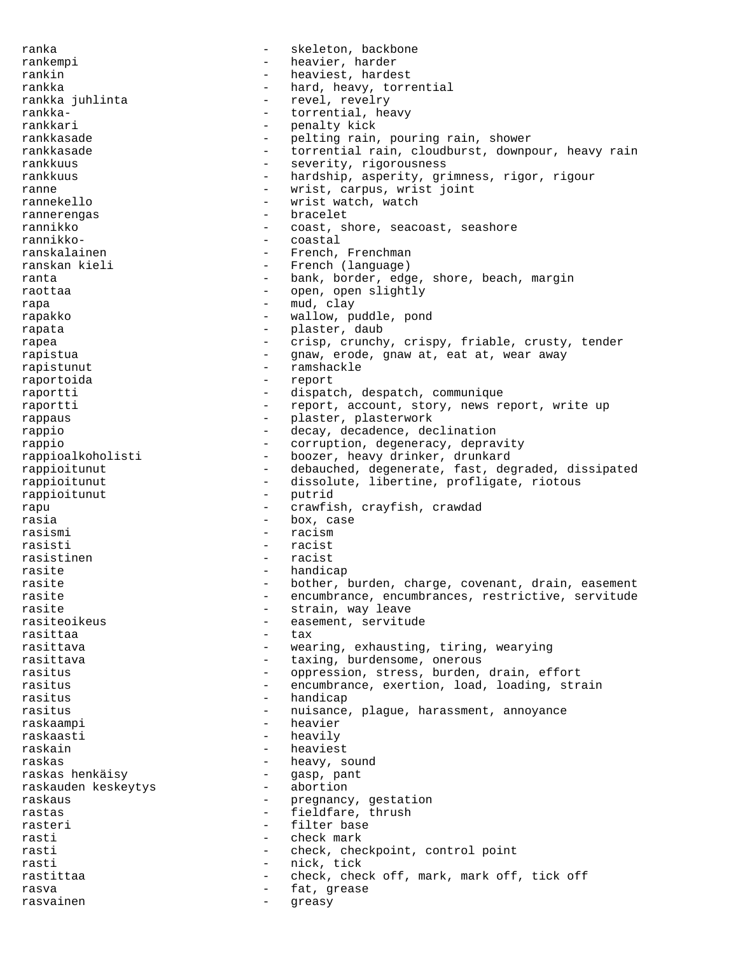ranka - skeleton, backbone rankempi - heavier, harder rankin - heaviest, hardest rankka  $\qquad \qquad -$  hard, heavy, torrential<br>rankka juhlinta  $\qquad \qquad -$  revel, revelry rankka juhlinta  $-$  revel, revelry rankka-<br>- torrential, head rankka- - torrential, heavy rankkari - penalty kick rankkasade - pelting rain, pouring rain, shower - torrential rain, cloudburst, downpour, heavy rain rankkuus - severity, rigorousness rankkuus - hardship, asperity, grimness, rigor, rigour ranne  $-$  wrist, carpus, wrist joint rannekello - wrist watch, watch rannerengas - bracelet rannikko - coast, shore, seacoast, seashore rannikko- - coastal ranskalainen - French, Frenchman ranskan kieli - French (language) ranta  $\qquad \qquad \qquad -$  bank, border, edge, shore, beach, margin raottaa - open, open slightly rapa - mud, clay<br>rapakko - wallow p rapakko - wallow, puddle, pond rapata  $-$  plaster, daub rapea - crisp, crunchy, crispy, friable, crusty, tender rapistua  $-$  gnaw, erode, gnaw at, eat at, wear away rapistunut - ramshackle raportoida - report raportti - dispatch, despatch, communique raportti - report, account, story, news report, write up rappaus - plaster, plasterwork rappio - decay, decadence, declination rappio  $-$  corruption, degeneracy, depravity rappioalkoholisti - boozer, heavy drinker, drunkard rappioitunut - debauched, degenerate, fast, degraded, dissipated rappioitunut - dissolute, libertine, profligate, riotous<br>rappioitunut - putrid rappioitunut - putridicial putridicial putridicial putridicial putridicial putridicial putridicial putridicial putridicial putridicial putridicial putridicial putridicial putridicial putridicial putridicial putridicial put rapu - crawfish, crayfish, crawdad rasia  $\overline{\phantom{a}}$  - box, case rasismi - racism rasisti - racist rasistinen - racist rasite handicap rasite  $-$  bother, burden, charge, covenant, drain, easement rasite - encumbrance, encumbrances, restrictive, servitude rasite - strain, way leave - easement, servitude<br>- tax rasittaa - tax rasittava - wearing, exhausting, tiring, wearying rasittava - taxing, burdensome, onerous rasitus - oppression, stress, burden, drain, effort rasitus - encumbrance, exertion, load, loading, strain rasitus - handicap rasitus - nuisance, plague, harassment, annoyance raskaampi - heavier raskaasti - heavily raskain - heaviest raskas - heavy, sound raskas henkäisy - gasp, pant raskauden keskeytys raskaus - pregnancy, gestation rastas - fieldfare, thrush rasteri - filter base<br>rasti - check mark rasti - check mark rasti  $-$  check, checkpoint, control point rasti - nick, tick rastittaa - check, check off, mark, mark off, tick off rasva  $-$  fat, grease rasvainen - greasy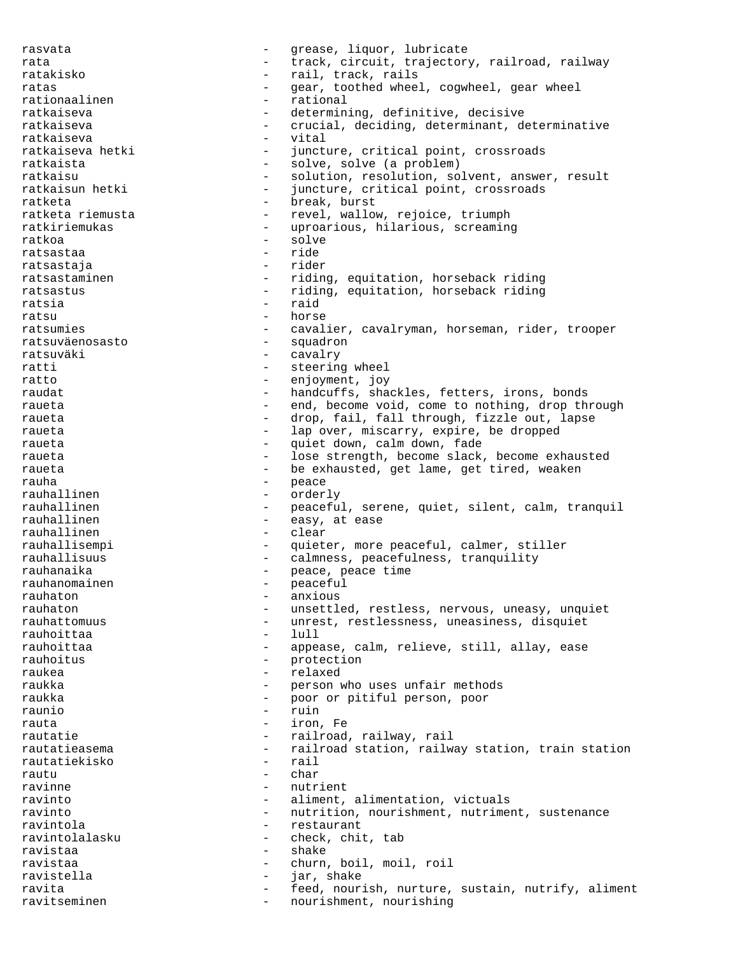rasvata - grease, liquor, lubricate rata  $-$  track, circuit, trajectory, railroad, railway ratakisko - rail, track, rails ratas and the settle of the gear, toothed wheel, cogwheel, gear wheel rationaalinen - rational ratkaiseva - determining, definitive, decisive ratkaiseva - crucial, deciding, determinant, determinative ratkaiseva - vital juncture, critical point, crossroads ratkaista  $-$  solve, solve (a problem) ratkaisu - solution, resolution, solvent, answer, result<br>ratkaisun hetki - iuncture, critical point, crossroads juncture, critical point, crossroads ratketa - break, burst ratketa riemusta - revel, wallow, rejoice, triumph ratkiriemukas - uproarious, hilarious, screaming ratkoa - solve ratsastaa - ride - ride - ride - ride - rider - rider - rider - rider - rider - rider - rider - rider - rider ratsastaja ratsastaminen - riding, equitation, horseback riding ratsastus - riding, equitation, horseback riding ratsia - raid<br>ratsu - horse ratsu - horse ratsumies - cavalier, cavalryman, horseman, rider, trooper<br>ratsuväenosasto - squadron ratsuväenosasto ratsuväki - cavalry ratti  $-$  steering wheel ratto  $-$  enjoyment, joy raudat - handcuffs, shackles, fetters, irons, bonds raueta - end, become void, come to nothing, drop through raueta - drop, fail, fall through, fizzle out, lapse raueta - lap over, miscarry, expire, be dropped raueta - quiet down, calm down, fade raueta - lose strength, become slack, become exhausted<br>raueta raueta - be exhausted, get lame, get tired, weaken rauha - peace rauhallinen - orderly<br>rauhallinen - orderly rauhallinen - peaceful, serene, quiet, silent, calm, tranquil<br>rauhallinen - easy, at ease easy, at ease rauhallinen - clear rauhallisempi - quieter, more peaceful, calmer, stiller rauhallisuus - calmness, peacefulness, tranquility rauhanaika - peace, peace time<br>rauhanomainen - - - - - - peaceful rauhanomainen - peaceful rauhaton - anxious rauhaton - unsettled, restless, nervous, uneasy, unquiet rauhattomuus - unrest, restlessness, uneasiness, disquiet<br>
- lull<br>
- lull rauhoittaa rauhoittaa - appease, calm, relieve, still, allay, ease rauhoitus - protection raukea - relaxed raukka - person who uses unfair methods raukka - poor or pitiful person, poor of poor of pitiful person, poor raunio - ruin rauta  $-$  iron, Fe rautatie - railroad, railway, rail rautatieasema - railroad station, railway station, train station rautatiekisko - rail rautu - char ravinne - nutrient ravinto  $-$  aliment, alimentation, victuals ravinto - nutrition, nourishment, nutriment, sustenance ravintola - restaurant ravintolalasku - check, chit, tab ravistaa - shake ravistaa - churn, boil, moil, roil ravistella - jar, shake ravita - feed, nourish, nurture, sustain, nutrify, aliment ravitseminen - nourishment, nourishing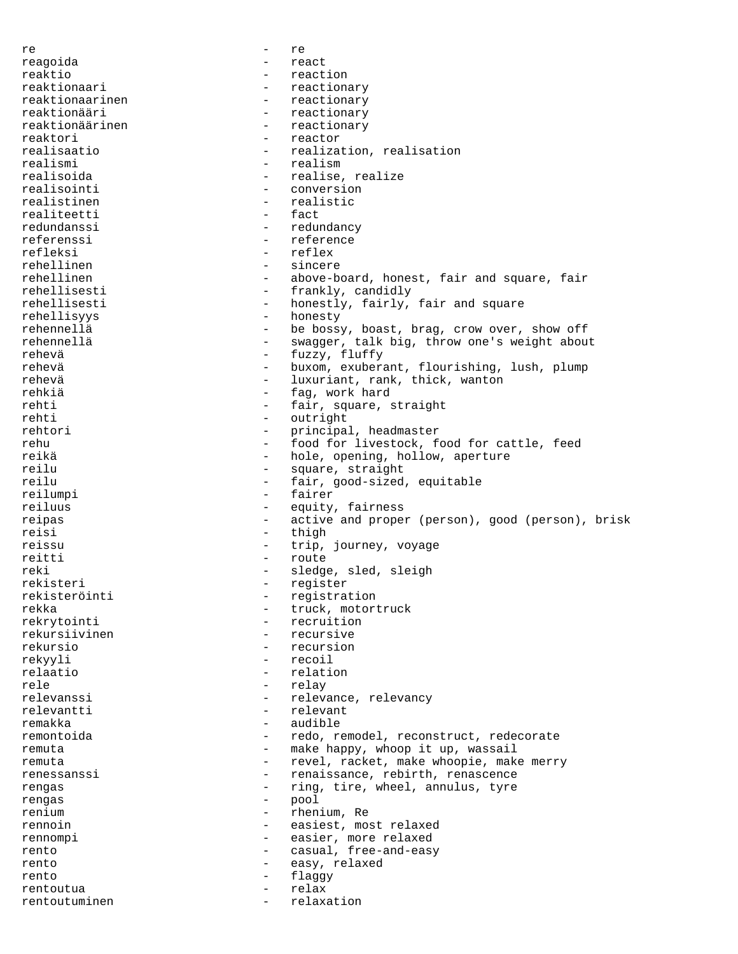re et al. et al. et al. et al. et al. et al. et al. et al. et al. et al. et al. et al. et al. et al. et al. et reagoida - react reaktio - reaction<br>reaktionaari - reaction - reactionary reaktionaarinen - reactionary reaktionääri - reactionary<br>
reaktionäärinen - reactionary reaktionäärinen - reactionary<br>reaktori - reactor reaktori - reactor - realization, realisation realismi - realismi - realismi - realismi - realismi - realismi - realismi - realismi - realismi - realismi realisoida - realise, realise<br>
realisointi - conversion - conversion realistinen 1988 - realistic realistic realistic realistic realistic realistic realistic realistic re realiteetti redundanssi - redundancy referenssi - reference refleksi - reflex rehellinen - sincere rehellinen - above-board, honest, fair and square, fair<br>
rehellisesti - frankly, candidly rehellisesti - frankly, candidly<br>rehellisesti - honestly, fairly, - honestly, fairly, fair and square rehellisyys - honesty rehennellä - be bossy, boast, brag, crow over, show off rehennellä - swagger, talk big, throw one's weight about rehevä - fuzzy, fluffy rehevä - buxom, exuberant, flourishing, lush, plump rehevä - luxuriant, rank, thick, wanton rehkiä  $-$  fag, work hard rehti - fair, square, straight rehti - outright rehtori - principal, headmaster<br>
rehu - food for livestock f rehu - food for livestock, food for cattle, feed<br>reikä reikä - hole, opening, hollow, aperture<br>reilu - square, straight reilu - fair, good-sized, equitable<br>
- fairer reilumpi - fairer reiluus - equity, fairness<br>
reipas - extive and proper - active and proper (person), good (person), brisk reisi - thigh reissu - trip, journey, voyage reitti - route reki - sledge, sled, sleigh rekisteri - register rekisteröinti - registration rekka - truck, motortruck<br>rekrytointi - truck, motortruck rekrytointi - recruition - recursive rekursio - recursion rekyyli - recoil relaatio - relation rele - relay relevanssi - relevance, relevancy relevantti - relevant remakka - audible remontoida  $-$  redo, remodel, reconstruct, redecorate remuta - make happy, whoop it up, wassail<br>remuta - revel racket make whoonie make remuta - revel, racket, make whoopie, make merry renessanssi - renaissance, rebirth, renascence rengas - ring, tire, wheel, annulus, tyre rengas - pool renium - rhenium, Re rennoin - easiest, most relaxed rennompi - easier, more relaxed rento  $-$  casual, free-and-easy rento - easy, relaxed rento - flaggy rentoutua - relax rentoutuminen - relaxation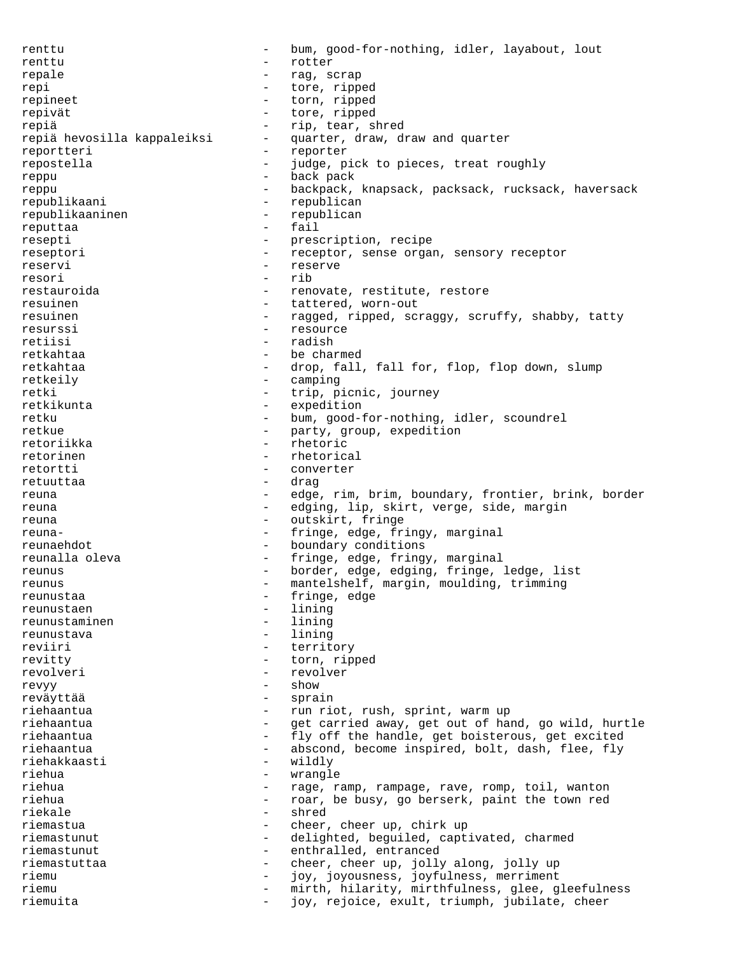renttu - bum, good-for-nothing, idler, layabout, lout renttu - rotter repale  $-$  rag, scrap repi - tore, ripped repineet - torn, ripped repivät  $-$  tore, ripped repiä - rip, tear, shred - quarter, draw, draw and quarter reportteri - reporter<br>
repostella - iudge p repostella  $-$  judge, pick to pieces, treat roughly reppu - back pack reppu - backpack, knapsack, packsack, rucksack, haversack republikaani - republican republikaaninen - republican reputtaa - fail resepti - prescription, recipe reseptori - receptor, sense organ, sensory receptor<br>reservi - reserve reservi - reserve resori - rib restauroida - renovate, restitute, restore resuinen 1988 - Tattered, worn-out resuinen - ragged, ripped, scraggy, scruffy, shabby, tatty resurssi - resource retiisi - radish retkahtaa - be charmed retkahtaa - drop, fall, fall for, flop, flop down, slump retkeily - camping retki  $-$  trip, picnic, journey retkikunta - expedition retku - bum, good-for-nothing, idler, scoundrel retkue - party, group, expedition<br>
- party, group, expedition<br>
- rhetoric retoriikka - rhetoric retorinen - rhetorical retortti - converter<br>retuuttaa - drag - drag retuuttaa - drag reuna - edge, rim, brim, boundary, frontier, brink, border reuna - edging, lip, skirt, verge, side, margin reuna - outskirt, fringe reuna- - fringe, edge, fringy, marginal reunaehdot - boundary conditions reunalla oleva - fringe, edge, fringy, marginal reunus and the settle of the border, edge, edging, fringe, ledge, list reunus - mantelshelf, margin, moulding, trimming<br>
- fringe edge reunustaa - fringe, edge<br>reunustaan - fringe, edge reunustaen 1989 - Hining Peunustaminen 1989 - Lining Peunustaminen 1989 - Lining Peunustaminen 1989 - Lining P reunustaminen – lining var an den staatsmannen (\* 1505)<br>15. juni – lining var af de verkenig var af de verkenig var af de verkenig var af de verkenig var af de verke reunustava - lining reviiri - territory revitty  $-$  torn, ripped revolveri - revolver revyy - show reväyttää - sprain riehaantua - run riot, rush, sprint, warm up riehaantua - get carried away, get out of hand, go wild, hurtle riehaantua - fly off the handle, get boisterous, get excited riehaantua - abscond, become inspired, bolt, dash, flee, fly riehakkaasti - wildly riehua - wrangle<br>riehua - rage r - rage, ramp, rampage, rave, romp, toil, wanton<br>- roar, be busy, go berserk, paint the town red riehua - roar, be busy, go berserk, paint the town red<br>riekale riekale - shred<br>riemastua - sheer - sheer riemastua - cheer, cheer up, chirk up riemastunut - delighted, beguiled, captivated, charmed riemastunut - enthralled, entranced riemastuttaa - cheer, cheer up, jolly along, jolly up riemu - joy, joyousness, joyfulness, merriment riemu - mirth, hilarity, mirthfulness, glee, gleefulness<br>riemuita - joy, rejoice, exult, triumph, jubilate, cheer joy, rejoice, exult, triumph, jubilate, cheer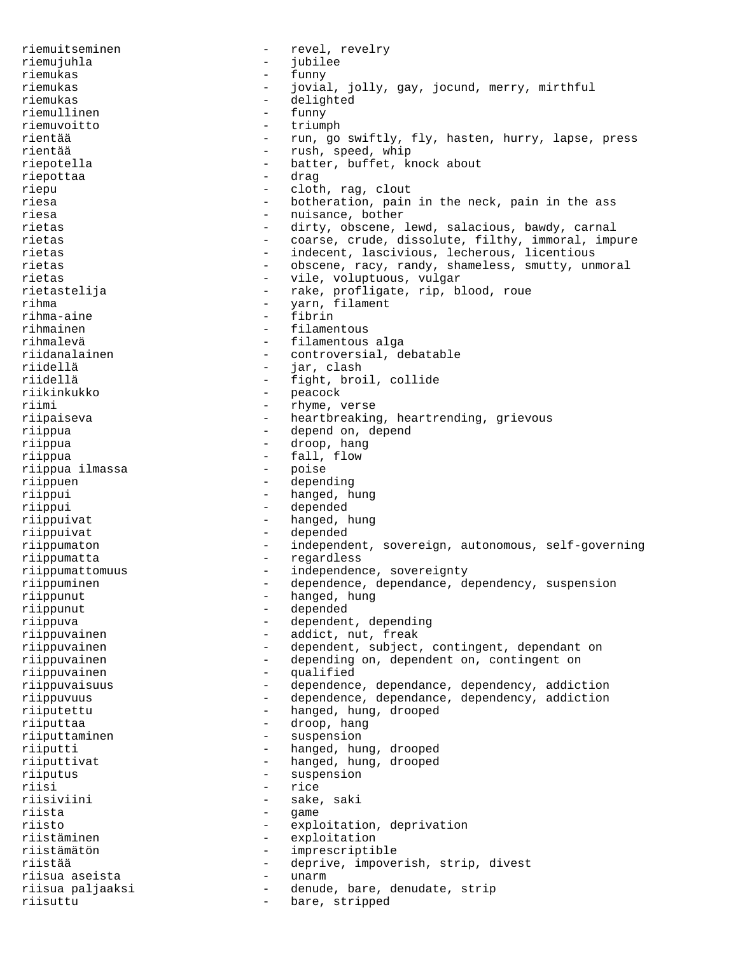riemuitseminen - revel, revelry riemujuhla - jubilee riemukas - funny riemukas - jovial, jolly, gay, jocund, merry, mirthful riemukas - delighted riemullinen - funny riemuvoitto - triumph rientää - run, go swiftly, fly, hasten, hurry, lapse, press - rush, speed, whip riepotella - batter, buffet, knock about<br>riepottas riepottaa - drag riepu - cloth, rag, clout<br>riesa - clotheration pain riesa - botheration, pain in the neck, pain in the ass riesa  $-$  nuisance, bother rietas - dirty, obscene, lewd, salacious, bawdy, carnal rietas  $-$  coarse, crude, dissolute, filthy, immoral, impure rietas - indecent, lascivious, lecherous, licentious rietas - obscene, racy, randy, shameless, smutty, unmoral rietas - vile, voluptuous, vulgar rietastelija - rake, profligate, rip, blood, roue<br>ribma rihma - yarn, filament rihma-aine rihmainen - filamentous rihmalevä - filamentous alga riidanalainen - controversial, debatable<br>riidellä riidellä - jar, clash riidellä - fight, broil, collide riikinkukko - peacock riimi - rhyme, verse riipaiseva - heartbreaking, heartrending, grievous<br>riippua - depend on depend riippua - depend on, depend riippua - depend on, depend riippua riippua - droop, hang<br>riippua - fall, flow - fall, flow<br>- poise riippua ilmassa - poise riippuen - depending riippui - hanged, hung riippui - depended riippuivat - hanged, hung riippuivat - depended riippumaton - independent, sovereign, autonomous, self-governing<br>riippumatta - regardless riippumatta - regardless<br>riippumattomuus - independenc riippumattomuus - independence, sovereignty<br>riippuminen - dependence dependance de riippuminen - dependence, dependance, dependency, suspension<br>riippumut - hanged hung riippunut - hanged, hung<br>riippunut - depended riippunut - depended<br>
riippuva - dependent<br>
- dependent - dependent, depending<br>- addict nut freak riippuvainen 1988 - addict, nut, freak<br>riippuvainen 1988 - dependent subject riippuvainen - dependent, subject, contingent, dependant on riippuvainen - depending on, dependent on, contingent on - depending on, dependent on, contingent on<br>- qualified riippuvainen - qualified riippuvaisuus - dependence, dependance, dependency, addiction riippuvuus - dependence, dependance, dependency, addiction<br>riiputettu - hanged hung drooped riiputettu - hanged, hung, drooped riiputtaa - droop, hang riiputtaminen - suspension - hanged, hung, drooped<br>- hanged, hung, drooped riiputtivat - hanged, hung, drooped<br>riiputus - suspension riiputus - suspension<br>riisi - rice<br>- rice riisi - rice riisiviini - sake, saki<br>riista - came riista - game riisto - exploitation, deprivation riistäminen - exploitation riistämätön - imprescriptible riistää - deprive, impoverish, strip, divest riisua aseista - unarm riisua paljaaksi - denude, bare, denudate, strip riisuttu - bare, stripped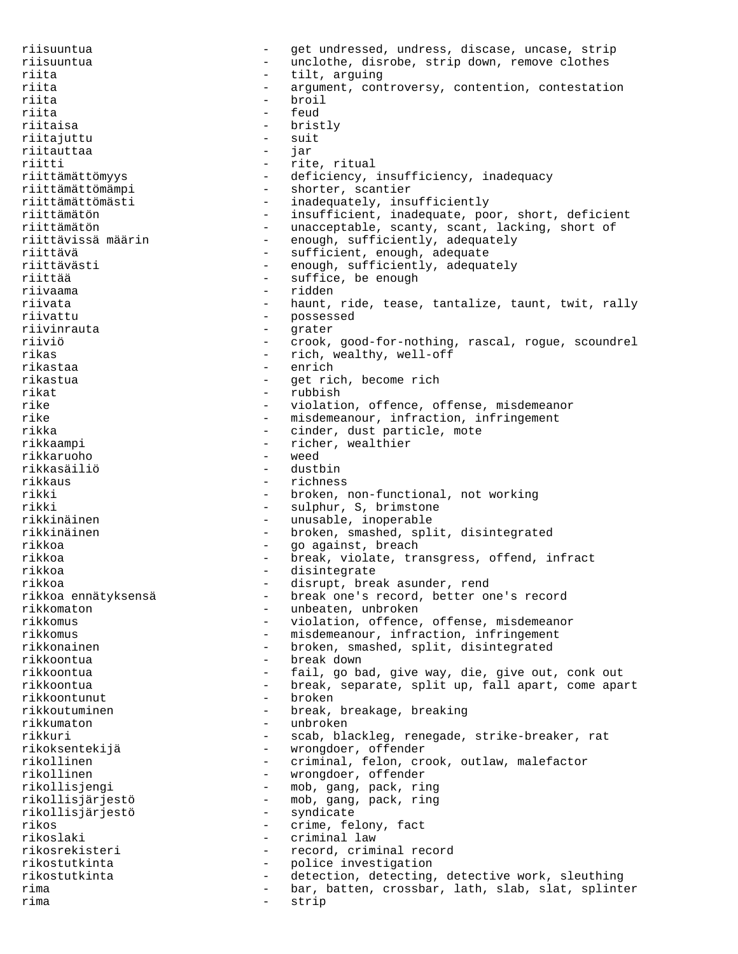riisuuntua - get undressed, undress, discase, uncase, strip riisuuntua - unclothe, disrobe, strip down, remove clothes riita - tilt, arguing riita - argument, controversy, contention, contestation riita - broil - broil<br>riita - feud riita - feud<br>riitaisa - bris - bristly<br>- suit riitajuttu - suit riitauttaa riitti - rite, ritual<br>riittämättömyys - - deficiency, : - deficiency, insufficiency, inadequacy riittämättömämpi - shorter, scantier<br>riittämättömästi - inadeguately, ins - inadequately, insufficiently riittämätön - insufficient, inadequate, poor, short, deficient riittämätön - unacceptable, scanty, scant, lacking, short of<br>riittävissä määrin - enough, sufficiently, adequately - enough, sufficiently, adequately riittävä - sufficient, enough, adequate<br>riittävästi - - - - - - - - enough, sufficiently, adequa riittävästi - enough, sufficiently, adequately<br>riittää - - - - - suffice, be enough riittää - suffice, be enough riivaama - ridden - ridden - ridden - ridden - ridden - ridden - ridden - ridden - ridden - ridden - ridden riivata - haunt, ride, tease, tantalize, taunt, twit, rally<br>riivattu - possessed - possessed riivinrauta - grater riiviö - crook, good-for-nothing, rascal, rogue, scoundrel rikas - rich, wealthy, well-off rikastaa - enrich rikastua - get rich, become rich rikat - rubbish rike  $\begin{array}{ccc}\n\text{rike} & - & \text{violation, of fence, of$  $fense, misdemean\n\end{array}$ rike - misdemeanour, infraction, infringement<br>rikka - cinder, dust particle, mote rikka - cinder, dust particle, mote<br>
- richer, wealthier<br>
- richer, wealthier - richer, wealthier<br>- weed rikkaruoho - weed rikkasäiliö rikkaus - richness rikki - broken, non-functional, not working rikki - sulphur, S, brimstone - unusable, inoperable rikkinäinen 1988 - broken, smashed, split, disintegrated rikkoa - go against, breach rikkoa - break, violate, transgress, offend, infract rikkoa - disintegrate rikkoa - disrupt, break asunder, rend<br>rikkoa ennätyksensä - - break one's record, better om rikkoa ennätyksensä - break one's record, better one's record rikkomaton - unbeaten, unbroken<br>rikkomus - violation offence rikkomus - violation, offence, offense, misdemeanor<br>rikkomus - misdemeanour infraction infringement - misdemeanour, infraction, infringement rikkonainen - broken, smashed, split, disintegrated rikkoontua - break down rikkoontua - fail, go bad, give way, die, give out, conk out rikkoontua - break, separate, split up, fall apart, come apart rikkoontunut - broken rikkoutuminen - break, breakage, breaking rikkumaton - unbroken rikkuri - scab, blackleg, renegade, strike-breaker, rat - wrongdoer, offender rikollinen - criminal, felon, crook, outlaw, malefactor<br>
- wrongdoer, offender rikollinen - wrongdoer, offender<br>
rikollisjengi - mob, gang, pack, ri rikollisjengi - mob, gang, pack, ring<br>
rikollisjärjestö - mob, gang, pack, ring rikol, gang, pack, ring<br>Parikolate rikollisjärjestö rikos - crime, felony, fact rikoslaki - criminal law rikosrekisteri - record, criminal record rikostutkinta - police investigation<br>rikostutkinta - police investigation<br>- detection detection rikostutkinta - detection, detecting, detective work, sleuthing rima - bar, batten, crossbar, lath, slab, slat, splinter rima - strip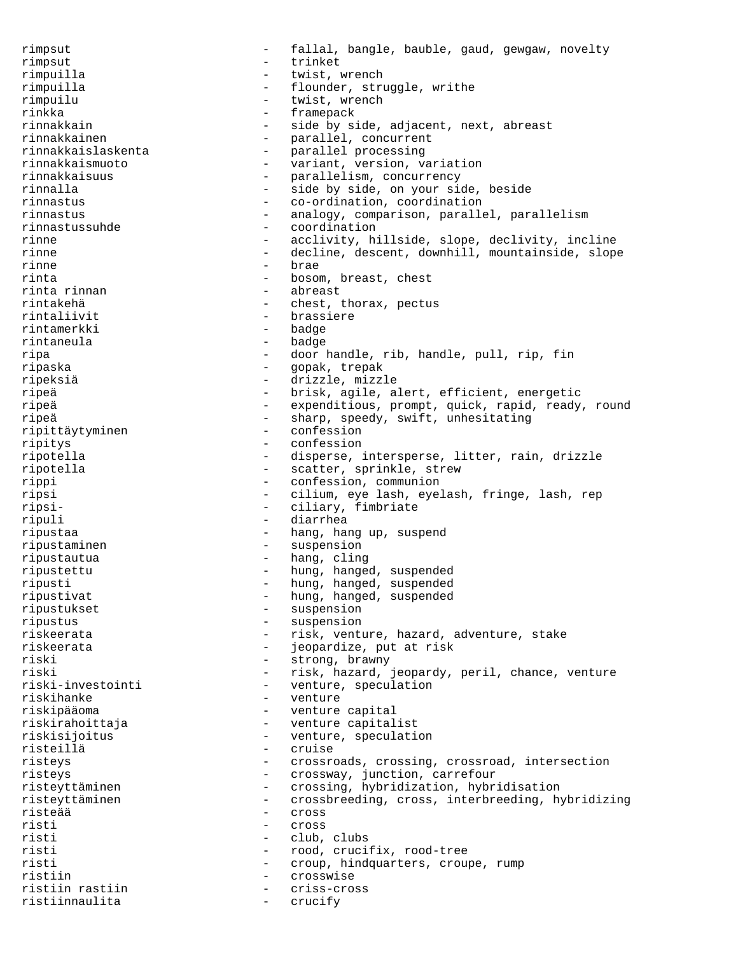rimpsut - fallal, bangle, bauble, gaud, gewgaw, novelty rimpsut - trinket rimpuilla - twist, wrench rimpuilla  $-$  flounder, struggle, writhe rimpuilu - twist, wrench framepack rinnakkain - side by side, adjacent, next, abreast<br>
rinnakkainen - earallel, concurrent rinnakkainen - parallel, concurrent<br>
rinnakkaislaskenta - parallel processing - parallel processing rinnakkaismuoto - variant, version, variation rinnakkaisuus - parallelism, concurrency rinnalla - side by side, on your side, beside rinnastus - co-ordination, coordination rinnastus - analogy, comparison, parallel, parallelism rinnastussuhde - coordination rinne  $\qquad \qquad -$  acclivity, hillside, slope, declivity, incline rinne - decline, descent, downhill, mountainside, slope rinne - brae<br>rinta - bosov rinta - bosom, breast, chest rinta rinnan - abreast rintakehä - chest, thorax, pectus - brassiere rintamerkki - badge rintaneula - badge ripa - door handle, rib, handle, pull, rip, fin<br>
- qopak, trepak<br>
- qopak, trepak - gopak, trepak ripeksiä - drizzle, mizzle ripeä - brisk, agile, alert, efficient, energetic ripeä - expenditious, prompt, quick, rapid, ready, round ripeä - sharp, speedy, swift, unhesitating ripittäytyminen ripitys - confession ripotella - disperse, intersperse, litter, rain, drizzle ripotella - scatter, sprinkle, strew rippi - confession, communion ripsi - cilium, eye lash, eyelash, fringe, lash, rep ripsi- - ciliary, fimbriate ripuli - diarrhea ripustaa  $\qquad \qquad -$  hang, hang up, suspend ripustaminen - suspension ripustautua - hang, cling ripustettu - hung, hanged, suspended ripusti - hung, hanged, suspended ripustivat - hung, hanged, suspended ripustukset - suspension ripustus - suspension riskeerata - risk, venture, hazard, adventure, stake<br>riskeerata - jeopardize, put at risk - jeopardize, put at risk riski - strong, brawny riski - risk, hazard, jeopardy, peril, chance, venture riski-investointi - venture, speculation<br>riskihanke - venture riskihanke - venture riskipääoma - venture capital riskirahoittaja - venture capitalist<br>riskisijoitus - venture speculati riskisijoitus - venture, speculation<br>risteillä risteillä - cruise risteys - crossroads, crossing, crossroad, intersection risteys - crossway, junction, carrefour risteyttäminen - crossing, hybridization, hybridisation risteyttäminen - crossbreeding, cross, interbreeding, hybridizing risteää - cross risti - cross risti - club, clubs risti - rood, crucifix, rood-tree risti  $-$  croup, hindquarters, croupe, rump ristiin - crosswise<br>ristiin rastiin - criss-cros ristiin rastiin - criss-cross ristiinnaulita - crucify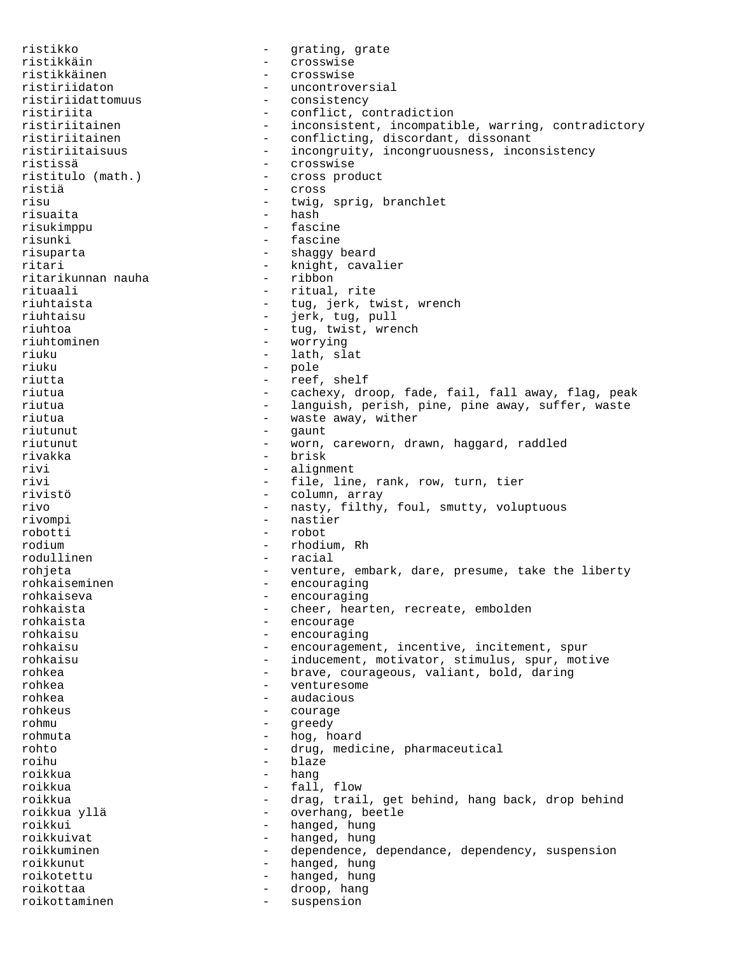ristikko - grating, grate ristikkäin - crosswise ristikkäinen - crosswise ristiriidaton - uncontroversial ristiriidattomuus - consistency - consistency - consistency - consistency - consistency - consistency - consistency - consistency - consistency - consistency - consistency - consistency - consistency - consistency - consis ristiriita - conflict, contradiction<br>ristiriitainen - - inconsistent, incompatil ristiriitainen - inconsistent, incompatible, warring, contradictory ristiriitainen - conflicting, discordant, dissonant - incongruity, incongruousness, inconsistency ristissä - crosswise - cross product ristiä - cross risu - twig, sprig, branchlet risuaita - hash risukimppu - fascine - fascine risuparta - shaggy beard ritari - knight, cavalier<br>
ritarikunnan nauha - ribbon - ribbon ritarikunnan nauha<br>rituaali rituaali - ritual, rite riuhtaista - tug, jerk, twist, wrench<br>
riuhtaisu - ierk, tug, pull - jerk, tug, pull riuhtoa - tug, twist, wrench riuhtominen - worrying riuku - lath, slat<br>riuku - pole - pole - pole riutta - reef, shelf<br>riutua - reef, shelf riutua - cachexy, droop, fade, fail, fall away, flag, peak riutua - languish, perish, pine, pine away, suffer, waste riutua  $-$  waste away, wither riutunut – gaunt – gaunt – gaunt – gaunt – gaunt – gaunt – gaunt – gaunt – gaunt – gaunt – gaunt – gaunt – gaunt – gaunt – gaunt – gaunt – gaunt – gaunt – gaunt – gaunt – gaunt – gaunt – gaunt – gaunt – gaunt – gaunt – gau riutunut - worn, careworn, drawn, haggard, raddled rivakka - brisk - brisk<br>rivi - alignn rivi - alignment<br>rivi - file line - file, line, rank, row, turn, tier rivistö - column, array rivo - nasty, filthy, foul, smutty, voluptuous rivompi - nastier robotti - robot rodium - rhodium, Rh<br>rodullinen - racial - racial - racial<br>- venture rohjeta - venture, embark, dare, presume, take the liberty rohkaiseminen - encouraging rohkaiseva - encouraging rohkaista - cheer, hearten, recreate, embolden rohkaista - encourage rohkaisu - encouraging rohkaisu - encouragement, incentive, incitement, spur rohkaisu - inducement, motivator, stimulus, spur, motive rohkea - brave, courageous, valiant, bold, daring rohkea - venturesome rohkea - audacious rohkeus - courage rohmu - greedy rohmuta - hog, hoard rohto - drug, medicine, pharmaceutical<br>
- hlaze roihu - blaze roikkua - hang roikkua - fall, flow roikkua - drag, trail, get behind, hang back, drop behind roikkua yllä - overhang, beetle roikkui - hanged, hung roikkuivat - hanged, hung roikkuminen - dependence, dependance, dependency, suspension roikkunut - hanged, hung roikotettu - hanged, hung roikottaa - droop, hang roikottaminen - suspension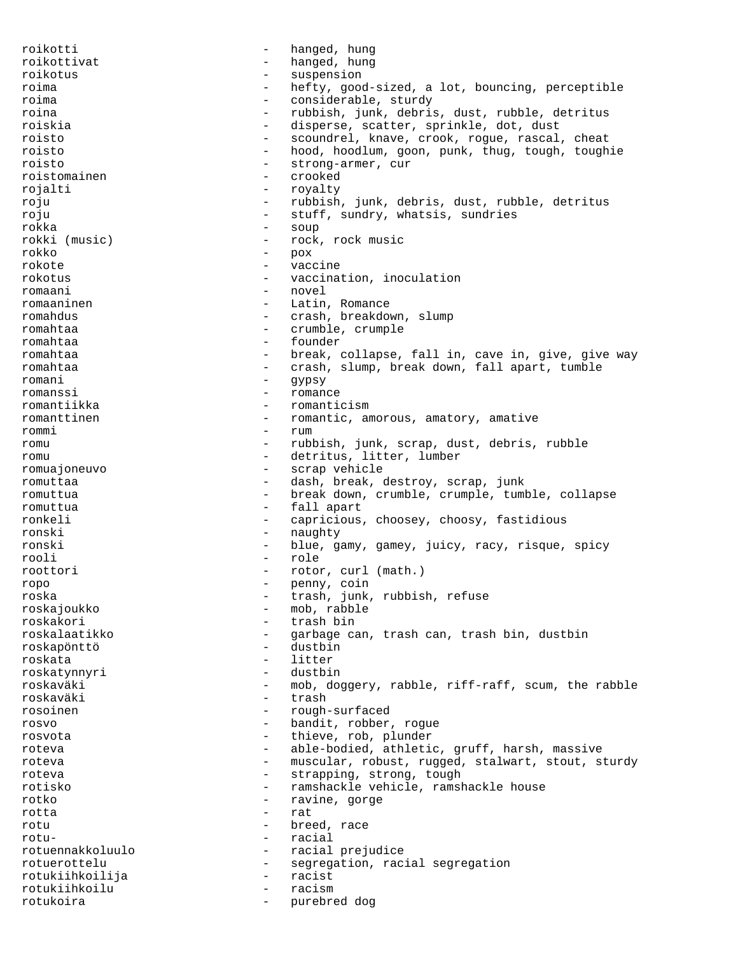roikotti - hanged, hung roikottivat - hanged, hung<br>roikotus - suspension roikotus - suspension roima - hefty, good-sized, a lot, bouncing, perceptible roima - considerable, sturdy roina - rubbish, junk, debris, dust, rubble, detritus roiskia - disperse, scatter, sprinkle, dot, dust roisto - scoundrel, knave, crook, rogue, rascal, cheat roisto - hood, hoodlum, goon, punk, thug, tough, toughie roisto - strong-armer, cur roistomainen - crooked rojalti - royalty roju - rubbish, junk, debris, dust, rubble, detritus roju - stuff, sundry, whatsis, sundries rokka - soup rokki (music) - rock, rock music rokko - pox rokote - vaccine<br>rokotus - vaccine rokotus - vaccination, inoculation romaani - novel romaaninen - Latin, Romance romahdus - crash, breakdown, slump romahtaa - crumble, crumple romahtaa - founder romahtaa - 1988 - break, collapse, fall in, cave in, give, give way romahtaa - crash, slump, break down, fall apart, tumble romani - gypsy romanssi - romance romantiikka - romanticism romanttinen  $-$  romantic, amorous, amatory, amative rommi – rum<br>romu – rubl romu - rubbish, junk, scrap, dust, debris, rubble romu - detritus, litter, lumber romuajoneuvo - scrap vehicle romuttaa - dash, break, destroy, scrap, junk romuttua - break down, crumble, crumple, tumble, collapse romuttua - fall apart ronkeli - capricious, choosey, choosy, fastidious ronski - naughty ronski - blue, gamy, gamey, juicy, racy, risque, spicy rooli - role roottori - rotor, curl (math.) ropo - penny, coin roska - trash, junk, rubbish, refuse roskajoukko - mob, rabble roskakori - trash bin - garbage can, trash can, trash bin, dustbin<br>- dustbin roskapönttö roskata - litter roskatynnyri roskaväki - mob, doggery, rabble, riff-raff, scum, the rabble roskaväki - trash rosoinen - rough-surfaced rosvo - bandit, robber, rogue rosvota - thieve, rob, plunder roteva - able-bodied, athletic, gruff, harsh, massive roteva - muscular, robust, rugged, stalwart, stout, sturdy roteva  $-$  strapping, strong, tough rotisko - ramshackle vehicle, ramshackle house rotko - ravine, gorge rotta e rat rotu - breed, race rotu- - racial rotuennakkoluulo - racial prejudice rotuerottelu - segregation, racial segregation rotukiihkoilija - racist rotukiihkoilu - racism rotukoira - purebred dog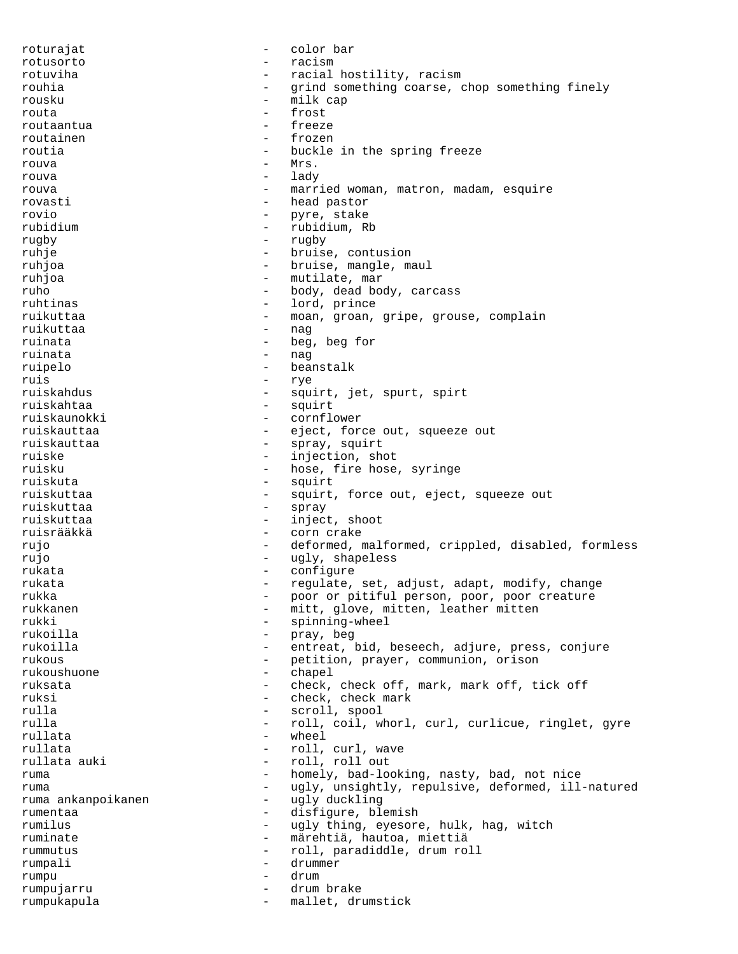roturajat - color bar rotusorto - racism rotuviha - racial hostility, racism rouhia  $-$  grind something coarse, chop something finely rousku - milk cap routa - frost routaantua - freeze routainen - frozen routia  $-$  buckle in the spring freeze rouva - Mrs. rouva - lady rouva - married woman, matron, madam, esquire rovasti - head pastor rovio - pyre, stake rubidium - rubidium, Rb rugby - rugby ruhje  $-$  bruise, contusion ruhjoa - bruise, mangle, maul<br>ruhjoa - mutilate mar ruhjoa - mutilate, mar<br>ruho - mutilate, mar<br>- hody dead bou ruho - body, dead body, carcass - lord, prince<br>- moan groan ruikuttaa  $\begin{array}{ccc}\n-\text{mean, group,} & \text{mean, group,} \\
-\text{mean, group, group,} & \text{mean}\n\end{array}$ ruikuttaa - nag - nag - nag - nag - nag - nag - nag - nag - nag - nag - nag - nag - nag - nag - nag - nag - nag - nag - nag - nag - nag - nag - nag - nag - nag - nag - nag - nag - nag - nag - nag - nag - nag - nag - nag ruinata  $\qquad \qquad -$  beg, beg for ruinata ruinata  $\overline{a}$  - nagricular extra  $\overline{a}$ ruipelo - beanstalk ruis - rye ruiskahdus - squirt, jet, spurt, spirt ruiskahtaa - squirt ruiskaunokki - cornflower ruiskauttaa - eject, force out, squeeze out ruiskauttaa - spray, squirt<br>ruiska ruiske - injection, shot<br>
ruisku - hose, fire hose<br>
- hose, fire hose - hose, fire hose, syringe<br>- squirt ruiskuta - squirt - squirt, force out, eject, squeeze out ruiskuttaa - spray<br>ruiskuttaa - spray - spray ruiskuttaa - inject, shoot ruisrääkkä - corn crake rujo - deformed, malformed, crippled, disabled, formless rujo - ugly, shapeless rukata  $-$  configure rukata - regulate, set, adjust, adapt, modify, change<br>- regulate, set, adjust, adapt, modify, change rukka - poor or pitiful person, poor, poor creature rukkanen - mitt, glove, mitten, leather mitten, when when  $\frac{1}{2}$ rukki - spinning-wheel<br>rukoilla - spinning-wheel<br>- sprav, beg - pray, beg<br>- entreat l rukoilla - entreat, bid, beseech, adjure, press, conjure rukous - petition, prayer, communion, orison<br>
- chanel<br>
- chanel rukoushuone - chapel ruksata - check, check off, mark, mark off, tick off ruksi - check, check mark rulla - scroll, spool - roll, coil, whorl, curl, curlicue, ringlet, gyre rullata - wheel - roll, curl, wave<br>- roll roll out rullata auki - roll, roll out ruma - homely, bad-looking, nasty, bad, not nice<br>ruma - ugly unsightly repulsive deformed ill ruma  $-$  ugly, unsightly, repulsive, deformed, ill-natured ruma ankanpoikanen  $-$  ugly duckling ruma ankanpoikanen rumentaa - disfigure, blemish rumilus - ugly thing, eyesore, hulk, hag, witch ruminate - märehtiä, hautoa, miettiä rummutus - roll, paradiddle, drum roll rumpali - drummer rumpu - drum rumpujarru - drum brake rumpukapula - mallet, drumstick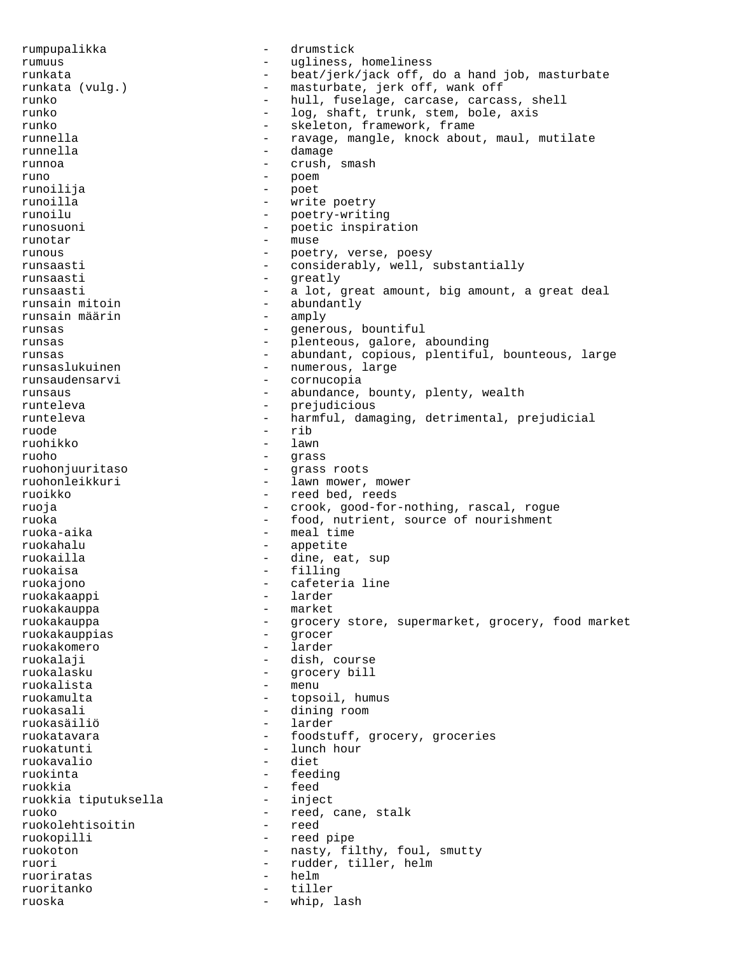rumpupalikka - drumstick rumuus - ugliness, homeliness runkata - beat/jerk/jack off, do a hand job, masturbate runkata (vulg.) - masturbate, jerk off, wank off runko - hull, fuselage, carcase, carcass, shell runko - log, shaft, trunk, stem, bole, axis runko - skeleton, framework, frame runnella  $-$  ravage, mangle, knock about, maul, mutilate runnella - damage runnoa - crush, smash runo - poem runoilija - poet runoilla - write poetry runoilu - poetry-writing<br>runosuoni - poetic inspira runosuoni - poetic inspiration<br>runotar - muse - muse runotar runous - poetry, verse, poesy<br>runsaasti - considerably well runsaasti - considerably, well, substantially<br>runsaasti - greatly - greatly runsaasti - a lot, great amount, big amount, a great deal<br>runsain mitoin - abundantly - abundantly<br>- amply runsain määrin runsas  $-$  generous, bountiful runsas - plenteous, galore, abounding runsas - abundant, copious, plentiful, bounteous, large runsaslukuinen - numerous, large runsaudensarvi - cornucopia runsaus - abundance, bounty, plenty, wealth<br>
- prejudicious runteleva - prejudicious runteleva - harmful, damaging, detrimental, prejudicial ruode - rib ruohikko ruoho - grass ruohonjuuritaso ruohonleikkuri - lawn mower, mower ruoikko  $-$  reed bed, reeds ruoja - crook, good-for-nothing, rascal, rogue ruoka - food, nutrient, source of nourishment ruoka-aika - meal time ruokahalu - appetite ruokailla  $-$  dine, eat, sup ruokaisa - filling ruokajono - cafeteria line ruokakaappi ruokakauppa - market ruokakauppa - grocery store, supermarket, grocery, food market<br>ruokakauppias - grocer ruokakauppias - grocer ruokakomero - larder ruokalaji - dish, course ruokalasku - grocery bill<br>ruokalista - menu - menu ruokalista ruokamulta - topsoil, humus ruokasali - dining room ruokasäiliö - larder ruokatavara  $-$  foodstuff, grocery, groceries ruokatunti - lunch hour<br>ruokavalio - diet ruokavalio ruokinta - feeding ruokkia - feed ruokkia tiputuksella ruoko - reed, cane, stalk ruokolehtisoitin ruokopilli - reed pipe ruokoton - nasty, filthy, foul, smutty ruori - rudder, tiller, helm ruoriratas - helm ruoritanko ruoska - whip, lash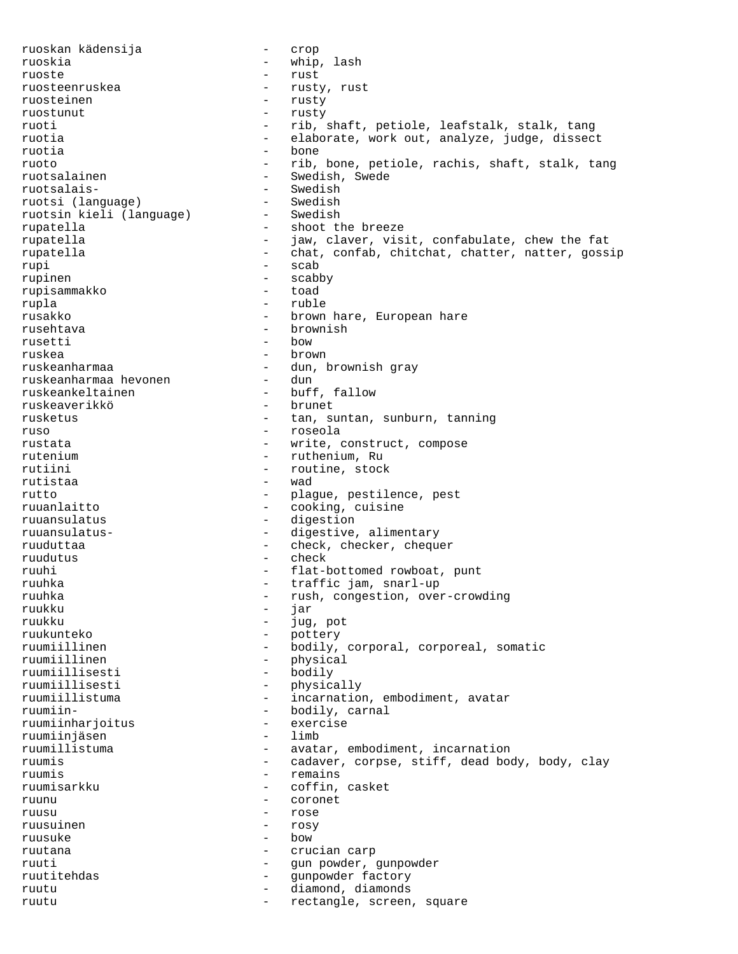ruoskan kädensija - crop ruoskia - whip, lash ruoste - rust ruosteenruskea - rusty, rust ruosteinen - rusty ruostunut ruoti - rib, shaft, petiole, leafstalk, stalk, tang ruotia - elaborate, work out, analyze, judge, dissect ruotia - bone ruoto - rib, bone, petiole, rachis, shaft, stalk, tang ruotsalainen - Swedish, Swede<br>ruotsalais-<br>- Swedish ruotsalais-<br>
ruotsi (language) - Swedish<br>
- Swedish ruotsi (language) - Swedish ruotsin kieli (language) rupatella - shoot the breeze rupatella - jaw, claver, visit, confabulate, chew the fat rupatella - chat, confab, chitchat, chatter, natter, gossip rupi - scab rupinen - scabby<br>rupisammakko - toad rupisammakko rupla - ruble - brown hare, European hare rusehtava - brownish rusetti - bow ruskea - brown - brown - brown - brown - brown - brown - brown - brown - brown - brown - brown - brown - brown - brown - brown - brown - brown - brown - brown - brown - brown - brown - brown - brown - brown - brown - brown - dun, brownish gray<br>- dun ruskeanharmaa hevonen - dun ruskeankeltainen ruskeaverikkö - brunet rusketus - tan, suntan, sunburn, tanning ruso - roseola rustata - write, construct, compose rutenium - ruthenium, Ru - routine, stock<br>- wad rutistaa rutto  $\qquad \qquad -$  plague, pestilence, pest ruuanlaitto - cooking, cuisine ruuansulatus - digestion ruuansulatus- - digestive, alimentary ruuduttaa - check, checker, chequer ruudutus - check ruuhi - flat-bottomed rowboat, punt ruuhka - traffic jam, snarl-up ruuhka - rush, congestion, over-crowding<br>
- isr ruukku – jar $\qquad \qquad$  – jar ruukku - jug, pot ruukunteko - pottery<br>ruumiillinen - bodilv. ruumiillinen - bodily, corporal, corporeal, somatic - physical<br>- bodily ruumiillisesti ruumiillisesti - physically ruumiillistuma - incarnation, embodiment, avatar ruumiin- - bodily, carnal ruumiinharjoitus - exercise ruumiinjäsen alueen vaata valtalueen valtalueen valtalueen valtalueen valtalueen valtalueen valtalueen valtalu ruumillistuma - avatar, embodiment, incarnation ruumis - cadaver, corpse, stiff, dead body, body, clay ruumis - remains ruumisarkku - coffin, casket ruunu - coronet ruusu - rose ruusuinen - rosy ruusuke - bow ruutana  $-$  crucian carp ruuti - gun powder, gunpowder<br>ruutitehdas - annowder factory ruutitehdas - gunpowder factory ruutu - diamond, diamonds ruutu - rectangle, screen, square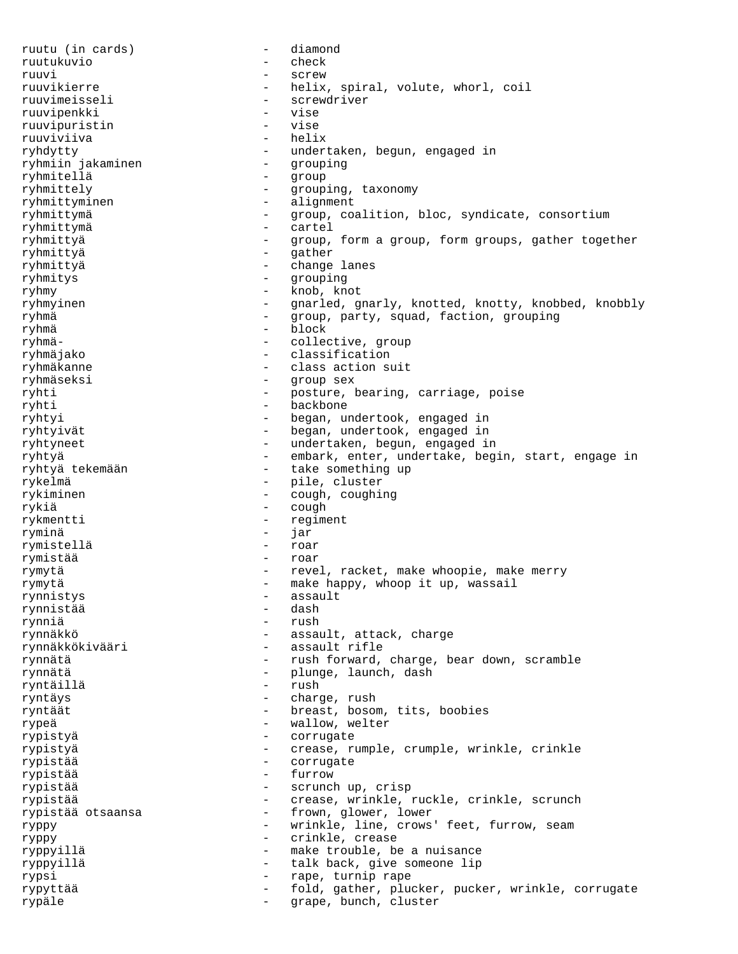ruutu (in cards) - diamond ruutukuvio - check ruuvi - screw ruuvikierre <a>></a>
->
helix, spiral, volute, whorl, coil</a> ruuvimeisseli - screwdriver<br>ruuvipenkki - vise ruuvipenkki ruuvipuristin - vise<br>ruuviviiva - helix ruuviviiva ryhdytty - undertaken, begun, engaged in ryhmiin jakaminen ryhmitellä - group ryhmittely - grouping, taxonomy ryhmittyminen - alignment ryhmittymä - group, coalition, bloc, syndicate, consortium ryhmittymä - cartel ryhmittyä - group, form a group, form groups, gather together ryhmittyä - gather ryhmittyä – change lanes<br>ryhmitys – change lanes ryhmitys - grouping ryhmy - knob, knot ryhmyinen - gnarled, gnarly, knotted, knotty, knobbed, knobbly ryhmä - group, party, squad, faction, grouping ryhmä – block ryhmä- - collective, group ryhmäjako - classification ryhmäkanne - class action suit ryhmäseksi - group sex<br>
ryhti - nosture h ryhti - posture, bearing, carriage, poise ryhti - backbone ryhtyi - began, undertook, engaged in ryhtyivät - began, undertook, engaged in ryhtyneet - undertaken, begun, engaged in ryhtyä - embark, enter, undertake, begin, start, engage in<br>ryhtyä tekemään - take something up - take something up rykelmä - pile, cluster rykiminen en en andere en andere en andere en andere en andere en andere en andere en andere en andere en ande rykiä - cough rykmentti - regiment ryminä - jar rymistellä rymistää - roar rymytä - revel, racket, make whoopie, make merry rymytä - make happy, whoop it up, wassail rynnistys - assault rynnistää rynniä - rush - assault, attack, charge rynnäkkökivääri - assault rifle rynnätä - rush forward, charge, bear down, scramble rynnätä  $\qquad \qquad \qquad -$  plunge, launch, dash ryntäillä - rush ryntäys - charge, rush ryntäät - breast, bosom, tits, boobies rypeä - wallow, welter rypistyä - corrugate rypistyä  $-$  crease, rumple, crumple, wrinkle, crinkle<br>
corrugate rypistää - corrugate<br>rypistää - corrugate rypistää - furrow rypistää - scrunch up, crisp rypistää - crease, wrinkle, ruckle, crinkle, scrunch rypistää otsaansa  $-$  frown, glower, lower ryppy - wrinkle, line, crows' feet, furrow, seam ryppy - crinkle, crease ryppyillä - make trouble, be a nuisance ryppyillä - talk back, give someone lip<br>
rypsi - talk back, give someone lip<br>
- rape, turnin rape rypsi - rape, turnip rape rypyttää  $-$  fold, gather, plucker, pucker, wrinkle, corrugate rypäle - grape, bunch, cluster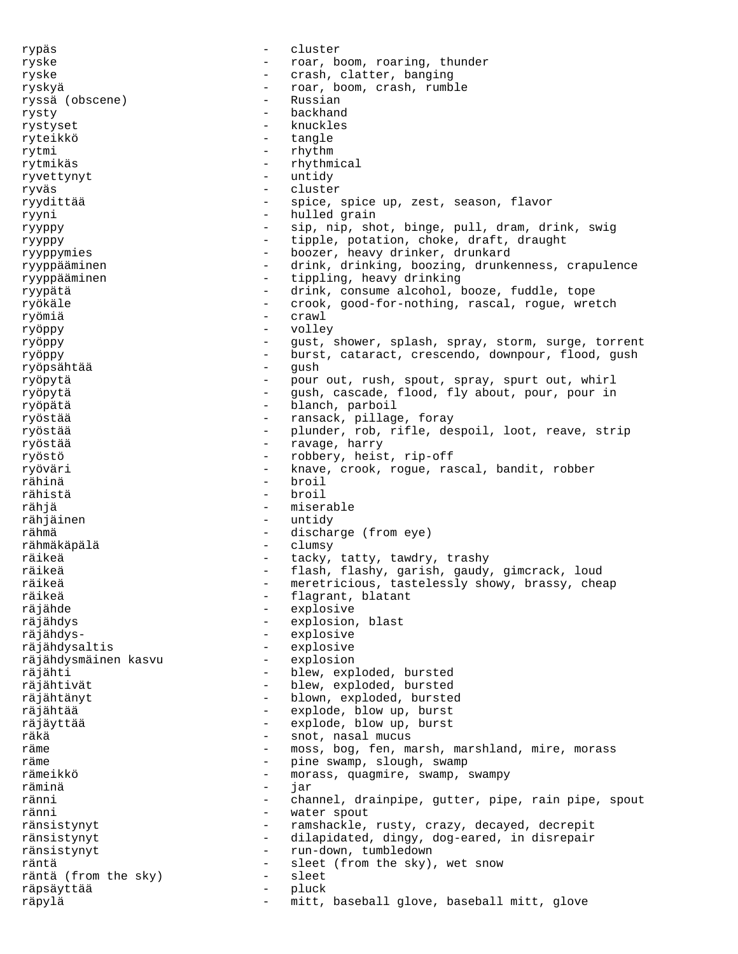rypäs - cluster ryske  $-$  roar, boom, roaring, thunder ryske - crash, clatter, banging ryskyä - roar, boom, crash, rumble<br>rvssä (obscene) - Russian - Russian ryssä (obscene) rysty - backhand rystyset ryteikkö - tangle rytmi - rhythm rytmikäs - rhythmical ryvettynyt - untidy ryväs - cluster ryydittää - spice, spice up, zest, season, flavor ryyni - hulled grain ryyppy - sip, nip, shot, binge, pull, dram, drink, swig ryyppy - tipple, potation, choke, draft, draught ryyppymies - boozer, heavy drinker, drunkard ryyppääminen - drink, drinking, boozing, drunkenness, crapulence ryyppääminen - tippling, heavy drinking ryypätä - drink, consume alcohol, booze, fuddle, tope ryökäle - crook, good-for-nothing, rascal, rogue, wretch ryömiä - crawl ryöppy - volley ryöppy - gust, shower, splash, spray, storm, surge, torrent ryöppy - burst, cataract, crescendo, downpour, flood, gush<br>ryöpsähtää ryöpsähtää - gush ryöpytä - pour out, rush, spout, spray, spurt out, whirl<br>ryöpytä - ensh cascade flood fly about, pour, pour in ryöpytä - gush, cascade, flood, fly about, pour, pour in ryöpätä - blanch, parboil ryöstää - ransack, pillage, foray ryöstää - plunder, rob, rifle, despoil, loot, reave, strip ryöstää - ravage, harry ryöstö - robbery, heist, rip-off ryöväri - knave, crook, rogue, rascal, bandit, robber rähinä - broil rähistä - broil rähjä - miserable rähjäinen - untidy rähmä - discharge (from eye) rähmäkäpälä - clumsy räikeä - tacky, tatty, tawdry, trashy räikeä - flash, flashy, garish, gaudy, gimcrack, loud räikeä - meretricious, tastelessly showy, brassy, cheap<br>räikeä - - flagrant blatant räikeä - flagrant, blatant<br>räiähde - flagrant, blatant räjähde - explosive räjähdys - explosion, blast räjähdys- - explosive räjähdysaltis - explosive räjähdysmäinen kasvu räjähti - blew, exploded, bursted räjähtivät - blew, exploded, bursted räjähtänyt - blown, exploded, bursted räjähtää - explode, blow up, burst<br>räjäyttää - explode blow up, burst räjäyttää - explode, blow up, burst räkä - snot, nasal mucus räme - moss, bog, fen, marsh, marshland, mire, morass<br>räme - nine swamp, slough, swamp räme - pine swamp, slough, swamp - morass, quagmire, swamp, swampy räminä - jar ränni 1988 - channel, drainpipe, gutter, pipe, rain pipe, spout ränni 1988 – water spout ränsistynyt - ramshackle, rusty, crazy, decayed, decrepit ränsistynyt - dilapidated, dingy, dog-eared, in disrepair ränsistynyt - run-down, tumbledown räntä - sleet (from the sky), wet snow<br>räntä (from the sky) - sleet (from the sky), wet snow räntä (from the sky) - sleet räpsäyttää - pluck räpylä - mitt, baseball glove, baseball mitt, glove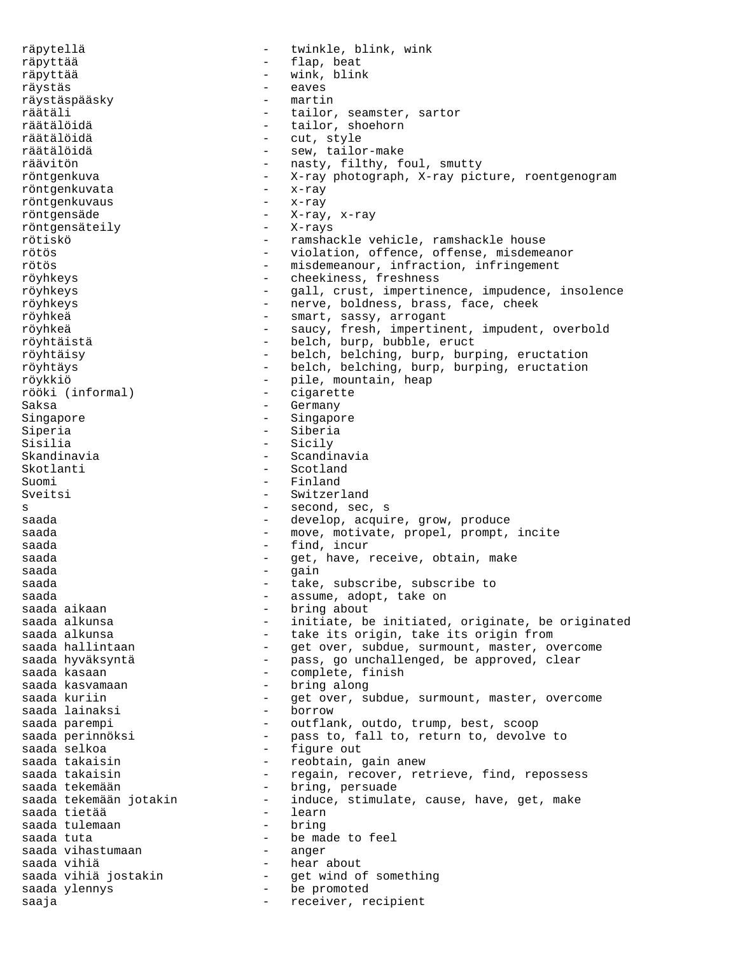räpytellä - twinkle, blink, wink räpyttää - flap, beat räpyttää - wink, blink räystäs - eaves räystäspääsky räätäli - tailor, seamster, sartor<br>
räätälöidä - + tailor, shoehorn räätälöidä - tailor, shoehorn räätälöidä - cut, style - sew, tailor-make räävitön - nasty, filthy, foul, smutty<br>
- X-ray photograph, X-ray pic - X-ray photograph, X-ray picture, roentgenogram<br>- x-ray röntgenkuvata - x-ray röntgenkuvaus röntgensäde - X-ray, x-ray röntgensäteily rötiskö - ramshackle vehicle, ramshackle house rötös - violation, offence, offense, misdemeanor rötös - misdemeanour, infraction, infringement röyhkeys - cheekiness, freshness röyhkeys - gall, crust, impertinence, impudence, insolence röyhkeys - nerve, boldness, brass, face, cheek röyhkeä - smart, sassy, arrogant röyhkeä - saucy, fresh, impertinent, impudent, overbold röyhtäistä - belch, burp, bubble, eruct röyhtäisy - belch, belching, burp, burping, eructation röyhtäys - belch, belching, burp, burping, eructation röykkiö - pile, mountain, heap rööki (informal) - cigarette Saksa - Germany Singapore <br/> - Singapore <br/> - Singapore Siperia - Siberia Sisilia - Sicily<br>Skandinavia - Scandi Skandinavia - Scandinavia - Scotland Suomi - Finland Sveitsi - Switzerland s - second, sec, s saada - develop, acquire, grow, produce saada - move, motivate, propel, prompt, incite saada - find, incur saada - Goodhamada - get, have, receive, obtain, make saada - gain saada - take, subscribe, subscribe to saada - assume, adopt, take on<br>saada aikaan - - - - - - bring about saada aikaan - bring about saada alkunsa - initiate, be initiated, originate, be originated - take its origin, take its origin from saada hallintaan - get over, subdue, surmount, master, overcome saada hyväksyntä - pass, go unchallenged, be approved, clear - complete, finish saada kasvamaan - bring along saada kuriin - get over, subdue, surmount, master, overcome saada lainaksi saada parempi - outflank, outdo, trump, best, scoop saada perinnöksi - pass to, fall to, return to, devolve to saada selkoa - figure out - saada selkoa - figure out - figure out - figure out - figure out - saada taka saad saada takaisin - reobtain, gain anew<br>saada takaisin - - reqain, recover, ret saada takaisin - regain, recover, retrieve, find, repossess - bring, persuade saada tekemään jotakin induce, stimulate, cause, have, get, make<br>saada tietää saada tietää - learn saada tulemaan<br>saada tuta - be made to feel<br>- anger saada vihastumaan saada vihiä - hear about - get wind of something saada ylennys - be promoted saaja<sup>1</sup> - receiver, recipient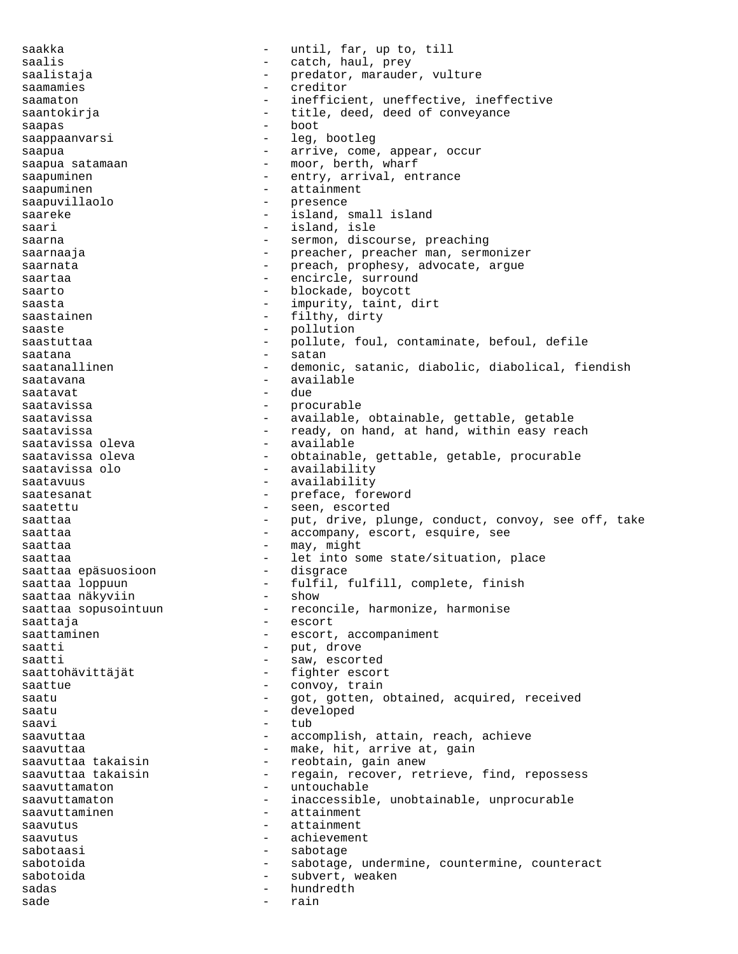saakka - until, far, up to, till saalis - catch, haul, prey<br>saalistaja - catch, haul, prey - predator, marauder, vulture saamamies - creditor saamaton - inefficient, uneffective, ineffective saantokirja - title, deed, deed of conveyance saapas - boot saappaanvarsi - leg, bootleg saapua - arrive, come, appear, occur saapua satamaan - moor, berth, wharf saapuminen - entry, arrival, entrance<br>saapuminen - entrainment saapuminen 1988 van die verschieden van die staan van die staan van die verschieden van die van die verschieden saapuvillaolo - presence saareke - island, small island saari - island, isle saarna - sermon, discourse, preaching<br>saarnaaja - sermonizer - preacher, preacher man, sermonizer saarnaaja - preacher, preacher man, sermonizer saarnata - preach, prophesy, advocate, argue saartaa - encircle, surround saarto - blockade, boycott saasta - impurity, taint, dirt saastainen 1988 - Filthy, dirty saaste - pollution saastuttaa - pollute, foul, contaminate, befoul, defile saatana - satan - satan saatanallinen - demonic, satanic, diabolic, diabolical, fiendish saatavana  $\overline{\phantom{a}}$  - available saatavat - due saatavissa - procurable saatavissa - available, obtainable, gettable, getable - ready, on hand, at hand, within easy reach<br>- available saatavissa oleva saatavissa oleva - obtainable, gettable, getable, procurable saatavissa olo - availability saatavuus - availability saatesanat - preface, foreword saatettu - seen, escorted saattaa - put, drive, plunge, conduct, convoy, see off, take saattaa - - - - - - - - - - - - accompany, escort, esquire, see saattaa - may, might saattaa - let into some state/situation, place<br>saattaa epäsuosioon - disgrace saattaa epäsuosioon saattaa loppuun - fulfil, fulfill, complete, finish saattaa näkvviin - show - show saattaa näkyviin saattaa sopusointuun - reconcile, harmonize, harmonise saattaja <sup>-</sup> escort - escort saattaminen escort, accompaniment saatti - put, drove saatti - saw, escorted<br>saattohävittäjät - fighter escor - fighter escort saattue - convoy, train saatu erroren 1990. - got, gotten, obtained, acquired, received saatu - developed saavi - tub saavuttaa - accomplish, attain, reach, achieve saavuttaa - make, hit, arrive at, gain saavuttaa takaisin - reobtain, gain anew saavuttaa takaisin - regain, recover, retrieve, find, repossess saavuttamaton - untouchable saavuttamaton - inaccessible, unobtainable, unprocurable saavuttaminen 1988 vaartainment saavutus - attainment saavutus - achievement sabotaasi - sabotage - sabotage - sabotage - sabotage - sabotage - sabotage - sabotage - sabotage - sabotage sabotoida - sabotage, undermine, countermine, counteract sabotoida - subvert, weaken sadas - hundredth sade - rain - rain - rain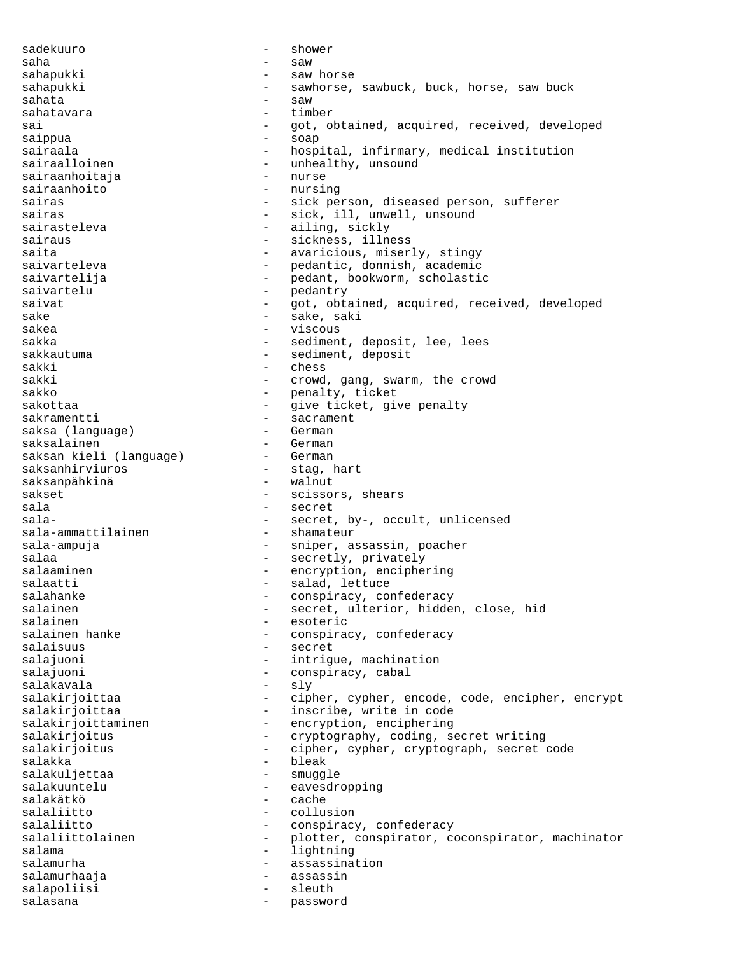sadekuuro - shower saha - saw sahapukki - saw horse sahapukki - sawhorse, sawbuck, buck, horse, saw buck sahata - saw - saw sahatavara - timber sai - got, obtained, acquired, received, developed saippua - soap sairaala - hospital, infirmary, medical institution<br>sairaalloinen - unhealthy, unsound - unhealthy, unsound<br>- nurse sairaanhoitaja - nurse sairaanhoito sairas - sick person, diseased person, sufferer sairas  $-$  sick, ill, unwell, unsound sairasteleva - ailing, sickly sairaus - sickness, illness saita - avaricious, miserly, stingy saivarteleva - pedantic, donnish, academic<br>saivartelija - pedant, bookworm, scholasti - pedant, bookworm, scholastic<br>- pedantry saivartelu - pedantry - pedantry<br>saivat saivat - got, obtained, acquired, received, developed<br>sake sake saki - sake, saki sakea - viscous sakka - sediment, deposit, lee, lees sakkautuma - sediment, deposit sakki - chess sakki - crowd, gang, swarm, the crowd sakko - penalty, ticket<br>sakottaa - penalty, ticket sakottaa - give ticket, give penalty sakramentti - sacrament saksa (language) - German saksalainen - German saksan kieli (language) saksanhirviuros - stag, hart saksanpähkinä sakset - scissors, shears sala - secret sala- - secret, by-, occult, unlicensed sala-ammattilainen sala-ampuja - sniper, assassin, poacher salaa - secretly, privately salaaminen - encryption, enciphering<br>salaatti - salad lettuce salaatti - salad, lettuce<br>salahanke - conspiracy col salahanke - conspiracy, confederacy<br>salainen - secret ulterior hidde salainen - secret, ulterior, hidden, close, hid salainen 1988 - Esoteric Salainen hanke 1988 - Esoteric Salainen handelaar erroriko erroriko erroriko erroriko<br>Salainen hanke 1988 - Conspira - conspiracy, confederacy<br>- secret salaisuus - secret salajuoni - intrigue, machination salajuoni - conspiracy, cabal salakavala - sly salakirjoittaa - cipher, cypher, encode, code, encipher, encrypt salakirjoittaa - - inscribe, write in code salakirjoittaminen - encryption, enciphering salakirjoitus - cryptography, coding, secret writing salakirjoitus - cipher, cypher, cryptograph, secret code salakka - bleakka - bleakka - bleakka - bleakka - bleakka - bleakka - bleakka - bleakka - bleakka - bleakka - bleakka - bleakka - bleakka - bleakka - bleakka - bleakka - bleakka - bleakka - bleakka - bleakka - bleakka - bl salakuljettaa - smuqqle salakuuntelu - eavesdropping<br>salakätkö - cache salakätkö - cache salaliitto - collusion salaliitto - conspiracy, confederacy salaliittolainen - plotter, conspirator, coconspirator, machinator salama - lightning salamurha - assassination salamurhaaja - assassin salapoliisi - sleuth salasana  $\qquad \qquad \bullet$  password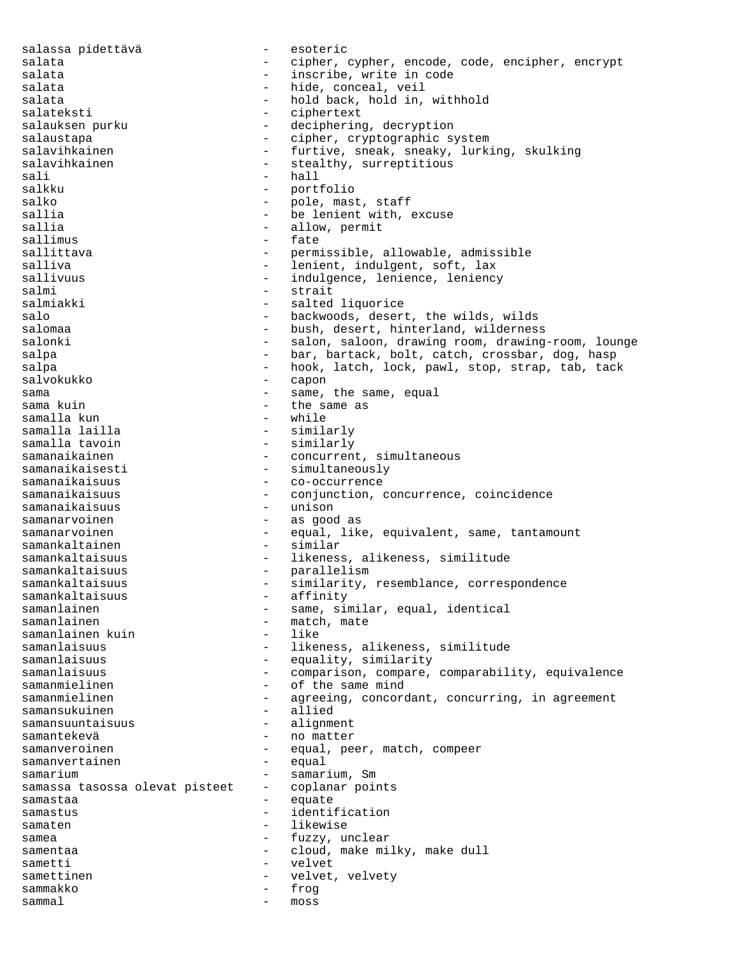salassa pidettävä esoteric salata - cipher, cypher, encode, code, encipher, encrypt salata - inscribe, write in code salata  $-$  hide, conceal, veil salata - hold back, hold in, withhold salateksti - ciphertext salauksen purku  $-$  deciphering, decryption salaustapa - cipher, cryptographic system<br>salavihkainen - furtive, sneak, sneaky, lurk: - furtive, sneak, sneaky, lurking, skulking salavihkainen en maar van die stealthy, surreptitious sali - hall salkku - portfolio salko  $-$  pole, mast, staff sallia  $-$  be lenient with, excuse sallia - allow, permit  $s$ allimus  $$ sallittava - permissible, allowable, admissible salliva - lenient, indulgent, soft, lax - indulgence, lenience, leniency salmi - strait - salted liquorice salo  $\sim$  - backwoods, desert, the wilds, wilds salomaa - bush, desert, hinterland, wilderness salonki - salon, saloon, drawing room, drawing-room, lounge - bar, bartack, bolt, catch, crossbar, dog, hasp salpa - hook, latch, lock, pawl, stop, strap, tab, tack salvokukko - capon sama  $-$  same, the same, equal sama kuin - the same as samalla kun<br>samalla lailla samalla lailla - similarly samalla tavoin - similarly samanaikainen - concurrent, simultaneous<br>samanaikaisesti - simultaneously - simultaneously samanaikaisuus - co-occurrence samanaikaisuus - conjunction, concurrence, coincidence<br>samanaikaisuus - unison - unison samanaikaisuus<br>samanarvoinen - as good as samanarvoinen - equal, like, equivalent, same, tantamount samankaltainen samankaltaisuus - likeness, alikeness, similitude samankaltaisuus - parallelism samankaltaisuus - similarity, resemblance, correspondence<br>samankaltaisuus - affinity samankaltaisuus samanlainen 1988 - Same, similar, equal, identical samanlainen  $-$  match, mate<br>samanlainen kuin  $-$  like samanlainen kuin samanlaisuus - likeness, alikeness, similitude samanlaisuus - equality, similarity samanlaisuus - comparison, compare, comparability, equivalence samanmielinen en andere von de same mind samanmielinen - agreeing, concordant, concurring, in agreement samansukuinen 1988 - allied samansuuntaisuus - alignment samantekevä - no matter samanveroinen - equal, peer, match, compeer<br>samanvertainen - equal samanvertainen samarium - samarium, Sm<br>samassa tasossa olevat pisteet - coplanar points samassa tasossa olevat pisteet samastaa - equate samastus - identification samaten  $-$  likewise samea  $-$  fuzzy, unclear samentaa - cloud, make milky, make dull sametti - velvet samettinen - velvet, velvety sammakko sammal - moss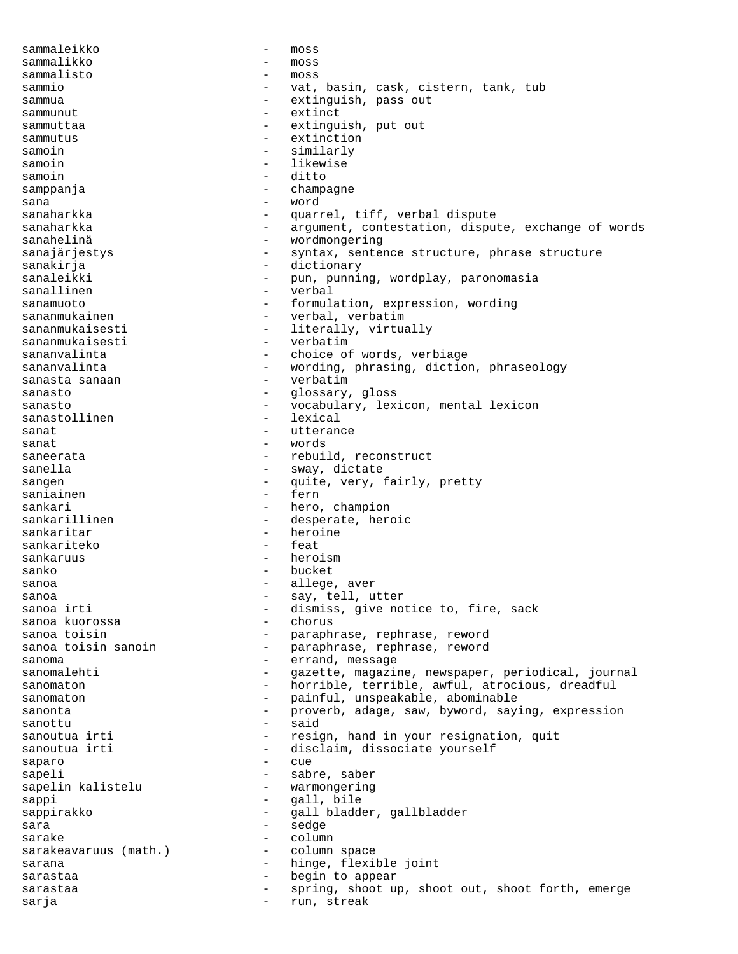sammaleikko - moss sammalikko - moss sammalisto - moss sammio  $-$  vat, basin, cask, cistern, tank, tub sammua - extinguish, pass out sammunut - extinct sammuttaa - extinguish, put out sammutus - extinction samoin - similarly<br>samoin - likewise - likewise<br>- ditto samoin - ditto samppanja - champagne sana - word sanaharkka - career - quarrel, tiff, verbal dispute sanaharkka - argument, contestation, dispute, exchange of words sanahelinä  $-$  wordmongering sanajärjestys - syntax, sentence structure, phrase structure sanakirja - dictionary sanaleikki - pun, punning, wordplay, paronomasia<br>sanallinen sanallinen - verbal sanamuoto - formulation, expression, wording<br>sananmukainen - verbal verbatim sananmukainen 1988 - Verbal, verbatim sananmukaisesti - literally, virtually<br>sananmukaisesti - verbatim sananmukaisesti sananvalinta - choice of words, verbiage<br>sananvalinta - wording, phrasing, diction - wording, phrasing, diction, phraseology sanasta sanaan 1988 - verbatim sanasto  $\qquad \qquad -$  glossary, gloss sanasto - vocabulary, lexicon, mental lexicon<br>sanastollinen - lexical - lexical sanastollinen - lettera - lettera - lettera - lettera - lettera - lettera - lettera - lettera - lettera - lette sanat - utterance sanat - words saneerata - rebuild, reconstruct sanella - sway, dictate<br>sangen - cuite very sangen - quite, very, fairly, pretty saniainen 1988 - fern sankari - hero, champion<br>sankarillinen - desperate, hero - desperate, heroic sankaritar - heroine sankariteko sankaruus - heroism sanko - bucket sanoa  $\qquad \qquad -$  allege, aver sanoa  $\begin{array}{ccc} \text{sono} & - & \text{soy, tell, utter} \\ \text{sono} & \text{irti} & - & \text{dismiss, give no} \end{array}$ - dismiss, give notice to, fire, sack<br>- chorus sanoa kuorossa - chorus sanoa toisin - paraphrase, rephrase, reword<br>sanoa toisin sanoin - paraphrase, rephrase, reword - paraphrase, rephrase, reword<br>- errand message sanoma - errand, message gazette, magazine, newspaper, periodical, journal sanomaton - horrible, terrible, awful, atrocious, dreadful sanomaton - painful, unspeakable, abominable sanonta expression - proverb, adage, saw, byword, saying, expression sanottu - said - resign, hand in your resignation, quit<br>- disclaim dissociate yourself sanoutua irti - disclaim, dissociate yourself saparo - cue<br>sapali - cae sapeli<br>
sapelin kalistelu<br>
- warmongering<br>
- warmongering - warmongering sappi - gall, bile sappirakko - eta - gall bladder, gallbladder sara - sedge - sedge - sedge - sedge - sedge - sedge - sedge - sedge - sedge - sedge - sedge - sedge - sedge sarake - column sarakeavaruus (math.) - column space sarana  $-$  hinge, flexible joint sarastaa - begin to appear sarastaa - spring, shoot up, shoot out, shoot forth, emerge sarja - run, streak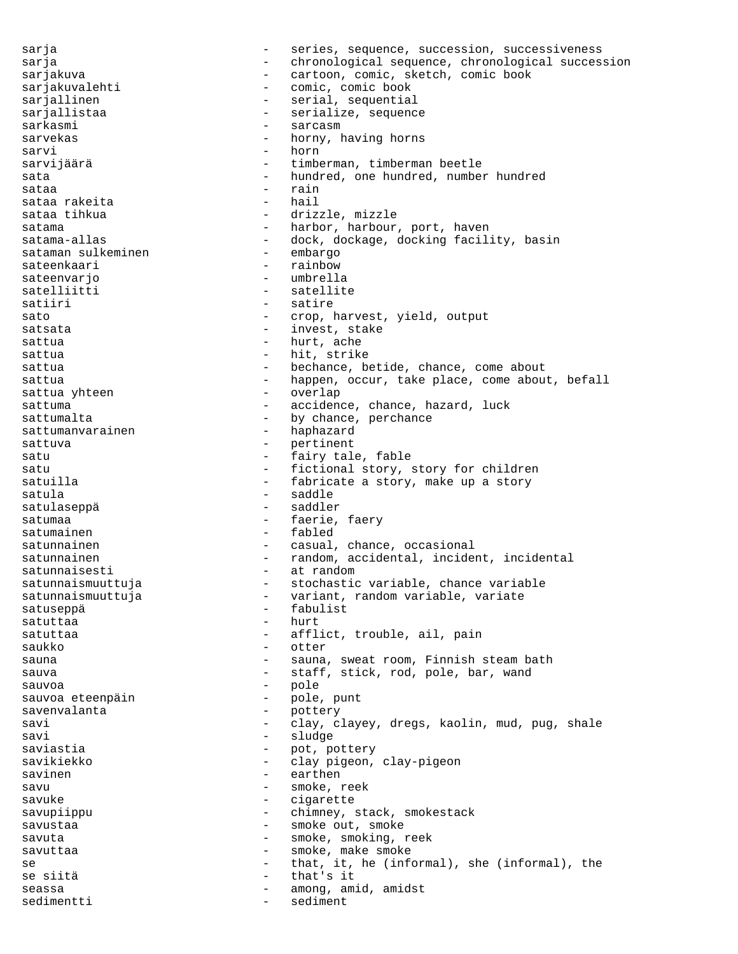sarja - series, sequence, succession, successiveness sarja - chronological sequence, chronological succession<br>sarjakuva - cartoon comic sketch comic book sarjakuva - cartoon, comic, sketch, comic book sarjakuvalehti - comic, comic book<br>sarjallinen - - - - - - - - serial, sequentia - serial, sequential sarjallistaa - serialize, sequence<br>sarkasmi sarkasmi - sarcasm sarvekas - horny, having horns sarvi - horn sarvijäärä 1988 vallanud vallanud vallanud vallanud vallanud vallanud vallanud vallanud vallanud vallanud vall sata - hundred, one hundred, number hundred sataa - rain sataa rakeita sataa tihkua  $-$  drizzle, mizzle satama - harbor, harbour, port, haven satama-allas - dock, dockage, docking facility, basin<br>sataman sulkeminen - embargo sataman sulkeminen - embargo sateenkaari sateenvarjo - umbrella satelliitti - satellite satiiri - satire sato  $-$  crop, harvest, yield, output satsata  $-$  invest, stake sattua - hurt, ache sattua - hit, strike sattua - bechance, betide, chance, come about sattua - happen, occur, take place, come about, befall<br>sattua vhteen - overlap sattua yhteen - overlap sattuma - accidence, chance, hazard, luck sattumalta - by chance, perchance<br>sattumanvarainen - haphazard sattumanvarainen - hapituus - happen - happen - happen - happen - happen - happen - happen - happen - happen - h sattuva - pertinent satu  $-$  fairy tale, fable satu - fictional story, story for children<br>satuilla - fabricate a story, make up a story - fabricate a story, make up a story satula - saddle - saddle - saddle - saddler - saddler - saddler - saddler - saddler - saddler - saddler - saddler - saddler - saddler - saddler - saddler - saddler - saddler - saddler - saddler - saddler - saddler - saddle satulaseppä satumaa - faerie, faery satumainen 1988 - Fabled satunnainen en erretailet eta erretaileta eta erretaileta erretaileta erretaileta erretaileta erretaileta erre satunnainen 1988 - random, accidental, incident, incidental satunnaisesti  $-$  at random satunnaismuuttuja - stochastic variable, chance variable satunnaismuuttuja - variant, random variable, variate satuseppä - fabulist satuttaa - hurt satuttaa - afflict, trouble, ail, pain saukko - otter sauna - sauna, sweat room, Finnish steam bath sauva - staff, stick, rod, pole, bar, wand sauvoa - pole sauvoa eteenpäin - pole, punt savenvalanta - pottery savi - clay, clayey, dregs, kaolin, mud, pug, shale savi - sludge saviastia - pot, pottery savikiekko - clay pigeon, clay-pigeon savinen - earthen savu - smoke, reek savuke - cigarette savupiippu - chimney, stack, smokestack savustaa - smoke out, smoke savuta - smoke, smoking, reek savuttaa  $-$  smoke, make smoke se  $-$  that, it, he (informal), she (informal), the se siitä - that's it seassa - among, amid, amidst sedimentti - sediment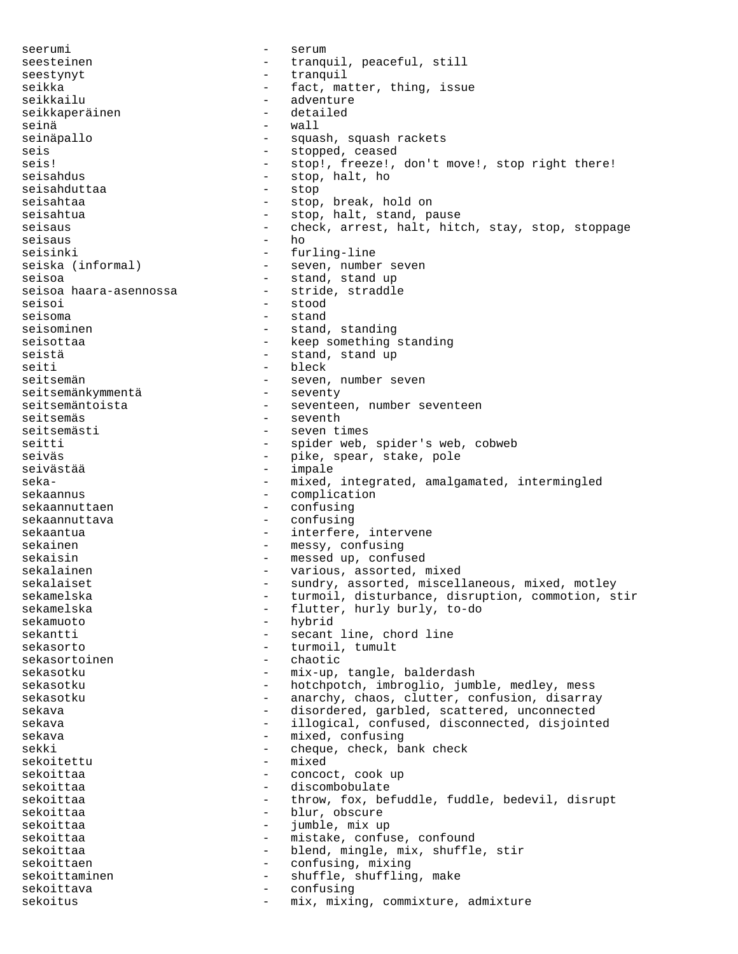seerumi - serum seesteinen - tranquil, peaceful, still seestynyt - tranquil seikka - fact, matter, thing, issue seikkailu - adventure - adventure seikkaperäinen 1980 - detailed seinä - wall seinäpallo  $-$  squash, squash rackets seis  $-$  stopped, ceased seis! - stop!, freeze!, don't move!, stop right there! seisahdus - stop, halt, ho<br>seisahduttaa - - - - - stop seisahduttaa seisahtaa - stop, break, hold on seisahtua - stop, halt, stand, pause<br>seisaus - check arrest halt hit seisaus - check, arrest, halt, hitch, stay, stop, stoppage seisaus - home - home - home - home - home - home - home - home - home - home - home - home - home - home - home - home - home - home - home - home - home - home - home - home - home - home - home - home - home - home - ho seisinki - furling-line seiska (informal) - seven, number seven seisoa<br>seisoa haara-asennossa stride, straddle seisoa haara-asennossa seisoi - stood<br>seisoma - stand - stand seisominen en andere stand, standing seisottaa - keep something standing seistä  $-$  stand, stand up seiti - bleck seitsemän - seven, number seven seitsemänkymmentä - - seventy seitsemänkymmentä seitsemäntoista <br />
- seventeen, number seventeen seitsemäs - seventh seitsemästi - seven times seitti - spider web, spider's web, cobweb seiväs - pike, spear, stake, pole - impale seka- end and the mixed, integrated, amalgamated, intermingled sekaannus - complication sekaannuttaen - confusing sekaannuttava - confusing sekaantua - interfere, intervene sekainen  $-$  messy, confusing sekaisin <br/> - messed up, confused sekalainen - various, assorted, mixed sekalaiset - sundry, assorted, miscellaneous, mixed, motley sekamelska - turmoil, disturbance, disruption, commotion, stir<br>sekamelska sekamelska - flutter, hurly burly, to-do sekamuoto - hybrid sekantti - secant line, chord line sekasorto - turmoil, tumult<br>sekasortoinen - chaotic - chaotic sekasortoinen sekasotku - mix-up, tangle, balderdash sekasotku - hotchpotch, imbroglio, jumble, medley, mess sekasotku - anarchy, chaos, clutter, confusion, disarray sekava - disordered, garbled, scattered, unconnected sekava - illogical, confused, disconnected, disjointed sekava - mixed, confusing sekki - cheque, check, bank check sekoitettu – mixed sekoittaa - concoct, cook up sekoittaa - discombobulate<br>sekoittaa - throw fox be sekoittaa - throw, fox, befuddle, fuddle, bedevil, disrupt sekoittaa - blur, obscure<br>sekoittaa - iumble mixuu sekoittaa - jumble, mix up sekoittaa - mistake, confuse, confound sekoittaa - - blend, mingle, mix, shuffle, stir sekoittaen - confusing, mixing sekoittaminen - shuffle, shuffling, make sekoittava - confusing sekoitus - mix, mixing, commixture, admixture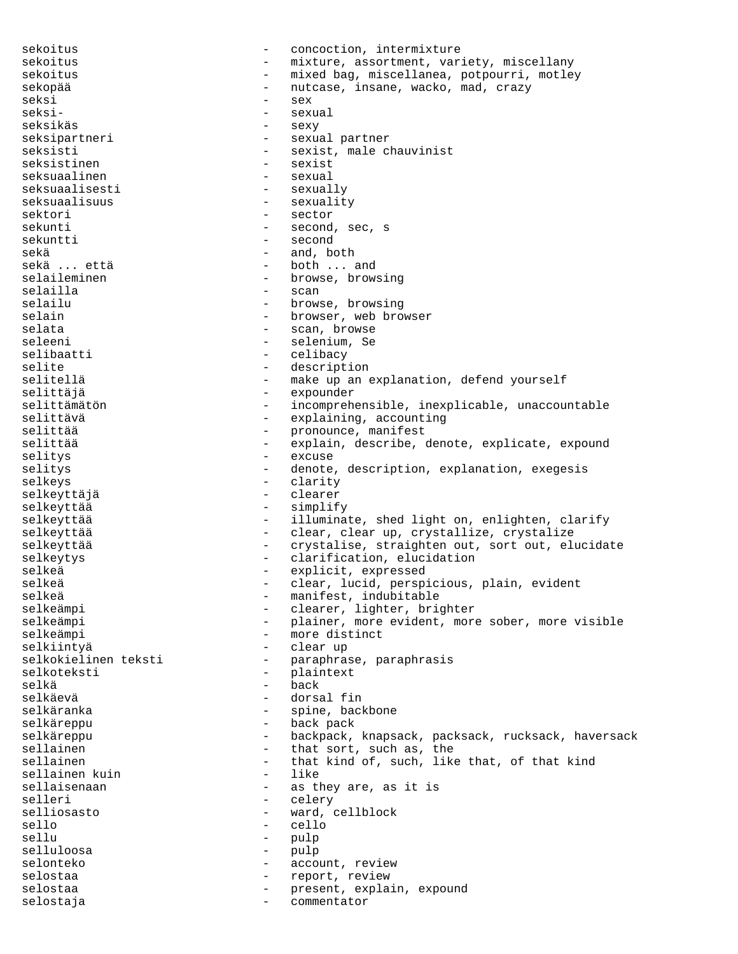sekoitus - concoction, intermixture sekoitus - mixture, assortment, variety, miscellany sekoitus - mixed bag, miscellanea, potpourri, motley sekopää  $-$  nutcase, insane, wacko, mad, crazy seksi - sex seksi- - sexual seksikäs - sexy - sexual partner seksisti - sexist, male chauvinist seksistinen - sexist seksuaalinen - sexual seksuaalisesti - sexually seksuaalisuus - sexuality sektori - sector sekunti - second, sec, s sekuntti - second sekä - and, both -  $both \dots and$ selaileminen - browse, browsing<br>selailla selailla - scan selailu - browse, browsing<br>selain - browser, web bro - browser, web browser selata - scan, browse seleeni - selenium, Se selibaatti - celibacy selite - description selitellä - make up an explanation, defend yourself<br>selittäjä selittäjä - expounder selittämätön - incomprehensible, inexplicable, unaccountable selittävä - explaining, accounting selittää - pronounce, manifest explain, describe, denote, explicate, expound selitys - excuse selitys - denote, description, explanation, exegesis selkeys - clarity selkeyttäjä - clearer selkeyttää - simplify selkeyttää  $-$  illuminate, shed light on, enlighten, clarify selkeyttää  $-$  clear, clear up, crystallize, crystalize selkeyttää - crystalise, straighten out, sort out, elucidate selkeytys - clarification, elucidation selkeä - explicit, expressed selkeä - clear, lucid, perspicious, plain, evident selkeä - manifest, indubitable<br>selkeämpi - manifest, lighter, brie - clearer, lighter, brighter selkeämpi - plainer, more evident, more sober, more visible - more distinct selkiintyä - clear up selkokielinen teksti - paraphrase, paraphrasis selkoteksti - plaintext selkä - back selkäevä - dorsal fin selkäranka - spine, backbone selkäreppu - back pack selkäreppu - backpack, knapsack, packsack, rucksack, haversack<br>sellainen - that sort such as the sellainen - that sort, such as, the<br>sellainen - that kind of such like sellainen - that kind of, such, like that, of that kind<br>sellainen kuin - like - like sellainen kuin<br>sellaisenaan - as they are, as it is selleri - celery selliosasto  $-$  ward, cellblock sello - cello pulp selluloosa - pulp selonteko  $-$  account, review selostaa - report, review<br>selostaa - report, review<br>- resent, expla selostaa - present, explain, expound selostaja - commentator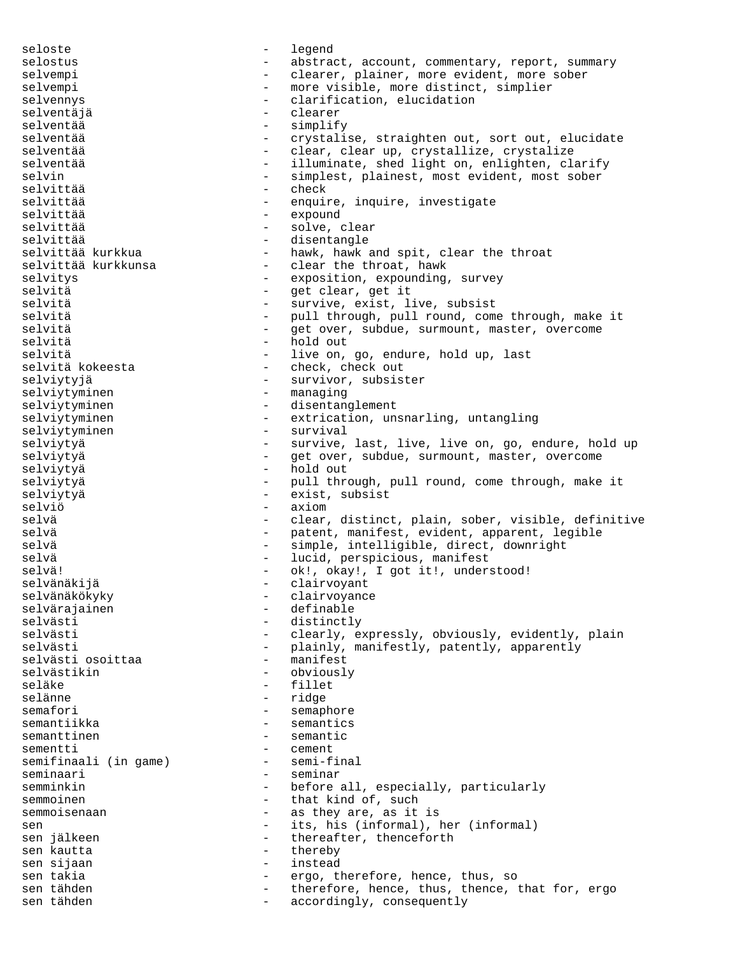seloste - legend selostus - abstract, account, commentary, report, summary selvempi - clearer, plainer, more evident, more sober selvempi - more visible, more distinct, simplier selvennys - clarification, elucidation<br>selventäjä - - clearer selventäjä selventää - simplify selventää - crystalise, straighten out, sort out, elucidate - clear, clear up, crystallize, crystalize selventää - 111uminate, shed light on, enlighten, clarify selvin - simplest, plainest, most evident, most sober<br>selvittää - check - check selvittää – checking – checking – checking – checking – checking – checking – checking – checking – checking – selvittää - enquire, inquire, investigate selvittää - expound selvittää - solve, clear selvittää - disentangle selvittää kurkkua - hawk, hawk and spit, clear the throat - clear the throat, hawk selvitys - exposition, expounding, survey selvitä  $-$  get clear, get it selvitä - survive, exist, live, subsist selvitä - pull through, pull round, come through, make it<br>selvitä - cot over subdue surmount master overcome selvitä - get over, subdue, surmount, master, overcome selvitä - hold out selvitä - live on, go, endure, hold up, last - check, check out selviytyjä - survivor, subsister selviytyminen - managing selviytyminen en metalliselviytyminen andere en metalliselviselvinglement selviytyminen - extrication, unsnarling, untangling selviytyminen - survival selviytyä - survive, last, live, live on, go, endure, hold up selviytyä <br />
- get over, subdue, surmount, master, overcome selviytyä - hold out selviytyä  $-$  pull through, pull round, come through, make it selviytyä - exist, subsist selviö - axiom selvä - clear, distinct, plain, sober, visible, definitive selvä - patent, manifest, evident, apparent, legible selvä - simple, intelligible, direct, downright selvä  $-$  lucid, perspicious, manifest selvä! - ok!, okay!, I got it!, understood! selvänäkijä - clairvoyant selvänäkökyky - clairvoyance selvärajainen 1988 – definable<br>selvästi – distinctl selvästi - distinctly<br>selvästi - clearly e - clearly, expressly, obviously, evidently, plain selvästi - plainly, manifestly, patently, apparently<br>selvästi osoittaa - manifest selvästi osoittaa selvästikin - obviously seläke - fillet selänne - ridge semafori - semaphore semantiikka - semantics semanttinen - semantic sementti - cement<br>semifinaali (in game) - semi-final semifinaali (in game) seminaari - seminar semminkin - before all, especially, particularly semmoinen  $-$  that kind of, such semmoisenaan - as they are, as it is sen - its, his (informal), her (informal) sen jälkeen  $-$  thereafter, thenceforth sen kautta - thereby sen sijaan - instead - instead - instead - instead - instead - instead - instead - instead - instead - instead<br>The instead - instead - instead - instead - instead - instead - instead - instead - instead - instead - instead ergo, therefore, hence, thus, so sen tähden - therefore, hence, thus, thence, that for, ergo sen tähden  $\qquad \qquad -$  accordingly, consequently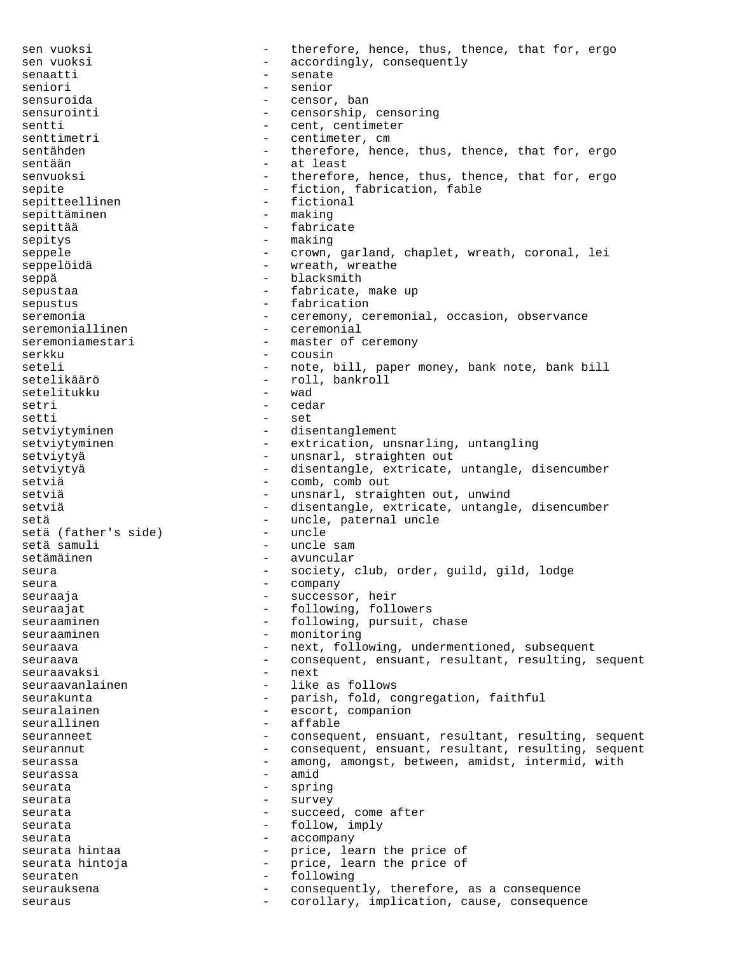sen vuoksi  $-$  therefore, hence, thus, thence, that for, ergo sen vuoksi  $\qquad \qquad \qquad -$  accordingly, consequently senaatti - senate seniori - senior sensuroida - censor, ban sensurointi - censorship, censoring sentti - cent, centimeter<br>senttimetri - centimeter, cm - centimeter, cm sentähden - therefore, hence, thus, thence, that for, ergo<br>sentään - at least - at least senvuoksi - therefore, hence, thus, thence, that for, ergo sepite - fiction, fabrication, fable sepitteellinen - fiction<br>sepittäminen - making sepittäminen sepittää - fabricate sepitys - making<br>seppele - making seppele - crown, garland, chaplet, wreath, coronal, lei seppelöidä  $-$  wreath, wreathe seppä - blacksmith sepustaa - fabricate, make up sepustus - fabrication seremonia and the ceremony, ceremonial, occasion, observance seremoniallinen - ceremonial seremoniamestari - master of ceremony serkku - cousin seteli - note, bill, paper money, bank note, bank bill setelikäärö - roll, bankroll setelitukku setri - cedar setti - set setviytyminen - disentanglement setviytyminen - extrication, unsnarling, untangling setviytyä  $-$  unsnarl, straighten out setviytyä - disentangle, extricate, untangle, disencumber - comb, comb out setviä - unsnarl, straighten out, unwind setviä - disentangle, extricate, untangle, disencumber setä<br>setä (father's side) – uncle, paternal uncle<br>- uncle setä (father's side) setä samuli  $-$  uncle sam setämäinen 1980 voitaan valtaa vuonna 1980 voitaan valtaa vuonna 1980 voitaan valtaan valtaan valtaa vuonna 19 seura eura - society, club, order, guild, gild, lodge seura - company seuraaja - successor, heir seuraajat - following, followers<br>seuraaminen - following, pursuit, ( - following, pursuit, chase seuraaminen en monitoring - monitoring seuraava - next, following, undermentioned, subsequent seuraava - consequent, ensuant, resultant, resulting, sequent<br>seuraavaksi - next seuraavaksi seuraavanlainen 11 - like as follows seurakunta - parish, fold, congregation, faithful<br>seuralainen - escort, companion seuralainen 1980 - Escort, companion seurallinen - affable seuranneet - consequent, ensuant, resultant, resulting, sequent seurannut - consequent, ensuant, resultant, resulting, sequent<br>seurassa seurassa - among, amongst, between, amidst, intermid, with seurassa – amid and amid and amid and amid and amid and amid and amid and amid and amid and amid and amid and seurata - spring seurata - survey seurata - succeed, come after seurata  $-$  follow, imply seurata - accompany seurata hintaa - price, learn the price of<br>seurata hintoia - price learn the price of seurata hintoja - price, learn the price of<br>seuraten - following seuraten - following seurauksena - consequently, therefore, as a consequence<br>seuraus - corollary implication cause consequence seuraus - corollary, implication, cause, consequence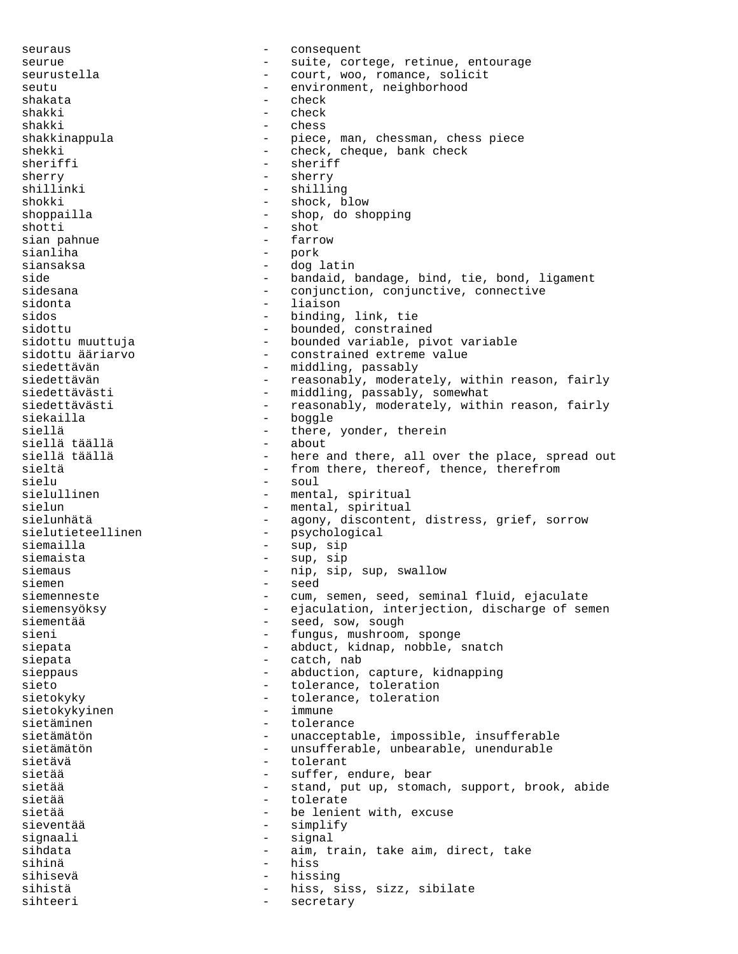seuraus - consequent seurue - suite, cortege, retinue, entourage seurustella - court, woo, romance, solicit seutu - environment, neighborhood shakata - check shakki - check shakki - chess shakkinappula - piece, man, chessman, chess piece shekki - check, cheque, bank check sheriffi - sheriff sherry - sherry - sherry<br>shillinki - shillinki - shilling shokki - shock, blow shoppailla - shop, do shopping shotti - shot<br>sian pahnue - shot<br>- farrow - farrow sian pahnue - farrow sianliha - pork siansaksa - dog latin side - bandaid, bandage, bind, tie, bond, ligament sidesana - conjunction, conjunctive, connective<br>
- liaison<br>
- liaison sidonta - liaison - binding, link, tie sidottu - bounded, constrained sidottu muuttuja - bounded variable, pivot variable - constrained extreme value siedettävän - middling, passably siedettävän - reasonably, moderately, within reason, fairly siedettävästi - middling, passably, somewhat siedettävästi - reasonably, moderately, within reason, fairly<br>siekailla - boggle siekailla siellä - there, yonder, therein siellä täällä<br>siellä täällä siellä täällä - here and there, all over the place, spread out<br>sieltä - from there, thereof, thence, therefrom sieltä - from there, thereof, thence, therefrom<br>sielu - soul<br>- soul sielu - soul<br>sielullinen - menta - mental, spiritual sielun - mental, spiritual<br>sielunhätä - mental, spiritual - agony, discontent, distress, grief, sorrow sielutieteellinen - psychological siemailla - sup, sip siemaista - sup, sip siemaus - nip, sip, sup, swallow siemen - seed siemenneste - cum, semen, seed, seminal fluid, ejaculate siemensyöksy - ejaculation, interjection, discharge of semen siementää<br>sieni - seed, sow, sough<br>- fungus. mushroom. - fungus, mushroom, sponge siepata - abduct, kidnap, nobble, snatch siepata - catch, nab sieppaus - abduction, capture, kidnapping sieto  $-$  tolerance, toleration sietokyky - tolerance, toleration<br>sietokykyinen - immune - immune sietokykyinen sietäminen + tolerance sietämätön - unacceptable, impossible, insufferable sietämätön - unsufferable, unbearable, unendurable sietävä - tolerant sietää - suffer, endure, bear sietää - stand, put up, stomach, support, brook, abide tolerate sietää - be lenient with, excuse sieventää - simplify signaali - signal sihdata - aim, train, take aim, direct, take sihinä - hiss sihisevä - hissing - hiss, siss, sizz, sibilate sihteeri - secretary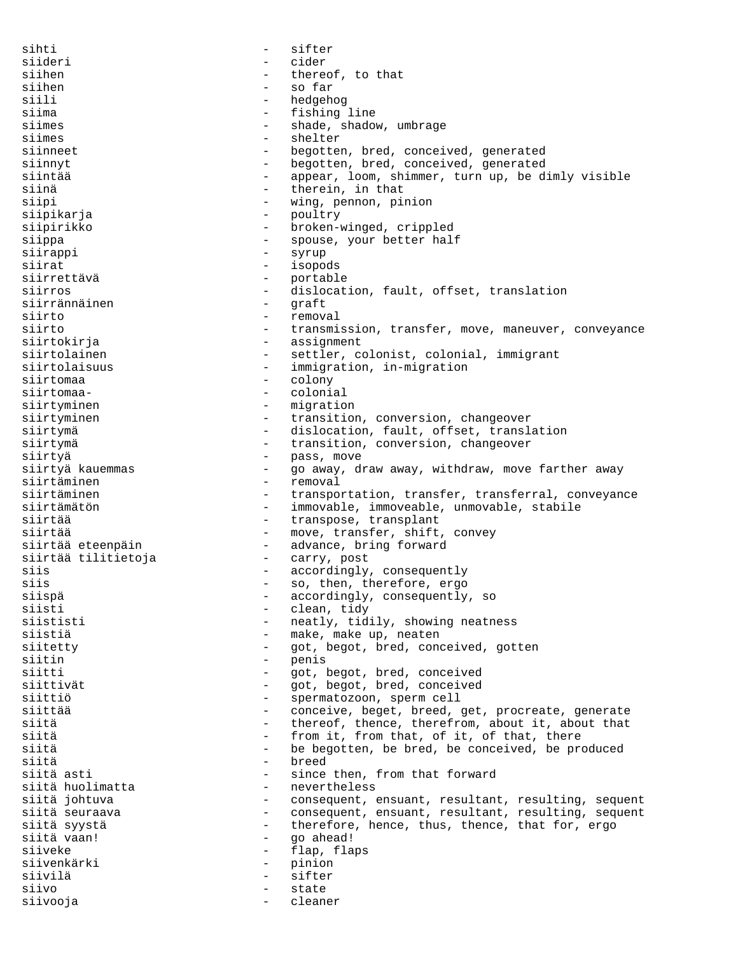sihti - sifter siideri - cider siihen - thereof, to that siihen - so far siili - hedgehog<br>siima - fishing siima - fishing line<br>siimes - fishing line<br>- shade shado siimes - shade, shadow, umbrage<br>siimes - shelter siimes - shelter<br>siinneet - begotter - begotten, bred, conceived, generated siinnyt en anderes and the begotten, bred, conceived, generated siintää - appear, loom, shimmer, turn up, be dimly visible siinä  $-$  therein, in that siipi  $-$  wing, pennon, pinion siipikarja - poultry siipirikko - broken-winged, crippled siippa - spouse, your better half<br>siirappi - syrup - syrup siirappi - siirat - syntyneemistelt - syntyneemistelt - syntyneemistelt - syntyneemistelt - syntyneemistelt - s<br>Talleen - syntyneemistelt - syntyneemistelt - syntyneemistelt - syntyneemistelt - syntyneemistelt - syntyneemi siirat - isopods siirrettävä - portable - dislocation, fault, offset, translation<br>- graft siirrännäinen<br>siirto - removal siirto  $-$  transmission, transfer, move, maneuver, conveyance siirtokirja - assignment siirtolainen 1988 - settler, colonist, colonial, immigrant<br>siirtolaisuus - immigration, in-migration - immigration, in-migration siirtomaa - colony<br>siirtomaa- - coloni siirtomaa- - colonial siirtyminen - migration siirtyminen en andere the transition, conversion, changeover siirtymä <br />
- dislocation, fault, offset, translation siirtymä  $-$  transition, conversion, changeover siirtyä - pass, move go away, draw away, withdraw, move farther away siirtäminen 1988 – Femoval siirtäminen transportation, transfer, transferral, conveyance<br>siirtämätön immovable immovable unmovable stabile - immovable, immoveable, unmovable, stabile siirtää  $-$  transpose, transplant siirtää - move, transfer, shift, convey siirtää eteenpäin - advance, bring forward siirtää tilitietoja siis  $-$  accordingly, consequently<br>siis  $-$  so, then, therefore, ergo siis - so, then, therefore, ergo siispä - accordingly, consequently, so<br>siisti - clean. tidv siisti - clean, tidy<br>siististi - meatly, tid siististi - neatly, tidily, showing neatness<br>siistiä - make, make up, neaten - make, make up, neaten<br>- got begot bred cone siitetty - got, begot, bred, conceived, gotten<br>siitin - nenis siitin - penis<br>siitti - cot siitti - got, begot, bred, conceived siittivät - got, begot, bred, conceived siittiö  $-$  spermatozoon, sperm cell siittää - conceive, beget, breed, get, procreate, generate siitä - thereof, thence, therefrom, about it, about that<br>siitä - from it, from that, of it, of that, there siitä - from it, from that, of it, of that, there siitä - be begotten, be bred, be conceived, be produced siitä - breed siitä asti - since then, from that forward - nevertheless siitä johtuva - consequent, ensuant, resultant, resulting, sequent siitä seuraava - consequent, ensuant, resultant, resulting, sequent siitä syystä therefore, hence, thus, thence, that for, ergo siitä vaan! - go ahead! siiveke - flap, flaps siivenkärki - pinion siivilä - sifter siivo - state siivooja - cleaner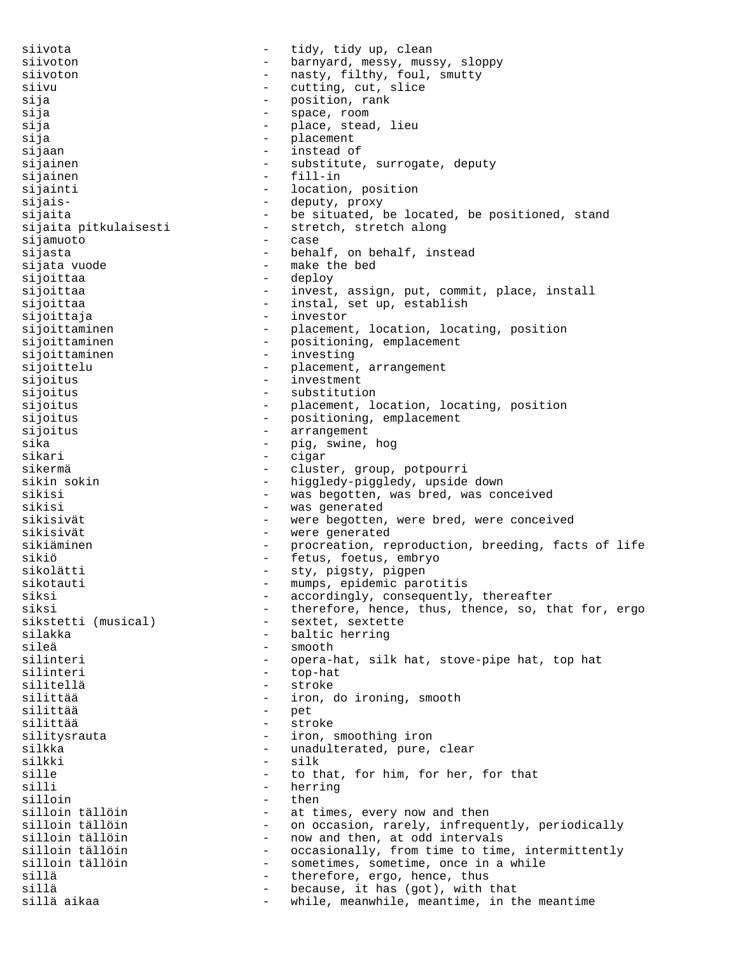siivota - tidy, tidy up, clean siivoton - barnyard, messy, mussy, sloppy siivoton - nasty, filthy, foul, smutty siivu - cutting, cut, slice sija - position, rank sija - space, room sija - place, stead, lieu sija - placement - instead of sijainen 1980 - substitute, surrogate, deputy<br>sijainen 1980 - fill-in sijainen 1988 - fill-in<br>sijainti 1988 - location - location, position sijais-<br>
- deputy, proxy sijaita - be situated, be located, be positioned, stand sijaita pitkulaisesti - stretch, stretch along sijamuoto sijasta - behalf, on behalf, instead sijata vuode - make the bed sijoittaa - deploy - invest, assign, put, commit, place, install sijoittaa - instal, set up, establish sijoittaja - investor sijoittaminen - placement, location, locating, position sijoittaminen en maar van die positioning, emplacement sijoittaminen en aansal van din vesting sijoittelu - placement, arrangement sijoitus - investment sijoitus - substitution sijoitus - placement, location, locating, position sijoitus - positioning, emplacement sijoitus - arrangement<br>sika - pig, swine, sika - pig, swine, hog<br>sikari - cigar sikari - cigar - cigar<br>sikermä - cluster, group, potpourri sikin sokin  $-$  higgledy-piggledy, upside down sikisi - was begotten, was bred, was conceived<br>sikisi - was generated - was generated sikisivät - were begotten, were bred, were conceived sikisivät - were generated sikiäminen - procreation, reproduction, breeding, facts of life sikiö - fetus, foetus, embryo sikolätti - sty, pigsty, pigpen sikotauti - mumps, epidemic parotitis<br>siksi - accordingly, consequently - accordingly, consequently, thereafter siksi - therefore, hence, thus, thence, so, that for, ergo<br>sikstetti (musical) - sextet, sextette sikstetti (musical) - sextet, sextette - baltic herring sileä - smooth silinteri - opera-hat, silk hat, stove-pipe hat, top hat silinteri - top-hat silitellä - stroke silittää  $-$  iron, do ironing, smooth silittää - pet silittää - stroke silitysrauta - iron, smoothing iron<br>silkka - unadulterated, pure, - unadulterated, pure, clear<br>- silk silkki –<br>sille – sille – sille – sille – sille – sille – sille – sille – sille – sille – sille – sille – sille – sille sille  $\begin{array}{cccc} - & t_0 & t_0 \end{array}$  to that, for him, for her, for that silli - herring silloin - then silloin tällöin - at times, every now and then<br>silloin tällöin - on occasion, rarely, infrequently silloin tällöin - on occasion, rarely, infrequently, periodically<br>silloin tällöin - now and then, at odd intervals - now and then, at odd intervals silloin tällöin  $-$  occasionally, from time to time, intermittently silloin tällöin - sometimes, sometime, once in a while<br>sillä - therefore, ergo, hence, thus therefore, ergo, hence, thus sillä - because, it has (got), with that<br>sillä aikaa - - - - - - - - - while, meanwhile, meantime, in the while, meanwhile, meantime, in the meantime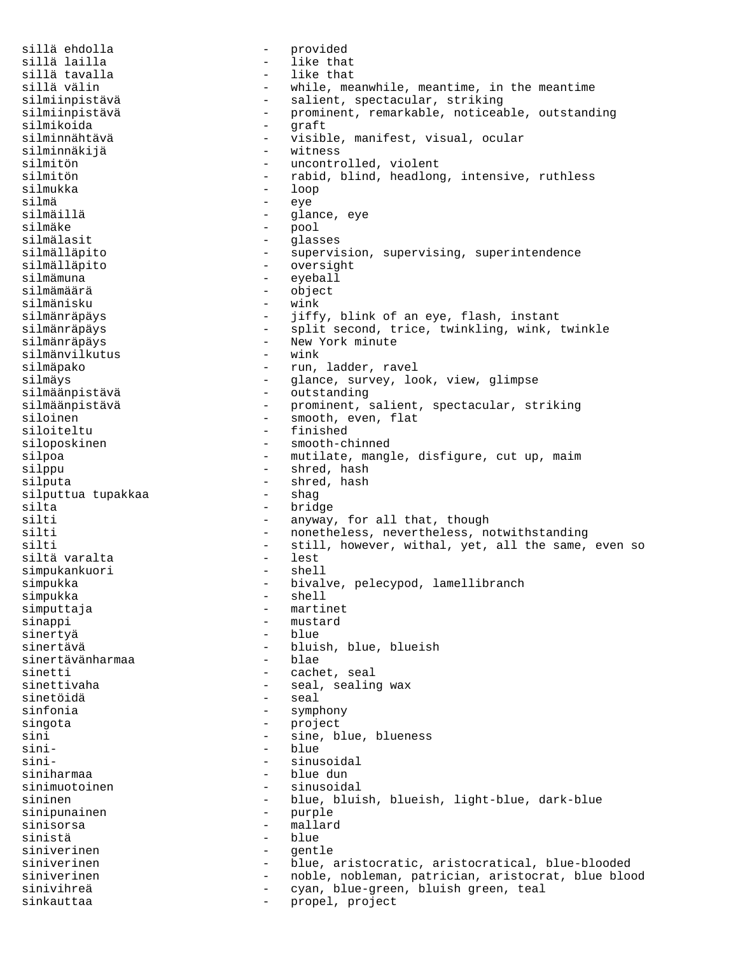sillä ehdolla - provided sillä lailla - like that sillä tavalla - like that - while, meanwhile, meantime, in the meantime silmiinpistävä - salient, spectacular, striking<br>silmiinpistävä - - - - - - - prominent, remarkable, noticeal - prominent, remarkable, noticeable, outstanding<br>- graft silmikoida<br>silminnähtävä - visible, manifest, visual, ocular<br>- witness silminnäkijä silmitön - uncontrolled, violent silmitön - rabid, blind, headlong, intensive, ruthless silmukka - loop<br>silmä - eve - eye silmäillä - glance, eye silmäke - pool silmälasit - glasses silmälläpito <br />
- supervision, supervising, superintendence silmälläpito - oversight silmämuna - eyeball silmämäärä - objective - objective - objective - objective - objective - objective - objective - objective - o silmänisku - wink silmänräpäys - jiffy, blink of an eye, flash, instant silmänräpäys - split second, trice, twinkling, wink, twinkle silmänräpäys - New York minute silmänvilkutus silmäpako - run, ladder, ravel silmäys - glance, survey, look, view, glimpse silmäänpistävä - outstanding - prominent, salient, spectacular, striking<br>- smooth, even, flat siloinen 1988 - Smooth, even, flat siloiteltu - finished siloposkinen - smooth-chinned<br>silpoa - mutilate, mang silpoa - mutilate, mangle, disfigure, cut up, maim<br>silppu - shred, hash - shred, hash silputa - shred, hash silputtua tupakkaa silta - bridge - bridge - bridge - bridge - bridge - bridge - bridge - bridge - bridge - bridge - bridge - bridge - bridge - bridge - bridge - bridge - bridge - bridge - bridge - bridge - bridge - bridge - bridge - bridge - anyway, for all that, though silti - nonetheless, nevertheless, notwithstanding<br>silti - still however withal yet all the same silti - still, however, withal, yet, all the same, even so<br>siltä varalta - lest siltä varalta simpukankuori - shell simpukka - bivalve, pelecypod, lamellibranch simpukka - shell simputtaja - martinet sinappi - mustard sinertyä - blue - bluish, blue, blueish<br>- blae sinertävänharmaa sinetti - cachet, seal sinettivaha  $-$  seal, sealing wax sinetöidä - seal - symphony singota - project sini - sine, blue, blueness<br>sini- - blue - blue sini-<br>sini-<br> - blue<br> - sinus sinusoidal siniharmaa - blue dun sinimuotoinen 1988 - sinusoidal Sininen 1988 - Sinusoidal Sininen 1988 - Sinusoidal Sininen 1988 - Sininen 198 - blue, bluish, blueish, light-blue, dark-blue<br>- purple sinipunainen<br>sinisorsa - mallard<br>- blue sinistä siniverinen - qentle siniverinen 1986 - blue, aristocratic, aristocratical, blue-blooded siniverinen - noble, nobleman, patrician, aristocrat, blue blood sinivihreä  $-$  cyan, blue-green, bluish green, teal sinkauttaa - propel, project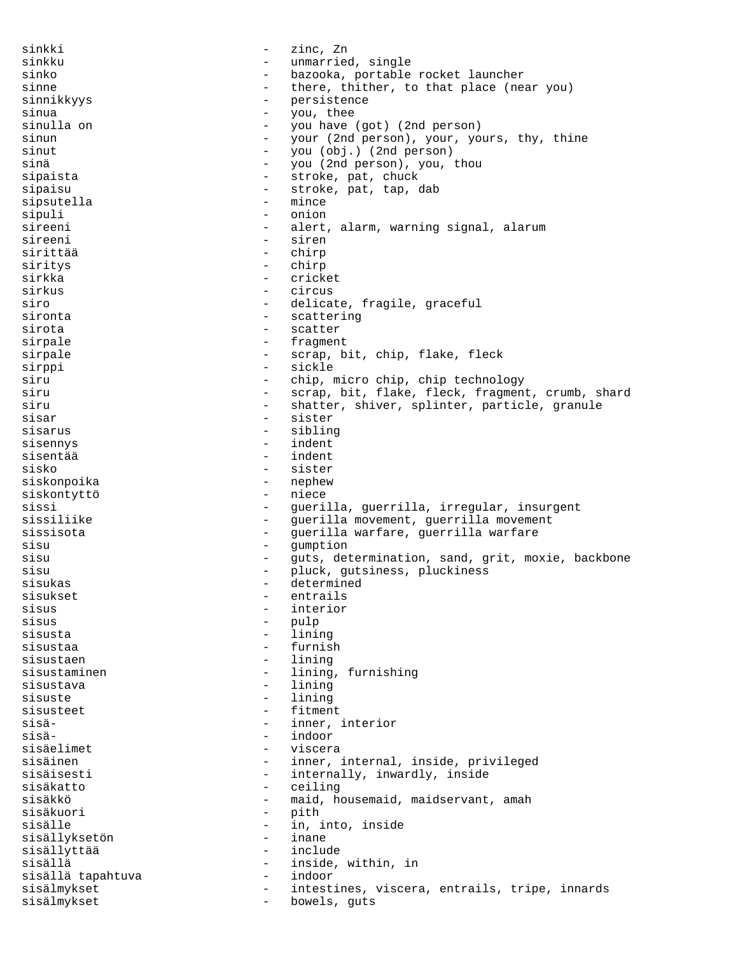sinkki - zinc, Zn sinkku - unmarried, single - bazooka, portable rocket launcher sinne - there, thither, to that place (near you)<br>sinnikkyys - persistence - persistence sinua - you, thee<br>sinulla on - you have - you have sinulla on  $\begin{array}{ccc} - &$  you have (got) (2nd person)<br>sinun  $\begin{array}{ccc} - &$  your (2nd person). vour. vo sinun - your (2nd person), your, yours, thy, thine<br>sinut - you (obi) (2nd person) - you (obj.) (2nd person) sinä - you (2nd person), you, thou sipaista - stroke, pat, chuck - stroke, pat, tap, dab<br>- mince sipsutella sipuli - onion sireeni  $-$  alert, alarm, warning signal, alarum sireeni - siren sirittää - chirp siritys - chirp<br>sirkka - chirp sirkka – cricket<br>sirkus – cricket sirkus - circus<br>siro - delica siro - delicate, fragile, graceful - scattering sirota - scatter sirpale - fragment sirpale - scrap, bit, chip, flake, fleck sirppi - sickle siru - chip, micro chip, chip technology siru - scrap, bit, flake, fleck, fragment, crumb, shard siru - shatter, shiver, splinter, particle, granule sisar - sister - sister<br>sisarus - siblin - sibling<br>- indent sisennys - indent sisentää<br>sisko sisko - sister siskonpoika - nephew siskontyttö sissi - guerilla, guerrilla, irregular, insurgent sissiliike - guerilla movement, guerrilla movement sissisota - Guerilla warfare, guerrilla warfare sisu - gumption sisu - guts, determination, sand, grit, moxie, backbone<br>sisu - pluck quisiness pluckiness sisu - pluck, gutsiness, pluckiness<br>sisukas sisukas - determined<br>sisukset - entrails sisukset - entrails<br>sisus - interior sisus - interior<br>sisus - pulp sisus - pulp<br>sisusta - 11ni - lining sisustaa - furnish sisustaen 1988 - Lining<br>Sisustaminen 1988 - Lining - lining, furnishing sisustava - lining sisuste - lining sisusteet - fitment sisä- - inner, interior sisä- - indoor sisäelimet - viscera sisäinen - inner, internal, inside, privileged<br>sisäisesti - internally, inwardly, inside sisäisesti - internally, inwardly, inside<br>sisäkatto - ceiling sisäkatto - ceiling - maid, housemaid, maidservant, amah sisäkuori - pith sisälle - in, into, inside<br>sisällyksetön - inane - inane sisällyksetön sisällyttää - include sisällä - inside, within, in sisällä tapahtuva sisälmykset  $-$  intestines, viscera, entrails, tripe, innards sisälmykset - bowels, guts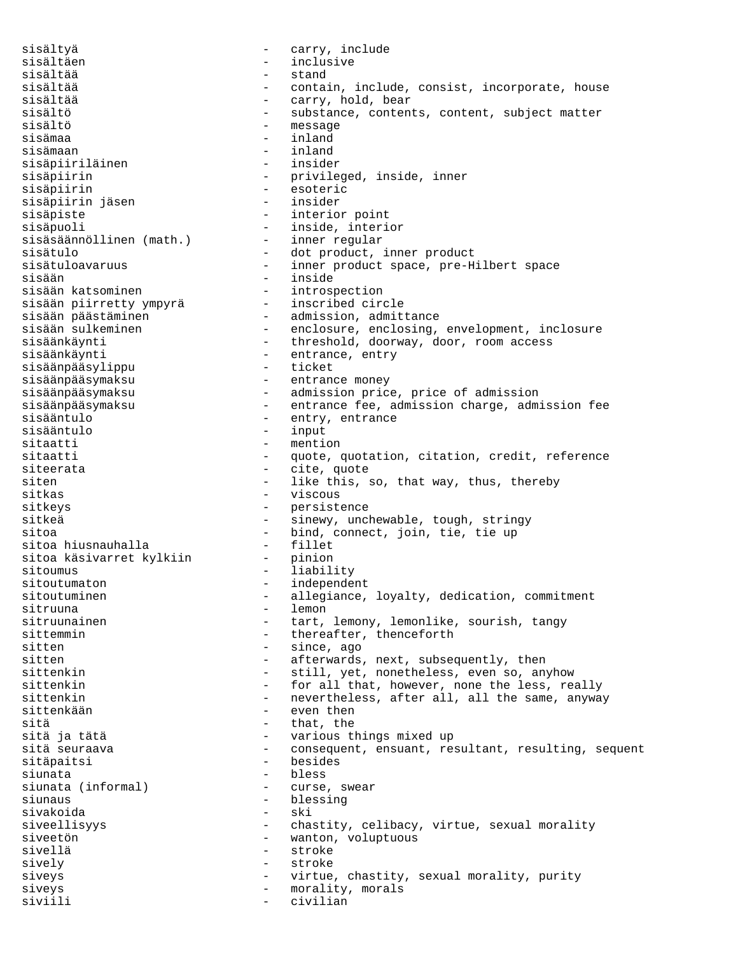sisältyä - carry, include sisältäen - inclusive sisältää - stand - contain, include, consist, incorporate, house sisältää - carry, hold, bear sisältö - substance, contents, content, subject matter sisältö - message sisämaa sisämaan - inland sisäpiiriläinen sisäpiirin 1988 - privileged, inside, inner sisäpiirin - esoteric sisäpiirin jäsen sisäpiste  $-$  interior point sisäpuoli – inside, interior<br>sisäsäännöllinen (math.) – inner regular sisäsäännöllinen (math.) sisätulo - dot product, inner product sisätuloavaruus - inner product space, pre-Hilbert space sisään - inside sisään katsominen - introspection sisään piirretty ympyrä - inscribed circle sisään päästäminen - admission, admittance sisään sulkeminen - enclosure, enclosing, envelopment, inclosure sisäänkäynti  $-$  threshold, doorway, door, room access sisäänkäynti - entrance, entry<br>sisäänpääsvlippu - ticket sisäänpääsylippu sisäänpääsymaksu - entrance money sisäänpääsymaksu - admission price, price of admission sisäänpääsymaksu - entrance fee, admission charge, admission fee sisääntulo  $-$  entry, entrance sisääntulo - input sitaatti - mention - quote, quotation, citation, credit, reference siteerata - cite, quote<br>siten - like this siten - like this, so, that way, thus, thereby<br>sitkas - viscous<br>- viscous - viscous sitkeys - persistence sitkeä - sinewy, unchewable, tough, stringy sitoa  $-$  bind, connect, join, tie, tie up<br>sitoa hiusnauhalla  $-$  fillet sitoa hiusnauhalla - fillet sitoa Historiania - pinion - pinion - pinion - pinion - pinion - pinion - pinion - pinion - pinion - pinion - p sitoumus - liability<br>sitoutumator - independent sitoutumaton - independent<br>sitoutuminen - allegiance sitoutuminen - allegiance, loyalty, dedication, commitment sitruuna - lemon sitruunainen - tart, lemony, lemonlike, sourish, tangy sittemmin - thereafter, thenceforth sitten - since, ago sitten - afterwards, next, subsequently, then sittenkin - still, yet, nonetheless, even so, anyhow sittenkin - for all that, however, none the less, really sittenkin - nevertheless, after all, all the same, anyway<br>sittenkään - even then sittenkään  $-$  even then sitä - that, the sitä ja tätä - various things mixed up - consequent, ensuant, resultant, resulting, sequent sitäpaitsi - besides siunata - bless siunata (informal) siunaus - blessing sivakoida - ski siveellisyys - chastity, celibacy, virtue, sexual morality siveetön - wanton, voluptuous sivellä - stroke sively - stroke siveys  $-$  virtue, chastity, sexual morality, purity siveys - morality, morals siviili - civilian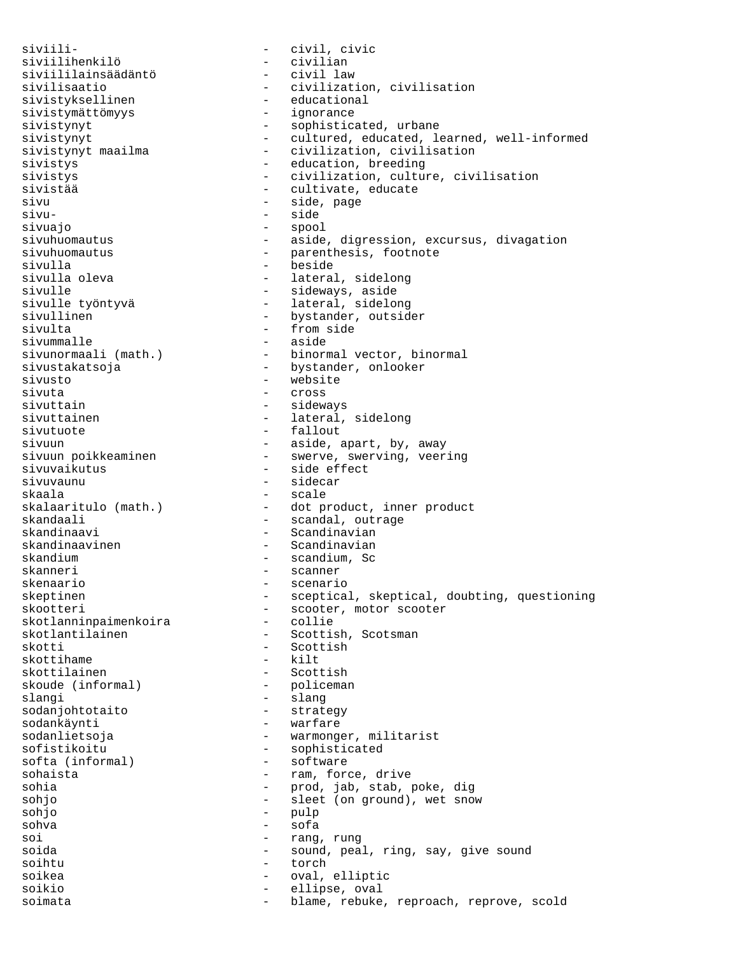siviili-<br>
- civil, civic siviilihenkilö - civilian siviililainsäädäntö<br>sivilisaatio - civilization, civilisation<br>- educational sivistyksellinen - educationalistyksellinen - educationalistyksellinen - educationalistyksellinen - educational sivistymättömyys<br>sivistynyt - sophisticated, urbane sivistynyt - cultured, educated, learned, well-informed - civilization, civilisation sivistys - education, breeding sivistys - civilization, culture, civilisation sivistää - cultivate, educate sivu - side, page sivu- side side sivuajo - spool sivuhuomautus - aside, digression, excursus, divagation sivuhuomautus - parenthesis, footnote<br>sivulla - beside - parenthesis, footnote sivulla - beside sivulla oleva - 1ateral, sidelong<br>sivulle - sideways, aside sivulle - sideways, aside sivulle työntyvä - lateral, sidelong - bystander, outsider sivulta - from side<br>sivummalle - aside sivummalle<br>sivunormaali (math.) - binormal vector, binormal sivunormaari (mach., 1999)<br>sivustakatsoja - bystander, onlooker sivusto - website sivuta - cross sivuttain extension of the sideways sivuttainen 1988 - Solomon Lateral, sidelong sivutuote - fallout sivuun - aside, apart, by, away<br>sivuun poikkeaminen - swerve, swerving, veer sivuun poikkeaminen - - swerve, swerving, veering<br>sivuvaikutus - - - - side effect sivuvaikutus - side effect<br>sivuvaunu - sidecar skaala - scale skalaaritulo (math.) - dot product, inner product<br>skandaali - scandal, outrage - scandal, outrage skandinaavi - Scandinavian<br>skandinaavinen - Scandinavian skandinaavinen - Scandinavian<br>skandium - Scandium - Scandium Sc - scandium, Sc skanneri - scanner skenaario - scenario skeptinen - sceptical, skeptical, doubting, questioning skootteri - scooter, motor scooter<br>skotlanninpaimenkoira - collie skotlanninpaimenkoira<br>skotlantilainen - Scottish, Scotsman skotti<br>skottihame - Scottish<br>- kilt skottihame - kilt<br>skottilainen - Scottish skottilainen skoude (informal) skoude (informal) - policeman<br>slangi - slang - slang<br>sodanjohtotaito - strategy sodanjohtotaito sodankäynti - warfare sodanlietsoja - warmonger, militarist<br>sofistikoitu - sophisticated - sophisticated<br>- software softa (informal)<br>sohaista sohaista - ram, force, drive - prod, jab, stab, poke, dig sohjo  $-$  sleet (on ground), wet snow sohjo - pulp - sofa soi - rang, rung soida - sound, peal, ring, say, give sound soihtu - torch soikea - oval, elliptic soikio - ellipse, oval soimata - blame, rebuke, reproach, reprove, scold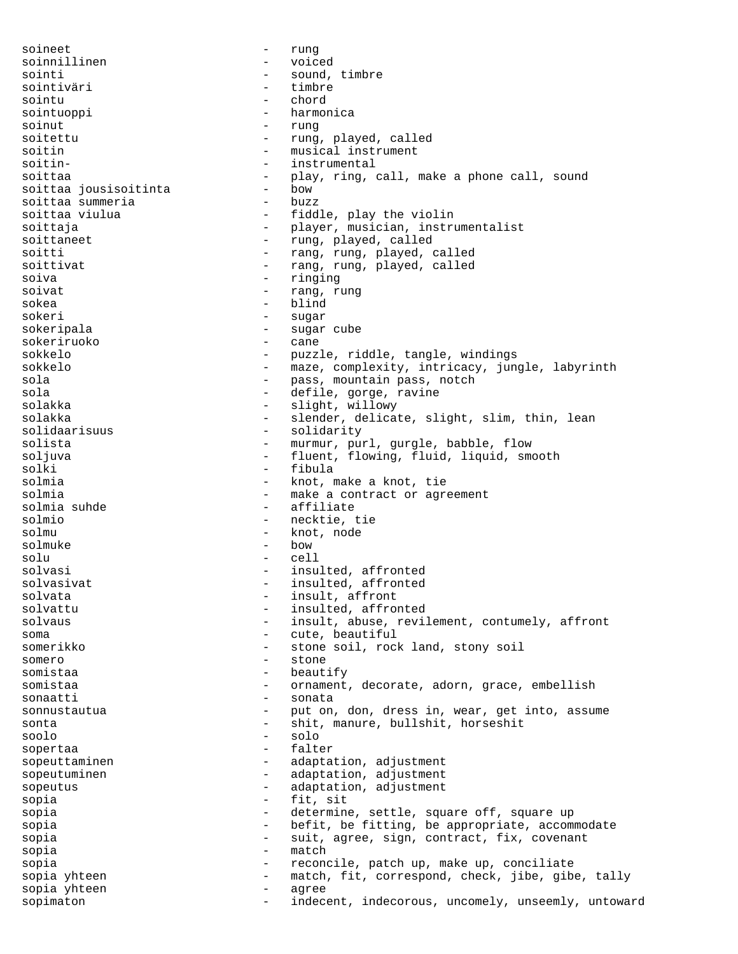soineet - rung soinnillinen - voiced<br>sointi - sound sointi - sound, timbre - sound, timbre - sound, timbre - timbre - timbre - timbre - timbre - timbre - timbre sointiväri sointu - chord sointuoppi<br>soinut - rung soitettu - rung, played, called soitin  $-$  musical instrument soitin-<br>
- instrumental soittaa - play, ring, call, make a phone call, sound<br>soittaa iousisoitinta - bow soittaa jousisoitinta - bow soittaa summeria soittaa viulua  $\qquad \qquad -$  fiddle, play the violin soittaja - player, musician, instrumentalist soittaneet - rung, played, called soitti  $-$  rang, rung, played, called soittivat - rang, rung, played, called<br>soiva soiva - ringing soivat - rang, rung<br>sokea - hlind sokea - blind<br>sokeri - blind<br>- sugar - sugar sokeripala - sugar cube<br>sokeriruoko - - cane sokeriruoko sokkelo - puzzle, riddle, tangle, windings sokkelo - maze, complexity, intricacy, jungle, labyrinth sola  $-$  pass, mountain pass, notch sola  $-$  defile, gorge, ravine solakka - slight, willowy solakka - slender, delicate, slight, slim, thin, lean solidaarisuus - solidarity solista - murmur, purl, gurgle, babble, flow<br>soljuva - fluent, flowing, fluid, liquid, sm soljuva - fluent, flowing, fluid, liquid, smooth solki - fibula<br>solmia - knot.n - knot, make a knot, tie solmia  $-$  make a contract or agreement solmia suhde  $-$  affiliate solmio - necktie, tie solmu - knot, node solmuke - bow solu - cell solvasi - insulted, affronted solvasivat  $\qquad \qquad -$  insulted, affronted solvata  $\qquad \qquad \qquad - \quad \text{insult, affront}$ solvattu - insulted, affronted solvaus entity revilement, contumely, affront soma  $-$  cute, beautiful somerikko - stone soil, rock land, stony soil somero - stone somistaa - beautify<br>somistaa - arnament somistaa - ornament, decorate, adorn, grace, embellish sonaatti - sonata sonnustautua - put on, don, dress in, wear, get into, assume sonta  $-$  shit, manure, bullshit, horseshit soolo - solo sopertaa - falter - falter - falter - falter - falter - falter - falter - falter - falter - falter - falter sopeuttaminen en mannet adaptation, adjustment sopeutuminen - adaptation, adjustment<br>consulus sopeutus - adaptation, adjustment sopia - fit, sit<br>sopia - determine sopia  $-$  determine, settle, square off, square up sopia  $-$  befit, be fitting, be appropriate, accommodate<br>sopia sopia  $-$  suit, agree, sign, contract, fix, covenant sopia - match sopia  $-$  reconcile, patch up, make up, conciliate sopia yhteen - match, fit, correspond, check, jibe, gibe, tally sopia yhteen - agree sopimaton and the sopimaton of the corous, uncomely, unseemly, untoward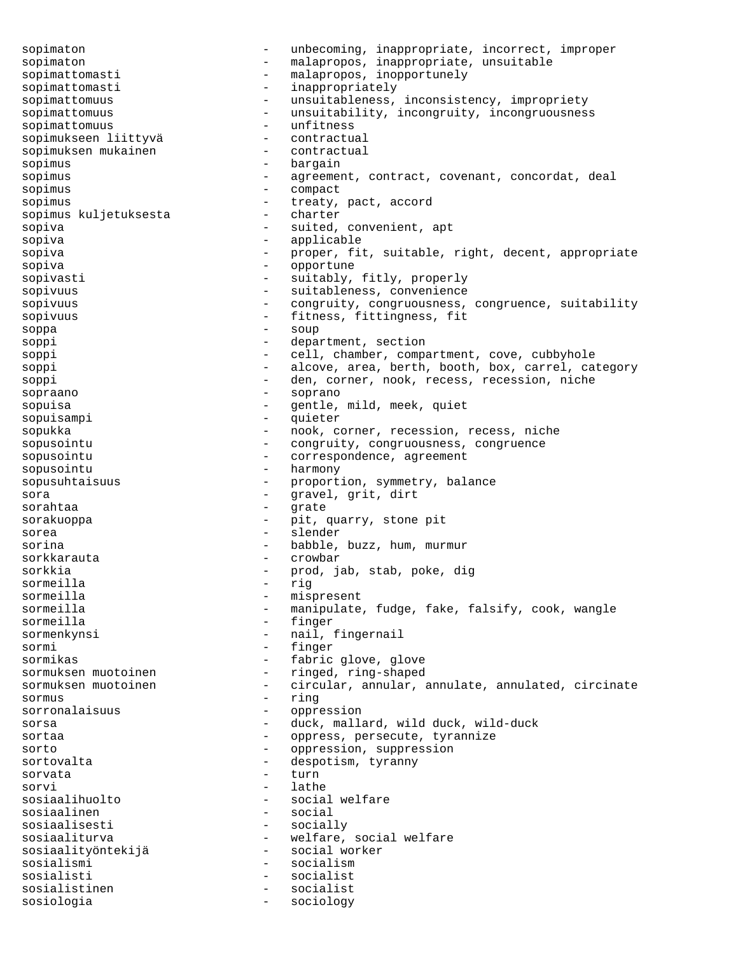sopimaton - unbecoming, inappropriate, incorrect, improper sopimaton - malapropos, inappropriate, unsuitable<br>sopimattomasti - malapropos, inopportunely sopimattomasti - malapropos, inopportunely sopimattomasti - inappropriately sopimattomuus - unsuitableness, inconsistency, impropriety<br>sopimattomuus - unsuitability incongruity incongruousnes sopimattomuus - unsuitability, incongruity, incongruousness sopimattomuus - unfitness sopimukseen liittyvä - contractual sopimuksen mukainen 1988 - Contractual sopimus - bargain<br>sopimus - agreement - agreement sopimus - agreement, contract, covenant, concordat, deal<br>sopimus - compact - compact - compact sopimus  $\sim$  - treaty, pact, accord sopimus kuljetuksesta  $\sim$  - charter sopimus kuljetuksesta sopiva  $-$  suited, convenient, apt sopiva - applicable<br>sopiva - applicable<br>- proper fil sopiva - proper, fit, suitable, right, decent, appropriate sopiva - opportune - suitably, fitly, properly sopivuus - suitableness, convenience sopivuus est test toimes - congruity, congruousness, congruence, suitability sopivuus - fitness, fittingness, fit<br>soppa soppa - soup soppi - department, section soppi - cell, chamber, compartment, cove, cubbyhole soppi - alcove, area, berth, booth, box, carrel, category soppi - den, corner, nook, recess, recession, niche<br>sopraano - soprano sopraano - soprano sopuisa - gentle, mild, meek, quiet sopuisampi - quieter sopukka - nook, corner, recession, recess, niche sopusointu entre resolution - congruity, congruousness, congruence sopusointu - correspondence, agreement sopusointu - harmony sopusuhtaisuus - proportion, symmetry, balance<br>sora sora  $-$  gravel, grit, dirt sorahtaa - grate sorakuoppa - pit, quarry, stone pit sorea - slender sorina - babble, buzz, hum, murmur<br>sorkkarauta - crowbar sorkkarauta - crowbar sorkkia - prod, jab, stab, poke, dig<br>sormeilla - rig sormeilla - rig<br>sormeilla - mism sormeilla - mispresent sormeilla - manipulate, fudge, fake, falsify, cook, wangle sormeilla - finger sormenkynsi - nail, fingernail sormi - finger sormikas - fabric glove, glove sormuksen muotoinen 1988 - 1988 - 1989, ring-shaped sormuksen muotoinen - circular, annular, annulate, annulated, circinate sormus - ring<br>sorronalaisuus - oppru sorronalaisuus - oppression sorsa - duck, mallard, wild duck, wild-duck sortaa - oppress, persecute, tyrannize<br>sorto sorto - oppression, suppression<br>sortovalta - despotism tyranny sortovalta - despotism, tyranny<br>corrects sorvata - turn sorvi - lathe sosiaalihuolto - social welfare sosiaalinen - social - socially sosiaaliturva - welfare, social welfare sosiaalityöntekijä - social worker sosialismi - socialism sosialisti - socialist<br>sosialistinen - socialist sosialistinen - socialist sosiologia - sociology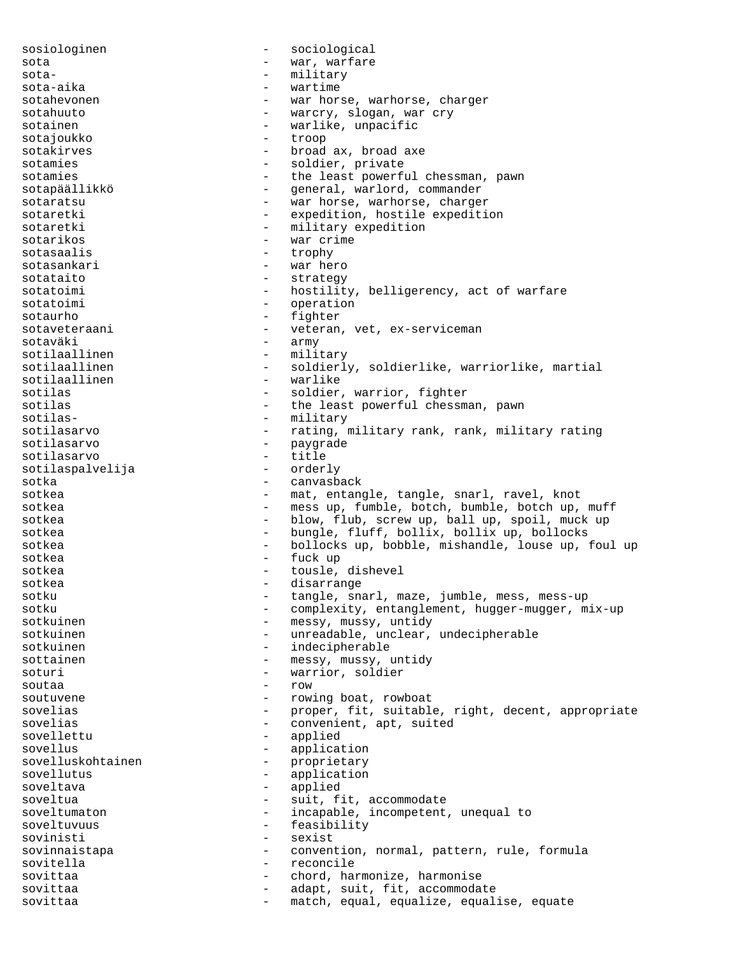sosiologinen - sociological sota  $-$  war, warfare sota-  $-$  military sota-aika - wartime sotahevonen - war horse, warhorse, charger sotahuuto - warcry, slogan, war cry sotainen - warlike, unpacific<br>sotaioukko - troop - troop sotajoukko - troop sotakirves - broad ax, broad axe sotamies - soldier, private sotamies - the least powerful chessman, pawn sotapäällikkö - general, warlord, commander sotaratsu - war horse, warhorse, charger sotaretki - expedition, hostile expedition sotaretki - military expedition sotarikos - war crime sotasaalis - trophy sotasankari - war hero sotataito - strategy sotatoimi - hostility, belligerency, act of warfare<br>
- operation sotatoimi - operation sotaurho - fighter sotaveteraani - veteran, vet, ex-serviceman sotaväki - army sotilaallinen - military - military<br>sotilaallinen - soldierly - soldierly, soldierlike, warriorlike, martial sotilaallinen - warlike<br>sotilas - soldier sotilas  $\qquad \qquad -$  soldier, warrior, fighter sotilas - the least powerful chessman, pawn sotilas- - military - rating, military rank, rank, military rating<br>- paygrade sotilasarvo - paygrade<br>sotilasarvo - title sotilasarvo - title sotilaspalvelija sotka - canvasback sotkea - mat, entangle, tangle, snarl, ravel, knot sotkea - mess up, fumble, botch, bumble, botch up, muff sotkea - blow, flub, screw up, ball up, spoil, muck up sotkea - bungle, fluff, bollix, bollix up, bollocks sotkea - bollocks up, bobble, mishandle, louse up, foul up sotkea - fuck up sotkea - tousle, dishevel sotkea - disarrange sotku - tangle, snarl, maze, jumble, mess, mess-up sotku entanglement, hugger-mugger, mix-up sotkuinen 1988 - messy, mussy, untidy<br>sotkuinen 1988 - unreadable, unclear. sotkuinen - unreadable, unclear, undecipherable<br>sotkuinen - indecipherable - indecipherable sottainen - messy, mussy, untidy<br>soturi - warrior soldier soturi - warrior, soldier soutaa - row soutuvene - rowing boat, rowboat<br>sovelias - rower, fit, suitable sovelias - proper, fit, suitable, right, decent, appropriate sovelias  $\qquad \qquad -$  convenient, apt, suited sovellettu – applied<br>sovellus – applicat sovellus - application sovelluskohtainen - proprietary<br>sovellutus - application application soveltava - applied soveltua - suit, fit, accommodate soveltumaton - incapable, incompetent, unequal to soveltuvuus - feasibility<br>sovinisti - sexist sovinisti - sexist sovinnaistapa - convention, normal, pattern, rule, formula sovitella - reconcile sovittaa - chord, harmonize, harmonise sovittaa - adapt, suit, fit, accommodate sovittaa - match, equal, equalize, equalise, equate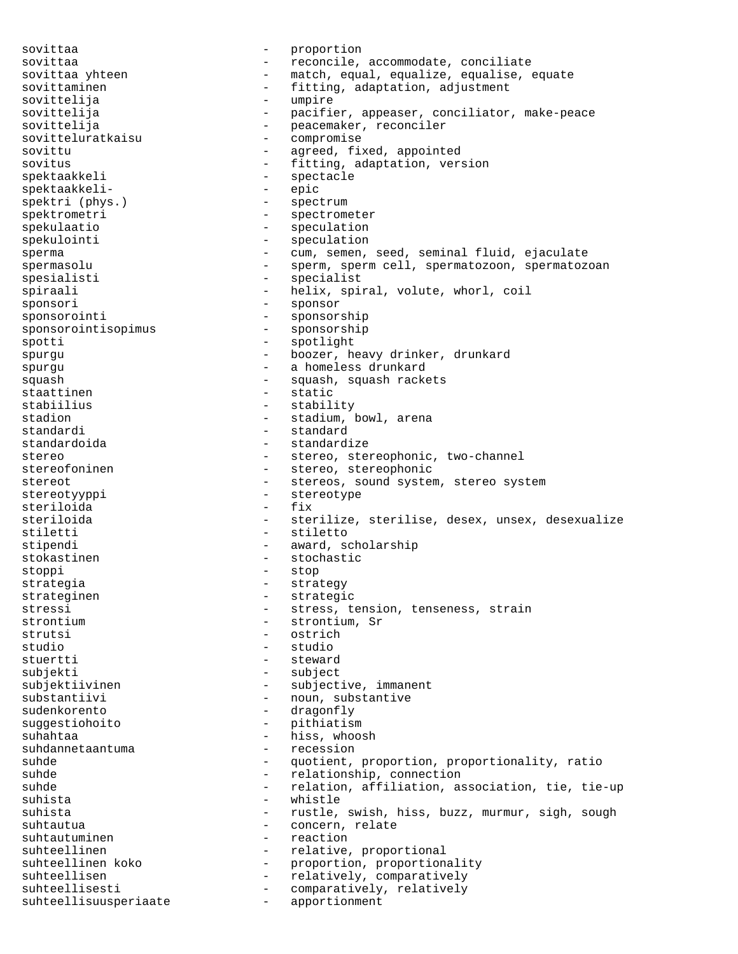sovittaa - proportion<br>sovittaa - proportion<br>- proportion sovittaa - reconcile, accommodate, conciliate<br>sovittaa yhteen - match, equal, equalize, equalise, - match, equal, equalize, equalise, equate sovittaminen and the southward of the fitting, adaptation, adjustment sovittelija - umpire sovittelija - pacifier, appeaser, conciliator, make-peace sovittelija - peacemaker, reconciler<br>sovitteluratkaisu - compromise sovitteluratkaisu<br>sovittu - agreed, fixed, appointed sovitus - fitting, adaptation, version spektaakkeli - spectacle<br>spektaakkeli- - - spic spektaakkeli- - epic spektri (phys.) spektrometri - spectrometer spekulaatio en andre speculation spekulointi - speculation sperma entitled reader that the cum, semen, seed, seminal fluid, ejaculate spermasolu - sperm, sperm cell, spermatozoon, spermatozoan spesialisti - specialist spiraali - helix, spiral, volute, whorl, coil sponsori - sponsor - sponsorship<br>- sponsorship sponsorointisopimus spotti - spotlight spurgu - boozer, heavy drinker, drunkard spurgu - a homeless drunkard squash - squash, squash rackets staattinen - static - stability stadion - stadium, bowl, arena<br>standardi - standard - standard - standard standardoida - standardize stereo<br>stereofoninen - stereo, stereophonic, two-channel<br>stereofoninen - stereo, stereophonic - stereo, stereophonic stereot - stereos, sound system, stereo system stereotyyppi - stereotype<br>steriloida - fix steriloida<br>steriloida - sterilize, sterilise, desex, unsex, desexualize stiletti - stiletto stipendi - award, scholarship stokastinen - stochastic stoppi - stop strategia  $-$  strategy strateginen - strategic stressi <br/> - stress, tension, tenseness, strain strontium - strontium, Sr strutsi - ostrich studio - studio stuertti - steward subjekti - subject subjektiivinen - subjective, immanent substantiivi - noun, substantive sudenkorento - dragonfly suggestiohoito - pithiatism suhahtaa - hiss, whoosh<br>suhdannetaantuma - - recession  $\mathsf{subdiameter}$  - recent subde suhde  $\qquad \qquad -$  quotient, proportion, proportionality, ratio<br>suhde  $\qquad \qquad -$  relationship, connection suhde - relationship, connection<br>suhde - relation, affiliation, a - relation, affiliation, association, tie, tie-up suhista - whistle suhista - rustle, swish, hiss, buzz, murmur, sigh, sough<br>suhtautua - concern, relate - concern, relate suhtautuminen en andere en andere andere andere reaction suhteellinen - relative, proportional suhteellinen koko - proportion, proportionality suhteellisen - relatively, comparatively suhteellisesti - comparatively, relatively<br>suhteellisuusperiaate - apportionment suhteellisuusperiaate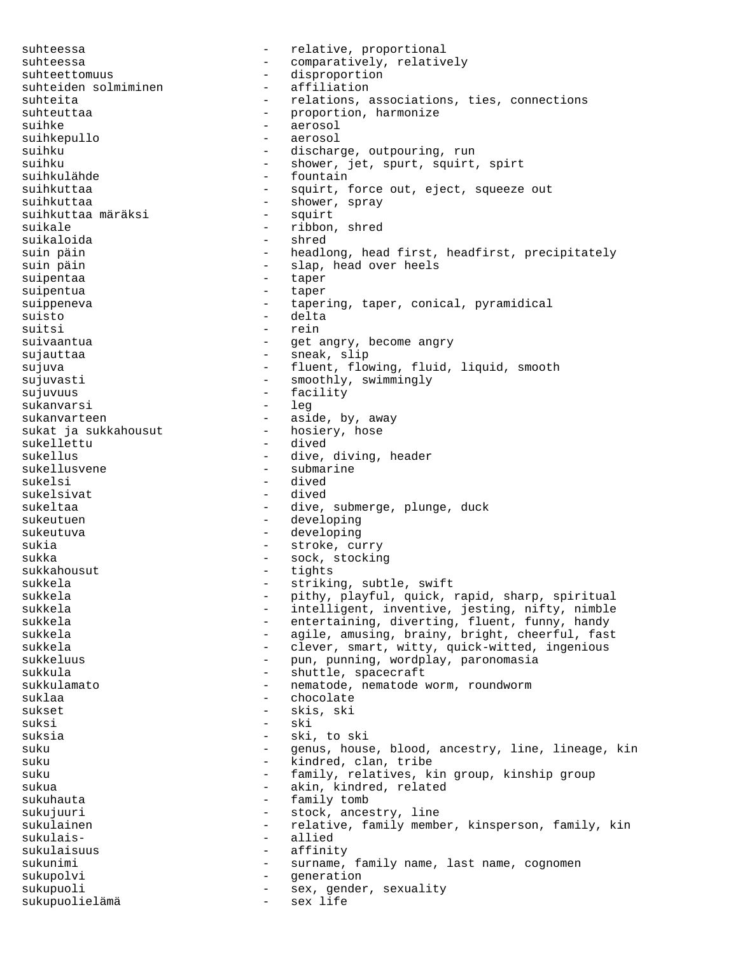suhteessa  $\qquad \qquad -$  relative, proportional suhteessa - comparatively, relatively suhteettomuus - disproportion<br>suhteiden solmiminen - affiliation suhteiden solmiminen suhteita - relations, associations, ties, connections<br>suhteuttaa - reproportion, harmonize - proportion, harmonize suihke - aerosol - aerosol - aerosol - aerosol - aerosol - aerosol - aerosol - aerosol - aerosol - aerosol - aerosol - aerosol - aerosol - aerosol - aerosol - aerosol - aerosol - aerosol - aerosol - aerosol - aerosol - aer suihkepullo suihku - discharge, outpouring, run<br>suihku - shower, jet. spurt. squirt - shower, jet, spurt, squirt, spirt suihkulähde - fountain suihkuttaa - squirt, force out, eject, squeeze out suihkuttaa  $\frac{1}{2}$  - shower, spray suihkuttaa märäksi - squirt suihkuttaa märäksi suikale - ribbon, shred suikaloida - shred suin päin  $-$  headlong, head first, headfirst, precipitately suin päin  $\begin{array}{ccc} - & - \\ - & \end{array}$  slap, head over heels suipentaa suipentaa - taper - taper suippeneva - tapering, taper, conical, pyramidical suisto - delta<br>suitsi - rein - rein - rein suivaantua - get angry, become angry sujauttaa  $-$  sneak, slip sujuva - fluent, flowing, fluid, liquid, smooth sujuvasti - smoothly, swimmingly sujuvuus - facility<br>sukanvarsi - leg sukanvarsi sukanvarteen - aside, by, away<br>sukat ja sukkahousut - hosiery, hose sukat ja sukkahousut<br>sukellettu sukellettu - dived sukellus - dive, diving, header<br>sukellusvene - submarine - submarine - submarine sukelsi - dived sukelsivat sukeltaa - dive, submerge, plunge, duck sukeutuen - developing sukeutuva - developing sukia  $\begin{array}{ccc} - & \text{stroke, curry} \\ - & \text{scork, curry} \end{array}$ sukka - sock, stocking sukkahousut - tights<br>sukkela - striki sukkela - striking, subtle, swift sukkela - pithy, playful, quick, rapid, sharp, spiritual sukkela - intelligent, inventive, jesting, nifty, nimble sukkela - entertaining, diverting, fluent, funny, handy sukkela - agile, amusing, brainy, bright, cheerful, fast sukkela - clever, smart, witty, quick-witted, ingenious sukkeluus - pun, punning, wordplay, paronomasia sukkula - shuttle, spacecraft sukkulamato  $-$  nematode, nematode worm, roundworm suklaa - chocolate<br>sukset - skis ski sukset - skis, ski suksi - ski suksia - ski, to ski<br>suku - genus hous suku - genus, house, blood, ancestry, line, lineage, kin suku - kindred, clan, tribe suku  $-$  family, relatives, kin group, kinship group sukua - akin, kindred, related<br>sukuhauta - family tomb - family tomb sukujuuri - stock, ancestry, line sukulainen - relative, family member, kinsperson, family, kin sukulais-<br>
- allied sukulaisuus - affinity sukunimi - surname, family name, last name, cognomen<br>sukupolvi - qeneration sukupolvi - generation sukupuoli - sex, gender, sexuality<br>sukupuolielämä - sex life sukupuolielämä - sex life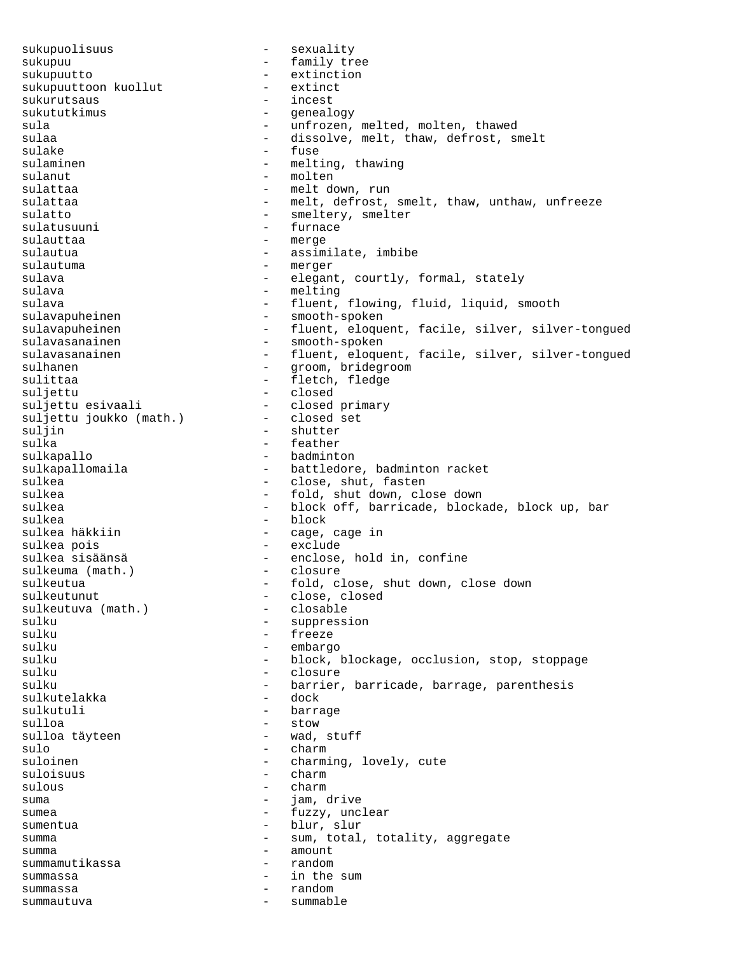sukupuolisuus - sexuality sukupuu - family tree sukupuutto - extinction sukupuuttoon kuollut - extinct sukurutsaus sukututkimus - genealogy sula - unfrozen, melted, molten, thawed<br>sulaa - - - - - - - - - dissolve, melt, thaw, defrost, sulaa sulaa - dissolve, melt, thaw, defrost, smelt<br>sulake - fuse - fuse - fuse sulaminen - melting, thawing sulanut - molten sulattaa - melt down, run sulattaa - melt, defrost, smelt, thaw, unthaw, unfreeze sulatto - smeltery, smelter sulatusuuni - furnace sulauttaa - merge sulautua  $-$  assimilate, imbibe sulautuma - merger<br>sulava - elegani sulava - elegant, courtly, formal, stately sulava - melting sulava - fluent, flowing, fluid, liquid, smooth<br>sulavapuheinen - smooth-spoken - smooth-spoken sulavapuheinen - fluent, eloquent, facile, silver, silver-tongued sulavasanainen - smooth-spoken sulavasanainen - fluent, eloquent, facile, silver, silver-tongued<br>sulhanen - groom, bridegroom - groom, bridegroom sulittaa - fletch, fledge suljettu - closed suljettu esivaali - closed primary suljettu joukko (math.)<br>suljin suljin - shutter<br>sulka - shutter - shutter sulka - feather - feather<br>sulkapallo - - badmint - badminton sulkapallomaila - battledore, badminton racket sulkea - close, shut, fasten sulkea - fold, shut down, close down sulkea - block off, barricade, blockade, block up, bar sulkea - block - block sulkea häkkiin  $\qquad \qquad -$  cage, cage in sulkea pois  $\overline{z}$  - exclude sulkea sisäänsä - enclose, hold in, confine sulkeuma (math.) sulkeutua - fold, close, shut down, close down sulkeutunut - close, closed<br>sulkeutuva (math.) - closable - closable sulkeutuva (math.) sulku - suppression<br>sulku - suppression<br>- freeze sulku - freeze - embargo sulku - block, blockage, occlusion, stop, stoppage sulku - closure sulku - barrier, barricade, barrage, parenthesis<br>sulkutelakka - dock - dock sulkutelakka - dock sulkutuli - barrage sulloa - stow sulloa täyteen sulo - charm suloinen  $\qquad \qquad -$  charming, lovely, cute suloisuus - charm  $\begin{array}{ccc}\n\text{subous} & - & \text{charm} \\
\text{sum} & - & \text{imm} & \text{imm}\n\end{array}$ suma - jam, drive sumea - fuzzy, unclear sumentua  $\qquad \qquad -$  blur, slur summa - sum, total, totality, aggregate summa - amount summamutikassa - random summassa - in the sum summassa - random summautuva - summable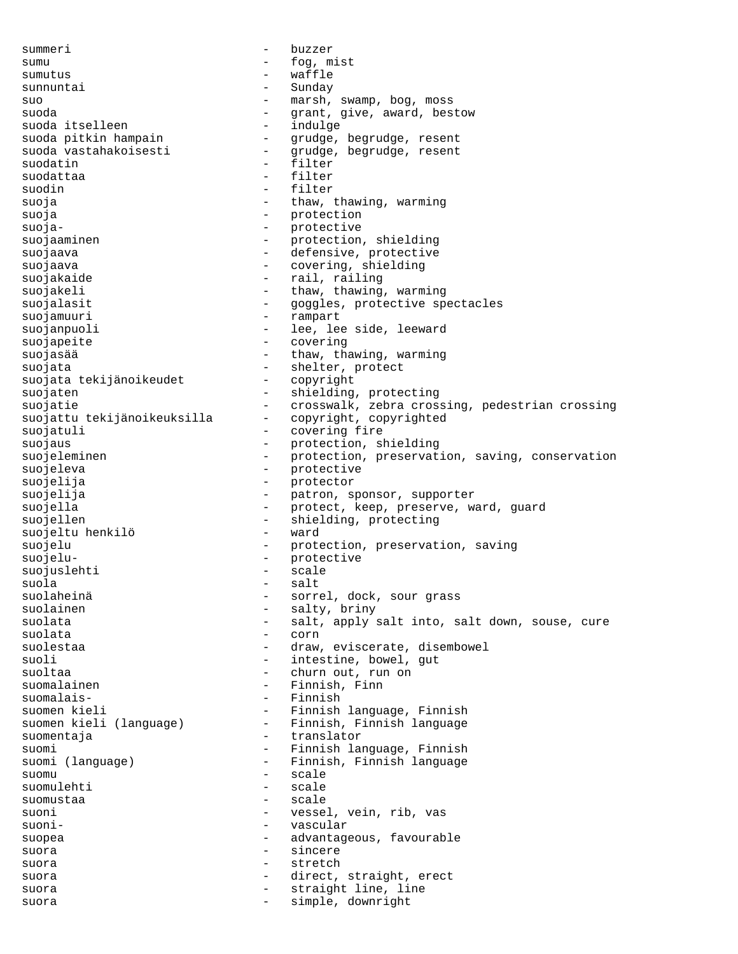summeri - buzzer sumu - fog, mist sumutus - waffle sunnuntai - Sunday suo - marsh, swamp, bog, moss<br>suoda - marsh, swamp, bog, moss suoda - grant, give, award, bestow suoda itselleen<br>suoda pitkin hampain suoda pitkin hampain grudge, begrudge, resent<br>suoda vastahakoisesti qrudge, begrudge, resent - grudge, begrudge, resent suodatin alueen valmintaa valmistusteen valmistusteen valmistusteen valmistusteen valmistusteen valmistusteen v suodattaa - filter suodin anno 1972 - filter suoja - thaw, thawing, warming suoja - protection suoja- - protective suojaaminen - protection, shielding suojaava - defensive, protective suojaava - covering, shielding suojakaide - rail, railing suojakeli  $-$  thaw, thawing, warming suojalasit - goggles, protective spectacles suojamuuri - rampart suojanpuoli - lee, lee side, leeward suojapeite - covering suojasää  $-$  thaw, thawing, warming suojata - shelter, protect suojata tekijänoikeudet suojaten - shielding, protecting suojatie - crosswalk, zebra crossing, pedestrian crossing<br>suojattu tekijänoikeuksilla - copyright, copyrighted suojattu tekijänoikeuksilla suojatuli - covering fire suojaus - protection, shielding suojeleminen - protection, preservation, saving, conservation suojeleva - protective suojelija - protector suojelija - patron, sponsor, supporter suojella - protect, keep, preserve, ward, guard suojellen - shielding, protecting<br>suojeltu henkilö - ward - ward suojeltu henkilö suojelu - protection, preservation, saving<br>suojelu- - - protective - protective suojelu- - protective suojuslehti - scale suola - salt suolaheinä  $-$  sorrel, dock, sour grass suolainen 1988 - Salty, briny suolata - salt, apply salt into, salt down, souse, cure suolata - corn suolestaa - draw, eviscerate, disembowel suoli - intestine, bowel, gut suoltaa - churn out, run on suomalainen 1988 - Finnish, Finn suomalais-<br>
- Finnish suomen kieli - Finnish language, Finnish<br>suomen kieli (language) - Finnish, Finnish language - Finnish, Finnish language suomentaja - translator suomi (language) - Finnish language, Finnish<br>suomi (language) - Finnish, Finnish language - Finnish, Finnish language suomu - scale suomulehti - scale suomustaa - scale suoni - vessel, vein, rib, vas suoni- - vascular suopea - advantageous, favourable suora - sincere suora - stretch suora - direct, straight, erect suora - straight line, line suora  $-$  simple, downright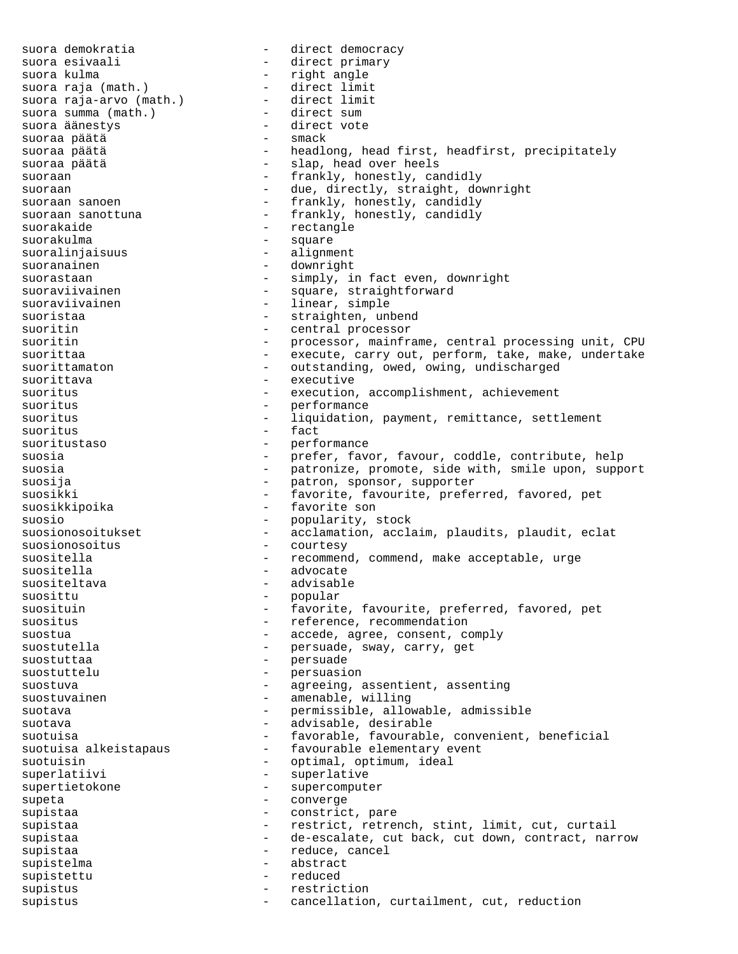suora demokratia  $-$  direct democracy suora esivaali - direct primary suora kulma - right angle suora raja (math.) - direct limit suora raja-arvo (math.) - direct limit suora summa (math.) - direct sum suora äänestys - direct vote suoraa päätä - smack suoraa päätä  $-$  headlong, head first, headfirst, precipitately suoraa päätä  $-$  slap, head over heels suoraan - frankly, honestly, candidly suoraan - due, directly, straight, downright suoraan sanoen - frankly, honestly, candidly suoraan sanottuna association - frankly, honestly, candidly suorakaide <br/> - rectangle suorakulma - square<br>suoralinjaisuus - alignment suoralinjaisuus suoranainen 1988 - Howaright suorastaan - simply, in fact even, downright<br>suoraviivainen - square, straightforward suoraviivainen - square, straightforward<br>suoraviivainen - - linear, simple suoraviivainen 1000 - linear, simple<br>suoristaa - straighten, un - straighten, unbend suoritin - central processor suoritin  $-$  processor, mainframe, central processing unit, CPU suorittaa - execute, carry out, perform, take, make, undertake suorittamaton - outstanding, owed, owing, undischarged suorittava - executive suoritus - execution, accomplishment, achievement<br>suoritus - performance suoritus - performance suoritus - liquidation, payment, remittance, settlement suoritus - fact suoritustaso  $-$  performance suosia - prefer, favor, favour, coddle, contribute, help suosia entimale - patronize, promote, side with, smile upon, support suosija - patron, sponsor, supporter suosikki - favorite, favourite, preferred, favored, pet suosikkipoika - favorite son suosio - popularity, stock suosionosoitukset - acclamation, acclaim, plaudits, plaudit, eclat suosionosoitus - courtesy suositella entimele recommend, commend, make acceptable, urge suositella  $-$  advocate suositeltava - advisable suosittu - popular suosituin - favorite, favourite, preferred, favored, pet suositus - reference, recommendation suostua - accede, agree, consent, comply suostutella - persuade, sway, carry, get suostuttaa - persuade - persuade suostuttelu - persuasion suostuva - agreeing, assentient, assenting suostuvainen 1988 - Suostuvainen muuta valminut valminut valminut valminut valminut valminut valminut valminut suotava - permissible, allowable, admissible suotava - advisable, desirable suotuisa - favorable, favourable, convenient, beneficial<br>suotuisa alkeistapaus - favourable elementary event - favourable elementary event suotuisin - optimal, optimum, ideal superlatiivi - superlative supertietokone - supercomputer supeta  $\overline{\phantom{a}}$  - converge supistaa - constrict, pare supistaa - restrict, retrench, stint, limit, cut, curtail supistaa - de-escalate, cut back, cut down, contract, narrow supistaa - reduce, cancel supistelma - abstract supistettu – reduced variatus – reduced variatus – reduced variatus – reduced variatus – reduced variatus – re supistus - restriction supistus  $\qquad \qquad -$  cancellation, curtailment, cut, reduction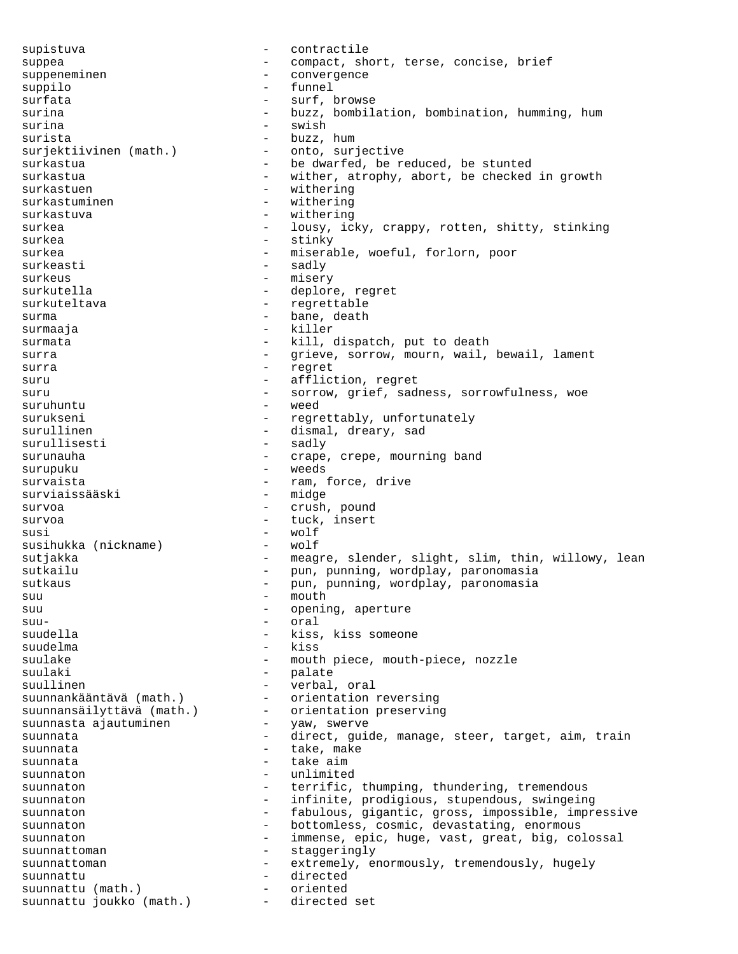supistuva entractile entractile suppea<br>suppea - compact, short, terse, concise, brief<br>convergence suppeneminen - convergence suppilo - funnel surfata - surf, browse surina  $-$  buzz, bombilation, bombination, humming, hum surina - swish surista - buzz, hum surjektiivinen (math.)<br>surkastua - be dwarfed, be reduced, be stunted surkastua - wither, atrophy, abort, be checked in growth surkastuen en mithering surkastuminen en andere vithering surkastuva - withering surkea - lousy, icky, crappy, rotten, shitty, stinking surkea - stinky surkea - miserable, woeful, forlorn, poor surkeasti - sadly<br>surkeus - miser surkeus - misery deplore, regret surkuteltava - regrettable surma - bane, death surmaaja - killer surmata  $\qquad \qquad - \qquad$  kill, dispatch, put to death surra en 1980 - grieve, sorrow, mourn, wail, bewail, lament surra en estado en el estado en el estado en el estado en el estado en el estado en el estado en el estado en e suru - affliction, regret suru - sorrow, grief, sadness, sorrowfulness, woe suruhuntu - weed surukseni  $-$  regrettably, unfortunately surullinen - dismal, dreary, sad<br>surullisesti - sadly - sadly surullisesti surunauha - crape, crepe, mourning band surupuku - weeds survaista - ram, force, drive surviaissääski survoa - crush, pound survoa - tuck, insert susi - wolf susihukka (nickname) - wolf sutjakka - meagre, slender, slight, slim, thin, willowy, lean sutkailu - pun, punning, wordplay, paronomasia<br>sutkaus - pun, punning, wordplay, paronomasia sutkaus - pun, punning, wordplay, paronomasia suu - mouth suu - opening, aperture<br>suusuu- - oral suudella - kiss, kiss someone suudelma - kiss suulake - mouth piece, mouth-piece, nozzle<br>suulaki - palate - palate suullinen<br>suunnankääntävä (math.) - verbal, oral<br>orientation reversing suunnankääntävä (math.) - orientation reversing suunnansäilyttävä (math.) - orientation preserving suunnasta ajautuminen - yaw, swerve suunnata - direct, guide, manage, steer, target, aim, train suunnata - take, make<br>suunnata - take, make suunnata - take aim suunnaton - unlimited<br>suunnaton - terrific suunnaton - terrific, thumping, thundering, tremendous suunnaton - infinite, prodigious, stupendous, swingeing suunnaton - fabulous, gigantic, gross, impossible, impressive suunnaton - bottomless, cosmic, devastating, enormous suunnaton and the summense, epic, huge, vast, great, big, colossal suunnattoman - staggeringly<br>suunnattoman - extremely.e suunnattoman extremely, enormously, tremendously, hugely<br>suunnattu directed suunnattu - directed suunnattu (math.) - oriented suunnattu joukko (math.) - directed set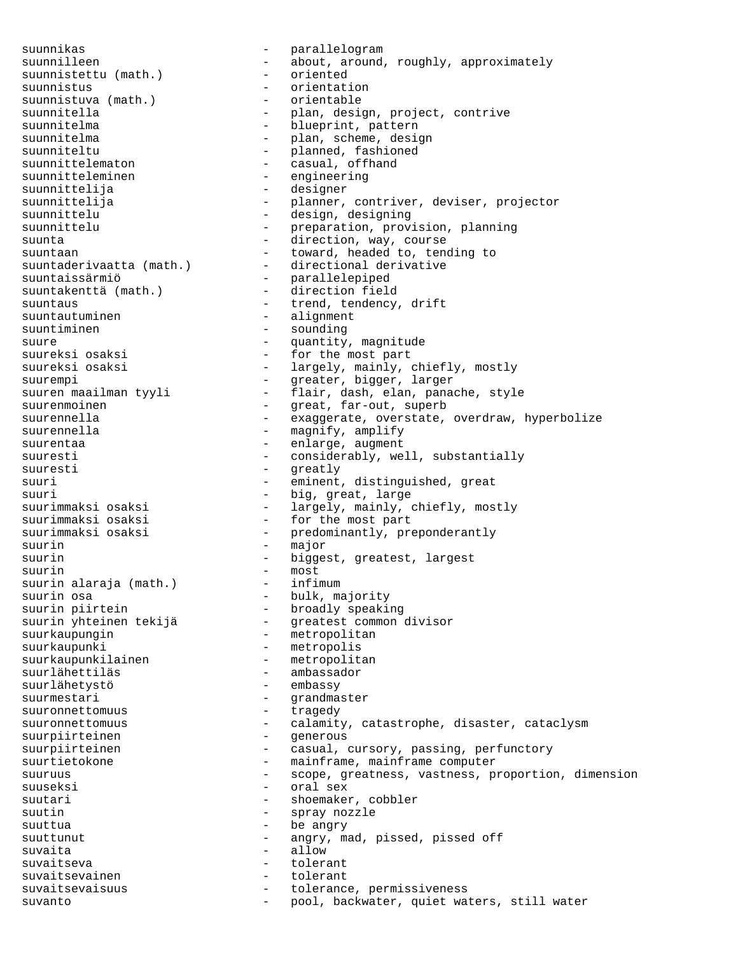suunnikas - parallelogram suunnistettu (math.) suunnistus - orientation suunnistuva (math.) suunnitelma - blueprint, pattern<br>suunnitelma - plan scheme desi suunnitelma - plan, scheme, design<br>suunniteltu suunnittelematon - casual, offhand suunnitteleminen engineering suunnittelija - designer suunnittelu - design, designing suunta - direction, way, course suuntaan - toward, headed to, tending to suuntaderivaatta (math.) - directional derivative suuntaissärmiö - parallelepiped suuntakenttä (math.) - direction field suuntaus - trend, tendency, drift suuntautuminen 1988 - Suuntautuminen valignment suuntiminen en metallisuuntiminen muutase sounding suure - quantity, magnitude suureksi osaksi - for the most part suurempi - greater, bigger, larger suuren maailman tyyli - flair, dash, elan, pana<br>suurenmoinen - great, far-out, superb suurennella - magnify, amplify suurentaa - enlarge, augment suuresti - greatly suuri - eminent, distinguished, great suuri - big, great, large suurimmaksi osaksi  $-$  predominantly, preponderantly suurin - major suurin - biggest, greatest, largest<br>suurin - most - most suurin - most suurin alaraja (math.) - infimum suurin alaraja (math.) - infimum<br>suurin osa bulk, majority<br>suurin piirtein broadly speaking suurin piirtein broadly speaking suurin yhteinen tekijä - greatest common divisor suurkaupungin - metropolitan suurkaupunki - metropolis suurkaupunkilainen - metropolitan suurlähettiläs - ambassador suurlähetystö - embassy suurmestari este suurmestari este suurmestari este suurmestari este suurmestari este suurmestari este suurmes suuronnettomuus - tragedy suurpiirteinen 1980 - generous suuseksi - oral sex suutari - shoemaker, cobbler suutin - spray nozzle suuttua - be angry suuttunut - angry, mad, pissed, pissed off suvaita - allow suvaitseva - tolerant suvaitsevainen 1980 - tolerant suvaitsevaisuus - tolerance, permissiveness suvanto e contracted the pool, backwater, quiet waters, still water

suunnilleen - about, around, roughly, approximately<br>suunnistettu (math.) - oriented suunnitella - plan, design, project, contrive - planned, fashioned suunnittelija - planner, contriver, deviser, projector suunnittelu - preparation, provision, planning suureksi osaksi - largely, mainly, chiefly, mostly suuren maailman tyyli - flair, dash, elan, panache, style suurennella - exaggerate, overstate, overdraw, hyperbolize suuresti - considerably, well, substantially suurimmaksi osaksi - largely, mainly, chiefly, mostly<br>suurimmaksi osaksi - for the most part - for the most part suuronnettomuus - calamity, catastrophe, disaster, cataclysm suurpiirteinen - casual, cursory, passing, perfunctory<br>suurtietokone - mainframe, mainframe computer - mainframe, mainframe computer suuruus - scope, greatness, vastness, proportion, dimension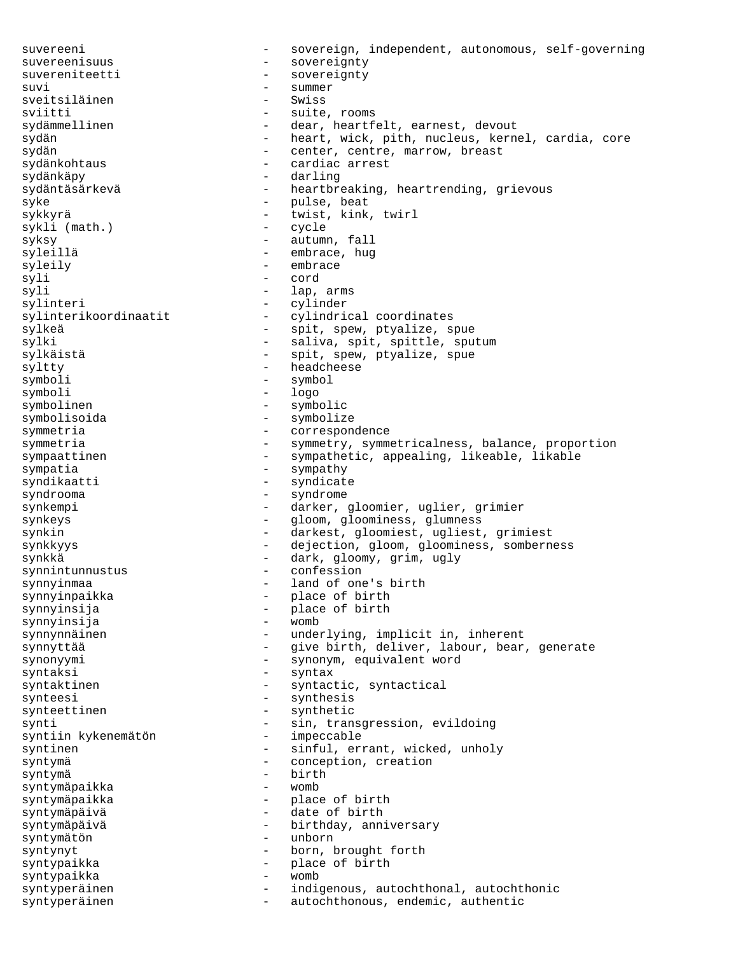suvereeni - sovereign, independent, autonomous, self-governing suvereenisuus - sovereignty suvereniteetti - sovereignty suvi - summer sveitsiläinen<br>sviitti sviitti - suite, rooms<br>sydämmellinen - - - - - - - - - - - - dear, heartf - dear, heartfelt, earnest, devout sydän - heart, wick, pith, nucleus, kernel, cardia, core sydän - center, centre, marrow, breast<br>sydänkohtaus - cardiac arrest - cardiac arrest sydänkäpy - darling - heartbreaking, heartrending, grievous syke <a>>
- pulse, beat sykkyrä - twist, kink, twirl  $s$ ykli (math.) syksy - autumn, fall syleillä - embrace, hug syleily - embrace syli - cord syli $\qquad \qquad -$  lap, arms<br>sylinteri - cylinder sylinteri<br>sylinterikoordinaatit - cylindrie - cylindrical coordinates sylkeä - spit, spew, ptyalize, spue sylki - saliva, spit, spittle, sputum sylkäistä - spit, spew, ptyalize, spue syltty - headcheese symboli - symbol symboli - logo symbolinen - symbolic symbolisoida - symbolize symmetria  $-$  correspondence symmetria - symmetry, symmetricalness, balance, proportion sympaattinen - sympathetic, appealing, likeable, likable sympatia - sympathy syndikaatti - syndicate syndrooma - syndrome synkempi - darker, gloomier, uglier, grimier synkeys - gloom, gloominess, glumness synkin - darkest, gloomiest, ugliest, grimiest synkkyys extending the dejection, gloom, gloominess, somberness synkkä<br>synnintunnustus - dark, gloomy, grim, ugly<br>- confession synnintunnustus - confession synnyinmaa - land of one's birth synnyinpaikka - place of birth synnyinsija - place of birth synnyinsija synnynnäinen 1988 - underlying, implicit in, inherent synnyttää - give birth, deliver, labour, bear, generate<br>synonyymi - synonym, equivalent word - synonym, equivalent word syntaksi - syntax syntaktinen - syntactic, syntactical synteesi - synthesis synteettinen - synthetic synti - sin, transgression, evildoing<br>syntiin kykenemätön - impeccable syntiin kykenemätön syntinen 1988 - Sinful, errant, wicked, unholy syntymä - conception, creation syntymä - birth syntymäpaikka<br>syntymäpaikka - place of birth syntymäpäivä - date of birth - birthday, anniversary<br>- unborn syntymätön syntynyt - born, brought forth syntypaikka - place of birth syntypaikka - womb syntyperäinen - indigenous, autochthonal, autochthonic<br>syntyperäinen - autochthonous endemic authentic syntyperäinen - - autochthonous, endemic, authentic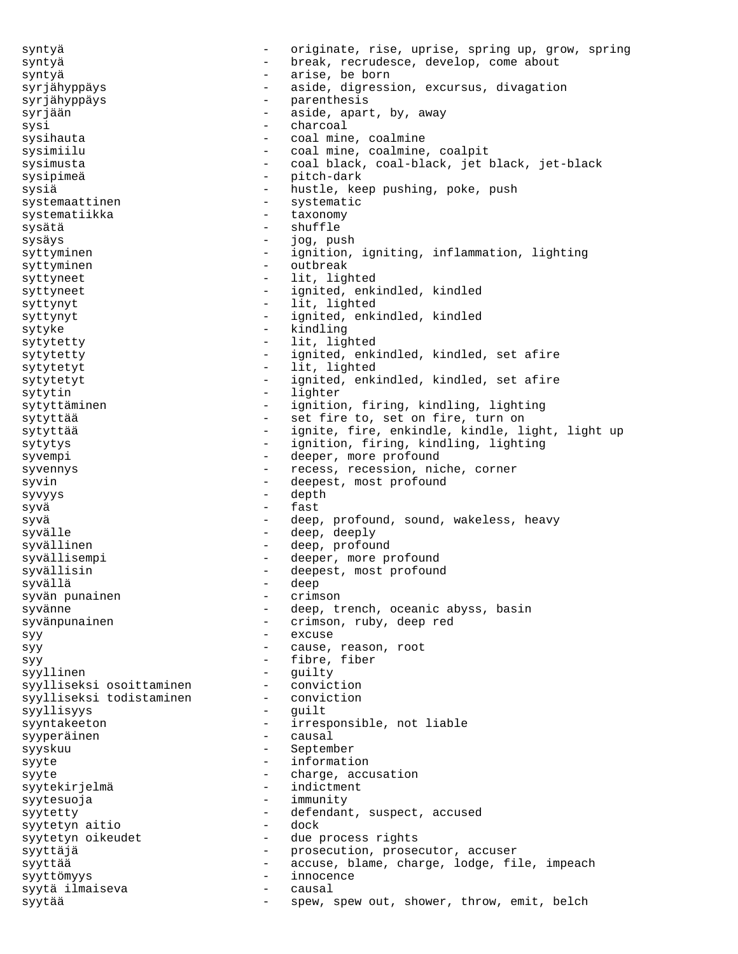syntyä - originate, rise, uprise, spring up, grow, spring syntyä - break, recrudesce, develop, come about syntyä - arise, be born syrjähyppäys - aside, digression, excursus, divagation syrjähyppäys - parenthesis syrjään - aside, apart, by, away sysi - charcoal sysihauta - coal mine, coalmine sysimiilu - coal mine, coalmine, coalpit sysimusta - coal black, coal-black, jet black, jet-black sysipimeä - pitch-dark sysiä - hustle, keep pushing, poke, push systemaattinen - systematic systematiikka - taxonomy sysätä - shuffle sysäys - jog, push syttyminen - ignition, igniting, inflammation, lighting syttyminen - outbreak<br>syttyneet - lit light syttyneet - lit, lighted syttyneet - ignited, enkindled, kindled syttynyt - lit, lighted syttynyt  $-$  ignited, enkindled, kindled sytyke - kindling sytytetty - lit, lighted sytytetty  $-$  ignited, enkindled, kindled, set afire sytytetyt - lit, lighted sytytetyt  $-$  ignited, enkindled, kindled, set afire sytytin - lighter sytyttäminen - ignition, firing, kindling, lighting sytyttää - set fire to, set on fire, turn on sytyttää - ignite, fire, enkindle, kindle, light, light up sytytys - ignition, firing, kindling, lighting syvempi - deeper, more profound syvennys <a>>
->
recess, recession, niche, corner</>
recess<br/>
recess, recession, niche, corner syvin - deepest, most profound syvyys - depth syvä - fast syvä - deep, profound, sound, wakeless, heavy syvälle - deep, deeply syvällinen en metallinen av en metallinen metallinen av en metallinen av en metallinen av en metallinen av en syvällisempi - deeper, more profound syvällisin - deepest, most profound<br>syvällä - deep syvällä - deep syvän punainen 1988 - Syvän punainen 1988 - Crimson syvänne en metalliser van deep, trench, oceanic abyss, basin syvänpunainen 1988 - Syvänpunainen 1988 - Crimson, ruby, deep red syy - excuse syy extended to the cause, reason, root syy - fibre, fiber syyllinen - guilty<br>syylliseksi osoittaminen - conviction syylliseksi osoittaminen - conviction syylliseksi todistaminen syyllisyys - guilt syyntakeeton - irresponsible, not liable syyperäinen - causal<br>syyskuu - causal - causal syyskuu - September syyte - information syyte - charge, accusation syytekirjelmä - indictment syytesuoja - immunity syytetty<br>syytetty aitio  $\begin{array}{ccc} - & \text{defendant, suspect, accused} \\ - & \text{dock} \end{array}$ syytetyn aitio<br>syytetyn oikeudet - due process rights syyttäjä - prosecution, prosecutor, accuser syyttää - accuse, blame, charge, lodge, file, impeach syyttömyys - innocence syytä ilmaiseva - causal syytää  $-$  spew, spew out, shower, throw, emit, belch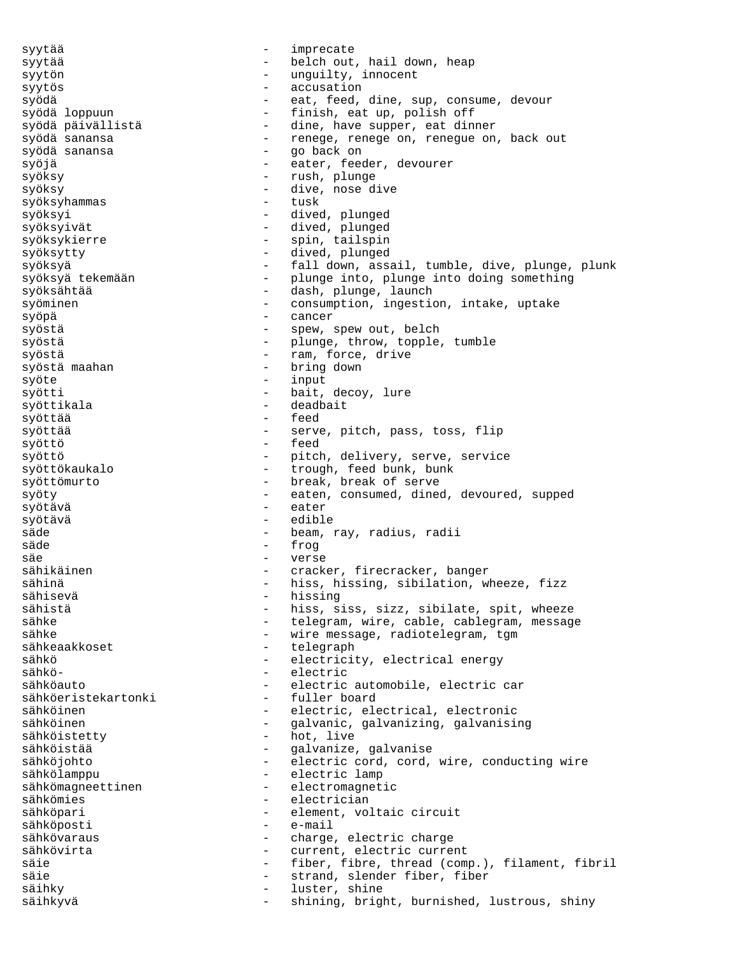syytää - imprecate syytää - belch out, hail down, heap syytön - unguilty, innocent syytös - accusation syödä - eat, feed, dine, sup, consume, devour<br>syödä loppuun - finish, eat up, polish off syödä loppuun - finish, eat up, polish off<br>syödä päivällistä - - - - - - - - dine, have supper, eat din syödä päivällistä - dine, have supper, eat dinner syödä sanansa - renege, renege on, renegue on, back out - go back on syöjä  $-$  eater, feeder, devourer syöksy - rush, plunge syöksy - dive, nose dive syöksyhammas syöksyi - dived, plunged syöksyivät - dived, plunged syöksykierre <br />
- spin, tailspin<br />
- spin, tailspin syöksytty - dived, plunged syöksyä - fall down, assail, tumble, dive, plunge, plunk<br>syöksyä tekemään - plunge into, plunge into doing something - plunge into, plunge into doing something syöksähtää - dash, plunge, launch syöminen - consumption, ingestion, intake, uptake syöpä - cancer syöstä - spew, spew out, belch syöstä - plunge, throw, topple, tumble syöstä - ram, force, drive syöstä maahan  $-$  bring down syöte - input syötti  $-$  bait, decoy, lure syöttikala - deadbait syöttää - feed syöttää - serve, pitch, pass, toss, flip<br>syöttö syöttö - feed syöttö - pitch, delivery, serve, service syöttökaukalo  $-$  trough, feed bunk, bunk syöttömurto  $-$  break, break of serve syöty - eaten, consumed, dined, devoured, supped syötävä - eater syötävä - edible säde - beam, ray, radius, radii säde - frog säe - verse sähikäinen 1988 - cracker, firecracker, banger sähinä - hiss, hissing, sibilation, wheeze, fizz sähisevä - hissing sähistä - hiss, siss, sizz, sibilate, spit, wheeze sähke - telegram, wire, cable, cablegram, message - wire message, radiotelegram, tgm sähkeaakkoset en musiikaakkoset on musiikaakkoset en musiikaakkoset musiikaakkoset musiikaakko musiikaakko musi sähkö - electricity, electrical energy<br>sähkö- - electric - electric sähköauto - electric automobile, electric car<br>sähköeristekartonki - fuller board sähköeristekartonki sähköinen - electric, electrical, electronic sähköinen 1988 van Salvanic, galvanizing, galvanising sähköistetty - hot, live sähköistää  $-$  galvanize, galvanise sähköjohto - electric cord, cord, wire, conducting wire sähkölamppu - electric lamp<br>sähkömagneettinen - electromagnet - electromagnetic sähkömies - electrician sähköpari - element, voltaic circuit sähköposti - e-mail sähkövaraus - charge, electric charge sähkövirta - current, electric current säie - fiber, fibre, thread (comp.), filament, fibril<br>säie - strand, slender fiber, fiber strand, slender fiber, fiber säihky - luster, shine säihkyvä - shining, bright, burnished, lustrous, shiny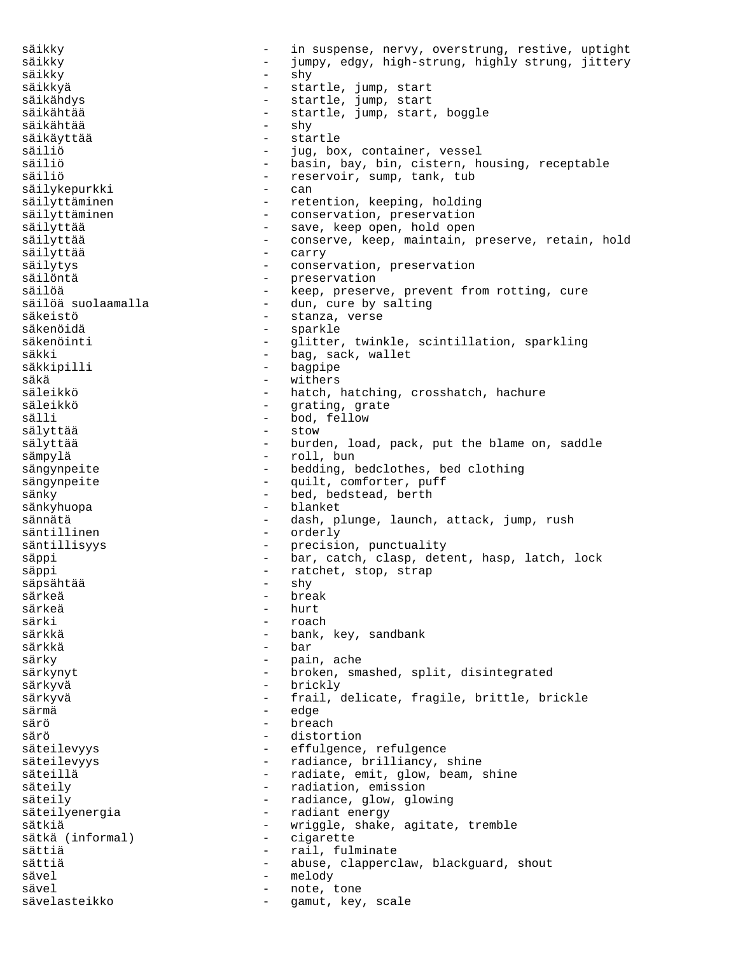säikky  $-$  in suspense, nervy, overstrung, restive, uptight säikky - jumpy, edgy, high-strung, highly strung, jittery säikky – shy säikkyä  $-$  startle, jump, start säikähdys - startle, jump, start säikähtää - startle, jump, start, boggle säikähtää - shy säikäyttää<br>säiliö säiliö - jug, box, container, vessel - basin, bay, bin, cistern, housing, receptable säiliö<br>
- reservoir, sump, tank, tub<br>
- can säilykepurkki - can säilyttäminen - retention, keeping, holding säilyttäminen 1988 - conservation, preservation säilyttää - save, keep open, hold open säilyttää  $-$  conserve, keep, maintain, preserve, retain, hold säilyttää - carry säilytys - conservation, preservation<br>säilöntä säilöntä - preservation säilöä<br>säilöä suolaamalla dun, cure by salting säilöä suolaamalla - dun, cure by salting<br>säkeistö - stanza, verse säkenöidä - sparkle säkenöinti 1988 - glitter, twinkle, scintillation, sparkling säkki - bag, sack, wallet<br>säkkipilli - baqpipe - baqpipe - bagpipe säkä - withers säleikkö - hatch, hatching, crosshatch, hachure<br>säleikkö - - grating, grate säleikkö - grating, grate - bod, fellow<br>- stow sälyttää - stow sälyttää - - burden, load, pack, put the blame on, saddle sämpylä - roll, bun sängynpeite - bedding, bedclothes, bed clothing sängynpeite - quilt, comforter, puff sänky - bed, bedstead, berth sänkyhuopa - blanket sännätä - dash, plunge, launch, attack, jump, rush säntillinen – orderly<br>säntillisvys – orderly säntillisyys  $\qquad \qquad$  - precision, punctuality säppi - bar, catch, clasp, detent, hasp, latch, lock<br>säppi - ratchet, stop, strap - ratchet, stop, strap säpsähtää - shy särkeä - break - break<br>särkeä - burt - burt särkeä - hurt särki - roach särkkä - bank, key, sandbank särkkä – bar<br>särkv – nail särky  $-$  pain, ache särkynyt en magnetische voltogen, smashed, split, disintegrated särkyvä - brickly särkyvä - frail, delicate, fragile, brittle, brickle - edge särö - breach särö - distortion effulgence, refulgence säteilevyys entimelevant value on the radiance, brilliancy, shine säteillä  $-$  radiate, emit, glow, beam, shine säteily  $-$  radiation, emission säteily  $-$  radiance, glow, glowing säteilyenergia - radiant energy<br>sätkiä - wriggle, shake sätkiä - wriggle, shake, agitate, tremble - cigarette sättiä - rail, fulminate sättiä - abuse, clapperclaw, blackguard, shout - abuse, clapperclaw, blackguard, shout sävel - melody sävel en mote, tone sävelasteikko - gamut, key, scale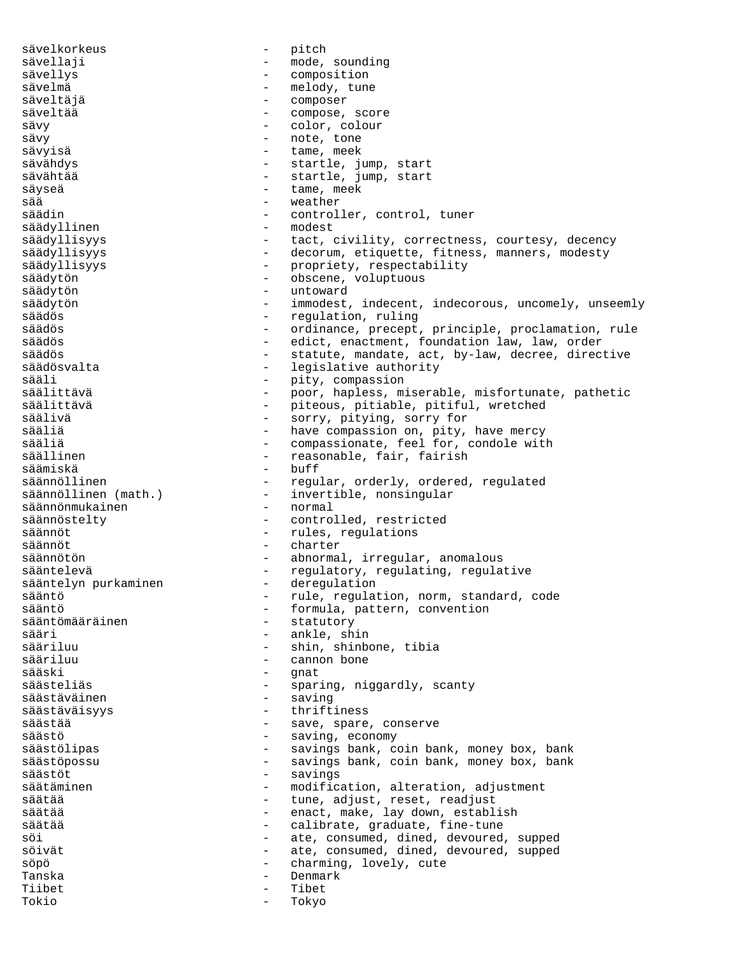sävelkorkeus - pitch sävellaji - mode, sounding sävellys - composition sävelmä - melody, tune säveltäjä - composer säveltää  $-$  compose, score sävy - color, colour sävy - note, tone sävyisä - tame, meek sävähdys - startle, jump, start - startle, jump, start säyseä  $-$  tame, meek sää - weather säädin - controller, control, tuner<br>säädvllinen - - - - - - - - - modest säädyllinen - modest säädyllisyys and tact, civility, correctness, courtesy, decency säädyllisyys <br />
- decorum, etiquette, fitness, manners, modesty säädyllisyys - propriety, respectability obscene, voluptuous säädytön - untoward säädytön - immodest, indecent, indecorous, uncomely, unseemly - regulation, ruling säädös - ordinance, precept, principle, proclamation, rule säädös - edict, enactment, foundation law, law, order säädös 1988 - statute, mandate, act, by-law, decree, directive säädösvalta  $-$  legislative authority sääli - pity, compassion säälittävä - poor, hapless, miserable, misfortunate, pathetic<br>säälittävä - niteous pitiable pitiful wretched säälittävä - piteous, pitiable, pitiful, wretched säälivä - sorry, pitying, sorry for sääliä - have compassion on, pity, have mercy sääliä - compassionate, feel for, condole with säällinen - reasonable, fair, fairish<br>säämiskä - - - - buff - buff säännöllinen - regular, orderly, ordered, regulated säännön (math.)<br>1988 - inormal säännönmukainen<br>säännösteltv - controlled, restricted säännöt 1988 – Fules, regulations säännöt - charter säännötön  $-$  abnormal, irregular, anomalous sääntelevä<br>sääntelyn purkaminen deregulation<br>- deregulation sääntelyn purkaminen<br>sääntö sääntö - rule, regulation, norm, standard, code sääntö - formula, pattern, convention sääntömääräinen - statutory sääri - ankle, shin sääriluu - shin, shinbone, tibia<br>sääriluu - sääriluu - shinbone - cannon bone<br>- canat sääski – gnat säästeliäs - sparing, niggardly, scanty säästäväinen 1980 - saving säästäväisyys - thriftiness säästää - save, spare, conserve säästö - saving, economy - savings bank, coin bank, money box, bank säästöpossu - savings bank, coin bank, money box, bank säästöt - savings säätäminen - modification, alteration, adjustment säätää - tune, adjust, reset, readjust - enact, make, lay down, establish säätää - calibrate, graduate, fine-tune söi - ate, consumed, dined, devoured, supped söivät - ate, consumed, dined, devoured, supped söpö - charming, lovely, cute - Denmark Tiibet - Tibet Tokio - Tokyo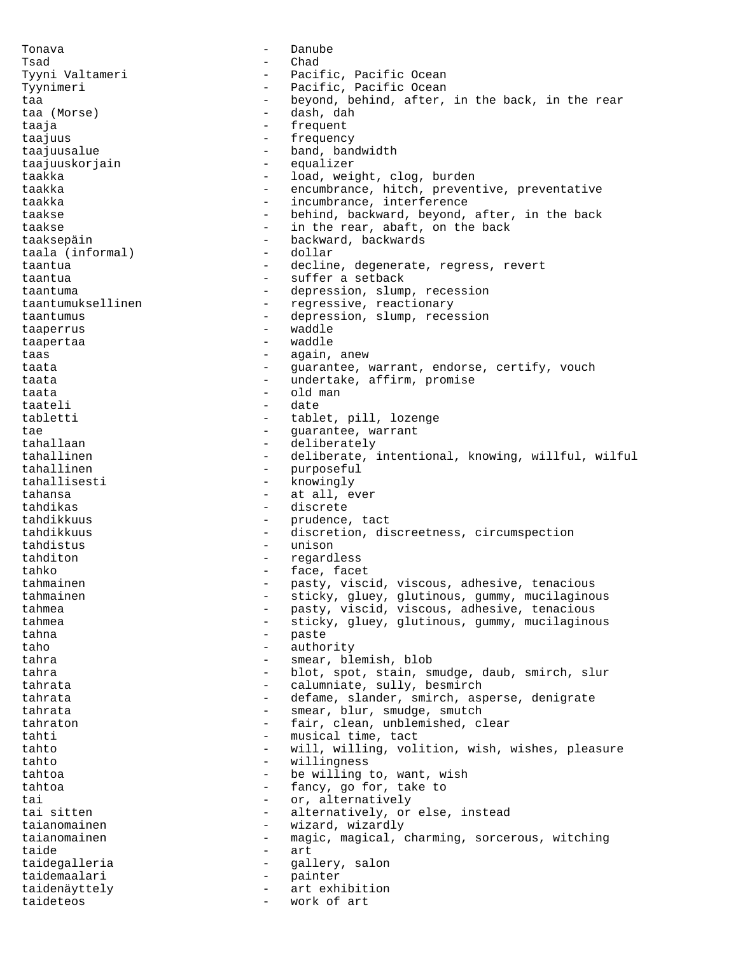Tonava - Danube Tsad - Chad Tyyni Valtameri - - Pacific, Pacific Ocean Tyynimeri - Pacific, Pacific Ocean taa  $-$  beyond, behind, after, in the back, in the rear taa (Morse) - dash, dah<br>taaja - frequent taaja - frequent taajuus - frequency taajuusalue - band, bandwidth<br>taajuuskoriain - equalizer taajuuskorjain - equalizer<br>taakka - load wei - load, weight, clog, burden taakka - encumbrance, hitch, preventive, preventative taakka - incumbrance, interference taakse - behind, backward, beyond, after, in the back<br>taakse - in the rear, abaft, on the back taakse  $\qquad \qquad \qquad -$  in the rear, abaft, on the back taaksepäin - backward, backwards<br>taala (informal) - dellar taala (informal) - dollar taantua - decline, degenerate, regress, revert taantua - suffer a setback taantuma - depression, slump, recession taantumuksellinen - regressive, reactionary taantumus - depression, slump, recession taaperrus - waddle taapertaa - waddle taas  $-$  again, anew taata - Guarantee, warrant, endorse, certify, vouch taata - undertake, affirm, promise taata - old man taateli - date tabletti - tablet, pill, lozenge<br>tae - quarantee warrant tae  $\qquad \qquad -$  guarantee, warrant tahallaan - deliberately<br>tahallinen - deliberate. tahallinen - deliberate, intentional, knowing, willful, wilful<br>tahallinen - purposeful tahallinen - purposeful - knowingly tahansa  $-$  at all, ever tahdikas - discrete tahdikkuus - prudence, tact tahdikkuus - discretion, discreetness, circumspection tahdistus - unison tahditon - regardless tahko  $-$  face, facet tahmainen - pasty, viscid, viscous, adhesive, tenacious tahmainen - sticky, gluey, glutinous, gummy, mucilaginous tahmea - pasty, viscid, viscous, adhesive, tenacious<br>tahmea - sticky cluey clutinous cummy mucilagino tahmea  $-$  sticky, gluey, glutinous, gummy, mucilaginous tahna - paste<br>taho - paste taho  $-$  authority tahra - smear, blemish, blob tahra - blot, spot, stain, smudge, daub, smirch, slur tahrata - calumniate, sully, besmirch tahrata - defame, slander, smirch, asperse, denigrate tahrata - smear, blur, smudge, smutch tahraton - fair, clean, unblemished, clear tahti  $-$  musical time, tact tahto  $-$  will, willing, volition, wish, wishes, pleasure tahto - willingness tahtoa  $-$  be willing to, want, wish tahtoa - fancy, go for, take to tai  $-$  or, alternatively tai sitten  $-$  alternatively, or else, instead taianomainen - wizard, wizardly taianomainen 1988 - magic, magical, charming, sorcerous, witching taide - art taidegalleria - gallery, salon taidemaalari - painter taidenäyttely - art exhibition taideteos - work of art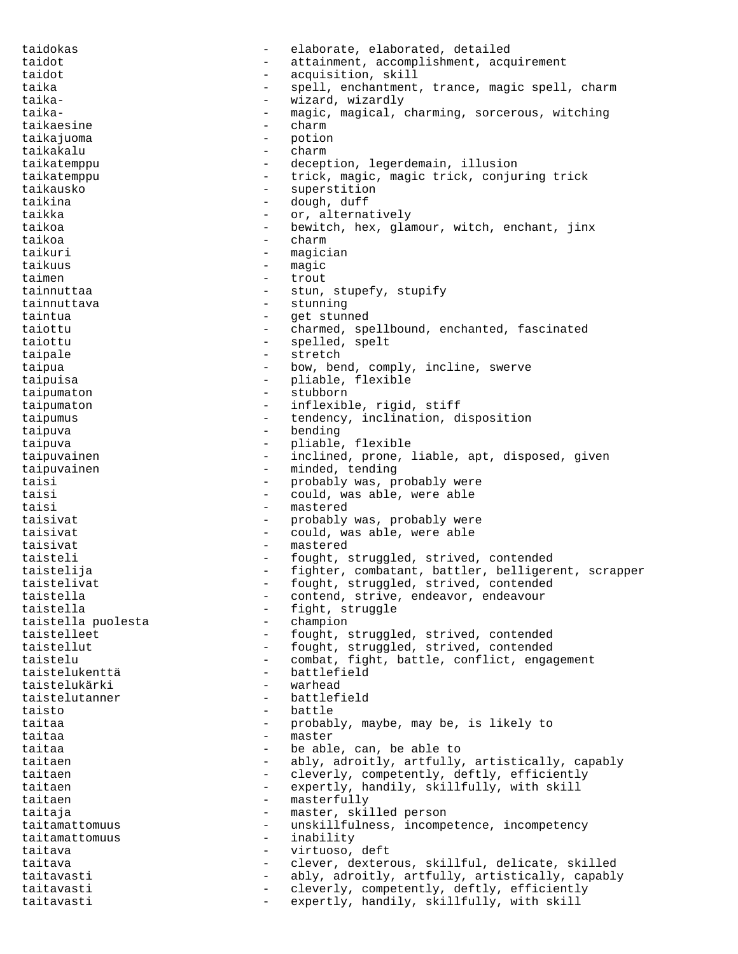taidokas - elaborate, elaborated, detailed taidot  $-$  attainment, accomplishment, acquirement taidot  $\qquad \qquad -$  acquisition, skill taika - spell, enchantment, trance, magic spell, charm taika- - wizard, wizardly taika-  $\qquad \qquad \qquad -$  magic, magical, charming, sorcerous, witching taikaesine - charm taikajuoma - potion taikakalu - charm taikatemppu - deception, legerdemain, illusion taikatemppu - trick, magic, magic trick, conjuring trick taikausko - superstition taikina - dough, duff taikka  $\qquad \qquad -$  or, alternatively taikoa - bewitch, hex, glamour, witch, enchant, jinx taikoa - charm taikuri - magician taikuus – magic<br>taimen – trout – trout taimen - trout tainnuttaa  $-$  stun, stupefy, stupify tainnuttava - stunning taintua - get stunned taiottu - charmed, spellbound, enchanted, fascinated taiottu - spelled, spelt taipale - stretch taipua - bow, bend, comply, incline, swerve taipuisa - pliable, flexible<br>taipumaton - stubborn taipumaton - stubborn taipumaton - inflexible, rigid, stiff taipumus - tendency, inclination, disposition<br>taipuwa - hending taipuva - bending taipuva - pliable, flexible taipuvainen - inclined, prone, liable, apt, disposed, given taipuvainen 1988 - Monte et al. endingen auch auch auch auch en an en an en an en an en an en an en an en an e taisi - probably was, probably were taisi - could, was able, were able taisi - mastered taisivat  $-$  probably was, probably were taisivat  $\qquad \qquad - \qquad \qquad \text{could, was able, were able}$ taisivat - mastered<br>taisteli - fought taisteli - fought, struggled, strived, contended taistelija  $-$  fighter, combatant, battler, belligerent, scrapper taistelivat - fought, struggled, strived, contended taistella - contend, strive, endeavor, endeavour<br>taistella - fight, struggle taistella  $-$  fight, struggle<br>taistella puolesta  $-$  champion taistella puolesta - champion taistelleet - fought, struggled, strived, contended taistellut - fought, struggled, strived, contended<br>taistelu - combat, fight, battle, conflict, enga - combat, fight, battle, conflict, engagement taistelukenttä - battlefield taistelukärki - warhead taistelutanner - battlefield taisto - battle taitaa - probably, maybe, may be, is likely to taitaa - master taitaa - be able, can, be able to taitaen - ably, adroitly, artfully, artistically, capably taitaen  $-$  cleverly, competently, deftly, efficiently taitaen - expertly, handily, skillfully, with skill taitaen  $-$  masterfully taitaja - master, skilled person taitamattomuus - unskillfulness, incompetence, incompetency taitamattomuus - inability taitava - virtuoso, deft taitava - clever, dexterous, skillful, delicate, skilled<br>taitavasti - ably adroitly artfully artistically canably taitavasti - ably, adroitly, artfully, artistically, capably taitavasti  $-$  cleverly, competently, deftly, efficiently taitavasti  $-$  expertly, handily, skillfully, with skill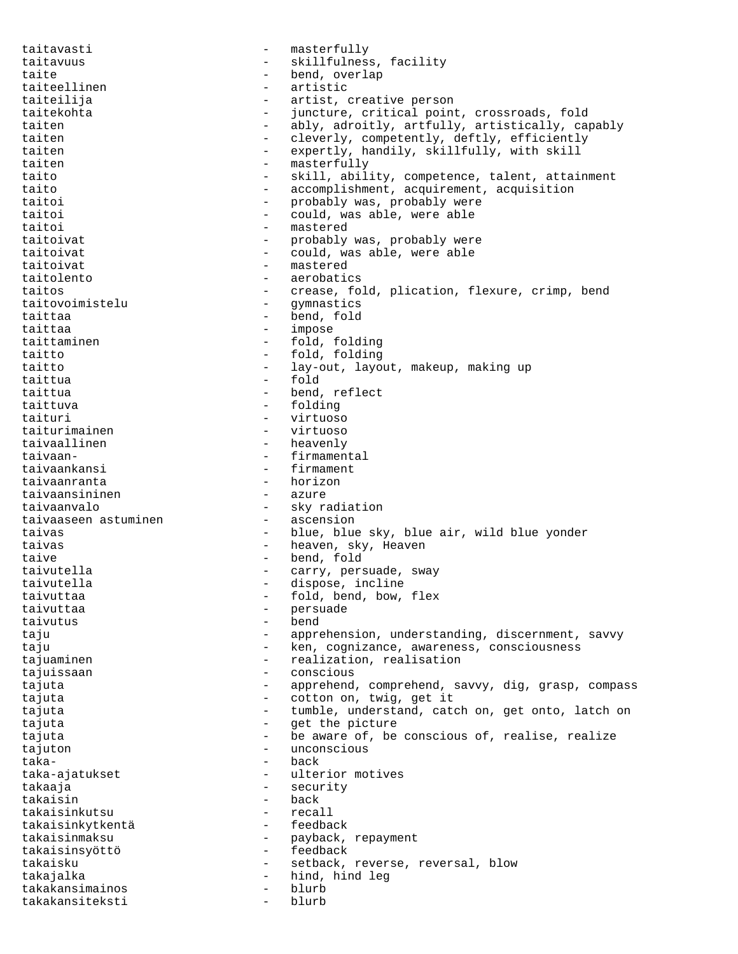taitavasti - masterfully taitavuus - skillfulness, facility taite  $-$  bend, overlap taiteellinen - artistic taiteilija - artist, creative person taitekohta - juncture, critical point, crossroads, fold taiten - ably, adroitly, artfully, artistically, capably taiten  $-$  cleverly, competently, deftly, efficiently taiten - expertly, handily, skillfully, with skill taiten  $-$  masterfully taito  $-$  skill, ability, competence, talent, attainment taito - accomplishment, acquirement, acquisition taitoi - probably was, probably were taitoi - could, was able, were able taitoi - mastered<br>taitoivat - mohahlv taitoivat - probably was, probably were<br>taitoivat - could was able were able taitoivat - could, was able, were able taitoivat - mastered taitolento - aerobatics taitos - crease, fold, plication, flexure, crimp, bend<br>taitovoimistelu - qymnastics taitovoimistelu - gymnastics - bend, fold taittaa - impose taittaminen - fold, folding taitto - fold, folding taitto - lay-out, layout, makeup, making up taittua - fold taittua - bend, reflect taittuva - folding taituri - virtuoso<br>taiturimainen - virtuoso taiturimainen - virtuoso taivaallinen - heavenly taivaan- - firmamental - firmament taivaanranta - horizon - horizon<br>taivaansininen - azure taivaansininen taivaanvalo - sky radiation taivaaseen astuminen taivas **1988** - blue, blue sky, blue air, wild blue yonder taivas  $-$  heaven, sky, Heaven taive - bend, fold<br>taivutella - carry part taivutella  $-$  carry, persuade, sway taivutella  $-$  dispose, incline taivuttaa  $\qquad \qquad -$  fold, bend, bow, flex taivuttaa - persuade taivutus taju - apprehension, understanding, discernment, savvy taju - ken, cognizance, awareness, consciousness tajuaminen en elitation, realization, realisation tajuissaan - conscious tajuta - apprehend, comprehend, savvy, dig, grasp, compass<br>tajuta - cotton on twig, get it tajuta  $-$  cotton on, twig, get it tajuta - tumble, understand, catch on, get onto, latch on<br>tajuta - qet the picture tajuta  $\qquad \qquad -$  get the picture tajuta entirely noticely the aware of, be conscious of, realise, realize tajuton - unconscious taka- - back taka-ajatukset - ulterior motives takaaja - security<br>takaisin - back - back takaisin - back takaisinkutsu - recall takaisinkytkentä takaisinmaksu - payback, repayment takaisinsyöttö - feedback takaisku - setback, reverse, reversal, blow takajalka - hind, hind leg<br>takakansimainos - hind, hind leg takakansimainos takakansiteksti - blurb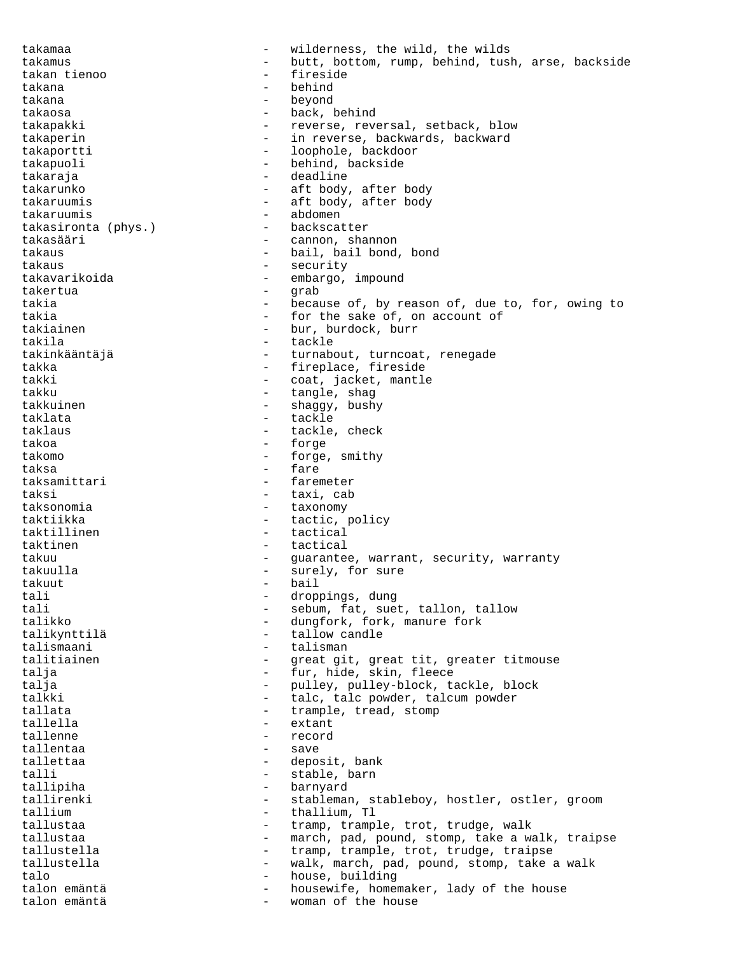takamaa - wilderness, the wild, the wilds takamus - butt, bottom, rump, behind, tush, arse, backside takan tienoo - fireside takana - behind takana - beyond takaosa - back, behind takapakki - reverse, reversal, setback, blow takaperin - in reverse, backwards, backward takaportti - loophole, backdoor takapuoli - behind, backside takaraja - deadline takarunko - aft body, after body takaruumis - aft body, after body takaruumis - abdomen takasironta ( $phys.$ ) takasääri 1989 valmistakassa valmistakassa valmistakse valmistakse valmistakse valmistakse valmistakse valmist takaus - bail, bail bond, bond takaus - security takavarikoida - embargo, impound<br>takertua - erab - embargo, impound takertua<br>takia takia  $-$  because of, by reason of, due to, for, owing to<br>takia - for the sake of, on account of takiainen - bur, burdock, burr takila - tackle - turnabout, turncoat, renegade takka  $-$  fireplace, fireside takki - coat, jacket, mantle takku - tangle, shag takkuinen 1988 - Shaggy, bushy taklata - tackle<br>taklaus - tackle taklaus - tackle, check<br>takoa - target - tackle, check takoa - forge takomo - forge, smithy taksa - fare taksamittari - faremeter taksi - taxi, cab taksonomia - taxonomy taktiikka  $-$  tactic, policy taktillinen - tactical taktinen - tactical takuu - guarantee, warrant, security, warranty takuulla - surely, for sure<br>
takuut - hail takuut - bail tali - droppings, dung tali - sebum, fat, suet, tallon, tallow<br>talikko - - - - - - - - - - - - dungfork, fork, manure fork talikko - dungfork, fork, manure fork<br>talikynttilä - - tallow candle - tallow candle talismaani - talisman talitiainen - great git, great tit, greater titmouse talja - fur, hide, skin, fleece talja - pulley, pulley-block, tackle, block talkki - talc, talc powder, talcum powder tallata  $\qquad \qquad \qquad - \qquad \qquad \text{trample, trend, stomp}$ tallella - extant tallenne - record tallentaa - save tallettaa - deposit, bank talli - stable, barn<br>tallipiha - stable, barnyard - barnyard tallirenki - stableman, stableboy, hostler, ostler, groom tallium - thallium, Tl<br>tallustaa - tramp tramp - tramp, trample, trot, trudge, walk tallustaa - march, pad, pound, stomp, take a walk, traipse tallustella - tramp, trample, trot, trudge, traipse<br>tallustella - - walk march pad pound stomp take a tallustella  $-$  walk, march, pad, pound, stomp, take a walk talo  $\qquad \qquad -$  house, building talon emäntä  $-$  housewife, homemaker, lady of the house talon emäntä  $\qquad \qquad -$  woman of the house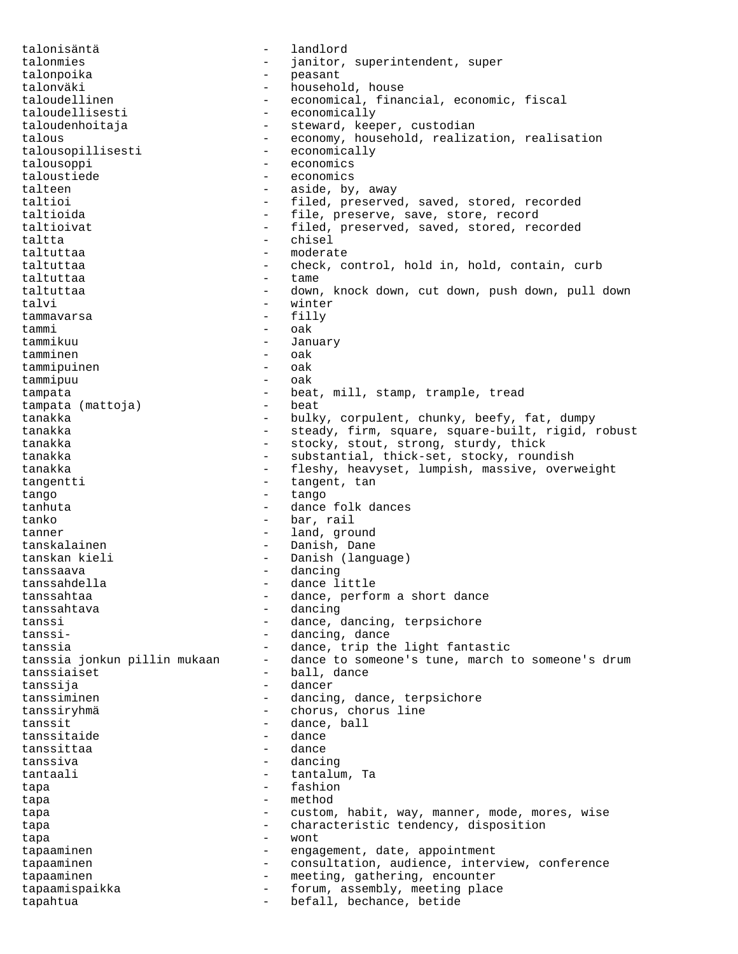talonisäntä - landlord talonmies - janitor, superintendent, super talonpoika - peasant talonväki - household, house taloudellinen - economical, financial, economic, fiscal taloudellisesti - economically taloudenhoitaja - steward, keeper, custodian talous Theorem Common Common Common Common Common Common Common Common Common Common Common Common Common Common Common Common Common Common Common Common Common Common Common Common Common Common Common Common Common Comm - economically talousoppi - economics taloustiede - economics talteen - aside, by, away taltioi - filed, preserved, saved, stored, recorded taltioida - file, preserve, save, store, record taltioivat **come contrary to the extended** - filed, preserved, saved, stored, recorded taltta - chisel taltuttaa - moderate check, control, hold in, hold, contain, curb taltuttaa - tame taltuttaa - - down, knock down, cut down, push down, pull down talvi - winter tammavarsa - filly tammi - oak<br>tammikuu - Januar tammikuu - January<br>tamminen - Oak tamminen - oak<br>tammipuinen - oak tammipuinen tammipuu - oak tampata - beat, mill, stamp, trample, tread<br>tampata (mattoja) - beat - beat tampata (mattoja) tanakka - bulky, corpulent, chunky, beefy, fat, dumpy tanakka **1988** - steady, firm, square, square-built, rigid, robust tanakka - stocky, stout, strong, sturdy, thick tanakka - substantial, thick-set, stocky, roundish tanakka - fleshy, heavyset, lumpish, massive, overweight tangentti - tangent, tan tango - tango tanhuta - dance folk dances tanko - bar, rail tanner - land, ground tanskalainen - Danish, Dane tanskan kieli - - Danish (language) tanssaava - dancing tanssahdella - dance little tanssahtaa - dance, perform a short dance tanssahtava - dancing tanssi - dance, dancing, terpsichore<br>tanssi- - dancing, dance - dancing, dance tanssia - dance, trip the light fantastic tanssia jonkun pillin mukaan - dance to someone's tune, march to someone's drum tanssiaiset  $-$  ball, dance tanssija - dancer tanssiminen and the set of the dancing, dance, terpsichore tanssiryhmä - chorus, chorus line tanssit - dance, ball tanssitaide - dance tanssittaa - dance - dance - dance - dance - dance - dance - dance - dance - dance - dance - dance - dance - d tanssiva - dancing<br>tantaali - tantalu tantaali  $-$  tantalum, Ta tapa - fashion tapa - method tapa - custom, habit, way, manner, mode, mores, wise tapa - characteristic tendency, disposition<br>
- wont tapa - wont tapaaminen engagement, date, appointment tapaaminen - consultation, audience, interview, conference tapaaminen - meeting, gathering, encounter tapaamispaikka - forum, assembly, meeting place<br>tapahtua - forum, assembly, meeting place tapahtua - befall, bechance, betide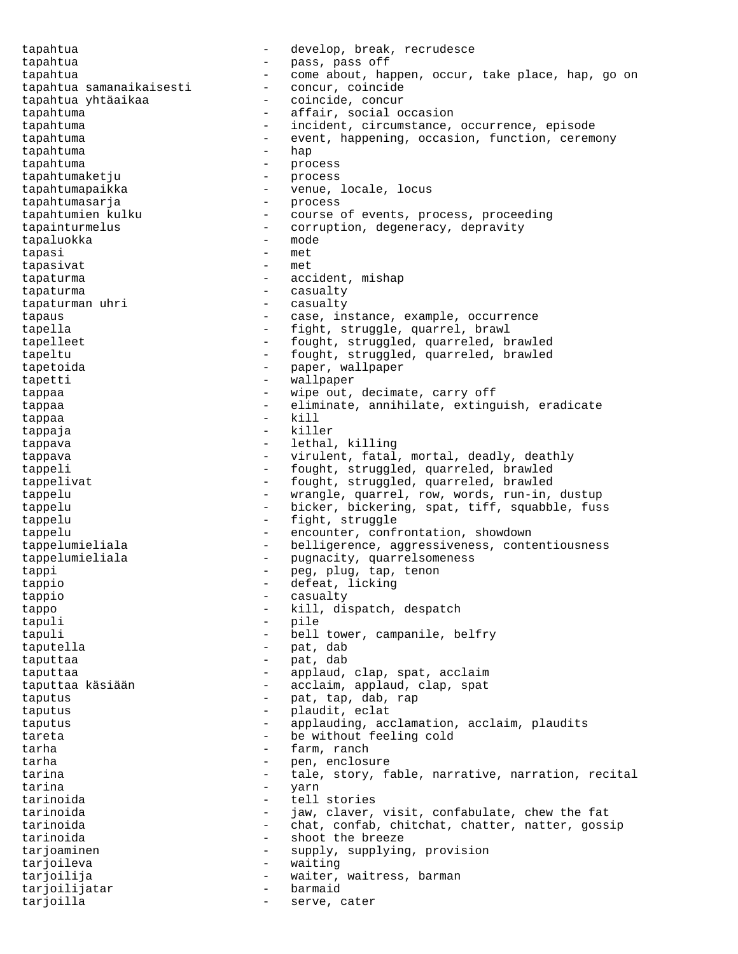tapahtua - develop, break, recrudesce tapahtua - pass, pass off tapahtua - come about, happen, occur, take place, hap, go on tapahtua samanaikaisesti - concur, coincide tapahtua samanaikaisesti - concur, coincide tapahtua yhtäaikaa tapahtuma - affair, social occasion tapahtuma - incident, circumstance, occurrence, episode tapahtuma - event, happening, occasion, function, ceremony<br>tapahtuma - hap<br>- hap tapahtuma tapahtuma - process tapahtumaketju - process tapahtumapaikka 1000<br>1990 - venue, locus<br>1990 - venue, locus tapahtumasarja tapahtumien kulku  $-$  course of events, process, proceeding tapainturmelus - corruption, degeneracy, depravity<br>tapaluokka tapaluokka - mode tapasi - met<br>tapasivat - met - met tapasivat - metambalan - metambalan - metambalan - metambalan - metambalan - metambalan - metambalan - metamba<br>Tanah - metambalan - metambalan - metambalan - metambalan - metambalan - metambalan - metambalan - metambalan tapaturma - accident, mishap tapaturma - casualty<br>tapaturman uhri - casualty - casualty tapaturman uhri tapaus external case, instance, example, occurrence tapella - fight, struggle, quarrel, brawl<br>tapelleet - fought, struggled, quarreled, b - fought, struggled, quarreled, brawled tapeltu - fought, struggled, quarreled, brawled tapetoida - paper, wallpaper tapetti - wallpaper tappaa - wipe out, decimate, carry off tappaa - eliminate, annihilate, extinguish, eradicate<br>tappaa - kill - kill tappaa - kill tappaja tappava - lethal, killing tappava - virulent, fatal, mortal, deadly, deathly tappeli - fought, struggled, quarreled, brawled tappelivat - fought, struggled, quarreled, brawled tappelu - wrangle, quarrel, row, words, run-in, dustup tappelu - bicker, bickering, spat, tiff, squabble, fuss tappelu - fight, struggle tappelu - encounter, confrontation, showdown tappelumieliala - belligerence, aggressiveness, contentiousness tappelumieliala - pugnacity, quarrelsomeness<br>tappi - peg.phug.tap.tenon tappi - peg, plug, tap, tenon<br>tappi - defeat licking tappio - defeat, licking<br>tappio - casualty tappio - casualty tappo - kill, dispatch, despatch<br>tapuli - pile - pile tapuli tapuli - bell tower, campanile, belfry taputella  $-$  pat, dab taputtaa - pat, dab taputtaa - applaud, clap, spat, acclaim taputtaa käsiään - acclaim, applaud, clap, spat taputus - pat, tap, dab, rap<br>taputus - pat, tap, dab, rap<br>- plaudit. eclat taputus - plaudit, eclat taputus - applauding, acclamation, acclaim, plaudits tareta  $-$  be without feeling cold tarha - farm, ranch<br>tarha - farm, ranch tarha - pen, enclosure<br>tarina - tale story fi tarina  $\begin{array}{ccc} - & \text{tale, story, fable, narrative, narration, recital} \\ - & \text{vann} \end{array}$ tarina - yarn tarinoida - tell stories tarinoida - jaw, claver, visit, confabulate, chew the fat tarinoida - chat, confab, chitchat, chatter, natter, gossip tarinoida - shoot the breeze tarjoaminen - supply, supplying, provision<br>tarjoileva - waiting tarjoileva - waiting tarjoilija - waiter, waitress, barman<br>tarjoilijatar - - barmaid tarjoilijatar tarjoilla  $-$  serve, cater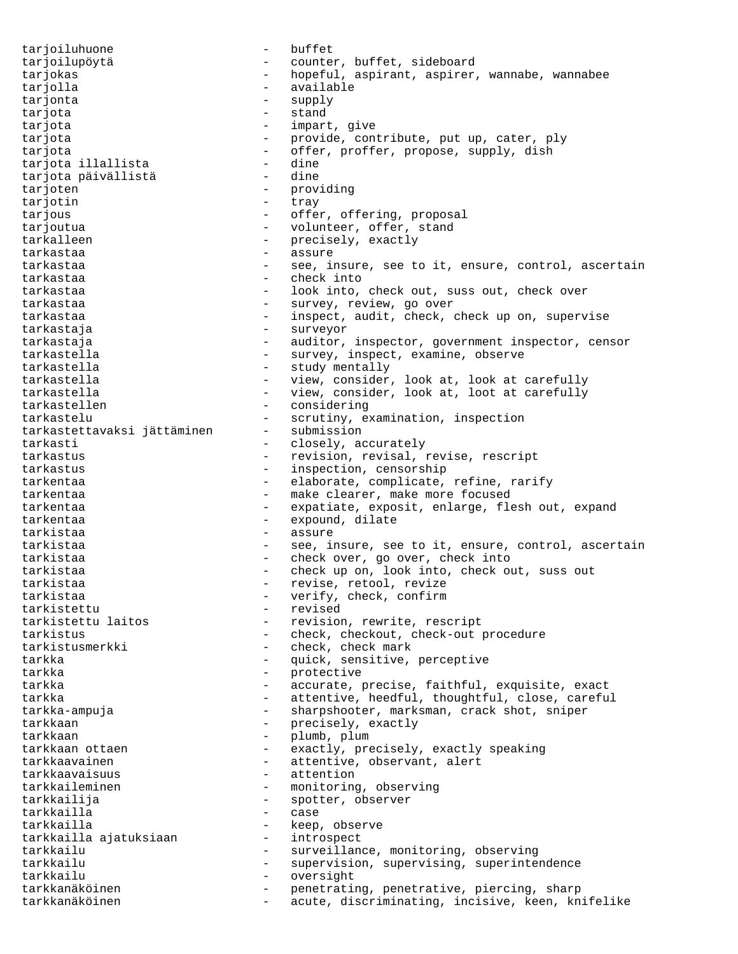tarjoiluhuone - buffet tarjoilupöytä - counter, buffet, sideboard tarjokas **1988** - hopeful, aspirant, aspirer, wannabe, wannabee tarjolla - available tarjonta - supply tarjota - stand - impart, give tarjota  $-$  provide, contribute, put up, cater, ply<br>tarjota  $-$  offer proffer propose supply dish tarjota - offer, proffer, propose, supply, dish tarjota illallista - dine tarjota päivällistä tarjoten - providing tarjotin - tray tarjous **-** offer, offering, proposal tarjoutua  $\qquad \qquad -$  volunteer, offer, stand tarkalleen - precisely, exactly<br>tarkastaa tarkastaa - assure - assure tarkastaa - see, insure, see to it, ensure, control, ascertain tarkastaa - check into tarkastaa - look into, check out, suss out, check over tarkastaa - survey, review, go over tarkastaa - inspect, audit, check, check up on, supervise tarkastaja - surveyor tarkastaja - auditor, inspector, government inspector, censor tarkastella - survey, inspect, examine, observe tarkastella - study mentally<br>tarkastella - view consider tarkastella - view, consider, look at, look at carefully<br>tarkastella - view, consider, look at, loot at carefully tarkastella  $-$  view, consider, look at, loot at carefully tarkastellen - considering tarkastelu - scrutiny, examination, inspection<br>tarkastettavaksi jättäminen - submission tarkastettavaksi jättäminen –<br>tarkasti tarkasti  $\qquad \qquad -$  closely, accurately tarkastus - revision, revisal, revise, rescript tarkastus - inspection, censorship tarkentaa - elaborate, complicate, refine, rarify tarkentaa - make clearer, make more focused tarkentaa - expatiate, exposit, enlarge, flesh out, expand tarkentaa  $-$  expound, dilate tarkistaa - assure tarkistaa - see, insure, see to it, ensure, control, ascertain tarkistaa - check over, go over, check into tarkistaa - check up on, look into, check out, suss out tarkistaa - revise, retool, revize<br>tarkistaa - revise, retool, revize tarkistaa - verify, check, confirm tarkistettu - revised - revision, rewrite, rescript tarkistus - check, checkout, check-out procedure<br>tarkistusmerkki - check, check mark - check, check mark tarkka - quick, sensitive, perceptive tarkka - protective tarkka - accurate, precise, faithful, exquisite, exact tarkka - attentive, heedful, thoughtful, close, careful tarkka-ampuja - sharpshooter, marksman, crack shot, sniper tarkkaan - precisely, exactly tarkkaan - plumb, plum exactly, precisely, exactly speaking tarkkaavainen - attentive, observant, alert tarkkaavaisuus - attention tarkkaileminen - monitoring, observing tarkkailija - spotter, observer tarkkailla - case tarkkailla - keep, observe tarkkailla ajatuksiaan tarkkailu - surveillance, monitoring, observing tarkkailu - supervision, supervising, superintendence tarkkailu - oversight<br>tarkkanäköinen - oversight - oversight tarkkanäköinen - penetrating, penetrative, piercing, sharp<br>tarkkanäköinen - acute discriminating incisive keen kn tarkkanäköinen - acute, discriminating, incisive, keen, knifelike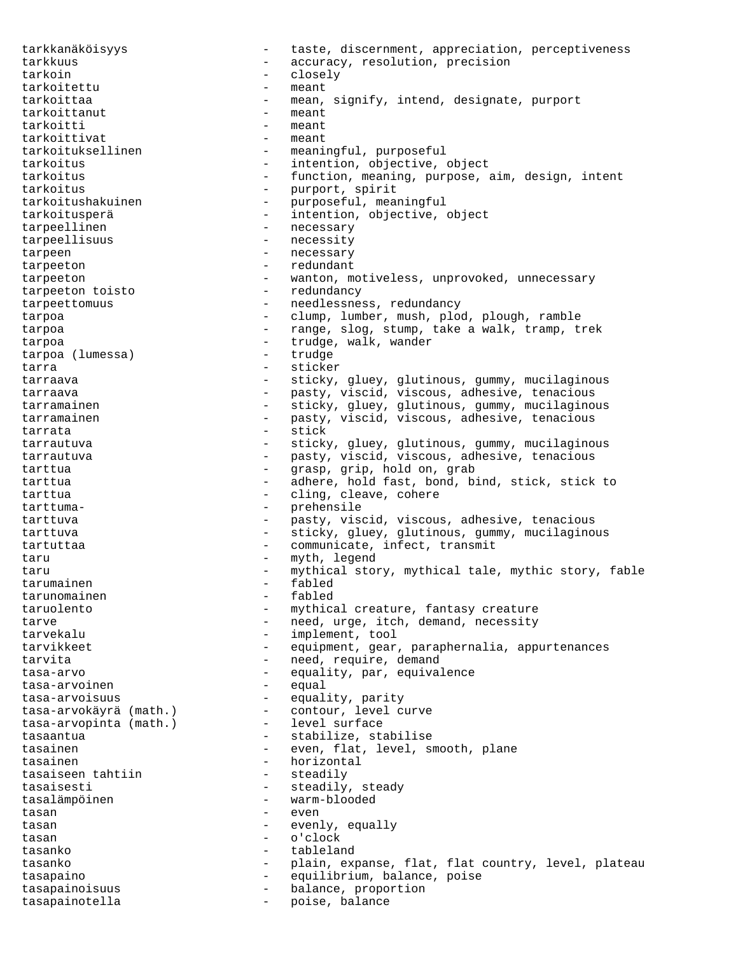tarkkanäköisyys - taste, discernment, appreciation, perceptiveness tarkkuus - accuracy, resolution, precision tarkoin - closely<br>tarkoitettu - meant - meant tarkoitettu tarkoittaa - mean, signify, intend, designate, purport<br>tarkoittanut - meant tarkoittanut tarkoitti - meant<br>tarkoittivat - meant tarkoittivat tarkoituksellinen - meaningful, purposeful tarkoitus - intention, objective, object tarkoitus - function, meaning, purpose, aim, design, intent tarkoitus - purport, spirit tarkoitushakuinen - purposeful, meaningful tarkoitusperä - intention, objective, object tarpeellinen - necessary tarpeellisuus - necessity tarpeen - necessary tarpeeton - redundant tarpeeton - wanton, motiveless, unprovoked, unnecessary<br>tarpeeton toisto - redundancy tarpeeton toisto tarpeettomuus - needlessness, redundancy tarpoa - clump, lumber, mush, plod, plough, ramble tarpoa - range, slog, stump, take a walk, tramp, trek tarpoa  $-$  trudge, walk, wander<br>tarpoa (lumessa)  $-$  trudge tarpoa (lumessa) tarra - sticker tarraava and the sticky, gluey, glutinous, gummy, mucilaginous tarraava - pasty, viscid, viscous, adhesive, tenacious tarramainen - sticky, gluey, glutinous, gummy, mucilaginous tarramainen - pasty, viscid, viscous, adhesive, tenacious<br>tarrata - stick tarrata - stick tarrautuva - sticky, gluey, glutinous, gummy, mucilaginous tarrautuva - pasty, viscid, viscous, adhesive, tenacious tarttua  $-$  grasp, grip, hold on, grab tarttua entertained adhere, hold fast, bond, bind, stick, stick to tarttua  $\qquad \qquad -$  cling, cleave, cohere tarttuma- - prehensile tarttuva - pasty, viscid, viscous, adhesive, tenacious tarttuva - sticky, gluey, glutinous, gummy, mucilaginous tartuttaa  $-$  communicate, infect, transmit taru - myth, legend taru  $-$  mythical story, mythical tale, mythic story, fable tarumainen 1988 - fabled tarunomainen 1988 - fabled tarunomainen 1988 - fabled tarunomainen 1988 - fabled taru tarunomainen taruolento - mythical creature, fantasy creature tarve  $-$  need, urge, itch, demand, necessity tarvekalu - implement, tool tarvikkeet - equipment, gear, paraphernalia, appurtenances tarvita  $-$  need, require, demand tasa-arvo - equality, par, equivalence<br>tasa-arvoinen - equal - equal tasa-arvoinen tasa-arvoisuus - equality, parity tasa-arvokäyrä (math.) - contour, level curve tasa-arvopinta (math.) - level surface tasaantua - stabilize, stabilise tasainen 1988 - Even, flat, level, smooth, plane tasainen 1988 - Horizontal Lasaiseen tahtiin 1988 - Horizontal esteadily tasaiseen tahtiin tasaisesti  $-$  steadily, steady tasalämpöinen - warm-blooded tasan - even tasan  $-$  evenly, equally tasan - o'clock tasanko - tableland tasanko - plain, expanse, flat, flat country, level, plateau tasapaino - equilibrium, balance, poise tasapainoisuus - balance, proportion tasapainotella - poise, balance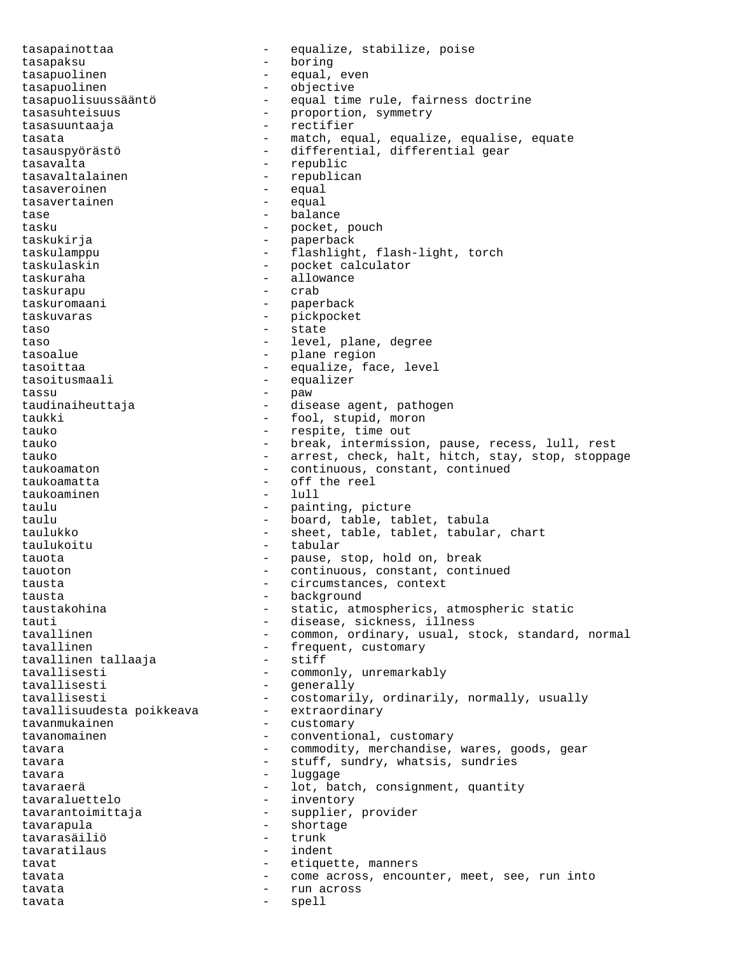tasapainottaa - equalize, stabilize, poise tasapaksu - boring tasapuolinen - equal, even - objective tasapuolisuussääntö - equal time rule, fairness doctrine tasasuhteisuus - proportion, symmetry tasasuuntaaja - rectifier tasata <sup>-</sup> match, equal, equalize, equalise, equate<br>tasauspyörästö differential, differential gear - differential, differential gear tasavalta - republic tasavaltalainen - republican tasaveroinen 1988 - Equal<br>tasavertainen 1988 - Equal tasavertainen tase - balance tasku - pocket, pouch taskukirja - paperback taskulamppu - flashlight, flash-light, torch taskulaskin - pocket calculator taskuraha - allowance taskurapu taskuromaani - paperback taskuvaras - pickpocket taso  $-$  state taso  $-$  level, plane, degree tasoalue - plane region - equalize, face, level tasoitusmaali - equalizer tassu - paw taudinaiheuttaja - - disease agent, pathogen taukki - fool, stupid, moron tauko - respite, time out tauko - break, intermission, pause, recess, lull, rest tauko - arrest, check, halt, hitch, stay, stop, stoppage<br>taukoamaton - continuous, constant, continued taukoamaton - continuous, constant, continued<br>taukoamatta - off the reel - off the reel<br>- lull taukoaminen taulu - painting, picture taulu - board, table, tablet, tabula taulukko - sheet, table, tablet, tabular, chart taulukoitu - tabular tauota - pause, stop, hold on, break<br>tauoton - continuous constant contin tauoton - continuous, constant, continued tausta  $-$  circumstances, context tausta - background taustakohina - static, atmospherics, atmospheric static tauti - disease, sickness, illness<br>tavallinen - common, ordinary, usual, s - common, ordinary, usual, stock, standard, normal tavallinen - frequent, customary tavallinen tallaaja tavallisesti - commonly, unremarkably tavallisesti - generally tavallisesti<br>tavallisuudesta poikkeava extraordinary tavallisuudesta poikkeava tavanmukainen 1988 - Customary Lavanomainen 1989 - Convention - conventional, customary tavara entries resolution of the commodity, merchandise, wares, goods, gear tavara  $-$  stuff, sundry, whatsis, sundries tavara - luggage tavaraerä entryksistavaraerä (k. 1915)<br>1981 – Lot, batch, consignment, quantity tavaraluettelo - inventory<br>tavarantoimittaja - supplier, - supplier, provider tavarapula - shortage tavarasäiliö tavaratilaus - indent tavat  $-$  etiquette, manners tavata - come across, encounter, meet, see, run into tavata - run across tavata - spell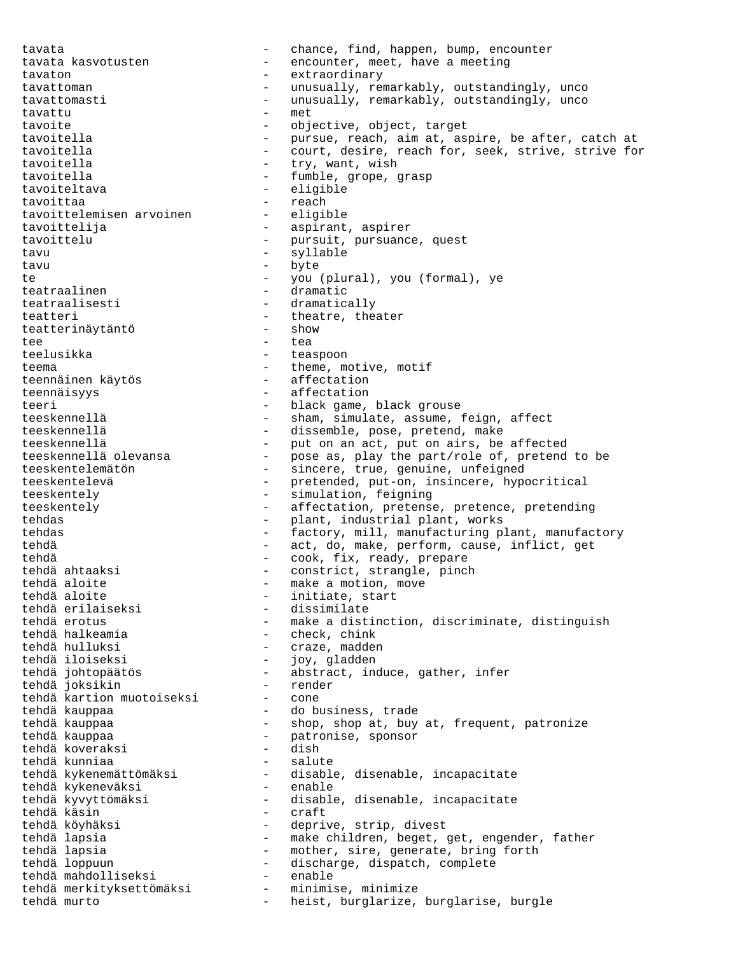tavata - chance, find, happen, bump, encounter tavata kasvotusten  $\qquad \qquad -$  encounter, meet, have a meeting tavaton - extraordinary tavattoman extendingly, remarkably, outstandingly, unco tavattomasti e mathemasti - unusually, remarkably, outstandingly, unco tavattu - met tavoite - objective, object, target<br>tavoitella - - - - - - - - - pursue, reach, aim at, as tavoitella - pursue, reach, aim at, aspire, be after, catch at<br>tavoitella - court, desire, reach for, seek, strive, strive for - court, desire, reach for, seek, strive, strive for tavoitella  $-$  try, want, wish tavoitella  $-$  fumble, grope, grasp tavoiteltava - eligible tavoittaa - reach tavoittelemisen arvoinen - eligible tavoittelija - aspirant, aspirer tavoittelu - pursuit, pursuance, quest tavu - syllable tavu - byte te  $\qquad \qquad -$  you (plural), you (formal), ye teatraalinen 1988 - dramatic teatraalisesti - dramatically teatteri - theatre, theater teatterinäytäntö - show tee tea teelusikka - teaspoon teema  $-$  theme, motive, motif teennäinen käytös - affectation teennäisyys - affectation teeri - black game, black grouse<br>teeskennellä - - - - - - - - - sham, simulate, assume, : teeskennellä - sham, simulate, assume, feign, affect<br>teeskennellä - dissemble, pose, pretend, make teeskennellä - dissemble, pose, pretend, make teeskennellä - put on an act, put on airs, be affected teeskennellä olevansa pose as, play the part/role of, pretend to be teeskentelemätön - sincere, true, genuine, unfeigned teeskentelevä - pretended, put-on, insincere, hypocritical teeskentely - simulation, feigning teeskentely extending the affectation, pretense, pretence, pretending tehdas - plant, industrial plant, works tehdas - factory, mill, manufacturing plant, manufactory tehdä - act, do, make, perform, cause, inflict, get tehdä - cook, fix, ready, prepare tehdä ahtaaksi - constrict, strangle, pinch tehdä aloite - make a motion, move tehdä aloite - initiate, start tehdä erilaiseksi - dissimilate tehdä erotus - make a distinction, discriminate, distinguish tehdä halkeamia - check, chink tehdä hulluksi - craze, madden tehdä iloiseksi - joy, gladden tehdä johtopäätös - abstract, induce, gather, infer tehdä joksikin - render tehdä kartion muotoiseksi - cone tehdä kauppaa - do business, trade tehdä kauppaa - shop, shop at, buy at, frequent, patronize tehdä kauppaa - patronise, sponsor tehdä koveraksi - dish tehdä kunniaa - salute tehdä kykenemättömäksi - disable, disenable, incapacitate tehdä kykeneväksi - enable tehdä kyvyttömäksi - disable, disenable, incapacitate tehdä käsin - craft tehdä köyhäksi - deprive, strip, divest tehdä lapsia - make children, beget, get, engender, father tehdä lapsia - mother, sire, generate, bring forth tehdä loppuun - discharge, dispatch, complete tehdä mahdolliseksi - enable tehdä merkityksettömäksi - minimise, minimize tehdä murto - heist, burglarize, burglarise, burgle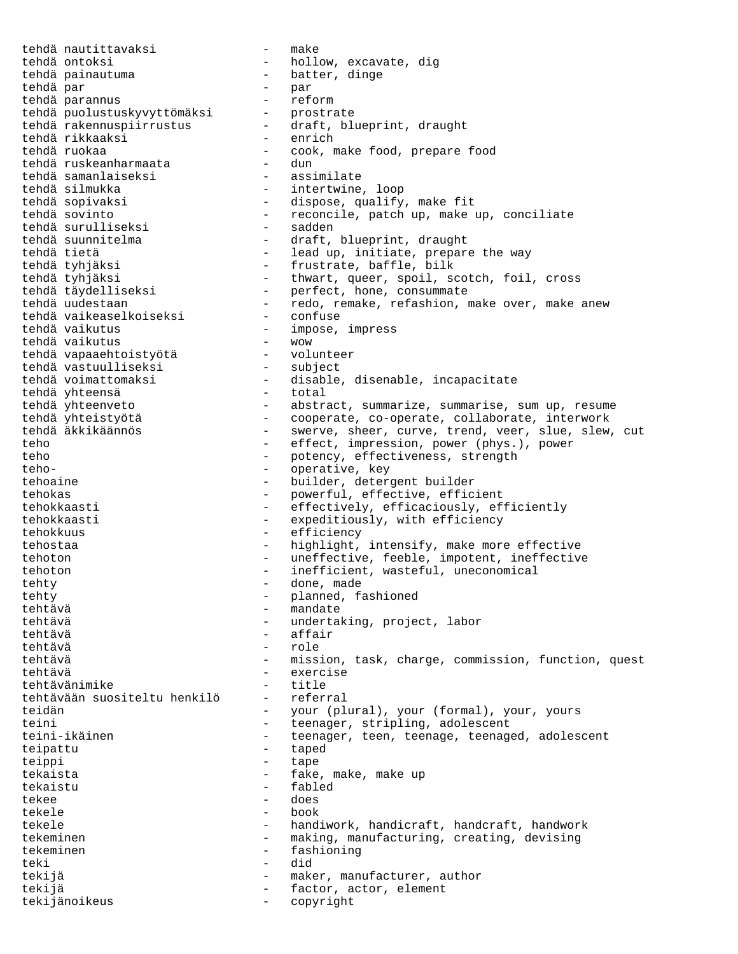tehdä nautittavaksi - make tehdä ontoksi  $-$  hollow, excavate, dig tehdä painautuma - batter, dinge tehdä par - par tehdä parannus - reform tehdä puolustuskyvyttömäksi - prostrate tehdä rakennuspiirrustus - draft, blueprint, draught tehdä rikkaaksi - enrich tehdä ruokaa - cook, make food, prepare food tehdä ruskeanharmaata - dun tehdä samanlaiseksi - assimilate tehdä silmukka - intertwine, loop tehdä sopivaksi - dispose, qualify, make fit tehdä sovinto - reconcile, patch up, make up, conciliate tehdä surulliseksi - sadden tehdä suunnitelma - draft, blueprint, draught tehdä tietä - lead up, initiate, prepare the way tehdä tyhjäksi - frustrate, baffle, bilk tehdä tyhjäksi - thwart, queer, spoil, scotch, foil, cross tehdä täydelliseksi - perfect, hone, consummate tehdä uudestaan - redo, remake, refashion, make over, make anew tehdä vaikeaselkoiseksi - confuse tehdä vaikutus - impose, impress tehdä vaikutus - wow tehdä vapaaehtoistyötä - volunteer tehdä vastuulliseksi - subject tehdä voimattomaksi - disable, disenable, incapacitate tehdä yhteensä - total tehdä yhteenveto - abstract, summarize, summarise, sum up, resume tehdä yhteistyötä - cooperate, co-operate, collaborate, interwork tehdä äkkikäännös - swerve, sheer, curve, trend, veer, slue, slew, cut teho - effect, impression, power (phys.), power teho - effect, impression, power (phys.), power<br>teho - potency, effectiveness, strength<br>teho- - operative. key teho- - operative, key tehoaine - builder, detergent builder tehokas - powerful, effective, efficient tehokkaasti - effectively, efficaciously, efficiently tehokkaasti - expeditiously, with efficiency tehokkuus - efficiency tehostaa - highlight, intensify, make more effective tehoton - uneffective, feeble, impotent, ineffective tehoton - inefficient, wasteful, uneconomical tehty - done, made tehty  $-$  planned, fashioned tehtävä - mandate tehtävä - undertaking, project, labor tehtävä - affair tehtävä - role tehtävä - mission, task, charge, commission, function, quest tehtävä - exercise tehtävänimike - title tehtävään suositeltu henkilö teidän - your (plural), your (formal), your, yours teini - teenager, stripling, adolescent teini-ikäinen 1988 - teenager, teen, teenage, teenaged, adolescent teipattu - taped teippi - tape tekaista - fake, make, make up tekaistu - fabled tekee - does tekele - book tekele - handiwork, handicraft, handcraft, handwork<br>tekeminen - making, manufacturing, creating, devising - making, manufacturing, creating, devising tekeminen 1988 bekeminen auf der eine Stadt eine Stadt eine Stadt eine Stadt eine Stadt eine Stadt eine Stadt teki - did tekijä - maker, manufacturer, author tekijä  $-$  factor, actor, element tekijänoikeus - copyright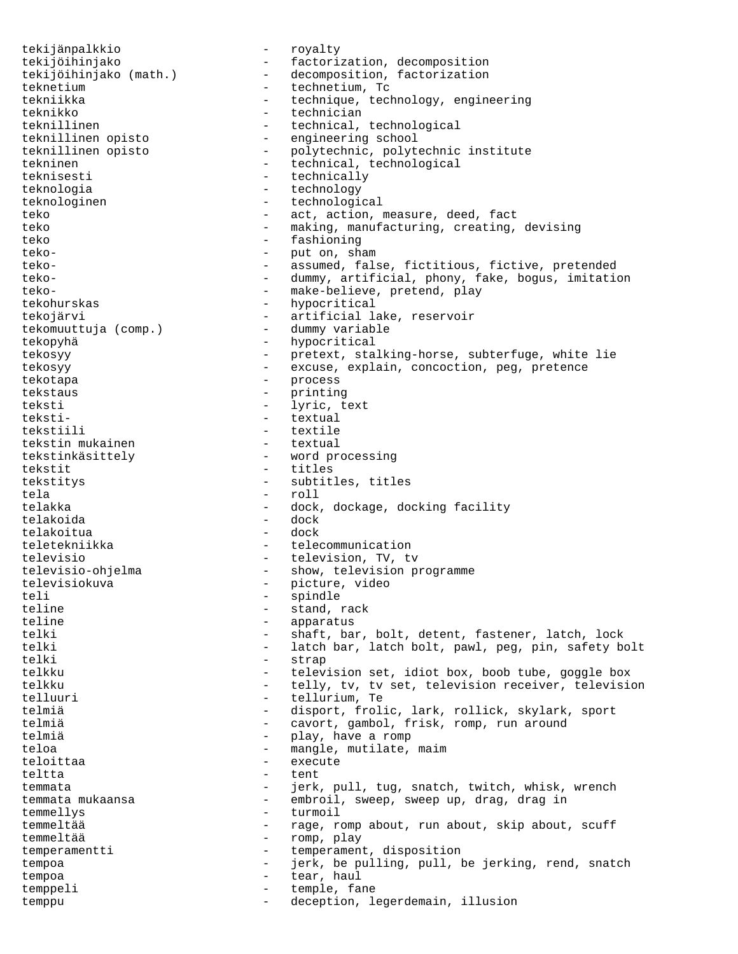tekijänpalkkio - royalty tekijöihinjako - factorization, decomposition tekijöihinjako (math.) - decomposition, factorization teknetium - technetium, Tc tekniikka - technique, technology, engineering teknikko - technician teknillinen - technical, technological<br>teknillinen opisto - engineering school teknillinen opisto - engineering school - polytechnic, polytechnic institute tekninen <sup>-</sup> technical, technological teknisesti  $-$  technically teknologia - technology teknologinen - technological teko  $-$  act, action, measure, deed, fact teko  $-$  making, manufacturing, creating, devising teko - fashioning - fashioning teko- - put on, sham teko- - assumed, false, fictitious, fictive, pretended teko- - dummy, artificial, phony, fake, bogus, imitation teko- - make-believe, pretend, play tekohurskas - hypocritical tekojärvi - artificial lake, reservoir tekomuuttuja (comp.) - dummy variable tekopyhä - hypocritical tekosyy external tekosyy external tekosyy channels are pretext, stalking-horse, subterfuge, white lie tekosyy - excuse, explain, concoction, peg, pretence tekotapa - process<br>tekstaus - printing tekstaus - printing teksti - lyric, text teksti-<br>
tekstiili - textual<br>
tekstiili - textile tekstiili - textile tekstin mukainen tekstinkäsittely - word processing tekstit - titles tekstitys - subtitles, titles tela - roll telakka - dock, dockage, docking facility telakoida - dock telakoitua teletekniikka - telecommunication televisio - television, TV, tv televisio-ohjelma - show, television programme televisiokuva - picture, video teli - spindle - spindle - spindle - spindle - spindle - spindle - spindle - spindle - spindle - spindle - spindle - spindle - spindle - spindle - spindle - spindle - spindle - spindle - spindle - spindle - spindle - spind teline - stand, rack<br>teline - stand, rack - apparatus telki - shaft, bar, bolt, detent, fastener, latch, lock telki - latch bar, latch bolt, pawl, peg, pin, safety bolt telki - strap<br>telkku - telev television set, idiot box, boob tube, goggle box telkku <a>>
- telly, tv, tv set, television receiver, television</a>
receiver, television telluuri - tellurium, Te<br>telmiä - disport. frol. - disport, frolic, lark, rollick, skylark, sport telmiä - cavort, gambol, frisk, romp, run around telmiä – play, have a romp<br>teloa – mangle mutilate teloa  $-$  mangle, mutilate, maim teloittaa - execute teltta - tent temmata - jerk, pull, tug, snatch, twitch, whisk, wrench<br>temmata mukaansa - embroil sweep sweep up drag drag in temmata mukaansa  $-$  embroil, sweep, sweep up, drag, drag in temmellys - turmoil temmeltää  $-$  rage, romp about, run about, skip about, scuff temmeltää - romp, play temperamentti - temperament, disposition tempoa - jerk, be pulling, pull, be jerking, rend, snatch tempoa - tear, haul temppeli - temple, fane<br>templus - deception l temppu - deception, legerdemain, illusion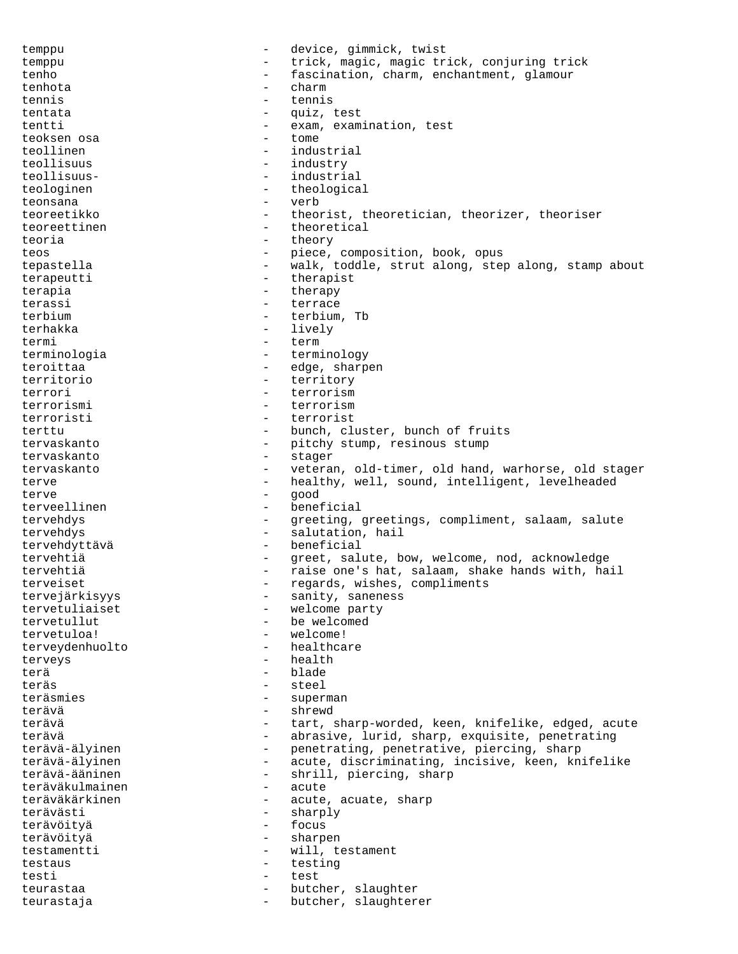temppu - device, gimmick, twist temppu - trick, magic, magic trick, conjuring trick tenho - fascination, charm, enchantment, glamour tenhota - charm tennis - tennis tentata - quiz, test<br>tentti - exam exam exam tentti - exam, examination, test<br>teoksen osa teoksen osa - tome - industrial teollisuus - industry teollisuus- - industrial teologinen - theological teonsana - verb teoreetikko - theorist, theoretician, theorizer, theoriser teoreettinen - theoretical teoria - theory teos - piece, composition, book, opus tepastella - walk, toddle, strut along, step along, stamp about<br>terapeutti - therapist terapeutti - therapistic terms in the therapistic terms in the terms of the terms in the terms in the terms in the terms in the terms in the terms in the terms in the terms in the terms in the terms in the terms in the ter terapia - therapy<br>terassi - terrace terassi - terrace<br>terbium - terbium - terbium terbium - terbium, Tb<br>terhakka - livelv - lively<br>- term termi  $-$  term terminologia - terminology teroittaa - edge, sharpen territorio - territory terrori - terrorism terrorismi - terrorism terroristi - terrorist<br>terttu - bunch cl terttu - bunch, cluster, bunch of fruits<br>tervaskanto - pitchy stump, resinous stump - pitchy stump, resinous stump tervaskanto - stager tervaskanto entitled and the veteran, old-timer, old hand, warhorse, old stager terve  $-$  healthy, well, sound, intelligent, levelheaded<br>terve  $\alpha$ terve - good terveellinen - beneficial<br>tervehdys - qreeting, - greeting, greetings, compliment, salaam, salute tervehdys - salutation, hail tervehdyttävä - beneficial greet, salute, bow, welcome, nod, acknowledge tervehtiä  $-$  raise one's hat, salaam, shake hands with, hail terveiset - regards, wishes, compliments tervejärkisyys - sanity, saneness tervetuliaiset - welcome party - be welcomed tervetuloa! - welcome!<br>
tervevdenhuolto - healthcare terveydenhuolto terveys - health terä - blade teräs - steel teräsmies - superman terävä - shrewd terävä - tart, sharp-worded, keen, knifelike, edged, acute terävä - abrasive, lurid, sharp, exquisite, penetrating terävä-älyinen - penetrating, penetrative, piercing, sharp<br>terävä-älyinen - acute, discriminating, incisive, keen, kn terävä-älyinen - acute, discriminating, incisive, keen, knifelike<br>terävä-ääninen - shrill, piercing, sharp - shrill, piercing, sharp<br>- acute teräväkulmainen teräväkärkinen ettellist varan varante, sharp varante, sharp terävästi - sharply terävöityä - focus terävöityä - sharpen testamentti - will, testament testaus - testing testi - test teurastaa - butcher, slaughter teurastaja - butcher, slaughterer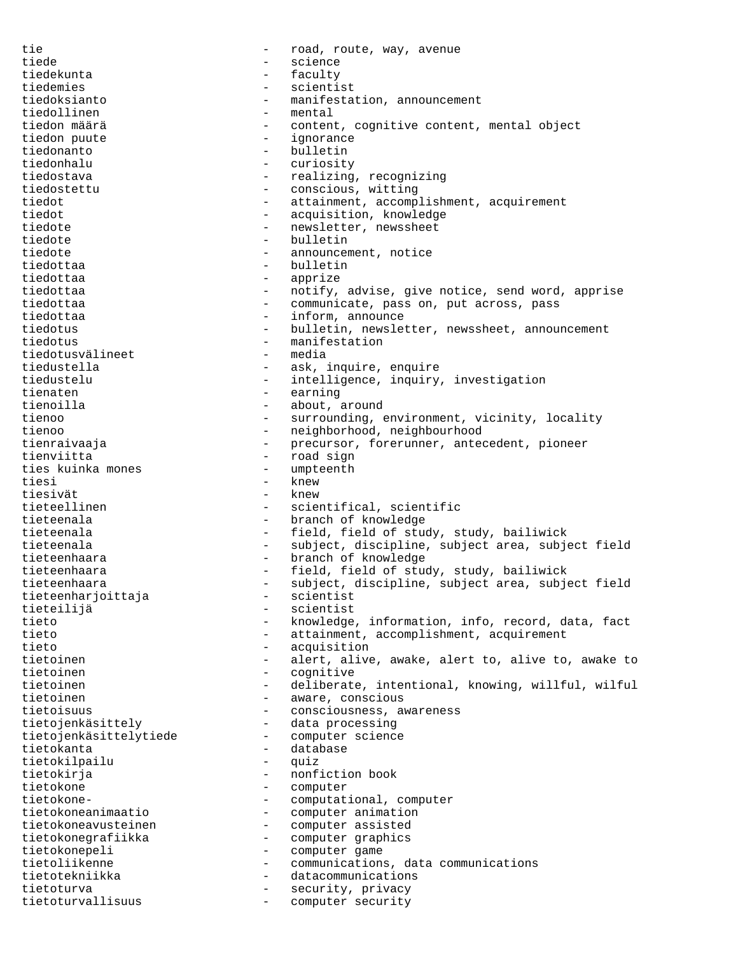tie  $-$  road, route, way, avenue tiede  $-$  science tiedekunta - faculty tiedemies - scientist tiedoksianto - manifestation, announcement tiedollinen - mental tiedon määrä  $-$  content, cognitive content, mental object tiedon puute  $-$  ignorance tiedonanto - bulletin tiedonhalu - curiosity<br>tiedostava - realizing tiedostava - realizing, recognizing<br>tiedostettu - conscious, witting - conscious, witting tiedot - attainment, accomplishment, acquirement tiedot - acquisition, knowledge tiedote - newsletter, newssheet tiedote - bulletin tiedote - announcement, notice tiedottaa - bulletin tiedottaa - apprize tiedottaa - 10 - notify, advise, give notice, send word, apprise tiedottaa - communicate, pass on, put across, pass tiedottaa - inform, announce tiedotus - bulletin, newsletter, newssheet, announcement tiedotus - manifestation<br>tiedotusvälineet - media tiedotusvälineet<br>tiedustella - ask, inquire, enquire tiedustelu - intelligence, inquiry, investigation tienaten - earning tienoilla - about, around tienoo - surrounding, environment, vicinity, locality tienoo - neighborhood, neighbourhood<br>tienraivaaja - precursor, forerunner, ante - precursor, forerunner, antecedent, pioneer tienviitta - road sign ties kuinka mones tiesi - knew tiesivät - knew tieteellinen - scientifical, scientific tieteenala - branch of knowledge tieteenala - field, field of study, study, bailiwick tieteenala - subject, discipline, subject area, subject field tieteenhaara - branch of knowledge tieteenhaara - field, field of study, study, bailiwick tieteenhaara - subject, discipline, subject area, subject field<br>tieteenharioittaia - scientist tieteenharjoittaja - scientist tieteilijä - scientist tieto - knowledge, information, info, record, data, fact<br>
- attainment accomplishment acquirement - attainment, accomplishment, acquirement tieto - acquisition tietoinen - alert, alive, awake, alert to, alive to, awake to tietoinen - cognitive tietoinen - deliberate, intentional, knowing, willful, wilful tietoinen  $-$  aware, conscious tietoisuus - consciousness, awareness tietojenkäsittely - data processing tietojenkäsittelytiede - computer science tietokanta - database tietokilpailu - quiz tietokirja - nonfiction book tietokone - computer tietokone-  $\qquad \qquad -$  computational, computer tietokoneanimaatio - computer animation - computer assisted tietokonegrafiikka - computer graphics tietokonepeli - computer game<br>tietoliikenne - communication tietoliikenne - communications, data communications tietotekniikka - datacommunications tietoturva - security, privacy tietoturvallisuus - computer security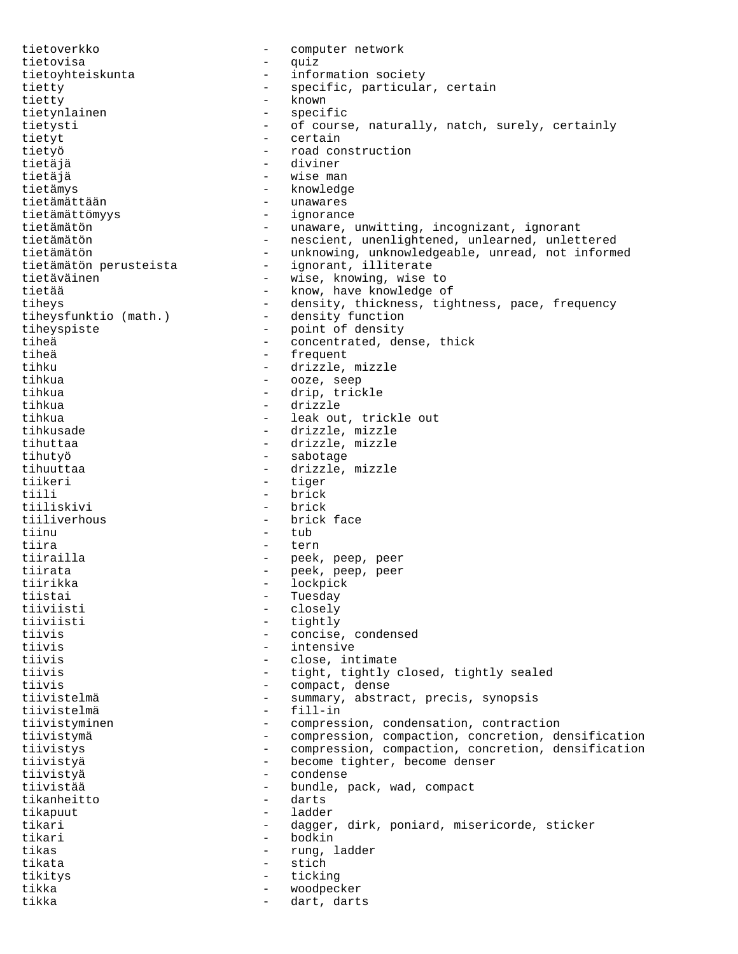tietoverkko - computer network tietovisa - quiz tietoyhteiskunta - information society tietty - specific, particular, certain<br>tietty - known - known - known<br>- specific tietynlainen tietysti - of course, naturally, natch, surely, certainly tietyt - certain tietyö - road construction tietäjä - diviner tietäjä - wise man tietämys - knowledge tietämättään - unawares tietämättömyys - ignorance tietämätön - unaware, unwitting, incognizant, ignorant tietämätön - nescient, unenlightened, unlearned, unlettered tietämätön - unknowing, unknowledgeable, unread, not informed tietämätön perusteista - ignorant, illiterate tietäväinen - wise, knowing, wise to<br>tietää - know, have knowledge o tietää - know, have knowledge of<br>tiheys - density, thickness, tig tiheys - density, thickness, tightness, pace, frequency<br>tiheysfunktio (math.) - density function - density function tiheyspiste - point of density<br>tihes - concentrated density tiheä - concentrated, dense, thick<br>tiheä - frequent - frequent tiheä - frequent - frequent - frequent - frequent - frequent - frequent - frequent - frequent - frequent - frequent - frequent - frequent - frequent - frequent - frequent - frequent - frequent - frequent - frequent - frequ - drizzle, mizzle tihkua - ooze, seep tihkua - drip, trickle tihkua - drizzle tihkua - leak out, trickle out tihkusade - drizzle, mizzle tihuttaa - drizzle, mizzle tihutyö - sabotage tihuuttaa - drizzle, mizzle<br>tiikeri - tiger tiikeri – tiger<br>tiili – tiger<br>- hrick tiili - brick<br>tiiliskivi - brick<br>- brick - brick tiiliverhous - brick face tiinu - tub tiira - tern tiirailla - peek, peep, peer tiirata  $-$  peek, peep, peer tiirikka - lockpick tiistai - Tuesday<br>tiiviisti - Closelv tiiviisti - closely tiiviisti - tightly<br>tiivis - concise - concise, condensed tiivis - intensive tiivis - close, intimate tiivis - tight, tightly closed, tightly sealed tiivis - compact, dense tiivistelmä - summary, abstract, precis, synopsis tiivistelmä – filosofia – filosofia – filosofia – filosofia – filosofia – filosofia – filosofia – filosofia – tiivistyminen - compression, condensation, contraction tiivistymä - compression, compaction, concretion, densification tiivistys entitled to the compression, compaction, concretion, densification tiivistyä - become tighter, become denser tiivistyä<br>tiivistää - bundle, pack, wad, compact<br>- darts tikanheitto - darts tikapuut - ladder tikari - dagger, dirk, poniard, misericorde, sticker tikari - bodkin tikas  $-$  rung, ladder tikata - stich tikitys - ticking tikka - woodpecker tikka - dart, darts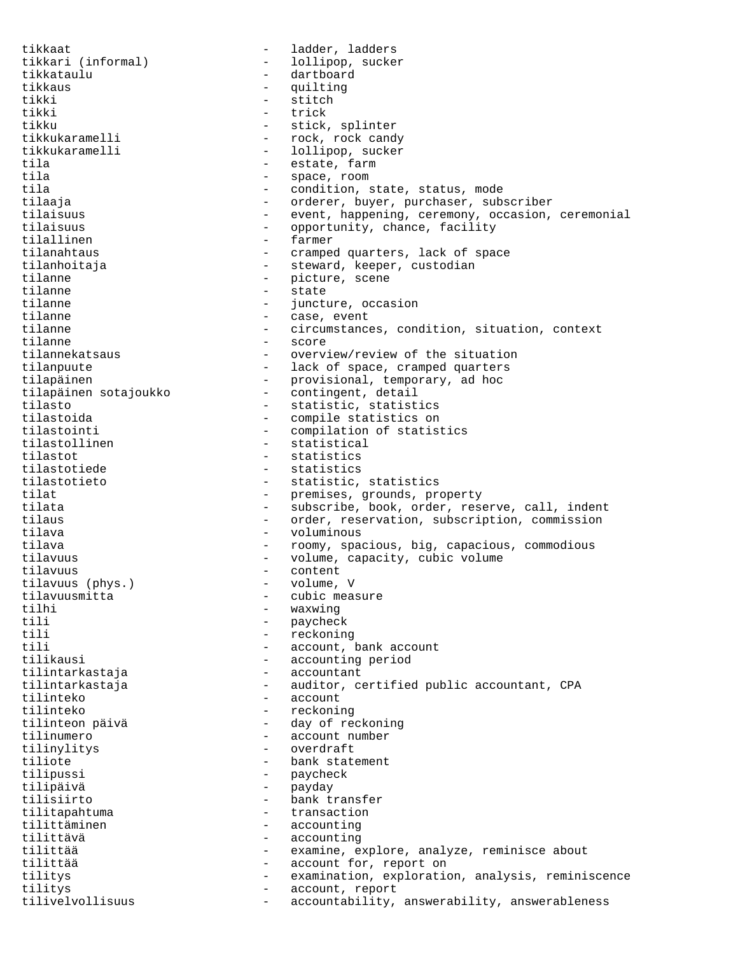tikkaat - ladder, ladders tikkari (informal) - lollipop, sucker tikkataulu - dartboard tikkaus - quilting tikki - stitch tikki - trick - trick<br>tikku - stick - stick tikku - stick, splinter tikkukaramelli - rock, rock candy<br>tikkukaramelli - - lollipop, sucker - lollipop, sucker tila - estate, farm tila  $\begin{array}{ccc} - & \text{space, room} \\ - & \text{condition. s} \end{array}$ - condition, state, status, mode tilaaja - orderer, buyer, purchaser, subscriber tilaisuus - event, happening, ceremony, occasion, ceremonial tilaisuus - opportunity, chance, facility tilallinen - farmer tilanahtaus - cramped quarters, lack of space tilanhoitaja - steward, keeper, custodian<br>tilanne - picture, scene tilanne - picture, scene<br>tilanne - state<br>- state tilanne - state<br>tilanne - state<br>- iuncti tilanne - juncture, occasion<br>tilanne - case event - case, event tilanne - circumstances, condition, situation, context tilanne - score<br>tilannekatsaus - overvi tilannekatsaus - overview/review of the situation<br>tilanpuute - lack of space, cramped quarters - lack of space, cramped quarters tilapäinen - provisional, temporary, ad hoc tilapäinen sotajoukko tilasto - statistic, statistics tilastoida - compile statistics on<br>tilastointi - compilation of statis tilastointi - compilation of statistics tilastollinen - statistical<br>tilastot - statistics tilastot - statistics tilastotiede - statistics tilastotieto - statistic, statistics<br>tilat - premises grounds pro tilat  $\begin{array}{ccc}\n & - & \text{premises, grounds, property} \\
\text{tilata} & & - & \text{subgr~ine. book, order, res.}\n\end{array}$ tilata - subscribe, book, order, reserve, call, indent<br>tilaus - order, reservation, subscription, commission - order, reservation, subscription, commission tilava - voluminous tilava - roomy, spacious, big, capacious, commodious tilavuus - volume, capacity, cubic volume tilavuus - content tilavuus (phys.)<br>tilavuusmitta tilavuusmitta - cubic measure<br>tilhi - waxwing tilhi - waxwing - waxwing - tili tili - paycheck<br>tili - paycheck<br>- reckoning tili - reckoning<br>tili - account tili - account, bank account<br>tilikausi - accounting period - accounting period tilintarkastaja - accountant tilintarkastaja - auditor, certified public accountant, CPA tilinteko - account tilinteko - reckoning tilinteon päivä - day of reckoning tilinumero<br>- account number tilinylitys - overdraft tiliote - bank statement<br>tilipussi - bank statement<br>- paycheck tilipussi - paycheck tilipäivä - payday - bank transfer tilitapahtuma - transaction tilittäminen - accounting<br>tilittävä - accounting - accounting tilittää - examine, explore, analyze, reminisce about tilittää - account for, report on tilitys - examination, exploration, analysis, reminiscence tilitys - account, report tilivelvollisuus - accountability, answerability, answerableness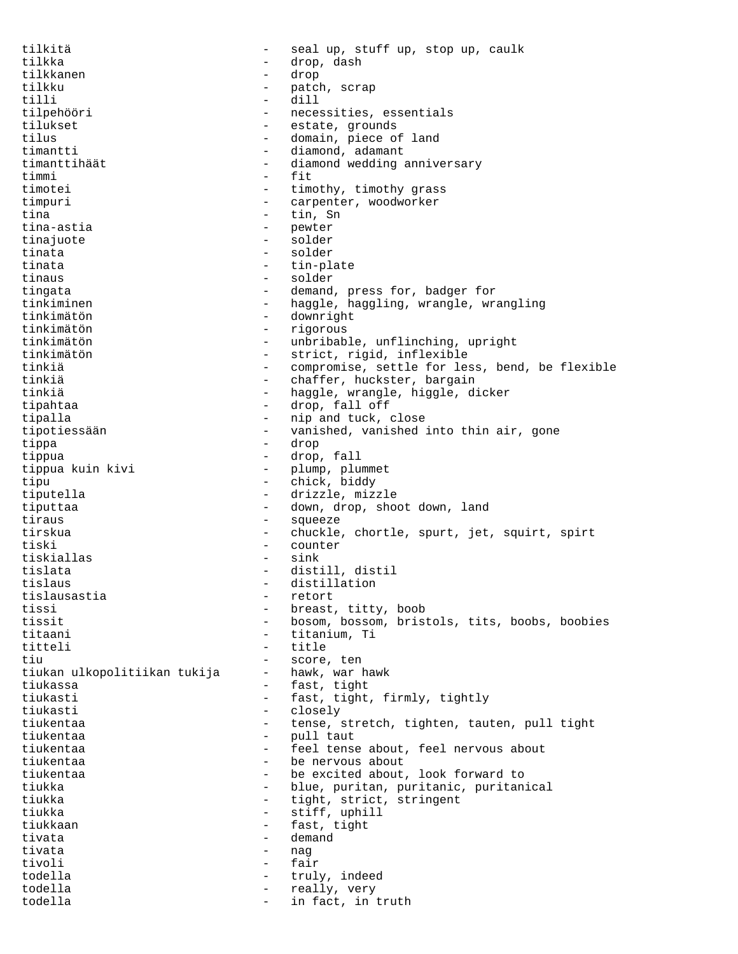tilkitä - seal up, stuff up, stop up, caulk tilkka - drop, dash tilkkanen - drop tilkku - patch, scrap tilli - dill - necessities, essentials<br>- estate grounds tilukset - estate, grounds tilus - domain, piece of land<br>timantti - diamond, adamant - diamond, adamant timanttihäät - diamond wedding anniversary timmi - fit timotei - timothy, timothy grass timpuri - carpenter, woodworker tina - tin, Sn tina-astia - pewter tinajuote - solder tinata - solder tinata - tin-plate<br>tinaus - solder - solder tinaus - solder tingata  $-$  demand, press for, badger for tinkiminen - haggle, haggling, wrangle, wrangling<br>tinkimätön - downright - downright tinkimätön - rigorous tinkimätön - unbribable, unflinching, upright tinkimätön - strict, rigid, inflexible tinkiä - compromise, settle for less, bend, be flexible<br>tinkiä - chaffer, huckster, bargain tinkiä  $-$  chaffer, huckster, bargain tinkiä - haggle, wrangle, higgle, dicker tipahtaa - drop, fall off tipalla  $-$  nip and tuck, close tipotiessään - vanished, vanished into thin air, gone tippa - drop tippua - drop, fall tippua kuin kivi - plump, plummet<br>tipu - chick hiddy tipu - chick, biddy tiputella - drizzle, mizzle tiputtaa - down, drop, shoot down, land tiraus - squeeze tirskua - chuckle, chortle, spurt, jet, squirt, spirt tiski - counter<br>tiskiallas - sink - sink tiskiallas tislata - distill, distil tislaus - distillation - distillation - distillation - distillation - retort - retort - retort - retort - retort - retort - retort - retort - retort - retort - retort - retort - retort - retort - retort - retort - retort tislausastia en la retoria en la retoria en la retoria en la retoria en la retoria en la retoria en la retoria tissi - breast, titty, boob<br>tissit - bosom, bosom, brist tissit - bosom, bossom, bristols, tits, boobs, boobies<br>titaani - titanium Ti titanium, Ti titteli - title tiu - score, ten tiukan ulkopolitiikan tukija tiukassa - fast, tight tiukasti - fast, tight, firmly, tightly tiukasti - closely tiukentaa - tense, stretch, tighten, tauten, pull tight tiukentaa - pull taut tiukentaa - feel tense about, feel nervous about tiukentaa  $-$  be nervous about tiukentaa - be excited about, look forward to tiukka - blue, puritan, puritanic, puritanical tiukka - tight, strict, stringent tiukka - stiff, uphill tiukkaan - fast, tight tivata - demand tivata - nag tivoli - fair todella - truly, indeed todella - really, very todella  $-$  in fact, in truth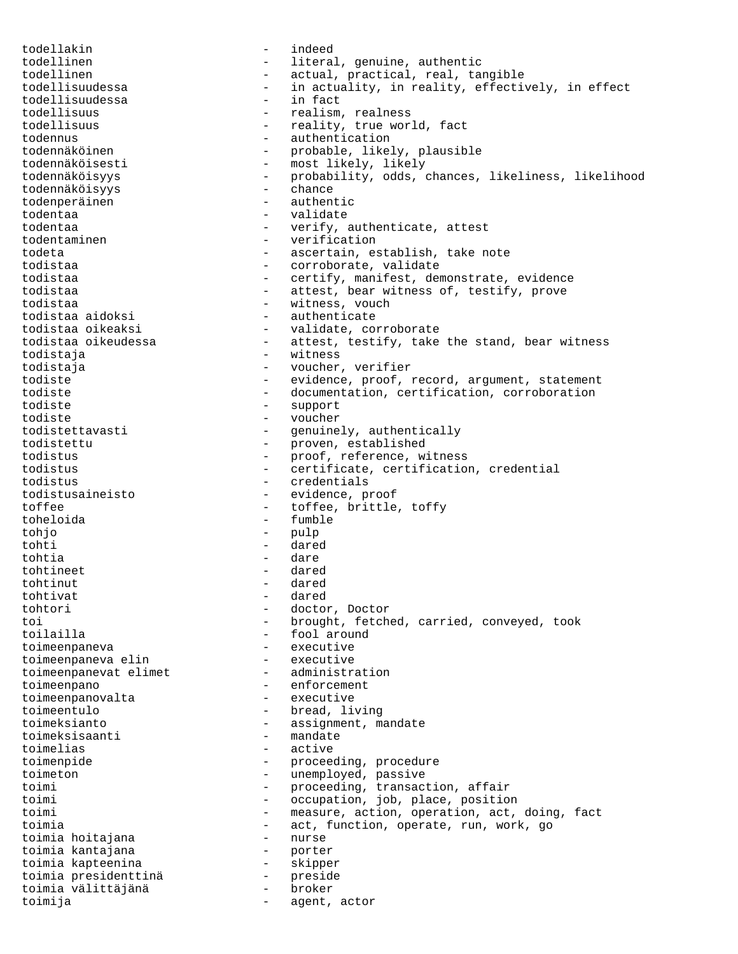todellakin - indeed todellinen - literal, genuine, authentic todellinen en actual, practical, real, tangible todellisuudessa - in actuality, in reality, effectively, in effect todellisuudessa<br>todellisuus todellisuus - realism, realness<br>todellisuus - reality, true wor - reality, true world, fact todennus - authentication - probable, likely, plausible todennäköisesti - most likely, likely todennäköisyys - probability, odds, chances, likeliness, likelihood todennäköisyys - chance todenperäinen todentaa - validate todentaa - verify, authenticate, attest todentaminen en andere verification todeta - ascertain, establish, take note - corroborate, validate todistaa - certify, manifest, demonstrate, evidence<br>todistaa - - attest, bear witness of, testify, prove todistaa - attest, bear witness of, testify, prove<br>todistaa - - witness, vouch todistaa - witness, vouch<br>todistaa aidoksi - authenticate - authenticate todistaa oikeaksi - validate, corroborate todistaa oikeudessa - attest, testify, take the stand, bear witness<br>todistaia - witness - witness todistaja - voucher, verifier todiste extending to the evidence, proof, record, argument, statement todiste - documentation, certification, corroboration todiste - support todiste - voucher todistettavasti - genuinely, authentically todistettu - proven, established<br>todistus - proof, reference, w todistus - proof, reference, witness<br>todistus - certificate, certification todistus - certificate, certification, credential - credentials todistusaineisto - evidence, proof toffee - toffee, brittle, toffy toheloida - fumble tohjo - pulp tohti - dared tohtia - dare tohtineet tohtinut - dared tohtivat - dared - dared - dared - dared - dared - dared - dared - dared - dared - dared - dared - dared - dared - dared - dared - dared - dared - dared - dared - dared - dared - dared - dared - dared - da tohtivat - dared - dared - docto: - doctor, Doctor toi - brought, fetched, carried, conveyed, took - fool around toimeenpaneva - executive toimeenpaneva elin - executive toimeenpanevat elimet - administration toimeenpano - enforcement toimeenpanovalta - executive toimeentulo - bread, living toimeksianto - assignment, mandate toimeksisaanti toimelias - active toimenpide  $\qquad \qquad -$  proceeding, procedure toimeton - unemployed, passive toimi  $-$  proceeding, transaction, affair toimi - occupation, job, place, position toimi  $-$  measure, action, operation, act, doing, fact toimia<br>
- act, function, operate, run, work, go<br>
- nurse toimia hoitajana - nurse toimia kantajana - porter toimia kapteenina - skipper toimia presidenttinä - preside toimia välittäjänä toimija - agent, actor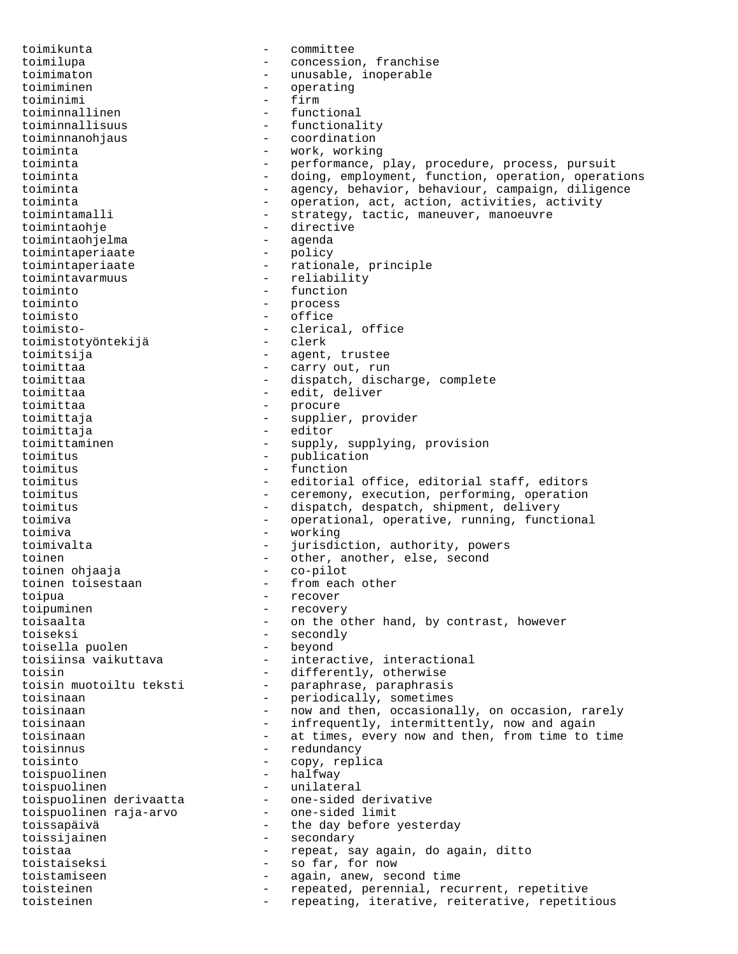toimikunta - committee toimilupa - concession, franchise toimimaton - unusable, inoperable toimiminen - operating toiminimi - firm toiminnallinen<br>toiminnallisuus - functionality toiminnanohjaus - coordination - work, working toiminta  $-$  performance, play, procedure, process, pursuit toiminta - doing, employment, function, operation, operations toiminta - agency, behavior, behaviour, campaign, diligence toiminta - operation, act, action, activities, activity toimintamalli e e e e e strategy, tactic, maneuver, manoeuvre toimintaohje - directive - directive - directive - directive - directive - directive - directive - directive toimintaohjelma - agenda toimintaperiaate toimintaperiaate - rationale, principle toimintavarmuus - reliability<br>toiminto - function toiminto - function<br>toiminto - process toiminto - process<br>toimisto - office office toimisto-<br>
toimistotvöntekijä<br>
– clerk<br>
– clerk toimistotyöntekijä toimitsija - agent, trustee toimittaa - carry out, run toimittaa - dispatch, discharge, complete toimittaa - edit, deliver toimittaa - procure toimittaja - supplier, provider - editor toimittaminen - supply, supplying, provision toimitus - publication<br>
toimitus - function toimitus - function<br>toimitus - editorial - editorial office, editorial staff, editors toimitus - ceremony, execution, performing, operation toimitus - dispatch, despatch, shipment, delivery toimiva - operational, operative, running, functional toimiva - working toimivalta - jurisdiction, authority, powers toinen - other, another, else, second<br>toinen ohjaaja - co-pilot toinen ohjaaja toinen toisestaan aan aan - from each other toipua - recover toipuminen - recovery - on the other hand, by contrast, however toiseksi - secondly<br>toisella puolen - beyond toisella puolen toisiinsa vaikuttava - interactive, interactional toisin - differently, otherwise toisin muotoiltu teksti - paraphrase, paraphrasis toisinaan - periodically, sometimes toisinaan external control of the mow and then, occasionally, on occasion, rarely toisinaan and the summan of the infrequently, intermittently, now and again toisinaan and the state of the state of the state of the state of the state of the state of the state of the s toisinnus - redundancy toisinto - copy, replica toispuolinen - halfway toispuolinen - unilateral toispuolinen derivaatta - one-sided derivative toispuolinen raja-arvo - one-sided limit toissapäivä - the day before yesterday toissijainen 1988 - Secondary toistaa - repeat, say again, do again, ditto toistaiseksi - so far, for now toistamiseen en een van die volgaain, anew, second time toisteinen - repeated, perennial, recurrent, repetitive toisteinen - repeating, iterative, reiterative, repetitious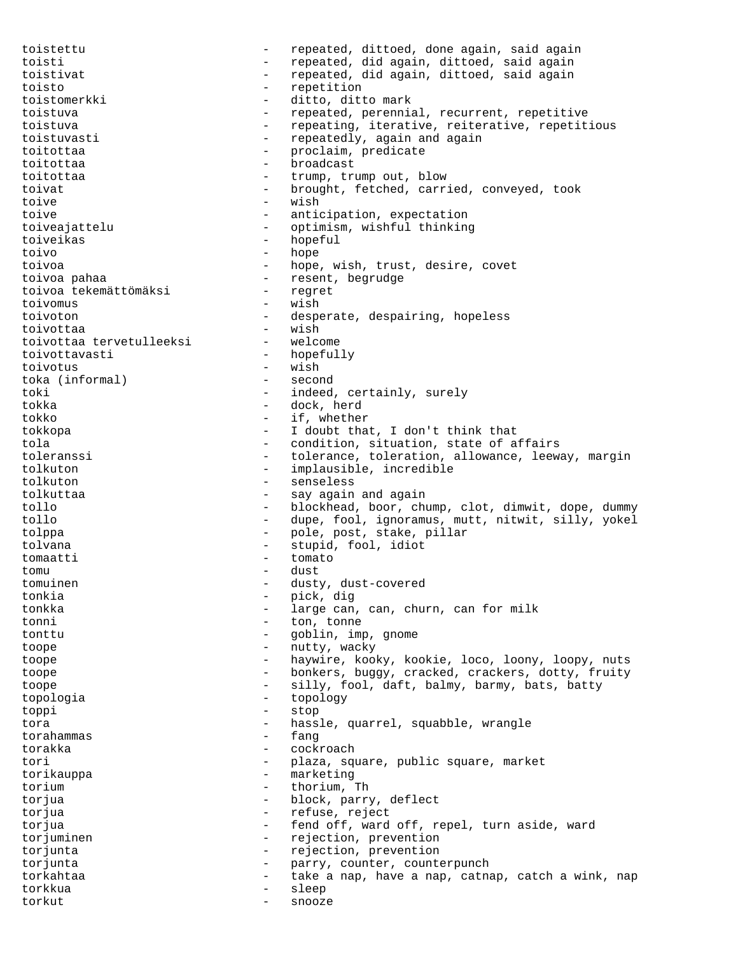toistettu - repeated, dittoed, done again, said again toisti - repeated, did again, dittoed, said again toistivat - repeated, did again, dittoed, said again toisto - repetition toistomerkki - ditto, ditto mark toistuva - repeated, perennial, recurrent, repetitive toistuva - repeating, iterative, reiterative, repetitious toistuvasti  $-$  repeatedly, again and again toitottaa - proclaim, predicate toitottaa - broadcast toitottaa - trump, trump out, blow toivat - brought, fetched, carried, conveyed, took toive - wish toive - anticipation, expectation toiveajattelu - optimism, wishful thinking toiveikas - hopeful toivo - hope toivoa - hope, wish, trust, desire, covet toivoa pahaa  $-$  resent, begrudge toivoa tekemättömäksi  $-$  regret toivoa tekemättömäksi toivomus - wish - desperate, despairing, hopeless toivottaa - wish toivottaa tervetulleeksi toivottavasti - hopefully toivotus - wish toka (informal) toki - indeed, certainly, surely tokka - dock, herd tokko - if, whether tokkopa - I doubt that, I don't think that tola - condition, situation, state of affairs<br>toleranssi - tolerance, toleration, allowance, leew toleranssi - tolerance, toleration, allowance, leeway, margin - implausible, incredible tolkuton - senseless - say again and again tollo - blockhead, boor, chump, clot, dimwit, dope, dummy tollo - dupe, fool, ignoramus, mutt, nitwit, silly, yokel tolppa - pole, post, stake, pillar tolvana - stupid, fool, idiot tomaatti - tomato tomu - dust tomuinen - dusty, dust-covered tonkia - pick, dig tonkka - large can, can, churn, can for milk tonni - ton, tonne tonttu  $\qquad \qquad -$  goblin, imp, gnome toope - nutty, wacky toope - haywire, kooky, kookie, loco, loony, loopy, nuts toope - bonkers, buggy, cracked, crackers, dotty, fruity toope  $\qquad \qquad -$  silly, fool, daft, balmy, barmy, bats, batty topologia - topology toppi - stop tora e contraction of the state of the hassle, quarrel, squabble, wrangle torahammas - fang<br>torakka - cocki torakka - cockroach tori - plaza, square, public square, market<br>torikauppa - marketing - marketing - marketing torium - thorium, Th torjua  $-$  block, parry, deflect torjua - refuse, reject torjua - fend off, ward off, repel, turn aside, ward torjuminen en external and the rejection, prevention torjunta  $-$  rejection, prevention torjunta - parry, counter, counterpunch torkahtaa - take a nap, have a nap, catnap, catch a wink, nap torkkua - sleep torkut - snooze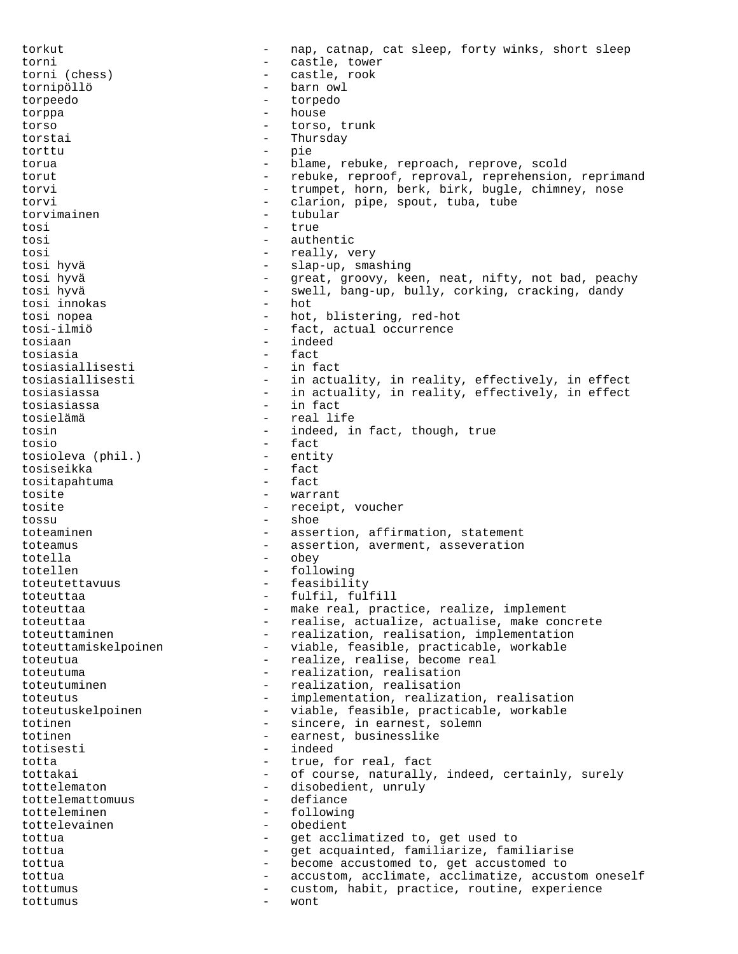torkut - nap, catnap, cat sleep, forty winks, short sleep torni (chess) and the castle, tower<br>torni (chess) and the castle, rock torni (chess) - castle, rook tornipöllö - barn owl torpeedo - torpedo torppa - house torso - torso, trunk torstai - Thursday<br>torttu - nie torttu - pie torua - blame, rebuke, reproach, reprove, scold torut external reproof, reproval, reprehension, reprimand torvi - trumpet, horn, berk, birk, bugle, chimney, nose torvi - clarion, pipe, spout, tuba, tube torvimainen - tubular tosi - true tosi - authentic tosi  $\begin{array}{ccc} - & \text{really, very} \\ \text{tosi hyvä} & - & \text{slap-up, sma} \end{array}$ tosi hyvä - slap-up, smashing tosi hyvä - great, groovy, keen, neat, nifty, not bad, peachy - swell, bang-up, bully, corking, cracking, dandy<br>- hot tosi innokas<br>tosi nopea tosi nopea - hot, blistering, red-hot<br>tosi-ilmiö - fact. actual occurrence - fact, actual occurrence tosiaan - indeed tosiasia - fact tosiasiallisesti tosiasiallisesti - in actuality, in reality, effectively, in effect tosiasiassa - in actuality, in reality, effectively, in effect tosiasiassa - in fact tosielämä - real life tosin  $\overline{a}$  - indeed, in fact, though, true<br>tosio tosio - fact tosioleva (phil.) - entity<br>tosiseikka - fact tosiseikka - fact tositapahtuma tosite - warrant tosite  $-$  receipt, voucher tossu - shoe toteaminen en en assertion, affirmation, statement toteamus - assertion, averment, asseveration<br>totella - obev totella - obey totellen - following toteutettavuus - feasibility toteuttaa - fulfil, fulfill toteuttaa - make real, practice, realize, implement toteuttaa - realise, actualize, actualise, make concrete toteuttaminen - realization, realisation, implementation toteuttamiskelpoinen - viable, feasible, practicable, workable toteutua - realize, realise, become real toteutuma - realization, realisation toteutuminen en en andre versieden andet andet realization, realisation toteutus - implementation, realization, realisation toteutuskelpoinen - viable, feasible, practicable, workable totinen - sincere, in earnest, solemn totinen - earnest, businesslike<br>totisesti - indeed - indeed totisesti totta  $-$  true, for real, fact tottakai - of course, naturally, indeed, certainly, surely tottelematon - disobedient, unruly<br>tottelemattomuus - defiance tottelemattomuus totteleminen - following tottelevainen - obedient tottua - get acclimatized to, get used to tottua - get acquainted, familiarize, familiarise tottua - become accustomed to, get accustomed to tottua componente e accustom, acclimate, acclimatize, accustom oneself tottumus - custom, habit, practice, routine, experience tottumus - wont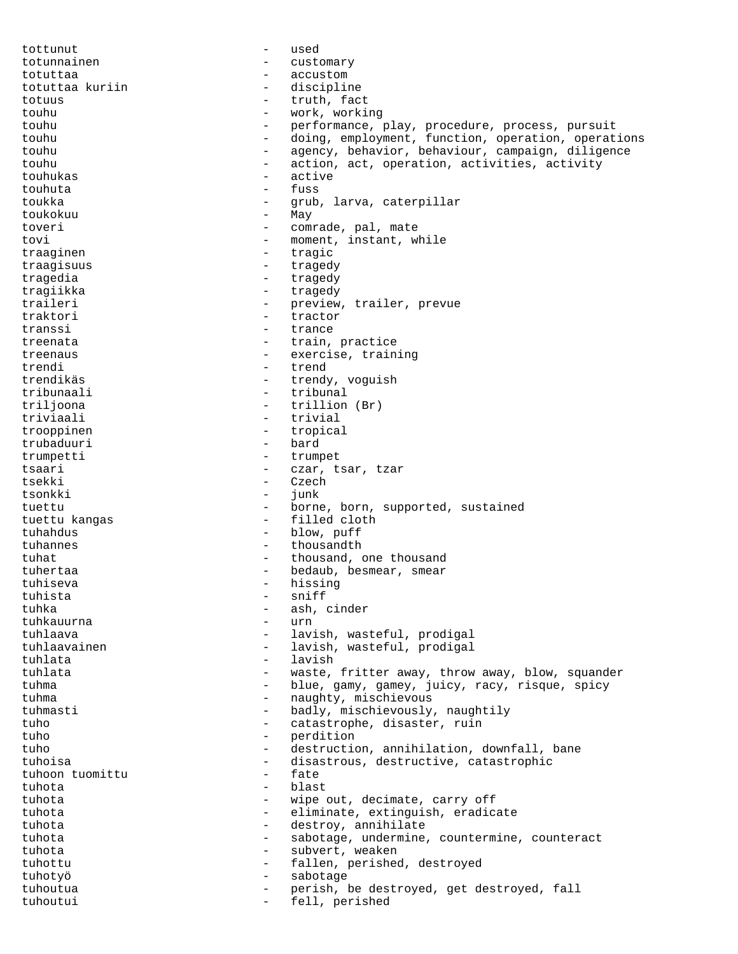tottunut - used totunnainen - customary totuttaa - accustom - discipline totuus - truth, fact touhu - work, working touhu - performance, play, procedure, process, pursuit touhu - doing, employment, function, operation, operations touhu - agency, behavior, behaviour, campaign, diligence<br>touhu - action, act, operation, activities, activity - action, act, operation, activities, activity touhukas - active touhuta - fuss toukka - grub, larva, caterpillar<br>toukokuu - May - May toukokuu – Mayon – Mayon – Mayon – Mayon – Mayon – Mayon – Mayon – Mayon – Mayon – Mayon – Mayon – Mayon – Mayon – Mayon – Mayon – Mayon – Mayon – Mayon – Mayon – Mayon – Mayon – Mayon – Mayon – Mayon – Mayon – Mayon – May toveri  $-$  comrade, pal, mate tovi - moment, instant, while traaginen - tragic traagisuus - tragedy<br>tragedia - tragedy - tragedy tragedy tragiikka - tragedy<br>traileri - tragedy - tragedy traileri - preview, trailer, prevue<br>
traktori - tractor tractor transsi - trance treenata  $-$  train, practice treenaus - exercise, training trendi - trend trendikäs  $-$  trendy, voguish tribunaali - tribunal triljoona - trillion (Br) triviaali - trivial trooppinen - tropical trubaduuri trumpetti - trumpet tsaari - czar, tsar, tzar tsekki - Czech tsonkki - junk tuettu - borne, born, supported, sustained tuettu kangas  $-$  filled cloth tuhahdus - blow, puff<br>
tuhannes - thousandth tuhannes extends thousandth tuhat  $\qquad \qquad -$  thousand, one thousand tuhertaa  $-$  bedaub, besmear, smear tuhiseva - hissing<br>tuhista - sniff tuhista - sniff tuhka - ash, cinder<br>tuhka - urn tuhkauurna - urn - lavish, wasteful, prodigal tuhlaavainen 1988 - Lavish, wasteful, prodigal tuhlata - lavish tuhlata - waste, fritter away, throw away, blow, squander tuhma - blue, gamy, gamey, juicy, racy, risque, spicy tuhma - naughty, mischievous tuhmasti - badly, mischievously, naughtily tuho - catastrophe, disaster, ruin tuho - perdition tuho - destruction, annihilation, downfall, bane<br>
- disastrous destructive catastrophic tuhoisa - disastrous, destructive, catastrophic tuhoon tuomittu - fate tuhota - blast tuhota - wipe out, decimate, carry off tuhota - eliminate, extinguish, eradicate tuhota  $-$  destroy, annihilate tuhota - sabotage, undermine, countermine, counteract tuhota - subvert, weaken tuhottu - fallen, perished, destroyed tuhotyö - sabotage tuhoutua - perish, be destroyed, get destroyed, fall tuhoutui - fell, perished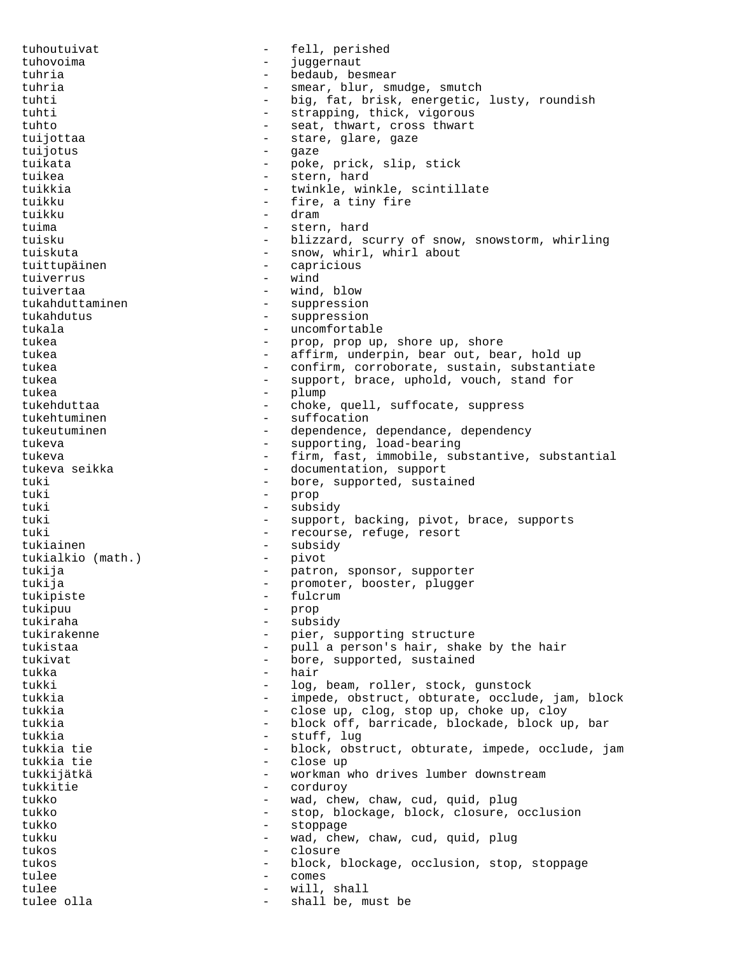tuhoutuivat - fell, perished tuhovoima - juggernaut tuhria - bedaub, besmear tuhria  $-$  smear, blur, smudge, smutch tuhti - big, fat, brisk, energetic, lusty, roundish tuhti - strapping, thick, vigorous tuhto - seat, thwart, cross thwart<br>tuijottaa - - - - - - - - - - - - - stare, glare, gaze - stare, glare, gaze tuijotus - gaze - poke, prick, slip, stick tuikea - stern, hard<br>tuikkia - stern, hard - twinkle, winkle, scintillate tuikku - fire, a tiny fire tuikku - dram tuima  $-$  stern, hard tuisku - blizzard, scurry of snow, snowstorm, whirling<br>tuiskuta - snow, whirl, whirl about - snow, whirl, whirl about tuittupäinen - capricious tuiverrus tuivertaa - wind, blow tukahduttaminen - suppression tukahdutus - suppression tukala - uncomfortable tukea - prop, prop up, shore up, shore tukea - affirm, underpin, bear out, bear, hold up tukea - confirm, corroborate, sustain, substantiate tukea - support, brace, uphold, vouch, stand for tukea - plump tukehduttaa - choke, quell, suffocate, suppress tukehtuminen - suffocation tukeutuminen - dependence, dependance, dependency tukeva - supporting, load-bearing tukeva - firm, fast, immobile, substantive, substantial<br>tukeva seikka - documentation, support - documentation, support tuki - bore, supported, sustained tuki - prop tuki - subsidy tuki - support, backing, pivot, brace, supports tuki - recourse, refuge, resort tukiainen – subsidy<br>tukialkio (math.) – pivot tukialkio (math.) –<br>tukija – tukija - patron, sponsor, supporter<br>tukija - promoter, booster, plugger promoter, booster, plugger tukipiste - fulcrum tukipuu - prop tukiraha - subsidy - pier, supporting structure tukistaa - pull a person's hair, shake by the hair tukivat - bore, supported, sustained tukka - hair tukki - log, beam, roller, stock, gunstock tukkia - impede, obstruct, obturate, occlude, jam, block tukkia - close up, clog, stop up, choke up, cloy tukkia - block off, barricade, blockade, block up, bar tukkia - stuff, lug block, obstruct, obturate, impede, occlude, jam tukkia tie - close up tukkijätkä - workman who drives lumber downstream - corduroy tukko - wad, chew, chaw, cud, quid, plug tukko - stop, blockage, block, closure, occlusion tukko - stoppage tukku - wad, chew, chaw, cud, quid, plug tukos - closure tukos - block, blockage, occlusion, stop, stoppage tulee - comes tulee - will, shall<br>tulee olla - shall be, m shall be, must be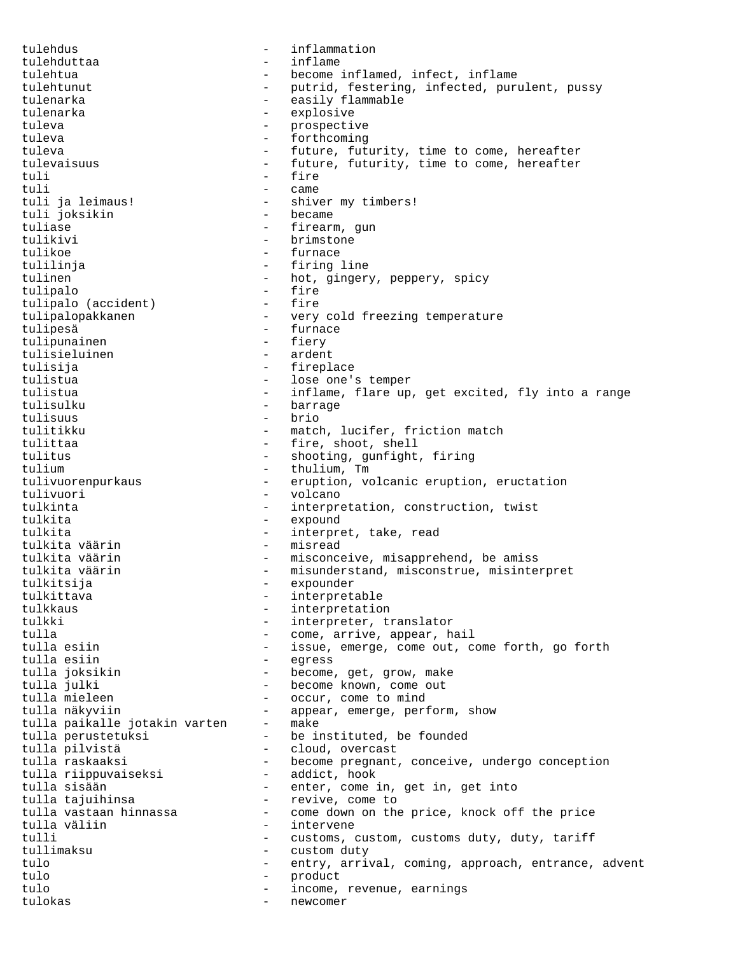tulehdus - inflammation tulehduttaa - inflame tulehtua - become inflamed, infect, inflame tulehtunut - putrid, festering, infected, purulent, pussy tulenarka - easily flammable tulenarka - explosive tuleva - prospective tuleva  $-$  forthcoming tuleva  $-$  future, futurity, time to come, hereafter tulevaisuus - future, futurity, time to come, hereafter tuli - fire tuli - came - shiver my timbers!<br>- became tuli joksikin tuliase  $-$  firearm, gun tulikivi - brimstone tulikoe - furnace tulilinja - firing line tulinen - hot, gingery, peppery, spicy tulipalo - fire tulipalo (accident)<br>tulipalopakkanen - very cold freezing temperature tulipesä - furnace tulipunainen - fiery tulisieluinen tulisija - fireplace tulistua - lose one's temper tulistua  $-$  inflame, flare up, get excited, fly into a range tulisulku - barrage tulisuus - brio tulitikku - match, lucifer, friction match tulittaa  $-$  fire, shoot, shell tulitus - shooting, gunfight, firing<br>tulium - thulium, Tm tulium  $\begin{array}{ccc} \texttt{tulium} & - & \texttt{thulium, Tm} \\ \texttt{tulivuorenpurkaus} & - & \texttt{eruption, vc} \end{array}$ - eruption, volcanic eruption, eructation tulivuori - volcano tulkinta  $-$  interpretation, construction, twist tulkita - expound tulkita - interpret, take, read<br>tulkita väärin - - - - - - - misread tulkita väärin tulkita väärin - misconceive, misapprehend, be amiss tulkita väärin - misunderstand, misconstrue, misinterpret tulkitsija - expounder tulkittava - interpretable tulkkaus - interpretation tulkki - interpreter, translator<br>tulla - come, arrive, appear, h - come, arrive, appear, hail tulla esiin  $-$  issue, emerge, come out, come forth, go forth tulla esiin egress tulla joksikin - become, get, grow, make<br>tulla julki - become known, come out - become known, come out tulla mieleen - - occur, come to mind tulla näkyviin  $-$  appear, emerge, perform, show tulla paikalle jotakin varten - make tulla perustetuksi - be instituted, be founded tulla pilvistä - cloud, overcast tulla raskaaksi - become pregnant, conceive, undergo conception<br>tulla riippuvaiseksi - addict, hook tulla riippuvaiseksi tulla sisään - - enter, come in, get in, get into tulla tajuihinsa - revive, come to tulla vastaan hinnassa - come down on the price, knock off the price tulla väliin esimeses valtas valiin valtas valtas valtas valtas valtas valtas valtas valtas valtas valtas valt tulli  $-$  customs, custom, customs duty, duty, tariff tullimaksu - custom duty tulo - entry, arrival, coming, approach, entrance, advent tulo - product tulo - income, revenue, earnings tulokas - newcomer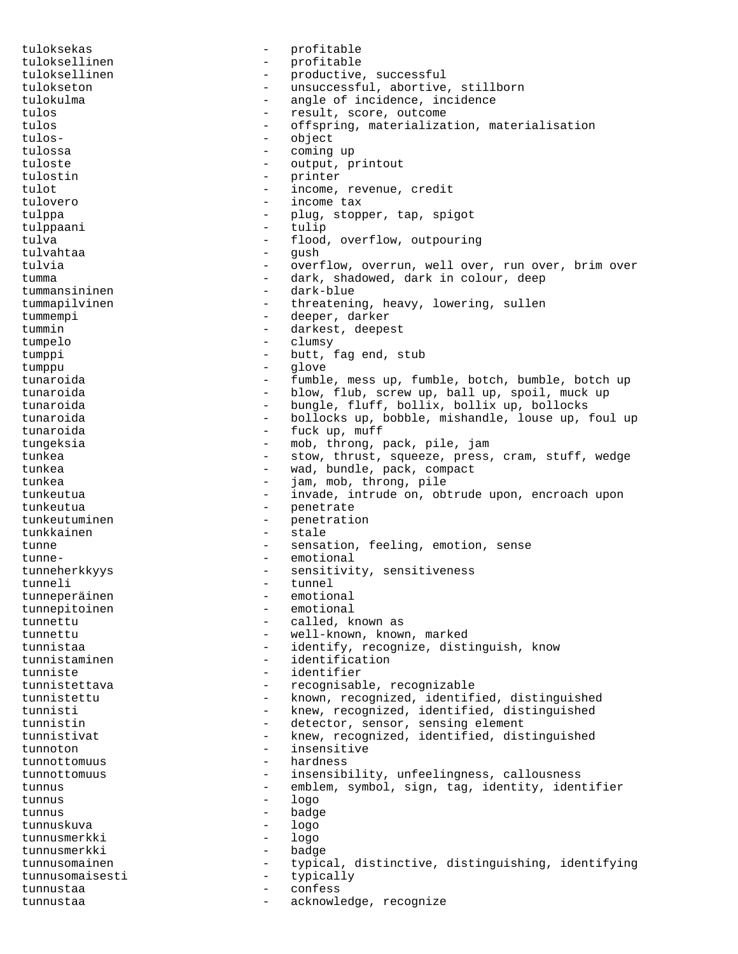tuloksekas - profitable tuloksellinen - profitable<br>tuloksellinen - productive tuloksellinen - productive, successful tulokseton - unsuccessful, abortive, stillborn<br>tulokulma - angle of incidence, incidence - angle of incidence, incidence tulos - result, score, outcome tulos - offspring, materialization, materialisation tulos- - object tulossa - coming up - output, printout tulostin - printer tulot - income, revenue, credit tulovero - income tax tulppa - plug, stopper, tap, spigot tulppaani - tulip tulva  $\qquad \qquad -$  flood, overflow, outpouring tulvahtaa - gush tulvia - overflow, overrun, well over, run over, brim over tumma - dark, shadowed, dark in colour, deep<br>tummansininen - dark-blue tummansininen tummapilvinen - threatening, heavy, lowering, sullen<br>
- deeper, darker - deeper, darker tummin darkest, deepest tumpelo - clumsy<br>tumpni - butt f tumppi - butt, fag end, stub<br>tumpnu - alove tumppu - glove tunaroida - fumble, mess up, fumble, botch, bumble, botch up tunaroida blow, flub, screw up, ball up, spoil, muck up tunaroida - bungle, fluff, bollix, bollix up, bollocks tunaroida - bollocks up, bobble, mishandle, louse up, foul up tunaroida - fuck up, muff tungeksia - mob, throng, pack, pile, jam tunkea - stow, thrust, squeeze, press, cram, stuff, wedge tunkea - wad, bundle, pack, compact<br>tunkea - iam mob throng pile tunkea - jam, mob, throng, pile tunkeutua - invade, intrude on, obtrude upon, encroach upon tunkeutua - penetrate tunkeutuminen - penetration tunkkainen - stale tunne - sensation, feeling, emotion, sense tunne- - emotional tunneherkkyys - sensitivity, sensitiveness tunneli - tunneli - tunneli - tunnel<br>
tunneperäinen - emotional tunneperäinen - emotional tunnepitoinen tunnettu - called, known as tunnettu - well-known, known, marked tunnistaa - identify, recognize, distinguish, know tunnistaminen - identification<br>
- identifier<br>
- identifier tunniste - identifier tunnistettava - recognisable, recognizable tunnistettu - known, recognized, identified, distinguished tunnisti - knew, recognized, identified, distinguished tunnistin - detector, sensor, sensing element<br>tunnistivat - knew, recognized, identified, dis - knew, recognized, identified, distinguished tunnoton - insensitive tunnottomuus - hardness tunnottomuus - insensibility, unfeelingness, callousness tunnus - emblem, symbol, sign, tag, identity, identifier tunnus - logo tunnus - badge<br>tunnuskuva - logo tunnuskuva - logo tunnusmerkki - logo<br>tunnusmerkki - badge tunnusmerkki – tunnusmerkki – tunnusomainen – tunnusomainen – tunnus tunnusomainen - typical, distinctive, distinguishing, identifying<br>tunnusomaisesti - twoically tunnusomaisesti - typically tunnustaa - confess tunnustaa - acknowledge, recognize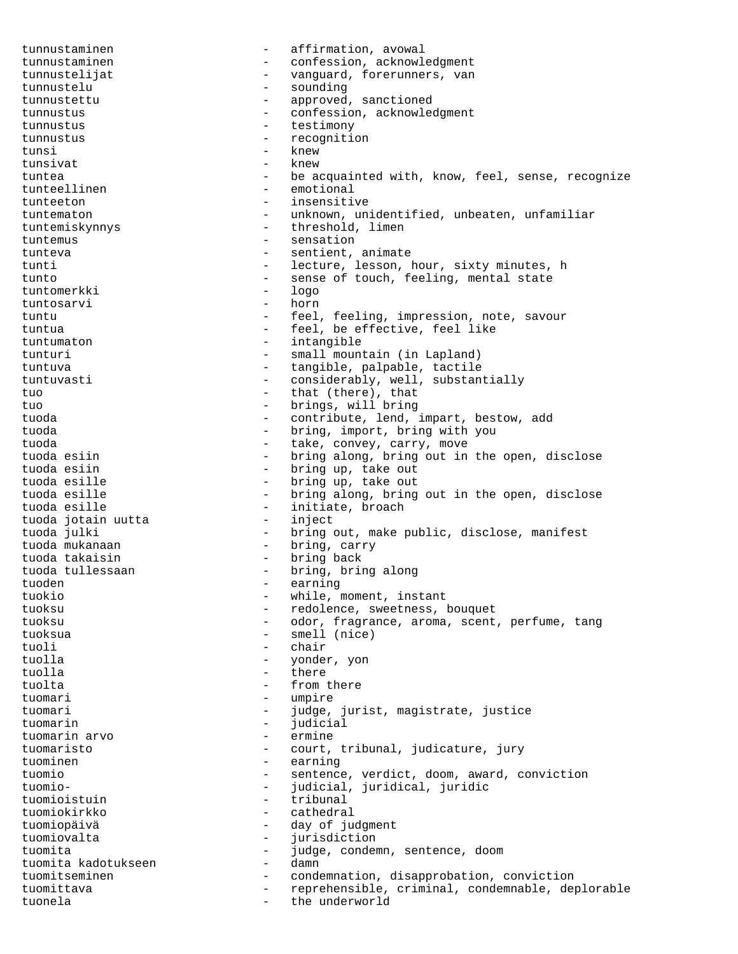tunnustaminen - affirmation, avowal tunnustaminen - confession, acknowledgment<br>tunnustelijat - vanguard forerunners van tunnustelijat - vanguard, forerunners, van tunnustelu - sounding tunnustettu - approved, sanctioned tunnustus - confession, acknowledgment tunnustus - testimony tunnustus - recognition tunsi - knew tunsivat - knew tuntea - be acquainted with, know, feel, sense, recognize<br>tunteallinen - emotional tunteellinen - emotional tunteeton - insensitive tuntematon - unknown, unidentified, unbeaten, unfamiliar tuntemiskynnys - threshold, limen tuntemus - sensation tunteva - sentient, animate tunti - lecture, lesson, hour, sixty minutes, h<br>sense of touch feeling mental state tunto  $-$  sense of touch, feeling, mental state<br> $\frac{1000}{2}$ tuntomerkki - logo<br>tuntosarvi - horn tuntosarvi tuntu - feel, feeling, impression, note, savour tuntua - feel, be effective, feel like tuntumaton - intangible tunturi - small mountain (in Lapland) tuntuva - tangible, palpable, tactile tuntuvasti - considerably, well, substantially tuo  $-$  that (there), that tuo - brings, will bring tuoda - contribute, lend, impart, bestow, add tuoda - bring, import, bring with you<br>
- take convey carry move tuoda  $\begin{array}{ccc}\n \text{tuoda} & \text{tuoda} \\
 \text{tuoda} & \text{esiin} \\
 \end{array}$ tuoda esiin  $-$  bring along, bring out in the open, disclose tuoda esiin - bring up, take out tuoda esille  $\begin{array}{ccc}\n\text{tuoda} & \text{eisible} \\
\text{tuoda} & \text{eisible} \\
\end{array}$  -  $\begin{array}{ccc}\n\text{bring up, take out} \\
\text{bring along. bring}\n\end{array}$ - bring along, bring out in the open, disclose tuoda esille - initiate, broach<br>tuoda jotain uutta - inject tuoda jotain uutta<br>tuoda julki - bring out, make public, disclose, manifest tuoda mukanaan  $-$  bring, carry tuoda takaisin  $-$  bring back - bring back tuoda tullessaan - bring, bring along tuoden - earning tuokio - while, moment, instant tuoksu - redolence, sweetness, bouquet tuoksu <a>>
- odor, fragrance, aroma, scent, perfume, tang<br/>
ragrance, aroma, scent, perfume, tang tuoksua - smell (nice) tuoli - chair - chair - chair - chair - chair - chair - chair - chair - chair - chair - chair - chair - chair - chair - chair - chair - chair - chair - chair - chair - chair - chair - chair - chair - chair - chair - chair - yonder, yon tuolla - there tuolta - from there tuomari - umpire tuomari - judge, jurist, magistrate, justice tuomarin - judicial tuomarin arvo - ermine tuomaristo - court, tribunal, judicature, jury tuominen – earning – earning – earning – earning – earning – earning – earning – earning – earning – earning – earning – earning – earning – earning – earning – earning – earning – earning – earning – earning – earning – e tuomio - sentence, verdict, doom, award, conviction tuomio- - judicial, juridical, juridic tuomioistuin – tuomiokirkko – tuomiokirkko – tuomiokirkko – tuomiokirkko – tuomiokirkko – tuomiokirkko – tuomiokirkko – tuomiokirkko – tuomiokirkko – tuomiokirkko – tuomiokirkko – tuomiokirkko – tuomiokirkko – tuomiokirkko tuomiokirkko - cathedral tuomiopäivä - day of judgment tuomiovalta - jurisdiction tuomita - judge, condemn, sentence, doom tuomita kadotukseen - damn tuomitseminen - condemnation, disapprobation, conviction tuomittava - reprehensible, criminal, condemnable, deplorable tuonela - the underworld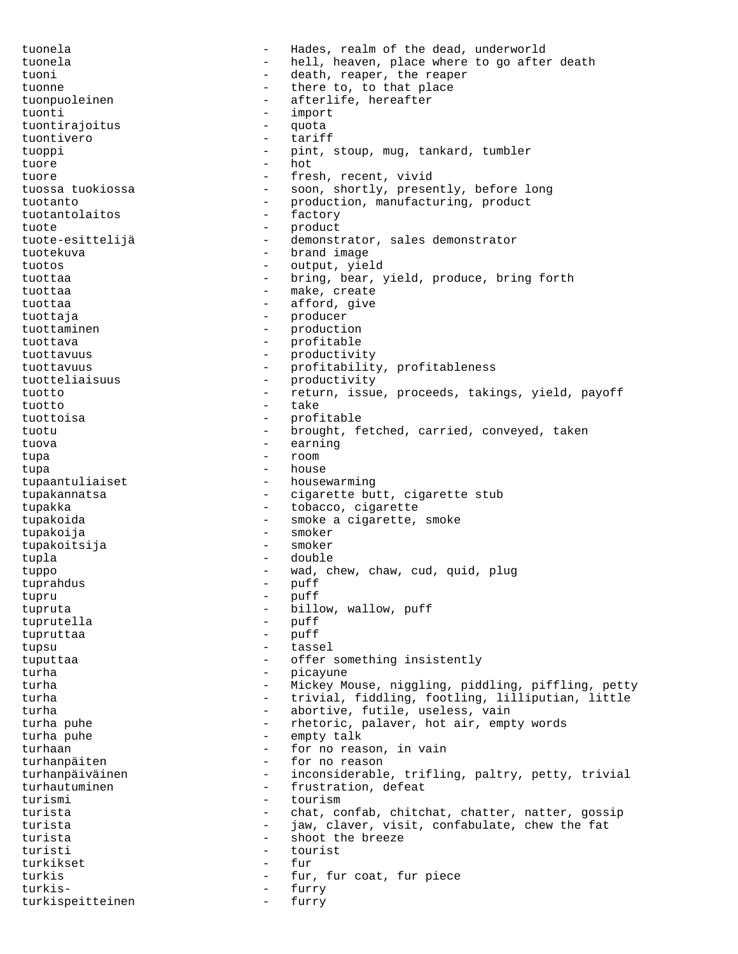tuonela - Hades, realm of the dead, underworld tuonela - hell, heaven, place where to go after death tuoni  $\qquad \qquad -$  death, reaper, the reaper tuonne  $\qquad \qquad -$  there to, to that place tuonpuoleinen 1988 - afterlife, hereafter tuonti - import tuontirajoitus - quota tuontivero - tariff tuoppi - pint, stoup, mug, tankard, tumbler<br>tuore - hot tuore tuore - fresh, recent, vivid<br>tuossa tuokiossa - soon, shortly, preser - soon, shortly, presently, before long tuotanto - production, manufacturing, product<br>tuotantolaitos - factory - factory tuotantolaitos tuote – product<br>tuote-esittelijä – energiale – demonstr tuote-esittelijä - demonstrator, sales demonstrator tuotekuva - brand image<br>tuotos - output vie tuotos - output, yield tuottaa - bring, bear, yield, produce, bring forth tuottaa  $-$  make, create tuottaa  $-$  afford, give tuottaja - producer tuottaminen - production tuottava - profitable tuottavuus - productivity tuottavuus - profitability, profitableness tuotteliaisuus - productivity<br>tuotto - return issue tuotto - return, issue, proceeds, takings, yield, payoff tuotto - take tuottoisa - profitable tuotu - brought, fetched, carried, conveyed, taken tuova - earning tupa - room tupa - house tupaantuliaiset - housewarming tupakannatsa - cigarette butt, cigarette stub tupakka - tobacco, cigarette tupakoida - smoke a cigarette, smoke tupakoija - smoker tupakoitsija - smoker tupla - double tuppo - wad, chew, chaw, cud, quid, plug<br>tuprahdus - puff tuprahdus - puffizik - puffizik - puffizik - puffizik - puffizik - puffizik - puffizik - puffizik - puffizik tupru - puff tupruta - billow, wallow, puff<br>tuprutella - puff tuprutella - puff tupruttaa tupsu - tassel tuputtaa - offer something insistently turha - picayune turha  $-$  Mickey Mouse, niggling, piddling, piffling, petty turha - trivial, fiddling, footling, lilliputian, little turha - abortive, futile, useless, vain turha puhe  $-$  rhetoric, palaver, hot air, empty words turha puhe - empty talk turhaan - for no reason, in vain<br>turhannäiten - for no reason turhanpäiten  $-$  for no reason turhanpäiväinen - inconsiderable, trifling, paltry, petty, trivial<br>turhautuminen - frustration, defeat - frustration, defeat turismi - tourism turista - chat, confab, chitchat, chatter, natter, gossip<br>turista - iaw claver visit confabulate chew the fat turista - jaw, claver, visit, confabulate, chew the fat<br>turista turista  $\qquad \qquad -$  shoot the breeze turisti - tourist turkikset - fur turkis  $-$  fur, fur coat, fur piece turkis- - furry turkispeitteinen - furry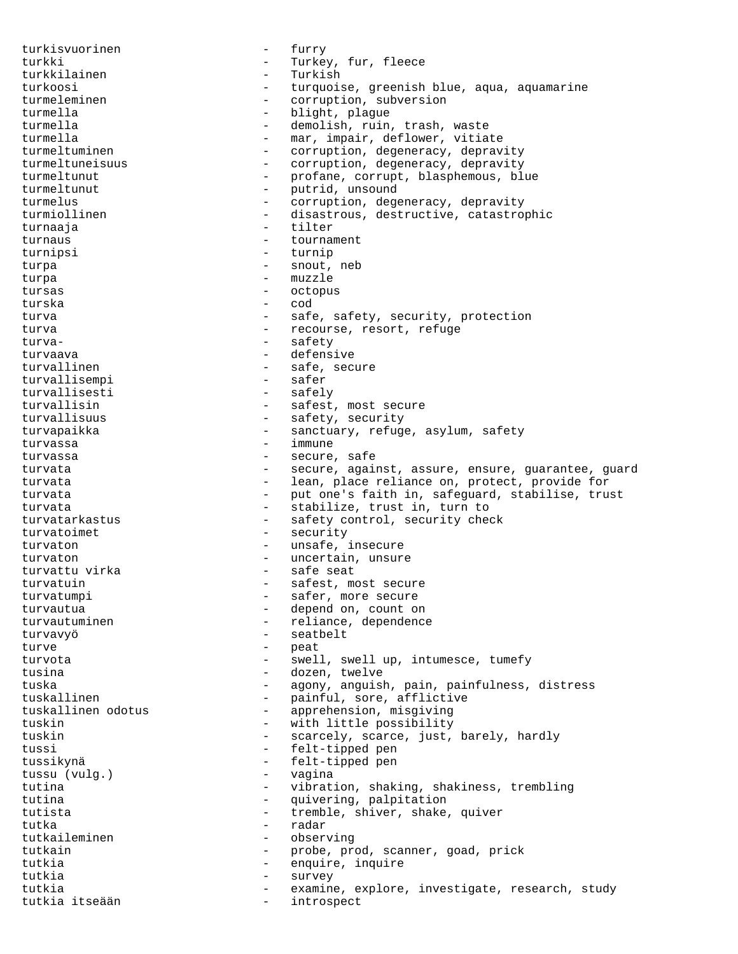turkisvuorinen - furry turkki - Turkey, fur, fleece<br>turkkilainen - Turkish - Turkish turkkilainen turkoosi - turquoise, greenish blue, aqua, aquamarine turmeleminen - corruption, subversion turmella - blight, plague turmella - demolish, ruin, trash, waste<br>turmella - mar. impair. deflower. vitiat turmella - mar, impair, deflower, vitiate<br>turmeltuminen - corruption, degeneracy, depray - corruption, degeneracy, depravity turmeltuneisuus - corruption, degeneracy, depravity turmeltunut - profane, corrupt, blasphemous, blue turmeltunut - putrid, unsound turmelus - corruption, degeneracy, depravity turmiollinen - disastrous, destructive, catastrophic turnaaja - tilter turnaus - tournament turnipsi - turnip turpa - snout, neb<br>turpa - snout, neb turpa - muzzle tursas - octopus - octopus turska - cod turva - safe, safety, security, protection turva  $-$  recourse, resort, refuge turva- - safety - defensive turvallinen - safe, secure turvallisempi - safer turvallisesti turvallisin external turvallisin turvallisin turvallisin turvallising turbulan turbulan turbulan turbulan turb turvallisuus - safety, security turvapaikka - sanctuary, refuge, asylum, safety turvassa - immune turvassa - secure, safe turvata e secure, against, assure, ensure, guarantee, guard turvata  $\qquad \qquad -$  lean, place reliance on, protect, provide for turvata - put one's faith in, safeguard, stabilise, trust turvata - stabilize, trust in, turn to turvatarkastus - safety control, security check turvatoimet - security turvaton - unsafe, insecure turvaton - uncertain, unsure turvattu virka  $-$  safe seat turvatuin external contracts and the safest, most secure turvatumpi - safer, more secure turvautua - depend on, count on turvautuminen en en andere versier af an arbitrationelle versier af an arbitrationelle versier af a turvavyö - seatbelt turve - peat turvota  $-$  swell, swell up, intumesce, tumefy tusina - dozen, twelve tuska - agony, anguish, pain, painfulness, distress tuskallinen - painful, sore, afflictive tuskallinen odotus - apprehension, misgiving tuskin - with little possibility tuskin - scarcely, scarce, just, barely, hardly<br>tussi - felt-tinned pen tussi - felt-tipped pen<br>tussikvnä - felt-tipped pen tussikynä - felt-tipped pen tussu (vulg.) - vagina tutina - vibration, shaking, shakiness, trembling tutina  $-$  quivering, palpitation tutista - tremble, shiver, shake, quiver tutka - radar tutkaileminen - observing tutkain - probe, prod, scanner, goad, prick<br>tutkia tutkia  $-$  enquire, inquire tutkia - survey tutkia  $-$  examine, explore, investigate, research, study tutkia itseään - introspect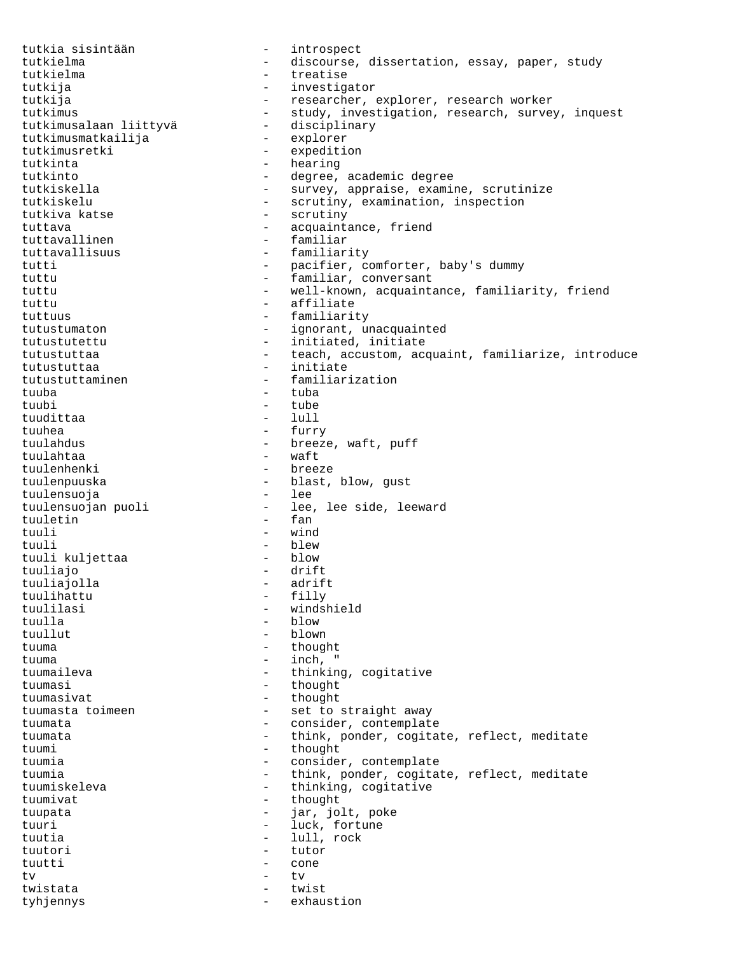tutkia sisintään - introspect tutkielma - discourse, dissertation, essay, paper, study tutkielma - treatise tutkija - investigator tutkija - researcher, explorer, research worker<br>tutkimus - study, investigation, research, survey - study, investigation, research, survey, inquest<br>- disciplinary tutkimusalaan liittyvä discipling tutkimusmatkailija tutkimusmatkailija<br>tutkimusretki tutkimusretki - expedition<br>tutkinta - hearing - hearing tutkinto - degree, academic degree - survey, appraise, examine, scrutinize tutkiskelu - scrutiny, examination, inspection tutkiva katse  $-$  scrutiny tuttava  $\qquad \qquad -$  acquaintance, friend tuttavallinen - familiar tuttavallisuus - familiarity tutti - pacifier, comforter, baby's dummy tuttu  $-$  familiar, conversant tuttu - well-known, acquaintance, familiarity, friend tuttu - affiliate tuttuus - familiarity tutustumaton - ignorant, unacquainted tutustutettu - initiated, initiate tutustuttaa - teach, accustom, acquaint, familiarize, introduce tutustuttaa - initiate tutustuttaminen - familiarization tuuba - tuba tuubi - tube tuudittaa tuuhea - furry tuulahdus - furry - furry tuulahdus - furry - furry - furry - furry - furry - furry - furry - furry - furry - furry - furry - furry - furry - furry - furry - furry - furry - furry - furry - furry - furry - f tuulahdus - breeze, waft, puff<br>tuulahtaa - - - - - - - waft tuulahtaa - waft tuulenhenki - breeze<br>tuulenpuuska - blast, - blast, blow, gust<br>- lee tuulensuoja tuulensuojan puoli - lee, lee side, leeward tuuletin - fan tuuli - wind tuuli - blew tuuli kuljettaa tuuliajo - drift - adrift<br>- filly tuulihattu<br>tuulilasi tuulilasi - windshield tuulla - blow - blown tuuma - thought tuuma - inch, " tuumaileva - thinking, cogitative tuumasi - thought tuumasivat - thought tuumasta toimeen  $-$  set to straight away tuumata - consider, contemplate tuumata  $-$  think, ponder, cogitate, reflect, meditate tuumi - thought tuumia  $-$  consider, contemplate tuumia - think, ponder, cogitate, reflect, meditate<br>tuumiskeleva - thinking, cogitative - thinking, cogitative tuumivat - thought tuupata - jar, jolt, poke tuuri - luck, fortune tuutia - lull, rock tuutori - tutor tuutti - cone tv - tv twistata - twist tyhjennys - exhaustion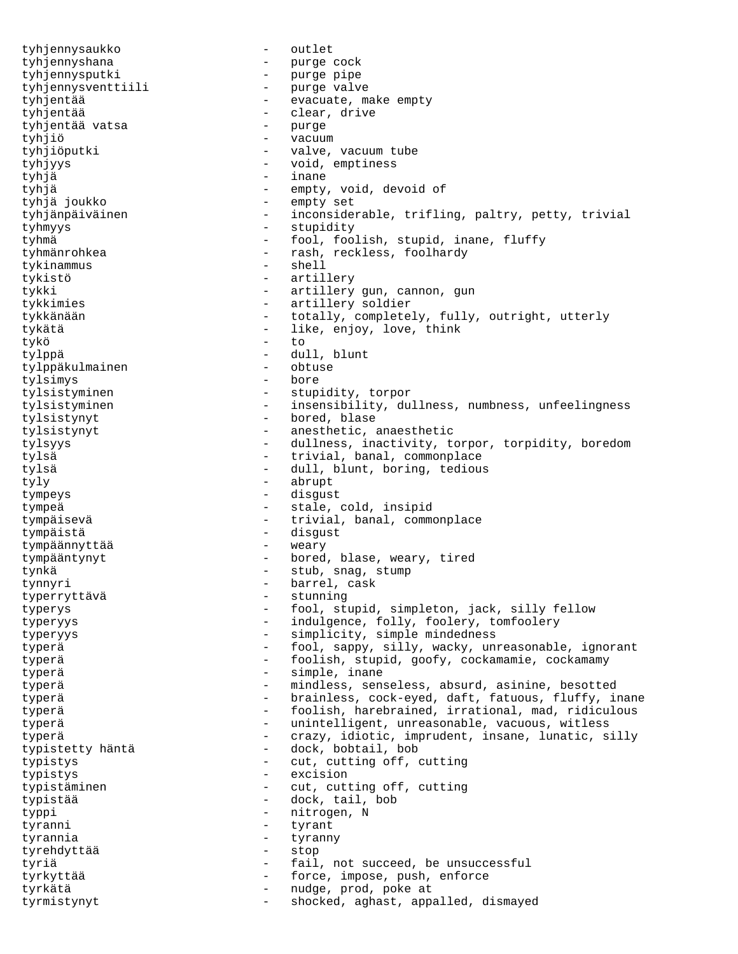tyhjennysaukko - outlet tyhjennyshana - purge cock tyhjennysputki - purge pipe tyhjennysventtiili tyhjentää - evacuate, make empty tyhjentää - clear, drive tyhjentää vatsa tyhjiö - vacuum tyhjiöputki - valve, vacuum tube tyhjyys - void, emptiness tyhjä - inane tyhjä - empty, void, devoid of tyhjä joukko - empty set tyhjänpäiväinen 1988 - inconsiderable, trifling, paltry, petty, trivial tyhmyys - stupidity tyhmä - fool, foolish, stupid, inane, fluffy tyhmänrohkea - rash, reckless, foolhardy<br>tykinammus - shell<br>- shell tykinammus tykistö - artillery - artillery gun, cannon, gun tykkimies - artillery soldier tykkänään  $-$  totally, completely, fully, outright, utterly tykätä - like, enjoy, love, think tykö - to tylppä - dull, blunt<br>tylppäkulmainen - obtuse - obtuse tylppäkulmainen tylsimys - bore tylsistyminen - stupidity, torpor tylsistyminen - insensibility, dullness, numbness, unfeelingness tylsistynyt - bored, blase tylsistynyt - anesthetic, anaesthetic tylsyys - dullness, inactivity, torpor, torpidity, boredom tylsä - trivial, banal, commonplace tylsä - dull, blunt, boring, tedious tyly - abrupt tympeys - disgust tympeä - stale, cold, insipid tympäisevä - trivial, banal, commonplace tympäistä - disgust tympäännyttää - weary tympääntynyt - bored, blase, weary, tired tynkä - stub, snag, stump tynnyri - barrel, cask typerryttävä - stunning typerys - fool, stupid, simpleton, jack, silly fellow typeryys - indulgence, folly, foolery, tomfoolery typeryys - simplicity, simple mindedness typerä - fool, sappy, silly, wacky, unreasonable, ignorant typerä - foolish, stupid, goofy, cockamamie, cockamamy typerä - simple, inane typerä - mindless, senseless, absurd, asinine, besotted typerä entieral resonalistive - brainless, cock-eyed, daft, fatuous, fluffy, inane typerä - foolish, harebrained, irrational, mad, ridiculous typerä - unintelligent, unreasonable, vacuous, witless typerä - crazy, idiotic, imprudent, insane, lunatic, silly typistetty häntä - dock, bobtail, bob typistys - cut, cutting off, cutting typistys - excision typistäminen - cut, cutting off, cutting typistää - dock, tail, bob typpi - nitrogen, N<br>tyranni - tyrant - tyrant tyranni - tyrant - tyrant - tyranni - tyranni - tyranni - tyranni - tyranni - tyranni - tyranni - tyranni - tyranni - tyranni - tyranni - tyranni - tyranni - tyranni - tyranni - tyranni - tyranni - tyranni - tyranni - tyra tyrannia - tyranny tyrehdyttää - stop tyriä - fail, not succeed, be unsuccessful tyrkyttää - force, impose, push, enforce tyrkätä - nudge, prod, poke at tyrmistynyt - shocked, aghast, appalled, dismayed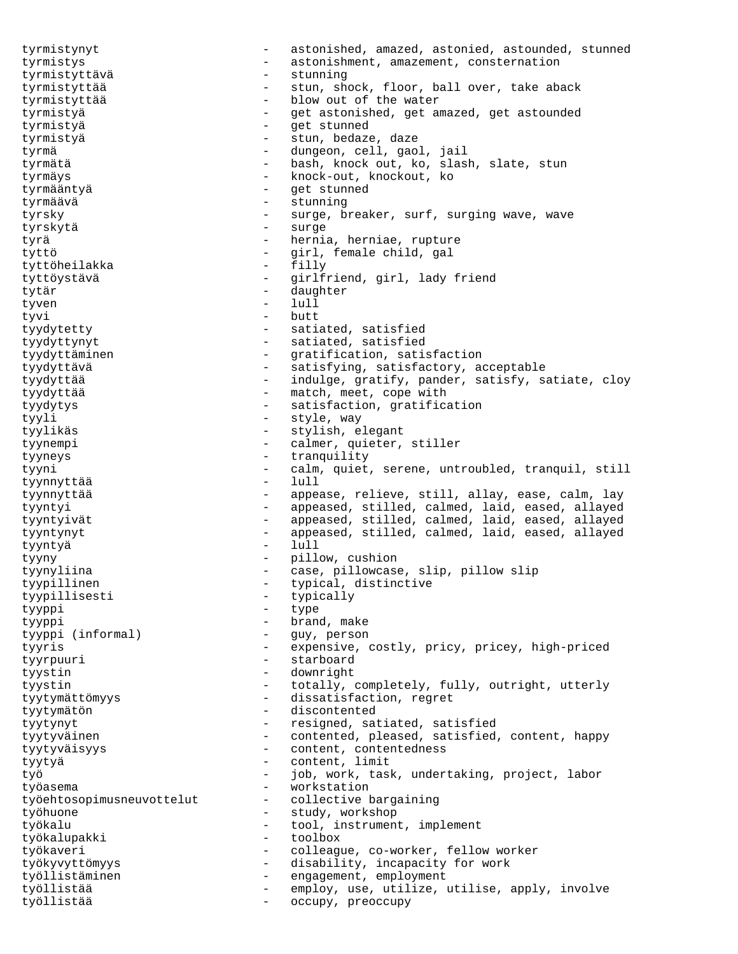tyrmistynyt extended - astonished, amazed, astonied, astounded, stunned tyrmistys - astonishment, amazement, consternation tyrmistyttävä - stunning tyrmistyttää - stun, shock, floor, ball over, take aback tyrmistyttää  $-$  blow out of the water tyrmistyä - get astonished, get amazed, get astounded tyrmistyä - get stunned tyrmistyä - stun, bedaze, daze tyrmä  $\qquad \qquad -$  dungeon, cell, gaol, jail tyrmätä - bash, knock out, ko, slash, slate, stun tyrmäys - knock-out, knockout, ko tyrmääntyä - get stunned tyrmäävä - stunning tyrsky **1988** - surge, breaker, surf, surging wave, wave tyrskytä - surge tyrä 1988 – Hernia, herniae, rupture tyttö - girl, female child, gal tyttöheilakka – filosoofiakka – filosoofiakka – filosoofiakka – filosoofiakka – filosoofiakka – filosoofiakka tyttöystävä - girlfriend, girl, lady friend - daughter tyven - lull tyvi - butt tyydytetty - satiated, satisfied tyydyttynyt - satiated, satisfied tyydyttäminen - gratification, satisfaction tyydyttävä - satisfying, satisfactory, acceptable tyydyttää  $-$  indulge, gratify, pander, satisfy, satiate, cloy tyydyttää - match, meet, cope with tyydytys - satisfaction, gratification tyyli - style, way tyylikäs - stylish, elegant tyynempi - calmer, quieter, stiller<br>
tynews<br>
- tranquility tyyneys - tranquility tyyni - calm, quiet, serene, untroubled, tranquil, still<br>twonovttää lull tyynnyttää tyynnyttää  $-$  appease, relieve, still, allay, ease, calm, lay tyyntyi - appeased, stilled, calmed, laid, eased, allayed tyyntyivät - appeased, stilled, calmed, laid, eased, allayed tyyntynyt - appeased, stilled, calmed, laid, eased, allayed tyyntyä - lull tyyny - pillow, cushion tyynyliina - case, pillowcase, slip, pillow slip tyypillinen - typical, distinctive tyypillisesti - typically<br>typni - typesti tyyppi - type tyyppi (informal) - brand, make<br>tyyppi (informal) - guy, person - guy, person tyyris - expensive, costly, pricy, pricey, high-priced tyyrpuuri - starboard tyystin - downright tyystin - totally, completely, fully, outright, utterly tyytymättömyys - dissatisfaction, regret tyytymätön - discontented tyytynyt - resigned, satiated, satisfied tyytyväinen en en voortented, pleased, satisfied, content, happy tyytyväisyys - content, contentedness tyytyä - content, limit työ - job, work, task, undertaking, project, labor työasema<br>työehtosopimusneuvottelut - workstation<br>- collective bargaining työehtosopimusneuvottelut työhuone - study, workshop työkalu - tool, instrument, implement<br>työkalupakki - toolbox - toolbox työkalupakki työkaveri - colleague, co-worker, fellow worker työkyvyttömyys - disability, incapacity for work työllistäminen - engagement, employment työllistää - employ, use, utilize, utilise, apply, involve<br>työllistää - esemploy, preoccupy työllistää - occupy, preoccupy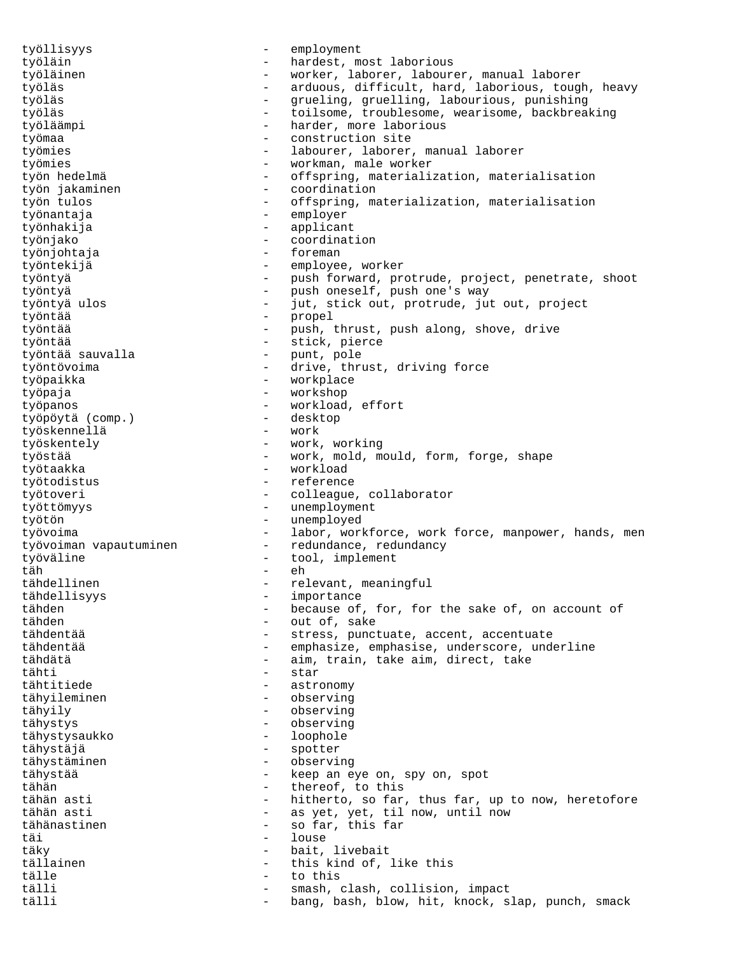työllisyys - employment työläin - hardest, most laborious työläinen 1988 - worker, laborer, labourer, manual laborer työläs - arduous, difficult, hard, laborious, tough, heavy työläs - grueling, gruelling, labourious, punishing työläs - toilsome, troublesome, wearisome, backbreaking työläämpi - harder, more laborious työmaa - construction site työmies - labourer, laborer, manual laborer työmies - workman, male worker työn hedelmä - offspring, materialization, materialisation työn jakaminen - coordination työn tulos - offspring, materialization, materialisation työnantaja - employer työnhakija - applicant työnjako - coordination työnjohtaja - foreman työntekijä - employee, worker työntyä - push forward, protrude, project, penetrate, shoot työntyä - push oneself, push one's way työntyä ulos - jut, stick out, protrude, jut out, project työntää - propel työntää - push, thrust, push along, shove, drive työntää - stick, pierce työntää sauvalla työntövoima - drive, thrust, driving force työpaikka - workplace työpaja - workshop työpanos - workload, effort työpöytä (comp.) - desktop työskennellä työskentely - work, working työstää - work, mold, mould, form, forge, shape työtaakka - workload työtodistus - reference työtoveri - colleague, collaborator työttömyys - unemployment työtön - unemployed työvoima en mannet varitsel varitsel varitsel varitsel varitsel varitsel varitsel varitsel varitsel varitsel v työvoiman vapautuminen - redundance, redundancy työväline - tool, implement täh eh tähdellinen ein von dem verschieden auch der relevant, meaningful tähdellisyys - importance tähden - because of, for, for the sake of, on account of tähden - out of, sake tähden - out of, sake - stress, punctuate, accent, accentuate tähdentää  $-$  emphasize, emphasise, underscore, underline tähdätä - aim, train, take aim, direct, take tähti - star tähtitiede - astronomy tähyileminen - observing tähyily - observing tähystys - observing tähystysaukko - loophole tähystäjä - spotter<br>tähystäminen - - spotter tähystäminen - observing tähystää - keep an eye on, spy on, spot - thereof, to this tähän asti elektronistista - hitherto, so far, thus far, up to now, heretofore tähän asti  $-$  as yet, yet, til now, until now tähänastinen - so far, this far täi - louse täky - bait, livebait tällainen - this kind of, like this tälle tälle - to this - smash, clash, collision, impact tälli - bang, bash, blow, hit, knock, slap, punch, smack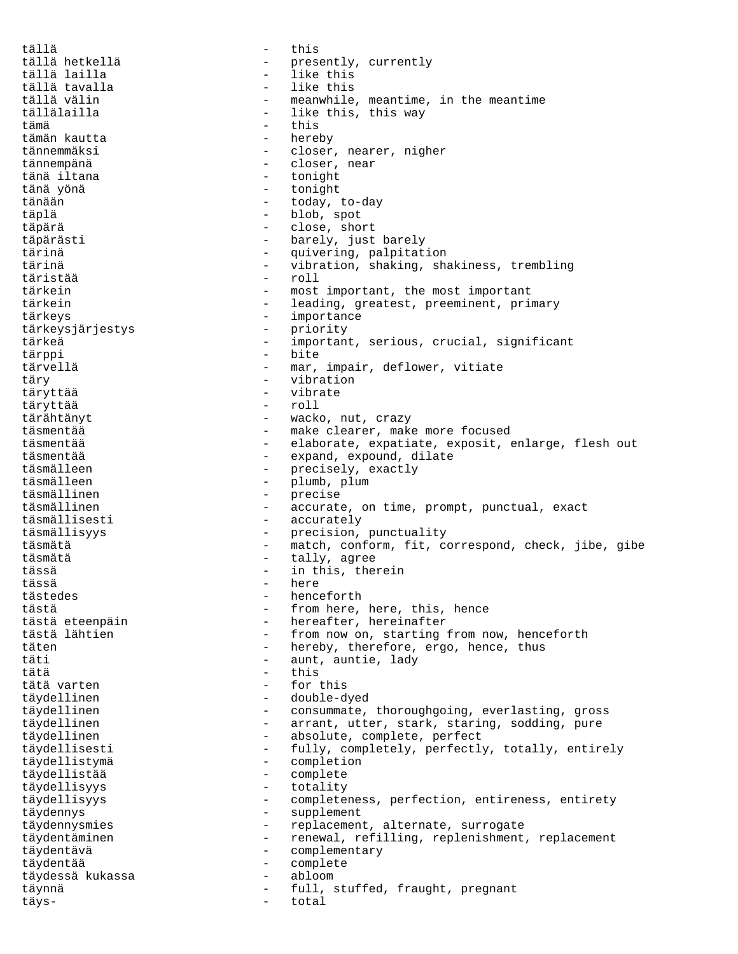tällä - this tällä hetkellä - presently, currently tällä lailla - like this tällä tavalla - like this tällä välin - meanwhile, meantime, in the meantime - like this, this way tämä - this tämän kautta<br>tännemmäksi - closer, nearer, nigher tännempänä - closer, near tänä iltana - tonight - tonight tänään - today, to-day täplä - blob, spot täpärä - close, short täpärästi - barely, just barely tärinä - quivering, palpitation tärinä - vibration, shaking, shakiness, trembling - roll tärkein - most important, the most important tärkein ein von deutscheiden von der deeling, greatest, preeminent, primary tärkeys - importance tärkeysjärjestys tärkeä - important, serious, crucial, significant tärppi - bite tärvellä - mar, impair, deflower, vitiate täry - vibration täryttää - vibrate täryttää - roll tärähtänyt - wacko, nut, crazy täsmentää - make clearer, make more focused täsmentää - elaborate, expatiate, exposit, enlarge, flesh out täsmentää - expand, expound, dilate<br>täsmälleen - - expand, expound, dilate - precisely, exactly täsmälleen  $-$  plumb, plum täsmällinen - precise täsmällinen 1988 - accurate, on time, prompt, punctual, exact täsmällisesti - accurately täsmällisyys - precision, punctuality täsmätä - match, conform, fit, correspond, check, jibe, gibe<br>täsmätä - tally agree täsmätä - tally, agree tässä - in this, therein<br>tässä - in this, therein tässä - here tästedes en mensualiste beneforth tästä - from here, here, this, hence tästä eteenpäin - hereafter, hereinafter - from now on, starting from now, henceforth täten - hereby, therefore, ergo, hence, thus täti  $\begin{array}{ccc}\n \downarrow & \downarrow & \downarrow \\
 \downarrow & \downarrow & \downarrow \\
 \downarrow & \downarrow & \downarrow \\
 \downarrow & \downarrow & \downarrow \\
 \downarrow & \downarrow & \downarrow \\
 \end{array}$ tätä - this tätä varten  $-$  for this täydellinen - double-dyed täydellinen en andressen voorsummate, thoroughgoing, everlasting, gross täydellinen - arrant, utter, stark, staring, sodding, pure täydellinen - absolute, complete, perfect täydellisesti - fully, completely, perfectly, totally, entirely täydellistymä - completion täydellistää - complete täydellisyys - totality täydellisyys entirety - completeness, perfection, entireness, entirety täydennys - supplement täydennysmies - replacement, alternate, surrogate täydentäminen - renewal, refilling, replenishment, replacement täydentävä - complementary täydentää - complete täydessä kukassa - abloom täynnä - full, stuffed, fraught, pregnant täys- - total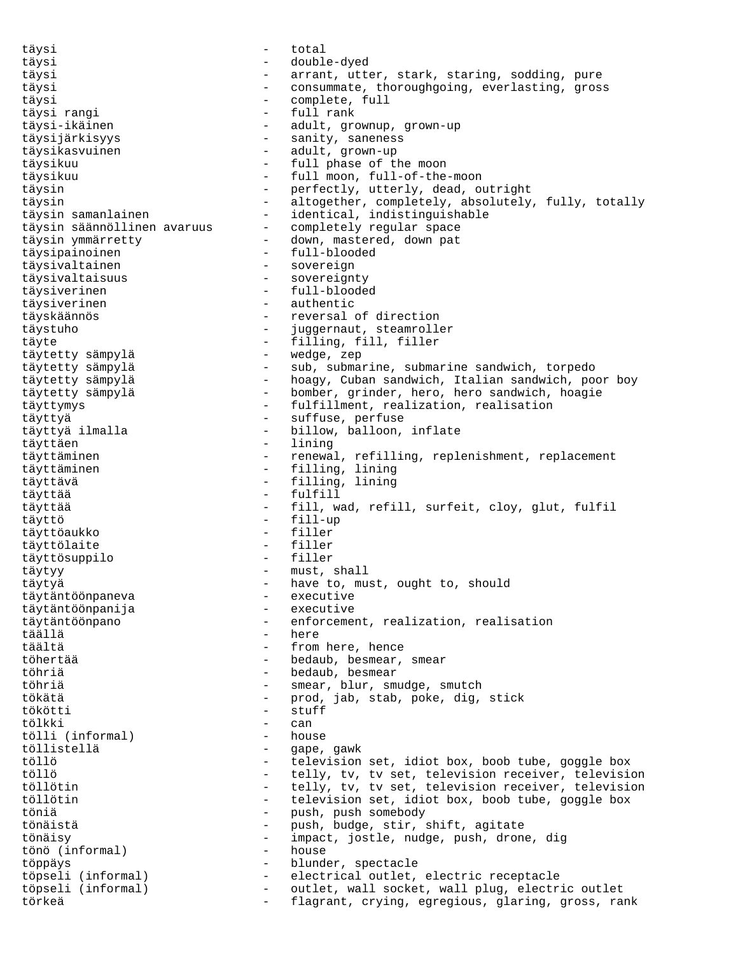täysi - total täysi - double-dyed täysi 1988 - arrant, utter, stark, staring, sodding, pure täysi - consummate, thoroughgoing, everlasting, gross täysi  $-$  complete, full täysi rangi  $-$  full rank täysi rangi<br>täysi-ikäinen - adult, grownup, grown-up täysijärkisyys - sanity, saneness täysikasvuinen en mittelle valtassa valtassa valtassa valtassa valtassa valtassa valtassa valtassa valtassa va täysikuu - full phase of the moon täysikuu - full moon, full-of-the-moon täysin - perfectly, utterly, dead, outright täysin  $-$  altogether, completely, absolutely, fully, totally täysin samanlainen identical, indistinguishable<br>täysin säännöllinen avaruus completely regular space täysin säännöllinen avaruus - completely regular space täysin ymmärretty - down, mastered, down pat täysipainoinen - full-blooded täysivaltainen - sovereign täysivaltaisuus - sovereignty täysiverinen - full-blooded täysiverinen - authentic täyskäännös - reversal of direction täystuho - juggernaut, steamroller täyte  $-$  filling, fill, filler täytetty sämpylä - wedge, zep täytetty sämpylä - sub, submarine, submarine sandwich, torpedo täytetty sämpylä - hoagy, Cuban sandwich, Italian sandwich, poor boy täytetty sämpylä  $-$  bomber, grinder, hero, hero sandwich, hoagie täyttymys - fulfillment, realization, realisation täyttyä - suffuse, perfuse - billow, balloon, inflate täyttäen - lining täyttäminen 1988 - renewal, refilling, replenishment, replacement täyttäminen - filling, lining - filling, lining täyttää - fulfill täyttää - fill, wad, refill, surfeit, cloy, glut, fulfil täyttö - fill-up täyttöaukko - filler täyttölaite - filler täyttösuppilo täytyy - must, shall täytyä - have to, must, ought to, should täytäntöönpaneva - executive täytäntöönpanija täytäntöönpano - enforcement, realization, realisation<br>täällä - here täältä  $-$  from here, hence töhertää  $-$  bedaub, besmear, smear töhriä - bedaub, besmear töhriä  $-$  smear, blur, smudge, smutch tökätä - prod, jab, stab, poke, dig, stick tökötti - stuff tölkki – can<br>tölli (informal) – house tölli (informal) – –<br>töllistellä – töllistellä - gape, gawk töllö - television set, idiot box, boob tube, goggle box töllö - telly, tv, tv set, television receiver, television - telly, tv, tv set, television receiver, television töllötin  $-$  television set, idiot box, boob tube, goggle box töniä - push, push somebody tönäistä - push, budge, stir, shift, agitate tönäisy - impact, jostle, nudge, push, drone, dig tönö (informal) töppäys - blunder, spectacle töpseli (informal) - electrical outlet, electric receptacle töpseli (informal) - outlet, wall socket, wall plug, electric outlet törkeä - flagrant, crying, egregious, glaring, gross, rank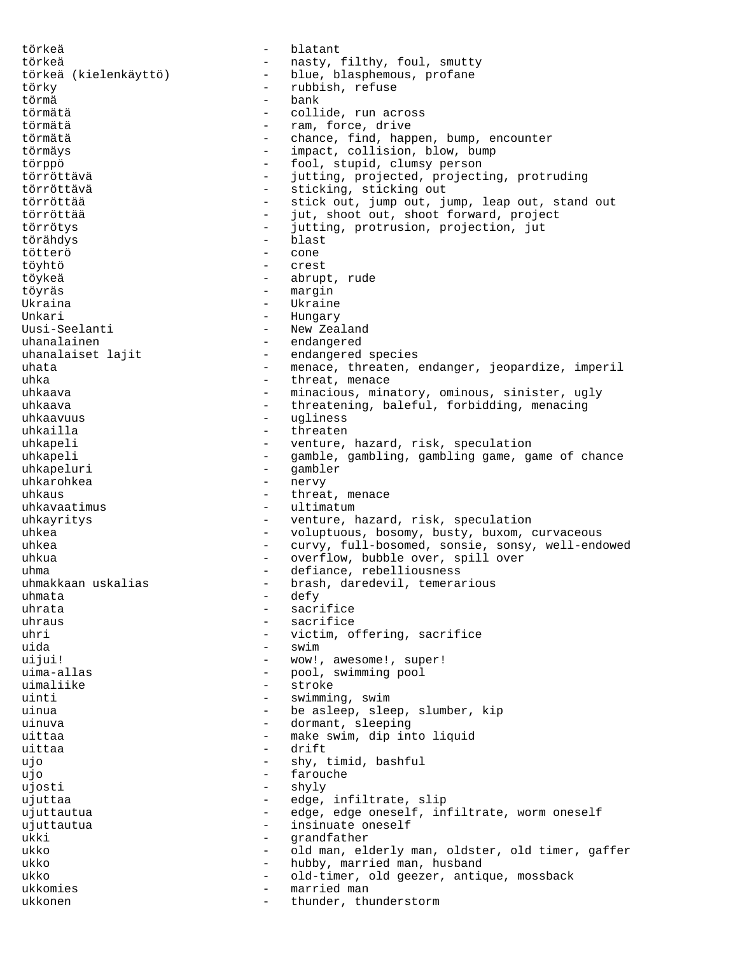törkeä - blatant - blatant<br>törkeä - blatant - blatant törkeä - nasty, filthy, foul, smutty - blue, blasphemous, profane törky - rubbish, refuse törmä - bank törmätä - collide, run across törmätä - ram, force, drive chance, find, happen, bump, encounter törmäys - impact, collision, blow, bump törppö - fool, stupid, clumsy person törröttävä - jutting, projected, projecting, protruding törröttävä - sticking, sticking out törröttää - stick out, jump out, jump, leap out, stand out törröttää - jut, shoot out, shoot forward, project törrötys - jutting, protrusion, projection, jut törähdys – blast strandarde strandarde strandarde strandarde strandarde strandarde strandarde strandarde strandarde strandarde strandarde strandarde strandarde strandarde strandarde strandarde strandarde strandarde stranda tötterö - cone töyhtö - crest töykeä - abrupt, rude töyräs - margin Ukraina - Ukraine - Ukraine - Ukraine - Ukraine - Ukraine - Ukraine - Ukraine - Ukraine - Ukraine - Ukraine - - Hungary Uusi-Seelanti - New Zealand uhanalainen 1980 - Endangered uhanalaiset lajit - endangered species uhata - menace, threaten, endanger, jeopardize, imperil uhka - threat, menace uhkaava - minacious, minatory, ominous, sinister, ugly uhkaava - threatening, baleful, forbidding, menacing uhkaavuus - ugliness<br>uhkailla - threaten uhkailla - threaten uhkapeli - venture, hazard, risk, speculation<br>uhkapeli - qamble, qambling, qambling qame, qamb - gamble, gambling, gambling game, game of chance uhkapeluri - gambler - nervy uhkaus - threat, menace uhkavaatimus - ultimatum uhkayritys extended the venture, hazard, risk, speculation uhkea - voluptuous, bosomy, busty, buxom, curvaceous uhkea - curvy, full-bosomed, sonsie, sonsy, well-endowed uhkua - overflow, bubble over, spill over<br>uhma - defiance, rebelliousness - defiance, rebelliousness<br>- brash daredevil temera: uhmakkaan uskalias  $\overline{a}$  - brash, daredevil, temerarious uhmata - defy uhrata - sacrifice<br>uhraus - sacrifice uhraus - sacrifice<br>uhri - victim o victim, offering, sacrifice uida - swim uijui!  $-$  wow!, awesome!, super! uima-allas - pool, swimming pool uimaliike - stroke uinti  $-$  swimming, swim uinua - be asleep, sleep, slumber, kip<br>
- dormant sleeping uinuva - dormant, sleeping uittaa - make swim, dip into liquid<br>uittaa - - drift - drift uittaa - drift - drift - drift - drift - drift - drift - drift - drift - drift - drift - drift - drift - drift - drift - drift - drift - drift - drift - drift - drift - drift - drift - drift - drift - drift - drift - drift ujo - shy, timid, bashful<br>ujo - shy, timid, bashful ujo - farouche ujosti - shyly ujuttaa - edge, infiltrate, slip<br>ujuttautua - edge edge oneself inf ujuttautua - edge, edge oneself, infiltrate, worm oneself ujuttautua - insinuate oneself ukki - grandfather ukko  $-$  old man, elderly man, oldster, old timer, gaffer ukko  $-$  hubby, married man, husband ukko  $-$  old-timer, old geezer, antique, mossback ukkomies - married man ukkonen - thunder, thunderstorm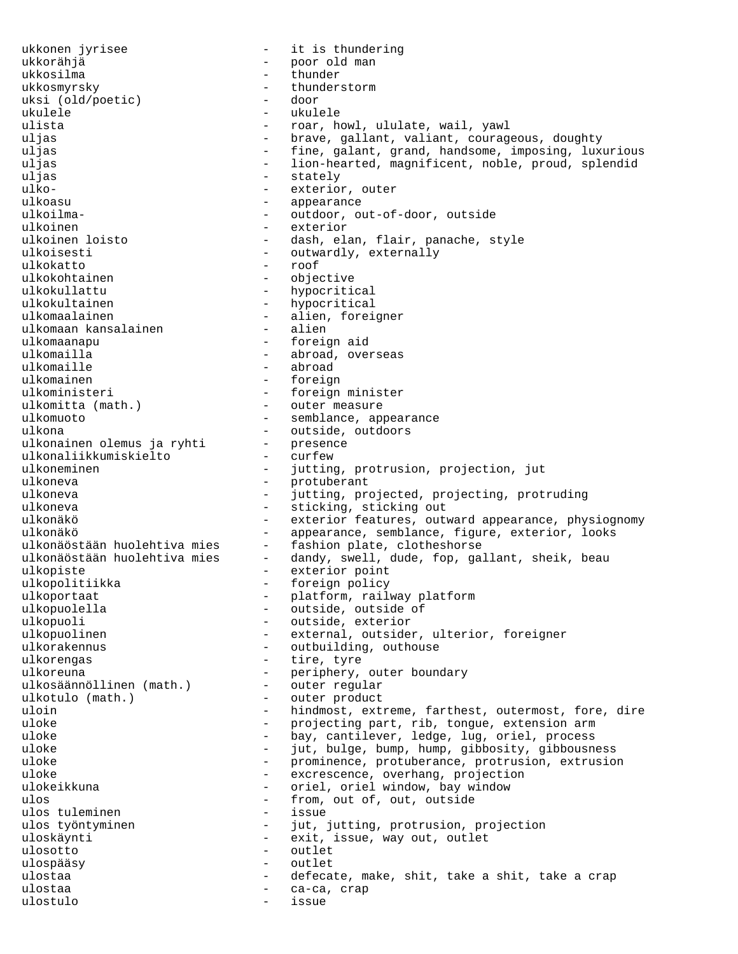ukkonen jyrisee - it is thundering ukkorähjä - poor old man ukkosilma ukkosmyrsky - thunderstorm<br>uksi (old/poetic) - door uksi (old/poetic) ukulele - ukulele - ukulele - ukulele - ukulele - ukulele - ukulele - ukulele - ukulele - ukulele - ukulele - <br>ulista - ukulele - ukulele - ukulele - ukulele - ukulele - ukulele - ukulele - ukulele - ukulele - ukulele - uk ulista - roar, howl, ululate, wail, yawl<br>uljas - brave, gallant, valiant, courage uljas - brave, gallant, valiant, courageous, doughty<br>uljas - fine, galant, grand, handsome, imposing, lux - fine, galant, grand, handsome, imposing, luxurious uljas - lion-hearted, magnificent, noble, proud, splendid uljas - stately - exterior, outer ulkoasu - appearance ulkoilma- - outdoor, out-of-door, outside ulkoinen - exterior - dash, elan, flair, panache, style ulkoisesti - outwardly, externally<br>ulkokatto - roof - roof ulkokatto - roof ulkokohtainen - objective ulkokullattu - hypocritical<br>ulkokultainen - hypocritical ulkokultainen - hypocritical<br>ulkomaalainen - alien, forei - alien, foreigner ulkomaan kansalainen ulkomaanapu - foreign aid ulkomailla - abroad, overseas<br>ulkomaille - abroad - abroad ulkomaille - abroad ulkomainen - foreign ulkoministeri - foreign minister<br>ulkomitta (math.) - outer measure ulkomitta (math.) - outer measure ulkomuoto - semblance, appearance ulkona - outside, outdoors ulkonainen olemus ja ryhti - presence ulkonaliikkumiskielto - curfew ulkoneminen 1988 - jutting, protrusion, projection, jut ulkoneva - protuberant ulkoneva - jutting, projected, projecting, protruding<br>ulkoneva - sticking sticking out ulkoneva - sticking, sticking out<br>ulkonäkö - exterior features, outu - exterior features, outward appearance, physiognomy ulkonäkö - appearance, semblance, figure, exterior, looks<br>ulkonäöstään huolehtiva mies - fashion plate, clotheshorse ulkonäöstään huolehtiva mies<br>ulkonäöstään huolehtiva mies - dandy, swell, dude, fop, gallant, sheik, beau ulkopiste - exterior point<br>ulkopolitiikka - - foreign policy - foreign policy ulkoportaat - platform, railway platform<br>ulkopuolella - - - - - - - - outside, outside of ulkopuolella - outside, outside of<br>ulkopuoli - outside, exterior ulkopuoli - outside, exterior<br>ulkopuolinen - - external, outside: - external, outsider, ulterior, foreigner ulkorakennus - outbuilding, outhouse ulkorengas entire, tyre ulkoreuna<br>ulkosäännöllinen (math.) - periphery, outer boundary<br>- outer regular uikosäännöllinen (math.) ulkotulo (math.) - outer product uloin **1988** - hindmost, extreme, farthest, outermost, fore, dire uloke  $-$  projecting part, rib, tongue, extension arm uloke - bay, cantilever, ledge, lug, oriel, process uloke  $-$  jut, bulge, bump, hump, gibbosity, gibbousness uloke - prominence, protuberance, protrusion, extrusion<br>
- excrescence, overhang, projection uloke - excrescence, overhang, projection<br>ulokeikkuna - - oriel, oriel window, bay window - oriel, oriel window, bay window ulos  $\begin{array}{ccc}\n- & \text{from, out of, out, outside} \\
\text{if one, out of, out} \\
\end{array}$ ulos tuleminen<br>ulos työntyminen - jut, jutting, protrusion, projection uloskäynti - exit, issue, way out, outlet ulosotto - outlet ulospääsy - outlet ulostaa - defecate, make, shit, take a shit, take a crap ulostaa - ca-ca, crap ulostulo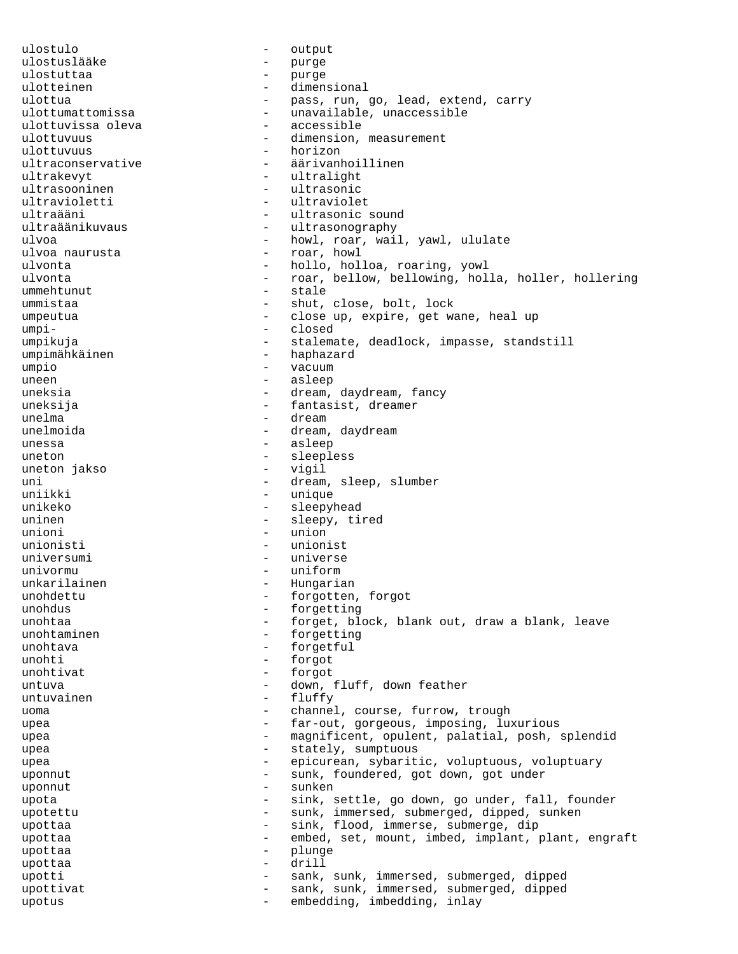ulostulo - output ulostuslääke - purge ulostuttaa - purge ulotteinen 1988 - dimensional ulottua - pass, run, go, lead, extend, carry ulottumattomissa - unavailable, unaccessible ulottuvissa oleva - accessible<br>ulottuvuus - dimension. ulottuvuus - dimension, measurement<br>ulottuvuus - horizon - horizon ultraconservative - äärivanhoillinen<br>ultrakevyt - ultralight - ultralight ultrasooninen - ultrasonic<br>ultravioletti - ultraviole ultravioletti ultraviolet<br>ultraääni ultrasonic - ultrasonic sound ultraäänikuvaus - ultrasonography ulvoa  $\begin{array}{ccc}\n & - & \text{howl, roar, wail, yawl, ululate} \\
\text{1} & - & \text{roar, howl}\n\end{array}$ - roar, howl ulvonta - hollo, holloa, roaring, yowl ulvonta - roar, bellow, bellowing, holla, holler, hollering ummehtunut - stale ummistaa - shut, close, bolt, lock umpeutua - close up, expire, get wane, heal up umpi-<br>
- closed umpikuja - stalemate, deadlock, impasse, standstill umpimähkäinen  $-$  haphazard umpio - vacuum uneen - asleep uneksia - dream, daydream, fancy uneksija - fantasist, dreamer unelma - dream unelmoida - dream, daydream unessa - asleep uneton - sleepless<br>uneton iskso<br>- vigil uneton jakso - vigil uni - dream, sleep, slumber<br>uniikki - unioue - unioue uniikki - unique<br>unikeko - sleepvl - sleepyhead uninen 1989 - Sleepy, tired unioni - union unionisti - unionist universumi - universe univormu - uniform<br>unkarilainen - Hungaria unkarilainen 1988 - Hungarian Amerikaanse voormalige van die Hungarian voormalige van die Volge van die Volge<br>1989 - Amerikaanse van die Volge van die Volge van die Volge van die Volge van die Volge van die Volge van die unohdettu - forgotten, forgotten, forgotten, forgotten, forgotten, forgotten, forgotten, forgotten, forgotten,  $\sim$  forgotten, forgotten, forgotten, forgotten, forgotten, forgotten, forgotten, forgotten, forgotten, forgott unohdus - forgetting<br>unohtaa - forget, bl unohtaa - forget, block, blank out, draw a blank, leave<br>unohtaminen - forgetting - forgetting unohtava - forgetful unohti - forgot unohtivat - forgot untuva - down, fluff, down feather untuvainen  $\overline{\phantom{a}}$  fluffy<br>uoma – channei uoma - channel, course, furrow, trough upea - far-out, gorgeous, imposing, luxurious upea - magnificent, opulent, palatial, posh, splendid upea - stately, sumptuous upea - epicurean, sybaritic, voluptuous, voluptuary uponnut - sunk, foundered, got down, got under uponnut - sunken upota - sink, settle, go down, go under, fall, founder upotettu - sunk, immersed, submerged, dipped, sunken upottaa - sink, flood, immerse, submerge, dip upottaa - embed, set, mount, imbed, implant, plant, engraft upottaa - plunge upottaa - drill upotti - sank, sunk, immersed, submerged, dipped upottivat - sank, sunk, immersed, submerged, dipped upotus - embedding, imbedding, inlay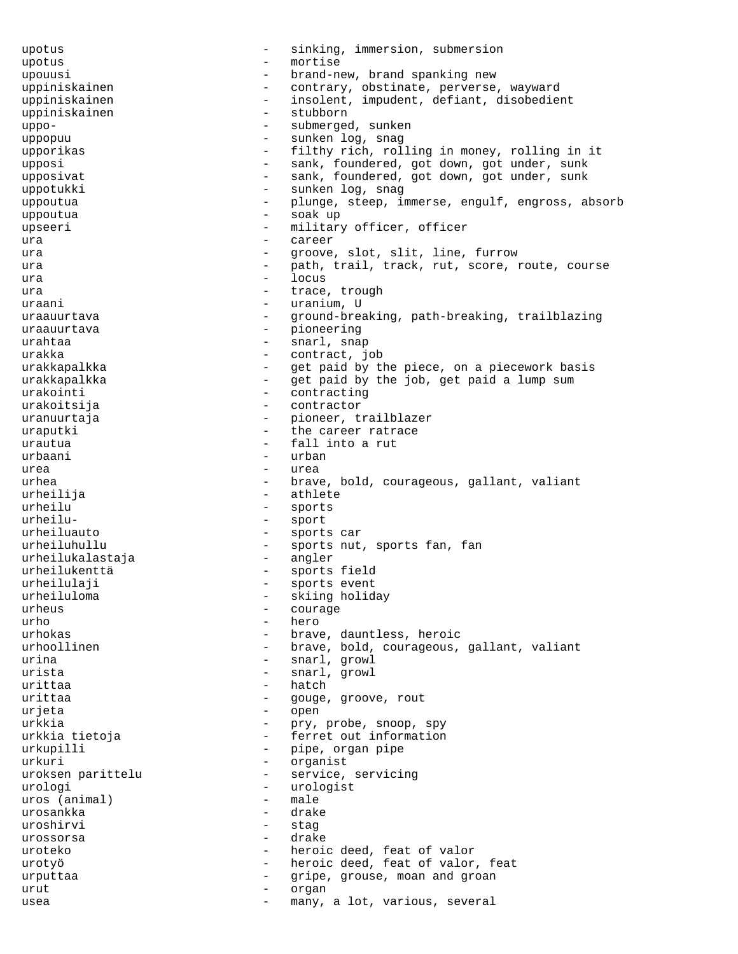upotus - sinking, immersion, submersion upotus - mortise upouusi - brand-new, brand spanking new uppiniskainen 1988 - contrary, obstinate, perverse, wayward uppiniskainen 1988 - insolent, impudent, defiant, disobedient<br>uppiniskainen 1988 - stubborn uppiniskainen uppo- - submerged, sunken uppopuu - sunken log, snag upporikas - filthy rich, rolling in money, rolling in it upposi **120 CM** - sank, foundered, got down, got under, sunk upposivat - sank, foundered, got down, got under, sunk uppotukki - sunken log, snag uppoutua enties of the plunge, steep, immerse, engulf, engross, absorb uppoutua - soak up upseeri - military officer, officer ura en el estado en el estado en el estado en el estado en el estado en el estado en el estado en el estado en ura - groove, slot, slit, line, furrow ura e e e e e e e e path, trail, track, rut, score, route, course<br>
- locus ura - locus trace, trough uraani - uranium, U uraauurtava - career - ground-breaking, path-breaking, trailblazing uraauurtava - pioneering urahtaa  $-$  snarl, snap urakka - contract, job urakkapalkka - Get paid by the piece, on a piecework basis urakkapalkka - get paid by the job, get paid a lump sum<br>urakointi urakointi - contracting urakoitsija - contractor uranuurtaja - pioneer, trailblazer<br>uranutki - the career ratrace uraputki - the career ratrace<br>urantus - the career ratrace urautua  $\qquad \qquad -$  fall into a rut urbaani - urban - urban urea - urea - urea - urea - urea - urea - urea - urea - urea - urea - urea - urea - urea - urea - urea - urea urhea - brave, bold, courageous, gallant, valiant urheilija - athlete urheilu - sports<br>urheilu- - sport - sport - sport urheiluauto - sports car urheiluhullu - sports nut, sports fan, fan urheilukalastaja - angler urheilukalastaja urheilukenttä - sports field urheilulaji - sports event urheiluloma - skiing holiday<br>urheus - courage - courage urheus - courage urho - hero urhokas - brave, dauntless, heroic urhoollinen - brave, bold, courageous, gallant, valiant urina  $-$  snarl, growl urista  $-$  snarl, growl urittaa - hatch urittaa - gouge, groove, rout<br>urieta urjeta - open urkkia - pry, probe, snoop, spy urkkia tietoja - ferret out information urkupilli - pipe, organ pipe<br>urkuri - organist urkuri - organist<br>uroksen parittelu - service, - service, servicing urologi - urologist<br>uros (animal) - male uros (animal) urosankka  $\begin{array}{ccc} - & d$ rake  $\end{array}$ uroshirvi - stag<br>urossorsa - drak urossorsa - drake uroteko - heroic deed, feat of valor urotyö - heroic deed, feat of valor, feat urputtaa - gripe, grouse, moan and groan - gripe, grouse, moan and groan urut - organ usea - many, a lot, various, several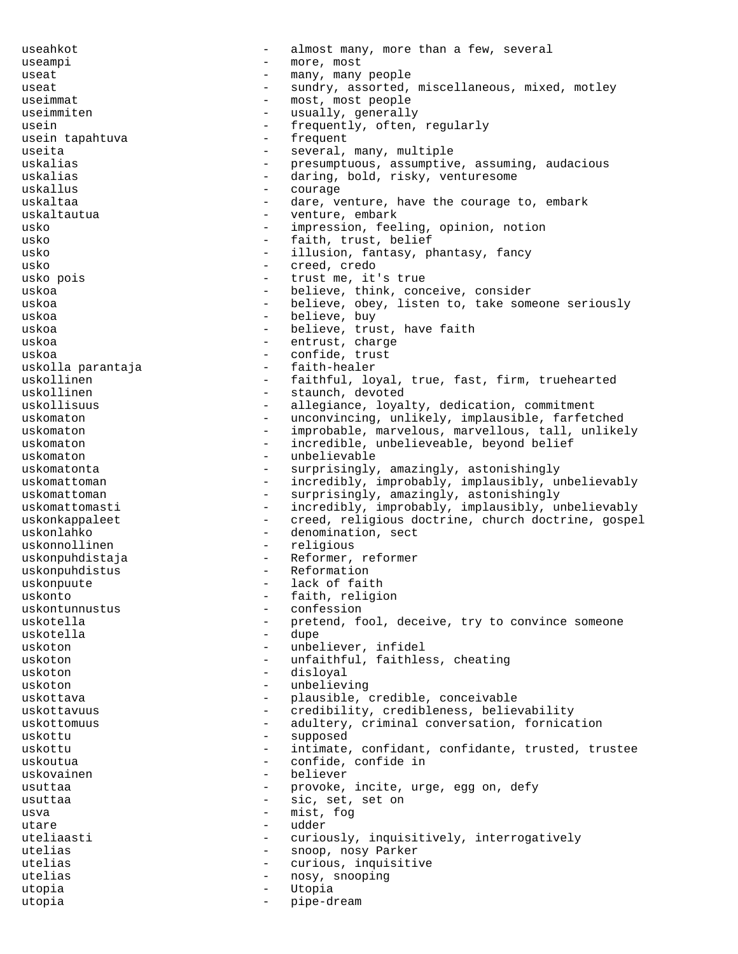useahkot - almost many, more than a few, several useampi - more, most useat  $-$  many, many people useat - sundry, assorted, miscellaneous, mixed, motley useimmat - most, most people useimmiten - usually, generally usein  $-$  frequently, often, regularly<br>usein tanahtuva  $-$  frequent usein tapahtuva - frequent useita - several, many, multiple uskalias and the presumptuous, assumptive, assuming, audacious uskalias - daring, bold, risky, venturesome<br>uskallus - courage uskallus  $\overline{a}$  - courage  $\overline{a}$  - courage  $\overline{a}$ uskaltaa - dare, venture, have the courage to, embark uskaltautua - venture, embark usko - impression, feeling, opinion, notion usko  $-$  faith, trust, belief usko  $-$  illusion, fantasy, phantasy, fancy usko - creed, credo - creed, credo - creed, credo - creed, credo - creed, credo - creed, credo - creed, credo usko pois  $-$  trust me, it's true uskoa - believe, think, conceive, consider uskoa - believe, obey, listen to, take someone seriously uskoa - believe, buy uskoa - believe, trust, have faith uskoa  $-$  entrust, charge uskoa - confide, trust<br>uskolla parantaja - - faith-healer uskolla parantaja uskollinen - faithful, loyal, true, fast, firm, truehearted uskollinen 1988 - Staunch, devoted uskollisuus - allegiance, loyalty, dedication, commitment uskomaton - unconvincing, unlikely, implausible, farfetched<br>uskomaton - improbable marvelous marvellous tall unlike uskomaton - improbable, marvelous, marvellous, tall, unlikely uskomaton - incredible, unbelieveable, beyond belief uskomaton - unbelievable<br>uskomatonta - surprisingly surprisingly, amazingly, astonishingly uskomattoman - incredibly, improbably, implausibly, unbelievably uskomattoman - surprisingly, amazingly, astonishingly uskomattomasti - incredibly, improbably, implausibly, unbelievably<br>uskonkappaleet - creed, religious doctrine, church doctrine, qospe. - creed, religious doctrine, church doctrine, gospel uskonlahko - denomination, sect uskonnollinen - religious uskonpuhdistaja - Reformer, reformer<br>uskonpuhdistus - Reformation uskonpuhdistus uskonpuute - lack of faith<br>uskonto - faith religi uskonto - faith, religion<br>uskontunnustus - confession uskontunnustus - confession<br>uskotella - pretend fo uskotella - pretend, fool, deceive, try to convince someone<br>uskotella - dupe uskotella - dupe uskoton - unbeliever, infidel uskoton - unfaithful, faithless, cheating uskoton - disloyal uskoton - unbelieving uskottava - plausible, credible, conceivable uskottavuus - credibility, credibleness, believability uskottomuus - adultery, criminal conversation, fornication uskottu - supposed uskottu - intimate, confidant, confidante, trusted, trustee uskoutua - confide, confide in uskovainen 1988 - believer usuttaa - provoke, incite, urge, egg on, defy usuttaa - sic, set, set on usva  $\begin{array}{ccc} - & \text{mist, fog} \\ - & \text{mistr, fog} \end{array}$ utare - udder<br>utaliaasti - udder - udder uteliaasti - curiously, inquisitively, interrogatively utelias  $-$  snoop, nosy Parker utelias - curious, inquisitive utelias - nosy, snooping utopia - Utopia utopia - pipe-dream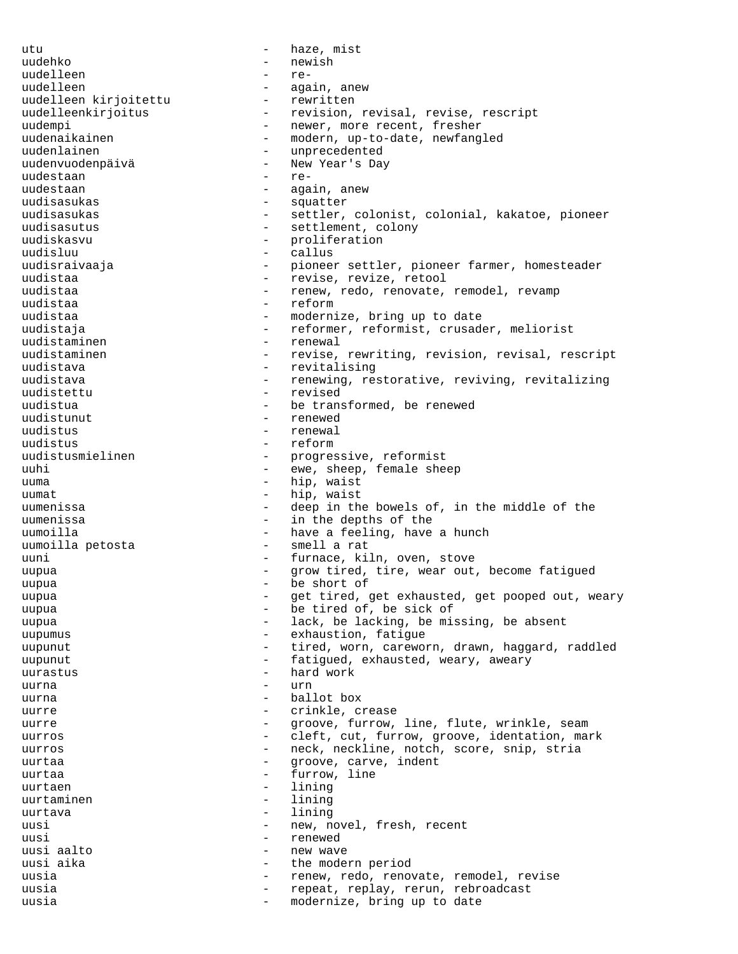utu - haze, mist uudehko - newish uudelleen - reuudelleen - again, anew uudelleen kirjoitettu uudelleenkirjoitus - revision, revisal, revise, rescript uudempi - newer, more recent, fresher<br>uudenaikainen - modern, up-to-date, newfang uudenaikainen - modern, up-to-date, newfangled<br>uudenlainen - unprecedented - unprecedented uudenvuodenpäivä - New Year's Day uudestaan uudestaan - again, anew uudisasukas - squatter uudisasukas - settler, colonist, colonial, kakatoe, pioneer uudisasutus - settlement, colony uudiskasvu - proliferation uudisluu - callus uudisraivaaja - pioneer settler, pioneer farmer, homesteader<br>- revise revise retool uudistaa - revise, revize, retool<br>uudistaa - renew, redo, renovate, uudistaa - renew, redo, renovate, remodel, revamp<br>uudistaa - reform - reform uudistaa - reform uudistaa - modernize, bring up to date<br>uudistaia - - - - - - - - - - reformer, reformist, crusad - reformer, reformist, crusader, meliorist uudistaminen - renewal uudistaminen - revise, rewriting, revision, revisal, rescript uudistava - revitalising uudistava - renewing, restorative, reviving, revitalizing<br>uudistettu - revised uudistettu - revised uudistua - be transformed, be renewed<br>uudistunut - renewed - renewed uudistunut - renewed - renewed - renewed - renewed - renewed - renewed - renewed - renewed - renewed - renewed uudistus - renewal uudistus - reform<br>uudistusmielinen - progres uudistusmielinen - progressive, reformist<br>uubi - ewe sheep female she ewe, sheep, female sheep uuma - hip, waist uumat - hip, waist uumenissa - deep in the bowels of, in the middle of the uumenissa - in the depths of the uumoilla<br>uumoilla petosta - have a feeling, have a hunch<br>- smell a rat uumoilla petosta - smell a rat uuni - furnace, kiln, oven, stove uupua - grow tired, tire, wear out, become fatigued uupua  $\begin{array}{ccc} - & \text{be short of} \\ - & \text{or third} \end{array}$ uupua - get tired, get exhausted, get pooped out, weary<br>- he tired of he sick of uupua - be tired of, be sick of<br>- lack be lacking be mi uupua - lack, be lacking, be missing, be absent<br>uupumus - exhaustion fatique uupumus - exhaustion, fatigue<br>
- tired worn carewol uupunut - tired, worn, careworn, drawn, haggard, raddled uupunut - fatigued, exhausted, weary, aweary<br>
- hard work uurastus - hard work uurna - urn uurna - ballot box uurre - crinkle, crease uurre and the seam of the seam of the seam of the seam of the seam of the seam of the seam of the seam of the s uurros and the cleft, cut, furrow, groove, identation, mark uurros - neck, neckline, notch, score, snip, stria<br>
- croove carve indent uurtaa - groove, carve, indent uurtaa  $-$  furrow, line uurtaen - lining<br>uurtaminen - lining uurtaminen - lining uurtava - lining - lining uusi - new, novel, fresh, recent uusi - renewed uusi aalto - new wave uusi aika - the modern period uusia - renew, redo, renovate, remodel, revise uusia - repeat, replay, rerun, rebroadcast uusia - modernize, bring up to date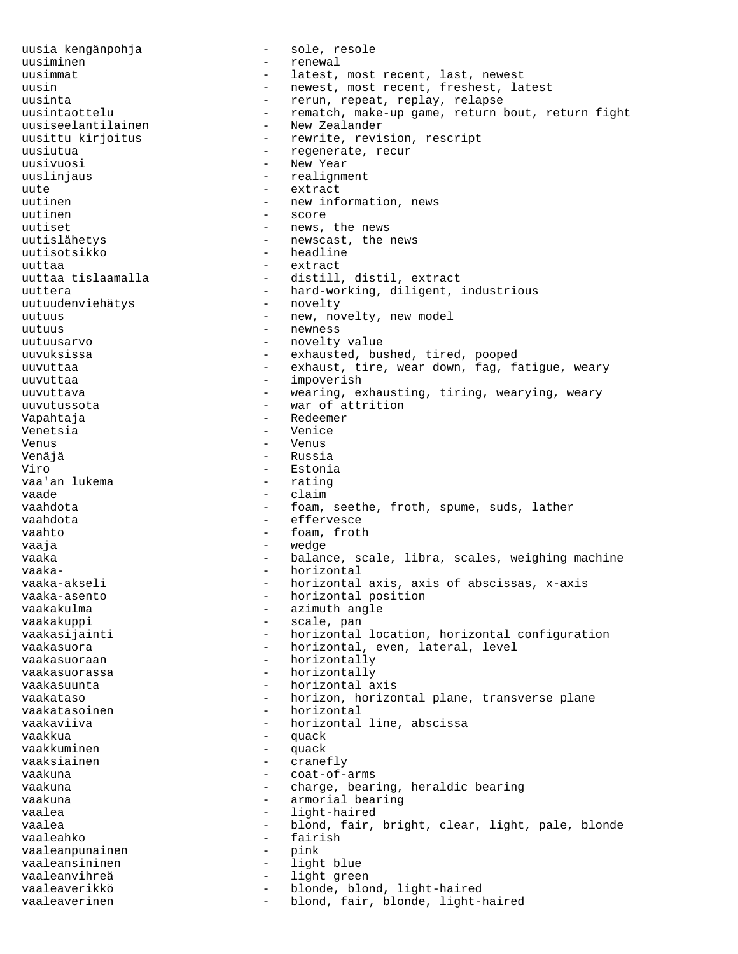uusia kengänpohja - sole, resole uusiminen - renewal uusimmat - latest, most recent, last, newest uusin - newest, most recent, freshest, latest uusinta - rerun, repeat, replay, relapse uusintaottelu - rematch, make-up game, return bout, return fight<br>uusiseelantilainen - New Zealander uusiseelantilainen - New Zealander<br>uusittu kirjoitus - rewrite, revis - rewrite, revision, rescript uusiutua - regenerate, recur uusivuosi - New Year uuslinjaus - realignment uute - extract uutinen - new information, news uutinen - score uutiset - news, the news uutislähetys - newscast, the news uutisotsikko - headline uuttaa - extract - distill, distil, extract uuttera - hard-working, diligent, industrious<br>uutuudenviehätys - hovelty - hovelty uutuudenviehätys uutuus - new, novelty, new model uutuus - newness uutuusarvo - novelty value uuvuksissa - exhausted, bushed, tired, pooped uuvuttaa - exhaust, tire, wear down, fag, fatigue, weary uuvuttaa - impoverish uuvuttava - wearing, exhausting, tiring, wearying, weary uuvutussota - war of attrition Vapahtaja - Redeemer Venetsia - Venice Venus - Venus Venäjä - Russia Viro - Estonia vaa'an lukema vaade - claim vaahdota - foam, seethe, froth, spume, suds, lather - effervesce vaahto - foam, froth vaaja - wedge vaaka - balance, scale, libra, scales, weighing machine vaaka- - horizontal - horizontal axis, axis of abscissas, x-axis vaaka-asento - horizontal position vaakakulma - azimuth angle vaakakuppi - scale, pan vaakasijainti - horizontal location, horizontal configuration vaakasuora - horizontal, even, lateral, level vaakasuoraan - horizontally vaakasuorassa - horizontally vaakasuunta - horizontal axis vaakataso  $-$  horizon, horizontal plane, transverse plane vaakatasoinen - horizontal vaakaviiva - horizontal line, abscissa vaakkua - quack<br>vaakkuminen - quack vaakkuminen - quack vaaksiainen 1980 - Cranefly vaakuna - coat-of-arms vaakuna - charge, bearing, heraldic bearing vaakuna - armorial bearing vaalea - light-haired vaalea - blond, fair, bright, clear, light, pale, blonde vaaleahko - fairish vaaleanpunainen - pink vaaleansininen 1ight blue vaaleanvihreä - light green vaaleaverikkö - blonde, blond, light-haired vaaleaverinen - blond, fair, blonde, light-haired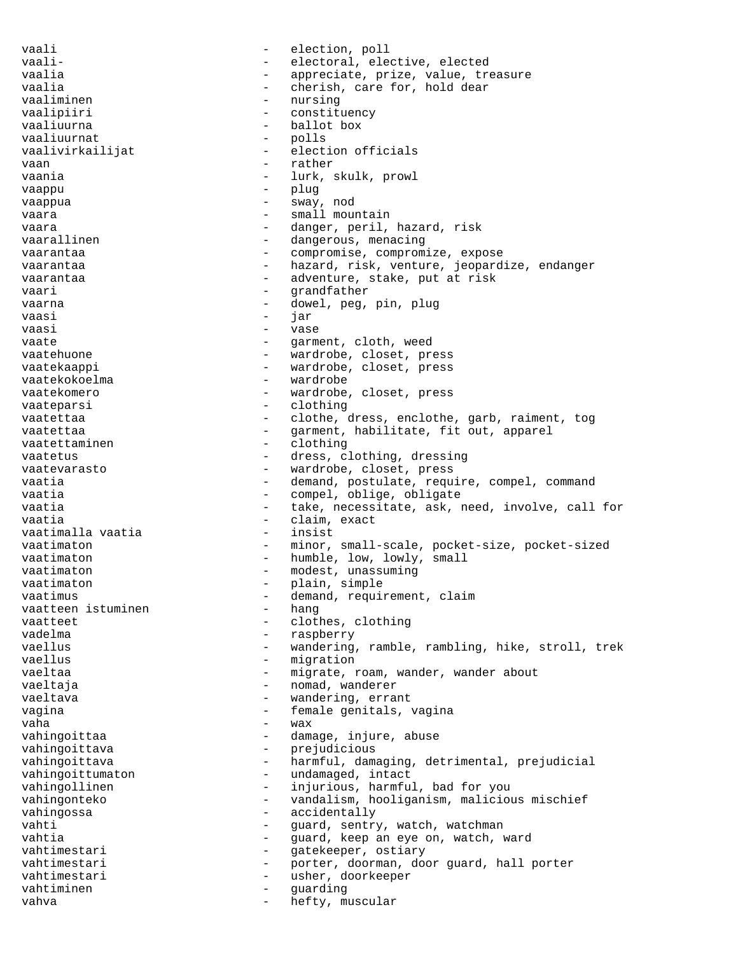vaali  $-$  election, poll vaali- - electoral, elective, elected vaalia - appreciate, prize, value, treasure<br>vaalia - - - - - - - cherish, care for, hold dear - cherish, care for, hold dear vaaliminen - nursing vaalipiiri - constituency vaaliuurna - ballot box vaaliuurnat - polls election officials vaan - rather vaania - lurk, skulk, prowl vaappu - plug vaappua - sway, nod vaara  $-$  small mountain vaara - danger, peril, hazard, risk vaarallinen  $\qquad \qquad -$  dangerous, menacing vaarantaa - compromise, compromize, expose vaarantaa  $-$  hazard, risk, venture, jeopardize, endanger vaarantaa - adventure, stake, put at risk<br>vaari vaari - grandfather<br>vaarna - dowel neg vaarna - dowel, peg, pin, plug<br>vaasi - iar vaasi - jar vaasi - vase vaate vaate - garment, cloth, weed vaatehuone - wardrobe, closet, press vaatekaappi - wardrobe, closet, press vaatekokoelma - wardrobe vaatekomero - wardrobe, closet, press vaateparsi - clothing vaatettaa - clothe, dress, enclothe, garb, raiment, tog<br>vaatettaa - carment habilitate fit out apparel vaatettaa - - garment, habilitate, fit out, apparel<br>vaatettaminen vaatettaminen - clothing vaatetus - dress, clothing, dressing vaatevarasto - wardrobe, closet, press vaatia  $-$  demand, postulate, require, compel, command vaatia  $\qquad \qquad \qquad - \qquad \qquad \text{compel}, \text{ oblige}, \text{ oblige}$ vaatia  $-$  take, necessitate, ask, need, involve, call for vaatia - claim, exact vaatimalla vaatia vaatimaton - minor, small-scale, pocket-size, pocket-sized vaatimaton - humble, low, lowly, small vaatimaton - modest, unassuming<br>vaatimaton - nain simple vaatimaton - plain, simple<br>vaatimus - demand required vaatimus - demand, requirement, claim<br>vaatteen istuminen - hang - hang vaatteen istuminen - hangels - hangels - hangels - hangels - hangels - hangels - hangels - hangels - hangels - h vaatteet - clothes, clothing<br>vadelma - clothes, clothing - raspberry vaellus - wandering, ramble, rambling, hike, stroll, trek vaellus - migration vaeltaa - migrate, roam, wander, wander about vaeltaja - nomad, wanderer vaeltava - wandering, errant<br>vagina - wandering, errant vagina - female genitals, vagina vaha - wax vahingoittaa - damage, injure, abuse vahingoittava - prejudicious - harmful, damaging, detrimental, prejudicial vahingoittumaton - undamaged, intact<br>vahingollinen - - injurious, harmfu - injurious, harmful, bad for you vahingonteko - vandalism, hooliganism, malicious mischief vahingossa - accidentally vahti  $-$  guard, sentry, watch, watchman vahtia - guard, keep an eye on, watch, ward vahtimestari - gatekeeper, ostiary<br>vahtimestari - porter doorman doo vahtimestari  $-$  porter, doorman, door guard, hall porter vahtimestari - usher, doorkeeper vahtiminen 1988 vahtiminen 1988 vahtiminen 1988 var en van die van die van die van die van die van die van die vahva  $-$  hefty, muscular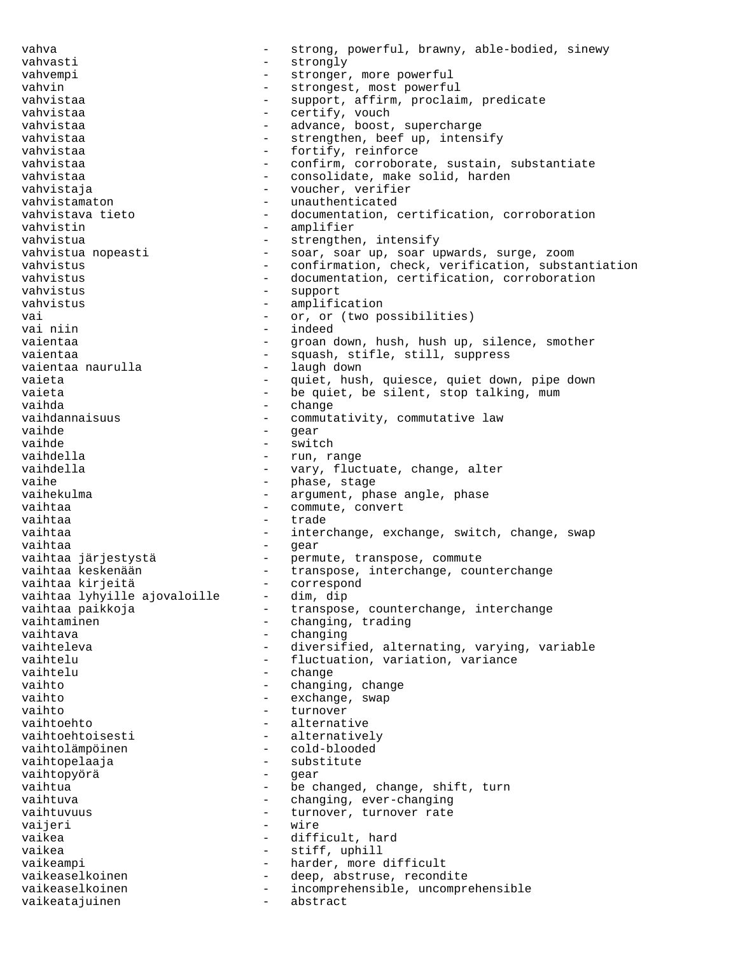vahva - strong, powerful, brawny, able-bodied, sinewy vahvasti - strongly vahvempi - stronger, more powerful vahvin - strongest, most powerful vahvistaa - support, affirm, proclaim, predicate vahvistaa - certify, vouch vahvistaa - advance, boost, supercharge vahvistaa - strengthen, beef up, intensify vahvistaa - fortify, reinforce vahvistaa - confirm, corroborate, sustain, substantiate vahvistaa - consolidate, make solid, harden vahvistaja - voucher, verifier vahvistamaton - unauthenticated vahvistava tieto  $-$  documentation, certification, corroboration vahvistin - amplifier vahvistua  $-$  strengthen, intensify vahvistua nopeasti - soar, soar up, soar upwards, surge, zoom vahvistus - confirmation, check, verification, substantiation vahvistus - documentation, certification, corroboration vahvistus - support vahvistus - amplification vai  $-$  or, or (two possibilities)<br>vai niin  $-$  indeed - indeed vaientaa - - groan down, hush, hush up, silence, smother vaientaa  $\begin{array}{ccc} - & \text{squash, stille, still, suppress} \\ \end{array}$ vaientaa naurulla vaieta - quiet, hush, quiesce, quiet down, pipe down vaieta  $-$  be quiet, be silent, stop talking, mum vaihda vaihda - change vaihdannaisuus - commutativity, commutative law vaihde - gear vaihde - switch vaihdella - run, range - vary, fluctuate, change, alter vaihe  $-$  phase, stage vaihekulma - argument, phase angle, phase vaihtaa - commute, convert vaihtaa - trade vaihtaa - interchange, exchange, switch, change, swap vaihtaa - gear vaihtaa järjestystä - permute, transpose, commute valuate, semingense.<br>- transpose, interchange, counterchange<br>- correspond vaihtaa kirjeitä<br>vaihtaa lyhyille ajovaloille – dim, dip vaihtaa lyhyille ajovaloille vaihtaa paikkoja - transpose, counterchange, interchange<br>vaihtaminen - changing, trading vaihtaminen - changing, trading<br>vaihtava - changing - changing vaihteleva - diversified, alternating, varying, variable vaihtelu - fluctuation, variation, variance vaihtelu - change vaihto  $-$  changing, change vaihto  $-$  exchange, swap vaihto - turnover vaihtoehto - alternative vaihtoehtoisesti - alternatively vaihtolämpöinen - cold-blooded vaihtopelaaja - substitute<br>vaihtopvörä vaihtopyörä - gear vaihtua - be changed, change, shift, turn vaihtuva  $\qquad \qquad -$  changing, ever-changing vaihtuvuus - turnover, turnover rate vaijeri - wire vaikea  $-$  difficult, hard vaikea  $-$  stiff, uphill vaikeampi - harder, more difficult<br>vaikeaselkoinen - deep, abstruse, recond vaikeaselkoinen - deep, abstruse, recondite<br>vaikeaselkoinen - incomprehensible, uncompr - incomprehensible, uncomprehensible<br>- abstract vaikeatajuinen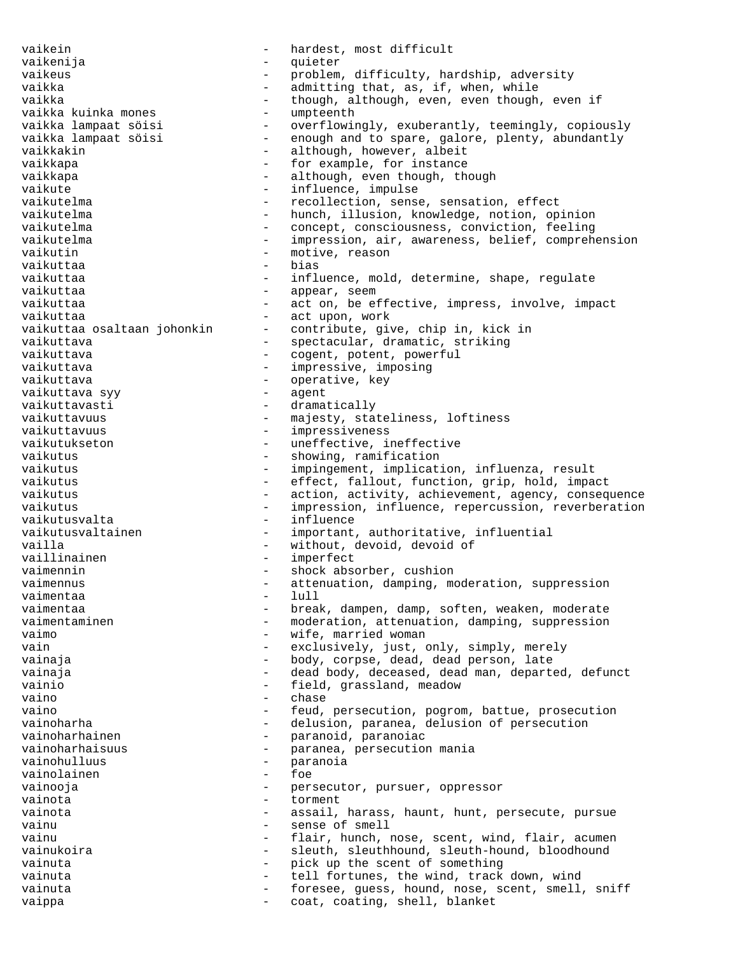vaikein and the settlement of the hardest, most difficult vaikenija - quieter vaikeus - problem, difficulty, hardship, adversity vaikka - admitting that, as, if, when, while vaikka - though, although, even, even though, even if vaikka kuinka mones - umpteenth vaikka lampaat söisi - overflowingly, exuberantly, teemingly, copiously<br>vaikka lampaat söisi - enough and to spare, galore, plenty, abundantly vaikka lampaat söisi - enough and to spare, galore, plenty, abundantly<br>vaikkakin - although, however, albeit - although, however, albeit vaikkapa  $-$  for example, for instance vaikkapa - although, even though, though vaikute  $-$  influence, impulse vaikutelma - recollection, sense, sensation, effect vaikutelma - hunch, illusion, knowledge, notion, opinion vaikutelma - concept, consciousness, conviction, feeling<br>vaikutelma - impression air awareness, belief, compreb vaikutelma - impression, air, awareness, belief, comprehension vaikutin  $-$  motive, reason vaikuttaa - bias vaikuttaa - influence, mold, determine, shape, regulate<br>vaikuttaa - - appear, seem - appear, seem vaikuttaa - act on, be effective, impress, involve, impact vaikuttaa<br>vaikuttaa osaltaan johonkin - act upon, work<br>vaikuttaa osaltaan johonkin - contribute, giv - contribute, give, chip in, kick in vaikuttava  $-$  spectacular, dramatic, striking vaikuttava  $-$  cogent, potent, powerful vaikuttava  $-$  impressive, imposing vaikuttava - operative, key vaikuttava syy - agent vaikuttavasti - dramatically vaikuttavuus esimessuus - majesty, stateliness, loftiness vaikuttavuus esimenessa vaikuttavuus vaikuttavuus vaikuttavuus vaikuttavuus vaikuttavuus vaikuttavuus vaikuttav vaikutukseton - uneffective, ineffective<br>
- showing ramification vaikutus - showing, ramification vaikutus - impingement, implication, influenza, result vaikutus - effect, fallout, function, grip, hold, impact vaikutus  $-$  action, activity, achievement, agency, consequence vaikutus - impression, influence, repercussion, reverberation vaikutusvalta - influence vaikutusvaltainen - important, authoritative, influential<br>vailla - without devoid devoid of vailla - without, devoid, devoid of<br>
vaillinainen - - - - - - - imperfect - imperfect vaimennin - shock absorber, cushion<br>vaimennus - attenuation damning me vaimennus  $\begin{bmatrix} - & 1 \\ - & 1 \end{bmatrix}$  attenuation, damping, moderation, suppression<br>  $\begin{bmatrix} - & 1 \\ - & 1 \end{bmatrix}$ vaimentaa - lull vaimentaa - break, dampen, damp, soften, weaken, moderate<br>vaimentaminen - moderation attenuation damping suppression vaimentaminen - moderation, attenuation, damping, suppression<br>vaimo vaimo - wife, married woman<br>vain - exclusively just a vain  $-$  exclusively, just, only, simply, merely<br>yainaia and a body corpse dead dead person late vainaja - body, corpse, dead, dead person, late vainaja - dead body, deceased, dead man, departed, defunct vainio  $-$  field, grassland, meadow vaino - chase vaino  $-$  feud, persecution, pogrom, battue, prosecution vainoharha - delusion, paranea, delusion of persecution vainoharhainen - paranoid, paranoiac<br>vainoharhaisuus - paranea persecution vainoharhaisuus - paranea, persecution mania<br>vainohulluus - paranoia vainohulluus - paranoia<br>vainolainen - foe vainolainen - foe vainooja - persecutor, pursuer, oppressor<br>vainota - torment - torment vainota - torment vainota - assail, harass, haunt, hunt, persecute, pursue vainu  $\sim$  sense of smell vainu  $-$  flair, hunch, nose, scent, wind, flair, acumen vainukoira - sleuth, sleuthhound, sleuth-hound, bloodhound vainuta - pick up the scent of something vainuta  $\qquad \qquad -$  tell fortunes, the wind, track down, wind vainuta extending the set of the set of the set of the set of the sound, nose, scent, smell, sniff vaippa - coat, coating, shell, blanket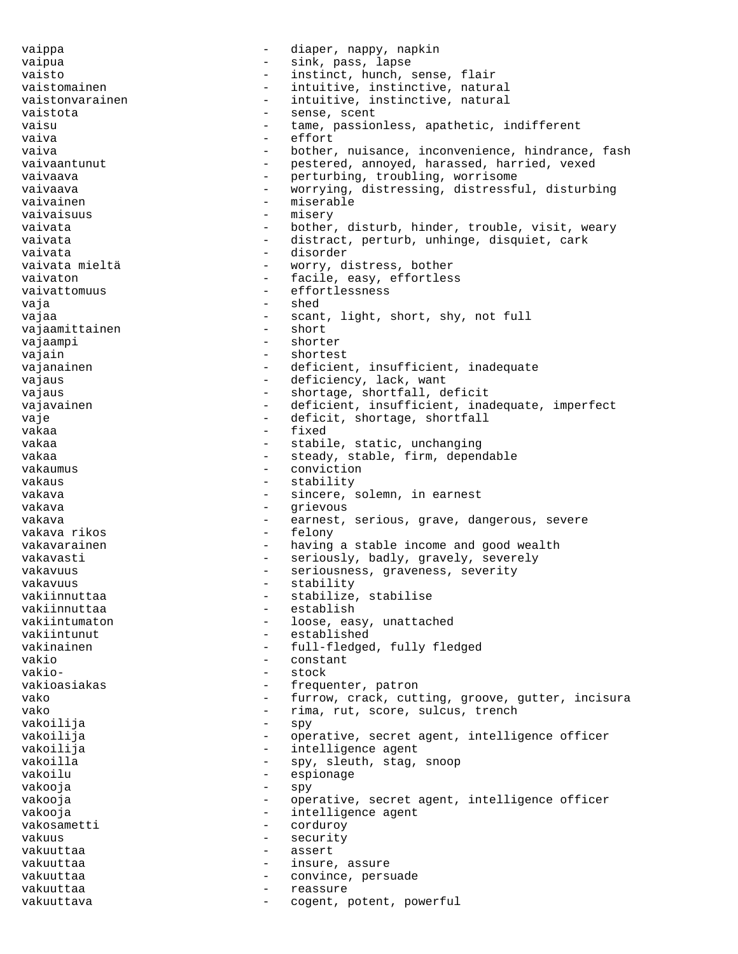vaippa - diaper, nappy, napkin vaipua - sink, pass, lapse vaisto  $-$  instinct, hunch, sense, flair vaistomainen 1988 - intuitive, instinctive, natural vaistonvarainen en en variative, instinctive, natural vaistota  $-$  sense, scent vaisu  $-$  tame, passionless, apathetic, indifferent vaiva  $\overline{\phantom{a}}$  - effort vaiva - bother, nuisance, inconvenience, hindrance, fash vaivaantunut - pestered, annoyed, harassed, harried, vexed<br>vaivaava vaivaava - perturbing, troubling, worrisome vaivaava - worrying, distressing, distressful, disturbing<br>vaivainen - miserable - miserable vaivaisuus - misery vaivata - bother, disturb, hinder, trouble, visit, weary vaivata  $-$  distract, perturb, unhinge, disquiet, cark vaivata - disorder vaivata mieltä - worry, distress, bother<br>vaivaton - facile easy effortles vaivaton  $-$  facile, easy, effortless vaivattomuus - effortlessness vaja - shed vajaa - scant, light, short, shy, not full<br>vajaamittainen - short - short vajaamittainen vajaampi - shorter vajain - shortest vajanainen 1988 - deficient, insufficient, inadequate vajaus  $\qquad \qquad -$  deficiency, lack, want vajaus - shortage, shortfall, deficit vajavainen 1980 - deficient, insufficient, inadequate, imperfect vaje  $\qquad \qquad -$  deficit, shortage, shortfall vakaa - fixed<br>vakaa - fixed vakaa - stabile, static, unchanging vakaa - steady, stable, firm, dependable vakaumus - conviction vakaus - stability vakava  $\qquad \qquad -$  sincere, solemn, in earnest vakava - grievous vakava - earnest, serious, grave, dangerous, severe vakava rikos - felony vakavarainen - having a stable income and good wealth vakavasti - seriously, badly, gravely, severely vakavuus - seriousness, graveness, severity vakavuus - stability vakiinnuttaa - stabilize, stabilise<br>vakiinnuttaa - stabilise vakiinnuttaa - establish vakiintumaton - loose, easy, unattached<br>
vakiintunut - established - established vakinainen 1980 - full-fledged, fully fledged vakio - constant<br>vakio- - stock - stock vakio- - stock vakioasiakas - frequenter, patron vako  $-$  furrow, crack, cutting, groove, gutter, incisura vako  $-$  rima, rut, score, sulcus, trench vakoilija - spy vakoilija - operative, secret agent, intelligence officer vakoilija - intelligence agent vakoilla - spy, sleuth, stag, snoop<br>vakoilu vakoilu - espionage - espionage - espionage - espionage - espionage - espionage - espionage - espionage - espionage - espionage - espionage - espionage - espionage - espionage - espionage - espionage - espionage - espionag vakooja - spy vakooja - operative, secret agent, intelligence officer vakooja - intelligence agent vakosametti - corduroy - corduroy<br>vakuus - security vakuus - security vakuuttaa - assert vakuuttaa - insure, assure vakuuttaa - convince, persuade vakuuttaa - reassure - reassure vakuuttava - cogent, potent, powerful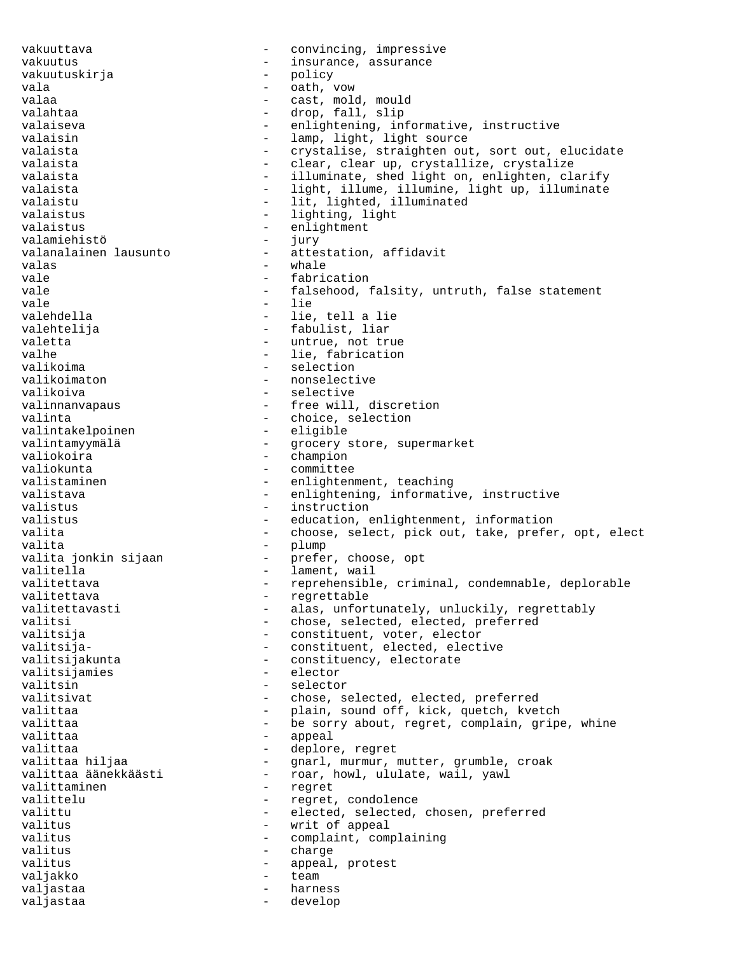vakuuttava - convincing, impressive vakuutus - insurance, assurance vakuutuskirja - policy vala  $-$  oath, vow valaa - cast, mold, mould<br>valahtaa - cast, mold, mould - drop, fall, slip valaiseva endightening, informative, instructive valaisin - lamp, light, light source<br>valaista - crystalise, straighten out - crystalise, straighten out, sort out, elucidate valaista  $-$  clear, clear up, crystallize, crystalize valaista - illuminate, shed light on, enlighten, clarify - light, illume, illumine, light up, illuminate valaistu - lit, lighted, illuminated valaistus - lighting, light valaistus - enlightment<br>valamiehistö - inrv valamiehistö - jury valanalainen lausunto - attestation, affidavit valas - whale vale  $\qquad \qquad -$  fabrication vale  $-$  falsehood, falsity, untruth, false statement vale - lie<br>valehdella - lie - lie - lie - lie, tell a lie valehtelija - fabulist, liar valetta  $-$  untrue, not true valhe  $-$  lie, fabrication valikoima  $\qquad \qquad -$  selection valikoimaton - nonselective valikoiva - selective valinnanvapaus - free will, discretion valinta - choice, selection - choice, selection - choice, selection - choice - choice - choice - choice - choice - choice - choice - choice - choice - choice - choice - choice - choice - choice - choice - choice - choice valintakelpoinen valintamyymälä - grocery store, supermarket<br>valiokoira - - champion - champion valiokoira - champion valiokunta - committee - enlightenment, teaching valistava  $\qquad \qquad -$  enlightening, informative, instructive valistus - instruction valistus  $-$  education, enlightenment, information valita  $-$  choose, select, pick out, take, prefer, opt, elect valita - plump valita jonkin sijaan - prefer, choose, opt valitella - lament, wail valitettava - reprehensible, criminal, condemnable, deplorable valitettava - regrettable<br>valitettavasti - alas, unfort valitettavasti - alas, unfortunately, unluckily, regrettably<br>valitsi - chose, selected, elected, preferred valitsi - chose, selected, elected, preferred<br>valitsija - constituent, voter, elector - constituent, voter, elector valitsija-<br>
- constituent, elected, elective valitsijakunta - constituency, electorate<br>valitsijamies - - elector valitsijamies valitsin - selector valitsivat  $-$  chose, selected, elected, preferred valittaa - plain, sound off, kick, quetch, kvetch - plain, sound off, kick, quetch, kvetch valittaa - - be sorry about, regret, complain, gripe, whine  $-$  be sorry about, regret, complain, gripe, whine valittaa - appeal valittaa  $\begin{array}{ccc} 1 & - & - & - \\ 0 & - & - & - \end{array}$  walittaa hiljaa  $\begin{array}{ccc} - & - & - \end{array}$  gnarl, murmur, r valittaa hiljaa gnarl, murmur, mutter, grumble, croak valittaa äänekkäästi - roar, howl, ululate, wail, yawl valittaminen - regret valittelu  $-$  regret, condolence valittu - elected, selected, chosen, preferred valitus - writ of appeal<br>valitus - writ of appeal<br>- complaint, com - complaint, complaining valitus - charge valitus  $\qquad \qquad -$  appeal, protest valjakko - team valjastaa - harness valjastaa - develop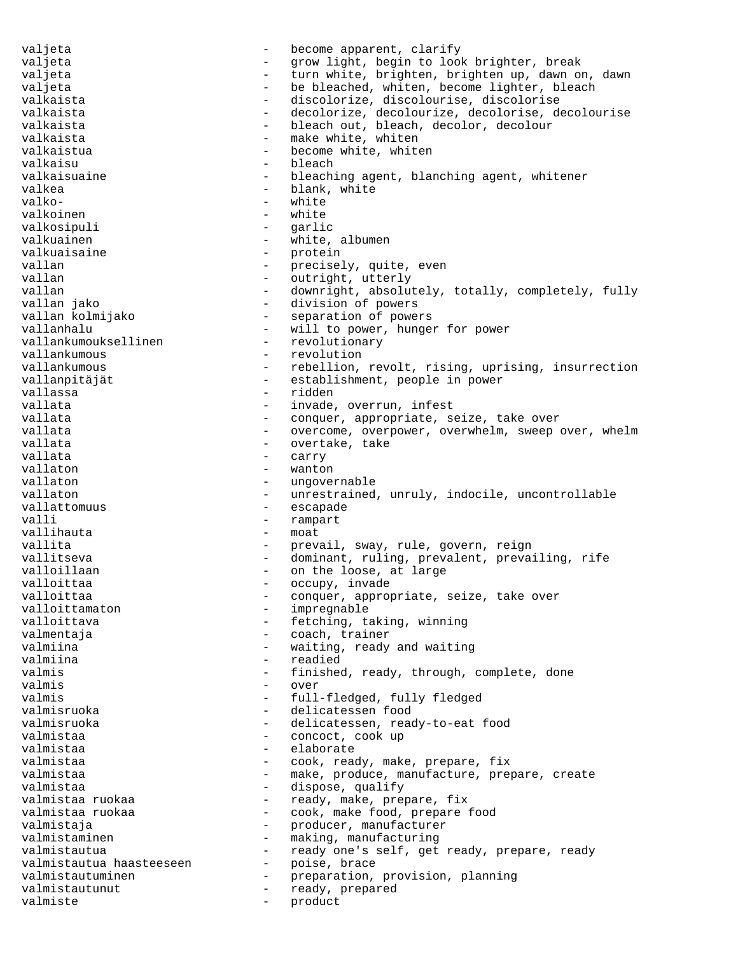valjeta  $-$  become apparent, clarify valjeta - grow light, begin to look brighter, break valjeta - turn white, brighten, brighten up, dawn on, dawn valjeta - be bleached, whiten, become lighter, bleach valkaista - discolorize, discolourise, discolorise valkaista - decolorize, decolourize, decolorise, decolourise valkaista  $-$  bleach out, bleach, decolor, decolour valkaista  $-$  make white, whiten valkaistua  $-$  become white, whiten valkaisu - bleach valkaisuaine - bleaching agent, blanching agent, whitener valkea  $-$  blank, white valko- - white valkoinen - white valkosipuli - garlic valkuainen  $-$  white, albumen valkuaisaine - protein vallan - precisely, quite, even vallan - outright, utterly vallan  $-$  downright, absolutely, totally, completely, fully vallan jako vallan jako division of powers<br>vallan kolmijako separation of powe - separation of powers vallanhalu - will to power, hunger for power<br>vallankumouksellinen - revolutionary vallankumouksellinen vallankumous extending the value of the value of the value of the value of the value of the value of the value of the value of the value of the value of the value of the value of the value of the value of the value of the vallankumous - rebellion, revolt, rising, uprising, insurrection vallanpitäjät - establishment, people in power vallassa - ridden vallata  $\qquad \qquad \qquad -$  invade, overrun, infest vallata  $\qquad \qquad -$  conquer, appropriate, seize, take over vallata  $-$  overcome, overpower, overwhelm, sweep over, whelm vallata - overtake, take - carry<br>- wanto vallaton - wanton - ungovernable vallaton - unrestrained, unruly, indocile, uncontrollable vallattomuus - escapade valli - rampart - rampart vallihauta - rampart - rampart - rampart - rampart - rampart - rampart - rampart - rampart - rampart - rampart - rampart - rampart - rampart - rampart - rampart - rampart - rampart - rampart - ram vallihauta vallita  $-$  prevail, sway, rule, govern, reign vallitseva - dominant, ruling, prevalent, prevailing, rife valloillaan - on the loose, at large valloittaa  $\qquad \qquad -$  occupy, invade valloittaa - conquer, appropriate, seize, take over valloittamaton - impregnable<br>valloittava - fetching, t - fetching, taking, winning valmentaja  $\qquad \qquad -$  coach, trainer valmiina - waiting, ready and waiting valmiina energy energy of the readied valmis  $-$  finished, ready, through, complete, done valmis - over valmis  $\qquad \qquad -$  full-fledged, fully fledged valmisruoka - delicatessen food valmisruoka - delicatessen, ready-to-eat food valmistaa - concoct, cook up<br>valmistaa - elaborate valmistaa - elaborate<br>valmistaa - energia - energia valmistaa - cook, ready, make, prepare, fix valmistaa  $-$  make, produce, manufacture, prepare, create valmistaa  $-$  dispose, qualify valmistaa ruokaa - ready, make, prepare, fix valmistaa ruokaa  $\qquad \qquad -$  cook, make food, prepare food valmistaja  $\qquad \qquad \qquad -$  producer, manufacturer valmistaminen - making, manufacturing valmistautua - ready one's self, get ready, prepare, ready valmistautua haasteeseen - poise, brace valmistautua<br>valmistautua haasteeseen – poise, poise, brace<br>poise, brace, brace, brace, poise, brace, poise, poise, poise, poise, poise, poise, poise, poise, poise, pois valmistautuminen - preparation, provision, planning valmistautunut - ready, prepared valmiste <br/> - product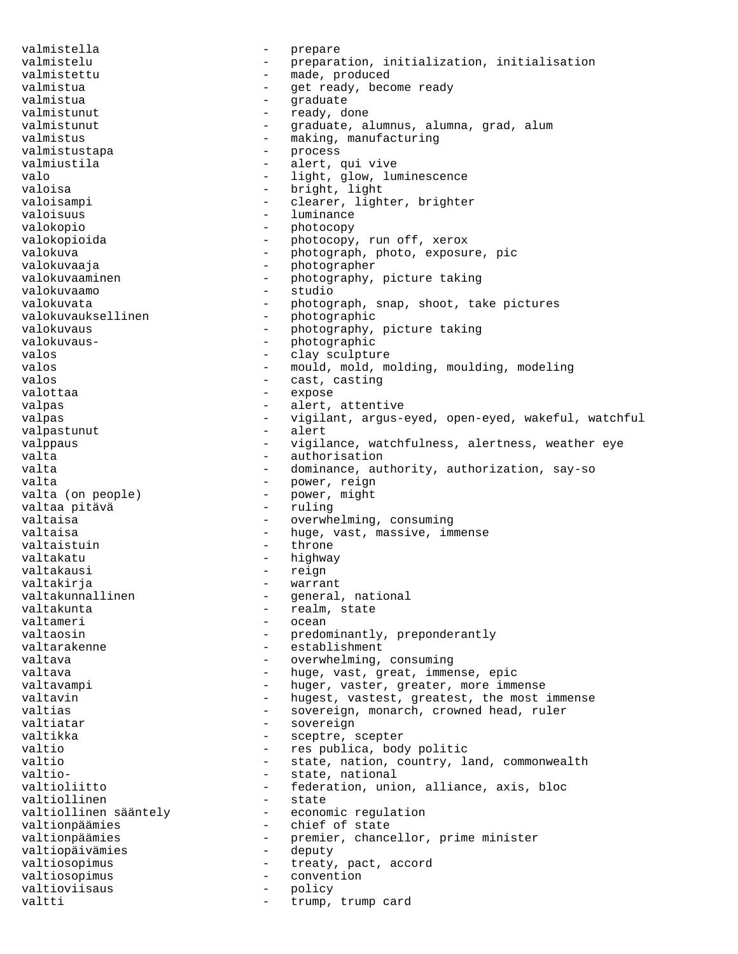valmistella - prepare valmistelu - preparation, initialization, initialisation valmistettu  $-$  made, produced valmistua  $-$  get ready, become ready valmistua  $-$  graduate valmistunut - ready, done valmistunut - graduate, alumnus, alumna, grad, alum valmistus - making, manufacturing valmistustapa - process valmiustila  $-$  alert, qui vive valo  $-$  light, glow, luminescence valoisa  $\qquad \qquad -$  bright, light valoisampi - clearer, lighter, brighter valoisuus - luminance valokopio - photocopy<br>valokopioida - photocopy<br>- photocopy valokopioida - photocopy, run off, xerox<br>valokuva - photocraph.photo.exposure valokuva - photograph, photo, exposure, pic valokuvaaja - photographer<br>valokuvaaminen - - photography. valokuvaaminen - photography, picture taking<br>valokuvaamo - studio valokuvaamo - studio valokuvata - photograph, snap, shoot, take pictures<br>valokuvauksellinen - photographic - photographic valokuvaus - photography, picture taking valokuvaus-<br>
- photographic valos - clay sculpture valos valos and the mould, mold, molding, moulding, modeling valos  $-$  cast, casting valottaa - expose valpas  $\qquad \qquad -$  alert, attentive valpas - vigilant, argus-eyed, open-eyed, wakeful, watchful<br>valpastunut - alert valpastunut valppaus - vigilance, watchfulness, alertness, weather eye valta  $\qquad \qquad \qquad -$  authorisation valta  $-$  dominance, authority, authorization, say-so valta<br>valta (on people) - power, might<br>- power, might valta (on people) - power,<br>valtaa pitävä - ruling - ruling valtaa pitävä valtaisa  $-$  overwhelming, consuming valtaisa  $-$  huge, vast, massive, immense valtaistuin - throne valtakatu - highway valtakausi - reign valtakirja - warrant valtakunnallinen - general, national valtakunta - realm, state - ocean valtaosin  $-$  predominantly, preponderantly valtarakenne - establishment<br>valtava - overwhelming, - overwhelming, consuming valtava  $-$  huge, vast, great, immense, epic valtavampi entimely result and the set of the huger, vaster, greater, more immense valtavin  $-$  hugest, vastest, greatest, the most immense valtias  $-$  sovereign, monarch, crowned head, ruler valtiatar  $-$  sovereign valtikka - sceptre, scepter - res publica, body politic valtio  $-$  state, nation, country, land, commonwealth valtio- - state, national - federation, union, alliance, axis, bloc<br>- state valtiollinen valtiollinen sääntely - economic regulation valtionpäämies - chief of state valtionpäämies - premier, chancellor, prime minister valtiopäivämies - deputy valtiosopimus - treaty, pact, accord<br>valtiosopimus - convention valtiosopimus - convention valtioviisaus - policy valtti  $-$  trump, trump card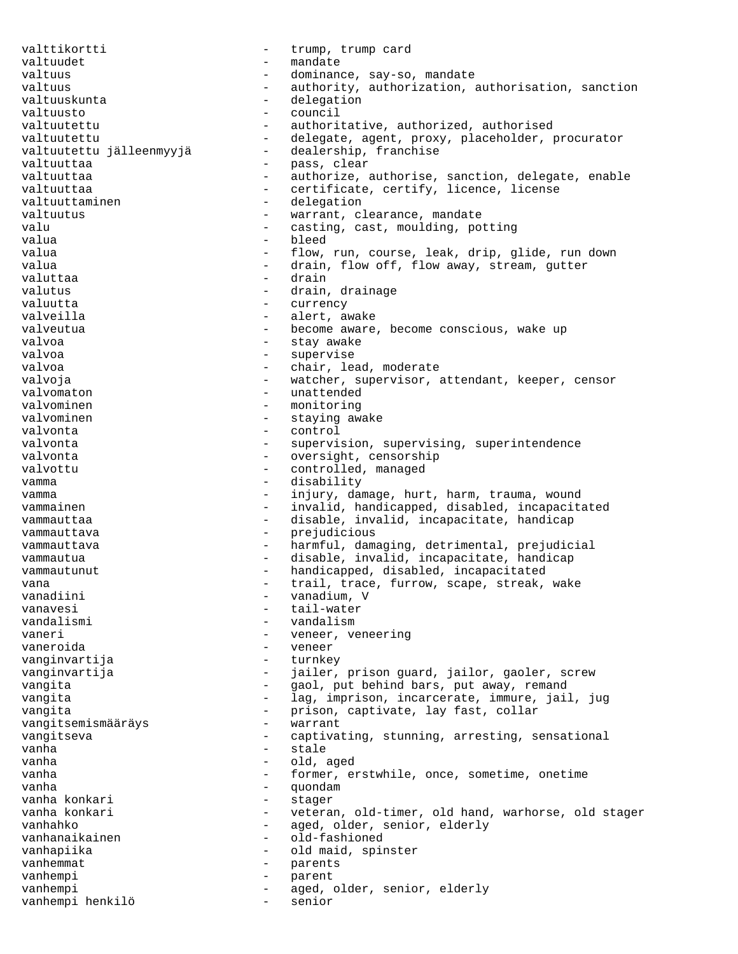valttikortti - trump, trump card valtuudet - mandate valtuus - dominance, say-so, mandate<br>valtuus - authority authorization valtuus - authority, authorization, authorisation, sanction valtuuskunta - delegation valtuusto - council valtuutettu - authoritative, authorized, authorised valtuutettu - delegate, agent, proxy, placeholder, procurator<br>valtuutettu jälleenmyyjä - dealership, franchise - dealership, franchise valtuuttaa  $\qquad \qquad -$  pass, clear valtuuttaa - - authorize, authorise, sanction, delegate, enable valtuuttaa - certificate, certify, licence, license valtuuttaminen - delegation valtuutus - warrant, clearance, mandate valu  $\qquad \qquad \qquad -$  casting, cast, moulding, potting valua - bleed valua - flow, run, course, leak, drip, glide, run down valua  $-$  drain, flow off, flow away, stream, gutter valuttaa - drain valutus - drain, drainage<br>
valuutta - drain, drainage valuutta - currency valveilla  $\qquad \qquad -$  alert, awake valveutua - become aware, become conscious, wake up valvoa - stay awake valvoa - supervise valvoa  $\qquad \qquad -$  chair, lead, moderate valvoja - valvoja - watcher, supervisor, attendant, keeper, censor valvomaton - unattended valvominen - monitoring valvominen - staying awake<br>valvonta valvonta - control valvonta  $\begin{array}{ccc}\n\text{vallow} & - & \text{supervision, supervising, superintendence} \\
\text{vallow} & - & \text{overight, conservation} \\
\end{array}$ valvonta - oversight, censorship<br>valvottu valvottu - controlled, managed vamma - disability vamma  $\qquad \qquad - \quad \text{injury, damage, hurt, harm, trauma, wound}$ vammainen - invalid, handicapped, disabled, incapacitated vammauttaa - disable, invalid, incapacitate, handicap vammauttava - prejudicious vammauttava - harmful, damaging, detrimental, prejudicial vammautua  $-$  disable, invalid, incapacitate, handicap vammautunut - handicapped, disabled, incapacitated vana - trail, trace, furrow, scape, streak, wake<br>
vanadiini - vanadium V vanadiini  $\sim$  - vanadium, V vanavesi - tail-water<br>vandalismi - vandalism vandalismi - vandalismi - vandalism vaneri - veneer, veneering<br>
vaneroida - veneer<br>
- veneer vaneroida - veneer vanginvartija - turnkey vanginvartija - jailer, prison guard, jailor, gaoler, screw vangita  $-$  gaol, put behind bars, put away, remand vangita - lag, imprison, incarcerate, immure, jail, jug vangita - prison, captivate, lay fast, collar vangitsemismääräys - warrant vangitseva - captivating, stunning, arresting, sensational<br>vanha vanha - stale vanha - old, aged vanha  $\overline{\phantom{a}}$  - former, erstwhile, once, sometime, onetime vanha - quondam - quondam - quondam - quondam - quondam - quondam - quondam - quondam - quondam - quondam - quondam - quondam - quondam - quondam - quondam - quondam - quondam - quondam - quondam - quondam - quondam - quon vanha konkari  $-$  stager vanha konkari - veteran, old-timer, old hand, warhorse, old stager vanhahko  $-$  aged, older, senior, elderly vanhanaikainen - old-fashioned vanhapiika  $-$  old maid, spinster vanhemmat - parents<br>vanhempi - parent - parent vanhempi - parent vanhempi - aged, older, senior, elderly vanhempi henkilö - senior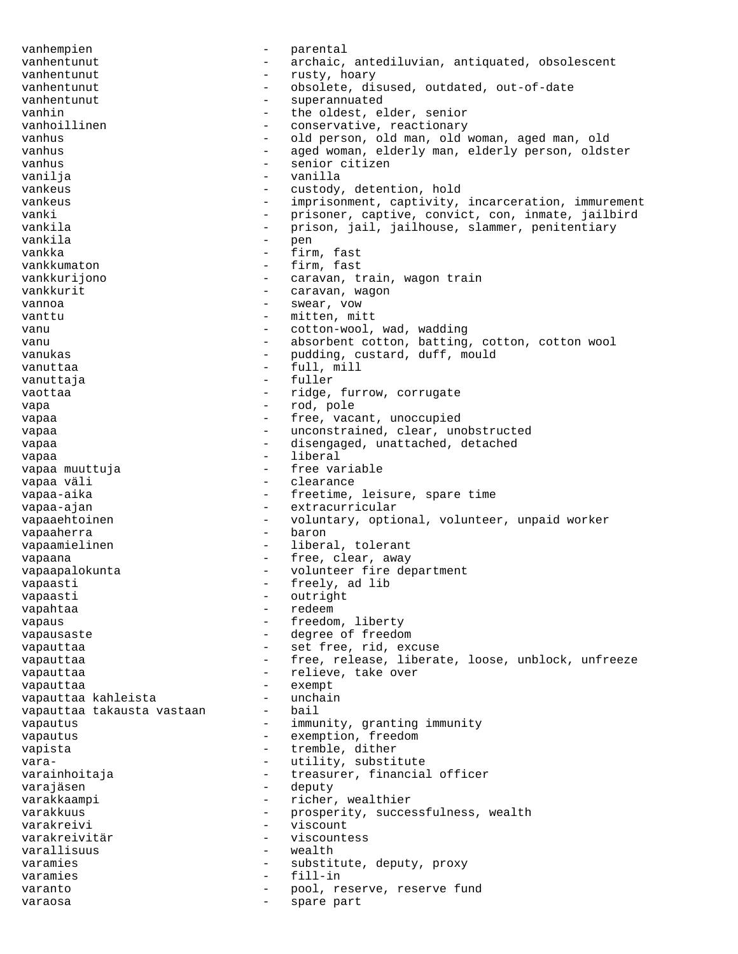vanhempien - parental vanhentunut - archaic, antediluvian, antiquated, obsolescent vanhentunut - rusty, hoary vanhentunut - obsolete, disused, outdated, out-of-date vanhentunut - superannuated vanhin  $-$  the oldest, elder, senior vanhoillinen - conservative, reactionary vanhus - old person, old man, old woman, aged man, old vanhus vanhus - aged woman, elderly man, elderly person, oldster vanhus - senior citizen vanilja - vanilla vankeus - custody, detention, hold vankeus external vankeus - imprisonment, captivity, incarceration, immurement vanki  $-$  prisoner, captive, convict, con, inmate, jailbird vankila - prison, jail, jailhouse, slammer, penitentiary vankila - pen vankka - firm, fast vankkumaton - firm, fast vankkurijono - caravan, train, wagon train vankkurit - caravan, wagon vannoa - swear, vow vanttu - mitten, mitt vanu  $\qquad \qquad -$  cotton-wool, wad, wadding vanu e cotton, batting, cotton, cotton wool vanukas  $\qquad \qquad - \qquad$  pudding, custard, duff, mould vanuttaa  $\qquad \qquad -$  full, mill vanuttaja - fuller vaottaa - ridge, furrow, corrugate vapa - rod, pole vapaa - free, vacant, unoccupied vapaa - unconstrained, clear, unobstructed vapaa - disengaged, unattached, detached vapaa  $\frac{1}{2}$  vapaa muuttuja  $\frac{1}{2}$  - liberal vapaa muuttuja - free variable vapaa väli  $\qquad \qquad$  - clearance vapaa-aika - freetime, leisure, spare time vapaa-ajan - extracurricular vapaaehtoinen - voluntary, optional, volunteer, unpaid worker vapaaherra - baron vapaamielinen - liberal, tolerant vapaana  $\qquad \qquad \qquad -$  free, clear, away vapaapalokunta - volunteer fire department<br>vapaasti - freely ad lib vapaasti - freely, ad lib<br>vapaasti - outright vapaasti - outright<br>vapahtaa - outright vapahtaa - redeem vapaus - freedom, liberty vapausaste <br/> - degree of freedom vapauttaa - set free, rid, excuse vapauttaa - free, release, liberate, loose, unblock, unfreeze vapauttaa  $-$  relieve, take over vapauttaa - exempt vapauttaa kahleista unchain<br>vapauttaa takausta vastaan bail vapauttaa takausta vastaan vapautus  $\qquad \qquad - \quad \text{immunity}, \text{ granting immunity}$ vapautus - exemption, freedom vapista  $-$  tremble, dither vara- - utility, substitute varainhoitaja - treasurer, financial officer varajäsen - deputy varakkaampi - richer, wealthier varakkuus - prosperity, successfulness, wealth<br>
- viscount<br>
- viscount varakreivi - viscount<br>varakreivitär - viscount varakreivitär - viscountess varallisuus - wealth varamies - substitute, deputy, proxy varamies - fill-in varanto  $-$  pool, reserve, reserve fund varaosa - spare part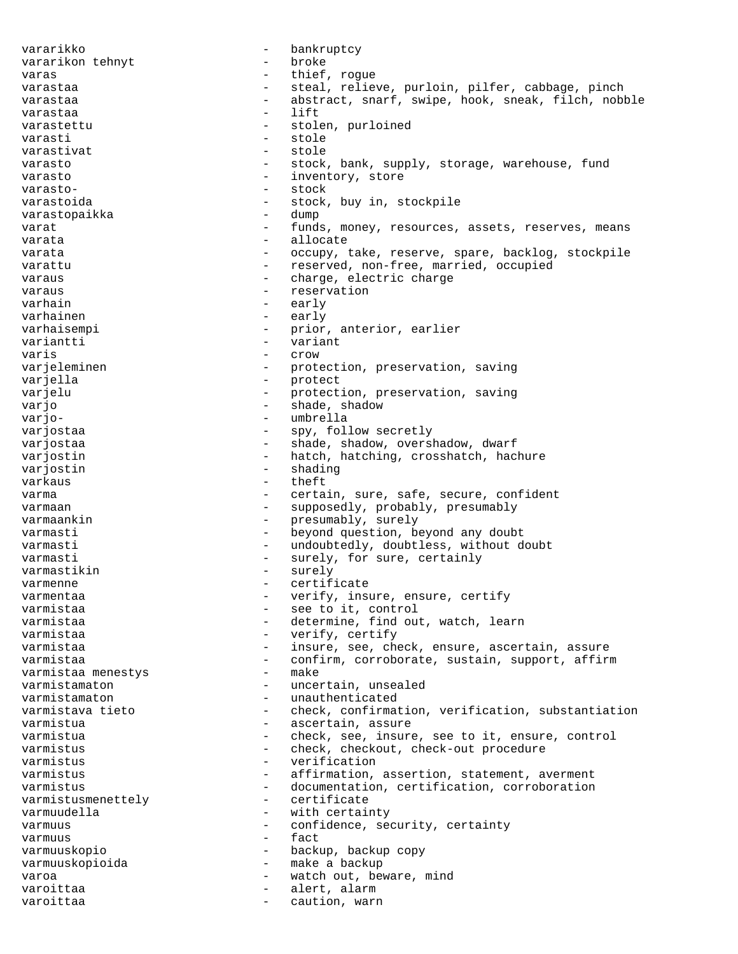vararikko - bankruptcy vararikon tehnyt - broke varas  $-$  thief, rogue varastaa - steal, relieve, purloin, pilfer, cabbage, pinch varastaa - abstract, snarf, swipe, hook, sneak, filch, nobble<br>varastaa - lift varastaa varastettu - stolen, purloined varasti - stole - stole varasto  $-$  stock, bank, supply, storage, warehouse, fund varasto - inventory, store<br>
varasto-<br>
- stock<br>
- stock varasto- - stock - stock, buy in, stockpile varastopaikka - dump varat varat the set of tunds, money, resources, assets, reserves, means varata  $\qquad \qquad -$  allocate varata - occupy, take, reserve, spare, backlog, stockpile varattu  $-$  reserved, non-free, married, occupied varaus - charge, electric charge<br>
- reservation varaus  $-$  reservation varhain - early - early varhaisempi - prior, anterior, earlier<br>
varianti variantti - variant varis - crow varjeleminen - protection, preservation, saving varjella - protect varjelu - protection, preservation, saving<br>
vario - shade shadow varjo  $-$  shade, shadow varjo- - umbrella varjostaa - spy, follow secretly varjostaa - shade, shadow, overshadow, dwarf varjostin - hatch, hatching, crosshatch, hachure<br>variostin - shading varjostin varkaus - theft varma  $-$  certain, sure, safe, secure, confident varmaan - supposedly, probably, presumably varmaankin - presumably, surely varmasti - beyond question, beyond any doubt varmasti - undoubtedly, doubtless, without doubt varmasti - surely, for sure, certainly<br>varmastikin - surely varmastikin - surely - surely varmenne - certificate varmentaa - verify, insure, ensure, certify<br>varmistaa - see to it, control see to it, control varmistaa - determine, find out, watch, learn<br>varmistaa - verify certify varmistaa - verify, certify varmistaa - insure, see, check, ensure, ascertain, assure varmistaa - confirm, corroborate, sustain, support, affirm varmistaa menestys varmistamaton - uncertain, unsealed varmistamaton - unauthenticated varmistava tieto - check, confirmation, verification, substantiation varmistua  $-$  ascertain, assure varmistua - check, see, insure, see to it, ensure, control varmistus - check, checkout, check-out procedure<br>
verification varmistus - verification varmistus - affirmation, assertion, statement, averment varmistus - documentation, certification, corroboration<br>varmistusmenettely - certificate varmistusmenettely varmuudella - with certainty varmuus - confidence, security, certainty<br>varmuus - fact varmuus varmuuskopio - backup, backup copy varmuuskopioida - make a backup<br>varoa - watch out her varoa  $-$  watch out, beware, mind varoittaa  $\qquad \qquad -$  alert, alarm varoittaa  $\qquad \qquad -$  caution, warn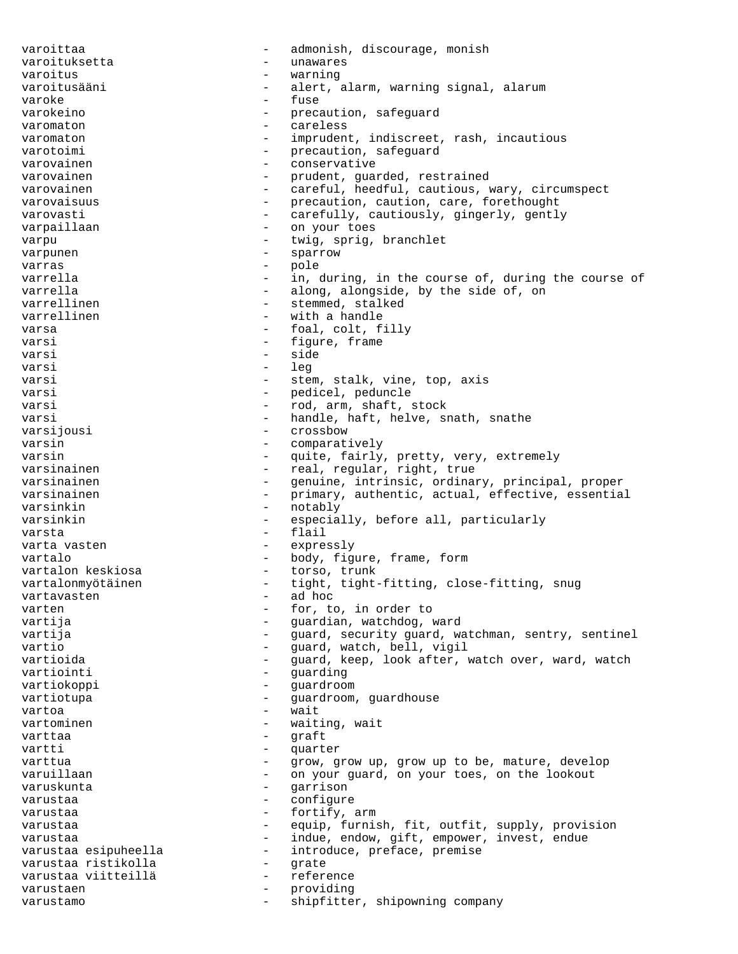varoittaa - admonish, discourage, monish varoituksetta - unawares varoitus - warning varoitusääni - alert, alarm, warning signal, alarum varoke the state of the state of the state of the state of the state of the state of the state of the state of the state of the state of the state of the state of the state of the state of the state of the state of the sta varokeino  $-$  precaution, safeguard varomaton - careless varomaton - imprudent, indiscreet, rash, incautious varotoimi - precaution, safeguard<br>varovainen - conservative varovainen - conservative varovainen - prudent, guarded, restrained<br>varovainen - careful, heedful, cautious, w - careful, heedful, cautious, wary, circumspect varovaisuus - precaution, caution, care, forethought varovasti - carefully, cautiously, gingerly, gently varpaillaan - on your toes varpu - twig, sprig, branchlet varpunen - sparrow varras - pole<br>varrella - in de la pole varrella  $-$  in, during, in the course of, during the course of varrella  $-$  along, alongside, by the side of, on varrellinen varrellinen - stemmed, stalked<br>
varrellinen - with a handle - with a handle varsa  $-$  foal, colt, filly varsi  $-$  figure, frame varsi - side varsi - leg varsi  $-$  stem, stalk, vine, top, axis varsi - pedicel, peduncle<br>varsi - pedicel, peduncle<br>arm shaft - pedicel, peduncle<br>shaft - pedicel, peduncle varsi  $-$  rod, arm, shaft, stock varsi - handle, haft, helve, snath, snathe<br>
- crossbow<br>
- crossbow varsijousi - crossbow varsin - comparatively varsin - quite, fairly, pretty, very, extremely - real, regular, right, true varsinainen - genuine, intrinsic, ordinary, principal, proper varsinainen 1988 - primary, authentic, actual, effective, essential varsinkin - notably varsinkin  $-$  especially, before all, particularly varsta - flail varta vasten  $-$  expressly vartalo  $-$  body, figure, frame, form vartalon keskiosa  $-$  torso, trunk - torso, trunk vartalonmyötäinen - tight, tight-fitting, close-fitting, snug vartavasten - ad hoc varten  $-$  for, to, in order to vartija - vartija - guardian, watchdog, ward vartija - guard, security guard, watchman, sentry, sentinel - guard, watch, bell, vigil vartioida guard, keep, look after, watch over, ward, watch vartiointi vartiointi  $-$  quarding vartiokoppi - guardroom vartiotupa - guardroom, guardhouse<br>vartoa - wait vartoa - wait<br>vartominen - wait vartominen - waiting, wait<br>
varttaa - craft<br>
- craft varttaa - graft vartti - quarter varttua entry and the state of the grow, grow up, grow up to be, mature, develop varuillaan - on your guard, on your toes, on the lookout varuskunta - garrison varustaa - configure varustaa  $-$  fortify, arm varustaa - equip, furnish, fit, outfit, supply, provision varustaa - indue, endow, gift, empower, invest, endue varustaa esipuheella - introduce, preface, premise<br>varustaa ristikolla - grate varustaa ristikolla - grate varustaa viitteillä varustaen - providing varustamo - shipfitter, shipowning company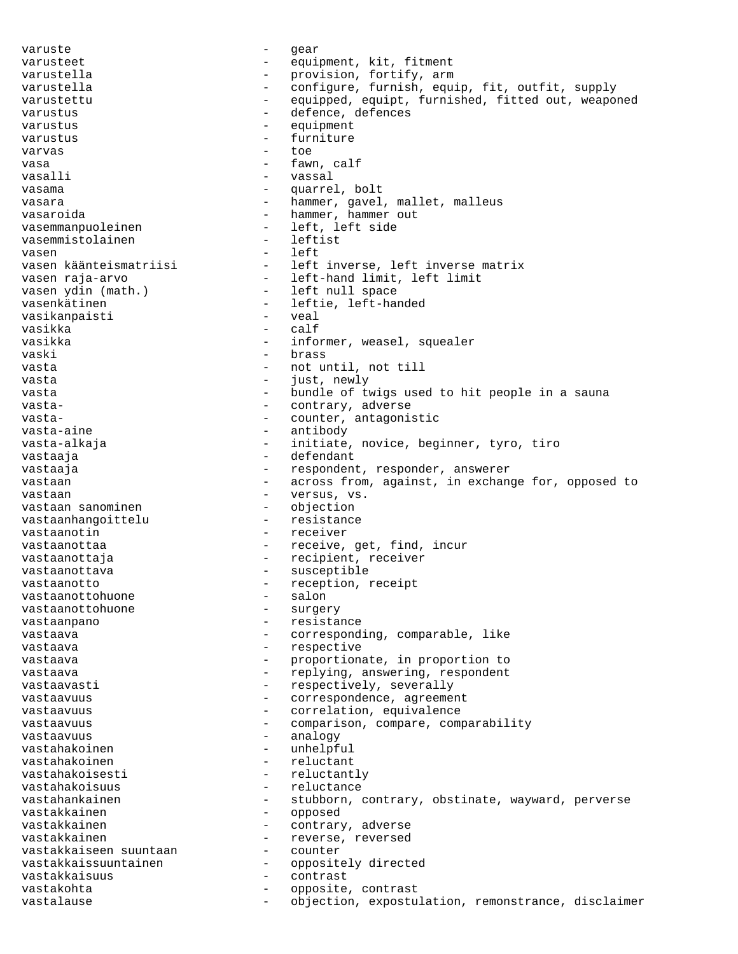varuste en een varuste varuste varuste varuste van de varuste van de varuste van de varuste van de varuste va varusteet - equipment, kit, fitment varustella - provision, fortify, arm<br>
varustella - - configure, furnish, equ varustella - configure, furnish, equip, fit, outfit, supply varustettu - equipped, equipt, furnished, fitted out, weaponed varustus  $\qquad \qquad -$  defence, defences varustus - equipment<br>varustus - furniture varustus - furniture<br>varuss - foe varvas - toe vasa  $-$  fawn, calf vasalli - vassal<br>vasama - vassal vasama  $-$  quarrel, bolt vasara  $\qquad \qquad -$  hammer, gavel, mallet, malleus vasaroida  $-$  hammer, hammer out vasemmanpuoleinen - left, left side vasemmistolainen vasen - left - left inverse, left inverse matrix vasen raja-arvo - left-hand limit, left limit - left null space vasenkätinen - leftie, left-handed<br>vasikanpaisti - veal - veal vasikanpaisti<br>vasikka - calf vasikka  $\qquad \qquad - \quad \text{informer, weasel, square}$ vaski - brass vasta - not until, not till<br>vasta - iust newly vasta  $-$  just, newly vasta  $-$  bundle of twigs used to hit people in a sauna vasta-<br>
vasta-<br>
vasta-<br>
- counter antaconic vasta-  $\qquad \qquad \qquad -$  counter, antagonistic vasta-aine - antibody vasta-alkaja - initiate, novice, beginner, tyro, tiro vastaaja - defendant vastaaja - respondent, responder, answerer vastaan as a cross from, against, in exchange for, opposed to vastaan - versus, vs.<br>vastaan sanominen - objection vastaan sanominen objection<br>vastaanhanqoittelu resistance vastaanhangoittelu vastaanotin - receiver vastaanottaa - receive, get, find, incur vastaanottaja - recipient, receiver vastaanottava - susceptible vastaanotto - reception, receipt<br>vastaanottohuone - salon - salon vastaanottohuone - salon vastaanottohuone vastaanpano - resistance vastaava - corresponding, comparable, like vastaava - respective vastaava - proportionate, in proportion to vastaava - replying, answering, respondent vastaavasti - respectively, severally<br>vastaavuus - respectively, severally vastaavuus - correspondence, agreement vastaavuus - correlation, equivalence vastaavuus - comparison, compare, comparability vastaavuus - analogy vastahakoinen - unhelpful vastahakoinen - reluctant vastahakoisesti - reluctantly vastahakoisuus - reluctance vastahankainen - stubborn, contrary, obstinate, wayward, perverse vastakkainen - opposed vastakkainen 1988 - Contrary, adverse vastakkainen 1988 - reverse, reversed vastakkaiseen suuntaan - counter<br>vastakkaissuuntainen - opposite vastakkaissuuntainen - oppositely directed vastakkaisuus - contrast vastakohta - opposite, contrast vastalause - objection, expostulation, remonstrance, disclaimer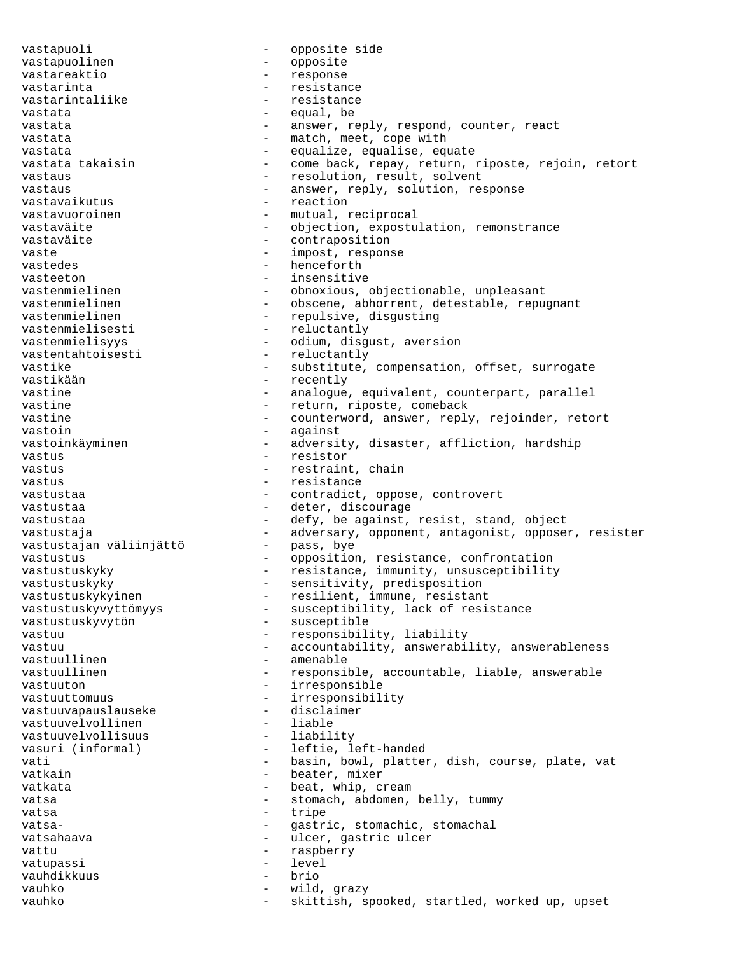vastapuoli - opposite side vastapuolinen - opposite vastareaktio - response vastarinta  $-$  resistance vastarintaliike - resistance vastata  $-$  equal, be vastata - answer, reply, respond, counter, react vastata  $-$  match, meet, cope with vastata  $-$  equalize, equalise, equate vastata takaisin - come back, repay, return, riposte, rejoin, retort vastaus  $-$  resolution, result, solvent vastaus - answer, reply, solution, response vastavaikutus - reaction vastavuoroinen en mutual, reciprocal vastaväite entimes - objection, expostulation, remonstrance vastaväite - contraposition vaste - impost, response<br>vastedes - henceforth vastedes - henceforth vasteeton - insensitive vastenmielinen - obnoxious, objectionable, unpleasant<br>vastenmielinen - obscene, abhorrent, detestable, repu vastenmielinen - obscene, abhorrent, detestable, repugnant<br>vastenmielinen - repulsive, disqusting - repulsive, disgusting vastenmielisesti - reluctantly vastenmielisyys - odium, disgust, aversion vastentahtoisesti - reluctantly vastike  $-$  substitute, compensation, offset, surrogate vastikään - recently vastine extending the contract of the contract of the counterpart, parallel vastine  $-$  return, riposte, comeback vastine - counterword, answer, reply, rejoinder, retort vastoin - against vastoinkäyminen - adversity, disaster, affliction, hardship vastus - resistor vastus  $-$  restraint, chain vastus - resistance vastustaa - contradict, oppose, controvert vastustaa - deter, discourage vastustaa - defy, be against, resist, stand, object vastustaja  $-$  adversary, opponent, antagonist, opposer, resister vastustajan väliinjättö vastustus - opposition, resistance, confrontation vastustuskyky - resistance, immunity, unsusceptibility vastustuskyky - sensitivity, predisposition vastustuskykyinen - resilient, immune, resistant vastustuskyvyttömyys - susceptibility, lack of resistance vastustuskyvytön - susceptible vastuu  $-$  responsibility, liability vastuu  $-$  accountability, answerability, answerableness vastuullinen - amenable<br>vastuullinen - responsi - responsible, accountable, liable, answerable vastuuton - irresponsible vastuuttomuus<br>
vastuuvapauslauseke disclaimer vastuuvapauslauseke - disclaimer vastuuvelvollinen - liable vastuuvelvollisuus<br>vasuri (informal) - leftie, left-handed vati  $-$  basin, bowl, platter, dish, course, plate, vat vatkain  $\qquad \qquad -$  beater, mixer vatkata  $\qquad \qquad -$  beat, whip, cream vatsa  $-$  stomach, abdomen, belly, tummy vatsa  $-$  tripe vatsa-  $\qquad \qquad \qquad -$  gastric, stomachic, stomachal vatsahaava - ulcer, gastric ulcer vattu - raspberry vatuoassi - raspberry - raspberry - raspberry - raspberry - raspberry - raspberry - raspberry vatupassi - level vauhdikkuus vauhko - wild, grazy vauhko - skittish, spooked, startled, worked up, upset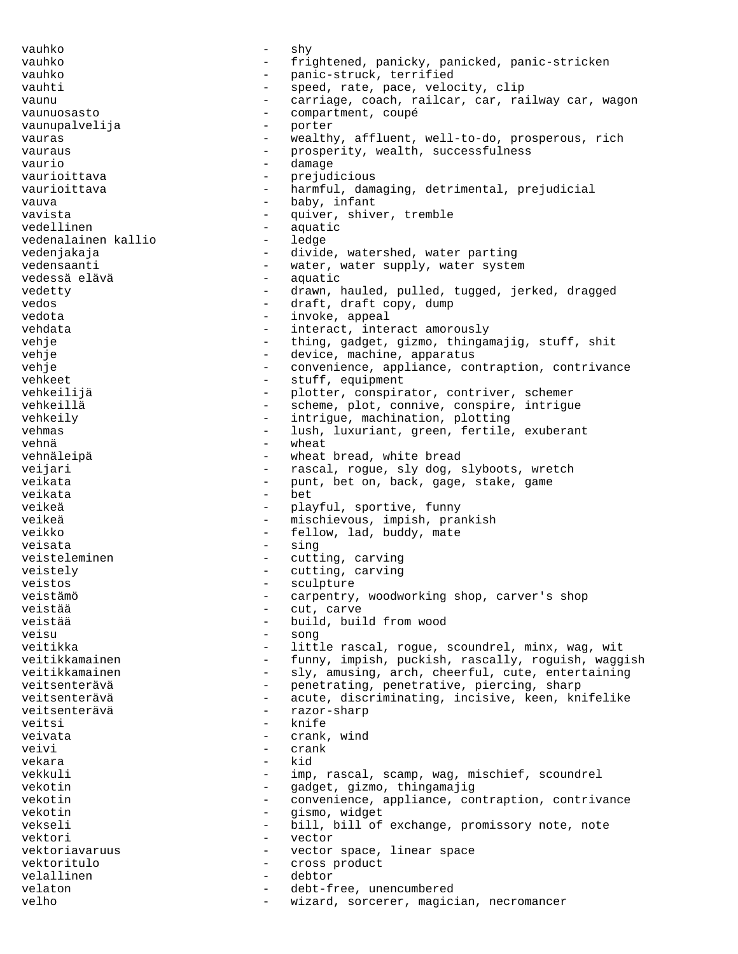vauhko - shy vauhko - frightened, panicky, panicked, panic-stricken<br>vauhko - panic-struck, terrified vauhko - panic-struck, terrified vauhti - speed, rate, pace, velocity, clip vaunu - carriage, coach, railcar, car, railway car, wagon vaunuosasto - compartment, coupé vaunupalvelija - porter vauras and the vealthy, affluent, well-to-do, prosperous, rich vauraus - prosperity, wealth, successfulness<br>vaurio vaurio damage damage vaurioittava - prejudicious vaurioittava - harmful, damaging, detrimental, prejudicial vauva - baby, infant vavista - quiver, shiver, tremble vedellinen - aquatic vedenalainen kallio vedenjakaja - divide, watershed, water parting vedensaanti - water, water supply, water system<br>vedessä elävä - - - - - aquatic vedessä elävä - aquatic - drawn, hauled, pulled, tugged, jerked, dragged vedos - draft, draft copy, dump - invoke, appeal vehdata - interact, interact amorously vehje - thing, gadget, gizmo, thingamajig, stuff, shit vehje - device, machine, apparatus vehje  $-$  convenience, appliance, contraption, contrivance vehkeet - stuff, equipment vehkeilijä  $-$  plotter, conspirator, contriver, schemer vehkeillä - scheme, plot, connive, conspire, intrigue vehkeily - intrigue, machination, plotting vehmas - lush, luxuriant, green, fertile, exuberant vehnä - wheat vehnäleipä - wheat bread, white bread veijari - rascal, rogue, sly dog, slyboots, wretch<br>veikata - punt bet on back gage stake game - punt, bet on, back, gage, stake, game veikata - bet veikeä - playful, sportive, funny veikeä - mischievous, impish, prankish veikko - fellow, lad, buddy, mate veisata - sing veisteleminen - cutting, carving veistely  $-$  cutting, carving veistos - sculpture veistämö - carpentry, woodworking shop, carver's shop veistää  $-$  cut, carve veistää - build, build from wood<br>veisu veisu - song veitikka - 1ittle rascal, rogue, scoundrel, minx, wag, wit veitikkamainen - funny, impish, puckish, rascally, roguish, waggish veitikkamainen - sly, amusing, arch, cheerful, cute, entertaining veitsenterävä - penetrating, penetrative, piercing, sharp veitsenterävä - acute, discriminating, incisive, keen, knifelike veitsenterävä - razor-sharp veitsi - knife veivata  $-$  crank, wind veivi - crank vekara - kid vekkuli - imp, rascal, scamp, wag, mischief, scoundrel vekotin - gadget, gizmo, thingamajig vekotin  $\begin{array}{ccc}\n\text{vekotin} & - & \text{convenience, application, contravance} \\
\text{vekotin} & - & \text{cism} & \text{widget}\n\end{array}$ vekotin  $-$  gismo, widget vekseli - bill, bill of exchange, promissory note, note vektori - vector vektoriavaruus - vector space, linear space vektoritulo - cross product velallinen - debtor velaton - debt-free, unencumbered velho  $-$  wizard, sorcerer, magician, necromancer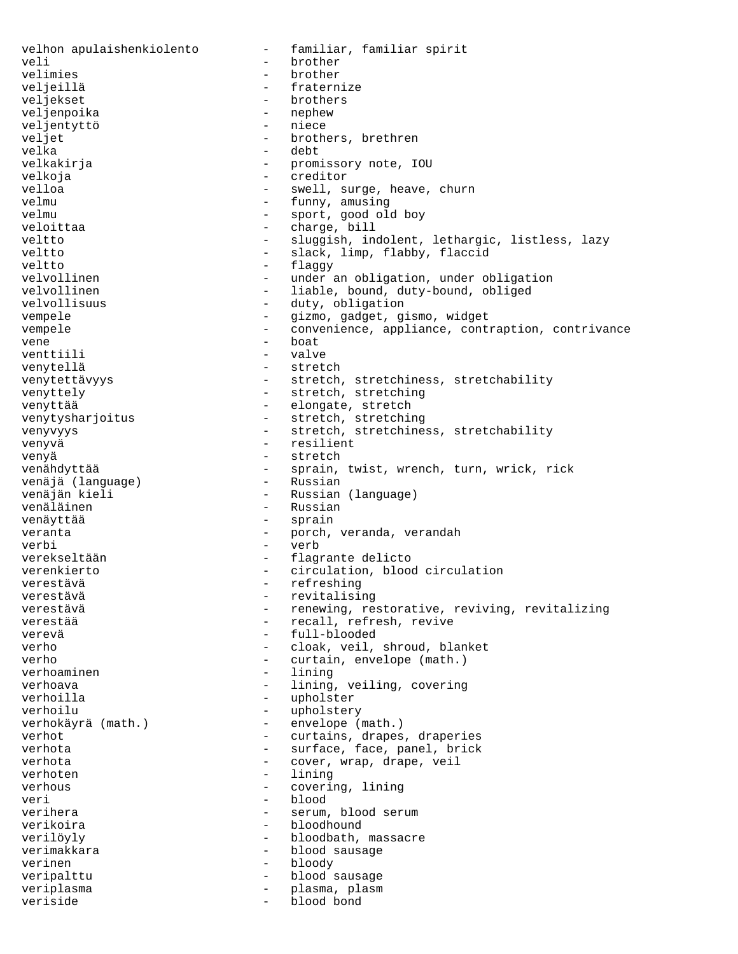velhon apulaishenkiolento - familiar, familiar spirit veli - brother velimies - brother veljeillä - fraternize - brothers<br>- nephew veljenpoika - nephew veljentyttö<br>veljet veljet - brothers, brethren<br>velka - debt - debt velkakirja - promissory note, IOU velkoja - creditor velloa - swell, surge, heave, churn velmu  $\qquad -$  funny, amusing velmu - sport, good old boy veloittaa - charge, bill veltto  $-$  sluggish, indolent, lethargic, listless, lazy veltto - slack, limp, flabby, flaccid veltto - flaggy velvollinen - under an obligation, under obligation<br>velvollinen - - liable, bound, duty-bound, obliged velvollinen - liable, bound, duty-bound, obliged<br>velvollisuus - duty, obligation - duty, obligation vempele - vempele - gizmo, gadget, gismo, widget vempele - convenience, appliance, contraption, contrivance  $v_{\text{en}}$  - boat venttiili - valve venytellä - stretch venytettävyys - stretch, stretchiness, stretchability venyttely - stretch, stretching venyttää<br>
- elongate, stretch venytysharjoitus - stretch, stretching venyvyys - stretch, stretchiness, stretchability venyvä entrent versilient venyä - stretch - sprain, twist, wrench, turn, wrick, rick<br>- Russian venäjä (language) venäjän kieli - Russian (language) venäläinen 1988 – Russian venäyttää  $-$  sprain veranta - porch, veranda, verandah verbi - verb verekseltään - flagrante delicto verenkierto - circulation, blood circulation verestävä - refreshing verestävä  $-$  revitalising verestävä - renewing, restorative, reviving, revitalizing verestää  $-$  recall, refresh, revive verevä - full-blooded verho - cloak, veil, shroud, blanket verho  $-$  curtain, envelope (math.) verhoaminen - lining verhoava - lining, veiling, covering verhoilla - upholster verhoilu - upholstery - upholstery verhokäyrä (math.) - envelope (math.) verhot <sup>-</sup> curtains, drapes, draperies verhota - surface, face, panel, brick<br>verhota - cover, wrap, drape, veil verhota - cover, wrap, drape, veil verhoten - lining verhous - covering, lining veri **blood** verihera - serum, blood serum - bloodhound verilöyly - bloodbath, massacre verimakkara  $\qquad \qquad$  - blood sausage verinen - bloody - bloody veripalttu - blood sausage veriplasma - plasma, plasm<br>veriside - hlood hond veriside - blood bond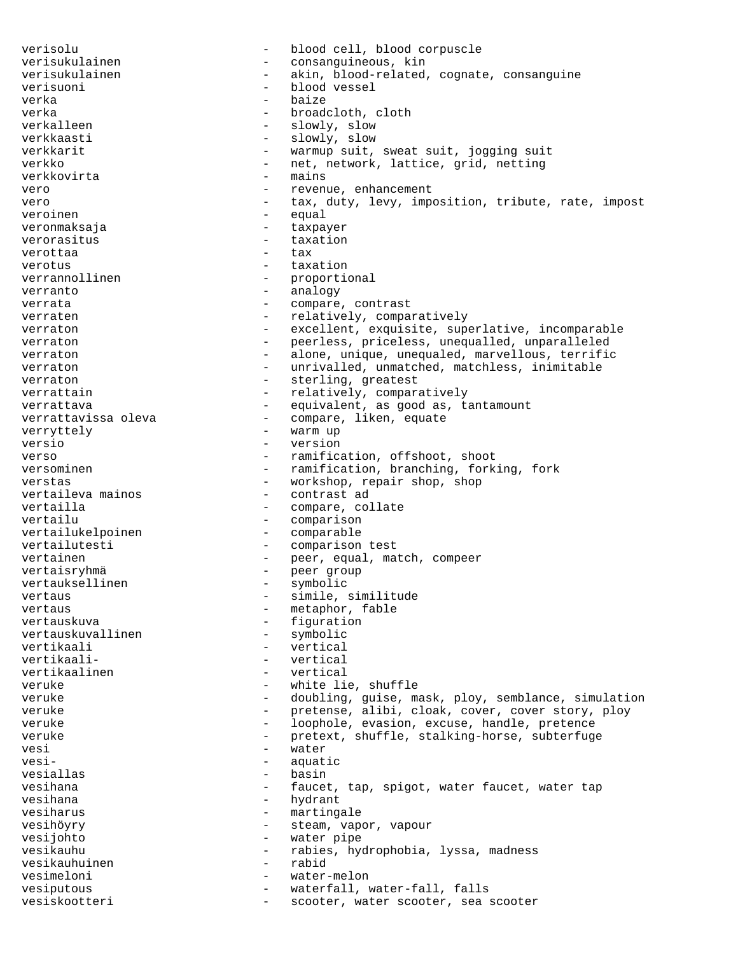verisolu - blood cell, blood corpuscle verisukulainen 1980 - Consanguineous, kin verisukulainen 1988 - akin, blood-related, cognate, consanguine verisuoni - blood vessel verka - baize verka - broadcloth, cloth verkalleen - slowly, slow<br>verkkaasti - slowly, slow<br>- slowly, slow verkkaasti - slowly, slow - warmup suit, sweat suit, jogging suit verkko - net, network, lattice, grid, netting<br>verkkovirta - mains verkkovirta vero  $-$  revenue, enhancement vero external vero tax, duty, levy, imposition, tribute, rate, impost veroinen equal veronmaksaja - taxpayer verorasitus - taxation verottaa - tax verotus - taxation verrannollinen - proportional verranto - analogy verrata  $\qquad \qquad \qquad - \qquad \qquad \text{compare, contrast}$ verraten  $-$  relatively, comparatively verraton - excellent, exquisite, superlative, incomparable verraton - peerless, priceless, unequalled, unparalleled verraton - alone, unique, unequaled, marvellous, terrific verraton - unrivalled, unmatched, matchless, inimitable verraton  $-$  sterling, greatest verrattain  $\qquad \qquad -$  relatively, comparatively verrattava equivalent, as good as, tantamount verrattavissa oleva - compare, liken, equate verryttely - warm up<br>version - warsion versio - version verso - ramification, offshoot, shoot versominen - ramification, branching, forking, fork verstas - workshop, repair shop, shop vertaileva mainos - contrast ad vertailla  $\qquad \qquad -$  compare, collate vertailu - comparison vertailukelpoinen - comparable vertailutesti - comparison test vertainen - peer, equal, match, compeer vertaisryhmä – peer group<br>vertauksellinen – symbolic vertauksellinen vertaus - simile, similitude vertaus - metaphor, fable<br>
vertauskuva - metaphor, fable<br>
- figuration - figuration<br>- symbolic vertauskuvallinen vertikaali - vertical vertikaali- - vertical vertikaalinen - vertical veruke - white lie, shuffle veruke - doubling, guise, mask, ploy, semblance, simulation<br>veruke - pretense alibi cloak cover cover story ploy veruke - pretense, alibi, cloak, cover, cover story, ploy veruke - loophole, evasion, excuse, handle, pretence<br>veruke - pretext shuffle stalking-horse subterfug veruke - pretext, shuffle, stalking-horse, subterfuge<br>
- water vesi - water aquatic vesiallas - basin vesihana - faucet, tap, spigot, water faucet, water tap<br>vesihana - hydrant - hydrant - hydrant vesiharus - martingale vesihöyry  $-$  steam, vapor, vapour vesijohto - water pipe vesikauhu - rabies, hydrophobia, lyssa, madness vesikauhuinen - rabid vesimeloni - water-melon vesiputous - waterfall, water-fall, falls vesiskootteri - scooter, water scooter, sea scooter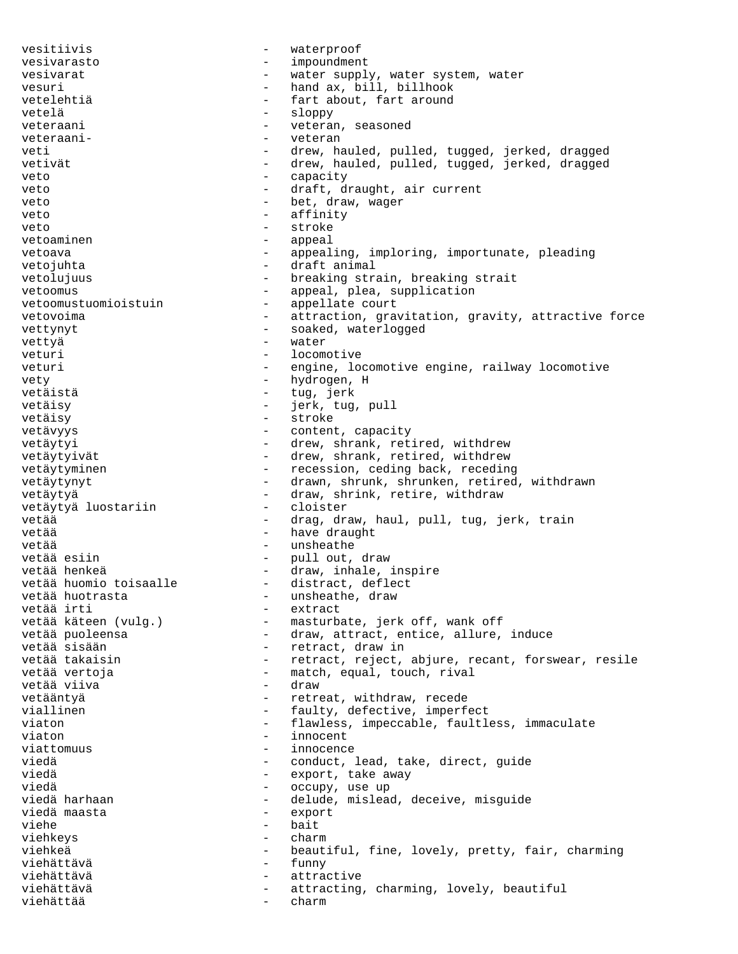vesitiivis - waterproof vesivarasto - impoundment vesivarat - water supply, water system, water vesuri - hand ax, bill, billhook vetelehtiä  $-$  fart about, fart around vetelä - sloppy veteraani - veteran, seasoned veteraani- - veteran veti entertain- drew, hauled, pulled, tugged, jerked, dragged vetivät - drew, hauled, pulled, tugged, jerked, dragged veto - capacity veto  $-$  draft, draught, air current veto  $-$  bet, draw, wager veto - affinity veto - stroke vetoaminen - appeal vetoava end appealing, imploring, importunate, pleading vetojuhta  $\qquad \qquad -$  draft animal vetolujuus - breaking strain, breaking strait vetoomus<br>vetoomustuomioistuin - appeal, plea, supplication<br>- appellate court - appellate court vetovoima enterty retovoima attraction, gravitation, gravity, attractive force vettynyt en metallise version of the soaked, waterlogged vettyä - water veturi - locomotive veturi - engine, locomotive engine, railway locomotive vety - hydrogen, H vetäistä - tug, jerk vetäisy - jerk, tug, pull vetäisy - stroke vetävyys - content, capacity vetäytyi - drew, shrank, retired, withdrew vetäytyivät  $-$  drew, shrank, retired, withdrew vetäytyminen en anderession, ceding back, receding vetäytynyt <a>>
- drawn, shrunk, shrunken, retired, withdrawn</a> vetäytyä - draw, shrink, retire, withdraw vetäytyä luostariin vetää 1000 vetää 1000 vetää 1000 vetää 1000 vetää 1000 vetää 1000 vetää 1000 vetää 1000 vetää 1000 vetää 1000 vetää  $-$  have draught vetää - unsheathe vetää esiin - pull out, draw vetää henkeä - draw, inhale, inspire vetää huomio toisaalle - distract, deflect vetää huotrasta - unsheathe, draw vetää irti - extract vetää käteen (vulg.) - masturbate, jerk off, wank off vetää puoleensa - draw, attract, entice, allure, induce vetää sisään - retract, draw in vetää sisään - retract, draw in vetää sisän - retract. - retract, reject, abjure, recant, forswear, resile vetää vertoja - match, equal, touch, rival vetää viiva - draw vetääntyä - retreat, withdraw, recede viallinen - faulty, defective, imperfect viaton  $-$  flawless, impeccable, faultless, immaculate viaton  $-$  innocent viattomuus - innocence viedä  $-$  conduct, lead, take, direct, guide viedä  $-$  export, take away viedä  $\qquad \qquad -$  occupy, use up viedä harhaan - delude, mislead, deceive, misguide viedä maasta viehe - bait<br>viehkevs - charm viehkeys - charm viehkeä - beautiful, fine, lovely, pretty, fair, charming viehättävä - funny viehättävä - attractive viehättävä - attracting, charming, lovely, beautiful viehättää - charm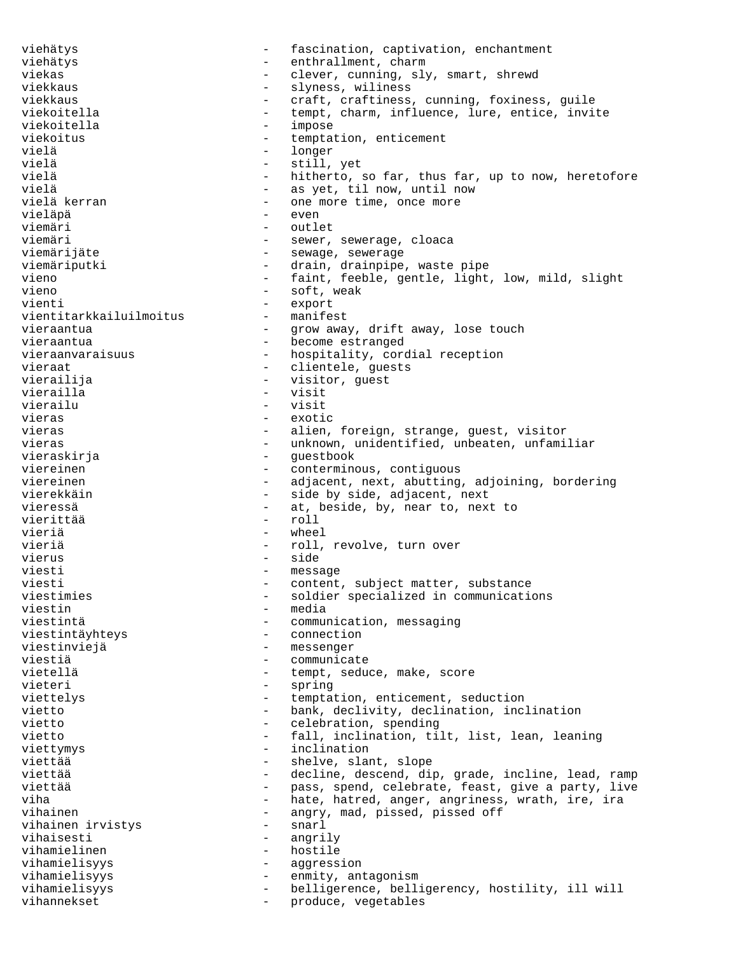viehätys - fascination, captivation, enchantment viehätys - enthrallment, charm viekas - clever, cunning, sly, smart, shrewd viekkaus - slyness, wiliness viekkaus - craft, craftiness, cunning, foxiness, guile viekoitella  $-$  tempt, charm, influence, lure, entice, invite<br>viekoitella  $-$  impose viekoitella viekoitus - temptation, enticement<br>vielä - longer vielä  $-$  still, yet vielä - hitherto, so far, thus far, up to now, heretofore vielä  $-$  as yet, til now, until now vielä kerran  $-$  one more time, once more - one more time, once more vieläpä - even viemäri - outlet viemäri - sewer, sewerage, cloaca viemärijäte - sewage, sewerage viemäriputki - drain, drainpipe, waste pipe vieno<br>
- faint, feeble, gentle, light, low, mild, slight<br>
vieno<br>
- soft weak vieno - soft, weak<br>vienti - export<br>- export - export<br>- manifest vientitarkkailuilmoitus vieraantua - Grow away, drift away, lose touch vieraantua estranged - become estranged vieraanvaraisuus - hospitality, cordial reception vieraat - clientele, guests vierailija - visitor, guest vierailla - visit vierailu - visit vieras - exotic vieras  $-$  alien, foreign, strange, guest, visitor vieras - unknown, unidentified, unbeaten, unfamiliar<br>vieraskirja - equestbook - questbook vieraskirja - guestbook viereinen - conterminous, contiguous<br>viereinen - adiacent next abutting - adjacent, next, abutting, adjoining, bordering vierekkäin - side by side, adjacent, next vieressä  $-$  at, beside, by, near to, next to vierittää - roll vieriä - wheel vieriä  $-$  roll, revolve, turn over vierus - side viesti  $-$  message viesti  $-$  content, subject matter, substance viestimies - soldier specialized in communications viestin - media viestintä - communication, messaging<br>viestintäyhteys - connection - connection viestinviejä esteembrondelle van die versien van die van die van die van die van die van die van die van die v viestiä  $-$  communicate vietellä  $-$  tempt, seduce, make, score vieteri - spring viettelys - temptation, enticement, seduction vietto - bank, declivity, declination, inclination<br>vietto - celebration spending vietto  $-$  celebration, spending vietto - fall, inclination, tilt, list, lean, leaning<br>viettymys viettymys - inclination viettää  $-$  shelve, slant, slope viettää - decline, descend, dip, grade, incline, lead, ramp - pass, spend, celebrate, feast, give a party, live viha  $-$  hate, hatred, anger, angriness, wrath, ire, ira vihainen  $-$  angry, mad, pissed, pissed off<br>vihainen irvistys  $-$  snarl vihainen irvistys vihaisesti - angrily vihamielinen – hostile<br>vihamielisyys – aggresse vihamielisyys - aggression vihamielisyys - enmity, antagonism vihamielisyys - belligerence, belligerency, hostility, ill will vihannekset en andere vegetables andere vegetables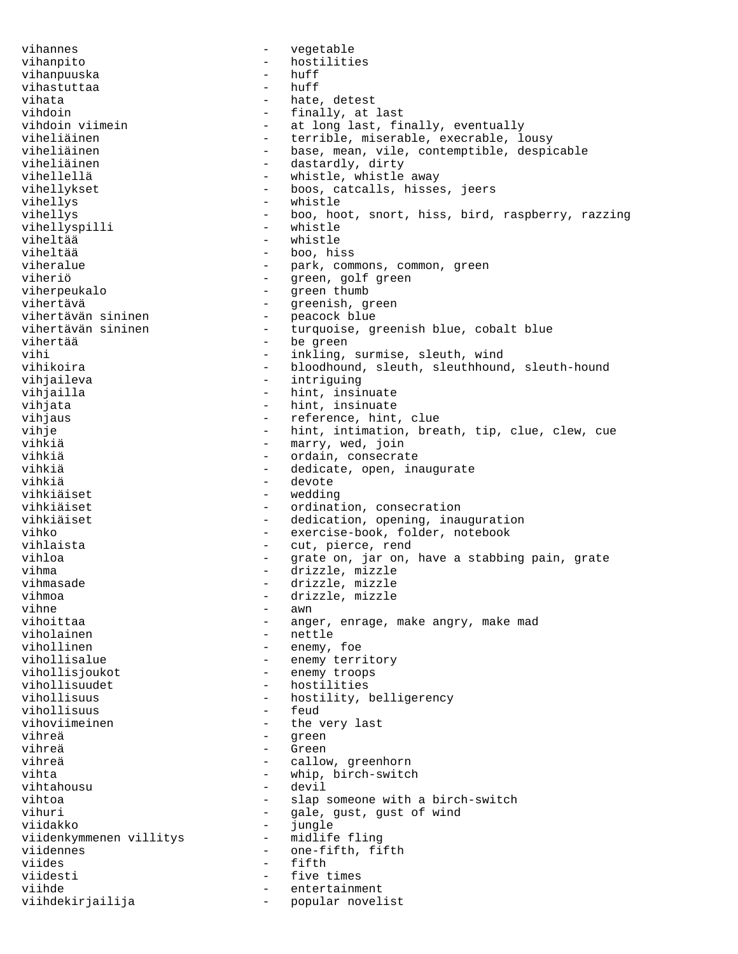vihannes en announcement and the vegetable vihanpito - hostilities vihanpuuska - huff<br>vihastuttaa - huff vihastuttaa vihata - hate, detest<br>vihdoin - hate, detest vihdoin  $-$  finally, at last<br>vihdoin viimein  $-$  at long last, fi vihdoin viimein - at long last, finally, eventually<br>viheliäinen - - - - - - - - - - terrible, miserable, execrable, l viheliäinen - terrible, miserable, execrable, lousy<br>viheliäinen - base, mean, vile, contemptible, despie - base, mean, vile, contemptible, despicable viheliäinen 1988 - dastardly, dirty vihellellä - whistle, whistle away vihellykset - boos, catcalls, hisses, jeers vihellys - whistle vihellys - boo, hoot, snort, hiss, bird, raspberry, razzing<br>vihellyspilli - whistle vihellyspilli viheltää - whistle - boo, hiss viheralue - park, commons, common, green<br>viheriö viheriö - green, golf green<br>viherpeukalo - - green thumb viherpeukalo - green thumb vihertävä - greenish, green - peacock blue vihertävän sininen  $-$  turquoise, greenish blue, cobalt blue vihertää - be green<br>
vihi - be green<br>
- inkling. vihi - inkling, surmise, sleuth, wind<br>
vihikoira - bloodhound, sleuth, sleuthhound - bloodhound, sleuth, sleuthhound, sleuth-hound vihjaileva - intriguing vihjailla  $-$  hint, insinuate vihjata - hint, insinuate vihjaus - reference, hint, clue<br>
vihje - hint, intimation, brea vihje - hint, intimation, breath, tip, clue, clew, cue vihkiä - marry, wed, join vihkiä - ordain, consecrate - dedicate, open, inaugurate vihkiä - devote - wedding vihkiäiset - ordination, consecration<br>vihkiäiset - dedication, opening, inau - dedication, opening, inauguration vihko - exercise-book, folder, notebook vihlaista  $-$  cut, pierce, rend vihloa  $-$  grate on, jar on, have a stabbing pain, grate vihma - drizzle, mizzle vihmasade - drizzle, mizzle vihmoa - drizzle, mizzle<br>vihne - awn vihne - awn<br>
vihoittaa - angel - angel - angel - angel - angel - angel - angel - angel - angel - angel - angel - angel - angel - angel - angel - angel - angel - angel - angel - angel - angel - angel - angel - angel - angel vihoittaa - anger, enrage, make angry, make mad - nettle vihollinen - enemy, foe vihollisalue - enemy territory vihollisjoukot - enemy troops vihollisuudet - hostilities vihollisuus - hostility, belligerency<br>vihollisuus - feud - feud vihollisuus vihoviimeinen 1988 - the very last vihreä - green vihreä - Green vihreä - callow, greenhorn<br>vihta - whip hirch-switch vihta - whip, birch-switch<br>vihtahousu - devil - devil vihtoa - slap someone with a birch-switch vihuri - gale, gust, gust of wind<br>
viidakko - iungle - jungle<br>- midlife fling viidenkymmenen villitys viidennes - one-fifth, fifth viides - fifth viidesti  $-$  five times viihde  $-$  entertainment viihdekirjailija - popular novelist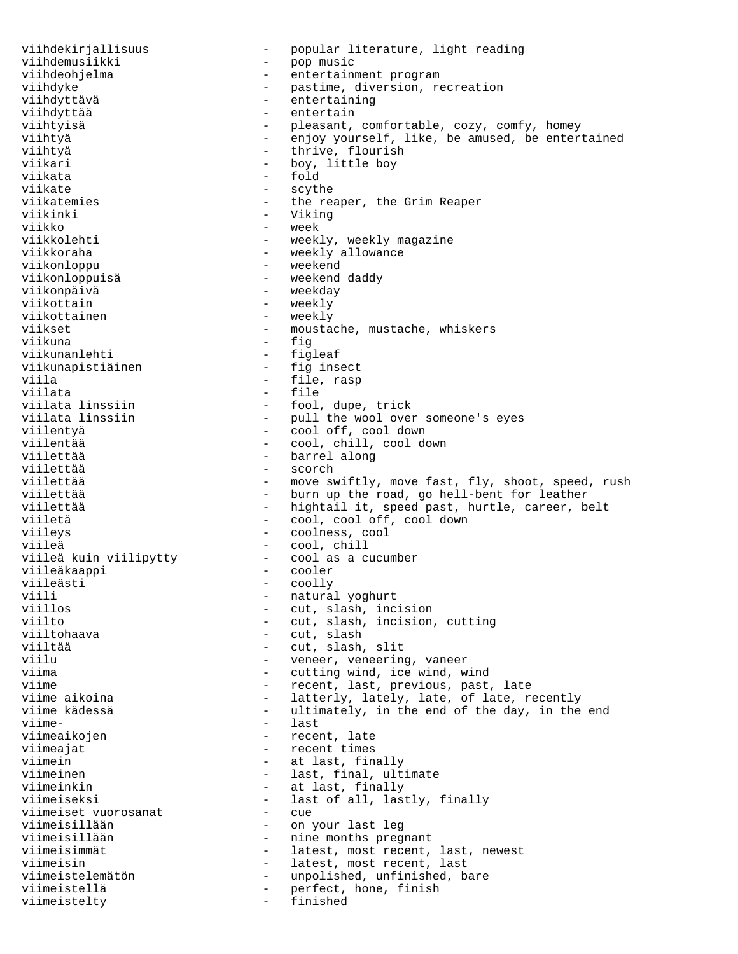viihdekirjallisuus - popular literature, light reading<br>viihdemusiikki - pop music viihdemusiikki - pop music viihdeohjelma - entertainment program<br>
- entertainment program viihdyke - pastime, diversion, recreation - pastime, diversion, recreation viihdyttävä - entertaining viihdyttää - entertain viihtyisä - pleasant, comfortable, cozy, comfy, homey viihtyä - enjoy yourself, like, be amused, be entertained viihtyä  $-$  thrive, flourish viikari - boy, little boy viikata - fold viikate - scythe viikatemies - the reaper, the Grim Reaper viikinki - Viking viikko - week<br>viikkolehti - week - weekly, weekly magazine viikkoraha  $-$  weekly allowance viikonloppu - weekend viikonloppuisä - weekend daddy viikonpäivä – weekday<br>viikottain – weekly – weekly viikottain - weekly<br>
viikottainen - weekly - weekly viikset - moustache, mustache, whiskers<br>viikuna - fig - fig<br>- figleaf viikunanlehti<br>viikunapistiäinen - fig insect viila - file, rasp viilata - file viilata linssiin viilata linssiin - fool, dupe, trick<br>viilata linssiin - pull the wool over viilata linssiin - pull the wool over someone's eyes viilentyä - cool off, cool down viilentää - cool, chill, cool down<br>viilettää - - - - - barrel along viilettää - barrel along<br>viilettää - barrel along - barrel along viilettää - scorch viilettää - move swiftly, move fast, fly, shoot, speed, rush<br>viilettää - move swiftly, move fast, fly, shoot, speed, rush viilettää - burn up the road, go hell-bent for leather<br>viilettää - hightail it speed past hurtle career be viilettää - hightail it, speed past, hurtle, career, belt<br>viiletä - cool. cool. cool off. cool down - cool, cool off, cool down viileys - coolness, cool viileä - cool, chill viileä kuin viilipytty - cool as a cucumber viileäkaappi<br>viileästi viileästi – coolly<br>
viili – matura viili - natural yoghurt<br>viillos - cut. slash. inc. viillos - cut, slash, incision<br>viilto - cut slash incision viilto - cut, slash, incision, cutting<br>viilto - cut, slash incision, cutting viiltohaava - cut, slash<br>viiltää - cut, slash viiltää - cut, slash, slit<br>viilu - veneer, veneerin - veneer, veneering, vaneer viima  $-$  cutting wind, ice wind, wind viime  $-$  recent, last, previous, past, late viime aikoina  $-$  latterly, lately, late, of late, recently viime kädessä  $-$  ultimately, in the end of the day, in the end viime-<br>
viimeaikojen<br>
- recen<br>
- recen - recent, late viimeajat - recent times<br>viimein - at last, fin viimein - at last, finally viimeinen 1988 - Last, final, ultimate viimeinkin 1988 - Last, final, ultimate viimeinkin 1988 - Amerikaanse v<br>1988 - Artikus Last, finally 1988 - Artikus 1988 - Artikus 1988 - Artikus 1988 - Artikus 1988 - Artikus 1988 -- at last, finally viimeiseksi - last of all, lastly, finally<br>viimeiset vuorosanat - cue viimeiset vuorosanat<br>viimeisillään viimeisillään - on your last leg<br>viimeisillään - - nine months preg - nine months pregnant viimeisimmät - latest, most recent, last, newest viimeisin - latest, most recent, last viimeistelemätön - unpolished, unfinished, bare viimeistellä  $-$  perfect, hone, finish viimeistelty - finished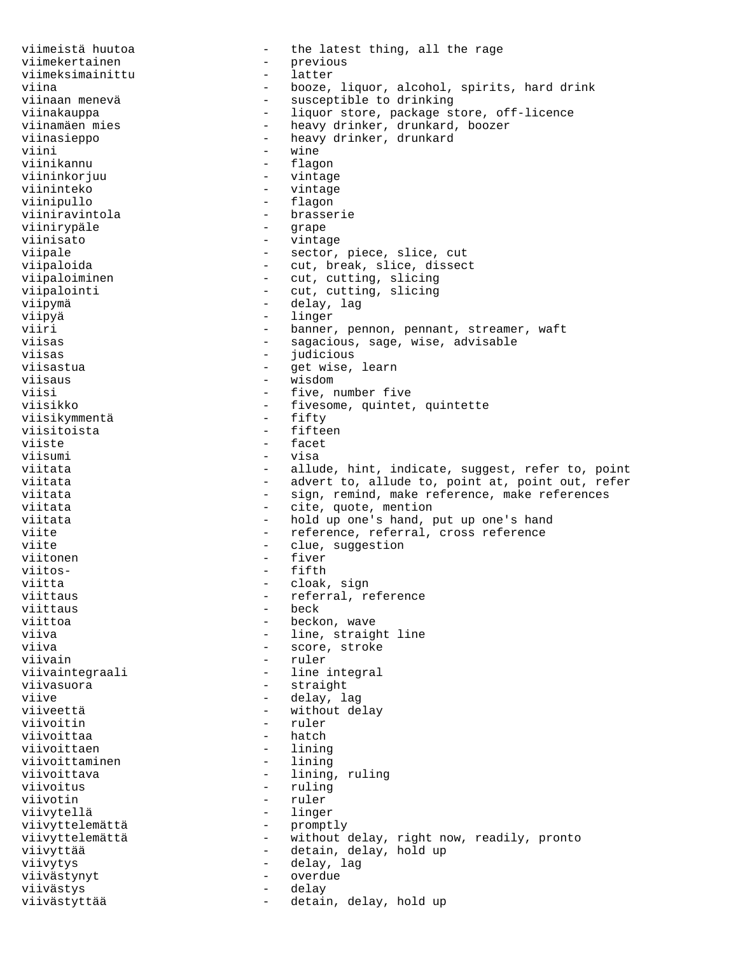viimeistä huutoa - the latest thing, all the rage viimekertainen - previous<br>viimeksimainittu - latter viimeksimainittu - latter viina  $-$  booze, liquor, alcohol, spirits, hard drink<br>viinaan menevä  $-$  susceptible to drinking viinaan menevä<br>
viinakauppa<br>
- liquor store, package st viinakauppa - liquor store, package store, off-licence<br>viinamäen mies - heavy drinker, drunkard, boozer viinamäen mies - heavy drinker, drunkard, boozer<br>viinasieppo - heavy drinker, drunkard viinasieppo - heavy drinker, drunkard<br>
- wine - wine viinikannu - flagon viininkorjuu - vintage<br>viininteko - vintage - vintage viinipullo - flagon viiniravintola - brasserie viinirypäle viinisato - vintage viipale  $-$  sector, piece, slice, cut viipaloida - cut, break, slice, dissect viipaloiminen - cut, cutting, slicing<br>viipalointi - cut, cutting, slicing viipalointi - cut, cutting, slicing<br>viipymä - delay, lag viipymä – delay, lag<br>viipyä – linger – linger - linger viiri - banner, pennon, pennant, streamer, waft<br>viisas - sagacious, sage, wise, advisable viisas - sagacious, sage, wise, advisable - judicious viisastua - get wise, learn viisaus - wisdom viisi  $-$  five, number five viisikko - fivesome, quintet, quintette<br>viisikvmmentä - fifty - fifty viisikymmentä – fifty<br>viisitoista – fifteen viisitoista – fifte<br>viiste – facet viiste – faceta – faceta – faceta – faceta – faceta – faceta – faceta – faceta – faceta – faceta – faceta – faceta – faceta – faceta – faceta – faceta – faceta – faceta – faceta – faceta – faceta – faceta – faceta – faceta viisumi - visa viitata - allude, hint, indicate, suggest, refer to, point<br>viitata - advert to allude to point at point out refer viitata - advert to, allude to, point at, point out, refer<br>viitata - sign, remind, make reference, make references viitata  $\begin{array}{ccc} - & \text{sign, remind, make reference, make references} \\ - & \text{circ. much. mention} \end{array}$ - cite, quote, mention viitata  $-$  hold up one's hand, put up one's hand viite  $-$  reference, referral, cross reference viite  $\qquad \qquad -$  clue, suggestion viitonen  $-$  fiver viitos- - fifth viitta - cloak, sign viittaus - referral, reference viittaus - beck viittoa - beckon, wave viiva - line, straight line<br>viiva - score stroke - score, stroke viivain - ruler viivaintegraali - line integral viivasuora - straight viive  $\qquad \qquad -$  delay, lag viiveettä - without delay viivoitin - ruler viivoittaa - hatch viivoittaen - lining viivoittaminen<br>viivoittava viivoittava - lining, ruling<br>viivoitus - ruling - ruling viivotin - ruler viivytellä - linger - promptly viivyttelemättä - without delay, right now, readily, pronto viivyttää - detain, delay, hold up viivytys - delay, lag<br>viivästynyt - overdue - overdue viivästynyt - overdue viivästys - delay viivästyttää - - - - - - - - detain, delay, hold up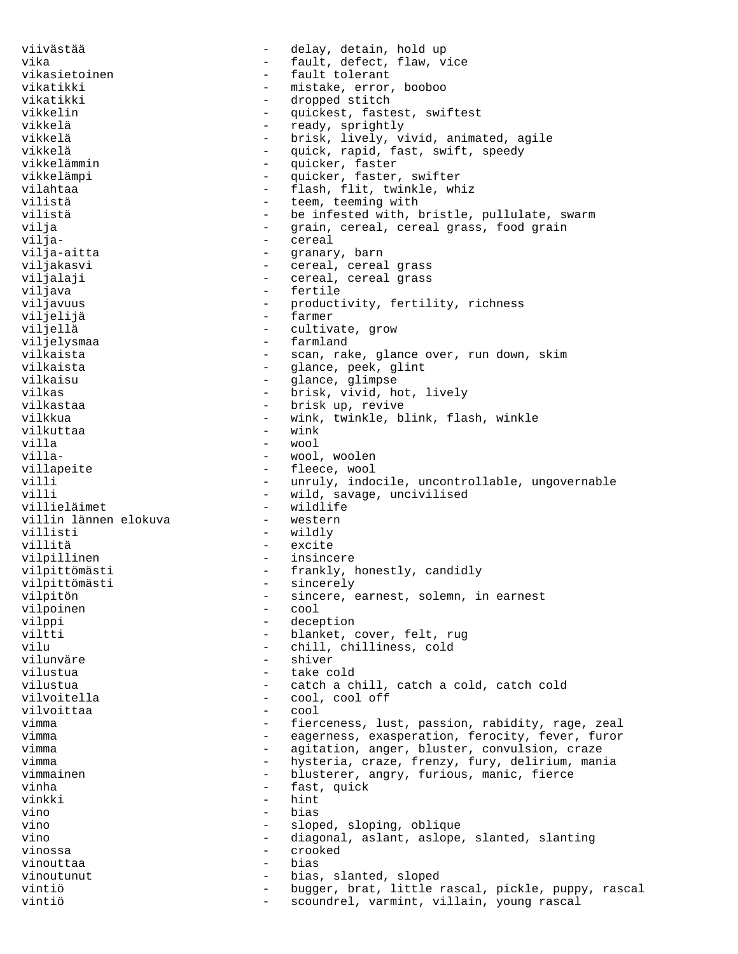viivästää  $-$  delay, detain, hold up vika  $-$  fault, defect, flaw, vice vikasietoinen - fault tolerant<br>
vikatikki - mistake, error vikatikki - mistake, error, booboo vikatikki - dropped stitch<br>vikkelin - dropped stitch<br>- dropped stitch vikkelin - quickest, fastest, swiftest<br>
vikkelä vikkelä - ready, sprightly vikkelä - brisk, lively, vivid, animated, agile<br>vikkelä - mick rapid fast swift speedy vikkelä - quick, rapid, fast, swift, speedy<br>vikkelämmin - quicker, faster quicker, faster vikkelämpi - quicker, faster, swifter vilahtaa - flash, flit, twinkle, whiz vilistä  $-$  teem, teeming with vilistä - be infested with, bristle, pullulate, swarm vilja - grain, cereal, cereal grass, food grain vilja- - cereal vilja-aitta - granary, barn viljakasvi - cereal, cereal grass viljalaji - cereal, cereal grass viljava - fertile viljavuus - productivity, fertility, richness<br>viljelijä - farmer viljelijä - farmer - cultivate, grow viljelysmaa - farmland vilkaista - scan, rake, glance over, run down, skim vilkaista  $-$  glance, peek, glint vilkaisu  $-$  glance, glimpse vilkas - brisk, vivid, hot, lively vilkastaa - brisk up, revive vilkkua - wink, twinkle, blink, flash, winkle<br>vilkuttaa - wink - wink vilkuttaa<br>villa villa - wool villa- - wool, woolen - fleece, wool villi - unruly, indocile, uncontrollable, ungovernable<br>villi - wild savage uncivilised villi - wild, savage, uncivilised<br>
villieläimet - wildlife - wildlife<br>- western villin lännen elokuva<br>villisti - wildly villitä - excite vilpillinen - insincere vilpittömästi - frankly, honestly, candidly vilpittömästi - sincerely vilpitön - sincere, earnest, solemn, in earnest vilpoinen - cool vilppi - deception<br>viltti - blanket. - blanket, cover, felt, rug vilu - chill, chilliness, cold vilunväre - shiver vilustua - take cold vilustua - catch a chill, catch a cold, catch cold vilvoitella - cool, cool off vilvoittaa vimma  $-$  fierceness, lust, passion, rabidity, rage, zeal vimma  $-$  eagerness, exasperation, ferocity, fever, furor vimma  $-$  agitation, anger, bluster, convulsion, craze vimma - hysteria, craze, frenzy, fury, delirium, mania vimmainen - blusterer, angry, furious, manic, fierce vinha  $-$  fast, quick vinkki - hint vino - bias vino - sloped, sloping, oblique vino - diagonal, aslant, aslope, slanted, slanting vinossa - crooked vinouttaa - bias vinoutunut - bias, slanted, sloped<br>vintiö - buqqer, brat, little i - bugger, brat, little rascal, pickle, puppy, rascal vintiö - scoundrel, varmint, villain, young rascal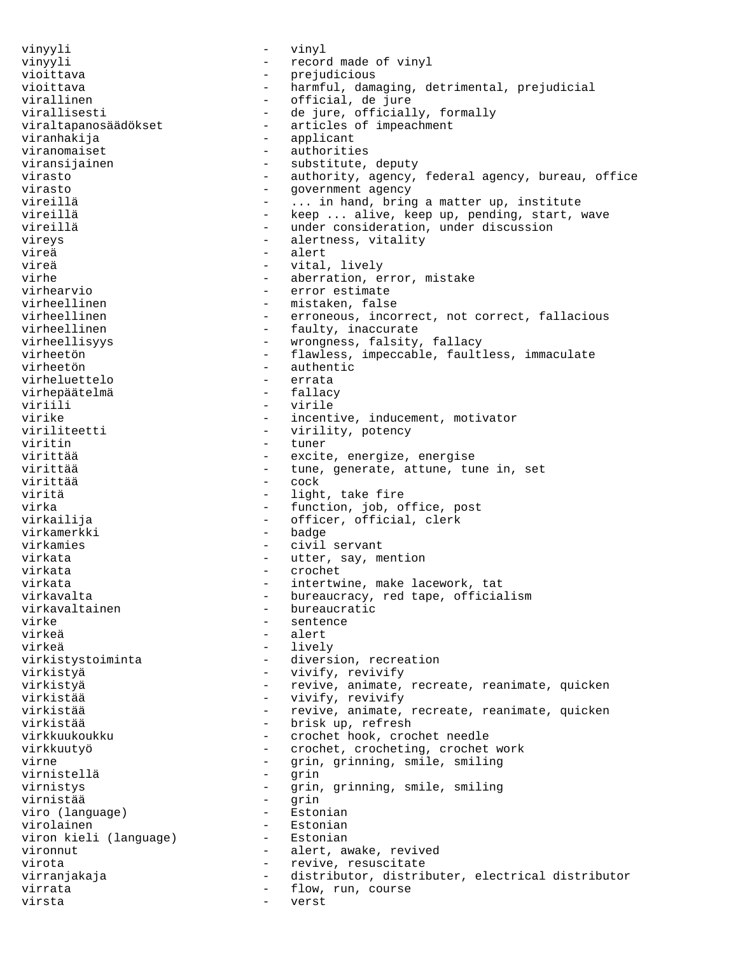vinyyli - vinyl vinyyli - record made of vinyl<br>vioittava - record made of vinyl vioittava - prejudicious vioittava - harmful, damaging, detrimental, prejudicial virallinen - official, de jure virallisesti - de jure, officially, formally viraltapanosäädökset - articles of impeachment viranhakija - applicant - authorities viransijainen - substitute, deputy<br>virasto - authority, agency, - authority, agency, federal agency, bureau, office virasto - government agency<br>vireillä - - - - - - - - in hand bring vireillä  $-$  ... in hand, bring a matter up, institute vireillä  $-$  keep ... alive, keep up, pending, start, wave vireillä - under consideration, under discussion vireys  $-$  alertness, vitality vireä - alert vireä  $-$  vital, lively virhe  $-$  aberration, error, mistake virhearvio  $-$  error estimate virhearvio - error estimate virheellinen - mistaken, false<br>virheellinen - erroneous, inco: - erroneous, incorrect, not correct, fallacious virheellinen - faulty, inaccurate<br>virheellisyys - wrongness, falsity, - wrongness, falsity, fallacy virheetön - flawless, impeccable, faultless, immaculate virheetön - authentic virheluettelo virhepäätelmä – fallacy<br>viriili – virile – virile viriili - virile virike  $-$  incentive, inducement, motivator viriliteetti - virility, potency viritin - tuner virittää - excite, energize, energise<br>virittää - excite, energize, energise virittää - tune, generate, attune, tune in, set<br>
- cock - cock viritä  $-$  light, take fire virka - function, job, office, post<br>virkailija - - - - - - - officer, official, clerk - officer, official, clerk virkamerkki - badge virkamies - civil servant virkata  $\qquad \qquad -$  utter, say, mention virkata - crochet virkata  $-$  intertwine, make lacework, tat virkavalta  $-$  bureaucracy, red tape, officialism virkavaltainen 1988 - bureaucratic virke - sentence - alert virkeä - lively - diversion, recreation virkistyä - vivify, revivify virkistyä - revive, animate, recreate, reanimate, quicken virkistää - vivify, revivify virkistää - revive, animate, recreate, reanimate, quicken virkistää - brisk up, refresh virkkuukoukku - crochet hook, crochet needle virkkuutyö - crochet, crocheting, crochet work virne - grin, grinning, smile, smiling<br>
virnistellä - grin - grin virnistellä - grin virnistys - grin, grinning, smile, smiling virnistää - grin viro (language) virolainen<br>viron kieli (language) - Estonian viron kieli (language) vironnut - alert, awake, revived virota  $-$  revive, resuscitate virranjakaja - distributor, distributer, electrical distributor virrata  $\qquad \qquad -$  flow, run, course virsta - verst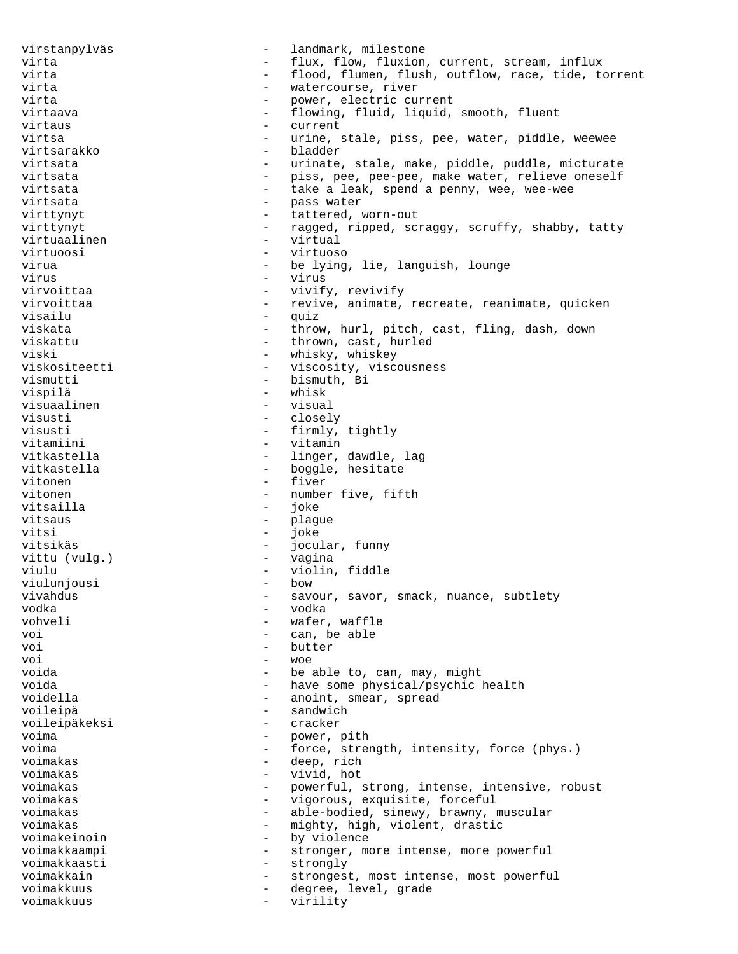virstanpylväs - landmark, milestone virta  $-$  flux, flow, fluxion, current, stream, influx virta  $-$  flood, flumen, flush, outflow, race, tide, torrent virta  $-$  watercourse, river virta  $-$  power, electric current virtaava - flowing, fluid, liquid, smooth, fluent virtaus - current virtsa - urine, stale, piss, pee, water, piddle, weewee virtsarakko - bladder virtsata  $-$  urinate, stale, make, piddle, puddle, micturate virtsata - piss, pee, pee-pee, make water, relieve oneself virtsata - take a leak, spend a penny, wee, wee-wee virtsata - pass water virttynyt  $-$  tattered, worn-out virttynyt <a>>
- ragged, ripped, scraggy, scruffy, shabby, tatty</a> virtuaalinen 1988 - virtual virtuoosi - virtuoso virua  $-$  be lying, lie, languish, lounge virus - virus - virus - virus - virus - virus - virus - virus - virus - virus - virus - virus - virus - virus - virus - virus - virus - virus - virus - virus - virus - virus - virus - virus - virus - virus - virus - virus virvoittaa - vivify, revivify<br>virvoittaa - virvoittaa - virvoittaa - virvoittaa - virvoittaa - virvoittaa - virvoittaa - virvoittaa - virvoit - revive, animate, recreate, reanimate, quicken visailu - quiz viskata - throw, hurl, pitch, cast, fling, dash, down viskattu - thrown, cast, hurled viski - whisky, whiskey viskositeetti - viscosity, viscousness vismutti - bismuth, Bi<br>vispilä - whisk - whisk vispilä - whisk visuaalinen - visuaalinen - visuaalinen - visuaalinen - visuaalinen - visuaalinen - visuaalinen - visuaalinen visusti - closely visusti - firmly, tightly<br>
vitamiini - vitamin vitamiini - vitamini - vitamin<br>vitkastella - linger. vitkastella - linger, dawdle, lag<br>vitkastella - - boggle, hesitate - boggle, hesitate vitonen - fiver vitonen - number five, fifth<br>vitsailla - ioke vitsailla - joke vitsaus - plague vitsi  $-$  joke vitsikäs - jocular, funny vittu (vulg.) - vagina viulu - violin, fiddle<br>viuluniousi - bow - bow viulunjousi vivahdus - savour, savor, smack, nuance, subtlety vodka - vodka vohveli - wafer, waffle voi - can, be able voi - butter voi - woe voida - be able to, can, may, might voida - have some physical/psychic health voidella - anoint, smear, spread<br>
voileinä - andwich voileipä - sandwich voileipäkeksi - cracker voima - power, pith<br>voima - force stret voima<br>
- force, strength, intensity, force (phys.)<br>
- deep righ voimakas - deep, rich<br>voimakas - deep, rich<br>strid hot voimakas - vivid, hot voimakas - powerful, strong, intense, intensive, robust<br>voimakas - vigorous, exquisite, forceful vigorous, exquisite, forceful voimakas - able-bodied, sinewy, brawny, muscular voimakas - mighty, high, violent, drastic<br>voimakeinoin - by violence - by violence voimakkaampi - stronger, more intense, more powerful voimakkaasti - strongly voimakkain end also voimakkain also voimakkain voimakkain end also voimakkain voimakkain voimakkain voimakkain voimakkuus - degree, level, grade voimakkuus - virility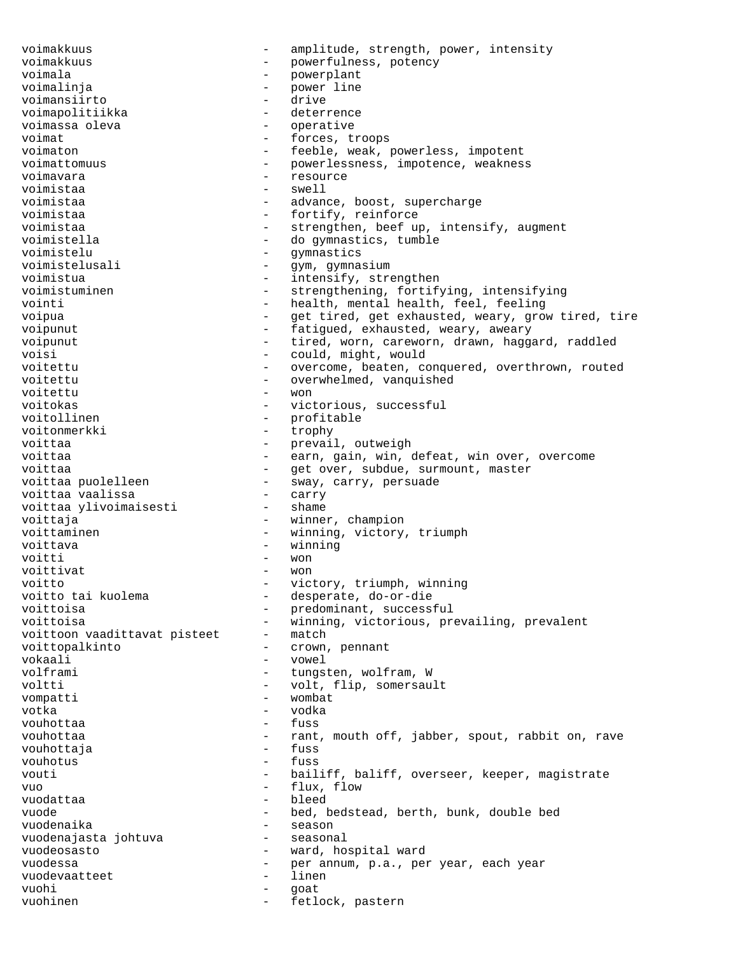voimakkuus - amplitude, strength, power, intensity voimakkuus - powerfulness, potency<br>voimala - powerplant voimala - powerplant voimalinja - power line voimansiirto - drive voimapolitiikka voimassa oleva - operative<br>voimat - forces, t voimat  $\overline{\phantom{a}}$  - forces, troops<br>voimaton - feeble.weak. - feeble, weak, powerless, impotent voimattomuus - powerlessness, impotence, weakness voimavara entre est est est est entre entre entre entre entre entre entre entre entre entre entre entre entre e voimistaa - swell voimistaa - advance, boost, supercharge voimistaa - fortify, reinforce voimistaa - strengthen, beef up, intensify, augment voimistella - do gymnastics, tumble<br>voimistelu - gymnastics - gymnastics voimistelusali - gym, gymnasium voimistua - intensify, strengthen voimistuminen - strengthening, fortifying, intensifying vointi  $-$  health, mental health, feel, feeling voipua  $-$  get tired, get exhausted, weary, grow tired, tire voipunut - fatigued, exhausted, weary, aweary voipunut - tired, worn, careworn, drawn, haggard, raddled voisi - could, might, would voitettu - overcome, beaten, conquered, overthrown, routed voitettu - overwhelmed, vanquished voitettu - won voitokas - victorious, successful voitollinen - profitable<br>voitonmerkki - trophy voitonmerkki - trophy voittaa - prevail, outweigh voittaa  $-$  earn, gain, win, defeat, win over, overcome voittaa - get over, subdue, surmount, master voittaa puolelleen - sway, carry, persuade voittaa vaalissa - carry voittaa ylivoimaisesti voittaja - winner, champion voittaminen  $-$  winning, victory, triumph voittava - winning voitti - won voittivat - won voitto - victory, triumph, winning - desperate, do-or-die voittoisa  $-$  predominant, successful voittoisa - winning, victorious, prevailing, prevalent voittoon vaadittavat pisteet -<br>voittoonlinto voittopalkinto - crown, pennant<br>vokaali - vowal vokaali - vowel volframi - tungsten, wolfram, W voltti  $-$  volt, flip, somersault vompatti - wombat votka - vodka vouhottaa - fuss vouhottaa - rant, mouth off, jabber, spout, rabbit on, rave vouhottaja – fussionalistis – fussionalistis – fussionalistis – fussionalistis – fussionalistis – fussionalistis – fussionalistis – fussionalistis – fussionalistis – fussionalistis – fussionalistis – fussionalistis – fussi vouhotus - fuss vouti - bailiff, baliff, overseer, keeper, magistrate vuo - flux, flow vuodattaa - bleed vuode - bed, bedstead, berth, bunk, double bed vuodenaika - season vuodenajasta johtuva vuodeosasto - ward, hospital ward vuodessa - per annum, p.a., per year, each year vuodevaatteet vuohi - goat vuohinen 1988 - Southern Fetlock, pastern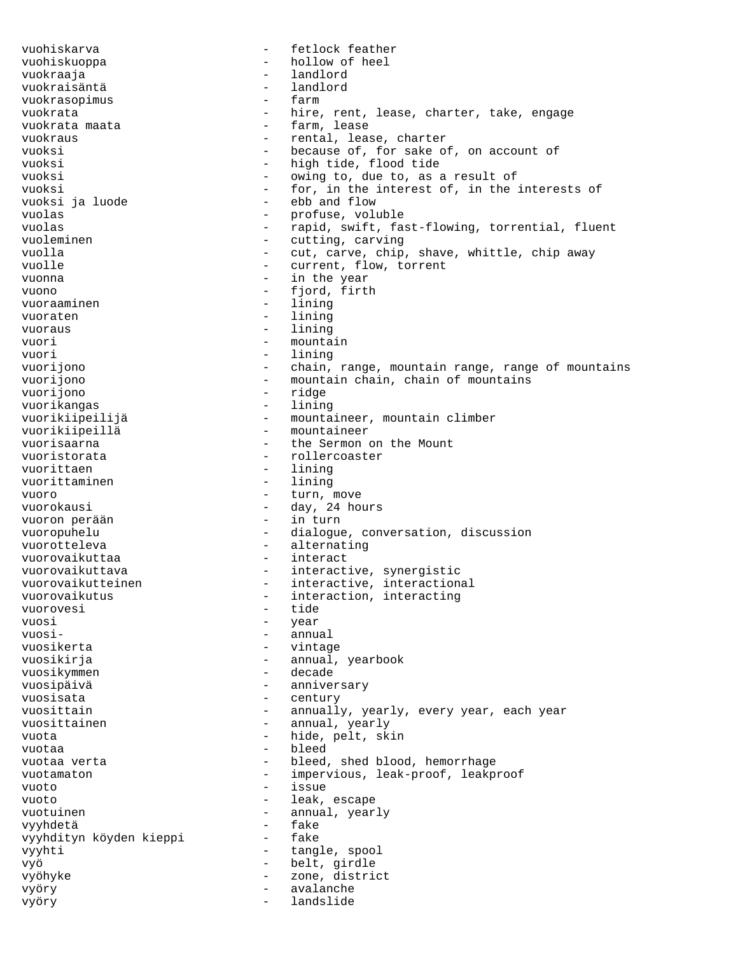vuohiskarva - fetlock feather vuohiskuoppa - hollow of heel vuokraaja - landlord - landlord vuokraisäntä - landlord vuokrasopimus vuokrata - hire, rent, lease, charter, take, engage vuokrata maata  $-$  farm, lease vuokraus - rental, lease, charter<br>vuoksi - hecause of for sake o - because of, for sake of, on account of vuoksi - high tide, flood tide vuoksi - owing to, due to, as a result of vuoksi  $-$  for, in the interest of, in the interests of vuoksi ia luode  $-$  ebb and flow vuoksi ja luode vuolas - profuse, voluble vuolas - rapid, swift, fast-flowing, torrential, fluent<br>vuoleminen - cutting, carving - cutting, carving vuolla  $-$  cut, carve, chip, shave, whittle, chip away vuolle - current, flow, torrent<br>vuonna - in the year vuonna  $\qquad \qquad -$  in the year vuono - fjord, firth vuoraaminen 1ining - lining vuoraten 1ining vuoraus - lining vuori - mountain vuori - lining vuorijono - chain, range, mountain range, range of mountains vuorijono - mountain chain, chain of mountains - ridge vuorikangas<br>
vuorikiipeilijä<br>
vuorikiipeilijä<br>
3 - mountaineer, mountain climber vuorikiipeillä - mountaineer vuorisaarna - the Sermon on the Mount<br>vuoristorata - - rollercoaster - rollercoaster vuorittaen – lining<br>vuorittaminen – lining – lining vuorittaminen vuoro - turn, move vuorokausi - day, 24 hours<br>vuoron perään - in turn vuoron perään vuoropuhelu - dialogue, conversation, discussion vuorotteleva - alternating<br>vuorovaikuttaa - interact vuorovaikuttaa vuorovaikuttava - interactive, synergistic vuorovaikutteinen en metallisuuristelle vuorovaikutteinen metallisuuristelle vuorovaikuteen metallisuuristell vuorovaikutus - interaction, interacting vuorovesi - tide vuosi – year – year – year – year – year – year – year – year – year – year – year – year – year – year – year – year – year – year – year – year – year – year – year – year – year – year – year – year – year – year – year - annual vuosikerta - vintage vuosikirja - annual, yearbook vuosikymmen - decade vuosipäivä - anniversary vuosisata - century vuosittain  $-$  annually, yearly, every year, each year vuosittainen  $-$  annual, yearly vuota <sup>-</sup> hide, pelt, skin vuotaa - bleed vuotaa verta - bleed, shed blood, hemorrhage vuotamaton - impervious, leak-proof, leakproof vuoto - issue vuoto - leak, escape vuotuinen 1988 - vuotuinen 1988 vuotuinen 1988 - vuotuinen 1988 - vuotuinen 1988 - vuotuinen 1988 vuotuinen 19 vyyhdetä - fake vyyhdityn köyden kieppi vyyhti - tangle, spool vyö - belt, girdle vyöhyke - zone, district vyöry - avalanche vyöry - landslide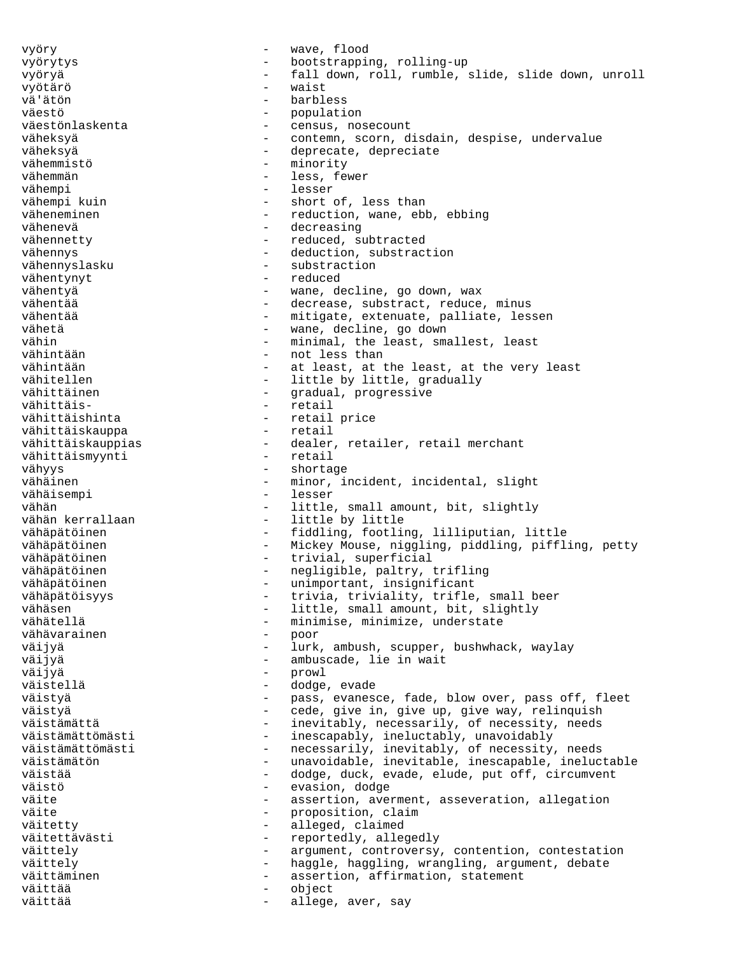vyöry - wave, flood vyörytys - bootstrapping, rolling-up vyöryä - fall down, roll, rumble, slide, slide down, unroll vyötärö - waist barbless väestö - population väestönlaskenta - census, nosecount<br>väheksyä - contemn, scorn, d väheksyä - contemn, scorn, disdain, despise, undervalue - deprecate, depreciate vähemmistö - minority vähemmän - less, fewer vähempi - lesser - short of, less than väheneminen - reduction, wane, ebb, ebbing vähenevä - decreasing vähennetty  $\qquad \qquad - \qquad$  reduced, subtracted vähennys - deduction, substraction vähennyslasku - substraction<br>vähentynyt - reduced - reduced vähentynyt - reduced vähentyä<br>vähentää - vane, decline, go down, wax<br>- decrease substract reduce vähentää<br>vähentää - vallusta - decrease, substract, reduce, minus<br>- mitigate extenuate palliate les - mitigate, extenuate, palliate, lessen vähetä  $-$  wane, decline, go down vähin - minimal, the least, smallest, least vähintään - minimal, the least, smallest, least vähintään - not less than - at least, at the least, at the very least vähitellen  $-$  little by little, gradually vähittäinen 1988 vaatal, progressive vähittäis- - retail vähittäishinta - retail price vähittäiskauppa vähittäiskauppa<br>vähittäiskauppias dealer, retailer, retail merchant<br>vähittäismyynti retail vähittäismyynti<br>vähyys - shortage vähäinen 1988 - minor, incident, incidental, slight vähäisempi - lesser vähän  $-$  little, small amount, bit, slightly<br>vähän kerrallaan  $-$  little by little - little by little vähäpätöinen 1988 - fiddling, footling, lilliputian, little vähäpätöinen - Mickey Mouse, niggling, piddling, piffling, petty vähäpätöinen  $-$  trivial, superficial vähäpätöinen - negligible, paltry, trifling vähäpätöinen 1988 - unimportant, insignificant vähäpätöisyys - trivia, triviality, trifle, small beer vähäsen - little, small amount, bit, slightly<br>vähätellä - minimise, minimize, understate vähävarainen - poor väijyä - lurk, ambush, scupper, bushwhack, waylay väijyä - ambuscade, lie in wait väijyä - prowl väistellä - dodge, evade väistyä - pass, evanesce, fade, blow over, pass off, fleet väistyä - cede, give in, give up, give way, relinquish väistämättä  $-$  inevitably, necessarily, of necessity, needs väistämättömästi - inescapably, ineluctably, unavoidably väistämättömästi - necessarily, inevitably, of necessity, needs väistämätön - unavoidable, inevitable, inescapable, ineluctable väistää - dodge, duck, evade, elude, put off, circumvent<br>väistö - evasion, dodge väite  $-$  assertion, averment, asseveration, allegation väite - proposition, claim väitetty  $-$  alleged, claimed väitettävästi  $-$  reportedly, allegedly väittely  $-$  argument, controversy, contention, contestation väittely **1988** - haggle, haggling, wrangling, argument, debate väittäminen - assertion, affirmation, statement väittää - object väittää  $-$  allege, aver, say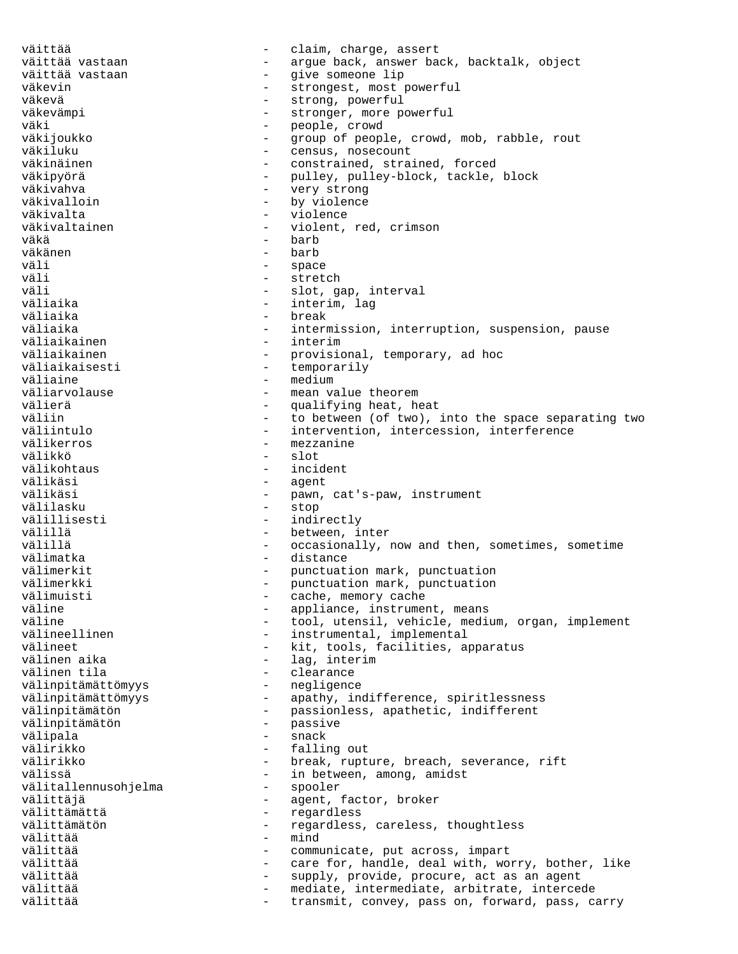väittää  $-$  claim, charge, assert väittää vastaan - argue back, answer back, backtalk, object - give someone lip väkevin - strongest, most powerful väkevä - strong, powerful väkevämpi - stronger, more powerful väki - people, crowd väkijoukko - group of people, crowd, mob, rabble, rout - census, nosecount väkinäinen - constrained, strained, forced väkipyörä - pulley, pulley-block, tackle, block väkivahva - very strong väkivalloin - by violence väkivalta - violence väkivaltainen - violent, red, crimson väkä - barb väkänen väli - space - space - space - space - space - space - space - space - space - space - space - space - space väli - stretch - stretch - stretch - stretch - stretch - stretch - stretch - stretch - stretch - stretch - str väli - slot, gap, interval<br>väliaika - - - - - - - - - - - - interim, lag väliaika - interim, lag - break väliaika - intermission, interruption, suspension, pause väliaikainen 1988 - interim väliaikainen - provisional, temporary, ad hoc väliaikaisesti - temporarily väliaine  $\qquad \qquad -$  medium väliarvolause  $\qquad \qquad -$  mean value theorem välierä  $-$  qualifying heat, heat väliin  $-$  to between (of two), into the space separating two<br>väliintulo  $-$  intervention, intercession, interference väliintulo - intervention, intercession, interference välikerros - mezzanine välikkö - slot - incident välikäsi - agent - pawn, cat's-paw, instrument välilasku - stop välillisesti - indirectly välillä  $\qquad \qquad$  - between, inter välillä  $-$  occasionally, now and then, sometimes, sometime välimatka - distance välimerkit - punctuation mark, punctuation<br>välimerkki - punctuation mark, punctuation välimerkki - punctuation mark, punctuation<br>välimuisti - cache, memory cache valimeissi<br>välimuisti - cache, memory cache<br>väline - appliance, instrumen väline - appliance, instrument, means<br>väline - tool utensil vehicle medi väline - tool, utensil, vehicle, medium, organ, implement<br>välineellinen - instrumental, implemental - instrumental, implemental välineet - kit, tools, facilities, apparatus välinen aika<br>
välinen tila<br>
välinen tila<br>
- clearance - clearance välinpitämättömyys - negligence välinpitämättömyys - apathy, indifference, spiritlessness välinpitämätön - passionless, apathetic, indifferent välinpitämätön - passive välipala - snack välirikko - falling out välirikko - break, rupture, breach, severance, rift<br>välissä - - in between, among, amidst - in between, among, amidst<br>- spooler välitallennusohjelma välittäjä - agent, factor, broker<br>välittämättä - - - - - - - - regardless välittämättä - regardless - regardless, careless, thoughtless välittää - mind välittää - communicate, put across, impart välittää  $-$  care for, handle, deal with, worry, bother, like välittää  $-$  supply, provide, procure, act as an agent välittää  $-$  mediate, intermediate, arbitrate, intercede välittää  $-$  transmit, convey, pass on, forward, pass, carry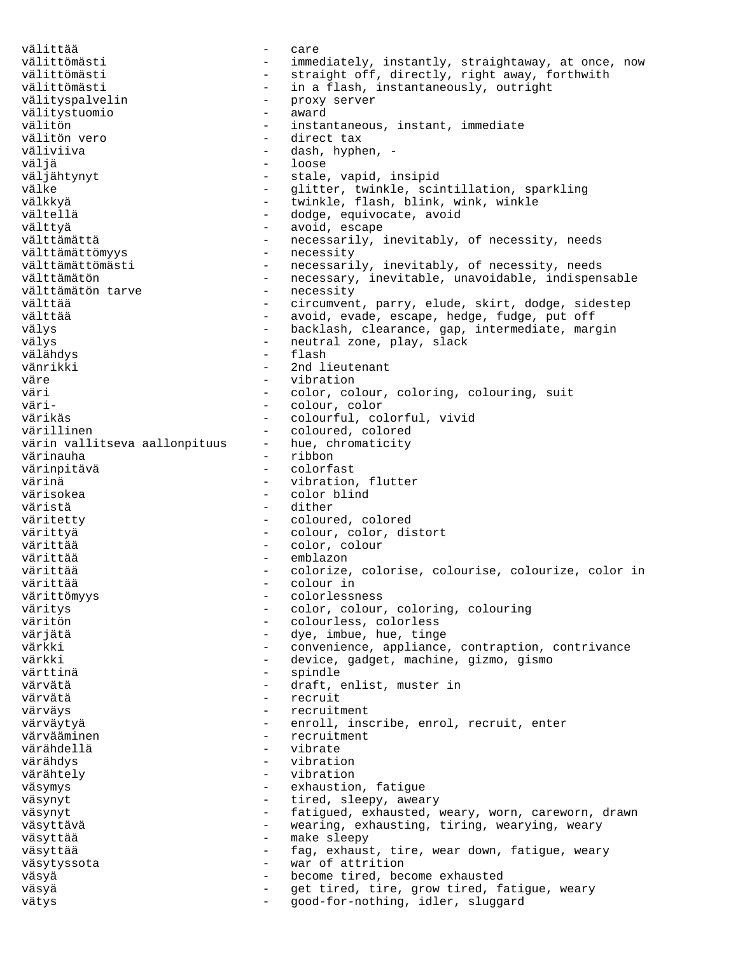välittää - care välittömästi immediately, instantly, straightaway, at once, now<br>
välittömästi straight off. directly. right away. forthwith välittömästi  $-$  straight off, directly, right away, forthwith välittömästi  $-$  in a flash, instantaneously, outright välityspalvelin - proxy server<br>välitystuomio - award välitystuomio - award välitön - instantaneous, instant, immediate<br>välitön vero - - direct tax välitön vero - direct tax - dash, hyphen, väljä - loose - stale, vapid, insipid välke - Glitter, twinkle, scintillation, sparkling välkkyä - twinkle, flash, blink, wink, winkle vältellä  $-$  dodge, equivocate, avoid välttyä - avoid, escape välttämättä  $-$  necessarily, inevitably, of necessity, needs välttämättömyys - necessity välttämättömästi - necessarily, inevitably, of necessity, needs<br>välttämätön - necessary, inevitable, unavoidable, indispen - necessary, inevitable, unavoidable, indispensable<br>- necessity välttämätön tarve<br>välttää välttää - circumvent, parry, elude, skirt, dodge, sidestep - avoid, evade, escape, hedge, fudge, put off välys - backlash, clearance, gap, intermediate, margin välys - neutral zone, play, slack välähdys - flash vänrikki - 2nd lieutenant väre - vibration väri  $-$  color, colour, coloring, colouring, suit väri- - colour, color värikäs - colourful, colorful, vivid värillinen - coloured, colored värin vallitseva aallonpituus värinauha - ribbon värinpitävä värinä - vibration, flutter - color blind väristä - dither - coloured, colored värittyä - colour, color, distort värittää  $\qquad \qquad -$  color, colour värittää  $-$  emblazon värittää - colorize, colorise, colourise, colourize, color in<br>värittää värittää - colour in värittömyys - colorlessness väritys - color, colour, coloring, colouring väritön - colourless, colorless värjätä - dye, imbue, hue, tinge<br>värkki - dye, imbue, hue, tinge - convenience, appliance, contraption, contrivance värkki - device, gadget, machine, gizmo, gismo värttinä  $\qquad \qquad -$  spindle värvätä  $\qquad \qquad -$  draft, enlist, muster in värvätä - recruit värväys - recruitment värväytyä - enroll, inscribe, enrol, recruit, enter värvääminen 1988 värvääminen varvatunent värähdellä - vibrate värähdys - vibration värähtely väsymys - exhaustion, fatigue väsynyt  $-$  tired, sleepy, aweary väsynyt exhausted, weary, worn, careworn, drawn väsyttävä - vearing, exhausting, tiring, wearying, weary väsyttää  $-$  make sleepy väsyttää  $-$  fag, exhaust, tire, wear down, fatigue, weary väsytyssota - war of attrition väsyä  $-$  become tired, become exhausted väsyä  $-$  get tired, tire, grow tired, fatigue, weary vätys - good-for-nothing, idler, sluggard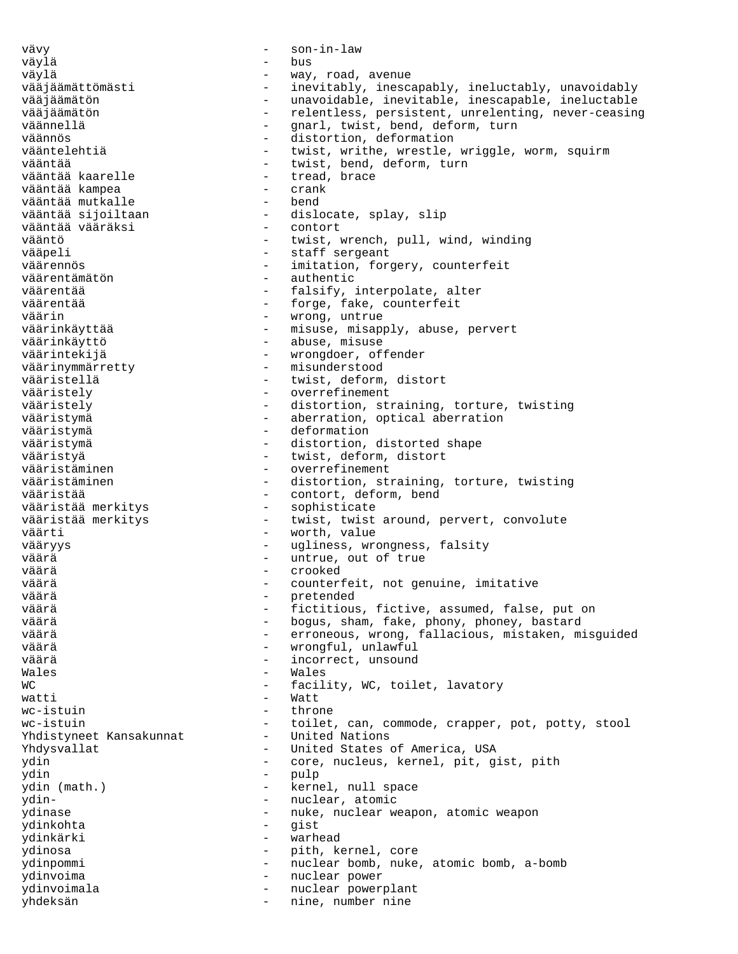vävy - son-in-law väylä - bus väylä - way, road, avenue vääjäämättömästi - inevitably, inescapably, ineluctably, unavoidably vääjäämätön - unavoidable, inevitable, inescapable, ineluctable vääjäämätön - relentless, persistent, unrelenting, never-ceasing väännellä - gnarl, twist, bend, deform, turn<br>väännös väännös - distortion, deformation - twist, writhe, wrestle, wriggle, worm, squirm vääntää - twist, bend, deform, turn<br>vääntää kaarelle - - tread, brace - tread, brace<br>- crank vääntää kampea - crank vääntää mutkalle<br>vääntää sijoiltaan vääntää splay, slip<br>- contort vääntää vääräksi vääntö - twist, wrench, pull, wind, winding vääpeli - staff sergeant<br>väärennös - staff sergeant väärennös - imitation, forgery, counterfeit<br>väärentämätön - authentic väärentämätön - authentic väärentää - falsify, interpolate, alter<br>väärentää - forge fake counterfeit väärentää - forge, fake, counterfeit<br>väärin - wrong, untrue väärinkäyttää  $-$  misuse, misapply, abuse, pervert väärinkäyttö - abuse, misuse väärintekijä - wrongdoer, offender väärinymmärretty - misunderstood vääristellä - twist, deform, distort overrefinement vääristely **- distortion, straining, torture, twisting** vääristymä  $-$  aberration, optical aberration vääristymä - deformation vääristymä - distortion, distorted shape vääristyä - twist, deform, distort vääristäminen - overrefinement - distortion, straining, torture, twisting vääristää - contort, deform, bend<br>vääristää merkitys - - sophisticate - sophisticate vääristää merkitys  $-$  twist, twist around, pervert, convolute väärti  $-$  worth, value vääryys - ugliness, wrongness, falsity<br>väärä väärä  $\qquad \qquad$  - untrue, out of true väärä - crooked väärä  $-$  counterfeit, not genuine, imitative väärä - pretended väärä - fictitious, fictive, assumed, false, put on väärä - bogus, sham, fake, phony, phoney, bastard - erroneous, wrong, fallacious, mistaken, misguided väärä - wrongful, unlawful väärä - incorrect, unsound Wales **- Wales** WC 600 MC - facility, WC, toilet, lavatory watti - Watt wc-istuin  $-$  throne  $-$  throne  $-$  throne wc-istuin  $-$  toilet, can, commode, crapper, pot, potty, stool<br>Yhdistyneet Kansakunnat  $-$  United Nations Yhdistyneet Kansakunnat Yhdysvallat - United States of America, USA<br>
vdin - Core nucleus kernel pit G ydin - core, nucleus, kernel, pit, gist, pith<br>
- pulp<br>
- pulp ydin - pulp ydin (math.) - kernel, null space<br>ydin- - nuclear, atomic - nuclear, atomic ydinase  $\qquad \qquad -$  nuke, nuclear weapon, atomic weapon ydinkohta - gist ydinkärki - warhead ydinosa - pith, kernel, core<br>
ydinpommi - muclear homb, nuke ydinpommi - nuclear bomb, nuke, atomic bomb, a-bomb ydinvoima - nuclear power ydinvoimala - nuclear powerplant<br>
yhdeksän - nine, number nine nine, number nine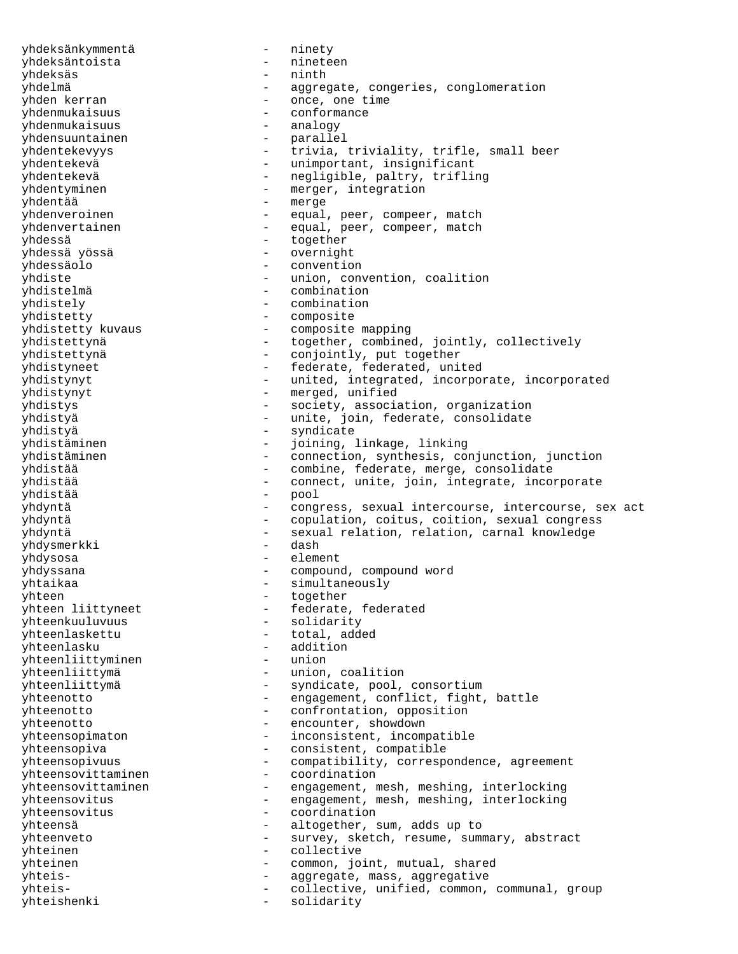yhdeksänkymmentä - ninety yhdeksäntoista yhdeksäs - ninth yhdelmä - aggregate, congeries, conglomeration yhden kerran - once, one time<br>
yhdenmukaisuus - conformance yhdenmukaisuus - conformance<br>
vhdenmukaisuus - analogy yhdenmukaisuus - analogy<br>
yhdensuuntainen - parallel yhdensuuntainen - parallel yhdentekevyys - trivia, triviality, trifle, small beer yhdentekevä - unimportant, insignificant<br>
yhdentekevä - negligible, paltry, triflii - negligible, paltry, trifling yhdentyminen - merger, integration<br>
yhdentää<br>
- merge - merge yhdenveroinen - equal, peer, compeer, match yhdenvertainen - equal, peer, compeer, match yhdessä - together yhdessä yössä - overnight yhdessäolo - convention yhdiste - union, convention, coalition<br>
yhdistelmä - combination<br>
- combination - combination yhdistely - combination yhdistetty<br>
yhdistetty<br>
kuvaus - composite - composite mapping yhdistettynä - together, combined, jointly, collectively yhdistettynä - conjointly, put together yhdistyneet - federate, federated, united yhdistynyt - united, integrated, incorporate, incorporated yhdistynyt - merged, unified<br>
vhdistys - society associa yhdistys - society, association, organization yhdistyä - unite, join, federate, consolidate yhdistyä - syndicate yhdistäminen - joining, linkage, linking<br>yhdistäminen - connection, synthesis, co yhdistäminen - connection, synthesis, conjunction, junction<br>
vhdistää<br>
- combine, federate, merge, consolidate yhdistää - combine, federate, merge, consolidate<br>
vhdistää - connect, unite, join, integrate, inco: yhdistää - connect, unite, join, integrate, incorporate<br>
yhdistää - connect, unite, join, integrate, incorporate - pool<br>staan yhdyntä - congress, sexual intercourse, intercourse, sex act yhdyntä - copulation, coitus, coition, sexual congress yhdyntä - sexual relation, relation, carnal knowledge yhdysmerkki - dash yhdysosa - element yhdyssana - compound, compound word yhtaikaa - simultaneously yhteen - together - federate, federated yhteenkuuluvuus - solidarity<br>
vhteenlaskettu - total, add - total, added yhteenlasku - addition<br>
vhteenliittyminen - union yhteenliittyminen yhteenliittymä - union, coalition yhteenliittymä - syndicate, pool, consortium yhteenotto - engagement, conflict, fight, battle yhteenotto - confrontation, opposition yhteenotto - encounter, showdown yhteensopimaton - inconsistent, incompatible yhteensopiva - consistent, compatible yhteensopivuus - compatibility, correspondence, agreement yhteensovittaminen - coordination yhteensovittaminen - engagement, mesh, meshing, interlocking yhteensovitus - engagement, mesh, meshing, interlocking<br>
yhteensovitus - coordination yhteensovitus - coordination<br>vhteensä - altogether, - altogether, sum, adds up to yhteenveto - survey, sketch, resume, summary, abstract yhteinen - collective yhteinen - common, joint, mutual, shared yhteis-  $\qquad \qquad -$  aggregate, mass, aggregative yhteis-  $\qquad \qquad - \qquad$  collective, unified, common, communal, group yhteishenki - solidarity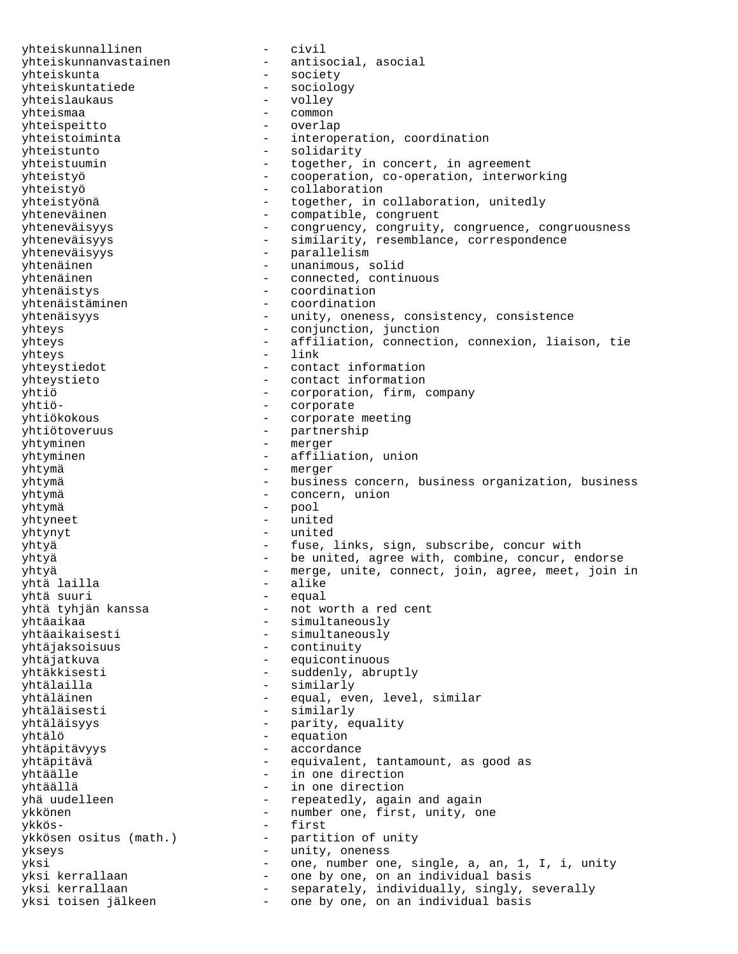yhteiskunnallinen - civil yhteiskunnanvastainen - antisocial, asocial yhteiskunta - society<br>
yhteiskuntatiede - sociology<br>
- sociology yhteiskuntatiede yhteislaukaus - volley<br>
yhteismaa - common yhteismaa yhteispeitto - overlap yhteistoiminta - interoperation, coordination yhteistunto - solidarity yhteistuumin - together, in concert, in agreement yhteistyö - cooperation, co-operation, interworking yhteistyö - collaboration yhteistyönä - together, in collaboration, unitedly yhteneväinen en muonnon varantaa valmaa valmaa valmaa valmaa valmaa valmaa valmaa valmaa valmaa valmaa valmaa v yhteneväisyys entimeleksi - congruency, congruity, congruence, congruousness yhteneväisyys - similarity, resemblance, correspondence yhteneväisyys - parallelism yhtenäinen - unanimous, solid yhtenäinen - connected, continuous yhtenäistys - coordination yhtenäistäminen - coordination yhtenäisyys - unity, oneness, consistency, consistence yhteys - conjunction, junction yhteys - affiliation, connection, connexion, liaison, tie yhteys - link yhteystiedot - contact information yhteystieto - contact information yhtiö - corporation, firm, company yhtiö- - corporate - corporate meeting yhtiötoveruus - partnership yhtyminen - merger yhtyminen en affiliation, union yhtymä - merger yhtymä - business concern, business organization, business yhtymä - concern, union yhtymä - pool yhtyneet - united yhtynyt - united yhtyä - fuse, links, sign, subscribe, concur with yhtyä - be united, agree with, combine, concur, endorse yhtyä - merge, unite, connect, join, agree, meet, join in yhtä lailla - alike yhtä suuri<br>yhtä tyhjän kanssa - not worth a red cent yhtäaikaa - simultaneously yhtäaikaisesti - simultaneously yhtäjaksoisuus - continuity yhtäjatkuva - equicontinuous yhtäkkisesti - suddenly, abruptly yhtälailla - similarly yhtäläinen - equal, even, level, similar yhtäläisesti - similarly yhtäläisyys - parity, equality yhtälö - equation yhtäpitävyys yhtäpitävä - equivalent, tantamount, as good as yhtäälle  $-$  in one direction yhtäällä - in one direction yhä uudelleen en van veestedly, again and again ykkönen - number one, first, unity, one ykkös- - first - partition of unity ykseys - unity, oneness yksi  $-$  one, number one, single, a, an, 1, I, i, unity yksi kerrallaan  $\qquad \qquad$  - one by one, on an individual basis yksi kerrallaan separately, individually, singly, severally yksi toisen jälkeen one by one, on an individual basis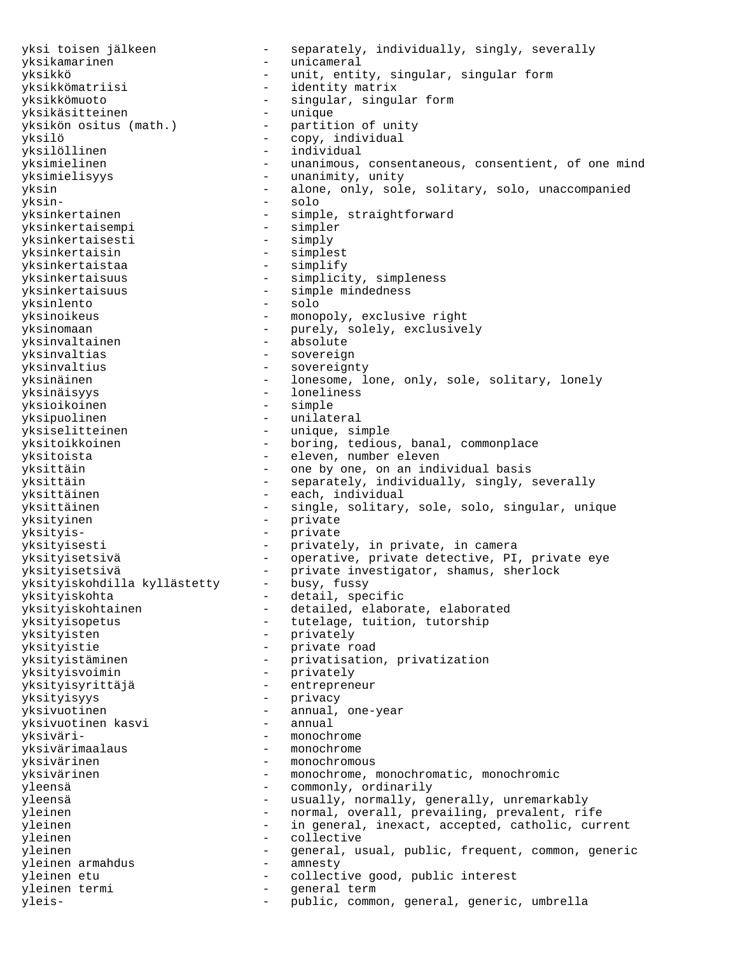yksi toisen jälkeen - separately, individually, singly, severally yksikamarinen - unicameral yksikkö - unit, entity, singular, singular form yksikkömatriisi - identity matrix yksikkömuoto - singular, singular form yksikäsitteinen - unique yksikön ositus (math.) - partition of unity<br>
yksilö - copy, individual yksilö - copy, individual - individual yksimielinen - unanimous, consentaneous, consentient, of one mind yksimielisyys - unanimity, unity<br>vksin - alone, only, sole - alone, only, sole, solitary, solo, unaccompanied yksin- - solo yksinkertainen - simple, straightforward<br>
vksinkertaisempi - simpler yksinkertaisempi - simpler yksinkertaisesti - simply yksinkertaisin - simplest yksinkertaistaa yksinkertaisuus - simplicity, simpleness yksinkertaisuus - simple mindedness<br>vksinlento - solo - solo yksinlento<br>yksinoikeus - monopoly, exclusive right yksinomaan - purely, solely, exclusively<br>
vksinvaltainen - absolute yksinvaltainen yksinvaltias - sovereign yksinvaltius - sovereignty yksinäinen - lonesome, lone, only, sole, solitary, lonely yksinäisyys - loneliness yksioikoinen yksipuolinen - unilateral yksiselitteinen - unique, simple yksitoikkoinen - boring, tedious, banal, commonplace yksitoista - eleven, number eleven - one by one, on an individual basis yksittäin - separately, individually, singly, severally yksittäinen - each, individual yksittäinen - single, solitary, sole, solo, singular, unique yksityinen - private yksityis- - private yksityisesti - privately, in private, in camera yksityisetsivä - operative, private detective, PI, private eye yksityisetsivä - private investigator, shamus, sherlock<br>yksityiskohdilla kyllästetty - busy, fussy yksityiskohdilla kyllästetty yksityiskohta - detail, specific yksityiskohtainen - detailed, elaborate, elaborated yksityisopetus - tutelage, tuition, tutorship yksityisten - privately yksityistie - private road yksityistäminen - privatisation, privatization yksityisvoimin - privately yksityisyrittäjä - entrepreneur yksityisyys - privacy yksivuotinen - annual, one-year yksivuotinen kasvi - annual yksiväri- - monochrome yksivärimaalaus yksivärinen - monochromous yksivärinen en monochrome, monochromatic, monochromic yleensä - commonly, ordinarily yleensä  $-$  usually, normally, generally, unremarkably yleinen - normal, overall, prevailing, prevalent, rife yleinen - in general, inexact, accepted, catholic, current yleinen - collective yleinen - general, usual, public, frequent, common, generic<br>vleinen armahdus - amnesty yleinen armahdus - amnesty yleinen etu - collective good, public interest yleinen termi - general term yleis- - public, common, general, generic, umbrella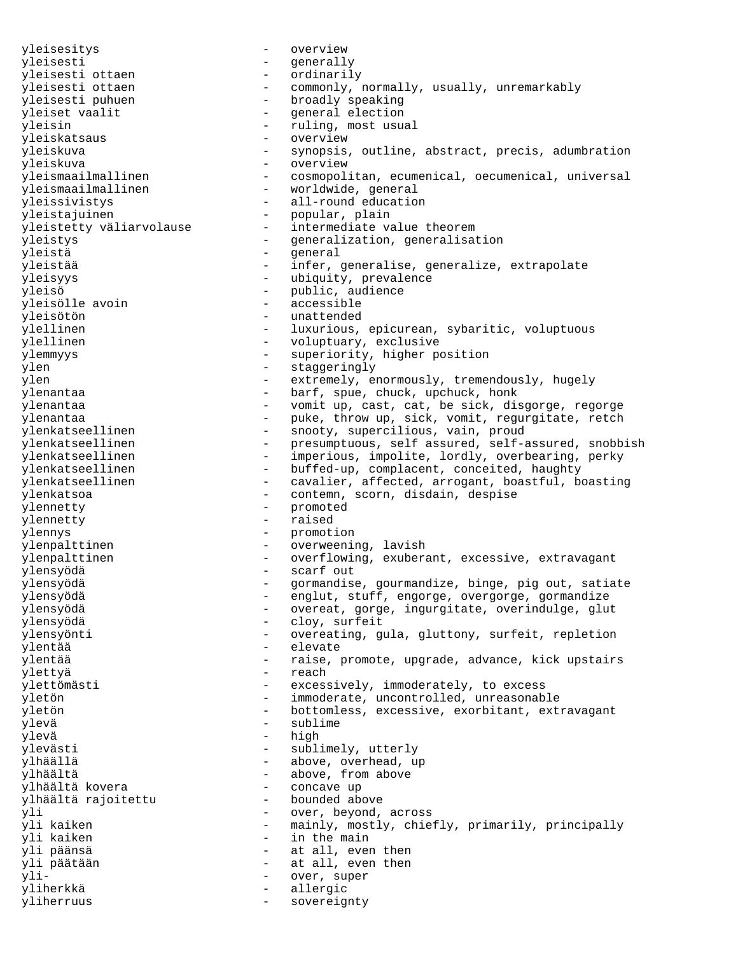yleisesitys - overview yleisesti - generally yleisesti ottaen - ordinarily yleisesti ottaen - commonly, normally, usually, unremarkably yleisesti puhuen - broadly speaking yleiset vaalit - general election yleisin - ruling, most usual<br>yleiskatsaus - overview yleiskatsaus - overview<br>
yleiskuva - synopsis yleiskuva - synopsis, outline, abstract, precis, adumbration - overview yleismaailmallinen - cosmopolitan, ecumenical, oecumenical, universal yleismaailmallinen - worldwide, general yleissivistys - all-round education yleistajuinen - popular, plain yleistetty väliarvolause - intermediate value theorem yleistys - generalization, generalisation yleistä - general yleistää - infer, generalise, generalize, extrapolate yleisyys - ubiquity, prevalence yleisö - public, audience yleisölle avoin - accessible yleisötön - unattended ylellinen - luxurious, epicurean, sybaritic, voluptuous<br>ylellinen - voluptuary, exclusive - voluptuary, exclusive ylemmyys - superiority, higher position ylen - staggeringly ylen - extremely, enormously, tremendously, hugely ylenantaa - barf, spue, chuck, upchuck, honk<br>vlenantaa - vomit up cast, cat, be sick dis ylenantaa - vomit up, cast, cat, be sick, disgorge, regorge ylenantaa - puke, throw up, sick, vomit, regurgitate, retch ylenkatseellinen - snooty, supercilious, vain, proud ylenkatseellinen - presumptuous, self assured, self-assured, snobbish ylenkatseellinen - imperious, impolite, lordly, overbearing, perky<br>ylenkatseellinen - buffed-up, complacent, conceited, haughty ylenkatseellinen buffed-up, complacent, conceited, haughty<br>ylenkatseellinen cavalier, affected, arrogant, boastful, b - cavalier, affected, arrogant, boastful, boasting ylenkatsoa - contemn, scorn, disdain, despise ylennetty - promoted<br>vlennetty - promoted<br>- raised ylennetty ylennys - promotion<br>
vlenpalttinen - overweeni ylenpalttinen - overweening, lavish ylenpalttinen - overflowing, exuberant, excessive, extravagant ylensyödä - scarf out ylensyödä - gormandise, gourmandize, binge, pig out, satiate ylensyödä - englut, stuff, engorge, overgorge, gormandize ylensyödä  $-$  overeat, gorge, ingurgitate, overindulge, glut ylensyödä - cloy, surfeit ylensyönti - overeating, gula, gluttony, surfeit, repletion - elevate ylentää - raise, promote, upgrade, advance, kick upstairs ylettyä - reach ylettömästi - excessively, immoderately, to excess yletön - immoderate, uncontrolled, unreasonable yletön - bottomless, excessive, exorbitant, extravagant ylevä - sublime ylevä - high ylevästi - sublimely, utterly ylhäällä - above, overhead, up - above, from above<br>- concave up ylhäältä kovera - concave up ylhäältä rajoitettu yli - over, beyond, across yli kaiken - mainly, mostly, chiefly, primarily, principally<br>yli kaiken - in the main - in the main yli päänsä - at all, even then yli päätään  $y$ li päätään  $y$ li- $y$ li- $y$ li- $y$ li- $y$ - over, super<br>- allergic yliherkkä - allergic yliherruus - sovereignty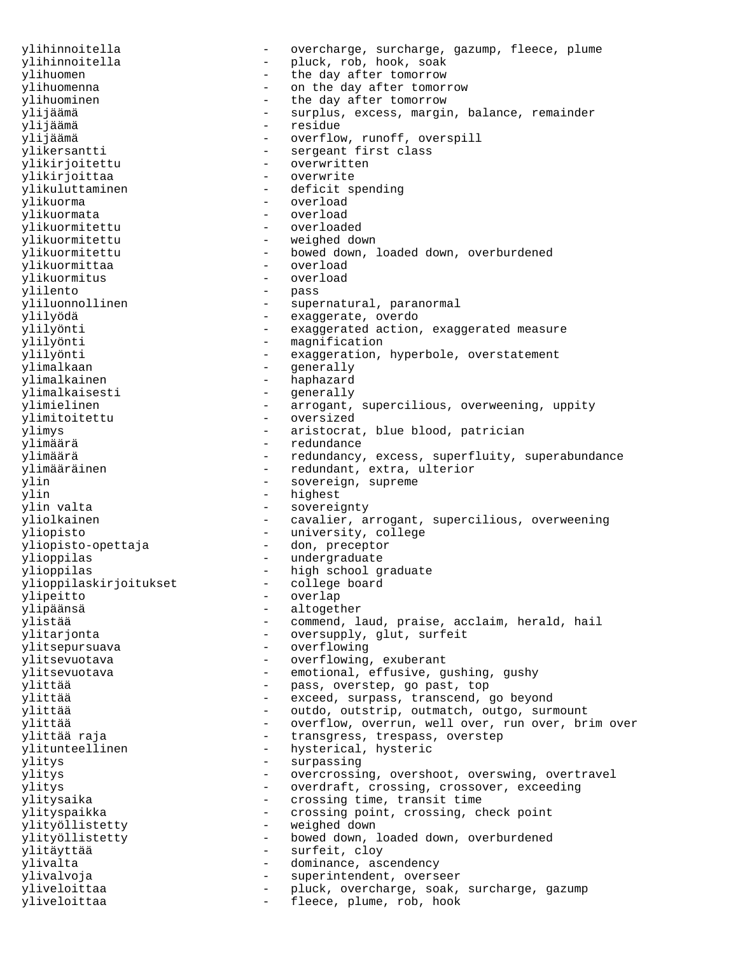ylihinnoitella - overcharge, surcharge, gazump, fleece, plume ylihinnoitella - pluck, rob, hook, soak<br>vlihuomen - the day after tomorrow ylihuomen - the day after tomorrow ylihuomenna - on the day after tomorrow ylihuominen - the day after tomorrow ylijäämä - surplus, excess, margin, balance, remainder ylijäämä - residue ylijäämä - overflow, runoff, overspill<br>ylikersantti - sergeant first class - sergeant first class<br>- overwritten ylikirjoitettu ylikirjoittaa - overwrite ylikuluttaminen - deficit spending vlikuorma - overload ylikuormata - overload ylikuormitettu - overloaded ylikuormitettu - weighed down ylikuormitettu - bowed down, loaded down, overburdened ylikuormittaa - overload ylikuormitus - overload<br>
ylilento - pass ylilento - pass yliluonnollinen - supernatural, paranormal<br>
ylilyödä<br>
- exaqqerate, overdo - exaggerate, overdo ylilyönti - exaggerated action, exaggerated measure ylilyönti - magnification ylilyönti - exaggeration, hyperbole, overstatement ylimalkaan - generally ylimalkainen - haphazard ylimalkaisesti - generally<br>ylimielinen - arrogant, - arrogant, supercilious, overweening, uppity ylimitoitettu - oversized ylimys - aristocrat, blue blood, patrician ylimäärä - redundance ylimäärä - redundancy, excess, superfluity, superabundance<br>ylimääräinen - redundant, extra, ulterior - redundant, extra, ulterior ylin - sovereign, supreme<br>
vlin - highest ylin - highest - sovereignty yliolkainen - cavalier, arrogant, supercilious, overweening yliopisto - university, college yliopisto-opettaja - don, preceptor ylioppilas - undergraduate ylioppilas<br>
ylioppilas<br>
ylioppilas<br>
kirjoitukset - college board<br> ylioppilaskirjoitukset ylipeitto - overlap ylipäänsä - altogether ylistää - commend, laud, praise, acclaim, herald, hail<br>ylitarjonta - corsupply, glut, surfeit - oversupply, glut, surfeit ylitsepursuava - overflowing ylitsevuotava - overflowing, exuberant ylitsevuotava - emotional, effusive, gushing, gushy ylittää - pass, overstep, go past, top<br>ylittää - pass, overstep, go past, top ylittää - exceed, surpass, transcend, go beyond ylittää  $-$  outdo, outstrip, outmatch, outgo, surmount ylittää  $-$  overflow, overrun, well over, run over, brim over ylittää raja  $-$  transgress, trespass, overstep ylitunteellinen - hysterical, hysteric ylitys - surpassing<br>ylitys - overcrossin ylitys - overcrossing, overshoot, overswing, overtravel - overdraft, crossing, crossover, exceeding ylitysaika - crossing time, transit time ylityspaikka - crossing point, crossing, check point ylityöllistetty - weighed down ylityöllistetty - bowed down, loaded down, overburdened ylitäyttää - surfeit, cloy ylivalta - dominance, ascendency ylivalvoja - superintendent, overseer yliveloittaa - pluck, overcharge, soak, surcharge, gazump<br>vliveloittaa - fleece plume rob book yliveloittaa - fleece, plume, rob, hook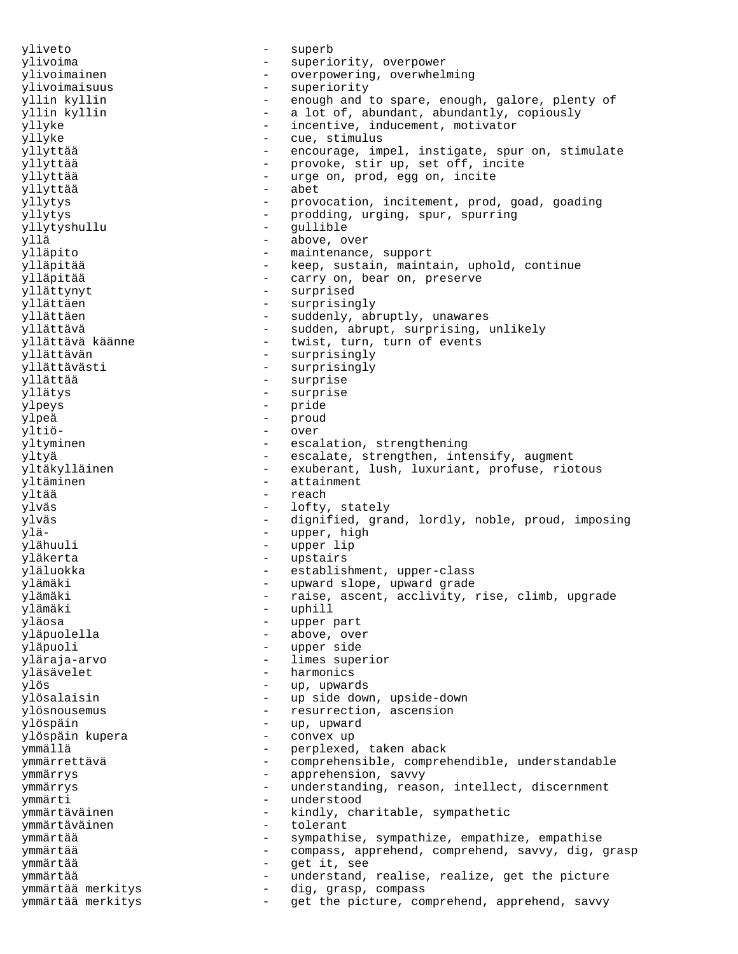yliveto - superb ylivoima - superiority, overpower<br>vlivoimainen - overpowering overwheld ylivoimainen - overpowering, overwhelming ylivoimaisuus - superiority yllin kyllin - enough and to spare, enough, galore, plenty of yllin kyllin  $-$  a lot of, abundant, abundantly, copiously yllyke - incentive, inducement, motivator<br>yllyke - cue, stimulus yllyke - cue, stimulus encourage, impel, instigate, spur on, stimulate yllyttää - provoke, stir up, set off, incite yllyttää - urge on, prod, egg on, incite yllyttää - abet yllytys - provocation, incitement, prod, goad, goading yllytys - prodding, urging, spur, spurring yllytyshullu - gullible yllä - above, over ylläpito - maintenance, support ylläpitää - keep, sustain, maintain, uphold, continue ylläpitää - carry on, bear on, preserve yllättynyt - surprised yllättäen - surprisingly - suddenly, abruptly, unawares yllättävä - sudden, abrupt, surprising, unlikely<br>yllättävä käänne - twist, turn, turn of events yllättävä käänne - twist, turn, turn of events<br>vllättävän - surprisingly yllättävän - surprisingly - surprisingly yllättää - surprise yllätys - surprise ylpeys - pride<br>
vlneä - proud ylpeä - proud yltiö- - over yltyminen - escalation, strengthening yltyä - escalate, strengthen, intensify, augment<br>yltäkylläinen - exuberant, lush, luxuriant, profuse, rio - exuberant, lush, luxuriant, profuse, riotous yltäminen - attainment - reach ylväs - lofty, stately ylväs - dignified, grand, lordly, noble, proud, imposing ylä- - upper, high ylähuuli - upper lip yläkerta - upstairs yläluokka - establishment, upper-class ylämäki - upward slope, upward grade ylämäki - raise, ascent, acclivity, rise, climb, upgrade<br>ylämäki - uphill ylämäki - uphill yläosa - upper part - above, over yläpuoli - upper side yläraja-arvo - limes superior vläsävelet - harmonics ylös - up, upwards ylösalaisin - up side down, upside-down ylösnousemus - resurrection, ascension ylöspäin - up, upward ylöspäin kupera - convex up ymmällä - perplexed, taken aback ymmärrettävä - comprehensible, comprehendible, understandable ymmärrys - apprehension, savvy ymmärrys en en anderstanding, reason, intellect, discernment ymmärti - understood ymmärtäväinen - kindly, charitable, sympathetic ymmärtäväinen ymmärtää - sympathise, sympathize, empathize, empathise ymmärtää - compass, apprehend, comprehend, savvy, dig, grasp ymmärtää - get it, see ymmärtää - understand, realise, realize, get the picture ymmärtää merkitys - dig, grasp, compass ymmärtää merkitys  $-$  get the picture, comprehend, apprehend, savvy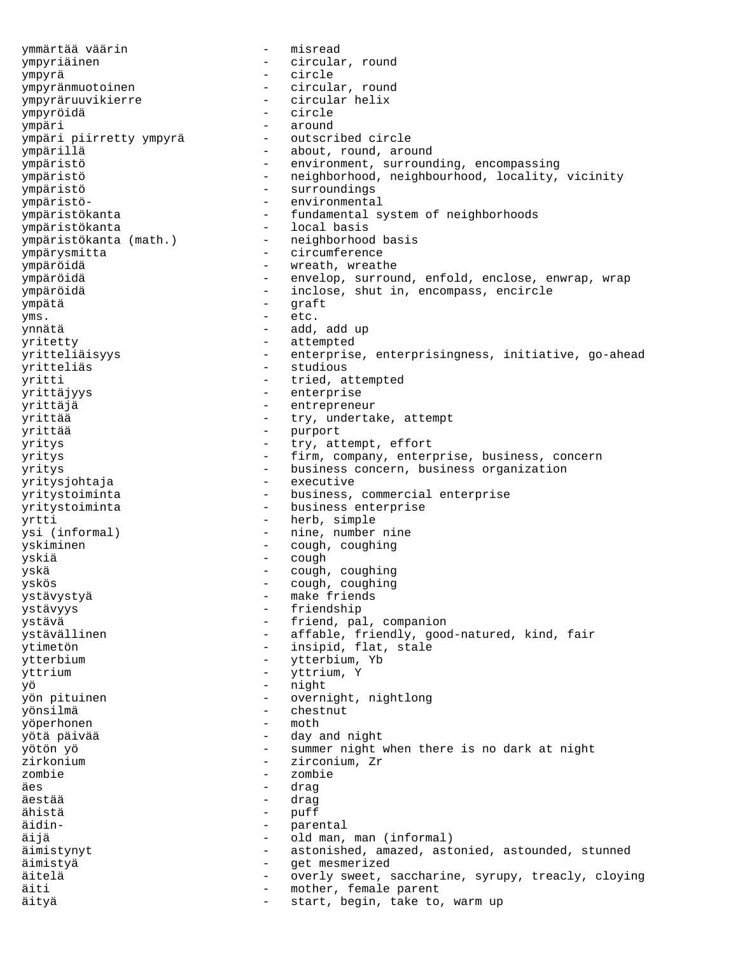ymmärtää väärin - misread ympyriäinen - circular, round ympyrä - circle ympyränmuotoinen - circular, round ympyräruuvikierre - circular helix ympyröidä - circle ympäri<br>1997 - ympäri piirretty ympyrä<br>2008 - outscribed circle ympäri piirretty ympyrä<br>ympärillä - about, round, around ympäristö - environment, surrounding, encompassing - neighborhood, neighbourhood, locality, vicinity ympäristö - surroundings ympäristö- - environmental ympäristökanta - fundamental system of neighborhoods ympäristökanta - local basis - neighborhood basis ympärysmitta - circumference ympäröidä  $-$  wreath, wreathe ympäröidä - envelop, surround, enfold, enclose, enwrap, wrap, wrap, wrap, wrap, wrap, wrap, wrap, wrap, wrap, wrap, wrap, wrap, wrap, wrap, wrap, wrap, wrap, wrap, wrap, wrap, wrap, wrap, wrap, wrap, wrap, wrap, wrap, wrap ympäröidä - inclose, shut in, encompass, encircle ympätä - graft yms.  $-$  etc. ynnätä - add, add up yritetty - attempted yritteliäisyys - enterprise, enterprisingness, initiative, go-ahead yritteliäs - studious yritti  $-$  tried, attempted yrittäjyys - enterprise yrittäjä - entrepreneur yrittää  $-$  try, undertake, attempt yrittää - purport yritys - try, attempt, effort yritys - firm, company, enterprise, business, concern yritys - business concern, business organization<br>yritysiohtaia - executive - executive yritysjohtaja<br>yritystoiminta - business, commercial enterprise yritystoiminta - business enterprise yrtti - herb, simple ysi (informal) - nine, number nine yskiminen - cough, coughing yskiä - cough yskä - cough, coughing yskös - cough, coughing ystävystyä - make friends ystävyys - friendship ystävä - friend, pal, companion ystävällinen - affable, friendly, good-natured, kind, fair<br>
ytimetön - insipid, flat, stale - insipid, flat, stale ytterbium - ytterbium, Yb yttrium - yttrium, Y yö - night yön pituinen - overnight, nightlong - chestnut<br>- moth yöperhonen - mother - mother yötä päivää - day and night yötön yö - summer night when there is no dark at night - zirconium, Zr zombie - zombie äes - drag äestää - drag ähistä - puff äidin- - parental äijä - old man, man (informal) äimistynyt - astonished, amazed, astonied, astounded, stunned äimistyä - get mesmerized äitelä  $-$  overly sweet, saccharine, syrupy, treacly, cloying äiti  $-$  mother, female parent äityä - start, begin, take to, warm up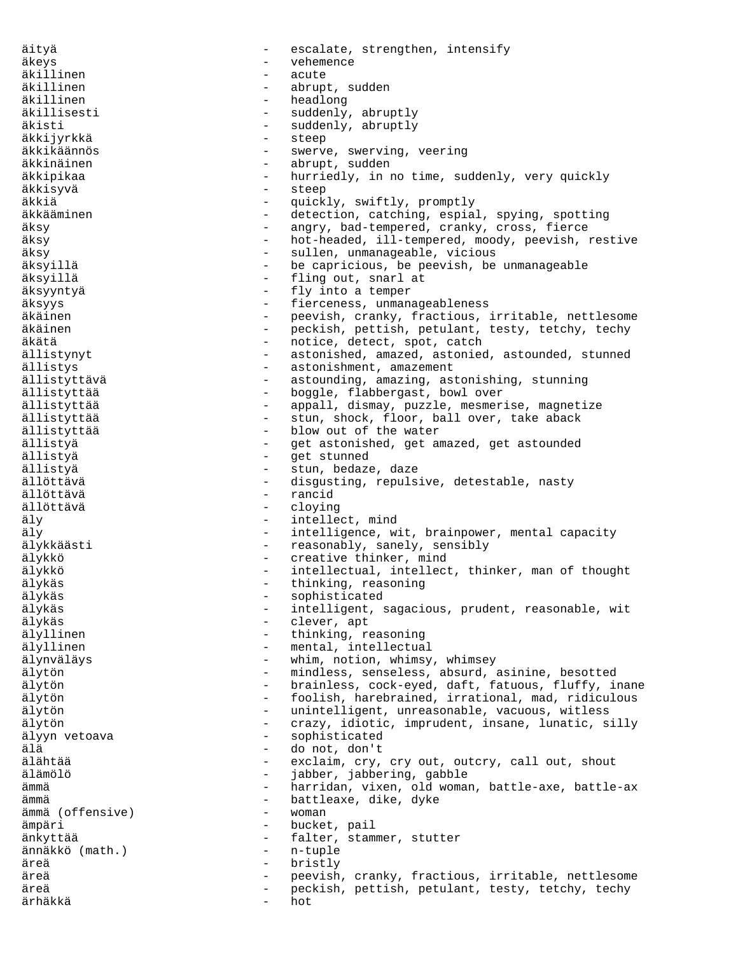äityä - escalate, strengthen, intensify äkeys - vehemence äkillinen - acute äkillinen - abrupt, sudden - headlong äkillisesti - suddenly, abruptly<br>
ikisti - suddenly abruptly äkisti - suddenly, abruptly äkkijyrkkä - steep - swerve, swerving, veering äkkinäinen - abrupt, sudden äkkipikaa - hurriedly, in no time, suddenly, very quickly<br>äkkisvyä äkkisyvä - steep äkkiä - quickly, swiftly, promptly äkkääminen 1988 - detection, catching, espial, spying, spotting äksy - angry, bad-tempered, cranky, cross, fierce äksy - hot-headed, ill-tempered, moody, peevish, restive äksy - sullen, unmanageable, vicious äksyillä - be capricious, be peevish, be unmanageable äksyillä - fling out, snarl at äksyyntyä - fly into a temper äksyys - fierceness, unmanageableness - peevish, cranky, fractious, irritable, nettlesome äkäinen - peckish, pettish, petulant, testy, tetchy, techy äkätä  $-$  notice, detect, spot, catch ällistynyt - astonished, amazed, astonied, astounded, stunned ällistys - astonishment, amazement ällistyttävä - astounding, amazing, astonishing, stunning ällistyttää - boggle, flabbergast, bowl over ällistyttää  $-$  appall, dismay, puzzle, mesmerise, magnetize ällistyttää - stun, shock, floor, ball over, take aback ällistyttää - blow out of the water ällistyä - get astonished, get amazed, get astounded ällistyä - get stunned - stun, bedaze, daze ällöttävä - disgusting, repulsive, detestable, nasty ällöttävä - rancid ällöttävä - cloying äly - intellect, mind äly - intelligence, wit, brainpower, mental capacity älykkäästi - reasonably, sanely, sensibly<br>älykkö - - creative thinker mind älykkö - creative thinker, mind älykkö - intellectual, intellect, thinker, man of thought älykäs - thinking, reasoning<br>älykäs - thinking, reasoning älykäs - sophisticated älykäs - intelligent, sagacious, prudent, reasonable, wit älykäs - clever, apt - thinking, reasoning älyllinen - mental, intellectual älynväläys - whim, notion, whimsy, whimsey älytön - mindless, senseless, absurd, asinine, besotted älytön - brainless, cock-eyed, daft, fatuous, fluffy, inane älytön - foolish, harebrained, irrational, mad, ridiculous älytön - unintelligent, unreasonable, vacuous, witless älytön - crazy, idiotic, imprudent, insane, lunatic, silly älyyn vetoava - sophisticated älä - do not, don't - exclaim, cry, cry out, outcry, call out, shout<br>- iabber, iabbering, gabble älämölö - jabber, jabbering, gabble ämmä eri seistettua vei maailmaa - harridan, vixen, old woman, battle-axe, battle-axe ämmä - battleaxe, dike, dyke ämmä (offensive) - woman ämpäri - bucket, pail änkyttää - falter, stammer, stutter ännäkkö (math.) - n-tuple äreä - bristly - bristly - bristly<br>äreä - bristly - bristly - bristly äreä - peevish, cranky, fractious, irritable, nettlesome äreä - peckish, pettish, petulant, testy, tetchy, techy ärhäkkä - hot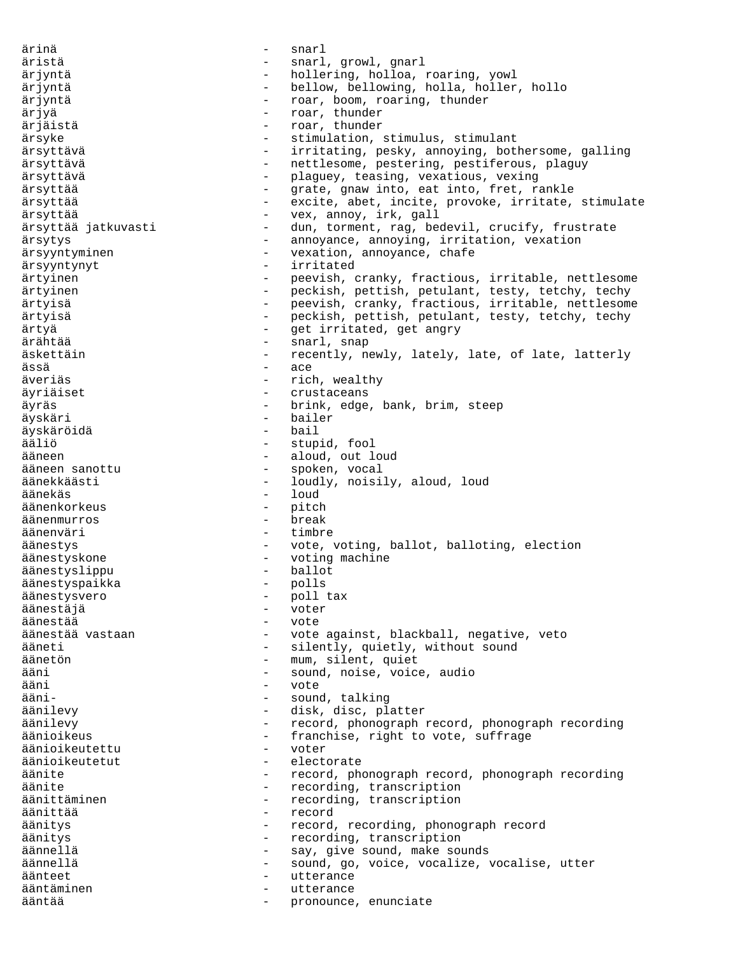ärinä - snarl äristä - snarl, growl, gnarl ärjyntä - hollering, holloa, roaring, yowl ärjyntä - bellow, bellowing, holla, holler, hollo ärjyntä - roar, boom, roaring, thunder ärjyä - roar, thunder ärjäistä - roar, thunder ärsyke - stimulation, stimulus, stimulant<br>ärsyttävä - - - - - - - irritating, pesky, annoying, boti - irritating, pesky, annoying, bothersome, galling ärsyttävä - nettlesome, pestering, pestiferous, plaguy ärsyttävä - plaguey, teasing, vexatious, vexing - grate, gnaw into, eat into, fret, rankle ärsyttää - excite, abet, incite, provoke, irritate, stimulate ärsyttää - vex, annoy, irk, gall ärsyttää jatkuvasti - dun, torment, rag, bedevil, crucify, frustrate ärsytys - annoyance, annoying, irritation, vexation ärsyyntyminen - vexation, annoyance, chafe<br>
ärsyyntynyt - irritated ärsyyntynyt ärtyinen - peevish, cranky, fractious, irritable, nettlesome ärtyinen - peckish, pettish, petulant, testy, tetchy, techy ärtyisä - peevish, cranky, fractious, irritable, nettlesome ärtyisä - peckish, pettish, petulant, testy, tetchy, techy ärtyä - get irritated, get angry - snarl, snap äskettäin - recently, newly, lately, late, of late, latterly ässä - ace äveriäs - rich, wealthy äyriäiset - crustaceans äyräs - brink, edge, bank, brim, steep - bailer<br>- bail äyskäröidä<br>ääliö ääliö - stupid, fool ääneen - aloud, out loud<br>ääneen sanottu - spoken, vocal - spoken, vocal äänekkäästi - loudly, noisily, aloud, loud äänekäs - loud äänenkorkeus - pitch äänenmurros äänenväri - timbre äänestys - vote, voting, ballot, balloting, election äänestyskone - voting machine<br>äänestyslippu - - - - - - - - ballot äänestyslippu - ballot äänestyspaikka - polls äänestysvero äänestäjä - voter äänestää - vote - vote against, blackball, negative, veto ääneti - silently, quietly, without sound äänetön - mum, silent, quiet ääni - sound, noise, voice, audio ääni - vote ääni- - sound, talking äänilevy - disk, disc, platter äänilevy - record, phonograph record, phonograph recording äänioikeus - franchise, right to vote, suffrage<br>äänioikeutettu - voter äänioikeutettu - voter äänioikeutetut - electorate<br>äänite - record ph äänite - record, phonograph record, phonograph recording<br>
= recording transcription - recording, transcription äänittäminen - recording, transcription äänittää - record äänitys - record, recording, phonograph record äänitys - recording, transcription äännellä - say, give sound, make sounds äännellä - sound, go, voice, vocalize, vocalise, utter äänteet - utterance ääntäminen - utterance ääntää  $-$  pronounce, enunciate